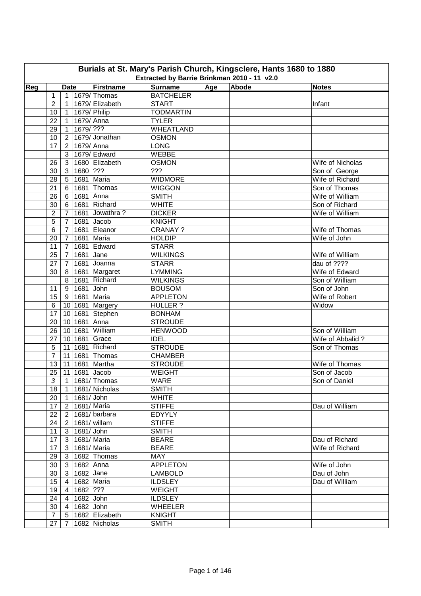|                                                                                                  | Burials at St. Mary's Parish Church, Kingsclere, Hants 1680 to 1880<br>Extracted by Barrie Brinkman 2010 - 11 v2.0 |                 |                   |                 |                  |  |  |                                  |  |  |  |  |
|--------------------------------------------------------------------------------------------------|--------------------------------------------------------------------------------------------------------------------|-----------------|-------------------|-----------------|------------------|--|--|----------------------------------|--|--|--|--|
| Surname<br>Age<br>Abode<br>Reg<br><b>Firstname</b><br><b>Date</b><br><b>Notes</b><br>1679/Thomas |                                                                                                                    |                 |                   |                 |                  |  |  |                                  |  |  |  |  |
|                                                                                                  | 1                                                                                                                  | 1               |                   |                 | <b>BATCHELER</b> |  |  |                                  |  |  |  |  |
|                                                                                                  | $\overline{2}$                                                                                                     | 1               |                   | 1679/ Elizabeth | <b>START</b>     |  |  | Infant                           |  |  |  |  |
|                                                                                                  | 10                                                                                                                 | $\mathbf{1}$    |                   | 1679/ Philip    | <b>TODMARTIN</b> |  |  |                                  |  |  |  |  |
|                                                                                                  | 22                                                                                                                 | $\mathbf{1}$    | $1679$ Anna       |                 | <b>TYLER</b>     |  |  |                                  |  |  |  |  |
|                                                                                                  | 29                                                                                                                 | $\mathbf{1}$    | 1679/ ???         |                 | WHEATLAND        |  |  |                                  |  |  |  |  |
|                                                                                                  |                                                                                                                    |                 |                   | 1679/Jonathan   | <b>OSMON</b>     |  |  |                                  |  |  |  |  |
|                                                                                                  | 10                                                                                                                 | $\overline{2}$  | $1679/$ Anna      |                 | <b>LONG</b>      |  |  |                                  |  |  |  |  |
|                                                                                                  | 17                                                                                                                 | $\overline{2}$  |                   | 1679/ Edward    | WEBBE            |  |  |                                  |  |  |  |  |
|                                                                                                  | 26                                                                                                                 | 3<br>3          |                   | 1680 Elizabeth  | OSMON            |  |  | Wife of Nicholas                 |  |  |  |  |
|                                                                                                  | 30                                                                                                                 |                 | 1680 ???          |                 | ???              |  |  |                                  |  |  |  |  |
|                                                                                                  |                                                                                                                    | 3               | 1681              | Maria           | <b>WIDMORE</b>   |  |  | Son of George                    |  |  |  |  |
|                                                                                                  | 28<br>21                                                                                                           | 5               | 1681              | Thomas          | <b>WIGGON</b>    |  |  | Wife of Richard<br>Son of Thomas |  |  |  |  |
|                                                                                                  |                                                                                                                    | 6               |                   |                 |                  |  |  |                                  |  |  |  |  |
|                                                                                                  | 26                                                                                                                 | 6               | 1681              | Anna            | <b>SMITH</b>     |  |  | Wife of William                  |  |  |  |  |
|                                                                                                  | 30                                                                                                                 | 6               | 1681              | Richard         | <b>WHITE</b>     |  |  | Son of Richard                   |  |  |  |  |
|                                                                                                  | $\overline{2}$                                                                                                     | $\overline{7}$  | 1681              | Jowathra?       | <b>DICKER</b>    |  |  | Wife of William                  |  |  |  |  |
|                                                                                                  | 5                                                                                                                  | $\overline{7}$  | 1681              | Jacob           | <b>KNIGHT</b>    |  |  |                                  |  |  |  |  |
|                                                                                                  | $6\phantom{1}6$                                                                                                    | $\overline{7}$  | 1681              | Eleanor         | <b>CRANAY?</b>   |  |  | Wife of Thomas                   |  |  |  |  |
|                                                                                                  | 20                                                                                                                 | $\overline{7}$  | 1681              | Maria           | <b>HOLDIP</b>    |  |  | Wife of John                     |  |  |  |  |
|                                                                                                  | 11                                                                                                                 | $\overline{7}$  | 1681              | Edward          | <b>STARR</b>     |  |  |                                  |  |  |  |  |
|                                                                                                  | 25                                                                                                                 | $\overline{7}$  | 1681              | Jane            | <b>WILKINGS</b>  |  |  | Wife of William                  |  |  |  |  |
|                                                                                                  | 27                                                                                                                 | $\overline{7}$  |                   | 1681 Joanna     | <b>STARR</b>     |  |  | dau of ????                      |  |  |  |  |
|                                                                                                  | 30                                                                                                                 | 8               |                   | 1681 Margaret   | <b>LYMMING</b>   |  |  | Wife of Edward                   |  |  |  |  |
|                                                                                                  |                                                                                                                    | 8               |                   | 1681 Richard    | <b>WILKINGS</b>  |  |  | Son of William                   |  |  |  |  |
|                                                                                                  | 11                                                                                                                 | 9               | 1681 John         |                 | <b>BOUSOM</b>    |  |  | Son of John                      |  |  |  |  |
|                                                                                                  | 15                                                                                                                 | 9               |                   | 1681 Maria      | <b>APPLETON</b>  |  |  | Wife of Robert                   |  |  |  |  |
|                                                                                                  | 6                                                                                                                  | 10              |                   | 1681 Margery    | <b>HULLER?</b>   |  |  | Widow                            |  |  |  |  |
|                                                                                                  | 17                                                                                                                 | 10              |                   | 1681 Stephen    | <b>BONHAM</b>    |  |  |                                  |  |  |  |  |
|                                                                                                  | 20                                                                                                                 | 10 <sup>°</sup> | 1681 Anna         |                 | <b>STROUDE</b>   |  |  |                                  |  |  |  |  |
|                                                                                                  | 26                                                                                                                 | 10 <sup>1</sup> |                   | 1681 William    | <b>HENWOOD</b>   |  |  | Son of William                   |  |  |  |  |
|                                                                                                  | 27                                                                                                                 | 10 <sup>1</sup> |                   | 1681 Grace      | <b>IDEL</b>      |  |  | Wife of Abbalid?                 |  |  |  |  |
|                                                                                                  | 5                                                                                                                  | 11              | 1681              | Richard         | <b>STROUDE</b>   |  |  | Son of Thomas                    |  |  |  |  |
|                                                                                                  | $\overline{7}$                                                                                                     | 11              | 1681              | Thomas          | <b>CHAMBER</b>   |  |  |                                  |  |  |  |  |
|                                                                                                  | 13                                                                                                                 | 11              | 1681              | Martha          | <b>STROUDE</b>   |  |  | Wife of Thomas                   |  |  |  |  |
|                                                                                                  | 25                                                                                                                 | 11              |                   | 1681 Jacob      | <b>WEIGHT</b>    |  |  | Son of Jacob                     |  |  |  |  |
|                                                                                                  | $\overline{3}$                                                                                                     | $\mathbf 1$     |                   | $ 1681/$ Thomas | <b>WARE</b>      |  |  | Son of Daniel                    |  |  |  |  |
|                                                                                                  | 18                                                                                                                 | $\mathbf{1}$    |                   | 1681/Nicholas   | <b>SMITH</b>     |  |  |                                  |  |  |  |  |
|                                                                                                  | 20                                                                                                                 | $\overline{1}$  | 1681/John         |                 | <b>WHITE</b>     |  |  |                                  |  |  |  |  |
|                                                                                                  | 17                                                                                                                 | $\overline{2}$  |                   | 1681/Maria      | <b>STIFFE</b>    |  |  | Dau of William                   |  |  |  |  |
|                                                                                                  | 22                                                                                                                 | $\overline{2}$  |                   | 1681/barbara    | <b>EDYYLY</b>    |  |  |                                  |  |  |  |  |
|                                                                                                  | 24                                                                                                                 | $\mathbf{2}$    |                   | 1681/willam     | <b>STIFFE</b>    |  |  |                                  |  |  |  |  |
|                                                                                                  | 11                                                                                                                 | $\mathbf{3}$    | $1681/$ John      |                 | <b>SMITH</b>     |  |  |                                  |  |  |  |  |
|                                                                                                  | 17                                                                                                                 | $\mathbf{3}$    |                   | 1681/Maria      | <b>BEARE</b>     |  |  | Dau of Richard                   |  |  |  |  |
|                                                                                                  | 17                                                                                                                 | 3               |                   | 1681/Maria      | <b>BEARE</b>     |  |  | Wife of Richard                  |  |  |  |  |
|                                                                                                  | 29                                                                                                                 | 3 <sup>1</sup>  |                   | 1682 Thomas     | MAY              |  |  |                                  |  |  |  |  |
|                                                                                                  | 30                                                                                                                 | 3               | 1682 Anna         |                 | <b>APPLETON</b>  |  |  | Wife of John                     |  |  |  |  |
|                                                                                                  | 30                                                                                                                 | 3 <sup>1</sup>  | 1682 $\vert$ Jane |                 | <b>LAMBOLD</b>   |  |  | Dau of John                      |  |  |  |  |
|                                                                                                  | 15 <sub>15</sub>                                                                                                   | $\overline{4}$  |                   | 1682 Maria      | <b>ILDSLEY</b>   |  |  | Dau of William                   |  |  |  |  |
|                                                                                                  | 19                                                                                                                 | $\overline{4}$  | 1682 ???          |                 | <b>WEIGHT</b>    |  |  |                                  |  |  |  |  |
|                                                                                                  | 24                                                                                                                 | $\overline{4}$  | 1682 John         |                 | <b>ILDSLEY</b>   |  |  |                                  |  |  |  |  |
|                                                                                                  | 30                                                                                                                 | 4               | 1682 John         |                 | <b>WHEELER</b>   |  |  |                                  |  |  |  |  |
|                                                                                                  | $\overline{7}$                                                                                                     | 5               |                   | 1682 Elizabeth  | <b>KNIGHT</b>    |  |  |                                  |  |  |  |  |
|                                                                                                  | 27                                                                                                                 | 7               |                   | 1682 Nicholas   | <b>SMITH</b>     |  |  |                                  |  |  |  |  |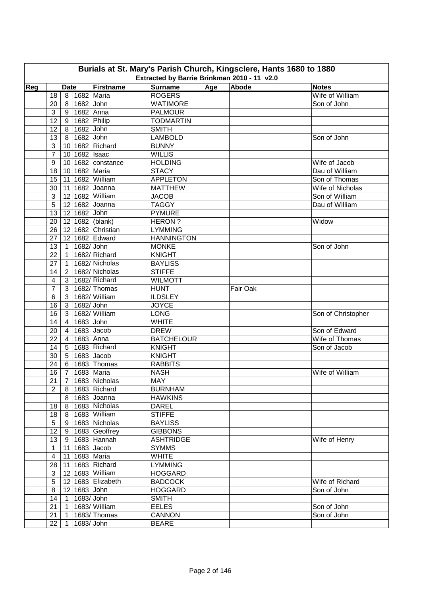| Burials at St. Mary's Parish Church, Kingsclere, Hants 1680 to 1880 |                                             |                 |               |                    |                   |     |          |                    |  |  |  |  |
|---------------------------------------------------------------------|---------------------------------------------|-----------------|---------------|--------------------|-------------------|-----|----------|--------------------|--|--|--|--|
|                                                                     | Extracted by Barrie Brinkman 2010 - 11 v2.0 |                 |               |                    |                   |     |          |                    |  |  |  |  |
| Reg                                                                 |                                             | <b>Date</b>     |               | Firstname          | <b>Surname</b>    | Age | Abode    | <b>Notes</b>       |  |  |  |  |
|                                                                     | 18                                          |                 |               | 8 1682 Maria       | <b>ROGERS</b>     |     |          | Wife of William    |  |  |  |  |
|                                                                     | 20                                          |                 | 8 1682 John   |                    | <b>WATIMORE</b>   |     |          | Son of John        |  |  |  |  |
|                                                                     | 3                                           |                 | 9 1682 Anna   |                    | <b>PALMOUR</b>    |     |          |                    |  |  |  |  |
|                                                                     | 12                                          | 9 <sup>1</sup>  |               | 1682 Philip        | <b>TODMARTIN</b>  |     |          |                    |  |  |  |  |
|                                                                     | 12                                          | 8               | 1682 John     |                    | <b>SMITH</b>      |     |          |                    |  |  |  |  |
|                                                                     | 13                                          | 8               | 1682 John     |                    | <b>LAMBOLD</b>    |     |          | Son of John        |  |  |  |  |
|                                                                     | 3                                           |                 |               | 10 1682 Richard    | <b>BUNNY</b>      |     |          |                    |  |  |  |  |
|                                                                     | $\overline{7}$                              |                 | 10 1682 Isaac |                    | <b>WILLIS</b>     |     |          |                    |  |  |  |  |
|                                                                     | 9                                           | 10 <sub>1</sub> |               | 1682 constance     | <b>HOLDING</b>    |     |          | Wife of Jacob      |  |  |  |  |
|                                                                     | 18                                          |                 |               | 10 1682 Maria      | <b>STACY</b>      |     |          | Dau of William     |  |  |  |  |
|                                                                     | 15                                          |                 |               | 11 1682 William    | <b>APPLETON</b>   |     |          | Son of Thomas      |  |  |  |  |
|                                                                     | 30                                          |                 |               | 11 1682 Joanna     | <b>MATTHEW</b>    |     |          | Wife of Nicholas   |  |  |  |  |
|                                                                     | 3                                           |                 |               | 12 1682 William    | <b>JACOB</b>      |     |          | Son of William     |  |  |  |  |
|                                                                     | 5                                           |                 |               | 12 1682 Joanna     | <b>TAGGY</b>      |     |          | Dau of William     |  |  |  |  |
|                                                                     | 13                                          |                 | 12 1682 John  |                    | <b>PYMURE</b>     |     |          |                    |  |  |  |  |
|                                                                     | 20                                          | 12              |               | 1682 (blank)       | <b>HERON?</b>     |     |          | Widow              |  |  |  |  |
|                                                                     | 26                                          |                 |               | 12 1682 Christian  | <b>LYMMING</b>    |     |          |                    |  |  |  |  |
|                                                                     | 27                                          |                 |               | 12 1682 Edward     | <b>HANNINGTON</b> |     |          |                    |  |  |  |  |
|                                                                     | 13                                          | $\mathbf{1}$    | 1682/ John    |                    | <b>MONKE</b>      |     |          | Son of John        |  |  |  |  |
|                                                                     | 22                                          | $\overline{1}$  |               | 1682/Richard       | <b>KNIGHT</b>     |     |          |                    |  |  |  |  |
|                                                                     | 27                                          | $\mathbf{1}$    |               | 1682/Nicholas      | <b>BAYLISS</b>    |     |          |                    |  |  |  |  |
|                                                                     | 14                                          | $\overline{2}$  |               | 1682/Nicholas      | <b>STIFFE</b>     |     |          |                    |  |  |  |  |
|                                                                     | 4                                           | 3               |               | 1682/Richard       | <b>WILMOTT</b>    |     |          |                    |  |  |  |  |
|                                                                     | 7                                           | 3               |               | $1682$ /Thomas     | <b>HUNT</b>       |     | Fair Oak |                    |  |  |  |  |
|                                                                     | 6                                           | 3 <sup>1</sup>  |               | 1682/William       | <b>ILDSLEY</b>    |     |          |                    |  |  |  |  |
|                                                                     | 16                                          | 3 <sup>1</sup>  | 1682/ John    |                    | <b>JOYCE</b>      |     |          |                    |  |  |  |  |
|                                                                     | 16                                          | 3 <sup>1</sup>  |               | 1682/William       | <b>LONG</b>       |     |          | Son of Christopher |  |  |  |  |
|                                                                     | 14                                          | $4 \mid$        | 1683 John     |                    | <b>WHITE</b>      |     |          |                    |  |  |  |  |
|                                                                     | 20                                          | $\overline{4}$  |               | 1683 Jacob         | <b>DREW</b>       |     |          | Son of Edward      |  |  |  |  |
|                                                                     | 22                                          | $\overline{4}$  |               | 1683 Anna          | <b>BATCHELOUR</b> |     |          | Wife of Thomas     |  |  |  |  |
|                                                                     | 14                                          | 5 <sup>1</sup>  |               | 1683 Richard       | <b>KNIGHT</b>     |     |          | Son of Jacob       |  |  |  |  |
|                                                                     | 30                                          |                 |               | $5$ 1683 Jacob     | <b>KNIGHT</b>     |     |          |                    |  |  |  |  |
|                                                                     | 24                                          |                 |               | 6 1683 Thomas      | <b>RABBITS</b>    |     |          |                    |  |  |  |  |
|                                                                     | 16                                          |                 |               | 7 1683 Maria       | <b>NASH</b>       |     |          | Wife of William    |  |  |  |  |
|                                                                     |                                             |                 |               | 21 7 1683 Nicholas | <b>MAY</b>        |     |          |                    |  |  |  |  |
|                                                                     | $\overline{2}$                              |                 |               | 8   1683   Richard | <b>BURNHAM</b>    |     |          |                    |  |  |  |  |
|                                                                     |                                             |                 |               | 8   1683   Joanna  | <b>HAWKINS</b>    |     |          |                    |  |  |  |  |
|                                                                     | 18                                          |                 |               | 8 1683 Nicholas    | <b>DAREL</b>      |     |          |                    |  |  |  |  |
|                                                                     | 18                                          |                 |               | 8 1683 William     | <b>STIFFE</b>     |     |          |                    |  |  |  |  |
|                                                                     | $\sqrt{5}$                                  |                 |               | 9   1683 Nicholas  | <b>BAYLISS</b>    |     |          |                    |  |  |  |  |
|                                                                     | 12                                          |                 |               | $9 1683 $ Geoffrey | <b>GIBBONS</b>    |     |          |                    |  |  |  |  |
|                                                                     | 13                                          |                 |               | 9 1683 Hannah      | <b>ASHTRIDGE</b>  |     |          | Wife of Henry      |  |  |  |  |
|                                                                     | $\mathbf{1}$                                |                 |               | 11 1683 Jacob      | <b>SYMMS</b>      |     |          |                    |  |  |  |  |
|                                                                     | $\overline{\mathbf{4}}$                     |                 |               | 11 1683 Maria      | <b>WHITE</b>      |     |          |                    |  |  |  |  |
|                                                                     | 28                                          |                 |               | 11 1683 Richard    | <b>LYMMING</b>    |     |          |                    |  |  |  |  |
|                                                                     | 3                                           |                 |               | 12 1683 William    | <b>HOGGARD</b>    |     |          |                    |  |  |  |  |
|                                                                     | 5                                           |                 |               | 12 1683 Elizabeth  | <b>BADCOCK</b>    |     |          | Wife of Richard    |  |  |  |  |
|                                                                     | 8                                           |                 | 12 1683 John  |                    | <b>HOGGARD</b>    |     |          | Son of John        |  |  |  |  |
|                                                                     | 14                                          |                 | 1 1683/John   |                    | <b>SMITH</b>      |     |          |                    |  |  |  |  |
|                                                                     | 21                                          | 1               |               | 1683/William       | <b>EELES</b>      |     |          | Son of John        |  |  |  |  |
|                                                                     | 21                                          | $\mathbf{1}$    |               | 1683/Thomas        | <b>CANNON</b>     |     |          | Son of John        |  |  |  |  |
|                                                                     | 22                                          |                 | 1 1683/John   |                    | <b>BEARE</b>      |     |          |                    |  |  |  |  |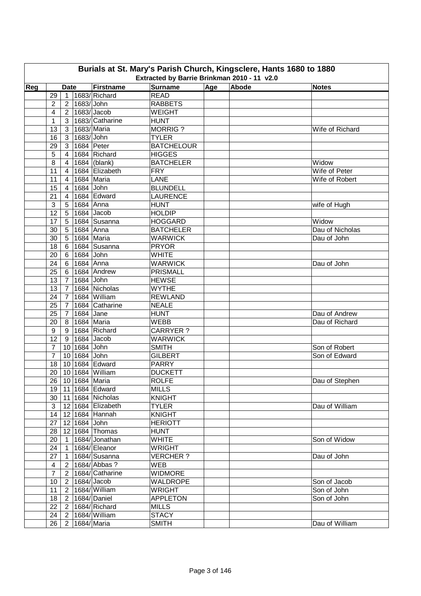| Burials at St. Mary's Parish Church, Kingsclere, Hants 1680 to 1880<br>Extracted by Barrie Brinkman 2010 - 11 v2.0 |                                                                                          |                                  |              |                            |                                   |  |  |                 |  |  |  |  |
|--------------------------------------------------------------------------------------------------------------------|------------------------------------------------------------------------------------------|----------------------------------|--------------|----------------------------|-----------------------------------|--|--|-----------------|--|--|--|--|
|                                                                                                                    | Age<br>Abode<br><b>Firstname</b><br><b>Surname</b><br>Reg<br><b>Notes</b><br><b>Date</b> |                                  |              |                            |                                   |  |  |                 |  |  |  |  |
|                                                                                                                    | 29                                                                                       | $\mathbf{1}$                     |              | 1683/Richard               | <b>READ</b>                       |  |  |                 |  |  |  |  |
|                                                                                                                    | $\overline{2}$                                                                           | 2 <sup>1</sup>                   | 1683/John    |                            | <b>RABBETS</b>                    |  |  |                 |  |  |  |  |
|                                                                                                                    | $\overline{\mathbf{4}}$                                                                  | 2 <sup>1</sup>                   |              | $1683$ /Jacob              | WEIGHT                            |  |  |                 |  |  |  |  |
|                                                                                                                    | $\mathbf{1}$                                                                             | 3 <sup>1</sup>                   |              | 1683/ Catharine            | <b>HUNT</b>                       |  |  |                 |  |  |  |  |
|                                                                                                                    | 13                                                                                       | 3 <sup>1</sup>                   | 1683/ Maria  |                            | <b>MORRIG?</b>                    |  |  | Wife of Richard |  |  |  |  |
|                                                                                                                    |                                                                                          | 3 <sup>1</sup>                   | 1683/John    |                            | <b>TYLER</b>                      |  |  |                 |  |  |  |  |
|                                                                                                                    | 16                                                                                       | $\mathbf{3}$                     | 1684 Peter   |                            | <b>BATCHELOUR</b>                 |  |  |                 |  |  |  |  |
|                                                                                                                    | 29                                                                                       | $\overline{4}$                   |              | 1684 Richard               |                                   |  |  |                 |  |  |  |  |
|                                                                                                                    | 5<br>8                                                                                   | $\overline{4}$                   |              | $1684$ (blank)             | <b>HIGGES</b><br><b>BATCHELER</b> |  |  | Widow           |  |  |  |  |
|                                                                                                                    | 11                                                                                       | $\overline{4}$                   |              | 1684 Elizabeth             | <b>FRY</b>                        |  |  | Wife of Peter   |  |  |  |  |
|                                                                                                                    |                                                                                          |                                  | 1684 Maria   |                            | <b>LANE</b>                       |  |  |                 |  |  |  |  |
|                                                                                                                    | 11<br>15                                                                                 | $\overline{4}$<br>$\overline{4}$ | 1684 John    |                            | <b>BLUNDELL</b>                   |  |  | Wife of Robert  |  |  |  |  |
|                                                                                                                    |                                                                                          |                                  |              | 1684 Edward                |                                   |  |  |                 |  |  |  |  |
|                                                                                                                    | 21                                                                                       | $\overline{4}$                   |              |                            | <b>LAURENCE</b>                   |  |  |                 |  |  |  |  |
|                                                                                                                    | 3                                                                                        | 5                                | 1684 Anna    |                            | <b>HUNT</b>                       |  |  | wife of Hugh    |  |  |  |  |
|                                                                                                                    | 12                                                                                       | 5                                |              | 1684 Jacob                 | <b>HOLDIP</b>                     |  |  |                 |  |  |  |  |
|                                                                                                                    | 17                                                                                       | 5                                |              | 1684 Susanna               | <b>HOGGARD</b>                    |  |  | Widow           |  |  |  |  |
|                                                                                                                    | 30                                                                                       | 5                                | 1684 Anna    |                            | <b>BATCHELER</b>                  |  |  | Dau of Nicholas |  |  |  |  |
|                                                                                                                    | 30                                                                                       | 5                                | 1684 Maria   |                            | <b>WARWICK</b>                    |  |  | Dau of John     |  |  |  |  |
|                                                                                                                    | 18                                                                                       | 6                                |              | 1684 Susanna               | <b>PRYOR</b>                      |  |  |                 |  |  |  |  |
|                                                                                                                    | 20                                                                                       | 6                                | 1684 John    |                            | <b>WHITE</b>                      |  |  |                 |  |  |  |  |
|                                                                                                                    | 24                                                                                       | 6                                | 1684 Anna    |                            | <b>WARWICK</b>                    |  |  | Dau of John     |  |  |  |  |
|                                                                                                                    | 25                                                                                       | 6                                |              | 1684 Andrew                | <b>PRISMALL</b>                   |  |  |                 |  |  |  |  |
|                                                                                                                    | 13                                                                                       | $\overline{7}$                   | 1684 John    |                            | <b>HEWSE</b>                      |  |  |                 |  |  |  |  |
|                                                                                                                    | 13                                                                                       | $\overline{7}$                   |              | 1684 Nicholas              | <b>WYTHE</b>                      |  |  |                 |  |  |  |  |
|                                                                                                                    | 24                                                                                       | $\overline{7}$                   |              | 1684 William               | <b>REWLAND</b>                    |  |  |                 |  |  |  |  |
|                                                                                                                    | 25                                                                                       | $7\overline{ }$                  |              | 1684 Catharine             | <b>NEALE</b>                      |  |  |                 |  |  |  |  |
|                                                                                                                    | 25                                                                                       | 7 <sup>1</sup>                   | 1684 Jane    |                            | <b>HUNT</b>                       |  |  | Dau of Andrew   |  |  |  |  |
|                                                                                                                    | 20                                                                                       | 8 <sup>1</sup>                   | 1684 Maria   |                            | <b>WEBB</b>                       |  |  | Dau of Richard  |  |  |  |  |
|                                                                                                                    | $\boldsymbol{9}$                                                                         | 9                                |              | 1684 Richard               | CARRYER ?                         |  |  |                 |  |  |  |  |
|                                                                                                                    | 12                                                                                       | 9                                |              | 1684 Jacob                 | <b>WARWICK</b>                    |  |  |                 |  |  |  |  |
|                                                                                                                    | $\overline{7}$                                                                           |                                  | 10 1684 John |                            | <b>SMITH</b>                      |  |  | Son of Robert   |  |  |  |  |
|                                                                                                                    | $\overline{7}$                                                                           |                                  | 10 1684 John |                            | <b>GILBERT</b>                    |  |  | Son of Edward   |  |  |  |  |
|                                                                                                                    | 18                                                                                       |                                  |              | 10 1684 Edward             | <b>PARRY</b>                      |  |  |                 |  |  |  |  |
|                                                                                                                    | 20                                                                                       |                                  |              | 10 1684 William            | <b>DUCKETT</b>                    |  |  |                 |  |  |  |  |
|                                                                                                                    |                                                                                          |                                  |              | 26 10 1684 Maria           | <b>ROLFE</b>                      |  |  | Dau of Stephen  |  |  |  |  |
|                                                                                                                    |                                                                                          |                                  |              | 19   11   1684 Edward      | <b>MILLS</b>                      |  |  |                 |  |  |  |  |
|                                                                                                                    |                                                                                          |                                  |              | 30   11   1684   Nicholas  | <b>KNIGHT</b>                     |  |  |                 |  |  |  |  |
|                                                                                                                    | 3                                                                                        |                                  |              | 12 1684 Elizabeth          | <b>TYLER</b>                      |  |  | Dau of William  |  |  |  |  |
|                                                                                                                    | 14                                                                                       |                                  |              | 12 1684 Hannah             | <b>KNIGHT</b>                     |  |  |                 |  |  |  |  |
|                                                                                                                    | 27                                                                                       |                                  | 12 1684 John |                            | <b>HERIOTT</b>                    |  |  |                 |  |  |  |  |
|                                                                                                                    | 28                                                                                       |                                  |              | 12 1684 Thomas             | <b>HUNT</b>                       |  |  |                 |  |  |  |  |
|                                                                                                                    | 20                                                                                       | $\vert$ 1                        |              | 1684/Jonathan              | <b>WHITE</b>                      |  |  | Son of Widow    |  |  |  |  |
|                                                                                                                    | 24                                                                                       | $\overline{1}$                   |              | 1684/ Eleanor              | <b>WRIGHT</b>                     |  |  |                 |  |  |  |  |
|                                                                                                                    | 27                                                                                       | $\mathbf{1}$                     |              | 1684/Susanna               | <b>VERCHER?</b>                   |  |  | Dau of John     |  |  |  |  |
|                                                                                                                    | 4                                                                                        | 2 <sup>1</sup>                   |              | 1684/ Abbas ?              | <b>WEB</b>                        |  |  |                 |  |  |  |  |
|                                                                                                                    | $\overline{7}$                                                                           | 2 <sup>1</sup>                   |              | 1684/ Catharine            | <b>WIDMORE</b>                    |  |  |                 |  |  |  |  |
|                                                                                                                    | 10 <sub>1</sub>                                                                          |                                  |              | $\overline{2}$ 1684/ Jacob | <b>WALDROPE</b>                   |  |  | Son of Jacob    |  |  |  |  |
|                                                                                                                    | 11                                                                                       | 2 <sup>1</sup>                   |              | 1684/William               | <b>WRIGHT</b>                     |  |  | Son of John     |  |  |  |  |
|                                                                                                                    | 18                                                                                       | 2 <sup>1</sup>                   |              | 1684/Daniel                | <b>APPLETON</b>                   |  |  | Son of John     |  |  |  |  |
|                                                                                                                    | 22                                                                                       | 2 <sup>1</sup>                   |              | 1684/Richard               | <b>MILLS</b>                      |  |  |                 |  |  |  |  |
|                                                                                                                    | 24                                                                                       | 2 <sup>1</sup>                   |              | 1684/William               | <b>STACY</b>                      |  |  |                 |  |  |  |  |
|                                                                                                                    | 26                                                                                       |                                  |              | 2   1684/ Maria            | <b>SMITH</b>                      |  |  | Dau of William  |  |  |  |  |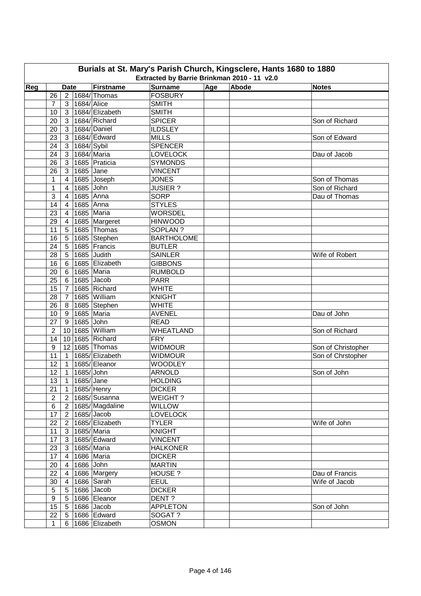| Burials at St. Mary's Parish Church, Kingsclere, Hants 1680 to 1880 |                                             |                 |               |                  |                   |     |       |                    |  |  |  |  |
|---------------------------------------------------------------------|---------------------------------------------|-----------------|---------------|------------------|-------------------|-----|-------|--------------------|--|--|--|--|
|                                                                     | Extracted by Barrie Brinkman 2010 - 11 v2.0 |                 |               |                  |                   |     |       |                    |  |  |  |  |
| Reg                                                                 |                                             | <b>Date</b>     |               | <b>Firstname</b> | <b>Surname</b>    | Age | Abode | <b>Notes</b>       |  |  |  |  |
|                                                                     | 26                                          | $\overline{2}$  |               | 1684/Thomas      | <b>FOSBURY</b>    |     |       |                    |  |  |  |  |
|                                                                     | $\overline{7}$                              | 3               | 1684/ Alice   |                  | <b>SMITH</b>      |     |       |                    |  |  |  |  |
|                                                                     | 10                                          | $\mathbf{3}$    |               | 1684/ Elizabeth  | <b>SMITH</b>      |     |       |                    |  |  |  |  |
|                                                                     | 20                                          | 3               |               | 1684/Richard     | <b>SPICER</b>     |     |       | Son of Richard     |  |  |  |  |
|                                                                     | 20                                          | 3               |               | 1684/Daniel      | <b>ILDSLEY</b>    |     |       |                    |  |  |  |  |
|                                                                     | 23                                          | 3               |               | 1684/ Edward     | <b>MILLS</b>      |     |       | Son of Edward      |  |  |  |  |
|                                                                     | 24                                          | 3               | $1684$ /Sybil |                  | <b>SPENCER</b>    |     |       |                    |  |  |  |  |
|                                                                     | 24                                          | $\mathbf{3}$    |               | 1684/Maria       | <b>LOVELOCK</b>   |     |       | Dau of Jacob       |  |  |  |  |
|                                                                     | 26                                          | $\mathbf{3}$    |               | 1685 Praticia    | <b>SYMONDS</b>    |     |       |                    |  |  |  |  |
|                                                                     | 26                                          | 3               | 1685 Jane     |                  | <b>VINCENT</b>    |     |       |                    |  |  |  |  |
|                                                                     | 1                                           | 4               |               | 1685 Joseph      | <b>JONES</b>      |     |       | Son of Thomas      |  |  |  |  |
|                                                                     | 1                                           | 4               | 1685 John     |                  | <b>JUSIER?</b>    |     |       | Son of Richard     |  |  |  |  |
|                                                                     | 3                                           | 4               | 1685 Anna     |                  | <b>SORP</b>       |     |       | Dau of Thomas      |  |  |  |  |
|                                                                     | 14                                          | 4               | 1685 Anna     |                  | <b>STYLES</b>     |     |       |                    |  |  |  |  |
|                                                                     | 23                                          | 4               |               | 1685 Maria       | <b>WORSDEL</b>    |     |       |                    |  |  |  |  |
|                                                                     | 29                                          | $\overline{4}$  |               | 1685 Margeret    | <b>HINWOOD</b>    |     |       |                    |  |  |  |  |
|                                                                     | 11                                          | 5               |               | 1685 Thomas      | SOPLAN?           |     |       |                    |  |  |  |  |
|                                                                     | 16                                          | 5               |               | 1685 Stephen     | <b>BARTHOLOME</b> |     |       |                    |  |  |  |  |
|                                                                     | 24                                          | 5               |               | 1685 Francis     | <b>BUTLER</b>     |     |       |                    |  |  |  |  |
|                                                                     | 28                                          | $\sqrt{5}$      |               | 1685 Judith      | <b>SAINLER</b>    |     |       | Wife of Robert     |  |  |  |  |
|                                                                     | 16                                          | 6               |               | 1685 Elizabeth   | <b>GIBBONS</b>    |     |       |                    |  |  |  |  |
|                                                                     | 20                                          | 6               |               | 1685 Maria       | <b>RUMBOLD</b>    |     |       |                    |  |  |  |  |
|                                                                     | 25                                          | 6               |               | 1685 Jacob       | <b>PARR</b>       |     |       |                    |  |  |  |  |
|                                                                     | 15                                          | 7               |               | 1685 Richard     | <b>WHITE</b>      |     |       |                    |  |  |  |  |
|                                                                     | 28                                          | $\overline{7}$  |               | 1685 William     | <b>KNIGHT</b>     |     |       |                    |  |  |  |  |
|                                                                     | 26                                          | 8               |               | 1685 Stephen     | WHITE             |     |       |                    |  |  |  |  |
|                                                                     | 10                                          | 9               |               | 1685 Maria       | <b>AVENEL</b>     |     |       | Dau of John        |  |  |  |  |
|                                                                     | 27                                          | 9               | 1685 John     |                  | <b>READ</b>       |     |       |                    |  |  |  |  |
|                                                                     | $\overline{2}$                              |                 |               | 10 1685 William  | WHEATLAND         |     |       | Son of Richard     |  |  |  |  |
|                                                                     | 14                                          | 10 <sup>1</sup> |               | 1685 Richard     | <b>FRY</b>        |     |       |                    |  |  |  |  |
|                                                                     | 9                                           | 12 <sub>2</sub> |               | 1685 Thomas      | <b>WIDMOUR</b>    |     |       | Son of Christopher |  |  |  |  |
|                                                                     | 11                                          | $\mathbf{1}$    |               | 1685/ Elizabeth  | <b>WIDMOUR</b>    |     |       | Son of Chrstopher  |  |  |  |  |
|                                                                     | 12                                          | $\mathbf{1}$    |               | 1685/ Eleanor    | <b>WOODLEY</b>    |     |       |                    |  |  |  |  |
|                                                                     | 12                                          | $\mathbf{1}$    | 1685/ John    |                  | <b>ARNOLD</b>     |     |       | Son of John        |  |  |  |  |
|                                                                     | $\overline{13}$                             |                 | 1 1685/ Jane  |                  | <b>HOLDING</b>    |     |       |                    |  |  |  |  |
|                                                                     | 21                                          | $\mathbf{1}$    |               | 1685/Henry       | <b>DICKER</b>     |     |       |                    |  |  |  |  |
|                                                                     | $\boldsymbol{2}$                            | $2^{\circ}$     |               | 1685/Susanna     | WEIGHT?           |     |       |                    |  |  |  |  |
|                                                                     | 6                                           | 2 <sup>1</sup>  |               | 1685/Magdaline   | WILLOW            |     |       |                    |  |  |  |  |
|                                                                     | 17                                          | $2^{\circ}$     |               | $1685$ /Jacob    | <b>LOVELOCK</b>   |     |       |                    |  |  |  |  |
|                                                                     | 22                                          | $2^{\circ}$     |               | 1685/ Elizabeth  | <b>TYLER</b>      |     |       | Wife of John       |  |  |  |  |
|                                                                     | 11                                          | $\mathbf{3}$    |               | 1685/Maria       | <b>KNIGHT</b>     |     |       |                    |  |  |  |  |
|                                                                     | 17                                          | $\mathbf{3}$    |               | 1685/ Edward     | <b>VINCENT</b>    |     |       |                    |  |  |  |  |
|                                                                     | 23                                          | $\mathbf{3}$    |               | 1685/Maria       | <b>HALKONER</b>   |     |       |                    |  |  |  |  |
|                                                                     |                                             |                 |               |                  | <b>DICKER</b>     |     |       |                    |  |  |  |  |
|                                                                     | 17                                          | $\overline{4}$  |               | 1686 Maria       |                   |     |       |                    |  |  |  |  |
|                                                                     | 20                                          | $\overline{4}$  | 1686 John     |                  | <b>MARTIN</b>     |     |       |                    |  |  |  |  |
|                                                                     | 22                                          | $\overline{4}$  |               | 1686 Margery     | HOUSE?            |     |       | Dau of Francis     |  |  |  |  |
|                                                                     | 30                                          | $\overline{4}$  |               | 1686 Sarah       | <b>EEUL</b>       |     |       | Wife of Jacob      |  |  |  |  |
|                                                                     | $\sqrt{5}$                                  | 5 <sup>5</sup>  |               | 1686 Jacob       | <b>DICKER</b>     |     |       |                    |  |  |  |  |
|                                                                     | 9                                           | 5               |               | 1686 Eleanor     | DENT?             |     |       |                    |  |  |  |  |
|                                                                     | 15 <sub>15</sub>                            | $5\overline{)}$ |               | 1686 Jacob       | <b>APPLETON</b>   |     |       | Son of John        |  |  |  |  |
|                                                                     | 22                                          | $5\overline{)}$ |               | 1686 Edward      | SOGAT ?           |     |       |                    |  |  |  |  |
|                                                                     | $\mathbf{1}$                                | 6               |               | 1686 Elizabeth   | <b>OSMON</b>      |     |       |                    |  |  |  |  |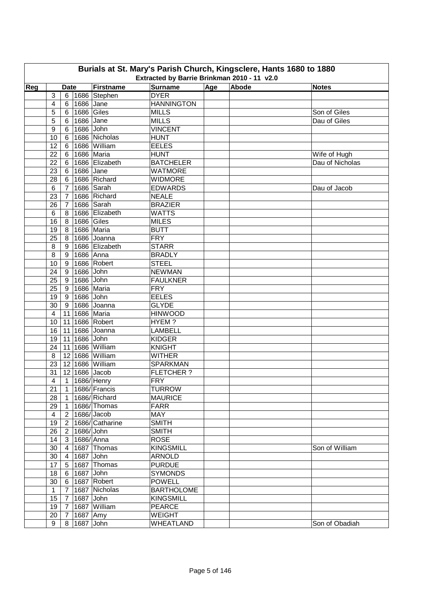| Burials at St. Mary's Parish Church, Kingsclere, Hants 1680 to 1880<br>Extracted by Barrie Brinkman 2010 - 11 v2.0 |                |                |             |                 |                   |  |  |                                 |  |  |  |
|--------------------------------------------------------------------------------------------------------------------|----------------|----------------|-------------|-----------------|-------------------|--|--|---------------------------------|--|--|--|
| Abode<br>Age<br><b>Firstname</b><br><b>Surname</b><br>Reg<br><b>Notes</b><br><b>Date</b>                           |                |                |             |                 |                   |  |  |                                 |  |  |  |
|                                                                                                                    | 3              | 6              |             | 1686 Stephen    | <b>DYER</b>       |  |  |                                 |  |  |  |
|                                                                                                                    | 4              | 6              | 1686 Jane   |                 | <b>HANNINGTON</b> |  |  |                                 |  |  |  |
|                                                                                                                    | 5              | 6 <sup>1</sup> | 1686 Giles  |                 | <b>MILLS</b>      |  |  | Son of Giles                    |  |  |  |
|                                                                                                                    | 5              | 6              | 1686 Jane   |                 | <b>MILLS</b>      |  |  | Dau of Giles                    |  |  |  |
|                                                                                                                    | 9              | 6              | 1686 John   |                 | <b>VINCENT</b>    |  |  |                                 |  |  |  |
|                                                                                                                    | 10             | 6              |             | 1686 Nicholas   | <b>HUNT</b>       |  |  |                                 |  |  |  |
|                                                                                                                    | 12             | 6              |             | 1686 William    | <b>EELES</b>      |  |  |                                 |  |  |  |
|                                                                                                                    | 22             |                |             | 1686 Maria      | <b>HUNT</b>       |  |  |                                 |  |  |  |
|                                                                                                                    | 22             | 6<br>6         |             | 1686 Elizabeth  | <b>BATCHELER</b>  |  |  | Wife of Hugh<br>Dau of Nicholas |  |  |  |
|                                                                                                                    |                |                | 1686 Jane   |                 | <b>WATMORE</b>    |  |  |                                 |  |  |  |
|                                                                                                                    | 23             | 6              |             | 1686 Richard    |                   |  |  |                                 |  |  |  |
|                                                                                                                    | 28             | 6              |             | 1686 Sarah      | <b>WIDMORE</b>    |  |  | Dau of Jacob                    |  |  |  |
|                                                                                                                    | 6              | $\overline{7}$ |             |                 | <b>EDWARDS</b>    |  |  |                                 |  |  |  |
|                                                                                                                    | 23             | $\overline{7}$ |             | 1686 Richard    | <b>NEALE</b>      |  |  |                                 |  |  |  |
|                                                                                                                    | 26             | 7              |             | 1686 Sarah      | <b>BRAZIER</b>    |  |  |                                 |  |  |  |
|                                                                                                                    | 6              | 8              |             | 1686 Elizabeth  | <b>WATTS</b>      |  |  |                                 |  |  |  |
|                                                                                                                    | 16             | 8              | 1686 Giles  |                 | <b>MILES</b>      |  |  |                                 |  |  |  |
|                                                                                                                    | 19             | 8              |             | 1686 Maria      | <b>BUTT</b>       |  |  |                                 |  |  |  |
|                                                                                                                    | 25             | 8              |             | 1686 Joanna     | <b>FRY</b>        |  |  |                                 |  |  |  |
|                                                                                                                    | 8              | 9              |             | 1686 Elizabeth  | <b>STARR</b>      |  |  |                                 |  |  |  |
|                                                                                                                    | 8              | 9              | 1686 Anna   |                 | <b>BRADLY</b>     |  |  |                                 |  |  |  |
|                                                                                                                    | 10             | 9              |             | 1686 Robert     | <b>STEEL</b>      |  |  |                                 |  |  |  |
|                                                                                                                    | 24             | 9              | 1686 John   |                 | <b>NEWMAN</b>     |  |  |                                 |  |  |  |
|                                                                                                                    | 25             | 9              | 1686 John   |                 | <b>FAULKNER</b>   |  |  |                                 |  |  |  |
|                                                                                                                    | 25             | 9              |             | 1686 Maria      | <b>FRY</b>        |  |  |                                 |  |  |  |
|                                                                                                                    | 19             | 9              | 1686 John   |                 | <b>EELES</b>      |  |  |                                 |  |  |  |
|                                                                                                                    | 30             | 9              |             | 1686 Joanna     | <b>GLYDE</b>      |  |  |                                 |  |  |  |
|                                                                                                                    | $\overline{4}$ |                |             | 11 1686 Maria   | <b>HINWOOD</b>    |  |  |                                 |  |  |  |
|                                                                                                                    | 10             | 11             |             | 1686 Robert     | HYEM?             |  |  |                                 |  |  |  |
|                                                                                                                    | 16             | 11             |             | 1686 Joanna     | <b>LAMBELL</b>    |  |  |                                 |  |  |  |
|                                                                                                                    | 19             | 11             | 1686 John   |                 | <b>KIDGER</b>     |  |  |                                 |  |  |  |
|                                                                                                                    | 24             |                |             | 11 1686 William | <b>KNIGHT</b>     |  |  |                                 |  |  |  |
|                                                                                                                    | 8              |                |             | 12 1686 William | <b>WITHER</b>     |  |  |                                 |  |  |  |
|                                                                                                                    | 23             |                |             | 12 1686 William | <b>SPARKMAN</b>   |  |  |                                 |  |  |  |
|                                                                                                                    | 31             |                |             | 12 1686 Jacob   | <b>FLETCHER?</b>  |  |  |                                 |  |  |  |
|                                                                                                                    | $\overline{4}$ |                |             | 1 1686/ Henry   | <b>FRY</b>        |  |  |                                 |  |  |  |
|                                                                                                                    | 21             | $\mathbf{1}$   |             | 1686/Francis    | <b>TURROW</b>     |  |  |                                 |  |  |  |
|                                                                                                                    | 28             | $\overline{1}$ |             | 1686/Richard    | <b>MAURICE</b>    |  |  |                                 |  |  |  |
|                                                                                                                    | 29             | $\overline{1}$ |             | 1686/Thomas     | <b>FARR</b>       |  |  |                                 |  |  |  |
|                                                                                                                    | $\overline{4}$ | $2^{\circ}$    |             | $1686$ /Jacob   | MAY               |  |  |                                 |  |  |  |
|                                                                                                                    | 19             | $\overline{2}$ |             | 1686/ Catharine | <b>SMITH</b>      |  |  |                                 |  |  |  |
|                                                                                                                    | 26             | $\overline{2}$ | 1686/John   |                 | <b>SMITH</b>      |  |  |                                 |  |  |  |
|                                                                                                                    | 14             | 3 <sup>1</sup> |             | 1686/Anna       | <b>ROSE</b>       |  |  |                                 |  |  |  |
|                                                                                                                    | 30             | $\overline{4}$ |             | 1687 Thomas     | <b>KINGSMILL</b>  |  |  | Son of William                  |  |  |  |
|                                                                                                                    | 30             | $\overline{4}$ | 1687 John   |                 | <b>ARNOLD</b>     |  |  |                                 |  |  |  |
|                                                                                                                    | 17             |                |             | 5 1687 Thomas   | <b>PURDUE</b>     |  |  |                                 |  |  |  |
|                                                                                                                    | 18             |                | 6 1687 John |                 | <b>SYMONDS</b>    |  |  |                                 |  |  |  |
|                                                                                                                    | 30             |                |             | 6 1687 Robert   | <b>POWELL</b>     |  |  |                                 |  |  |  |
|                                                                                                                    | $\mathbf{1}$   | 7 <sup>1</sup> |             | 1687 Nicholas   | <b>BARTHOLOME</b> |  |  |                                 |  |  |  |
|                                                                                                                    | 15             | 7 <sup>1</sup> | 1687 John   |                 | <b>KINGSMILL</b>  |  |  |                                 |  |  |  |
|                                                                                                                    | 19             | $\overline{7}$ |             | 1687 William    | <b>PEARCE</b>     |  |  |                                 |  |  |  |
|                                                                                                                    | 20             | 7 <sup>1</sup> | 1687 Amy    |                 | <b>WEIGHT</b>     |  |  |                                 |  |  |  |
|                                                                                                                    | 9              |                | 8 1687 John |                 | WHEATLAND         |  |  | Son of Obadiah                  |  |  |  |
|                                                                                                                    |                |                |             |                 |                   |  |  |                                 |  |  |  |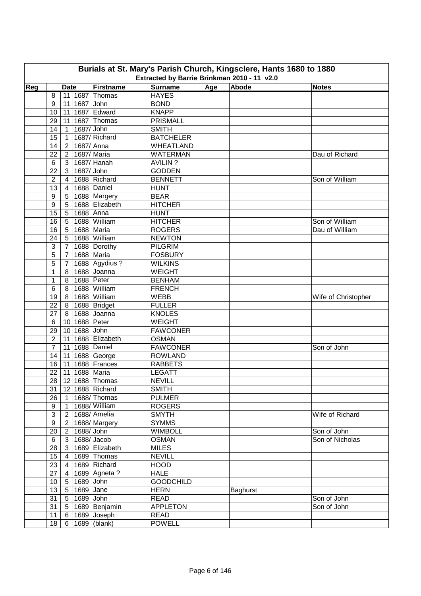| Burials at St. Mary's Parish Church, Kingsclere, Hants 1680 to 1880<br>Extracted by Barrie Brinkman 2010 - 11 v2.0 |                  |                     |               |                      |                               |     |          |                     |  |  |
|--------------------------------------------------------------------------------------------------------------------|------------------|---------------------|---------------|----------------------|-------------------------------|-----|----------|---------------------|--|--|
| Reg                                                                                                                |                  | <b>Date</b>         |               | Firstname            | <b>Surname</b>                | Age | Abode    | <b>Notes</b>        |  |  |
|                                                                                                                    | 8                |                     | 11 1687       | Thomas               | <b>HAYES</b>                  |     |          |                     |  |  |
|                                                                                                                    | 9                |                     | 11 1687 John  |                      | <b>BOND</b>                   |     |          |                     |  |  |
|                                                                                                                    | 10               |                     |               | 11 1687 Edward       | <b>KNAPP</b>                  |     |          |                     |  |  |
|                                                                                                                    | 29               |                     |               | 11 1687 Thomas       | <b>PRISMALL</b>               |     |          |                     |  |  |
|                                                                                                                    | 14               | $\overline{1}$      | 1687/ John    |                      | <b>SMITH</b>                  |     |          |                     |  |  |
|                                                                                                                    | 15               | $\overline{1}$      |               | 1687/Richard         | <b>BATCHELER</b>              |     |          |                     |  |  |
|                                                                                                                    | 14               | $2^{\circ}$         |               | $1687/$ Anna         | <b>WHEATLAND</b>              |     |          |                     |  |  |
|                                                                                                                    | 22               | $\overline{2}$      |               | 1687/Maria           | <b>WATERMAN</b>               |     |          | Dau of Richard      |  |  |
|                                                                                                                    |                  | 3 <sup>1</sup>      |               | 1687/Hanah           | <b>AVILIN?</b>                |     |          |                     |  |  |
|                                                                                                                    | 6<br>22          | 3                   | 1687/ John    |                      | <b>GODDEN</b>                 |     |          |                     |  |  |
|                                                                                                                    | $\overline{2}$   |                     |               | 1688 Richard         |                               |     |          | Son of William      |  |  |
|                                                                                                                    | 13               | 4<br>$\overline{4}$ |               | 1688 Daniel          | <b>BENNETT</b><br><b>HUNT</b> |     |          |                     |  |  |
|                                                                                                                    |                  |                     |               |                      |                               |     |          |                     |  |  |
|                                                                                                                    | 9                | 5                   |               | 1688 Margery         | <b>BEAR</b>                   |     |          |                     |  |  |
|                                                                                                                    | 9                | 5                   |               | 1688 Elizabeth       | <b>HITCHER</b>                |     |          |                     |  |  |
|                                                                                                                    | 15               | 5                   | 1688 Anna     |                      | <b>HUNT</b>                   |     |          |                     |  |  |
|                                                                                                                    | 16               | 5                   |               | 1688 William         | <b>HITCHER</b>                |     |          | Son of William      |  |  |
|                                                                                                                    | 16               | 5                   |               | 1688 Maria           | <b>ROGERS</b>                 |     |          | Dau of William      |  |  |
|                                                                                                                    | 24               | 5                   |               | 1688 William         | <b>NEWTON</b>                 |     |          |                     |  |  |
|                                                                                                                    | 3                | $\overline{7}$      |               | 1688 Dorothy         | PILGRIM                       |     |          |                     |  |  |
|                                                                                                                    | 5                | $\overline{7}$      |               | 1688 Maria           | <b>FOSBURY</b>                |     |          |                     |  |  |
|                                                                                                                    | 5                | $\overline{7}$      |               | 1688 Agydius ?       | <b>WILKINS</b>                |     |          |                     |  |  |
|                                                                                                                    | 1                | 8                   |               | 1688 Joanna          | <b>WEIGHT</b>                 |     |          |                     |  |  |
|                                                                                                                    | $\mathbf{1}$     | 8                   |               | 1688 Peter           | <b>BENHAM</b>                 |     |          |                     |  |  |
|                                                                                                                    | 6                | 8                   |               | 1688 William         | <b>FRENCH</b>                 |     |          |                     |  |  |
|                                                                                                                    | 19               |                     |               | 8   1688   William   | <b>WEBB</b>                   |     |          | Wife of Christopher |  |  |
|                                                                                                                    | 22               |                     |               | 8 1688 Bridget       | <b>FULLER</b>                 |     |          |                     |  |  |
|                                                                                                                    | 27               |                     |               | 8 1688 Joanna        | <b>KNOLES</b>                 |     |          |                     |  |  |
|                                                                                                                    | $\,6$            |                     | 10 1688 Peter |                      | <b>WEIGHT</b>                 |     |          |                     |  |  |
|                                                                                                                    | 29               |                     | 10 1688 John  |                      | <b>FAWCONER</b>               |     |          |                     |  |  |
|                                                                                                                    | $\overline{2}$   | 11                  |               | 1688 Elizabeth       | <b>OSMAN</b>                  |     |          |                     |  |  |
|                                                                                                                    | $\overline{7}$   |                     |               | 11 1688 Daniel       | <b>FAWCONER</b>               |     |          | Son of John         |  |  |
|                                                                                                                    | 14               |                     |               | 11 1688 George       | <b>ROWLAND</b>                |     |          |                     |  |  |
|                                                                                                                    | 16               |                     |               | 11 1688 Frances      | <b>RABBETS</b>                |     |          |                     |  |  |
|                                                                                                                    | 22               |                     |               | 11 1688 Maria        | <b>LEGATT</b>                 |     |          |                     |  |  |
|                                                                                                                    |                  |                     |               | 28 12 1688 Thomas    | <b>NEVILL</b>                 |     |          |                     |  |  |
|                                                                                                                    | 31               |                     |               | 12 1688 Richard      | <b>SMITH</b>                  |     |          |                     |  |  |
|                                                                                                                    | 26               | 1                   |               | 1688/Thomas          | <b>PULMER</b>                 |     |          |                     |  |  |
|                                                                                                                    | 9                | $\mathbf{1}$        |               | 1688/William         | <b>ROGERS</b>                 |     |          |                     |  |  |
|                                                                                                                    | $\mathsf 3$      | 2 <sup>1</sup>      |               | 1688/Amelia          | <b>SMYTH</b>                  |     |          | Wife of Richard     |  |  |
|                                                                                                                    | $\boldsymbol{9}$ | 2 <sup>1</sup>      |               | 1688/Margery         | <b>SYMMS</b>                  |     |          |                     |  |  |
|                                                                                                                    | 20               | $\overline{2}$      | 1688/John     |                      | <b>WIMBOLL</b>                |     |          | Son of John         |  |  |
|                                                                                                                    | 6                | 3 <sup>1</sup>      |               | $1688$ /Jacob        | <b>OSMAN</b>                  |     |          | Son of Nicholas     |  |  |
|                                                                                                                    | 28               |                     |               | 3   1689   Elizabeth | <b>MILES</b>                  |     |          |                     |  |  |
|                                                                                                                    | 15               | 4                   |               | 1689 Thomas          | <b>NEVILL</b>                 |     |          |                     |  |  |
|                                                                                                                    | 23               | 4                   |               | 1689 Richard         | <b>HOOD</b>                   |     |          |                     |  |  |
|                                                                                                                    | 27               | 4                   |               | 1689 Agneta ?        | <b>HALE</b>                   |     |          |                     |  |  |
|                                                                                                                    | 10               |                     | 5   1689 John |                      | <b>GOODCHILD</b>              |     |          |                     |  |  |
|                                                                                                                    | 13               |                     | 5 1689 Jane   |                      | <b>HERN</b>                   |     | Baghurst |                     |  |  |
|                                                                                                                    | 31               | 5 <sup>1</sup>      | 1689 John     |                      | <b>READ</b>                   |     |          | Son of John         |  |  |
|                                                                                                                    | 31               | 5 <sup>1</sup>      |               | 1689 Benjamin        | <b>APPLETON</b>               |     |          | Son of John         |  |  |
|                                                                                                                    | 11               | 6                   |               | 1689 Joseph          | <b>READ</b>                   |     |          |                     |  |  |
|                                                                                                                    | 18               |                     |               | 6   1689 $ $ (blank) | <b>POWELL</b>                 |     |          |                     |  |  |
|                                                                                                                    |                  |                     |               |                      |                               |     |          |                     |  |  |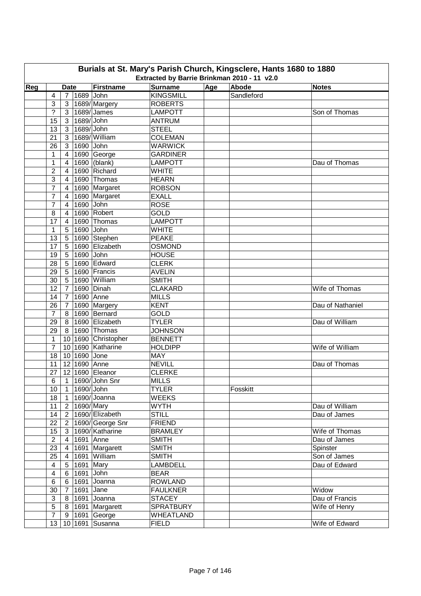| Burials at St. Mary's Parish Church, Kingsclere, Hants 1680 to 1880 |                                                                                                           |                |              |                           |                  |     |            |                  |  |  |  |  |
|---------------------------------------------------------------------|-----------------------------------------------------------------------------------------------------------|----------------|--------------|---------------------------|------------------|-----|------------|------------------|--|--|--|--|
|                                                                     | Extracted by Barrie Brinkman 2010 - 11 v2.0<br>Abode<br><b>Firstname</b><br><b>Surname</b><br><b>Date</b> |                |              |                           |                  |     |            |                  |  |  |  |  |
| Reg                                                                 |                                                                                                           |                |              |                           |                  | Age |            | <b>Notes</b>     |  |  |  |  |
|                                                                     | 4                                                                                                         | $\overline{7}$ | 1689 John    |                           | <b>KINGSMILL</b> |     | Sandleford |                  |  |  |  |  |
|                                                                     | 3                                                                                                         | 3              |              | 1689/Margery              | <b>ROBERTS</b>   |     |            |                  |  |  |  |  |
|                                                                     | $\tilde{?}$                                                                                               | 3              |              | 1689/James                | <b>LAMPOTT</b>   |     |            | Son of Thomas    |  |  |  |  |
|                                                                     | 15                                                                                                        | 3              | 1689/ John   |                           | <b>ANTRUM</b>    |     |            |                  |  |  |  |  |
|                                                                     | 13                                                                                                        | 3              | 1689/ John   |                           | <b>STEEL</b>     |     |            |                  |  |  |  |  |
|                                                                     | 21                                                                                                        | 3              |              | 1689/William              | <b>COLEMAN</b>   |     |            |                  |  |  |  |  |
|                                                                     | 26                                                                                                        | 3 <sup>1</sup> | 1690 John    |                           | <b>WARWICK</b>   |     |            |                  |  |  |  |  |
|                                                                     | 1                                                                                                         | $\overline{4}$ |              | 1690 George               | <b>GARDINER</b>  |     |            |                  |  |  |  |  |
|                                                                     | 1                                                                                                         | 4              |              | $\overline{1690}$ (blank) | <b>LAMPOTT</b>   |     |            | Dau of Thomas    |  |  |  |  |
|                                                                     | $\overline{2}$                                                                                            | 4              |              | 1690 Richard              | <b>WHITE</b>     |     |            |                  |  |  |  |  |
|                                                                     | 3                                                                                                         | 4              |              | 1690 Thomas               | <b>HEARN</b>     |     |            |                  |  |  |  |  |
|                                                                     | 7                                                                                                         | $\overline{4}$ |              | 1690 Margaret             | <b>ROBSON</b>    |     |            |                  |  |  |  |  |
|                                                                     | 7                                                                                                         | 4              |              | 1690 Margaret             | <b>EXALL</b>     |     |            |                  |  |  |  |  |
|                                                                     | 7                                                                                                         | 4              | 1690 John    |                           | <b>ROSE</b>      |     |            |                  |  |  |  |  |
|                                                                     | 8                                                                                                         | 4              |              | 1690 Robert               | <b>GOLD</b>      |     |            |                  |  |  |  |  |
|                                                                     | 17                                                                                                        | 4              |              | 1690 Thomas               | <b>LAMPOTT</b>   |     |            |                  |  |  |  |  |
|                                                                     | 1                                                                                                         | 5              | 1690 John    |                           | <b>WHITE</b>     |     |            |                  |  |  |  |  |
|                                                                     | 13                                                                                                        | 5              |              | 1690 Stephen              | <b>PEAKE</b>     |     |            |                  |  |  |  |  |
|                                                                     | 17                                                                                                        | 5              |              | 1690 Elizabeth            | <b>OSMOND</b>    |     |            |                  |  |  |  |  |
|                                                                     | 19                                                                                                        | $\sqrt{5}$     | 1690 John    |                           | <b>HOUSE</b>     |     |            |                  |  |  |  |  |
|                                                                     | 28                                                                                                        | 5              |              | 1690 Edward               | <b>CLERK</b>     |     |            |                  |  |  |  |  |
|                                                                     | 29                                                                                                        | 5              |              | 1690 Francis              | <b>AVELIN</b>    |     |            |                  |  |  |  |  |
|                                                                     | 30                                                                                                        | 5              |              | 1690 William              | <b>SMITH</b>     |     |            |                  |  |  |  |  |
|                                                                     | 12                                                                                                        | $\overline{7}$ |              | 1690 Dinah                | <b>CLAKARD</b>   |     |            | Wife of Thomas   |  |  |  |  |
|                                                                     | 14                                                                                                        | $\overline{7}$ | 1690 Anne    |                           | <b>MILLS</b>     |     |            |                  |  |  |  |  |
|                                                                     | 26                                                                                                        | $\overline{7}$ |              | 1690 Margery              | <b>KENT</b>      |     |            | Dau of Nathaniel |  |  |  |  |
|                                                                     | $\overline{7}$                                                                                            | 8              |              | 1690 Bernard              | <b>GOLD</b>      |     |            |                  |  |  |  |  |
|                                                                     | 29                                                                                                        | 8              |              | 1690 Elizabeth            | <b>TYLER</b>     |     |            | Dau of William   |  |  |  |  |
|                                                                     | 29                                                                                                        | 8 <sup>1</sup> |              | 1690 Thomas               | <b>JOHNSON</b>   |     |            |                  |  |  |  |  |
|                                                                     | 1                                                                                                         |                |              | 10 1690 Christopher       | <b>BENNETT</b>   |     |            |                  |  |  |  |  |
|                                                                     | $\overline{7}$                                                                                            |                |              | 10 1690 Katharine         | <b>HOLDIPP</b>   |     |            | Wife of William  |  |  |  |  |
|                                                                     | 18                                                                                                        |                | 10 1690 Jone |                           | <b>MAY</b>       |     |            |                  |  |  |  |  |
|                                                                     | 11                                                                                                        |                | 12 1690 Anne |                           | <b>NEVILL</b>    |     |            | Dau of Thomas    |  |  |  |  |
|                                                                     | 27                                                                                                        |                |              | 12 1690 Eleanor           | <b>CLERKE</b>    |     |            |                  |  |  |  |  |
|                                                                     | $6 \overline{}$                                                                                           |                |              | 1 1690/ John Snr          | <b>MILLS</b>     |     |            |                  |  |  |  |  |
|                                                                     | 10                                                                                                        | $\mathbf{1}$   | 1690/John    |                           | <b>TYLER</b>     |     | Fosskitt   |                  |  |  |  |  |
|                                                                     | 18                                                                                                        | $\mathbf{1}$   |              | 1690/Joanna               | <b>WEEKS</b>     |     |            |                  |  |  |  |  |
|                                                                     | 11                                                                                                        | 2 <sup>1</sup> | 1690/Mary    |                           | <b>WYTH</b>      |     |            | Dau of William   |  |  |  |  |
|                                                                     | 14                                                                                                        | 2 <sup>1</sup> |              | 1690/Elizabeth            | <b>STILL</b>     |     |            | Dau of James     |  |  |  |  |
|                                                                     | 22                                                                                                        | 2 <sup>1</sup> |              | 1690/George Snr           | <b>FRIEND</b>    |     |            |                  |  |  |  |  |
|                                                                     | 15                                                                                                        | 3 <sup>1</sup> |              | 1690/Katharine            | <b>BRAMLEY</b>   |     |            | Wife of Thomas   |  |  |  |  |
|                                                                     | $\overline{2}$                                                                                            | $\overline{4}$ | 1691 Anne    |                           |                  |     |            |                  |  |  |  |  |
|                                                                     |                                                                                                           |                |              |                           | <b>SMITH</b>     |     |            | Dau of James     |  |  |  |  |
|                                                                     | 23                                                                                                        | $\overline{4}$ |              | 1691 Margarett            | <b>SMITH</b>     |     |            | Spinster         |  |  |  |  |
|                                                                     | 25                                                                                                        | $\overline{4}$ |              | 1691 William              | <b>SMITH</b>     |     |            | Son of James     |  |  |  |  |
|                                                                     | 4                                                                                                         | 5 <sup>5</sup> | 1691 Mary    |                           | LAMBDELL         |     |            | Dau of Edward    |  |  |  |  |
|                                                                     | $\overline{\mathbf{4}}$                                                                                   | 6              | 1691 John    |                           | <b>BEAR</b>      |     |            |                  |  |  |  |  |
|                                                                     | 6                                                                                                         |                |              | 6 1691 Joanna             | <b>ROWLAND</b>   |     |            |                  |  |  |  |  |
|                                                                     | 30                                                                                                        | 7 <sup>7</sup> | 1691 Jane    |                           | <b>FAULKNER</b>  |     |            | Widow            |  |  |  |  |
|                                                                     | $\ensuremath{\mathsf{3}}$                                                                                 |                |              | 8 1691 Joanna             | <b>STACEY</b>    |     |            | Dau of Francis   |  |  |  |  |
|                                                                     | $\sqrt{5}$                                                                                                |                |              | 8   1691   Margarett      | <b>SPRATBURY</b> |     |            | Wife of Henry    |  |  |  |  |
|                                                                     | $\overline{7}$                                                                                            |                |              | 9   1691 George           | <b>WHEATLAND</b> |     |            |                  |  |  |  |  |
|                                                                     | 13 <sup>°</sup>                                                                                           |                |              | 10 1691 Susanna           | <b>FIELD</b>     |     |            | Wife of Edward   |  |  |  |  |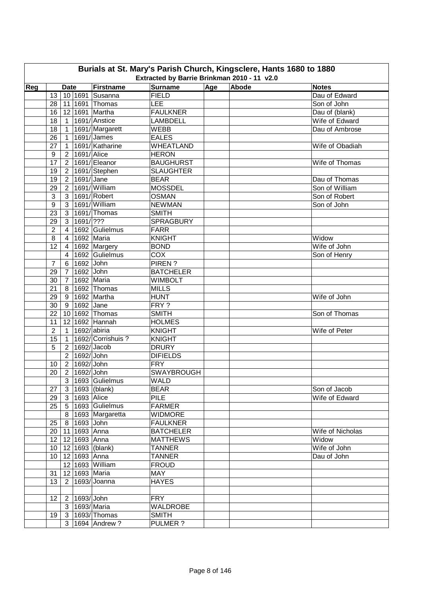| Burials at St. Mary's Parish Church, Kingsclere, Hants 1680 to 1880<br>Extracted by Barrie Brinkman 2010 - 11 v2.0 |                                                                                          |                                  |                       |                              |                                  |  |  |                                 |  |  |  |  |
|--------------------------------------------------------------------------------------------------------------------|------------------------------------------------------------------------------------------|----------------------------------|-----------------------|------------------------------|----------------------------------|--|--|---------------------------------|--|--|--|--|
|                                                                                                                    | Age<br>Abode<br>Reg<br><b>Firstname</b><br><b>Surname</b><br><b>Notes</b><br><b>Date</b> |                                  |                       |                              |                                  |  |  |                                 |  |  |  |  |
|                                                                                                                    | 13                                                                                       |                                  |                       | 10 1691 Susanna              | FIELD                            |  |  | Dau of Edward                   |  |  |  |  |
|                                                                                                                    | 28                                                                                       | 11                               |                       | 1691 Thomas                  | LEE                              |  |  | Son of John                     |  |  |  |  |
|                                                                                                                    | 16                                                                                       |                                  |                       | 12 1691 Martha               | <b>FAULKNER</b>                  |  |  | Dau of (blank)                  |  |  |  |  |
|                                                                                                                    | 18                                                                                       |                                  |                       | 1691/Anstice                 | <b>LAMBDELL</b>                  |  |  | Wife of Edward                  |  |  |  |  |
|                                                                                                                    |                                                                                          | $\mathbf{1}$                     |                       |                              |                                  |  |  |                                 |  |  |  |  |
|                                                                                                                    | 18                                                                                       | $\mathbf{1}$                     |                       | 1691/Margarett<br>1691/James | <b>WEBB</b>                      |  |  | Dau of Ambrose                  |  |  |  |  |
|                                                                                                                    | 26<br>27                                                                                 | $\mathbf{1}$                     |                       | 1691/Katharine               | <b>EALES</b><br><b>WHEATLAND</b> |  |  | Wife of Obadiah                 |  |  |  |  |
|                                                                                                                    |                                                                                          | $\mathbf{1}$                     |                       |                              |                                  |  |  |                                 |  |  |  |  |
|                                                                                                                    | $\boldsymbol{9}$<br>17                                                                   | 2 <sup>1</sup>                   | 1691/ Alice           | 1691/Eleanor                 | <b>HERON</b>                     |  |  | Wife of Thomas                  |  |  |  |  |
|                                                                                                                    |                                                                                          | 2 <sup>1</sup>                   |                       |                              | <b>BAUGHURST</b>                 |  |  |                                 |  |  |  |  |
|                                                                                                                    | 19                                                                                       | 2 <sup>1</sup>                   | 1691/ Jane            | 1691/Stephen                 | <b>SLAUGHTER</b>                 |  |  |                                 |  |  |  |  |
|                                                                                                                    | 19<br>29                                                                                 | 2 <sup>1</sup><br>$\overline{2}$ |                       | 1691/William                 | <b>BEAR</b><br><b>MOSSDEL</b>    |  |  | Dau of Thomas<br>Son of William |  |  |  |  |
|                                                                                                                    |                                                                                          |                                  |                       | 1691/Robert                  |                                  |  |  |                                 |  |  |  |  |
|                                                                                                                    | 3                                                                                        | $\mathbf{3}$                     |                       |                              | <b>OSMAN</b>                     |  |  | Son of Robert                   |  |  |  |  |
|                                                                                                                    | $\boldsymbol{9}$                                                                         | 3                                |                       | 1691/William                 | <b>NEWMAN</b>                    |  |  | Son of John                     |  |  |  |  |
|                                                                                                                    | 23                                                                                       | 3 <sup>1</sup>                   |                       | 1691/Thomas                  | <b>SMITH</b>                     |  |  |                                 |  |  |  |  |
|                                                                                                                    | 29                                                                                       | 3 <sup>1</sup>                   | 1691/ ???             |                              | <b>SPRAGBURY</b>                 |  |  |                                 |  |  |  |  |
|                                                                                                                    | $\overline{c}$                                                                           | $\overline{4}$                   |                       | 1692 Gulielmus               | <b>FARR</b>                      |  |  |                                 |  |  |  |  |
|                                                                                                                    | 8                                                                                        | $\overline{4}$                   | 1692 Maria            |                              | <b>KNIGHT</b>                    |  |  | Widow                           |  |  |  |  |
|                                                                                                                    | 12                                                                                       | $\overline{4}$                   |                       | 1692 Margery                 | <b>BOND</b>                      |  |  | Wife of John                    |  |  |  |  |
|                                                                                                                    |                                                                                          | $\overline{4}$                   |                       | 1692 Gulielmus               | COX                              |  |  | Son of Henry                    |  |  |  |  |
|                                                                                                                    | $\overline{7}$                                                                           | 6                                | $1692$ John           |                              | PIREN?                           |  |  |                                 |  |  |  |  |
|                                                                                                                    | 29                                                                                       | $\overline{7}$                   | 1692 John             |                              | <b>BATCHELER</b>                 |  |  |                                 |  |  |  |  |
|                                                                                                                    | 30                                                                                       | $\overline{7}$                   |                       | 1692 Maria                   | <b>WIMBOLT</b>                   |  |  |                                 |  |  |  |  |
|                                                                                                                    | 21                                                                                       | 8                                |                       | 1692 Thomas                  | <b>MILLS</b>                     |  |  |                                 |  |  |  |  |
|                                                                                                                    | 29                                                                                       |                                  |                       | 9 1692 Martha                | <b>HUNT</b>                      |  |  | Wife of John                    |  |  |  |  |
|                                                                                                                    | 30                                                                                       |                                  | 9 1692 Jane           |                              | FRY?                             |  |  |                                 |  |  |  |  |
|                                                                                                                    | 22                                                                                       |                                  |                       | 10 1692 Thomas               | <b>SMITH</b>                     |  |  | Son of Thomas                   |  |  |  |  |
|                                                                                                                    | 11                                                                                       |                                  |                       | 12 1692 Hannah               | <b>HOLMES</b>                    |  |  |                                 |  |  |  |  |
|                                                                                                                    | $\overline{2}$                                                                           | $\mathbf{1}$                     | 1692/abiria           |                              | <b>KNIGHT</b>                    |  |  | Wife of Peter                   |  |  |  |  |
|                                                                                                                    | 15                                                                                       | $\mathbf{1}$                     |                       | 1692/ Corrishuis ?           | <b>KNIGHT</b>                    |  |  |                                 |  |  |  |  |
|                                                                                                                    | 5                                                                                        | $\overline{2}$                   |                       | $1692$ /Jacob                | <b>DRURY</b>                     |  |  |                                 |  |  |  |  |
|                                                                                                                    |                                                                                          | $\overline{2}$                   | 1692/ John            |                              | <b>DIFIELDS</b>                  |  |  |                                 |  |  |  |  |
|                                                                                                                    | 10                                                                                       | $2^{\circ}$                      | 1692/ John            |                              | <b>FRY</b>                       |  |  |                                 |  |  |  |  |
|                                                                                                                    | 20                                                                                       | 2 <sup>1</sup>                   | 1692/ John            |                              | <b>SWAYBROUGH</b>                |  |  |                                 |  |  |  |  |
|                                                                                                                    |                                                                                          |                                  |                       | 3 1693 Gulielmus             | <b>WALD</b>                      |  |  |                                 |  |  |  |  |
|                                                                                                                    | 27                                                                                       |                                  |                       | 3   1693   (blank)           | <b>BEAR</b>                      |  |  | Son of Jacob                    |  |  |  |  |
|                                                                                                                    | 29                                                                                       |                                  | 3 1693 Alice          |                              | <b>PILE</b>                      |  |  | Wife of Edward                  |  |  |  |  |
|                                                                                                                    | 25                                                                                       |                                  |                       | 5 1693 Gulielmus             | <b>FARMER</b>                    |  |  |                                 |  |  |  |  |
|                                                                                                                    |                                                                                          |                                  |                       | 8 1693 Margaretta            | <b>WIDMORE</b>                   |  |  |                                 |  |  |  |  |
|                                                                                                                    | 25                                                                                       |                                  | 8 1693 John           |                              | <b>FAULKNER</b>                  |  |  |                                 |  |  |  |  |
|                                                                                                                    |                                                                                          |                                  | 20   11   1693   Anna |                              | <b>BATCHELER</b>                 |  |  | Wife of Nicholas                |  |  |  |  |
|                                                                                                                    | 12 <sup>°</sup>                                                                          |                                  | 12 1693 Anna          |                              | <b>MATTHEWS</b>                  |  |  | Widow                           |  |  |  |  |
|                                                                                                                    | 10 <sup>1</sup>                                                                          |                                  |                       | 12 1693 (blank)              | <b>TANNER</b>                    |  |  | Wife of John                    |  |  |  |  |
|                                                                                                                    | 10 <sup>1</sup>                                                                          |                                  | 12 1693 Anna          |                              | <b>TANNER</b>                    |  |  | Dau of John                     |  |  |  |  |
|                                                                                                                    |                                                                                          |                                  |                       | 12 1693 William              | <b>FROUD</b>                     |  |  |                                 |  |  |  |  |
|                                                                                                                    | 31                                                                                       |                                  |                       | 12 1693 Maria                | <b>MAY</b>                       |  |  |                                 |  |  |  |  |
|                                                                                                                    | 13                                                                                       |                                  |                       | $\boxed{2}$ 1693/Joanna      | <b>HAYES</b>                     |  |  |                                 |  |  |  |  |
|                                                                                                                    |                                                                                          |                                  |                       |                              |                                  |  |  |                                 |  |  |  |  |
|                                                                                                                    | 12 <sub>2</sub>                                                                          |                                  | 2   1693/ John        |                              | <b>FRY</b>                       |  |  |                                 |  |  |  |  |
|                                                                                                                    |                                                                                          |                                  |                       | 3   1693/ Maria              | WALDROBE                         |  |  |                                 |  |  |  |  |
|                                                                                                                    | 19                                                                                       |                                  |                       | 3 1693/Thomas                | <b>SMITH</b>                     |  |  |                                 |  |  |  |  |
|                                                                                                                    |                                                                                          |                                  |                       | 3   1694   Andrew ?          | PULMER ?                         |  |  |                                 |  |  |  |  |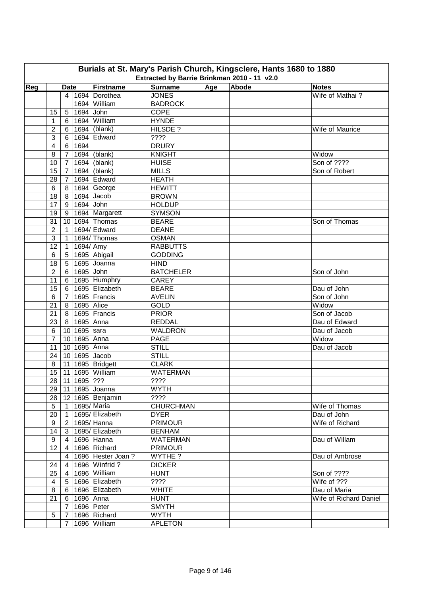| Burials at St. Mary's Parish Church, Kingsclere, Hants 1680 to 1880<br>Extracted by Barrie Brinkman 2010 - 11 v2.0 |                 |                |                  |                              |                                |     |       |                                 |  |
|--------------------------------------------------------------------------------------------------------------------|-----------------|----------------|------------------|------------------------------|--------------------------------|-----|-------|---------------------------------|--|
|                                                                                                                    |                 |                |                  |                              |                                |     |       |                                 |  |
| Reg                                                                                                                |                 | <b>Date</b>    |                  | Firstname<br>4 1694 Dorothea | <b>Surname</b><br><b>JONES</b> | Age | Abode | <b>Notes</b><br>Wife of Mathai? |  |
|                                                                                                                    |                 |                |                  | 1694 William                 | <b>BADROCK</b>                 |     |       |                                 |  |
|                                                                                                                    |                 |                | 1694 John        |                              | <b>COPE</b>                    |     |       |                                 |  |
|                                                                                                                    | 15              | 5 <sup>5</sup> |                  | 1694 William                 | <b>HYNDE</b>                   |     |       |                                 |  |
|                                                                                                                    | 1               | 6              |                  |                              |                                |     |       |                                 |  |
|                                                                                                                    | $\overline{2}$  | 6              |                  | 1694 (blank)                 | HILSDE?<br>????                |     |       | Wife of Maurice                 |  |
|                                                                                                                    | 3               | 6              | 1694             | 1694 Edward                  | <b>DRURY</b>                   |     |       |                                 |  |
|                                                                                                                    | 4               | 6              |                  |                              |                                |     |       |                                 |  |
|                                                                                                                    | 8               | $\overline{7}$ |                  | 1694 (blank)                 | <b>KNIGHT</b><br><b>HUISE</b>  |     |       | Widow<br>Son of ????            |  |
|                                                                                                                    | 10              | $\overline{7}$ |                  | 1694 (blank)                 |                                |     |       |                                 |  |
|                                                                                                                    | 15              | $\overline{7}$ |                  | 1694 (blank)                 | <b>MILLS</b>                   |     |       | Son of Robert                   |  |
|                                                                                                                    | 28              | $\overline{7}$ |                  | 1694 Edward                  | <b>HEATH</b>                   |     |       |                                 |  |
|                                                                                                                    | 6               | 8              |                  | 1694 George                  | <b>HEWITT</b>                  |     |       |                                 |  |
|                                                                                                                    | 18              | 8              |                  | 1694 Jacob                   | <b>BROWN</b>                   |     |       |                                 |  |
|                                                                                                                    | 17              | 9              | 1694 John        |                              | <b>HOLDUP</b>                  |     |       |                                 |  |
|                                                                                                                    | 19              | 9              |                  | 1694 Margarett               | <b>SYMSON</b>                  |     |       |                                 |  |
|                                                                                                                    | 31              |                |                  | 10 1694 Thomas               | <b>BEARE</b>                   |     |       | Son of Thomas                   |  |
|                                                                                                                    | $\overline{2}$  | $\mathbf{1}$   |                  | 1694/ Edward                 | <b>DEANE</b>                   |     |       |                                 |  |
|                                                                                                                    | $\mathbf{3}$    | $\mathbf{1}$   |                  | 1694/Thomas                  | <b>OSMAN</b>                   |     |       |                                 |  |
|                                                                                                                    | 12              | $\overline{1}$ | 1694/ Amy        |                              | <b>RABBUTTS</b>                |     |       |                                 |  |
|                                                                                                                    | 6               | 5              |                  | 1695 Abigail                 | <b>GODDING</b>                 |     |       |                                 |  |
|                                                                                                                    | 18              |                |                  | 5 1695 Joanna                | <b>HIND</b>                    |     |       |                                 |  |
|                                                                                                                    | $\overline{2}$  |                | 6 1695 John      |                              | <b>BATCHELER</b>               |     |       | Son of John                     |  |
|                                                                                                                    | 11              | $6 \mid$       |                  | 1695 Humphry                 | <b>CAREY</b>                   |     |       |                                 |  |
|                                                                                                                    | 15              | 6              |                  | 1695 Elizabeth               | <b>BEARE</b>                   |     |       | Dau of John                     |  |
|                                                                                                                    | 6               | 7 <sup>1</sup> |                  | 1695 Francis                 | <b>AVELIN</b>                  |     |       | Son of John                     |  |
|                                                                                                                    | 21              |                | 8   1695   Alice |                              | <b>GOLD</b>                    |     |       | Widow                           |  |
|                                                                                                                    | 21              |                |                  | 8 1695 Francis               | <b>PRIOR</b>                   |     |       | Son of Jacob                    |  |
|                                                                                                                    | 23              |                | 8 1695 Anna      |                              | <b>REDDAL</b>                  |     |       | Dau of Edward                   |  |
|                                                                                                                    | 6               |                | 10 1695 sara     |                              | <b>WALDRON</b>                 |     |       | Dau of Jacob                    |  |
|                                                                                                                    | $\overline{7}$  |                | 10 1695 Anna     |                              | PAGE                           |     |       | Widow                           |  |
|                                                                                                                    | 11              |                | 10 1695 Anna     |                              | <b>STILL</b>                   |     |       | Dau of Jacob                    |  |
|                                                                                                                    | 24              |                |                  | 10 1695 Jacob                | <b>STILL</b>                   |     |       |                                 |  |
|                                                                                                                    | 8               |                |                  | 11 1695 Bridgett             | <b>CLARK</b>                   |     |       |                                 |  |
|                                                                                                                    | 15              |                |                  | 11 1695 William              | <b>WATERMAN</b>                |     |       |                                 |  |
|                                                                                                                    |                 |                | 28 11 1695 ???   |                              | $\overline{???}$               |     |       |                                 |  |
|                                                                                                                    | 29              |                |                  | 11 1695 Joanna               | <b>WYTH</b>                    |     |       |                                 |  |
|                                                                                                                    | 28              |                |                  | 12 1695 Benjamin             | ????                           |     |       |                                 |  |
|                                                                                                                    | $5\phantom{.0}$ |                |                  | 1 1695/Maria                 | <b>CHURCHMAN</b>               |     |       | Wife of Thomas                  |  |
|                                                                                                                    | 20              |                |                  | 1 1695/ Elizabeth            | <b>DYER</b>                    |     |       | Dau of John                     |  |
|                                                                                                                    | 9               |                |                  | 2 1695/ Hanna                | <b>PRIMOUR</b>                 |     |       | Wife of Richard                 |  |
|                                                                                                                    | 14              |                |                  | 3 1695/ Elizabeth            | <b>BENHAM</b>                  |     |       |                                 |  |
|                                                                                                                    | 9               |                |                  | 4 1696 Hanna                 | <b>WATERMAN</b>                |     |       | Dau of Willam                   |  |
|                                                                                                                    | 12 <sub>2</sub> |                |                  | 4 1696 Richard               | <b>PRIMOUR</b>                 |     |       |                                 |  |
|                                                                                                                    |                 | 4 <sup>1</sup> |                  | 1696 Hester Joan?            | WYTHE ?                        |     |       | Dau of Ambrose                  |  |
|                                                                                                                    | 24              | $\overline{4}$ |                  | 1696 Winfrid ?               | <b>DICKER</b>                  |     |       |                                 |  |
|                                                                                                                    | 25              | 4              |                  | 1696 William                 | <b>HUNT</b>                    |     |       | Son of ????                     |  |
|                                                                                                                    | 4               |                |                  | 5   1696   Elizabeth         | ????                           |     |       | Wife of ???                     |  |
|                                                                                                                    | 8               |                |                  | 6 1696 Elizabeth             | <b>WHITE</b>                   |     |       | Dau of Maria                    |  |
|                                                                                                                    | 21              |                |                  | 6 1696 Anna                  | <b>HUNT</b>                    |     |       | Wife of Richard Daniel          |  |
|                                                                                                                    |                 |                |                  | 7   1696   Peter             | <b>SMYTH</b>                   |     |       |                                 |  |
|                                                                                                                    | 5               |                |                  | 7 1696 Richard               | <b>WYTH</b>                    |     |       |                                 |  |
|                                                                                                                    |                 |                |                  | 7   1696   William           | <b>APLETON</b>                 |     |       |                                 |  |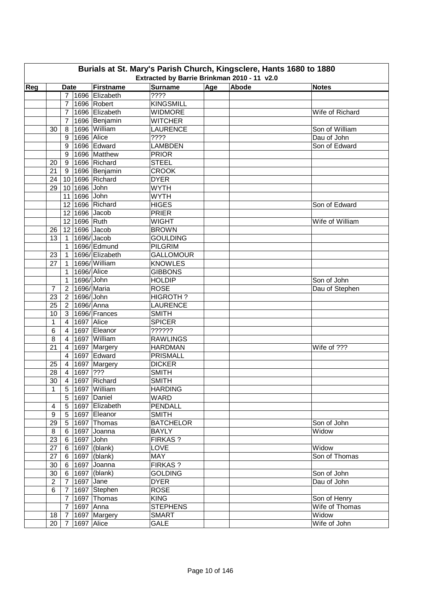| Burials at St. Mary's Parish Church, Kingsclere, Hants 1680 to 1880 |                                                                                                                                  |                 |              |                   |                         |  |  |                              |  |  |  |
|---------------------------------------------------------------------|----------------------------------------------------------------------------------------------------------------------------------|-----------------|--------------|-------------------|-------------------------|--|--|------------------------------|--|--|--|
|                                                                     | Extracted by Barrie Brinkman 2010 - 11 v2.0<br>Age<br>Abode<br><b>Firstname</b><br><b>Surname</b><br><b>Notes</b><br><b>Date</b> |                 |              |                   |                         |  |  |                              |  |  |  |
| Reg                                                                 |                                                                                                                                  |                 |              |                   |                         |  |  |                              |  |  |  |
|                                                                     |                                                                                                                                  | $\overline{7}$  |              | 1696 Elizabeth    | 7777                    |  |  |                              |  |  |  |
|                                                                     |                                                                                                                                  | $\overline{7}$  |              | 1696 Robert       | <b>KINGSMILL</b>        |  |  |                              |  |  |  |
|                                                                     |                                                                                                                                  | $\overline{7}$  |              | 1696 Elizabeth    | <b>WIDMORE</b>          |  |  | Wife of Richard              |  |  |  |
|                                                                     |                                                                                                                                  | $\overline{7}$  |              | 1696 Benjamin     | <b>WITCHER</b>          |  |  |                              |  |  |  |
|                                                                     | 30                                                                                                                               | 8               |              | 1696 William      | <b>LAURENCE</b><br>???? |  |  | Son of William               |  |  |  |
|                                                                     |                                                                                                                                  | 9<br>9          | 1696 Alice   | 1696 Edward       | <b>LAMBDEN</b>          |  |  | Dau of John<br>Son of Edward |  |  |  |
|                                                                     |                                                                                                                                  | 9               |              | 1696 Matthew      | <b>PRIOR</b>            |  |  |                              |  |  |  |
|                                                                     |                                                                                                                                  | 9               |              | 1696 Richard      | <b>STEEL</b>            |  |  |                              |  |  |  |
|                                                                     | 20<br>21                                                                                                                         | 9               |              | 1696 Benjamin     | <b>CROOK</b>            |  |  |                              |  |  |  |
|                                                                     | 24                                                                                                                               | 10 <sup>1</sup> |              | 1696 Richard      | <b>DYER</b>             |  |  |                              |  |  |  |
|                                                                     | 29                                                                                                                               |                 | 10 1696 John |                   | <b>WYTH</b>             |  |  |                              |  |  |  |
|                                                                     |                                                                                                                                  |                 | 11 1696 John |                   | <b>WYTH</b>             |  |  |                              |  |  |  |
|                                                                     |                                                                                                                                  |                 |              | 12 1696 Richard   |                         |  |  | Son of Edward                |  |  |  |
|                                                                     |                                                                                                                                  |                 |              |                   | <b>HIGES</b><br>PRIER   |  |  |                              |  |  |  |
|                                                                     |                                                                                                                                  |                 |              | 12 1696 Jacob     | <b>WIGHT</b>            |  |  | Wife of William              |  |  |  |
|                                                                     |                                                                                                                                  |                 | 12 1696 Ruth |                   |                         |  |  |                              |  |  |  |
|                                                                     | 26                                                                                                                               |                 |              | 12 1696 Jacob     | <b>BROWN</b>            |  |  |                              |  |  |  |
|                                                                     | 13                                                                                                                               | $\mathbf{1}$    |              | 1696/Jacob        | <b>GOULDING</b>         |  |  |                              |  |  |  |
|                                                                     |                                                                                                                                  | $\mathbf{1}$    |              | 1696/Edmund       | <b>PILGRIM</b>          |  |  |                              |  |  |  |
|                                                                     | 23                                                                                                                               | $\mathbf{1}$    |              | 1696/ Elizabeth   | <b>GALLOMOUR</b>        |  |  |                              |  |  |  |
|                                                                     | 27                                                                                                                               | 1               |              | 1696/William      | <b>KNOWLES</b>          |  |  |                              |  |  |  |
|                                                                     |                                                                                                                                  | 1               | 1696/Alice   |                   | <b>GIBBONS</b>          |  |  |                              |  |  |  |
|                                                                     |                                                                                                                                  | $\mathbf{1}$    | 1696/John    |                   | <b>HOLDIP</b>           |  |  | Son of John                  |  |  |  |
|                                                                     | $\overline{7}$                                                                                                                   | $\overline{2}$  | 1696/Maria   |                   | <b>ROSE</b>             |  |  | Dau of Stephen               |  |  |  |
|                                                                     | 23                                                                                                                               | $\overline{2}$  | 1696/John    |                   | HIGROTH?                |  |  |                              |  |  |  |
|                                                                     | 25                                                                                                                               | $\overline{2}$  | 1696/Anna    |                   | <b>LAURENCE</b>         |  |  |                              |  |  |  |
|                                                                     | 10                                                                                                                               | 3               |              | 1696/Frances      | <b>SMITH</b>            |  |  |                              |  |  |  |
|                                                                     | 1                                                                                                                                | $\overline{4}$  | 1697 Alice   |                   | <b>SPICER</b>           |  |  |                              |  |  |  |
|                                                                     | 6                                                                                                                                | $\overline{4}$  |              | 1697 Eleanor      | ??????                  |  |  |                              |  |  |  |
|                                                                     | 8                                                                                                                                | $\overline{4}$  |              | 1697 William      | <b>RAWLINGS</b>         |  |  |                              |  |  |  |
|                                                                     | 21                                                                                                                               | $\overline{4}$  |              | 1697 Margery      | <b>HARDMAN</b>          |  |  | Wife of ???                  |  |  |  |
|                                                                     |                                                                                                                                  | $\overline{4}$  |              | 1697 Edward       | <b>PRISMALL</b>         |  |  |                              |  |  |  |
|                                                                     | 25                                                                                                                               | $\vert 4 \vert$ |              | 1697 Margery      | <b>DICKER</b>           |  |  |                              |  |  |  |
|                                                                     | 28                                                                                                                               | $4 \mid$        | 1697 ???     |                   | <b>SMITH</b>            |  |  |                              |  |  |  |
|                                                                     |                                                                                                                                  |                 |              | 30 4 1697 Richard | <b>SMITH</b>            |  |  |                              |  |  |  |
|                                                                     | 1                                                                                                                                | 5 <sub>1</sub>  |              | 1697 William      | <b>HARDING</b>          |  |  |                              |  |  |  |
|                                                                     |                                                                                                                                  | 5               |              | 1697 Daniel       | <b>WARD</b>             |  |  |                              |  |  |  |
|                                                                     | $\overline{\mathbf{4}}$                                                                                                          | 5 <sup>1</sup>  |              | 1697 Elizabeth    | PENDALL                 |  |  |                              |  |  |  |
|                                                                     | 9                                                                                                                                | 5 <sup>1</sup>  |              | 1697 Eleanor      | <b>SMITH</b>            |  |  |                              |  |  |  |
|                                                                     | 29                                                                                                                               | 5 <sup>1</sup>  |              | 1697 Thomas       | <b>BATCHELOR</b>        |  |  | Son of John                  |  |  |  |
|                                                                     | 8                                                                                                                                | 6               |              | 1697 Joanna       | <b>BAYLY</b>            |  |  | Widow                        |  |  |  |
|                                                                     | 23                                                                                                                               | 6               | 1697 John    |                   | <b>FIRKAS?</b>          |  |  |                              |  |  |  |
|                                                                     | 27                                                                                                                               | $6\overline{6}$ |              | 1697 (blank)      | LOVE                    |  |  | Widow                        |  |  |  |
|                                                                     | 27                                                                                                                               | 6               |              | 1697 (blank)      | <b>MAY</b>              |  |  | Son of Thomas                |  |  |  |
|                                                                     | 30                                                                                                                               | 6 <sup>1</sup>  |              | 1697 Joanna       | <b>FIRKAS?</b>          |  |  |                              |  |  |  |
|                                                                     | 30                                                                                                                               | 6               |              | $1697$ (blank)    | <b>GOLDING</b>          |  |  | Son of John                  |  |  |  |
|                                                                     | $\overline{2}$                                                                                                                   | $\overline{7}$  | 1697 Jane    |                   | <b>DYER</b>             |  |  | Dau of John                  |  |  |  |
|                                                                     | 6                                                                                                                                | $\overline{7}$  |              | 1697 Stephen      | <b>ROSE</b>             |  |  |                              |  |  |  |
|                                                                     |                                                                                                                                  | $\overline{7}$  |              | 1697 Thomas       | <b>KING</b>             |  |  | Son of Henry                 |  |  |  |
|                                                                     |                                                                                                                                  | $7^{\circ}$     | 1697 Anna    |                   | <b>STEPHENS</b>         |  |  | Wife of Thomas               |  |  |  |
|                                                                     | 18                                                                                                                               | $\overline{7}$  |              | 1697 Margery      | <b>SMART</b>            |  |  | Widow                        |  |  |  |
|                                                                     | 20                                                                                                                               | $7^{\circ}$     | 1697 Alice   |                   | <b>GALE</b>             |  |  | Wife of John                 |  |  |  |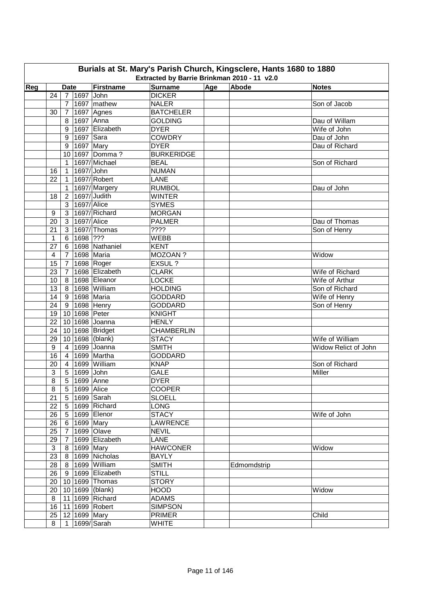| Age<br>Abode<br>Reg<br><b>Firstname</b><br><b>Surname</b><br><b>Notes</b><br><b>Date</b><br><b>DICKER</b><br>24<br>1697 John<br>7 <sup>1</sup><br>1697 mathew<br>$\overline{7}$<br><b>NALER</b><br>Son of Jacob<br>1697 Agnes<br><b>BATCHELER</b><br>$7\overline{ }$<br>30<br>1697 Anna<br>8<br><b>GOLDING</b><br>Dau of Willam<br>1697 Elizabeth<br>Wife of John<br><b>DYER</b><br>9<br>1697 Sara<br><b>COWDRY</b><br>9<br>Dau of John<br>$1697$ Mary<br><b>DYER</b><br>Dau of Richard<br>9<br>1697 Domma?<br><b>BURKERIDGE</b><br>10 <sup>1</sup><br>1697/Michael<br><b>BEAL</b><br>Son of Richard<br>1<br>1697/John<br><b>NUMAN</b><br>16<br>$\mathbf{1}$<br>1697/Robert<br>LANE<br>22<br>$\mathbf{1}$<br>$\mathbf{1}$<br>1697/Margery<br><b>RUMBOL</b><br>Dau of John<br>1697/Judith<br><b>WINTER</b><br>18<br>$\overline{2}$<br>$1697$ /Alice<br>3<br><b>SYMES</b><br>1697/Richard<br>$\mathbf{3}$<br><b>MORGAN</b><br>9<br>1697/Alice<br>20<br>3 <sup>1</sup><br><b>PALMER</b><br>Dau of Thomas<br>1697/Thomas<br>????<br>21<br>3 <sup>1</sup><br>Son of Henry<br>1698 ???<br><b>WEBB</b><br>$\mathbf{1}$<br>6 <sup>1</sup><br>1698 Nathaniel<br>27<br>6 <sup>1</sup><br><b>KENT</b><br>MOZOAN ?<br>1698 Maria<br>$\overline{\mathbf{4}}$<br>7 <sup>1</sup><br>Widow<br>1698 Roger<br>EXSUL ?<br>15<br>$7\overline{ }$<br>1698 Elizabeth<br>23<br>$\overline{7}$<br><b>CLARK</b><br>Wife of Richard<br>1698 Eleanor<br><b>LOCKE</b><br>10<br>8 <sup>1</sup><br>Wife of Arthur<br>1698 William<br><b>HOLDING</b><br>13<br>8 <sup>1</sup><br>Son of Richard<br>9 1698 Maria<br><b>GODDARD</b><br>Wife of Henry<br>14<br>9 1698 Henry<br><b>GODDARD</b><br>Son of Henry<br>24<br>10 1698 Peter<br>19<br><b>KNIGHT</b><br>22<br>10 1698 Joanna<br><b>HENLY</b><br>10 1698 Bridget<br><b>CHAMBERLIN</b><br>24<br>10 1698 (blank)<br>Wife of William<br>29<br><b>STACY</b><br>1699 Joanna<br><b>SMITH</b><br>9<br>$\vert 4 \vert$<br>Widow Relict of John<br>1699 Martha<br><b>GODDARD</b><br>16<br>$\overline{4}$<br>$\overline{4}$<br>1699 William<br><b>KNAP</b><br>Son of Richard<br>20<br>$\mathsf 3$<br>1699 John<br><b>GALE</b><br>Miller<br>5 <sup>1</sup><br>$\overline{8}$<br>5 1699 Anne<br><b>DYER</b><br>8<br>5   1699   Alice<br><b>COOPER</b><br>21<br>5 1699 Sarah<br><b>SLOELL</b><br>1699 Richard<br>22<br>5 <sup>5</sup><br><b>LONG</b><br><b>STACY</b><br>1699 Elenor<br>Wife of John<br>26<br>5 <sup>1</sup><br>6 1699 Mary<br><b>LAWRENCE</b><br>26<br><b>NEVIL</b><br>25<br>7 <sup>1</sup><br>1699 Olave<br>1699 Elizabeth<br><b>LANE</b><br>29<br>$7\overline{ }$<br><b>HAWCONER</b><br>$\mathbf{3}$<br>8 1699 Mary<br>Widow<br>23<br>8 1699 Nicholas<br><b>BAYLY</b><br>28<br>1699 William<br><b>SMITH</b><br>8<br>Edmomdstrip<br><b>STILL</b><br>26<br>9 <sup>1</sup><br>1699 Elizabeth<br><b>STORY</b><br>20 <sub>1</sub><br>10 1699 Thomas<br>10 1699 (blank)<br><b>HOOD</b><br>20<br>Widow<br>11 1699 Richard<br><b>ADAMS</b><br>8<br>16<br>11 1699 Robert<br><b>SIMPSON</b><br>25<br>12 1699 Mary<br><b>PRIMER</b><br>Child<br>$\overline{1}$ 1699/Sarah | Burials at St. Mary's Parish Church, Kingsclere, Hants 1680 to 1880<br>Extracted by Barrie Brinkman 2010 - 11 v2.0 |   |  |  |  |              |  |  |  |  |  |  |
|----------------------------------------------------------------------------------------------------------------------------------------------------------------------------------------------------------------------------------------------------------------------------------------------------------------------------------------------------------------------------------------------------------------------------------------------------------------------------------------------------------------------------------------------------------------------------------------------------------------------------------------------------------------------------------------------------------------------------------------------------------------------------------------------------------------------------------------------------------------------------------------------------------------------------------------------------------------------------------------------------------------------------------------------------------------------------------------------------------------------------------------------------------------------------------------------------------------------------------------------------------------------------------------------------------------------------------------------------------------------------------------------------------------------------------------------------------------------------------------------------------------------------------------------------------------------------------------------------------------------------------------------------------------------------------------------------------------------------------------------------------------------------------------------------------------------------------------------------------------------------------------------------------------------------------------------------------------------------------------------------------------------------------------------------------------------------------------------------------------------------------------------------------------------------------------------------------------------------------------------------------------------------------------------------------------------------------------------------------------------------------------------------------------------------------------------------------------------------------------------------------------------------------------------------------------------------------------------------------------------------------------------------------------------------------------------------------------------------------------------------------------------------------------------------------------------------------------------------------------------------------------------------------------------------------------------------------------------------------------------------------------------------------------------------------------------------------------|--------------------------------------------------------------------------------------------------------------------|---|--|--|--|--------------|--|--|--|--|--|--|
|                                                                                                                                                                                                                                                                                                                                                                                                                                                                                                                                                                                                                                                                                                                                                                                                                                                                                                                                                                                                                                                                                                                                                                                                                                                                                                                                                                                                                                                                                                                                                                                                                                                                                                                                                                                                                                                                                                                                                                                                                                                                                                                                                                                                                                                                                                                                                                                                                                                                                                                                                                                                                                                                                                                                                                                                                                                                                                                                                                                                                                                                                        |                                                                                                                    |   |  |  |  |              |  |  |  |  |  |  |
|                                                                                                                                                                                                                                                                                                                                                                                                                                                                                                                                                                                                                                                                                                                                                                                                                                                                                                                                                                                                                                                                                                                                                                                                                                                                                                                                                                                                                                                                                                                                                                                                                                                                                                                                                                                                                                                                                                                                                                                                                                                                                                                                                                                                                                                                                                                                                                                                                                                                                                                                                                                                                                                                                                                                                                                                                                                                                                                                                                                                                                                                                        |                                                                                                                    |   |  |  |  |              |  |  |  |  |  |  |
|                                                                                                                                                                                                                                                                                                                                                                                                                                                                                                                                                                                                                                                                                                                                                                                                                                                                                                                                                                                                                                                                                                                                                                                                                                                                                                                                                                                                                                                                                                                                                                                                                                                                                                                                                                                                                                                                                                                                                                                                                                                                                                                                                                                                                                                                                                                                                                                                                                                                                                                                                                                                                                                                                                                                                                                                                                                                                                                                                                                                                                                                                        |                                                                                                                    |   |  |  |  |              |  |  |  |  |  |  |
|                                                                                                                                                                                                                                                                                                                                                                                                                                                                                                                                                                                                                                                                                                                                                                                                                                                                                                                                                                                                                                                                                                                                                                                                                                                                                                                                                                                                                                                                                                                                                                                                                                                                                                                                                                                                                                                                                                                                                                                                                                                                                                                                                                                                                                                                                                                                                                                                                                                                                                                                                                                                                                                                                                                                                                                                                                                                                                                                                                                                                                                                                        |                                                                                                                    |   |  |  |  |              |  |  |  |  |  |  |
|                                                                                                                                                                                                                                                                                                                                                                                                                                                                                                                                                                                                                                                                                                                                                                                                                                                                                                                                                                                                                                                                                                                                                                                                                                                                                                                                                                                                                                                                                                                                                                                                                                                                                                                                                                                                                                                                                                                                                                                                                                                                                                                                                                                                                                                                                                                                                                                                                                                                                                                                                                                                                                                                                                                                                                                                                                                                                                                                                                                                                                                                                        |                                                                                                                    |   |  |  |  |              |  |  |  |  |  |  |
|                                                                                                                                                                                                                                                                                                                                                                                                                                                                                                                                                                                                                                                                                                                                                                                                                                                                                                                                                                                                                                                                                                                                                                                                                                                                                                                                                                                                                                                                                                                                                                                                                                                                                                                                                                                                                                                                                                                                                                                                                                                                                                                                                                                                                                                                                                                                                                                                                                                                                                                                                                                                                                                                                                                                                                                                                                                                                                                                                                                                                                                                                        |                                                                                                                    |   |  |  |  |              |  |  |  |  |  |  |
|                                                                                                                                                                                                                                                                                                                                                                                                                                                                                                                                                                                                                                                                                                                                                                                                                                                                                                                                                                                                                                                                                                                                                                                                                                                                                                                                                                                                                                                                                                                                                                                                                                                                                                                                                                                                                                                                                                                                                                                                                                                                                                                                                                                                                                                                                                                                                                                                                                                                                                                                                                                                                                                                                                                                                                                                                                                                                                                                                                                                                                                                                        |                                                                                                                    |   |  |  |  |              |  |  |  |  |  |  |
|                                                                                                                                                                                                                                                                                                                                                                                                                                                                                                                                                                                                                                                                                                                                                                                                                                                                                                                                                                                                                                                                                                                                                                                                                                                                                                                                                                                                                                                                                                                                                                                                                                                                                                                                                                                                                                                                                                                                                                                                                                                                                                                                                                                                                                                                                                                                                                                                                                                                                                                                                                                                                                                                                                                                                                                                                                                                                                                                                                                                                                                                                        |                                                                                                                    |   |  |  |  |              |  |  |  |  |  |  |
|                                                                                                                                                                                                                                                                                                                                                                                                                                                                                                                                                                                                                                                                                                                                                                                                                                                                                                                                                                                                                                                                                                                                                                                                                                                                                                                                                                                                                                                                                                                                                                                                                                                                                                                                                                                                                                                                                                                                                                                                                                                                                                                                                                                                                                                                                                                                                                                                                                                                                                                                                                                                                                                                                                                                                                                                                                                                                                                                                                                                                                                                                        |                                                                                                                    |   |  |  |  |              |  |  |  |  |  |  |
|                                                                                                                                                                                                                                                                                                                                                                                                                                                                                                                                                                                                                                                                                                                                                                                                                                                                                                                                                                                                                                                                                                                                                                                                                                                                                                                                                                                                                                                                                                                                                                                                                                                                                                                                                                                                                                                                                                                                                                                                                                                                                                                                                                                                                                                                                                                                                                                                                                                                                                                                                                                                                                                                                                                                                                                                                                                                                                                                                                                                                                                                                        |                                                                                                                    |   |  |  |  |              |  |  |  |  |  |  |
|                                                                                                                                                                                                                                                                                                                                                                                                                                                                                                                                                                                                                                                                                                                                                                                                                                                                                                                                                                                                                                                                                                                                                                                                                                                                                                                                                                                                                                                                                                                                                                                                                                                                                                                                                                                                                                                                                                                                                                                                                                                                                                                                                                                                                                                                                                                                                                                                                                                                                                                                                                                                                                                                                                                                                                                                                                                                                                                                                                                                                                                                                        |                                                                                                                    |   |  |  |  |              |  |  |  |  |  |  |
|                                                                                                                                                                                                                                                                                                                                                                                                                                                                                                                                                                                                                                                                                                                                                                                                                                                                                                                                                                                                                                                                                                                                                                                                                                                                                                                                                                                                                                                                                                                                                                                                                                                                                                                                                                                                                                                                                                                                                                                                                                                                                                                                                                                                                                                                                                                                                                                                                                                                                                                                                                                                                                                                                                                                                                                                                                                                                                                                                                                                                                                                                        |                                                                                                                    |   |  |  |  |              |  |  |  |  |  |  |
|                                                                                                                                                                                                                                                                                                                                                                                                                                                                                                                                                                                                                                                                                                                                                                                                                                                                                                                                                                                                                                                                                                                                                                                                                                                                                                                                                                                                                                                                                                                                                                                                                                                                                                                                                                                                                                                                                                                                                                                                                                                                                                                                                                                                                                                                                                                                                                                                                                                                                                                                                                                                                                                                                                                                                                                                                                                                                                                                                                                                                                                                                        |                                                                                                                    |   |  |  |  |              |  |  |  |  |  |  |
|                                                                                                                                                                                                                                                                                                                                                                                                                                                                                                                                                                                                                                                                                                                                                                                                                                                                                                                                                                                                                                                                                                                                                                                                                                                                                                                                                                                                                                                                                                                                                                                                                                                                                                                                                                                                                                                                                                                                                                                                                                                                                                                                                                                                                                                                                                                                                                                                                                                                                                                                                                                                                                                                                                                                                                                                                                                                                                                                                                                                                                                                                        |                                                                                                                    |   |  |  |  |              |  |  |  |  |  |  |
|                                                                                                                                                                                                                                                                                                                                                                                                                                                                                                                                                                                                                                                                                                                                                                                                                                                                                                                                                                                                                                                                                                                                                                                                                                                                                                                                                                                                                                                                                                                                                                                                                                                                                                                                                                                                                                                                                                                                                                                                                                                                                                                                                                                                                                                                                                                                                                                                                                                                                                                                                                                                                                                                                                                                                                                                                                                                                                                                                                                                                                                                                        |                                                                                                                    |   |  |  |  |              |  |  |  |  |  |  |
|                                                                                                                                                                                                                                                                                                                                                                                                                                                                                                                                                                                                                                                                                                                                                                                                                                                                                                                                                                                                                                                                                                                                                                                                                                                                                                                                                                                                                                                                                                                                                                                                                                                                                                                                                                                                                                                                                                                                                                                                                                                                                                                                                                                                                                                                                                                                                                                                                                                                                                                                                                                                                                                                                                                                                                                                                                                                                                                                                                                                                                                                                        |                                                                                                                    |   |  |  |  |              |  |  |  |  |  |  |
|                                                                                                                                                                                                                                                                                                                                                                                                                                                                                                                                                                                                                                                                                                                                                                                                                                                                                                                                                                                                                                                                                                                                                                                                                                                                                                                                                                                                                                                                                                                                                                                                                                                                                                                                                                                                                                                                                                                                                                                                                                                                                                                                                                                                                                                                                                                                                                                                                                                                                                                                                                                                                                                                                                                                                                                                                                                                                                                                                                                                                                                                                        |                                                                                                                    |   |  |  |  |              |  |  |  |  |  |  |
|                                                                                                                                                                                                                                                                                                                                                                                                                                                                                                                                                                                                                                                                                                                                                                                                                                                                                                                                                                                                                                                                                                                                                                                                                                                                                                                                                                                                                                                                                                                                                                                                                                                                                                                                                                                                                                                                                                                                                                                                                                                                                                                                                                                                                                                                                                                                                                                                                                                                                                                                                                                                                                                                                                                                                                                                                                                                                                                                                                                                                                                                                        |                                                                                                                    |   |  |  |  |              |  |  |  |  |  |  |
|                                                                                                                                                                                                                                                                                                                                                                                                                                                                                                                                                                                                                                                                                                                                                                                                                                                                                                                                                                                                                                                                                                                                                                                                                                                                                                                                                                                                                                                                                                                                                                                                                                                                                                                                                                                                                                                                                                                                                                                                                                                                                                                                                                                                                                                                                                                                                                                                                                                                                                                                                                                                                                                                                                                                                                                                                                                                                                                                                                                                                                                                                        |                                                                                                                    |   |  |  |  |              |  |  |  |  |  |  |
|                                                                                                                                                                                                                                                                                                                                                                                                                                                                                                                                                                                                                                                                                                                                                                                                                                                                                                                                                                                                                                                                                                                                                                                                                                                                                                                                                                                                                                                                                                                                                                                                                                                                                                                                                                                                                                                                                                                                                                                                                                                                                                                                                                                                                                                                                                                                                                                                                                                                                                                                                                                                                                                                                                                                                                                                                                                                                                                                                                                                                                                                                        |                                                                                                                    |   |  |  |  |              |  |  |  |  |  |  |
|                                                                                                                                                                                                                                                                                                                                                                                                                                                                                                                                                                                                                                                                                                                                                                                                                                                                                                                                                                                                                                                                                                                                                                                                                                                                                                                                                                                                                                                                                                                                                                                                                                                                                                                                                                                                                                                                                                                                                                                                                                                                                                                                                                                                                                                                                                                                                                                                                                                                                                                                                                                                                                                                                                                                                                                                                                                                                                                                                                                                                                                                                        |                                                                                                                    |   |  |  |  |              |  |  |  |  |  |  |
|                                                                                                                                                                                                                                                                                                                                                                                                                                                                                                                                                                                                                                                                                                                                                                                                                                                                                                                                                                                                                                                                                                                                                                                                                                                                                                                                                                                                                                                                                                                                                                                                                                                                                                                                                                                                                                                                                                                                                                                                                                                                                                                                                                                                                                                                                                                                                                                                                                                                                                                                                                                                                                                                                                                                                                                                                                                                                                                                                                                                                                                                                        |                                                                                                                    |   |  |  |  |              |  |  |  |  |  |  |
|                                                                                                                                                                                                                                                                                                                                                                                                                                                                                                                                                                                                                                                                                                                                                                                                                                                                                                                                                                                                                                                                                                                                                                                                                                                                                                                                                                                                                                                                                                                                                                                                                                                                                                                                                                                                                                                                                                                                                                                                                                                                                                                                                                                                                                                                                                                                                                                                                                                                                                                                                                                                                                                                                                                                                                                                                                                                                                                                                                                                                                                                                        |                                                                                                                    |   |  |  |  |              |  |  |  |  |  |  |
|                                                                                                                                                                                                                                                                                                                                                                                                                                                                                                                                                                                                                                                                                                                                                                                                                                                                                                                                                                                                                                                                                                                                                                                                                                                                                                                                                                                                                                                                                                                                                                                                                                                                                                                                                                                                                                                                                                                                                                                                                                                                                                                                                                                                                                                                                                                                                                                                                                                                                                                                                                                                                                                                                                                                                                                                                                                                                                                                                                                                                                                                                        |                                                                                                                    |   |  |  |  |              |  |  |  |  |  |  |
|                                                                                                                                                                                                                                                                                                                                                                                                                                                                                                                                                                                                                                                                                                                                                                                                                                                                                                                                                                                                                                                                                                                                                                                                                                                                                                                                                                                                                                                                                                                                                                                                                                                                                                                                                                                                                                                                                                                                                                                                                                                                                                                                                                                                                                                                                                                                                                                                                                                                                                                                                                                                                                                                                                                                                                                                                                                                                                                                                                                                                                                                                        |                                                                                                                    |   |  |  |  |              |  |  |  |  |  |  |
|                                                                                                                                                                                                                                                                                                                                                                                                                                                                                                                                                                                                                                                                                                                                                                                                                                                                                                                                                                                                                                                                                                                                                                                                                                                                                                                                                                                                                                                                                                                                                                                                                                                                                                                                                                                                                                                                                                                                                                                                                                                                                                                                                                                                                                                                                                                                                                                                                                                                                                                                                                                                                                                                                                                                                                                                                                                                                                                                                                                                                                                                                        |                                                                                                                    |   |  |  |  |              |  |  |  |  |  |  |
|                                                                                                                                                                                                                                                                                                                                                                                                                                                                                                                                                                                                                                                                                                                                                                                                                                                                                                                                                                                                                                                                                                                                                                                                                                                                                                                                                                                                                                                                                                                                                                                                                                                                                                                                                                                                                                                                                                                                                                                                                                                                                                                                                                                                                                                                                                                                                                                                                                                                                                                                                                                                                                                                                                                                                                                                                                                                                                                                                                                                                                                                                        |                                                                                                                    |   |  |  |  |              |  |  |  |  |  |  |
|                                                                                                                                                                                                                                                                                                                                                                                                                                                                                                                                                                                                                                                                                                                                                                                                                                                                                                                                                                                                                                                                                                                                                                                                                                                                                                                                                                                                                                                                                                                                                                                                                                                                                                                                                                                                                                                                                                                                                                                                                                                                                                                                                                                                                                                                                                                                                                                                                                                                                                                                                                                                                                                                                                                                                                                                                                                                                                                                                                                                                                                                                        |                                                                                                                    |   |  |  |  |              |  |  |  |  |  |  |
|                                                                                                                                                                                                                                                                                                                                                                                                                                                                                                                                                                                                                                                                                                                                                                                                                                                                                                                                                                                                                                                                                                                                                                                                                                                                                                                                                                                                                                                                                                                                                                                                                                                                                                                                                                                                                                                                                                                                                                                                                                                                                                                                                                                                                                                                                                                                                                                                                                                                                                                                                                                                                                                                                                                                                                                                                                                                                                                                                                                                                                                                                        |                                                                                                                    |   |  |  |  |              |  |  |  |  |  |  |
|                                                                                                                                                                                                                                                                                                                                                                                                                                                                                                                                                                                                                                                                                                                                                                                                                                                                                                                                                                                                                                                                                                                                                                                                                                                                                                                                                                                                                                                                                                                                                                                                                                                                                                                                                                                                                                                                                                                                                                                                                                                                                                                                                                                                                                                                                                                                                                                                                                                                                                                                                                                                                                                                                                                                                                                                                                                                                                                                                                                                                                                                                        |                                                                                                                    |   |  |  |  |              |  |  |  |  |  |  |
|                                                                                                                                                                                                                                                                                                                                                                                                                                                                                                                                                                                                                                                                                                                                                                                                                                                                                                                                                                                                                                                                                                                                                                                                                                                                                                                                                                                                                                                                                                                                                                                                                                                                                                                                                                                                                                                                                                                                                                                                                                                                                                                                                                                                                                                                                                                                                                                                                                                                                                                                                                                                                                                                                                                                                                                                                                                                                                                                                                                                                                                                                        |                                                                                                                    |   |  |  |  |              |  |  |  |  |  |  |
|                                                                                                                                                                                                                                                                                                                                                                                                                                                                                                                                                                                                                                                                                                                                                                                                                                                                                                                                                                                                                                                                                                                                                                                                                                                                                                                                                                                                                                                                                                                                                                                                                                                                                                                                                                                                                                                                                                                                                                                                                                                                                                                                                                                                                                                                                                                                                                                                                                                                                                                                                                                                                                                                                                                                                                                                                                                                                                                                                                                                                                                                                        |                                                                                                                    |   |  |  |  |              |  |  |  |  |  |  |
|                                                                                                                                                                                                                                                                                                                                                                                                                                                                                                                                                                                                                                                                                                                                                                                                                                                                                                                                                                                                                                                                                                                                                                                                                                                                                                                                                                                                                                                                                                                                                                                                                                                                                                                                                                                                                                                                                                                                                                                                                                                                                                                                                                                                                                                                                                                                                                                                                                                                                                                                                                                                                                                                                                                                                                                                                                                                                                                                                                                                                                                                                        |                                                                                                                    |   |  |  |  |              |  |  |  |  |  |  |
|                                                                                                                                                                                                                                                                                                                                                                                                                                                                                                                                                                                                                                                                                                                                                                                                                                                                                                                                                                                                                                                                                                                                                                                                                                                                                                                                                                                                                                                                                                                                                                                                                                                                                                                                                                                                                                                                                                                                                                                                                                                                                                                                                                                                                                                                                                                                                                                                                                                                                                                                                                                                                                                                                                                                                                                                                                                                                                                                                                                                                                                                                        |                                                                                                                    |   |  |  |  |              |  |  |  |  |  |  |
|                                                                                                                                                                                                                                                                                                                                                                                                                                                                                                                                                                                                                                                                                                                                                                                                                                                                                                                                                                                                                                                                                                                                                                                                                                                                                                                                                                                                                                                                                                                                                                                                                                                                                                                                                                                                                                                                                                                                                                                                                                                                                                                                                                                                                                                                                                                                                                                                                                                                                                                                                                                                                                                                                                                                                                                                                                                                                                                                                                                                                                                                                        |                                                                                                                    |   |  |  |  |              |  |  |  |  |  |  |
|                                                                                                                                                                                                                                                                                                                                                                                                                                                                                                                                                                                                                                                                                                                                                                                                                                                                                                                                                                                                                                                                                                                                                                                                                                                                                                                                                                                                                                                                                                                                                                                                                                                                                                                                                                                                                                                                                                                                                                                                                                                                                                                                                                                                                                                                                                                                                                                                                                                                                                                                                                                                                                                                                                                                                                                                                                                                                                                                                                                                                                                                                        |                                                                                                                    |   |  |  |  |              |  |  |  |  |  |  |
|                                                                                                                                                                                                                                                                                                                                                                                                                                                                                                                                                                                                                                                                                                                                                                                                                                                                                                                                                                                                                                                                                                                                                                                                                                                                                                                                                                                                                                                                                                                                                                                                                                                                                                                                                                                                                                                                                                                                                                                                                                                                                                                                                                                                                                                                                                                                                                                                                                                                                                                                                                                                                                                                                                                                                                                                                                                                                                                                                                                                                                                                                        |                                                                                                                    |   |  |  |  |              |  |  |  |  |  |  |
|                                                                                                                                                                                                                                                                                                                                                                                                                                                                                                                                                                                                                                                                                                                                                                                                                                                                                                                                                                                                                                                                                                                                                                                                                                                                                                                                                                                                                                                                                                                                                                                                                                                                                                                                                                                                                                                                                                                                                                                                                                                                                                                                                                                                                                                                                                                                                                                                                                                                                                                                                                                                                                                                                                                                                                                                                                                                                                                                                                                                                                                                                        |                                                                                                                    |   |  |  |  |              |  |  |  |  |  |  |
|                                                                                                                                                                                                                                                                                                                                                                                                                                                                                                                                                                                                                                                                                                                                                                                                                                                                                                                                                                                                                                                                                                                                                                                                                                                                                                                                                                                                                                                                                                                                                                                                                                                                                                                                                                                                                                                                                                                                                                                                                                                                                                                                                                                                                                                                                                                                                                                                                                                                                                                                                                                                                                                                                                                                                                                                                                                                                                                                                                                                                                                                                        |                                                                                                                    |   |  |  |  |              |  |  |  |  |  |  |
|                                                                                                                                                                                                                                                                                                                                                                                                                                                                                                                                                                                                                                                                                                                                                                                                                                                                                                                                                                                                                                                                                                                                                                                                                                                                                                                                                                                                                                                                                                                                                                                                                                                                                                                                                                                                                                                                                                                                                                                                                                                                                                                                                                                                                                                                                                                                                                                                                                                                                                                                                                                                                                                                                                                                                                                                                                                                                                                                                                                                                                                                                        |                                                                                                                    |   |  |  |  |              |  |  |  |  |  |  |
|                                                                                                                                                                                                                                                                                                                                                                                                                                                                                                                                                                                                                                                                                                                                                                                                                                                                                                                                                                                                                                                                                                                                                                                                                                                                                                                                                                                                                                                                                                                                                                                                                                                                                                                                                                                                                                                                                                                                                                                                                                                                                                                                                                                                                                                                                                                                                                                                                                                                                                                                                                                                                                                                                                                                                                                                                                                                                                                                                                                                                                                                                        |                                                                                                                    |   |  |  |  |              |  |  |  |  |  |  |
|                                                                                                                                                                                                                                                                                                                                                                                                                                                                                                                                                                                                                                                                                                                                                                                                                                                                                                                                                                                                                                                                                                                                                                                                                                                                                                                                                                                                                                                                                                                                                                                                                                                                                                                                                                                                                                                                                                                                                                                                                                                                                                                                                                                                                                                                                                                                                                                                                                                                                                                                                                                                                                                                                                                                                                                                                                                                                                                                                                                                                                                                                        |                                                                                                                    |   |  |  |  |              |  |  |  |  |  |  |
|                                                                                                                                                                                                                                                                                                                                                                                                                                                                                                                                                                                                                                                                                                                                                                                                                                                                                                                                                                                                                                                                                                                                                                                                                                                                                                                                                                                                                                                                                                                                                                                                                                                                                                                                                                                                                                                                                                                                                                                                                                                                                                                                                                                                                                                                                                                                                                                                                                                                                                                                                                                                                                                                                                                                                                                                                                                                                                                                                                                                                                                                                        |                                                                                                                    |   |  |  |  |              |  |  |  |  |  |  |
|                                                                                                                                                                                                                                                                                                                                                                                                                                                                                                                                                                                                                                                                                                                                                                                                                                                                                                                                                                                                                                                                                                                                                                                                                                                                                                                                                                                                                                                                                                                                                                                                                                                                                                                                                                                                                                                                                                                                                                                                                                                                                                                                                                                                                                                                                                                                                                                                                                                                                                                                                                                                                                                                                                                                                                                                                                                                                                                                                                                                                                                                                        |                                                                                                                    |   |  |  |  |              |  |  |  |  |  |  |
|                                                                                                                                                                                                                                                                                                                                                                                                                                                                                                                                                                                                                                                                                                                                                                                                                                                                                                                                                                                                                                                                                                                                                                                                                                                                                                                                                                                                                                                                                                                                                                                                                                                                                                                                                                                                                                                                                                                                                                                                                                                                                                                                                                                                                                                                                                                                                                                                                                                                                                                                                                                                                                                                                                                                                                                                                                                                                                                                                                                                                                                                                        |                                                                                                                    |   |  |  |  |              |  |  |  |  |  |  |
|                                                                                                                                                                                                                                                                                                                                                                                                                                                                                                                                                                                                                                                                                                                                                                                                                                                                                                                                                                                                                                                                                                                                                                                                                                                                                                                                                                                                                                                                                                                                                                                                                                                                                                                                                                                                                                                                                                                                                                                                                                                                                                                                                                                                                                                                                                                                                                                                                                                                                                                                                                                                                                                                                                                                                                                                                                                                                                                                                                                                                                                                                        |                                                                                                                    |   |  |  |  |              |  |  |  |  |  |  |
|                                                                                                                                                                                                                                                                                                                                                                                                                                                                                                                                                                                                                                                                                                                                                                                                                                                                                                                                                                                                                                                                                                                                                                                                                                                                                                                                                                                                                                                                                                                                                                                                                                                                                                                                                                                                                                                                                                                                                                                                                                                                                                                                                                                                                                                                                                                                                                                                                                                                                                                                                                                                                                                                                                                                                                                                                                                                                                                                                                                                                                                                                        |                                                                                                                    |   |  |  |  |              |  |  |  |  |  |  |
|                                                                                                                                                                                                                                                                                                                                                                                                                                                                                                                                                                                                                                                                                                                                                                                                                                                                                                                                                                                                                                                                                                                                                                                                                                                                                                                                                                                                                                                                                                                                                                                                                                                                                                                                                                                                                                                                                                                                                                                                                                                                                                                                                                                                                                                                                                                                                                                                                                                                                                                                                                                                                                                                                                                                                                                                                                                                                                                                                                                                                                                                                        |                                                                                                                    |   |  |  |  |              |  |  |  |  |  |  |
|                                                                                                                                                                                                                                                                                                                                                                                                                                                                                                                                                                                                                                                                                                                                                                                                                                                                                                                                                                                                                                                                                                                                                                                                                                                                                                                                                                                                                                                                                                                                                                                                                                                                                                                                                                                                                                                                                                                                                                                                                                                                                                                                                                                                                                                                                                                                                                                                                                                                                                                                                                                                                                                                                                                                                                                                                                                                                                                                                                                                                                                                                        |                                                                                                                    |   |  |  |  |              |  |  |  |  |  |  |
|                                                                                                                                                                                                                                                                                                                                                                                                                                                                                                                                                                                                                                                                                                                                                                                                                                                                                                                                                                                                                                                                                                                                                                                                                                                                                                                                                                                                                                                                                                                                                                                                                                                                                                                                                                                                                                                                                                                                                                                                                                                                                                                                                                                                                                                                                                                                                                                                                                                                                                                                                                                                                                                                                                                                                                                                                                                                                                                                                                                                                                                                                        |                                                                                                                    |   |  |  |  |              |  |  |  |  |  |  |
|                                                                                                                                                                                                                                                                                                                                                                                                                                                                                                                                                                                                                                                                                                                                                                                                                                                                                                                                                                                                                                                                                                                                                                                                                                                                                                                                                                                                                                                                                                                                                                                                                                                                                                                                                                                                                                                                                                                                                                                                                                                                                                                                                                                                                                                                                                                                                                                                                                                                                                                                                                                                                                                                                                                                                                                                                                                                                                                                                                                                                                                                                        |                                                                                                                    |   |  |  |  |              |  |  |  |  |  |  |
|                                                                                                                                                                                                                                                                                                                                                                                                                                                                                                                                                                                                                                                                                                                                                                                                                                                                                                                                                                                                                                                                                                                                                                                                                                                                                                                                                                                                                                                                                                                                                                                                                                                                                                                                                                                                                                                                                                                                                                                                                                                                                                                                                                                                                                                                                                                                                                                                                                                                                                                                                                                                                                                                                                                                                                                                                                                                                                                                                                                                                                                                                        |                                                                                                                    |   |  |  |  |              |  |  |  |  |  |  |
|                                                                                                                                                                                                                                                                                                                                                                                                                                                                                                                                                                                                                                                                                                                                                                                                                                                                                                                                                                                                                                                                                                                                                                                                                                                                                                                                                                                                                                                                                                                                                                                                                                                                                                                                                                                                                                                                                                                                                                                                                                                                                                                                                                                                                                                                                                                                                                                                                                                                                                                                                                                                                                                                                                                                                                                                                                                                                                                                                                                                                                                                                        |                                                                                                                    |   |  |  |  |              |  |  |  |  |  |  |
|                                                                                                                                                                                                                                                                                                                                                                                                                                                                                                                                                                                                                                                                                                                                                                                                                                                                                                                                                                                                                                                                                                                                                                                                                                                                                                                                                                                                                                                                                                                                                                                                                                                                                                                                                                                                                                                                                                                                                                                                                                                                                                                                                                                                                                                                                                                                                                                                                                                                                                                                                                                                                                                                                                                                                                                                                                                                                                                                                                                                                                                                                        |                                                                                                                    |   |  |  |  |              |  |  |  |  |  |  |
|                                                                                                                                                                                                                                                                                                                                                                                                                                                                                                                                                                                                                                                                                                                                                                                                                                                                                                                                                                                                                                                                                                                                                                                                                                                                                                                                                                                                                                                                                                                                                                                                                                                                                                                                                                                                                                                                                                                                                                                                                                                                                                                                                                                                                                                                                                                                                                                                                                                                                                                                                                                                                                                                                                                                                                                                                                                                                                                                                                                                                                                                                        |                                                                                                                    |   |  |  |  |              |  |  |  |  |  |  |
|                                                                                                                                                                                                                                                                                                                                                                                                                                                                                                                                                                                                                                                                                                                                                                                                                                                                                                                                                                                                                                                                                                                                                                                                                                                                                                                                                                                                                                                                                                                                                                                                                                                                                                                                                                                                                                                                                                                                                                                                                                                                                                                                                                                                                                                                                                                                                                                                                                                                                                                                                                                                                                                                                                                                                                                                                                                                                                                                                                                                                                                                                        |                                                                                                                    | 8 |  |  |  | <b>WHITE</b> |  |  |  |  |  |  |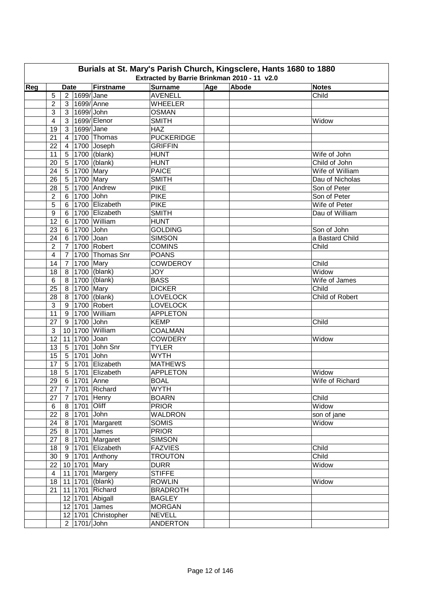| Burials at St. Mary's Parish Church, Kingsclere, Hants 1680 to 1880<br>Extracted by Barrie Brinkman 2010 - 11 v2.0 |                |                 |                  |                     |                                  |     |       |                 |  |
|--------------------------------------------------------------------------------------------------------------------|----------------|-----------------|------------------|---------------------|----------------------------------|-----|-------|-----------------|--|
|                                                                                                                    |                |                 |                  |                     |                                  |     |       |                 |  |
| Reg                                                                                                                |                | <b>Date</b>     |                  | Firstname           | <b>Surname</b>                   | Age | Abode | <b>Notes</b>    |  |
|                                                                                                                    | 5              |                 | 2 1699/Jane      |                     | <b>AVENELL</b>                   |     |       | Child           |  |
|                                                                                                                    | $\overline{2}$ | 3 <sup>1</sup>  | 1699/Anne        |                     | <b>WHEELER</b>                   |     |       |                 |  |
|                                                                                                                    | 3              | 3 <sup>1</sup>  | $1699/$ John     |                     | <b>OSMAN</b>                     |     |       |                 |  |
|                                                                                                                    | 4              | 3 <sup>1</sup>  |                  | 1699/Elenor         | <b>SMITH</b>                     |     |       | Widow           |  |
|                                                                                                                    | 19             | 3 <sup>1</sup>  | 1699/ Jane       |                     | <b>HAZ</b>                       |     |       |                 |  |
|                                                                                                                    | 21             | $\overline{4}$  |                  | 1700 Thomas         | <b>PUCKERIDGE</b>                |     |       |                 |  |
|                                                                                                                    | 22             | 4               |                  | 1700 Joseph         | <b>GRIFFIN</b>                   |     |       |                 |  |
|                                                                                                                    | 11             | 5               |                  | 1700 (blank)        | <b>HUNT</b>                      |     |       | Wife of John    |  |
|                                                                                                                    | 20             | 5               |                  | 1700 (blank)        | <b>HUNT</b>                      |     |       | Child of John   |  |
|                                                                                                                    | 24             | 5 <sup>1</sup>  | 1700 Mary        |                     | <b>PAICE</b>                     |     |       | Wife of William |  |
|                                                                                                                    | 26             | 5 <sup>1</sup>  | 1700 Mary        |                     | <b>SMITH</b>                     |     |       | Dau of Nicholas |  |
|                                                                                                                    | 28             | 5               |                  | 1700 Andrew         | <b>PIKE</b>                      |     |       | Son of Peter    |  |
|                                                                                                                    | $\overline{c}$ | 6               | 1700 John        |                     | <b>PIKE</b>                      |     |       | Son of Peter    |  |
|                                                                                                                    | 5              | 6               |                  | 1700 Elizabeth      | <b>PIKE</b>                      |     |       | Wife of Peter   |  |
|                                                                                                                    | $9\,$          | 6               |                  | 1700 Elizabeth      | <b>SMITH</b>                     |     |       | Dau of William  |  |
|                                                                                                                    | 12             | 6               |                  | 1700 William        | <b>HUNT</b>                      |     |       |                 |  |
|                                                                                                                    | 23             |                 | 6 1700 John      |                     | <b>GOLDING</b>                   |     |       | Son of John     |  |
|                                                                                                                    | 24             | 6 <sup>1</sup>  | 1700 Joan        |                     | <b>SIMSON</b>                    |     |       | a Bastard Child |  |
|                                                                                                                    | $\overline{2}$ |                 |                  | 7   1700   Robert   | <b>COMINS</b>                    |     |       | Child           |  |
|                                                                                                                    | $\overline{4}$ | $\overline{7}$  |                  | 1700 Thomas Snr     | <b>POANS</b>                     |     |       |                 |  |
|                                                                                                                    | 14             |                 | 7 1700 Mary      |                     | <b>COWDEROY</b>                  |     |       | Child           |  |
|                                                                                                                    | 18             |                 |                  | 8 1700 (blank)      | <b>JOY</b>                       |     |       | Widow           |  |
|                                                                                                                    | $6\phantom{1}$ |                 |                  | 8 1700 (blank)      | <b>BASS</b>                      |     |       | Wife of James   |  |
|                                                                                                                    | 25             | 8 <sup>1</sup>  | 1700 Mary        |                     | <b>DICKER</b>                    |     |       | Child           |  |
|                                                                                                                    | 28             |                 |                  | 8 1700 (blank)      | <b>LOVELOCK</b>                  |     |       | Child of Robert |  |
|                                                                                                                    | 3              |                 |                  | 9 1700 Robert       | <b>LOVELOCK</b>                  |     |       |                 |  |
|                                                                                                                    | 11             |                 |                  | 9 1700 William      | <b>APPLETON</b>                  |     |       |                 |  |
|                                                                                                                    | 27             |                 | 9 1700 John      |                     | <b>KEMP</b>                      |     |       | Child           |  |
|                                                                                                                    | $\mathbf{3}$   |                 |                  | 10 1700 William     | <b>COALMAN</b>                   |     |       |                 |  |
|                                                                                                                    | 12             |                 | 11 1700 Joan     |                     | <b>COWDERY</b>                   |     |       | Widow           |  |
|                                                                                                                    | 13             | $5\phantom{.0}$ |                  | 1701 John Snr       | <b>TYLER</b>                     |     |       |                 |  |
|                                                                                                                    | 15             |                 | 5 1701 John      |                     | <b>WYTH</b>                      |     |       |                 |  |
|                                                                                                                    | 17             |                 |                  | 5 1701 Elizabeth    | <b>MATHEWS</b>                   |     |       |                 |  |
|                                                                                                                    | 18             |                 |                  | 5 1701 Elizabeth    | <b>APPLETON</b>                  |     |       | Widow           |  |
|                                                                                                                    | 29             |                 | 6 1701 Anne      |                     | <b>BOAL</b>                      |     |       | Wife of Richard |  |
|                                                                                                                    | 27             |                 |                  | 7 1701 Richard      | <b>WYTH</b>                      |     |       |                 |  |
|                                                                                                                    | 27             |                 |                  | 7 1701 Henry        | <b>BOARN</b>                     |     |       | Child           |  |
|                                                                                                                    | $\,6$          |                 | 8   1701   Oliff |                     | <b>PRIOR</b>                     |     |       | Widow           |  |
|                                                                                                                    | 22             |                 | 8 1701 John      |                     | <b>WALDRON</b>                   |     |       | son of jane     |  |
|                                                                                                                    | 24             |                 |                  | 8 1701 Margarett    | <b>SOMIS</b>                     |     |       | Widow           |  |
|                                                                                                                    | 25             |                 |                  | 8 1701 James        | <b>PRIOR</b>                     |     |       |                 |  |
|                                                                                                                    | 27             |                 |                  | 8 1701 Margaret     | <b>SIMSON</b>                    |     |       |                 |  |
|                                                                                                                    |                |                 |                  |                     |                                  |     |       |                 |  |
|                                                                                                                    | 18             |                 |                  | 9 1701 Elizabeth    | <b>FAZVIES</b><br><b>TROUTON</b> |     |       | Child           |  |
|                                                                                                                    | 30             |                 |                  | 9 1701 Anthony      |                                  |     |       | Child           |  |
|                                                                                                                    | 22             |                 | 10 1701 Mary     |                     | <b>DURR</b>                      |     |       | Widow           |  |
|                                                                                                                    | $\overline{4}$ |                 |                  | 11 1701 Margery     | <b>STIFFE</b>                    |     |       |                 |  |
|                                                                                                                    | 18             |                 |                  | 11 1701 (blank)     | <b>ROWLIN</b>                    |     |       | Widow           |  |
|                                                                                                                    | 21             |                 |                  | 11 1701 Richard     | <b>BRADROTH</b>                  |     |       |                 |  |
|                                                                                                                    |                |                 |                  | 12 1701 Abigall     | <b>BAGLEY</b>                    |     |       |                 |  |
|                                                                                                                    |                |                 |                  | 12 1701 James       | <b>MORGAN</b>                    |     |       |                 |  |
|                                                                                                                    |                |                 |                  | 12 1701 Christopher | <b>NEVELL</b>                    |     |       |                 |  |
|                                                                                                                    |                |                 | 2 1701/John      |                     | <b>ANDERTON</b>                  |     |       |                 |  |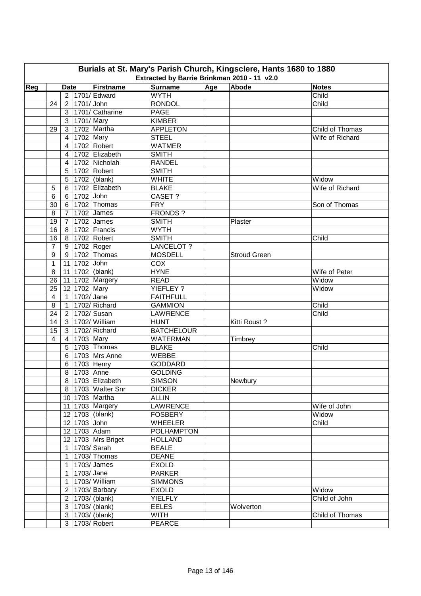|     |                |                |                          |                            | Extracted by Barrie Brinkman 2010 - 11 v2.0 |     | Burials at St. Mary's Parish Church, Kingsclere, Hants 1680 to 1880 |                 |
|-----|----------------|----------------|--------------------------|----------------------------|---------------------------------------------|-----|---------------------------------------------------------------------|-----------------|
| Reg |                | <b>Date</b>    |                          | Firstname                  | <b>Surname</b>                              | Age | Abode                                                               | <b>Notes</b>    |
|     |                |                |                          | 2   1701/ Edward           | <b>WYTH</b>                                 |     |                                                                     | Child           |
|     | 24             |                | 2   1701/ John           |                            | RONDOL                                      |     |                                                                     | Child           |
|     |                |                |                          | 3 1701/ Catharine          | <b>PAGE</b>                                 |     |                                                                     |                 |
|     |                |                | $\overline{3}$ 1701/Mary |                            | <b>KIMBER</b>                               |     |                                                                     |                 |
|     | 29             |                |                          | 3 1702 Martha              | <b>APPLETON</b>                             |     |                                                                     | Child of Thomas |
|     |                | $\overline{4}$ | 1702 Mary                |                            | <b>STEEL</b>                                |     |                                                                     | Wife of Richard |
|     |                | 4              |                          | 1702 Robert                | <b>WATMER</b>                               |     |                                                                     |                 |
|     |                | 4              |                          | 1702 Elizabeth             | <b>SMITH</b>                                |     |                                                                     |                 |
|     |                | 4              |                          | 1702 Nicholah              | <b>RANDEL</b>                               |     |                                                                     |                 |
|     |                |                |                          | 1702 Robert                | <b>SMITH</b>                                |     |                                                                     |                 |
|     |                | 5              |                          |                            |                                             |     |                                                                     |                 |
|     |                | 5              |                          | 1702 (blank)               | <b>WHITE</b>                                |     |                                                                     | Widow           |
|     | 5              | 6              |                          | 1702 Elizabeth             | <b>BLAKE</b>                                |     |                                                                     | Wife of Richard |
|     | 6              | 6              | 1702 John                |                            | CASET?                                      |     |                                                                     |                 |
|     | 30             | $6 \mid$       |                          | 1702 Thomas                | <b>FRY</b>                                  |     |                                                                     | Son of Thomas   |
|     | 8              | $\overline{7}$ |                          | 1702 James                 | <b>FRONDS?</b>                              |     |                                                                     |                 |
|     | 19             | 7              |                          | 1702 James                 | <b>SMITH</b>                                |     | Plaster                                                             |                 |
|     | 16             | 8 <sup>1</sup> |                          | 1702 Francis               | <b>WYTH</b>                                 |     |                                                                     |                 |
|     | 16             |                |                          | 8 1702 Robert              | <b>SMITH</b>                                |     |                                                                     | Child           |
|     | $\overline{7}$ |                |                          | 9 1702 Roger               | LANCELOT?                                   |     |                                                                     |                 |
|     | 9              |                |                          | 9 1702 Thomas              | <b>MOSDELL</b>                              |     | <b>Stroud Green</b>                                                 |                 |
|     | $\mathbf{1}$   |                | 11 1702 John             |                            | COX                                         |     |                                                                     |                 |
|     | 8              |                |                          | 11 1702 (blank)            | <b>HYNE</b>                                 |     |                                                                     | Wife of Peter   |
|     | 26             |                |                          | 11 1702 Margery            | <b>READ</b>                                 |     |                                                                     | Widow           |
|     | 25             |                | 12 1702 Mary             |                            | YIEFLEY ?                                   |     |                                                                     | Widow           |
|     | 4              |                | 1 1702/Jane              |                            | <b>FAITHFULL</b>                            |     |                                                                     |                 |
|     | 8              | 1              |                          | 1702/Richard               | <b>GAMMION</b>                              |     |                                                                     | Child           |
|     | 24             |                |                          | 2 1702/Susan               | <b>LAWRENCE</b>                             |     |                                                                     | Child           |
|     | 14             |                |                          | 3 1702/William             | <b>HUNT</b>                                 |     | Kitti Roust?                                                        |                 |
|     | 15             |                |                          | 3 1702/ Richard            | <b>BATCHELOUR</b>                           |     |                                                                     |                 |
|     | 4              | $\overline{4}$ | 1703 Mary                |                            | <b>WATERMAN</b>                             |     | Timbrey                                                             |                 |
|     |                | 5              |                          | 1703 Thomas                | <b>BLAKE</b>                                |     |                                                                     | Child           |
|     |                | 6              |                          | 1703 Mrs Anne              | <b>WEBBE</b>                                |     |                                                                     |                 |
|     |                | 6              |                          | $\sqrt{1703}$ Henry        | <b>GODDARD</b>                              |     |                                                                     |                 |
|     |                | 8              | 1703 Anne                |                            | <b>GOLDING</b>                              |     |                                                                     |                 |
|     |                |                |                          | 8 1703 Elizabeth           | <b>SIMSON</b>                               |     | Newbury                                                             |                 |
|     |                |                |                          | 8   1703   Walter Snr      | <b>DICKER</b>                               |     |                                                                     |                 |
|     |                |                |                          | 10 1703 Martha             | <b>ALLIN</b>                                |     |                                                                     |                 |
|     |                |                |                          | 11 1703 Margery            | <b>LAWRENCE</b>                             |     |                                                                     | Wife of John    |
|     |                |                |                          | 12 1703 (blank)            | <b>FOSBERY</b>                              |     |                                                                     | Widow           |
|     |                |                | 12 1703 John             |                            | <b>WHEELER</b>                              |     |                                                                     | Child           |
|     |                |                |                          | 12 1703 Adam               | <b>POLHAMPTON</b>                           |     |                                                                     |                 |
|     |                |                |                          | 12 1703 Mrs Briget         | <b>HOLLAND</b>                              |     |                                                                     |                 |
|     |                |                |                          | 1 1703/Sarah               | <b>BEALE</b>                                |     |                                                                     |                 |
|     |                |                |                          | 1   1703/ Thomas           | <b>DEANE</b>                                |     |                                                                     |                 |
|     |                |                |                          | $1 \vert 1703 \vert$ James | <b>EXOLD</b>                                |     |                                                                     |                 |
|     |                |                | 1   1703/ Jane           |                            | <b>PARKER</b>                               |     |                                                                     |                 |
|     |                |                |                          | 1   1703/ William          | <b>SIMMONS</b>                              |     |                                                                     |                 |
|     |                |                |                          | 2   1703/ Barbary          | <b>EXOLD</b>                                |     |                                                                     | Widow           |
|     |                |                |                          | 2   1703/ (blank)          | <b>YIELFLY</b>                              |     |                                                                     | Child of John   |
|     |                |                |                          | 3   1703 / (blank)         | <b>EELES</b>                                |     | Wolverton                                                           |                 |
|     |                |                |                          | 3   1703 / (blank)         | WITH                                        |     |                                                                     | Child of Thomas |
|     |                |                |                          | 3   1703/ Robert           | <b>PEARCE</b>                               |     |                                                                     |                 |
|     |                |                |                          |                            |                                             |     |                                                                     |                 |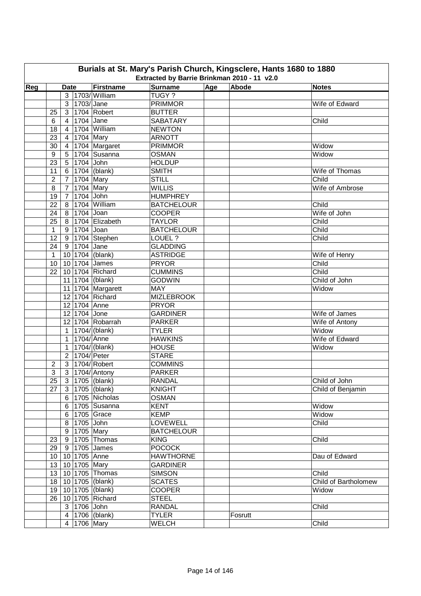|     | Burials at St. Mary's Parish Church, Kingsclere, Hants 1680 to 1880<br>Extracted by Barrie Brinkman 2010 - 11 v2.0 |                                  |                          |                               |                                |     |         |                      |  |  |  |  |
|-----|--------------------------------------------------------------------------------------------------------------------|----------------------------------|--------------------------|-------------------------------|--------------------------------|-----|---------|----------------------|--|--|--|--|
| Reg |                                                                                                                    | <b>Date</b>                      |                          | Firstname                     | <b>Surname</b>                 | Age | Abode   | <b>Notes</b>         |  |  |  |  |
|     |                                                                                                                    |                                  |                          | 3   1703/ William             | TUGY ?                         |     |         |                      |  |  |  |  |
|     |                                                                                                                    |                                  | 3   1703/ Jane           |                               | <b>PRIMMOR</b>                 |     |         | Wife of Edward       |  |  |  |  |
|     | 25                                                                                                                 |                                  |                          | 3   1704   Robert             | <b>BUTTER</b>                  |     |         |                      |  |  |  |  |
|     | 6                                                                                                                  | $\overline{4}$                   | 1704 Jane                |                               | <b>SABATARY</b>                |     |         | Child                |  |  |  |  |
|     |                                                                                                                    |                                  |                          | 1704 William                  |                                |     |         |                      |  |  |  |  |
|     | 18                                                                                                                 | $\overline{4}$                   |                          |                               | <b>NEWTON</b><br><b>ARNOTT</b> |     |         |                      |  |  |  |  |
|     | 23                                                                                                                 | 4 <sup>1</sup>                   | 1704 Mary                |                               |                                |     |         | Widow                |  |  |  |  |
|     | 30                                                                                                                 | 4 <sup>1</sup>                   |                          | 1704 Margaret<br>1704 Susanna | <b>PRIMMOR</b><br><b>OSMAN</b> |     |         |                      |  |  |  |  |
|     | 9<br>23                                                                                                            | 5 <sub>1</sub><br>5 <sup>1</sup> | 1704 John                |                               | <b>HOLDUP</b>                  |     |         | Widow                |  |  |  |  |
|     |                                                                                                                    |                                  |                          |                               | <b>SMITH</b>                   |     |         | Wife of Thomas       |  |  |  |  |
|     | 11                                                                                                                 |                                  |                          | 6   1704 (blank)              | <b>STILL</b>                   |     |         | Child                |  |  |  |  |
|     | $\overline{2}$<br>8                                                                                                | 7 <sup>1</sup>                   | 1704 Mary<br>1704 Mary   |                               | <b>WILLIS</b>                  |     |         | Wife of Ambrose      |  |  |  |  |
|     |                                                                                                                    | $7^{\circ}$                      |                          |                               |                                |     |         |                      |  |  |  |  |
|     | 19                                                                                                                 | $7\overline{ }$                  | 1704 John                |                               | <b>HUMPHREY</b>                |     |         |                      |  |  |  |  |
|     | 22                                                                                                                 | 8 <sup>1</sup>                   |                          | 1704 William                  | <b>BATCHELOUR</b>              |     |         | Child                |  |  |  |  |
|     | 24                                                                                                                 |                                  | 8 7704 Joan              |                               | <b>COOPER</b>                  |     |         | Wife of John         |  |  |  |  |
|     | 25                                                                                                                 |                                  |                          | 8 1704 Elizabeth              | <b>TAYLOR</b>                  |     |         | Child                |  |  |  |  |
|     | $\mathbf{1}$                                                                                                       |                                  | 9 1704 Joan              |                               | <b>BATCHELOUR</b>              |     |         | Child                |  |  |  |  |
|     | 12                                                                                                                 |                                  |                          | 9 1704 Stephen                | LOUEL ?                        |     |         | Child                |  |  |  |  |
|     | 24                                                                                                                 |                                  | 9 1704 Jane              |                               | <b>GLADDING</b>                |     |         |                      |  |  |  |  |
|     | $\mathbf{1}$                                                                                                       |                                  |                          | 10 1704 (blank)               | <b>ASTRIDGE</b>                |     |         | Wife of Henry        |  |  |  |  |
|     | 10                                                                                                                 |                                  |                          | 10 1704 James                 | <b>PRYOR</b>                   |     |         | Child                |  |  |  |  |
|     | 22                                                                                                                 |                                  |                          | 10 1704 Richard               | <b>CUMMINS</b>                 |     |         | Child                |  |  |  |  |
|     |                                                                                                                    |                                  |                          | 11 1704 (blank)               | <b>GODWIN</b>                  |     |         | Child of John        |  |  |  |  |
|     |                                                                                                                    |                                  |                          | 11 1704 Margarett             | <b>MAY</b>                     |     |         | Widow                |  |  |  |  |
|     |                                                                                                                    |                                  |                          | 12 1704 Richard               | <b>MIZLEBROOK</b>              |     |         |                      |  |  |  |  |
|     |                                                                                                                    |                                  | 12 1704 Anne             |                               | <b>PRYOR</b>                   |     |         |                      |  |  |  |  |
|     |                                                                                                                    |                                  | 12 1704 Jone             |                               | <b>GARDINER</b>                |     |         | Wife of James        |  |  |  |  |
|     |                                                                                                                    |                                  |                          | 12 1704 Robarrah              | <b>PARKER</b>                  |     |         | Wife of Antony       |  |  |  |  |
|     |                                                                                                                    |                                  |                          | 1   1704/ (blank)             | <b>TYLER</b>                   |     |         | Widow                |  |  |  |  |
|     |                                                                                                                    |                                  | 1 1704/Anne              |                               | <b>HAWKINS</b>                 |     |         | Wife of Edward       |  |  |  |  |
|     |                                                                                                                    | $\mathbf{1}$                     |                          | 1704/ (blank)                 | <b>HOUSE</b>                   |     |         | Widow                |  |  |  |  |
|     |                                                                                                                    |                                  | 2 1704/ Peter            |                               | <b>STARE</b>                   |     |         |                      |  |  |  |  |
|     | $\overline{2}$                                                                                                     |                                  |                          | 3 1704/ Robert                | <b>COMMINS</b>                 |     |         |                      |  |  |  |  |
|     | 3                                                                                                                  |                                  |                          | 3   1704/ Antony              | <b>PARKER</b>                  |     |         |                      |  |  |  |  |
|     | 25                                                                                                                 |                                  |                          | 3 1705 (blank)                | <b>RANDAL</b>                  |     |         | Child of John        |  |  |  |  |
|     | 27                                                                                                                 |                                  |                          | 3   1705   (blank)            | <b>KNIGHT</b>                  |     |         | Child of Benjamin    |  |  |  |  |
|     |                                                                                                                    |                                  |                          | 6 1705 Nicholas               | <b>OSMAN</b>                   |     |         |                      |  |  |  |  |
|     |                                                                                                                    |                                  |                          | 6 1705 Susanna                | <b>KENT</b>                    |     |         | Widow                |  |  |  |  |
|     |                                                                                                                    |                                  |                          | 6 1705 Grace                  | <b>KEMP</b>                    |     |         | Widow                |  |  |  |  |
|     |                                                                                                                    |                                  | 8 1705 John              |                               | LOVEWELL                       |     |         | Child                |  |  |  |  |
|     |                                                                                                                    |                                  | $\overline{9}$ 1705 Mary |                               | <b>BATCHELOUR</b>              |     |         |                      |  |  |  |  |
|     | 23                                                                                                                 |                                  |                          | 9 1705 Thomas                 | <b>KING</b>                    |     |         | Child                |  |  |  |  |
|     | 29                                                                                                                 |                                  |                          | 9 1705 James                  | <b>POCOCK</b>                  |     |         |                      |  |  |  |  |
|     |                                                                                                                    |                                  | 10   10   1705   Anne    |                               | <b>HAWTHORNE</b>               |     |         | Dau of Edward        |  |  |  |  |
|     |                                                                                                                    |                                  | 13 10 1705 Mary          |                               | <b>GARDINER</b>                |     |         |                      |  |  |  |  |
|     |                                                                                                                    |                                  |                          | 13   10   1705   Thomas       | <b>SIMSON</b>                  |     |         | Child                |  |  |  |  |
|     |                                                                                                                    |                                  |                          | 18   10   1705   (blank)      | <b>SCATES</b>                  |     |         | Child of Bartholomew |  |  |  |  |
|     | 19                                                                                                                 |                                  |                          | 10 1705 (blank)               | <b>COOPER</b>                  |     |         | Widow                |  |  |  |  |
|     | 26                                                                                                                 |                                  |                          | 10 1705 Richard               | <b>STEEL</b>                   |     |         |                      |  |  |  |  |
|     |                                                                                                                    |                                  | 3 1706 John              |                               | <b>RANDAL</b>                  |     |         | Child                |  |  |  |  |
|     |                                                                                                                    |                                  |                          | 4   1706   (blank)            | <b>TYLER</b>                   |     | Fosrutt |                      |  |  |  |  |
|     |                                                                                                                    |                                  | 4 1706 Mary              |                               | <b>WELCH</b>                   |     |         | Child                |  |  |  |  |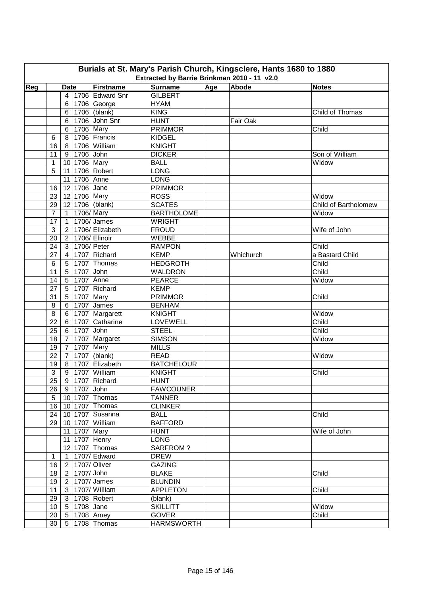|     |                 |                |              |                             | Burials at St. Mary's Parish Church, Kingsclere, Hants 1680 to 1880<br>Extracted by Barrie Brinkman 2010 - 11 v2.0 |     |           |                      |
|-----|-----------------|----------------|--------------|-----------------------------|--------------------------------------------------------------------------------------------------------------------|-----|-----------|----------------------|
| Reg |                 | <b>Date</b>    |              | Firstname                   | <b>Surname</b>                                                                                                     | Age | Abode     | <b>Notes</b>         |
|     |                 |                |              | 4   1706   Edward Snr       | <b>GILBERT</b>                                                                                                     |     |           |                      |
|     |                 |                |              | 6   1706   George           | <b>HYAM</b>                                                                                                        |     |           |                      |
|     |                 |                |              | 6   1706 $ $ (blank)        | <b>KING</b>                                                                                                        |     |           | Child of Thomas      |
|     |                 | 6 <sup>1</sup> |              | 1706 John Snr               | <b>HUNT</b>                                                                                                        |     | Fair Oak  |                      |
|     |                 |                | 6 1706 Mary  |                             | <b>PRIMMOR</b>                                                                                                     |     |           | Child                |
|     | 6               |                |              | 8   1706   Francis          | <b>KIDGEL</b>                                                                                                      |     |           |                      |
|     | 16              |                |              | 8   1706   William          | <b>KNIGHT</b>                                                                                                      |     |           |                      |
|     | 11              |                | 9 1706 John  |                             | <b>DICKER</b>                                                                                                      |     |           | Son of William       |
|     | 1               |                | 10 1706 Mary |                             | <b>BALL</b>                                                                                                        |     |           | Widow                |
|     | 5               |                |              | 11 1706 Robert              | <b>LONG</b>                                                                                                        |     |           |                      |
|     |                 |                | 11 1706 Anne |                             | <b>LONG</b>                                                                                                        |     |           |                      |
|     | 16              |                | 12 1706 Jane |                             | <b>PRIMMOR</b>                                                                                                     |     |           |                      |
|     |                 |                |              |                             |                                                                                                                    |     |           |                      |
|     | 23              |                | 12 1706 Mary |                             | <b>ROSS</b>                                                                                                        |     |           | Widow                |
|     | 29              |                |              | 12 1706 (blank)             | <b>SCATES</b>                                                                                                      |     |           | Child of Bartholomew |
|     | $\overline{7}$  |                | 1 1706/Mary  |                             | <b>BARTHOLOME</b>                                                                                                  |     |           | Widow                |
|     | 17              | $\mathbf{1}$   |              | 1706/ James                 | <b>WRIGHT</b>                                                                                                      |     |           |                      |
|     | 3               | 2 <sub>1</sub> |              | 1706/Elizabeth              | <b>FROUD</b>                                                                                                       |     |           | Wife of John         |
|     | 20              |                |              | 2   1706/ Elinoir           | WEBBE                                                                                                              |     |           |                      |
|     | 24              |                |              | 3 1706/ Peter               | <b>RAMPON</b>                                                                                                      |     |           | Child                |
|     | 27              | 4 <sup>1</sup> |              | 1707 Richard                | <b>KEMP</b>                                                                                                        |     | Whichurch | a Bastard Child      |
|     | $6\phantom{1}6$ |                |              | $5 \vert 1707 \vert$ Thomas | <b>HEDGROTH</b>                                                                                                    |     |           | Child                |
|     | 11              |                | 5 1707 John  |                             | <b>WALDRON</b>                                                                                                     |     |           | Child                |
|     | 14              | 5 <sup>1</sup> |              | 1707 Anne                   | <b>PEARCE</b>                                                                                                      |     |           | Widow                |
|     | 27              | 5 <sup>1</sup> |              | 1707 Richard                | <b>KEMP</b>                                                                                                        |     |           |                      |
|     | 31              | 5 <sup>1</sup> | 1707 Mary    |                             | <b>PRIMMOR</b>                                                                                                     |     |           | Child                |
|     | 8               |                |              | 6 1707 James                | <b>BENHAM</b>                                                                                                      |     |           |                      |
|     | 8               |                |              | 6 1707 Margarett            | <b>KNIGHT</b>                                                                                                      |     |           | Widow                |
|     | 22              |                |              | 6 1707 Catharine            | LOVEWELL                                                                                                           |     |           | Child                |
|     | 25              |                | 6 1707 John  |                             | <b>STEEL</b>                                                                                                       |     |           | Child                |
|     | 18              | $\overline{7}$ |              | 1707 Margaret               | <b>SIMSON</b>                                                                                                      |     |           | Widow                |
|     | 19              | $\overline{7}$ | 1707 Mary    |                             | <b>MILLS</b>                                                                                                       |     |           |                      |
|     | 22              | $\overline{7}$ |              | 1707 (blank)                | <b>READ</b>                                                                                                        |     |           | Widow                |
|     | 19              |                |              | 8 1707 Elizabeth            | <b>BATCHELOUR</b>                                                                                                  |     |           |                      |
|     | 3               |                |              | 9 1707 William              | <b>KNIGHT</b>                                                                                                      |     |           | Child                |
|     | 25              |                |              | 9 1707 Richard              | <b>HUNT</b>                                                                                                        |     |           |                      |
|     | 26              |                | 9 1707 John  |                             | <b>FAWCOUNER</b>                                                                                                   |     |           |                      |
|     | 5               |                |              | 10 1707 Thomas              | <b>TANNER</b>                                                                                                      |     |           |                      |
|     | 16              |                |              | 10 1707 Thomas              | <b>CLINKER</b>                                                                                                     |     |           |                      |
|     | 24              |                |              | 10 1707 Susanna             | <b>BALL</b>                                                                                                        |     |           | Child                |
|     | 29              |                |              | 10 1707 William             | <b>BAFFORD</b>                                                                                                     |     |           |                      |
|     |                 |                |              | 11 1707 Mary                | <b>HUNT</b>                                                                                                        |     |           | Wife of John         |
|     |                 |                |              | 11 1707 Henry               | <b>LONG</b>                                                                                                        |     |           |                      |
|     |                 |                |              | 12 1707 Thomas              | SARFROM ?                                                                                                          |     |           |                      |
|     | 1               |                |              | 1 1707/ Edward              | <b>DREW</b>                                                                                                        |     |           |                      |
|     | 16              |                |              | 2 1707/Oliver               | <b>GAZING</b>                                                                                                      |     |           |                      |
|     | 18              |                | 2 1707/John  |                             | <b>BLAKE</b>                                                                                                       |     |           | Child                |
|     | 19              |                |              | 2   1707/ James             | <b>BLUNDIN</b>                                                                                                     |     |           |                      |
|     | 11              |                |              | 3   1707/ William           | <b>APPLETON</b>                                                                                                    |     |           | Child                |
|     | 29              |                |              | 3 1708 Robert               | (blank)                                                                                                            |     |           |                      |
|     | 10              |                | 5 1708 Jane  |                             | <b>SKILLITT</b>                                                                                                    |     |           | Widow                |
|     | 20              |                |              | 5 1708 Amey                 | <b>GOVER</b>                                                                                                       |     |           | Child                |
|     | 30              |                |              |                             | <b>HARMSWORTH</b>                                                                                                  |     |           |                      |
|     |                 |                |              | 5   1708   Thomas           |                                                                                                                    |     |           |                      |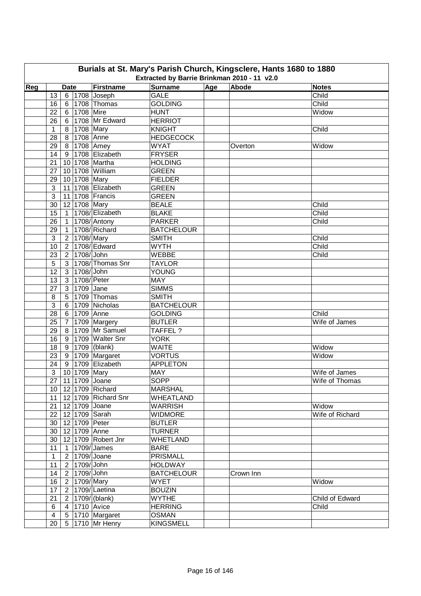| Age<br>Abode<br>Reg<br>Firstname<br><b>Surname</b><br><b>Notes</b><br><b>Date</b><br>13<br>$6$ 1708 Joseph<br><b>GALE</b><br>Child<br>Child<br>1708 Thomas<br><b>GOLDING</b><br>16<br>6<br>1708 Mire<br><b>HUNT</b><br>Widow<br>22<br>6<br>1708 Mr Edward<br><b>HERRIOT</b><br>26<br>6<br>1708 Mary<br><b>KNIGHT</b><br>Child<br>8 <sup>1</sup><br>$\mathbf 1$<br>1708 Anne<br><b>HEDGECOCK</b><br>28<br>8<br>1708 Amey<br><b>WYAT</b><br>29<br>8<br>Widow<br>Overton<br>1708 Elizabeth<br><b>FRYSER</b><br>14<br>9<br>10 1708 Martha<br><b>HOLDING</b><br>21<br>10 1708 William<br><b>GREEN</b><br>27<br>10 1708 Mary<br><b>FIELDER</b><br>29<br>1708 Elizabeth<br>3<br><b>GREEN</b><br>11 <sup>1</sup><br>3<br>11 1708 Francis<br><b>GREEN</b><br>12 1708 Mary<br><b>BEALE</b><br>Child<br>30<br>1708/ Elizabeth<br>Child<br>15<br><b>BLAKE</b><br>$\mathbf{1}$<br>1708/Antony<br><b>PARKER</b><br>26<br>Child<br>$\overline{1}$<br>1708/Richard<br><b>BATCHELOUR</b><br>29<br>$\overline{1}$<br>$\mathbf{3}$<br>1708/Mary<br><b>SMITH</b><br>Child<br>2 <sup>1</sup><br>1708/ Edward<br>Child<br>10<br><b>WYTH</b><br>2 <sup>1</sup><br>2 1708/John<br>WEBBE<br>23<br>Child<br>3 1708/Thomas Snr<br>5<br><b>TAYLOR</b><br>1708/ John<br>12<br>YOUNG<br>3 <sup>1</sup><br>1708/Peter<br>13<br>3 <sup>1</sup><br><b>MAY</b><br>$1709$ Jane<br>27<br>3 <sup>1</sup><br><b>SIMMS</b><br>1709 Thomas<br>5 <sup>5</sup><br><b>SMITH</b><br>8<br>1709 Nicholas<br><b>BATCHELOUR</b><br>3<br>6 <sup>1</sup><br>1709 Anne<br>Child<br>28<br>$6\overline{6}$<br><b>GOLDING</b><br>$\overline{7}$<br>25<br>1709 Margery<br><b>BUTLER</b><br>Wife of James<br>1709 Mr Samuel<br>TAFFEL ?<br>8<br>29<br>1709 Walter Snr<br>9<br><b>YORK</b><br>16<br>$\overline{1709}$ (blank)<br>Widow<br>9<br><b>WAITE</b><br>18<br>1709 Margaret<br><b>VORTUS</b><br>9<br>Widow<br>23<br>9 1709 Elizabeth<br>24<br><b>APPLETON</b><br>$\mathsf 3$<br>10 1709 Mary<br><b>MAY</b><br>Wife of James<br>27 11 1709 Joane<br><b>SOPP</b><br>Wife of Thomas<br>12 1709 Richard<br><b>MARSHAL</b><br>10<br>12 1709 Richard Snr<br>11<br>WHEATLAND<br>12 1709 Joane<br>21<br><b>WARRISH</b><br>Widow<br>Wife of Richard<br>22<br>12 1709 Sarah<br><b>WIDMORE</b><br>12 1709 Peter<br><b>BUTLER</b><br>30<br>12 1709 Anne<br><b>TURNER</b><br>30<br>12 1709 Robert Jnr<br>WHETLAND<br>30<br>11<br>1 1709/James<br><b>BARE</b><br>2   1709/ Joane<br><b>PRISMALL</b><br>$\mathbf{1}$<br>2 1709/John<br><b>HOLDWAY</b><br>11<br>2 1709/John<br><b>BATCHELOUR</b><br>14<br>Crown Inn<br>2 1709/Mary<br>16<br><b>WYET</b><br>Widow<br>2 1709/Laetina<br><b>BOUZIN</b><br>17<br>2   1709/ (blank)<br><b>WYTHE</b><br>Child of Edward<br>21<br>4   1710   Avice<br><b>HERRING</b><br>Child<br>6<br>5 1710 Margaret<br>$\overline{4}$<br><b>OSMAN</b><br>20<br>5   1710   Mr Henry | Burials at St. Mary's Parish Church, Kingsclere, Hants 1680 to 1880<br>Extracted by Barrie Brinkman 2010 - 11 v2.0 |  |  |                  |  |  |  |  |  |  |  |  |
|---------------------------------------------------------------------------------------------------------------------------------------------------------------------------------------------------------------------------------------------------------------------------------------------------------------------------------------------------------------------------------------------------------------------------------------------------------------------------------------------------------------------------------------------------------------------------------------------------------------------------------------------------------------------------------------------------------------------------------------------------------------------------------------------------------------------------------------------------------------------------------------------------------------------------------------------------------------------------------------------------------------------------------------------------------------------------------------------------------------------------------------------------------------------------------------------------------------------------------------------------------------------------------------------------------------------------------------------------------------------------------------------------------------------------------------------------------------------------------------------------------------------------------------------------------------------------------------------------------------------------------------------------------------------------------------------------------------------------------------------------------------------------------------------------------------------------------------------------------------------------------------------------------------------------------------------------------------------------------------------------------------------------------------------------------------------------------------------------------------------------------------------------------------------------------------------------------------------------------------------------------------------------------------------------------------------------------------------------------------------------------------------------------------------------------------------------------------------------------------------------------------------------------------------------------------------------------------------------------------------------------------------------------------------------------------------------------------------------------------------------------------------------------------------------------------------------------------------|--------------------------------------------------------------------------------------------------------------------|--|--|------------------|--|--|--|--|--|--|--|--|
|                                                                                                                                                                                                                                                                                                                                                                                                                                                                                                                                                                                                                                                                                                                                                                                                                                                                                                                                                                                                                                                                                                                                                                                                                                                                                                                                                                                                                                                                                                                                                                                                                                                                                                                                                                                                                                                                                                                                                                                                                                                                                                                                                                                                                                                                                                                                                                                                                                                                                                                                                                                                                                                                                                                                                                                                                                             |                                                                                                                    |  |  |                  |  |  |  |  |  |  |  |  |
|                                                                                                                                                                                                                                                                                                                                                                                                                                                                                                                                                                                                                                                                                                                                                                                                                                                                                                                                                                                                                                                                                                                                                                                                                                                                                                                                                                                                                                                                                                                                                                                                                                                                                                                                                                                                                                                                                                                                                                                                                                                                                                                                                                                                                                                                                                                                                                                                                                                                                                                                                                                                                                                                                                                                                                                                                                             |                                                                                                                    |  |  |                  |  |  |  |  |  |  |  |  |
|                                                                                                                                                                                                                                                                                                                                                                                                                                                                                                                                                                                                                                                                                                                                                                                                                                                                                                                                                                                                                                                                                                                                                                                                                                                                                                                                                                                                                                                                                                                                                                                                                                                                                                                                                                                                                                                                                                                                                                                                                                                                                                                                                                                                                                                                                                                                                                                                                                                                                                                                                                                                                                                                                                                                                                                                                                             |                                                                                                                    |  |  |                  |  |  |  |  |  |  |  |  |
|                                                                                                                                                                                                                                                                                                                                                                                                                                                                                                                                                                                                                                                                                                                                                                                                                                                                                                                                                                                                                                                                                                                                                                                                                                                                                                                                                                                                                                                                                                                                                                                                                                                                                                                                                                                                                                                                                                                                                                                                                                                                                                                                                                                                                                                                                                                                                                                                                                                                                                                                                                                                                                                                                                                                                                                                                                             |                                                                                                                    |  |  |                  |  |  |  |  |  |  |  |  |
|                                                                                                                                                                                                                                                                                                                                                                                                                                                                                                                                                                                                                                                                                                                                                                                                                                                                                                                                                                                                                                                                                                                                                                                                                                                                                                                                                                                                                                                                                                                                                                                                                                                                                                                                                                                                                                                                                                                                                                                                                                                                                                                                                                                                                                                                                                                                                                                                                                                                                                                                                                                                                                                                                                                                                                                                                                             |                                                                                                                    |  |  |                  |  |  |  |  |  |  |  |  |
|                                                                                                                                                                                                                                                                                                                                                                                                                                                                                                                                                                                                                                                                                                                                                                                                                                                                                                                                                                                                                                                                                                                                                                                                                                                                                                                                                                                                                                                                                                                                                                                                                                                                                                                                                                                                                                                                                                                                                                                                                                                                                                                                                                                                                                                                                                                                                                                                                                                                                                                                                                                                                                                                                                                                                                                                                                             |                                                                                                                    |  |  |                  |  |  |  |  |  |  |  |  |
|                                                                                                                                                                                                                                                                                                                                                                                                                                                                                                                                                                                                                                                                                                                                                                                                                                                                                                                                                                                                                                                                                                                                                                                                                                                                                                                                                                                                                                                                                                                                                                                                                                                                                                                                                                                                                                                                                                                                                                                                                                                                                                                                                                                                                                                                                                                                                                                                                                                                                                                                                                                                                                                                                                                                                                                                                                             |                                                                                                                    |  |  |                  |  |  |  |  |  |  |  |  |
|                                                                                                                                                                                                                                                                                                                                                                                                                                                                                                                                                                                                                                                                                                                                                                                                                                                                                                                                                                                                                                                                                                                                                                                                                                                                                                                                                                                                                                                                                                                                                                                                                                                                                                                                                                                                                                                                                                                                                                                                                                                                                                                                                                                                                                                                                                                                                                                                                                                                                                                                                                                                                                                                                                                                                                                                                                             |                                                                                                                    |  |  |                  |  |  |  |  |  |  |  |  |
|                                                                                                                                                                                                                                                                                                                                                                                                                                                                                                                                                                                                                                                                                                                                                                                                                                                                                                                                                                                                                                                                                                                                                                                                                                                                                                                                                                                                                                                                                                                                                                                                                                                                                                                                                                                                                                                                                                                                                                                                                                                                                                                                                                                                                                                                                                                                                                                                                                                                                                                                                                                                                                                                                                                                                                                                                                             |                                                                                                                    |  |  |                  |  |  |  |  |  |  |  |  |
|                                                                                                                                                                                                                                                                                                                                                                                                                                                                                                                                                                                                                                                                                                                                                                                                                                                                                                                                                                                                                                                                                                                                                                                                                                                                                                                                                                                                                                                                                                                                                                                                                                                                                                                                                                                                                                                                                                                                                                                                                                                                                                                                                                                                                                                                                                                                                                                                                                                                                                                                                                                                                                                                                                                                                                                                                                             |                                                                                                                    |  |  |                  |  |  |  |  |  |  |  |  |
|                                                                                                                                                                                                                                                                                                                                                                                                                                                                                                                                                                                                                                                                                                                                                                                                                                                                                                                                                                                                                                                                                                                                                                                                                                                                                                                                                                                                                                                                                                                                                                                                                                                                                                                                                                                                                                                                                                                                                                                                                                                                                                                                                                                                                                                                                                                                                                                                                                                                                                                                                                                                                                                                                                                                                                                                                                             |                                                                                                                    |  |  |                  |  |  |  |  |  |  |  |  |
|                                                                                                                                                                                                                                                                                                                                                                                                                                                                                                                                                                                                                                                                                                                                                                                                                                                                                                                                                                                                                                                                                                                                                                                                                                                                                                                                                                                                                                                                                                                                                                                                                                                                                                                                                                                                                                                                                                                                                                                                                                                                                                                                                                                                                                                                                                                                                                                                                                                                                                                                                                                                                                                                                                                                                                                                                                             |                                                                                                                    |  |  |                  |  |  |  |  |  |  |  |  |
|                                                                                                                                                                                                                                                                                                                                                                                                                                                                                                                                                                                                                                                                                                                                                                                                                                                                                                                                                                                                                                                                                                                                                                                                                                                                                                                                                                                                                                                                                                                                                                                                                                                                                                                                                                                                                                                                                                                                                                                                                                                                                                                                                                                                                                                                                                                                                                                                                                                                                                                                                                                                                                                                                                                                                                                                                                             |                                                                                                                    |  |  |                  |  |  |  |  |  |  |  |  |
|                                                                                                                                                                                                                                                                                                                                                                                                                                                                                                                                                                                                                                                                                                                                                                                                                                                                                                                                                                                                                                                                                                                                                                                                                                                                                                                                                                                                                                                                                                                                                                                                                                                                                                                                                                                                                                                                                                                                                                                                                                                                                                                                                                                                                                                                                                                                                                                                                                                                                                                                                                                                                                                                                                                                                                                                                                             |                                                                                                                    |  |  |                  |  |  |  |  |  |  |  |  |
|                                                                                                                                                                                                                                                                                                                                                                                                                                                                                                                                                                                                                                                                                                                                                                                                                                                                                                                                                                                                                                                                                                                                                                                                                                                                                                                                                                                                                                                                                                                                                                                                                                                                                                                                                                                                                                                                                                                                                                                                                                                                                                                                                                                                                                                                                                                                                                                                                                                                                                                                                                                                                                                                                                                                                                                                                                             |                                                                                                                    |  |  |                  |  |  |  |  |  |  |  |  |
|                                                                                                                                                                                                                                                                                                                                                                                                                                                                                                                                                                                                                                                                                                                                                                                                                                                                                                                                                                                                                                                                                                                                                                                                                                                                                                                                                                                                                                                                                                                                                                                                                                                                                                                                                                                                                                                                                                                                                                                                                                                                                                                                                                                                                                                                                                                                                                                                                                                                                                                                                                                                                                                                                                                                                                                                                                             |                                                                                                                    |  |  |                  |  |  |  |  |  |  |  |  |
|                                                                                                                                                                                                                                                                                                                                                                                                                                                                                                                                                                                                                                                                                                                                                                                                                                                                                                                                                                                                                                                                                                                                                                                                                                                                                                                                                                                                                                                                                                                                                                                                                                                                                                                                                                                                                                                                                                                                                                                                                                                                                                                                                                                                                                                                                                                                                                                                                                                                                                                                                                                                                                                                                                                                                                                                                                             |                                                                                                                    |  |  |                  |  |  |  |  |  |  |  |  |
|                                                                                                                                                                                                                                                                                                                                                                                                                                                                                                                                                                                                                                                                                                                                                                                                                                                                                                                                                                                                                                                                                                                                                                                                                                                                                                                                                                                                                                                                                                                                                                                                                                                                                                                                                                                                                                                                                                                                                                                                                                                                                                                                                                                                                                                                                                                                                                                                                                                                                                                                                                                                                                                                                                                                                                                                                                             |                                                                                                                    |  |  |                  |  |  |  |  |  |  |  |  |
|                                                                                                                                                                                                                                                                                                                                                                                                                                                                                                                                                                                                                                                                                                                                                                                                                                                                                                                                                                                                                                                                                                                                                                                                                                                                                                                                                                                                                                                                                                                                                                                                                                                                                                                                                                                                                                                                                                                                                                                                                                                                                                                                                                                                                                                                                                                                                                                                                                                                                                                                                                                                                                                                                                                                                                                                                                             |                                                                                                                    |  |  |                  |  |  |  |  |  |  |  |  |
|                                                                                                                                                                                                                                                                                                                                                                                                                                                                                                                                                                                                                                                                                                                                                                                                                                                                                                                                                                                                                                                                                                                                                                                                                                                                                                                                                                                                                                                                                                                                                                                                                                                                                                                                                                                                                                                                                                                                                                                                                                                                                                                                                                                                                                                                                                                                                                                                                                                                                                                                                                                                                                                                                                                                                                                                                                             |                                                                                                                    |  |  |                  |  |  |  |  |  |  |  |  |
|                                                                                                                                                                                                                                                                                                                                                                                                                                                                                                                                                                                                                                                                                                                                                                                                                                                                                                                                                                                                                                                                                                                                                                                                                                                                                                                                                                                                                                                                                                                                                                                                                                                                                                                                                                                                                                                                                                                                                                                                                                                                                                                                                                                                                                                                                                                                                                                                                                                                                                                                                                                                                                                                                                                                                                                                                                             |                                                                                                                    |  |  |                  |  |  |  |  |  |  |  |  |
|                                                                                                                                                                                                                                                                                                                                                                                                                                                                                                                                                                                                                                                                                                                                                                                                                                                                                                                                                                                                                                                                                                                                                                                                                                                                                                                                                                                                                                                                                                                                                                                                                                                                                                                                                                                                                                                                                                                                                                                                                                                                                                                                                                                                                                                                                                                                                                                                                                                                                                                                                                                                                                                                                                                                                                                                                                             |                                                                                                                    |  |  |                  |  |  |  |  |  |  |  |  |
|                                                                                                                                                                                                                                                                                                                                                                                                                                                                                                                                                                                                                                                                                                                                                                                                                                                                                                                                                                                                                                                                                                                                                                                                                                                                                                                                                                                                                                                                                                                                                                                                                                                                                                                                                                                                                                                                                                                                                                                                                                                                                                                                                                                                                                                                                                                                                                                                                                                                                                                                                                                                                                                                                                                                                                                                                                             |                                                                                                                    |  |  |                  |  |  |  |  |  |  |  |  |
|                                                                                                                                                                                                                                                                                                                                                                                                                                                                                                                                                                                                                                                                                                                                                                                                                                                                                                                                                                                                                                                                                                                                                                                                                                                                                                                                                                                                                                                                                                                                                                                                                                                                                                                                                                                                                                                                                                                                                                                                                                                                                                                                                                                                                                                                                                                                                                                                                                                                                                                                                                                                                                                                                                                                                                                                                                             |                                                                                                                    |  |  |                  |  |  |  |  |  |  |  |  |
|                                                                                                                                                                                                                                                                                                                                                                                                                                                                                                                                                                                                                                                                                                                                                                                                                                                                                                                                                                                                                                                                                                                                                                                                                                                                                                                                                                                                                                                                                                                                                                                                                                                                                                                                                                                                                                                                                                                                                                                                                                                                                                                                                                                                                                                                                                                                                                                                                                                                                                                                                                                                                                                                                                                                                                                                                                             |                                                                                                                    |  |  |                  |  |  |  |  |  |  |  |  |
|                                                                                                                                                                                                                                                                                                                                                                                                                                                                                                                                                                                                                                                                                                                                                                                                                                                                                                                                                                                                                                                                                                                                                                                                                                                                                                                                                                                                                                                                                                                                                                                                                                                                                                                                                                                                                                                                                                                                                                                                                                                                                                                                                                                                                                                                                                                                                                                                                                                                                                                                                                                                                                                                                                                                                                                                                                             |                                                                                                                    |  |  |                  |  |  |  |  |  |  |  |  |
|                                                                                                                                                                                                                                                                                                                                                                                                                                                                                                                                                                                                                                                                                                                                                                                                                                                                                                                                                                                                                                                                                                                                                                                                                                                                                                                                                                                                                                                                                                                                                                                                                                                                                                                                                                                                                                                                                                                                                                                                                                                                                                                                                                                                                                                                                                                                                                                                                                                                                                                                                                                                                                                                                                                                                                                                                                             |                                                                                                                    |  |  |                  |  |  |  |  |  |  |  |  |
|                                                                                                                                                                                                                                                                                                                                                                                                                                                                                                                                                                                                                                                                                                                                                                                                                                                                                                                                                                                                                                                                                                                                                                                                                                                                                                                                                                                                                                                                                                                                                                                                                                                                                                                                                                                                                                                                                                                                                                                                                                                                                                                                                                                                                                                                                                                                                                                                                                                                                                                                                                                                                                                                                                                                                                                                                                             |                                                                                                                    |  |  |                  |  |  |  |  |  |  |  |  |
|                                                                                                                                                                                                                                                                                                                                                                                                                                                                                                                                                                                                                                                                                                                                                                                                                                                                                                                                                                                                                                                                                                                                                                                                                                                                                                                                                                                                                                                                                                                                                                                                                                                                                                                                                                                                                                                                                                                                                                                                                                                                                                                                                                                                                                                                                                                                                                                                                                                                                                                                                                                                                                                                                                                                                                                                                                             |                                                                                                                    |  |  |                  |  |  |  |  |  |  |  |  |
|                                                                                                                                                                                                                                                                                                                                                                                                                                                                                                                                                                                                                                                                                                                                                                                                                                                                                                                                                                                                                                                                                                                                                                                                                                                                                                                                                                                                                                                                                                                                                                                                                                                                                                                                                                                                                                                                                                                                                                                                                                                                                                                                                                                                                                                                                                                                                                                                                                                                                                                                                                                                                                                                                                                                                                                                                                             |                                                                                                                    |  |  |                  |  |  |  |  |  |  |  |  |
|                                                                                                                                                                                                                                                                                                                                                                                                                                                                                                                                                                                                                                                                                                                                                                                                                                                                                                                                                                                                                                                                                                                                                                                                                                                                                                                                                                                                                                                                                                                                                                                                                                                                                                                                                                                                                                                                                                                                                                                                                                                                                                                                                                                                                                                                                                                                                                                                                                                                                                                                                                                                                                                                                                                                                                                                                                             |                                                                                                                    |  |  |                  |  |  |  |  |  |  |  |  |
|                                                                                                                                                                                                                                                                                                                                                                                                                                                                                                                                                                                                                                                                                                                                                                                                                                                                                                                                                                                                                                                                                                                                                                                                                                                                                                                                                                                                                                                                                                                                                                                                                                                                                                                                                                                                                                                                                                                                                                                                                                                                                                                                                                                                                                                                                                                                                                                                                                                                                                                                                                                                                                                                                                                                                                                                                                             |                                                                                                                    |  |  |                  |  |  |  |  |  |  |  |  |
|                                                                                                                                                                                                                                                                                                                                                                                                                                                                                                                                                                                                                                                                                                                                                                                                                                                                                                                                                                                                                                                                                                                                                                                                                                                                                                                                                                                                                                                                                                                                                                                                                                                                                                                                                                                                                                                                                                                                                                                                                                                                                                                                                                                                                                                                                                                                                                                                                                                                                                                                                                                                                                                                                                                                                                                                                                             |                                                                                                                    |  |  |                  |  |  |  |  |  |  |  |  |
|                                                                                                                                                                                                                                                                                                                                                                                                                                                                                                                                                                                                                                                                                                                                                                                                                                                                                                                                                                                                                                                                                                                                                                                                                                                                                                                                                                                                                                                                                                                                                                                                                                                                                                                                                                                                                                                                                                                                                                                                                                                                                                                                                                                                                                                                                                                                                                                                                                                                                                                                                                                                                                                                                                                                                                                                                                             |                                                                                                                    |  |  |                  |  |  |  |  |  |  |  |  |
|                                                                                                                                                                                                                                                                                                                                                                                                                                                                                                                                                                                                                                                                                                                                                                                                                                                                                                                                                                                                                                                                                                                                                                                                                                                                                                                                                                                                                                                                                                                                                                                                                                                                                                                                                                                                                                                                                                                                                                                                                                                                                                                                                                                                                                                                                                                                                                                                                                                                                                                                                                                                                                                                                                                                                                                                                                             |                                                                                                                    |  |  |                  |  |  |  |  |  |  |  |  |
|                                                                                                                                                                                                                                                                                                                                                                                                                                                                                                                                                                                                                                                                                                                                                                                                                                                                                                                                                                                                                                                                                                                                                                                                                                                                                                                                                                                                                                                                                                                                                                                                                                                                                                                                                                                                                                                                                                                                                                                                                                                                                                                                                                                                                                                                                                                                                                                                                                                                                                                                                                                                                                                                                                                                                                                                                                             |                                                                                                                    |  |  |                  |  |  |  |  |  |  |  |  |
|                                                                                                                                                                                                                                                                                                                                                                                                                                                                                                                                                                                                                                                                                                                                                                                                                                                                                                                                                                                                                                                                                                                                                                                                                                                                                                                                                                                                                                                                                                                                                                                                                                                                                                                                                                                                                                                                                                                                                                                                                                                                                                                                                                                                                                                                                                                                                                                                                                                                                                                                                                                                                                                                                                                                                                                                                                             |                                                                                                                    |  |  |                  |  |  |  |  |  |  |  |  |
|                                                                                                                                                                                                                                                                                                                                                                                                                                                                                                                                                                                                                                                                                                                                                                                                                                                                                                                                                                                                                                                                                                                                                                                                                                                                                                                                                                                                                                                                                                                                                                                                                                                                                                                                                                                                                                                                                                                                                                                                                                                                                                                                                                                                                                                                                                                                                                                                                                                                                                                                                                                                                                                                                                                                                                                                                                             |                                                                                                                    |  |  |                  |  |  |  |  |  |  |  |  |
|                                                                                                                                                                                                                                                                                                                                                                                                                                                                                                                                                                                                                                                                                                                                                                                                                                                                                                                                                                                                                                                                                                                                                                                                                                                                                                                                                                                                                                                                                                                                                                                                                                                                                                                                                                                                                                                                                                                                                                                                                                                                                                                                                                                                                                                                                                                                                                                                                                                                                                                                                                                                                                                                                                                                                                                                                                             |                                                                                                                    |  |  |                  |  |  |  |  |  |  |  |  |
|                                                                                                                                                                                                                                                                                                                                                                                                                                                                                                                                                                                                                                                                                                                                                                                                                                                                                                                                                                                                                                                                                                                                                                                                                                                                                                                                                                                                                                                                                                                                                                                                                                                                                                                                                                                                                                                                                                                                                                                                                                                                                                                                                                                                                                                                                                                                                                                                                                                                                                                                                                                                                                                                                                                                                                                                                                             |                                                                                                                    |  |  |                  |  |  |  |  |  |  |  |  |
|                                                                                                                                                                                                                                                                                                                                                                                                                                                                                                                                                                                                                                                                                                                                                                                                                                                                                                                                                                                                                                                                                                                                                                                                                                                                                                                                                                                                                                                                                                                                                                                                                                                                                                                                                                                                                                                                                                                                                                                                                                                                                                                                                                                                                                                                                                                                                                                                                                                                                                                                                                                                                                                                                                                                                                                                                                             |                                                                                                                    |  |  |                  |  |  |  |  |  |  |  |  |
|                                                                                                                                                                                                                                                                                                                                                                                                                                                                                                                                                                                                                                                                                                                                                                                                                                                                                                                                                                                                                                                                                                                                                                                                                                                                                                                                                                                                                                                                                                                                                                                                                                                                                                                                                                                                                                                                                                                                                                                                                                                                                                                                                                                                                                                                                                                                                                                                                                                                                                                                                                                                                                                                                                                                                                                                                                             |                                                                                                                    |  |  |                  |  |  |  |  |  |  |  |  |
|                                                                                                                                                                                                                                                                                                                                                                                                                                                                                                                                                                                                                                                                                                                                                                                                                                                                                                                                                                                                                                                                                                                                                                                                                                                                                                                                                                                                                                                                                                                                                                                                                                                                                                                                                                                                                                                                                                                                                                                                                                                                                                                                                                                                                                                                                                                                                                                                                                                                                                                                                                                                                                                                                                                                                                                                                                             |                                                                                                                    |  |  |                  |  |  |  |  |  |  |  |  |
|                                                                                                                                                                                                                                                                                                                                                                                                                                                                                                                                                                                                                                                                                                                                                                                                                                                                                                                                                                                                                                                                                                                                                                                                                                                                                                                                                                                                                                                                                                                                                                                                                                                                                                                                                                                                                                                                                                                                                                                                                                                                                                                                                                                                                                                                                                                                                                                                                                                                                                                                                                                                                                                                                                                                                                                                                                             |                                                                                                                    |  |  |                  |  |  |  |  |  |  |  |  |
|                                                                                                                                                                                                                                                                                                                                                                                                                                                                                                                                                                                                                                                                                                                                                                                                                                                                                                                                                                                                                                                                                                                                                                                                                                                                                                                                                                                                                                                                                                                                                                                                                                                                                                                                                                                                                                                                                                                                                                                                                                                                                                                                                                                                                                                                                                                                                                                                                                                                                                                                                                                                                                                                                                                                                                                                                                             |                                                                                                                    |  |  |                  |  |  |  |  |  |  |  |  |
|                                                                                                                                                                                                                                                                                                                                                                                                                                                                                                                                                                                                                                                                                                                                                                                                                                                                                                                                                                                                                                                                                                                                                                                                                                                                                                                                                                                                                                                                                                                                                                                                                                                                                                                                                                                                                                                                                                                                                                                                                                                                                                                                                                                                                                                                                                                                                                                                                                                                                                                                                                                                                                                                                                                                                                                                                                             |                                                                                                                    |  |  |                  |  |  |  |  |  |  |  |  |
|                                                                                                                                                                                                                                                                                                                                                                                                                                                                                                                                                                                                                                                                                                                                                                                                                                                                                                                                                                                                                                                                                                                                                                                                                                                                                                                                                                                                                                                                                                                                                                                                                                                                                                                                                                                                                                                                                                                                                                                                                                                                                                                                                                                                                                                                                                                                                                                                                                                                                                                                                                                                                                                                                                                                                                                                                                             |                                                                                                                    |  |  |                  |  |  |  |  |  |  |  |  |
|                                                                                                                                                                                                                                                                                                                                                                                                                                                                                                                                                                                                                                                                                                                                                                                                                                                                                                                                                                                                                                                                                                                                                                                                                                                                                                                                                                                                                                                                                                                                                                                                                                                                                                                                                                                                                                                                                                                                                                                                                                                                                                                                                                                                                                                                                                                                                                                                                                                                                                                                                                                                                                                                                                                                                                                                                                             |                                                                                                                    |  |  |                  |  |  |  |  |  |  |  |  |
|                                                                                                                                                                                                                                                                                                                                                                                                                                                                                                                                                                                                                                                                                                                                                                                                                                                                                                                                                                                                                                                                                                                                                                                                                                                                                                                                                                                                                                                                                                                                                                                                                                                                                                                                                                                                                                                                                                                                                                                                                                                                                                                                                                                                                                                                                                                                                                                                                                                                                                                                                                                                                                                                                                                                                                                                                                             |                                                                                                                    |  |  |                  |  |  |  |  |  |  |  |  |
|                                                                                                                                                                                                                                                                                                                                                                                                                                                                                                                                                                                                                                                                                                                                                                                                                                                                                                                                                                                                                                                                                                                                                                                                                                                                                                                                                                                                                                                                                                                                                                                                                                                                                                                                                                                                                                                                                                                                                                                                                                                                                                                                                                                                                                                                                                                                                                                                                                                                                                                                                                                                                                                                                                                                                                                                                                             |                                                                                                                    |  |  |                  |  |  |  |  |  |  |  |  |
|                                                                                                                                                                                                                                                                                                                                                                                                                                                                                                                                                                                                                                                                                                                                                                                                                                                                                                                                                                                                                                                                                                                                                                                                                                                                                                                                                                                                                                                                                                                                                                                                                                                                                                                                                                                                                                                                                                                                                                                                                                                                                                                                                                                                                                                                                                                                                                                                                                                                                                                                                                                                                                                                                                                                                                                                                                             |                                                                                                                    |  |  |                  |  |  |  |  |  |  |  |  |
|                                                                                                                                                                                                                                                                                                                                                                                                                                                                                                                                                                                                                                                                                                                                                                                                                                                                                                                                                                                                                                                                                                                                                                                                                                                                                                                                                                                                                                                                                                                                                                                                                                                                                                                                                                                                                                                                                                                                                                                                                                                                                                                                                                                                                                                                                                                                                                                                                                                                                                                                                                                                                                                                                                                                                                                                                                             |                                                                                                                    |  |  |                  |  |  |  |  |  |  |  |  |
|                                                                                                                                                                                                                                                                                                                                                                                                                                                                                                                                                                                                                                                                                                                                                                                                                                                                                                                                                                                                                                                                                                                                                                                                                                                                                                                                                                                                                                                                                                                                                                                                                                                                                                                                                                                                                                                                                                                                                                                                                                                                                                                                                                                                                                                                                                                                                                                                                                                                                                                                                                                                                                                                                                                                                                                                                                             |                                                                                                                    |  |  |                  |  |  |  |  |  |  |  |  |
|                                                                                                                                                                                                                                                                                                                                                                                                                                                                                                                                                                                                                                                                                                                                                                                                                                                                                                                                                                                                                                                                                                                                                                                                                                                                                                                                                                                                                                                                                                                                                                                                                                                                                                                                                                                                                                                                                                                                                                                                                                                                                                                                                                                                                                                                                                                                                                                                                                                                                                                                                                                                                                                                                                                                                                                                                                             |                                                                                                                    |  |  | <b>KINGSMELL</b> |  |  |  |  |  |  |  |  |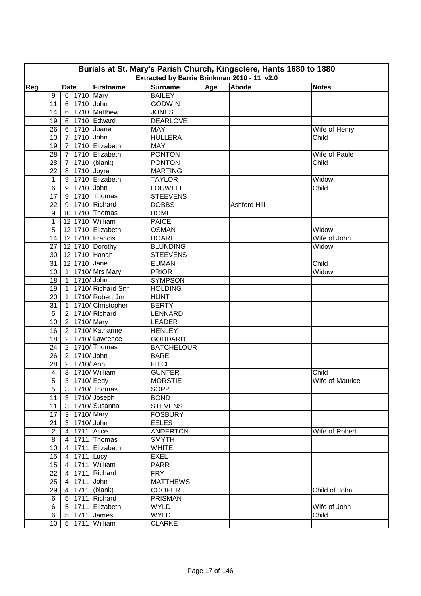|     | Burials at St. Mary's Parish Church, Kingsclere, Hants 1680 to 1880<br>Extracted by Barrie Brinkman 2010 - 11 v2.0 |                |                      |                               |                                     |     |              |                 |  |  |  |  |
|-----|--------------------------------------------------------------------------------------------------------------------|----------------|----------------------|-------------------------------|-------------------------------------|-----|--------------|-----------------|--|--|--|--|
| Reg |                                                                                                                    |                |                      | Firstname                     |                                     |     | Abode        |                 |  |  |  |  |
|     | 9                                                                                                                  | <b>Date</b>    | 6 1710 Mary          |                               | <b>Surname</b><br><b>BAILEY</b>     | Age |              | <b>Notes</b>    |  |  |  |  |
|     | 11                                                                                                                 |                | 6 1710 John          |                               | <b>GODWIN</b>                       |     |              |                 |  |  |  |  |
|     | 14                                                                                                                 |                |                      | 6 1710 Matthew                | <b>JONES</b>                        |     |              |                 |  |  |  |  |
|     | 19                                                                                                                 |                |                      | 6 1710 Edward                 | <b>DEARLOVE</b>                     |     |              |                 |  |  |  |  |
|     | 26                                                                                                                 |                |                      | 6 1710 Joane                  | <b>MAY</b>                          |     |              | Wife of Henry   |  |  |  |  |
|     | 10                                                                                                                 |                | 7 1710 John          |                               | <b>HULLERA</b>                      |     |              | Child           |  |  |  |  |
|     | 19                                                                                                                 | 7 <sup>1</sup> |                      | 1710 Elizabeth                | <b>MAY</b>                          |     |              |                 |  |  |  |  |
|     | 28                                                                                                                 | $\overline{7}$ |                      | 1710 Elizabeth                | <b>PONTON</b>                       |     |              | Wife of Paule   |  |  |  |  |
|     | 28                                                                                                                 | 7 <sup>1</sup> |                      | 1710 (blank)                  | <b>PONTON</b>                       |     |              | Child           |  |  |  |  |
|     | 22                                                                                                                 | 8              |                      | 1710 Joyre                    | <b>MARTING</b>                      |     |              |                 |  |  |  |  |
|     | $\mathbf 1$                                                                                                        | 9              |                      | 1710 Elizabeth                | <b>TAYLOR</b>                       |     |              | Widow           |  |  |  |  |
|     | 6                                                                                                                  | 9              | 1710 John            |                               | <b>LOUWELL</b>                      |     |              | Child           |  |  |  |  |
|     | 17                                                                                                                 | 9              |                      | 1710 Thomas                   | <b>STEEVENS</b>                     |     |              |                 |  |  |  |  |
|     | 22                                                                                                                 | 9              |                      | 1710 Richard                  | <b>DOBBS</b>                        |     | Ashford Hill |                 |  |  |  |  |
|     | 9                                                                                                                  |                |                      | 10 1710 Thomas                | <b>HOME</b>                         |     |              |                 |  |  |  |  |
|     | $\mathbf{1}$                                                                                                       |                |                      | 12 1710 William               | <b>PAICE</b>                        |     |              |                 |  |  |  |  |
|     | 5                                                                                                                  |                |                      | 12 1710 Elizabeth             | <b>OSMAN</b>                        |     |              | Widow           |  |  |  |  |
|     | 14                                                                                                                 |                |                      | 12 1710 Francis               | <b>HOARE</b>                        |     |              | Wife of John    |  |  |  |  |
|     |                                                                                                                    |                |                      | 12 1710 Dorothy               |                                     |     |              |                 |  |  |  |  |
|     | 27                                                                                                                 |                |                      | 12 1710 Hanah                 | <b>BLUNDING</b><br><b>STEEVENS</b>  |     |              | Widow           |  |  |  |  |
|     | 30                                                                                                                 |                |                      |                               |                                     |     |              |                 |  |  |  |  |
|     | 31                                                                                                                 |                | 12 1710 Jane         |                               | <b>EUMAN</b>                        |     |              | Child           |  |  |  |  |
|     | $10$                                                                                                               |                | 1710/John            | 1 1710/Mrs Mary               | <b>PRIOR</b><br><b>SYMPSON</b>      |     |              | Widow           |  |  |  |  |
|     | 18                                                                                                                 | 1              |                      | 1710/ Richard Snr             |                                     |     |              |                 |  |  |  |  |
|     | 19                                                                                                                 | $\mathbf{1}$   |                      |                               | <b>HOLDING</b>                      |     |              |                 |  |  |  |  |
|     | 20                                                                                                                 |                |                      | 1   1710/ Robert Jnr          | <b>HUNT</b>                         |     |              |                 |  |  |  |  |
|     | 31                                                                                                                 |                |                      | 1   1710/ Christopher         | <b>BERTY</b>                        |     |              |                 |  |  |  |  |
|     | 5                                                                                                                  |                | 2 1710/Mary          | 2 1710/ Richard               | <b>LENNARD</b>                      |     |              |                 |  |  |  |  |
|     | 10                                                                                                                 |                |                      | 2 1710/Katharine              | <b>LEADER</b>                       |     |              |                 |  |  |  |  |
|     | 16                                                                                                                 |                |                      | 2 1710/Lawrence               | <b>HENLEY</b>                       |     |              |                 |  |  |  |  |
|     | 18                                                                                                                 |                |                      | 2 1710/Thomas                 | <b>GODDARD</b><br><b>BATCHELOUR</b> |     |              |                 |  |  |  |  |
|     | 24                                                                                                                 |                | 2 1710/John          |                               |                                     |     |              |                 |  |  |  |  |
|     | 26<br>28                                                                                                           |                | 2 1710/Ann           |                               | <b>BARE</b><br><b>FITCH</b>         |     |              |                 |  |  |  |  |
|     |                                                                                                                    |                |                      | 3   1710/ William             | <b>GUNTER</b>                       |     |              | Child           |  |  |  |  |
|     | 4                                                                                                                  |                |                      |                               |                                     |     |              |                 |  |  |  |  |
|     | $\overline{5}$<br>5                                                                                                |                |                      | 3 1710/ Eedy                  | <b>MORSTIE</b>                      |     |              | Wife of Maurice |  |  |  |  |
|     |                                                                                                                    |                |                      | 3   1710/ Thomas              | SOPP                                |     |              |                 |  |  |  |  |
|     | 11                                                                                                                 |                |                      | $3  1710/$ Joseph             | <b>BOND</b>                         |     |              |                 |  |  |  |  |
|     | 11<br>17                                                                                                           |                |                      | 3 1710/Susanna<br>3 1710/Mary | <b>STEVENS</b><br><b>FOSBURY</b>    |     |              |                 |  |  |  |  |
|     |                                                                                                                    |                |                      |                               |                                     |     |              |                 |  |  |  |  |
|     | 21                                                                                                                 |                | 3 1710/John          |                               | <b>EELES</b>                        |     |              |                 |  |  |  |  |
|     | $\overline{2}$                                                                                                     |                | 4   1711   Alice     |                               | <b>ANDERTON</b>                     |     |              | Wife of Robert  |  |  |  |  |
|     | $\bf 8$                                                                                                            |                |                      | 4 1711 Thomas                 | <b>SMYTH</b>                        |     |              |                 |  |  |  |  |
|     | $10$                                                                                                               |                |                      | 4 1711 Elizabeth              | <b>WHITE</b>                        |     |              |                 |  |  |  |  |
|     | 15 <sub>15</sub>                                                                                                   |                | $\sqrt{4}$ 1711 Lucy |                               | <b>EXEL</b><br><b>PARR</b>          |     |              |                 |  |  |  |  |
|     | 15 <sub>15</sub>                                                                                                   | $4 \mid$       |                      | 1711 William                  |                                     |     |              |                 |  |  |  |  |
|     | 22                                                                                                                 | $\overline{4}$ |                      | 1711 Richard                  | <b>FRY</b>                          |     |              |                 |  |  |  |  |
|     | 25                                                                                                                 |                | 4 1711 John          |                               | <b>MATTHEWS</b>                     |     |              |                 |  |  |  |  |
|     | 29                                                                                                                 |                |                      | 4 1711 (blank)                | <b>COOPER</b>                       |     |              | Child of John   |  |  |  |  |
|     | 6                                                                                                                  |                |                      | 5   1711   Richard            | <b>PRISMAN</b>                      |     |              |                 |  |  |  |  |
|     | 6                                                                                                                  |                |                      | 5 1711 Elizabeth              | <b>WYLD</b>                         |     |              | Wife of John    |  |  |  |  |
|     | 6                                                                                                                  |                |                      | 5   1711   James              | <b>WYLD</b>                         |     |              | Child           |  |  |  |  |
|     | 10                                                                                                                 |                |                      | 5 1711 William                | <b>CLARKE</b>                       |     |              |                 |  |  |  |  |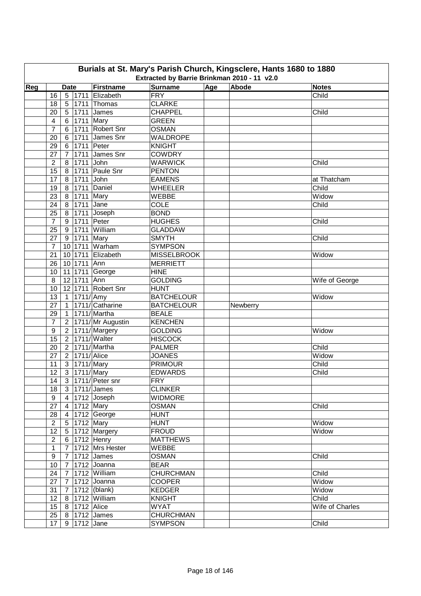|     | Burials at St. Mary's Parish Church, Kingsclere, Hants 1680 to 1880<br>Extracted by Barrie Brinkman 2010 - 11 v2.0 |                |                  |                       |                    |     |          |                 |  |  |  |
|-----|--------------------------------------------------------------------------------------------------------------------|----------------|------------------|-----------------------|--------------------|-----|----------|-----------------|--|--|--|
| Reg |                                                                                                                    | <b>Date</b>    |                  | Firstname             | <b>Surname</b>     | Age | Abode    | <b>Notes</b>    |  |  |  |
|     | 16                                                                                                                 |                |                  | 5 1711 Elizabeth      | <b>FRY</b>         |     |          | Child           |  |  |  |
|     | 18                                                                                                                 | 5 <sup>5</sup> |                  | 1711 Thomas           | <b>CLARKE</b>      |     |          |                 |  |  |  |
|     | 20                                                                                                                 | 5 <sup>1</sup> |                  | 1711 James            | CHAPPEL            |     |          | Child           |  |  |  |
|     | 4                                                                                                                  | 6 <sup>1</sup> | 1711 Mary        |                       | <b>GREEN</b>       |     |          |                 |  |  |  |
|     | $\overline{7}$                                                                                                     | 6              |                  | 1711 Robert Snr       | <b>OSMAN</b>       |     |          |                 |  |  |  |
|     | 20                                                                                                                 | 6 <sup>1</sup> |                  | 1711 James Snr        | WALDROPE           |     |          |                 |  |  |  |
|     | 29                                                                                                                 | 6              |                  | 1711 Peter            | <b>KNIGHT</b>      |     |          |                 |  |  |  |
|     | 27                                                                                                                 | $\overline{7}$ |                  | 1711 James Snr        | <b>COWDRY</b>      |     |          |                 |  |  |  |
|     | $\overline{2}$                                                                                                     | 8              | 1711             | John                  | <b>WARWICK</b>     |     |          | Child           |  |  |  |
|     | 15                                                                                                                 | 8              | 1711             | Paule Snr             | <b>PENTON</b>      |     |          |                 |  |  |  |
|     | 17                                                                                                                 | 8              | 1711             | John                  | <b>EAMENS</b>      |     |          | at Thatcham     |  |  |  |
|     | 19                                                                                                                 | 8              | 1711             | Daniel                | <b>WHEELER</b>     |     |          | Child           |  |  |  |
|     | 23                                                                                                                 | 8 <sup>1</sup> | 1711             | Mary                  | <b>WEBBE</b>       |     |          | Widow           |  |  |  |
|     | 24                                                                                                                 |                | 1711             | Jane                  | <b>COLE</b>        |     |          | Child           |  |  |  |
|     | 25                                                                                                                 | 8 <sup>1</sup> |                  |                       | <b>BOND</b>        |     |          |                 |  |  |  |
|     |                                                                                                                    |                | 8 1711           | Joseph<br>Peter       |                    |     |          |                 |  |  |  |
|     | $\overline{7}$                                                                                                     | 9              | 1711             |                       | <b>HUGHES</b>      |     |          | Child           |  |  |  |
|     | 25                                                                                                                 | 9 <sup>1</sup> | 1711             | William               | <b>GLADDAW</b>     |     |          |                 |  |  |  |
|     | 27                                                                                                                 |                | 9 1711           | Mary                  | <b>SMYTH</b>       |     |          | Child           |  |  |  |
|     | $\overline{7}$                                                                                                     |                | 10 1711          | Warham                | <b>SYMPSON</b>     |     |          |                 |  |  |  |
|     | 21                                                                                                                 |                | 10 1711          | Elizabeth             | <b>MISSELBROOK</b> |     |          | Widow           |  |  |  |
|     | 26                                                                                                                 |                | 10 1711 Ann      |                       | <b>MERRIETT</b>    |     |          |                 |  |  |  |
|     | 10                                                                                                                 |                |                  | 11 1711 George        | <b>HINE</b>        |     |          |                 |  |  |  |
|     | 8                                                                                                                  |                | 12 1711 Ann      |                       | <b>GOLDING</b>     |     |          | Wife of George  |  |  |  |
|     | 10                                                                                                                 |                |                  | 12 1711 Robert Snr    | <b>HUNT</b>        |     |          |                 |  |  |  |
|     | 13                                                                                                                 |                | 1 1711/ Amy      |                       | <b>BATCHELOUR</b>  |     |          | Widow           |  |  |  |
|     | 27                                                                                                                 |                |                  | 1 1711/ Catharine     | <b>BATCHELOUR</b>  |     | Newberry |                 |  |  |  |
|     | 29                                                                                                                 |                |                  | 1 1711/ Martha        | <b>BEALE</b>       |     |          |                 |  |  |  |
|     | $\overline{7}$                                                                                                     |                |                  | 2 1711/Mr Augustin    | <b>KENCHEN</b>     |     |          |                 |  |  |  |
|     | 9                                                                                                                  |                |                  | 2 1711/Margery        | <b>GOLDING</b>     |     |          | Widow           |  |  |  |
|     | 15                                                                                                                 |                |                  | 2 1711/ Walter        | <b>HISCOCK</b>     |     |          |                 |  |  |  |
|     | 20                                                                                                                 |                |                  | 2 1711/ Martha        | <b>PALMER</b>      |     |          | Child           |  |  |  |
|     | 27                                                                                                                 |                | 2 1711/ Alice    |                       | <b>JOANES</b>      |     |          | Widow           |  |  |  |
|     | 11                                                                                                                 |                | 3 1711/Mary      |                       | <b>PRIMOUR</b>     |     |          | Child           |  |  |  |
|     | 12                                                                                                                 |                | 3 1711/ Mary     |                       | <b>EDWARDS</b>     |     |          | Child           |  |  |  |
|     | 14                                                                                                                 |                |                  | 3 1711/ Peter snr     | <b>FRY</b>         |     |          |                 |  |  |  |
|     | 18                                                                                                                 |                |                  | $3$  1711/James       | <b>CLINKER</b>     |     |          |                 |  |  |  |
|     | 9                                                                                                                  |                |                  | 4 1712 Joseph         | <b>WIDMORE</b>     |     |          |                 |  |  |  |
|     | 27                                                                                                                 |                |                  | 4 1712 Mary           | <b>OSMAN</b>       |     |          | Child           |  |  |  |
|     | 28                                                                                                                 |                |                  | 4 1712 George         | <b>HUNT</b>        |     |          |                 |  |  |  |
|     | $\overline{2}$                                                                                                     |                | 5 1712 Mary      |                       | <b>HUNT</b>        |     |          | Widow           |  |  |  |
|     | 12                                                                                                                 |                |                  | 5 1712 Margery        | <b>FROUD</b>       |     |          | Widow           |  |  |  |
|     | $\overline{2}$                                                                                                     |                |                  | 6 1712 Henry          | <b>MATTHEWS</b>    |     |          |                 |  |  |  |
|     | $\mathbf{1}$                                                                                                       |                |                  | 7   1712   Mrs Hester | WEBBE              |     |          |                 |  |  |  |
|     | 9                                                                                                                  |                |                  | 7 1712 James          | <b>OSMAN</b>       |     |          | Child           |  |  |  |
|     | 10 <sub>1</sub>                                                                                                    |                |                  | 7 1712 Joanna         | <b>BEAR</b>        |     |          |                 |  |  |  |
|     | 24                                                                                                                 |                |                  | 7 1712 William        | <b>CHURCHMAN</b>   |     |          | Child           |  |  |  |
|     | 27                                                                                                                 |                |                  | 7 1712 Joanna         | <b>COOPER</b>      |     |          | Widow           |  |  |  |
|     | 31                                                                                                                 |                |                  | 7   1712   (blank)    | <b>KEDGER</b>      |     |          | Widow           |  |  |  |
|     | 12                                                                                                                 |                |                  | 8 1712 William        | <b>KNIGHT</b>      |     |          | Child           |  |  |  |
|     | 15 <sub>15</sub>                                                                                                   |                | 8   1712   Alice |                       | <b>WYAT</b>        |     |          | Wife of Charles |  |  |  |
|     | 25                                                                                                                 |                |                  | 8 1712 James          | <b>CHURCHMAN</b>   |     |          |                 |  |  |  |
|     | 17 <sub>2</sub>                                                                                                    |                | 9 1712 Jane      |                       | <b>SYMPSON</b>     |     |          | Child           |  |  |  |
|     |                                                                                                                    |                |                  |                       |                    |     |          |                 |  |  |  |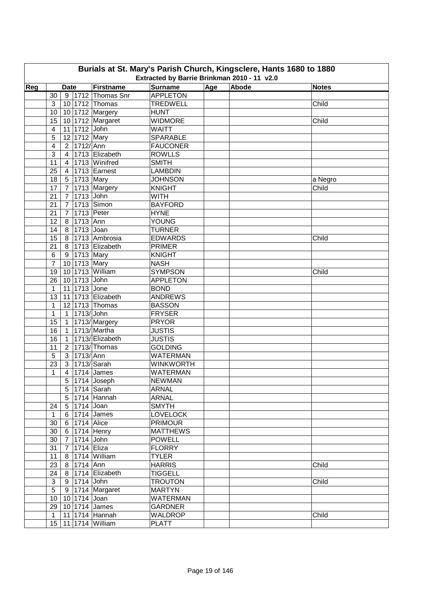| Burials at St. Mary's Parish Church, Kingsclere, Hants 1680 to 1880                                                              |                         |                          |                      |                  |  |  |         |  |  |  |  |  |  |
|----------------------------------------------------------------------------------------------------------------------------------|-------------------------|--------------------------|----------------------|------------------|--|--|---------|--|--|--|--|--|--|
| Extracted by Barrie Brinkman 2010 - 11 v2.0<br><b>Surname</b><br>Age<br>Abode<br>Reg<br>Firstname<br><b>Notes</b><br><b>Date</b> |                         |                          |                      |                  |  |  |         |  |  |  |  |  |  |
|                                                                                                                                  |                         |                          |                      |                  |  |  |         |  |  |  |  |  |  |
|                                                                                                                                  | 30                      |                          | 9 1712 Thomas Snr    | <b>APPLETON</b>  |  |  |         |  |  |  |  |  |  |
|                                                                                                                                  | 3                       | 10 1712 Thomas           |                      | <b>TREDWELL</b>  |  |  | Child   |  |  |  |  |  |  |
|                                                                                                                                  | 10                      | 10 1712 Margery          |                      | <b>HUNT</b>      |  |  |         |  |  |  |  |  |  |
|                                                                                                                                  | 15                      |                          | 10 1712 Margaret     | <b>WIDMORE</b>   |  |  | Child   |  |  |  |  |  |  |
|                                                                                                                                  | 4                       | 11 1712 John             |                      | <b>WAITT</b>     |  |  |         |  |  |  |  |  |  |
|                                                                                                                                  | 5                       | 12 1712 Mary             |                      | <b>SPARABLE</b>  |  |  |         |  |  |  |  |  |  |
|                                                                                                                                  | $\overline{\mathbf{4}}$ | 2 1712/Ann               |                      | <b>FAUCONER</b>  |  |  |         |  |  |  |  |  |  |
|                                                                                                                                  | 3                       |                          | 4   1713   Elizabeth | <b>ROWLLS</b>    |  |  |         |  |  |  |  |  |  |
|                                                                                                                                  | 11                      | $\overline{4}$           | 1713 Winifred        | <b>SMITH</b>     |  |  |         |  |  |  |  |  |  |
|                                                                                                                                  | 25                      | $\overline{4}$           | 1713 Earnest         | <b>LAMBDIN</b>   |  |  |         |  |  |  |  |  |  |
|                                                                                                                                  | 18                      | 5 1713 Mary              |                      | <b>JOHNSON</b>   |  |  | a Negro |  |  |  |  |  |  |
|                                                                                                                                  | 17                      | 7 <sup>1</sup>           | 1713 Margery         | <b>KNIGHT</b>    |  |  | Child   |  |  |  |  |  |  |
|                                                                                                                                  | 21                      | $\overline{7}$           | 1713 John            | <b>WITH</b>      |  |  |         |  |  |  |  |  |  |
|                                                                                                                                  | 21                      | $\overline{7}$           | 1713 Simon           | <b>BAYFORD</b>   |  |  |         |  |  |  |  |  |  |
|                                                                                                                                  | 21                      | $\overline{7}$           | 1713 Peter           | <b>HYNE</b>      |  |  |         |  |  |  |  |  |  |
|                                                                                                                                  | 12                      | 8 1713 Ann               |                      | <b>YOUNG</b>     |  |  |         |  |  |  |  |  |  |
|                                                                                                                                  | 14                      | 8 1713 Joan              |                      | <b>TURNER</b>    |  |  |         |  |  |  |  |  |  |
|                                                                                                                                  | 15                      |                          | 8 1713 Ambrosia      | <b>EDWARDS</b>   |  |  | Child   |  |  |  |  |  |  |
|                                                                                                                                  | 21                      |                          | 8 1713 Elizabeth     | <b>PRIMER</b>    |  |  |         |  |  |  |  |  |  |
|                                                                                                                                  | $6\phantom{1}6$         | 9 1713 Mary              |                      | <b>KNIGHT</b>    |  |  |         |  |  |  |  |  |  |
|                                                                                                                                  | $\overline{7}$          | 10 1713 Mary             |                      | <b>NASH</b>      |  |  |         |  |  |  |  |  |  |
|                                                                                                                                  | 19                      | 10 1713 William          |                      | <b>SYMPSON</b>   |  |  | Child   |  |  |  |  |  |  |
|                                                                                                                                  | 26                      | 10 1713 John             |                      | <b>APPLETON</b>  |  |  |         |  |  |  |  |  |  |
|                                                                                                                                  | $\mathbf{1}$            | 11 1713 Jone             |                      | <b>BOND</b>      |  |  |         |  |  |  |  |  |  |
|                                                                                                                                  | 13                      |                          | 11 1713 Elizabeth    | <b>ANDREWS</b>   |  |  |         |  |  |  |  |  |  |
|                                                                                                                                  | 1                       | 12 1713 Thomas           |                      | <b>BASSON</b>    |  |  |         |  |  |  |  |  |  |
|                                                                                                                                  | $\mathbf{1}$            | 1 1713/John              |                      | <b>FRYSER</b>    |  |  |         |  |  |  |  |  |  |
|                                                                                                                                  | 15                      | 1 1713/Margery           |                      | <b>PRYOR</b>     |  |  |         |  |  |  |  |  |  |
|                                                                                                                                  | 16                      | 1 1713/ Martha           |                      | <b>JUSTIS</b>    |  |  |         |  |  |  |  |  |  |
|                                                                                                                                  | 16                      | 1                        | 1713/ Elizabeth      | <b>JUSTIS</b>    |  |  |         |  |  |  |  |  |  |
|                                                                                                                                  | 11                      | 2 <sup>1</sup>           | 1713/Thomas          | <b>GOLDING</b>   |  |  |         |  |  |  |  |  |  |
|                                                                                                                                  |                         | 3 1713/Ann               |                      | <b>WATERMAN</b>  |  |  |         |  |  |  |  |  |  |
|                                                                                                                                  | 5<br>23                 | 3 1713/ Sarah            |                      | <b>WINKWORTH</b> |  |  |         |  |  |  |  |  |  |
|                                                                                                                                  |                         |                          |                      |                  |  |  |         |  |  |  |  |  |  |
|                                                                                                                                  | 1                       | 4   1714   James         |                      | <b>WATERMAN</b>  |  |  |         |  |  |  |  |  |  |
|                                                                                                                                  |                         | $5 1714 $ Joseph         |                      | <b>NEWMAN</b>    |  |  |         |  |  |  |  |  |  |
|                                                                                                                                  |                         | 5 1714 Sarah             |                      | <b>ARNAL</b>     |  |  |         |  |  |  |  |  |  |
|                                                                                                                                  |                         | 5 1714 Hannah            |                      | <b>ARNAL</b>     |  |  |         |  |  |  |  |  |  |
|                                                                                                                                  | 24                      | 5 1714 Joan              |                      | <b>SMYTH</b>     |  |  |         |  |  |  |  |  |  |
|                                                                                                                                  | $\mathbf{1}$            | $6$   1714 James         |                      | <b>LOVELOCK</b>  |  |  |         |  |  |  |  |  |  |
|                                                                                                                                  | 30                      | 6 1714 Alice             |                      | <b>PRIMOUR</b>   |  |  |         |  |  |  |  |  |  |
|                                                                                                                                  | 30                      | 6 1714 Henry             |                      | <b>MATTHEWS</b>  |  |  |         |  |  |  |  |  |  |
|                                                                                                                                  | 30                      | 7 1714 John              |                      | <b>POWELL</b>    |  |  |         |  |  |  |  |  |  |
|                                                                                                                                  | 31                      | 7 1714 Eliza             |                      | <b>FLORRY</b>    |  |  |         |  |  |  |  |  |  |
|                                                                                                                                  | 11                      | 8 1714 William           |                      | <b>TYLER</b>     |  |  |         |  |  |  |  |  |  |
|                                                                                                                                  | 23                      | 8 1714 Ann               |                      | <b>HARRIS</b>    |  |  | Child   |  |  |  |  |  |  |
|                                                                                                                                  | 24                      |                          | 8 1714 Elizabeth     | <b>TIGGELL</b>   |  |  |         |  |  |  |  |  |  |
|                                                                                                                                  | 3                       | 9 1714 John              |                      | <b>TROUTON</b>   |  |  | Child   |  |  |  |  |  |  |
|                                                                                                                                  | $\overline{5}$          |                          | 9 1714 Margaret      | <b>MARTYN</b>    |  |  |         |  |  |  |  |  |  |
|                                                                                                                                  | 10 <sup>°</sup>         | 10 1714 Joan             |                      | <b>WATERMAN</b>  |  |  |         |  |  |  |  |  |  |
|                                                                                                                                  | 29                      | 10 1714 James            |                      | <b>GARDNER</b>   |  |  |         |  |  |  |  |  |  |
|                                                                                                                                  | $\mathbf{1}$            | 11 1714 Hannah           |                      | WALDROP          |  |  | Child   |  |  |  |  |  |  |
|                                                                                                                                  |                         | 15   11   1714   William |                      | <b>PLATT</b>     |  |  |         |  |  |  |  |  |  |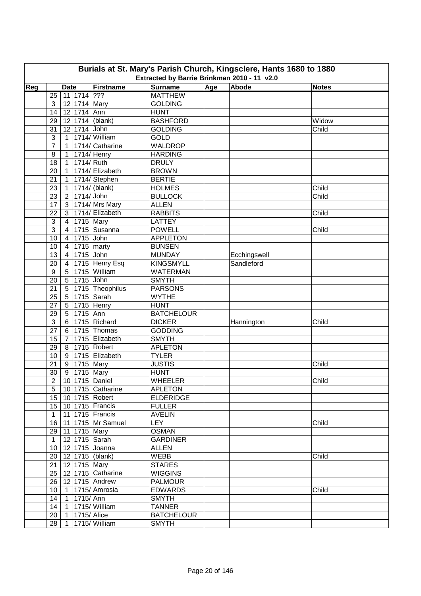|     | Burials at St. Mary's Parish Church, Kingsclere, Hants 1680 to 1880<br>Extracted by Barrie Brinkman 2010 - 11 v2.0 |                             |                            |                   |     |              |              |  |  |  |  |  |
|-----|--------------------------------------------------------------------------------------------------------------------|-----------------------------|----------------------------|-------------------|-----|--------------|--------------|--|--|--|--|--|
| Reg |                                                                                                                    | <b>Date</b>                 | Firstname                  | <b>Surname</b>    | Age | Abode        | <b>Notes</b> |  |  |  |  |  |
|     | 25                                                                                                                 | $11$ 1714 ???               |                            | <b>MATTHEW</b>    |     |              |              |  |  |  |  |  |
|     | 3                                                                                                                  | 12 1714 Mary                |                            | <b>GOLDING</b>    |     |              |              |  |  |  |  |  |
|     | 14                                                                                                                 | 12 1714 Ann                 |                            | <b>HUNT</b>       |     |              |              |  |  |  |  |  |
|     | 29                                                                                                                 | 12 1714 (blank)             |                            | <b>BASHFORD</b>   |     |              | Widow        |  |  |  |  |  |
|     | 31                                                                                                                 | 12 1714 John                |                            | <b>GOLDING</b>    |     |              | Child        |  |  |  |  |  |
|     | 3                                                                                                                  | 1   1714/ William           |                            | <b>GOLD</b>       |     |              |              |  |  |  |  |  |
|     | $\overline{7}$                                                                                                     |                             | 1 1714/ Catharine          | <b>WALDROP</b>    |     |              |              |  |  |  |  |  |
|     | 8                                                                                                                  | 1 <sup>1</sup>              | 1714/ Henry                | <b>HARDING</b>    |     |              |              |  |  |  |  |  |
|     | 18                                                                                                                 | 1714/ Ruth<br>1             |                            | <b>DRULY</b>      |     |              |              |  |  |  |  |  |
|     | 20                                                                                                                 | 1                           | 1714/ Elizabeth            | <b>BROWN</b>      |     |              |              |  |  |  |  |  |
|     | 21                                                                                                                 |                             | 1   1714/ Stephen          | <b>BERTIE</b>     |     |              |              |  |  |  |  |  |
|     | 23                                                                                                                 | $\mathbf{1}$                | $1714/$ (blank)            | <b>HOLMES</b>     |     |              | Child        |  |  |  |  |  |
|     | 23                                                                                                                 | 2 1714/John                 |                            | <b>BULLOCK</b>    |     |              | Child        |  |  |  |  |  |
|     |                                                                                                                    |                             | 1714/Mrs Mary              | <b>ALLEN</b>      |     |              |              |  |  |  |  |  |
|     | 17<br>22                                                                                                           | 3 <sup>1</sup>              | 3   1714/ Elizabeth        | <b>RABBITS</b>    |     |              |              |  |  |  |  |  |
|     |                                                                                                                    |                             |                            |                   |     |              | Child        |  |  |  |  |  |
|     | 3                                                                                                                  | 1715 Mary<br>4 <sup>1</sup> |                            | LATTEY            |     |              |              |  |  |  |  |  |
|     | 3                                                                                                                  | $\overline{4}$              | 1715 Susanna               | <b>POWELL</b>     |     |              | Child        |  |  |  |  |  |
|     | 10                                                                                                                 | 4 1715 John                 |                            | <b>APPLETON</b>   |     |              |              |  |  |  |  |  |
|     | 10                                                                                                                 | 4   1715   marty            |                            | <b>BUNSEN</b>     |     |              |              |  |  |  |  |  |
|     | 13                                                                                                                 | 4 1715 John                 |                            | <b>MUNDAY</b>     |     | Ecchingswell |              |  |  |  |  |  |
|     | 20                                                                                                                 |                             | 4 1715 Henry Esq           | <b>KINGSMYLL</b>  |     | Sandleford   |              |  |  |  |  |  |
|     | $\boldsymbol{9}$                                                                                                   | 5 1715 William              |                            | <b>WATERMAN</b>   |     |              |              |  |  |  |  |  |
|     | 20                                                                                                                 | 5 1715 John                 |                            | <b>SMYTH</b>      |     |              |              |  |  |  |  |  |
|     | 21                                                                                                                 |                             | 5 1715 Theophilus          | <b>PARSONS</b>    |     |              |              |  |  |  |  |  |
|     | 25                                                                                                                 | 5 1715 Sarah                |                            | <b>WYTHE</b>      |     |              |              |  |  |  |  |  |
|     | 27                                                                                                                 | 5 1715 Henry                |                            | <b>HUNT</b>       |     |              |              |  |  |  |  |  |
|     | 29                                                                                                                 | 5 1715 Ann                  |                            | <b>BATCHELOUR</b> |     |              |              |  |  |  |  |  |
|     | $\mathbf{3}$                                                                                                       | 6 1715 Richard              |                            | <b>DICKER</b>     |     | Hannington   | Child        |  |  |  |  |  |
|     | 27                                                                                                                 |                             | 6 1715 Thomas              | <b>GODDING</b>    |     |              |              |  |  |  |  |  |
|     | 15                                                                                                                 | 7 <sup>1</sup>              | 1715 Elizabeth             | <b>SMYTH</b>      |     |              |              |  |  |  |  |  |
|     | 29                                                                                                                 | 8 1715 Robert               |                            | <b>APLETON</b>    |     |              |              |  |  |  |  |  |
|     | 10                                                                                                                 |                             | 9 1715 Elizabeth           | <b>TYLER</b>      |     |              |              |  |  |  |  |  |
|     | 21                                                                                                                 | 9 1715 Mary                 |                            | <b>JUSTIS</b>     |     |              | Child        |  |  |  |  |  |
|     | 30                                                                                                                 | 9 1715 Mary                 |                            | <b>HUNT</b>       |     |              |              |  |  |  |  |  |
|     | $\overline{2}$                                                                                                     | $10$ 1715 Daniel            |                            | <b>WHEELER</b>    |     |              | Child        |  |  |  |  |  |
|     | 5                                                                                                                  |                             | 10 1715 Catharine          | <b>APLETON</b>    |     |              |              |  |  |  |  |  |
|     | 15 <sub>15</sub>                                                                                                   | 10 1715 Robert              |                            | <b>ELDERIDGE</b>  |     |              |              |  |  |  |  |  |
|     |                                                                                                                    | 15   10   1715   Francis    |                            | <b>FULLER</b>     |     |              |              |  |  |  |  |  |
|     | $\mathbf{1}$                                                                                                       | 11 1715 Francis             |                            | <b>AVELIN</b>     |     |              |              |  |  |  |  |  |
|     | 16                                                                                                                 |                             | 11 1715 Mr Samuel          | <b>LEY</b>        |     |              | Child        |  |  |  |  |  |
|     |                                                                                                                    | 29 11 1715 Mary             |                            | <b>OSMAN</b>      |     |              |              |  |  |  |  |  |
|     | 1                                                                                                                  | 12 1715 Sarah               |                            | <b>GARDINER</b>   |     |              |              |  |  |  |  |  |
|     |                                                                                                                    | 10   12   1715   Joanna     |                            | <b>ALLEN</b>      |     |              |              |  |  |  |  |  |
|     |                                                                                                                    | 20   12   1715   (blank)    |                            | <b>WEBB</b>       |     |              | Child        |  |  |  |  |  |
|     |                                                                                                                    | 21   12   1715   Mary       |                            | <b>STARES</b>     |     |              |              |  |  |  |  |  |
|     |                                                                                                                    |                             | 25   12   1715   Catharine | <b>WIGGINS</b>    |     |              |              |  |  |  |  |  |
|     |                                                                                                                    | 26   12   1715   Andrew     |                            | <b>PALMOUR</b>    |     |              |              |  |  |  |  |  |
|     | 10 <sup>1</sup>                                                                                                    | 1 1715/Amrosia              |                            | <b>EDWARDS</b>    |     |              | Child        |  |  |  |  |  |
|     | 14                                                                                                                 | 1 1715/Ann                  |                            | <b>SMYTH</b>      |     |              |              |  |  |  |  |  |
|     | 14                                                                                                                 | 1 1715/ William             |                            | <b>TANNER</b>     |     |              |              |  |  |  |  |  |
|     | 20                                                                                                                 | 1 1715/ Alice               |                            | <b>BATCHELOUR</b> |     |              |              |  |  |  |  |  |
|     | $\overline{28}$                                                                                                    | 1 1715/ William             |                            | <b>SMYTH</b>      |     |              |              |  |  |  |  |  |
|     |                                                                                                                    |                             |                            |                   |     |              |              |  |  |  |  |  |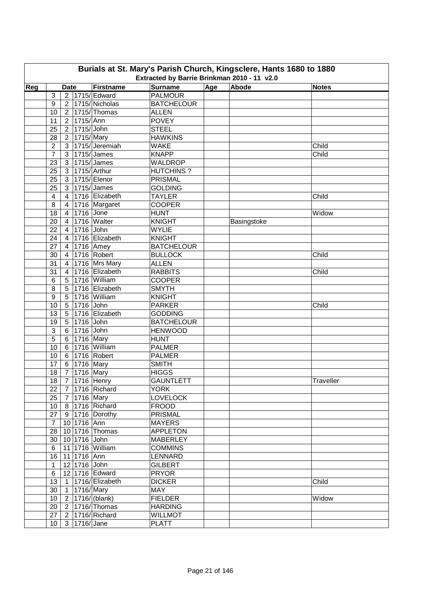|                                                                                                                                  | Burials at St. Mary's Parish Church, Kingsclere, Hants 1680 to 1880 |                |              |                             |                   |  |             |           |  |  |  |  |
|----------------------------------------------------------------------------------------------------------------------------------|---------------------------------------------------------------------|----------------|--------------|-----------------------------|-------------------|--|-------------|-----------|--|--|--|--|
| Extracted by Barrie Brinkman 2010 - 11 v2.0<br><b>Surname</b><br>Age<br>Abode<br>Reg<br>Firstname<br><b>Date</b><br><b>Notes</b> |                                                                     |                |              |                             |                   |  |             |           |  |  |  |  |
|                                                                                                                                  |                                                                     |                |              |                             |                   |  |             |           |  |  |  |  |
|                                                                                                                                  | 3                                                                   |                |              | 2 1715/ Edward              | <b>PALMOUR</b>    |  |             |           |  |  |  |  |
|                                                                                                                                  | 9                                                                   |                |              | $2$   1715/ Nicholas        | <b>BATCHELOUR</b> |  |             |           |  |  |  |  |
|                                                                                                                                  | 10                                                                  |                |              | 2 1715/Thomas               | <b>ALLEN</b>      |  |             |           |  |  |  |  |
|                                                                                                                                  | 11                                                                  |                | 2 1715/Ann   |                             | <b>POVEY</b>      |  |             |           |  |  |  |  |
|                                                                                                                                  | 25                                                                  |                | 2 1715/John  |                             | <b>STEEL</b>      |  |             |           |  |  |  |  |
|                                                                                                                                  | 28                                                                  |                | 2 1715/Mary  |                             | <b>HAWKINS</b>    |  |             |           |  |  |  |  |
|                                                                                                                                  | $\overline{2}$                                                      |                |              | 3 1715/Jeremiah             | <b>WAKE</b>       |  |             | Child     |  |  |  |  |
|                                                                                                                                  | $\overline{7}$                                                      |                |              | 3 1715/James                | <b>KNAPP</b>      |  |             | Child     |  |  |  |  |
|                                                                                                                                  | 23                                                                  |                |              | 3   1715/ James             | <b>WALDROP</b>    |  |             |           |  |  |  |  |
|                                                                                                                                  | 25                                                                  |                |              | 3 1715/ Arthur              | <b>HUTCHINS?</b>  |  |             |           |  |  |  |  |
|                                                                                                                                  | 25                                                                  |                |              | 3 1715/ Elenor              | PRISMAL           |  |             |           |  |  |  |  |
|                                                                                                                                  | 25                                                                  |                |              | 3 1715/James                | <b>GOLDING</b>    |  |             |           |  |  |  |  |
|                                                                                                                                  | 4                                                                   | 4 <sup>1</sup> |              | 1716 Elizabeth              | <b>TAYLER</b>     |  |             | Child     |  |  |  |  |
|                                                                                                                                  | 8                                                                   | $\overline{4}$ |              | 1716 Margaret               | <b>COOPER</b>     |  |             |           |  |  |  |  |
|                                                                                                                                  | 18                                                                  | $\overline{4}$ | 1716 Jone    |                             | <b>HUNT</b>       |  |             | Widow     |  |  |  |  |
|                                                                                                                                  | 20                                                                  | 4              |              | 1716 Walter                 | <b>KNIGHT</b>     |  | Basingstoke |           |  |  |  |  |
|                                                                                                                                  | 22                                                                  | $4 \mid$       | 1716 John    |                             | <b>WYLIE</b>      |  |             |           |  |  |  |  |
|                                                                                                                                  | 24                                                                  |                |              | 4 1716 Elizabeth            | <b>KNIGHT</b>     |  |             |           |  |  |  |  |
|                                                                                                                                  | 27                                                                  |                | 4 1716 Amey  |                             | <b>BATCHELOUR</b> |  |             |           |  |  |  |  |
|                                                                                                                                  | 30                                                                  |                |              | 4 1716 Robert               | <b>BULLOCK</b>    |  |             | Child     |  |  |  |  |
|                                                                                                                                  | 31                                                                  |                |              | 4 1716 Mrs Mary             | <b>ALLEN</b>      |  |             |           |  |  |  |  |
|                                                                                                                                  | 31                                                                  |                |              | 4 1716 Elizabeth            | <b>RABBITS</b>    |  |             | Child     |  |  |  |  |
|                                                                                                                                  | 6                                                                   |                |              | 5 1716 William              | <b>COOPER</b>     |  |             |           |  |  |  |  |
|                                                                                                                                  | 8                                                                   |                |              | 5 1716 Elizabeth            | <b>SMYTH</b>      |  |             |           |  |  |  |  |
|                                                                                                                                  | 9                                                                   |                |              | 5 1716 William              | <b>KNIGHT</b>     |  |             |           |  |  |  |  |
|                                                                                                                                  | 10                                                                  |                | 5 1716 John  |                             | <b>PARKER</b>     |  |             | Child     |  |  |  |  |
|                                                                                                                                  | 13                                                                  |                |              | 5 1716 Elizabeth            | <b>GODDING</b>    |  |             |           |  |  |  |  |
|                                                                                                                                  | 19                                                                  |                | 5 1716 John  |                             | <b>BATCHELOUR</b> |  |             |           |  |  |  |  |
|                                                                                                                                  | 3                                                                   |                | 6 1716 John  |                             | <b>HENWOOD</b>    |  |             |           |  |  |  |  |
|                                                                                                                                  | 5                                                                   |                | 6 1716 Mary  |                             | <b>HUNT</b>       |  |             |           |  |  |  |  |
|                                                                                                                                  | 10                                                                  |                |              | 6 1716 William              | <b>PALMER</b>     |  |             |           |  |  |  |  |
|                                                                                                                                  | 10                                                                  |                |              | 6 1716 Robert               | <b>PALMER</b>     |  |             |           |  |  |  |  |
|                                                                                                                                  | 17                                                                  |                | 6 1716 Mary  |                             | <b>SMITH</b>      |  |             |           |  |  |  |  |
|                                                                                                                                  | 18                                                                  |                | 7 1716 Mary  |                             | <b>HIGGS</b>      |  |             |           |  |  |  |  |
|                                                                                                                                  |                                                                     |                |              | 18 7 1716 Henry             | <b>GAUNTLETT</b>  |  |             | Traveller |  |  |  |  |
|                                                                                                                                  | 22                                                                  |                |              | 7 1716 Richard              | <b>YORK</b>       |  |             |           |  |  |  |  |
|                                                                                                                                  | 25                                                                  |                | 7 1716 Mary  |                             | <b>LOVELOCK</b>   |  |             |           |  |  |  |  |
|                                                                                                                                  | 10                                                                  |                |              | 8 1716 Richard              | <b>FROOD</b>      |  |             |           |  |  |  |  |
|                                                                                                                                  | 27                                                                  |                |              | $9$ 1716 Dorothy            | <b>PRISMAL</b>    |  |             |           |  |  |  |  |
|                                                                                                                                  | $\overline{7}$                                                      |                | 10 1716 Ann  |                             | <b>MAYERS</b>     |  |             |           |  |  |  |  |
|                                                                                                                                  | 28                                                                  |                |              | 10 1716 Thomas              | <b>APPLETON</b>   |  |             |           |  |  |  |  |
|                                                                                                                                  | 30                                                                  |                | 10 1716 John |                             | <b>MABERLEY</b>   |  |             |           |  |  |  |  |
|                                                                                                                                  | 6                                                                   |                |              | 11 1716 William             | <b>COMMINS</b>    |  |             |           |  |  |  |  |
|                                                                                                                                  | 16                                                                  |                | 11 1716 Ann  |                             | LENNARD           |  |             |           |  |  |  |  |
|                                                                                                                                  | $\mathbf{1}$                                                        |                | 12 1716 John |                             | <b>GILBERT</b>    |  |             |           |  |  |  |  |
|                                                                                                                                  | $\,6$                                                               |                |              | 12 1716 Edward              | <b>PRYOR</b>      |  |             |           |  |  |  |  |
|                                                                                                                                  | 13                                                                  |                |              | 1 1716/ Elizabeth           | <b>DICKER</b>     |  |             | Child     |  |  |  |  |
|                                                                                                                                  | 30                                                                  |                | 1 1716/Mary  |                             | <b>MAY</b>        |  |             |           |  |  |  |  |
|                                                                                                                                  | 10 <sup>1</sup>                                                     |                |              | $2  1716/ $ (blank)         | <b>FIELDER</b>    |  |             | Widow     |  |  |  |  |
|                                                                                                                                  | 20                                                                  |                |              | $2 \mid 1716 / \mid$ Thomas | <b>HARDING</b>    |  |             |           |  |  |  |  |
|                                                                                                                                  | 27                                                                  |                |              | 2   1716/ Richard           | <b>WILLMOT</b>    |  |             |           |  |  |  |  |
|                                                                                                                                  | 10 <sup>°</sup>                                                     |                | 3 1716/Jane  |                             | <b>PLATT</b>      |  |             |           |  |  |  |  |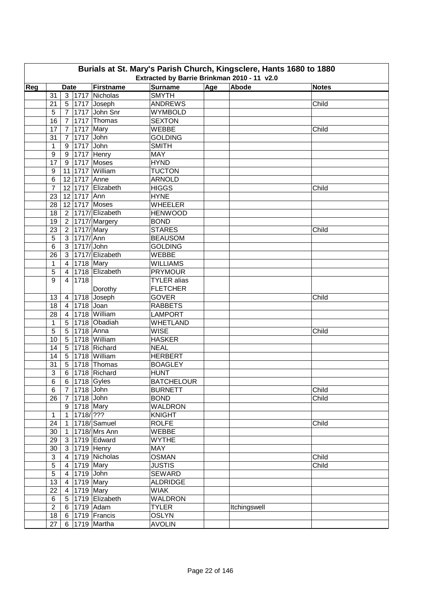|     | Burials at St. Mary's Parish Church, Kingsclere, Hants 1680 to 1880<br>Extracted by Barrie Brinkman 2010 - 11 v2.0 |                |                         |                      |                    |     |              |              |  |  |  |  |
|-----|--------------------------------------------------------------------------------------------------------------------|----------------|-------------------------|----------------------|--------------------|-----|--------------|--------------|--|--|--|--|
| Reg |                                                                                                                    | <b>Date</b>    |                         | Firstname            | <b>Surname</b>     | Age | Abode        | <b>Notes</b> |  |  |  |  |
|     | 31                                                                                                                 |                |                         | 3   1717   Nicholas  | <b>SMYTH</b>       |     |              |              |  |  |  |  |
|     | 21                                                                                                                 |                |                         | 5   1717   Joseph    | <b>ANDREWS</b>     |     |              | Child        |  |  |  |  |
|     | 5                                                                                                                  |                |                         | 7 1717 John Snr      | <b>WYMBOLD</b>     |     |              |              |  |  |  |  |
|     | 16                                                                                                                 |                |                         | 7 1717 Thomas        | <b>SEXTON</b>      |     |              |              |  |  |  |  |
|     | 17                                                                                                                 |                | 7 1717 Mary             |                      | WEBBE              |     |              | Child        |  |  |  |  |
|     | 31                                                                                                                 | 7 <sup>1</sup> | 1717 John               |                      | <b>GOLDING</b>     |     |              |              |  |  |  |  |
|     | 1                                                                                                                  | 9 <sup>1</sup> | 1717 John               |                      | <b>SMITH</b>       |     |              |              |  |  |  |  |
|     | 9                                                                                                                  | 9              |                         | 1717 Henry           | <b>MAY</b>         |     |              |              |  |  |  |  |
|     | 17                                                                                                                 | 9 <sup>1</sup> |                         | 1717 Moses           | <b>HYND</b>        |     |              |              |  |  |  |  |
|     | 9                                                                                                                  |                |                         | 11 1717 William      | <b>TUCTON</b>      |     |              |              |  |  |  |  |
|     | 6                                                                                                                  |                | 12 1717 Anne            |                      | <b>ARNOLD</b>      |     |              |              |  |  |  |  |
|     | $\overline{7}$                                                                                                     |                |                         | 12 1717 Elizabeth    | <b>HIGGS</b>       |     |              | Child        |  |  |  |  |
|     | 23                                                                                                                 |                | 12 1717 Ann             |                      | <b>HYNE</b>        |     |              |              |  |  |  |  |
|     |                                                                                                                    |                |                         | 12 1717 Moses        | <b>WHEELER</b>     |     |              |              |  |  |  |  |
|     | 28                                                                                                                 |                |                         | 2 1717/ Elizabeth    | <b>HENWOOD</b>     |     |              |              |  |  |  |  |
|     | 18                                                                                                                 |                |                         |                      |                    |     |              |              |  |  |  |  |
|     | 19                                                                                                                 |                |                         | 2   1717/ Margery    | <b>BOND</b>        |     |              |              |  |  |  |  |
|     | 23                                                                                                                 |                | $\sqrt{2}$   1717/ Mary |                      | <b>STARES</b>      |     |              | Child        |  |  |  |  |
|     | 5                                                                                                                  |                | 3 1717/Ann              |                      | <b>BEAUSOM</b>     |     |              |              |  |  |  |  |
|     | 6                                                                                                                  | 3 <sup>1</sup> | 1717/ John              |                      | <b>GOLDING</b>     |     |              |              |  |  |  |  |
|     | 26                                                                                                                 |                |                         | 3   1717/ Elizabeth  | WEBBE              |     |              |              |  |  |  |  |
|     | 1                                                                                                                  | 4 <sup>1</sup> | 1718 Mary               |                      | <b>WILLIAMS</b>    |     |              |              |  |  |  |  |
|     | 5                                                                                                                  | $\overline{4}$ |                         | 1718 Elizabeth       | <b>PRYMOUR</b>     |     |              |              |  |  |  |  |
|     | 9                                                                                                                  | $4\vert$       | 1718                    |                      | <b>TYLER</b> alias |     |              |              |  |  |  |  |
|     |                                                                                                                    |                |                         | Dorothy              | <b>FLETCHER</b>    |     |              |              |  |  |  |  |
|     | 13                                                                                                                 |                |                         | 4 1718 Joseph        | <b>GOVER</b>       |     |              | Child        |  |  |  |  |
|     | 18                                                                                                                 |                | 4 1718 Joan             |                      | <b>RABBETS</b>     |     |              |              |  |  |  |  |
|     | 28                                                                                                                 | $4 \mid$       |                         | 1718 William         | <b>LAMPORT</b>     |     |              |              |  |  |  |  |
|     | $\mathbf{1}$                                                                                                       | 5              |                         | 1718 Obadiah         | <b>WHETLAND</b>    |     |              |              |  |  |  |  |
|     | 5                                                                                                                  | 5              | 1718 Anna               |                      | <b>WISE</b>        |     |              | Child        |  |  |  |  |
|     | 10                                                                                                                 |                |                         | 5 1718 William       | <b>HASKER</b>      |     |              |              |  |  |  |  |
|     | 14                                                                                                                 |                |                         | 5 1718 Richard       | <b>NEAL</b>        |     |              |              |  |  |  |  |
|     | 14                                                                                                                 |                |                         | 5 1718 William       | <b>HERBERT</b>     |     |              |              |  |  |  |  |
|     | 31                                                                                                                 |                |                         | 5 1718 Thomas        | <b>BOAGLEY</b>     |     |              |              |  |  |  |  |
|     | 3                                                                                                                  |                |                         | 6   1718   Richard   | <b>HUNT</b>        |     |              |              |  |  |  |  |
|     | 6                                                                                                                  |                |                         | 6 1718 Gyles         | <b>BATCHELOUR</b>  |     |              |              |  |  |  |  |
|     | 6                                                                                                                  |                | 7   1718   John         |                      | <b>BURNETT</b>     |     |              | Child        |  |  |  |  |
|     | 26                                                                                                                 |                | 7 1718 John             |                      | <b>BOND</b>        |     |              | Child        |  |  |  |  |
|     |                                                                                                                    |                |                         | 9 1718 Mary          | <b>WALDRON</b>     |     |              |              |  |  |  |  |
|     | $\mathbf{1}$                                                                                                       |                | 1   1718   ? ? ?        |                      | <b>KNIGHT</b>      |     |              |              |  |  |  |  |
|     | 24                                                                                                                 |                |                         | 1 1718/Samuel        | <b>ROLFE</b>       |     |              | Child        |  |  |  |  |
|     | 30                                                                                                                 |                |                         | 1 1718/Mrs Ann       | <b>WEBBE</b>       |     |              |              |  |  |  |  |
|     | 29                                                                                                                 |                |                         | 3 1719 Edward        | <b>WYTHE</b>       |     |              |              |  |  |  |  |
|     | 30                                                                                                                 |                |                         | 3 1719 Henry         | MAY                |     |              |              |  |  |  |  |
|     | $\ensuremath{\mathsf{3}}$                                                                                          |                |                         | 4 1719 Nicholas      | <b>OSMAN</b>       |     |              | Child        |  |  |  |  |
|     | $\overline{5}$                                                                                                     |                |                         | 4 1719 Mary          | <b>JUSTIS</b>      |     |              | Child        |  |  |  |  |
|     | $\sqrt{5}$                                                                                                         |                | 4 1719 John             |                      | <b>SEWARD</b>      |     |              |              |  |  |  |  |
|     | 13                                                                                                                 |                |                         | 4 1719 Mary          | <b>ALDRIDGE</b>    |     |              |              |  |  |  |  |
|     | 22                                                                                                                 |                |                         | $\sqrt{4}$ 1719 Mary | <b>WIAK</b>        |     |              |              |  |  |  |  |
|     | 6                                                                                                                  |                |                         | 5 1719 Elizabeth     | <b>WALDRON</b>     |     |              |              |  |  |  |  |
|     | $\overline{2}$                                                                                                     |                |                         | 6 1719 Adam          | <b>TYLER</b>       |     | Itchingswell |              |  |  |  |  |
|     | 18                                                                                                                 |                |                         | 6 1719 Francis       | <b>OSLYN</b>       |     |              |              |  |  |  |  |
|     | 27                                                                                                                 |                |                         | 6 1719 Martha        | <b>AVOLIN</b>      |     |              |              |  |  |  |  |
|     |                                                                                                                    |                |                         |                      |                    |     |              |              |  |  |  |  |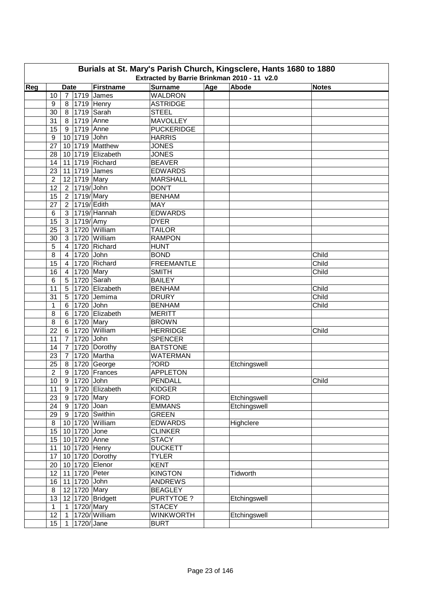| Burials at St. Mary's Parish Church, Kingsclere, Hants 1680 to 1880<br>Extracted by Barrie Brinkman 2010 - 11 v2.0 |                  |                |                 |                      |                                  |              |              |       |  |  |  |
|--------------------------------------------------------------------------------------------------------------------|------------------|----------------|-----------------|----------------------|----------------------------------|--------------|--------------|-------|--|--|--|
| Reg                                                                                                                |                  | <b>Date</b>    |                 | Firstname            | Abode                            | <b>Notes</b> |              |       |  |  |  |
|                                                                                                                    | 10               |                |                 | 7 1719 James         | <b>Surname</b><br><b>WALDRON</b> | Age          |              |       |  |  |  |
|                                                                                                                    | 9                |                |                 | 8 1719 Henry         | <b>ASTRIDGE</b>                  |              |              |       |  |  |  |
|                                                                                                                    | 30               |                |                 | 8 1719 Sarah         | <b>STEEL</b>                     |              |              |       |  |  |  |
|                                                                                                                    | 31               |                | 8 1719 Anne     |                      | <b>MAVOLLEY</b>                  |              |              |       |  |  |  |
|                                                                                                                    | 15               |                | 9 1719 Anne     |                      | <b>PUCKERIDGE</b>                |              |              |       |  |  |  |
|                                                                                                                    | 9                |                | 10 1719 John    |                      | <b>HARRIS</b>                    |              |              |       |  |  |  |
|                                                                                                                    | 27               |                |                 | 10 1719 Matthew      | <b>JONES</b>                     |              |              |       |  |  |  |
|                                                                                                                    | 28               |                |                 | 10 1719 Elizabeth    | <b>JONES</b>                     |              |              |       |  |  |  |
|                                                                                                                    | 14               |                |                 | 11 1719 Richard      | <b>BEAVER</b>                    |              |              |       |  |  |  |
|                                                                                                                    | 23               |                |                 | 11 1719 James        | <b>EDWARDS</b>                   |              |              |       |  |  |  |
|                                                                                                                    | $\overline{2}$   |                | 12 1719 Mary    |                      | <b>MARSHALL</b>                  |              |              |       |  |  |  |
|                                                                                                                    | 12               |                | 2 1719/John     |                      | <b>DON'T</b>                     |              |              |       |  |  |  |
|                                                                                                                    | 15               |                | 2 1719/Mary     |                      | <b>BENHAM</b>                    |              |              |       |  |  |  |
|                                                                                                                    | 27               |                | 2 1719/ Edith   |                      | <b>MAY</b>                       |              |              |       |  |  |  |
|                                                                                                                    | 6                |                |                 | 3   1719/ Hannah     | <b>EDWARDS</b>                   |              |              |       |  |  |  |
|                                                                                                                    | 15               |                | $3$   1719/ Amy |                      | <b>DYER</b>                      |              |              |       |  |  |  |
|                                                                                                                    | 25               | 3 <sup>1</sup> |                 | 1720 William         | <b>TAILOR</b>                    |              |              |       |  |  |  |
|                                                                                                                    | 30               | 3              |                 | 1720 William         | <b>RAMPON</b>                    |              |              |       |  |  |  |
|                                                                                                                    |                  | $\overline{4}$ |                 | 1720 Richard         | <b>HUNT</b>                      |              |              |       |  |  |  |
|                                                                                                                    | 5                |                |                 |                      |                                  |              |              |       |  |  |  |
|                                                                                                                    | 8                | $\overline{4}$ | 1720 John       |                      | <b>BOND</b>                      |              |              | Child |  |  |  |
|                                                                                                                    | 15               | $\overline{4}$ |                 | 1720 Richard         | <b>FREEMANTLE</b>                |              |              | Child |  |  |  |
|                                                                                                                    | 16               | $\overline{4}$ | 1720 Mary       |                      | <b>SMITH</b>                     |              |              | Child |  |  |  |
|                                                                                                                    | 6                | 5              |                 | 1720 Sarah           | <b>BAILEY</b>                    |              |              |       |  |  |  |
|                                                                                                                    | 11               | 5              |                 | 1720 Elizabeth       | <b>BENHAM</b>                    |              |              | Child |  |  |  |
|                                                                                                                    | 31               | 5              |                 | 1720 Jemima          | <b>DRURY</b>                     |              |              | Child |  |  |  |
|                                                                                                                    | $\mathbf{1}$     |                | 6 1720 John     |                      | <b>BENHAM</b>                    |              |              | Child |  |  |  |
|                                                                                                                    | 8                |                |                 | 6 1720 Elizabeth     | <b>MERITT</b>                    |              |              |       |  |  |  |
|                                                                                                                    | 8                |                | 6 1720 Mary     |                      | <b>BROWN</b>                     |              |              |       |  |  |  |
|                                                                                                                    | 22               | $6 \mid$       |                 | 1720 William         | <b>HERRIDGE</b>                  |              |              | Child |  |  |  |
|                                                                                                                    | 11               | $7^{\circ}$    | 1720 John       |                      | <b>SPENCER</b>                   |              |              |       |  |  |  |
|                                                                                                                    | 14               | 7 <sup>1</sup> |                 | 1720 Dorothy         | <b>BATSTONE</b>                  |              |              |       |  |  |  |
|                                                                                                                    | 23               |                |                 | 7 1720 Martha        | <b>WATERMAN</b>                  |              |              |       |  |  |  |
|                                                                                                                    | 25               |                |                 | 8 1720 George        | ?ORD                             |              | Etchingswell |       |  |  |  |
|                                                                                                                    | $\overline{2}$   |                |                 | 9   1720   Frances   | <b>APPLETON</b>                  |              |              |       |  |  |  |
|                                                                                                                    | 10               |                | 9 1720 John     |                      | <b>PENDALL</b>                   |              |              | Child |  |  |  |
|                                                                                                                    | 11               |                |                 | 9   1720   Elizabeth | <b>KIDGER</b>                    |              |              |       |  |  |  |
|                                                                                                                    | 23               |                | 9 1720 Mary     |                      | <b>FORD</b>                      |              | Etchingswell |       |  |  |  |
|                                                                                                                    | 24               |                | 9 1720 Joan     |                      | <b>EMMANS</b>                    |              | Etchingswell |       |  |  |  |
|                                                                                                                    | 29               |                |                 | 9 1720 Swithin       | <b>GREEN</b>                     |              |              |       |  |  |  |
|                                                                                                                    | $\,8\,$          |                |                 | 10 1720 William      | <b>EDWARDS</b>                   |              | Highclere    |       |  |  |  |
|                                                                                                                    | 15               |                | 10 1720 Jone    |                      | <b>CLINKER</b>                   |              |              |       |  |  |  |
|                                                                                                                    | 15               |                |                 | 10 1720 Anne         | <b>STACY</b>                     |              |              |       |  |  |  |
|                                                                                                                    | 11               |                |                 | 10 1720 Henry        | <b>DUCKETT</b>                   |              |              |       |  |  |  |
|                                                                                                                    | 17               |                |                 | 10 1720 Dorothy      | <b>TYLER</b>                     |              |              |       |  |  |  |
|                                                                                                                    | 20               |                |                 | 10 1720 Elenor       | <b>KENT</b>                      |              |              |       |  |  |  |
|                                                                                                                    | 12               |                |                 | 11 1720 Peter        | <b>KINGTON</b>                   |              | Tidworth     |       |  |  |  |
|                                                                                                                    | 16               |                | 11 1720 John    |                      | <b>ANDREWS</b>                   |              |              |       |  |  |  |
|                                                                                                                    | $\,8\,$          |                | 12 1720 Mary    |                      | <b>BEAGLEY</b>                   |              |              |       |  |  |  |
|                                                                                                                    | 13               |                |                 | 12 1720 Bridgett     | PURTYTOE?                        |              | Etchingswell |       |  |  |  |
|                                                                                                                    | $\mathbf{1}$     | 1              | 1720/Mary       |                      | <b>STACEY</b>                    |              |              |       |  |  |  |
|                                                                                                                    | 12               | $\mathbf{1}$   |                 | 1720/William         | <b>WINKWORTH</b>                 |              | Etchingswell |       |  |  |  |
|                                                                                                                    | 15 <sub>15</sub> | 1.             | 1720/Jane       |                      | <b>BURT</b>                      |              |              |       |  |  |  |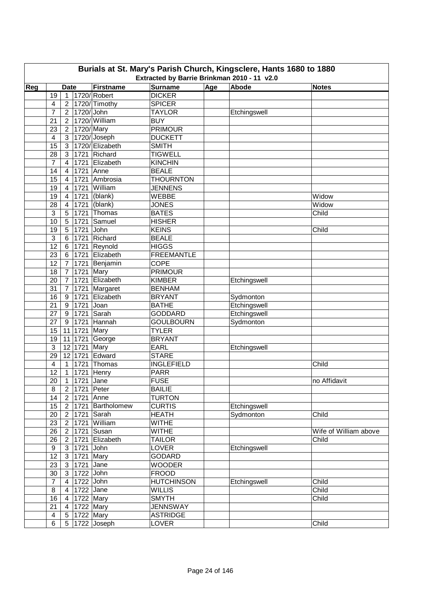|     | Burials at St. Mary's Parish Church, Kingsclere, Hants 1680 to 1880<br>Extracted by Barrie Brinkman 2010 - 11 v2.0 |                |              |                   |                   |     |              |                       |  |  |  |  |
|-----|--------------------------------------------------------------------------------------------------------------------|----------------|--------------|-------------------|-------------------|-----|--------------|-----------------------|--|--|--|--|
| Reg |                                                                                                                    | <b>Date</b>    |              | Firstname         | <b>Surname</b>    | Age | Abode        | <b>Notes</b>          |  |  |  |  |
|     | 19                                                                                                                 | $\mathbf{1}$   |              | 1720/ Robert      | <b>DICKER</b>     |     |              |                       |  |  |  |  |
|     | 4                                                                                                                  | $\overline{2}$ |              | 1720/Timothy      | <b>SPICER</b>     |     |              |                       |  |  |  |  |
|     | 7                                                                                                                  | 2 <sup>1</sup> | 1720/ John   |                   | <b>TAYLOR</b>     |     | Etchingswell |                       |  |  |  |  |
|     | 21                                                                                                                 | 2 <sup>1</sup> |              | 1720/William      | <b>BUY</b>        |     |              |                       |  |  |  |  |
|     | 23                                                                                                                 | 2 <sup>1</sup> | 1720/ Mary   |                   | <b>PRIMOUR</b>    |     |              |                       |  |  |  |  |
|     | 4                                                                                                                  | 3 <sup>1</sup> |              | 1720/Joseph       | <b>DUCKETT</b>    |     |              |                       |  |  |  |  |
|     | 15                                                                                                                 | 3              |              | 1720/ Elizabeth   | <b>SMITH</b>      |     |              |                       |  |  |  |  |
|     | 28                                                                                                                 | 3              |              | 1721 Richard      | <b>TIGWELL</b>    |     |              |                       |  |  |  |  |
|     | $\overline{7}$                                                                                                     | 4              |              | 1721 Elizabeth    | <b>KINCHIN</b>    |     |              |                       |  |  |  |  |
|     | 14                                                                                                                 | 4              | 1721         | Anne              | <b>BEALE</b>      |     |              |                       |  |  |  |  |
|     | 15                                                                                                                 | 4              | 1721         | Ambrosia          | <b>THOURNTON</b>  |     |              |                       |  |  |  |  |
|     | 19                                                                                                                 | $\overline{4}$ | 1721         | William           | <b>JENNENS</b>    |     |              |                       |  |  |  |  |
|     | 19                                                                                                                 | $\overline{4}$ | 1721         | (blank)           | WEBBE             |     |              | Widow                 |  |  |  |  |
|     | 28                                                                                                                 |                |              | (blank)           | <b>JONES</b>      |     |              | Widow                 |  |  |  |  |
|     | 3                                                                                                                  | 4              | 1721<br>1721 | Thomas            | <b>BATES</b>      |     |              | Child                 |  |  |  |  |
|     |                                                                                                                    | 5              |              | Samuel            |                   |     |              |                       |  |  |  |  |
|     | 10                                                                                                                 | 5              | 1721         |                   | <b>HISHER</b>     |     |              |                       |  |  |  |  |
|     | 19                                                                                                                 | 5              | 1721         | John              | <b>KEINS</b>      |     |              | Child                 |  |  |  |  |
|     | 3                                                                                                                  | 6              | 1721         | Richard           | <b>BEALE</b>      |     |              |                       |  |  |  |  |
|     | 12                                                                                                                 | 6              | 1721         | Reynold           | <b>HIGGS</b>      |     |              |                       |  |  |  |  |
|     | 23                                                                                                                 | 6              | 1721         | Elizabeth         | <b>FREEMANTLE</b> |     |              |                       |  |  |  |  |
|     | 12                                                                                                                 | $\overline{7}$ | 1721         | Benjamin          | <b>COPE</b>       |     |              |                       |  |  |  |  |
|     | 18                                                                                                                 | $\overline{7}$ | 1721         | Mary              | <b>PRIMOUR</b>    |     |              |                       |  |  |  |  |
|     | 20                                                                                                                 | $\overline{7}$ | 1721         | Elizabeth         | <b>KIMBER</b>     |     | Etchingswell |                       |  |  |  |  |
|     | 31                                                                                                                 | $\overline{7}$ | 1721         | Margaret          | <b>BENHAM</b>     |     |              |                       |  |  |  |  |
|     | 16                                                                                                                 | 9              | 1721         | Elizabeth         | <b>BRYANT</b>     |     | Sydmonton    |                       |  |  |  |  |
|     | 21                                                                                                                 | 9              | 1721         | Joan              | <b>BATHE</b>      |     | Etchingswell |                       |  |  |  |  |
|     | 27                                                                                                                 | 9              | 1721         | Sarah             | <b>GODDARD</b>    |     | Etchingswell |                       |  |  |  |  |
|     | 27                                                                                                                 | 9              | 1721         | Hannah            | <b>GOULBOURN</b>  |     | Sydmonton    |                       |  |  |  |  |
|     | 15                                                                                                                 |                | 11 1721 Mary |                   | <b>TYLER</b>      |     |              |                       |  |  |  |  |
|     | 19                                                                                                                 |                |              | 11 1721 George    | <b>BRYANT</b>     |     |              |                       |  |  |  |  |
|     | 3                                                                                                                  |                | 12 1721      | Mary              | <b>EARL</b>       |     | Etchingswell |                       |  |  |  |  |
|     | 29                                                                                                                 |                | 12 1721      | Edward            | <b>STARE</b>      |     |              |                       |  |  |  |  |
|     | $\overline{4}$                                                                                                     | $\mathbf{1}$   | 1721         | Thomas            | <b>INGLEFIELD</b> |     |              | Child                 |  |  |  |  |
|     | 12                                                                                                                 |                |              | 1 1721 Henry      | <b>PARR</b>       |     |              |                       |  |  |  |  |
|     | $\overline{20}$                                                                                                    |                | 1 1721 Jane  |                   | <b>FUSE</b>       |     |              | no Affidavit          |  |  |  |  |
|     | 8                                                                                                                  |                | 2 1721 Peter |                   | <b>BAILIE</b>     |     |              |                       |  |  |  |  |
|     | 14                                                                                                                 | 2 <sup>1</sup> | 1721 Anne    |                   | <b>TURTON</b>     |     |              |                       |  |  |  |  |
|     | 15                                                                                                                 | 2 <sup>1</sup> |              | 1721 Bartholomew  | <b>CURTIS</b>     |     | Etchingswell |                       |  |  |  |  |
|     | 20                                                                                                                 | 2 <sup>1</sup> |              | 1721 Sarah        | <b>HEATH</b>      |     | Sydmonton    | Child                 |  |  |  |  |
|     | 23                                                                                                                 |                |              | 2 1721 William    | <b>WITHE</b>      |     |              |                       |  |  |  |  |
|     | 26                                                                                                                 | 2 <sup>1</sup> |              | 1721 Susan        | <b>WITHE</b>      |     |              | Wife of William above |  |  |  |  |
|     | 26                                                                                                                 | 2 <sup>1</sup> |              | 1721 Elizabeth    | <b>TAILOR</b>     |     |              | Child                 |  |  |  |  |
|     | 9                                                                                                                  |                | 3 1721 John  |                   | <b>LOVER</b>      |     | Etchingswell |                       |  |  |  |  |
|     | 12                                                                                                                 |                | 3 1721 Mary  |                   | <b>GODARD</b>     |     |              |                       |  |  |  |  |
|     | 23                                                                                                                 | 3 <sup>1</sup> | $1721$ Jane  |                   | <b>WOODER</b>     |     |              |                       |  |  |  |  |
|     | 30                                                                                                                 | 3 <sup>1</sup> | 1722 John    |                   | <b>FROOD</b>      |     |              |                       |  |  |  |  |
|     | $\overline{7}$                                                                                                     | $4 \mid$       | 1722 John    |                   | <b>HUTCHINSON</b> |     | Etchingswell | Child                 |  |  |  |  |
|     | 8                                                                                                                  | 4              | 1722 Jane    |                   | <b>WILLIS</b>     |     |              | Child                 |  |  |  |  |
|     | 16                                                                                                                 | $4 \mid$       | 1722 Mary    |                   | <b>SMYTH</b>      |     |              | Child                 |  |  |  |  |
|     | 21                                                                                                                 | $\overline{4}$ | 1722 Mary    |                   | <b>JENNSWAY</b>   |     |              |                       |  |  |  |  |
|     | 4                                                                                                                  | 5 <sup>1</sup> | 1722 Mary    |                   | <b>ASTRIDGE</b>   |     |              |                       |  |  |  |  |
|     | $\,6$                                                                                                              |                |              | 5   1722   Joseph | LOVER             |     |              | Child                 |  |  |  |  |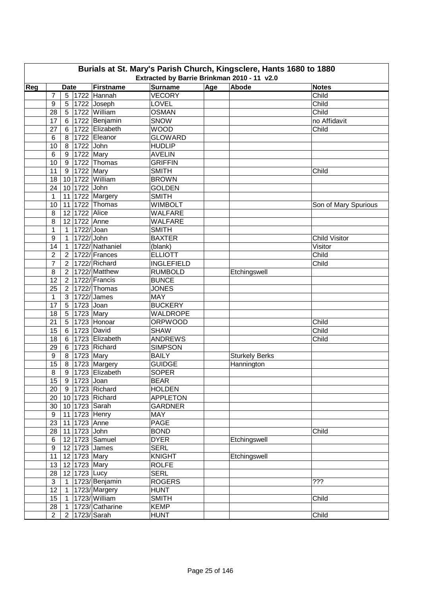|     | Burials at St. Mary's Parish Church, Kingsclere, Hants 1680 to 1880<br>Extracted by Barrie Brinkman 2010 - 11 v2.0 |                 |  |                    |                                |     |                       |                      |  |  |  |
|-----|--------------------------------------------------------------------------------------------------------------------|-----------------|--|--------------------|--------------------------------|-----|-----------------------|----------------------|--|--|--|
| Reg |                                                                                                                    | <b>Date</b>     |  | Firstname          | <b>Surname</b>                 | Age | Abode                 | <b>Notes</b>         |  |  |  |
|     | 7                                                                                                                  |                 |  | 5 1722 Hannah      | <b>VECORY</b>                  |     |                       | Child                |  |  |  |
|     | 9                                                                                                                  | 5 <sub>1</sub>  |  | 1722 Joseph        | LOVEL                          |     |                       | Child                |  |  |  |
|     | 28                                                                                                                 | 5 <sub>1</sub>  |  | 1722 William       | <b>OSMAN</b>                   |     |                       | Child                |  |  |  |
|     | 17                                                                                                                 | 6 <sup>1</sup>  |  | 1722 Benjamin      | SNOW                           |     |                       | no Affidavit         |  |  |  |
|     | 27                                                                                                                 | 6               |  | 1722 Elizabeth     | <b>WOOD</b>                    |     |                       | Child                |  |  |  |
|     | 6                                                                                                                  | 8               |  | 1722 Eleanor       | <b>GLOWARD</b>                 |     |                       |                      |  |  |  |
|     | 10                                                                                                                 | 8 <sup>1</sup>  |  | 1722 John          | <b>HUDLIP</b>                  |     |                       |                      |  |  |  |
|     | 6                                                                                                                  | 9               |  | 1722 Mary          | <b>AVELIN</b>                  |     |                       |                      |  |  |  |
|     | 10                                                                                                                 | 9               |  | 1722 Thomas        | <b>GRIFFIN</b>                 |     |                       |                      |  |  |  |
|     | 11                                                                                                                 | 9               |  | 1722 Mary          | <b>SMITH</b>                   |     |                       | Child                |  |  |  |
|     | 18                                                                                                                 | 10 <sup>1</sup> |  | 1722 William       | <b>BROWN</b>                   |     |                       |                      |  |  |  |
|     | 24                                                                                                                 | 10              |  | 1722 John          | <b>GOLDEN</b>                  |     |                       |                      |  |  |  |
|     | $\mathbf{1}$                                                                                                       |                 |  | 11 1722 Margery    | <b>SMITH</b>                   |     |                       |                      |  |  |  |
|     | 10                                                                                                                 | 11              |  | 1722 Thomas        | <b>WIMBOLT</b>                 |     |                       |                      |  |  |  |
|     | 8                                                                                                                  | 12              |  | 1722 Alice         | <b>WALFARE</b>                 |     |                       | Son of Mary Spurious |  |  |  |
|     | 8                                                                                                                  |                 |  | 12 1722 Anne       | WALFARE                        |     |                       |                      |  |  |  |
|     | $\mathbf{1}$                                                                                                       | 1               |  | 1722/ Joan         | <b>SMITH</b>                   |     |                       |                      |  |  |  |
|     | 9                                                                                                                  | $\mathbf{1}$    |  | 1722/John          | <b>BAXTER</b>                  |     |                       | <b>Child Visitor</b> |  |  |  |
|     | 14                                                                                                                 | $\overline{1}$  |  | 1722/Nathaniel     |                                |     |                       | Visitor              |  |  |  |
|     | $\overline{2}$                                                                                                     | $\overline{2}$  |  | 1722/Frances       | (blank)<br><b>ELLIOTT</b>      |     |                       | Child                |  |  |  |
|     | $\overline{7}$                                                                                                     | $\overline{2}$  |  | 1722/Richard       | <b>INGLEFIELD</b>              |     |                       | Child                |  |  |  |
|     |                                                                                                                    |                 |  | 1722/Matthew       |                                |     |                       |                      |  |  |  |
|     | 8<br>12                                                                                                            | $2^{\circ}$     |  | 1722/Francis       | <b>RUMBOLD</b><br><b>BUNCE</b> |     | Etchingswell          |                      |  |  |  |
|     |                                                                                                                    | 2 <sup>1</sup>  |  | 1722/Thomas        |                                |     |                       |                      |  |  |  |
|     | 25                                                                                                                 | $\overline{2}$  |  | $1722$ /James      | <b>JONES</b>                   |     |                       |                      |  |  |  |
|     | 1                                                                                                                  | 3 <sup>1</sup>  |  |                    | <b>MAY</b>                     |     |                       |                      |  |  |  |
|     | 17                                                                                                                 | $5\phantom{.0}$ |  | 1723 Joan          | <b>BUCKERY</b>                 |     |                       |                      |  |  |  |
|     | 18                                                                                                                 | $5\phantom{.0}$ |  | $\sqrt{1723}$ Mary | WALDROPE                       |     |                       |                      |  |  |  |
|     | 21                                                                                                                 | 5               |  | 1723 Honoar        | <b>ORPWOOD</b>                 |     |                       | Child                |  |  |  |
|     | 15                                                                                                                 |                 |  | 6 1723 David       | <b>SHAW</b>                    |     |                       | Child                |  |  |  |
|     | 18                                                                                                                 | 6               |  | 1723 Elizabeth     | <b>ANDREWS</b>                 |     |                       | Child                |  |  |  |
|     | 29                                                                                                                 | 6               |  | 1723 Richard       | <b>SIMPSON</b>                 |     |                       |                      |  |  |  |
|     | 9                                                                                                                  |                 |  | 8 1723 Mary        | <b>BAILY</b>                   |     | <b>Sturkely Berks</b> |                      |  |  |  |
|     | 15                                                                                                                 |                 |  | 8 1723 Margery     | <b>GUIDGE</b>                  |     | Hannington            |                      |  |  |  |
|     | 8                                                                                                                  |                 |  | 9 1723 Elizabeth   | <b>SOPER</b>                   |     |                       |                      |  |  |  |
|     | 15                                                                                                                 |                 |  | $9$   1723 Joan    | <b>BEAR</b>                    |     |                       |                      |  |  |  |
|     | 20                                                                                                                 |                 |  | 9 1723 Richard     | <b>HOLDEN</b>                  |     |                       |                      |  |  |  |
|     | 20                                                                                                                 |                 |  | 10 1723 Richard    | <b>APPLETON</b>                |     |                       |                      |  |  |  |
|     | 30                                                                                                                 |                 |  | 10 1723 Sarah      | <b>GARDNER</b>                 |     |                       |                      |  |  |  |
|     | 9                                                                                                                  |                 |  | 11 1723 Henry      | <b>MAY</b>                     |     |                       |                      |  |  |  |
|     | 23                                                                                                                 |                 |  | 11 1723 Anne       | PAGE                           |     |                       |                      |  |  |  |
|     | 28                                                                                                                 |                 |  | 11 1723 John       | <b>BOND</b>                    |     |                       | Child                |  |  |  |
|     | 6                                                                                                                  |                 |  | 12 1723 Samuel     | <b>DYER</b>                    |     | Etchingswell          |                      |  |  |  |
|     | $\boldsymbol{9}$                                                                                                   |                 |  | 12 1723 James      | <b>SERL</b>                    |     |                       |                      |  |  |  |
|     | 11                                                                                                                 |                 |  | 12 1723 Mary       | <b>KNIGHT</b>                  |     | Etchingswell          |                      |  |  |  |
|     | 13                                                                                                                 |                 |  | 12 1723 Mary       | <b>ROLFE</b>                   |     |                       |                      |  |  |  |
|     | 28                                                                                                                 |                 |  | 12 1723 Lucy       | <b>SERL</b>                    |     |                       |                      |  |  |  |
|     | 3                                                                                                                  |                 |  | 1 1723/Benjamin    | <b>ROGERS</b>                  |     |                       | ???                  |  |  |  |
|     | 12                                                                                                                 |                 |  | 1   1723/ Margery  | <b>HUNT</b>                    |     |                       |                      |  |  |  |
|     | 15                                                                                                                 |                 |  | 1 1723/ William    | <b>SMITH</b>                   |     |                       | Child                |  |  |  |
|     | 28                                                                                                                 |                 |  | 1 1723/ Catharine  | <b>KEMP</b>                    |     |                       |                      |  |  |  |
|     | $\overline{2}$                                                                                                     |                 |  | 2 1723/Sarah       | <b>HUNT</b>                    |     |                       | Child                |  |  |  |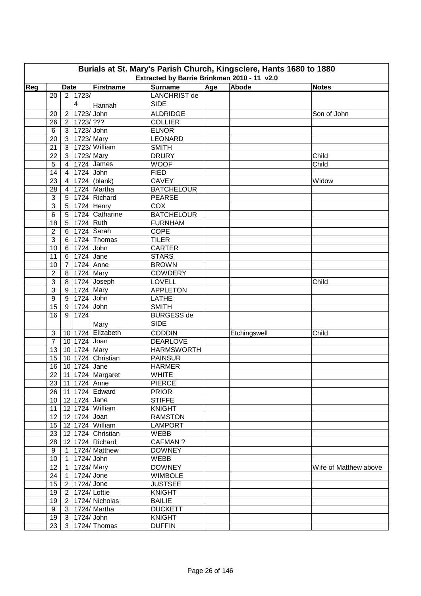|     | Burials at St. Mary's Parish Church, Kingsclere, Hants 1680 to 1880<br>Extracted by Barrie Brinkman 2010 - 11 v2.0 |                |                               |                          |                                |     |              |                       |  |  |  |  |
|-----|--------------------------------------------------------------------------------------------------------------------|----------------|-------------------------------|--------------------------|--------------------------------|-----|--------------|-----------------------|--|--|--|--|
| Reg |                                                                                                                    | <b>Date</b>    |                               | Firstname                | <b>Surname</b>                 | Age | Abode        | <b>Notes</b>          |  |  |  |  |
|     | 20                                                                                                                 |                | 2 1723/                       |                          | <b>LANCHRIST de</b>            |     |              |                       |  |  |  |  |
|     |                                                                                                                    |                | $\overline{4}$                | Hannah                   | <b>SIDE</b>                    |     |              |                       |  |  |  |  |
|     |                                                                                                                    |                | 2 1723/John                   |                          | <b>ALDRIDGE</b>                |     |              |                       |  |  |  |  |
|     | 20                                                                                                                 |                |                               |                          |                                |     |              | Son of John           |  |  |  |  |
|     | 26                                                                                                                 |                | 2   1723/ ???<br>3 1723/ John |                          | <b>COLLIER</b>                 |     |              |                       |  |  |  |  |
|     | 6                                                                                                                  |                | 3 1723/ Mary                  |                          | <b>ELNOR</b><br><b>LEONARD</b> |     |              |                       |  |  |  |  |
|     | 20                                                                                                                 |                |                               | 3 1723/ William          |                                |     |              |                       |  |  |  |  |
|     | 21                                                                                                                 |                | 3 1723/Mary                   |                          | <b>SMITH</b>                   |     |              |                       |  |  |  |  |
|     | 22                                                                                                                 |                |                               |                          | <b>DRURY</b>                   |     |              | Child                 |  |  |  |  |
|     | 5                                                                                                                  | $\overline{4}$ |                               | 1724 James               | <b>WOOF</b>                    |     |              | Child                 |  |  |  |  |
|     | 14                                                                                                                 | $\overline{4}$ | 1724 John                     |                          | <b>FIED</b>                    |     |              |                       |  |  |  |  |
|     | 23                                                                                                                 | $\overline{4}$ |                               | $1724$ (blank)           | <b>CAVEY</b>                   |     |              | Widow                 |  |  |  |  |
|     | 28                                                                                                                 | $\overline{4}$ |                               | 1724 Martha              | <b>BATCHELOUR</b>              |     |              |                       |  |  |  |  |
|     | 3                                                                                                                  |                |                               | 5 1724 Richard           | <b>PEARSE</b>                  |     |              |                       |  |  |  |  |
|     | $\mathbf{3}$                                                                                                       |                |                               | 5 1724 Henry             | COX                            |     |              |                       |  |  |  |  |
|     | 6                                                                                                                  |                |                               | 5 1724 Catharine         | <b>BATCHELOUR</b>              |     |              |                       |  |  |  |  |
|     | 18                                                                                                                 |                | 5 1724 Ruth                   |                          | <b>FURNHAM</b>                 |     |              |                       |  |  |  |  |
|     | $\overline{2}$                                                                                                     |                |                               | 6   1724   Sarah         | <b>COPE</b>                    |     |              |                       |  |  |  |  |
|     | $\mathbf{3}$                                                                                                       |                |                               | 6 1724 Thomas            | <b>TILER</b>                   |     |              |                       |  |  |  |  |
|     | 10                                                                                                                 |                | 6 1724 John                   |                          | <b>CARTER</b>                  |     |              |                       |  |  |  |  |
|     | 11                                                                                                                 |                | 6 1724 Jane                   |                          | <b>STARS</b>                   |     |              |                       |  |  |  |  |
|     | 10                                                                                                                 | 7 <sup>1</sup> | 1724 Anne                     |                          | <b>BROWN</b>                   |     |              |                       |  |  |  |  |
|     | 2                                                                                                                  |                | 8 1724 Mary                   |                          | <b>COWDERY</b>                 |     |              |                       |  |  |  |  |
|     | 3                                                                                                                  |                |                               | 8   1724   Joseph        | LOVELL                         |     |              | Child                 |  |  |  |  |
|     | 3                                                                                                                  |                | 9 1724 Mary                   |                          | <b>APPLETON</b>                |     |              |                       |  |  |  |  |
|     | 9                                                                                                                  |                | 9 1724 John                   |                          | LATHE                          |     |              |                       |  |  |  |  |
|     | 15                                                                                                                 |                | 9 1724 John                   |                          | <b>SMITH</b>                   |     |              |                       |  |  |  |  |
|     | 16                                                                                                                 | 9 <sup>1</sup> | 1724                          |                          | <b>BURGESS de</b>              |     |              |                       |  |  |  |  |
|     |                                                                                                                    |                |                               | Mary                     | <b>SIDE</b>                    |     |              |                       |  |  |  |  |
|     | 3                                                                                                                  |                |                               | 10 1724 Elizabeth        | <b>CODDIN</b>                  |     | Etchingswell | Child                 |  |  |  |  |
|     | $\overline{7}$                                                                                                     |                | 10 1724 Joan                  |                          | <b>DEARLOVE</b>                |     |              |                       |  |  |  |  |
|     | 13                                                                                                                 |                | 10 1724 Mary                  |                          | <b>HARMSWORTH</b>              |     |              |                       |  |  |  |  |
|     | 15                                                                                                                 |                |                               | 10 1724 Christian        | <b>PAINSUR</b>                 |     |              |                       |  |  |  |  |
|     | 16                                                                                                                 |                | 10 1724 Jane                  |                          | <b>HARMER</b>                  |     |              |                       |  |  |  |  |
|     | 22                                                                                                                 |                |                               | 11 1724 Margaret         | <b>WHITE</b>                   |     |              |                       |  |  |  |  |
|     |                                                                                                                    |                | 23   11   1724   Anne         |                          | <b>PIERCE</b>                  |     |              |                       |  |  |  |  |
|     |                                                                                                                    |                |                               | 26   11   1724   Edward  | <b>PRIOR</b>                   |     |              |                       |  |  |  |  |
|     |                                                                                                                    |                | 10   12   1724   Jane         |                          | <b>STIFFE</b>                  |     |              |                       |  |  |  |  |
|     | 11                                                                                                                 |                |                               | 12 1724 William          | <b>KNIGHT</b>                  |     |              |                       |  |  |  |  |
|     |                                                                                                                    |                | 12   12   1724   Joan         |                          | <b>RAMSTON</b>                 |     |              |                       |  |  |  |  |
|     |                                                                                                                    |                |                               | 15   12   1724   William | <b>LAMPORT</b>                 |     |              |                       |  |  |  |  |
|     | 23                                                                                                                 |                |                               | 12 1724 Christian        | WEBB                           |     |              |                       |  |  |  |  |
|     | 28                                                                                                                 |                |                               | 12 1724 Richard          | <b>CAFMAN?</b>                 |     |              |                       |  |  |  |  |
|     | 9                                                                                                                  |                |                               | 1   1724/ Matthew        | <b>DOWNEY</b>                  |     |              |                       |  |  |  |  |
|     | 10                                                                                                                 | 1              | 1724/ John                    |                          | WEBB                           |     |              |                       |  |  |  |  |
|     | 12                                                                                                                 |                | 1   1724/ Mary                |                          | <b>DOWNEY</b>                  |     |              | Wife of Matthew above |  |  |  |  |
|     | 24                                                                                                                 |                | 1724/ Jone                    |                          | <b>WIMBOLE</b>                 |     |              |                       |  |  |  |  |
|     | 15                                                                                                                 | $\mathbf{1}$   | 2   1724/ Jone                |                          | <b>JUSTSEE</b>                 |     |              |                       |  |  |  |  |
|     |                                                                                                                    |                |                               |                          |                                |     |              |                       |  |  |  |  |
|     | 19                                                                                                                 |                | 2   1724/ Lottie              |                          | <b>KNIGHT</b>                  |     |              |                       |  |  |  |  |
|     | 19                                                                                                                 |                |                               | 2   1724/ Nicholas       | <b>BAILIE</b>                  |     |              |                       |  |  |  |  |
|     | 9                                                                                                                  |                |                               | 3   1724/ Martha         | <b>DUCKETT</b>                 |     |              |                       |  |  |  |  |
|     | 19                                                                                                                 |                | $3  1724 $ John               |                          | <b>KNIGHT</b>                  |     |              |                       |  |  |  |  |
|     | 23                                                                                                                 |                |                               | 3   1724/ Thomas         | <b>DUFFIN</b>                  |     |              |                       |  |  |  |  |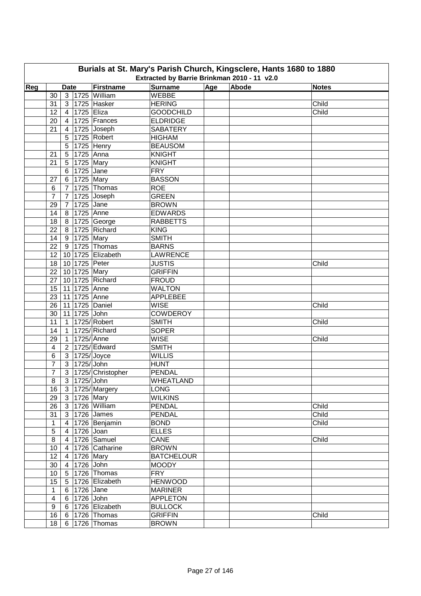| Burials at St. Mary's Parish Church, Kingsclere, Hants 1680 to 1880<br>Extracted by Barrie Brinkman 2010 - 11 v2.0 |                |                 |               |                      |                   |     |       |              |  |  |
|--------------------------------------------------------------------------------------------------------------------|----------------|-----------------|---------------|----------------------|-------------------|-----|-------|--------------|--|--|
|                                                                                                                    |                |                 |               |                      |                   |     |       |              |  |  |
| Reg                                                                                                                |                | <b>Date</b>     |               | Firstname            | <b>Surname</b>    | Age | Abode | <b>Notes</b> |  |  |
|                                                                                                                    | 30             | 3 <sup>1</sup>  |               | 1725 William         | <b>WEBBE</b>      |     |       |              |  |  |
|                                                                                                                    | 31             | 3 <sup>1</sup>  |               | 1725 Hasker          | <b>HERING</b>     |     |       | Child        |  |  |
|                                                                                                                    | 12             | $\vert 4 \vert$ | 1725 Eliza    |                      | <b>GOODCHILD</b>  |     |       | Child        |  |  |
|                                                                                                                    | 20             | $4 \mid$        |               | 1725 Frances         | <b>ELDRIDGE</b>   |     |       |              |  |  |
|                                                                                                                    | 21             | $\overline{4}$  |               | 1725 Joseph          | <b>SABATERY</b>   |     |       |              |  |  |
|                                                                                                                    |                | 5               |               | 1725 Robert          | <b>HIGHAM</b>     |     |       |              |  |  |
|                                                                                                                    |                | 5               |               | 1725 Henry           | <b>BEAUSOM</b>    |     |       |              |  |  |
|                                                                                                                    | 21             | $5\phantom{.0}$ | 1725 Anna     |                      | <b>KNIGHT</b>     |     |       |              |  |  |
|                                                                                                                    | 21             | 5 <sup>5</sup>  | 1725 Mary     |                      | <b>KNIGHT</b>     |     |       |              |  |  |
|                                                                                                                    |                | 6               | 1725 Jane     |                      | <b>FRY</b>        |     |       |              |  |  |
|                                                                                                                    | 27             | 6               | 1725 Mary     |                      | <b>BASSON</b>     |     |       |              |  |  |
|                                                                                                                    | 6              | $7\overline{ }$ |               | 1725 Thomas          | <b>ROE</b>        |     |       |              |  |  |
|                                                                                                                    | $\overline{7}$ | $7^{\circ}$     |               | 1725 Joseph          | <b>GREEN</b>      |     |       |              |  |  |
|                                                                                                                    | 29             | $7\overline{ }$ | 1725 Jane     |                      | <b>BROWN</b>      |     |       |              |  |  |
|                                                                                                                    | 14             | 8 <sup>1</sup>  | 1725 Anne     |                      | <b>EDWARDS</b>    |     |       |              |  |  |
|                                                                                                                    | 18             | 8               |               | 1725 George          | <b>RABBETTS</b>   |     |       |              |  |  |
|                                                                                                                    | 22             | 8               |               | 1725 Richard         | <b>KING</b>       |     |       |              |  |  |
|                                                                                                                    | 14             | 9               | 1725 Mary     |                      | <b>SMITH</b>      |     |       |              |  |  |
|                                                                                                                    | 22             | 9               |               | 1725 Thomas          | <b>BARNS</b>      |     |       |              |  |  |
|                                                                                                                    | 12             |                 |               | 10 1725 Elizabeth    | <b>LAWRENCE</b>   |     |       |              |  |  |
|                                                                                                                    | 18             |                 | 10 1725 Peter |                      | <b>JUSTIS</b>     |     |       | Child        |  |  |
|                                                                                                                    | 22             |                 | 10 1725 Mary  |                      | <b>GRIFFIN</b>    |     |       |              |  |  |
|                                                                                                                    | 27             |                 |               | 10 1725 Richard      | <b>FROUD</b>      |     |       |              |  |  |
|                                                                                                                    | 15             |                 | 11 1725 Anne  |                      | <b>WALTON</b>     |     |       |              |  |  |
|                                                                                                                    | 23             |                 | 11 1725 Anne  |                      | <b>APPLEBEE</b>   |     |       |              |  |  |
|                                                                                                                    | 26             |                 |               | 11 1725 Daniel       | <b>WISE</b>       |     |       | Child        |  |  |
|                                                                                                                    | 30             |                 | 11 1725 John  |                      | <b>COWDEROY</b>   |     |       |              |  |  |
|                                                                                                                    | 11             | $\mathbf{1}$    |               | 1725/Robert          | <b>SMITH</b>      |     |       | Child        |  |  |
|                                                                                                                    | 14             | $\overline{1}$  |               | 1725/Richard         | <b>SOPER</b>      |     |       |              |  |  |
|                                                                                                                    | 29             | $\overline{1}$  | 1725/Anne     |                      | <b>WISE</b>       |     |       | Child        |  |  |
|                                                                                                                    | 4              | 2 <sup>1</sup>  |               | 1725/ Edward         | <b>SMITH</b>      |     |       |              |  |  |
|                                                                                                                    | 6              | 3 <sup>1</sup>  |               | 1725/ Joyce          | <b>WILLIS</b>     |     |       |              |  |  |
|                                                                                                                    | $\overline{7}$ |                 | 3 1725/John   |                      | <b>HUNT</b>       |     |       |              |  |  |
|                                                                                                                    | $\overline{7}$ | 3 <sup>1</sup>  |               | 1725/ Christopher    | <b>PENDAL</b>     |     |       |              |  |  |
|                                                                                                                    | $\overline{8}$ |                 | 3 1725/ John  |                      | <b>WHEATLAND</b>  |     |       |              |  |  |
|                                                                                                                    | 16             |                 |               | 3   1725/ Margery    | <b>LONG</b>       |     |       |              |  |  |
|                                                                                                                    | 29             |                 | 3 1726 Mary   |                      | <b>WILKINS</b>    |     |       |              |  |  |
|                                                                                                                    | 26             |                 |               | 3 1726 William       | <b>PENDAL</b>     |     |       | Child        |  |  |
|                                                                                                                    | 31             |                 |               | 3 1726 James         | PENDAL            |     |       | Child        |  |  |
|                                                                                                                    | 1              |                 |               | 4 1726 Benjamin      | <b>BOND</b>       |     |       | Child        |  |  |
|                                                                                                                    | $\sqrt{5}$     | $\overline{4}$  | 1726 Joan     |                      | <b>ELLES</b>      |     |       |              |  |  |
|                                                                                                                    | 8              | $\overline{4}$  |               | 1726 Samuel          | CANE              |     |       | Child        |  |  |
|                                                                                                                    | 10             | $\overline{4}$  |               | 1726 Catharine       | <b>BROWN</b>      |     |       |              |  |  |
|                                                                                                                    | 12             | 4               | 1726 Mary     |                      | <b>BATCHELOUR</b> |     |       |              |  |  |
|                                                                                                                    | 30             | $\overline{4}$  | 1726 John     |                      | <b>MOODY</b>      |     |       |              |  |  |
|                                                                                                                    | 10             | 5 <sup>5</sup>  |               | 1726 Thomas          | <b>FRY</b>        |     |       |              |  |  |
|                                                                                                                    | 15             |                 |               | 5   1726   Elizabeth | <b>HENWOOD</b>    |     |       |              |  |  |
|                                                                                                                    | $\mathbf{1}$   |                 | 6 1726 Jane   |                      | <b>MARINER</b>    |     |       |              |  |  |
|                                                                                                                    | $\overline{4}$ |                 | 6 1726 John   |                      | <b>APPLETON</b>   |     |       |              |  |  |
|                                                                                                                    | 9              |                 |               | 6 1726 Elizabeth     | <b>BULLOCK</b>    |     |       |              |  |  |
|                                                                                                                    | 16             |                 |               | 6 1726 Thomas        | <b>GRIFFIN</b>    |     |       | Child        |  |  |
|                                                                                                                    | 18             |                 |               | 6   1726   Thomas    | <b>BROWN</b>      |     |       |              |  |  |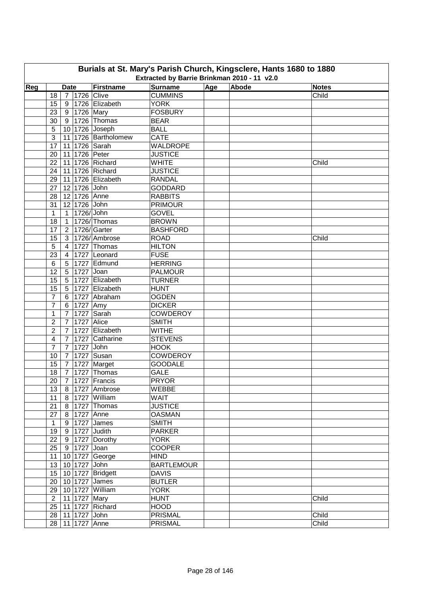|     | Burials at St. Mary's Parish Church, Kingsclere, Hants 1680 to 1880<br>Extracted by Barrie Brinkman 2010 - 11 v2.0 |                 |                        |                           |                   |     |       |              |  |  |  |  |
|-----|--------------------------------------------------------------------------------------------------------------------|-----------------|------------------------|---------------------------|-------------------|-----|-------|--------------|--|--|--|--|
| Reg |                                                                                                                    | <b>Date</b>     |                        | Firstname                 | <b>Surname</b>    | Age | Abode | <b>Notes</b> |  |  |  |  |
|     | 18                                                                                                                 |                 |                        | 7 1726 Clive              | <b>CUMMINS</b>    |     |       | Child        |  |  |  |  |
|     | 15                                                                                                                 | 9               |                        | 1726 Elizabeth            | <b>YORK</b>       |     |       |              |  |  |  |  |
|     | 23                                                                                                                 | 9               | 1726 Mary              |                           | <b>FOSBURY</b>    |     |       |              |  |  |  |  |
|     | 30                                                                                                                 |                 |                        | 9 1726 Thomas             | <b>BEAR</b>       |     |       |              |  |  |  |  |
|     | 5                                                                                                                  |                 |                        | 10 1726 Joseph            | <b>BALL</b>       |     |       |              |  |  |  |  |
|     | $\mathbf{3}$                                                                                                       |                 |                        | 11 1726 Bartholomew       | CATE              |     |       |              |  |  |  |  |
|     | 17                                                                                                                 |                 |                        | 11 1726 Sarah             | <b>WALDROPE</b>   |     |       |              |  |  |  |  |
|     | 20                                                                                                                 |                 |                        | 11 1726 Peter             | <b>JUSTICE</b>    |     |       |              |  |  |  |  |
|     | 22                                                                                                                 |                 |                        | 11 1726 Richard           | <b>WHITE</b>      |     |       | Child        |  |  |  |  |
|     | 24                                                                                                                 |                 |                        | 11 1726 Richard           | <b>JUSTICE</b>    |     |       |              |  |  |  |  |
|     | 29                                                                                                                 |                 |                        | 11 1726 Elizabeth         | <b>RANDAL</b>     |     |       |              |  |  |  |  |
|     | 27                                                                                                                 |                 | 12 1726 John           |                           | <b>GODDARD</b>    |     |       |              |  |  |  |  |
|     | 28                                                                                                                 |                 |                        | 12 1726 Anne              | <b>RABBITS</b>    |     |       |              |  |  |  |  |
|     | 31                                                                                                                 |                 | 12 1726 John           |                           | <b>PRIMOUR</b>    |     |       |              |  |  |  |  |
|     | $\mathbf{1}$                                                                                                       | $1 \square$     | $1726$ /John           |                           | <b>GOVEL</b>      |     |       |              |  |  |  |  |
|     |                                                                                                                    |                 |                        |                           |                   |     |       |              |  |  |  |  |
|     | 18                                                                                                                 | $\mathbf{1}$    |                        | 1726/Thomas               | <b>BROWN</b>      |     |       |              |  |  |  |  |
|     | 17                                                                                                                 | $2^{\circ}$     |                        | 1726/Garter               | <b>BASHFORD</b>   |     |       |              |  |  |  |  |
|     | 15                                                                                                                 | 3               |                        | 1726/Ambrose              | <b>ROAD</b>       |     |       | Child        |  |  |  |  |
|     | 5                                                                                                                  | $\overline{4}$  |                        | 1727 Thomas               | <b>HILTON</b>     |     |       |              |  |  |  |  |
|     | 23                                                                                                                 | 4               |                        | 1727 Leonard              | <b>FUSE</b>       |     |       |              |  |  |  |  |
|     | $6\phantom{1}6$                                                                                                    | 5               |                        | 1727 Edmund               | <b>HERRING</b>    |     |       |              |  |  |  |  |
|     | 12                                                                                                                 | $5\phantom{.0}$ | 1727 Joan              |                           | <b>PALMOUR</b>    |     |       |              |  |  |  |  |
|     | 15                                                                                                                 | 5 <sup>1</sup>  |                        | 1727 Elizabeth            | <b>TURNER</b>     |     |       |              |  |  |  |  |
|     | 15                                                                                                                 | 5               |                        | 1727 Elizabeth            | <b>HUNT</b>       |     |       |              |  |  |  |  |
|     | 7                                                                                                                  | 6               |                        | 1727 Abraham              | <b>OGDEN</b>      |     |       |              |  |  |  |  |
|     | 7                                                                                                                  | 6               | $\overline{17}$ 27 Amy |                           | <b>DICKER</b>     |     |       |              |  |  |  |  |
|     | 1                                                                                                                  | $\overline{7}$  |                        | 1727 Sarah                | <b>COWDEROY</b>   |     |       |              |  |  |  |  |
|     | $\overline{2}$                                                                                                     | $\overline{7}$  | 1727 Alice             |                           | <b>SMITH</b>      |     |       |              |  |  |  |  |
|     | $\overline{2}$                                                                                                     | $\overline{7}$  |                        | 1727 Elizabeth            | <b>WITHE</b>      |     |       |              |  |  |  |  |
|     | 4                                                                                                                  | $\overline{7}$  |                        | 1727 Catharine            | <b>STEVENS</b>    |     |       |              |  |  |  |  |
|     | 7                                                                                                                  | $\overline{7}$  | 1727 John              |                           | <b>HOOK</b>       |     |       |              |  |  |  |  |
|     | 10                                                                                                                 | $\overline{7}$  |                        | 1727 Susan                | <b>COWDEROY</b>   |     |       |              |  |  |  |  |
|     | 15                                                                                                                 | $\overline{7}$  |                        | 1727 Marget               | <b>GOODALE</b>    |     |       |              |  |  |  |  |
|     | 18                                                                                                                 | 7 <sup>1</sup>  |                        | 1727 Thomas               | <b>GALE</b>       |     |       |              |  |  |  |  |
|     |                                                                                                                    |                 |                        | 20 7 1727 Francis         | <b>PRYOR</b>      |     |       |              |  |  |  |  |
|     | 13                                                                                                                 |                 |                        | 8   1727   Ambrose        | WEBBE             |     |       |              |  |  |  |  |
|     | 11                                                                                                                 |                 |                        | 8 1727 William            | WAIT              |     |       |              |  |  |  |  |
|     | 21                                                                                                                 |                 |                        | 8 1727 Thomas             | <b>JUSTICE</b>    |     |       |              |  |  |  |  |
|     | 27                                                                                                                 |                 |                        | 8 1727 Anne               | <b>OASMAN</b>     |     |       |              |  |  |  |  |
|     | $\mathbf{1}$                                                                                                       |                 |                        | 9 1727 James              | <b>SMITH</b>      |     |       |              |  |  |  |  |
|     | 19                                                                                                                 |                 |                        | 9 1727 Judith             | <b>PARKER</b>     |     |       |              |  |  |  |  |
|     | 22                                                                                                                 |                 |                        | 9 1727 Dorothy            | <b>YORK</b>       |     |       |              |  |  |  |  |
|     |                                                                                                                    |                 | 25 9 1727 Joan         |                           | <b>COOPER</b>     |     |       |              |  |  |  |  |
|     | 11                                                                                                                 |                 |                        | 10 1727 George            | <b>HIND</b>       |     |       |              |  |  |  |  |
|     |                                                                                                                    |                 | 13 10 1727 John        |                           | <b>BARTLEMOUR</b> |     |       |              |  |  |  |  |
|     |                                                                                                                    |                 |                        | 15   10   1727   Bridgett | <b>DAVIS</b>      |     |       |              |  |  |  |  |
|     | 20                                                                                                                 |                 |                        | 10 1727 James             | <b>BUTLER</b>     |     |       |              |  |  |  |  |
|     |                                                                                                                    |                 |                        | 29   10   1727   William  | <b>YORK</b>       |     |       |              |  |  |  |  |
|     | $\overline{2}$                                                                                                     |                 |                        | 11 1727 Mary              | <b>HUNT</b>       |     |       | Child        |  |  |  |  |
|     |                                                                                                                    |                 |                        | 25   11   1727   Richard  | <b>HOOD</b>       |     |       |              |  |  |  |  |
|     |                                                                                                                    |                 | 28 11 1727 John        |                           | PRISMAL           |     |       | Child        |  |  |  |  |
|     |                                                                                                                    |                 |                        | 28 11 1727 Anne           | PRISMAL           |     |       | Child        |  |  |  |  |
|     |                                                                                                                    |                 |                        |                           |                   |     |       |              |  |  |  |  |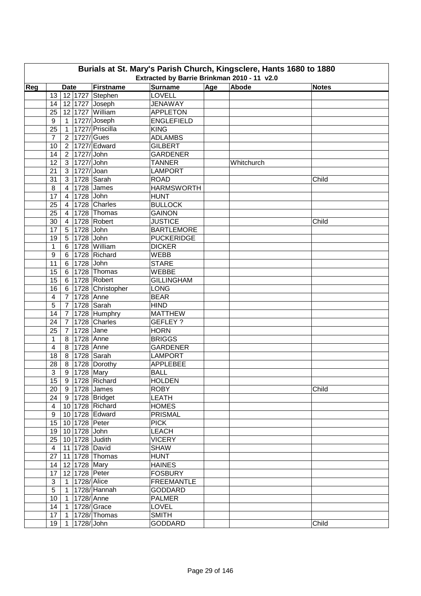| Burials at St. Mary's Parish Church, Kingsclere, Hants 1680 to 1880<br>Extracted by Barrie Brinkman 2010 - 11 v2.0 |                         |                |               |                    |                   |     |            |              |  |  |  |
|--------------------------------------------------------------------------------------------------------------------|-------------------------|----------------|---------------|--------------------|-------------------|-----|------------|--------------|--|--|--|
| Reg                                                                                                                |                         | <b>Date</b>    |               | Firstname          | <b>Surname</b>    | Age | Abode      | <b>Notes</b> |  |  |  |
|                                                                                                                    | 13                      |                |               | 12 1727 Stephen    | LOVELL            |     |            |              |  |  |  |
|                                                                                                                    | 14                      |                |               | 12 1727 Joseph     | <b>JENAWAY</b>    |     |            |              |  |  |  |
|                                                                                                                    | 25                      |                |               | 12 1727 William    | <b>APPLETON</b>   |     |            |              |  |  |  |
|                                                                                                                    | 9                       |                |               | 1 1727/Joseph      | <b>ENGLEFIELD</b> |     |            |              |  |  |  |
|                                                                                                                    | 25                      | 1              |               | 1727/ Priscilla    | <b>KING</b>       |     |            |              |  |  |  |
|                                                                                                                    | $\overline{7}$          |                |               | 2 1727/ Gues       | <b>ADLAMBS</b>    |     |            |              |  |  |  |
|                                                                                                                    | 10                      |                |               | 2 1727/ Edward     | <b>GILBERT</b>    |     |            |              |  |  |  |
|                                                                                                                    | 14                      | 2 <sup>1</sup> | 1727/ John    |                    | <b>GARDENER</b>   |     |            |              |  |  |  |
|                                                                                                                    | 12                      |                | 3 1727/John   |                    | <b>TANNER</b>     |     | Whitchurch |              |  |  |  |
|                                                                                                                    | 21                      |                | 3 1727/ Joan  |                    | <b>LAMPORT</b>    |     |            |              |  |  |  |
|                                                                                                                    | 31                      |                |               | 3 1728 Sarah       | <b>ROAD</b>       |     |            | Child        |  |  |  |
|                                                                                                                    | 8                       | $\overline{4}$ |               | 1728 James         | <b>HARMSWORTH</b> |     |            |              |  |  |  |
|                                                                                                                    | 17                      | $\overline{4}$ | 1728 John     |                    | <b>HUNT</b>       |     |            |              |  |  |  |
|                                                                                                                    | 25                      | $\overline{4}$ |               | 1728 Charles       | <b>BULLOCK</b>    |     |            |              |  |  |  |
|                                                                                                                    | 25                      | $\overline{4}$ |               | 1728 Thomas        | <b>GAINON</b>     |     |            |              |  |  |  |
|                                                                                                                    | 30                      | $\overline{4}$ |               | 1728 Robert        | <b>JUSTICE</b>    |     |            | Child        |  |  |  |
|                                                                                                                    | 17                      | 5              | 1728 John     |                    | <b>BARTLEMORE</b> |     |            |              |  |  |  |
|                                                                                                                    | 19                      | 5              | 1728 John     |                    | <b>PUCKERIDGE</b> |     |            |              |  |  |  |
|                                                                                                                    | 1                       | 6              |               | 1728 William       | <b>DICKER</b>     |     |            |              |  |  |  |
|                                                                                                                    | $\boldsymbol{9}$        |                |               |                    | <b>WEBB</b>       |     |            |              |  |  |  |
|                                                                                                                    |                         | 6              |               | 1728 Richard       |                   |     |            |              |  |  |  |
|                                                                                                                    | 11                      | 6              | 1728 John     |                    | <b>STARE</b>      |     |            |              |  |  |  |
|                                                                                                                    | 15                      |                |               | 6   1728   Thomas  | WEBBE             |     |            |              |  |  |  |
|                                                                                                                    | 15                      |                |               | 6 1728 Robert      | <b>GILLINGHAM</b> |     |            |              |  |  |  |
|                                                                                                                    | 16                      |                |               | 6 1728 Christopher | <b>LONG</b>       |     |            |              |  |  |  |
|                                                                                                                    | $\overline{\mathbf{4}}$ |                |               | 7 1728 Anne        | <b>BEAR</b>       |     |            |              |  |  |  |
|                                                                                                                    | 5                       |                |               | 7 1728 Sarah       | <b>HIND</b>       |     |            |              |  |  |  |
|                                                                                                                    | 14                      |                |               | 7 1728 Humphry     | <b>MATTHEW</b>    |     |            |              |  |  |  |
|                                                                                                                    | 24                      | 7 <sup>1</sup> |               | 1728 Charles       | <b>GEFLEY?</b>    |     |            |              |  |  |  |
|                                                                                                                    | 25                      | $7^{\circ}$    | 1728 Jane     |                    | <b>HORN</b>       |     |            |              |  |  |  |
|                                                                                                                    | 1                       | 8 <sup>1</sup> |               | 1728 Anne          | <b>BRIGGS</b>     |     |            |              |  |  |  |
|                                                                                                                    | 4                       |                |               | 8 1728 Anne        | <b>GARDENER</b>   |     |            |              |  |  |  |
|                                                                                                                    | 18                      |                |               | 8 1728 Sarah       | <b>LAMPORT</b>    |     |            |              |  |  |  |
|                                                                                                                    | 28                      |                |               | 8 1728 Dorothy     | <b>APPLEBEE</b>   |     |            |              |  |  |  |
|                                                                                                                    | 3                       |                | 9 1728 Mary   |                    | <b>BALL</b>       |     |            |              |  |  |  |
|                                                                                                                    | 15                      |                |               | 9 1728 Richard     | <b>HOLDEN</b>     |     |            |              |  |  |  |
|                                                                                                                    | 20                      |                |               | 9 1728 James       | ROBY              |     |            | Child        |  |  |  |
|                                                                                                                    | 24                      |                |               | 9 1728 Bridget     | <b>LEATH</b>      |     |            |              |  |  |  |
|                                                                                                                    | $\overline{\mathbf{4}}$ |                |               | 10 1728 Richard    | <b>HOMES</b>      |     |            |              |  |  |  |
|                                                                                                                    | $\boldsymbol{9}$        |                |               | 10 1728 Edward     | <b>PRISMAL</b>    |     |            |              |  |  |  |
|                                                                                                                    | 15                      |                |               | 10 1728 Peter      | <b>PICK</b>       |     |            |              |  |  |  |
|                                                                                                                    | 19                      |                | 10 1728 John  |                    | <b>LEACH</b>      |     |            |              |  |  |  |
|                                                                                                                    | 25                      |                |               | 10 1728 Judith     | <b>VICERY</b>     |     |            |              |  |  |  |
|                                                                                                                    | $\overline{4}$          |                |               | 11 1728 David      | <b>SHAW</b>       |     |            |              |  |  |  |
|                                                                                                                    | 27                      |                |               | 11 1728 Thomas     | <b>HUNT</b>       |     |            |              |  |  |  |
|                                                                                                                    | 14                      |                |               | 12 1728 Mary       | <b>HAINES</b>     |     |            |              |  |  |  |
|                                                                                                                    | 17                      |                |               | 12 1728 Peter      | <b>FOSBURY</b>    |     |            |              |  |  |  |
|                                                                                                                    | 3                       |                | 1 1728/ Alice |                    | <b>FREEMANTLE</b> |     |            |              |  |  |  |
|                                                                                                                    | 5                       |                |               | 1 1728/ Hannah     | <b>GODDARD</b>    |     |            |              |  |  |  |
|                                                                                                                    | 10                      |                |               | 1   1728/ Anne     | <b>PALMER</b>     |     |            |              |  |  |  |
|                                                                                                                    | 14                      | 1              |               | $1728/$ Grace      | <b>LOVEL</b>      |     |            |              |  |  |  |
|                                                                                                                    | 17                      | $\mathbf{1}$   |               | 1728/Thomas        | <b>SMITH</b>      |     |            |              |  |  |  |
|                                                                                                                    | 19                      | 1.             | 1728/ John    |                    | <b>GODDARD</b>    |     |            | Child        |  |  |  |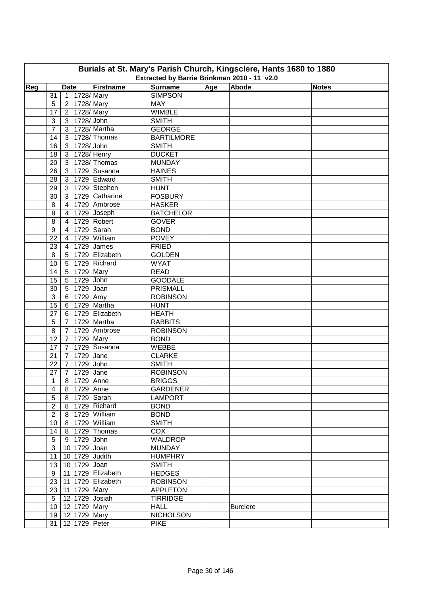| Burials at St. Mary's Parish Church, Kingsclere, Hants 1680 to 1880<br>Extracted by Barrie Brinkman 2010 - 11 v2.0 |                  |                 |                          |                    |                             |     |                 |              |  |  |  |
|--------------------------------------------------------------------------------------------------------------------|------------------|-----------------|--------------------------|--------------------|-----------------------------|-----|-----------------|--------------|--|--|--|
| Reg                                                                                                                |                  | <b>Date</b>     |                          | Firstname          | <b>Surname</b>              | Age | Abode           | <b>Notes</b> |  |  |  |
|                                                                                                                    | 31               |                 | 1 1728/ Mary             |                    | <b>SIMPSON</b>              |     |                 |              |  |  |  |
|                                                                                                                    | 5                |                 | 2 1728/ Mary             |                    | <b>MAY</b>                  |     |                 |              |  |  |  |
|                                                                                                                    | 17               |                 | 2 1728/Mary              |                    | <b>WIMBLE</b>               |     |                 |              |  |  |  |
|                                                                                                                    | 3                |                 | 3 1728/John              |                    | <b>SMITH</b>                |     |                 |              |  |  |  |
|                                                                                                                    | $\overline{7}$   |                 |                          | 3 1728/Martha      | <b>GEORGE</b>               |     |                 |              |  |  |  |
|                                                                                                                    | 14               |                 |                          | 3 1728/ Thomas     | <b>BARTILMORE</b>           |     |                 |              |  |  |  |
|                                                                                                                    | 16               |                 | 3 1728/John              |                    | <b>SMITH</b>                |     |                 |              |  |  |  |
|                                                                                                                    | 18               | 3 <sup>1</sup>  |                          | 1728/Henry         | <b>DUCKET</b>               |     |                 |              |  |  |  |
|                                                                                                                    | 20               |                 |                          | 3 1728/Thomas      | <b>MUNDAY</b>               |     |                 |              |  |  |  |
|                                                                                                                    | 26               |                 |                          | 3 1729 Susanna     | <b>HAINES</b>               |     |                 |              |  |  |  |
|                                                                                                                    | 28               |                 |                          | 3 1729 Edward      | <b>SMITH</b>                |     |                 |              |  |  |  |
|                                                                                                                    | 29               |                 |                          | 3 1729 Stephen     | <b>HUNT</b>                 |     |                 |              |  |  |  |
|                                                                                                                    | 30               | 3 <sup>1</sup>  |                          | 1729 Catharine     | <b>FOSBURY</b>              |     |                 |              |  |  |  |
|                                                                                                                    |                  | $\overline{4}$  |                          | 1729 Ambrose       | <b>HASKER</b>               |     |                 |              |  |  |  |
|                                                                                                                    | 8                |                 |                          | 1729 Joseph        | <b>BATCHELOR</b>            |     |                 |              |  |  |  |
|                                                                                                                    | 8                | $\overline{4}$  |                          |                    |                             |     |                 |              |  |  |  |
|                                                                                                                    | 8                | $\overline{4}$  |                          | 1729 Robert        | <b>GOVER</b><br><b>BOND</b> |     |                 |              |  |  |  |
|                                                                                                                    | 9                | $\overline{4}$  |                          | 1729 Sarah         |                             |     |                 |              |  |  |  |
|                                                                                                                    | 22               | $\overline{4}$  |                          | 1729 William       | <b>POVEY</b>                |     |                 |              |  |  |  |
|                                                                                                                    | 23               | $\overline{4}$  |                          | 1729 James         | <b>FRIED</b>                |     |                 |              |  |  |  |
|                                                                                                                    | 8                | 5               |                          | 1729 Elizabeth     | <b>GOLDEN</b>               |     |                 |              |  |  |  |
|                                                                                                                    | 10               | $5\phantom{.0}$ |                          | 1729 Richard       | <b>WYAT</b>                 |     |                 |              |  |  |  |
|                                                                                                                    | 14               | 5 <sup>1</sup>  | 1729 Mary                |                    | <b>READ</b>                 |     |                 |              |  |  |  |
|                                                                                                                    | 15               |                 | 5 1729 John              |                    | <b>GOODALE</b>              |     |                 |              |  |  |  |
|                                                                                                                    | 30               |                 | 5 1729 Joan              |                    | <b>PRISMALL</b>             |     |                 |              |  |  |  |
|                                                                                                                    | 3                |                 | $6$ 1729 Amy             |                    | <b>ROBINSON</b>             |     |                 |              |  |  |  |
|                                                                                                                    | 15               |                 |                          | 6 1729 Martha      | <b>HUNT</b>                 |     |                 |              |  |  |  |
|                                                                                                                    | 27               |                 |                          | 6 1729 Elizabeth   | <b>HEATH</b>                |     |                 |              |  |  |  |
|                                                                                                                    | 5                | 7 <sup>1</sup>  |                          | 1729 Martha        | <b>RABBITS</b>              |     |                 |              |  |  |  |
|                                                                                                                    | 8                | 7 <sup>7</sup>  |                          | 1729 Ambrose       | <b>ROBINSON</b>             |     |                 |              |  |  |  |
|                                                                                                                    | 12               | 7 <sup>1</sup>  | 1729 Mary                |                    | <b>BOND</b>                 |     |                 |              |  |  |  |
|                                                                                                                    | 17               | $7^{\circ}$     |                          | 1729 Susanna       | WEBBE                       |     |                 |              |  |  |  |
|                                                                                                                    | 21               | 7 <sup>1</sup>  | 1729 Jane                |                    | <b>CLARKE</b>               |     |                 |              |  |  |  |
|                                                                                                                    | 22               |                 | $\overline{7}$ 1729 John |                    | <b>SMITH</b>                |     |                 |              |  |  |  |
|                                                                                                                    | 27               |                 | 7 1729 Jane              |                    | <b>ROBINSON</b>             |     |                 |              |  |  |  |
|                                                                                                                    | $\mathbf{1}$     |                 | 8 1729 Anne              |                    | <b>BRIGGS</b>               |     |                 |              |  |  |  |
|                                                                                                                    | 4                |                 | 8 1729 Anne              |                    | <b>GARDENER</b>             |     |                 |              |  |  |  |
|                                                                                                                    | $\sqrt{5}$       |                 |                          | 8 1729 Sarah       | <b>LAMPORT</b>              |     |                 |              |  |  |  |
|                                                                                                                    | $\boldsymbol{2}$ |                 |                          | 8   1729   Richard | <b>BOND</b>                 |     |                 |              |  |  |  |
|                                                                                                                    | $\boldsymbol{2}$ |                 |                          | 8 1729 William     | <b>BOND</b>                 |     |                 |              |  |  |  |
|                                                                                                                    | 10               |                 |                          | 8 1729 William     | <b>SMITH</b>                |     |                 |              |  |  |  |
|                                                                                                                    | 14               |                 |                          | 8 1729 Thomas      | COX                         |     |                 |              |  |  |  |
|                                                                                                                    | $\sqrt{5}$       |                 | 9 1729 John              |                    | <b>WALDROP</b>              |     |                 |              |  |  |  |
|                                                                                                                    | $\mathfrak{S}$   |                 | 10 1729 Joan             |                    | <b>MUNDAY</b>               |     |                 |              |  |  |  |
|                                                                                                                    | 11               |                 |                          | 10 1729 Judith     | <b>HUMPHRY</b>              |     |                 |              |  |  |  |
|                                                                                                                    | 13               |                 | 10 1729 Joan             |                    | <b>SMITH</b>                |     |                 |              |  |  |  |
|                                                                                                                    | 9                |                 |                          | 11 1729 Elizabeth  | <b>HEDGES</b>               |     |                 |              |  |  |  |
|                                                                                                                    | 23               |                 |                          | 11 1729 Elizabeth  | <b>ROBINSON</b>             |     |                 |              |  |  |  |
|                                                                                                                    |                  |                 | 23 11 1729 Mary          |                    | <b>APPLETON</b>             |     |                 |              |  |  |  |
|                                                                                                                    | 5 <sup>5</sup>   |                 |                          | 12 1729 Josiah     | <b>TIRRIDGE</b>             |     |                 |              |  |  |  |
|                                                                                                                    |                  |                 | 10   12   1729   Mary    |                    | <b>HALL</b>                 |     | <b>Burclere</b> |              |  |  |  |
|                                                                                                                    |                  |                 | 19 12 1729 Mary          |                    | <b>NICHOLSON</b>            |     |                 |              |  |  |  |
|                                                                                                                    |                  |                 | 31   12   1729   Peter   |                    | <b>PIKE</b>                 |     |                 |              |  |  |  |
|                                                                                                                    |                  |                 |                          |                    |                             |     |                 |              |  |  |  |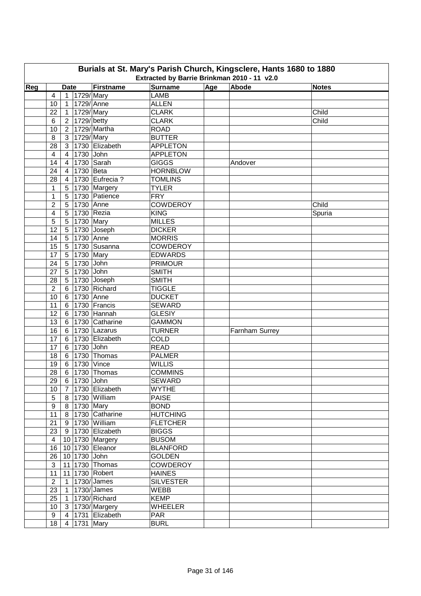| Burials at St. Mary's Parish Church, Kingsclere, Hants 1680 to 1880<br>Extracted by Barrie Brinkman 2010 - 11 v2.0                              |                  |                 |                 |                        |                  |  |                |        |  |  |  |  |
|-------------------------------------------------------------------------------------------------------------------------------------------------|------------------|-----------------|-----------------|------------------------|------------------|--|----------------|--------|--|--|--|--|
| Abode<br>Age<br>Firstname<br><b>Surname</b><br>Reg<br><b>Notes</b><br><b>Date</b><br>1729/Mary<br><b>LAMB</b><br>$\overline{4}$<br>$\mathbf{1}$ |                  |                 |                 |                        |                  |  |                |        |  |  |  |  |
|                                                                                                                                                 |                  |                 |                 |                        |                  |  |                |        |  |  |  |  |
|                                                                                                                                                 | 10               | $\mathbf{1}$    | 1729/Anne       |                        | <b>ALLEN</b>     |  |                |        |  |  |  |  |
|                                                                                                                                                 | 22               | 1               | 1729/Mary       |                        | <b>CLARK</b>     |  |                | Child  |  |  |  |  |
|                                                                                                                                                 | 6                |                 | 2 1729/betty    |                        | <b>CLARK</b>     |  |                | Child  |  |  |  |  |
|                                                                                                                                                 | 10               |                 |                 | 2 1729/Martha          | <b>ROAD</b>      |  |                |        |  |  |  |  |
|                                                                                                                                                 | 8                |                 | 3 1729/ Mary    |                        | <b>BUTTER</b>    |  |                |        |  |  |  |  |
|                                                                                                                                                 | 28               | 3 <sup>1</sup>  |                 | 1730 Elizabeth         | <b>APPLETON</b>  |  |                |        |  |  |  |  |
|                                                                                                                                                 | 4                | $\overline{4}$  | 1730 John       |                        | <b>APPLETON</b>  |  |                |        |  |  |  |  |
|                                                                                                                                                 | 14               | $\overline{4}$  |                 | 1730 $Sarah$           | <b>GIGGS</b>     |  | Andover        |        |  |  |  |  |
|                                                                                                                                                 | 24               | $\overline{4}$  | 1730 Beta       |                        | <b>HORNBLOW</b>  |  |                |        |  |  |  |  |
|                                                                                                                                                 | 28               | $\overline{4}$  |                 | 1730 Eufrecia?         | <b>TOMLINS</b>   |  |                |        |  |  |  |  |
|                                                                                                                                                 | 1                | 5 <sub>1</sub>  |                 | 1730 Margery           | <b>TYLER</b>     |  |                |        |  |  |  |  |
|                                                                                                                                                 | $\mathbf{1}$     | 5 <sup>5</sup>  |                 | 1730 Patience          | <b>FRY</b>       |  |                |        |  |  |  |  |
|                                                                                                                                                 | $\overline{2}$   | 5 <sup>5</sup>  | 1730 Anne       |                        | <b>COWDEROY</b>  |  |                | Child  |  |  |  |  |
|                                                                                                                                                 |                  | 5               |                 | 1730 Rezia             | <b>KING</b>      |  |                |        |  |  |  |  |
|                                                                                                                                                 | 4                |                 | 1730 Mary       |                        | <b>MILLES</b>    |  |                | Spuria |  |  |  |  |
|                                                                                                                                                 | 5<br>12          | 5               |                 | $1730$ Joseph          | <b>DICKER</b>    |  |                |        |  |  |  |  |
|                                                                                                                                                 |                  | 5               |                 |                        |                  |  |                |        |  |  |  |  |
|                                                                                                                                                 | 14               | 5               | 1730 Anne       |                        | <b>MORRIS</b>    |  |                |        |  |  |  |  |
|                                                                                                                                                 | 15               | 5               |                 | 1730 Susanna           | <b>COWDEROY</b>  |  |                |        |  |  |  |  |
|                                                                                                                                                 | 17               | $5\phantom{.0}$ | 1730 Mary       |                        | <b>EDWARDS</b>   |  |                |        |  |  |  |  |
|                                                                                                                                                 | 24               | $5\phantom{.0}$ | 1730 John       |                        | <b>PRIMOUR</b>   |  |                |        |  |  |  |  |
|                                                                                                                                                 | 27               | $5\phantom{.0}$ | 1730 John       |                        | <b>SMITH</b>     |  |                |        |  |  |  |  |
|                                                                                                                                                 | 28               | $5\phantom{.0}$ |                 | 1730 Joseph            | <b>SMITH</b>     |  |                |        |  |  |  |  |
|                                                                                                                                                 | $\overline{2}$   |                 |                 | 6 1730 Richard         | <b>TIGGLE</b>    |  |                |        |  |  |  |  |
|                                                                                                                                                 | 10               |                 | 6 1730 Anne     |                        | <b>DUCKET</b>    |  |                |        |  |  |  |  |
|                                                                                                                                                 | 11               |                 |                 | 6 1730 Francis         | <b>SEWARD</b>    |  |                |        |  |  |  |  |
|                                                                                                                                                 | 12               |                 |                 | 6 1730 Hannah          | <b>GLESIY</b>    |  |                |        |  |  |  |  |
|                                                                                                                                                 | 13               |                 |                 | 6 1730 Catharine       | <b>GAMMON</b>    |  |                |        |  |  |  |  |
|                                                                                                                                                 | 16               | $6 \mid$        |                 | 1730 Lazarus           | <b>TURNER</b>    |  | Farnham Surrey |        |  |  |  |  |
|                                                                                                                                                 | 17               | 6               |                 | 1730 Elizabeth         | <b>COLD</b>      |  |                |        |  |  |  |  |
|                                                                                                                                                 | 17               |                 | 6 1730 John     |                        | <b>READ</b>      |  |                |        |  |  |  |  |
|                                                                                                                                                 | 18               |                 |                 | 6 1730 Thomas          | <b>PALMER</b>    |  |                |        |  |  |  |  |
|                                                                                                                                                 | 19               |                 |                 | 6 1730 Vince           | <b>WILLIS</b>    |  |                |        |  |  |  |  |
|                                                                                                                                                 | 28               |                 |                 | 6   1730   Thomas      | <b>COMMINS</b>   |  |                |        |  |  |  |  |
|                                                                                                                                                 | 29               |                 | 6 1730 John     |                        | SEWARD           |  |                |        |  |  |  |  |
|                                                                                                                                                 | 10               |                 |                 | 7 1730 Elizabeth       | <b>WYTHE</b>     |  |                |        |  |  |  |  |
|                                                                                                                                                 | 5                |                 |                 | 8 1730 William         | <b>PAISE</b>     |  |                |        |  |  |  |  |
|                                                                                                                                                 | $\boldsymbol{9}$ |                 | 8 1730 Mary     |                        | <b>BOND</b>      |  |                |        |  |  |  |  |
|                                                                                                                                                 | 11               |                 |                 | 8 1730 Catharine       | <b>HUTCHING</b>  |  |                |        |  |  |  |  |
|                                                                                                                                                 | 21               |                 |                 | 9 1730 William         | <b>FLETCHER</b>  |  |                |        |  |  |  |  |
|                                                                                                                                                 | 23               |                 |                 | 9 1730 Elizabeth       | <b>BIGGS</b>     |  |                |        |  |  |  |  |
|                                                                                                                                                 | $\overline{4}$   |                 |                 | 10 1730 Margery        | <b>BUSOM</b>     |  |                |        |  |  |  |  |
|                                                                                                                                                 | 16               |                 |                 | 10 1730 Eleanor        | <b>BLANFORD</b>  |  |                |        |  |  |  |  |
|                                                                                                                                                 | 26               |                 | 10 1730 John    |                        | <b>GOLDEN</b>    |  |                |        |  |  |  |  |
|                                                                                                                                                 | $\mathsf 3$      |                 |                 | 11 1730 Thomas         | <b>COWDEROY</b>  |  |                |        |  |  |  |  |
|                                                                                                                                                 | 11               |                 |                 | 11 1730 Robert         | <b>HAINES</b>    |  |                |        |  |  |  |  |
|                                                                                                                                                 | $\overline{2}$   |                 |                 | 1   1730/ James        | <b>SILVESTER</b> |  |                |        |  |  |  |  |
|                                                                                                                                                 | 23               |                 |                 | $\boxed{1}$ 1730/James | <b>WEBB</b>      |  |                |        |  |  |  |  |
|                                                                                                                                                 | 25               |                 |                 | 1 1730/Richard         | <b>KEMP</b>      |  |                |        |  |  |  |  |
|                                                                                                                                                 | 10 <sub>1</sub>  |                 |                 | 3   1730/ Margery      | <b>WHEELER</b>   |  |                |        |  |  |  |  |
|                                                                                                                                                 | 9                | 4 <sup>1</sup>  |                 | 1731 Elizabeth         | <b>PAR</b>       |  |                |        |  |  |  |  |
|                                                                                                                                                 | 18               |                 | 4   1731   Mary |                        | <b>BURL</b>      |  |                |        |  |  |  |  |
|                                                                                                                                                 |                  |                 |                 |                        |                  |  |                |        |  |  |  |  |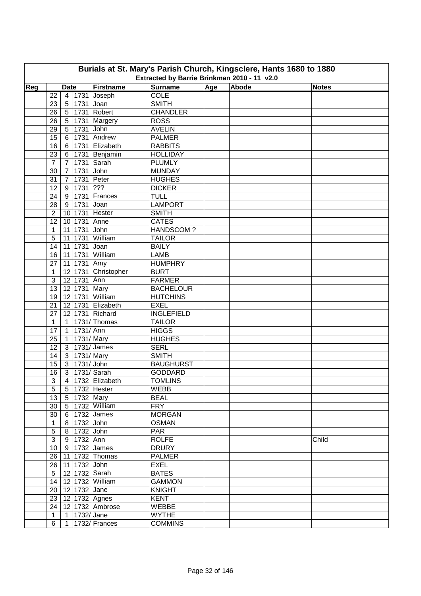| Burials at St. Mary's Parish Church, Kingsclere, Hants 1680 to 1880 |                                                                                                                                  |                |             |                            |                   |  |  |       |  |  |  |  |  |
|---------------------------------------------------------------------|----------------------------------------------------------------------------------------------------------------------------------|----------------|-------------|----------------------------|-------------------|--|--|-------|--|--|--|--|--|
|                                                                     | Extracted by Barrie Brinkman 2010 - 11 v2.0<br>Abode<br>Age<br>Reg<br>Firstname<br><b>Surname</b><br><b>Date</b><br><b>Notes</b> |                |             |                            |                   |  |  |       |  |  |  |  |  |
|                                                                     |                                                                                                                                  |                |             |                            |                   |  |  |       |  |  |  |  |  |
|                                                                     | 22                                                                                                                               |                |             | $\overline{4}$ 1731 Joseph | <b>COLE</b>       |  |  |       |  |  |  |  |  |
|                                                                     | 23                                                                                                                               | 5 <sup>1</sup> |             | 1731 Joan                  | <b>SMITH</b>      |  |  |       |  |  |  |  |  |
|                                                                     | 26                                                                                                                               | 5 <sup>1</sup> |             | 1731 Robert                | <b>CHANDLER</b>   |  |  |       |  |  |  |  |  |
|                                                                     | 26                                                                                                                               | 5 <sup>5</sup> |             | 1731 Margery               | <b>ROSS</b>       |  |  |       |  |  |  |  |  |
|                                                                     | 29                                                                                                                               | 5 <sup>1</sup> |             | 1731 John                  | <b>AVELIN</b>     |  |  |       |  |  |  |  |  |
|                                                                     | 15                                                                                                                               | $6 \mid$       |             | 1731 Andrew                | <b>PALMER</b>     |  |  |       |  |  |  |  |  |
|                                                                     | 16                                                                                                                               | 6              |             | 1731 Elizabeth             | <b>RABBITS</b>    |  |  |       |  |  |  |  |  |
|                                                                     | 23                                                                                                                               | 6              |             | 1731 Benjamin              | <b>HOLLIDAY</b>   |  |  |       |  |  |  |  |  |
|                                                                     | $\overline{7}$                                                                                                                   | $\overline{7}$ |             | 1731 Sarah                 | <b>PLUMLY</b>     |  |  |       |  |  |  |  |  |
|                                                                     | 30                                                                                                                               | $\overline{7}$ |             | 1731 John                  | <b>MUNDAY</b>     |  |  |       |  |  |  |  |  |
|                                                                     | 31                                                                                                                               | $\overline{7}$ |             | 1731 Peter                 | <b>HUGHES</b>     |  |  |       |  |  |  |  |  |
|                                                                     | 12                                                                                                                               | 9              | 1731 ???    |                            | <b>DICKER</b>     |  |  |       |  |  |  |  |  |
|                                                                     | 24                                                                                                                               | 9              |             | 1731 Frances               | <b>TULL</b>       |  |  |       |  |  |  |  |  |
|                                                                     | 28                                                                                                                               | 9              | 1731        | Joan                       | <b>LAMPORT</b>    |  |  |       |  |  |  |  |  |
|                                                                     | $\overline{2}$                                                                                                                   |                |             | 10 1731 Hester             | <b>SMITH</b>      |  |  |       |  |  |  |  |  |
|                                                                     | 12                                                                                                                               |                | 10 1731     | Anne                       | <b>CATES</b>      |  |  |       |  |  |  |  |  |
|                                                                     | $\mathbf{1}$                                                                                                                     |                | 11 1731     | John                       | HANDSCOM?         |  |  |       |  |  |  |  |  |
|                                                                     | 5                                                                                                                                |                | 11 1731     | William                    | <b>TAILOR</b>     |  |  |       |  |  |  |  |  |
|                                                                     | 14                                                                                                                               |                | 11 1731     | Joan                       | <b>BAILY</b>      |  |  |       |  |  |  |  |  |
|                                                                     | 16                                                                                                                               |                |             | 11 1731 William            | <b>LAMB</b>       |  |  |       |  |  |  |  |  |
|                                                                     | 27                                                                                                                               |                | 11 1731 Amy |                            | <b>HUMPHRY</b>    |  |  |       |  |  |  |  |  |
|                                                                     | $\mathbf{1}$                                                                                                                     |                |             | 12 1731 Christopher        | <b>BURT</b>       |  |  |       |  |  |  |  |  |
|                                                                     | 3                                                                                                                                |                | 12 1731 Ann |                            | <b>FARMER</b>     |  |  |       |  |  |  |  |  |
|                                                                     | 13                                                                                                                               |                |             | 12 1731 Mary               | <b>BACHELOUR</b>  |  |  |       |  |  |  |  |  |
|                                                                     | 19                                                                                                                               |                |             | 12 1731 William            | <b>HUTCHINS</b>   |  |  |       |  |  |  |  |  |
|                                                                     | 21                                                                                                                               |                |             | 12 1731 Elizabeth          | <b>EXEL</b>       |  |  |       |  |  |  |  |  |
|                                                                     | 27                                                                                                                               |                |             | 12 1731 Richard            | <b>INGLEFIELD</b> |  |  |       |  |  |  |  |  |
|                                                                     | $\mathbf{1}$                                                                                                                     |                |             | 1   1731/ Thomas           | <b>TAILOR</b>     |  |  |       |  |  |  |  |  |
|                                                                     | 17                                                                                                                               |                | 1 1731/Ann  |                            | <b>HIGGS</b>      |  |  |       |  |  |  |  |  |
|                                                                     | 25                                                                                                                               |                |             | 1 1731/Mary                | <b>HUGHES</b>     |  |  |       |  |  |  |  |  |
|                                                                     | 12                                                                                                                               |                |             | 3   1731/ James            | <b>SERL</b>       |  |  |       |  |  |  |  |  |
|                                                                     | 14                                                                                                                               |                |             | 3 1731/Mary                | <b>SMITH</b>      |  |  |       |  |  |  |  |  |
|                                                                     | 15                                                                                                                               |                |             | 3 1731/John                | <b>BAUGHURST</b>  |  |  |       |  |  |  |  |  |
|                                                                     | 16                                                                                                                               |                |             | 3 1731/ Sarah              | <b>GODDARD</b>    |  |  |       |  |  |  |  |  |
|                                                                     | $\overline{3}$                                                                                                                   |                |             | 4 1732 Elizabeth           | <b>TOMLINS</b>    |  |  |       |  |  |  |  |  |
|                                                                     | 5                                                                                                                                |                |             | 5   1732   Hester          | WEBB              |  |  |       |  |  |  |  |  |
|                                                                     | 13                                                                                                                               |                |             | 5 1732 Mary                | <b>BEAL</b>       |  |  |       |  |  |  |  |  |
|                                                                     | 30                                                                                                                               |                |             | 5 1732 William             | <b>FRY</b>        |  |  |       |  |  |  |  |  |
|                                                                     | 30                                                                                                                               |                |             | 6 1732 James               | <b>MORGAN</b>     |  |  |       |  |  |  |  |  |
|                                                                     | $\mathbf{1}$                                                                                                                     |                |             | 8 1732 John                | <b>OSMAN</b>      |  |  |       |  |  |  |  |  |
|                                                                     | 5                                                                                                                                |                |             | 8 1732 John                | <b>PAR</b>        |  |  |       |  |  |  |  |  |
|                                                                     | 3                                                                                                                                |                | 9 1732 Ann  |                            | <b>ROLFE</b>      |  |  | Child |  |  |  |  |  |
|                                                                     | 10 <sub>1</sub>                                                                                                                  |                |             | 9 1732 James               | <b>DRURY</b>      |  |  |       |  |  |  |  |  |
|                                                                     |                                                                                                                                  |                |             | 26   11   1732   Thomas    | <b>PALMER</b>     |  |  |       |  |  |  |  |  |
|                                                                     |                                                                                                                                  |                |             | 26   11   1732 John        | <b>EXEL</b>       |  |  |       |  |  |  |  |  |
|                                                                     | 5 <sup>5</sup>                                                                                                                   |                |             | 12 1732 Sarah              | <b>BATES</b>      |  |  |       |  |  |  |  |  |
|                                                                     | 14                                                                                                                               |                |             | 12   1732 William          | <b>GAMMON</b>     |  |  |       |  |  |  |  |  |
|                                                                     | 20                                                                                                                               |                |             | 12   1732 Jane             | <b>KNIGHT</b>     |  |  |       |  |  |  |  |  |
|                                                                     | 23                                                                                                                               |                |             | 12 1732 Agnes              | <b>KENT</b>       |  |  |       |  |  |  |  |  |
|                                                                     | 24                                                                                                                               |                |             | 12 1732 Ambrose            | WEBBE             |  |  |       |  |  |  |  |  |
|                                                                     |                                                                                                                                  |                |             | 1   1732/ Jane             | <b>WYTHE</b>      |  |  |       |  |  |  |  |  |
|                                                                     | $\mathbf{1}$<br>6                                                                                                                |                |             |                            |                   |  |  |       |  |  |  |  |  |
|                                                                     |                                                                                                                                  |                |             | 1   1732/ Frances          | <b>COMMINS</b>    |  |  |       |  |  |  |  |  |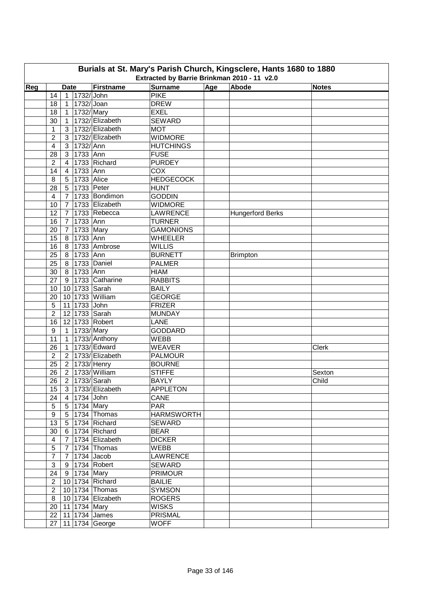|     | Burials at St. Mary's Parish Church, Kingsclere, Hants 1680 to 1880<br>Extracted by Barrie Brinkman 2010 - 11 v2.0 |                |                  |                                      |                                 |     |                         |              |  |  |  |  |  |
|-----|--------------------------------------------------------------------------------------------------------------------|----------------|------------------|--------------------------------------|---------------------------------|-----|-------------------------|--------------|--|--|--|--|--|
| Reg |                                                                                                                    | <b>Date</b>    |                  | Firstname                            | <b>Surname</b>                  | Age | Abode                   | <b>Notes</b> |  |  |  |  |  |
|     | 14                                                                                                                 |                | 1 1732/John      |                                      | <b>PIKE</b>                     |     |                         |              |  |  |  |  |  |
|     | 18                                                                                                                 | $\mathbf{1}$   | 1732/ Joan       |                                      | <b>DREW</b>                     |     |                         |              |  |  |  |  |  |
|     | 18                                                                                                                 | $\mathbf{1}$   | 1732/Mary        |                                      | <b>EXEL</b>                     |     |                         |              |  |  |  |  |  |
|     | 30                                                                                                                 | $\mathbf{1}$   |                  | 1732/ Elizabeth                      | <b>SEWARD</b>                   |     |                         |              |  |  |  |  |  |
|     | 1                                                                                                                  |                |                  | 3   1732/ Elizabeth                  | <b>MOT</b>                      |     |                         |              |  |  |  |  |  |
|     | $\overline{2}$                                                                                                     |                |                  | 3 1732/ Elizabeth                    | <b>WIDMORE</b>                  |     |                         |              |  |  |  |  |  |
|     | 4                                                                                                                  |                | 3 1732/Ann       |                                      | <b>HUTCHINGS</b>                |     |                         |              |  |  |  |  |  |
|     | 28                                                                                                                 | 3 <sup>1</sup> | 1733 Ann         |                                      | <b>FUSE</b>                     |     |                         |              |  |  |  |  |  |
|     | $\overline{2}$                                                                                                     | $\overline{4}$ |                  | 1733 Richard                         | <b>PURDEY</b>                   |     |                         |              |  |  |  |  |  |
|     | 14                                                                                                                 | $\overline{4}$ | 1733 Ann         |                                      | <b>COX</b>                      |     |                         |              |  |  |  |  |  |
|     | 8                                                                                                                  | 5 <sup>1</sup> | 1733 Alice       |                                      | <b>HEDGECOCK</b>                |     |                         |              |  |  |  |  |  |
|     | 28                                                                                                                 | 5              | 1733 Peter       |                                      | <b>HUNT</b>                     |     |                         |              |  |  |  |  |  |
|     | 4                                                                                                                  | $\overline{7}$ |                  | 1733 Bondimon                        | <b>GODDIN</b>                   |     |                         |              |  |  |  |  |  |
|     | 10                                                                                                                 | $\overline{7}$ |                  | 1733 Elizabeth                       | <b>WIDMORE</b>                  |     |                         |              |  |  |  |  |  |
|     | 12                                                                                                                 | $\overline{7}$ |                  | 1733 Rebecca                         | <b>LAWRENCE</b>                 |     | <b>Hungerford Berks</b> |              |  |  |  |  |  |
|     | 16                                                                                                                 | $\overline{7}$ | 1733 Ann         |                                      | <b>TURNER</b>                   |     |                         |              |  |  |  |  |  |
|     | 20                                                                                                                 |                | 7 1733 Mary      |                                      | <b>GAMONIONS</b>                |     |                         |              |  |  |  |  |  |
|     |                                                                                                                    |                | 8 1733 Ann       |                                      | <b>WHEELER</b>                  |     |                         |              |  |  |  |  |  |
|     | 15                                                                                                                 |                |                  | 8 1733 Ambrose                       | <b>WILLIS</b>                   |     |                         |              |  |  |  |  |  |
|     | 16<br>25                                                                                                           |                | 8 1733 Ann       |                                      | <b>BURNETT</b>                  |     |                         |              |  |  |  |  |  |
|     |                                                                                                                    |                |                  | 8 1733 Daniel                        | <b>PALMER</b>                   |     | <b>Brimpton</b>         |              |  |  |  |  |  |
|     | 25                                                                                                                 |                |                  |                                      |                                 |     |                         |              |  |  |  |  |  |
|     | 30                                                                                                                 |                | 8 1733 Ann       |                                      | <b>HIAM</b>                     |     |                         |              |  |  |  |  |  |
|     | 27                                                                                                                 |                |                  | 9 1733 Catharine                     | <b>RABBITS</b>                  |     |                         |              |  |  |  |  |  |
|     | 10                                                                                                                 |                |                  | 10 1733 Sarah                        | <b>BAILY</b>                    |     |                         |              |  |  |  |  |  |
|     | 20                                                                                                                 |                | 11 1733 John     | 10 1733 William                      | <b>GEORGE</b><br><b>FRIZER</b>  |     |                         |              |  |  |  |  |  |
|     | 5                                                                                                                  |                |                  |                                      |                                 |     |                         |              |  |  |  |  |  |
|     | $\overline{2}$                                                                                                     |                |                  | 12 1733 Sarah                        | <b>MUNDAY</b><br><b>LANE</b>    |     |                         |              |  |  |  |  |  |
|     | 16                                                                                                                 |                |                  | 12 1733 Robert                       |                                 |     |                         |              |  |  |  |  |  |
|     | 9                                                                                                                  |                | 1 1733/ Mary     | 1   1733/ Anthony                    | <b>GODDARD</b>                  |     |                         |              |  |  |  |  |  |
|     | 11                                                                                                                 | $\mathbf{1}$   |                  | 1733/ Edward                         | <b>WEBB</b>                     |     |                         |              |  |  |  |  |  |
|     | 26                                                                                                                 |                |                  |                                      | <b>WEAVER</b>                   |     |                         | Clerk        |  |  |  |  |  |
|     | $\overline{c}$                                                                                                     |                |                  | 2   1733/ Elizabeth<br>2 1733/ Henry | <b>PALMOUR</b>                  |     |                         |              |  |  |  |  |  |
|     | 25                                                                                                                 |                |                  |                                      | <b>BOURNE</b>                   |     |                         |              |  |  |  |  |  |
|     | 26                                                                                                                 |                |                  | 2 1733/ William                      | <b>STIFFE</b>                   |     |                         | Sexton       |  |  |  |  |  |
|     |                                                                                                                    |                |                  | 26 2 1733/ Sarah                     | <b>BAYLY</b>                    |     |                         | Child        |  |  |  |  |  |
|     | 15 <sub>1</sub>                                                                                                    |                |                  | 3 1733/ Elizabeth                    | <b>APPLETON</b>                 |     |                         |              |  |  |  |  |  |
|     | 24                                                                                                                 |                | 4 1734 John      |                                      | CANE                            |     |                         |              |  |  |  |  |  |
|     | $\sqrt{5}$                                                                                                         |                | 5 1734 Mary      | 5 1734 Thomas                        | <b>PAR</b><br><b>HARMSWORTH</b> |     |                         |              |  |  |  |  |  |
|     | 9                                                                                                                  |                |                  |                                      |                                 |     |                         |              |  |  |  |  |  |
|     | 13                                                                                                                 |                |                  | 5 1734 Richard                       | <b>SEWARD</b>                   |     |                         |              |  |  |  |  |  |
|     | 30                                                                                                                 |                |                  | 6 1734 Richard<br>7 1734 Elizabeth   | <b>BEAR</b>                     |     |                         |              |  |  |  |  |  |
|     | 4                                                                                                                  |                |                  |                                      | <b>DICKER</b><br><b>WEBB</b>    |     |                         |              |  |  |  |  |  |
|     | $\sqrt{5}$                                                                                                         |                |                  | $7$  1734 Thomas                     |                                 |     |                         |              |  |  |  |  |  |
|     | $\overline{7}$                                                                                                     |                |                  | 7 1734 Jacob                         | <b>LAWRENCE</b>                 |     |                         |              |  |  |  |  |  |
|     | $\ensuremath{\mathsf{3}}$                                                                                          |                |                  | 9 1734 Robert                        | <b>SEWARD</b>                   |     |                         |              |  |  |  |  |  |
|     | 24                                                                                                                 |                | 9 1734 Mary      |                                      | <b>PRIMOUR</b>                  |     |                         |              |  |  |  |  |  |
|     | $\overline{2}$                                                                                                     |                |                  | 10 1734 Richard                      | <b>BAILIE</b>                   |     |                         |              |  |  |  |  |  |
|     | $\overline{2}$                                                                                                     |                |                  | 10 1734 Thomas                       | <b>SYMSON</b>                   |     |                         |              |  |  |  |  |  |
|     | 8                                                                                                                  |                |                  | 10 1734 Elizabeth                    | <b>ROGERS</b>                   |     |                         |              |  |  |  |  |  |
|     | 20                                                                                                                 |                | 11   1734   Mary |                                      | <b>WISKS</b>                    |     |                         |              |  |  |  |  |  |
|     |                                                                                                                    |                |                  | 22   11   1734   James               | PRISMAL                         |     |                         |              |  |  |  |  |  |
|     |                                                                                                                    |                |                  | 27   11   1734 George                | <b>WOFF</b>                     |     |                         |              |  |  |  |  |  |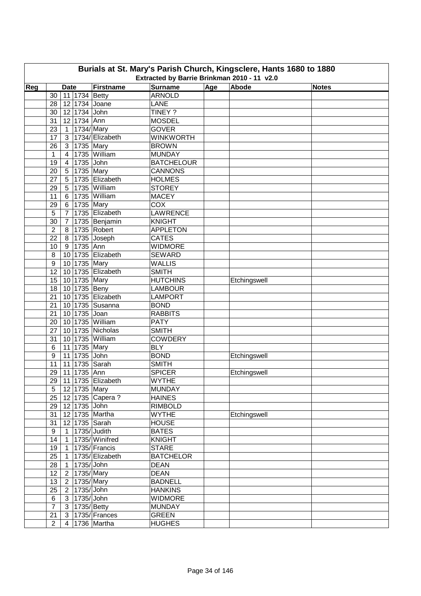| Burials at St. Mary's Parish Church, Kingsclere, Hants 1680 to 1880<br>Extracted by Barrie Brinkman 2010 - 11 v2.0 |                  |                              |                      |                                 |     |              |              |  |  |  |
|--------------------------------------------------------------------------------------------------------------------|------------------|------------------------------|----------------------|---------------------------------|-----|--------------|--------------|--|--|--|
|                                                                                                                    |                  |                              |                      |                                 |     | Abode        |              |  |  |  |
| Reg                                                                                                                | 30               | <b>Date</b><br>11 1734 Betty | Firstname            | <b>Surname</b><br><b>ARNOLD</b> | Age |              | <b>Notes</b> |  |  |  |
|                                                                                                                    | 28               | 12 1734 Joane                |                      | LANE                            |     |              |              |  |  |  |
|                                                                                                                    | 30               | 12 1734 John                 |                      | TINEY ?                         |     |              |              |  |  |  |
|                                                                                                                    | 31               | 12 1734 Ann                  |                      | <b>MOSDEL</b>                   |     |              |              |  |  |  |
|                                                                                                                    |                  |                              |                      | <b>GOVER</b>                    |     |              |              |  |  |  |
|                                                                                                                    | 23               | 1 1734/ Mary                 | 3   1734/ Elizabeth  |                                 |     |              |              |  |  |  |
|                                                                                                                    | 17<br>26         |                              |                      | <b>WINKWORTH</b>                |     |              |              |  |  |  |
|                                                                                                                    |                  | 3   1735   Mary              | 1735 William         | <b>BROWN</b><br><b>MUNDAY</b>   |     |              |              |  |  |  |
|                                                                                                                    | 1<br>19          | $\overline{4}$<br>4          | 1735 John            | <b>BATCHELOUR</b>               |     |              |              |  |  |  |
|                                                                                                                    |                  |                              | 1735 Mary            | <b>CANNONS</b>                  |     |              |              |  |  |  |
|                                                                                                                    | 20<br>27         | 5 <sup>1</sup>               | 1735 Elizabeth       |                                 |     |              |              |  |  |  |
|                                                                                                                    | 29               | 5 <sup>1</sup>               | 1735 William         | <b>HOLMES</b><br><b>STOREY</b>  |     |              |              |  |  |  |
|                                                                                                                    |                  | 5                            | 6 1735 William       |                                 |     |              |              |  |  |  |
|                                                                                                                    | 11               |                              |                      | <b>MACEY</b>                    |     |              |              |  |  |  |
|                                                                                                                    | 29               | 6 1735 Mary                  |                      | COX                             |     |              |              |  |  |  |
|                                                                                                                    | 5                |                              | 7 1735 Elizabeth     | <b>LAWRENCE</b>                 |     |              |              |  |  |  |
|                                                                                                                    | 30               |                              | 7 1735 Benjamin      | <b>KNIGHT</b>                   |     |              |              |  |  |  |
|                                                                                                                    | $\overline{2}$   |                              | 8 1735 Robert        | <b>APPLETON</b>                 |     |              |              |  |  |  |
|                                                                                                                    | 22               |                              | 8 1735 Joseph        | <b>CATES</b>                    |     |              |              |  |  |  |
|                                                                                                                    | 10               | 9 1735 Ann                   |                      | <b>WIDMORE</b>                  |     |              |              |  |  |  |
|                                                                                                                    | $\,8\,$          |                              | 10 1735 Elizabeth    | <b>SEWARD</b>                   |     |              |              |  |  |  |
|                                                                                                                    | $\boldsymbol{9}$ | 10 1735 Mary                 |                      | <b>WALLIS</b>                   |     |              |              |  |  |  |
|                                                                                                                    | 12               |                              | 10 1735 Elizabeth    | <b>SMITH</b>                    |     |              |              |  |  |  |
|                                                                                                                    | 15               | 10 1735 Mary                 |                      | <b>HUTCHINS</b>                 |     | Etchingswell |              |  |  |  |
|                                                                                                                    | 18               | 10 1735 Beny                 |                      | <b>LAMBOUR</b>                  |     |              |              |  |  |  |
|                                                                                                                    | 21               |                              | 10 1735 Elizabeth    | <b>LAMPORT</b>                  |     |              |              |  |  |  |
|                                                                                                                    | 21               |                              | 10 1735 Susanna      | <b>BOND</b>                     |     |              |              |  |  |  |
|                                                                                                                    | 21               | 10 1735 Joan                 |                      | <b>RABBITS</b>                  |     |              |              |  |  |  |
|                                                                                                                    | 20               |                              | 10 1735 William      | <b>PATY</b>                     |     |              |              |  |  |  |
|                                                                                                                    | 27               |                              | 10 1735 Nicholas     | <b>SMITH</b>                    |     |              |              |  |  |  |
|                                                                                                                    | 31               |                              | 10 1735 William      | <b>COWDERY</b>                  |     |              |              |  |  |  |
|                                                                                                                    | 6                | 11 1735 Mary                 |                      | <b>BLY</b>                      |     |              |              |  |  |  |
|                                                                                                                    | 9                | 11 1735 John                 |                      | <b>BOND</b>                     |     | Etchingswell |              |  |  |  |
|                                                                                                                    | 11               | 11 1735 Sarah                |                      | <b>SMITH</b>                    |     |              |              |  |  |  |
|                                                                                                                    | 29               | 11 1735 Ann                  |                      | <b>SPICER</b>                   |     | Etchingswell |              |  |  |  |
|                                                                                                                    |                  |                              | 29 11 1735 Elizabeth | <b>WYTHE</b>                    |     |              |              |  |  |  |
|                                                                                                                    | 5 <sup>5</sup>   | 12 1735 Mary                 |                      | <b>MUNDAY</b>                   |     |              |              |  |  |  |
|                                                                                                                    | 25               |                              | 12 1735 Capera?      | <b>HAINES</b>                   |     |              |              |  |  |  |
|                                                                                                                    | 29               | 12 1735 John                 |                      | <b>RIMBOLD</b>                  |     |              |              |  |  |  |
|                                                                                                                    | 31               |                              | 12 1735 Martha       | <b>WYTHE</b>                    |     | Etchingswell |              |  |  |  |
|                                                                                                                    | 31               | 12 1735 Sarah                |                      | <b>HOUSE</b>                    |     |              |              |  |  |  |
|                                                                                                                    | 9                | 1 1735/ Judith               |                      | <b>BATES</b>                    |     |              |              |  |  |  |
|                                                                                                                    | 14               |                              | 1   1735/ Winifred   | <b>KNIGHT</b>                   |     |              |              |  |  |  |
|                                                                                                                    | 19               |                              | 1 1735/ Francis      | <b>STARE</b>                    |     |              |              |  |  |  |
|                                                                                                                    | 25               |                              | 1 1735/Elizabeth     | <b>BATCHELOR</b>                |     |              |              |  |  |  |
|                                                                                                                    | 28               | 1 1735/John                  |                      | <b>DEAN</b>                     |     |              |              |  |  |  |
|                                                                                                                    | 12 <sub>2</sub>  | 2 1735/Mary                  |                      | <b>DEAN</b>                     |     |              |              |  |  |  |
|                                                                                                                    | 13               | $\boxed{2}$ 1735/Mary        |                      | <b>BADNELL</b>                  |     |              |              |  |  |  |
|                                                                                                                    | 25               | 2 1735/John                  |                      | <b>HANKINS</b>                  |     |              |              |  |  |  |
|                                                                                                                    | 6                | 3 1735/ John                 |                      | <b>WIDMORE</b>                  |     |              |              |  |  |  |
|                                                                                                                    | $\overline{7}$   | 3   1735/ Betty              |                      | <b>MUNDAY</b>                   |     |              |              |  |  |  |
|                                                                                                                    | 21               |                              | 3   1735/ Frances    | <b>GREEN</b>                    |     |              |              |  |  |  |
|                                                                                                                    | $\overline{2}$   |                              | 4 1736 Martha        | <b>HUGHES</b>                   |     |              |              |  |  |  |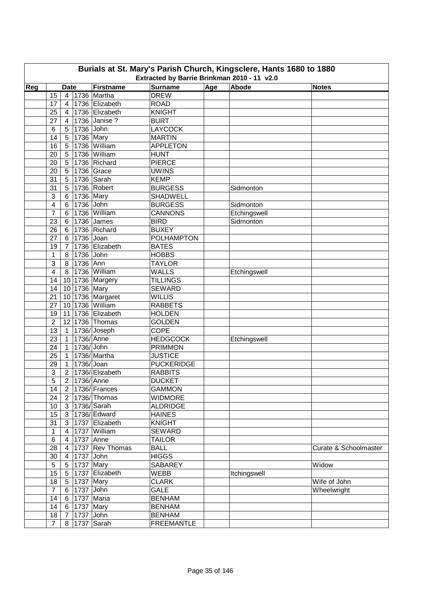| Burials at St. Mary's Parish Church, Kingsclere, Hants 1680 to 1880<br>Extracted by Barrie Brinkman 2010 - 11 v2.0 |                         |                |                 |                      |                                |     |              |                       |  |  |
|--------------------------------------------------------------------------------------------------------------------|-------------------------|----------------|-----------------|----------------------|--------------------------------|-----|--------------|-----------------------|--|--|
|                                                                                                                    |                         |                |                 |                      |                                |     |              |                       |  |  |
| Reg                                                                                                                |                         | <b>Date</b>    |                 | Firstname            | <b>Surname</b>                 | Age | Abode        | <b>Notes</b>          |  |  |
|                                                                                                                    | 15                      |                |                 | 4 1736 Martha        | <b>DREW</b>                    |     |              |                       |  |  |
|                                                                                                                    | 17                      | $\overline{4}$ |                 | 1736 Elizabeth       | <b>ROAD</b>                    |     |              |                       |  |  |
|                                                                                                                    | 25                      | $\overline{4}$ |                 | 1736 Elizabeth       | <b>KNIGHT</b>                  |     |              |                       |  |  |
|                                                                                                                    | 27                      | 4              |                 | 1736 Janise ?        | <b>BURT</b>                    |     |              |                       |  |  |
|                                                                                                                    | 6                       | 5 <sup>1</sup> | 1736 John       |                      | <b>LAYCOCK</b>                 |     |              |                       |  |  |
|                                                                                                                    | 14                      | 5 <sup>1</sup> | 1736 Mary       |                      | <b>MARTIN</b>                  |     |              |                       |  |  |
|                                                                                                                    | 16                      | 5 <sub>1</sub> |                 | 1736 William         | <b>APPLETON</b>                |     |              |                       |  |  |
|                                                                                                                    | 20                      | 5 <sup>5</sup> |                 | 1736 William         | <b>HUNT</b>                    |     |              |                       |  |  |
|                                                                                                                    | 20                      | 5              |                 | 1736 Richard         | <b>PIERCE</b>                  |     |              |                       |  |  |
|                                                                                                                    | 20                      | 5              |                 | 1736 Grace           | <b>UWINS</b>                   |     |              |                       |  |  |
|                                                                                                                    | 31                      | 5              |                 | 1736 Sarah           | <b>KEMP</b>                    |     |              |                       |  |  |
|                                                                                                                    | 31                      | 5              |                 | 1736 Robert          | <b>BURGESS</b>                 |     | Sidmonton    |                       |  |  |
|                                                                                                                    | 3                       | 6              | 1736 Mary       |                      | <b>SHADWELL</b>                |     |              |                       |  |  |
|                                                                                                                    | 4                       | 6              | 1736 John       |                      | <b>BURGESS</b>                 |     | Sidmonton    |                       |  |  |
|                                                                                                                    | $\overline{7}$          | 6              |                 | 1736 William         | <b>CANNONS</b>                 |     | Etchingswell |                       |  |  |
|                                                                                                                    | 23                      | 6              |                 | 1736 James           | <b>BIRD</b>                    |     | Sidmonton    |                       |  |  |
|                                                                                                                    | 26                      |                |                 | 6 1736 Richard       | <b>BUXEY</b>                   |     |              |                       |  |  |
|                                                                                                                    | 27                      |                | 6 1736 Joan     |                      | <b>POLHAMPTON</b>              |     |              |                       |  |  |
|                                                                                                                    | 19                      |                |                 | 7   1736   Elizabeth | <b>BATES</b>                   |     |              |                       |  |  |
|                                                                                                                    | $\mathbf{1}$            |                | 8 1736 John     |                      | <b>HOBBS</b>                   |     |              |                       |  |  |
|                                                                                                                    | $\mathbf{3}$            |                | 8 1736 Ann      |                      | <b>TAYLOR</b>                  |     |              |                       |  |  |
|                                                                                                                    | $\overline{\mathbf{4}}$ |                |                 | 8   1736   William   | <b>WALLS</b>                   |     | Etchingswell |                       |  |  |
|                                                                                                                    | 14                      |                |                 | 10 1736 Margery      | <b>TILLINGS</b>                |     |              |                       |  |  |
|                                                                                                                    | 14                      |                | 10 1736 Mary    |                      | <b>SEWARD</b>                  |     |              |                       |  |  |
|                                                                                                                    | 21                      |                |                 | 10 1736 Margaret     | <b>WILLIS</b>                  |     |              |                       |  |  |
|                                                                                                                    | 27                      |                |                 | 10 1736 William      | <b>RABBETS</b>                 |     |              |                       |  |  |
|                                                                                                                    | 19                      |                |                 | 11 1736 Elizabeth    | <b>HOLDEN</b>                  |     |              |                       |  |  |
|                                                                                                                    | $\overline{2}$          |                |                 | 12 1736 Thomas       | <b>GOLDEN</b>                  |     |              |                       |  |  |
|                                                                                                                    | 13                      |                |                 | 1   1736/ Joseph     | <b>COPE</b>                    |     |              |                       |  |  |
|                                                                                                                    | 23                      | $\mathbf{1}$   | 1736/Anne       |                      | <b>HEDGCOCK</b>                |     | Etchingswell |                       |  |  |
|                                                                                                                    | 24                      | $\mathbf{1}$   | 1736/ John      |                      | <b>PRIMMON</b>                 |     |              |                       |  |  |
|                                                                                                                    | 25                      | $\mathbf{1}$   |                 | 1736/Martha          | <b>JUSTICE</b>                 |     |              |                       |  |  |
|                                                                                                                    | 29                      | $\overline{1}$ | 1736/ Joan      |                      | <b>PUCKERIDGE</b>              |     |              |                       |  |  |
|                                                                                                                    | 3                       |                |                 | 2   1736/ Elizabeth  | <b>RABBITS</b>                 |     |              |                       |  |  |
|                                                                                                                    | $\overline{5}$          |                |                 | 2   1736/ Anne       |                                |     |              |                       |  |  |
|                                                                                                                    | 14                      |                |                 | 2   1736/ Frances    | <b>DUCKET</b><br><b>GAMMON</b> |     |              |                       |  |  |
|                                                                                                                    |                         |                |                 |                      |                                |     |              |                       |  |  |
|                                                                                                                    | 24                      |                |                 | 2   1736/ Thomas     | <b>WIDMORE</b>                 |     |              |                       |  |  |
|                                                                                                                    | 10                      |                |                 | 3 1736/Sarah         | <b>ALDRIDGE</b>                |     |              |                       |  |  |
|                                                                                                                    | 15                      |                |                 | 3 1736/ Edward       | <b>HAINES</b>                  |     |              |                       |  |  |
|                                                                                                                    | 31                      |                |                 | 3 1737 Elizabeth     | <b>KNIGHT</b>                  |     |              |                       |  |  |
|                                                                                                                    | $\mathbf{1}$            |                |                 | 4   1737   William   | <b>SEWARD</b>                  |     |              |                       |  |  |
|                                                                                                                    | 6                       |                |                 | 4 1737 Anne          | <b>TAILOR</b>                  |     |              |                       |  |  |
|                                                                                                                    | 28                      |                |                 | 4 1737 Rev Thomas    | <b>BALL</b>                    |     |              | Curate & Schoolmaster |  |  |
|                                                                                                                    | 30                      | $4 \mid$       | 1737 John       |                      | <b>HIGGS</b>                   |     |              |                       |  |  |
|                                                                                                                    | 5                       |                |                 | 5 1737 Mary          | <b>SABAREY</b>                 |     |              | Widow                 |  |  |
|                                                                                                                    | 15 <sub>15</sub>        |                |                 | 5 1737 Elizabeth     | WEBB                           |     | Itchingswell |                       |  |  |
|                                                                                                                    | 18                      |                | 5 1737 Mary     |                      | <b>CLARK</b>                   |     |              | Wife of John          |  |  |
|                                                                                                                    | $\overline{7}$          |                | 6 1737 John     |                      | <b>GALE</b>                    |     |              | Wheelwright           |  |  |
|                                                                                                                    | 14                      |                |                 | 6 1737 Maria         | <b>BENHAM</b>                  |     |              |                       |  |  |
|                                                                                                                    | 14                      |                | 6 1737 Mary     |                      | <b>BENHAM</b>                  |     |              |                       |  |  |
|                                                                                                                    | 18                      |                | 7   1737   John |                      | <b>BENHAM</b>                  |     |              |                       |  |  |
|                                                                                                                    | $\overline{7}$          |                |                 | 8 1737 Sarah         | <b>FREEMANTLE</b>              |     |              |                       |  |  |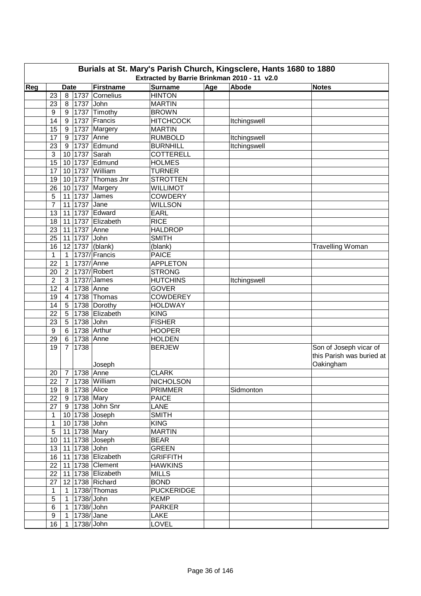| Burials at St. Mary's Parish Church, Kingsclere, Hants 1680 to 1880<br>Extracted by Barrie Brinkman 2010 - 11 v2.0 |                |                |                  |                      |                   |            |              |                                                                  |  |  |
|--------------------------------------------------------------------------------------------------------------------|----------------|----------------|------------------|----------------------|-------------------|------------|--------------|------------------------------------------------------------------|--|--|
|                                                                                                                    |                |                |                  |                      |                   |            |              |                                                                  |  |  |
| Reg                                                                                                                |                | <b>Date</b>    |                  | Firstname            | <b>Surname</b>    | <u>Age</u> | Abode        | <b>Notes</b>                                                     |  |  |
|                                                                                                                    | 23             |                |                  | 8   1737   Cornelius | <b>HINTON</b>     |            |              |                                                                  |  |  |
|                                                                                                                    | 23             |                | 8   1737 John    |                      | <b>MARTIN</b>     |            |              |                                                                  |  |  |
|                                                                                                                    | 9              |                |                  | 9   1737   Timothy   | <b>BROWN</b>      |            |              |                                                                  |  |  |
|                                                                                                                    | 14             | 9 <sup>1</sup> |                  | 1737 Francis         | <b>HITCHCOCK</b>  |            | Itchingswell |                                                                  |  |  |
|                                                                                                                    | 15             | 9              |                  | 1737 Margery         | <b>MARTIN</b>     |            |              |                                                                  |  |  |
|                                                                                                                    | 17             | 9              | 1737 Anne        |                      | <b>RUMBOLD</b>    |            | Itchingswell |                                                                  |  |  |
|                                                                                                                    | 23             | 9              |                  | 1737 Edmund          | <b>BURNHILL</b>   |            | Itchingswell |                                                                  |  |  |
|                                                                                                                    | 3              |                |                  | 10 1737 Sarah        | <b>COTTERELL</b>  |            |              |                                                                  |  |  |
|                                                                                                                    | 15             | 10             |                  | 1737 Edmund          | <b>HOLMES</b>     |            |              |                                                                  |  |  |
|                                                                                                                    | 17             | 10             |                  | 1737 William         | <b>TURNER</b>     |            |              |                                                                  |  |  |
|                                                                                                                    | 19             |                |                  | 10 1737 Thomas Jnr   | <b>STROTTEN</b>   |            |              |                                                                  |  |  |
|                                                                                                                    | 26             |                |                  | 10 1737 Margery      | <b>WILLIMOT</b>   |            |              |                                                                  |  |  |
|                                                                                                                    | 5              |                |                  | 11 1737 James        | <b>COWDERY</b>    |            |              |                                                                  |  |  |
|                                                                                                                    | $\overline{7}$ |                | 11 1737 Jane     |                      | <b>WILLSON</b>    |            |              |                                                                  |  |  |
|                                                                                                                    | 13             | 11             |                  | 1737 Edward          | <b>EARL</b>       |            |              |                                                                  |  |  |
|                                                                                                                    | 18             | 11             |                  | 1737 Elizabeth       | <b>RICE</b>       |            |              |                                                                  |  |  |
|                                                                                                                    | 23             | 11             | 1737             | Anne                 | <b>HALDROP</b>    |            |              |                                                                  |  |  |
|                                                                                                                    | 25             |                | 11 1737          | John                 | <b>SMITH</b>      |            |              |                                                                  |  |  |
|                                                                                                                    | 16             |                |                  | 12 1737 (blank)      | (blank)           |            |              | Travelling Woman                                                 |  |  |
|                                                                                                                    | $\mathbf{1}$   | $\mathbf{1}$   |                  | 1737/ Francis        | <b>PAICE</b>      |            |              |                                                                  |  |  |
|                                                                                                                    | 22             | $\overline{1}$ | 1737/Anne        |                      | <b>APPLETON</b>   |            |              |                                                                  |  |  |
|                                                                                                                    | 20             | 2 <sup>1</sup> |                  | 1737/ Robert         | <b>STRONG</b>     |            |              |                                                                  |  |  |
|                                                                                                                    | $\overline{2}$ | 3              |                  | $ 1737 $ James       | <b>HUTCHINS</b>   |            | Itchingswell |                                                                  |  |  |
|                                                                                                                    | 12             | $4 \mid$       | 1738 Anne        |                      | <b>GOVER</b>      |            |              |                                                                  |  |  |
|                                                                                                                    | 19             | $\overline{4}$ |                  | 1738 Thomas          | <b>COWDEREY</b>   |            |              |                                                                  |  |  |
|                                                                                                                    | 14             | 5 <sup>1</sup> |                  | 1738 Dorothy         | <b>HOLDWAY</b>    |            |              |                                                                  |  |  |
|                                                                                                                    | 22             | 5 <sup>5</sup> |                  | 1738 Elizabeth       | <b>KING</b>       |            |              |                                                                  |  |  |
|                                                                                                                    | 23             | 5 <sup>1</sup> | 1738 John        |                      | <b>FISHER</b>     |            |              |                                                                  |  |  |
|                                                                                                                    | 9              |                |                  | 6 1738 Arthur        | <b>HOOPER</b>     |            |              |                                                                  |  |  |
|                                                                                                                    | 29             | 6 <sup>1</sup> | 1738 Anne        |                      | <b>HOLDEN</b>     |            |              |                                                                  |  |  |
|                                                                                                                    | 19             |                | 7 1738           | Joseph               | <b>BERJEW</b>     |            |              | Son of Joseph vicar of<br>this Parish was buried at<br>Oakingham |  |  |
|                                                                                                                    | 20             |                | 7   1738   Anne  |                      | <b>CLARK</b>      |            |              |                                                                  |  |  |
|                                                                                                                    |                |                |                  | 22 7 1738 William    | <b>NICHOLSON</b>  |            |              |                                                                  |  |  |
|                                                                                                                    | 19             |                | 8   1738   Alice |                      | <b>PRIMMER</b>    |            | Sidmonton    |                                                                  |  |  |
|                                                                                                                    | 22             |                | 9 1738 Mary      |                      | <b>PAICE</b>      |            |              |                                                                  |  |  |
|                                                                                                                    | 27             |                |                  | 9 1738 John Snr      | <b>LANE</b>       |            |              |                                                                  |  |  |
|                                                                                                                    | $\mathbf{1}$   |                |                  | 10 1738 Joseph       | <b>SMITH</b>      |            |              |                                                                  |  |  |
|                                                                                                                    | $\mathbf{1}$   |                | 10 1738 John     |                      | <b>KING</b>       |            |              |                                                                  |  |  |
|                                                                                                                    | $\sqrt{5}$     |                | 11 1738 Mary     |                      | <b>MARTIN</b>     |            |              |                                                                  |  |  |
|                                                                                                                    | 10             |                |                  | 11 1738 Joseph       | <b>BEAR</b>       |            |              |                                                                  |  |  |
|                                                                                                                    | 13             |                | 11 1738 John     |                      | <b>GREEN</b>      |            |              |                                                                  |  |  |
|                                                                                                                    | 16             |                |                  | 11 1738 Elizabeth    | <b>GRIFFITH</b>   |            |              |                                                                  |  |  |
|                                                                                                                    | 22             |                |                  | 11 1738 Clement      | <b>HAWKINS</b>    |            |              |                                                                  |  |  |
|                                                                                                                    | 22             |                |                  | 11 1738 Elizabeth    | <b>MILLS</b>      |            |              |                                                                  |  |  |
|                                                                                                                    | 27             |                |                  | 12 1738 Richard      | <b>BOND</b>       |            |              |                                                                  |  |  |
|                                                                                                                    | $\mathbf{1}$   |                |                  | 1   1738/ Thomas     | <b>PUCKERIDGE</b> |            |              |                                                                  |  |  |
|                                                                                                                    | $\sqrt{5}$     |                | 1 1738/John      |                      | <b>KEMP</b>       |            |              |                                                                  |  |  |
|                                                                                                                    | 6              |                | 1 1738/John      |                      | <b>PARKER</b>     |            |              |                                                                  |  |  |
|                                                                                                                    | 9              |                | 1 1738/ Jane     |                      | <b>LAKE</b>       |            |              |                                                                  |  |  |
|                                                                                                                    | 16             | $\mathbf{1}$   | 1738/ John       |                      | <b>LOVEL</b>      |            |              |                                                                  |  |  |
|                                                                                                                    |                |                |                  |                      |                   |            |              |                                                                  |  |  |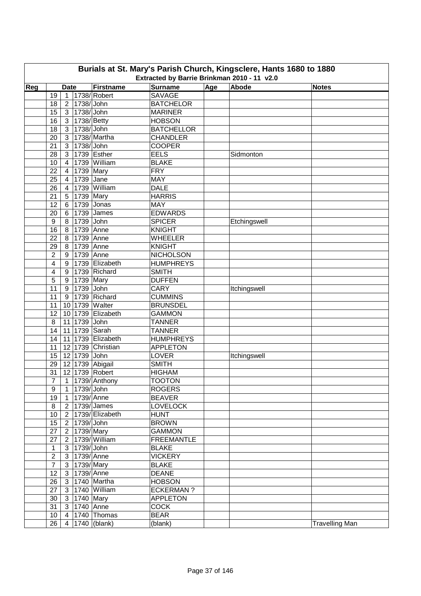| Burials at St. Mary's Parish Church, Kingsclere, Hants 1680 to 1880<br>Extracted by Barrie Brinkman 2010 - 11 v2.0 |                         |                |                        |                           |                   |     |              |                       |  |  |  |
|--------------------------------------------------------------------------------------------------------------------|-------------------------|----------------|------------------------|---------------------------|-------------------|-----|--------------|-----------------------|--|--|--|
| Reg                                                                                                                |                         | <b>Date</b>    |                        | Firstname                 | <b>Surname</b>    | Age | Abode        | <b>Notes</b>          |  |  |  |
|                                                                                                                    | 19                      |                |                        | 1   1738/ Robert          | <b>SAVAGE</b>     |     |              |                       |  |  |  |
|                                                                                                                    | 18                      | 2 <sup>1</sup> | 1738/ John             |                           | <b>BATCHELOR</b>  |     |              |                       |  |  |  |
|                                                                                                                    | 15                      |                | 3 1738/John            |                           | <b>MARINER</b>    |     |              |                       |  |  |  |
|                                                                                                                    | 16                      |                | 3   1738/ Betty        |                           | <b>HOBSON</b>     |     |              |                       |  |  |  |
|                                                                                                                    | 18                      |                | 3 1738/John            |                           | <b>BATCHELLOR</b> |     |              |                       |  |  |  |
|                                                                                                                    | 20                      | 3 <sup>1</sup> |                        | 1738/Martha               | <b>CHANDLER</b>   |     |              |                       |  |  |  |
|                                                                                                                    | 21                      | 3 <sup>1</sup> | 1738/ John             |                           | <b>COOPER</b>     |     |              |                       |  |  |  |
|                                                                                                                    | 28                      | 3 <sup>1</sup> |                        | 1739 Esther               | <b>EELS</b>       |     | Sidmonton    |                       |  |  |  |
|                                                                                                                    | 10                      | $\overline{4}$ |                        | 1739 William              | <b>BLAKE</b>      |     |              |                       |  |  |  |
|                                                                                                                    | 22                      | $\overline{4}$ | 1739 Mary              |                           | <b>FRY</b>        |     |              |                       |  |  |  |
|                                                                                                                    | 25                      | $\overline{4}$ | 1739 Jane              |                           | MAY               |     |              |                       |  |  |  |
|                                                                                                                    | 26                      | $\overline{4}$ |                        | 1739 William              | <b>DALE</b>       |     |              |                       |  |  |  |
|                                                                                                                    | 21                      | 5 <sup>1</sup> | 1739 Mary              |                           | <b>HARRIS</b>     |     |              |                       |  |  |  |
|                                                                                                                    | 12                      |                |                        | 1739 Jonas                | <b>MAY</b>        |     |              |                       |  |  |  |
|                                                                                                                    |                         | 6              |                        | 6 1739 James              | <b>EDWARDS</b>    |     |              |                       |  |  |  |
|                                                                                                                    | 20                      |                | 8 1739 John            |                           |                   |     |              |                       |  |  |  |
|                                                                                                                    | 9                       |                |                        |                           | <b>SPICER</b>     |     | Etchingswell |                       |  |  |  |
|                                                                                                                    | 16                      |                | 8 1739 Anne            |                           | <b>KNIGHT</b>     |     |              |                       |  |  |  |
|                                                                                                                    | 22                      |                | 8 1739 Anne            |                           | <b>WHEELER</b>    |     |              |                       |  |  |  |
|                                                                                                                    | 29                      |                | 8 1739 Anne            |                           | <b>KNIGHT</b>     |     |              |                       |  |  |  |
|                                                                                                                    | 2                       |                | 9 1739 Anne            |                           | <b>NICHOLSON</b>  |     |              |                       |  |  |  |
|                                                                                                                    | $\overline{\mathbf{4}}$ |                |                        | 9   1739 Elizabeth        | <b>HUMPHREYS</b>  |     |              |                       |  |  |  |
|                                                                                                                    | 4                       |                |                        | 9 1739 Richard            | <b>SMITH</b>      |     |              |                       |  |  |  |
|                                                                                                                    | 5                       | 9 <sup>1</sup> | $\overline{17}39$ Mary |                           | <b>DUFFEN</b>     |     |              |                       |  |  |  |
|                                                                                                                    | 11                      | 9              | 1739 John              |                           | <b>CARY</b>       |     | Itchingswell |                       |  |  |  |
|                                                                                                                    | 11                      |                |                        | 9 1739 Richard            | <b>CUMMINS</b>    |     |              |                       |  |  |  |
|                                                                                                                    | 11                      |                |                        | 10 1739 Walter            | <b>BRUNSDEL</b>   |     |              |                       |  |  |  |
|                                                                                                                    | 12                      |                |                        | 10 1739 Elizabeth         | <b>GAMMON</b>     |     |              |                       |  |  |  |
|                                                                                                                    | 8                       |                | 11 1739 John           |                           | <b>TANNER</b>     |     |              |                       |  |  |  |
|                                                                                                                    | 14                      |                |                        | 11 1739 Sarah             | <b>TANNER</b>     |     |              |                       |  |  |  |
|                                                                                                                    | 14                      |                |                        | 11 1739 Elizabeth         | <b>HUMPHREYS</b>  |     |              |                       |  |  |  |
|                                                                                                                    | 11                      |                |                        | 12 1739 Christian         | <b>APPLETON</b>   |     |              |                       |  |  |  |
|                                                                                                                    | 15                      |                | 12 1739 John           |                           | LOVER             |     | Itchingswell |                       |  |  |  |
|                                                                                                                    | 29                      |                |                        | 12 1739 Abigail           | <b>SMITH</b>      |     |              |                       |  |  |  |
|                                                                                                                    | 31                      |                |                        | 12 1739 Robert            | <b>HIGHAM</b>     |     |              |                       |  |  |  |
|                                                                                                                    | $\overline{7}$          |                |                        | 1 1739/ Anthony           | <b>TOOTON</b>     |     |              |                       |  |  |  |
|                                                                                                                    | 9                       |                | 1 1739/John            |                           | <b>ROGERS</b>     |     |              |                       |  |  |  |
|                                                                                                                    | 19                      |                | 1 1739/Anne            |                           | <b>BEAVER</b>     |     |              |                       |  |  |  |
|                                                                                                                    | $\bf 8$                 |                |                        | 2   1739/ James           | <b>LOVELOCK</b>   |     |              |                       |  |  |  |
|                                                                                                                    | 10                      |                |                        | 2   1739/ Elizabeth       | <b>HUNT</b>       |     |              |                       |  |  |  |
|                                                                                                                    | 15                      |                | 2 1739/John            |                           | <b>BROWN</b>      |     |              |                       |  |  |  |
|                                                                                                                    | 27                      |                | 2   1739/ Mary         |                           | <b>GAMMON</b>     |     |              |                       |  |  |  |
|                                                                                                                    | 27                      |                |                        | 2 1739/ William           | <b>FREEMANTLE</b> |     |              |                       |  |  |  |
|                                                                                                                    | $\mathbf{1}$            |                | 3 1739/John            |                           | <b>BLAKE</b>      |     |              |                       |  |  |  |
|                                                                                                                    | $\overline{2}$          |                | 3   1739/ Anne         |                           | <b>VICKERY</b>    |     |              |                       |  |  |  |
|                                                                                                                    | $\overline{7}$          |                | 3 1739/Mary            |                           | <b>BLAKE</b>      |     |              |                       |  |  |  |
|                                                                                                                    | 12 <sub>2</sub>         |                | 3 1739/Anne            |                           | <b>DEANE</b>      |     |              |                       |  |  |  |
|                                                                                                                    | 26                      |                |                        | 3 1740 Martha             | <b>HOBSON</b>     |     |              |                       |  |  |  |
|                                                                                                                    | 27                      |                |                        | 3 1740 William            | <b>ECKERMAN?</b>  |     |              |                       |  |  |  |
|                                                                                                                    | 30                      |                | 3 1740 Mary            |                           | <b>APPLETON</b>   |     |              |                       |  |  |  |
|                                                                                                                    | 31                      |                | 3 1740 Anne            |                           | <b>COCK</b>       |     |              |                       |  |  |  |
|                                                                                                                    | 10 <sup>1</sup>         |                |                        | $\vert$ 4   1740   Thomas | <b>BEAR</b>       |     |              |                       |  |  |  |
|                                                                                                                    | 26                      |                |                        | 4   1740 (blank)          | (blank)           |     |              | <b>Travelling Man</b> |  |  |  |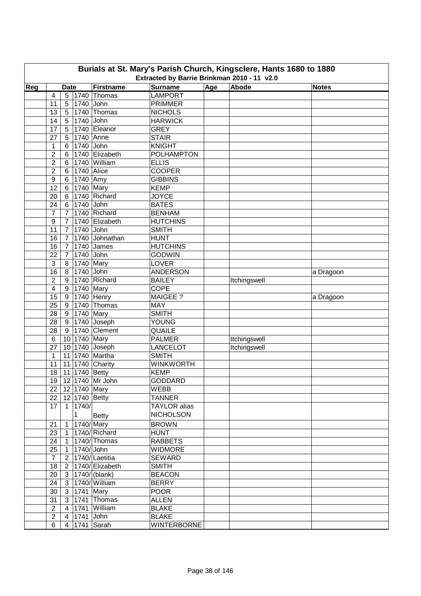| Burials at St. Mary's Parish Church, Kingsclere, Hants 1680 to 1880<br>Extracted by Barrie Brinkman 2010 - 11 v2.0 |                         |                     |               |                           |                     |     |              |              |  |  |  |
|--------------------------------------------------------------------------------------------------------------------|-------------------------|---------------------|---------------|---------------------------|---------------------|-----|--------------|--------------|--|--|--|
| Reg                                                                                                                |                         | <b>Date</b>         |               | Firstname                 | <b>Surname</b>      | Age | Abode        | <b>Notes</b> |  |  |  |
|                                                                                                                    | 4                       | 5                   |               | $ 1740 $ Thomas           | <b>LAMPORT</b>      |     |              |              |  |  |  |
|                                                                                                                    | 11                      | 5                   | 1740 John     |                           | <b>PRIMMER</b>      |     |              |              |  |  |  |
|                                                                                                                    | 13                      |                     |               | 5 1740 Thomas             | <b>NICHOLS</b>      |     |              |              |  |  |  |
|                                                                                                                    | 14                      |                     | 5 1740 John   |                           | <b>HARWICK</b>      |     |              |              |  |  |  |
|                                                                                                                    | 17                      |                     |               | 5   1740   Eleanor        | <b>GREY</b>         |     |              |              |  |  |  |
|                                                                                                                    | 27                      |                     |               | 5 1740 Anne               | <b>STAIR</b>        |     |              |              |  |  |  |
|                                                                                                                    | 1                       | $6 \mid$            | 1740 John     |                           | <b>KNIGHT</b>       |     |              |              |  |  |  |
|                                                                                                                    | $\overline{c}$          | 6                   |               | 1740 Elizabeth            | <b>POLHAMPTON</b>   |     |              |              |  |  |  |
|                                                                                                                    | $\overline{c}$          | 6                   |               | 1740 William              | <b>ELLIS</b>        |     |              |              |  |  |  |
|                                                                                                                    | 2                       | 6 <sup>1</sup>      | 1740 Alice    |                           | <b>COOPER</b>       |     |              |              |  |  |  |
|                                                                                                                    | 9                       |                     | 6 1740 Amy    |                           | <b>GIBBINS</b>      |     |              |              |  |  |  |
|                                                                                                                    | 12                      | 6 <sup>1</sup>      | 1740 Mary     |                           | <b>KEMP</b>         |     |              |              |  |  |  |
|                                                                                                                    | 20                      | 6                   |               | 1740 Richard              | <b>JOYCE</b>        |     |              |              |  |  |  |
|                                                                                                                    | 24                      | 6                   | 1740 John     |                           | <b>BATES</b>        |     |              |              |  |  |  |
|                                                                                                                    | $\overline{7}$          | $\overline{7}$      |               | 1740 Richard              | <b>BENHAM</b>       |     |              |              |  |  |  |
|                                                                                                                    |                         |                     |               | 1740 Elizabeth            | <b>HUTCHINS</b>     |     |              |              |  |  |  |
|                                                                                                                    | 9<br>11                 | 7<br>$\overline{7}$ | 1740 John     |                           | <b>SMITH</b>        |     |              |              |  |  |  |
|                                                                                                                    |                         |                     |               | 1740 Johnathan            |                     |     |              |              |  |  |  |
|                                                                                                                    | 16                      | $\overline{7}$      |               |                           | <b>HUNT</b>         |     |              |              |  |  |  |
|                                                                                                                    | 16                      | $\overline{7}$      |               | 1740 James                | <b>HUTCHINS</b>     |     |              |              |  |  |  |
|                                                                                                                    | 22                      | $\overline{7}$      | 1740 John     |                           | <b>GODWIN</b>       |     |              |              |  |  |  |
|                                                                                                                    | 3                       |                     | 8 1740 Mary   |                           | <b>LOVER</b>        |     |              |              |  |  |  |
|                                                                                                                    | 16                      |                     | 8 1740 John   |                           | <b>ANDERSON</b>     |     |              | a Dragoon    |  |  |  |
|                                                                                                                    | $\overline{2}$          |                     |               | 9 1740 Richard            | <b>BAILEY</b>       |     | Itchingswell |              |  |  |  |
|                                                                                                                    | $\overline{\mathbf{4}}$ |                     | 9 1740 Mary   |                           | <b>COPE</b>         |     |              |              |  |  |  |
|                                                                                                                    | 15                      |                     |               | 9 1740 Henry              | <b>MAIGEE?</b>      |     |              | a Dragoon    |  |  |  |
|                                                                                                                    | 25                      |                     |               | $9$ 1740 Thomas           | <b>MAY</b>          |     |              |              |  |  |  |
|                                                                                                                    | 28                      |                     | 9 1740 Mary   |                           | <b>SMITH</b>        |     |              |              |  |  |  |
|                                                                                                                    | 28                      |                     |               | $\boxed{9}$ 1740 Joseph   | YOUNG               |     |              |              |  |  |  |
|                                                                                                                    | 28                      | 9                   |               | 1740 Clement              | <b>QUAILE</b>       |     |              |              |  |  |  |
|                                                                                                                    | 6                       |                     | 10 1740 Mary  |                           | <b>PALMER</b>       |     | Itchingswell |              |  |  |  |
|                                                                                                                    | 27                      |                     |               | 10 1740 Joseph            | <b>LANCELOT</b>     |     | Itchingswell |              |  |  |  |
|                                                                                                                    | $\mathbf{1}$            |                     |               | 11 1740 Martha            | <b>SMITH</b>        |     |              |              |  |  |  |
|                                                                                                                    | 11                      |                     |               | 11 1740 Charity           | <b>WINKWORTH</b>    |     |              |              |  |  |  |
|                                                                                                                    | 18                      |                     | 11 1740 Betty |                           | <b>KEMP</b>         |     |              |              |  |  |  |
|                                                                                                                    |                         |                     |               | 19 12 1740 Mr John        | <b>GODDARD</b>      |     |              |              |  |  |  |
|                                                                                                                    |                         |                     |               | 22 12 1740 Mary           | WEBB                |     |              |              |  |  |  |
|                                                                                                                    |                         |                     |               | 22 12 1740 Betty          | <b>TANNER</b>       |     |              |              |  |  |  |
|                                                                                                                    | 17                      |                     | 1 1740/       |                           | <b>TAYLOR</b> alias |     |              |              |  |  |  |
|                                                                                                                    |                         |                     | $\mathbf{1}$  | Betty                     | <b>NICHOLSON</b>    |     |              |              |  |  |  |
|                                                                                                                    | 21                      |                     |               | 1 1740/Mary               | <b>BROWN</b>        |     |              |              |  |  |  |
|                                                                                                                    | 23                      |                     |               | 1 1740/ Richard           | <b>HUNT</b>         |     |              |              |  |  |  |
|                                                                                                                    | 24                      |                     |               | $1   1740$ Thomas         | <b>RABBETS</b>      |     |              |              |  |  |  |
|                                                                                                                    | 25                      |                     | $1$ 1740/John |                           | <b>WIDMORE</b>      |     |              |              |  |  |  |
|                                                                                                                    | $\overline{7}$          |                     |               | 2 1740/Laetitia           | <b>SEWARD</b>       |     |              |              |  |  |  |
|                                                                                                                    | 18                      |                     |               | 2 1740/Elizabeth          | <b>SMITH</b>        |     |              |              |  |  |  |
|                                                                                                                    | 20                      |                     |               | $3  1740/ $ (blank)       | <b>BEACON</b>       |     |              |              |  |  |  |
|                                                                                                                    | 24                      |                     |               | 3 1740/William            | <b>BERRY</b>        |     |              |              |  |  |  |
|                                                                                                                    | 30                      |                     |               | 3 1741 Mary               | <b>POOR</b>         |     |              |              |  |  |  |
|                                                                                                                    | 31                      |                     |               | $3 \mid 1741 \mid$ Thomas | <b>ALLEN</b>        |     |              |              |  |  |  |
|                                                                                                                    | $\overline{2}$          |                     |               | 4 1741 William            | <b>BLAKE</b>        |     |              |              |  |  |  |
|                                                                                                                    | $\overline{2}$          |                     | 4 1741 John   |                           | <b>BLAKE</b>        |     |              |              |  |  |  |
|                                                                                                                    | 6                       |                     |               | 4 1741 Sarah              | <b>WINTERBORNE</b>  |     |              |              |  |  |  |
|                                                                                                                    |                         |                     |               |                           |                     |     |              |              |  |  |  |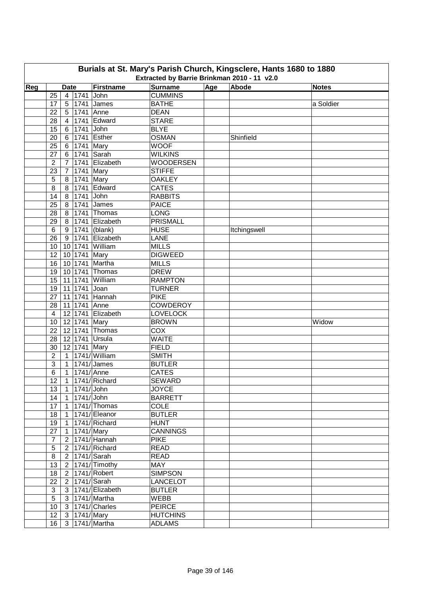| Burials at St. Mary's Parish Church, Kingsclere, Hants 1680 to 1880<br>Extracted by Barrie Brinkman 2010 - 11 v2.0 |                      |                |              |                                        |                                  |            |              |              |  |  |
|--------------------------------------------------------------------------------------------------------------------|----------------------|----------------|--------------|----------------------------------------|----------------------------------|------------|--------------|--------------|--|--|
|                                                                                                                    |                      |                |              |                                        |                                  |            |              |              |  |  |
| Reg                                                                                                                |                      | <b>Date</b>    |              | Firstname                              | <b>Surname</b><br><b>CUMMINS</b> | <b>Age</b> | Abode        | <b>Notes</b> |  |  |
|                                                                                                                    | 25                   |                | 4 1741       | John<br>5 1741 James                   | <b>BATHE</b>                     |            |              | a Soldier    |  |  |
|                                                                                                                    | 17<br>22             |                |              | 5 1741 Anne                            | <b>DEAN</b>                      |            |              |              |  |  |
|                                                                                                                    | 28                   |                |              | $1741$ Edward                          | <b>STARE</b>                     |            |              |              |  |  |
|                                                                                                                    |                      | $\overline{4}$ | 1741 John    |                                        |                                  |            |              |              |  |  |
|                                                                                                                    | 15                   | $6 \mid$       |              | 1741 Esther                            | <b>BLYE</b><br><b>OSMAN</b>      |            |              |              |  |  |
|                                                                                                                    | 20                   | $6 \mid$       |              |                                        | <b>WOOF</b>                      |            | Shinfield    |              |  |  |
|                                                                                                                    | 25                   | 6 <sup>1</sup> |              | 1741 Mary                              | <b>WILKINS</b>                   |            |              |              |  |  |
|                                                                                                                    | 27                   | 6              |              | 1741 Sarah<br>1741 Elizabeth           | <b>WOODERSEN</b>                 |            |              |              |  |  |
|                                                                                                                    | $\overline{2}$<br>23 | $7^{\circ}$    |              |                                        | <b>STIFFE</b>                    |            |              |              |  |  |
|                                                                                                                    |                      | $\overline{7}$ |              | 1741 Mary<br>1741 Mary                 | <b>OAKLEY</b>                    |            |              |              |  |  |
|                                                                                                                    | 5<br>8               | 8<br>8         |              | 1741 Edward                            | <b>CATES</b>                     |            |              |              |  |  |
|                                                                                                                    |                      |                | 1741 John    |                                        | <b>RABBITS</b>                   |            |              |              |  |  |
|                                                                                                                    | 14                   | 8 <sup>1</sup> |              | 1741 James                             | <b>PAICE</b>                     |            |              |              |  |  |
|                                                                                                                    | 25<br>28             | 8 <sup>1</sup> |              | 1741 Thomas                            | <b>LONG</b>                      |            |              |              |  |  |
|                                                                                                                    |                      | 8 <sup>1</sup> |              | 1741 Elizabeth                         | <b>PRISMALL</b>                  |            |              |              |  |  |
|                                                                                                                    | 29                   | 8 <sup>1</sup> |              |                                        | <b>HUSE</b>                      |            |              |              |  |  |
|                                                                                                                    | 6                    |                |              | 9   1741   (blank)<br>9 1741 Elizabeth |                                  |            | Itchingswell |              |  |  |
|                                                                                                                    | 26                   |                |              |                                        | LANE                             |            |              |              |  |  |
|                                                                                                                    | 10                   |                |              | 10 1741 William                        | <b>MILLS</b>                     |            |              |              |  |  |
|                                                                                                                    | 12                   |                |              | 10 1741 Mary                           | <b>DIGWEED</b>                   |            |              |              |  |  |
|                                                                                                                    | 16                   |                |              | 10 1741 Martha                         | <b>MILLS</b>                     |            |              |              |  |  |
|                                                                                                                    | 19                   |                |              | 10 1741 Thomas                         | <b>DREW</b>                      |            |              |              |  |  |
|                                                                                                                    | 15                   |                | 11 1741      | William                                | <b>RAMPTON</b>                   |            |              |              |  |  |
|                                                                                                                    | 19                   |                | 11 1741      | Joan                                   | <b>TURNER</b>                    |            |              |              |  |  |
|                                                                                                                    | 27                   |                | 11 1741      | Hannah                                 | <b>PIKE</b>                      |            |              |              |  |  |
|                                                                                                                    | 28                   |                |              | 11 1741 Anne                           | <b>COWDEROY</b>                  |            |              |              |  |  |
|                                                                                                                    | $\overline{4}$       |                |              | 12 1741 Elizabeth                      | <b>LOVELOCK</b>                  |            |              |              |  |  |
|                                                                                                                    | 10                   |                | 12 1741 Mary |                                        | <b>BROWN</b>                     |            |              | Widow        |  |  |
|                                                                                                                    | 22                   |                |              | 12 1741 Thomas                         | COX                              |            |              |              |  |  |
|                                                                                                                    | 28                   |                |              | 12 1741 Ursula                         | <b>WAITE</b>                     |            |              |              |  |  |
|                                                                                                                    | 30                   |                |              | 12 1741 Mary                           | <b>FIELD</b>                     |            |              |              |  |  |
|                                                                                                                    | $\overline{2}$       |                |              | 1 1741/ William                        | <b>SMITH</b>                     |            |              |              |  |  |
|                                                                                                                    | 3                    |                |              | $1$   1741/ James                      | <b>BUTLER</b>                    |            |              |              |  |  |
|                                                                                                                    | 6                    |                |              | 1 1741/Anne                            | <b>CATES</b>                     |            |              |              |  |  |
|                                                                                                                    | 12                   |                |              | 1 1741/ Richard                        | SEWARD                           |            |              |              |  |  |
|                                                                                                                    | 13                   |                | 1 1741/John  |                                        | <b>JOYCE</b>                     |            |              |              |  |  |
|                                                                                                                    | 14                   |                |              | 1 1741/John                            | <b>BARRETT</b>                   |            |              |              |  |  |
|                                                                                                                    | 17                   | $\mathbf{1}$   |              | 1741/Thomas                            | <b>COLE</b>                      |            |              |              |  |  |
|                                                                                                                    | 18                   |                |              | 1 1741/ Eleanor                        | <b>BUTLER</b>                    |            |              |              |  |  |
|                                                                                                                    | 19                   |                |              | 1 1741/ Richard                        | <b>HUNT</b>                      |            |              |              |  |  |
|                                                                                                                    | 27                   |                |              | 1 1741/ Mary                           | <b>CANNINGS</b>                  |            |              |              |  |  |
|                                                                                                                    | $\overline{7}$       |                |              | 2 1741/ Hannah                         | <b>PIKE</b>                      |            |              |              |  |  |
|                                                                                                                    | $\sqrt{5}$           |                |              | 2 1741/ Richard                        | <b>READ</b>                      |            |              |              |  |  |
|                                                                                                                    | $\bf 8$              |                |              | 2   1741/ Sarah                        | <b>READ</b>                      |            |              |              |  |  |
|                                                                                                                    | 13                   |                |              | 2 1741/ Timothy                        | MAY                              |            |              |              |  |  |
|                                                                                                                    | 18                   |                |              | 2 1741/ Robert                         | <b>SIMPSON</b>                   |            |              |              |  |  |
|                                                                                                                    | 22                   |                |              | 2 1741/Sarah                           | <b>LANCELOT</b>                  |            |              |              |  |  |
|                                                                                                                    | 3                    |                |              | 3 1741/ Elizabeth                      | <b>BUTLER</b>                    |            |              |              |  |  |
|                                                                                                                    | 5                    |                |              | 3 1741/ Martha                         | WEBB                             |            |              |              |  |  |
|                                                                                                                    | 10                   |                |              | 3 1741/ Charles                        | <b>PEIRCE</b>                    |            |              |              |  |  |
|                                                                                                                    | 12 <sup>2</sup>      |                |              | 3 1741/Mary                            | <b>HUTCHINS</b>                  |            |              |              |  |  |
|                                                                                                                    | 16                   |                |              | 3 1741/ Martha                         | <b>ADLAMS</b>                    |            |              |              |  |  |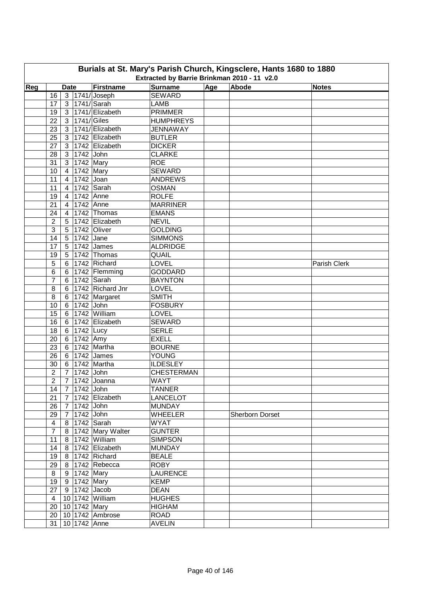| Burials at St. Mary's Parish Church, Kingsclere, Hants 1680 to 1880<br>Extracted by Barrie Brinkman 2010 - 11 v2.0 |                |                |                                         |                          |                             |     |                 |              |  |  |  |
|--------------------------------------------------------------------------------------------------------------------|----------------|----------------|-----------------------------------------|--------------------------|-----------------------------|-----|-----------------|--------------|--|--|--|
| Reg                                                                                                                |                | <b>Date</b>    |                                         | Firstname                | <b>Surname</b>              | Age | Abode           | <b>Notes</b> |  |  |  |
|                                                                                                                    | 16             |                |                                         | 3 1741/ Joseph           | <b>SEWARD</b>               |     |                 |              |  |  |  |
|                                                                                                                    | 17             |                |                                         | 3 1741/ Sarah            | <b>LAMB</b>                 |     |                 |              |  |  |  |
|                                                                                                                    | 19             |                |                                         | 3 1741/ Elizabeth        | <b>PRIMMER</b>              |     |                 |              |  |  |  |
|                                                                                                                    | 22             |                | 3   1741/ Giles                         |                          | <b>HUMPHREYS</b>            |     |                 |              |  |  |  |
|                                                                                                                    | 23             |                |                                         | 3 1741/ Elizabeth        | <b>JENNAWAY</b>             |     |                 |              |  |  |  |
|                                                                                                                    | 25             |                |                                         | 3 1742 Elizabeth         | <b>BUTLER</b>               |     |                 |              |  |  |  |
|                                                                                                                    | 27             |                |                                         | 3 1742 Elizabeth         | <b>DICKER</b>               |     |                 |              |  |  |  |
|                                                                                                                    |                |                |                                         |                          |                             |     |                 |              |  |  |  |
|                                                                                                                    | 28             |                | 3 1742 John<br>$\overline{3}$ 1742 Mary |                          | <b>CLARKE</b><br><b>ROE</b> |     |                 |              |  |  |  |
|                                                                                                                    | 31             |                | 1742 Mary                               |                          | <b>SEWARD</b>               |     |                 |              |  |  |  |
|                                                                                                                    | 10             | $\overline{4}$ | 1742 Joan                               |                          |                             |     |                 |              |  |  |  |
|                                                                                                                    | 11             | 4              |                                         |                          | <b>ANDREWS</b>              |     |                 |              |  |  |  |
|                                                                                                                    | 11             | $\overline{4}$ |                                         | 1742 Sarah               | <b>OSMAN</b>                |     |                 |              |  |  |  |
|                                                                                                                    | 19             | $\overline{4}$ | 1742 Anne                               |                          | <b>ROLFE</b>                |     |                 |              |  |  |  |
|                                                                                                                    | 21             | $\overline{4}$ | 1742 Anne                               |                          | <b>MARRINER</b>             |     |                 |              |  |  |  |
|                                                                                                                    | 24             | 4 <sup>1</sup> |                                         | 1742 Thomas              | <b>EMANS</b>                |     |                 |              |  |  |  |
|                                                                                                                    | $\overline{c}$ | 5              |                                         | 1742 Elizabeth           | <b>NEVIL</b>                |     |                 |              |  |  |  |
|                                                                                                                    | 3              |                |                                         | 5 1742 Oliver            | <b>GOLDING</b>              |     |                 |              |  |  |  |
|                                                                                                                    | 14             |                | 5 1742 Jane                             |                          | <b>SIMMONS</b>              |     |                 |              |  |  |  |
|                                                                                                                    | 17             |                |                                         | 5 1742 James             | <b>ALDRIDGE</b>             |     |                 |              |  |  |  |
|                                                                                                                    | 19             |                |                                         | 5 1742 Thomas            | QUAIL                       |     |                 |              |  |  |  |
|                                                                                                                    | 5              |                |                                         | 6 1742 Richard           | <b>LOVEL</b>                |     |                 | Parish Clerk |  |  |  |
|                                                                                                                    | 6              |                |                                         | 6 1742 Flemming          | <b>GODDARD</b>              |     |                 |              |  |  |  |
|                                                                                                                    | $\overline{7}$ |                |                                         | 6 1742 Sarah             | <b>BAYNTON</b>              |     |                 |              |  |  |  |
|                                                                                                                    | 8              |                |                                         | 6 1742 Richard Jnr       | LOVEL                       |     |                 |              |  |  |  |
|                                                                                                                    | 8              |                |                                         | 6 1742 Margaret          | <b>SMITH</b>                |     |                 |              |  |  |  |
|                                                                                                                    | 10             |                | 6 1742 John                             |                          | <b>FOSBURY</b>              |     |                 |              |  |  |  |
|                                                                                                                    | 15             |                |                                         | 6 1742 William           | LOVEL                       |     |                 |              |  |  |  |
|                                                                                                                    | 16             |                |                                         | 6 1742 Elizabeth         | <b>SEWARD</b>               |     |                 |              |  |  |  |
|                                                                                                                    | 18             |                | 6 1742 Lucy                             |                          | <b>SERLE</b>                |     |                 |              |  |  |  |
|                                                                                                                    | 20             |                | $6$ 1742 Amy                            |                          | <b>EXELL</b>                |     |                 |              |  |  |  |
|                                                                                                                    | 23             |                |                                         | 6 1742 Martha            | <b>BOURNE</b>               |     |                 |              |  |  |  |
|                                                                                                                    | 26             |                |                                         | 6 1742 James             | <b>YOUNG</b>                |     |                 |              |  |  |  |
|                                                                                                                    | 30             |                |                                         | 6 1742 Martha            | <b>ILDESLEY</b>             |     |                 |              |  |  |  |
|                                                                                                                    | $\overline{2}$ |                | 7 1742 John                             |                          | <b>CHESTERMAN</b>           |     |                 |              |  |  |  |
|                                                                                                                    | $\overline{2}$ |                |                                         | 7 1742 Joanna            | WAYT                        |     |                 |              |  |  |  |
|                                                                                                                    | 14             |                | 7 1742 John                             |                          | <b>TANNER</b>               |     |                 |              |  |  |  |
|                                                                                                                    | 21             |                |                                         | 7 1742 Elizabeth         | LANCELOT                    |     |                 |              |  |  |  |
|                                                                                                                    | 26             |                | 7 1742 John                             |                          | <b>MUNDAY</b>               |     |                 |              |  |  |  |
|                                                                                                                    | 29             |                | 7 1742 John                             |                          | <b>WHEELER</b>              |     | Sherborn Dorset |              |  |  |  |
|                                                                                                                    | $\overline{4}$ |                |                                         | 8 1742 Sarah             | <b>WYAT</b>                 |     |                 |              |  |  |  |
|                                                                                                                    | $\overline{7}$ |                |                                         | 8   1742   Mary Walter   | <b>GUNTER</b>               |     |                 |              |  |  |  |
|                                                                                                                    | 11             |                |                                         | 8 1742 William           | <b>SIMPSON</b>              |     |                 |              |  |  |  |
|                                                                                                                    | 14             |                |                                         | 8 1742 Elizabeth         | <b>MUNDAY</b>               |     |                 |              |  |  |  |
|                                                                                                                    | 19             |                |                                         | 8 1742 Richard           | <b>BEALE</b>                |     |                 |              |  |  |  |
|                                                                                                                    | 29             |                |                                         | 8 1742 Rebecca           | <b>ROBY</b>                 |     |                 |              |  |  |  |
|                                                                                                                    | 8              |                | 9 1742 Mary                             |                          | <b>LAURENCE</b>             |     |                 |              |  |  |  |
|                                                                                                                    |                |                | 19 9 1742 Mary                          |                          | <b>KEMP</b>                 |     |                 |              |  |  |  |
|                                                                                                                    |                |                |                                         | $27   9   1742  $ Jacob  | <b>DEAN</b>                 |     |                 |              |  |  |  |
|                                                                                                                    | $\overline{4}$ |                |                                         | 10 1742 William          | <b>HUGHES</b>               |     |                 |              |  |  |  |
|                                                                                                                    |                |                |                                         |                          |                             |     |                 |              |  |  |  |
|                                                                                                                    |                |                | 20 10 1742 Mary                         |                          | <b>HIGHAM</b>               |     |                 |              |  |  |  |
|                                                                                                                    |                |                |                                         | 20   10   1742   Ambrose | <b>ROAD</b>                 |     |                 |              |  |  |  |
|                                                                                                                    |                |                | 31   10   1742   Anne                   |                          | <b>AVELIN</b>               |     |                 |              |  |  |  |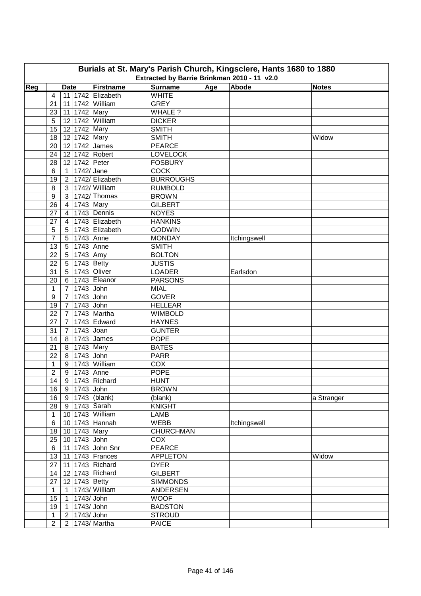| Burials at St. Mary's Parish Church, Kingsclere, Hants 1680 to 1880<br>Extracted by Barrie Brinkman 2010 - 11 v2.0 |                  |                 |                     |                  |                  |              |              |  |  |  |  |
|--------------------------------------------------------------------------------------------------------------------|------------------|-----------------|---------------------|------------------|------------------|--------------|--------------|--|--|--|--|
| Reg                                                                                                                |                  | <b>Date</b>     | Firstname           | <b>Surname</b>   | $\overline{Age}$ | Abode        | <b>Notes</b> |  |  |  |  |
|                                                                                                                    | $\overline{4}$   |                 | 11 1742 Elizabeth   | <b>WHITE</b>     |                  |              |              |  |  |  |  |
|                                                                                                                    | 21               |                 | 11   1742   William | <b>GREY</b>      |                  |              |              |  |  |  |  |
|                                                                                                                    | 23               | 11 1742 Mary    |                     | WHALE ?          |                  |              |              |  |  |  |  |
|                                                                                                                    | 5                |                 | 12 1742 William     | <b>DICKER</b>    |                  |              |              |  |  |  |  |
|                                                                                                                    | 15               | 12 1742 Mary    |                     | <b>SMITH</b>     |                  |              |              |  |  |  |  |
|                                                                                                                    | 18               | 12 1742 Mary    |                     | <b>SMITH</b>     |                  |              | Widow        |  |  |  |  |
|                                                                                                                    | 20               |                 | 12 1742 James       | <b>PEARCE</b>    |                  |              |              |  |  |  |  |
|                                                                                                                    | 24               |                 | 12 1742 Robert      | <b>LOVELOCK</b>  |                  |              |              |  |  |  |  |
|                                                                                                                    | 28               | 12 1742 Peter   |                     | <b>FOSBURY</b>   |                  |              |              |  |  |  |  |
|                                                                                                                    | 6                | 1   1742/ Jane  |                     | <b>COCK</b>      |                  |              |              |  |  |  |  |
|                                                                                                                    |                  |                 | 2 1742/ Elizabeth   | <b>BURROUGHS</b> |                  |              |              |  |  |  |  |
|                                                                                                                    | 19               |                 | 3 1742/ William     |                  |                  |              |              |  |  |  |  |
|                                                                                                                    | 8                |                 | 3   1742/ Thomas    | <b>RUMBOLD</b>   |                  |              |              |  |  |  |  |
|                                                                                                                    | $\boldsymbol{9}$ |                 |                     | <b>BROWN</b>     |                  |              |              |  |  |  |  |
|                                                                                                                    | 26               | $4 \mid$        | 1743 Mary           | <b>GILBERT</b>   |                  |              |              |  |  |  |  |
|                                                                                                                    | 27               | $\overline{4}$  | 1743 Dennis         | <b>NOYES</b>     |                  |              |              |  |  |  |  |
|                                                                                                                    | 27               | $\overline{4}$  | 1743 Elizabeth      | <b>HANKINS</b>   |                  |              |              |  |  |  |  |
|                                                                                                                    | 5                | 5 <sup>1</sup>  | 1743 Elizabeth      | <b>GODWIN</b>    |                  |              |              |  |  |  |  |
|                                                                                                                    | $\overline{7}$   | 5 1743 Anne     |                     | <b>MONDAY</b>    |                  | Itchingswell |              |  |  |  |  |
|                                                                                                                    | 13               | 5 1743 Anne     |                     | <b>SMITH</b>     |                  |              |              |  |  |  |  |
|                                                                                                                    | 22               | 5 1743 Amy      |                     | <b>BOLTON</b>    |                  |              |              |  |  |  |  |
|                                                                                                                    | 22               | 5 1743 Betty    |                     | <b>JUSTIS</b>    |                  |              |              |  |  |  |  |
|                                                                                                                    | 31               |                 | 5   1743   Oliver   | <b>LOADER</b>    |                  | Earlsdon     |              |  |  |  |  |
|                                                                                                                    | 20               |                 | 6 1743 Eleanor      | <b>PARSONS</b>   |                  |              |              |  |  |  |  |
|                                                                                                                    | $\mathbf{1}$     | 7 1743 John     |                     | <b>MIAL</b>      |                  |              |              |  |  |  |  |
|                                                                                                                    | 9                | 7 1743 John     |                     | <b>GOVER</b>     |                  |              |              |  |  |  |  |
|                                                                                                                    | 19               | 7 1743 John     |                     | <b>HELLEAR</b>   |                  |              |              |  |  |  |  |
|                                                                                                                    | 22               |                 | 7 1743 Martha       | <b>WIMBOLD</b>   |                  |              |              |  |  |  |  |
|                                                                                                                    | 27               | 7 <sup>1</sup>  | 1743 Edward         | <b>HAYNES</b>    |                  |              |              |  |  |  |  |
|                                                                                                                    | 31               | 7 <sup>1</sup>  | 1743 Joan           | <b>GUNTER</b>    |                  |              |              |  |  |  |  |
|                                                                                                                    | 14               |                 | 8 1743 James        | <b>POPE</b>      |                  |              |              |  |  |  |  |
|                                                                                                                    | 21               | 8 1743 Mary     |                     | <b>BATES</b>     |                  |              |              |  |  |  |  |
|                                                                                                                    | 22               | 8 1743 John     |                     | <b>PARR</b>      |                  |              |              |  |  |  |  |
|                                                                                                                    | $\mathbf{1}$     |                 | 9 1743 William      | COX              |                  |              |              |  |  |  |  |
|                                                                                                                    | $\overline{2}$   | 9   1743   Anne |                     | <b>POPE</b>      |                  |              |              |  |  |  |  |
|                                                                                                                    | 14               |                 | 9 1743 Richard      | <b>HUNT</b>      |                  |              |              |  |  |  |  |
|                                                                                                                    | 16               | 9 1743 John     |                     | <b>BROWN</b>     |                  |              |              |  |  |  |  |
|                                                                                                                    | 16               |                 | 9   1743   (blank)  | (blank)          |                  |              | a Stranger   |  |  |  |  |
|                                                                                                                    | 28               | 9 1743 Sarah    |                     | <b>KNIGHT</b>    |                  |              |              |  |  |  |  |
|                                                                                                                    | $\mathbf{1}$     |                 | 10 1743 William     | LAMB             |                  |              |              |  |  |  |  |
|                                                                                                                    | 6                |                 | 10 1743 Hannah      | <b>WEBB</b>      |                  | Itchingswell |              |  |  |  |  |
|                                                                                                                    | 18               | 10 1743 Mary    |                     | <b>CHURCHMAN</b> |                  |              |              |  |  |  |  |
|                                                                                                                    | 25               | 10 1743 John    |                     | COX              |                  |              |              |  |  |  |  |
|                                                                                                                    | 6                |                 | 11 1743 John Snr    | <b>PEARCE</b>    |                  |              |              |  |  |  |  |
|                                                                                                                    | 13               |                 | 11 1743 Frances     | <b>APPLETON</b>  |                  |              | Widow        |  |  |  |  |
|                                                                                                                    | 27               |                 | 11 1743 Richard     | <b>DYER</b>      |                  |              |              |  |  |  |  |
|                                                                                                                    | 14               |                 | 12 1743 Richard     | <b>GILBERT</b>   |                  |              |              |  |  |  |  |
|                                                                                                                    | 27               | 12 1743 Betty   |                     | <b>SIMMONDS</b>  |                  |              |              |  |  |  |  |
|                                                                                                                    | $\mathbf{1}$     |                 | 1 1743/ William     | <b>ANDERSEN</b>  |                  |              |              |  |  |  |  |
|                                                                                                                    | 15               | $\vert$ 1       | $1743$ /John        | <b>WOOF</b>      |                  |              |              |  |  |  |  |
|                                                                                                                    | 19               | $\overline{1}$  | 1743/John           | <b>BADSTON</b>   |                  |              |              |  |  |  |  |
|                                                                                                                    |                  |                 |                     | <b>STROUD</b>    |                  |              |              |  |  |  |  |
|                                                                                                                    | $\mathbf{1}$     | 2 1743/John     |                     |                  |                  |              |              |  |  |  |  |
|                                                                                                                    | $\overline{2}$   |                 | 2   1743/ Martha    | <b>PAICE</b>     |                  |              |              |  |  |  |  |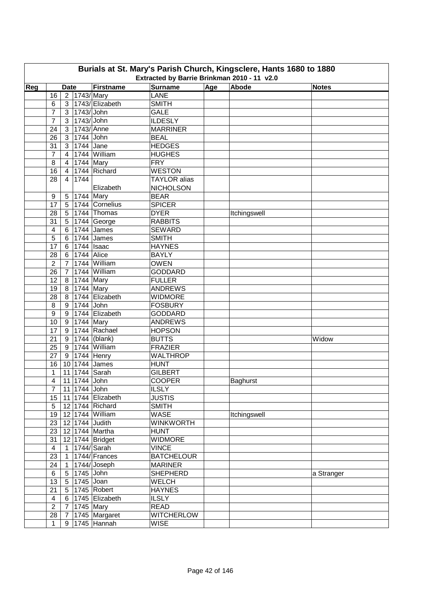| Burials at St. Mary's Parish Church, Kingsclere, Hants 1680 to 1880<br>Extracted by Barrie Brinkman 2010 - 11 v2.0 |                      |                   |                        |                               |                             |     |                 |              |  |  |  |
|--------------------------------------------------------------------------------------------------------------------|----------------------|-------------------|------------------------|-------------------------------|-----------------------------|-----|-----------------|--------------|--|--|--|
| Reg                                                                                                                |                      | <b>Date</b>       |                        | Firstname                     | <b>Surname</b>              | Age | Abode           | <b>Notes</b> |  |  |  |
|                                                                                                                    | 16                   |                   | 2 1743/Mary            |                               | <b>LANE</b>                 |     |                 |              |  |  |  |
|                                                                                                                    | 6                    | 3 <sup>1</sup>    |                        | 1743/ Elizabeth               | <b>SMITH</b>                |     |                 |              |  |  |  |
|                                                                                                                    | 7                    | 3 <sup>1</sup>    | 1743/ John             |                               | <b>GALE</b>                 |     |                 |              |  |  |  |
|                                                                                                                    | 7                    |                   | 3 1743/John            |                               | <b>ILDESLY</b>              |     |                 |              |  |  |  |
|                                                                                                                    | 24                   |                   | 3   1743/ Anne         |                               | <b>MARRINER</b>             |     |                 |              |  |  |  |
|                                                                                                                    | 26                   |                   | 3 1744 John            |                               | <b>BEAL</b>                 |     |                 |              |  |  |  |
|                                                                                                                    | 31                   |                   | 3 1744 Jane            |                               | <b>HEDGES</b>               |     |                 |              |  |  |  |
|                                                                                                                    | $\overline{7}$       | $\overline{4}$    |                        | 1744 William                  |                             |     |                 |              |  |  |  |
|                                                                                                                    | 8                    | $\overline{4}$    | 1744 Mary              |                               | <b>HUGHES</b><br><b>FRY</b> |     |                 |              |  |  |  |
|                                                                                                                    | 16                   | $\overline{4}$    |                        | 1744 Richard                  | <b>WESTON</b>               |     |                 |              |  |  |  |
|                                                                                                                    | 28                   | 4                 | 1744                   |                               | <b>TAYLOR</b> alias         |     |                 |              |  |  |  |
|                                                                                                                    |                      |                   |                        | Elizabeth                     | <b>NICHOLSON</b>            |     |                 |              |  |  |  |
|                                                                                                                    | 9                    |                   | 5 1744 Mary            |                               | <b>BEAR</b>                 |     |                 |              |  |  |  |
|                                                                                                                    |                      |                   |                        | 5 1744 Cornelius              | <b>SPICER</b>               |     |                 |              |  |  |  |
|                                                                                                                    | 17<br>28             |                   |                        | 5 1744 Thomas                 | <b>DYER</b>                 |     |                 |              |  |  |  |
|                                                                                                                    |                      |                   |                        |                               |                             |     | Itchingswell    |              |  |  |  |
|                                                                                                                    | 31<br>$\overline{4}$ |                   |                        | 5 1744 George<br>6 1744 James | <b>RABBITS</b>              |     |                 |              |  |  |  |
|                                                                                                                    |                      |                   |                        |                               | <b>SEWARD</b>               |     |                 |              |  |  |  |
|                                                                                                                    | 5                    |                   |                        | 6 1744 James                  | <b>SMITH</b>                |     |                 |              |  |  |  |
|                                                                                                                    | 17                   |                   | $6$   1744   Isaac     |                               | <b>HAYNES</b>               |     |                 |              |  |  |  |
|                                                                                                                    | 28                   |                   | 6 1744 Alice           |                               | <b>BAYLY</b>                |     |                 |              |  |  |  |
|                                                                                                                    | $\overline{2}$       |                   |                        | 7 1744 William                | <b>OWEN</b>                 |     |                 |              |  |  |  |
|                                                                                                                    | 26                   |                   |                        | 7 1744 William                | <b>GODDARD</b>              |     |                 |              |  |  |  |
|                                                                                                                    | 12                   |                   | 8 1744 Mary            |                               | <b>FULLER</b>               |     |                 |              |  |  |  |
|                                                                                                                    | 19                   | 8 <sup>1</sup>    | 1744 Mary              |                               | <b>ANDREWS</b>              |     |                 |              |  |  |  |
|                                                                                                                    | 28                   |                   |                        | 8 1744 Elizabeth              | <b>WIDMORE</b>              |     |                 |              |  |  |  |
|                                                                                                                    | 8                    |                   | 9 1744 John            |                               | <b>FOSBURY</b>              |     |                 |              |  |  |  |
|                                                                                                                    | 9                    |                   |                        | 9 1744 Elizabeth              | <b>GODDARD</b>              |     |                 |              |  |  |  |
|                                                                                                                    | 10                   |                   | 9 1744 Mary            |                               | <b>ANDREWS</b>              |     |                 |              |  |  |  |
|                                                                                                                    | 17                   |                   |                        | 9 1744 Rachael                | <b>HOPSON</b>               |     |                 |              |  |  |  |
|                                                                                                                    | 21                   |                   |                        | 9 1744 (blank)                | <b>BUTTS</b>                |     |                 | Widow        |  |  |  |
|                                                                                                                    | 25                   | 9                 |                        | 1744 William                  | <b>FRAZIER</b>              |     |                 |              |  |  |  |
|                                                                                                                    | 27                   |                   |                        | 9 1744 Henry                  | <b>WALTHROP</b>             |     |                 |              |  |  |  |
|                                                                                                                    | 16                   |                   |                        | 10 1744 James                 | <b>HUNT</b>                 |     |                 |              |  |  |  |
|                                                                                                                    | 1                    |                   |                        | 11 1744 Sarah                 | <b>GILBERT</b>              |     |                 |              |  |  |  |
|                                                                                                                    |                      |                   | $4$   11   1744   John |                               | <b>COOPER</b>               |     | <b>Baghurst</b> |              |  |  |  |
|                                                                                                                    | $\overline{7}$       |                   | 11 1744 John           |                               | <b>ILSLY</b>                |     |                 |              |  |  |  |
|                                                                                                                    | 15 <sub>15</sub>     |                   |                        | 11 1744 Elizabeth             | <b>JUSTIS</b>               |     |                 |              |  |  |  |
|                                                                                                                    | 5                    |                   |                        | 12 1744 Richard               | <b>SMITH</b>                |     |                 |              |  |  |  |
|                                                                                                                    | 19                   |                   |                        | 12 1744 William               | <b>WASE</b>                 |     | Itchingswell    |              |  |  |  |
|                                                                                                                    | 23                   |                   |                        | 12 1744 Judith                | <b>WINKWORTH</b>            |     |                 |              |  |  |  |
|                                                                                                                    | 23                   |                   |                        | 12 1744 Martha                | <b>HUNT</b>                 |     |                 |              |  |  |  |
|                                                                                                                    | 31                   |                   |                        | 12 1744 Bridget               | <b>WIDMORE</b>              |     |                 |              |  |  |  |
|                                                                                                                    | $\overline{4}$       |                   |                        | 1 1744/ Sarah                 | <b>VINCE</b>                |     |                 |              |  |  |  |
|                                                                                                                    | 23                   |                   |                        | 1   1744/ Frances             | <b>BATCHELOUR</b>           |     |                 |              |  |  |  |
|                                                                                                                    | 24                   | $\vert$ 1 $\vert$ |                        | 1744/Joseph                   | <b>MARINER</b>              |     |                 |              |  |  |  |
|                                                                                                                    | 6                    |                   | 5 1745 John            |                               | <b>SHEPHERD</b>             |     |                 | a Stranger   |  |  |  |
|                                                                                                                    | 13 <sup>°</sup>      |                   | 5 1745 Joan            |                               | WELCH                       |     |                 |              |  |  |  |
|                                                                                                                    | 21                   |                   |                        | 5   1745   Robert             | <b>HAYNES</b>               |     |                 |              |  |  |  |
|                                                                                                                    | $\overline{4}$       |                   |                        | 6 1745 Elizabeth              | <b>ILSLY</b>                |     |                 |              |  |  |  |
|                                                                                                                    | $\overline{2}$       |                   | 7 1745 Mary            |                               | <b>READ</b>                 |     |                 |              |  |  |  |
|                                                                                                                    | 28                   |                   |                        | 7 1745 Margaret               | <b>WITCHERLOW</b>           |     |                 |              |  |  |  |
|                                                                                                                    | $\mathbf{1}$         |                   |                        | $\overline{9}$ 1745 Hannah    | <b>WISE</b>                 |     |                 |              |  |  |  |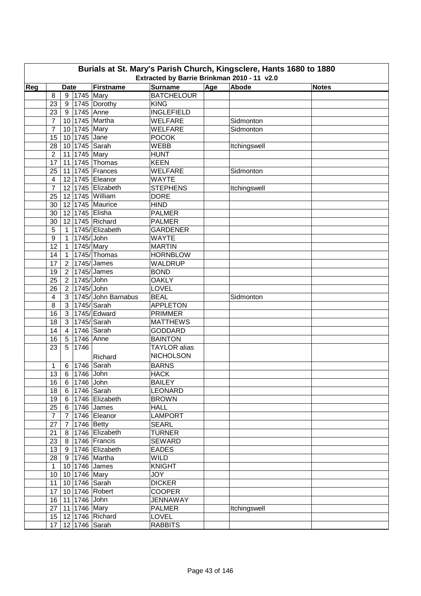| Burials at St. Mary's Parish Church, Kingsclere, Hants 1680 to 1880<br>Extracted by Barrie Brinkman 2010 - 11 v2.0 |                  |                 |                |                             |                     |     |              |              |  |  |  |
|--------------------------------------------------------------------------------------------------------------------|------------------|-----------------|----------------|-----------------------------|---------------------|-----|--------------|--------------|--|--|--|
| Reg                                                                                                                |                  | <b>Date</b>     |                | <b>Firstname</b>            | <b>Surname</b>      | Age | Abode        | <b>Notes</b> |  |  |  |
|                                                                                                                    | 8                | 9               | 1745 Mary      |                             | <b>BATCHELOUR</b>   |     |              |              |  |  |  |
|                                                                                                                    | 23               | 9               |                | 1745 Dorothy                | <b>KING</b>         |     |              |              |  |  |  |
|                                                                                                                    | 23               | 9               | 1745 Anne      |                             | <b>INGLEFIELD</b>   |     |              |              |  |  |  |
|                                                                                                                    | $\overline{7}$   | 10              |                | 1745 Martha                 | <b>WELFARE</b>      |     | Sidmonton    |              |  |  |  |
|                                                                                                                    | $\overline{7}$   | 10              | 1745 Mary      |                             | <b>WELFARE</b>      |     | Sidmonton    |              |  |  |  |
|                                                                                                                    | 15               | 10 <sup>1</sup> | 1745 Jane      |                             | <b>POCOK</b>        |     |              |              |  |  |  |
|                                                                                                                    | 28               |                 |                | 10 1745 Sarah               | <b>WEBB</b>         |     | Itchingswell |              |  |  |  |
|                                                                                                                    | $\overline{2}$   |                 | 11 1745 Mary   |                             | <b>HUNT</b>         |     |              |              |  |  |  |
|                                                                                                                    | 17               |                 |                | 11 1745 Thomas              | <b>KEEN</b>         |     |              |              |  |  |  |
|                                                                                                                    | 25               | 11              |                | 1745 Frances                | <b>WELFARE</b>      |     | Sidmonton    |              |  |  |  |
|                                                                                                                    | $\overline{4}$   |                 |                | 12 1745 Eleanor             | <b>WAYTE</b>        |     |              |              |  |  |  |
|                                                                                                                    | $\overline{7}$   | 12              |                | 1745 Elizabeth              | <b>STEPHENS</b>     |     | Itchingswell |              |  |  |  |
|                                                                                                                    | 25               |                 |                | 12 1745 William             | <b>DORE</b>         |     |              |              |  |  |  |
|                                                                                                                    | 30               | 12              |                | 1745 Maurice                | <b>HIND</b>         |     |              |              |  |  |  |
|                                                                                                                    | 30               | 12              |                | 1745 Elisha                 | <b>PALMER</b>       |     |              |              |  |  |  |
|                                                                                                                    | 30               | 12              |                | 1745 Richard                | <b>PALMER</b>       |     |              |              |  |  |  |
|                                                                                                                    | 5                | $\mathbf{1}$    |                | 1745/ Elizabeth             | <b>GARDENER</b>     |     |              |              |  |  |  |
|                                                                                                                    | $\boldsymbol{9}$ | $\mathbf{1}$    | 1745/John      |                             | <b>WAYTE</b>        |     |              |              |  |  |  |
|                                                                                                                    | 12               | $\overline{1}$  | 1745/Mary      |                             | <b>MARTIN</b>       |     |              |              |  |  |  |
|                                                                                                                    | 14               | $\overline{1}$  |                | $1745$ /Thomas              | <b>HORNBLOW</b>     |     |              |              |  |  |  |
|                                                                                                                    | 17               | $\overline{2}$  |                | $1745$ /James               | WALDRUP             |     |              |              |  |  |  |
|                                                                                                                    | 19               | $\overline{2}$  |                | $1745$ /James               | <b>BOND</b>         |     |              |              |  |  |  |
|                                                                                                                    | 25               | $\overline{2}$  | 1745/ John     |                             | <b>OAKLY</b>        |     |              |              |  |  |  |
|                                                                                                                    | 26               | $\overline{2}$  | 1745/ John     |                             | LOVEL               |     |              |              |  |  |  |
|                                                                                                                    | 4                | $\mathbf{3}$    |                | 1745/John Barnabus          | <b>BEAL</b>         |     | Sidmonton    |              |  |  |  |
|                                                                                                                    | 8                | $\mathbf{3}$    |                | 1745/Sarah                  | <b>APPLETON</b>     |     |              |              |  |  |  |
|                                                                                                                    | 16               | $\mathbf{3}$    |                | 1745/ Edward                | <b>PRIMMER</b>      |     |              |              |  |  |  |
|                                                                                                                    | 18               | 3               |                | $1745$ /Sarah               | <b>MATTHEWS</b>     |     |              |              |  |  |  |
|                                                                                                                    | 14               | $\overline{4}$  |                | 1746 Sarah                  | <b>GODDARD</b>      |     |              |              |  |  |  |
|                                                                                                                    | 16               | 5               | 1746 Anne      |                             | <b>BAINTON</b>      |     |              |              |  |  |  |
|                                                                                                                    | 23               | 5               | 1746           |                             | <b>TAYLOR</b> alias |     |              |              |  |  |  |
|                                                                                                                    |                  |                 |                | Richard                     | <b>NICHOLSON</b>    |     |              |              |  |  |  |
|                                                                                                                    | 1                | 6               |                | 1746 Sarah                  | <b>BARNS</b>        |     |              |              |  |  |  |
|                                                                                                                    | 13               | 6               | 1746 John      |                             | <b>HACK</b>         |     |              |              |  |  |  |
|                                                                                                                    |                  |                 | 16 6 1746 John |                             | <b>BAILEY</b>       |     |              |              |  |  |  |
|                                                                                                                    | 18               | 6               |                | 1746 Sarah                  | <b>LEONARD</b>      |     |              |              |  |  |  |
|                                                                                                                    | 19               | 6               |                | $\overline{1746}$ Elizabeth | <b>BROWN</b>        |     |              |              |  |  |  |
|                                                                                                                    | 25               | 6               |                | 1746 James                  | <b>HALL</b>         |     |              |              |  |  |  |
|                                                                                                                    | $\overline{7}$   | $\overline{7}$  |                | 1746 Eleanor                | <b>LAMPORT</b>      |     |              |              |  |  |  |
|                                                                                                                    | 27               | $\overline{7}$  | 1746 Betty     |                             | <b>SEARL</b>        |     |              |              |  |  |  |
|                                                                                                                    | 21               | 8               |                | 1746 Elizabeth              | <b>TURNER</b>       |     |              |              |  |  |  |
|                                                                                                                    | 23               | 8               |                | 1746 Francis                | <b>SEWARD</b>       |     |              |              |  |  |  |
|                                                                                                                    | 13               | 9               |                | 1746 Elizabeth              | <b>EADES</b>        |     |              |              |  |  |  |
|                                                                                                                    | 28               | 9               |                | 1746 Martha                 | <b>WILD</b>         |     |              |              |  |  |  |
|                                                                                                                    | $\mathbf{1}$     |                 |                | 10 1746 James               | KNIGHT              |     |              |              |  |  |  |
|                                                                                                                    | 10               |                 |                | 10 1746 Mary                | JOY                 |     |              |              |  |  |  |
|                                                                                                                    | 11               |                 |                | 10 1746 Sarah               | <b>DICKER</b>       |     |              |              |  |  |  |
|                                                                                                                    | 17               |                 |                | 10 1746 Robert              | <b>COOPER</b>       |     |              |              |  |  |  |
|                                                                                                                    | 16               |                 | 11 1746 John   |                             | <b>JENNAWAY</b>     |     |              |              |  |  |  |
|                                                                                                                    | 27               |                 |                | 11 1746 Mary                | <b>PALMER</b>       |     | Itchingswell |              |  |  |  |
|                                                                                                                    | 15 <sub>1</sub>  |                 |                | 12 1746 Richard             | LOVEL               |     |              |              |  |  |  |
|                                                                                                                    | 17 <sub>2</sub>  |                 |                | 12 1746 Sarah               | <b>RABBITS</b>      |     |              |              |  |  |  |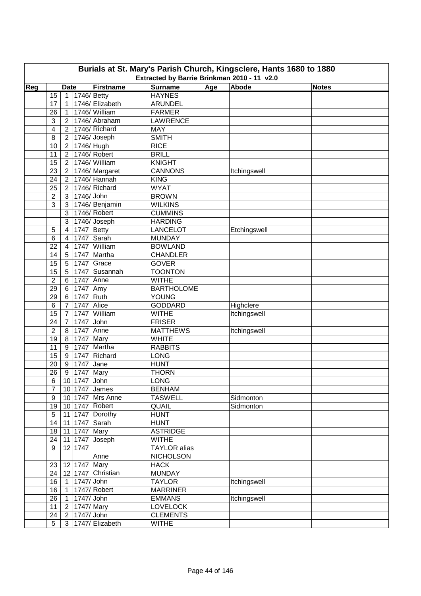| Burials at St. Mary's Parish Church, Kingsclere, Hants 1680 to 1880<br>Extracted by Barrie Brinkman 2010 - 11 v2.0 |                  |                 |                  |                     |                     |     |              |              |  |  |  |
|--------------------------------------------------------------------------------------------------------------------|------------------|-----------------|------------------|---------------------|---------------------|-----|--------------|--------------|--|--|--|
| Reg                                                                                                                |                  | <b>Date</b>     |                  | Firstname           | <b>Surname</b>      | Age | Abode        | <b>Notes</b> |  |  |  |
|                                                                                                                    | 15               | $\mathbf{1}$    | $ 1746 $ Betty   |                     | <b>HAYNES</b>       |     |              |              |  |  |  |
|                                                                                                                    | 17               | $\mathbf{1}$    |                  | 1746/ Elizabeth     | <b>ARUNDEL</b>      |     |              |              |  |  |  |
|                                                                                                                    | 26               | $\mathbf{1}$    |                  | 1746/William        | <b>FARMER</b>       |     |              |              |  |  |  |
|                                                                                                                    | 3                |                 |                  | 2   1746/ Abraham   | LAWRENCE            |     |              |              |  |  |  |
|                                                                                                                    | 4                |                 |                  | 2   1746/ Richard   | <b>MAY</b>          |     |              |              |  |  |  |
|                                                                                                                    | 8                |                 |                  | $2  1746 $ Joseph   | <b>SMITH</b>        |     |              |              |  |  |  |
|                                                                                                                    | 10               | 2 <sup>1</sup>  | 1746/ Hugh       |                     | <b>RICE</b>         |     |              |              |  |  |  |
|                                                                                                                    | 11               | 2 <sup>1</sup>  |                  | 1746/Robert         | <b>BRILL</b>        |     |              |              |  |  |  |
|                                                                                                                    | 15               | 2 <sup>1</sup>  |                  | 1746/William        | <b>KNIGHT</b>       |     |              |              |  |  |  |
|                                                                                                                    | 23               |                 |                  | 2 1746/Margaret     | <b>CANNONS</b>      |     | Itchingswell |              |  |  |  |
|                                                                                                                    | 24               |                 |                  | 2   1746/ Hannah    | <b>KING</b>         |     |              |              |  |  |  |
|                                                                                                                    | 25               |                 |                  | 2 1746/Richard      | <b>WYAT</b>         |     |              |              |  |  |  |
|                                                                                                                    | $\overline{2}$   | 3 <sup>1</sup>  | 1746/ John       |                     | <b>BROWN</b>        |     |              |              |  |  |  |
|                                                                                                                    | 3                | 3 <sup>1</sup>  |                  | 1746/Benjamin       | <b>WILKINS</b>      |     |              |              |  |  |  |
|                                                                                                                    |                  | 3               |                  | 1746/Robert         | <b>CUMMINS</b>      |     |              |              |  |  |  |
|                                                                                                                    |                  | 3               |                  | 1746/Joseph         | <b>HARDING</b>      |     |              |              |  |  |  |
|                                                                                                                    |                  | 4               | 1747 Betty       |                     | <b>LANCELOT</b>     |     |              |              |  |  |  |
|                                                                                                                    | 5                |                 |                  | 1747 Sarah          |                     |     | Etchingswell |              |  |  |  |
|                                                                                                                    | 6                | 4               |                  |                     | <b>MUNDAY</b>       |     |              |              |  |  |  |
|                                                                                                                    | 22               | 4               |                  | 1747 William        | <b>BOWLAND</b>      |     |              |              |  |  |  |
|                                                                                                                    | 14               | 5               |                  | 1747 Martha         | <b>CHANDLER</b>     |     |              |              |  |  |  |
|                                                                                                                    | 15               | $5\phantom{.0}$ |                  | 1747 Grace          | <b>GOVER</b>        |     |              |              |  |  |  |
|                                                                                                                    | 15               | $5\phantom{.0}$ |                  | 1747 Susannah       | <b>TOONTON</b>      |     |              |              |  |  |  |
|                                                                                                                    | $\overline{2}$   | 6 <sup>1</sup>  | 1747 Anne        |                     | <b>WITHE</b>        |     |              |              |  |  |  |
|                                                                                                                    | 29               |                 | 6 1747 Amy       |                     | <b>BARTHOLOME</b>   |     |              |              |  |  |  |
|                                                                                                                    | 29               |                 | 6 1747 Ruth      |                     | <b>YOUNG</b>        |     |              |              |  |  |  |
|                                                                                                                    | $\,6$            |                 | 7   1747   Alice |                     | <b>GODDARD</b>      |     | Highclere    |              |  |  |  |
|                                                                                                                    | 15               | $\overline{7}$  |                  | 1747 William        | <b>WITHE</b>        |     | Itchingswell |              |  |  |  |
|                                                                                                                    | 24               | $\overline{7}$  | 1747 John        |                     | <b>FRISER</b>       |     |              |              |  |  |  |
|                                                                                                                    | $\overline{2}$   | 8               | 1747 Anne        |                     | <b>MATTHEWS</b>     |     | Itchingswell |              |  |  |  |
|                                                                                                                    | 19               | 8 <sup>1</sup>  | 1747 Mary        |                     | <b>WHITE</b>        |     |              |              |  |  |  |
|                                                                                                                    | 11               | 9 <sup>1</sup>  |                  | 1747 Martha         | <b>RABBITS</b>      |     |              |              |  |  |  |
|                                                                                                                    | 15               |                 |                  | 9   1747   Richard  | <b>LONG</b>         |     |              |              |  |  |  |
|                                                                                                                    | 20               |                 | 9 1747 Jane      |                     | <b>HUNT</b>         |     |              |              |  |  |  |
|                                                                                                                    | 26               |                 | 9   1747   Mary  |                     | <b>THORN</b>        |     |              |              |  |  |  |
|                                                                                                                    | 6                |                 | $10$ 1747 John   |                     | LONG                |     |              |              |  |  |  |
|                                                                                                                    | $\overline{7}$   |                 |                  | 10 1747 James       | <b>BENHAM</b>       |     |              |              |  |  |  |
|                                                                                                                    | $\boldsymbol{9}$ |                 |                  | 10 1747 Mrs Anne    | <b>TASWELL</b>      |     | Sidmonton    |              |  |  |  |
|                                                                                                                    | 19               |                 |                  | 10 1747 Robert      | QUAIL               |     | Sidmonton    |              |  |  |  |
|                                                                                                                    | $\sqrt{5}$       |                 |                  | 11 1747 Dorothy     | <b>HUNT</b>         |     |              |              |  |  |  |
|                                                                                                                    | 14               |                 |                  | 11 1747 Sarah       | <b>HUNT</b>         |     |              |              |  |  |  |
|                                                                                                                    | 18               |                 | 11 1747 Mary     |                     | <b>ASTRIDGE</b>     |     |              |              |  |  |  |
|                                                                                                                    | 24               |                 |                  | 11 1747 Joseph      | <b>WITHE</b>        |     |              |              |  |  |  |
|                                                                                                                    | 9                |                 | 12 1747          |                     | <b>TAYLOR</b> alias |     |              |              |  |  |  |
|                                                                                                                    |                  |                 |                  | Anne                | <b>NICHOLSON</b>    |     |              |              |  |  |  |
|                                                                                                                    | 23               |                 | 12 1747 Mary     |                     | <b>HACK</b>         |     |              |              |  |  |  |
|                                                                                                                    | 24               |                 |                  | 12 1747 Christian   | <b>MUNDAY</b>       |     |              |              |  |  |  |
|                                                                                                                    | 16               |                 | 1   1747/ John   |                     | <b>TAYLOR</b>       |     | Itchingswell |              |  |  |  |
|                                                                                                                    | 16               |                 |                  | 1 1747/ Robert      | <b>MARRINER</b>     |     |              |              |  |  |  |
|                                                                                                                    | 26               | $\vert$ 1       | $1747$ /John     |                     | <b>EMMANS</b>       |     | Itchingswell |              |  |  |  |
|                                                                                                                    | 11               |                 | 2   1747/ Mary   |                     | <b>LOVELOCK</b>     |     |              |              |  |  |  |
|                                                                                                                    | 24               |                 | 2 1747/John      |                     | <b>CLEMENTS</b>     |     |              |              |  |  |  |
|                                                                                                                    | $5\overline{)}$  |                 |                  | 3   1747/ Elizabeth | <b>WITHE</b>        |     |              |              |  |  |  |
|                                                                                                                    |                  |                 |                  |                     |                     |     |              |              |  |  |  |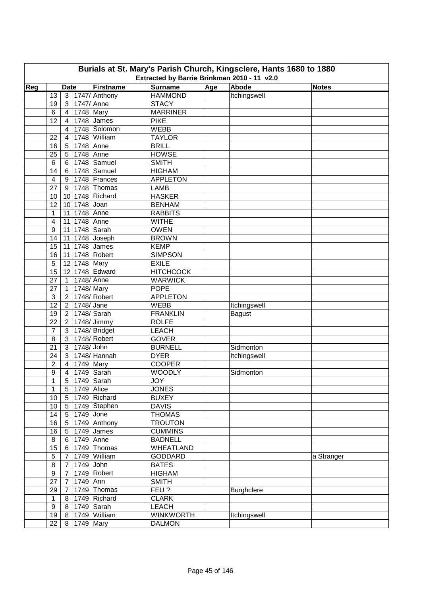| Burials at St. Mary's Parish Church, Kingsclere, Hants 1680 to 1880<br>Extracted by Barrie Brinkman 2010 - 11 v2.0 |                         |                |                  |                                 |                                |     |                   |              |  |  |  |
|--------------------------------------------------------------------------------------------------------------------|-------------------------|----------------|------------------|---------------------------------|--------------------------------|-----|-------------------|--------------|--|--|--|
| Reg                                                                                                                |                         | <b>Date</b>    |                  | Firstname                       | <b>Surname</b>                 | Age | Abode             | <b>Notes</b> |  |  |  |
|                                                                                                                    | 13                      |                |                  | 3 1747/ Anthony                 | <b>HAMMOND</b>                 |     | Itchingswell      |              |  |  |  |
|                                                                                                                    | 19                      | 3 l            | 1747/ Anne       |                                 | <b>STACY</b>                   |     |                   |              |  |  |  |
|                                                                                                                    | 6                       | $\overline{4}$ | 1748 Mary        |                                 | <b>MARRINER</b>                |     |                   |              |  |  |  |
|                                                                                                                    | 12                      | $\overline{4}$ |                  | 1748 James                      | <b>PIKE</b>                    |     |                   |              |  |  |  |
|                                                                                                                    |                         | $\overline{4}$ |                  | 1748 Solomon                    | <b>WEBB</b>                    |     |                   |              |  |  |  |
|                                                                                                                    | 22                      | $\overline{4}$ |                  | 1748 William                    | <b>TAYLOR</b>                  |     |                   |              |  |  |  |
|                                                                                                                    | 16                      | 5 <sup>1</sup> | 1748 Anne        |                                 | <b>BRILL</b>                   |     |                   |              |  |  |  |
|                                                                                                                    | 25                      | 5 <sup>1</sup> | 1748 Anne        |                                 | <b>HOWSE</b>                   |     |                   |              |  |  |  |
|                                                                                                                    | 6                       | 6 <sup>1</sup> |                  | 1748 Samuel                     | <b>SMITH</b>                   |     |                   |              |  |  |  |
|                                                                                                                    | 14                      | 6              |                  | 1748 Samuel                     | <b>HIGHAM</b>                  |     |                   |              |  |  |  |
|                                                                                                                    | 4                       | 9              |                  | 1748 Frances                    | <b>APPLETON</b>                |     |                   |              |  |  |  |
|                                                                                                                    | 27                      | 9              |                  | 1748 Thomas                     | <b>LAMB</b>                    |     |                   |              |  |  |  |
|                                                                                                                    | 10                      |                |                  | 10 1748 Richard                 | <b>HASKER</b>                  |     |                   |              |  |  |  |
|                                                                                                                    | 12                      |                | 10 1748 Joan     |                                 | <b>BENHAM</b>                  |     |                   |              |  |  |  |
|                                                                                                                    | 1                       |                | 11 1748 Anne     |                                 | <b>RABBITS</b>                 |     |                   |              |  |  |  |
|                                                                                                                    | $\overline{\mathbf{4}}$ |                |                  |                                 | <b>WITHE</b>                   |     |                   |              |  |  |  |
|                                                                                                                    | 9                       |                | 11 1748 Anne     |                                 | <b>OWEN</b>                    |     |                   |              |  |  |  |
|                                                                                                                    | 14                      |                |                  | 11 1748 Sarah<br>11 1748 Joseph | <b>BROWN</b>                   |     |                   |              |  |  |  |
|                                                                                                                    |                         |                |                  | 11 1748 James                   | <b>KEMP</b>                    |     |                   |              |  |  |  |
|                                                                                                                    | 15<br>16                |                |                  |                                 |                                |     |                   |              |  |  |  |
|                                                                                                                    |                         |                |                  | 11 1748 Robert                  | <b>SIMPSON</b><br><b>EXILE</b> |     |                   |              |  |  |  |
|                                                                                                                    | 5                       |                | 12 1748 Mary     |                                 |                                |     |                   |              |  |  |  |
|                                                                                                                    | 15                      |                |                  | 12 1748 Edward                  | <b>HITCHCOCK</b>               |     |                   |              |  |  |  |
|                                                                                                                    | 27                      |                | 1 1748/Anne      |                                 | <b>WARWICK</b>                 |     |                   |              |  |  |  |
|                                                                                                                    | 27                      | $\mathbf{1}$   | 1748/Mary        |                                 | <b>POPE</b>                    |     |                   |              |  |  |  |
|                                                                                                                    | 3                       |                |                  | 2 1748/ Robert                  | <b>APPLETON</b>                |     |                   |              |  |  |  |
|                                                                                                                    | 12                      |                | 2 1748/Jane      |                                 | <b>WEBB</b>                    |     | Itchingswell      |              |  |  |  |
|                                                                                                                    | 19                      |                |                  | 2 1748/ Sarah                   | <b>FRANKLIN</b>                |     | <b>Bagust</b>     |              |  |  |  |
|                                                                                                                    | 22                      |                |                  | 2 1748/ Jimmy                   | <b>ROLFE</b>                   |     |                   |              |  |  |  |
|                                                                                                                    | $\overline{7}$          |                |                  | 3 1748/ Bridget                 | <b>LEACH</b>                   |     |                   |              |  |  |  |
|                                                                                                                    | 8                       |                |                  | 3 1748/ Robert                  | <b>GOVER</b>                   |     |                   |              |  |  |  |
|                                                                                                                    | 21                      |                | 3 1748/John      |                                 | <b>BURNELL</b>                 |     | Sidmonton         |              |  |  |  |
|                                                                                                                    | 24                      |                |                  | 3 1748/ Hannah                  | <b>DYER</b>                    |     | Itchingswell      |              |  |  |  |
|                                                                                                                    | $\overline{2}$          |                | 4 1749 Mary      |                                 | <b>COOPER</b>                  |     |                   |              |  |  |  |
|                                                                                                                    | 9                       |                |                  | 4 1749 Sarah                    | <b>WOODLY</b>                  |     | Sidmonton         |              |  |  |  |
|                                                                                                                    | $\overline{1}$          |                |                  | 5 1749 Sarah                    | <b>JOY</b>                     |     |                   |              |  |  |  |
|                                                                                                                    | $\mathbf{1}$            |                | 5   1749   Alice |                                 | <b>JONES</b>                   |     |                   |              |  |  |  |
|                                                                                                                    | 10                      |                |                  | 5 1749 Richard                  | <b>BUXEY</b>                   |     |                   |              |  |  |  |
|                                                                                                                    | 10                      |                |                  | 5 1749 Stephen                  | <b>DAVIS</b>                   |     |                   |              |  |  |  |
|                                                                                                                    | 14                      |                | 5 1749 Jone      |                                 | <b>THOMAS</b>                  |     |                   |              |  |  |  |
|                                                                                                                    | 16                      |                |                  | 5 1749 Anthony                  | <b>TROUTON</b>                 |     |                   |              |  |  |  |
|                                                                                                                    | 16                      |                |                  | 5 1749 James                    | <b>CUMMINS</b>                 |     |                   |              |  |  |  |
|                                                                                                                    | 8                       |                | 6 1749 Anne      |                                 | <b>BADNELL</b>                 |     |                   |              |  |  |  |
|                                                                                                                    | 15                      |                |                  | 6   1749   Thomas               | <b>WHEATLAND</b>               |     |                   |              |  |  |  |
|                                                                                                                    | $\sqrt{5}$              |                |                  | $\overline{7}$ 1749 William     | <b>GODDARD</b>                 |     |                   | a Stranger   |  |  |  |
|                                                                                                                    | 8                       | 7 <sup>1</sup> | 1749 John        |                                 | <b>BATES</b>                   |     |                   |              |  |  |  |
|                                                                                                                    | 9                       | 7 <sup>1</sup> |                  | 1749 Robert                     | <b>HIGHAM</b>                  |     |                   |              |  |  |  |
|                                                                                                                    | 27                      | 7 <sup>1</sup> | 1749 Ann         |                                 | <b>SMITH</b>                   |     |                   |              |  |  |  |
|                                                                                                                    | 29                      | 7 <sup>1</sup> |                  | 1749 Thomas                     | FEU?                           |     | <b>Burghclere</b> |              |  |  |  |
|                                                                                                                    | $\mathbf{1}$            |                |                  | 8 1749 Richard                  | <b>CLARK</b>                   |     |                   |              |  |  |  |
|                                                                                                                    | 9                       |                |                  | 8   1749   Sarah                | <b>LEACH</b>                   |     |                   |              |  |  |  |
|                                                                                                                    | 19                      |                |                  | 8   1749   William              | <b>WINKWORTH</b>               |     | Itchingswell      |              |  |  |  |
|                                                                                                                    | 22                      |                | 8 1749 Mary      |                                 | <b>DALMON</b>                  |     |                   |              |  |  |  |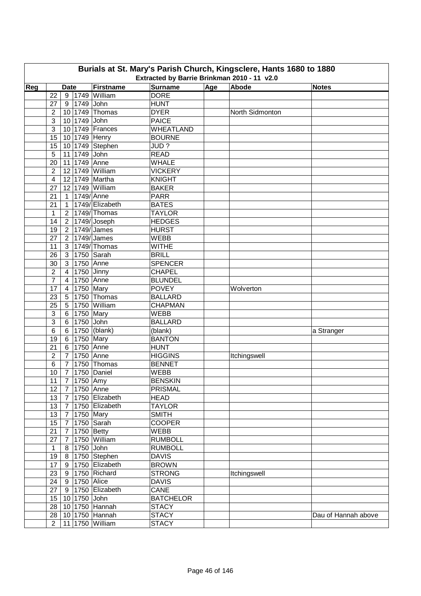|     | Burials at St. Mary's Parish Church, Kingsclere, Hants 1680 to 1880<br>Extracted by Barrie Brinkman 2010 - 11 v2.0 |                |  |                           |                  |     |                 |                     |  |  |  |  |
|-----|--------------------------------------------------------------------------------------------------------------------|----------------|--|---------------------------|------------------|-----|-----------------|---------------------|--|--|--|--|
| Reg |                                                                                                                    | <b>Date</b>    |  | Firstname                 | <b>Surname</b>   | Age | Abode           | <b>Notes</b>        |  |  |  |  |
|     | 22                                                                                                                 |                |  | 9 1749 William            | <b>DORE</b>      |     |                 |                     |  |  |  |  |
|     | 27                                                                                                                 |                |  | 9   1749 John             | <b>HUNT</b>      |     |                 |                     |  |  |  |  |
|     | $\overline{2}$                                                                                                     |                |  | 10 1749 Thomas            | <b>DYER</b>      |     | North Sidmonton |                     |  |  |  |  |
|     | 3                                                                                                                  |                |  | 10 1749 John              | <b>PAICE</b>     |     |                 |                     |  |  |  |  |
|     | 3                                                                                                                  |                |  | 10 1749 Frances           | <b>WHEATLAND</b> |     |                 |                     |  |  |  |  |
|     | 15                                                                                                                 |                |  | 10 1749 Henry             | <b>BOURNE</b>    |     |                 |                     |  |  |  |  |
|     | 15                                                                                                                 |                |  | 10 1749 Stephen           | JUD?             |     |                 |                     |  |  |  |  |
|     |                                                                                                                    |                |  | 11 1749 John              | <b>READ</b>      |     |                 |                     |  |  |  |  |
|     | 5<br>20                                                                                                            |                |  | 11 1749 Anne              | <b>WHALE</b>     |     |                 |                     |  |  |  |  |
|     | $\overline{2}$                                                                                                     |                |  | 12 1749 William           |                  |     |                 |                     |  |  |  |  |
|     |                                                                                                                    |                |  | 12 1749 Martha            | <b>VICKERY</b>   |     |                 |                     |  |  |  |  |
|     | $\overline{4}$                                                                                                     |                |  |                           | <b>KNIGHT</b>    |     |                 |                     |  |  |  |  |
|     | 27                                                                                                                 |                |  | 12 1749 William           | <b>BAKER</b>     |     |                 |                     |  |  |  |  |
|     | 21                                                                                                                 |                |  | 1 1749/Anne               | <b>PARR</b>      |     |                 |                     |  |  |  |  |
|     | 21                                                                                                                 | 1              |  | 1749/ Elizabeth           | <b>BATES</b>     |     |                 |                     |  |  |  |  |
|     | $\mathbf{1}$                                                                                                       |                |  | 2   1749/ Thomas          | <b>TAYLOR</b>    |     |                 |                     |  |  |  |  |
|     | 14                                                                                                                 |                |  | $\sqrt{2}$ 1749/Joseph    | <b>HEDGES</b>    |     |                 |                     |  |  |  |  |
|     | 19                                                                                                                 |                |  | 2   1749/ James           | <b>HURST</b>     |     |                 |                     |  |  |  |  |
|     | 27                                                                                                                 |                |  | 2   1749/ James           | <b>WEBB</b>      |     |                 |                     |  |  |  |  |
|     | 11                                                                                                                 |                |  | 3 1749/Thomas             | <b>WITHE</b>     |     |                 |                     |  |  |  |  |
|     | 26                                                                                                                 |                |  | 3 1750 Sarah              | <b>BRILL</b>     |     |                 |                     |  |  |  |  |
|     | 30                                                                                                                 |                |  | 3 1750 Anne               | <b>SPENCER</b>   |     |                 |                     |  |  |  |  |
|     | 2                                                                                                                  | $\overline{4}$ |  | $1750$ Jinny              | <b>CHAPEL</b>    |     |                 |                     |  |  |  |  |
|     | $\overline{7}$                                                                                                     |                |  | 4 1750 Anne               | <b>BLUNDEL</b>   |     |                 |                     |  |  |  |  |
|     | 17                                                                                                                 | 4 <sup>1</sup> |  | 1750 Mary                 | <b>POVEY</b>     |     | Wolverton       |                     |  |  |  |  |
|     | 23                                                                                                                 |                |  | 5 1750 Thomas             | <b>BALLARD</b>   |     |                 |                     |  |  |  |  |
|     | 25                                                                                                                 |                |  | 5 1750 William            | <b>CHAPMAN</b>   |     |                 |                     |  |  |  |  |
|     | 3                                                                                                                  |                |  | 6 1750 Mary               | <b>WEBB</b>      |     |                 |                     |  |  |  |  |
|     | 3                                                                                                                  |                |  | 6 1750 John               | <b>BALLARD</b>   |     |                 |                     |  |  |  |  |
|     | 6                                                                                                                  |                |  | 6   1750 (blank)          | (blank)          |     |                 | a Stranger          |  |  |  |  |
|     | 19                                                                                                                 |                |  | 6 1750 Mary               | <b>BANTON</b>    |     |                 |                     |  |  |  |  |
|     | 21                                                                                                                 | 6 <sup>1</sup> |  | 1750 Anne                 | <b>HUNT</b>      |     |                 |                     |  |  |  |  |
|     | $\overline{c}$                                                                                                     | $\overline{7}$ |  | 1750 Anne                 | <b>HIGGINS</b>   |     | Itchingswell    |                     |  |  |  |  |
|     | 6                                                                                                                  | 7 <sup>1</sup> |  | 1750 Thomas               | <b>BENNET</b>    |     |                 |                     |  |  |  |  |
|     | 10                                                                                                                 |                |  | 7   1750   Daniel         | <b>WEBB</b>      |     |                 |                     |  |  |  |  |
|     |                                                                                                                    |                |  | 11   7   1750 Amy         | <b>BENSKIN</b>   |     |                 |                     |  |  |  |  |
|     | 12 <sup>°</sup>                                                                                                    |                |  | 7 1750 Anne               | PRISMAL          |     |                 |                     |  |  |  |  |
|     | 13                                                                                                                 |                |  | $7$   1750 Elizabeth      | <b>HEAD</b>      |     |                 |                     |  |  |  |  |
|     | 13                                                                                                                 |                |  | $7$   1750 Elizabeth      | <b>TAYLOR</b>    |     |                 |                     |  |  |  |  |
|     | 13                                                                                                                 |                |  | 7 1750 Mary               | <b>SMITH</b>     |     |                 |                     |  |  |  |  |
|     | 15 <sub>15</sub>                                                                                                   |                |  | 7 1750 Sarah              | <b>COOPER</b>    |     |                 |                     |  |  |  |  |
|     | 21                                                                                                                 |                |  | 7 1750 Betty              | <b>WEBB</b>      |     |                 |                     |  |  |  |  |
|     | 27                                                                                                                 |                |  | 7 1750 William            | <b>RUMBOLL</b>   |     |                 |                     |  |  |  |  |
|     | $\mathbf{1}$                                                                                                       |                |  | 8 1750 John               | <b>RUMBOLL</b>   |     |                 |                     |  |  |  |  |
|     |                                                                                                                    |                |  | 19 8 1750 Stephen         | <b>DAVIS</b>     |     |                 |                     |  |  |  |  |
|     | 17                                                                                                                 |                |  | 9 1750 Elizabeth          | <b>BROWN</b>     |     |                 |                     |  |  |  |  |
|     | 23                                                                                                                 |                |  | 9 1750 Richard            | <b>STRONG</b>    |     | Itchingswell    |                     |  |  |  |  |
|     |                                                                                                                    |                |  | 24 9 1750 Alice           | <b>DAVIS</b>     |     |                 |                     |  |  |  |  |
|     |                                                                                                                    |                |  | 27   9   1750   Elizabeth | CANE             |     |                 |                     |  |  |  |  |
|     |                                                                                                                    |                |  | 15   10   1750 John       | <b>BATCHELOR</b> |     |                 |                     |  |  |  |  |
|     |                                                                                                                    |                |  | 28   10   1750 Hannah     | <b>STACY</b>     |     |                 |                     |  |  |  |  |
|     |                                                                                                                    |                |  |                           |                  |     |                 |                     |  |  |  |  |
|     |                                                                                                                    |                |  | 28   10   1750   Hannah   | <b>STACY</b>     |     |                 | Dau of Hannah above |  |  |  |  |
|     | $2^{\circ}$                                                                                                        |                |  | 11 1750 William           | <b>STACY</b>     |     |                 |                     |  |  |  |  |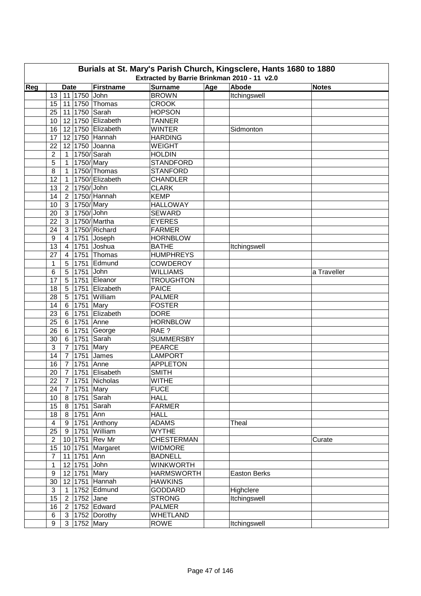| Burials at St. Mary's Parish Church, Kingsclere, Hants 1680 to 1880<br>Extracted by Barrie Brinkman 2010 - 11 v2.0 |                         |                 |                 |                   |                   |     |              |              |  |  |  |
|--------------------------------------------------------------------------------------------------------------------|-------------------------|-----------------|-----------------|-------------------|-------------------|-----|--------------|--------------|--|--|--|
| Reg                                                                                                                |                         | <b>Date</b>     |                 | Firstname         | <b>Surname</b>    | Age | Abode        | <b>Notes</b> |  |  |  |
|                                                                                                                    | 13                      |                 | 11 1750 John    |                   | <b>BROWN</b>      |     | Itchingswell |              |  |  |  |
|                                                                                                                    | 15                      |                 |                 | 11 1750 Thomas    | <b>CROOK</b>      |     |              |              |  |  |  |
|                                                                                                                    | 25                      |                 |                 | 11 1750 Sarah     | <b>HOPSON</b>     |     |              |              |  |  |  |
|                                                                                                                    | 10                      |                 |                 | 12 1750 Elizabeth | <b>TANNER</b>     |     |              |              |  |  |  |
|                                                                                                                    | 16                      |                 |                 | 12 1750 Elizabeth | <b>WINTER</b>     |     | Sidmonton    |              |  |  |  |
|                                                                                                                    | 17                      |                 |                 | 12 1750 Hannah    | <b>HARDING</b>    |     |              |              |  |  |  |
|                                                                                                                    | 22                      |                 |                 | 12 1750 Joanna    | <b>WEIGHT</b>     |     |              |              |  |  |  |
|                                                                                                                    | $\overline{2}$          | 1               |                 | $1750$ /Sarah     | <b>HOLDIN</b>     |     |              |              |  |  |  |
|                                                                                                                    | 5                       | 1               | 1750/Mary       |                   | <b>STANDFORD</b>  |     |              |              |  |  |  |
|                                                                                                                    | 8                       | $\mathbf{1}$    |                 | 1750/Thomas       | <b>STANFORD</b>   |     |              |              |  |  |  |
|                                                                                                                    | 12                      | $\mathbf{1}$    |                 | 1750/ Elizabeth   | <b>CHANDLER</b>   |     |              |              |  |  |  |
|                                                                                                                    | 13                      | 2 <sup>1</sup>  | 1750/ John      |                   | <b>CLARK</b>      |     |              |              |  |  |  |
|                                                                                                                    | 14                      |                 |                 | 2   1750/ Hannah  | <b>KEMP</b>       |     |              |              |  |  |  |
|                                                                                                                    | 10                      | 3 <sup>1</sup>  | 1750/Mary       |                   | <b>HALLOWAY</b>   |     |              |              |  |  |  |
|                                                                                                                    | 20                      | 3 <sup>1</sup>  | 1750/ John      |                   | <b>SEWARD</b>     |     |              |              |  |  |  |
|                                                                                                                    | 22                      | 3 <sup>1</sup>  |                 | 1750/Martha       | <b>EYERES</b>     |     |              |              |  |  |  |
|                                                                                                                    | 24                      | 3               |                 | 1750/Richard      | <b>FARMER</b>     |     |              |              |  |  |  |
|                                                                                                                    | $\boldsymbol{9}$        | 4               |                 | 1751 Joseph       | <b>HORNBLOW</b>   |     |              |              |  |  |  |
|                                                                                                                    | 13                      | 4               |                 | 1751 Joshua       | <b>BATHE</b>      |     | Itchingswell |              |  |  |  |
|                                                                                                                    | 27                      | 4               |                 | 1751 Thomas       | <b>HUMPHREYS</b>  |     |              |              |  |  |  |
|                                                                                                                    | 1                       | 5               | 1751            | Edmund            | <b>COWDEROY</b>   |     |              |              |  |  |  |
|                                                                                                                    | 6                       | 5               | 1751            | John              | <b>WILLIAMS</b>   |     |              | a Traveller  |  |  |  |
|                                                                                                                    | 17                      | 5               | 1751            | Eleanor           | <b>TROUGHTON</b>  |     |              |              |  |  |  |
|                                                                                                                    | 18                      | $5\phantom{.0}$ | 1751            | Elizabeth         | <b>PAICE</b>      |     |              |              |  |  |  |
|                                                                                                                    | 28                      | $5\phantom{.0}$ | 1751            | William           | <b>PALMER</b>     |     |              |              |  |  |  |
|                                                                                                                    | 14                      |                 | 6 1751          | Mary              | <b>FOSTER</b>     |     |              |              |  |  |  |
|                                                                                                                    | 23                      |                 | 6 1751          | Elizabeth         | <b>DORE</b>       |     |              |              |  |  |  |
|                                                                                                                    | 25                      | 6 <sup>1</sup>  | 1751 Anne       |                   | <b>HORNBLOW</b>   |     |              |              |  |  |  |
|                                                                                                                    | 26                      | 6               | 1751            | George            | RAE ?             |     |              |              |  |  |  |
|                                                                                                                    | 30                      | 6               |                 | 1751 Sarah        | <b>SUMMERSBY</b>  |     |              |              |  |  |  |
|                                                                                                                    | 3                       | $\overline{7}$  | 1751 Mary       |                   | <b>PEARCE</b>     |     |              |              |  |  |  |
|                                                                                                                    | 14                      | $7^{\circ}$     | 1751            | James             | <b>LAMPORT</b>    |     |              |              |  |  |  |
|                                                                                                                    | 16                      | $\overline{7}$  | 1751 Anne       |                   | <b>APPLETON</b>   |     |              |              |  |  |  |
|                                                                                                                    | 20                      |                 |                 | 7 1751 Elisabeth  | <b>SMITH</b>      |     |              |              |  |  |  |
|                                                                                                                    | $\overline{22}$         |                 |                 | 7 1751 Nicholas   | <b>WITHE</b>      |     |              |              |  |  |  |
|                                                                                                                    | 24                      | 7 <sup>1</sup>  | 1751 Mary       |                   | <b>FUCE</b>       |     |              |              |  |  |  |
|                                                                                                                    | 10                      |                 |                 | 8 1751 Sarah      | <b>HALL</b>       |     |              |              |  |  |  |
|                                                                                                                    | 15                      |                 |                 | 8 1751 Sarah      | <b>FARMER</b>     |     |              |              |  |  |  |
|                                                                                                                    | 18                      |                 | 8 1751 Ann      |                   | <b>HALL</b>       |     |              |              |  |  |  |
|                                                                                                                    | $\overline{\mathbf{4}}$ |                 |                 | 9   1751 Anthony  | <b>ADAMS</b>      |     | Theal        |              |  |  |  |
|                                                                                                                    | 25                      |                 |                 | 9 1751 William    | <b>WYTHE</b>      |     |              |              |  |  |  |
|                                                                                                                    | $\overline{2}$          |                 |                 | 10 1751 Rev Mr    | <b>CHESTERMAN</b> |     |              | Curate       |  |  |  |
|                                                                                                                    | 15                      |                 |                 | 10 1751 Margaret  | <b>WIDMORE</b>    |     |              |              |  |  |  |
|                                                                                                                    | $\overline{7}$          |                 | 11 1751 Ann     |                   | <b>BADNELL</b>    |     |              |              |  |  |  |
|                                                                                                                    | $\mathbf 1$             |                 | 12 1751 John    |                   | <b>WINKWORTH</b>  |     |              |              |  |  |  |
|                                                                                                                    | $\boldsymbol{9}$        |                 | 12 1751 Mary    |                   | <b>HARMSWORTH</b> |     | Easton Berks |              |  |  |  |
|                                                                                                                    | 30                      |                 |                 | 12 1751 Hannah    | <b>HAWKINS</b>    |     |              |              |  |  |  |
|                                                                                                                    | $\sqrt{3}$              |                 |                 | 1 1752 Edmund     | <b>GODDARD</b>    |     | Highclere    |              |  |  |  |
|                                                                                                                    | 15                      |                 | 2   1752 Jane   |                   | <b>STRONG</b>     |     | Itchingswell |              |  |  |  |
|                                                                                                                    | 16                      | 2 <sup>1</sup>  |                 | 1752 Edward       | <b>PALMER</b>     |     |              |              |  |  |  |
|                                                                                                                    | 6                       | 3 <sup>1</sup>  |                 | 1752 Dorothy      | <b>WHETLAND</b>   |     |              |              |  |  |  |
|                                                                                                                    | 9                       |                 | 3   1752   Mary |                   | <b>ROWE</b>       |     | Itchingswell |              |  |  |  |
|                                                                                                                    |                         |                 |                 |                   |                   |     |              |              |  |  |  |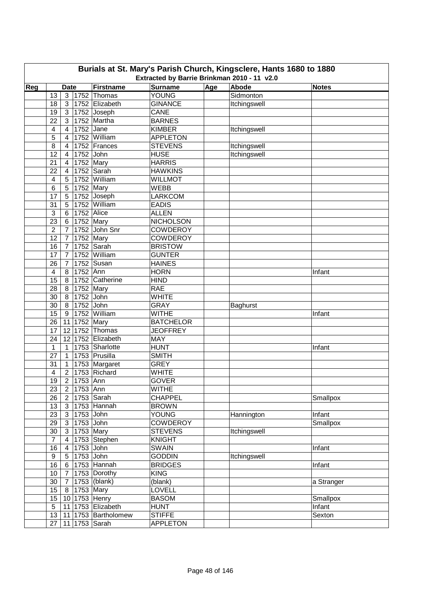| Burials at St. Mary's Parish Church, Kingsclere, Hants 1680 to 1880<br>Extracted by Barrie Brinkman 2010 - 11 v2.0 |                         |                             |                   |                  |     |                 |              |  |  |  |
|--------------------------------------------------------------------------------------------------------------------|-------------------------|-----------------------------|-------------------|------------------|-----|-----------------|--------------|--|--|--|
| Reg                                                                                                                |                         | <b>Date</b>                 | Firstname         | <b>Surname</b>   | Age | <b>Abode</b>    | <b>Notes</b> |  |  |  |
|                                                                                                                    | 13                      | 3                           | 1752 Thomas       | YOUNG            |     | Sidmonton       |              |  |  |  |
|                                                                                                                    | 18                      | 3 <sup>1</sup>              | 1752 Elizabeth    | <b>GINANCE</b>   |     | Itchingswell    |              |  |  |  |
|                                                                                                                    | 19                      | 3 1752 Joseph               |                   | CANE             |     |                 |              |  |  |  |
|                                                                                                                    | 22                      | 3 1752 Martha               |                   | <b>BARNES</b>    |     |                 |              |  |  |  |
|                                                                                                                    | $\overline{\mathbf{4}}$ | 1752 Jane<br>$\overline{4}$ |                   | <b>KIMBER</b>    |     | Itchingswell    |              |  |  |  |
|                                                                                                                    | 5                       | $\overline{4}$              | 1752 William      | <b>APPLETON</b>  |     |                 |              |  |  |  |
|                                                                                                                    | 8                       | $\overline{4}$              | 1752 Frances      | <b>STEVENS</b>   |     | Itchingswell    |              |  |  |  |
|                                                                                                                    | 12                      | $\overline{4}$              | 1752 John         | <b>HUSE</b>      |     | Itchingswell    |              |  |  |  |
|                                                                                                                    | 21                      | $\overline{4}$              | $1752$ Mary       | <b>HARRIS</b>    |     |                 |              |  |  |  |
|                                                                                                                    | 22                      | $\overline{4}$              | 1752 Sarah        | <b>HAWKINS</b>   |     |                 |              |  |  |  |
|                                                                                                                    | 4                       | 5                           | 1752 William      | <b>WILLMOT</b>   |     |                 |              |  |  |  |
|                                                                                                                    | 6                       | 5                           | 1752 Mary         | <b>WEBB</b>      |     |                 |              |  |  |  |
|                                                                                                                    | 17                      | 5                           | 1752 Joseph       | <b>LARKCOM</b>   |     |                 |              |  |  |  |
|                                                                                                                    | 31                      | 5                           | 1752 William      | <b>EADIS</b>     |     |                 |              |  |  |  |
|                                                                                                                    |                         |                             | 1752 Alice        | <b>ALLEN</b>     |     |                 |              |  |  |  |
|                                                                                                                    | 3                       | 6                           |                   |                  |     |                 |              |  |  |  |
|                                                                                                                    | 23                      | 6                           | 1752 Mary         | <b>NICHOLSON</b> |     |                 |              |  |  |  |
|                                                                                                                    | $\overline{c}$          | $\overline{7}$              | 1752 John Snr     | <b>COWDEROY</b>  |     |                 |              |  |  |  |
|                                                                                                                    | 12                      | $\overline{7}$              | 1752 Mary         | <b>COWDEROY</b>  |     |                 |              |  |  |  |
|                                                                                                                    | 16                      | $\overline{7}$              | 1752 Sarah        | <b>BRISTOW</b>   |     |                 |              |  |  |  |
|                                                                                                                    | 17                      | $\overline{7}$              | 1752 William      | <b>GUNTER</b>    |     |                 |              |  |  |  |
|                                                                                                                    | 26                      | 7                           | 1752 Susan        | <b>HAINES</b>    |     |                 |              |  |  |  |
|                                                                                                                    | $\overline{\mathbf{4}}$ | 1752 Ann<br>8               |                   | <b>HORN</b>      |     |                 | Infant       |  |  |  |
|                                                                                                                    | 15                      |                             | 8 1752 Catherine  | <b>HIND</b>      |     |                 |              |  |  |  |
|                                                                                                                    | 28                      | 8 1752 Mary                 |                   | <b>RAE</b>       |     |                 |              |  |  |  |
|                                                                                                                    | 30                      | 8 1752 John                 |                   | <b>WHITE</b>     |     |                 |              |  |  |  |
|                                                                                                                    | 30                      | 8 1752 John                 |                   | <b>GRAY</b>      |     | <b>Baghurst</b> |              |  |  |  |
|                                                                                                                    | 15                      | 9 1752 William              |                   | <b>WITHE</b>     |     |                 | Infant       |  |  |  |
|                                                                                                                    | 26                      | 11 1752 Mary                |                   | <b>BATCHELOR</b> |     |                 |              |  |  |  |
|                                                                                                                    | 17                      | 12 1752 Thomas              |                   | <b>JEOFFREY</b>  |     |                 |              |  |  |  |
|                                                                                                                    | 24                      |                             | 12 1752 Elizabeth | MAY              |     |                 |              |  |  |  |
|                                                                                                                    | 1                       | $\mathbf{1}$                | 1753 Sharlotte    | <b>HUNT</b>      |     |                 | Infant       |  |  |  |
|                                                                                                                    | 27                      | $\mathbf{1}$                | 1753 Prusilla     | <b>SMITH</b>     |     |                 |              |  |  |  |
|                                                                                                                    | 31                      | $\mathbf{1}$                | 1753 Margaret     | <b>GREY</b>      |     |                 |              |  |  |  |
|                                                                                                                    | 4                       | 2 1753 Richard              |                   | <b>WHITE</b>     |     |                 |              |  |  |  |
|                                                                                                                    | 19                      | 2 1753 Ann                  |                   | <b>GOVER</b>     |     |                 |              |  |  |  |
|                                                                                                                    | 23                      | 2 <sup>1</sup><br>1753 Ann  |                   | <b>WITHE</b>     |     |                 |              |  |  |  |
|                                                                                                                    | 26                      | 2 <sup>1</sup>              | 1753 $S$ arah     | <b>CHAPPEL</b>   |     |                 | Smallpox     |  |  |  |
|                                                                                                                    | 13                      | $\mathbf{3}$                | 1753 Hannah       | <b>BROWN</b>     |     |                 |              |  |  |  |
|                                                                                                                    | 23                      | $\mathbf{3}$                | 1753 John         | <b>YOUNG</b>     |     | Hannington      | Infant       |  |  |  |
|                                                                                                                    | 29                      | 3 <sup>1</sup>              | 1753 John         | <b>COWDEROY</b>  |     |                 | Smallpox     |  |  |  |
|                                                                                                                    | 30                      | $\mathbf{3}$                | $1753$ Mary       | <b>STEVENS</b>   |     | Itchingswell    |              |  |  |  |
|                                                                                                                    | $\overline{7}$          | $\overline{4}$              | 1753 Stephen      | <b>KNIGHT</b>    |     |                 |              |  |  |  |
|                                                                                                                    | 16                      | $\overline{4}$              | 1753 John         | <b>SWAIN</b>     |     |                 | Infant       |  |  |  |
|                                                                                                                    | 9                       | 1753 John<br>5 <sup>1</sup> |                   | <b>GODDIN</b>    |     | Itchingswell    |              |  |  |  |
|                                                                                                                    | 16                      | 6 <sup>1</sup>              | 1753 Hannah       | <b>BRIDGES</b>   |     |                 | Infant       |  |  |  |
|                                                                                                                    | 10                      | $\overline{7}$              | 1753 Dorothy      | <b>KING</b>      |     |                 |              |  |  |  |
|                                                                                                                    | 30                      | $7\overline{ }$             | 1753 (blank)      | (blank)          |     |                 | a Stranger   |  |  |  |
|                                                                                                                    | 15                      | 8 <sup>1</sup>              | 1753 Mary         | LOVELL           |     |                 |              |  |  |  |
|                                                                                                                    | 15                      | 10 1753 Henry               |                   | <b>BASOM</b>     |     |                 | Smallpox     |  |  |  |
|                                                                                                                    | 5                       |                             | 11 1753 Elizabeth | <b>HUNT</b>      |     |                 | Infant       |  |  |  |
|                                                                                                                    | 13                      | 11                          | 1753 Bartholomew  | <b>STIFFE</b>    |     |                 | Sexton       |  |  |  |
|                                                                                                                    | 27                      | 11 1753 Sarah               |                   | <b>APPLETON</b>  |     |                 |              |  |  |  |
|                                                                                                                    |                         |                             |                   |                  |     |                 |              |  |  |  |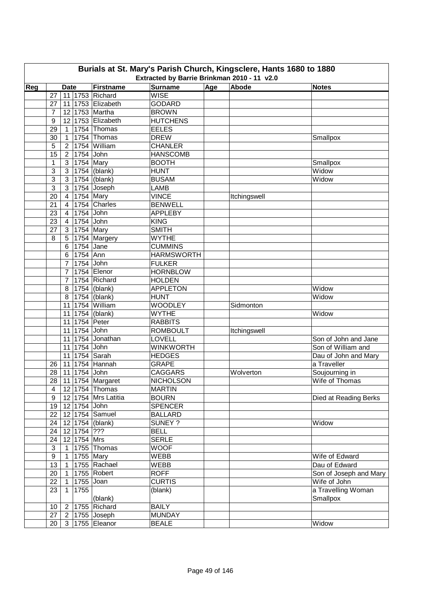|     | Burials at St. Mary's Parish Church, Kingsclere, Hants 1680 to 1880<br>Extracted by Barrie Brinkman 2010 - 11 v2.0 |                                  |             |                                       |                                   |     |              |                                 |  |  |  |  |
|-----|--------------------------------------------------------------------------------------------------------------------|----------------------------------|-------------|---------------------------------------|-----------------------------------|-----|--------------|---------------------------------|--|--|--|--|
|     |                                                                                                                    |                                  |             |                                       |                                   |     |              |                                 |  |  |  |  |
| Reg | 27                                                                                                                 | <b>Date</b>                      |             | <b>Firstname</b><br>11 1753 Richard   | Surname<br><b>WISE</b>            | Age | Abode        | <b>Notes</b>                    |  |  |  |  |
|     | 27                                                                                                                 | 11                               |             | 1753 Elizabeth                        | <b>GODARD</b>                     |     |              |                                 |  |  |  |  |
|     | 7                                                                                                                  |                                  |             | 12 1753 Martha                        | <b>BROWN</b>                      |     |              |                                 |  |  |  |  |
|     |                                                                                                                    |                                  |             | 12 1753 Elizabeth                     | <b>HUTCHENS</b>                   |     |              |                                 |  |  |  |  |
|     | 9<br>29                                                                                                            | $\mathbf{1}$                     |             | 1754 Thomas                           | <b>EELES</b>                      |     |              |                                 |  |  |  |  |
|     | 30                                                                                                                 | $\mathbf{1}$                     |             | 1754 Thomas                           | <b>DREW</b>                       |     |              |                                 |  |  |  |  |
|     | 5                                                                                                                  | $2^{\circ}$                      |             | 1754 William                          | <b>CHANLER</b>                    |     |              | Smallpox                        |  |  |  |  |
|     | 15                                                                                                                 |                                  |             | 1754 John                             | <b>HANSCOMB</b>                   |     |              |                                 |  |  |  |  |
|     | 1                                                                                                                  | $2^{\circ}$<br>3                 |             | 1754 Mary                             | <b>BOOTH</b>                      |     |              | Smallpox                        |  |  |  |  |
|     | 3                                                                                                                  | 3 <sup>1</sup>                   |             | 1754 (blank)                          | <b>HUNT</b>                       |     |              | Widow                           |  |  |  |  |
|     | 3                                                                                                                  | $\mathbf{3}$                     |             | 1754 (blank)                          | <b>BUSAM</b>                      |     |              | Widow                           |  |  |  |  |
|     | 3                                                                                                                  | 3                                |             | 1754 Joseph                           | <b>LAMB</b>                       |     |              |                                 |  |  |  |  |
|     | 20                                                                                                                 | $\overline{4}$                   |             | 1754 Mary                             | <b>VINCE</b>                      |     | Itchingswell |                                 |  |  |  |  |
|     | 21                                                                                                                 | 4                                |             | 1754 Charles                          | <b>BENWELL</b>                    |     |              |                                 |  |  |  |  |
|     | 23                                                                                                                 | $\overline{4}$                   |             | 1754 John                             | <b>APPLEBY</b>                    |     |              |                                 |  |  |  |  |
|     | 23                                                                                                                 |                                  |             | 1754 John                             | <b>KING</b>                       |     |              |                                 |  |  |  |  |
|     | 27                                                                                                                 | $\overline{4}$<br>3 <sup>1</sup> |             | 1754 Mary                             | <b>SMITH</b>                      |     |              |                                 |  |  |  |  |
|     | 8                                                                                                                  | 5                                |             | 1754 Margery                          | <b>WYTHE</b>                      |     |              |                                 |  |  |  |  |
|     |                                                                                                                    | 6                                |             | 1754 Jane                             | <b>CUMMINS</b>                    |     |              |                                 |  |  |  |  |
|     |                                                                                                                    | 6                                | 1754 Ann    |                                       | <b>HARMSWORTH</b>                 |     |              |                                 |  |  |  |  |
|     |                                                                                                                    | $\overline{7}$                   |             | 1754 John                             | <b>FULKER</b>                     |     |              |                                 |  |  |  |  |
|     |                                                                                                                    | $\overline{7}$                   |             | 1754 Elenor                           | <b>HORNBLOW</b>                   |     |              |                                 |  |  |  |  |
|     |                                                                                                                    | $\overline{7}$                   |             | 1754 Richard                          | <b>HOLDEN</b>                     |     |              |                                 |  |  |  |  |
|     |                                                                                                                    | 8                                |             | 1754 (blank)                          |                                   |     |              |                                 |  |  |  |  |
|     |                                                                                                                    | 8                                |             | $1754$ (blank)                        | <b>APPLETON</b><br><b>HUNT</b>    |     |              | Widow<br>Widow                  |  |  |  |  |
|     |                                                                                                                    |                                  |             | 11 1754 William                       | <b>WOODLEY</b>                    |     | Sidmonton    |                                 |  |  |  |  |
|     |                                                                                                                    |                                  |             | 11 1754 (blank)                       | <b>WYTHE</b>                      |     |              | Widow                           |  |  |  |  |
|     |                                                                                                                    |                                  |             | 11 1754 Peter                         | <b>RABBITS</b>                    |     |              |                                 |  |  |  |  |
|     |                                                                                                                    |                                  |             | 11 1754 John                          | <b>ROMBOULT</b>                   |     | Itchingswell |                                 |  |  |  |  |
|     |                                                                                                                    |                                  |             | 11 1754 Jonathan                      | <b>LOVELL</b>                     |     |              | Son of John and Jane            |  |  |  |  |
|     |                                                                                                                    |                                  |             | 11 1754 John                          | <b>WINKWORTH</b>                  |     |              | Son of William and              |  |  |  |  |
|     |                                                                                                                    |                                  |             | 11 1754 Sarah                         | <b>HEDGES</b>                     |     |              | Dau of John and Mary            |  |  |  |  |
|     | 26                                                                                                                 |                                  |             | 11 1754 Hannah                        | <b>GRAPE</b>                      |     |              | a Traveller                     |  |  |  |  |
|     | 28                                                                                                                 |                                  |             | 11 1754 John                          | <b>CAGGARS</b>                    |     | Wolverton    |                                 |  |  |  |  |
|     |                                                                                                                    |                                  |             |                                       |                                   |     |              | Soujourning in                  |  |  |  |  |
|     | 4                                                                                                                  |                                  |             | 28 11 1754 Margaret<br>12 1754 Thomas | <b>NICHOLSON</b><br><b>MARTIN</b> |     |              | Wife of Thomas                  |  |  |  |  |
|     | 9                                                                                                                  |                                  |             | 12 1754 Mrs Latitia                   | <b>BOURN</b>                      |     |              |                                 |  |  |  |  |
|     | 19                                                                                                                 |                                  |             |                                       |                                   |     |              | Died at Reading Berks           |  |  |  |  |
|     | 22                                                                                                                 |                                  |             | 12 1754 John<br>12 1754 Samuel        | <b>SPENCER</b><br><b>BALLARD</b>  |     |              |                                 |  |  |  |  |
|     |                                                                                                                    |                                  |             | 12 1754 (blank)                       | SUNEY ?                           |     |              | Widow                           |  |  |  |  |
|     | 24<br>24                                                                                                           |                                  | 12 1754 ??? |                                       | <b>BELL</b>                       |     |              |                                 |  |  |  |  |
|     |                                                                                                                    |                                  | 12 1754 Mrs |                                       | <b>SERLE</b>                      |     |              |                                 |  |  |  |  |
|     | 24<br>3                                                                                                            |                                  |             | 1 1755 Thomas                         | <b>WOOF</b>                       |     |              |                                 |  |  |  |  |
|     |                                                                                                                    |                                  |             |                                       |                                   |     |              |                                 |  |  |  |  |
|     | $\boldsymbol{9}$<br>13                                                                                             | 1<br>$\overline{1}$              |             | 1755 Mary<br>1755 Rachael             | WEBB<br>WEBB                      |     |              | Wife of Edward<br>Dau of Edward |  |  |  |  |
|     |                                                                                                                    |                                  |             | 1755 Robert                           |                                   |     |              | Son of Joseph and Mary          |  |  |  |  |
|     | 20                                                                                                                 | $\mathbf{1}$                     |             |                                       | <b>ROFF</b>                       |     |              |                                 |  |  |  |  |
|     | 22                                                                                                                 | $\mathbf{1}$                     |             | 1755 Joan                             | <b>CURTIS</b>                     |     |              | Wife of John                    |  |  |  |  |
|     | 23                                                                                                                 | $\mathbf{1}$                     | 1755        |                                       | (blank)                           |     |              | a Travelling Woman              |  |  |  |  |
|     |                                                                                                                    |                                  |             | (blank)                               |                                   |     |              | Smallpox                        |  |  |  |  |
|     | 10                                                                                                                 |                                  |             | 2   1755   Richard                    | <b>BAILY</b>                      |     |              |                                 |  |  |  |  |
|     | 27                                                                                                                 |                                  |             | $2$   1755 Joseph                     | <b>MUNDAY</b>                     |     |              |                                 |  |  |  |  |
|     | 20                                                                                                                 |                                  |             | 3   1755   Eleanor                    | <b>BEALE</b>                      |     |              | Widow                           |  |  |  |  |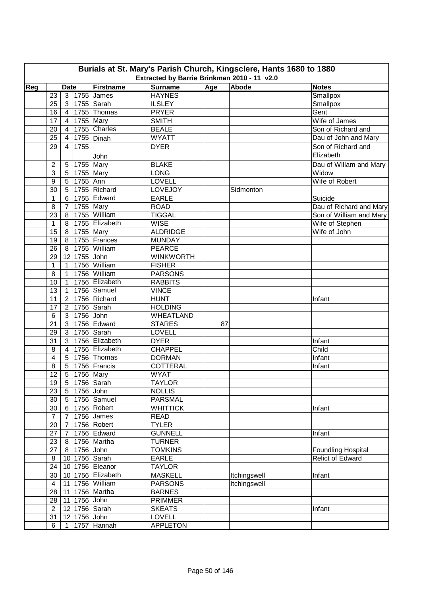|     |                  |                |                    | Burials at St. Mary's Parish Church, Kingsclere, Hants 1680 to 1880 |                                             |     |              |                           |
|-----|------------------|----------------|--------------------|---------------------------------------------------------------------|---------------------------------------------|-----|--------------|---------------------------|
|     |                  |                |                    |                                                                     | Extracted by Barrie Brinkman 2010 - 11 v2.0 |     |              |                           |
| Reg |                  | <b>Date</b>    |                    | Firstname                                                           | <b>Surname</b><br><b>HAYNES</b>             | Age | Abode        | <b>Notes</b>              |
|     | 23               |                |                    | 3 1755 James                                                        |                                             |     |              | Smallpox                  |
|     | 25               |                |                    | 3 1755 Sarah<br>4 1755 Thomas                                       | <b>ILSLEY</b><br><b>PRYER</b>               |     |              | Smallpox                  |
|     | 16               |                |                    |                                                                     | <b>SMITH</b>                                |     |              | Gent<br>Wife of James     |
|     | 17               | 4 <sup>1</sup> |                    | 1755 Mary<br>1755 Charles                                           |                                             |     |              |                           |
|     | 20<br>25         | $\overline{4}$ |                    |                                                                     | <b>BEALE</b><br><b>WYATT</b>                |     |              | Son of Richard and        |
|     |                  | $\overline{4}$ |                    | $\overline{1755}$ Dinah                                             |                                             |     |              | Dau of John and Mary      |
|     | 29               | $\overline{4}$ | 1755               |                                                                     | <b>DYER</b>                                 |     |              | Son of Richard and        |
|     |                  |                |                    | John                                                                |                                             |     |              | Elizabeth                 |
|     | $\boldsymbol{2}$ |                | 5 1755 Mary        |                                                                     | <b>BLAKE</b>                                |     |              | Dau of Willam and Mary    |
|     | 3                | 5              | $\sqrt{1755}$ Mary |                                                                     | <b>LONG</b>                                 |     |              | Widow                     |
|     | 9                | 5              | 1755 Ann           |                                                                     | LOVELL                                      |     |              | Wife of Robert            |
|     | 30               |                |                    | 5   1755   Richard                                                  | LOVEJOY                                     |     | Sidmonton    |                           |
|     | $\mathbf{1}$     | 6              |                    | 1755 Edward                                                         | <b>EARLE</b>                                |     |              | Suicide                   |
|     | 8                | $\overline{7}$ |                    | 1755 Mary                                                           | <b>ROAD</b>                                 |     |              | Dau of Richard and Mary   |
|     | 23               | 8 <sup>1</sup> |                    | 1755 William                                                        | <b>TIGGAL</b>                               |     |              | Son of William and Mary   |
|     | $\mathbf{1}$     | 8 <sup>1</sup> |                    | 1755 Elizabeth                                                      | <b>WISE</b>                                 |     |              | Wife of Stephen           |
|     | 15               |                | 8 1755 Mary        |                                                                     | <b>ALDRIDGE</b>                             |     |              | Wife of John              |
|     | 19               |                |                    | 8 1755 Frances                                                      | <b>MUNDAY</b>                               |     |              |                           |
|     | 26               |                |                    | 8 1755 William                                                      | <b>PEARCE</b>                               |     |              |                           |
|     | 29               |                | 12 1755 John       |                                                                     | <b>WINKWORTH</b>                            |     |              |                           |
|     | $\mathbf{1}$     |                |                    | 1 1756 William                                                      | <b>FISHER</b>                               |     |              |                           |
|     | 8                | $\mathbf{1}$   |                    | 1756 William                                                        | <b>PARSONS</b>                              |     |              |                           |
|     | 10               | $\mathbf{1}$   |                    | 1756 Elizabeth                                                      | <b>RABBITS</b>                              |     |              |                           |
|     | 13               | $\mathbf{1}$   |                    | 1756 Samuel                                                         | <b>VINCE</b>                                |     |              |                           |
|     | 11               | 2 <sup>1</sup> |                    | 1756 Richard                                                        | <b>HUNT</b>                                 |     |              | Infant                    |
|     | 17               | 2 <sub>1</sub> |                    | 1756 Sarah                                                          | <b>HOLDING</b>                              |     |              |                           |
|     | 6                | 3 <sup>1</sup> | 1756 John          |                                                                     | <b>WHEATLAND</b>                            |     |              |                           |
|     | 21               | 3 <sup>1</sup> |                    | 1756 Edward                                                         | <b>STARES</b>                               | 87  |              |                           |
|     | 29               | 3 <sup>1</sup> |                    | 1756 Sarah                                                          | <b>LOVELL</b>                               |     |              |                           |
|     | 31               | 3 <sup>1</sup> |                    | 1756 Elizabeth                                                      | <b>DYER</b>                                 |     |              | Infant                    |
|     | 8                | $\overline{4}$ |                    | 1756 Elizabeth                                                      | <b>CHAPPEL</b>                              |     |              | Child                     |
|     | 4                | 5 <sub>1</sub> |                    | 1756 Thomas                                                         | <b>DORMAN</b>                               |     |              | Infant                    |
|     | 8                |                |                    | 5   1756   Francis                                                  | <b>COTTERAL</b>                             |     |              | Infant                    |
|     | 12               | 5              | $\sqrt{1756}$ Mary |                                                                     | <b>WYAT</b>                                 |     |              |                           |
|     | 19               |                |                    | 5 1756 Sarah                                                        | <b>TAYLOR</b>                               |     |              |                           |
|     | 23               |                | 5 1756 John        |                                                                     | <b>NOLLIS</b>                               |     |              |                           |
|     | 30               |                |                    | 5   1756   Samuel                                                   | <b>PARSMAL</b>                              |     |              |                           |
|     | 30               |                |                    | 6 1756 Robert                                                       | <b>WHITTICK</b>                             |     |              | Infant                    |
|     | $\overline{7}$   |                |                    | 7 1756 James                                                        | <b>READ</b>                                 |     |              |                           |
|     | 20               |                |                    | 7 1756 Robert                                                       | <b>TYLER</b>                                |     |              |                           |
|     | 27               |                |                    | 7 1756 Edward                                                       | <b>GUNNELL</b>                              |     |              | Infant                    |
|     | 23               |                |                    | 8 1756 Martha                                                       | <b>TURNER</b>                               |     |              |                           |
|     | 27               |                | 8 1756 John        |                                                                     | <b>TOMKINS</b>                              |     |              | <b>Foundling Hospital</b> |
|     | $\bf 8$          |                |                    | 10 1756 Sarah                                                       | <b>EARLE</b>                                |     |              | <b>Relict of Edward</b>   |
|     | 24               |                |                    | 10 1756 Eleanor                                                     | <b>TAYLOR</b>                               |     |              |                           |
|     | 30               |                |                    | 10 1756 Elizabeth                                                   | <b>MASKELL</b>                              |     | Itchingswell | Infant                    |
|     | 4                |                |                    | 11 1756 William                                                     | <b>PARSONS</b>                              |     | Itchingswell |                           |
|     | 28               |                |                    | 11 1756 Martha                                                      | <b>BARNES</b>                               |     |              |                           |
|     | 28               |                | 11 1756 John       |                                                                     | <b>PRIMMER</b>                              |     |              |                           |
|     | $\overline{2}$   |                |                    | 12 1756 Sarah                                                       | <b>SKEATS</b>                               |     |              | Infant                    |
|     | 31               |                | 12 1756 John       |                                                                     | <b>LOVELL</b>                               |     |              |                           |
|     | 6                |                |                    | 1 1757 Hannah                                                       | <b>APPLETON</b>                             |     |              |                           |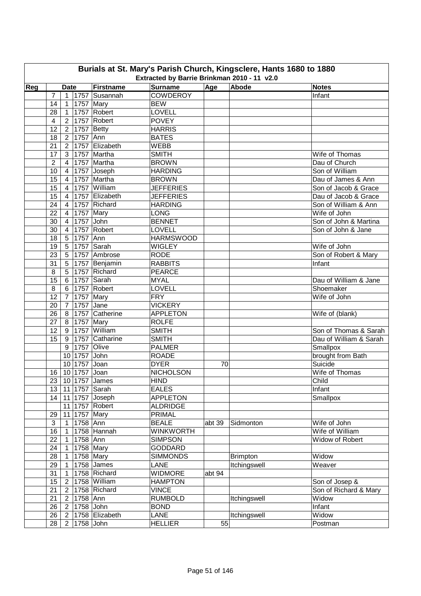| <b>Firstname</b><br><b>Surname</b><br>Age<br>Abode<br>Reg<br><b>Date</b><br><b>Notes</b><br><b>COWDEROY</b><br>$\overline{7}$<br>1757 Susannah<br>Infant<br>1 <sup>1</sup><br>1757 Mary<br><b>BEW</b><br>14<br>$\overline{1}$<br>1757 Robert<br><b>LOVELL</b><br>28<br>$\mathbf{1}$<br><b>POVEY</b><br>1757 Robert<br>$\overline{2}$<br>4<br>12<br>$1757$ Betty<br><b>HARRIS</b><br>$2^{\circ}$<br>1757 Ann<br><b>BATES</b><br>18<br>2 <sup>7</sup><br>1757 Elizabeth<br>21<br>WEBB<br>$\overline{2}$<br>1757 Martha<br><b>SMITH</b><br>17<br>3<br>Wife of Thomas<br>$\overline{2}$<br>1757 Martha<br><b>BROWN</b><br>Dau of Church<br>$\overline{4}$<br>Son of William<br>1757 Joseph<br><b>HARDING</b><br>10<br>$\overline{4}$<br>1757 Martha<br>15<br>Dau of James & Ann<br><b>BROWN</b><br>$\overline{4}$<br>15<br>1757 William<br><b>JEFFERIES</b><br>$\overline{4}$<br>Son of Jacob & Grace<br>1757 Elizabeth<br>15<br><b>JEFFERIES</b><br>$\overline{4}$<br>Dau of Jacob & Grace<br>1757 Richard<br>24<br>Son of William & Ann<br>$\overline{4}$<br><b>HARDING</b><br>22<br>$\overline{4}$<br>1757 Mary<br><b>LONG</b><br>Wife of John<br>4 1757 John<br><b>BENNET</b><br>30<br>Son of John & Martina<br>1757 Robert<br>30<br>LOVELL<br>$\overline{4}$<br>Son of John & Jane<br>1757 Ann<br>18<br>5 <sup>5</sup><br><b>HARMSWOOD</b><br>1757 Sarah<br>19<br>5 <sup>5</sup><br><b>WIGLEY</b><br>Wife of John<br>1757 Ambrose<br>5 <sup>5</sup><br><b>RODE</b><br>Son of Robert & Mary<br>23<br>5 <sup>1</sup><br>1757 Benjamin<br><b>RABBITS</b><br>31<br>Infant<br>5 <sup>5</sup><br>1757 Richard<br>8<br><b>PEARCE</b><br>15<br>$6\overline{6}$<br>1757 Sarah<br><b>MYAL</b><br>Dau of William & Jane<br>$6\overline{6}$<br>1757 Robert<br><b>LOVELL</b><br>8<br>Shoemaker<br>7 <sup>7</sup><br>1757 Mary<br>12<br><b>FRY</b><br>Wife of John<br><b>VICKERY</b><br>1757 Jane<br>$\overline{7}$<br>20<br>1757 Catherine<br>APPLETON<br>8<br>Wife of (blank)<br>26<br>$1757$ Mary<br>27<br>8<br><b>ROLFE</b><br>1757 William<br>12<br>9<br><b>SMITH</b><br>Son of Thomas & Sarah<br>1757 Catharine<br>15<br>9<br><b>SMITH</b><br>Dau of William & Sarah<br>9<br>1757 Olive<br><b>PALMER</b><br>Smallpox<br>10 1757 John<br><b>ROADE</b><br>brought from Bath<br>10 1757 Joan<br><b>DYER</b><br>Suicide<br>70<br>10 1757 Joan<br><b>NICHOLSON</b><br>Wife of Thomas<br>16<br>23   10   1757 James<br><b>HIND</b><br>Child<br>11 1757 Sarah<br><b>EALES</b><br>13 <sup>°</sup><br>Infant<br><b>APPLETON</b><br>14<br>11 1757 Joseph<br>Smallpox<br>11 1757 Robert<br><b>ALDRIDGE</b><br>11 1757 Mary<br>PRIMAL<br>29<br>3<br>1758 Ann<br><b>BEALE</b><br>Wife of John<br>$\mathbf{1}$<br>abt 39<br>Sidmonton<br>1758 Hannah<br><b>WINKWORTH</b><br>Wife of William<br>16<br>$\mathbf{1}$<br>1758 Ann<br>Widow of Robert<br>22<br><b>SIMPSON</b><br>$\mathbf{1}$<br>1758 Mary<br>24<br><b>GODDARD</b><br>$\mathbf{1}$<br>Widow<br>28<br>1758 Mary<br><b>SIMMONDS</b><br><b>Brimpton</b><br>$\overline{1}$<br>Itchingswell<br>$1758$ James<br>Weaver<br>29<br><b>LANE</b><br>$\overline{1}$<br>1758 Richard<br><b>WIDMORE</b><br>31<br>abt 94<br>$\mathbf{1}$<br>1758 William<br>15<br><b>HAMPTON</b><br>$2^{\circ}$<br>Son of Josep &<br>1758 Richard<br><b>VINCE</b><br>Son of Richard & Mary<br>21<br>$2^{\circ}$<br>21<br>1758 Ann<br><b>RUMBOLD</b><br>Itchingswell<br>Widow<br>$2^{\circ}$<br>1758 John<br><b>BOND</b><br>26<br>Infant<br>$2^{\circ}$<br>26<br>1758 Elizabeth<br><b>LANE</b><br>Itchingswell<br>Widow<br>$\overline{2}$<br>55<br>1758 John<br><b>HELLIER</b><br>28<br>Postman<br>$2^{\circ}$ |  |  | Burials at St. Mary's Parish Church, Kingsclere, Hants 1680 to 1880 | Extracted by Barrie Brinkman 2010 - 11 v2.0 |  |  |
|----------------------------------------------------------------------------------------------------------------------------------------------------------------------------------------------------------------------------------------------------------------------------------------------------------------------------------------------------------------------------------------------------------------------------------------------------------------------------------------------------------------------------------------------------------------------------------------------------------------------------------------------------------------------------------------------------------------------------------------------------------------------------------------------------------------------------------------------------------------------------------------------------------------------------------------------------------------------------------------------------------------------------------------------------------------------------------------------------------------------------------------------------------------------------------------------------------------------------------------------------------------------------------------------------------------------------------------------------------------------------------------------------------------------------------------------------------------------------------------------------------------------------------------------------------------------------------------------------------------------------------------------------------------------------------------------------------------------------------------------------------------------------------------------------------------------------------------------------------------------------------------------------------------------------------------------------------------------------------------------------------------------------------------------------------------------------------------------------------------------------------------------------------------------------------------------------------------------------------------------------------------------------------------------------------------------------------------------------------------------------------------------------------------------------------------------------------------------------------------------------------------------------------------------------------------------------------------------------------------------------------------------------------------------------------------------------------------------------------------------------------------------------------------------------------------------------------------------------------------------------------------------------------------------------------------------------------------------------------------------------------------------------------------------------------------------------------------------------------------------------------------------------------------------------------------------------------------------------------------------------------------------------------------------------------------------------------------------------------------------------------------------------------------------------------------------------------------------------------------------------------------------------------------------------------------------------------------------------------------------|--|--|---------------------------------------------------------------------|---------------------------------------------|--|--|
|                                                                                                                                                                                                                                                                                                                                                                                                                                                                                                                                                                                                                                                                                                                                                                                                                                                                                                                                                                                                                                                                                                                                                                                                                                                                                                                                                                                                                                                                                                                                                                                                                                                                                                                                                                                                                                                                                                                                                                                                                                                                                                                                                                                                                                                                                                                                                                                                                                                                                                                                                                                                                                                                                                                                                                                                                                                                                                                                                                                                                                                                                                                                                                                                                                                                                                                                                                                                                                                                                                                                                                                                                      |  |  |                                                                     |                                             |  |  |
|                                                                                                                                                                                                                                                                                                                                                                                                                                                                                                                                                                                                                                                                                                                                                                                                                                                                                                                                                                                                                                                                                                                                                                                                                                                                                                                                                                                                                                                                                                                                                                                                                                                                                                                                                                                                                                                                                                                                                                                                                                                                                                                                                                                                                                                                                                                                                                                                                                                                                                                                                                                                                                                                                                                                                                                                                                                                                                                                                                                                                                                                                                                                                                                                                                                                                                                                                                                                                                                                                                                                                                                                                      |  |  |                                                                     |                                             |  |  |
|                                                                                                                                                                                                                                                                                                                                                                                                                                                                                                                                                                                                                                                                                                                                                                                                                                                                                                                                                                                                                                                                                                                                                                                                                                                                                                                                                                                                                                                                                                                                                                                                                                                                                                                                                                                                                                                                                                                                                                                                                                                                                                                                                                                                                                                                                                                                                                                                                                                                                                                                                                                                                                                                                                                                                                                                                                                                                                                                                                                                                                                                                                                                                                                                                                                                                                                                                                                                                                                                                                                                                                                                                      |  |  |                                                                     |                                             |  |  |
|                                                                                                                                                                                                                                                                                                                                                                                                                                                                                                                                                                                                                                                                                                                                                                                                                                                                                                                                                                                                                                                                                                                                                                                                                                                                                                                                                                                                                                                                                                                                                                                                                                                                                                                                                                                                                                                                                                                                                                                                                                                                                                                                                                                                                                                                                                                                                                                                                                                                                                                                                                                                                                                                                                                                                                                                                                                                                                                                                                                                                                                                                                                                                                                                                                                                                                                                                                                                                                                                                                                                                                                                                      |  |  |                                                                     |                                             |  |  |
|                                                                                                                                                                                                                                                                                                                                                                                                                                                                                                                                                                                                                                                                                                                                                                                                                                                                                                                                                                                                                                                                                                                                                                                                                                                                                                                                                                                                                                                                                                                                                                                                                                                                                                                                                                                                                                                                                                                                                                                                                                                                                                                                                                                                                                                                                                                                                                                                                                                                                                                                                                                                                                                                                                                                                                                                                                                                                                                                                                                                                                                                                                                                                                                                                                                                                                                                                                                                                                                                                                                                                                                                                      |  |  |                                                                     |                                             |  |  |
|                                                                                                                                                                                                                                                                                                                                                                                                                                                                                                                                                                                                                                                                                                                                                                                                                                                                                                                                                                                                                                                                                                                                                                                                                                                                                                                                                                                                                                                                                                                                                                                                                                                                                                                                                                                                                                                                                                                                                                                                                                                                                                                                                                                                                                                                                                                                                                                                                                                                                                                                                                                                                                                                                                                                                                                                                                                                                                                                                                                                                                                                                                                                                                                                                                                                                                                                                                                                                                                                                                                                                                                                                      |  |  |                                                                     |                                             |  |  |
|                                                                                                                                                                                                                                                                                                                                                                                                                                                                                                                                                                                                                                                                                                                                                                                                                                                                                                                                                                                                                                                                                                                                                                                                                                                                                                                                                                                                                                                                                                                                                                                                                                                                                                                                                                                                                                                                                                                                                                                                                                                                                                                                                                                                                                                                                                                                                                                                                                                                                                                                                                                                                                                                                                                                                                                                                                                                                                                                                                                                                                                                                                                                                                                                                                                                                                                                                                                                                                                                                                                                                                                                                      |  |  |                                                                     |                                             |  |  |
|                                                                                                                                                                                                                                                                                                                                                                                                                                                                                                                                                                                                                                                                                                                                                                                                                                                                                                                                                                                                                                                                                                                                                                                                                                                                                                                                                                                                                                                                                                                                                                                                                                                                                                                                                                                                                                                                                                                                                                                                                                                                                                                                                                                                                                                                                                                                                                                                                                                                                                                                                                                                                                                                                                                                                                                                                                                                                                                                                                                                                                                                                                                                                                                                                                                                                                                                                                                                                                                                                                                                                                                                                      |  |  |                                                                     |                                             |  |  |
|                                                                                                                                                                                                                                                                                                                                                                                                                                                                                                                                                                                                                                                                                                                                                                                                                                                                                                                                                                                                                                                                                                                                                                                                                                                                                                                                                                                                                                                                                                                                                                                                                                                                                                                                                                                                                                                                                                                                                                                                                                                                                                                                                                                                                                                                                                                                                                                                                                                                                                                                                                                                                                                                                                                                                                                                                                                                                                                                                                                                                                                                                                                                                                                                                                                                                                                                                                                                                                                                                                                                                                                                                      |  |  |                                                                     |                                             |  |  |
|                                                                                                                                                                                                                                                                                                                                                                                                                                                                                                                                                                                                                                                                                                                                                                                                                                                                                                                                                                                                                                                                                                                                                                                                                                                                                                                                                                                                                                                                                                                                                                                                                                                                                                                                                                                                                                                                                                                                                                                                                                                                                                                                                                                                                                                                                                                                                                                                                                                                                                                                                                                                                                                                                                                                                                                                                                                                                                                                                                                                                                                                                                                                                                                                                                                                                                                                                                                                                                                                                                                                                                                                                      |  |  |                                                                     |                                             |  |  |
|                                                                                                                                                                                                                                                                                                                                                                                                                                                                                                                                                                                                                                                                                                                                                                                                                                                                                                                                                                                                                                                                                                                                                                                                                                                                                                                                                                                                                                                                                                                                                                                                                                                                                                                                                                                                                                                                                                                                                                                                                                                                                                                                                                                                                                                                                                                                                                                                                                                                                                                                                                                                                                                                                                                                                                                                                                                                                                                                                                                                                                                                                                                                                                                                                                                                                                                                                                                                                                                                                                                                                                                                                      |  |  |                                                                     |                                             |  |  |
|                                                                                                                                                                                                                                                                                                                                                                                                                                                                                                                                                                                                                                                                                                                                                                                                                                                                                                                                                                                                                                                                                                                                                                                                                                                                                                                                                                                                                                                                                                                                                                                                                                                                                                                                                                                                                                                                                                                                                                                                                                                                                                                                                                                                                                                                                                                                                                                                                                                                                                                                                                                                                                                                                                                                                                                                                                                                                                                                                                                                                                                                                                                                                                                                                                                                                                                                                                                                                                                                                                                                                                                                                      |  |  |                                                                     |                                             |  |  |
|                                                                                                                                                                                                                                                                                                                                                                                                                                                                                                                                                                                                                                                                                                                                                                                                                                                                                                                                                                                                                                                                                                                                                                                                                                                                                                                                                                                                                                                                                                                                                                                                                                                                                                                                                                                                                                                                                                                                                                                                                                                                                                                                                                                                                                                                                                                                                                                                                                                                                                                                                                                                                                                                                                                                                                                                                                                                                                                                                                                                                                                                                                                                                                                                                                                                                                                                                                                                                                                                                                                                                                                                                      |  |  |                                                                     |                                             |  |  |
|                                                                                                                                                                                                                                                                                                                                                                                                                                                                                                                                                                                                                                                                                                                                                                                                                                                                                                                                                                                                                                                                                                                                                                                                                                                                                                                                                                                                                                                                                                                                                                                                                                                                                                                                                                                                                                                                                                                                                                                                                                                                                                                                                                                                                                                                                                                                                                                                                                                                                                                                                                                                                                                                                                                                                                                                                                                                                                                                                                                                                                                                                                                                                                                                                                                                                                                                                                                                                                                                                                                                                                                                                      |  |  |                                                                     |                                             |  |  |
|                                                                                                                                                                                                                                                                                                                                                                                                                                                                                                                                                                                                                                                                                                                                                                                                                                                                                                                                                                                                                                                                                                                                                                                                                                                                                                                                                                                                                                                                                                                                                                                                                                                                                                                                                                                                                                                                                                                                                                                                                                                                                                                                                                                                                                                                                                                                                                                                                                                                                                                                                                                                                                                                                                                                                                                                                                                                                                                                                                                                                                                                                                                                                                                                                                                                                                                                                                                                                                                                                                                                                                                                                      |  |  |                                                                     |                                             |  |  |
|                                                                                                                                                                                                                                                                                                                                                                                                                                                                                                                                                                                                                                                                                                                                                                                                                                                                                                                                                                                                                                                                                                                                                                                                                                                                                                                                                                                                                                                                                                                                                                                                                                                                                                                                                                                                                                                                                                                                                                                                                                                                                                                                                                                                                                                                                                                                                                                                                                                                                                                                                                                                                                                                                                                                                                                                                                                                                                                                                                                                                                                                                                                                                                                                                                                                                                                                                                                                                                                                                                                                                                                                                      |  |  |                                                                     |                                             |  |  |
|                                                                                                                                                                                                                                                                                                                                                                                                                                                                                                                                                                                                                                                                                                                                                                                                                                                                                                                                                                                                                                                                                                                                                                                                                                                                                                                                                                                                                                                                                                                                                                                                                                                                                                                                                                                                                                                                                                                                                                                                                                                                                                                                                                                                                                                                                                                                                                                                                                                                                                                                                                                                                                                                                                                                                                                                                                                                                                                                                                                                                                                                                                                                                                                                                                                                                                                                                                                                                                                                                                                                                                                                                      |  |  |                                                                     |                                             |  |  |
|                                                                                                                                                                                                                                                                                                                                                                                                                                                                                                                                                                                                                                                                                                                                                                                                                                                                                                                                                                                                                                                                                                                                                                                                                                                                                                                                                                                                                                                                                                                                                                                                                                                                                                                                                                                                                                                                                                                                                                                                                                                                                                                                                                                                                                                                                                                                                                                                                                                                                                                                                                                                                                                                                                                                                                                                                                                                                                                                                                                                                                                                                                                                                                                                                                                                                                                                                                                                                                                                                                                                                                                                                      |  |  |                                                                     |                                             |  |  |
|                                                                                                                                                                                                                                                                                                                                                                                                                                                                                                                                                                                                                                                                                                                                                                                                                                                                                                                                                                                                                                                                                                                                                                                                                                                                                                                                                                                                                                                                                                                                                                                                                                                                                                                                                                                                                                                                                                                                                                                                                                                                                                                                                                                                                                                                                                                                                                                                                                                                                                                                                                                                                                                                                                                                                                                                                                                                                                                                                                                                                                                                                                                                                                                                                                                                                                                                                                                                                                                                                                                                                                                                                      |  |  |                                                                     |                                             |  |  |
|                                                                                                                                                                                                                                                                                                                                                                                                                                                                                                                                                                                                                                                                                                                                                                                                                                                                                                                                                                                                                                                                                                                                                                                                                                                                                                                                                                                                                                                                                                                                                                                                                                                                                                                                                                                                                                                                                                                                                                                                                                                                                                                                                                                                                                                                                                                                                                                                                                                                                                                                                                                                                                                                                                                                                                                                                                                                                                                                                                                                                                                                                                                                                                                                                                                                                                                                                                                                                                                                                                                                                                                                                      |  |  |                                                                     |                                             |  |  |
|                                                                                                                                                                                                                                                                                                                                                                                                                                                                                                                                                                                                                                                                                                                                                                                                                                                                                                                                                                                                                                                                                                                                                                                                                                                                                                                                                                                                                                                                                                                                                                                                                                                                                                                                                                                                                                                                                                                                                                                                                                                                                                                                                                                                                                                                                                                                                                                                                                                                                                                                                                                                                                                                                                                                                                                                                                                                                                                                                                                                                                                                                                                                                                                                                                                                                                                                                                                                                                                                                                                                                                                                                      |  |  |                                                                     |                                             |  |  |
|                                                                                                                                                                                                                                                                                                                                                                                                                                                                                                                                                                                                                                                                                                                                                                                                                                                                                                                                                                                                                                                                                                                                                                                                                                                                                                                                                                                                                                                                                                                                                                                                                                                                                                                                                                                                                                                                                                                                                                                                                                                                                                                                                                                                                                                                                                                                                                                                                                                                                                                                                                                                                                                                                                                                                                                                                                                                                                                                                                                                                                                                                                                                                                                                                                                                                                                                                                                                                                                                                                                                                                                                                      |  |  |                                                                     |                                             |  |  |
|                                                                                                                                                                                                                                                                                                                                                                                                                                                                                                                                                                                                                                                                                                                                                                                                                                                                                                                                                                                                                                                                                                                                                                                                                                                                                                                                                                                                                                                                                                                                                                                                                                                                                                                                                                                                                                                                                                                                                                                                                                                                                                                                                                                                                                                                                                                                                                                                                                                                                                                                                                                                                                                                                                                                                                                                                                                                                                                                                                                                                                                                                                                                                                                                                                                                                                                                                                                                                                                                                                                                                                                                                      |  |  |                                                                     |                                             |  |  |
|                                                                                                                                                                                                                                                                                                                                                                                                                                                                                                                                                                                                                                                                                                                                                                                                                                                                                                                                                                                                                                                                                                                                                                                                                                                                                                                                                                                                                                                                                                                                                                                                                                                                                                                                                                                                                                                                                                                                                                                                                                                                                                                                                                                                                                                                                                                                                                                                                                                                                                                                                                                                                                                                                                                                                                                                                                                                                                                                                                                                                                                                                                                                                                                                                                                                                                                                                                                                                                                                                                                                                                                                                      |  |  |                                                                     |                                             |  |  |
|                                                                                                                                                                                                                                                                                                                                                                                                                                                                                                                                                                                                                                                                                                                                                                                                                                                                                                                                                                                                                                                                                                                                                                                                                                                                                                                                                                                                                                                                                                                                                                                                                                                                                                                                                                                                                                                                                                                                                                                                                                                                                                                                                                                                                                                                                                                                                                                                                                                                                                                                                                                                                                                                                                                                                                                                                                                                                                                                                                                                                                                                                                                                                                                                                                                                                                                                                                                                                                                                                                                                                                                                                      |  |  |                                                                     |                                             |  |  |
|                                                                                                                                                                                                                                                                                                                                                                                                                                                                                                                                                                                                                                                                                                                                                                                                                                                                                                                                                                                                                                                                                                                                                                                                                                                                                                                                                                                                                                                                                                                                                                                                                                                                                                                                                                                                                                                                                                                                                                                                                                                                                                                                                                                                                                                                                                                                                                                                                                                                                                                                                                                                                                                                                                                                                                                                                                                                                                                                                                                                                                                                                                                                                                                                                                                                                                                                                                                                                                                                                                                                                                                                                      |  |  |                                                                     |                                             |  |  |
|                                                                                                                                                                                                                                                                                                                                                                                                                                                                                                                                                                                                                                                                                                                                                                                                                                                                                                                                                                                                                                                                                                                                                                                                                                                                                                                                                                                                                                                                                                                                                                                                                                                                                                                                                                                                                                                                                                                                                                                                                                                                                                                                                                                                                                                                                                                                                                                                                                                                                                                                                                                                                                                                                                                                                                                                                                                                                                                                                                                                                                                                                                                                                                                                                                                                                                                                                                                                                                                                                                                                                                                                                      |  |  |                                                                     |                                             |  |  |
|                                                                                                                                                                                                                                                                                                                                                                                                                                                                                                                                                                                                                                                                                                                                                                                                                                                                                                                                                                                                                                                                                                                                                                                                                                                                                                                                                                                                                                                                                                                                                                                                                                                                                                                                                                                                                                                                                                                                                                                                                                                                                                                                                                                                                                                                                                                                                                                                                                                                                                                                                                                                                                                                                                                                                                                                                                                                                                                                                                                                                                                                                                                                                                                                                                                                                                                                                                                                                                                                                                                                                                                                                      |  |  |                                                                     |                                             |  |  |
|                                                                                                                                                                                                                                                                                                                                                                                                                                                                                                                                                                                                                                                                                                                                                                                                                                                                                                                                                                                                                                                                                                                                                                                                                                                                                                                                                                                                                                                                                                                                                                                                                                                                                                                                                                                                                                                                                                                                                                                                                                                                                                                                                                                                                                                                                                                                                                                                                                                                                                                                                                                                                                                                                                                                                                                                                                                                                                                                                                                                                                                                                                                                                                                                                                                                                                                                                                                                                                                                                                                                                                                                                      |  |  |                                                                     |                                             |  |  |
|                                                                                                                                                                                                                                                                                                                                                                                                                                                                                                                                                                                                                                                                                                                                                                                                                                                                                                                                                                                                                                                                                                                                                                                                                                                                                                                                                                                                                                                                                                                                                                                                                                                                                                                                                                                                                                                                                                                                                                                                                                                                                                                                                                                                                                                                                                                                                                                                                                                                                                                                                                                                                                                                                                                                                                                                                                                                                                                                                                                                                                                                                                                                                                                                                                                                                                                                                                                                                                                                                                                                                                                                                      |  |  |                                                                     |                                             |  |  |
|                                                                                                                                                                                                                                                                                                                                                                                                                                                                                                                                                                                                                                                                                                                                                                                                                                                                                                                                                                                                                                                                                                                                                                                                                                                                                                                                                                                                                                                                                                                                                                                                                                                                                                                                                                                                                                                                                                                                                                                                                                                                                                                                                                                                                                                                                                                                                                                                                                                                                                                                                                                                                                                                                                                                                                                                                                                                                                                                                                                                                                                                                                                                                                                                                                                                                                                                                                                                                                                                                                                                                                                                                      |  |  |                                                                     |                                             |  |  |
|                                                                                                                                                                                                                                                                                                                                                                                                                                                                                                                                                                                                                                                                                                                                                                                                                                                                                                                                                                                                                                                                                                                                                                                                                                                                                                                                                                                                                                                                                                                                                                                                                                                                                                                                                                                                                                                                                                                                                                                                                                                                                                                                                                                                                                                                                                                                                                                                                                                                                                                                                                                                                                                                                                                                                                                                                                                                                                                                                                                                                                                                                                                                                                                                                                                                                                                                                                                                                                                                                                                                                                                                                      |  |  |                                                                     |                                             |  |  |
|                                                                                                                                                                                                                                                                                                                                                                                                                                                                                                                                                                                                                                                                                                                                                                                                                                                                                                                                                                                                                                                                                                                                                                                                                                                                                                                                                                                                                                                                                                                                                                                                                                                                                                                                                                                                                                                                                                                                                                                                                                                                                                                                                                                                                                                                                                                                                                                                                                                                                                                                                                                                                                                                                                                                                                                                                                                                                                                                                                                                                                                                                                                                                                                                                                                                                                                                                                                                                                                                                                                                                                                                                      |  |  |                                                                     |                                             |  |  |
|                                                                                                                                                                                                                                                                                                                                                                                                                                                                                                                                                                                                                                                                                                                                                                                                                                                                                                                                                                                                                                                                                                                                                                                                                                                                                                                                                                                                                                                                                                                                                                                                                                                                                                                                                                                                                                                                                                                                                                                                                                                                                                                                                                                                                                                                                                                                                                                                                                                                                                                                                                                                                                                                                                                                                                                                                                                                                                                                                                                                                                                                                                                                                                                                                                                                                                                                                                                                                                                                                                                                                                                                                      |  |  |                                                                     |                                             |  |  |
|                                                                                                                                                                                                                                                                                                                                                                                                                                                                                                                                                                                                                                                                                                                                                                                                                                                                                                                                                                                                                                                                                                                                                                                                                                                                                                                                                                                                                                                                                                                                                                                                                                                                                                                                                                                                                                                                                                                                                                                                                                                                                                                                                                                                                                                                                                                                                                                                                                                                                                                                                                                                                                                                                                                                                                                                                                                                                                                                                                                                                                                                                                                                                                                                                                                                                                                                                                                                                                                                                                                                                                                                                      |  |  |                                                                     |                                             |  |  |
|                                                                                                                                                                                                                                                                                                                                                                                                                                                                                                                                                                                                                                                                                                                                                                                                                                                                                                                                                                                                                                                                                                                                                                                                                                                                                                                                                                                                                                                                                                                                                                                                                                                                                                                                                                                                                                                                                                                                                                                                                                                                                                                                                                                                                                                                                                                                                                                                                                                                                                                                                                                                                                                                                                                                                                                                                                                                                                                                                                                                                                                                                                                                                                                                                                                                                                                                                                                                                                                                                                                                                                                                                      |  |  |                                                                     |                                             |  |  |
|                                                                                                                                                                                                                                                                                                                                                                                                                                                                                                                                                                                                                                                                                                                                                                                                                                                                                                                                                                                                                                                                                                                                                                                                                                                                                                                                                                                                                                                                                                                                                                                                                                                                                                                                                                                                                                                                                                                                                                                                                                                                                                                                                                                                                                                                                                                                                                                                                                                                                                                                                                                                                                                                                                                                                                                                                                                                                                                                                                                                                                                                                                                                                                                                                                                                                                                                                                                                                                                                                                                                                                                                                      |  |  |                                                                     |                                             |  |  |
|                                                                                                                                                                                                                                                                                                                                                                                                                                                                                                                                                                                                                                                                                                                                                                                                                                                                                                                                                                                                                                                                                                                                                                                                                                                                                                                                                                                                                                                                                                                                                                                                                                                                                                                                                                                                                                                                                                                                                                                                                                                                                                                                                                                                                                                                                                                                                                                                                                                                                                                                                                                                                                                                                                                                                                                                                                                                                                                                                                                                                                                                                                                                                                                                                                                                                                                                                                                                                                                                                                                                                                                                                      |  |  |                                                                     |                                             |  |  |
|                                                                                                                                                                                                                                                                                                                                                                                                                                                                                                                                                                                                                                                                                                                                                                                                                                                                                                                                                                                                                                                                                                                                                                                                                                                                                                                                                                                                                                                                                                                                                                                                                                                                                                                                                                                                                                                                                                                                                                                                                                                                                                                                                                                                                                                                                                                                                                                                                                                                                                                                                                                                                                                                                                                                                                                                                                                                                                                                                                                                                                                                                                                                                                                                                                                                                                                                                                                                                                                                                                                                                                                                                      |  |  |                                                                     |                                             |  |  |
|                                                                                                                                                                                                                                                                                                                                                                                                                                                                                                                                                                                                                                                                                                                                                                                                                                                                                                                                                                                                                                                                                                                                                                                                                                                                                                                                                                                                                                                                                                                                                                                                                                                                                                                                                                                                                                                                                                                                                                                                                                                                                                                                                                                                                                                                                                                                                                                                                                                                                                                                                                                                                                                                                                                                                                                                                                                                                                                                                                                                                                                                                                                                                                                                                                                                                                                                                                                                                                                                                                                                                                                                                      |  |  |                                                                     |                                             |  |  |
|                                                                                                                                                                                                                                                                                                                                                                                                                                                                                                                                                                                                                                                                                                                                                                                                                                                                                                                                                                                                                                                                                                                                                                                                                                                                                                                                                                                                                                                                                                                                                                                                                                                                                                                                                                                                                                                                                                                                                                                                                                                                                                                                                                                                                                                                                                                                                                                                                                                                                                                                                                                                                                                                                                                                                                                                                                                                                                                                                                                                                                                                                                                                                                                                                                                                                                                                                                                                                                                                                                                                                                                                                      |  |  |                                                                     |                                             |  |  |
|                                                                                                                                                                                                                                                                                                                                                                                                                                                                                                                                                                                                                                                                                                                                                                                                                                                                                                                                                                                                                                                                                                                                                                                                                                                                                                                                                                                                                                                                                                                                                                                                                                                                                                                                                                                                                                                                                                                                                                                                                                                                                                                                                                                                                                                                                                                                                                                                                                                                                                                                                                                                                                                                                                                                                                                                                                                                                                                                                                                                                                                                                                                                                                                                                                                                                                                                                                                                                                                                                                                                                                                                                      |  |  |                                                                     |                                             |  |  |
|                                                                                                                                                                                                                                                                                                                                                                                                                                                                                                                                                                                                                                                                                                                                                                                                                                                                                                                                                                                                                                                                                                                                                                                                                                                                                                                                                                                                                                                                                                                                                                                                                                                                                                                                                                                                                                                                                                                                                                                                                                                                                                                                                                                                                                                                                                                                                                                                                                                                                                                                                                                                                                                                                                                                                                                                                                                                                                                                                                                                                                                                                                                                                                                                                                                                                                                                                                                                                                                                                                                                                                                                                      |  |  |                                                                     |                                             |  |  |
|                                                                                                                                                                                                                                                                                                                                                                                                                                                                                                                                                                                                                                                                                                                                                                                                                                                                                                                                                                                                                                                                                                                                                                                                                                                                                                                                                                                                                                                                                                                                                                                                                                                                                                                                                                                                                                                                                                                                                                                                                                                                                                                                                                                                                                                                                                                                                                                                                                                                                                                                                                                                                                                                                                                                                                                                                                                                                                                                                                                                                                                                                                                                                                                                                                                                                                                                                                                                                                                                                                                                                                                                                      |  |  |                                                                     |                                             |  |  |
|                                                                                                                                                                                                                                                                                                                                                                                                                                                                                                                                                                                                                                                                                                                                                                                                                                                                                                                                                                                                                                                                                                                                                                                                                                                                                                                                                                                                                                                                                                                                                                                                                                                                                                                                                                                                                                                                                                                                                                                                                                                                                                                                                                                                                                                                                                                                                                                                                                                                                                                                                                                                                                                                                                                                                                                                                                                                                                                                                                                                                                                                                                                                                                                                                                                                                                                                                                                                                                                                                                                                                                                                                      |  |  |                                                                     |                                             |  |  |
|                                                                                                                                                                                                                                                                                                                                                                                                                                                                                                                                                                                                                                                                                                                                                                                                                                                                                                                                                                                                                                                                                                                                                                                                                                                                                                                                                                                                                                                                                                                                                                                                                                                                                                                                                                                                                                                                                                                                                                                                                                                                                                                                                                                                                                                                                                                                                                                                                                                                                                                                                                                                                                                                                                                                                                                                                                                                                                                                                                                                                                                                                                                                                                                                                                                                                                                                                                                                                                                                                                                                                                                                                      |  |  |                                                                     |                                             |  |  |
|                                                                                                                                                                                                                                                                                                                                                                                                                                                                                                                                                                                                                                                                                                                                                                                                                                                                                                                                                                                                                                                                                                                                                                                                                                                                                                                                                                                                                                                                                                                                                                                                                                                                                                                                                                                                                                                                                                                                                                                                                                                                                                                                                                                                                                                                                                                                                                                                                                                                                                                                                                                                                                                                                                                                                                                                                                                                                                                                                                                                                                                                                                                                                                                                                                                                                                                                                                                                                                                                                                                                                                                                                      |  |  |                                                                     |                                             |  |  |
|                                                                                                                                                                                                                                                                                                                                                                                                                                                                                                                                                                                                                                                                                                                                                                                                                                                                                                                                                                                                                                                                                                                                                                                                                                                                                                                                                                                                                                                                                                                                                                                                                                                                                                                                                                                                                                                                                                                                                                                                                                                                                                                                                                                                                                                                                                                                                                                                                                                                                                                                                                                                                                                                                                                                                                                                                                                                                                                                                                                                                                                                                                                                                                                                                                                                                                                                                                                                                                                                                                                                                                                                                      |  |  |                                                                     |                                             |  |  |
|                                                                                                                                                                                                                                                                                                                                                                                                                                                                                                                                                                                                                                                                                                                                                                                                                                                                                                                                                                                                                                                                                                                                                                                                                                                                                                                                                                                                                                                                                                                                                                                                                                                                                                                                                                                                                                                                                                                                                                                                                                                                                                                                                                                                                                                                                                                                                                                                                                                                                                                                                                                                                                                                                                                                                                                                                                                                                                                                                                                                                                                                                                                                                                                                                                                                                                                                                                                                                                                                                                                                                                                                                      |  |  |                                                                     |                                             |  |  |
|                                                                                                                                                                                                                                                                                                                                                                                                                                                                                                                                                                                                                                                                                                                                                                                                                                                                                                                                                                                                                                                                                                                                                                                                                                                                                                                                                                                                                                                                                                                                                                                                                                                                                                                                                                                                                                                                                                                                                                                                                                                                                                                                                                                                                                                                                                                                                                                                                                                                                                                                                                                                                                                                                                                                                                                                                                                                                                                                                                                                                                                                                                                                                                                                                                                                                                                                                                                                                                                                                                                                                                                                                      |  |  |                                                                     |                                             |  |  |
|                                                                                                                                                                                                                                                                                                                                                                                                                                                                                                                                                                                                                                                                                                                                                                                                                                                                                                                                                                                                                                                                                                                                                                                                                                                                                                                                                                                                                                                                                                                                                                                                                                                                                                                                                                                                                                                                                                                                                                                                                                                                                                                                                                                                                                                                                                                                                                                                                                                                                                                                                                                                                                                                                                                                                                                                                                                                                                                                                                                                                                                                                                                                                                                                                                                                                                                                                                                                                                                                                                                                                                                                                      |  |  |                                                                     |                                             |  |  |
|                                                                                                                                                                                                                                                                                                                                                                                                                                                                                                                                                                                                                                                                                                                                                                                                                                                                                                                                                                                                                                                                                                                                                                                                                                                                                                                                                                                                                                                                                                                                                                                                                                                                                                                                                                                                                                                                                                                                                                                                                                                                                                                                                                                                                                                                                                                                                                                                                                                                                                                                                                                                                                                                                                                                                                                                                                                                                                                                                                                                                                                                                                                                                                                                                                                                                                                                                                                                                                                                                                                                                                                                                      |  |  |                                                                     |                                             |  |  |
|                                                                                                                                                                                                                                                                                                                                                                                                                                                                                                                                                                                                                                                                                                                                                                                                                                                                                                                                                                                                                                                                                                                                                                                                                                                                                                                                                                                                                                                                                                                                                                                                                                                                                                                                                                                                                                                                                                                                                                                                                                                                                                                                                                                                                                                                                                                                                                                                                                                                                                                                                                                                                                                                                                                                                                                                                                                                                                                                                                                                                                                                                                                                                                                                                                                                                                                                                                                                                                                                                                                                                                                                                      |  |  |                                                                     |                                             |  |  |
|                                                                                                                                                                                                                                                                                                                                                                                                                                                                                                                                                                                                                                                                                                                                                                                                                                                                                                                                                                                                                                                                                                                                                                                                                                                                                                                                                                                                                                                                                                                                                                                                                                                                                                                                                                                                                                                                                                                                                                                                                                                                                                                                                                                                                                                                                                                                                                                                                                                                                                                                                                                                                                                                                                                                                                                                                                                                                                                                                                                                                                                                                                                                                                                                                                                                                                                                                                                                                                                                                                                                                                                                                      |  |  |                                                                     |                                             |  |  |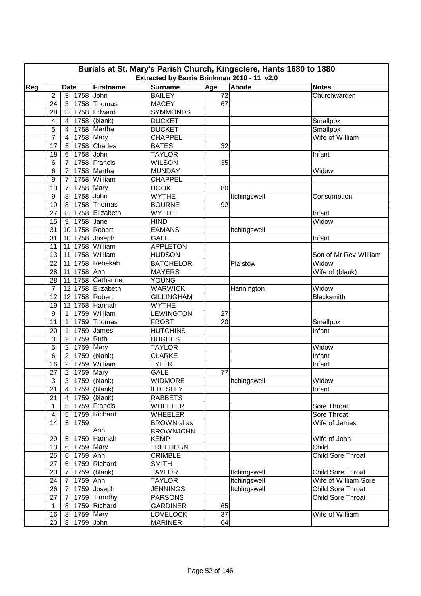|     | Burials at St. Mary's Parish Church, Kingsclere, Hants 1680 to 1880<br>Extracted by Barrie Brinkman 2010 - 11 v2.0 |                |                 |                        |                    |                 |              |                          |  |  |  |  |
|-----|--------------------------------------------------------------------------------------------------------------------|----------------|-----------------|------------------------|--------------------|-----------------|--------------|--------------------------|--|--|--|--|
| Reg |                                                                                                                    | <b>Date</b>    |                 | <b>Firstname</b>       | <b>Surname</b>     | Age             | Abode        | <b>Notes</b>             |  |  |  |  |
|     | $\overline{2}$                                                                                                     |                | 3 1758 John     |                        | <b>BAILEY</b>      | 72              |              | Churchwarden             |  |  |  |  |
|     | 24                                                                                                                 | 3              |                 | 1758 Thomas            | <b>MACEY</b>       | 67              |              |                          |  |  |  |  |
|     | 28                                                                                                                 | 3              |                 | 1758 Edward            | <b>SYMMONDS</b>    |                 |              |                          |  |  |  |  |
|     | 4                                                                                                                  | $\overline{4}$ |                 | 1758 (blank)           | <b>DUCKET</b>      |                 |              | Smallpox                 |  |  |  |  |
|     | 5                                                                                                                  | 4              |                 | 1758 Martha            | <b>DUCKET</b>      |                 |              | Smallpox                 |  |  |  |  |
|     | $\overline{7}$                                                                                                     | $\overline{4}$ | 1758 Mary       |                        | <b>CHAPPEL</b>     |                 |              | Wife of William          |  |  |  |  |
|     | 17                                                                                                                 | 5              |                 | 1758 Charles           | <b>BATES</b>       | 32              |              |                          |  |  |  |  |
|     | 18                                                                                                                 | 6              | 1758 John       |                        | <b>TAYLOR</b>      |                 |              | Infant                   |  |  |  |  |
|     | 6                                                                                                                  | $\overline{7}$ |                 | 1758 Francis           | <b>WILSON</b>      | 35              |              |                          |  |  |  |  |
|     | 6                                                                                                                  | $\overline{7}$ |                 | 1758 Martha            | <b>MUNDAY</b>      |                 |              | Widow                    |  |  |  |  |
|     | $\boldsymbol{9}$                                                                                                   | $\overline{7}$ |                 | 1758 William           | <b>CHAPPEL</b>     |                 |              |                          |  |  |  |  |
|     | 13                                                                                                                 | $\overline{7}$ |                 | 1758 Mary              | <b>HOOK</b>        | 80              |              |                          |  |  |  |  |
|     | 9                                                                                                                  | 8              | 1758 John       |                        | <b>WYTHE</b>       |                 | Itchingswell | Consumption              |  |  |  |  |
|     | 19                                                                                                                 | 8              |                 | 1758 Thomas            | <b>BOURNE</b>      | 92              |              |                          |  |  |  |  |
|     | 27                                                                                                                 |                |                 | 8   1758   Elizabeth   | <b>WYTHE</b>       |                 |              | Infant                   |  |  |  |  |
|     | 15                                                                                                                 |                | 9 1758 Jane     |                        | <b>HIND</b>        |                 |              | Widow                    |  |  |  |  |
|     | 31                                                                                                                 |                |                 | 10 1758 Robert         | <b>EAMANS</b>      |                 | Itchingswell |                          |  |  |  |  |
|     | 31                                                                                                                 |                |                 | 10 1758 Joseph         | <b>GALE</b>        |                 |              | Infant                   |  |  |  |  |
|     | 11                                                                                                                 |                |                 | 11 1758 William        | <b>APPLETON</b>    |                 |              |                          |  |  |  |  |
|     | 13                                                                                                                 | 11             |                 | 1758 William           | <b>HUDSON</b>      |                 |              | Son of Mr Rev William    |  |  |  |  |
|     | 22                                                                                                                 | 11             |                 | 1758 Rebekah           | <b>BATCHELOR</b>   |                 | Plaistow     | Widow                    |  |  |  |  |
|     | 28                                                                                                                 |                | 11 1758 Ann     |                        | <b>MAYERS</b>      |                 |              | Wife of (blank)          |  |  |  |  |
|     | 28                                                                                                                 |                |                 | 11 1758 Catharine      | YOUNG              |                 |              |                          |  |  |  |  |
|     | $\overline{7}$                                                                                                     |                |                 | 12 1758 Elizabeth      | <b>WARWICK</b>     |                 |              | Widow                    |  |  |  |  |
|     | 12                                                                                                                 |                |                 | 12 1758 Robert         | <b>GILLINGHAM</b>  |                 | Hannington   | Blacksmith               |  |  |  |  |
|     | 19                                                                                                                 |                |                 | 12 1758 Hannah         | <b>WYTHE</b>       |                 |              |                          |  |  |  |  |
|     | 9                                                                                                                  | $\mathbf{1}$   |                 | 1759 William           | <b>LEWINGTON</b>   | 27              |              |                          |  |  |  |  |
|     | 11                                                                                                                 | 1              |                 | 1759 Thomas            | <b>FROST</b>       | 20              |              | Smallpox                 |  |  |  |  |
|     | 20                                                                                                                 | $\overline{1}$ |                 | 1759 James             | <b>HUTCHINS</b>    |                 |              | Infant                   |  |  |  |  |
|     | 3                                                                                                                  | 2 <sup>1</sup> | 1759 Ruth       |                        | <b>HUGHES</b>      |                 |              |                          |  |  |  |  |
|     | 5                                                                                                                  | 2 <sup>1</sup> |                 | $\overline{1759}$ Mary | <b>TAYLOR</b>      |                 |              | Widow                    |  |  |  |  |
|     | 6                                                                                                                  | $2^{\circ}$    |                 | 1759 (blank)           | <b>CLARKE</b>      |                 |              | Infant                   |  |  |  |  |
|     | 16                                                                                                                 | $2^{\circ}$    |                 | 1759 William           | <b>TYLER</b>       |                 |              | Infant                   |  |  |  |  |
|     | 27                                                                                                                 |                | 2 1759 Mary     |                        | <b>GALE</b>        | 77              |              |                          |  |  |  |  |
|     | 3                                                                                                                  |                |                 | 3 1759 (blank)         | <b>WIDMORE</b>     |                 | Itchingswell | Widow                    |  |  |  |  |
|     | 21                                                                                                                 |                |                 | 4   1759 (blank)       | <b>ILDESLEY</b>    |                 |              | Infant                   |  |  |  |  |
|     | 21                                                                                                                 |                |                 | 4   1759 (blank)       | <b>RABBETS</b>     |                 |              |                          |  |  |  |  |
|     | $\mathbf{1}$                                                                                                       |                |                 | 5   1759   Francis     | <b>WHEELER</b>     |                 |              | Sore Throat              |  |  |  |  |
|     | $\overline{\mathbf{4}}$                                                                                            |                |                 | 5   1759   Richard     | <b>WHEELER</b>     |                 |              | Sore Throat              |  |  |  |  |
|     | 14                                                                                                                 | 5 <sup>5</sup> | 1759            |                        | <b>BROWN</b> alias |                 |              | Wife of James            |  |  |  |  |
|     |                                                                                                                    |                |                 | Ann                    | <b>BROWNJOHN</b>   |                 |              |                          |  |  |  |  |
|     | 29                                                                                                                 | 5 <sup>5</sup> |                 | 1759 Hannah            | <b>KEMP</b>        |                 |              | Wife of John             |  |  |  |  |
|     | 13                                                                                                                 |                | 6 1759 Mary     |                        | <b>TREEHORN</b>    |                 |              | Child                    |  |  |  |  |
|     | 25                                                                                                                 | 6              | 1759 Ann        |                        | <b>CRIMBLE</b>     |                 |              | Child Sore Throat        |  |  |  |  |
|     | 27                                                                                                                 |                |                 | 6 1759 Richard         | <b>SMITH</b>       |                 |              |                          |  |  |  |  |
|     | 20                                                                                                                 | $\overline{7}$ |                 | 1759 (blank)           | <b>TAYLOR</b>      |                 | Itchingswell | <b>Child Sore Throat</b> |  |  |  |  |
|     | 24                                                                                                                 | $\overline{7}$ | 1759 Ann        |                        | <b>TAYLOR</b>      |                 | Itchingswell | Wife of William Sore     |  |  |  |  |
|     | 26                                                                                                                 | 7 <sup>1</sup> |                 | 1759 Joseph            | <b>JENNINGS</b>    |                 | Itchingswell | <b>Child Sore Throat</b> |  |  |  |  |
|     | 27                                                                                                                 | 7 <sup>1</sup> |                 | 1759 Timothy           | <b>PARSONS</b>     |                 |              | <b>Child Sore Throat</b> |  |  |  |  |
|     | $\mathbf{1}$                                                                                                       | 8              |                 | 1759 Richard           | <b>GARDINER</b>    | 65              |              |                          |  |  |  |  |
|     | 16                                                                                                                 |                | 8   1759   Mary |                        | <b>LOVELOCK</b>    | $\overline{37}$ |              | Wife of William          |  |  |  |  |
|     | 20                                                                                                                 | 8              | 1759 John       |                        | <b>MARINER</b>     | 64              |              |                          |  |  |  |  |
|     |                                                                                                                    |                |                 |                        |                    |                 |              |                          |  |  |  |  |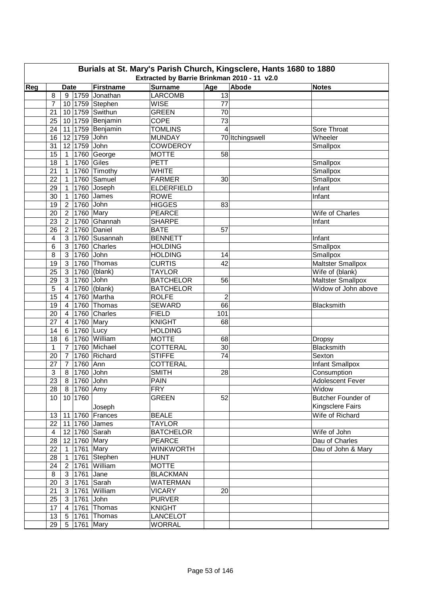|     | Burials at St. Mary's Parish Church, Kingsclere, Hants 1680 to 1880<br>Extracted by Barrie Brinkman 2010 - 11 v2.0 |                 |              |                  |                   |                      |                 |                          |  |  |  |  |
|-----|--------------------------------------------------------------------------------------------------------------------|-----------------|--------------|------------------|-------------------|----------------------|-----------------|--------------------------|--|--|--|--|
|     |                                                                                                                    |                 |              |                  |                   |                      |                 |                          |  |  |  |  |
| Reg |                                                                                                                    | <b>Date</b>     |              | <b>Firstname</b> | <b>Surname</b>    | Age                  | Abode           | <b>Notes</b>             |  |  |  |  |
|     | 8                                                                                                                  |                 |              | 9 1759 Jonathan  | <b>LARCOMB</b>    | 13                   |                 |                          |  |  |  |  |
|     | 7                                                                                                                  |                 |              | 10 1759 Stephen  | <b>WISE</b>       | 77                   |                 |                          |  |  |  |  |
|     | 21                                                                                                                 |                 |              | 10 1759 Swithun  | <b>GREEN</b>      | 70                   |                 |                          |  |  |  |  |
|     | 25                                                                                                                 |                 |              | 10 1759 Benjamin | COPE              | 73                   |                 |                          |  |  |  |  |
|     | 24                                                                                                                 |                 |              | 11 1759 Benjamin | <b>TOMLINS</b>    | $\overline{4}$       |                 | Sore Throat              |  |  |  |  |
|     | 16                                                                                                                 |                 | 12 1759 John |                  | <b>MUNDAY</b>     |                      | 70 Itchingswell | Wheeler                  |  |  |  |  |
|     | 31                                                                                                                 |                 | 12 1759 John |                  | <b>COWDEROY</b>   |                      |                 | Smallpox                 |  |  |  |  |
|     | 15                                                                                                                 | $\mathbf{1}$    |              | 1760 George      | <b>MOTTE</b>      | 58                   |                 |                          |  |  |  |  |
|     | 18                                                                                                                 | $\mathbf{1}$    |              | 1760 Giles       | <b>PETT</b>       |                      |                 | Smallpox                 |  |  |  |  |
|     | 21                                                                                                                 | $\mathbf{1}$    |              | 1760 Timothy     | <b>WHITE</b>      |                      |                 | Smallpox                 |  |  |  |  |
|     | 22                                                                                                                 | $\mathbf{1}$    |              | 1760 Samuel      | <b>FARMER</b>     | 30                   |                 | Smallpox                 |  |  |  |  |
|     | 29                                                                                                                 | $\mathbf{1}$    |              | $1760$ Joseph    | <b>ELDERFIELD</b> |                      |                 | Infant                   |  |  |  |  |
|     | 30                                                                                                                 | $\mathbf{1}$    |              | 1760 James       | <b>ROWE</b>       |                      |                 | Infant                   |  |  |  |  |
|     | 19                                                                                                                 | $\overline{2}$  | 1760 John    |                  | <b>HIGGES</b>     | 83                   |                 |                          |  |  |  |  |
|     | 20                                                                                                                 | $\overline{2}$  |              | 1760 Mary        | <b>PEARCE</b>     |                      |                 | Wife of Charles          |  |  |  |  |
|     | 23                                                                                                                 | $\overline{2}$  |              | 1760 Ghannah     | <b>SHARPE</b>     |                      |                 | Infant                   |  |  |  |  |
|     | 26                                                                                                                 | $\overline{2}$  |              | 1760 Daniel      | <b>BATE</b>       | 57                   |                 |                          |  |  |  |  |
|     | 4                                                                                                                  | $\mathbf{3}$    |              | 1760 Susannah    | <b>BENNETT</b>    |                      |                 | Infant                   |  |  |  |  |
|     | 6                                                                                                                  | 3 <sup>1</sup>  |              | 1760 Charles     | <b>HOLDING</b>    |                      |                 | Smallpox                 |  |  |  |  |
|     | 8                                                                                                                  | $\mathbf{3}$    | 1760 John    |                  | <b>HOLDING</b>    | 14                   |                 | Smallpox                 |  |  |  |  |
|     | 19                                                                                                                 | $\mathbf{3}$    |              | 1760 Thomas      | <b>CURTIS</b>     | 42                   |                 | <b>Maltster Smallpox</b> |  |  |  |  |
|     | 25                                                                                                                 | $\mathbf{3}$    |              | 1760 (blank)     | <b>TAYLOR</b>     |                      |                 | Wife of (blank)          |  |  |  |  |
|     | 29                                                                                                                 | $\mathbf{3}$    | 1760 John    |                  | <b>BATCHELOR</b>  | 56                   |                 | <b>Maltster Smallpox</b> |  |  |  |  |
|     | 5                                                                                                                  | $\overline{4}$  |              | 1760 (blank)     | <b>BATCHELOR</b>  |                      |                 | Widow of John above      |  |  |  |  |
|     | 15                                                                                                                 | $\overline{4}$  |              | 1760 Martha      | <b>ROLFE</b>      |                      |                 |                          |  |  |  |  |
|     |                                                                                                                    |                 |              |                  |                   | $\overline{c}$<br>66 |                 |                          |  |  |  |  |
|     | 19                                                                                                                 | $\overline{4}$  |              | 1760 Thomas      | <b>SEWARD</b>     |                      |                 | Blacksmith               |  |  |  |  |
|     | 20                                                                                                                 | $\overline{4}$  |              | 1760 Charles     | <b>FIELD</b>      | 101                  |                 |                          |  |  |  |  |
|     | 27                                                                                                                 | $\overline{4}$  |              | $1760$ Mary      | <b>KNIGHT</b>     | 68                   |                 |                          |  |  |  |  |
|     | 14                                                                                                                 | $6\overline{6}$ | 1760 Lucy    |                  | <b>HOLDING</b>    |                      |                 |                          |  |  |  |  |
|     | 18                                                                                                                 | 6               |              | 1760 William     | <b>MOTTE</b>      | 68                   |                 | <b>Dropsy</b>            |  |  |  |  |
|     | $\mathbf{1}$                                                                                                       | $\overline{7}$  |              | 1760 Michael     | <b>COTTERAL</b>   | 30                   |                 | Blacksmith               |  |  |  |  |
|     | 20                                                                                                                 | $\overline{7}$  |              | 1760 Richard     | <b>STIFFE</b>     | 74                   |                 | Sexton                   |  |  |  |  |
|     | 27                                                                                                                 | $\overline{7}$  | 1760 Ann     |                  | <b>COTTERAL</b>   |                      |                 | Infant Smallpox          |  |  |  |  |
|     | 3                                                                                                                  |                 | 8 1760 John  |                  | <b>SMITH</b>      | 28                   |                 | Consumption              |  |  |  |  |
|     | 23                                                                                                                 |                 | 8 1760 John  |                  | PAIN              |                      |                 | Adolescent Fever         |  |  |  |  |
|     | 28                                                                                                                 |                 | 8 1760 Amy   |                  | <b>FRY</b>        |                      |                 | Widow                    |  |  |  |  |
|     | 10 <sup>°</sup>                                                                                                    |                 | 10 1760      |                  | <b>GREEN</b>      | 52                   |                 | Butcher Founder of       |  |  |  |  |
|     |                                                                                                                    |                 |              | Joseph           |                   |                      |                 | Kingsclere Fairs         |  |  |  |  |
|     | 13                                                                                                                 |                 |              | 11 1760 Frances  | <b>BEALE</b>      |                      |                 | Wife of Richard          |  |  |  |  |
|     | 22                                                                                                                 |                 |              | 11 1760 James    | <b>TAYLOR</b>     |                      |                 |                          |  |  |  |  |
|     | $\overline{4}$                                                                                                     |                 |              | 12 1760 Sarah    | <b>BATCHELOR</b>  |                      |                 | Wife of John             |  |  |  |  |
|     | 28                                                                                                                 |                 |              | 12 1760 Mary     | <b>PEARCE</b>     |                      |                 | Dau of Charles           |  |  |  |  |
|     | 22                                                                                                                 | $\overline{1}$  |              | 1761 Mary        | <b>WINKWORTH</b>  |                      |                 | Dau of John & Mary       |  |  |  |  |
|     | 28                                                                                                                 | $\overline{1}$  |              | 1761 Stephen     | <b>HUNT</b>       |                      |                 |                          |  |  |  |  |
|     | 24                                                                                                                 | $\overline{2}$  |              | 1761 William     | <b>MOTTE</b>      |                      |                 |                          |  |  |  |  |
|     | 8                                                                                                                  |                 | 3 1761 Jane  |                  | <b>BLACKMAN</b>   |                      |                 |                          |  |  |  |  |
|     |                                                                                                                    |                 |              |                  |                   |                      |                 |                          |  |  |  |  |
|     | 20                                                                                                                 |                 |              | 3 1761 Sarah     | <b>WATERMAN</b>   |                      |                 |                          |  |  |  |  |
|     | 21                                                                                                                 |                 |              | 3 1761 William   | <b>VICARY</b>     | 20                   |                 |                          |  |  |  |  |
|     | 25                                                                                                                 |                 | 3 1761 John  |                  | <b>PURVER</b>     |                      |                 |                          |  |  |  |  |
|     | 17                                                                                                                 |                 |              | 4 1761 Thomas    | <b>KNIGHT</b>     |                      |                 |                          |  |  |  |  |
|     | 13                                                                                                                 | 5 <sup>1</sup>  |              | 1761 Thomas      | <b>LANCELOT</b>   |                      |                 |                          |  |  |  |  |
|     | 29                                                                                                                 | 5 <sup>1</sup>  |              | 1761 Mary        | <b>WORRAL</b>     |                      |                 |                          |  |  |  |  |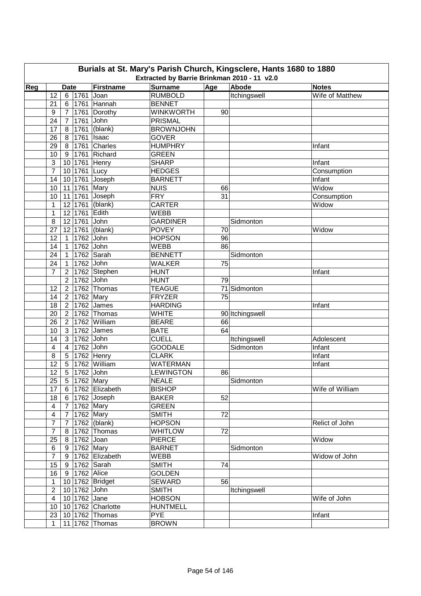|     | Burials at St. Mary's Parish Church, Kingsclere, Hants 1680 to 1880<br>Extracted by Barrie Brinkman 2010 - 11 v2.0 |                |              |                             |                               |     |                 |                 |  |  |  |  |
|-----|--------------------------------------------------------------------------------------------------------------------|----------------|--------------|-----------------------------|-------------------------------|-----|-----------------|-----------------|--|--|--|--|
|     |                                                                                                                    |                |              |                             |                               |     |                 |                 |  |  |  |  |
| Reg |                                                                                                                    | <b>Date</b>    |              | Firstname                   | <b>Surname</b>                | Age | Abode           | <b>Notes</b>    |  |  |  |  |
|     | 12                                                                                                                 |                | 6 1761       | Joan                        | <b>RUMBOLD</b>                |     | Itchingswell    | Wife of Matthew |  |  |  |  |
|     | 21                                                                                                                 | 6              |              | 1761 Hannah                 | <b>BENNET</b>                 |     |                 |                 |  |  |  |  |
|     | 9                                                                                                                  | $7^{\circ}$    |              | 1761 Dorothy                | <b>WINKWORTH</b>              | 90  |                 |                 |  |  |  |  |
|     | 24                                                                                                                 | $\overline{7}$ | 1761 John    |                             | <b>PRISMAL</b>                |     |                 |                 |  |  |  |  |
|     | 17                                                                                                                 | 8              |              | $1761$ (blank)              | <b>BROWNJOHN</b>              |     |                 |                 |  |  |  |  |
|     | 26                                                                                                                 | 8 <sup>1</sup> |              | $1761$   Isaac              | <b>GOVER</b>                  |     |                 |                 |  |  |  |  |
|     | 29                                                                                                                 | 8 <sup>1</sup> |              | 1761 Charles                | <b>HUMPHRY</b>                |     |                 | Infant          |  |  |  |  |
|     | 10                                                                                                                 | 9              |              | 1761 Richard                | <b>GREEN</b>                  |     |                 |                 |  |  |  |  |
|     | 3                                                                                                                  | 10             |              | 1761 Henry                  | <b>SHARP</b>                  |     |                 | Infant          |  |  |  |  |
|     | $\overline{7}$                                                                                                     | 10             | 1761 Lucy    |                             | <b>HEDGES</b>                 |     |                 | Consumption     |  |  |  |  |
|     | 14                                                                                                                 |                |              | 10 1761 Joseph              | <b>BARNETT</b>                |     |                 | Infant          |  |  |  |  |
|     | 10                                                                                                                 |                | 11 1761      | Mary                        | <b>NUIS</b>                   | 66  |                 | Widow           |  |  |  |  |
|     | 10                                                                                                                 |                | 11 1761      | Joseph                      | <b>FRY</b>                    | 31  |                 | Consumption     |  |  |  |  |
|     | 1                                                                                                                  |                | 12 1761      | (blank)                     | <b>CARTER</b>                 |     |                 | Widow           |  |  |  |  |
|     | $\mathbf{1}$                                                                                                       |                | 12 1761      | Edith                       | <b>WEBB</b>                   |     |                 |                 |  |  |  |  |
|     | 8                                                                                                                  |                | 12 1761      | John                        | <b>GARDINER</b>               |     | Sidmonton       |                 |  |  |  |  |
|     | 27                                                                                                                 |                | 12 1761      | (blank)                     | <b>POVEY</b>                  | 70  |                 | Widow           |  |  |  |  |
|     | 12                                                                                                                 | $\mathbf{1}$   | 1762         | John                        | <b>HOPSON</b>                 | 96  |                 |                 |  |  |  |  |
|     | 14                                                                                                                 | $\mathbf{1}$   | 1762 John    |                             | <b>WEBB</b>                   | 86  |                 |                 |  |  |  |  |
|     | 24                                                                                                                 | $\overline{1}$ |              | 1762 Sarah                  | <b>BENNETT</b>                |     | Sidmonton       |                 |  |  |  |  |
|     | 24                                                                                                                 | $\overline{1}$ | 1762 John    |                             | <b>WALKER</b>                 | 75  |                 |                 |  |  |  |  |
|     | $\overline{7}$                                                                                                     | $\overline{2}$ |              | 1762 Stephen                | <b>HUNT</b>                   |     |                 | Infant          |  |  |  |  |
|     |                                                                                                                    | $\overline{2}$ | 1762 John    |                             | <b>HUNT</b>                   | 79  |                 |                 |  |  |  |  |
|     | 12                                                                                                                 | $\overline{2}$ |              | 1762 Thomas                 | <b>TEAGUE</b>                 |     | 71 Sidmonton    |                 |  |  |  |  |
|     | 14                                                                                                                 | 2 <sup>1</sup> | $1762$ Mary  |                             | <b>FRYZER</b>                 | 75  |                 |                 |  |  |  |  |
|     | 18                                                                                                                 |                |              | 2 1762 James                | <b>HARDING</b>                |     |                 | Infant          |  |  |  |  |
|     | 20                                                                                                                 |                |              | 2 1762 Thomas               | <b>WHITE</b>                  |     | 90 Itchingswell |                 |  |  |  |  |
|     | 26                                                                                                                 |                |              | 2   1762   William          | <b>BEARE</b>                  | 66  |                 |                 |  |  |  |  |
|     | 10                                                                                                                 |                |              | 3 1762 James                | <b>BATE</b>                   | 64  |                 |                 |  |  |  |  |
|     | 14                                                                                                                 | 3 <sup>1</sup> | 1762 John    |                             | <b>CUELL</b>                  |     | Itchingswell    | Adolescent      |  |  |  |  |
|     | 4                                                                                                                  | $\overline{4}$ | 1762 John    |                             | <b>GOODALE</b>                |     | Sidmonton       | Infant          |  |  |  |  |
|     | 8                                                                                                                  |                |              | 5 1762 Henry                | <b>CLARK</b>                  |     |                 | Infant          |  |  |  |  |
|     | 12                                                                                                                 |                |              | 5 1762 William              | <b>WATERMAN</b>               |     |                 | Infant          |  |  |  |  |
|     | 12                                                                                                                 |                | 5 1762 John  |                             | <b>LEWINGTON</b>              | 86  |                 |                 |  |  |  |  |
|     | 25                                                                                                                 |                |              | 5 1762 Mary                 | <b>NEALE</b>                  |     | Sidmonton       |                 |  |  |  |  |
|     | 17                                                                                                                 |                |              | 6 1762 Elizabeth            | <b>BISHOP</b>                 |     |                 | Wife of William |  |  |  |  |
|     | 18                                                                                                                 |                |              | $6$   1762 Joseph           | <b>BAKER</b>                  | 52  |                 |                 |  |  |  |  |
|     | $\overline{\mathbf{4}}$                                                                                            |                |              | 7 1762 Mary                 | <b>GREEN</b>                  |     |                 |                 |  |  |  |  |
|     | $\overline{\mathbf{4}}$                                                                                            |                |              | 7 1762 Mary                 | <b>SMITH</b>                  | 72  |                 |                 |  |  |  |  |
|     | $\overline{7}$                                                                                                     |                |              | $\overline{7}$ 1762 (blank) | <b>HOPSON</b>                 |     |                 | Relict of John  |  |  |  |  |
|     | $\overline{7}$                                                                                                     |                |              | 8   1762   Thomas           | <b>WHITLOW</b>                | 72  |                 |                 |  |  |  |  |
|     | 25                                                                                                                 |                | 8 1762 Joan  |                             | <b>PIERCE</b>                 |     |                 | Widow           |  |  |  |  |
|     | 6                                                                                                                  |                |              | $\overline{9}$ 1762 Mary    | <b>BARNET</b>                 |     | Sidmonton       |                 |  |  |  |  |
|     | $\overline{7}$                                                                                                     |                |              | 9 1762 Elizabeth            | WEBB                          |     |                 | Widow of John   |  |  |  |  |
|     | 15                                                                                                                 |                |              | 9 1762 Sarah                | <b>SMITH</b>                  | 74  |                 |                 |  |  |  |  |
|     | 16                                                                                                                 |                | 9 1762 Alice |                             | <b>GOLDEN</b>                 |     |                 |                 |  |  |  |  |
|     | $\mathbf{1}$                                                                                                       |                |              | 10 1762 Bridget             | <b>SEWARD</b>                 | 56  |                 |                 |  |  |  |  |
|     | $\overline{2}$                                                                                                     |                | 10 1762 John |                             | <b>SMITH</b>                  |     | Itchingswell    |                 |  |  |  |  |
|     | $\overline{4}$                                                                                                     |                | 10 1762 Jane |                             | <b>HOBSON</b>                 |     |                 | Wife of John    |  |  |  |  |
|     | 10                                                                                                                 |                |              | 10 1762 Charlotte           |                               |     |                 |                 |  |  |  |  |
|     |                                                                                                                    |                |              |                             | <b>HUNTMELL</b><br><b>PYE</b> |     |                 |                 |  |  |  |  |
|     | 23                                                                                                                 |                |              | 10 1762 Thomas              |                               |     |                 | Infant          |  |  |  |  |
|     | $\mathbf{1}$                                                                                                       |                |              | 11 1762 Thomas              | <b>BROWN</b>                  |     |                 |                 |  |  |  |  |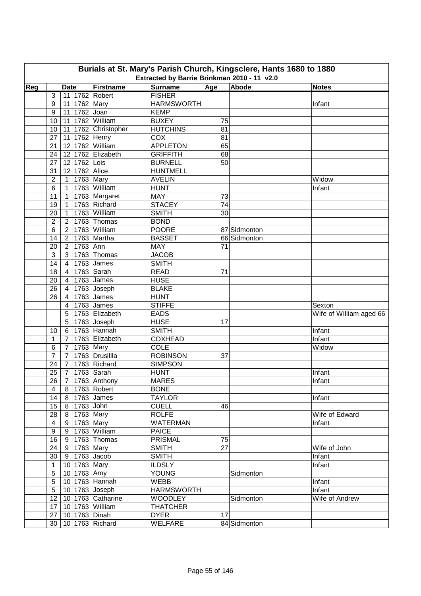|     | Burials at St. Mary's Parish Church, Kingsclere, Hants 1680 to 1880<br>Extracted by Barrie Brinkman 2010 - 11 v2.0 |                |              |                          |                   |     |              |                         |  |  |  |  |
|-----|--------------------------------------------------------------------------------------------------------------------|----------------|--------------|--------------------------|-------------------|-----|--------------|-------------------------|--|--|--|--|
| Reg |                                                                                                                    | <b>Date</b>    |              | Firstname                | <b>Surname</b>    | Age | Abode        | <b>Notes</b>            |  |  |  |  |
|     | 3                                                                                                                  |                |              | 11 1762 Robert           | <b>FISHER</b>     |     |              |                         |  |  |  |  |
|     | 9                                                                                                                  |                |              | 11 1762 Mary             | <b>HARMSWORTH</b> |     |              | Infant                  |  |  |  |  |
|     | 9                                                                                                                  |                |              | 11 1762 Joan             | <b>KEMP</b>       |     |              |                         |  |  |  |  |
|     | 10                                                                                                                 |                |              | 11 1762 William          | <b>BUXEY</b>      | 75  |              |                         |  |  |  |  |
|     | 10                                                                                                                 |                |              | 11 1762 Christopher      | <b>HUTCHINS</b>   | 81  |              |                         |  |  |  |  |
|     | 27                                                                                                                 |                |              | 11 1762 Henry            | COX               | 81  |              |                         |  |  |  |  |
|     | 21                                                                                                                 |                |              | 12 1762 William          | <b>APPLETON</b>   | 65  |              |                         |  |  |  |  |
|     | 24                                                                                                                 |                |              | 12 1762 Elizabeth        | <b>GRIFFITH</b>   | 68  |              |                         |  |  |  |  |
|     | 27                                                                                                                 |                | 12 1762 Lois |                          | <b>BURNELL</b>    | 50  |              |                         |  |  |  |  |
|     | 31                                                                                                                 |                |              | 12 1762 Alice            | <b>HUNTMELL</b>   |     |              |                         |  |  |  |  |
|     | 2                                                                                                                  |                |              | 1 1763 Mary              | <b>AVELIN</b>     |     |              | Widow                   |  |  |  |  |
|     | 6                                                                                                                  | $\mathbf{1}$   |              | 1763 William             | <b>HUNT</b>       |     |              | Infant                  |  |  |  |  |
|     | 11                                                                                                                 | $\mathbf{1}$   |              | 1763 Margaret            | MAY               | 73  |              |                         |  |  |  |  |
|     | 19                                                                                                                 | $\mathbf{1}$   |              | 1763 Richard             | <b>STACEY</b>     | 74  |              |                         |  |  |  |  |
|     | 20                                                                                                                 | $\mathbf{1}$   |              | 1763 William             | <b>SMITH</b>      | 30  |              |                         |  |  |  |  |
|     |                                                                                                                    |                |              | 1763 Thomas              | <b>BOND</b>       |     |              |                         |  |  |  |  |
|     | $\overline{c}$                                                                                                     | $\overline{2}$ |              | 1763 William             | <b>POORE</b>      |     |              |                         |  |  |  |  |
|     | 6                                                                                                                  | $\overline{2}$ |              |                          |                   |     | 87 Sidmonton |                         |  |  |  |  |
|     | 14                                                                                                                 | 2 <sup>1</sup> |              | 1763 Martha              | <b>BASSET</b>     |     | 66 Sidmonton |                         |  |  |  |  |
|     | 20                                                                                                                 |                | 2 1763 Ann   |                          | <b>MAY</b>        | 71  |              |                         |  |  |  |  |
|     | 3                                                                                                                  |                |              | 3   1763   Thomas        | <b>JACOB</b>      |     |              |                         |  |  |  |  |
|     | 14                                                                                                                 |                |              | 4   1763 $\vert$ James   | <b>SMITH</b>      |     |              |                         |  |  |  |  |
|     | 18                                                                                                                 | $4 \mid$       |              | 1763 Sarah               | <b>READ</b>       | 71  |              |                         |  |  |  |  |
|     | 20                                                                                                                 | $\overline{4}$ |              | 1763 James               | <b>HUSE</b>       |     |              |                         |  |  |  |  |
|     | 26                                                                                                                 | $\overline{4}$ |              | $1763$ Joseph            | <b>BLAKE</b>      |     |              |                         |  |  |  |  |
|     | 26                                                                                                                 | $\overline{4}$ |              | 1763 James               | <b>HUNT</b>       |     |              |                         |  |  |  |  |
|     |                                                                                                                    | 4              |              | 1763 James               | <b>STIFFE</b>     |     |              | Sexton                  |  |  |  |  |
|     |                                                                                                                    | 5              |              | 1763 Elizabeth           | <b>EADS</b>       |     |              | Wife of William aged 66 |  |  |  |  |
|     |                                                                                                                    | 5              |              | $\sqrt{1763}$ Joseph     | <b>HUSE</b>       | 17  |              |                         |  |  |  |  |
|     | 10                                                                                                                 |                |              | 6 1763 Hannah            | <b>SMITH</b>      |     |              | Infant                  |  |  |  |  |
|     | 1                                                                                                                  | $\overline{7}$ |              | 1763 Elizabeth           | <b>COXHEAD</b>    |     |              | Infant                  |  |  |  |  |
|     | 6                                                                                                                  | $\overline{7}$ |              | $1763$ Mary              | <b>COLE</b>       |     |              | Widow                   |  |  |  |  |
|     | $\overline{7}$                                                                                                     | $\overline{7}$ |              | 1763 Drusillla           | <b>ROBINSON</b>   | 37  |              |                         |  |  |  |  |
|     | 24                                                                                                                 | $\overline{7}$ |              | 1763 Richard             | <b>SIMPSON</b>    |     |              |                         |  |  |  |  |
|     | 25                                                                                                                 |                |              | 7   1763   Sarah         | <b>HUNT</b>       |     |              | Infant                  |  |  |  |  |
|     | $\overline{26}$                                                                                                    |                |              | 7 1763 Anthony           | <b>MARES</b>      |     |              | Infant                  |  |  |  |  |
|     | 4                                                                                                                  |                |              | 8   1763   Robert        | <b>BONE</b>       |     |              |                         |  |  |  |  |
|     | 14                                                                                                                 |                |              | 8 1763 James             | <b>TAYLOR</b>     |     |              | Infant                  |  |  |  |  |
|     | 15                                                                                                                 |                |              | 8 1763 John              | <b>CUELL</b>      | 46  |              |                         |  |  |  |  |
|     | 28                                                                                                                 |                |              | 8 1763 Mary              | <b>ROLFE</b>      |     |              | Wife of Edward          |  |  |  |  |
|     | $\overline{4}$                                                                                                     |                |              | 9 1763 Mary              | <b>WATERMAN</b>   |     |              | Infant                  |  |  |  |  |
|     | 9                                                                                                                  |                |              | 9 1763 William           | <b>PAICE</b>      |     |              |                         |  |  |  |  |
|     | 16                                                                                                                 |                |              | $9$   1763   Thomas      | <b>PRISMAL</b>    | 75  |              |                         |  |  |  |  |
|     | 24                                                                                                                 |                |              | $\boxed{9}$ 1763 Mary    | <b>SMITH</b>      | 27  |              | Wife of John            |  |  |  |  |
|     | 30                                                                                                                 |                |              | 9 1763 Jacob             | <b>SMITH</b>      |     |              | Infant                  |  |  |  |  |
|     | $\mathbf{1}$                                                                                                       |                |              | 10 1763 Mary             | <b>ILDSLY</b>     |     |              | Infant                  |  |  |  |  |
|     | $\sqrt{5}$                                                                                                         |                |              | 10 1763 Amy              | <b>YOUNG</b>      |     | Sidmonton    |                         |  |  |  |  |
|     | $\sqrt{5}$                                                                                                         |                |              | 10 1763 Hannah           | WEBB              |     |              | Infant                  |  |  |  |  |
|     | $\sqrt{5}$                                                                                                         |                |              | 10 1763 Joseph           | <b>HARMSWORTH</b> |     |              | Infant                  |  |  |  |  |
|     | 12                                                                                                                 |                |              | 10 1763 Catharine        | <b>WOODLEY</b>    |     | Sidmonton    | Wife of Andrew          |  |  |  |  |
|     | 17                                                                                                                 |                |              | 10 1763 William          | <b>THATCHER</b>   |     |              |                         |  |  |  |  |
|     | 27                                                                                                                 |                |              | 10 1763 Dinah            | <b>DYER</b>       | 17  |              |                         |  |  |  |  |
|     |                                                                                                                    |                |              | 30   10   1763   Richard | <b>WELFARE</b>    |     | 84 Sidmonton |                         |  |  |  |  |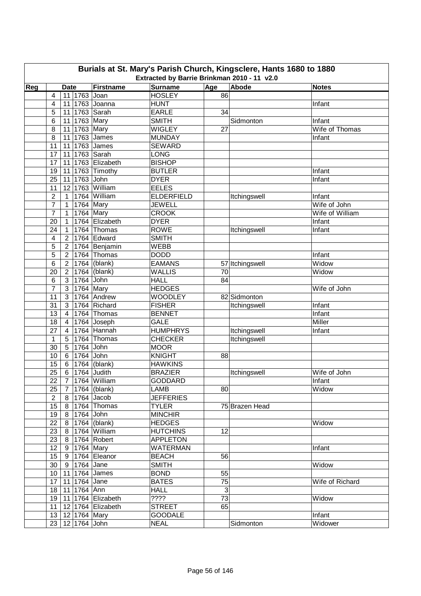| Burials at St. Mary's Parish Church, Kingsclere, Hants 1680 to 1880<br>Extracted by Barrie Brinkman 2010 - 11 v2.0 |                 |                        |                            |                   |              |                 |                 |  |  |  |  |
|--------------------------------------------------------------------------------------------------------------------|-----------------|------------------------|----------------------------|-------------------|--------------|-----------------|-----------------|--|--|--|--|
|                                                                                                                    |                 |                        |                            |                   |              |                 |                 |  |  |  |  |
| Reg                                                                                                                |                 | <b>Date</b>            | Firstname                  | <b>Surname</b>    | Age          | Abode           | <b>Notes</b>    |  |  |  |  |
|                                                                                                                    | 4               | 11 1763 Joan           |                            | <b>HOSLEY</b>     | 86           |                 |                 |  |  |  |  |
|                                                                                                                    | 4               |                        | 11 1763 Joanna             | <b>HUNT</b>       |              |                 | Infant          |  |  |  |  |
|                                                                                                                    | 5               | 11 1763 Sarah          |                            | <b>EARLE</b>      | 34           |                 |                 |  |  |  |  |
|                                                                                                                    | 6               | 11 1763 Mary           |                            | <b>SMITH</b>      |              | Sidmonton       | Infant          |  |  |  |  |
|                                                                                                                    | 8               | 11 1763 Mary           |                            | <b>WIGLEY</b>     | 27           |                 | Wife of Thomas  |  |  |  |  |
|                                                                                                                    | 8               | 11 1763 James          |                            | <b>MUNDAY</b>     |              |                 | Infant          |  |  |  |  |
|                                                                                                                    | 11              | 11 1763 James          |                            | <b>SEWARD</b>     |              |                 |                 |  |  |  |  |
|                                                                                                                    | 17              | 11 1763 Sarah          |                            | <b>LONG</b>       |              |                 |                 |  |  |  |  |
|                                                                                                                    | 17              |                        | 11 1763 Elizabeth          | <b>BISHOP</b>     |              |                 |                 |  |  |  |  |
|                                                                                                                    | 19              | 11                     | 1763 Timothy               | <b>BUTLER</b>     |              |                 | Infant          |  |  |  |  |
|                                                                                                                    | 25              | 11 1763 John           |                            | <b>DYER</b>       |              |                 | Infant          |  |  |  |  |
|                                                                                                                    | 11              |                        | 12 1763 William            | <b>EELES</b>      |              |                 |                 |  |  |  |  |
|                                                                                                                    | $\overline{c}$  | 1                      | 1764 William               | <b>ELDERFIELD</b> |              | Itchingswell    | Infant          |  |  |  |  |
|                                                                                                                    | $\overline{7}$  | $\overline{1}$         | 1764 Mary                  | <b>JEWELL</b>     |              |                 | Wife of John    |  |  |  |  |
|                                                                                                                    | $\overline{7}$  | $\mathbf{1}$           | $1764$ Mary                | <b>CROOK</b>      |              |                 | Wife of William |  |  |  |  |
|                                                                                                                    | 20              | $\mathbf 1$            | 1764 Elizabeth             | <b>DYER</b>       |              |                 | Infant          |  |  |  |  |
|                                                                                                                    | 24              | $\mathbf 1$            | 1764 Thomas                | <b>ROWE</b>       |              | Itchingswell    | Infant          |  |  |  |  |
|                                                                                                                    | 4               | $\overline{2}$         | 1764 Edward                | <b>SMITH</b>      |              |                 |                 |  |  |  |  |
|                                                                                                                    | 5               | $\overline{2}$         | 1764 Benjamin              | <b>WEBB</b>       |              |                 |                 |  |  |  |  |
|                                                                                                                    | 5               | $\overline{2}$         | $1764$ Thomas              | <b>DODD</b>       |              |                 | Infant          |  |  |  |  |
|                                                                                                                    | 6               | $\overline{2}$         | 1764 (blank)               | <b>EAMANS</b>     |              | 57 Itchingswell | Widow           |  |  |  |  |
|                                                                                                                    | 20              | $2^{\circ}$            | $1764$ (blank)             | <b>WALLIS</b>     | 70           |                 | Widow           |  |  |  |  |
|                                                                                                                    | 6               | 3 <sup>1</sup>         | 1764 John                  | <b>HALL</b>       | 84           |                 |                 |  |  |  |  |
|                                                                                                                    | $\overline{7}$  | 3                      | $1764$ Mary                | <b>HEDGES</b>     |              |                 | Wife of John    |  |  |  |  |
|                                                                                                                    | 11              | 3                      | 1764 Andrew                | <b>WOODLEY</b>    |              | 82 Sidmonton    |                 |  |  |  |  |
|                                                                                                                    | 31              | 3                      | 1764 Richard               | <b>FISHER</b>     |              | Itchingswell    | Infant          |  |  |  |  |
|                                                                                                                    | 13              | 4                      | 1764 Thomas                | <b>BENNET</b>     |              |                 | Infant          |  |  |  |  |
|                                                                                                                    | 18              | 4                      | 1764 Joseph                | <b>GALE</b>       |              |                 | Miller          |  |  |  |  |
|                                                                                                                    | 27              | 4                      | 1764 Hannah                | <b>HUMPHRYS</b>   |              | Itchingswell    | Infant          |  |  |  |  |
|                                                                                                                    | $\mathbf{1}$    | 5                      | 1764 Thomas                | <b>CHECKER</b>    |              | Itchingswell    |                 |  |  |  |  |
|                                                                                                                    | 30              | $5\phantom{.0}$        | 1764 John                  | <b>MOOR</b>       |              |                 |                 |  |  |  |  |
|                                                                                                                    | 10              | 6                      | 1764 John                  | <b>KNIGHT</b>     | 88           |                 |                 |  |  |  |  |
|                                                                                                                    | 15              | $6 \mid$               | $1764$ (blank)             | <b>HAWKINS</b>    |              |                 |                 |  |  |  |  |
|                                                                                                                    | 25              | 6 1764 Judith          |                            | <b>BRAZIER</b>    |              | Itchingswell    | Wife of John    |  |  |  |  |
|                                                                                                                    | 22              |                        | 7 1764 William             | <b>GODDARD</b>    |              |                 | Infant          |  |  |  |  |
|                                                                                                                    | 25              | 7   1764   (blank)     |                            | LAMB              | 80           |                 | Widow           |  |  |  |  |
|                                                                                                                    | $\overline{2}$  | 8 1764 Jacob           |                            | <b>JEFFERIES</b>  |              |                 |                 |  |  |  |  |
|                                                                                                                    | 15              |                        | 8 1764 Thomas              | <b>TYLER</b>      |              | 75 Brazen Head  |                 |  |  |  |  |
|                                                                                                                    | 19              | 8 1764 John            |                            | <b>MINCHIR</b>    |              |                 |                 |  |  |  |  |
|                                                                                                                    | 22              |                        | 8   1764 (blank)           | <b>HEDGES</b>     |              |                 | Widow           |  |  |  |  |
|                                                                                                                    | 23              |                        | 8 1764 William             | <b>HUTCHINS</b>   | 12           |                 |                 |  |  |  |  |
|                                                                                                                    | 23              | 8 1764 Robert          |                            | <b>APPLETON</b>   |              |                 |                 |  |  |  |  |
|                                                                                                                    | 12 <sub>2</sub> | 9 1764 Mary            |                            | <b>WATERMAN</b>   |              |                 | Infant          |  |  |  |  |
|                                                                                                                    |                 |                        | 15 9 1764 Eleanor          | <b>BEACH</b>      | 56           |                 |                 |  |  |  |  |
|                                                                                                                    | 30 <sup>°</sup> | 9 1764 Jane            |                            | <b>SMITH</b>      |              |                 | Widow           |  |  |  |  |
|                                                                                                                    |                 | 10   11   1764   James |                            | <b>BOND</b>       | 55           |                 |                 |  |  |  |  |
|                                                                                                                    | 17              | 11 1764 Jane           |                            | <b>BATES</b>      | 75           |                 | Wife of Richard |  |  |  |  |
|                                                                                                                    | 18              | 11 1764 Ann            |                            | <b>HALL</b>       | $\mathbf{3}$ |                 |                 |  |  |  |  |
|                                                                                                                    |                 |                        | 19   11   1764   Elizabeth | ????              | 73           |                 | Widow           |  |  |  |  |
|                                                                                                                    |                 |                        | 12 1764 Elizabeth          | <b>STREET</b>     | 65           |                 |                 |  |  |  |  |
|                                                                                                                    | 11              |                        |                            | <b>GOODALE</b>    |              |                 |                 |  |  |  |  |
|                                                                                                                    |                 | 13   12   1764   Mary  |                            |                   |              |                 | Infant          |  |  |  |  |
|                                                                                                                    |                 | 23   12   1764   John  |                            | <b>NEAL</b>       |              | Sidmonton       | Widower         |  |  |  |  |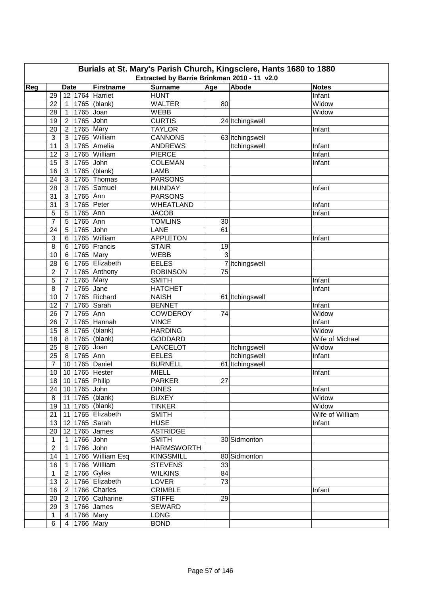| Burials at St. Mary's Parish Church, Kingsclere, Hants 1680 to 1880<br>Extracted by Barrie Brinkman 2010 - 11 v2.0 |                |                   |                        |                   |     |                 |                 |  |  |  |
|--------------------------------------------------------------------------------------------------------------------|----------------|-------------------|------------------------|-------------------|-----|-----------------|-----------------|--|--|--|
| Reg                                                                                                                |                | <b>Date</b>       | Firstname              | <b>Surname</b>    | Age | Abode           | <b>Notes</b>    |  |  |  |
|                                                                                                                    | 29             |                   | 12 1764 Harriet        | <b>HUNT</b>       |     |                 | Infant          |  |  |  |
|                                                                                                                    | 22             | 1                 | 1765 (blank)           | <b>WALTER</b>     | 80  |                 | Widow           |  |  |  |
|                                                                                                                    | 28             | $\mathbf{1}$      | 1765 Joan              | <b>WEBB</b>       |     |                 | Widow           |  |  |  |
|                                                                                                                    | 19             | $2^{\circ}$       | 1765 John              | <b>CURTIS</b>     |     | 24 Itchingswell |                 |  |  |  |
|                                                                                                                    | 20             | $2^{\circ}$       | 1765 Mary              | <b>TAYLOR</b>     |     |                 | Infant          |  |  |  |
|                                                                                                                    | 3              | 3                 | 1765 William           | <b>CANNONS</b>    |     | 63 Itchingswell |                 |  |  |  |
|                                                                                                                    | 11             | 3                 | 1765 Amelia            | <b>ANDREWS</b>    |     | Itchingswell    | Infant          |  |  |  |
|                                                                                                                    | 12             | 3                 | 1765 William           | <b>PIERCE</b>     |     |                 | Infant          |  |  |  |
|                                                                                                                    | 15             | 3                 | $1765$ John            | <b>COLEMAN</b>    |     |                 | Infant          |  |  |  |
|                                                                                                                    | 16             | 3                 | 1765 (blank)           | <b>LAMB</b>       |     |                 |                 |  |  |  |
|                                                                                                                    | 24             | 3                 | 1765 Thomas            | <b>PARSONS</b>    |     |                 |                 |  |  |  |
|                                                                                                                    | 28             | 3                 | 1765 Samuel            | <b>MUNDAY</b>     |     |                 | Infant          |  |  |  |
|                                                                                                                    |                |                   |                        |                   |     |                 |                 |  |  |  |
|                                                                                                                    | 31             | 3                 | 1765 Ann               | <b>PARSONS</b>    |     |                 |                 |  |  |  |
|                                                                                                                    | 31             | 3                 | 1765 Peter             | WHEATLAND         |     |                 | Infant          |  |  |  |
|                                                                                                                    | 5              | 5                 | 1765 Ann               | <b>JACOB</b>      |     |                 | Infant          |  |  |  |
|                                                                                                                    | $\overline{7}$ | 5                 | 1765 Ann               | <b>TOMLINS</b>    | 30  |                 |                 |  |  |  |
|                                                                                                                    | 24             | 5                 | 1765 John              | LANE              | 61  |                 |                 |  |  |  |
|                                                                                                                    | $\mathbf{3}$   | 6                 | 1765 William           | <b>APPLETON</b>   |     |                 | Infant          |  |  |  |
|                                                                                                                    | 8              | 6                 | 1765 Francis           | <b>STAIR</b>      | 19  |                 |                 |  |  |  |
|                                                                                                                    | 10             | 6                 | 1765 Mary              | <b>WEBB</b>       | 3   |                 |                 |  |  |  |
|                                                                                                                    | 28             | 6                 | 1765 Elizabeth         | <b>EELES</b>      |     | 7 Itchingswell  |                 |  |  |  |
|                                                                                                                    | $\overline{c}$ | $\overline{7}$    | 1765 Anthony           | <b>ROBINSON</b>   | 75  |                 |                 |  |  |  |
|                                                                                                                    | 5              | $\overline{7}$    | $\overline{1765}$ Mary | <b>SMITH</b>      |     |                 | Infant          |  |  |  |
|                                                                                                                    | 8              | $\overline{7}$    | 1765 Jane              | <b>HATCHET</b>    |     |                 | Infant          |  |  |  |
|                                                                                                                    | 10             | $\overline{7}$    | 1765 Richard           | <b>NAISH</b>      |     | 61 Itchingswell |                 |  |  |  |
|                                                                                                                    | 12             | $\overline{7}$    | 1765 Sarah             | <b>BENNET</b>     |     |                 | Infant          |  |  |  |
|                                                                                                                    | 26             | $\bar{7}$         | 1765 Ann               | <b>COWDEROY</b>   | 74  |                 | Widow           |  |  |  |
|                                                                                                                    | 26             | $\overline{7}$    | 1765 Hannah            | <b>VINCE</b>      |     |                 | Infant          |  |  |  |
|                                                                                                                    | 15             | 8                 | 1765 (blank)           | <b>HARDING</b>    |     |                 | Widow           |  |  |  |
|                                                                                                                    | 18             | 8                 | 1765 (blank)           | <b>GODDARD</b>    |     |                 | Wife of Michael |  |  |  |
|                                                                                                                    | 25             | 8                 | 1765 Joan              | LANCELOT          |     | Itchingswell    | Widow           |  |  |  |
|                                                                                                                    | 25             | 8                 | 1765 Ann               | <b>EELES</b>      |     | Itchingswell    | Infant          |  |  |  |
|                                                                                                                    | $\overline{7}$ | 10 1765 Daniel    |                        | <b>BURNELL</b>    |     | 61 Itchingswell |                 |  |  |  |
|                                                                                                                    | 10             | 10 1765 Hester    |                        | <b>MIELL</b>      |     |                 | Infant          |  |  |  |
|                                                                                                                    |                | 18 10 1765 Philip |                        | PARKER            | 27  |                 |                 |  |  |  |
|                                                                                                                    | 24             | 10 1765 John      |                        | <b>DINES</b>      |     |                 | Infant          |  |  |  |
|                                                                                                                    | 8              | 11 1765 (blank)   |                        | <b>BUXEY</b>      |     |                 | Widow           |  |  |  |
|                                                                                                                    | 19             | 11 1765 (blank)   |                        | <b>TINKER</b>     |     |                 | Widow           |  |  |  |
|                                                                                                                    | 21             |                   | 11 1765 Elizabeth      | <b>SMITH</b>      |     |                 | Wife of William |  |  |  |
|                                                                                                                    | 13             | 12 1765 Sarah     |                        | <b>HUSE</b>       |     |                 | Infant          |  |  |  |
|                                                                                                                    | 20             | 12 1765 James     |                        | <b>ASTRIDGE</b>   |     |                 |                 |  |  |  |
|                                                                                                                    | $\mathbf{1}$   | 1 1766 John       |                        | <b>SMITH</b>      |     | 30 Sidmonton    |                 |  |  |  |
|                                                                                                                    | $\overline{2}$ | 1 1766 John       |                        | <b>HARMSWORTH</b> |     |                 |                 |  |  |  |
|                                                                                                                    | 14             | $1 \mid$          | 1766 William Esq       | <b>KINGSMILL</b>  |     | 80 Sidmonton    |                 |  |  |  |
|                                                                                                                    | 16             | $\overline{1}$    | 1766 William           | <b>STEVENS</b>    | 33  |                 |                 |  |  |  |
|                                                                                                                    | $\mathbf{1}$   | 2 1766 Gyles      |                        | <b>WILKINS</b>    | 84  |                 |                 |  |  |  |
|                                                                                                                    | 13             |                   | 2 1766 Elizabeth       | LOVER             | 73  |                 |                 |  |  |  |
|                                                                                                                    | 16             |                   | 2   1766 $ Charles$    | <b>CRIMBLE</b>    |     |                 |                 |  |  |  |
|                                                                                                                    |                |                   |                        | <b>STIFFE</b>     | 29  |                 | Infant          |  |  |  |
|                                                                                                                    | 20             |                   | 2 1766 Catharine       |                   |     |                 |                 |  |  |  |
|                                                                                                                    | 29             |                   | 3   1766   James       | <b>SEWARD</b>     |     |                 |                 |  |  |  |
|                                                                                                                    | $\mathbf{1}$   | 4   1766   Mary   |                        | <b>LONG</b>       |     |                 |                 |  |  |  |
|                                                                                                                    | 6              | 4 1766 Mary       |                        | <b>BOND</b>       |     |                 |                 |  |  |  |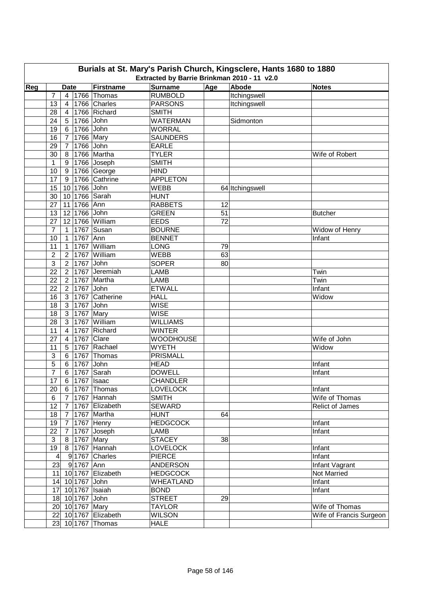| Extracted by Barrie Brinkman 2010 - 11 v2.0<br>Age<br>Abode<br>Firstname<br><b>Surname</b><br>Reg<br><b>Date</b><br><b>Notes</b><br><b>RUMBOLD</b><br>Itchingswell<br>$\overline{7}$<br>$\vert$ 4<br>1766 Thomas<br>1766 Charles<br>13<br><b>PARSONS</b><br>Itchingswell<br>$\overline{4}$<br>1766 Richard<br><b>SMITH</b><br>28<br>$\overline{4}$<br><b>WATERMAN</b><br>24<br>1766 John<br>Sidmonton<br>5 <sup>1</sup><br>6 1766 John<br><b>WORRAL</b><br>19<br>1766 Mary<br><b>SAUNDERS</b><br>16<br>$\overline{7}$<br>1766 John<br>29<br><b>EARLE</b><br>$\overline{7}$<br>1766 Martha<br><b>TYLER</b><br>30<br>Wife of Robert<br>8<br>1766 Joseph<br><b>SMITH</b><br>1<br>9<br>1766 George<br><b>HIND</b><br>10<br>9<br>1766 Cathrine<br><b>APPLETON</b><br>17<br>9<br>10 1766 John<br>15<br><b>WEBB</b><br>64 Itchingswell<br>10 1766 Sarah<br><b>HUNT</b><br>30<br>11 1766 Ann<br><b>RABBETS</b><br>27<br>12<br>12 1766 John<br><b>GREEN</b><br>51<br>13<br><b>Butcher</b><br>12 1766 William<br>72<br><b>EEDS</b><br>27<br>1767 Susan<br><b>BOURNE</b><br>$\overline{7}$<br>Widow of Henry<br>$\mathbf{1}$<br>1767 Ann<br><b>BENNET</b><br>10<br>Infant<br>$\mathbf{1}$ |
|--------------------------------------------------------------------------------------------------------------------------------------------------------------------------------------------------------------------------------------------------------------------------------------------------------------------------------------------------------------------------------------------------------------------------------------------------------------------------------------------------------------------------------------------------------------------------------------------------------------------------------------------------------------------------------------------------------------------------------------------------------------------------------------------------------------------------------------------------------------------------------------------------------------------------------------------------------------------------------------------------------------------------------------------------------------------------------------------------------------------------------------------------------------------------------|
|                                                                                                                                                                                                                                                                                                                                                                                                                                                                                                                                                                                                                                                                                                                                                                                                                                                                                                                                                                                                                                                                                                                                                                                |
|                                                                                                                                                                                                                                                                                                                                                                                                                                                                                                                                                                                                                                                                                                                                                                                                                                                                                                                                                                                                                                                                                                                                                                                |
|                                                                                                                                                                                                                                                                                                                                                                                                                                                                                                                                                                                                                                                                                                                                                                                                                                                                                                                                                                                                                                                                                                                                                                                |
|                                                                                                                                                                                                                                                                                                                                                                                                                                                                                                                                                                                                                                                                                                                                                                                                                                                                                                                                                                                                                                                                                                                                                                                |
|                                                                                                                                                                                                                                                                                                                                                                                                                                                                                                                                                                                                                                                                                                                                                                                                                                                                                                                                                                                                                                                                                                                                                                                |
|                                                                                                                                                                                                                                                                                                                                                                                                                                                                                                                                                                                                                                                                                                                                                                                                                                                                                                                                                                                                                                                                                                                                                                                |
|                                                                                                                                                                                                                                                                                                                                                                                                                                                                                                                                                                                                                                                                                                                                                                                                                                                                                                                                                                                                                                                                                                                                                                                |
|                                                                                                                                                                                                                                                                                                                                                                                                                                                                                                                                                                                                                                                                                                                                                                                                                                                                                                                                                                                                                                                                                                                                                                                |
|                                                                                                                                                                                                                                                                                                                                                                                                                                                                                                                                                                                                                                                                                                                                                                                                                                                                                                                                                                                                                                                                                                                                                                                |
|                                                                                                                                                                                                                                                                                                                                                                                                                                                                                                                                                                                                                                                                                                                                                                                                                                                                                                                                                                                                                                                                                                                                                                                |
|                                                                                                                                                                                                                                                                                                                                                                                                                                                                                                                                                                                                                                                                                                                                                                                                                                                                                                                                                                                                                                                                                                                                                                                |
|                                                                                                                                                                                                                                                                                                                                                                                                                                                                                                                                                                                                                                                                                                                                                                                                                                                                                                                                                                                                                                                                                                                                                                                |
|                                                                                                                                                                                                                                                                                                                                                                                                                                                                                                                                                                                                                                                                                                                                                                                                                                                                                                                                                                                                                                                                                                                                                                                |
|                                                                                                                                                                                                                                                                                                                                                                                                                                                                                                                                                                                                                                                                                                                                                                                                                                                                                                                                                                                                                                                                                                                                                                                |
|                                                                                                                                                                                                                                                                                                                                                                                                                                                                                                                                                                                                                                                                                                                                                                                                                                                                                                                                                                                                                                                                                                                                                                                |
|                                                                                                                                                                                                                                                                                                                                                                                                                                                                                                                                                                                                                                                                                                                                                                                                                                                                                                                                                                                                                                                                                                                                                                                |
|                                                                                                                                                                                                                                                                                                                                                                                                                                                                                                                                                                                                                                                                                                                                                                                                                                                                                                                                                                                                                                                                                                                                                                                |
|                                                                                                                                                                                                                                                                                                                                                                                                                                                                                                                                                                                                                                                                                                                                                                                                                                                                                                                                                                                                                                                                                                                                                                                |
|                                                                                                                                                                                                                                                                                                                                                                                                                                                                                                                                                                                                                                                                                                                                                                                                                                                                                                                                                                                                                                                                                                                                                                                |
|                                                                                                                                                                                                                                                                                                                                                                                                                                                                                                                                                                                                                                                                                                                                                                                                                                                                                                                                                                                                                                                                                                                                                                                |
| 1767 William<br>11<br>$\mathbf{1}$<br><b>LONG</b><br>79                                                                                                                                                                                                                                                                                                                                                                                                                                                                                                                                                                                                                                                                                                                                                                                                                                                                                                                                                                                                                                                                                                                        |
| 1767<br>William<br>$\overline{c}$<br><b>WEBB</b><br>63<br>$\overline{2}$                                                                                                                                                                                                                                                                                                                                                                                                                                                                                                                                                                                                                                                                                                                                                                                                                                                                                                                                                                                                                                                                                                       |
| $\mathbf{3}$<br>1767<br>John<br><b>SOPER</b><br>80<br>$\overline{2}$                                                                                                                                                                                                                                                                                                                                                                                                                                                                                                                                                                                                                                                                                                                                                                                                                                                                                                                                                                                                                                                                                                           |
| 22<br>1767 Jeremiah<br><b>LAMB</b><br>$\overline{2}$<br>Twin                                                                                                                                                                                                                                                                                                                                                                                                                                                                                                                                                                                                                                                                                                                                                                                                                                                                                                                                                                                                                                                                                                                   |
| LAMB<br>22<br>1767 Martha<br>Twin<br>$\overline{2}$                                                                                                                                                                                                                                                                                                                                                                                                                                                                                                                                                                                                                                                                                                                                                                                                                                                                                                                                                                                                                                                                                                                            |
| 1767 John<br>22<br><b>ETWALL</b><br>$\overline{2}$<br>Infant                                                                                                                                                                                                                                                                                                                                                                                                                                                                                                                                                                                                                                                                                                                                                                                                                                                                                                                                                                                                                                                                                                                   |
| <b>HALL</b><br>16<br>3 <sup>1</sup><br>1767 Catherine<br>Widow                                                                                                                                                                                                                                                                                                                                                                                                                                                                                                                                                                                                                                                                                                                                                                                                                                                                                                                                                                                                                                                                                                                 |
| 1767 John<br><b>WISE</b><br>18<br>3 <sup>1</sup>                                                                                                                                                                                                                                                                                                                                                                                                                                                                                                                                                                                                                                                                                                                                                                                                                                                                                                                                                                                                                                                                                                                               |
| 1767 Mary<br><b>WISE</b><br>18<br>$\mathbf{3}$                                                                                                                                                                                                                                                                                                                                                                                                                                                                                                                                                                                                                                                                                                                                                                                                                                                                                                                                                                                                                                                                                                                                 |
| $\mathbf{3}$<br>1767 William<br>28<br><b>WILLIAMS</b>                                                                                                                                                                                                                                                                                                                                                                                                                                                                                                                                                                                                                                                                                                                                                                                                                                                                                                                                                                                                                                                                                                                          |
| 1767 Richard<br>11<br>$\overline{4}$<br><b>WINTER</b>                                                                                                                                                                                                                                                                                                                                                                                                                                                                                                                                                                                                                                                                                                                                                                                                                                                                                                                                                                                                                                                                                                                          |
| 1767 Clare<br><b>WOODHOUSE</b><br>Wife of John<br>27<br>4                                                                                                                                                                                                                                                                                                                                                                                                                                                                                                                                                                                                                                                                                                                                                                                                                                                                                                                                                                                                                                                                                                                      |
| 1767 Rachael<br><b>WYETH</b><br>$5\phantom{.0}$<br>11<br>Widow                                                                                                                                                                                                                                                                                                                                                                                                                                                                                                                                                                                                                                                                                                                                                                                                                                                                                                                                                                                                                                                                                                                 |
| 1767 Thomas<br><b>PRISMALL</b><br>3<br>6                                                                                                                                                                                                                                                                                                                                                                                                                                                                                                                                                                                                                                                                                                                                                                                                                                                                                                                                                                                                                                                                                                                                       |
| 5<br>6 <sup>1</sup><br>1767 John<br><b>HEAD</b><br>Infant                                                                                                                                                                                                                                                                                                                                                                                                                                                                                                                                                                                                                                                                                                                                                                                                                                                                                                                                                                                                                                                                                                                      |
| 1767 Sarah<br>$\overline{7}$<br><b>DOWELL</b><br>6 <sup>1</sup><br>Infant                                                                                                                                                                                                                                                                                                                                                                                                                                                                                                                                                                                                                                                                                                                                                                                                                                                                                                                                                                                                                                                                                                      |
| $\overline{17}$<br>6 1767 Isaac<br><b>CHANDLER</b>                                                                                                                                                                                                                                                                                                                                                                                                                                                                                                                                                                                                                                                                                                                                                                                                                                                                                                                                                                                                                                                                                                                             |
| <b>LOVELOCK</b><br>Infant<br>20<br>6   1767   Thomas                                                                                                                                                                                                                                                                                                                                                                                                                                                                                                                                                                                                                                                                                                                                                                                                                                                                                                                                                                                                                                                                                                                           |
| Wife of Thomas<br>7 1767 Hannah<br><b>SMITH</b><br>6                                                                                                                                                                                                                                                                                                                                                                                                                                                                                                                                                                                                                                                                                                                                                                                                                                                                                                                                                                                                                                                                                                                           |
| 12<br>7 <sup>1</sup><br>1767 Elizabeth<br><b>SEWARD</b><br><b>Relict of James</b>                                                                                                                                                                                                                                                                                                                                                                                                                                                                                                                                                                                                                                                                                                                                                                                                                                                                                                                                                                                                                                                                                              |
| 18<br><b>HUNT</b><br>64<br>$7\overline{ }$<br>1767 Martha                                                                                                                                                                                                                                                                                                                                                                                                                                                                                                                                                                                                                                                                                                                                                                                                                                                                                                                                                                                                                                                                                                                      |
| <b>HEDGCOCK</b><br>19<br>$7\overline{ }$<br>1767 Henry<br>Infant                                                                                                                                                                                                                                                                                                                                                                                                                                                                                                                                                                                                                                                                                                                                                                                                                                                                                                                                                                                                                                                                                                               |
| 1767 Joseph<br>$7^{\circ}$<br>LAMB<br>Infant<br>22                                                                                                                                                                                                                                                                                                                                                                                                                                                                                                                                                                                                                                                                                                                                                                                                                                                                                                                                                                                                                                                                                                                             |
| 3<br>8 1767 Mary<br><b>STACEY</b><br>38                                                                                                                                                                                                                                                                                                                                                                                                                                                                                                                                                                                                                                                                                                                                                                                                                                                                                                                                                                                                                                                                                                                                        |
| 8 1767 Hannah<br>19<br><b>LOVELOCK</b><br>Infant                                                                                                                                                                                                                                                                                                                                                                                                                                                                                                                                                                                                                                                                                                                                                                                                                                                                                                                                                                                                                                                                                                                               |
| $\vert$<br>9 1767 Charles<br><b>PIERCE</b><br>Infant                                                                                                                                                                                                                                                                                                                                                                                                                                                                                                                                                                                                                                                                                                                                                                                                                                                                                                                                                                                                                                                                                                                           |
| 23<br>91767 Ann<br><b>ANDERSON</b><br>Infant Vagrant                                                                                                                                                                                                                                                                                                                                                                                                                                                                                                                                                                                                                                                                                                                                                                                                                                                                                                                                                                                                                                                                                                                           |
| 11 10 1767 Elizabeth<br><b>HEDGCOCK</b><br>Not Married                                                                                                                                                                                                                                                                                                                                                                                                                                                                                                                                                                                                                                                                                                                                                                                                                                                                                                                                                                                                                                                                                                                         |
| 14 10 1767 John<br><b>WHEATLAND</b><br>Infant                                                                                                                                                                                                                                                                                                                                                                                                                                                                                                                                                                                                                                                                                                                                                                                                                                                                                                                                                                                                                                                                                                                                  |
| 17 10 1767 Isaiah<br><b>BOND</b><br>Infant                                                                                                                                                                                                                                                                                                                                                                                                                                                                                                                                                                                                                                                                                                                                                                                                                                                                                                                                                                                                                                                                                                                                     |
| <b>STREET</b><br>18 10 1767 John<br>29                                                                                                                                                                                                                                                                                                                                                                                                                                                                                                                                                                                                                                                                                                                                                                                                                                                                                                                                                                                                                                                                                                                                         |
| 20 10 1767 Mary<br><b>TAYLOR</b><br>Wife of Thomas                                                                                                                                                                                                                                                                                                                                                                                                                                                                                                                                                                                                                                                                                                                                                                                                                                                                                                                                                                                                                                                                                                                             |
| 22 10 1767 Elizabeth<br><b>WILSON</b><br>Wife of Francis Surgeon                                                                                                                                                                                                                                                                                                                                                                                                                                                                                                                                                                                                                                                                                                                                                                                                                                                                                                                                                                                                                                                                                                               |
| 23 10 1767 Thomas<br><b>HALE</b>                                                                                                                                                                                                                                                                                                                                                                                                                                                                                                                                                                                                                                                                                                                                                                                                                                                                                                                                                                                                                                                                                                                                               |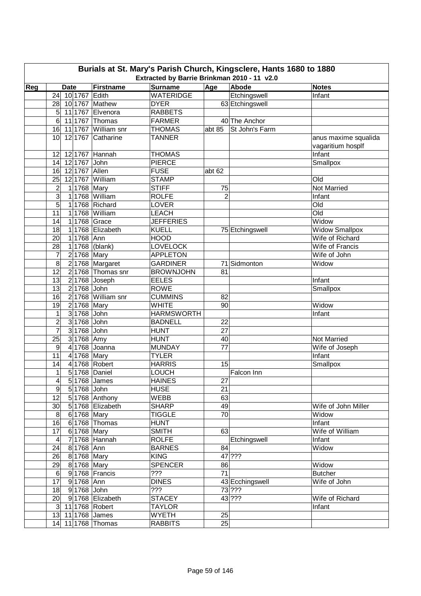|     |                               |                             |                                                               |                | Burials at St. Mary's Parish Church, Kingsclere, Hants 1680 to 1880 |                         |
|-----|-------------------------------|-----------------------------|---------------------------------------------------------------|----------------|---------------------------------------------------------------------|-------------------------|
| Reg | <b>Date</b>                   | Firstname                   | Extracted by Barrie Brinkman 2010 - 11 v2.0<br><b>Surname</b> | Age            | Abode                                                               | <b>Notes</b>            |
|     | 10 1767 Edith<br>24           |                             | <b>WATERIDGE</b>                                              |                | Etchingswell                                                        | Infant                  |
|     | 28                            | 10 1767 Mathew              | <b>DYER</b>                                                   |                | 63 Etchingswell                                                     |                         |
|     | 5                             | 11 1767 Elvenora            | <b>RABBETS</b>                                                |                |                                                                     |                         |
|     | 6                             | 11 1767 Thomas              | <b>FARMER</b>                                                 |                | 40 The Anchor                                                       |                         |
|     | 16                            | 11 1767 William snr         | <b>THOMAS</b>                                                 | abt 85         | St John's Farm                                                      |                         |
|     | 10 <sup>1</sup>               | 12 1767 Catharine           | <b>TANNER</b>                                                 |                |                                                                     | anus maxime squalida    |
|     |                               |                             |                                                               |                |                                                                     | vagaritium hosplf       |
|     | 12<br>12 1767 Hannah          |                             | <b>THOMAS</b>                                                 |                |                                                                     | Infant                  |
|     | 12 1767 John<br>14            |                             | <b>PIERCE</b>                                                 |                |                                                                     | Smallpox                |
|     | 16 12 1767 Allen              |                             | <b>FUSE</b>                                                   | abt 62         |                                                                     |                         |
|     | 12 1767 William<br>25         |                             | <b>STAMP</b>                                                  |                |                                                                     | Old                     |
|     | $\overline{c}$<br>1 1768 Mary |                             | <b>STIFF</b>                                                  | 75             |                                                                     | <b>Not Married</b>      |
|     | 3                             | 1 1768 William              | <b>ROLFE</b>                                                  | $\overline{2}$ |                                                                     | Infant                  |
|     | 5                             | 1 1768 Richard              | LOVER                                                         |                |                                                                     | Old                     |
|     | 11                            | 1 1768 William              | <b>LEACH</b>                                                  |                |                                                                     | $\overline{\text{Old}}$ |
|     | $1 1768 $ Grace<br>14         |                             | <b>JEFFERIES</b>                                              |                |                                                                     | Widow                   |
|     | 18                            | 1 1768 Elizabeth            | <b>KUELL</b>                                                  |                | 75 Etchingswell                                                     | <b>Widow Smallpox</b>   |
|     | 11768 Ann<br>20               |                             | <b>HOOD</b>                                                   |                |                                                                     | Wife of Richard         |
|     | 28                            | 1 1768 (blank)              | <b>LOVELOCK</b>                                               |                |                                                                     | Wife of Francis         |
|     | 7<br>$2 1768 $ Mary           |                             | <b>APPLETON</b>                                               |                |                                                                     | Wife of John            |
|     | 8                             | 2 1768 Margaret             | <b>GARDINER</b>                                               |                | 71 Sidmonton                                                        | Widow                   |
|     | 12                            | $2 1768 $ Thomas snr        | <b>BROWNJOHN</b>                                              | 81             |                                                                     |                         |
|     | 13                            | 2 1768 Joseph               | <b>EELES</b>                                                  |                |                                                                     | Infant                  |
|     | $2 1768 $ John<br>13          |                             | <b>ROWE</b>                                                   |                |                                                                     | Smallpox                |
|     | 16                            | 2 1768 William snr          | <b>CUMMINS</b>                                                | 82             |                                                                     |                         |
|     | 2 1768 Mary<br>19             |                             | <b>WHITE</b>                                                  | 90             |                                                                     | Widow                   |
|     | 3 1768 John<br>1              |                             | <b>HARMSWORTH</b>                                             |                |                                                                     | Infant                  |
|     | $\overline{c}$<br>3 1768 John |                             | <b>BADNELL</b>                                                | 22             |                                                                     |                         |
|     | 7<br>3 1768 John              |                             | <b>HUNT</b>                                                   | 27             |                                                                     |                         |
|     | 25<br>3 1768 Amy              |                             | <b>HUNT</b>                                                   | 40             |                                                                     | Not Married             |
|     | $\boldsymbol{9}$              | 4 1768 Joanna               | <b>MUNDAY</b>                                                 | 77             |                                                                     | Wife of Joseph          |
|     | 11<br>4 1768 Mary             |                             | <b>TYLER</b>                                                  |                |                                                                     | Infant                  |
|     | 14                            | 4 1768 Robert               | <b>HARRIS</b>                                                 | 15             |                                                                     | Smallpox                |
|     | 1                             | 5 1768 Daniel               | <b>LOUCH</b>                                                  |                | Falcon Inn                                                          |                         |
|     | $\overline{\mathbf{A}}$       | $5$ 1768 James              | <b>HAINES</b>                                                 | 27             |                                                                     |                         |
|     | 9<br>5 1768 John              |                             | <b>HUSE</b>                                                   | 21             |                                                                     |                         |
|     | 12                            | $\overline{5}$ 1768 Anthony | <b>WEBB</b>                                                   | 63             |                                                                     |                         |
|     | 30                            | 5 1768 Elizabeth            | <b>SHARP</b>                                                  | 49             |                                                                     | Wife of John Miller     |
|     | 6 1768 Mary<br>8 <sup>1</sup> |                             | <b>TIGGLE</b>                                                 | 70             |                                                                     | Widow                   |
|     | 16                            | 6 1768 Thomas               | <b>HUNT</b>                                                   |                |                                                                     | Infant                  |
|     | 6 1768 Mary<br>17             |                             | <b>SMITH</b>                                                  | 63             |                                                                     | Wife of William         |
|     | $\overline{\mathcal{A}}$      | 7 1768 Hannah               | <b>ROLFE</b>                                                  |                | Etchingswell                                                        | Infant                  |
|     | 8 1768 Ann<br>24              |                             | <b>BARNES</b>                                                 | 84             |                                                                     | Widow                   |
|     | 26<br>8 1768 Mary             |                             | <b>KING</b>                                                   |                | 47 ???                                                              |                         |
|     | 29<br>8 1768 Mary             |                             | <b>SPENCER</b>                                                | 86             |                                                                     | Widow                   |
|     | $\,6$                         | 9 1768 Francis              | ???                                                           | 71             |                                                                     | <b>Butcher</b>          |
|     | 9 1768 Ann<br>17              |                             | <b>DINES</b>                                                  |                | 43 Ecchingswell                                                     | Wife of John            |
|     | 9 1768 John<br>18             |                             | ???                                                           |                | 73 ???                                                              |                         |
|     | 20                            | 91768 Elizabeth             | <b>STACEY</b>                                                 |                | 43 ???                                                              | Wife of Richard         |
|     | 3 11 1768 Robert              |                             | <b>TAYLOR</b>                                                 |                |                                                                     | Infant                  |
|     | 13 11 1768 James              |                             | <b>WYETH</b>                                                  | 25             |                                                                     |                         |
|     | 14 11 1768 Thomas             |                             | <b>RABBITS</b>                                                | 25             |                                                                     |                         |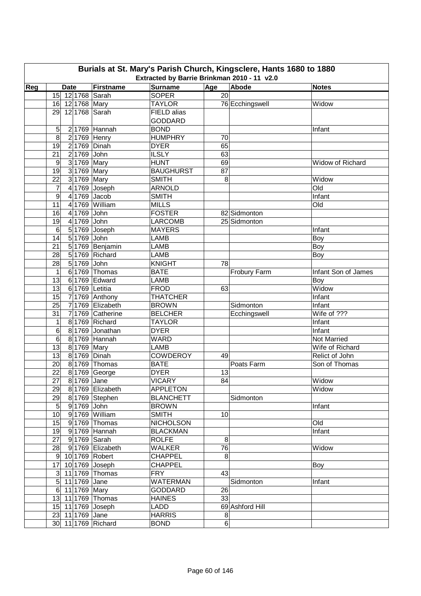| Burials at St. Mary's Parish Church, Kingsclere, Hants 1680 to 1880<br>Extracted by Barrie Brinkman 2010 - 11 v2.0 |                                  |                   |                  |                 |                 |                     |  |  |  |  |
|--------------------------------------------------------------------------------------------------------------------|----------------------------------|-------------------|------------------|-----------------|-----------------|---------------------|--|--|--|--|
| Reg                                                                                                                | <b>Date</b>                      | Firstname         | <b>Surname</b>   | Age             | Abode           | <b>Notes</b>        |  |  |  |  |
|                                                                                                                    | 15 12 1768 Sarah                 |                   | <b>SOPER</b>     | $\overline{20}$ |                 |                     |  |  |  |  |
|                                                                                                                    | 16 12 1768 Mary                  |                   | <b>TAYLOR</b>    |                 | 76 Ecchingswell | Widow               |  |  |  |  |
|                                                                                                                    | 29 12 1768 Sarah                 |                   | FIELD alias      |                 |                 |                     |  |  |  |  |
|                                                                                                                    |                                  |                   | <b>GODDARD</b>   |                 |                 |                     |  |  |  |  |
|                                                                                                                    | 5                                | 2 1769 Hannah     | <b>BOND</b>      |                 |                 | Infant              |  |  |  |  |
|                                                                                                                    | 8<br>2 1769 Henry                |                   | <b>HUMPHRY</b>   | 70              |                 |                     |  |  |  |  |
|                                                                                                                    | 19<br>2 1769 Dinah               |                   | <b>DYER</b>      | 65              |                 |                     |  |  |  |  |
|                                                                                                                    | 21<br>2 1769 John                |                   | <b>ILSLY</b>     | 63              |                 |                     |  |  |  |  |
|                                                                                                                    | 3 1769 Mary<br>9                 |                   | <b>HUNT</b>      | 69              |                 | Widow of Richard    |  |  |  |  |
|                                                                                                                    | 19<br>3 1769 Mary                |                   | <b>BAUGHURST</b> | 87              |                 |                     |  |  |  |  |
|                                                                                                                    | 22<br>3 1769 Mary                |                   | <b>SMITH</b>     | 8               |                 | Widow               |  |  |  |  |
|                                                                                                                    | 7                                | 4 1769 Joseph     | <b>ARNOLD</b>    |                 |                 | Old                 |  |  |  |  |
|                                                                                                                    | 4 1769 Jacob<br>$\boldsymbol{9}$ |                   | <b>SMITH</b>     |                 |                 | Infant              |  |  |  |  |
|                                                                                                                    | 11                               | 4 1769 William    | <b>MILLS</b>     |                 |                 | Old                 |  |  |  |  |
|                                                                                                                    | 16<br>4 1769 John                |                   | <b>FOSTER</b>    |                 | 82 Sidmonton    |                     |  |  |  |  |
|                                                                                                                    | 19<br>4 1769 John                |                   | <b>LARCOMB</b>   |                 | 25 Sidmonton    |                     |  |  |  |  |
|                                                                                                                    | $\,6$                            | 5 1769 Joseph     | <b>MAYERS</b>    |                 |                 | Infant              |  |  |  |  |
|                                                                                                                    | $5 1769 $ John<br>14             |                   | <b>LAMB</b>      |                 |                 | Boy                 |  |  |  |  |
|                                                                                                                    | 21                               | 51769 Benjamin    | <b>LAMB</b>      |                 |                 | Boy                 |  |  |  |  |
|                                                                                                                    | 28                               | 5 1769 Richard    | <b>LAMB</b>      |                 |                 | Boy                 |  |  |  |  |
|                                                                                                                    | 5 1769 John<br>28                |                   | <b>KNIGHT</b>    | 78              |                 |                     |  |  |  |  |
|                                                                                                                    | 1                                | 6 1769 Thomas     | <b>BATE</b>      |                 | Frobury Farm    | Infant Son of James |  |  |  |  |
|                                                                                                                    | 13                               | 6 1769 Edward     | <b>LAMB</b>      |                 |                 | Boy                 |  |  |  |  |
|                                                                                                                    | 6 1769 Letitia<br>13             |                   | <b>FROD</b>      | 63              |                 | Widow               |  |  |  |  |
|                                                                                                                    | 15                               | $7 1769 $ Anthony | <b>THATCHER</b>  |                 |                 | Infant              |  |  |  |  |
|                                                                                                                    | 25                               | 7 1769 Elizabeth  | <b>BROWN</b>     |                 | Sidmonton       | Infant              |  |  |  |  |
|                                                                                                                    | 31                               | 7 1769 Catherine  | <b>BELCHER</b>   |                 | Ecchingswell    | Wife of ???         |  |  |  |  |
|                                                                                                                    | 1                                | 8 1769 Richard    | <b>TAYLOR</b>    |                 |                 | Infant              |  |  |  |  |
|                                                                                                                    | 6                                | 8 1769 Jonathan   | <b>DYER</b>      |                 |                 | Infant              |  |  |  |  |
|                                                                                                                    | 6                                | 8 1769 Hannah     | <b>WARD</b>      |                 |                 | Not Married         |  |  |  |  |
|                                                                                                                    | 13<br>8 1769 Mary                |                   | <b>LAMB</b>      |                 |                 | Wife of Richard     |  |  |  |  |
|                                                                                                                    | 13<br>8 1769 Dinah               |                   | <b>COWDEROY</b>  | 49              |                 | Relict of John      |  |  |  |  |
|                                                                                                                    | 20                               | 8 1769 Thomas     | <b>BATE</b>      |                 | Poats Farm      | Son of Thomas       |  |  |  |  |
|                                                                                                                    | 22                               | 8 1769 George     | <b>DYER</b>      | 13              |                 |                     |  |  |  |  |
|                                                                                                                    | $\overline{27}$<br>8 1769 Jane   |                   | <b>VICARY</b>    | 84              |                 | Widow               |  |  |  |  |
|                                                                                                                    | 29                               | 81769 Elizabeth   | <b>APPLETON</b>  |                 |                 | Widow               |  |  |  |  |
|                                                                                                                    | 29                               | 8 1769 Stephen    | <b>BLANCHETT</b> |                 | Sidmonton       |                     |  |  |  |  |
|                                                                                                                    | 9 1769 John<br>$5\overline{)}$   |                   | <b>BROWN</b>     |                 |                 | Infant              |  |  |  |  |
|                                                                                                                    | 10                               | 9 1769 William    | <b>SMITH</b>     | 10              |                 |                     |  |  |  |  |
|                                                                                                                    | 15                               | 91769 Thomas      | <b>NICHOLSON</b> |                 |                 | Old                 |  |  |  |  |
|                                                                                                                    | 19                               | 91769 Hannah      | <b>BLACKMAN</b>  |                 |                 | Infant              |  |  |  |  |
|                                                                                                                    | 91769 Sarah<br>27                |                   | <b>ROLFE</b>     | 8               |                 |                     |  |  |  |  |
|                                                                                                                    | 28                               | 91769 Elizabeth   | <b>WALKER</b>    | 76              |                 | Widow               |  |  |  |  |
|                                                                                                                    | 9 10 1769 Robert                 |                   | <b>CHAPPEL</b>   | 8               |                 |                     |  |  |  |  |
|                                                                                                                    | 17 10 1769 Joseph                |                   | <b>CHAPPEL</b>   |                 |                 | Boy                 |  |  |  |  |
|                                                                                                                    | 3 11 1769 Thomas                 |                   | <b>FRY</b>       | 43              |                 |                     |  |  |  |  |
|                                                                                                                    | 5 11 1769 Jane                   |                   | <b>WATERMAN</b>  |                 | Sidmonton       | Infant              |  |  |  |  |
|                                                                                                                    | 6 11 1769 Mary                   |                   | <b>GODDARD</b>   | 26              |                 |                     |  |  |  |  |
|                                                                                                                    | 13 11 1769 Thomas                |                   | <b>HAINES</b>    | 33              |                 |                     |  |  |  |  |
|                                                                                                                    | 15 11 1769 Joseph                |                   | LADD             |                 | 69 Ashford Hill |                     |  |  |  |  |
|                                                                                                                    | 23 11 1769 Jane                  |                   | <b>HARRIS</b>    | 8               |                 |                     |  |  |  |  |
|                                                                                                                    | 30 11 1769 Richard               |                   | <b>BOND</b>      | $\sigma$        |                 |                     |  |  |  |  |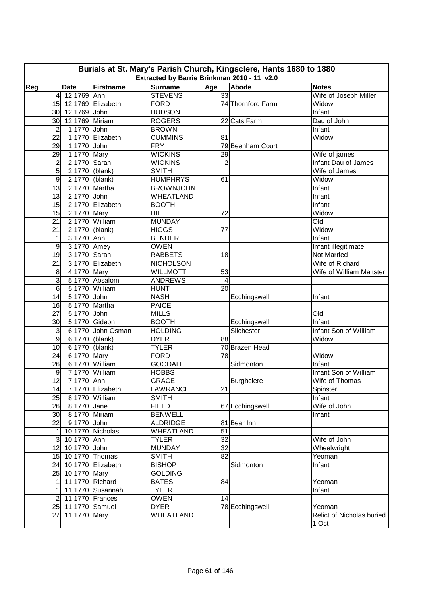| Firstname<br><b>Surname</b><br>Reg<br>Age<br>Abode<br><b>Notes</b><br><b>Date</b><br>12 1769 Ann<br><b>STEVENS</b><br>33<br>Wife of Joseph Miller<br>$\overline{4}$<br>15 12 1769 Elizabeth<br><b>FORD</b><br>74 Thornford Farm<br>Widow<br><b>HUDSON</b><br>12 1769 John<br>Infant<br>30 <sup>°</sup><br><b>ROGERS</b><br>30<br>12 1769 Miriam<br>22 Cats Farm<br>Dau of John<br>$\overline{2}$<br>1 1770 John<br><b>BROWN</b><br>Infant<br>22<br>1 1770 Elizabeth<br><b>CUMMINS</b><br>Widow<br>81<br>29<br>1 1770 John<br><b>FRY</b><br>79 Beenham Court<br>29<br><b>WICKINS</b><br>1 1770 Mary<br>29<br>Wife of james<br>$\overline{2}$<br>Infant Dau of James<br>$\overline{c}$<br>2 1770 Sarah<br><b>WICKINS</b><br>5<br>$2 1770 $ (blank)<br><b>SMITH</b><br>Wife of James<br>$\boldsymbol{9}$<br>2 1770 (blank)<br><b>HUMPHRYS</b><br>61<br>Widow<br>13<br><b>BROWNJOHN</b><br>2 1770 Martha<br>Infant<br>13<br>2 1770 John<br><b>WHEATLAND</b><br>Infant<br>15<br>2 1770 Elizabeth<br><b>BOOTH</b><br>Infant<br>2 1770 Mary<br>15<br><b>HILL</b><br>Widow<br>72<br>2 1770 William<br>21<br>Old<br><b>MUNDAY</b><br>21<br>2 1770 (blank)<br><b>HIGGS</b><br>Widow<br>77<br>3 1770 Ann<br>1<br><b>BENDER</b><br>Infant<br>9<br>3 1770 Amey<br><b>OWEN</b><br>Infant illegitimate<br>19<br>3 1770 Sarah<br><b>RABBETS</b><br>18<br>Not Married<br>3 1770 Elizabeth<br><b>NICHOLSON</b><br>21<br>Wife of Richard<br>8<br>41770 Mary<br><b>WILLMOTT</b><br>53<br>Wife of William Maltster<br>$\overline{3}$<br>5 1770 Absalom<br>$\overline{\mathbf{4}}$<br><b>ANDREWS</b><br>6<br>5 1770 William<br><b>HUNT</b><br>20<br>5 1770 John<br><b>NASH</b><br>14<br>Ecchingswell<br>Infant<br>5 1770 Martha<br>16<br><b>PAICE</b><br>51770 John<br>27<br><b>MILLS</b><br>Old<br>5 1770 Gideon<br><b>BOOTH</b><br><b>Infant</b><br>30<br>Ecchingswell<br>3<br>6 1770 John Osman<br><b>HOLDING</b><br>Silchester<br>Infant Son of William<br>$\boldsymbol{9}$<br>6 1770 (blank)<br><b>DYER</b><br>88<br>Widow<br>10<br>6 1770 (blank)<br><b>TYLER</b><br>70 Brazen Head<br>6 1770 Mary<br><b>FORD</b><br>78<br>24<br>Widow<br>6 1770 William<br><b>GOODALL</b><br><b>Infant</b><br>26<br>Sidmonton<br>Infant Son of William<br><b>HOBBS</b><br>$\boldsymbol{9}$<br>7 1770 William<br>12<br>71770 Ann<br><b>GRACE</b><br>Burghclere<br>Wife of Thomas<br>7 1770 Elizabeth<br><b>LAWRANCE</b><br>14<br>21<br>Spinster<br>Infant<br>25<br>81770 William<br><b>SMITH</b><br>Wife of John<br>26 8 1770 Jane<br><b>FIELD</b><br>67 Ecchingswell<br>30 8 1770 Miriam<br><b>BENWELL</b><br>Infant<br>81 Bear Inn<br>22<br>9 1770 John<br><b>ALDRIDGE</b><br>10 1770 Nicholas<br><b>WHEATLAND</b><br>51<br>$\mathbf{1}$<br>32<br>3 <sup>1</sup><br>10 1770 Ann<br><b>TYLER</b><br>Wife of John<br>32<br>12 10 1770 John<br>Wheelwright<br><b>MUNDAY</b><br>15 10 1770 Thomas<br><b>SMITH</b><br>82<br>Yeoman<br><b>BISHOP</b><br>24 10 1770 Elizabeth<br>Sidmonton<br>Infant<br>25 10 1770 Mary<br><b>GOLDING</b><br>11 1770 Richard<br><b>BATES</b><br>84<br>Yeoman<br>$\vert$<br>11 1770 Susannah<br><b>TYLER</b><br>1<br>Infant<br><b>OWEN</b><br>14<br>$2\vert$<br>11 1770 Frances<br>25 11 1770 Samuel<br><b>DYER</b><br>78 Ecchingswell<br>Yeoman<br>WHEATLAND<br>Relict of Nicholas buried<br>27 11 1770 Mary | Burials at St. Mary's Parish Church, Kingsclere, Hants 1680 to 1880<br>Extracted by Barrie Brinkman 2010 - 11 v2.0 |  |  |  |  |  |       |  |  |  |  |  |  |
|---------------------------------------------------------------------------------------------------------------------------------------------------------------------------------------------------------------------------------------------------------------------------------------------------------------------------------------------------------------------------------------------------------------------------------------------------------------------------------------------------------------------------------------------------------------------------------------------------------------------------------------------------------------------------------------------------------------------------------------------------------------------------------------------------------------------------------------------------------------------------------------------------------------------------------------------------------------------------------------------------------------------------------------------------------------------------------------------------------------------------------------------------------------------------------------------------------------------------------------------------------------------------------------------------------------------------------------------------------------------------------------------------------------------------------------------------------------------------------------------------------------------------------------------------------------------------------------------------------------------------------------------------------------------------------------------------------------------------------------------------------------------------------------------------------------------------------------------------------------------------------------------------------------------------------------------------------------------------------------------------------------------------------------------------------------------------------------------------------------------------------------------------------------------------------------------------------------------------------------------------------------------------------------------------------------------------------------------------------------------------------------------------------------------------------------------------------------------------------------------------------------------------------------------------------------------------------------------------------------------------------------------------------------------------------------------------------------------------------------------------------------------------------------------------------------------------------------------------------------------------------------------------------------------------------------------------------------------------------------------------------------------------------------------------------------------------------------------------------------------------------------------------------------------------------------------------------------------------------------------------------------------------------------------------------|--------------------------------------------------------------------------------------------------------------------|--|--|--|--|--|-------|--|--|--|--|--|--|
|                                                                                                                                                                                                                                                                                                                                                                                                                                                                                                                                                                                                                                                                                                                                                                                                                                                                                                                                                                                                                                                                                                                                                                                                                                                                                                                                                                                                                                                                                                                                                                                                                                                                                                                                                                                                                                                                                                                                                                                                                                                                                                                                                                                                                                                                                                                                                                                                                                                                                                                                                                                                                                                                                                                                                                                                                                                                                                                                                                                                                                                                                                                                                                                                                                                                                                         |                                                                                                                    |  |  |  |  |  |       |  |  |  |  |  |  |
|                                                                                                                                                                                                                                                                                                                                                                                                                                                                                                                                                                                                                                                                                                                                                                                                                                                                                                                                                                                                                                                                                                                                                                                                                                                                                                                                                                                                                                                                                                                                                                                                                                                                                                                                                                                                                                                                                                                                                                                                                                                                                                                                                                                                                                                                                                                                                                                                                                                                                                                                                                                                                                                                                                                                                                                                                                                                                                                                                                                                                                                                                                                                                                                                                                                                                                         |                                                                                                                    |  |  |  |  |  |       |  |  |  |  |  |  |
|                                                                                                                                                                                                                                                                                                                                                                                                                                                                                                                                                                                                                                                                                                                                                                                                                                                                                                                                                                                                                                                                                                                                                                                                                                                                                                                                                                                                                                                                                                                                                                                                                                                                                                                                                                                                                                                                                                                                                                                                                                                                                                                                                                                                                                                                                                                                                                                                                                                                                                                                                                                                                                                                                                                                                                                                                                                                                                                                                                                                                                                                                                                                                                                                                                                                                                         |                                                                                                                    |  |  |  |  |  |       |  |  |  |  |  |  |
|                                                                                                                                                                                                                                                                                                                                                                                                                                                                                                                                                                                                                                                                                                                                                                                                                                                                                                                                                                                                                                                                                                                                                                                                                                                                                                                                                                                                                                                                                                                                                                                                                                                                                                                                                                                                                                                                                                                                                                                                                                                                                                                                                                                                                                                                                                                                                                                                                                                                                                                                                                                                                                                                                                                                                                                                                                                                                                                                                                                                                                                                                                                                                                                                                                                                                                         |                                                                                                                    |  |  |  |  |  |       |  |  |  |  |  |  |
|                                                                                                                                                                                                                                                                                                                                                                                                                                                                                                                                                                                                                                                                                                                                                                                                                                                                                                                                                                                                                                                                                                                                                                                                                                                                                                                                                                                                                                                                                                                                                                                                                                                                                                                                                                                                                                                                                                                                                                                                                                                                                                                                                                                                                                                                                                                                                                                                                                                                                                                                                                                                                                                                                                                                                                                                                                                                                                                                                                                                                                                                                                                                                                                                                                                                                                         |                                                                                                                    |  |  |  |  |  |       |  |  |  |  |  |  |
|                                                                                                                                                                                                                                                                                                                                                                                                                                                                                                                                                                                                                                                                                                                                                                                                                                                                                                                                                                                                                                                                                                                                                                                                                                                                                                                                                                                                                                                                                                                                                                                                                                                                                                                                                                                                                                                                                                                                                                                                                                                                                                                                                                                                                                                                                                                                                                                                                                                                                                                                                                                                                                                                                                                                                                                                                                                                                                                                                                                                                                                                                                                                                                                                                                                                                                         |                                                                                                                    |  |  |  |  |  |       |  |  |  |  |  |  |
|                                                                                                                                                                                                                                                                                                                                                                                                                                                                                                                                                                                                                                                                                                                                                                                                                                                                                                                                                                                                                                                                                                                                                                                                                                                                                                                                                                                                                                                                                                                                                                                                                                                                                                                                                                                                                                                                                                                                                                                                                                                                                                                                                                                                                                                                                                                                                                                                                                                                                                                                                                                                                                                                                                                                                                                                                                                                                                                                                                                                                                                                                                                                                                                                                                                                                                         |                                                                                                                    |  |  |  |  |  |       |  |  |  |  |  |  |
|                                                                                                                                                                                                                                                                                                                                                                                                                                                                                                                                                                                                                                                                                                                                                                                                                                                                                                                                                                                                                                                                                                                                                                                                                                                                                                                                                                                                                                                                                                                                                                                                                                                                                                                                                                                                                                                                                                                                                                                                                                                                                                                                                                                                                                                                                                                                                                                                                                                                                                                                                                                                                                                                                                                                                                                                                                                                                                                                                                                                                                                                                                                                                                                                                                                                                                         |                                                                                                                    |  |  |  |  |  |       |  |  |  |  |  |  |
|                                                                                                                                                                                                                                                                                                                                                                                                                                                                                                                                                                                                                                                                                                                                                                                                                                                                                                                                                                                                                                                                                                                                                                                                                                                                                                                                                                                                                                                                                                                                                                                                                                                                                                                                                                                                                                                                                                                                                                                                                                                                                                                                                                                                                                                                                                                                                                                                                                                                                                                                                                                                                                                                                                                                                                                                                                                                                                                                                                                                                                                                                                                                                                                                                                                                                                         |                                                                                                                    |  |  |  |  |  |       |  |  |  |  |  |  |
|                                                                                                                                                                                                                                                                                                                                                                                                                                                                                                                                                                                                                                                                                                                                                                                                                                                                                                                                                                                                                                                                                                                                                                                                                                                                                                                                                                                                                                                                                                                                                                                                                                                                                                                                                                                                                                                                                                                                                                                                                                                                                                                                                                                                                                                                                                                                                                                                                                                                                                                                                                                                                                                                                                                                                                                                                                                                                                                                                                                                                                                                                                                                                                                                                                                                                                         |                                                                                                                    |  |  |  |  |  |       |  |  |  |  |  |  |
|                                                                                                                                                                                                                                                                                                                                                                                                                                                                                                                                                                                                                                                                                                                                                                                                                                                                                                                                                                                                                                                                                                                                                                                                                                                                                                                                                                                                                                                                                                                                                                                                                                                                                                                                                                                                                                                                                                                                                                                                                                                                                                                                                                                                                                                                                                                                                                                                                                                                                                                                                                                                                                                                                                                                                                                                                                                                                                                                                                                                                                                                                                                                                                                                                                                                                                         |                                                                                                                    |  |  |  |  |  |       |  |  |  |  |  |  |
|                                                                                                                                                                                                                                                                                                                                                                                                                                                                                                                                                                                                                                                                                                                                                                                                                                                                                                                                                                                                                                                                                                                                                                                                                                                                                                                                                                                                                                                                                                                                                                                                                                                                                                                                                                                                                                                                                                                                                                                                                                                                                                                                                                                                                                                                                                                                                                                                                                                                                                                                                                                                                                                                                                                                                                                                                                                                                                                                                                                                                                                                                                                                                                                                                                                                                                         |                                                                                                                    |  |  |  |  |  |       |  |  |  |  |  |  |
|                                                                                                                                                                                                                                                                                                                                                                                                                                                                                                                                                                                                                                                                                                                                                                                                                                                                                                                                                                                                                                                                                                                                                                                                                                                                                                                                                                                                                                                                                                                                                                                                                                                                                                                                                                                                                                                                                                                                                                                                                                                                                                                                                                                                                                                                                                                                                                                                                                                                                                                                                                                                                                                                                                                                                                                                                                                                                                                                                                                                                                                                                                                                                                                                                                                                                                         |                                                                                                                    |  |  |  |  |  |       |  |  |  |  |  |  |
|                                                                                                                                                                                                                                                                                                                                                                                                                                                                                                                                                                                                                                                                                                                                                                                                                                                                                                                                                                                                                                                                                                                                                                                                                                                                                                                                                                                                                                                                                                                                                                                                                                                                                                                                                                                                                                                                                                                                                                                                                                                                                                                                                                                                                                                                                                                                                                                                                                                                                                                                                                                                                                                                                                                                                                                                                                                                                                                                                                                                                                                                                                                                                                                                                                                                                                         |                                                                                                                    |  |  |  |  |  |       |  |  |  |  |  |  |
|                                                                                                                                                                                                                                                                                                                                                                                                                                                                                                                                                                                                                                                                                                                                                                                                                                                                                                                                                                                                                                                                                                                                                                                                                                                                                                                                                                                                                                                                                                                                                                                                                                                                                                                                                                                                                                                                                                                                                                                                                                                                                                                                                                                                                                                                                                                                                                                                                                                                                                                                                                                                                                                                                                                                                                                                                                                                                                                                                                                                                                                                                                                                                                                                                                                                                                         |                                                                                                                    |  |  |  |  |  |       |  |  |  |  |  |  |
|                                                                                                                                                                                                                                                                                                                                                                                                                                                                                                                                                                                                                                                                                                                                                                                                                                                                                                                                                                                                                                                                                                                                                                                                                                                                                                                                                                                                                                                                                                                                                                                                                                                                                                                                                                                                                                                                                                                                                                                                                                                                                                                                                                                                                                                                                                                                                                                                                                                                                                                                                                                                                                                                                                                                                                                                                                                                                                                                                                                                                                                                                                                                                                                                                                                                                                         |                                                                                                                    |  |  |  |  |  |       |  |  |  |  |  |  |
|                                                                                                                                                                                                                                                                                                                                                                                                                                                                                                                                                                                                                                                                                                                                                                                                                                                                                                                                                                                                                                                                                                                                                                                                                                                                                                                                                                                                                                                                                                                                                                                                                                                                                                                                                                                                                                                                                                                                                                                                                                                                                                                                                                                                                                                                                                                                                                                                                                                                                                                                                                                                                                                                                                                                                                                                                                                                                                                                                                                                                                                                                                                                                                                                                                                                                                         |                                                                                                                    |  |  |  |  |  |       |  |  |  |  |  |  |
|                                                                                                                                                                                                                                                                                                                                                                                                                                                                                                                                                                                                                                                                                                                                                                                                                                                                                                                                                                                                                                                                                                                                                                                                                                                                                                                                                                                                                                                                                                                                                                                                                                                                                                                                                                                                                                                                                                                                                                                                                                                                                                                                                                                                                                                                                                                                                                                                                                                                                                                                                                                                                                                                                                                                                                                                                                                                                                                                                                                                                                                                                                                                                                                                                                                                                                         |                                                                                                                    |  |  |  |  |  |       |  |  |  |  |  |  |
|                                                                                                                                                                                                                                                                                                                                                                                                                                                                                                                                                                                                                                                                                                                                                                                                                                                                                                                                                                                                                                                                                                                                                                                                                                                                                                                                                                                                                                                                                                                                                                                                                                                                                                                                                                                                                                                                                                                                                                                                                                                                                                                                                                                                                                                                                                                                                                                                                                                                                                                                                                                                                                                                                                                                                                                                                                                                                                                                                                                                                                                                                                                                                                                                                                                                                                         |                                                                                                                    |  |  |  |  |  |       |  |  |  |  |  |  |
|                                                                                                                                                                                                                                                                                                                                                                                                                                                                                                                                                                                                                                                                                                                                                                                                                                                                                                                                                                                                                                                                                                                                                                                                                                                                                                                                                                                                                                                                                                                                                                                                                                                                                                                                                                                                                                                                                                                                                                                                                                                                                                                                                                                                                                                                                                                                                                                                                                                                                                                                                                                                                                                                                                                                                                                                                                                                                                                                                                                                                                                                                                                                                                                                                                                                                                         |                                                                                                                    |  |  |  |  |  |       |  |  |  |  |  |  |
|                                                                                                                                                                                                                                                                                                                                                                                                                                                                                                                                                                                                                                                                                                                                                                                                                                                                                                                                                                                                                                                                                                                                                                                                                                                                                                                                                                                                                                                                                                                                                                                                                                                                                                                                                                                                                                                                                                                                                                                                                                                                                                                                                                                                                                                                                                                                                                                                                                                                                                                                                                                                                                                                                                                                                                                                                                                                                                                                                                                                                                                                                                                                                                                                                                                                                                         |                                                                                                                    |  |  |  |  |  |       |  |  |  |  |  |  |
|                                                                                                                                                                                                                                                                                                                                                                                                                                                                                                                                                                                                                                                                                                                                                                                                                                                                                                                                                                                                                                                                                                                                                                                                                                                                                                                                                                                                                                                                                                                                                                                                                                                                                                                                                                                                                                                                                                                                                                                                                                                                                                                                                                                                                                                                                                                                                                                                                                                                                                                                                                                                                                                                                                                                                                                                                                                                                                                                                                                                                                                                                                                                                                                                                                                                                                         |                                                                                                                    |  |  |  |  |  |       |  |  |  |  |  |  |
|                                                                                                                                                                                                                                                                                                                                                                                                                                                                                                                                                                                                                                                                                                                                                                                                                                                                                                                                                                                                                                                                                                                                                                                                                                                                                                                                                                                                                                                                                                                                                                                                                                                                                                                                                                                                                                                                                                                                                                                                                                                                                                                                                                                                                                                                                                                                                                                                                                                                                                                                                                                                                                                                                                                                                                                                                                                                                                                                                                                                                                                                                                                                                                                                                                                                                                         |                                                                                                                    |  |  |  |  |  |       |  |  |  |  |  |  |
|                                                                                                                                                                                                                                                                                                                                                                                                                                                                                                                                                                                                                                                                                                                                                                                                                                                                                                                                                                                                                                                                                                                                                                                                                                                                                                                                                                                                                                                                                                                                                                                                                                                                                                                                                                                                                                                                                                                                                                                                                                                                                                                                                                                                                                                                                                                                                                                                                                                                                                                                                                                                                                                                                                                                                                                                                                                                                                                                                                                                                                                                                                                                                                                                                                                                                                         |                                                                                                                    |  |  |  |  |  |       |  |  |  |  |  |  |
|                                                                                                                                                                                                                                                                                                                                                                                                                                                                                                                                                                                                                                                                                                                                                                                                                                                                                                                                                                                                                                                                                                                                                                                                                                                                                                                                                                                                                                                                                                                                                                                                                                                                                                                                                                                                                                                                                                                                                                                                                                                                                                                                                                                                                                                                                                                                                                                                                                                                                                                                                                                                                                                                                                                                                                                                                                                                                                                                                                                                                                                                                                                                                                                                                                                                                                         |                                                                                                                    |  |  |  |  |  |       |  |  |  |  |  |  |
|                                                                                                                                                                                                                                                                                                                                                                                                                                                                                                                                                                                                                                                                                                                                                                                                                                                                                                                                                                                                                                                                                                                                                                                                                                                                                                                                                                                                                                                                                                                                                                                                                                                                                                                                                                                                                                                                                                                                                                                                                                                                                                                                                                                                                                                                                                                                                                                                                                                                                                                                                                                                                                                                                                                                                                                                                                                                                                                                                                                                                                                                                                                                                                                                                                                                                                         |                                                                                                                    |  |  |  |  |  |       |  |  |  |  |  |  |
|                                                                                                                                                                                                                                                                                                                                                                                                                                                                                                                                                                                                                                                                                                                                                                                                                                                                                                                                                                                                                                                                                                                                                                                                                                                                                                                                                                                                                                                                                                                                                                                                                                                                                                                                                                                                                                                                                                                                                                                                                                                                                                                                                                                                                                                                                                                                                                                                                                                                                                                                                                                                                                                                                                                                                                                                                                                                                                                                                                                                                                                                                                                                                                                                                                                                                                         |                                                                                                                    |  |  |  |  |  |       |  |  |  |  |  |  |
|                                                                                                                                                                                                                                                                                                                                                                                                                                                                                                                                                                                                                                                                                                                                                                                                                                                                                                                                                                                                                                                                                                                                                                                                                                                                                                                                                                                                                                                                                                                                                                                                                                                                                                                                                                                                                                                                                                                                                                                                                                                                                                                                                                                                                                                                                                                                                                                                                                                                                                                                                                                                                                                                                                                                                                                                                                                                                                                                                                                                                                                                                                                                                                                                                                                                                                         |                                                                                                                    |  |  |  |  |  |       |  |  |  |  |  |  |
|                                                                                                                                                                                                                                                                                                                                                                                                                                                                                                                                                                                                                                                                                                                                                                                                                                                                                                                                                                                                                                                                                                                                                                                                                                                                                                                                                                                                                                                                                                                                                                                                                                                                                                                                                                                                                                                                                                                                                                                                                                                                                                                                                                                                                                                                                                                                                                                                                                                                                                                                                                                                                                                                                                                                                                                                                                                                                                                                                                                                                                                                                                                                                                                                                                                                                                         |                                                                                                                    |  |  |  |  |  |       |  |  |  |  |  |  |
|                                                                                                                                                                                                                                                                                                                                                                                                                                                                                                                                                                                                                                                                                                                                                                                                                                                                                                                                                                                                                                                                                                                                                                                                                                                                                                                                                                                                                                                                                                                                                                                                                                                                                                                                                                                                                                                                                                                                                                                                                                                                                                                                                                                                                                                                                                                                                                                                                                                                                                                                                                                                                                                                                                                                                                                                                                                                                                                                                                                                                                                                                                                                                                                                                                                                                                         |                                                                                                                    |  |  |  |  |  |       |  |  |  |  |  |  |
|                                                                                                                                                                                                                                                                                                                                                                                                                                                                                                                                                                                                                                                                                                                                                                                                                                                                                                                                                                                                                                                                                                                                                                                                                                                                                                                                                                                                                                                                                                                                                                                                                                                                                                                                                                                                                                                                                                                                                                                                                                                                                                                                                                                                                                                                                                                                                                                                                                                                                                                                                                                                                                                                                                                                                                                                                                                                                                                                                                                                                                                                                                                                                                                                                                                                                                         |                                                                                                                    |  |  |  |  |  |       |  |  |  |  |  |  |
|                                                                                                                                                                                                                                                                                                                                                                                                                                                                                                                                                                                                                                                                                                                                                                                                                                                                                                                                                                                                                                                                                                                                                                                                                                                                                                                                                                                                                                                                                                                                                                                                                                                                                                                                                                                                                                                                                                                                                                                                                                                                                                                                                                                                                                                                                                                                                                                                                                                                                                                                                                                                                                                                                                                                                                                                                                                                                                                                                                                                                                                                                                                                                                                                                                                                                                         |                                                                                                                    |  |  |  |  |  |       |  |  |  |  |  |  |
|                                                                                                                                                                                                                                                                                                                                                                                                                                                                                                                                                                                                                                                                                                                                                                                                                                                                                                                                                                                                                                                                                                                                                                                                                                                                                                                                                                                                                                                                                                                                                                                                                                                                                                                                                                                                                                                                                                                                                                                                                                                                                                                                                                                                                                                                                                                                                                                                                                                                                                                                                                                                                                                                                                                                                                                                                                                                                                                                                                                                                                                                                                                                                                                                                                                                                                         |                                                                                                                    |  |  |  |  |  |       |  |  |  |  |  |  |
|                                                                                                                                                                                                                                                                                                                                                                                                                                                                                                                                                                                                                                                                                                                                                                                                                                                                                                                                                                                                                                                                                                                                                                                                                                                                                                                                                                                                                                                                                                                                                                                                                                                                                                                                                                                                                                                                                                                                                                                                                                                                                                                                                                                                                                                                                                                                                                                                                                                                                                                                                                                                                                                                                                                                                                                                                                                                                                                                                                                                                                                                                                                                                                                                                                                                                                         |                                                                                                                    |  |  |  |  |  |       |  |  |  |  |  |  |
|                                                                                                                                                                                                                                                                                                                                                                                                                                                                                                                                                                                                                                                                                                                                                                                                                                                                                                                                                                                                                                                                                                                                                                                                                                                                                                                                                                                                                                                                                                                                                                                                                                                                                                                                                                                                                                                                                                                                                                                                                                                                                                                                                                                                                                                                                                                                                                                                                                                                                                                                                                                                                                                                                                                                                                                                                                                                                                                                                                                                                                                                                                                                                                                                                                                                                                         |                                                                                                                    |  |  |  |  |  |       |  |  |  |  |  |  |
|                                                                                                                                                                                                                                                                                                                                                                                                                                                                                                                                                                                                                                                                                                                                                                                                                                                                                                                                                                                                                                                                                                                                                                                                                                                                                                                                                                                                                                                                                                                                                                                                                                                                                                                                                                                                                                                                                                                                                                                                                                                                                                                                                                                                                                                                                                                                                                                                                                                                                                                                                                                                                                                                                                                                                                                                                                                                                                                                                                                                                                                                                                                                                                                                                                                                                                         |                                                                                                                    |  |  |  |  |  |       |  |  |  |  |  |  |
|                                                                                                                                                                                                                                                                                                                                                                                                                                                                                                                                                                                                                                                                                                                                                                                                                                                                                                                                                                                                                                                                                                                                                                                                                                                                                                                                                                                                                                                                                                                                                                                                                                                                                                                                                                                                                                                                                                                                                                                                                                                                                                                                                                                                                                                                                                                                                                                                                                                                                                                                                                                                                                                                                                                                                                                                                                                                                                                                                                                                                                                                                                                                                                                                                                                                                                         |                                                                                                                    |  |  |  |  |  |       |  |  |  |  |  |  |
|                                                                                                                                                                                                                                                                                                                                                                                                                                                                                                                                                                                                                                                                                                                                                                                                                                                                                                                                                                                                                                                                                                                                                                                                                                                                                                                                                                                                                                                                                                                                                                                                                                                                                                                                                                                                                                                                                                                                                                                                                                                                                                                                                                                                                                                                                                                                                                                                                                                                                                                                                                                                                                                                                                                                                                                                                                                                                                                                                                                                                                                                                                                                                                                                                                                                                                         |                                                                                                                    |  |  |  |  |  |       |  |  |  |  |  |  |
|                                                                                                                                                                                                                                                                                                                                                                                                                                                                                                                                                                                                                                                                                                                                                                                                                                                                                                                                                                                                                                                                                                                                                                                                                                                                                                                                                                                                                                                                                                                                                                                                                                                                                                                                                                                                                                                                                                                                                                                                                                                                                                                                                                                                                                                                                                                                                                                                                                                                                                                                                                                                                                                                                                                                                                                                                                                                                                                                                                                                                                                                                                                                                                                                                                                                                                         |                                                                                                                    |  |  |  |  |  |       |  |  |  |  |  |  |
|                                                                                                                                                                                                                                                                                                                                                                                                                                                                                                                                                                                                                                                                                                                                                                                                                                                                                                                                                                                                                                                                                                                                                                                                                                                                                                                                                                                                                                                                                                                                                                                                                                                                                                                                                                                                                                                                                                                                                                                                                                                                                                                                                                                                                                                                                                                                                                                                                                                                                                                                                                                                                                                                                                                                                                                                                                                                                                                                                                                                                                                                                                                                                                                                                                                                                                         |                                                                                                                    |  |  |  |  |  |       |  |  |  |  |  |  |
|                                                                                                                                                                                                                                                                                                                                                                                                                                                                                                                                                                                                                                                                                                                                                                                                                                                                                                                                                                                                                                                                                                                                                                                                                                                                                                                                                                                                                                                                                                                                                                                                                                                                                                                                                                                                                                                                                                                                                                                                                                                                                                                                                                                                                                                                                                                                                                                                                                                                                                                                                                                                                                                                                                                                                                                                                                                                                                                                                                                                                                                                                                                                                                                                                                                                                                         |                                                                                                                    |  |  |  |  |  |       |  |  |  |  |  |  |
|                                                                                                                                                                                                                                                                                                                                                                                                                                                                                                                                                                                                                                                                                                                                                                                                                                                                                                                                                                                                                                                                                                                                                                                                                                                                                                                                                                                                                                                                                                                                                                                                                                                                                                                                                                                                                                                                                                                                                                                                                                                                                                                                                                                                                                                                                                                                                                                                                                                                                                                                                                                                                                                                                                                                                                                                                                                                                                                                                                                                                                                                                                                                                                                                                                                                                                         |                                                                                                                    |  |  |  |  |  |       |  |  |  |  |  |  |
|                                                                                                                                                                                                                                                                                                                                                                                                                                                                                                                                                                                                                                                                                                                                                                                                                                                                                                                                                                                                                                                                                                                                                                                                                                                                                                                                                                                                                                                                                                                                                                                                                                                                                                                                                                                                                                                                                                                                                                                                                                                                                                                                                                                                                                                                                                                                                                                                                                                                                                                                                                                                                                                                                                                                                                                                                                                                                                                                                                                                                                                                                                                                                                                                                                                                                                         |                                                                                                                    |  |  |  |  |  |       |  |  |  |  |  |  |
|                                                                                                                                                                                                                                                                                                                                                                                                                                                                                                                                                                                                                                                                                                                                                                                                                                                                                                                                                                                                                                                                                                                                                                                                                                                                                                                                                                                                                                                                                                                                                                                                                                                                                                                                                                                                                                                                                                                                                                                                                                                                                                                                                                                                                                                                                                                                                                                                                                                                                                                                                                                                                                                                                                                                                                                                                                                                                                                                                                                                                                                                                                                                                                                                                                                                                                         |                                                                                                                    |  |  |  |  |  |       |  |  |  |  |  |  |
|                                                                                                                                                                                                                                                                                                                                                                                                                                                                                                                                                                                                                                                                                                                                                                                                                                                                                                                                                                                                                                                                                                                                                                                                                                                                                                                                                                                                                                                                                                                                                                                                                                                                                                                                                                                                                                                                                                                                                                                                                                                                                                                                                                                                                                                                                                                                                                                                                                                                                                                                                                                                                                                                                                                                                                                                                                                                                                                                                                                                                                                                                                                                                                                                                                                                                                         |                                                                                                                    |  |  |  |  |  |       |  |  |  |  |  |  |
|                                                                                                                                                                                                                                                                                                                                                                                                                                                                                                                                                                                                                                                                                                                                                                                                                                                                                                                                                                                                                                                                                                                                                                                                                                                                                                                                                                                                                                                                                                                                                                                                                                                                                                                                                                                                                                                                                                                                                                                                                                                                                                                                                                                                                                                                                                                                                                                                                                                                                                                                                                                                                                                                                                                                                                                                                                                                                                                                                                                                                                                                                                                                                                                                                                                                                                         |                                                                                                                    |  |  |  |  |  |       |  |  |  |  |  |  |
|                                                                                                                                                                                                                                                                                                                                                                                                                                                                                                                                                                                                                                                                                                                                                                                                                                                                                                                                                                                                                                                                                                                                                                                                                                                                                                                                                                                                                                                                                                                                                                                                                                                                                                                                                                                                                                                                                                                                                                                                                                                                                                                                                                                                                                                                                                                                                                                                                                                                                                                                                                                                                                                                                                                                                                                                                                                                                                                                                                                                                                                                                                                                                                                                                                                                                                         |                                                                                                                    |  |  |  |  |  |       |  |  |  |  |  |  |
|                                                                                                                                                                                                                                                                                                                                                                                                                                                                                                                                                                                                                                                                                                                                                                                                                                                                                                                                                                                                                                                                                                                                                                                                                                                                                                                                                                                                                                                                                                                                                                                                                                                                                                                                                                                                                                                                                                                                                                                                                                                                                                                                                                                                                                                                                                                                                                                                                                                                                                                                                                                                                                                                                                                                                                                                                                                                                                                                                                                                                                                                                                                                                                                                                                                                                                         |                                                                                                                    |  |  |  |  |  |       |  |  |  |  |  |  |
|                                                                                                                                                                                                                                                                                                                                                                                                                                                                                                                                                                                                                                                                                                                                                                                                                                                                                                                                                                                                                                                                                                                                                                                                                                                                                                                                                                                                                                                                                                                                                                                                                                                                                                                                                                                                                                                                                                                                                                                                                                                                                                                                                                                                                                                                                                                                                                                                                                                                                                                                                                                                                                                                                                                                                                                                                                                                                                                                                                                                                                                                                                                                                                                                                                                                                                         |                                                                                                                    |  |  |  |  |  |       |  |  |  |  |  |  |
|                                                                                                                                                                                                                                                                                                                                                                                                                                                                                                                                                                                                                                                                                                                                                                                                                                                                                                                                                                                                                                                                                                                                                                                                                                                                                                                                                                                                                                                                                                                                                                                                                                                                                                                                                                                                                                                                                                                                                                                                                                                                                                                                                                                                                                                                                                                                                                                                                                                                                                                                                                                                                                                                                                                                                                                                                                                                                                                                                                                                                                                                                                                                                                                                                                                                                                         |                                                                                                                    |  |  |  |  |  |       |  |  |  |  |  |  |
|                                                                                                                                                                                                                                                                                                                                                                                                                                                                                                                                                                                                                                                                                                                                                                                                                                                                                                                                                                                                                                                                                                                                                                                                                                                                                                                                                                                                                                                                                                                                                                                                                                                                                                                                                                                                                                                                                                                                                                                                                                                                                                                                                                                                                                                                                                                                                                                                                                                                                                                                                                                                                                                                                                                                                                                                                                                                                                                                                                                                                                                                                                                                                                                                                                                                                                         |                                                                                                                    |  |  |  |  |  |       |  |  |  |  |  |  |
|                                                                                                                                                                                                                                                                                                                                                                                                                                                                                                                                                                                                                                                                                                                                                                                                                                                                                                                                                                                                                                                                                                                                                                                                                                                                                                                                                                                                                                                                                                                                                                                                                                                                                                                                                                                                                                                                                                                                                                                                                                                                                                                                                                                                                                                                                                                                                                                                                                                                                                                                                                                                                                                                                                                                                                                                                                                                                                                                                                                                                                                                                                                                                                                                                                                                                                         |                                                                                                                    |  |  |  |  |  |       |  |  |  |  |  |  |
|                                                                                                                                                                                                                                                                                                                                                                                                                                                                                                                                                                                                                                                                                                                                                                                                                                                                                                                                                                                                                                                                                                                                                                                                                                                                                                                                                                                                                                                                                                                                                                                                                                                                                                                                                                                                                                                                                                                                                                                                                                                                                                                                                                                                                                                                                                                                                                                                                                                                                                                                                                                                                                                                                                                                                                                                                                                                                                                                                                                                                                                                                                                                                                                                                                                                                                         |                                                                                                                    |  |  |  |  |  | 1 Oct |  |  |  |  |  |  |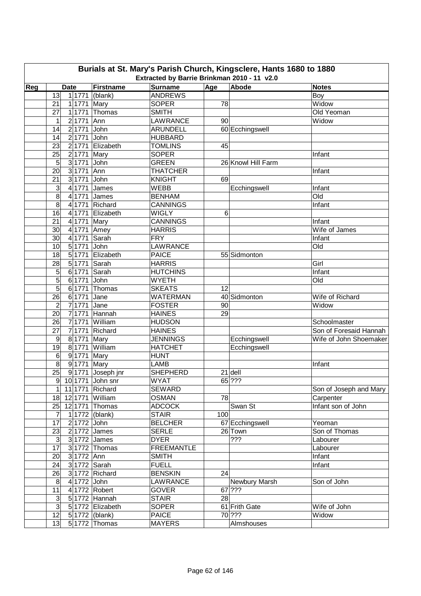|     | Burials at St. Mary's Parish Church, Kingsclere, Hants 1680 to 1880<br>Extracted by Barrie Brinkman 2010 - 11 v2.0 |                                                |                          |     |                    |                        |  |  |  |  |  |  |  |
|-----|--------------------------------------------------------------------------------------------------------------------|------------------------------------------------|--------------------------|-----|--------------------|------------------------|--|--|--|--|--|--|--|
| Reg | <b>Date</b>                                                                                                        | Firstname                                      | <b>Surname</b>           | Age | Abode              | <b>Notes</b>           |  |  |  |  |  |  |  |
|     | 13                                                                                                                 | $1 1771 $ (blank)                              | <b>ANDREWS</b>           |     |                    | Boy                    |  |  |  |  |  |  |  |
|     | 21<br>1 1771 Mary                                                                                                  |                                                | <b>SOPER</b>             | 78  |                    | Widow                  |  |  |  |  |  |  |  |
|     | 27                                                                                                                 | $1 1771 $ Thomas                               | <b>SMITH</b>             |     |                    | Old Yeoman             |  |  |  |  |  |  |  |
|     | 1<br>2 1771                                                                                                        | Ann                                            | LAWRANCE                 | 90  |                    | Widow                  |  |  |  |  |  |  |  |
|     | 14<br>2 1771                                                                                                       | John                                           | <b>ARUNDELL</b>          |     | 60 Ecchingswell    |                        |  |  |  |  |  |  |  |
|     | 14<br>2 1771                                                                                                       | John                                           | <b>HUBBARD</b>           |     |                    |                        |  |  |  |  |  |  |  |
|     | 23<br>2 1771                                                                                                       | Elizabeth                                      | <b>TOMLINS</b>           | 45  |                    |                        |  |  |  |  |  |  |  |
|     | 25<br>2 1771                                                                                                       | Mary                                           | <b>SOPER</b>             |     |                    | Infant                 |  |  |  |  |  |  |  |
|     | 5<br>3 1771                                                                                                        | John                                           | <b>GREEN</b>             |     | 26 Knowl Hill Farm |                        |  |  |  |  |  |  |  |
|     | 20<br>3 1771                                                                                                       | Ann                                            | <b>THATCHER</b>          |     |                    | Infant                 |  |  |  |  |  |  |  |
|     | 21<br>3 1771                                                                                                       | John                                           | <b>KNIGHT</b>            | 69  |                    |                        |  |  |  |  |  |  |  |
|     | 3<br>4 1771                                                                                                        | James                                          | <b>WEBB</b>              |     | Ecchingswell       | Infant                 |  |  |  |  |  |  |  |
|     | 8<br>4 1771                                                                                                        | James                                          | <b>BENHAM</b>            |     |                    | Old                    |  |  |  |  |  |  |  |
|     | 8<br>4 1771                                                                                                        | Richard                                        | <b>CANNINGS</b>          |     |                    | Infant                 |  |  |  |  |  |  |  |
|     | 16<br>4 1771                                                                                                       | Elizabeth                                      | <b>WIGLY</b>             | 6   |                    |                        |  |  |  |  |  |  |  |
|     | 21<br>4 1771                                                                                                       | Mary                                           | <b>CANNINGS</b>          |     |                    | Infant                 |  |  |  |  |  |  |  |
|     | 30<br>4 1771 Amey                                                                                                  |                                                | <b>HARRIS</b>            |     |                    | Wife of James          |  |  |  |  |  |  |  |
|     | 30<br>4 1771                                                                                                       | Sarah                                          | <b>FRY</b>               |     |                    | Infant                 |  |  |  |  |  |  |  |
|     | $\overline{5}$ 1771                                                                                                |                                                |                          |     |                    |                        |  |  |  |  |  |  |  |
|     | 10                                                                                                                 | John<br>5 1771 Elizabeth                       | LAWRANCE<br><b>PAICE</b> |     |                    | Old                    |  |  |  |  |  |  |  |
|     | 18                                                                                                                 |                                                |                          |     | 55 Sidmonton       |                        |  |  |  |  |  |  |  |
|     | 5 1771<br>28                                                                                                       | Sarah                                          | <b>HARRIS</b>            |     |                    | Girl                   |  |  |  |  |  |  |  |
|     | 5<br>6 1771                                                                                                        | Sarah                                          | <b>HUTCHINS</b>          |     |                    | Infant                 |  |  |  |  |  |  |  |
|     | 5<br>6 1771                                                                                                        | John                                           | <b>WYETH</b>             |     |                    | Old                    |  |  |  |  |  |  |  |
|     | 5                                                                                                                  | $6 1771 $ Thomas                               | <b>SKEATS</b>            | 12  |                    |                        |  |  |  |  |  |  |  |
|     | 26<br>6 1771                                                                                                       | Jane                                           | <b>WATERMAN</b>          |     | 40 Sidmonton       | Wife of Richard        |  |  |  |  |  |  |  |
|     | 7 1771<br>$\overline{2}$                                                                                           | Jane                                           | <b>FOSTER</b>            | 90  |                    | Widow                  |  |  |  |  |  |  |  |
|     | 20                                                                                                                 | $7$ 1771 Hannah<br>$\overline{\text{William}}$ | <b>HAINES</b>            | 29  |                    |                        |  |  |  |  |  |  |  |
|     | 7 1771<br>26                                                                                                       |                                                | <b>HUDSON</b>            |     |                    | Schoolmaster           |  |  |  |  |  |  |  |
|     | 71771<br>27                                                                                                        | Richard                                        | <b>HAINES</b>            |     |                    | Son of Foresaid Hannah |  |  |  |  |  |  |  |
|     | $\boldsymbol{9}$<br>8 1771                                                                                         | Mary                                           | <b>JENNINGS</b>          |     | Ecchingswell       | Wife of John Shoemaker |  |  |  |  |  |  |  |
|     | 19<br>8 1771                                                                                                       | William                                        | <b>HATCHET</b>           |     | Ecchingswell       |                        |  |  |  |  |  |  |  |
|     | $\,6\,$<br>9 1771                                                                                                  | Mary                                           | <b>HUNT</b>              |     |                    |                        |  |  |  |  |  |  |  |
|     | 8<br>9 1771 Mary                                                                                                   |                                                | <b>LAMB</b>              |     |                    | Infant                 |  |  |  |  |  |  |  |
|     | 25                                                                                                                 | 9 1771 Joseph jnr                              | <b>SHEPHERD</b>          |     | $21$ dell          |                        |  |  |  |  |  |  |  |
|     | $9$ 10 1771 John snr                                                                                               |                                                | WYAT                     |     | 65 ???             |                        |  |  |  |  |  |  |  |
|     | 1 11 1771 Richard                                                                                                  |                                                | <b>SEWARD</b>            |     |                    | Son of Joseph and Mary |  |  |  |  |  |  |  |
|     | 18 12 1771 William                                                                                                 |                                                | <b>OSMAN</b>             | 78  |                    | Carpenter              |  |  |  |  |  |  |  |
|     | 25 12 1771 Thomas                                                                                                  |                                                | <b>ADCOCK</b>            |     | Swan St            | Infant son of John     |  |  |  |  |  |  |  |
|     | $\overline{7}$                                                                                                     | 1 1772 (blank)                                 | <b>STAIR</b>             | 100 |                    |                        |  |  |  |  |  |  |  |
|     | 2 1772 John<br>17                                                                                                  |                                                | <b>BELCHER</b>           |     | 67 Ecchingswell    | Yeoman                 |  |  |  |  |  |  |  |
|     | 23                                                                                                                 | 2 1772 James                                   | <b>SERLE</b>             |     | 26 Town            | Son of Thomas          |  |  |  |  |  |  |  |
|     | 3 <sup>1</sup>                                                                                                     | $3 1772 $ James                                | <b>DYER</b>              |     | ???                | Labourer               |  |  |  |  |  |  |  |
|     | 17                                                                                                                 | 3 1772 Thomas                                  | <b>FREEMANTLE</b>        |     |                    | Labourer               |  |  |  |  |  |  |  |
|     | 3 1772 Ann<br>20                                                                                                   |                                                | <b>SMITH</b>             |     |                    | Infant                 |  |  |  |  |  |  |  |
|     | 3 1772 Sarah<br>24                                                                                                 |                                                | <b>FUELL</b>             |     |                    | Infant                 |  |  |  |  |  |  |  |
|     | 26                                                                                                                 | 3 1772 Richard                                 | <b>BENSKIN</b>           | 24  |                    |                        |  |  |  |  |  |  |  |
|     | 4 1772 John<br>8                                                                                                   |                                                | LAWRANCE                 |     | Newbury Marsh      | Son of John            |  |  |  |  |  |  |  |
|     | 11                                                                                                                 | 4 1772 Robert                                  | <b>GOVER</b>             |     | $67$ ???           |                        |  |  |  |  |  |  |  |
|     | $\ensuremath{\mathsf{3}}$                                                                                          | 5 1772 Hannah                                  | <b>STAIR</b>             | 28  |                    |                        |  |  |  |  |  |  |  |
|     | ω                                                                                                                  | 5 1772 Elizabeth                               | <b>SOPER</b>             |     | 61 Frith Gate      | Wife of John           |  |  |  |  |  |  |  |
|     | 12                                                                                                                 | 5 1772 (blank)                                 | <b>PAICE</b>             |     | 70 ???             | Widow                  |  |  |  |  |  |  |  |
|     | 13                                                                                                                 | $5 1772 $ Thomas                               | <b>MAYERS</b>            |     | Almshouses         |                        |  |  |  |  |  |  |  |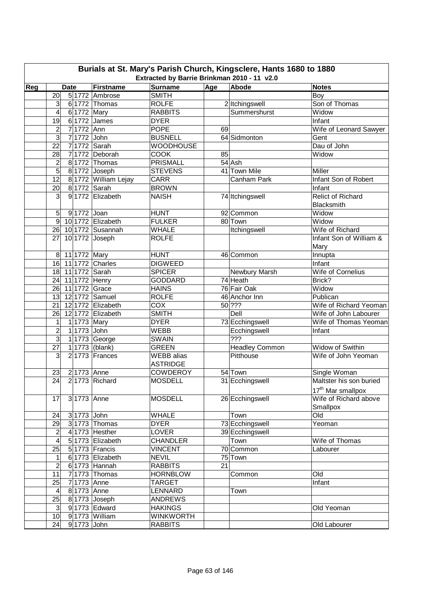|     | Burials at St. Mary's Parish Church, Kingsclere, Hants 1680 to 1880<br>Extracted by Barrie Brinkman 2010 - 11 v2.0 |                  |              |                            |                                      |     |                           |                                         |  |  |  |  |  |
|-----|--------------------------------------------------------------------------------------------------------------------|------------------|--------------|----------------------------|--------------------------------------|-----|---------------------------|-----------------------------------------|--|--|--|--|--|
| Reg | <b>Date</b>                                                                                                        |                  |              | <b>Firstname</b>           | <b>Surname</b>                       | Age | Abode                     | <b>Notes</b>                            |  |  |  |  |  |
|     | 20                                                                                                                 |                  |              | 5 1772 Ambrose             | <b>SMITH</b>                         |     |                           | Boy                                     |  |  |  |  |  |
|     | 3                                                                                                                  |                  |              | 6 1772 Thomas              | <b>ROLFE</b>                         |     | 2 Itchingswell            | Son of Thomas                           |  |  |  |  |  |
|     | 4                                                                                                                  |                  | 6 1772 Mary  |                            | <b>RABBITS</b>                       |     | Summershurst              | Widow                                   |  |  |  |  |  |
|     | 19                                                                                                                 | $6 \overline{6}$ |              | 1772 James                 | <b>DYER</b>                          |     |                           | Infant                                  |  |  |  |  |  |
|     | $\overline{c}$                                                                                                     | $\overline{7}$   | 1772 Ann     |                            | <b>POPE</b>                          | 69  |                           | Wife of Leonard Sawyer                  |  |  |  |  |  |
|     | 3                                                                                                                  | $\overline{7}$   | 1772 John    |                            | <b>BUSNELL</b>                       |     | 64 Sidmonton              | Gent                                    |  |  |  |  |  |
|     | 22                                                                                                                 | $\overline{7}$   |              | 1772 Sarah                 | <b>WOODHOUSE</b>                     |     |                           | Dau of John                             |  |  |  |  |  |
|     | 28                                                                                                                 | $\overline{7}$   |              | 1772 Deborah               | <b>COOK</b>                          | 85  |                           | Widow                                   |  |  |  |  |  |
|     | $\overline{c}$                                                                                                     |                  |              | 8 1772 Thomas              | <b>PRISMALL</b>                      |     | 54 Ash                    |                                         |  |  |  |  |  |
|     | 5                                                                                                                  |                  |              | 81772 Joseph               | <b>STEVENS</b>                       |     | 41 Town Mile              | Miller                                  |  |  |  |  |  |
|     | 12                                                                                                                 |                  |              | 8 1772 William Lejay       | <b>CARR</b>                          |     | Canham Park               | Infant Son of Robert                    |  |  |  |  |  |
|     | 20                                                                                                                 |                  |              | 8 1772 Sarah               | <b>BROWN</b>                         |     |                           | Infant                                  |  |  |  |  |  |
|     | 3                                                                                                                  |                  |              | 9 1772 Elizabeth           | <b>NAISH</b>                         |     | 74 Itchingswell           | Relict of Richard                       |  |  |  |  |  |
|     |                                                                                                                    |                  |              |                            |                                      |     |                           | Blacksmith                              |  |  |  |  |  |
|     | 5                                                                                                                  |                  | 91772 Joan   |                            | <b>HUNT</b>                          |     | 92 Common                 | Widow                                   |  |  |  |  |  |
|     | $\overline{9}$                                                                                                     |                  |              | 10 1772 Elizabeth          | <b>FULKER</b>                        |     | 80 Town                   | Widow                                   |  |  |  |  |  |
|     | 26                                                                                                                 |                  |              | 10 1772 Susannah           | <b>WHALE</b>                         |     | Itchingswell              | Wife of Richard                         |  |  |  |  |  |
|     | 27                                                                                                                 |                  |              | 10 1772 Joseph             | <b>ROLFE</b>                         |     |                           | Infant Son of William &                 |  |  |  |  |  |
|     |                                                                                                                    |                  |              |                            |                                      |     |                           | Mary                                    |  |  |  |  |  |
|     | $\bf 8$                                                                                                            |                  | 11 1772 Mary |                            | <b>HUNT</b>                          |     | 46 Common                 | Innupta                                 |  |  |  |  |  |
|     | $\overline{16}$                                                                                                    |                  |              | 11 1772 Charles            | <b>DIGWEED</b>                       |     |                           | Infant                                  |  |  |  |  |  |
|     | 18                                                                                                                 |                  |              | 11 1772 Sarah              | <b>SPICER</b>                        |     |                           | Wife of Cornelius                       |  |  |  |  |  |
|     | 24                                                                                                                 |                  |              | 11 1772 Henry              | <b>GODDARD</b>                       |     | Newbury Marsh<br>74 Heath | Brick?                                  |  |  |  |  |  |
|     | 26                                                                                                                 |                  |              | 11 1772 Grace              | <b>HAINS</b>                         |     | 76 Fair Oak               | Widow                                   |  |  |  |  |  |
|     | 13                                                                                                                 |                  |              | 12 1772 Samuel             | <b>ROLFE</b>                         |     | 46 Anchor Inn             | Publican                                |  |  |  |  |  |
|     | 21                                                                                                                 |                  |              | 12 1772 Elizabeth          | COX                                  |     | 50 ???                    | Wife of Richard Yeoman                  |  |  |  |  |  |
|     |                                                                                                                    |                  |              |                            |                                      |     | Dell                      |                                         |  |  |  |  |  |
|     | 26<br>$\mathbf 1$                                                                                                  |                  |              | 121772 Elizabeth           | <b>SMITH</b><br><b>DYER</b>          |     |                           | Wife of John Labourer                   |  |  |  |  |  |
|     |                                                                                                                    |                  | 11773 Mary   |                            |                                      |     | 73 Ecchingswell           | Wife of Thomas Yeoman                   |  |  |  |  |  |
|     | $\overline{\mathbf{c}}$<br>3                                                                                       |                  | 11773 John   |                            | WEBB                                 |     | Ecchingswell<br>???       | Infant                                  |  |  |  |  |  |
|     | 27                                                                                                                 |                  |              | 1 1773 George              | <b>SWAIN</b><br><b>GREEN</b>         |     |                           | Widow of Swithin                        |  |  |  |  |  |
|     |                                                                                                                    |                  |              | 1 1773 (blank)             |                                      |     | <b>Headley Common</b>     |                                         |  |  |  |  |  |
|     | 3                                                                                                                  |                  |              | $2$ 1773 Frances           | <b>WEBB</b> alias<br><b>ASTRIDGE</b> |     | Pitthouse                 | Wife of John Yeoman                     |  |  |  |  |  |
|     |                                                                                                                    |                  |              |                            |                                      |     |                           |                                         |  |  |  |  |  |
|     | 23                                                                                                                 |                  | 2 1773 Anne  |                            | <b>COWDEROY</b><br><b>MOSDELL</b>    |     | 54 Town                   | Single Woman<br>Maltster his son buried |  |  |  |  |  |
|     | $\overline{24}$                                                                                                    |                  |              | 21773 Richard              |                                      |     | 31 Ecchingswell           |                                         |  |  |  |  |  |
|     |                                                                                                                    |                  |              |                            |                                      |     |                           | 17 <sup>th</sup> Mar smallpox           |  |  |  |  |  |
|     | 17                                                                                                                 |                  |              | 3 1773 Anne                | <b>MOSDELL</b>                       |     | 26 Ecchingswell           | Wife of Richard above                   |  |  |  |  |  |
|     |                                                                                                                    |                  |              |                            |                                      |     |                           | Smallpox                                |  |  |  |  |  |
|     | 24                                                                                                                 |                  | 3 1773 John  |                            | <b>WHALE</b>                         |     | Town                      | Old                                     |  |  |  |  |  |
|     | 29                                                                                                                 |                  |              | $\overline{3 1773}$ Thomas | <b>DYER</b>                          |     | 73 Ecchingswell           | Yeoman                                  |  |  |  |  |  |
|     | $\overline{c}$                                                                                                     |                  |              | 4 1773 Hesther             | <b>LOVER</b>                         |     | 39 Ecchingswell           |                                         |  |  |  |  |  |
|     | 4                                                                                                                  |                  |              | 5 1773 Elizabeth           | <b>CHANDLER</b>                      |     | Town                      | Wife of Thomas                          |  |  |  |  |  |
|     | 25                                                                                                                 |                  |              | $5$ 1773 Francis           | <b>VINCENT</b>                       |     | 70 Common                 | Labourer                                |  |  |  |  |  |
|     | 1                                                                                                                  |                  |              | 6 1773 Elizabeth           | <b>NEVIL</b>                         |     | 75 Town                   |                                         |  |  |  |  |  |
|     | $\overline{c}$                                                                                                     |                  |              | 6 1773 Hannah              | <b>RABBITS</b>                       | 21  |                           |                                         |  |  |  |  |  |
|     | 11                                                                                                                 | $\mathbf{z}$     |              | 1773 Thomas                | <b>HORNBLOW</b>                      |     | Common                    | Old                                     |  |  |  |  |  |
|     | 25                                                                                                                 | $\overline{7}$   |              | 1773 Anne                  | <b>TARGET</b>                        |     |                           | Infant                                  |  |  |  |  |  |
|     | 4                                                                                                                  |                  |              | 8 1773 Anne                | LENNARD                              |     | Town                      |                                         |  |  |  |  |  |
|     | 25                                                                                                                 |                  |              | 8 1773 Joseph              | <b>ANDREWS</b>                       |     |                           |                                         |  |  |  |  |  |
|     | 3                                                                                                                  |                  |              | 9 1773 Edward              | <b>HAKINGS</b>                       |     |                           | Old Yeoman                              |  |  |  |  |  |
|     | 10                                                                                                                 |                  |              | 9 1773 William             | <b>WINKWORTH</b>                     |     |                           |                                         |  |  |  |  |  |
|     | 24                                                                                                                 |                  | 9 1773 John  |                            | <b>RABBITS</b>                       |     |                           | Old Labourer                            |  |  |  |  |  |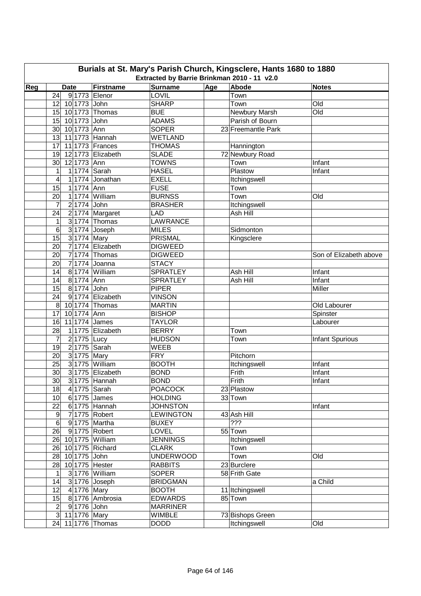|     | Burials at St. Mary's Parish Church, Kingsclere, Hants 1680 to 1880<br>Extracted by Barrie Brinkman 2010 - 11 v2.0 |                   |                                  |     |                            |                        |  |  |  |  |  |  |  |
|-----|--------------------------------------------------------------------------------------------------------------------|-------------------|----------------------------------|-----|----------------------------|------------------------|--|--|--|--|--|--|--|
| Reg | <b>Date</b>                                                                                                        | Firstname         | <b>Surname</b>                   | Age | Abode                      | <b>Notes</b>           |  |  |  |  |  |  |  |
|     | 9 1773 Elenor<br>24                                                                                                |                   | <b>LOVIL</b>                     |     | Town                       |                        |  |  |  |  |  |  |  |
|     | 10 1773 John<br>12                                                                                                 |                   | <b>SHARP</b>                     |     | Town                       | Old                    |  |  |  |  |  |  |  |
|     | 15 10 1773 Thomas                                                                                                  |                   | <b>BUE</b>                       |     | Newbury Marsh              | Old                    |  |  |  |  |  |  |  |
|     | 10 1773 John<br>15                                                                                                 |                   | <b>ADAMS</b>                     |     | Parish of Bourn            |                        |  |  |  |  |  |  |  |
|     | 30 <sup>°</sup><br>10 1773 Ann                                                                                     |                   | <b>SOPER</b>                     |     | 23 Freemantle Park         |                        |  |  |  |  |  |  |  |
|     | 11 1773 Hannah<br>13                                                                                               |                   | <b>WETLAND</b>                   |     |                            |                        |  |  |  |  |  |  |  |
|     | 17                                                                                                                 | 11 1773 Frances   | <b>THOMAS</b>                    |     | Hannington                 |                        |  |  |  |  |  |  |  |
|     | 19                                                                                                                 | 12 1773 Elizabeth | <b>SLADE</b>                     |     | 72 Newbury Road            |                        |  |  |  |  |  |  |  |
|     | 30<br>12 1773 Ann                                                                                                  |                   | <b>TOWNS</b>                     |     | Town                       | Infant                 |  |  |  |  |  |  |  |
|     | 1 1774 Sarah<br>1                                                                                                  |                   | <b>HASEL</b>                     |     | Plastow                    | Infant                 |  |  |  |  |  |  |  |
|     | 4                                                                                                                  | 1 1774 Jonathan   | <b>EXELL</b>                     |     | Itchingswell               |                        |  |  |  |  |  |  |  |
|     | $\overline{15}$<br>11774 Ann                                                                                       |                   | <b>FUSE</b>                      |     | Town                       |                        |  |  |  |  |  |  |  |
|     | 20                                                                                                                 | 1 1774 William    | <b>BURNSS</b>                    |     | Town                       | Old                    |  |  |  |  |  |  |  |
|     | 2 1774 John<br>7                                                                                                   |                   | <b>BRASHER</b>                   |     | Itchingswell               |                        |  |  |  |  |  |  |  |
|     | 24                                                                                                                 | 2 1774 Margaret   | <b>LAD</b>                       |     | Ash Hill                   |                        |  |  |  |  |  |  |  |
|     | 1                                                                                                                  | $3 1774 $ Thomas  | <b>LAWRANCE</b>                  |     |                            |                        |  |  |  |  |  |  |  |
|     | $\,6$                                                                                                              | 3 1774 Joseph     | <b>MILES</b>                     |     | Sidmonton                  |                        |  |  |  |  |  |  |  |
|     | 15<br>3 1774 Mary                                                                                                  |                   | <b>PRISMAL</b>                   |     | Kingsclere                 |                        |  |  |  |  |  |  |  |
|     | 20                                                                                                                 | 71774 Elizabeth   | <b>DIGWEED</b>                   |     |                            |                        |  |  |  |  |  |  |  |
|     | 20                                                                                                                 | $7 1774 $ Thomas  | <b>DIGWEED</b>                   |     |                            | Son of Elizabeth above |  |  |  |  |  |  |  |
|     | 20                                                                                                                 | 7 1774 Joanna     | <b>STACY</b>                     |     |                            |                        |  |  |  |  |  |  |  |
|     | 14                                                                                                                 | 8 1774 William    | <b>SPRATLEY</b>                  |     | Ash Hill                   | Infant                 |  |  |  |  |  |  |  |
|     | 14<br>8 1774 Ann                                                                                                   |                   | <b>SPRATLEY</b>                  |     | Ash Hill                   | Infant                 |  |  |  |  |  |  |  |
|     | 15<br>8 1774 John                                                                                                  |                   | <b>PIPER</b>                     |     |                            | Miller                 |  |  |  |  |  |  |  |
|     | 24                                                                                                                 | 9 1774 Elizabeth  | <b>VINSON</b>                    |     |                            |                        |  |  |  |  |  |  |  |
|     | 8                                                                                                                  | 10 1774 Thomas    | <b>MARTIN</b>                    |     |                            | Old Labourer           |  |  |  |  |  |  |  |
|     | 10 1774 Ann<br>17                                                                                                  |                   | <b>BISHOP</b>                    |     |                            | Spinster               |  |  |  |  |  |  |  |
|     | 11 1774 James<br>16                                                                                                |                   | <b>TAYLOR</b>                    |     |                            | Labourer               |  |  |  |  |  |  |  |
|     | 28                                                                                                                 | 1 1775 Elizabeth  | <b>BERRY</b>                     |     | Town                       |                        |  |  |  |  |  |  |  |
|     | 7<br>$\overline{2}$ 1775 Lucy                                                                                      |                   | <b>HUDSON</b>                    |     | Town                       | Infant Spurious        |  |  |  |  |  |  |  |
|     | 2 1775 Sarah<br>19                                                                                                 |                   | <b>WEEB</b>                      |     |                            |                        |  |  |  |  |  |  |  |
|     | 3 1775 Mary<br>20                                                                                                  |                   | <b>FRY</b>                       |     | Pitchorn                   |                        |  |  |  |  |  |  |  |
|     | 25                                                                                                                 | 3 1775 William    | <b>BOOTH</b>                     |     | Itchingswell               | Infant                 |  |  |  |  |  |  |  |
|     | 30                                                                                                                 | 3 1775 Elizabeth  | <b>BOND</b>                      |     | Frith                      | Infant                 |  |  |  |  |  |  |  |
|     | 30                                                                                                                 | $3 1775$ Hannah   | <b>BOND</b>                      |     | Frith                      | Infant                 |  |  |  |  |  |  |  |
|     | 4 1775 Sarah<br>18                                                                                                 |                   | <b>POACOCK</b>                   |     | 23 Plastow                 |                        |  |  |  |  |  |  |  |
|     | 10 <sup>1</sup><br>$6 1775 $ James                                                                                 |                   | <b>HOLDING</b>                   |     | $33$ Town                  |                        |  |  |  |  |  |  |  |
|     | 22                                                                                                                 | 6 1775 Hannah     | <b>JOHNSTON</b>                  |     |                            | Infant                 |  |  |  |  |  |  |  |
|     | 71775 Robert<br>9                                                                                                  |                   | <b>LEWINGTON</b>                 |     | 43 Ash Hill                |                        |  |  |  |  |  |  |  |
|     | 6<br>9 1775 Martha                                                                                                 |                   | <b>BUXEY</b>                     |     | $\overline{??'}$           |                        |  |  |  |  |  |  |  |
|     | 26<br>91775 Robert                                                                                                 |                   | LOVEL                            |     | 55 Town                    |                        |  |  |  |  |  |  |  |
|     | 26 10 1775 William                                                                                                 |                   | <b>JENNINGS</b>                  |     | Itchingswell               |                        |  |  |  |  |  |  |  |
|     | 26 10 1775 Richard                                                                                                 |                   | <b>CLARK</b>                     |     | Town                       |                        |  |  |  |  |  |  |  |
|     | 10 1775 John<br>28                                                                                                 |                   | <b>UNDERWOOD</b>                 |     | Town                       | Old                    |  |  |  |  |  |  |  |
|     | 28 10 1775 Hester                                                                                                  |                   | <b>RABBITS</b>                   |     | 23 Burclere                |                        |  |  |  |  |  |  |  |
|     | $\mathbf{1}$                                                                                                       | 31776 William     | <b>SOPER</b>                     |     | 58 Frith Gate              |                        |  |  |  |  |  |  |  |
|     | 14<br>31776 Joseph                                                                                                 |                   | <b>BRIDGMAN</b>                  |     |                            | a Child                |  |  |  |  |  |  |  |
|     | 12<br>4 1776 Mary                                                                                                  |                   | <b>BOOTH</b>                     |     | 11 Itchingswell<br>85 Town |                        |  |  |  |  |  |  |  |
|     | 15                                                                                                                 | 81776 Ambrosia    | <b>EDWARDS</b>                   |     |                            |                        |  |  |  |  |  |  |  |
|     | $\mathbf{2}$<br>9 1776 John<br>3 11 1776 Mary                                                                      |                   | <b>MARRINER</b><br><b>WIMBLE</b> |     | 73 Bishops Green           |                        |  |  |  |  |  |  |  |
|     | 24 11 1776 Thomas                                                                                                  |                   | <b>DODD</b>                      |     | Itchingswell               | Old                    |  |  |  |  |  |  |  |
|     |                                                                                                                    |                   |                                  |     |                            |                        |  |  |  |  |  |  |  |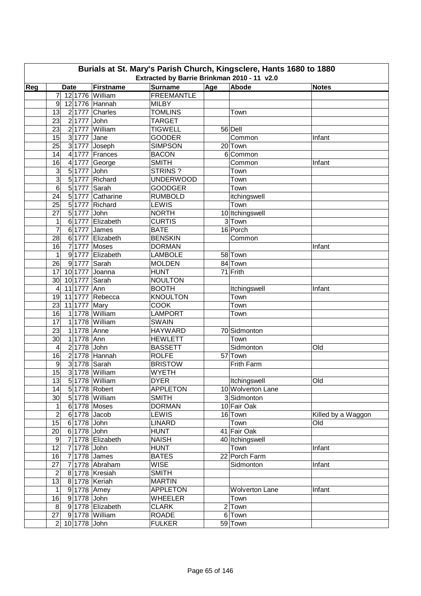| Burials at St. Mary's Parish Church, Kingsclere, Hants 1680 to 1880                                                                                 |                                   |                               |                   |  |                       |                    |  |  |  |  |  |  |  |
|-----------------------------------------------------------------------------------------------------------------------------------------------------|-----------------------------------|-------------------------------|-------------------|--|-----------------------|--------------------|--|--|--|--|--|--|--|
| Extracted by Barrie Brinkman 2010 - 11 v2.0<br>Reg<br>Firstname<br><b>Surname</b><br>Age<br>Abode<br><b>Date</b><br><b>Notes</b><br>12 1776 William |                                   |                               |                   |  |                       |                    |  |  |  |  |  |  |  |
|                                                                                                                                                     | 7                                 |                               | <b>FREEMANTLE</b> |  |                       |                    |  |  |  |  |  |  |  |
|                                                                                                                                                     |                                   |                               | <b>MILBY</b>      |  |                       |                    |  |  |  |  |  |  |  |
|                                                                                                                                                     | 12 1776 Hannah<br>9               |                               | <b>TOMLINS</b>    |  |                       |                    |  |  |  |  |  |  |  |
|                                                                                                                                                     | 13<br>$2 1777 $ John              | 2 1777 Charles                | <b>TARGET</b>     |  | Town                  |                    |  |  |  |  |  |  |  |
|                                                                                                                                                     | 23                                | 2 1777 William                | <b>TIGWELL</b>    |  |                       |                    |  |  |  |  |  |  |  |
|                                                                                                                                                     | 23<br>15<br>3 1777 Jane           |                               | <b>GOODER</b>     |  | 56 Dell<br>Common     |                    |  |  |  |  |  |  |  |
|                                                                                                                                                     | 25                                |                               | <b>SIMPSON</b>    |  | 20 Town               | Infant             |  |  |  |  |  |  |  |
|                                                                                                                                                     | 14                                | 3 1777 Joseph                 | <b>BACON</b>      |  | 6 Common              |                    |  |  |  |  |  |  |  |
|                                                                                                                                                     | 16<br>$\overline{4}$              | 4 1777 Frances<br>1777 George | <b>SMITH</b>      |  | Common                | Infant             |  |  |  |  |  |  |  |
|                                                                                                                                                     | 3<br>$5\overline{)}$<br>1777      | John                          | STRINS?           |  | Town                  |                    |  |  |  |  |  |  |  |
|                                                                                                                                                     | 3<br>$5\overline{)}$<br>1777      | Richard                       | <b>UNDERWOOD</b>  |  | Town                  |                    |  |  |  |  |  |  |  |
|                                                                                                                                                     | 6<br>$5\overline{)}$<br>1777      | Sarah                         | <b>GOODGER</b>    |  | Town                  |                    |  |  |  |  |  |  |  |
|                                                                                                                                                     | 24<br>5 1777                      | Catharine                     | <b>RUMBOLD</b>    |  | itchingswell          |                    |  |  |  |  |  |  |  |
|                                                                                                                                                     | 25<br>5 1777                      | Richard                       | <b>LEWIS</b>      |  | Town                  |                    |  |  |  |  |  |  |  |
|                                                                                                                                                     | 27<br>5 1777 John                 |                               | <b>NORTH</b>      |  | 10 Itchingswell       |                    |  |  |  |  |  |  |  |
|                                                                                                                                                     | 1                                 | 6 1777 Elizabeth              | <b>CURTIS</b>     |  | 3 Town                |                    |  |  |  |  |  |  |  |
|                                                                                                                                                     | 7<br>6 1777 James                 |                               | <b>BATE</b>       |  | 16 Porch              |                    |  |  |  |  |  |  |  |
|                                                                                                                                                     | 28                                | 6 1777 Elizabeth              | <b>BENSKIN</b>    |  | Common                |                    |  |  |  |  |  |  |  |
|                                                                                                                                                     | 16<br>7 1777 Moses                |                               | <b>DORMAN</b>     |  |                       | Infant             |  |  |  |  |  |  |  |
|                                                                                                                                                     | 1                                 | 9 1777 Elizabeth              | <b>LAMBOLE</b>    |  | 58 Town               |                    |  |  |  |  |  |  |  |
|                                                                                                                                                     | 9 1777 Sarah<br>26                |                               | <b>MOLDEN</b>     |  | 84 Town               |                    |  |  |  |  |  |  |  |
|                                                                                                                                                     | 10 1777 Joanna<br>17              |                               | <b>HUNT</b>       |  | 71 Frith              |                    |  |  |  |  |  |  |  |
|                                                                                                                                                     | 30<br>10 1777 Sarah               |                               | <b>NOULTON</b>    |  |                       |                    |  |  |  |  |  |  |  |
|                                                                                                                                                     | 11 1777 Ann<br>$\overline{4}$     |                               | <b>BOOTH</b>      |  | Itchingswell          | Infant             |  |  |  |  |  |  |  |
|                                                                                                                                                     | 19                                | 11 1777 Rebecca               | <b>KNOULTON</b>   |  | Town                  |                    |  |  |  |  |  |  |  |
|                                                                                                                                                     | 11 1777 Mary<br>23                |                               | <b>COOK</b>       |  | Town                  |                    |  |  |  |  |  |  |  |
|                                                                                                                                                     | 16                                | 1 1778 William                | <b>LAMPORT</b>    |  | Town                  |                    |  |  |  |  |  |  |  |
|                                                                                                                                                     | 17                                | 1 1778 William                | <b>SWAIN</b>      |  |                       |                    |  |  |  |  |  |  |  |
|                                                                                                                                                     | 1 1778 Anne<br>23                 |                               | <b>HAYWARD</b>    |  | 70 Sidmonton          |                    |  |  |  |  |  |  |  |
|                                                                                                                                                     | 1 1778 Ann<br>30                  |                               | <b>HEWLETT</b>    |  | Town                  |                    |  |  |  |  |  |  |  |
|                                                                                                                                                     | 2 1778 John<br>4                  |                               | <b>BASSETT</b>    |  | Sidmonton             | Old                |  |  |  |  |  |  |  |
|                                                                                                                                                     | 16                                | 2 1778 Hannah                 | <b>ROLFE</b>      |  | 57 Town               |                    |  |  |  |  |  |  |  |
|                                                                                                                                                     | 3 1778 Sarah<br>$\boldsymbol{9}$  |                               | <b>BRISTOW</b>    |  | <b>Frith Farm</b>     |                    |  |  |  |  |  |  |  |
|                                                                                                                                                     | 15                                | 3 1778 William                | <b>WYETH</b>      |  |                       |                    |  |  |  |  |  |  |  |
|                                                                                                                                                     | 13                                | 51778 William                 | <b>DYER</b>       |  | Itchingswell          | Old                |  |  |  |  |  |  |  |
|                                                                                                                                                     | 14                                | 5 1778 Robert                 | <b>APPLETON</b>   |  | 10 Wolverton Lane     |                    |  |  |  |  |  |  |  |
|                                                                                                                                                     | 30                                | 5 1778 William                | <b>SMITH</b>      |  | 3 Sidmonton           |                    |  |  |  |  |  |  |  |
|                                                                                                                                                     | $\mathbf{1}$<br>6 1778 Moses      |                               | <b>DORMAN</b>     |  | 10 Fair Oak           |                    |  |  |  |  |  |  |  |
|                                                                                                                                                     | $\overline{2}$<br>$6 1778 $ Jacob |                               | <b>LEWIS</b>      |  | 16 Town               | Killed by a Waggon |  |  |  |  |  |  |  |
|                                                                                                                                                     | 15<br>6 1778 John                 |                               | <b>LINARD</b>     |  | Town                  | Old                |  |  |  |  |  |  |  |
|                                                                                                                                                     | 6 1778 John<br>20                 |                               | <b>HUNT</b>       |  | 41 Fair Oak           |                    |  |  |  |  |  |  |  |
|                                                                                                                                                     | 9                                 | 7 1778 Elizabeth              | <b>NAISH</b>      |  | 40 Itchingswell       |                    |  |  |  |  |  |  |  |
|                                                                                                                                                     | 12<br>7 1778 John                 |                               | <b>HUNT</b>       |  | Town                  | Infant             |  |  |  |  |  |  |  |
|                                                                                                                                                     | 7 1778 James<br>16                |                               | <b>BATES</b>      |  | 22 Porch Farm         |                    |  |  |  |  |  |  |  |
|                                                                                                                                                     | 27                                | 7 1778 Abraham                | <b>WISE</b>       |  | Sidmonton             | Infant             |  |  |  |  |  |  |  |
|                                                                                                                                                     | $\overline{2}$                    | 8 1778 Kresiah                | <b>SMITH</b>      |  |                       |                    |  |  |  |  |  |  |  |
|                                                                                                                                                     | 8 1778 Keriah<br>13               |                               | <b>MARTIN</b>     |  |                       |                    |  |  |  |  |  |  |  |
|                                                                                                                                                     | 9 1778 Amey<br>$\mathbf{1}$       |                               | <b>APPLETON</b>   |  | <b>Wolverton Lane</b> | Infant             |  |  |  |  |  |  |  |
|                                                                                                                                                     | 9 1778 John<br>16                 |                               | <b>WHEELER</b>    |  | Town                  |                    |  |  |  |  |  |  |  |
|                                                                                                                                                     | 8                                 | 9 1778 Elizabeth              | <b>CLARK</b>      |  | $2$ Town              |                    |  |  |  |  |  |  |  |
|                                                                                                                                                     | 27                                | 9 1778 William                | <b>ROADE</b>      |  | 6 Town                |                    |  |  |  |  |  |  |  |
|                                                                                                                                                     | 2 10 1778 John                    |                               | <b>FULKER</b>     |  | 59 Town               |                    |  |  |  |  |  |  |  |
|                                                                                                                                                     |                                   |                               |                   |  |                       |                    |  |  |  |  |  |  |  |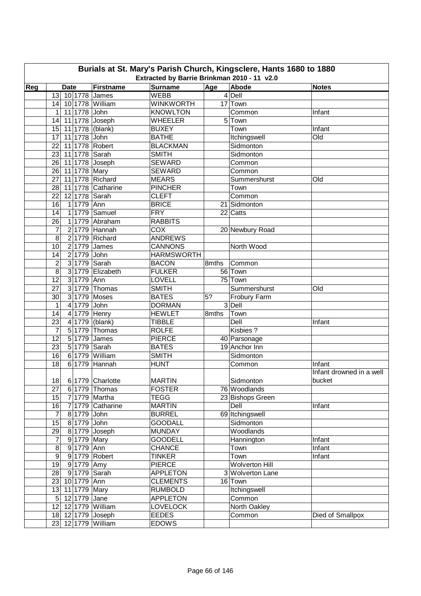| Burials at St. Mary's Parish Church, Kingsclere, Hants 1680 to 1880 |                                                                                                                                  |                   |                   |       |                       |                          |  |  |  |  |  |  |  |  |
|---------------------------------------------------------------------|----------------------------------------------------------------------------------------------------------------------------------|-------------------|-------------------|-------|-----------------------|--------------------------|--|--|--|--|--|--|--|--|
|                                                                     | Extracted by Barrie Brinkman 2010 - 11 v2.0<br>Reg<br>Firstname<br><b>Surname</b><br>Age<br>Abode<br><b>Date</b><br><b>Notes</b> |                   |                   |       |                       |                          |  |  |  |  |  |  |  |  |
|                                                                     | 13                                                                                                                               |                   | <b>WEBB</b>       |       | $4$ Dell              |                          |  |  |  |  |  |  |  |  |
|                                                                     | 10 1778 James<br>10 1778 William<br>14                                                                                           |                   | <b>WINKWORTH</b>  |       | 17 Town               |                          |  |  |  |  |  |  |  |  |
|                                                                     | 11 1778 John<br>1                                                                                                                |                   | <b>KNOWLTON</b>   |       | Common                | Infant                   |  |  |  |  |  |  |  |  |
|                                                                     |                                                                                                                                  |                   | <b>WHEELER</b>    |       |                       |                          |  |  |  |  |  |  |  |  |
|                                                                     | 11 1778 Joseph<br>14<br>15                                                                                                       |                   | <b>BUXEY</b>      |       | 5 Town                | Infant                   |  |  |  |  |  |  |  |  |
|                                                                     | 11 1778 (blank)<br>17<br>11 1778 John                                                                                            |                   | <b>BATHE</b>      |       | Town<br>Itchingswell  | Old                      |  |  |  |  |  |  |  |  |
|                                                                     | 22<br>11 1778 Robert                                                                                                             |                   | <b>BLACKMAN</b>   |       | Sidmonton             |                          |  |  |  |  |  |  |  |  |
|                                                                     | 23<br>11 1778 Sarah                                                                                                              |                   | <b>SMITH</b>      |       | Sidmonton             |                          |  |  |  |  |  |  |  |  |
|                                                                     | 26<br>11 1778 Joseph                                                                                                             |                   | <b>SEWARD</b>     |       | Common                |                          |  |  |  |  |  |  |  |  |
|                                                                     | 26<br>11 1778 Mary                                                                                                               |                   | <b>SEWARD</b>     |       | Common                |                          |  |  |  |  |  |  |  |  |
|                                                                     | 11 1778 Richard<br>27                                                                                                            |                   | <b>MEARS</b>      |       | Summershurst          | Old                      |  |  |  |  |  |  |  |  |
|                                                                     | 28                                                                                                                               | 11 1778 Catharine | <b>PINCHER</b>    |       | Town                  |                          |  |  |  |  |  |  |  |  |
|                                                                     | 22<br>12 1778 Sarah                                                                                                              |                   | <b>CLEFT</b>      |       | Common                |                          |  |  |  |  |  |  |  |  |
|                                                                     | 16<br>1 1779 Ann                                                                                                                 |                   | <b>BRICE</b>      |       | 21 Sidmonton          |                          |  |  |  |  |  |  |  |  |
|                                                                     | 14                                                                                                                               | 1 1779 Samuel     | <b>FRY</b>        |       | 22 Catts              |                          |  |  |  |  |  |  |  |  |
|                                                                     | $\overline{26}$                                                                                                                  | 1 1779 Abraham    | <b>RABBITS</b>    |       |                       |                          |  |  |  |  |  |  |  |  |
|                                                                     | $\overline{7}$                                                                                                                   | 2 1779 Hannah     | $\overline{COX}$  |       | 20 Newbury Road       |                          |  |  |  |  |  |  |  |  |
|                                                                     | 8                                                                                                                                | 2 1779 Richard    | <b>ANDREWS</b>    |       |                       |                          |  |  |  |  |  |  |  |  |
|                                                                     | $2 1779 $ James<br>10                                                                                                            |                   | <b>CANNONS</b>    |       | North Wood            |                          |  |  |  |  |  |  |  |  |
|                                                                     | 2 1779 John<br>14                                                                                                                |                   | <b>HARMSWORTH</b> |       |                       |                          |  |  |  |  |  |  |  |  |
|                                                                     | $\overline{2}$<br>3 1779 Sarah                                                                                                   |                   | <b>BACON</b>      | 8mths | Common                |                          |  |  |  |  |  |  |  |  |
|                                                                     | 8                                                                                                                                | 3 1779 Elizabeth  | <b>FULKER</b>     |       | 56 Town               |                          |  |  |  |  |  |  |  |  |
|                                                                     | 12<br>3 1779 Ann                                                                                                                 |                   | <b>LOVELL</b>     |       | 75 Town               |                          |  |  |  |  |  |  |  |  |
|                                                                     | 27                                                                                                                               | $3 1779 $ Thomas  | <b>SMITH</b>      |       | Summershurst          | Old                      |  |  |  |  |  |  |  |  |
|                                                                     | 3 1779 Moses<br>30                                                                                                               |                   | <b>BATES</b>      | 5?    | Frobury Farm          |                          |  |  |  |  |  |  |  |  |
|                                                                     | 4 1779 John<br>1                                                                                                                 |                   | <b>DORMAN</b>     |       | $3$ Dell              |                          |  |  |  |  |  |  |  |  |
|                                                                     | 4 1779 Henry<br>14                                                                                                               |                   | <b>HEWLET</b>     | 8mths | Town                  |                          |  |  |  |  |  |  |  |  |
|                                                                     | 23                                                                                                                               | $4 1779 $ (blank) | <b>TIBBLE</b>     |       | Dell                  | Infant                   |  |  |  |  |  |  |  |  |
|                                                                     | $\overline{7}$                                                                                                                   | 5 1779 Thomas     | <b>ROLFE</b>      |       | Kisbies ?             |                          |  |  |  |  |  |  |  |  |
|                                                                     | $\overline{5}$ 1779 James<br>12                                                                                                  |                   | <b>PIERCE</b>     |       | 40 Parsonage          |                          |  |  |  |  |  |  |  |  |
|                                                                     | 5 1779 Sarah<br>23                                                                                                               |                   | <b>BATES</b>      |       | 19 Anchor Inn         |                          |  |  |  |  |  |  |  |  |
|                                                                     | 16                                                                                                                               | 6 1779 William    | <b>SMITH</b>      |       | Sidmonton             |                          |  |  |  |  |  |  |  |  |
|                                                                     | 18                                                                                                                               | 6 1779 Hannah     | <b>HUNT</b>       |       | Common                | Infant                   |  |  |  |  |  |  |  |  |
|                                                                     |                                                                                                                                  |                   |                   |       |                       | Infant drowned in a well |  |  |  |  |  |  |  |  |
|                                                                     | 18 6 1779 Charlotte                                                                                                              |                   | <b>MARTIN</b>     |       | Sidmonton             | bucket                   |  |  |  |  |  |  |  |  |
|                                                                     | 27                                                                                                                               | $6 1779 $ Thomas  | <b>FOSTER</b>     |       | 76 Woodlands          |                          |  |  |  |  |  |  |  |  |
|                                                                     | 15                                                                                                                               | 7 1779 Martha     | <b>TEGG</b>       |       | 23 Bishops Green      |                          |  |  |  |  |  |  |  |  |
|                                                                     | 16                                                                                                                               | 7 1779 Catharine  | <b>MARTIN</b>     |       | Dell                  | Infant                   |  |  |  |  |  |  |  |  |
|                                                                     | $\overline{7}$<br>8 1779 John                                                                                                    |                   | <b>BURREL</b>     |       | 69 Itchingswell       |                          |  |  |  |  |  |  |  |  |
|                                                                     | 15<br>8 1779 John                                                                                                                |                   | <b>GOODALL</b>    |       | Sidmonton             |                          |  |  |  |  |  |  |  |  |
|                                                                     | 29                                                                                                                               | 8 1779 Joseph     | <b>MUNDAY</b>     |       | Woodlands             |                          |  |  |  |  |  |  |  |  |
|                                                                     | $\overline{7}$<br>9 1779 Mary                                                                                                    |                   | <b>GOODELL</b>    |       | Hannington            | Infant                   |  |  |  |  |  |  |  |  |
|                                                                     | 8<br>9 1779 Ann                                                                                                                  |                   | <b>CHANCE</b>     |       | Town                  | Infant                   |  |  |  |  |  |  |  |  |
|                                                                     | $9\,$                                                                                                                            | 9 1779 Robert     | <b>TINKER</b>     |       | Town                  | Infant                   |  |  |  |  |  |  |  |  |
|                                                                     | 19<br>91779 Amy                                                                                                                  |                   | <b>PIERCE</b>     |       | <b>Wolverton Hill</b> |                          |  |  |  |  |  |  |  |  |
|                                                                     | 28<br>9 1779 Sarah                                                                                                               |                   | <b>APPLETON</b>   |       | 3 Wolverton Lane      |                          |  |  |  |  |  |  |  |  |
|                                                                     | 23 10 1779 Ann                                                                                                                   |                   | <b>CLEMENTS</b>   |       | 16 Town               |                          |  |  |  |  |  |  |  |  |
|                                                                     | 13 11 1779 Mary                                                                                                                  |                   | <b>RUMBOLD</b>    |       | Itchingswell          |                          |  |  |  |  |  |  |  |  |
|                                                                     | 12 1779 Jane<br>$\sqrt{5}$                                                                                                       |                   | <b>APPLETON</b>   |       | Common                |                          |  |  |  |  |  |  |  |  |
|                                                                     | 12 12 1779 William                                                                                                               |                   | <b>LOVELOCK</b>   |       | North Oakley          |                          |  |  |  |  |  |  |  |  |
|                                                                     | 18 12 1779 Joseph                                                                                                                |                   | <b>EEDES</b>      |       | Common                | Died of Smallpox         |  |  |  |  |  |  |  |  |
|                                                                     | 23 12 1779 William                                                                                                               |                   | <b>EDOWS</b>      |       |                       |                          |  |  |  |  |  |  |  |  |
|                                                                     |                                                                                                                                  |                   |                   |       |                       |                          |  |  |  |  |  |  |  |  |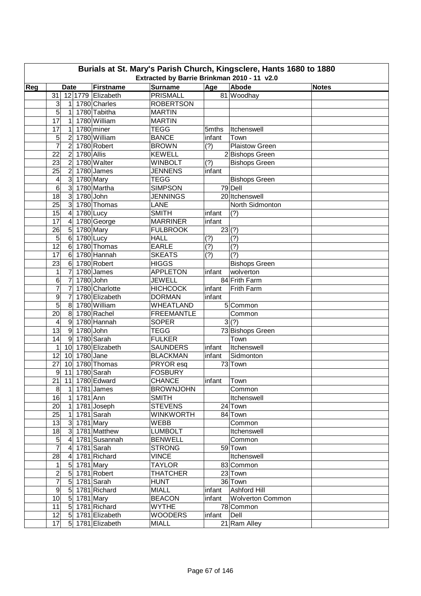| Burials at St. Mary's Parish Church, Kingsclere, Hants 1680 to 1880 |                                                                                                                                  |                         |             |                   |                   |             |                           |  |  |  |  |  |  |  |
|---------------------------------------------------------------------|----------------------------------------------------------------------------------------------------------------------------------|-------------------------|-------------|-------------------|-------------------|-------------|---------------------------|--|--|--|--|--|--|--|
|                                                                     | Extracted by Barrie Brinkman 2010 - 11 v2.0<br>Abode<br>Reg<br>Firstname<br><b>Surname</b><br>Age<br><b>Date</b><br><b>Notes</b> |                         |             |                   |                   |             |                           |  |  |  |  |  |  |  |
|                                                                     |                                                                                                                                  |                         |             |                   |                   |             |                           |  |  |  |  |  |  |  |
|                                                                     | 31                                                                                                                               |                         |             | 12 1779 Elizabeth | <b>PRISMALL</b>   |             | 81 Woodhay                |  |  |  |  |  |  |  |
|                                                                     | 3                                                                                                                                | 1                       |             | 1780 Charles      | <b>ROBERTSON</b>  |             |                           |  |  |  |  |  |  |  |
|                                                                     | 5                                                                                                                                | 1                       |             | 1780 Tabitha      | <b>MARTIN</b>     |             |                           |  |  |  |  |  |  |  |
|                                                                     | 17                                                                                                                               | 1                       |             | 1780 William      | <b>MARTIN</b>     |             |                           |  |  |  |  |  |  |  |
|                                                                     | 17                                                                                                                               | 1                       |             | $1780$ miner      | <b>TEGG</b>       | 5mths       | Itchenswell               |  |  |  |  |  |  |  |
|                                                                     | 5                                                                                                                                | 2                       |             | 1780 William      | <b>BANCE</b>      | infant      | Town                      |  |  |  |  |  |  |  |
|                                                                     | $\overline{7}$                                                                                                                   | $\overline{2}$          |             | 1780 Robert       | <b>BROWN</b>      | (?)         | <b>Plaistow Green</b>     |  |  |  |  |  |  |  |
|                                                                     | 22                                                                                                                               | $\overline{2}$          | 1780 Allis  |                   | <b>KEWELL</b>     |             | 2 Bishops Green           |  |  |  |  |  |  |  |
|                                                                     | 23                                                                                                                               | $\overline{2}$          |             | 1780 Walter       | <b>WINBOLT</b>    | (?)         | <b>Bishops Green</b>      |  |  |  |  |  |  |  |
|                                                                     | 25                                                                                                                               | $\overline{2}$          |             | 1780 James        | <b>JENNENS</b>    | infant      |                           |  |  |  |  |  |  |  |
|                                                                     | 4                                                                                                                                | $\mathsf 3$             | 1780 Mary   |                   | <b>TEGG</b>       |             | <b>Bishops Green</b>      |  |  |  |  |  |  |  |
|                                                                     | 6                                                                                                                                | 3                       |             | 1780 Martha       | <b>SIMPSON</b>    |             | 79 Dell                   |  |  |  |  |  |  |  |
|                                                                     | 18                                                                                                                               | 3                       | 1780 John   |                   | <b>JENNINGS</b>   |             | 20 Itchenswell            |  |  |  |  |  |  |  |
|                                                                     | 25                                                                                                                               | 3                       |             | 1780 Thomas       | LANE              |             | North Sidmonton           |  |  |  |  |  |  |  |
|                                                                     | 15                                                                                                                               | $\overline{4}$          | $1780$ Lucy |                   | <b>SMITH</b>      | infant      | (?)                       |  |  |  |  |  |  |  |
|                                                                     | 17                                                                                                                               | $\overline{\mathbf{4}}$ |             | 1780 George       | <b>MARRINER</b>   | infant      |                           |  |  |  |  |  |  |  |
|                                                                     | 26                                                                                                                               | $5\overline{)}$         | 1780 Mary   |                   | <b>FULBROOK</b>   | 23(?)       |                           |  |  |  |  |  |  |  |
|                                                                     | 5                                                                                                                                | $6\phantom{1}$          | 1780 Lucy   |                   | <b>HALL</b>       | (?)         | (?)                       |  |  |  |  |  |  |  |
|                                                                     | $\overline{12}$                                                                                                                  | $6\phantom{1}6$         |             | 1780 Thomas       | <b>EARLE</b>      | (?)         | (?)                       |  |  |  |  |  |  |  |
|                                                                     | 17                                                                                                                               | $6\phantom{1}$          |             | 1780 Hannah       | <b>SKEATS</b>     | (?)         | (?)                       |  |  |  |  |  |  |  |
|                                                                     | 23                                                                                                                               | $6\phantom{1}$          |             | 1780 Robert       | <b>HIGGS</b>      |             | <b>Bishops Green</b>      |  |  |  |  |  |  |  |
|                                                                     | 1                                                                                                                                | 7                       |             | 1780 James        | <b>APPLETON</b>   | infant      | wolverton                 |  |  |  |  |  |  |  |
|                                                                     | 6                                                                                                                                | 7                       | 1780 John   |                   | <b>JEWELL</b>     |             | 84 Frith Farm             |  |  |  |  |  |  |  |
|                                                                     | 7                                                                                                                                | 7                       |             | 1780 Charlotte    | <b>HICHCOCK</b>   | infant      | Frith Farm                |  |  |  |  |  |  |  |
|                                                                     | 9                                                                                                                                | 7                       |             | 1780 Elizabeth    | <b>DORMAN</b>     | infant      |                           |  |  |  |  |  |  |  |
|                                                                     | 5                                                                                                                                | 8                       |             | 1780 William      | <b>WHEATLAND</b>  |             | 5 Common                  |  |  |  |  |  |  |  |
|                                                                     | 20                                                                                                                               | $\bf 8$                 |             | 1780 Rachel       | <b>FREEMANTLE</b> |             | Common                    |  |  |  |  |  |  |  |
|                                                                     | 4                                                                                                                                | $\overline{9}$          |             | 1780 Hannah       | <b>SOPER</b>      |             | 3(?)                      |  |  |  |  |  |  |  |
|                                                                     | $\overline{13}$                                                                                                                  | $\overline{9}$          | 1780 John   |                   | <b>TEGG</b>       |             | 73 Bishops Green          |  |  |  |  |  |  |  |
|                                                                     | 14                                                                                                                               | 9                       |             | 1780 Sarah        | <b>FULKER</b>     |             | Town                      |  |  |  |  |  |  |  |
|                                                                     | 1                                                                                                                                | 10 <sup>1</sup>         |             | 1780 Elizabeth    | <b>SAUNDERS</b>   | infant      | Itchenswell               |  |  |  |  |  |  |  |
|                                                                     | 12                                                                                                                               | 10                      | $1780$ Jane |                   | <b>BLACKMAN</b>   | infant      | Sidmonton                 |  |  |  |  |  |  |  |
|                                                                     | 27                                                                                                                               | 10                      |             | 1780 Thomas       | PRYOR esq         |             | 73 Town                   |  |  |  |  |  |  |  |
|                                                                     | $\overline{9}$                                                                                                                   | 11                      |             | 1780 Sarah        | <b>FOSBURY</b>    |             |                           |  |  |  |  |  |  |  |
|                                                                     |                                                                                                                                  |                         |             | 21 11 1780 Edward | CHANCE            | infant Town |                           |  |  |  |  |  |  |  |
|                                                                     | 8                                                                                                                                |                         |             | $1$   1781 James  | <b>BROWNJOHN</b>  |             | Common                    |  |  |  |  |  |  |  |
|                                                                     | 16                                                                                                                               | $\vert$ 1               | 1781 Ann    |                   | <b>SMITH</b>      |             | Itchenswell               |  |  |  |  |  |  |  |
|                                                                     | 20 <sub>l</sub>                                                                                                                  | $\vert$ 1               |             | 1781 Joseph       | <b>STEVENS</b>    |             | 24 Town                   |  |  |  |  |  |  |  |
|                                                                     | 25                                                                                                                               | $\vert$                 |             | 1781 Sarah        | <b>WINKWORTH</b>  |             | 84 Town                   |  |  |  |  |  |  |  |
|                                                                     | 13                                                                                                                               |                         | 3 1781 Mary |                   | <b>WEBB</b>       |             | Common                    |  |  |  |  |  |  |  |
|                                                                     | 18                                                                                                                               |                         |             | 3 1781 Matthew    | <b>LUMBOLT</b>    |             | Itchenswell               |  |  |  |  |  |  |  |
|                                                                     | $\overline{5}$                                                                                                                   | $\overline{4}$          |             | 1781 Susannah     | <b>BENWELL</b>    |             | Common                    |  |  |  |  |  |  |  |
|                                                                     | $\overline{7}$                                                                                                                   | $\overline{4}$          |             | 1781 Sarah        | <b>STRONG</b>     |             | 59 Town                   |  |  |  |  |  |  |  |
|                                                                     | 28                                                                                                                               | 41                      |             | 1781 Richard      | <b>VINCE</b>      |             | Itchenswell               |  |  |  |  |  |  |  |
|                                                                     | 1                                                                                                                                |                         | 5 1781 Mary |                   | <b>TAYLOR</b>     |             | 83 Common                 |  |  |  |  |  |  |  |
|                                                                     | $\overline{c}$                                                                                                                   |                         |             | 5 1781 Robert     | <b>THATCHER</b>   |             | 23 Town                   |  |  |  |  |  |  |  |
|                                                                     | 7                                                                                                                                | $5\overline{)}$         |             | 1781 Sarah        | <b>HUNT</b>       |             | 36 Town                   |  |  |  |  |  |  |  |
|                                                                     | $9\,$                                                                                                                            | $5\overline{)}$         |             | 1781 Richard      | <b>MIALL</b>      |             | infant Ashford Hill       |  |  |  |  |  |  |  |
|                                                                     | 10                                                                                                                               |                         | 5 1781 Mary |                   | <b>BEACON</b>     |             | infant   Wolverton Common |  |  |  |  |  |  |  |
|                                                                     | 11                                                                                                                               |                         |             | 5 1781 Richard    | <b>WYTHE</b>      |             | 78 Common                 |  |  |  |  |  |  |  |
|                                                                     | 12                                                                                                                               |                         |             | 5 1781 Elizabeth  | <b>WOODERS</b>    | infant      | Dell                      |  |  |  |  |  |  |  |
|                                                                     | 17                                                                                                                               |                         |             | 5 1781 Elizabeth  | <b>MIALL</b>      |             | 21 Ram Alley              |  |  |  |  |  |  |  |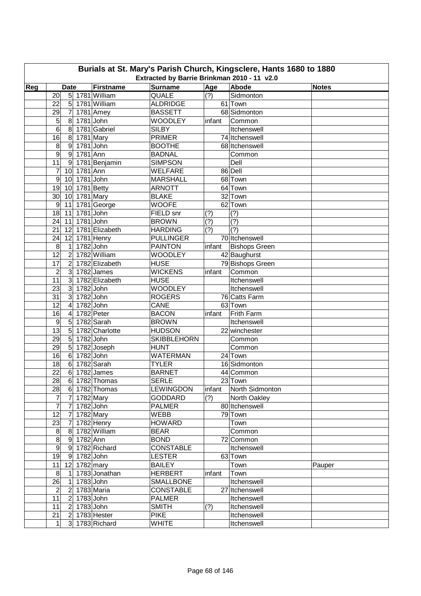| Burials at St. Mary's Parish Church, Kingsclere, Hants 1680 to 1880<br>Extracted by Barrie Brinkman 2010 - 11 v2.0 |                                   |                 |                         |        |                          |              |  |  |  |  |  |  |
|--------------------------------------------------------------------------------------------------------------------|-----------------------------------|-----------------|-------------------------|--------|--------------------------|--------------|--|--|--|--|--|--|
|                                                                                                                    |                                   | Firstname       |                         |        |                          |              |  |  |  |  |  |  |
| Reg                                                                                                                | <b>Date</b><br>20                 | 5 1781 William  | <b>Surname</b><br>QUALE | Age    | Abode<br>Sidmonton       | <b>Notes</b> |  |  |  |  |  |  |
|                                                                                                                    | $5\overline{)}$<br>22             | 1781 William    | <b>ALDRIDGE</b>         | (?)    | 61 Town                  |              |  |  |  |  |  |  |
|                                                                                                                    | $\overline{7}$<br>29              | 1781 Amey       | <b>BASSETT</b>          |        | 68 Sidmonton             |              |  |  |  |  |  |  |
|                                                                                                                    | 5<br>8                            | $1781$ John     | <b>WOODLEY</b>          | infant | Common                   |              |  |  |  |  |  |  |
|                                                                                                                    | $\overline{6}$<br>$\bf 8$         | 1781 Gabriel    | <b>SILBY</b>            |        | Itchenswell              |              |  |  |  |  |  |  |
|                                                                                                                    | 16<br>$\boldsymbol{8}$            | 1781 Mary       | <b>PRIMER</b>           |        | 74 Itchenswell           |              |  |  |  |  |  |  |
|                                                                                                                    | 8<br>$\overline{9}$               | $1781$ John     | <b>BOOTHE</b>           |        | 68 Itchenswell           |              |  |  |  |  |  |  |
|                                                                                                                    | $\overline{9}$<br>$9\,$           | 1781 Ann        | <b>BADNAL</b>           |        | Common                   |              |  |  |  |  |  |  |
|                                                                                                                    | 11<br>9                           | 1781 Benjamin   | <b>SIMPSON</b>          |        | Dell                     |              |  |  |  |  |  |  |
|                                                                                                                    | 7<br>10                           | 1781 Ann        | <b>WELFARE</b>          |        | 86 Dell                  |              |  |  |  |  |  |  |
|                                                                                                                    | $\boldsymbol{9}$<br>10            | $1781$ John     | <b>MARSHALL</b>         |        | 68 Town                  |              |  |  |  |  |  |  |
|                                                                                                                    | 19<br>10                          | 1781 Betty      | <b>ARNOTT</b>           |        | 64 Town                  |              |  |  |  |  |  |  |
|                                                                                                                    | 30<br>10                          | 1781 Mary       | <b>BLAKE</b>            |        | 32 Town                  |              |  |  |  |  |  |  |
|                                                                                                                    | $\boldsymbol{9}$<br>11            | 1781 George     | <b>WOOFE</b>            |        | 62 Town                  |              |  |  |  |  |  |  |
|                                                                                                                    | 18<br>11                          | $1781$ John     | FIELD snr               | (?)    | (?)                      |              |  |  |  |  |  |  |
|                                                                                                                    | 24<br>11                          | 1781 John       | <b>BROWN</b>            | (?)    | (?)                      |              |  |  |  |  |  |  |
|                                                                                                                    | 21<br>12                          | 1781 Elizabeth  | <b>HARDING</b>          | (?)    | (?)                      |              |  |  |  |  |  |  |
|                                                                                                                    | 24<br>12                          | 1781 Henry      | <b>PULLINGER</b>        |        | 70 Itchenswell           |              |  |  |  |  |  |  |
|                                                                                                                    | 8<br>$\mathbf 1$                  | 1782 John       | <b>PAINTON</b>          | infant | <b>Bishops Green</b>     |              |  |  |  |  |  |  |
|                                                                                                                    | $\overline{12}$<br>$\overline{2}$ | 1782 William    | <b>WOODLEY</b>          |        | 42 Baughurst             |              |  |  |  |  |  |  |
|                                                                                                                    | $\overline{2}$<br>17              | 1782 Elizabeth  | <b>HUSE</b>             |        | 79 Bishops Green         |              |  |  |  |  |  |  |
|                                                                                                                    | $\overline{c}$<br>$\overline{3}$  | 1782 James      | <b>WICKENS</b>          | infant | Common                   |              |  |  |  |  |  |  |
|                                                                                                                    | 11<br>$\overline{3}$              | 1782 Elizabeth  | <b>HUSE</b>             |        | Itchenswell              |              |  |  |  |  |  |  |
|                                                                                                                    | 23<br>$\overline{3}$              | 1782 John       | <b>WOODLEY</b>          |        | Itchenswell              |              |  |  |  |  |  |  |
|                                                                                                                    | 31<br>3                           | $1782$ John     | <b>ROGERS</b>           |        | 76 Catts Farm            |              |  |  |  |  |  |  |
|                                                                                                                    | 12<br>$\overline{4}$              | 1782 John       | CANE                    |        | 63 Town                  |              |  |  |  |  |  |  |
|                                                                                                                    | 16<br>$\overline{\mathbf{4}}$     | 1782 Peter      | <b>BACON</b>            | infant | Frith Farm               |              |  |  |  |  |  |  |
|                                                                                                                    | $\overline{9}$<br>$\overline{5}$  | 1782 Sarah      | <b>BROWN</b>            |        | Itchenswell              |              |  |  |  |  |  |  |
|                                                                                                                    | $\overline{13}$<br>$\sqrt{5}$     | 1782 Charlotte  | <b>HUDSON</b>           |        | 22 winchester            |              |  |  |  |  |  |  |
|                                                                                                                    | 29<br>$\overline{5}$              | $1782$ John     | <b>SKIBBLEHORN</b>      |        | Common                   |              |  |  |  |  |  |  |
|                                                                                                                    | $\overline{5}$<br>29              | 1782 Joseph     | <b>HUNT</b>             |        | Common                   |              |  |  |  |  |  |  |
|                                                                                                                    | 16<br>$\,6$                       | 1782 John       | <b>WATERMAN</b>         |        | 24 Town                  |              |  |  |  |  |  |  |
|                                                                                                                    | 18<br>$6\phantom{1}$              | 1782 Sarah      | <b>TYLER</b>            |        | 16 Sidmonton             |              |  |  |  |  |  |  |
|                                                                                                                    | 22<br>6                           | 1782 James      | <b>BARNET</b>           |        | 44 Common                |              |  |  |  |  |  |  |
|                                                                                                                    | 28                                | $6$ 1782 Thomas | SERLE                   |        | 23 Town                  |              |  |  |  |  |  |  |
|                                                                                                                    | 28                                | $6$ 1782 Thomas | <b>LEWINGDON</b>        |        | infant   North Sidmonton |              |  |  |  |  |  |  |
|                                                                                                                    | $\overline{7}$<br>$\overline{7}$  | 1782 Mary       | <b>GODDARD</b>          | (?)    | North Oakley             |              |  |  |  |  |  |  |
|                                                                                                                    | $\overline{7}$<br>7 1782 John     |                 | <b>PALMER</b>           |        | 80 Itchenswell           |              |  |  |  |  |  |  |
|                                                                                                                    | 12<br>7 1782 Mary                 |                 | <b>WEBB</b>             |        | 79 Town                  |              |  |  |  |  |  |  |
|                                                                                                                    | 23<br>$\overline{7}$              | 1782 Henry      | <b>HOWARD</b>           |        | Town                     |              |  |  |  |  |  |  |
|                                                                                                                    | $\boldsymbol{8}$                  | 8 1782 William  | <b>BEAR</b>             |        | Common                   |              |  |  |  |  |  |  |
|                                                                                                                    | $\overline{8}$<br>9 1782 Ann      |                 | <b>BOND</b>             |        | 72 Common                |              |  |  |  |  |  |  |
|                                                                                                                    | $\overline{9}$                    | 9 1782 Richard  | <b>CONSTABLE</b>        |        | Itchenswell              |              |  |  |  |  |  |  |
|                                                                                                                    | 19<br>9 1782 John                 |                 | <b>LESTER</b>           |        | 63 Town                  |              |  |  |  |  |  |  |
|                                                                                                                    | 11<br>12 1782 mary                |                 | <b>BAILEY</b>           |        | Town                     | Pauper       |  |  |  |  |  |  |
|                                                                                                                    | 8<br>$\vert$                      | 1783 Jonathan   | <b>HERBERT</b>          | infant | Town                     |              |  |  |  |  |  |  |
|                                                                                                                    | 26<br>11                          | 1783 John       | <b>SMALLBONE</b>        |        | Itchenswell              |              |  |  |  |  |  |  |
|                                                                                                                    | 2 1783 Maria<br>$\overline{c}$    |                 | <b>CONSTABLE</b>        |        | 27 Itchenswell           |              |  |  |  |  |  |  |
|                                                                                                                    | 11<br>$\overline{2}$              | $1783$ John     | <b>PALMER</b>           |        | Itchenswell              |              |  |  |  |  |  |  |
|                                                                                                                    | 11<br>$\overline{2}$              | $1783$ John     | <b>SMITH</b>            | (?)    | Itchenswell              |              |  |  |  |  |  |  |
|                                                                                                                    | 21<br>$\overline{2}$              | 1783 Hester     | <b>PIKE</b>             |        | Itchenswell              |              |  |  |  |  |  |  |
|                                                                                                                    | $\mathbf{1}$                      | 3 1783 Richard  | <b>WHITE</b>            |        | Itchenswell              |              |  |  |  |  |  |  |
|                                                                                                                    |                                   |                 |                         |        |                          |              |  |  |  |  |  |  |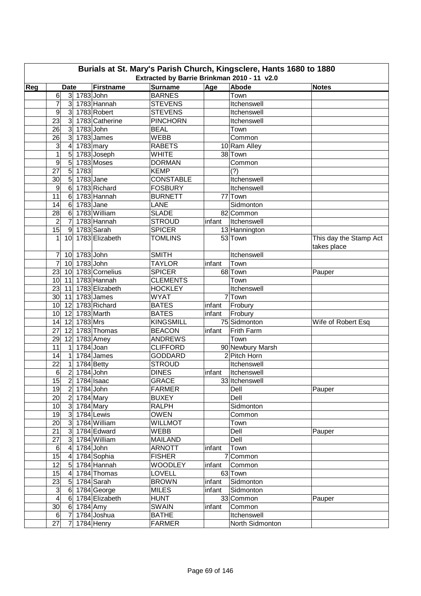| Burials at St. Mary's Parish Church, Kingsclere, Hants 1680 to 1880<br>Extracted by Barrie Brinkman 2010 - 11 v2.0 |                                        |                |                   |                                |        |                              |                                       |  |  |  |  |
|--------------------------------------------------------------------------------------------------------------------|----------------------------------------|----------------|-------------------|--------------------------------|--------|------------------------------|---------------------------------------|--|--|--|--|
|                                                                                                                    |                                        |                | Firstname         | <b>Surname</b>                 |        |                              |                                       |  |  |  |  |
| Reg                                                                                                                | <b>Date</b><br>6                       | 3 1783 John    |                   | <b>BARNES</b>                  | Age    | Abode<br>Town                | <b>Notes</b>                          |  |  |  |  |
|                                                                                                                    | 7                                      | 3 <sup>1</sup> | 1783 Hannah       | <b>STEVENS</b>                 |        | Itchenswell                  |                                       |  |  |  |  |
|                                                                                                                    | 9                                      |                | 3 1783 Robert     | <b>STEVENS</b>                 |        | Itchenswell                  |                                       |  |  |  |  |
|                                                                                                                    | $\mathbf{3}$<br>23                     |                | 1783 Catherine    | <b>PINCHORN</b>                |        | Itchenswell                  |                                       |  |  |  |  |
|                                                                                                                    | 26<br>$\mathbf{3}$                     |                | 1783 John         | <b>BEAL</b>                    |        | Town                         |                                       |  |  |  |  |
|                                                                                                                    | $\mathbf{3}$<br>26                     |                | 1783 James        | <b>WEBB</b>                    |        | Common                       |                                       |  |  |  |  |
|                                                                                                                    | 3<br>$\overline{4}$                    |                | $1783$ mary       | <b>RABETS</b>                  |        | 10 Ram Alley                 |                                       |  |  |  |  |
|                                                                                                                    | $\mathbf 1$<br>5                       |                | 1783 Joseph       | <b>WHITE</b>                   |        | 38 Town                      |                                       |  |  |  |  |
|                                                                                                                    | 9<br>5                                 |                | 1783 Moses        | <b>DORMAN</b>                  |        | Common                       |                                       |  |  |  |  |
|                                                                                                                    | 5<br>27                                | 1783           |                   | <b>KEMP</b>                    |        | (?)                          |                                       |  |  |  |  |
|                                                                                                                    | $\sqrt{5}$<br>30                       |                | 1783 Jane         | <b>CONSTABLE</b>               |        | Itchenswell                  |                                       |  |  |  |  |
|                                                                                                                    | $\boldsymbol{9}$<br>$6\phantom{1}$     |                | 1783 Richard      | <b>FOSBURY</b>                 |        | Itchenswell                  |                                       |  |  |  |  |
|                                                                                                                    | 11<br>6                                |                | 1783 Hannah       | <b>BURNETT</b>                 |        | 77 Town                      |                                       |  |  |  |  |
|                                                                                                                    | 14<br>$\,6$                            | $1783$ Jane    |                   | LANE                           |        | Sidmonton                    |                                       |  |  |  |  |
|                                                                                                                    | 28<br>6                                |                | 1783 William      | <b>SLADE</b>                   |        | 82 Common                    |                                       |  |  |  |  |
|                                                                                                                    | 7                                      |                | 1783 Hannah       |                                |        |                              |                                       |  |  |  |  |
|                                                                                                                    | $\overline{2}$<br>$\overline{15}$<br>9 |                | 1783 Sarah        | <b>STROUD</b><br><b>SPICER</b> | infant | Itchenswell<br>13 Hannington |                                       |  |  |  |  |
|                                                                                                                    | 1                                      |                | 1783 Elizabeth    | <b>TOMLINS</b>                 |        | 53 Town                      |                                       |  |  |  |  |
|                                                                                                                    | 10                                     |                |                   |                                |        |                              | This day the Stamp Act<br>takes place |  |  |  |  |
|                                                                                                                    | $\overline{7}$                         | 10 1783 John   |                   | <b>SMITH</b>                   |        | Itchenswell                  |                                       |  |  |  |  |
|                                                                                                                    | 7                                      | 10 1783 John   |                   | <b>TAYLOR</b>                  | infant | Town                         |                                       |  |  |  |  |
|                                                                                                                    | 23                                     |                | 10 1783 Cornelius | <b>SPICER</b>                  |        | 68 Town                      | Pauper                                |  |  |  |  |
|                                                                                                                    | 10 <sup>1</sup><br>11                  |                | 1783 Hannah       | <b>CLEMENTS</b>                |        | Town                         |                                       |  |  |  |  |
|                                                                                                                    | 23<br>11                               |                | 1783 Elizabeth    | <b>HOCKLEY</b>                 |        | Itchenswell                  |                                       |  |  |  |  |
|                                                                                                                    | 30 <sup>°</sup><br>11                  |                | 1783 James        | <b>WYAT</b>                    |        | 7 Town                       |                                       |  |  |  |  |
|                                                                                                                    | 10<br>12                               |                | 1783 Richard      | <b>BATES</b>                   | infant | Frobury                      |                                       |  |  |  |  |
|                                                                                                                    | 10<br>12                               |                | 1783 Marth        | <b>BATES</b>                   | infant | Frobury                      |                                       |  |  |  |  |
|                                                                                                                    | 14<br>12                               | 1783 Mrs       |                   | <b>KINGSMILL</b>               |        | 75 Sidmonton                 | Wife of Robert Esq                    |  |  |  |  |
|                                                                                                                    | 27                                     |                | 12 1783 Thomas    | <b>BEACON</b>                  | infant | Frith Farm                   |                                       |  |  |  |  |
|                                                                                                                    | 29                                     | 12 1783 Amey   |                   | <b>ANDREWS</b>                 |        | Town                         |                                       |  |  |  |  |
|                                                                                                                    | 11<br>1                                |                | 1784 Joan         | <b>CLIFFORD</b>                |        | 90 Newbury Marsh             |                                       |  |  |  |  |
|                                                                                                                    | 14<br>$\mathbf{1}$                     |                | 1784 James        | <b>GODDARD</b>                 |        | 2 Pitch Horn                 |                                       |  |  |  |  |
|                                                                                                                    | 22<br>$\mathbf{1}$                     |                | 1784 Betty        | <b>STROUD</b>                  |        | Itchenswell                  |                                       |  |  |  |  |
|                                                                                                                    | $\overline{2}$<br>$\,6\,$              | 1784 John      |                   | <b>DINES</b>                   | infant | Itchenswell                  |                                       |  |  |  |  |
|                                                                                                                    | 15                                     | 2 1784 Isaac   |                   | <b>GRACE</b>                   |        | 33 Itchenswell               |                                       |  |  |  |  |
|                                                                                                                    | 19                                     | 2 1784 John    |                   | <b>FARMER</b>                  |        | Dell                         | Pauper                                |  |  |  |  |
|                                                                                                                    | 20<br>$\overline{2}$                   |                | 1784 Mary         | <b>BUXEY</b>                   |        | Dell                         |                                       |  |  |  |  |
|                                                                                                                    | 10<br>$\mathbf{3}$                     |                | 1784 Mary         | <b>RALPH</b>                   |        | Sidmonton                    |                                       |  |  |  |  |
|                                                                                                                    | 19<br>$\mathbf{3}$                     |                | $1784$ Lewis      | <b>OWEN</b>                    |        | Common                       |                                       |  |  |  |  |
|                                                                                                                    | 20<br>$\mathbf{3}$                     |                | 1784 William      | <b>WILLMOT</b>                 |        | Town                         |                                       |  |  |  |  |
|                                                                                                                    | 21<br>$\mathbf{3}$                     |                | 1784 Edward       | WEBB                           |        | Dell                         | Pauper                                |  |  |  |  |
|                                                                                                                    | 27<br>$\mathbf{3}$                     |                | 1784 William      | <b>MAILAND</b>                 |        | Dell                         |                                       |  |  |  |  |
|                                                                                                                    | $\,$ 6<br>$\overline{4}$               |                | 1784 John         | <b>ARNOTT</b>                  | infant | Town                         |                                       |  |  |  |  |
|                                                                                                                    | 15<br>$\overline{4}$                   |                | 1784 Sophia       | <b>FISHER</b>                  |        | 7 Common                     |                                       |  |  |  |  |
|                                                                                                                    | 12<br>5                                |                | 1784 Hannah       | <b>WOODLEY</b>                 | infant | Common                       |                                       |  |  |  |  |
|                                                                                                                    | 15<br>$\overline{4}$                   |                | 1784 Thomas       | <b>LOVELL</b>                  |        | 63 Town                      |                                       |  |  |  |  |
|                                                                                                                    | 23<br>5                                |                | 1784 Sarah        | <b>BROWN</b>                   | infant | Sidmonton                    |                                       |  |  |  |  |
|                                                                                                                    | $\ensuremath{\mathsf{3}}$<br>6         |                | 1784 George       | <b>MILES</b>                   | infant | Sidmonton                    |                                       |  |  |  |  |
|                                                                                                                    | $\blacktriangle$<br>6                  |                | 1784 Elizabeth    | <b>HUNT</b>                    |        | 33 Common                    | Pauper                                |  |  |  |  |
|                                                                                                                    | 30<br>6                                |                | 1784 Amy          | <b>SWAIN</b>                   | infant | Common                       |                                       |  |  |  |  |
|                                                                                                                    | 6<br>7                                 |                | 1784 Joshua       | <b>BATHE</b>                   |        | Itchenswell                  |                                       |  |  |  |  |
|                                                                                                                    | 27<br>7                                |                | 1784 Henry        | <b>FARMER</b>                  |        | North Sidmonton              |                                       |  |  |  |  |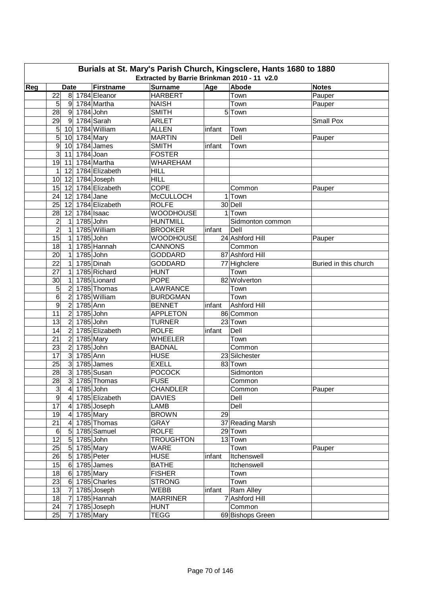| Burials at St. Mary's Parish Church, Kingsclere, Hants 1680 to 1880<br>Extracted by Barrie Brinkman 2010 - 11 v2.0 |                                    |                  |                  |        |                  |                       |  |  |  |  |  |  |
|--------------------------------------------------------------------------------------------------------------------|------------------------------------|------------------|------------------|--------|------------------|-----------------------|--|--|--|--|--|--|
| Reg                                                                                                                | <b>Date</b>                        | Firstname        | <b>Surname</b>   | Age    | Abode            | <b>Notes</b>          |  |  |  |  |  |  |
|                                                                                                                    | 22                                 | 8 1784 Eleanor   | <b>HARBERT</b>   |        | Town             | Pauper                |  |  |  |  |  |  |
|                                                                                                                    | 5<br>9                             | 1784 Martha      | <b>NAISH</b>     |        | Town             | Pauper                |  |  |  |  |  |  |
|                                                                                                                    | 28<br>$1784$ John<br> 9            |                  | <b>SMITH</b>     |        | 5 Town           |                       |  |  |  |  |  |  |
|                                                                                                                    | 29<br>-91                          | 1784 Sarah       | <b>ARLET</b>     |        |                  | <b>Small Pox</b>      |  |  |  |  |  |  |
|                                                                                                                    | 5<br>10                            | 1784 William     | <b>ALLEN</b>     | infant | Town             |                       |  |  |  |  |  |  |
|                                                                                                                    | 5<br>10                            | 1784 Mary        | <b>MARTIN</b>    |        | Dell             | Pauper                |  |  |  |  |  |  |
|                                                                                                                    | $\overline{9}$<br>10               | 1784 James       | <b>SMITH</b>     | infant | Town             |                       |  |  |  |  |  |  |
|                                                                                                                    | $\overline{3}$<br>11               | 1784 Joan        | <b>FOSTER</b>    |        |                  |                       |  |  |  |  |  |  |
|                                                                                                                    | 19<br>11                           | 1784 Martha      | <b>WHAREHAM</b>  |        |                  |                       |  |  |  |  |  |  |
|                                                                                                                    | 12<br>1                            | 1784 Elizabeth   | <b>HILL</b>      |        |                  |                       |  |  |  |  |  |  |
|                                                                                                                    | 10<br>12                           | 1784 Joseph      | <b>HILL</b>      |        |                  |                       |  |  |  |  |  |  |
|                                                                                                                    | 15<br>12                           | 1784 Elizabeth   | <b>COPE</b>      |        | Common           | Pauper                |  |  |  |  |  |  |
|                                                                                                                    | $1784$ Jane<br>24<br>12            |                  | <b>McCULLOCH</b> |        | 1 Town           |                       |  |  |  |  |  |  |
|                                                                                                                    | 25<br>12                           | 1784 Elizabeth   | <b>ROLFE</b>     |        | 30 Dell          |                       |  |  |  |  |  |  |
|                                                                                                                    | 28<br>12                           | 1784 Isaac       | <b>WOODHOUSE</b> |        | 1 Town           |                       |  |  |  |  |  |  |
|                                                                                                                    | $\overline{c}$<br>1                | 1785 John        | <b>HUNTMILL</b>  |        | Sidmonton common |                       |  |  |  |  |  |  |
|                                                                                                                    | $\overline{2}$<br>$\mathbf{1}$     | 1785 William     | <b>BROOKER</b>   | infant | Dell             |                       |  |  |  |  |  |  |
|                                                                                                                    | 15<br>1785 John<br>1               |                  | <b>WOODHOUSE</b> |        | 24 Ashford Hill  | Pauper                |  |  |  |  |  |  |
|                                                                                                                    | 18<br>1                            | 1785 Hannah      | <b>CANNONS</b>   |        | Common           |                       |  |  |  |  |  |  |
|                                                                                                                    | 20<br>1                            | 1785 John        | <b>GODDARD</b>   |        | 87 Ashford Hill  |                       |  |  |  |  |  |  |
|                                                                                                                    | 22<br>1                            | 1785 Dinah       | <b>GODDARD</b>   |        | 77 Highclere     | Buried in this church |  |  |  |  |  |  |
|                                                                                                                    | 27<br>1                            | 1785 Richard     | <b>HUNT</b>      |        | Town             |                       |  |  |  |  |  |  |
|                                                                                                                    | 30<br>1                            | 1785 Lionard     | <b>POPE</b>      |        | 82 Wolverton     |                       |  |  |  |  |  |  |
|                                                                                                                    | 5<br>$\overline{c}$                | 1785 Thomas      | <b>LAWRANCE</b>  |        | Town             |                       |  |  |  |  |  |  |
|                                                                                                                    | 6<br>2                             | 1785 William     | <b>BURDGMAN</b>  |        | Town             |                       |  |  |  |  |  |  |
|                                                                                                                    | 9<br>$\overline{2}$<br>1785 Ann    |                  | <b>BENNET</b>    | infant | Ashford Hill     |                       |  |  |  |  |  |  |
|                                                                                                                    | 1785 John<br>11<br>$\overline{2}$  |                  | <b>APPLETON</b>  |        | 86 Common        |                       |  |  |  |  |  |  |
|                                                                                                                    | 13<br>$\overline{2}$               | 1785 John        | <b>TURNER</b>    |        | 23 Town          |                       |  |  |  |  |  |  |
|                                                                                                                    | 14<br>$\overline{2}$               | 1785 Elizabeth   | <b>ROLFE</b>     | infant | Dell             |                       |  |  |  |  |  |  |
|                                                                                                                    | 21<br>$\overline{c}$               | 1785 Mary        | <b>WHEELER</b>   |        | Town             |                       |  |  |  |  |  |  |
|                                                                                                                    | $\overline{2}$<br>23               | 1785 John        | <b>BADNAL</b>    |        | Common           |                       |  |  |  |  |  |  |
|                                                                                                                    | 1785 Ann<br>$\mathbf{3}$<br>17     |                  | <b>HUSE</b>      |        | 23 Silchester    |                       |  |  |  |  |  |  |
|                                                                                                                    | 25<br>$\mathbf{3}$                 | 1785 James       | <b>EXELL</b>     |        | 83 Town          |                       |  |  |  |  |  |  |
|                                                                                                                    | 3<br>28                            | 1785 Susan       | <b>POCOCK</b>    |        | Sidmonton        |                       |  |  |  |  |  |  |
|                                                                                                                    | $\overline{28}$                    | 3 1785 Thomas    | <b>FUSE</b>      |        | Common           |                       |  |  |  |  |  |  |
|                                                                                                                    | $\mathsf 3$<br>4 1785 John         |                  | <b>CHANDLER</b>  |        | Common           | Pauper                |  |  |  |  |  |  |
|                                                                                                                    | $\overline{9}$                     | 4 1785 Elizabeth | <b>DAVIES</b>    |        | Dell             |                       |  |  |  |  |  |  |
|                                                                                                                    | 17<br>4 1785 Joseph                |                  | LAMB             |        | Dell             |                       |  |  |  |  |  |  |
|                                                                                                                    | 4 1785 Mary<br>19                  |                  | <b>BROWN</b>     | 29     |                  |                       |  |  |  |  |  |  |
|                                                                                                                    | 21<br>$\overline{4}$               | 1785 Thomas      | <b>GRAY</b>      |        | 37 Reading Marsh |                       |  |  |  |  |  |  |
|                                                                                                                    | $\,6$                              | 5 1785 Samuel    | <b>ROLFE</b>     |        | 29 Town          |                       |  |  |  |  |  |  |
|                                                                                                                    | 12<br>1785 John<br>$5\overline{)}$ |                  | <b>TROUGHTON</b> |        | 13 Town          |                       |  |  |  |  |  |  |
|                                                                                                                    | 25<br>1785 Mary<br>$5\overline{)}$ |                  | <b>WARE</b>      |        | Town             | Pauper                |  |  |  |  |  |  |
|                                                                                                                    | 26<br>5 1785 Peter                 |                  | <b>HUSE</b>      | infant | Itchenswell      |                       |  |  |  |  |  |  |
|                                                                                                                    | 15<br>6                            | 1785 James       | <b>BATHE</b>     |        | Itchenswell      |                       |  |  |  |  |  |  |
|                                                                                                                    | 18<br>6                            | 1785 Mary        | <b>FISHER</b>    |        | Town             |                       |  |  |  |  |  |  |
|                                                                                                                    | 23<br>6                            | 1785 Charles     | <b>STRONG</b>    |        | Town             |                       |  |  |  |  |  |  |
|                                                                                                                    | 13<br>7                            | 1785 Joseph      | WEBB             | infant | Ram Alley        |                       |  |  |  |  |  |  |
|                                                                                                                    | 18<br>7                            | 1785 Hannah      | <b>MARRINER</b>  |        | 7 Ashford Hill   |                       |  |  |  |  |  |  |
|                                                                                                                    | 24<br>7                            | 1785 Joseph      | <b>HUNT</b>      |        | Common           |                       |  |  |  |  |  |  |
|                                                                                                                    | 25<br>$\overline{7}$               | 1785 Mary        | <b>TEGG</b>      |        | 69 Bishops Green |                       |  |  |  |  |  |  |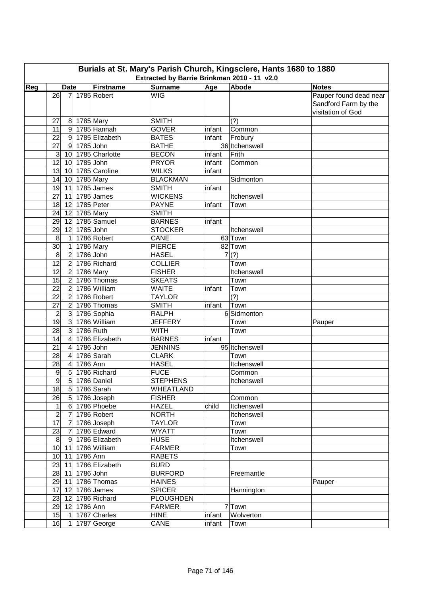|     |                        |                |           |                  | Burials at St. Mary's Parish Church, Kingsclere, Hants 1680 to 1880<br>Extracted by Barrie Brinkman 2010 - 11 v2.0 |        |                    |                                                                     |
|-----|------------------------|----------------|-----------|------------------|--------------------------------------------------------------------------------------------------------------------|--------|--------------------|---------------------------------------------------------------------|
| Reg | <b>Date</b><br>26<br>7 |                |           | <b>Firstname</b> | Surname                                                                                                            | Age    | Abode              | <b>Notes</b>                                                        |
|     |                        |                |           | 1785 Robert      | <b>WIG</b>                                                                                                         |        |                    | Pauper found dead near<br>Sandford Farm by the<br>visitation of God |
|     | 27                     | 8              | 1785 Mary |                  | <b>SMITH</b>                                                                                                       |        | (?)                |                                                                     |
|     | 11                     | 9              |           | 1785 Hannah      | <b>GOVER</b>                                                                                                       | infant | Common             |                                                                     |
|     | 22                     | 9              |           | 1785 Elizabeth   | <b>BATES</b>                                                                                                       | infant | Frobury            |                                                                     |
|     | $\overline{27}$        | $\overline{9}$ | 1785 John |                  | <b>BATHE</b>                                                                                                       |        | 36 Itchenswell     |                                                                     |
|     | 3                      | 10             |           | 1785 Charlotte   | <b>BECON</b>                                                                                                       | infant | Frith              |                                                                     |
|     | $\overline{12}$        | 10             | 1785 John |                  | <b>PRYOR</b>                                                                                                       | infant | Common             |                                                                     |
|     | 13                     | 10             |           | 1785 Caroline    | <b>WILKS</b>                                                                                                       | infant |                    |                                                                     |
|     | 14                     | 10             | 1785 Mary |                  | <b>BLACKMAN</b>                                                                                                    |        | Sidmonton          |                                                                     |
|     | 19                     | 11             |           | 1785 James       | <b>SMITH</b>                                                                                                       | infant |                    |                                                                     |
|     | 27                     | 11             |           | 1785 James       | <b>WICKENS</b>                                                                                                     |        | Itchenswell        |                                                                     |
|     | 18                     | 12             |           | 1785 Peter       | <b>PAYNE</b>                                                                                                       | infant | Town               |                                                                     |
|     | 24                     | 12             | 1785 Mary |                  | <b>SMITH</b>                                                                                                       |        |                    |                                                                     |
|     | 29                     | 12             |           | 1785 Samuel      | <b>BARNES</b>                                                                                                      | infant |                    |                                                                     |
|     | 29                     | 12             | 1785 John |                  | <b>STOCKER</b>                                                                                                     |        | Itchenswell        |                                                                     |
|     | 8                      | $\mathbf{1}$   |           | 1786 Robert      | CANE                                                                                                               |        | 63 Town            |                                                                     |
|     | 30                     | $\mathbf{1}$   | 1786 Mary |                  | <b>PIERCE</b>                                                                                                      |        | 82 Town            |                                                                     |
|     | 8                      | $\overline{2}$ | 1786 John |                  | <b>HASEL</b>                                                                                                       |        | 7(?)               |                                                                     |
|     | $\overline{12}$        | $\overline{2}$ |           | 1786 Richard     | <b>COLLIER</b>                                                                                                     |        | Town               |                                                                     |
|     | 12                     | $\overline{2}$ | 1786 Mary |                  | <b>FISHER</b>                                                                                                      |        | Itchenswell        |                                                                     |
|     | 15                     | $\overline{2}$ |           | 1786 Thomas      | <b>SKEATS</b>                                                                                                      |        | Town               |                                                                     |
|     | 22                     | $\overline{2}$ |           | 1786 William     | <b>WAITE</b>                                                                                                       | infant | Town               |                                                                     |
|     | 22                     | $\overline{2}$ |           | 1786 Robert      | <b>TAYLOR</b>                                                                                                      |        | (?)                |                                                                     |
|     | 27                     | $\overline{2}$ |           | 1786 Thomas      | <b>SMITH</b>                                                                                                       | infant | Town               |                                                                     |
|     | $\overline{c}$         | $\overline{3}$ |           | 1786 Sophia      | <b>RALPH</b>                                                                                                       |        | 6 Sidmonton        |                                                                     |
|     | 19                     | $\overline{3}$ |           | 1786 William     | <b>JEFFERY</b>                                                                                                     |        | Town               | Pauper                                                              |
|     | 28                     | 3              | 1786 Ruth |                  | <b>WITH</b>                                                                                                        |        | Town               |                                                                     |
|     | 14                     | 4              |           | 1786 Elizabeth   | <b>BARNES</b>                                                                                                      | infant |                    |                                                                     |
|     | 21                     | $\overline{4}$ | 1786 John |                  | <b>JENNINS</b>                                                                                                     |        | 95 Itchenswell     |                                                                     |
|     | 28                     | 4              |           | 1786 Sarah       | <b>CLARK</b>                                                                                                       |        | Town               |                                                                     |
|     | 28                     | 4              | 1786 Ann  |                  | <b>HASEL</b>                                                                                                       |        | Itchenswell        |                                                                     |
|     | 9                      | 5              |           | 1786 Richard     | <b>FUCE</b>                                                                                                        |        | Common             |                                                                     |
|     | $\overline{9}$         | 5              |           | 1786 Daniel      | <b>STEPHENS</b>                                                                                                    |        | <b>Itchenswell</b> |                                                                     |
|     | 18                     | 5              |           | 1786 Sarah       | <b>WHEATLAND</b>                                                                                                   |        |                    |                                                                     |
|     | 26                     | 5              |           | 1786 Joseph      | <b>FISHER</b>                                                                                                      |        | Common             |                                                                     |
|     | $\mathbf{1}$           | $\,6$          |           | 1786 Phoebe      | <b>HAZEL</b>                                                                                                       | child  | Itchenswell        |                                                                     |
|     | $\overline{2}$         | $\overline{7}$ |           | 1786 Robert      | <b>NORTH</b>                                                                                                       |        | Itchenswell        |                                                                     |
|     | $\overline{17}$        | $\overline{7}$ |           | 1786 Joseph      | <b>TAYLOR</b>                                                                                                      |        | Town               |                                                                     |
|     | 23                     | $\overline{7}$ |           | 1786 Edward      | <b>WYATT</b>                                                                                                       |        | Town               |                                                                     |
|     | $\,8\,$                | 9              |           | 1786 Elizabeth   | <b>HUSE</b>                                                                                                        |        | Itchenswell        |                                                                     |
|     | 10                     | 11             |           | 1786 William     | <b>FARMER</b>                                                                                                      |        | Town               |                                                                     |
|     | 10                     | 11             | 1786 Ann  |                  | <b>RABETS</b>                                                                                                      |        |                    |                                                                     |
|     | 23                     | 11             |           | 1786 Elizabeth   | <b>BURD</b>                                                                                                        |        |                    |                                                                     |
|     | 28                     | 11             | 1786 John |                  | <b>BURFORD</b>                                                                                                     |        | Freemantle         |                                                                     |
|     | 29                     | 11             |           | 1786 Thomas      | <b>HAINES</b>                                                                                                      |        |                    | Pauper                                                              |
|     | 17                     | 12             |           | 1786 James       | <b>SPICER</b>                                                                                                      |        | Hannington         |                                                                     |
|     | 23                     | 12             |           | 1786 Richard     | <b>PLOUGHDEN</b>                                                                                                   |        |                    |                                                                     |
|     | 29                     | 12             | 1786 Ann  |                  | <b>FARMER</b>                                                                                                      |        | 7 Town             |                                                                     |
|     | 15                     | $\overline{1}$ |           | 1787 Charles     | <b>HINE</b>                                                                                                        | infant | Wolverton          |                                                                     |
|     | 16                     | 1              |           | 1787 George      | CANE                                                                                                               | infant | Town               |                                                                     |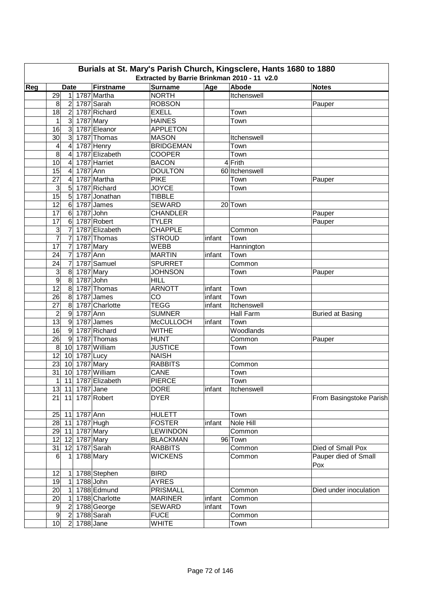|     |                     |                  |                |                     | Extracted by Barrie Brinkman 2010 - 11 v2.0 |        | Burials at St. Mary's Parish Church, Kingsclere, Hants 1680 to 1880 |                             |
|-----|---------------------|------------------|----------------|---------------------|---------------------------------------------|--------|---------------------------------------------------------------------|-----------------------------|
| Reg |                     | <b>Date</b>      |                | Firstname           | <b>Surname</b>                              | Abode  | <b>Notes</b>                                                        |                             |
|     | 29                  |                  |                | 1 1787 Martha       | <b>NORTH</b>                                | Age    | Itchenswell                                                         |                             |
|     | 8                   | $\overline{2}$   |                | 1787 Sarah          | <b>ROBSON</b>                               |        |                                                                     | Pauper                      |
|     | 18                  | 2 <sup>1</sup>   |                | 1787 Richard        | <b>EXELL</b>                                |        | Town                                                                |                             |
|     | 1                   | $\overline{3}$   |                | 1787 Mary           | <b>HAINES</b>                               |        | Town                                                                |                             |
|     | 16                  | $\mathbf{3}$     |                | 1787 Eleanor        | <b>APPLETON</b>                             |        |                                                                     |                             |
|     | 30                  | 3                |                | 1787 Thomas         | <b>MASON</b>                                |        | Itchenswell                                                         |                             |
|     | 4                   | $\overline{4}$   |                | 1787 Henry          | <b>BRIDGEMAN</b>                            |        | Town                                                                |                             |
|     | 8                   | $\overline{4}$   |                | 1787 Elizabeth      | <b>COOPER</b>                               |        | Town                                                                |                             |
|     | $\overline{10}$     | 4                |                | 1787 Harriet        | <b>BACON</b>                                |        | 4 Frith                                                             |                             |
|     | 15                  | 4                | 1787 Ann       |                     | <b>DOULTON</b>                              |        | 60 Itchenswell                                                      |                             |
|     | 27                  | 4                |                | 1787 Martha         | <b>PIKE</b>                                 |        | Town                                                                | Pauper                      |
|     | 3                   | 5                |                | 1787 Richard        | <b>JOYCE</b>                                |        | Town                                                                |                             |
|     | $\overline{15}$     | 5                |                | 1787 Jonathan       | <b>TIBBLE</b>                               |        |                                                                     |                             |
|     | 12                  |                  |                | 1787 James          | <b>SEWARD</b>                               |        | 20 Town                                                             |                             |
|     | 17                  | 6<br>6           | 1787 John      |                     | <b>CHANDLER</b>                             |        |                                                                     | Pauper                      |
|     | 17                  | 6                |                | 1787 Robert         | <b>TYLER</b>                                |        |                                                                     |                             |
|     | 3                   | 7                |                | 1787 Elizabeth      | <b>CHAPPLE</b>                              |        | Common                                                              | Pauper                      |
|     | $\overline{7}$      |                  |                | 1787 Thomas         | <b>STROUD</b>                               |        | Town                                                                |                             |
|     |                     | 7                |                |                     |                                             | infant |                                                                     |                             |
|     | 17<br>24            | $\overline{7}$   |                | 1787 Mary           | <b>WEBB</b>                                 |        | Hannington                                                          |                             |
|     |                     | $\overline{7}$   | 1787 Ann       |                     | <b>MARTIN</b>                               | infant | Town                                                                |                             |
|     | 24                  | $\overline{7}$   |                | 1787 Samuel         | <b>SPURRET</b>                              |        | Common                                                              |                             |
|     | 3<br>$\overline{9}$ | $\,8\,$          |                | 1787 Mary           | <b>JOHNSON</b>                              |        | Town                                                                | Pauper                      |
|     |                     | $\boldsymbol{8}$ | 1787 John      |                     | <b>HILL</b>                                 |        |                                                                     |                             |
|     | $\overline{12}$     | 8                |                | 1787 Thomas         | <b>ARNOTT</b>                               | infant | Town                                                                |                             |
|     | 26                  | 8                |                | 1787 James          | CO                                          | infant | Town                                                                |                             |
|     | 27                  | 8                |                | 1787 Charlotte      | <b>TEGG</b>                                 | infant | Itchenswell                                                         |                             |
|     | 2                   | $\boldsymbol{9}$ | 1787 Ann       |                     | <b>SUMNER</b>                               |        | Hall Farm                                                           | <b>Buried at Basing</b>     |
|     | $\overline{13}$     | $\boldsymbol{9}$ |                | 1787 James          | <b>McCULLOCH</b>                            | infant | Town                                                                |                             |
|     | 16                  | $\boldsymbol{9}$ |                | 1787 Richard        | <b>WITHE</b>                                |        | Woodlands                                                           |                             |
|     | 26                  | 9                |                | 1787 Thomas         | <b>HUNT</b>                                 |        | Common                                                              | Pauper                      |
|     | $\,8\,$             | 10               |                | 1787 William        | <b>JUSTICE</b>                              |        | Town                                                                |                             |
|     | 12                  | 10               | $1787$ Lucy    |                     | <b>NAISH</b>                                |        |                                                                     |                             |
|     | 23                  | 10               |                | 1787 Mary           | <b>RABBITS</b>                              |        | Common                                                              |                             |
|     | 31                  | 10 <sup>1</sup>  |                | 1787 William        | <b>CANE</b>                                 |        | Town                                                                |                             |
|     |                     |                  |                | 1 11 1787 Elizabeth | <b>PIERCE</b>                               |        | Town                                                                |                             |
|     |                     |                  |                | 13 11 1787 Jane     | <b>DORE</b>                                 | infant | Itchenswell                                                         |                             |
|     |                     |                  |                | 21 11 1787 Robert   | <b>DYER</b>                                 |        |                                                                     | From Basingstoke Parish     |
|     |                     |                  | 25 11 1787 Ann |                     | <b>HULETT</b>                               |        | Town                                                                |                             |
|     |                     |                  |                | 28 11 1787 Hugh     | <b>FOSTER</b>                               | infant | Nole Hill                                                           |                             |
|     |                     |                  |                | 29 11 1787 Mary     | <b>LEWINDON</b>                             |        | Common                                                              |                             |
|     |                     |                  |                | 12 12 1787 Mary     | <b>BLACKMAN</b>                             |        | 96 Town                                                             |                             |
|     | 31                  |                  |                | 12 1787 Sarah       | <b>RABBITS</b>                              |        | Common                                                              | Died of Small Pox           |
|     | 6                   | $\vert$          |                | 1788 Mary           | <b>WICKENS</b>                              |        | Common                                                              | Pauper died of Small<br>Pox |
|     | 12                  | $\mathbf{1}$     |                | 1788 Stephen        | <b>BIRD</b>                                 |        |                                                                     |                             |
|     | 19                  | $\mathbf{1}$     |                | 1788 John           | <b>AYRES</b>                                |        |                                                                     |                             |
|     | 20                  | $\mathbf{1}$     |                | 1788 Edmund         | <b>PRISMALL</b>                             |        | Common                                                              | Died under inoculation      |
|     | 20                  | 1                |                | 1788 Charlotte      | <b>MARINER</b>                              | infant | Common                                                              |                             |
|     | $\boldsymbol{9}$    | $\overline{2}$   |                | 1788 George         | SEWARD                                      | infant | Town                                                                |                             |
|     | $\boldsymbol{9}$    | $\overline{2}$   |                | 1788 Sarah          | <b>FUCE</b>                                 |        | Common                                                              |                             |
|     | 10 <sub>l</sub>     | 2 <sup>1</sup>   |                | $1788$ Jane         | <b>WHITE</b>                                |        | Town                                                                |                             |
|     |                     |                  |                |                     |                                             |        |                                                                     |                             |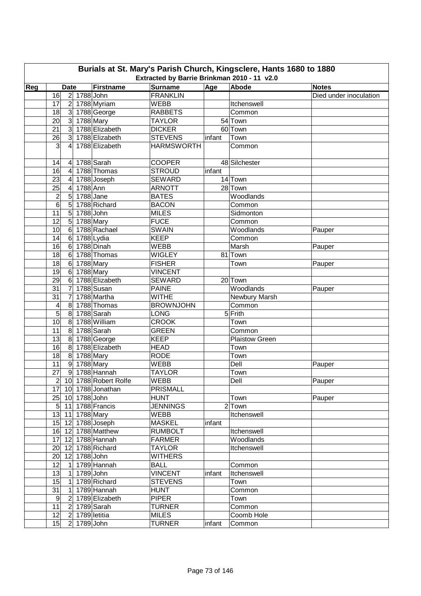|     | Burials at St. Mary's Parish Church, Kingsclere, Hants 1680 to 1880<br>Extracted by Barrie Brinkman 2010 - 11 v2.0 |                         |                  |                           |                   |        |                |                        |  |  |  |  |  |  |
|-----|--------------------------------------------------------------------------------------------------------------------|-------------------------|------------------|---------------------------|-------------------|--------|----------------|------------------------|--|--|--|--|--|--|
| Reg |                                                                                                                    | <b>Date</b>             |                  | Firstname                 | <b>Surname</b>    | Age    | Abode          | <b>Notes</b>           |  |  |  |  |  |  |
|     | 16                                                                                                                 |                         | 2 1788 John      |                           | <b>FRANKLIN</b>   |        |                | Died under inoculation |  |  |  |  |  |  |
|     | 17                                                                                                                 | $\overline{2}$          |                  | 1788 Myriam               | WEBB              |        | Itchenswell    |                        |  |  |  |  |  |  |
|     | 18                                                                                                                 | 3 <sup>2</sup>          |                  | 1788 George               | <b>RABBETS</b>    |        | Common         |                        |  |  |  |  |  |  |
|     | 20                                                                                                                 | $\mathbf{3}$            | 1788 Mary        |                           | <b>TAYLOR</b>     |        | 54 Town        |                        |  |  |  |  |  |  |
|     | $\overline{21}$                                                                                                    | $\mathbf{3}$            |                  | 1788 Elizabeth            | <b>DICKER</b>     |        | 60 Town        |                        |  |  |  |  |  |  |
|     | 26                                                                                                                 | 3                       |                  | 1788 Elizabeth            | <b>STEVENS</b>    | infant | Town           |                        |  |  |  |  |  |  |
|     | 3                                                                                                                  | 4                       |                  | 1788 Elizabeth            | <b>HARMSWORTH</b> |        | Common         |                        |  |  |  |  |  |  |
|     | 14                                                                                                                 | $\overline{4}$          |                  | 1788 Sarah                | <b>COOPER</b>     |        | 48 Silchester  |                        |  |  |  |  |  |  |
|     | 16                                                                                                                 | $\overline{4}$          |                  | 1788 Thomas               | <b>STROUD</b>     | infant |                |                        |  |  |  |  |  |  |
|     | 23                                                                                                                 | $\overline{\mathbf{4}}$ |                  | 1788 Joseph               | <b>SEWARD</b>     |        | 14 Town        |                        |  |  |  |  |  |  |
|     | 25                                                                                                                 | $\overline{4}$          | 1788 Ann         |                           | <b>ARNOTT</b>     |        | 28 Town        |                        |  |  |  |  |  |  |
|     | $\overline{c}$                                                                                                     | 5                       | 1788 Jane        |                           | <b>BATES</b>      |        | Woodlands      |                        |  |  |  |  |  |  |
|     | $6\phantom{1}6$                                                                                                    | 5                       |                  | 1788 Richard              | <b>BACON</b>      |        | Common         |                        |  |  |  |  |  |  |
|     | 11                                                                                                                 | 5                       | 1788 John        |                           | <b>MILES</b>      |        | Sidmonton      |                        |  |  |  |  |  |  |
|     | 12                                                                                                                 | 5                       | <b>1788 Mary</b> |                           | <b>FUCE</b>       |        | Common         |                        |  |  |  |  |  |  |
|     | 10                                                                                                                 | $6\phantom{.}6$         |                  | 1788 Rachael              | <b>SWAIN</b>      |        | Woodlands      | Pauper                 |  |  |  |  |  |  |
|     | 14                                                                                                                 | $\,6$                   |                  | 1788 Lydia                | <b>KEEP</b>       |        | Common         |                        |  |  |  |  |  |  |
|     | 16                                                                                                                 | $6\phantom{1}$          |                  | 1788 Dinah                | <b>WEBB</b>       |        | Marsh          | Pauper                 |  |  |  |  |  |  |
|     | 18                                                                                                                 | $\,6$                   |                  | 1788 Thomas               | <b>WIGLEY</b>     |        | 81 Town        |                        |  |  |  |  |  |  |
|     | 18                                                                                                                 | $\,6$                   | 1788 Mary        |                           | <b>FISHER</b>     |        | Town           | Pauper                 |  |  |  |  |  |  |
|     | 19                                                                                                                 | $\,6$                   | 1788 Mary        |                           | <b>VINCENT</b>    |        |                |                        |  |  |  |  |  |  |
|     | 29                                                                                                                 | 6                       |                  | 1788 Elizabeth            | <b>SEWARD</b>     |        | 20 Town        |                        |  |  |  |  |  |  |
|     | 31                                                                                                                 | $\overline{7}$          |                  | 1788 Susan                | <b>PAINE</b>      |        | Woodlands      | Pauper                 |  |  |  |  |  |  |
|     | 31                                                                                                                 | $\overline{7}$          |                  | 1788 Martha               | <b>WITHE</b>      |        | Newbury Marsh  |                        |  |  |  |  |  |  |
|     | 4                                                                                                                  | $\bf 8$                 |                  | 1788 Thomas               | <b>BROWNJOHN</b>  |        | Common         |                        |  |  |  |  |  |  |
|     | 5                                                                                                                  | 8                       |                  | 1788 Sarah                | <b>LONG</b>       |        | 5 Frith        |                        |  |  |  |  |  |  |
|     | 10                                                                                                                 | 8                       |                  | 1788 William              | <b>CROOK</b>      |        | Town           |                        |  |  |  |  |  |  |
|     | 11                                                                                                                 | 8                       |                  | 1788 Sarah                | <b>GREEN</b>      |        | Common         |                        |  |  |  |  |  |  |
|     | 13                                                                                                                 | 8                       |                  | 1788 George               | <b>KEEP</b>       |        | Plaistow Green |                        |  |  |  |  |  |  |
|     | 16                                                                                                                 | 8                       |                  | 1788 Elizabeth            | <b>HEAD</b>       |        | Town           |                        |  |  |  |  |  |  |
|     | 18                                                                                                                 | 8                       | 1788 Mary        |                           | <b>RODE</b>       |        | Town           |                        |  |  |  |  |  |  |
|     | 11                                                                                                                 |                         | 9 1788 Mary      |                           | <b>WEBB</b>       |        | Dell           | Pauper                 |  |  |  |  |  |  |
|     | 27                                                                                                                 |                         |                  | 9 1788 Hannah             | <b>TAYLOR</b>     |        | Town           |                        |  |  |  |  |  |  |
|     |                                                                                                                    |                         |                  | $2 10 $ 1788 Robert Rolfe | <b>WEBB</b>       |        | Dell           | Pauper                 |  |  |  |  |  |  |
|     |                                                                                                                    |                         |                  | 17 10 1788 Jonathan       | PRISMALL          |        |                |                        |  |  |  |  |  |  |
|     |                                                                                                                    |                         | 25 10 1788 John  |                           | <b>HUNT</b>       |        | Town           | Pauper                 |  |  |  |  |  |  |
|     |                                                                                                                    |                         |                  | 5 11 1788 Francis         | <b>JENNINGS</b>   |        | $2$ Town       |                        |  |  |  |  |  |  |
|     |                                                                                                                    |                         | 13 11 1788 Mary  |                           | WEBB              |        | Itchenswell    |                        |  |  |  |  |  |  |
|     |                                                                                                                    |                         |                  | 15 12 1788 Joseph         | <b>MASKEL</b>     | infant |                |                        |  |  |  |  |  |  |
|     |                                                                                                                    |                         |                  | 16 12 1788 Matthew        | <b>RUMBOLT</b>    |        | Itchenswell    |                        |  |  |  |  |  |  |
|     |                                                                                                                    |                         |                  | 17 12 1788 Hannah         | <b>FARMER</b>     |        | Woodlands      |                        |  |  |  |  |  |  |
|     |                                                                                                                    |                         |                  | 20 12 1788 Richard        | <b>TAYLOR</b>     |        | Itchenswell    |                        |  |  |  |  |  |  |
|     | 20                                                                                                                 |                         | 12 1788 John     |                           | <b>WITHERS</b>    |        |                |                        |  |  |  |  |  |  |
|     | 12                                                                                                                 | $\vert$ 1               |                  | 1789 Hannah               | <b>BALL</b>       |        | Common         |                        |  |  |  |  |  |  |
|     | 13                                                                                                                 | $\mathbf{1}$            | 1789 John        |                           | <b>VINCENT</b>    | infant | Itchenswell    |                        |  |  |  |  |  |  |
|     | 15                                                                                                                 | $\mathbf{1}$            |                  | 1789 Richard              | <b>STEVENS</b>    |        | Town           |                        |  |  |  |  |  |  |
|     | $\overline{31}$                                                                                                    | $\mathbf{1}$            |                  | 1789 Hannah               | <b>HUNT</b>       |        | Common         |                        |  |  |  |  |  |  |
|     | $9\,$                                                                                                              | $\overline{2}$          |                  | 1789 Elizabeth            | <b>PIPER</b>      |        | Town           |                        |  |  |  |  |  |  |
|     | 11                                                                                                                 | $\overline{2}$          |                  | 1789 Sarah                | <b>TURNER</b>     |        | Common         |                        |  |  |  |  |  |  |
|     | 12                                                                                                                 | $\overline{c}$          |                  | 1789 letitia              | <b>MILES</b>      |        | Coomb Hole     |                        |  |  |  |  |  |  |
|     | 15                                                                                                                 |                         | 2 1789 John      |                           | <b>TURNER</b>     | infant | Common         |                        |  |  |  |  |  |  |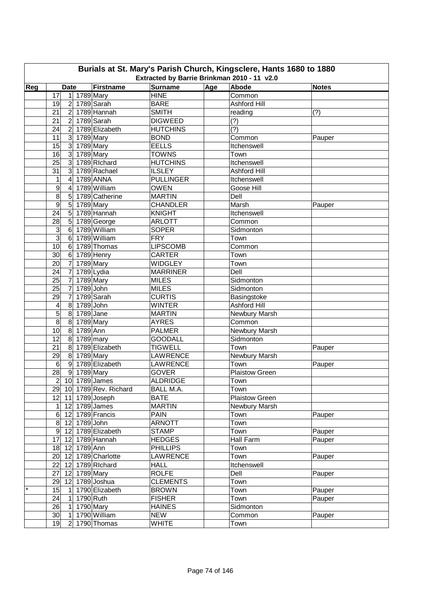| Burials at St. Mary's Parish Church, Kingsclere, Hants 1680 to 1880<br>Extracted by Barrie Brinkman 2010 - 11 v2.0 |                                    |                          |                  |       |                       |        |  |  |  |  |  |
|--------------------------------------------------------------------------------------------------------------------|------------------------------------|--------------------------|------------------|-------|-----------------------|--------|--|--|--|--|--|
| Reg                                                                                                                | <b>Date</b>                        | Firstname                | <b>Surname</b>   | Abode | <b>Notes</b>          |        |  |  |  |  |  |
|                                                                                                                    | 1 1789 Mary<br>17                  |                          | <b>HINE</b>      | Age   | Common                |        |  |  |  |  |  |
|                                                                                                                    | $\overline{2}$<br>19               | 1789 Sarah               | <b>BARE</b>      |       | Ashford Hill          |        |  |  |  |  |  |
|                                                                                                                    | 2 <sup>1</sup><br>21               | 1789 Hannah              | <b>SMITH</b>     |       | reading               | (?)    |  |  |  |  |  |
|                                                                                                                    | 21<br>$\overline{2}$               | 1789 Sarah               | <b>DIGWEED</b>   |       | (?)                   |        |  |  |  |  |  |
|                                                                                                                    | 24<br>$\overline{2}$               | 1789 Elizabeth           | <b>HUTCHINS</b>  |       | (?)                   |        |  |  |  |  |  |
|                                                                                                                    | 11<br>$\mathbf{3}$                 | 1789 Mary                | <b>BOND</b>      |       | Common                | Pauper |  |  |  |  |  |
|                                                                                                                    | 15<br>3 <sup>1</sup>               | 1789 Mary                | <b>EELLS</b>     |       | Itchenswell           |        |  |  |  |  |  |
|                                                                                                                    | 16<br>3 <sup>1</sup>               | 1789 Mary                | <b>TOWNS</b>     |       | Town                  |        |  |  |  |  |  |
|                                                                                                                    | 25<br>$\mathbf{3}$                 | 1789 Richard             | <b>HUTCHINS</b>  |       | Itchenswell           |        |  |  |  |  |  |
|                                                                                                                    | 31<br>$\mathbf{3}$                 | 1789 Rachael             | <b>ILSLEY</b>    |       | <b>Ashford Hill</b>   |        |  |  |  |  |  |
|                                                                                                                    | $\mathbf{1}$<br>4                  | 1789 ANNA                | <b>PULLINGER</b> |       | Itchenswell           |        |  |  |  |  |  |
|                                                                                                                    | 9<br>4                             | 1789 William             | <b>OWEN</b>      |       | Goose Hill            |        |  |  |  |  |  |
|                                                                                                                    | 8<br>5                             | 1789 Catherine           | <b>MARTIN</b>    |       | Dell                  |        |  |  |  |  |  |
|                                                                                                                    | $\boldsymbol{9}$<br>5              |                          | <b>CHANDLER</b>  |       | Marsh                 |        |  |  |  |  |  |
|                                                                                                                    | 24<br>$\sqrt{5}$                   | 1789 Mary<br>1789 Hannah | <b>KNIGHT</b>    |       | Itchenswell           | Pauper |  |  |  |  |  |
|                                                                                                                    |                                    |                          |                  |       |                       |        |  |  |  |  |  |
|                                                                                                                    | 28<br>$\sqrt{5}$<br>$6\phantom{1}$ | 1789 George              | <b>ARLOTT</b>    |       | Common                |        |  |  |  |  |  |
|                                                                                                                    | 3                                  | 1789 William             | <b>SOPER</b>     |       | Sidmonton             |        |  |  |  |  |  |
|                                                                                                                    | $\overline{3}$<br>6                | 1789 William             | <b>FRY</b>       |       | Town                  |        |  |  |  |  |  |
|                                                                                                                    | 10<br>6                            | 1789 Thomas              | <b>LIPSCOMB</b>  |       | Common                |        |  |  |  |  |  |
|                                                                                                                    | $\overline{30}$<br>6               | 1789 Henry               | <b>CARTER</b>    |       | Town                  |        |  |  |  |  |  |
|                                                                                                                    | $\overline{7}$<br>20               | 1789 Mary                | <b>WIDGLEY</b>   |       | Town                  |        |  |  |  |  |  |
|                                                                                                                    | $\overline{7}$<br>24               | 1789 Lydia               | <b>MARRINER</b>  |       | Dell                  |        |  |  |  |  |  |
|                                                                                                                    | $\overline{7}$<br>25               | 1789 Mary                | <b>MILES</b>     |       | Sidmonton             |        |  |  |  |  |  |
|                                                                                                                    | 25<br>7                            | 1789 John                | <b>MILES</b>     |       | Sidmonton             |        |  |  |  |  |  |
|                                                                                                                    | 7<br>29                            | 1789 Sarah               | <b>CURTIS</b>    |       | Basingstoke           |        |  |  |  |  |  |
|                                                                                                                    | 8 1789 John<br>4                   |                          | <b>WINTER</b>    |       | <b>Ashford Hill</b>   |        |  |  |  |  |  |
|                                                                                                                    | 5<br>1789 Jane<br>8 <sup>1</sup>   |                          | <b>MARTIN</b>    |       | Newbury Marsh         |        |  |  |  |  |  |
|                                                                                                                    | $\overline{8}$<br>8                | 1789 Mary                | <b>AYRES</b>     |       | Common                |        |  |  |  |  |  |
|                                                                                                                    | 10<br>1789 Ann<br>8                |                          | <b>PALMER</b>    |       | Newbury Marsh         |        |  |  |  |  |  |
|                                                                                                                    | 12<br>8                            | $1789$ mary              | <b>GOODALL</b>   |       | Sidmonton             |        |  |  |  |  |  |
|                                                                                                                    | 21<br>8                            | 1789 Elizabeth           | <b>TIGWELL</b>   |       | Town                  | Pauper |  |  |  |  |  |
|                                                                                                                    | 8 1789 Mary<br>29                  |                          | LAWRENCE         |       | Newbury Marsh         |        |  |  |  |  |  |
|                                                                                                                    | $\,6$<br> 9                        | 1789 Elizabeth           | <b>LAWRENCE</b>  |       | Town                  | Pauper |  |  |  |  |  |
|                                                                                                                    | 28<br>9 1789 Mary                  |                          | <b>GOVER</b>     |       | Plaistow Green        |        |  |  |  |  |  |
|                                                                                                                    | 2 10 1789 James                    |                          | <b>ALDRIDGE</b>  |       | Town                  |        |  |  |  |  |  |
|                                                                                                                    |                                    | 29 10 1789 Rev. Richard  | BALL M.A.        |       | Town                  |        |  |  |  |  |  |
|                                                                                                                    | 12<br>11 1789 Joseph               |                          | <b>BATE</b>      |       | <b>Plaistow Green</b> |        |  |  |  |  |  |
|                                                                                                                    | 12 1789 James<br>1                 |                          | <b>MARTIN</b>    |       | Newbury Marsh         |        |  |  |  |  |  |
|                                                                                                                    | 12 1789 Francis<br>6 <sup>1</sup>  |                          | <b>PAIN</b>      |       | Town                  | Pauper |  |  |  |  |  |
|                                                                                                                    | 8 <sup>1</sup><br>12 1789 John     |                          | <b>ARNOTT</b>    |       | Town                  |        |  |  |  |  |  |
|                                                                                                                    | 9 <sup>1</sup>                     | 12 1789 Elizabeth        | <b>STAMP</b>     |       | Town                  | Pauper |  |  |  |  |  |
|                                                                                                                    | 17<br>12 1789 Hannah               |                          | <b>HEDGES</b>    |       | Hall Farm             | Pauper |  |  |  |  |  |
|                                                                                                                    | 18 12 1789 Ann                     |                          | <b>PHILLIPS</b>  |       | Town                  |        |  |  |  |  |  |
|                                                                                                                    | 20 <sub>l</sub>                    | 12 1789 Charlotte        | <b>LAWRENCE</b>  |       | Town                  | Pauper |  |  |  |  |  |
|                                                                                                                    | 22<br>12 1789 Richard              |                          | <b>HALL</b>      |       | Itchenswell           |        |  |  |  |  |  |
|                                                                                                                    | 27<br>12 1789 Mary                 |                          | <b>ROLFE</b>     |       | Dell                  | Pauper |  |  |  |  |  |
|                                                                                                                    | 29<br>12                           | 1789 Joshua              | <b>CLEMENTS</b>  |       | Town                  |        |  |  |  |  |  |
| $\star$                                                                                                            | 15<br>$\mathbf{1}$                 | 1790 Elizabeth           | <b>BROWN</b>     |       | Town                  | Pauper |  |  |  |  |  |
|                                                                                                                    | 24<br>$\mathbf{1}$                 | 1790 Ruth                | <b>FISHER</b>    |       | Town                  | Pauper |  |  |  |  |  |
|                                                                                                                    | 26<br>$\mathbf{1}$                 | 1790 Mary                | <b>HAINES</b>    |       | Sidmonton             |        |  |  |  |  |  |
|                                                                                                                    | 30 <sup>°</sup><br>$\mathbf{1}$    | 1790 William             | <b>NEW</b>       |       | Common                | Pauper |  |  |  |  |  |
|                                                                                                                    | 19                                 | 2 1790 Thomas            | <b>WHITE</b>     |       | Town                  |        |  |  |  |  |  |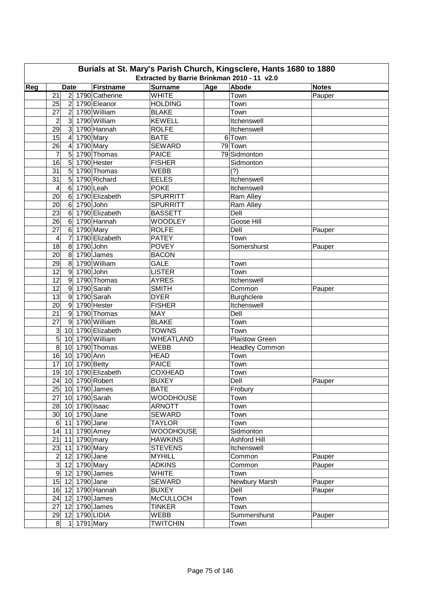| Burials at St. Mary's Parish Church, Kingsclere, Hants 1680 to 1880 |                                                      |                   |                                             |     |                       |              |  |  |  |  |  |
|---------------------------------------------------------------------|------------------------------------------------------|-------------------|---------------------------------------------|-----|-----------------------|--------------|--|--|--|--|--|
|                                                                     |                                                      |                   | Extracted by Barrie Brinkman 2010 - 11 v2.0 |     |                       |              |  |  |  |  |  |
| Reg                                                                 | <b>Date</b>                                          | Firstname         | <b>Surname</b>                              | Age | Abode                 | <b>Notes</b> |  |  |  |  |  |
|                                                                     | $\overline{21}$                                      | 2 1790 Catherine  | <b>WHITE</b>                                |     | Town                  | Pauper       |  |  |  |  |  |
|                                                                     | 2 1790 Eleanor<br>25                                 |                   | <b>HOLDING</b>                              |     | Town                  |              |  |  |  |  |  |
|                                                                     | 2 1790 William<br>27                                 |                   | <b>BLAKE</b>                                |     | Town                  |              |  |  |  |  |  |
|                                                                     | $\mathbf{3}$<br>2                                    | 1790 William      | <b>KEWELL</b>                               |     | Itchenswell           |              |  |  |  |  |  |
|                                                                     | $\overline{3}$<br>29                                 | 1790 Hannah       | <b>ROLFE</b>                                |     | Itchenswell           |              |  |  |  |  |  |
|                                                                     | 1790 Mary<br>15<br>$\overline{4}$                    |                   | <b>BATE</b>                                 |     | 6 Town                |              |  |  |  |  |  |
|                                                                     | $1790$ Mary<br>26<br>$\overline{4}$                  |                   | <b>SEWARD</b>                               |     | 79 Town               |              |  |  |  |  |  |
|                                                                     | $\overline{5}$<br>7                                  | 1790 Thomas       | <b>PAICE</b>                                |     | 79 Sidmonton          |              |  |  |  |  |  |
|                                                                     | 16<br>5                                              | 1790 Hester       | <b>FISHER</b>                               |     | Sidmonton             |              |  |  |  |  |  |
|                                                                     | 31<br>5                                              | 1790 Thomas       | <b>WEBB</b>                                 |     | (?)                   |              |  |  |  |  |  |
|                                                                     | 31<br>5                                              | 1790 Richard      | <b>EELES</b>                                |     | Itchenswell           |              |  |  |  |  |  |
|                                                                     | $\,6$<br>1790 Leah<br>4                              |                   | <b>POKE</b>                                 |     | Itchenswell           |              |  |  |  |  |  |
|                                                                     | 20<br>$\,6$                                          | 1790 Elizabeth    | <b>SPURRITT</b>                             |     | Ram Alley             |              |  |  |  |  |  |
|                                                                     | 20<br>1790 John<br>$\,6$                             |                   | <b>SPURRITT</b>                             |     | Ram Alley             |              |  |  |  |  |  |
|                                                                     | $\overline{23}$<br>$\,6$                             | 1790 Elizabeth    | <b>BASSETT</b>                              |     | Dell                  |              |  |  |  |  |  |
|                                                                     | $\overline{26}$<br>$\,6$                             | 1790 Hannah       | <b>WOODLEY</b>                              |     | Goose Hill            |              |  |  |  |  |  |
|                                                                     | 27<br>1790 Mary<br>$\,6$                             |                   | <b>ROLFE</b>                                |     | Dell                  | Pauper       |  |  |  |  |  |
|                                                                     | $\overline{7}$<br>4                                  | 1790 Elizabeth    | <b>PATEY</b>                                |     | Town                  |              |  |  |  |  |  |
|                                                                     | 18<br>8<br>1790 John                                 |                   | <b>POVEY</b>                                |     | Somershurst           | Pauper       |  |  |  |  |  |
|                                                                     | 20<br>8                                              | 1790 James        | <b>BACON</b>                                |     |                       |              |  |  |  |  |  |
|                                                                     | 29<br>8                                              | 1790 William      | <b>GALE</b>                                 |     | Town                  |              |  |  |  |  |  |
|                                                                     | $1790$ John<br>12<br>$\overline{9}$                  |                   | <b>LISTER</b>                               |     | Town                  |              |  |  |  |  |  |
|                                                                     | $\overline{12}$<br>$9\,$                             | 1790 Thomas       | <b>AYRES</b>                                |     | Itchenswell           |              |  |  |  |  |  |
|                                                                     | $\overline{12}$<br>$9\,$                             | 1790 Sarah        | <b>SMITH</b>                                |     | Common                | Pauper       |  |  |  |  |  |
|                                                                     | 13<br>$\overline{9}$                                 | 1790 Sarah        | <b>DYER</b>                                 |     | <b>Burghclere</b>     |              |  |  |  |  |  |
|                                                                     | 20<br>9                                              | 1790 Hester       | <b>FISHER</b>                               |     | Itchenswell           |              |  |  |  |  |  |
|                                                                     | $\overline{21}$<br>$\overline{9}$                    | 1790 Thomas       | <b>MAY</b>                                  |     | Dell                  |              |  |  |  |  |  |
|                                                                     | 27<br>9 <sup>1</sup>                                 | 1790 William      | <b>BLAKE</b>                                |     | Town                  |              |  |  |  |  |  |
|                                                                     | $\mathbf{3}$                                         | 10 1790 Elizabeth | <b>TOWNS</b>                                |     | Town                  |              |  |  |  |  |  |
|                                                                     | $\overline{5}$<br>10 1790 William                    |                   | <b>WHEATLAND</b>                            |     | <b>Plaistow Green</b> |              |  |  |  |  |  |
|                                                                     | 8<br>10 <sup>1</sup><br>10 1790 Ann                  | 1790 Thomas       | <b>WEBB</b>                                 |     | <b>Headley Common</b> |              |  |  |  |  |  |
|                                                                     | 16<br>10 1790 Betty<br>17                            |                   | <b>HEAD</b><br><b>PAICE</b>                 |     | Town                  |              |  |  |  |  |  |
|                                                                     |                                                      |                   |                                             |     | Town                  |              |  |  |  |  |  |
|                                                                     | 19 10 1790 Elizabeth                                 |                   | <b>COXHEAD</b>                              |     | Town                  |              |  |  |  |  |  |
|                                                                     | 24 10 1790 Robert                                    |                   | <b>BUXEY</b><br><b>BATE</b>                 |     | Dell                  | Pauper       |  |  |  |  |  |
|                                                                     | 25 10 1790 James                                     |                   |                                             |     | Frobury               |              |  |  |  |  |  |
|                                                                     | 27<br>10 1790 Sarah                                  |                   | <b>WOODHOUSE</b>                            |     | Town                  |              |  |  |  |  |  |
|                                                                     | 28 10 1790 Isaac                                     |                   | <b>ARNOTT</b>                               |     | Town                  |              |  |  |  |  |  |
|                                                                     | 30 10 1790 Jane                                      |                   | SEWARD                                      |     | Town                  |              |  |  |  |  |  |
|                                                                     | 11 1790 Jane<br>$6 \mid$<br>14 11 1790 Amey          |                   | <b>TAYLOR</b><br><b>WOODHOUSE</b>           |     | Town<br>Sidmonton     |              |  |  |  |  |  |
|                                                                     |                                                      |                   |                                             |     |                       |              |  |  |  |  |  |
|                                                                     | 21<br>11 1790 mary                                   |                   | <b>HAWKINS</b>                              |     | Ashford Hill          |              |  |  |  |  |  |
|                                                                     | 23<br>11 1790 Mary<br>2 <sub>l</sub><br>12 1790 Jane |                   | <b>STEVENS</b><br><b>MYHILL</b>             |     | Itchenswell<br>Common | Pauper       |  |  |  |  |  |
|                                                                     | 3 <sup>1</sup><br>12 1790 Mary                       |                   | <b>ADKINS</b>                               |     | Common                | Pauper       |  |  |  |  |  |
|                                                                     | 9<br>12 1790 James                                   |                   | <b>WHITE</b>                                |     | Town                  |              |  |  |  |  |  |
|                                                                     | 15<br>12 1790 Jane                                   |                   | <b>SEWARD</b>                               |     | Newbury Marsh         | Pauper       |  |  |  |  |  |
|                                                                     | 12 1790 Hannah<br>16                                 |                   | <b>BUXEY</b>                                |     | Dell                  |              |  |  |  |  |  |
|                                                                     | 24<br>12 1790 James                                  |                   | <b>McCULLOCH</b>                            |     | Town                  | Pauper       |  |  |  |  |  |
|                                                                     | 27<br>12 1790 James                                  |                   | <b>TINKER</b>                               |     | Town                  |              |  |  |  |  |  |
|                                                                     | 12 1790 LIDIA<br>29                                  |                   | <b>WEBB</b>                                 |     | Summershurst          |              |  |  |  |  |  |
|                                                                     | 1 1791 Mary<br>8 <sup>1</sup>                        |                   | <b>TWITCHIN</b>                             |     | Town                  | Pauper       |  |  |  |  |  |
|                                                                     |                                                      |                   |                                             |     |                       |              |  |  |  |  |  |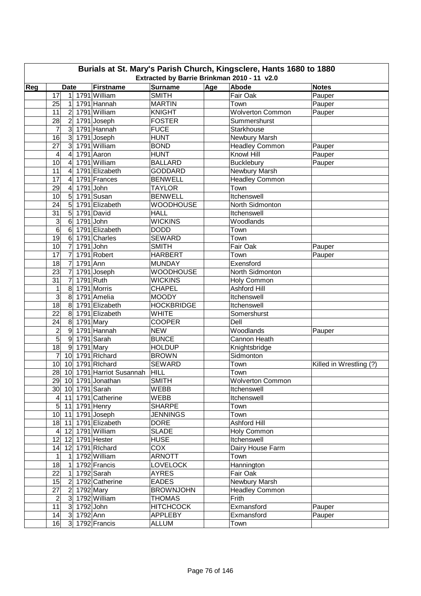| Burials at St. Mary's Parish Church, Kingsclere, Hants 1680 to 1880<br>Extracted by Barrie Brinkman 2010 - 11 v2.0 |                                    |                          |                                |              |                         |                         |  |  |  |  |  |
|--------------------------------------------------------------------------------------------------------------------|------------------------------------|--------------------------|--------------------------------|--------------|-------------------------|-------------------------|--|--|--|--|--|
| Reg                                                                                                                | <b>Date</b>                        | Firstname                | Abode                          | <b>Notes</b> |                         |                         |  |  |  |  |  |
|                                                                                                                    | 17                                 | 1 1791 William           | <b>Surname</b><br><b>SMITH</b> | Age          | Fair Oak                | Pauper                  |  |  |  |  |  |
|                                                                                                                    | 25<br>1                            | 1791 Hannah              | <b>MARTIN</b>                  |              | Town                    | Pauper                  |  |  |  |  |  |
|                                                                                                                    | 11<br>$\overline{2}$               | 1791 William             | <b>KNIGHT</b>                  |              | <b>Wolverton Common</b> | Pauper                  |  |  |  |  |  |
|                                                                                                                    | 28<br>$\overline{2}$               | 1791 Joseph              | <b>FOSTER</b>                  |              | Summershurst            |                         |  |  |  |  |  |
|                                                                                                                    | 7<br>$\mathbf{3}$                  | 1791 Hannah              | <b>FUCE</b>                    |              | Starkhouse              |                         |  |  |  |  |  |
|                                                                                                                    | 16<br>3                            | 1791 Joseph              | <b>HUNT</b>                    |              | Newbury Marsh           |                         |  |  |  |  |  |
|                                                                                                                    | 27<br>3                            | 1791 William             | <b>BOND</b>                    |              | <b>Headley Common</b>   | Pauper                  |  |  |  |  |  |
|                                                                                                                    | 4                                  | 1791 Aaron               | <b>HUNT</b>                    |              | Knowl Hill              |                         |  |  |  |  |  |
|                                                                                                                    | 4<br>10<br>4                       | 1791 William             | <b>BALLARD</b>                 |              | <b>Bucklebury</b>       | Pauper<br>Pauper        |  |  |  |  |  |
|                                                                                                                    | 11<br>4                            | 1791 Elizabeth           | <b>GODDARD</b>                 |              | Newbury Marsh           |                         |  |  |  |  |  |
|                                                                                                                    | 17<br>4                            | 1791 Frances             | <b>BENWELL</b>                 |              | <b>Headley Common</b>   |                         |  |  |  |  |  |
|                                                                                                                    | 29<br>4                            | 1791 John                | <b>TAYLOR</b>                  |              | Town                    |                         |  |  |  |  |  |
|                                                                                                                    | 10<br>5                            | 1791 Susan               | <b>BENWELL</b>                 |              | Itchenswell             |                         |  |  |  |  |  |
|                                                                                                                    | 24<br>5                            | 1791 Elizabeth           | <b>WOODHOUSE</b>               |              | North Sidmonton         |                         |  |  |  |  |  |
|                                                                                                                    | 31<br>5                            | 1791 David               | <b>HALL</b>                    |              | Itchenswell             |                         |  |  |  |  |  |
|                                                                                                                    | 6                                  | $1791$ John              | <b>WICKINS</b>                 |              | Woodlands               |                         |  |  |  |  |  |
|                                                                                                                    | 3<br>6                             | 1791 Elizabeth           | <b>DODD</b>                    |              | Town                    |                         |  |  |  |  |  |
|                                                                                                                    | 6                                  |                          |                                |              |                         |                         |  |  |  |  |  |
|                                                                                                                    | 19<br>6                            | 1791 Charles             | <b>SEWARD</b>                  |              | Town                    |                         |  |  |  |  |  |
|                                                                                                                    | 10<br>$\overline{7}$               | 1791 John                | <b>SMITH</b>                   |              | Fair Oak                | Pauper                  |  |  |  |  |  |
|                                                                                                                    | 17<br>7                            | 1791 Robert              | <b>HARBERT</b>                 |              | Town                    | Pauper                  |  |  |  |  |  |
|                                                                                                                    | 18<br>$\overline{7}$<br>1791 Ann   |                          | <b>MUNDAY</b>                  |              | Exensford               |                         |  |  |  |  |  |
|                                                                                                                    | 23<br>7                            | 1791 Joseph              | <b>WOODHOUSE</b>               |              | North Sidmonton         |                         |  |  |  |  |  |
|                                                                                                                    | 31<br>7                            | 1791 Ruth                | <b>WICKINS</b>                 |              | Holy Common             |                         |  |  |  |  |  |
|                                                                                                                    | 1<br>8                             | 1791 Morris              | <b>CHAPEL</b>                  |              | <b>Ashford Hill</b>     |                         |  |  |  |  |  |
|                                                                                                                    | 3<br>$\bf 8$                       | 1791 Amelia              | <b>MOODY</b>                   |              | Itchenswell             |                         |  |  |  |  |  |
|                                                                                                                    | 18<br>8                            | 1791 Elizabeth           | <b>HOCKBRIDGE</b>              |              | Itchenswell             |                         |  |  |  |  |  |
|                                                                                                                    | 22<br>8                            | 1791 Elizabeth           | <b>WHITE</b>                   |              | Somershurst             |                         |  |  |  |  |  |
|                                                                                                                    | 24<br>8                            | 1791 Mary                | <b>COOPER</b>                  |              | Dell                    |                         |  |  |  |  |  |
|                                                                                                                    | $\overline{c}$<br>$\boldsymbol{9}$ | 1791 Hannah              | <b>NEW</b>                     |              | Woodlands               | Pauper                  |  |  |  |  |  |
|                                                                                                                    | $\overline{5}$<br>$\boldsymbol{9}$ | 1791 Sarah               | <b>BUNCE</b>                   |              | Cannon Heath            |                         |  |  |  |  |  |
|                                                                                                                    | $\overline{18}$<br>9               | 1791 Mary                | <b>HOLDUP</b>                  |              | Knightsbridge           |                         |  |  |  |  |  |
|                                                                                                                    | $\overline{7}$<br>10               | 1791 Richard             | <b>BROWN</b>                   |              | Sidmonton               |                         |  |  |  |  |  |
|                                                                                                                    | 10<br>10                           | 1791 Richard             | <b>SEWARD</b>                  |              | Town                    | Killed in Wrestling (?) |  |  |  |  |  |
|                                                                                                                    | 28                                 | 10 1791 Harriot Susannah | <b>HILL</b>                    |              | Town                    |                         |  |  |  |  |  |
|                                                                                                                    | 29 10 1791 Jonathan                |                          | <b>SMITH</b>                   |              | <b>Wolverton Common</b> |                         |  |  |  |  |  |
|                                                                                                                    | 30 10 1791 Sarah                   |                          | WEBB                           |              | Itchenswell             |                         |  |  |  |  |  |
|                                                                                                                    | $\overline{4 }$ 11 1791 Catherine  |                          | <b>WEBB</b>                    |              | Itchenswell             |                         |  |  |  |  |  |
|                                                                                                                    | 5 <sup>1</sup><br>11 1791 Henry    |                          | <b>SHARPE</b>                  |              | Town                    |                         |  |  |  |  |  |
|                                                                                                                    | 10 11 1791 Joseph                  |                          | <b>JENNINGS</b>                |              | Town                    |                         |  |  |  |  |  |
|                                                                                                                    | 18 11                              | 1791 Elizabeth           | <b>DORE</b>                    |              | Ashford Hill            |                         |  |  |  |  |  |
|                                                                                                                    | 12 1791 William<br>$\vert 4 \vert$ |                          | <b>SLADE</b>                   |              | Holy Common             |                         |  |  |  |  |  |
|                                                                                                                    | 12<br>12 1791 Hester               |                          | <b>HUSE</b>                    |              | Itchenswell             |                         |  |  |  |  |  |
|                                                                                                                    | 12 1791 Richard<br>14              |                          | $\overline{COX}$               |              | Dairy House Farm        |                         |  |  |  |  |  |
|                                                                                                                    | 1<br>$\mathbf{1}$                  | 1792 William             | <b>ARNOTT</b>                  |              | Town                    |                         |  |  |  |  |  |
|                                                                                                                    | 18<br>$\mathbf{1}$                 | 1792 Francis             | <b>LOVELOCK</b>                |              | Hannington              |                         |  |  |  |  |  |
|                                                                                                                    | 22<br>$\mathbf{1}$                 | 1792 Sarah               | <b>AYRES</b>                   |              | Fair Oak                |                         |  |  |  |  |  |
|                                                                                                                    | 15<br>$\overline{2}$               | 1792 Catherine           | <b>EADES</b>                   |              | Newbury Marsh           |                         |  |  |  |  |  |
|                                                                                                                    | 27<br>$\vert$ 2                    | 1792 Mary                | <b>BROWNJOHN</b>               |              | <b>Headley Common</b>   |                         |  |  |  |  |  |
|                                                                                                                    | $\overline{c}$<br>3 <sup>1</sup>   | 1792 William             | <b>THOMAS</b>                  |              | Frith                   |                         |  |  |  |  |  |
|                                                                                                                    | 11<br>3 1792 John                  |                          | <b>HITCHCOCK</b>               |              | Exmansford              | Pauper                  |  |  |  |  |  |
|                                                                                                                    | 3 1792 Ann<br>14                   |                          | <b>APPLEBY</b>                 |              | Exmansford              | Pauper                  |  |  |  |  |  |
|                                                                                                                    | 16                                 | 3 1792 Francis           | <b>ALLUM</b>                   |              | Town                    |                         |  |  |  |  |  |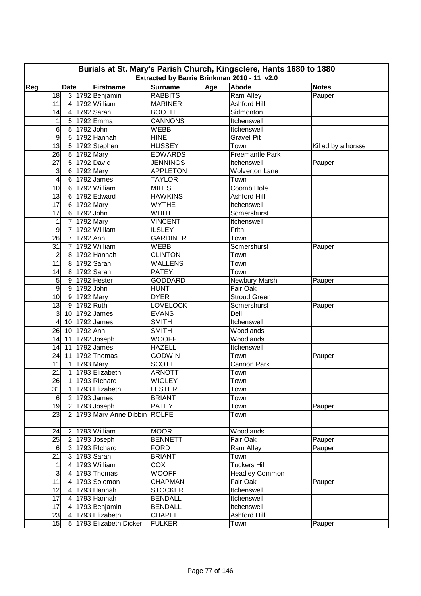| Burials at St. Mary's Parish Church, Kingsclere, Hants 1680 to 1880<br>Extracted by Barrie Brinkman 2010 - 11 v2.0 |                                          |                           |                               |     |                                   |                    |  |  |  |  |  |
|--------------------------------------------------------------------------------------------------------------------|------------------------------------------|---------------------------|-------------------------------|-----|-----------------------------------|--------------------|--|--|--|--|--|
|                                                                                                                    |                                          |                           |                               |     |                                   |                    |  |  |  |  |  |
| Reg                                                                                                                | <b>Date</b>                              | Firstname                 | <b>Surname</b>                | Age | Abode                             | <b>Notes</b>       |  |  |  |  |  |
|                                                                                                                    | 18                                       | 3 1792 Benjamin           | <b>RABBITS</b>                |     | Ram Alley                         | Pauper             |  |  |  |  |  |
|                                                                                                                    | 11<br>$\overline{4}$                     | 1792 William              | <b>MARINER</b>                |     | <b>Ashford Hill</b>               |                    |  |  |  |  |  |
|                                                                                                                    | 14<br>$\overline{4}$                     | 1792 Sarah                | <b>BOOTH</b>                  |     | Sidmonton                         |                    |  |  |  |  |  |
|                                                                                                                    | 1<br>$5\overline{)}$                     | 1792 Emma                 | <b>CANNONS</b>                |     | Itchenswell                       |                    |  |  |  |  |  |
|                                                                                                                    | 6<br>$5\overline{)}$<br>1792 John        |                           | <b>WEBB</b>                   |     | Itchenswell                       |                    |  |  |  |  |  |
|                                                                                                                    | 9                                        | 5 1792 Hannah             | <b>HINE</b>                   |     | <b>Gravel Pit</b>                 |                    |  |  |  |  |  |
|                                                                                                                    | $\overline{13}$<br>5 <sup>1</sup>        | 1792 Stephen              | <b>HUSSEY</b>                 |     | Town                              | Killed by a horsse |  |  |  |  |  |
|                                                                                                                    | 5 <sup>1</sup><br>26                     | $\overline{1792}$ Mary    | <b>EDWARDS</b>                |     | Freemantle Park                   |                    |  |  |  |  |  |
|                                                                                                                    | $\overline{5}$<br>27                     | 1792 David                | <b>JENNINGS</b>               |     | Itchenswell                       | Pauper             |  |  |  |  |  |
|                                                                                                                    | 3<br>$6\phantom{1}$                      | 1792 Mary                 | <b>APPLETON</b>               |     | <b>Wolverton Lane</b>             |                    |  |  |  |  |  |
|                                                                                                                    | $\overline{4}$<br>$\,6$                  | 1792 James                | <b>TAYLOR</b>                 |     | Town                              |                    |  |  |  |  |  |
|                                                                                                                    | 10<br>$\,6$                              | 1792 William              | <b>MILES</b>                  |     | Coomb Hole                        |                    |  |  |  |  |  |
|                                                                                                                    | 13<br>$\,6$                              | 1792 Edward               | <b>HAWKINS</b>                |     | Ashford Hill                      |                    |  |  |  |  |  |
|                                                                                                                    | 17<br>6                                  | 1792 Mary                 | <b>WYTHE</b>                  |     | Itchenswell                       |                    |  |  |  |  |  |
|                                                                                                                    | 17<br>6                                  | 1792 John                 | <b>WHITE</b>                  |     | Somershurst                       |                    |  |  |  |  |  |
|                                                                                                                    | 1<br>7                                   | 1792 Mary                 | <b>VINCENT</b>                |     | Itchenswell                       |                    |  |  |  |  |  |
|                                                                                                                    | 9<br>7                                   | 1792 William              | <b>ILSLEY</b>                 |     | Frith                             |                    |  |  |  |  |  |
|                                                                                                                    | 1792 Ann<br>26<br>$\overline{7}$         |                           | <b>GARDINER</b>               |     | Town                              |                    |  |  |  |  |  |
|                                                                                                                    | $\overline{31}$<br>$\overline{7}$        | 1792 William              | <b>WEBB</b>                   |     | Somershurst                       | Pauper             |  |  |  |  |  |
|                                                                                                                    | $\overline{c}$<br>8                      | 1792 Hannah               | <b>CLINTON</b>                |     | Town                              |                    |  |  |  |  |  |
|                                                                                                                    | $\overline{11}$<br>8                     | 1792 Sarah                | <b>WALLENS</b>                |     | Town                              |                    |  |  |  |  |  |
|                                                                                                                    | 8<br>14                                  | 1792 Sarah                | <b>PATEY</b>                  |     | Town                              |                    |  |  |  |  |  |
|                                                                                                                    | 5<br>9 1792 Hester                       |                           | <b>GODDARD</b>                |     | Newbury Marsh                     | Pauper             |  |  |  |  |  |
|                                                                                                                    | $\overline{9}$<br>9 1792 John            |                           | <b>HUNT</b>                   |     | Fair Oak                          |                    |  |  |  |  |  |
|                                                                                                                    | 10<br>9                                  | 1792 Mary                 | <b>DYER</b>                   |     | <b>Stroud Green</b>               |                    |  |  |  |  |  |
|                                                                                                                    | 13<br>9                                  | 1792 Ruth                 | <b>LOVELOCK</b>               |     | Somershurst                       | Pauper             |  |  |  |  |  |
|                                                                                                                    | ω<br>10 <sup>1</sup>                     | 1792 James                | <b>EVANS</b>                  |     | Dell                              |                    |  |  |  |  |  |
|                                                                                                                    | 10 1792 James<br>$\overline{\mathbf{4}}$ |                           | <b>SMITH</b>                  |     | Itchenswell                       |                    |  |  |  |  |  |
|                                                                                                                    | 1792 Ann<br>26<br>10 <sup>°</sup>        |                           | <b>SMITH</b>                  |     | Woodlands                         |                    |  |  |  |  |  |
|                                                                                                                    | 14<br>11                                 | 1792 Joseph<br>1792 James | <b>WOOFF</b><br><b>HAZELL</b> |     | Woodlands                         |                    |  |  |  |  |  |
|                                                                                                                    | 14<br>11                                 | 1792 Thomas               |                               |     | Itchenswell                       |                    |  |  |  |  |  |
|                                                                                                                    | 24<br>11<br>11                           | 1793 Mary                 | <b>GODWIN</b><br><b>SCOTT</b> |     | Town<br>Cannon Park               | Pauper             |  |  |  |  |  |
|                                                                                                                    | $\mathbf{1}$<br>21<br>$\mathbf{1}$       | 1793 Elizabeth            | <b>ARNOTT</b>                 |     |                                   |                    |  |  |  |  |  |
|                                                                                                                    |                                          |                           |                               |     | Town                              |                    |  |  |  |  |  |
|                                                                                                                    | 26                                       | 1 1793 Richard            | <b>WIGLEY</b>                 |     | Town                              |                    |  |  |  |  |  |
|                                                                                                                    | 31<br>$\vert$                            | 1793 Elizabeth            | <b>LESTER</b>                 |     | Town                              |                    |  |  |  |  |  |
|                                                                                                                    | 2 1793 James<br>6                        |                           | <b>BRIANT</b>                 |     | Town                              |                    |  |  |  |  |  |
|                                                                                                                    | $2$ 1793 Joseph<br>19                    | 1793 Mary Anne Dibbin     | <b>PATEY</b><br><b>ROLFE</b>  |     | Town<br>Town                      | Pauper             |  |  |  |  |  |
|                                                                                                                    | 23<br>$\overline{2}$                     |                           |                               |     |                                   |                    |  |  |  |  |  |
|                                                                                                                    | $\overline{2}$                           | 1793 William              |                               |     | Woodlands                         |                    |  |  |  |  |  |
|                                                                                                                    | 24<br>$\overline{2}$                     | 1793 Joseph               | <b>MOOR</b><br><b>BENNETT</b> |     | Fair Oak                          |                    |  |  |  |  |  |
|                                                                                                                    | 25<br>$\,6$<br>3 <sup>l</sup>            | 1793 Richard              | <b>FORD</b>                   |     | Ram Alley                         | Pauper             |  |  |  |  |  |
|                                                                                                                    | 21<br>$\mathbf{3}$                       | 1793 Sarah                | <b>BRIANT</b>                 |     | Town                              | Pauper             |  |  |  |  |  |
|                                                                                                                    | 4                                        | 1793 William              | COX                           |     | <b>Tuckers Hill</b>               |                    |  |  |  |  |  |
|                                                                                                                    | 1<br>3<br>4                              | 1793 Thomas               | <b>WOOFF</b>                  |     |                                   |                    |  |  |  |  |  |
|                                                                                                                    | 11<br>4                                  | 1793 Solomon              | <b>CHAPMAN</b>                |     | <b>Headley Common</b><br>Fair Oak | Pauper             |  |  |  |  |  |
|                                                                                                                    | 12<br>4                                  | 1793 Hannah               | <b>STOCKER</b>                |     | Itchenswell                       |                    |  |  |  |  |  |
|                                                                                                                    | 17<br>4                                  | 1793 Hannah               | <b>BENDALL</b>                |     | Itchenswell                       |                    |  |  |  |  |  |
|                                                                                                                    | 17<br>4                                  | 1793 Benjamin             | <b>BENDALL</b>                |     | Itchenswell                       |                    |  |  |  |  |  |
|                                                                                                                    | 23                                       | 1793 Elizabeth            | <b>CHAPEL</b>                 |     | <b>Ashford Hill</b>               |                    |  |  |  |  |  |
|                                                                                                                    | 4<br>15<br>5 <sup>1</sup>                | 1793 Elizabeth Dicker     | <b>FULKER</b>                 |     | Town                              | Pauper             |  |  |  |  |  |
|                                                                                                                    |                                          |                           |                               |     |                                   |                    |  |  |  |  |  |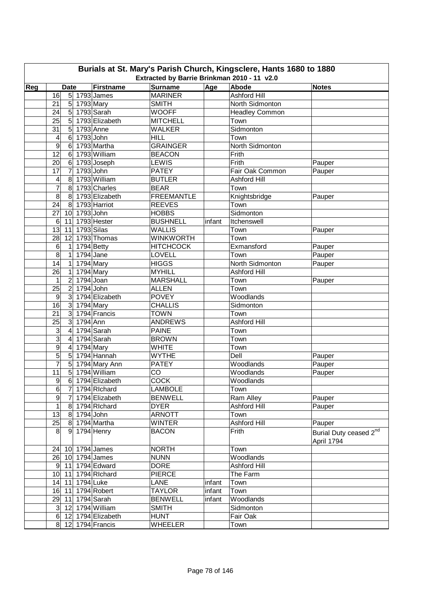| Burials at St. Mary's Parish Church, Kingsclere, Hants 1680 to 1880 |                                                                                                                                  |                          |                                |        |                         |                                      |  |  |  |  |  |  |  |  |
|---------------------------------------------------------------------|----------------------------------------------------------------------------------------------------------------------------------|--------------------------|--------------------------------|--------|-------------------------|--------------------------------------|--|--|--|--|--|--|--|--|
|                                                                     | Extracted by Barrie Brinkman 2010 - 11 v2.0<br>Reg<br>Firstname<br><b>Surname</b><br>Age<br>Abode<br><b>Date</b><br><b>Notes</b> |                          |                                |        |                         |                                      |  |  |  |  |  |  |  |  |
|                                                                     |                                                                                                                                  |                          |                                |        |                         |                                      |  |  |  |  |  |  |  |  |
|                                                                     | 16                                                                                                                               | 5 1793 James             | <b>MARINER</b>                 |        | <b>Ashford Hill</b>     |                                      |  |  |  |  |  |  |  |  |
|                                                                     | 21                                                                                                                               | 5 1793 Mary              | <b>SMITH</b>                   |        | North Sidmonton         |                                      |  |  |  |  |  |  |  |  |
|                                                                     | 5 <sup>1</sup><br>24                                                                                                             | 1793 Sarah               | <b>WOOFF</b>                   |        | Headley Common          |                                      |  |  |  |  |  |  |  |  |
|                                                                     | $\overline{5}$<br>25                                                                                                             | 1793 Elizabeth           | <b>MITCHELL</b>                |        | Town                    |                                      |  |  |  |  |  |  |  |  |
|                                                                     | $\overline{5}$<br>31                                                                                                             | 1793 Anne                | <b>WALKER</b>                  |        | Sidmonton               |                                      |  |  |  |  |  |  |  |  |
|                                                                     | $\,6$<br>4<br>9<br>$\,6$                                                                                                         | 1793 John<br>1793 Martha | <b>HILL</b><br><b>GRAINGER</b> |        | Town<br>North Sidmonton |                                      |  |  |  |  |  |  |  |  |
|                                                                     | 12<br>6                                                                                                                          | 1793 William             | <b>BEACON</b>                  |        | Frith                   |                                      |  |  |  |  |  |  |  |  |
|                                                                     | 20<br>6                                                                                                                          | 1793 Joseph              | <b>LEWIS</b>                   |        | Frith                   | Pauper                               |  |  |  |  |  |  |  |  |
|                                                                     | 17<br>$\overline{7}$                                                                                                             | 1793 John                | <b>PATEY</b>                   |        | Fair Oak Common         | Pauper                               |  |  |  |  |  |  |  |  |
|                                                                     | 4<br>$\bf 8$                                                                                                                     | 1793 William             | <b>BUTLER</b>                  |        | <b>Ashford Hill</b>     |                                      |  |  |  |  |  |  |  |  |
|                                                                     | $\overline{7}$<br>8                                                                                                              | 1793 Charles             | <b>BEAR</b>                    |        | Town                    |                                      |  |  |  |  |  |  |  |  |
|                                                                     | 8<br>8                                                                                                                           | 1793 Elizabeth           | <b>FREEMANTLE</b>              |        | Knightsbridge           | Pauper                               |  |  |  |  |  |  |  |  |
|                                                                     | 24<br>8                                                                                                                          | 1793 Harriot             | <b>REEVES</b>                  |        | Town                    |                                      |  |  |  |  |  |  |  |  |
|                                                                     | 27<br>10                                                                                                                         | $1793$ John              | <b>HOBBS</b>                   |        | Sidmonton               |                                      |  |  |  |  |  |  |  |  |
|                                                                     | 6<br>11                                                                                                                          | 1793 Hester              | <b>BUSHNELL</b>                | infant | Itchenswell             |                                      |  |  |  |  |  |  |  |  |
|                                                                     | 13<br>11                                                                                                                         | 1793 Silas               | <b>WALLIS</b>                  |        | Town                    | Pauper                               |  |  |  |  |  |  |  |  |
|                                                                     | 28<br>12                                                                                                                         | 1793 Thomas              | <b>WINKWORTH</b>               |        | Town                    |                                      |  |  |  |  |  |  |  |  |
|                                                                     | 6<br>1                                                                                                                           | 1794 Betty               | <b>HITCHCOCK</b>               |        | Exmansford              | Pauper                               |  |  |  |  |  |  |  |  |
|                                                                     | $\overline{8}$<br>$\mathbf{1}$                                                                                                   | $1794$ Jane              | LOVELL                         |        | Town                    | Pauper                               |  |  |  |  |  |  |  |  |
|                                                                     | 14<br>$\mathbf{1}$                                                                                                               | 1794 Mary                | <b>HIGGS</b>                   |        | North Sidmonton         | Pauper                               |  |  |  |  |  |  |  |  |
|                                                                     | 26<br>1                                                                                                                          | 1794 Mary                | <b>MYHILL</b>                  |        | Ashford Hill            |                                      |  |  |  |  |  |  |  |  |
|                                                                     | $\overline{2}$<br>1                                                                                                              | 1794 Joan                | <b>MARSHALL</b>                |        | Town                    | Pauper                               |  |  |  |  |  |  |  |  |
|                                                                     | $\overline{c}$<br>25                                                                                                             | 1794 John                | <b>ALLEN</b>                   |        | Town                    |                                      |  |  |  |  |  |  |  |  |
|                                                                     | $\overline{3}$<br>$\boldsymbol{9}$                                                                                               | 1794 Elizabeth           | <b>POVEY</b>                   |        | Woodlands               |                                      |  |  |  |  |  |  |  |  |
|                                                                     | 16<br>$\mathbf{3}$                                                                                                               | 1794 Mary                | <b>CHALLIS</b>                 |        | Sidmonton               |                                      |  |  |  |  |  |  |  |  |
|                                                                     | 21<br>$\overline{3}$                                                                                                             | 1794 Francis             | <b>TOWN</b>                    |        | Town                    |                                      |  |  |  |  |  |  |  |  |
|                                                                     | $\overline{3}$<br>25                                                                                                             | 1794 Ann                 | <b>ANDREWS</b>                 |        | <b>Ashford Hill</b>     |                                      |  |  |  |  |  |  |  |  |
|                                                                     | 3<br>$\overline{4}$                                                                                                              | 1794 Sarah               | <b>PAINE</b>                   |        | Town                    |                                      |  |  |  |  |  |  |  |  |
|                                                                     | 3<br>$\overline{\mathbf{4}}$                                                                                                     | 1794 Sarah               | <b>BROWN</b>                   |        | Town                    |                                      |  |  |  |  |  |  |  |  |
|                                                                     | $\overline{9}$<br>$\overline{\mathbf{4}}$                                                                                        | 1794 Mary                | <b>WHITE</b>                   |        | Town                    |                                      |  |  |  |  |  |  |  |  |
|                                                                     | 5<br>$\overline{5}$                                                                                                              | 1794 Hannah              | <b>WYTHE</b>                   |        | Dell                    | Pauper                               |  |  |  |  |  |  |  |  |
|                                                                     | $\overline{7}$<br>5                                                                                                              | 1794 Mary Ann            | <b>PATEY</b>                   |        | Woodlands               | Pauper                               |  |  |  |  |  |  |  |  |
|                                                                     | 11<br>$5\overline{)}$                                                                                                            | 1794 William             | CO                             |        | Woodlands               | Pauper                               |  |  |  |  |  |  |  |  |
|                                                                     | $\overline{9}$                                                                                                                   | 6 1794 Elizabeth         | <b>COCK</b>                    |        | Woodlands               |                                      |  |  |  |  |  |  |  |  |
|                                                                     | 6                                                                                                                                | 7 1794 Richard           | <b>LAMBOLE</b>                 |        | Town                    |                                      |  |  |  |  |  |  |  |  |
|                                                                     | $9\,$<br>$\overline{7}$                                                                                                          | 1794 Elizabeth           | <b>BENWELL</b>                 |        | Ram Alley               | Pauper                               |  |  |  |  |  |  |  |  |
|                                                                     | 1                                                                                                                                | 8 1794 Richard           | <b>DYER</b>                    |        | Ashford Hill            | Pauper                               |  |  |  |  |  |  |  |  |
|                                                                     | 13                                                                                                                               | 8 1794 John              | <b>ARNOTT</b>                  |        | Town                    |                                      |  |  |  |  |  |  |  |  |
|                                                                     | 25                                                                                                                               | 8 1794 Martha            | <b>WINTER</b>                  |        | Ashford Hill            | Pauper                               |  |  |  |  |  |  |  |  |
|                                                                     | 8 <sup>1</sup>                                                                                                                   | 9 1794 Henry             | <b>BACON</b>                   |        | Frith                   | Burial Duty ceased 2nd<br>April 1794 |  |  |  |  |  |  |  |  |
|                                                                     | 24 10 1794 James                                                                                                                 |                          | <b>NORTH</b>                   |        | Town                    |                                      |  |  |  |  |  |  |  |  |
|                                                                     | 26 10 1794 James                                                                                                                 |                          | <b>NUNN</b>                    |        | Woodlands               |                                      |  |  |  |  |  |  |  |  |
|                                                                     | 9 11 1794 Edward                                                                                                                 |                          | <b>DORE</b>                    |        | Ashford Hill            |                                      |  |  |  |  |  |  |  |  |
|                                                                     | 10 11 1794 Richard                                                                                                               |                          | <b>PIERCE</b>                  |        | The Farm                |                                      |  |  |  |  |  |  |  |  |
|                                                                     | 14 11 1794 Luke                                                                                                                  |                          | <b>LANE</b>                    | infant | Town                    |                                      |  |  |  |  |  |  |  |  |
|                                                                     | 16 11 1794 Robert                                                                                                                |                          | <b>TAYLOR</b>                  | infant | Town                    |                                      |  |  |  |  |  |  |  |  |
|                                                                     | 29 11 1794 Sarah                                                                                                                 |                          | <b>BENWELL</b>                 | infant | Woodlands               |                                      |  |  |  |  |  |  |  |  |
|                                                                     | 3 12 1794 William                                                                                                                |                          | <b>SMITH</b>                   |        | Sidmonton               |                                      |  |  |  |  |  |  |  |  |
|                                                                     |                                                                                                                                  | 6 12 1794 Elizabeth      | <b>HUNT</b>                    |        | Fair Oak                |                                      |  |  |  |  |  |  |  |  |
|                                                                     | 8 12 1794 Francis                                                                                                                |                          | <b>WHEELER</b>                 |        | Town                    |                                      |  |  |  |  |  |  |  |  |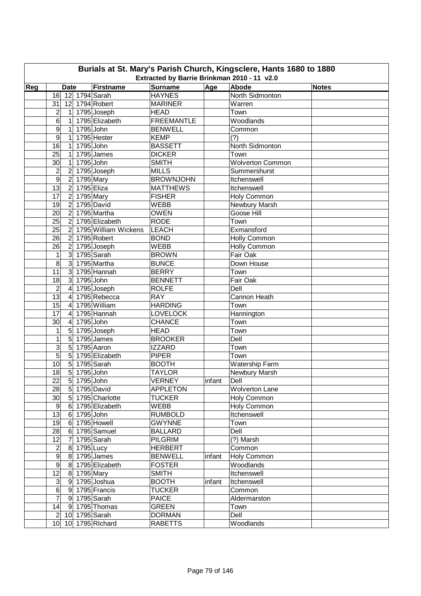|     | Burials at St. Mary's Parish Church, Kingsclere, Hants 1680 to 1880<br>Extracted by Barrie Brinkman 2010 - 11 v2.0 |                  |             |                      |                   |        |                         |              |  |  |  |  |  |
|-----|--------------------------------------------------------------------------------------------------------------------|------------------|-------------|----------------------|-------------------|--------|-------------------------|--------------|--|--|--|--|--|
| Reg |                                                                                                                    | <b>Date</b>      |             | Firstname            | <b>Surname</b>    | Age    | Abode                   | <b>Notes</b> |  |  |  |  |  |
|     | 16                                                                                                                 |                  |             | 12 1794 Sarah        | <b>HAYNES</b>     |        | North Sidmonton         |              |  |  |  |  |  |
|     | 31                                                                                                                 |                  |             | 12 1794 Robert       | <b>MARINER</b>    |        | Warren                  |              |  |  |  |  |  |
|     | 2                                                                                                                  | $\vert$          |             | 1795 Joseph          | <b>HEAD</b>       |        | Town                    |              |  |  |  |  |  |
|     | 6                                                                                                                  | $\mathbf{1}$     |             | 1795 Elizabeth       | <b>FREEMANTLE</b> |        | Woodlands               |              |  |  |  |  |  |
|     | 9                                                                                                                  | $\mathbf{1}$     | 1795 John   |                      | <b>BENWELL</b>    |        | Common                  |              |  |  |  |  |  |
|     | 9                                                                                                                  | $\mathbf{1}$     |             | 1795 Hester          | <b>KEMP</b>       |        | (?)                     |              |  |  |  |  |  |
|     | 16                                                                                                                 | $\mathbf{1}$     | 1795 John   |                      | <b>BASSETT</b>    |        | North Sidmonton         |              |  |  |  |  |  |
|     | 25                                                                                                                 | $\mathbf{1}$     |             | 1795 James           | <b>DICKER</b>     |        | Town                    |              |  |  |  |  |  |
|     | 30                                                                                                                 | $\mathbf{1}$     | 1795 John   |                      | <b>SMITH</b>      |        | <b>Wolverton Common</b> |              |  |  |  |  |  |
|     | $\overline{c}$                                                                                                     | $\overline{c}$   |             | 1795 Joseph          | <b>MILLS</b>      |        | Summershurst            |              |  |  |  |  |  |
|     | $\overline{9}$                                                                                                     | $\boldsymbol{2}$ | 1795 Mary   |                      | <b>BROWNJOHN</b>  |        | Itchenswell             |              |  |  |  |  |  |
|     | $\overline{13}$                                                                                                    | $\overline{2}$   | 1795 Eliza  |                      | <b>MATTHEWS</b>   |        | Itchenswell             |              |  |  |  |  |  |
|     | $\overline{17}$                                                                                                    | $\overline{2}$   | 1795 Mary   |                      | <b>FISHER</b>     |        | Holy Common             |              |  |  |  |  |  |
|     | 19                                                                                                                 | $\overline{2}$   |             | 1795 David           | <b>WEBB</b>       |        | Newbury Marsh           |              |  |  |  |  |  |
|     | 20                                                                                                                 | $\overline{2}$   |             | 1795 Martha          | <b>OWEN</b>       |        | Goose Hill              |              |  |  |  |  |  |
|     |                                                                                                                    | $\overline{2}$   |             | 1795 Elizabeth       | <b>RODE</b>       |        |                         |              |  |  |  |  |  |
|     | 25<br>25                                                                                                           | $\overline{2}$   |             | 1795 William Wickens |                   |        | Town<br>Exmansford      |              |  |  |  |  |  |
|     |                                                                                                                    |                  |             |                      | <b>LEACH</b>      |        |                         |              |  |  |  |  |  |
|     | 26                                                                                                                 | $\overline{2}$   |             | 1795 Robert          | <b>BOND</b>       |        | Holly Common            |              |  |  |  |  |  |
|     | 26                                                                                                                 | $\overline{c}$   |             | 1795 Joseph          | <b>WEBB</b>       |        | <b>Holly Common</b>     |              |  |  |  |  |  |
|     | 1                                                                                                                  | $\overline{3}$   |             | 1795 Sarah           | <b>BROWN</b>      |        | Fair Oak                |              |  |  |  |  |  |
|     | $\overline{8}$                                                                                                     | $\overline{3}$   |             | 1795 Martha          | <b>BUNCE</b>      |        | Down House              |              |  |  |  |  |  |
|     | 11                                                                                                                 |                  |             | 3 1795 Hannah        | <b>BERRY</b>      |        | Town                    |              |  |  |  |  |  |
|     | 18                                                                                                                 |                  | 3 1795 John |                      | <b>BENNETT</b>    |        | Fair Oak                |              |  |  |  |  |  |
|     | $\overline{2}$                                                                                                     | $\overline{4}$   |             | 1795 Joseph          | <b>ROLFE</b>      |        | Dell                    |              |  |  |  |  |  |
|     | 13                                                                                                                 | $\overline{4}$   |             | 1795 Rebecca         | <b>RAY</b>        |        | Cannon Heath            |              |  |  |  |  |  |
|     | 15                                                                                                                 | $\overline{4}$   |             | 1795 William         | <b>HARDING</b>    |        | Town                    |              |  |  |  |  |  |
|     | 17                                                                                                                 | $\overline{4}$   |             | 1795 Hannah          | <b>LOVELOCK</b>   |        | Hannington              |              |  |  |  |  |  |
|     | 30                                                                                                                 | $\overline{4}$   | 1795 John   |                      | <b>CHANCE</b>     |        | Town                    |              |  |  |  |  |  |
|     | 1                                                                                                                  | $5\overline{)}$  |             | 1795 Joseph          | <b>HEAD</b>       |        | Town                    |              |  |  |  |  |  |
|     | 1                                                                                                                  | $\overline{5}$   |             | 1795 James           | <b>BROOKER</b>    |        | Dell                    |              |  |  |  |  |  |
|     | $\overline{3}$                                                                                                     | $\overline{5}$   |             | 1795 Aaron           | <b>IZZARD</b>     |        | Town                    |              |  |  |  |  |  |
|     | 5                                                                                                                  | $\overline{5}$   |             | 1795 Elizabeth       | <b>PIPER</b>      |        | Town                    |              |  |  |  |  |  |
|     | 10                                                                                                                 | 5 <sup>1</sup>   |             | 1795 Sarah           | <b>BOOTH</b>      |        | <b>Watership Farm</b>   |              |  |  |  |  |  |
|     | 18                                                                                                                 | $5\overline{)}$  | 1795 John   |                      | <b>TAYLOR</b>     |        | Newbury Marsh           |              |  |  |  |  |  |
|     | $\overline{22}$                                                                                                    |                  | 5 1795 John |                      | <b>VERNEY</b>     | infant | Dell                    |              |  |  |  |  |  |
|     | 28                                                                                                                 |                  |             | 5 1795 David         | <b>APPLETON</b>   |        | <b>Wolverton Lane</b>   |              |  |  |  |  |  |
|     | 30 <sup>°</sup>                                                                                                    |                  |             | 5 1795 Charlotte     | <b>TUCKER</b>     |        | Holy Common             |              |  |  |  |  |  |
|     | 9                                                                                                                  |                  |             | 6 1795 Elizabeth     | <b>WEBB</b>       |        | Holy Common             |              |  |  |  |  |  |
|     | 13                                                                                                                 |                  | 6 1795 John |                      | <b>RUMBOLD</b>    |        | Itchenswell             |              |  |  |  |  |  |
|     | 19                                                                                                                 |                  |             | 6 1795 Howell        | <b>GWYNNE</b>     |        | Town                    |              |  |  |  |  |  |
|     | 28                                                                                                                 |                  |             | 6 1795 Samuel        | <b>BALLARD</b>    |        | Dell                    |              |  |  |  |  |  |
|     | 12                                                                                                                 | $\overline{7}$   |             | 1795 Sarah           | <b>PILGRIM</b>    |        | (?) Marsh               |              |  |  |  |  |  |
|     | $\overline{c}$                                                                                                     |                  | 8 1795 Lucy |                      | <b>HERBERT</b>    |        | Common                  |              |  |  |  |  |  |
|     | $\overline{9}$                                                                                                     |                  |             | 8 1795 James         | <b>BENWELL</b>    | infant | Holy Common             |              |  |  |  |  |  |
|     | $\overline{9}$                                                                                                     |                  |             | 8 1795 Elizabeth     | <b>FOSTER</b>     |        | Woodlands               |              |  |  |  |  |  |
|     | 12                                                                                                                 |                  | 8 1795 Mary |                      | <b>SMITH</b>      |        | Itchenswell             |              |  |  |  |  |  |
|     | $\mathbf{3}$                                                                                                       |                  |             | 9 1795 Joshua        | <b>BOOTH</b>      | infant | Itchenswell             |              |  |  |  |  |  |
|     | $\boldsymbol{6}$                                                                                                   |                  |             | 9 1795 Francis       | <b>TUCKER</b>     |        | Common                  |              |  |  |  |  |  |
|     | $\overline{7}$                                                                                                     |                  |             | 9 1795 Sarah         | <b>PAICE</b>      |        | Aldermarston            |              |  |  |  |  |  |
|     | 14                                                                                                                 |                  |             | 9 1795 Thomas        | <b>GREEN</b>      |        | Town                    |              |  |  |  |  |  |
|     | $2 \vert$                                                                                                          |                  |             | 10 1795 Sarah        | <b>DORMAN</b>     |        | Dell                    |              |  |  |  |  |  |
|     |                                                                                                                    |                  |             | 10 10 1795 Richard   | <b>RABETTS</b>    |        | Woodlands               |              |  |  |  |  |  |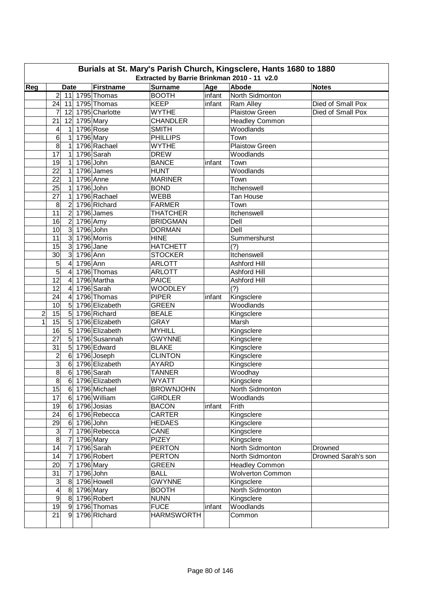| Burials at St. Mary's Parish Church, Kingsclere, Hants 1680 to 1880<br>Extracted by Barrie Brinkman 2010 - 11 v2.0 |                                             |                   |                   |        |                         |                     |  |  |  |  |  |  |
|--------------------------------------------------------------------------------------------------------------------|---------------------------------------------|-------------------|-------------------|--------|-------------------------|---------------------|--|--|--|--|--|--|
|                                                                                                                    |                                             |                   |                   |        |                         |                     |  |  |  |  |  |  |
| Reg                                                                                                                | <b>Date</b>                                 | Firstname         | <b>Surname</b>    | Age    | Abode                   | <b>Notes</b>        |  |  |  |  |  |  |
|                                                                                                                    | 2 <sup>1</sup><br>11 1795 Thomas            |                   | <b>BOOTH</b>      | infant | North Sidmonton         |                     |  |  |  |  |  |  |
|                                                                                                                    | 24<br>11                                    | 1795 Thomas       | <b>KEEP</b>       | infant | Ram Alley               | Died of Small Pox   |  |  |  |  |  |  |
|                                                                                                                    | 7                                           | 12 1795 Charlotte | <b>WYTHE</b>      |        | <b>Plaistow Green</b>   | Died of Small Pox   |  |  |  |  |  |  |
|                                                                                                                    | 21<br>12                                    | 1795 Mary         | <b>CHANDLER</b>   |        | <b>Headley Common</b>   |                     |  |  |  |  |  |  |
|                                                                                                                    | $\mathbf{1}$<br>4                           | 1796 Rose         | <b>SMITH</b>      |        | Woodlands               |                     |  |  |  |  |  |  |
|                                                                                                                    | 6<br>1                                      | 1796 Mary         | <b>PHILLIPS</b>   |        | Town                    |                     |  |  |  |  |  |  |
|                                                                                                                    | 8<br>1                                      | 1796 Rachael      | <b>WYTHE</b>      |        | <b>Plaistow Green</b>   |                     |  |  |  |  |  |  |
|                                                                                                                    | 17<br>1                                     | 1796 Sarah        | <b>DREW</b>       |        | Woodlands               |                     |  |  |  |  |  |  |
|                                                                                                                    | 19<br>1                                     | 1796 John         | <b>BANCE</b>      | infant | Town                    |                     |  |  |  |  |  |  |
|                                                                                                                    | 22<br>1                                     | 1796 James        | <b>HUNT</b>       |        | Woodlands               |                     |  |  |  |  |  |  |
|                                                                                                                    | 22<br>1                                     | 1796 Anne         | <b>MARINER</b>    |        | Town                    |                     |  |  |  |  |  |  |
|                                                                                                                    | 25<br>1                                     | 1796 John         | <b>BOND</b>       |        | Itchenswell             |                     |  |  |  |  |  |  |
|                                                                                                                    | $\overline{27}$<br>1                        | 1796 Rachael      | <b>WEBB</b>       |        | Tan House               |                     |  |  |  |  |  |  |
|                                                                                                                    | 8<br>$\overline{2}$                         | 1796 Richard      | <b>FARMER</b>     |        | Town                    |                     |  |  |  |  |  |  |
|                                                                                                                    | $\overline{11}$<br>$\overline{2}$           | 1796 James        | <b>THATCHER</b>   |        | Itchenswell             |                     |  |  |  |  |  |  |
|                                                                                                                    | $\overline{2}$<br>16                        | 1796 Amy          | <b>BRIDGMAN</b>   |        | Dell                    |                     |  |  |  |  |  |  |
|                                                                                                                    | 3<br>10                                     | 1796 John         | <b>DORMAN</b>     |        | Dell                    |                     |  |  |  |  |  |  |
|                                                                                                                    | $\overline{3}$<br>11                        | 1796 Morris       | <b>HINE</b>       |        | Summershurst            |                     |  |  |  |  |  |  |
|                                                                                                                    | $\overline{3}$<br>15                        | $1796$ Jane       | <b>HATCHETT</b>   |        | (?)                     |                     |  |  |  |  |  |  |
|                                                                                                                    | دن<br>30<br>1796 Ann                        |                   | <b>STOCKER</b>    |        | Itchenswell             |                     |  |  |  |  |  |  |
|                                                                                                                    | 5<br>$\overline{\mathbf{A}}$<br>1796 Ann    |                   | <b>ARLOTT</b>     |        | Ashford Hill            |                     |  |  |  |  |  |  |
|                                                                                                                    | 5<br>$\overline{4}$                         | 1796 Thomas       | <b>ARLOTT</b>     |        | Ashford Hill            |                     |  |  |  |  |  |  |
|                                                                                                                    | 12<br>$\overline{4}$                        | 1796 Martha       | <b>PAICE</b>      |        | Ashford Hill            |                     |  |  |  |  |  |  |
|                                                                                                                    | $\overline{12}$<br>4                        | 1796 Sarah        | <b>WOODLEY</b>    |        | (?)                     |                     |  |  |  |  |  |  |
|                                                                                                                    | 24<br>$\overline{4}$                        | 1796 Thomas       | <b>PIPER</b>      | infant | Kingsclere              |                     |  |  |  |  |  |  |
|                                                                                                                    | 10<br>$\overline{5}$                        | 1796 Elizabeth    | <b>GREEN</b>      |        | Woodlands               |                     |  |  |  |  |  |  |
| $\overline{c}$                                                                                                     | $\overline{5}$<br>15                        | 1796 Richard      | <b>BEALE</b>      |        | Kingsclere              |                     |  |  |  |  |  |  |
| 1                                                                                                                  | 15<br>5                                     | 1796 Elizabeth    | <b>GRAY</b>       |        | Marsh                   |                     |  |  |  |  |  |  |
|                                                                                                                    | 16<br>5                                     | 1796 Elizabeth    | <b>MYHILL</b>     |        | Kingsclere              |                     |  |  |  |  |  |  |
|                                                                                                                    | 27<br>5                                     | 1796 Susannah     | <b>GWYNNE</b>     |        | Kingsclere              |                     |  |  |  |  |  |  |
|                                                                                                                    | $\overline{5}$<br>31                        | 1796 Edward       | <b>BLAKE</b>      |        | Kingsclere              |                     |  |  |  |  |  |  |
|                                                                                                                    | $\overline{\mathbf{c}}$<br>$\,6$            | 1796 Joseph       | <b>CLINTON</b>    |        | Kingsclere              |                     |  |  |  |  |  |  |
|                                                                                                                    | $\overline{3}$<br>$6\phantom{1}$            | 1796 Elizabeth    | <b>AYARD</b>      |        | Kingsclere              |                     |  |  |  |  |  |  |
|                                                                                                                    | $\overline{8}$<br>$\,6$                     | 1796 Sarah        | <b>TANNER</b>     |        | Woodhay                 |                     |  |  |  |  |  |  |
|                                                                                                                    | $\bf 8$                                     | 6 1796 Elizabeth  | <b>WYATT</b>      |        | Kingsclere              |                     |  |  |  |  |  |  |
|                                                                                                                    | 15                                          | 6 1796 Michael    | <b>BROWNJOHN</b>  |        | North Sidmonton         |                     |  |  |  |  |  |  |
|                                                                                                                    | 17                                          | 6 1796 William    | <b>GIRDLER</b>    |        | Woodlands               |                     |  |  |  |  |  |  |
|                                                                                                                    | $6$ 1796 Josias<br>19                       |                   | <b>BACON</b>      | infant | Frith                   |                     |  |  |  |  |  |  |
|                                                                                                                    | 24                                          | 6 1796 Rebecca    | <b>CARTER</b>     |        | Kingsclere              |                     |  |  |  |  |  |  |
|                                                                                                                    | 29<br>6                                     | 1796 John         | <b>HEDAES</b>     |        | Kingsclere              |                     |  |  |  |  |  |  |
|                                                                                                                    | $\mathsf 3$<br>$\overline{7}$               | 1796 Rebecca      | CANE              |        | Kingsclere              |                     |  |  |  |  |  |  |
|                                                                                                                    | $\infty$<br>$\overline{7}$                  | 1796 Mary         | <b>PIZEY</b>      |        | Kingsclere              |                     |  |  |  |  |  |  |
|                                                                                                                    | 14<br>$\overline{7}$                        | 1796 Sarah        | <b>PERTON</b>     |        | North Sidmonton         | Drowned             |  |  |  |  |  |  |
|                                                                                                                    | 14<br>$\overline{7}$                        | 1796 Robert       | <b>PERTON</b>     |        | North Sidmonton         | Drowned Sarah's son |  |  |  |  |  |  |
|                                                                                                                    | 20<br>$\overline{7}$                        | 1796 Mary         | <b>GREEN</b>      |        | Headley Common          |                     |  |  |  |  |  |  |
|                                                                                                                    | 31<br>7                                     | 1796 John         | <b>BALL</b>       |        | <b>Wolverton Common</b> |                     |  |  |  |  |  |  |
|                                                                                                                    | $\ensuremath{\mathsf{3}}$<br>8 <sup>1</sup> | 1796 Howell       | <b>GWYNNE</b>     |        | Kingsclere              |                     |  |  |  |  |  |  |
|                                                                                                                    | $\overline{\mathbf{4}}$<br>8 1796 Mary      |                   | <b>BOOTH</b>      |        | North Sidmonton         |                     |  |  |  |  |  |  |
|                                                                                                                    | $\overline{9}$<br>8                         | 1796 Robert       | <b>NUNN</b>       |        | Kingsclere              |                     |  |  |  |  |  |  |
|                                                                                                                    | 19<br>9                                     | 1796 Thomas       | <b>FUCE</b>       | infant | Woodlands               |                     |  |  |  |  |  |  |
|                                                                                                                    | 21<br>9                                     | 1796 Richard      | <b>HARMSWORTH</b> |        | Common                  |                     |  |  |  |  |  |  |
|                                                                                                                    |                                             |                   |                   |        |                         |                     |  |  |  |  |  |  |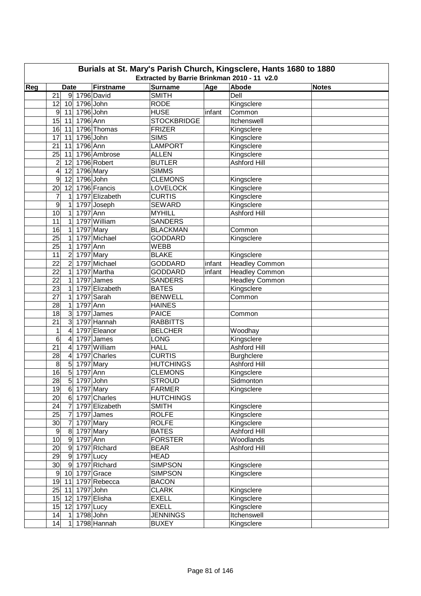| Burials at St. Mary's Parish Church, Kingsclere, Hants 1680 to 1880<br>Extracted by Barrie Brinkman 2010 - 11 v2.0 |                                |                |                    |        |                       |              |  |  |  |  |  |
|--------------------------------------------------------------------------------------------------------------------|--------------------------------|----------------|--------------------|--------|-----------------------|--------------|--|--|--|--|--|
|                                                                                                                    |                                |                |                    |        |                       |              |  |  |  |  |  |
| Reg                                                                                                                | <b>Date</b>                    | Firstname      | <b>Surname</b>     | Age    | <b>Abode</b>          | <b>Notes</b> |  |  |  |  |  |
|                                                                                                                    | 21<br>9 1796 David             |                | <b>SMITH</b>       |        | Dell                  |              |  |  |  |  |  |
|                                                                                                                    | 10 1796 John<br>12             |                | <b>RODE</b>        |        | Kingsclere            |              |  |  |  |  |  |
|                                                                                                                    | 1796 John<br>9<br>11           |                | <b>HUSE</b>        | infant | Common                |              |  |  |  |  |  |
|                                                                                                                    | 1796 Ann<br>15<br>11           |                | <b>STOCKBRIDGE</b> |        | Itchenswell           |              |  |  |  |  |  |
|                                                                                                                    | 16<br>11                       | 1796 Thomas    | <b>FRIZER</b>      |        | Kingsclere            |              |  |  |  |  |  |
|                                                                                                                    | 17<br>11                       | 1796 John      | <b>SIMS</b>        |        | Kingsclere            |              |  |  |  |  |  |
|                                                                                                                    | 1796 Ann<br>21<br>11           |                | <b>LAMPORT</b>     |        | Kingsclere            |              |  |  |  |  |  |
|                                                                                                                    | 25<br>11                       | 1796 Ambrose   | <b>ALLEN</b>       |        | Kingsclere            |              |  |  |  |  |  |
|                                                                                                                    | $\overline{2}$<br>12           | 1796 Robert    | <b>BUTLER</b>      |        | Ashford Hill          |              |  |  |  |  |  |
|                                                                                                                    | 4<br>12                        | 1796 Mary      | <b>SIMMS</b>       |        |                       |              |  |  |  |  |  |
|                                                                                                                    | 9<br>12                        | 1796 John      | <b>CLEMONS</b>     |        | Kingsclere            |              |  |  |  |  |  |
|                                                                                                                    | 20<br>12                       | 1796 Francis   | <b>LOVELOCK</b>    |        | Kingsclere            |              |  |  |  |  |  |
|                                                                                                                    | 7<br>1                         | 1797 Elizabeth | <b>CURTIS</b>      |        | Kingsclere            |              |  |  |  |  |  |
|                                                                                                                    | 9<br>1                         | 1797 Joseph    | <b>SEWARD</b>      |        | Kingsclere            |              |  |  |  |  |  |
|                                                                                                                    | 10<br>1797 Ann<br>$\mathbf 1$  |                | <b>MYHILL</b>      |        | <b>Ashford Hill</b>   |              |  |  |  |  |  |
|                                                                                                                    | 11<br>1                        | 1797 William   | <b>SANDERS</b>     |        |                       |              |  |  |  |  |  |
|                                                                                                                    | 16<br>$\mathbf{1}$             | 1797 Mary      | <b>BLACKMAN</b>    |        | Common                |              |  |  |  |  |  |
|                                                                                                                    | 25<br>1                        | 1797 Michael   | <b>GODDARD</b>     |        | Kingsclere            |              |  |  |  |  |  |
|                                                                                                                    | 25<br>$\mathbf 1$<br>1797 Ann  |                | <b>WEBB</b>        |        |                       |              |  |  |  |  |  |
|                                                                                                                    | 11<br>2                        | 1797 Mary      | <b>BLAKE</b>       |        | Kingsclere            |              |  |  |  |  |  |
|                                                                                                                    | $\overline{2}$<br>22           | 1797 Michael   | <b>GODDARD</b>     | infant | <b>Headley Common</b> |              |  |  |  |  |  |
|                                                                                                                    | 22<br>$\mathbf{1}$             | 1797 Martha    | <b>GODDARD</b>     | infant | <b>Headley Common</b> |              |  |  |  |  |  |
|                                                                                                                    | 22<br>1                        | 1797 James     | <b>SANDERS</b>     |        | <b>Headley Common</b> |              |  |  |  |  |  |
|                                                                                                                    | 23<br>1                        | 1797 Elizabeth | <b>BATES</b>       |        | Kingsclere            |              |  |  |  |  |  |
|                                                                                                                    | 27<br>1                        | 1797 Sarah     | <b>BENWELL</b>     |        | Common                |              |  |  |  |  |  |
|                                                                                                                    | 1797 Ann<br>28<br>1            |                | <b>HAINES</b>      |        |                       |              |  |  |  |  |  |
|                                                                                                                    | 18<br>$\mathsf 3$              | 1797 James     | <b>PAICE</b>       |        | Common                |              |  |  |  |  |  |
|                                                                                                                    | 21<br>3                        | 1797 Hannah    | <b>RABBITTS</b>    |        |                       |              |  |  |  |  |  |
|                                                                                                                    | $\mathbf 1$<br>4               | 1797 Eleanor   | <b>BELCHER</b>     |        | Woodhay               |              |  |  |  |  |  |
|                                                                                                                    | 6<br>4                         | 1797 James     | <b>LONG</b>        |        | Kingsclere            |              |  |  |  |  |  |
|                                                                                                                    | 21<br>4                        | 1797 William   | <b>HALL</b>        |        | Ashford Hill          |              |  |  |  |  |  |
|                                                                                                                    | 28<br>$\overline{\mathbf{4}}$  | 1797 Charles   | <b>CURTIS</b>      |        | <b>Burghclere</b>     |              |  |  |  |  |  |
|                                                                                                                    | 5<br>8                         | 1797 Mary      | <b>HUTCHINGS</b>   |        | Ashford Hill          |              |  |  |  |  |  |
|                                                                                                                    | 16<br>5<br>1797 Ann            |                | <b>CLEMONS</b>     |        | Kingsclere            |              |  |  |  |  |  |
|                                                                                                                    | $\overline{28}$<br>5 1797 John |                | <b>STROUD</b>      |        | Sidmonton             |              |  |  |  |  |  |
|                                                                                                                    | 6 1797 Mary<br>19              |                | <b>FARMER</b>      |        | Kingsclere            |              |  |  |  |  |  |
|                                                                                                                    | 20<br>$6$ 1797 Charles         |                | <b>HUTCHINGS</b>   |        |                       |              |  |  |  |  |  |
|                                                                                                                    | 24<br>$\overline{7}$           | 1797 Elizabeth | <b>SMITH</b>       |        | Kingsclere            |              |  |  |  |  |  |
|                                                                                                                    | 25<br>$\overline{7}$           | 1797 James     | <b>ROLFE</b>       |        | Kingsclere            |              |  |  |  |  |  |
|                                                                                                                    | 30 <sub>2</sub><br>7           | 1797 Mary      | <b>ROLFE</b>       |        | Kingsclere            |              |  |  |  |  |  |
|                                                                                                                    | $9\,$<br>8                     | 1797 Mary      | <b>BATES</b>       |        | Ashford Hill          |              |  |  |  |  |  |
|                                                                                                                    | 10<br>1797 Ann<br>9            |                | <b>FORSTER</b>     |        | Woodlands             |              |  |  |  |  |  |
|                                                                                                                    | 20<br>9                        | 1797 Richard   | <b>BEAR</b>        |        | Ashford Hill          |              |  |  |  |  |  |
|                                                                                                                    | 29<br>9 1797 Lucy              |                | <b>HEAD</b>        |        |                       |              |  |  |  |  |  |
|                                                                                                                    | 30<br>-91                      | 1797 Richard   | <b>SIMPSON</b>     |        | Kingsclere            |              |  |  |  |  |  |
|                                                                                                                    | 9<br>10 <sup>1</sup>           | 1797 Grace     | <b>SIMPSON</b>     |        | Kingsclere            |              |  |  |  |  |  |
|                                                                                                                    | 19<br>11                       | 1797 Rebecca   | <b>BACON</b>       |        |                       |              |  |  |  |  |  |
|                                                                                                                    | 25<br>11                       | 1797 John      | <b>CLARK</b>       |        | Kingsclere            |              |  |  |  |  |  |
|                                                                                                                    | 15<br>12                       | 1797 Elisha    | <b>EXELL</b>       |        | Kingsclere            |              |  |  |  |  |  |
|                                                                                                                    | 15<br>12                       | 1797 Lucy      | <b>EXELL</b>       |        | Kingsclere            |              |  |  |  |  |  |
|                                                                                                                    | 14<br>$\mathbf{1}$             | 1798 John      | <b>JENNINGS</b>    |        | Itchenswell           |              |  |  |  |  |  |
|                                                                                                                    | 14<br>$\mathbf{1}$             | 1798 Hannah    | <b>BUXEY</b>       |        | Kingsclere            |              |  |  |  |  |  |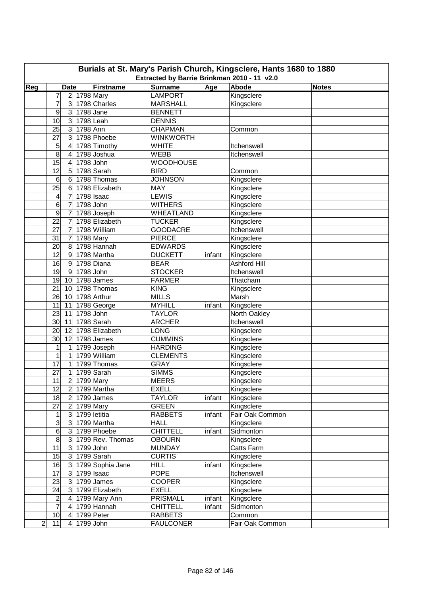| Burials at St. Mary's Parish Church, Kingsclere, Hants 1680 to 1880<br>Extracted by Barrie Brinkman 2010 - 11 v2.0 |                 |                               |                  |                  |        |                     |              |  |  |  |  |  |
|--------------------------------------------------------------------------------------------------------------------|-----------------|-------------------------------|------------------|------------------|--------|---------------------|--------------|--|--|--|--|--|
| Reg                                                                                                                |                 | <b>Date</b>                   | Firstname        | <b>Surname</b>   | Age    | <b>Abode</b>        | <b>Notes</b> |  |  |  |  |  |
|                                                                                                                    | 7               | 2 1798 Mary                   |                  | <b>LAMPORT</b>   |        | Kingsclere          |              |  |  |  |  |  |
|                                                                                                                    | 7               | 3 <sup>1</sup>                | 1798 Charles     | <b>MARSHALL</b>  |        | Kingsclere          |              |  |  |  |  |  |
|                                                                                                                    | 9               | $\overline{3}$<br>$1798$ Jane |                  | <b>BENNETT</b>   |        |                     |              |  |  |  |  |  |
|                                                                                                                    | 10              | 3 <sup>1</sup>                | 1798 Leah        | <b>DENNIS</b>    |        |                     |              |  |  |  |  |  |
|                                                                                                                    | 25              | 1798 Ann<br>$\mathbf{3}$      |                  | <b>CHAPMAN</b>   |        | Common              |              |  |  |  |  |  |
|                                                                                                                    | 27              | $\overline{3}$                | 1798 Phoebe      | <b>WINKWORTH</b> |        |                     |              |  |  |  |  |  |
|                                                                                                                    | 5               | $\overline{4}$                | 1798 Timothy     | <b>WHITE</b>     |        | Itchenswell         |              |  |  |  |  |  |
|                                                                                                                    | $\overline{8}$  | 4                             | 1798 Joshua      | <b>WEBB</b>      |        | Itchenswell         |              |  |  |  |  |  |
|                                                                                                                    | 15              | 4                             | 1798 John        | <b>WOODHOUSE</b> |        |                     |              |  |  |  |  |  |
|                                                                                                                    | 12              | 5                             | 1798 Sarah       | <b>BIRD</b>      |        | Common              |              |  |  |  |  |  |
|                                                                                                                    | 6               | 6                             | 1798 Thomas      | <b>JOHNSON</b>   |        | Kingsclere          |              |  |  |  |  |  |
|                                                                                                                    | $\overline{25}$ | 6                             | 1798 Elizabeth   | <b>MAY</b>       |        | Kingsclere          |              |  |  |  |  |  |
|                                                                                                                    | 4               | 7                             | 1798 Isaac       | <b>LEWIS</b>     |        | Kingsclere          |              |  |  |  |  |  |
|                                                                                                                    | 6               | 7                             | 1798 John        | <b>WITHERS</b>   |        | Kingsclere          |              |  |  |  |  |  |
|                                                                                                                    | 9               | 7                             | 1798 Joseph      | WHEATLAND        |        | Kingsclere          |              |  |  |  |  |  |
|                                                                                                                    | 22              | 7                             | 1798 Elizabeth   | <b>TUCKER</b>    |        | Kingsclere          |              |  |  |  |  |  |
|                                                                                                                    | 27              | $\overline{7}$                | 1798 William     |                  |        | Itchenswell         |              |  |  |  |  |  |
|                                                                                                                    |                 |                               |                  | <b>GOODACRE</b>  |        |                     |              |  |  |  |  |  |
|                                                                                                                    | 31              | $\overline{7}$                | 1798 Mary        | <b>PIERCE</b>    |        | Kingsclere          |              |  |  |  |  |  |
|                                                                                                                    | 20              | 8                             | 1798 Hannah      | <b>EDWARDS</b>   |        | Kingsclere          |              |  |  |  |  |  |
|                                                                                                                    | 12              | 9                             | 1798 Martha      | <b>DUCKETT</b>   | infant | Kingsclere          |              |  |  |  |  |  |
|                                                                                                                    | 16              | $\overline{9}$                | 1798 Diana       | <b>BEAR</b>      |        | <b>Ashford Hill</b> |              |  |  |  |  |  |
|                                                                                                                    | 19              | 1798 John<br>9                |                  | <b>STOCKER</b>   |        | Itchenswell         |              |  |  |  |  |  |
|                                                                                                                    | 19              | 10 <sup>°</sup>               | 1798 James       | <b>FARMER</b>    |        | Thatcham            |              |  |  |  |  |  |
|                                                                                                                    | 21              | 10                            | 1798 Thomas      | <b>KING</b>      |        | Kingsclere          |              |  |  |  |  |  |
|                                                                                                                    | 26              | 10                            | 1798 Arthur      | <b>MILLS</b>     |        | Marsh               |              |  |  |  |  |  |
|                                                                                                                    | 11              | 11                            | 1798 George      | <b>MYHILL</b>    | infant | Kingsclere          |              |  |  |  |  |  |
|                                                                                                                    | 23              | 11                            | 1798 John        | <b>TAYLOR</b>    |        | North Oakley        |              |  |  |  |  |  |
|                                                                                                                    | 30              | 11                            | 1798 Sarah       | <b>ARCHER</b>    |        | Itchenswell         |              |  |  |  |  |  |
|                                                                                                                    | 20              | 12                            | 1798 Elizabeth   | <b>LONG</b>      |        | Kingsclere          |              |  |  |  |  |  |
|                                                                                                                    | 30              | 12                            | 1798 James       | <b>CUMMINS</b>   |        | Kingsclere          |              |  |  |  |  |  |
|                                                                                                                    | $\mathbf 1$     | 1                             | 1799 Joseph      | <b>HARDING</b>   |        | Kingsclere          |              |  |  |  |  |  |
|                                                                                                                    | $\mathbf 1$     | $\mathbf{1}$                  | 1799 William     | <b>CLEMENTS</b>  |        | Kingsclere          |              |  |  |  |  |  |
|                                                                                                                    | 17              | $\mathbf{1}$                  | 1799 Thomas      | <b>GRAY</b>      |        | Kingsclere          |              |  |  |  |  |  |
|                                                                                                                    | 27              | 1                             | 1799 Sarah       | <b>SIMMS</b>     |        | Kingsclere          |              |  |  |  |  |  |
|                                                                                                                    | 11              | 2 1799 Mary                   |                  | <b>MEERS</b>     |        | Kingsclere          |              |  |  |  |  |  |
|                                                                                                                    | 12              | 2 1799 Martha                 |                  | <b>EXELL</b>     |        | Kingsclere          |              |  |  |  |  |  |
|                                                                                                                    | 18              | $\overline{2}$                | 1799 James       | <b>TAYLOR</b>    | infant | Kingsclere          |              |  |  |  |  |  |
|                                                                                                                    | 27              | $\overline{2}$                | 1799 Mary        | <b>GREEN</b>     |        | Kingsclere          |              |  |  |  |  |  |
|                                                                                                                    | 1               | $\mathbf{3}$                  | 1799 letitia     | <b>RABBETS</b>   | infant | Fair Oak Common     |              |  |  |  |  |  |
|                                                                                                                    | 3               | $\mathbf{3}$                  | 1799 Martha      | <b>HALL</b>      |        | Kingsclere          |              |  |  |  |  |  |
|                                                                                                                    | 6               | $\mathbf{3}$                  | 1799 Phoebe      | <b>CHITTELL</b>  | infant | Sidmonton           |              |  |  |  |  |  |
|                                                                                                                    | $\overline{8}$  | $\mathbf{3}$                  | 1799 Rev. Thomas | <b>OBOURN</b>    |        | Kingsclere          |              |  |  |  |  |  |
|                                                                                                                    | 11              | 1799 John<br>3                |                  | <b>MUNDAY</b>    |        | Catts Farm          |              |  |  |  |  |  |
|                                                                                                                    | 15              | 3                             | 1799 Sarah       | <b>CURTIS</b>    |        | Kingsclere          |              |  |  |  |  |  |
|                                                                                                                    | 16              | 3 <sup>1</sup>                | 1799 Sophia Jane | <b>HILL</b>      | infant | Kingsclere          |              |  |  |  |  |  |
|                                                                                                                    | 17              | $\overline{3}$                | $1799$ Isaac     | <b>POPE</b>      |        | Itchenswell         |              |  |  |  |  |  |
|                                                                                                                    | 23              | 3                             | 1799 James       | <b>COOPER</b>    |        | Kingsclere          |              |  |  |  |  |  |
|                                                                                                                    | 24              | $\mathbf{3}$                  | 1799 Elizabeth   | <b>EXELL</b>     |        | Kingsclere          |              |  |  |  |  |  |
|                                                                                                                    | 2               | $\overline{4}$                | 1799 Mary Ann    | <b>PRISMALL</b>  | infant | Kingsclere          |              |  |  |  |  |  |
|                                                                                                                    | $\overline{7}$  | 4                             | 1799 Hannah      | <b>CHITTELL</b>  | infant | Sidmonton           |              |  |  |  |  |  |
|                                                                                                                    | 10              | $\overline{a}$                | 1799 Peter       | <b>RABBETS</b>   |        | Common              |              |  |  |  |  |  |
| $\overline{\mathbf{c}}$                                                                                            | 11              | 1799 John<br>$\vert 4 \vert$  |                  | <b>FAULCONER</b> |        | Fair Oak Common     |              |  |  |  |  |  |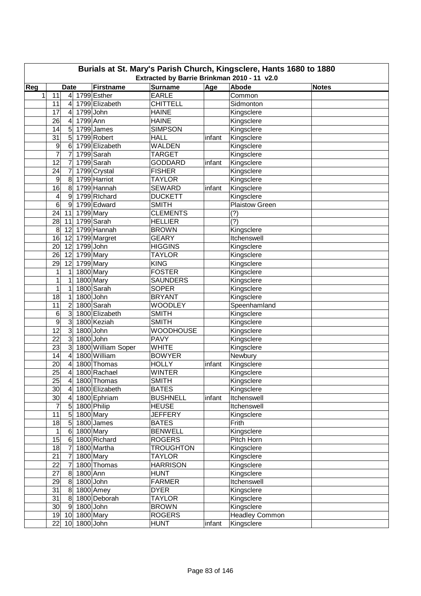| Burials at St. Mary's Parish Church, Kingsclere, Hants 1680 to 1880<br>Extracted by Barrie Brinkman 2010 - 11 v2.0 |                 |                         |              |                            |                                |        |                          |              |  |  |  |
|--------------------------------------------------------------------------------------------------------------------|-----------------|-------------------------|--------------|----------------------------|--------------------------------|--------|--------------------------|--------------|--|--|--|
|                                                                                                                    |                 |                         |              |                            |                                |        |                          |              |  |  |  |
| Reg<br>$\mathbf{1}$                                                                                                | 11              | <b>Date</b>             |              | Firstname<br>4 1799 Esther | <b>Surname</b><br><b>EARLE</b> | Age    | Abode<br>Common          | <b>Notes</b> |  |  |  |
|                                                                                                                    |                 |                         |              | 1799 Elizabeth             | <b>CHITTELL</b>                |        | Sidmonton                |              |  |  |  |
|                                                                                                                    | 11              | 4                       | 1799 John    |                            | <b>HAINE</b>                   |        |                          |              |  |  |  |
|                                                                                                                    | 17<br>26        | 4<br>4                  | 1799 Ann     |                            | <b>HAINE</b>                   |        | Kingsclere               |              |  |  |  |
|                                                                                                                    | 14              |                         |              | 1799 James                 | <b>SIMPSON</b>                 |        | Kingsclere<br>Kingsclere |              |  |  |  |
|                                                                                                                    | 31              | 5<br>5                  |              | 1799 Robert                | <b>HALL</b>                    | infant | Kingsclere               |              |  |  |  |
|                                                                                                                    | 9               | 6                       |              | 1799 Elizabeth             | <b>WALDEN</b>                  |        | Kingsclere               |              |  |  |  |
|                                                                                                                    | 7               | 7                       |              | 1799 Sarah                 | <b>TARGET</b>                  |        | Kingsclere               |              |  |  |  |
|                                                                                                                    | 12              | 7                       |              | 1799 Sarah                 | <b>GODDARD</b>                 | infant | Kingsclere               |              |  |  |  |
|                                                                                                                    | 24              | 7                       |              | 1799 Crystal               | <b>FISHER</b>                  |        | Kingsclere               |              |  |  |  |
|                                                                                                                    | 9               | 8                       |              | 1799 Harriot               | <b>TAYLOR</b>                  |        | Kingsclere               |              |  |  |  |
|                                                                                                                    | 16              | 8                       |              | 1799 Hannah                | <b>SEWARD</b>                  | infant | Kingsclere               |              |  |  |  |
|                                                                                                                    | 4               | 9                       |              | 1799 Richard               | <b>DUCKETT</b>                 |        | Kingsclere               |              |  |  |  |
|                                                                                                                    | 6               | 9                       |              | 1799 Edward                | <b>SMITH</b>                   |        | Plaistow Green           |              |  |  |  |
|                                                                                                                    | 24              | 11                      | 1799 Mary    |                            | <b>CLEMENTS</b>                |        | (?)                      |              |  |  |  |
|                                                                                                                    | 28              | 11                      |              | 1799 Sarah                 | <b>HELLIER</b>                 |        | (?)                      |              |  |  |  |
|                                                                                                                    | 8               | 12                      |              | 1799 Hannah                | <b>BROWN</b>                   |        | Kingsclere               |              |  |  |  |
|                                                                                                                    | 16              | 12                      |              | 1799 Margret               | <b>GEARY</b>                   |        | Itchenswell              |              |  |  |  |
|                                                                                                                    | 20              | 12                      | 1799 John    |                            | <b>HIGGINS</b>                 |        | Kingsclere               |              |  |  |  |
|                                                                                                                    | 26              | 12                      | 1799 Mary    |                            | <b>TAYLOR</b>                  |        | Kingsclere               |              |  |  |  |
|                                                                                                                    | 29              | 12                      | 1799 Mary    |                            | <b>KING</b>                    |        | Kingsclere               |              |  |  |  |
|                                                                                                                    | 1               | 1                       | 1800 Mary    |                            | <b>FOSTER</b>                  |        | Kingsclere               |              |  |  |  |
|                                                                                                                    | 1               | 1                       | 1800 Mary    |                            | <b>SAUNDERS</b>                |        | Kingsclere               |              |  |  |  |
|                                                                                                                    | 1               | 1                       |              | 1800 Sarah                 | <b>SOPER</b>                   |        | Kingsclere               |              |  |  |  |
|                                                                                                                    | 18              | 1                       | 1800 John    |                            | <b>BRYANT</b>                  |        | Kingsclere               |              |  |  |  |
|                                                                                                                    | 11              | 2                       |              | 1800 Sarah                 | <b>WOODLEY</b>                 |        | Speenhamland             |              |  |  |  |
|                                                                                                                    | 6               | $\mathbf{3}$            |              | 1800 Elizabeth             | <b>SMITH</b>                   |        | Kingsclere               |              |  |  |  |
|                                                                                                                    | 9               | 3                       |              | 1800 Keziah                | <b>SMITH</b>                   |        | Kingsclere               |              |  |  |  |
|                                                                                                                    | $\overline{12}$ | $\mathbf{3}$            | 1800 John    |                            | <b>WOODHOUSE</b>               |        | Kingsclere               |              |  |  |  |
|                                                                                                                    | 22              | $\mathbf{3}$            | 1800 John    |                            | <b>PAVY</b>                    |        | Kingsclere               |              |  |  |  |
|                                                                                                                    | 23              | 3                       |              | 1800 William Soper         | <b>WHITE</b>                   |        | Kingsclere               |              |  |  |  |
|                                                                                                                    | 14              | 4                       |              | 1800 William               | <b>BOWYER</b>                  |        | Newbury                  |              |  |  |  |
|                                                                                                                    | 20              | 4                       |              | 1800 Thomas                | <b>HOLLY</b>                   | infant | Kingsclere               |              |  |  |  |
|                                                                                                                    | 25              | 4                       |              | 1800 Rachael               | <b>WINTER</b>                  |        | Kingsclere               |              |  |  |  |
|                                                                                                                    | 25              | $\vert 4 \vert$         |              | 1800 Thomas                | <b>SMITH</b>                   |        | Kingsclere               |              |  |  |  |
|                                                                                                                    | 30              | 4                       |              | 1800 Elizabeth             | <b>BATES</b>                   |        | Kingsclere               |              |  |  |  |
|                                                                                                                    | 30              | $\overline{\mathbf{4}}$ |              | 1800 Ephriam               | <b>BUSHNELL</b>                | infant | Itchenswell              |              |  |  |  |
|                                                                                                                    | 7               | $\overline{5}$          |              | 1800 Philip                | <b>HEUSE</b>                   |        | Itchenswell              |              |  |  |  |
|                                                                                                                    | 11              | 5                       |              | 1800 Mary                  | <b>JEFFERY</b>                 |        | Kingsclere               |              |  |  |  |
|                                                                                                                    | 18              | $\sqrt{5}$              |              | 1800 James                 | <b>BATES</b>                   |        | Frith                    |              |  |  |  |
|                                                                                                                    | 1               | 6                       | 1800 Mary    |                            | <b>BENWELL</b>                 |        | Kingsclere               |              |  |  |  |
|                                                                                                                    | 15              | 6                       |              | 1800 Richard               | <b>ROGERS</b>                  |        | Pitch Horn               |              |  |  |  |
|                                                                                                                    | 18              | 7                       |              | 1800 Martha                | <b>TROUGHTON</b>               |        | Kingsclere               |              |  |  |  |
|                                                                                                                    | 21              | 7                       | 1800 Mary    |                            | <b>TAYLOR</b>                  |        | Kingsclere               |              |  |  |  |
|                                                                                                                    | 22              | 7                       |              | 1800 Thomas                | <b>HARRISON</b>                |        | Kingsclere               |              |  |  |  |
|                                                                                                                    | 27              | 8                       | 1800 Ann     |                            | <b>HUNT</b>                    |        | Kingsclere               |              |  |  |  |
|                                                                                                                    | 29              | 8                       | 1800 John    |                            | <b>FARMER</b>                  |        | Itchenswell              |              |  |  |  |
|                                                                                                                    | 31              | 8                       |              | 1800 Amey                  | <b>DYER</b>                    |        | Kingsclere               |              |  |  |  |
|                                                                                                                    | 31              | 8                       |              | 1800 Deborah               | <b>TAYLOR</b>                  |        | Kingsclere               |              |  |  |  |
|                                                                                                                    | 30              | 9                       | 1800 John    |                            | <b>BROWN</b>                   |        | Kingsclere               |              |  |  |  |
|                                                                                                                    | 19              | 10                      | 1800 Mary    |                            | <b>ROGERS</b>                  |        | Headley Common           |              |  |  |  |
|                                                                                                                    | 22              |                         | 10 1800 John |                            | <b>HUNT</b>                    | infant | Kingsclere               |              |  |  |  |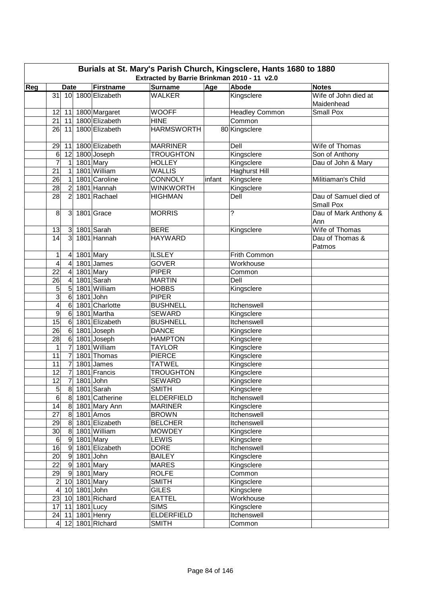| Burials at St. Mary's Parish Church, Kingsclere, Hants 1680 to 1880<br>Extracted by Barrie Brinkman 2010 - 11 v2.0<br><b>Date</b> |                         |                         |                          |                      |                   |        |                       |                                    |  |  |  |  |
|-----------------------------------------------------------------------------------------------------------------------------------|-------------------------|-------------------------|--------------------------|----------------------|-------------------|--------|-----------------------|------------------------------------|--|--|--|--|
| Reg                                                                                                                               |                         |                         |                          | Firstname            | <b>Surname</b>    | Age    | Abode                 | <b>Notes</b>                       |  |  |  |  |
|                                                                                                                                   |                         |                         |                          | 31 10 1800 Elizabeth | <b>WALKER</b>     |        | Kingsclere            | Wife of John died at<br>Maidenhead |  |  |  |  |
|                                                                                                                                   | 12                      |                         |                          | 11 1800 Margaret     | <b>WOOFF</b>      |        | <b>Headley Common</b> | Small Pox                          |  |  |  |  |
|                                                                                                                                   | 21                      | 11                      |                          | 1800 Elizabeth       | <b>HINE</b>       |        | Common                |                                    |  |  |  |  |
|                                                                                                                                   | 26                      | 11                      |                          | 1800 Elizabeth       | <b>HARMSWORTH</b> |        | 80 Kingsclere         |                                    |  |  |  |  |
|                                                                                                                                   |                         |                         |                          |                      |                   |        |                       |                                    |  |  |  |  |
|                                                                                                                                   | 29                      | 11                      |                          | 1800 Elizabeth       | <b>MARRINER</b>   |        | Dell                  | Wife of Thomas                     |  |  |  |  |
|                                                                                                                                   | 6                       | 12                      |                          | 1800 Joseph          | <b>TROUGHTON</b>  |        | Kingsclere            | Son of Anthony                     |  |  |  |  |
|                                                                                                                                   | $\overline{7}$          | 1                       |                          | 1801 Mary            | <b>HOLLEY</b>     |        | Kingsclere            | Dau of John & Mary                 |  |  |  |  |
|                                                                                                                                   | 21                      | $\mathbf{1}$            |                          | 1801 William         | <b>WALLIS</b>     |        | <b>Haghurst Hill</b>  |                                    |  |  |  |  |
|                                                                                                                                   | 26                      | $\mathbf{1}$            |                          | 1801 Caroline        | <b>CONNOLY</b>    | infant | Kingsclere            | Militiaman's Child                 |  |  |  |  |
|                                                                                                                                   | 28                      | $\overline{2}$          |                          | 1801 Hannah          | <b>WINKWORTH</b>  |        | Kingsclere            |                                    |  |  |  |  |
|                                                                                                                                   | 28                      | 2                       |                          | 1801 Rachael         | <b>HIGHMAN</b>    |        | Dell                  | Dau of Samuel died of              |  |  |  |  |
|                                                                                                                                   |                         |                         |                          |                      |                   |        |                       | Small Pox                          |  |  |  |  |
|                                                                                                                                   | 8                       |                         |                          | 3 1801 Grace         | <b>MORRIS</b>     |        | ?                     | Dau of Mark Anthony &              |  |  |  |  |
|                                                                                                                                   |                         |                         |                          |                      |                   |        |                       | Ann                                |  |  |  |  |
|                                                                                                                                   | 13                      |                         |                          | 3 1801 Sarah         | <b>BERE</b>       |        | Kingsclere            | Wife of Thomas                     |  |  |  |  |
|                                                                                                                                   | 14                      | $\overline{3}$          |                          | 1801 Hannah          | <b>HAYWARD</b>    |        |                       | Dau of Thomas &                    |  |  |  |  |
|                                                                                                                                   |                         |                         |                          |                      |                   |        |                       | Patmos                             |  |  |  |  |
|                                                                                                                                   | 1                       | $\overline{4}$          | 1801 Mary                |                      | <b>ILSLEY</b>     |        | Frith Common          |                                    |  |  |  |  |
|                                                                                                                                   | 4                       | $\overline{\mathbf{4}}$ |                          | 1801 James           | <b>GOVER</b>      |        | Workhouse             |                                    |  |  |  |  |
|                                                                                                                                   | 22                      | $\overline{\mathbf{4}}$ | 1801 Mary                |                      | <b>PIPER</b>      |        | Common                |                                    |  |  |  |  |
|                                                                                                                                   | 26                      | $\overline{\mathbf{4}}$ |                          | 1801 Sarah           | <b>MARTIN</b>     |        | Dell                  |                                    |  |  |  |  |
|                                                                                                                                   | 5                       | $\overline{5}$          |                          | 1801 William         | <b>HOBBS</b>      |        | Kingsclere            |                                    |  |  |  |  |
|                                                                                                                                   | $\overline{3}$          | 6                       | 1801 John                |                      | <b>PIPER</b>      |        |                       |                                    |  |  |  |  |
|                                                                                                                                   | 4                       | 6                       |                          | 1801 Charlotte       | <b>BUSHNELL</b>   |        | Itchenswell           |                                    |  |  |  |  |
|                                                                                                                                   | $\overline{9}$          | 6                       |                          | 1801 Martha          | <b>SEWARD</b>     |        | Kingsclere            |                                    |  |  |  |  |
|                                                                                                                                   | 15                      | 6                       |                          | 1801 Elizabeth       | <b>BUSHNELL</b>   |        | Itchenswell           |                                    |  |  |  |  |
|                                                                                                                                   | 26                      | $\,6$                   |                          | 1801 Joseph          | <b>DANCE</b>      |        | Kingsclere            |                                    |  |  |  |  |
|                                                                                                                                   | 28                      | 6                       |                          | 1801 Joseph          | <b>HAMPTON</b>    |        | Kingsclere            |                                    |  |  |  |  |
|                                                                                                                                   | 1                       | $\overline{7}$          |                          | 1801 William         | <b>TAYLOR</b>     |        | Kingsclere            |                                    |  |  |  |  |
|                                                                                                                                   | 11                      | $\overline{7}$          |                          | 1801 Thomas          | <b>PIERCE</b>     |        | Kingsclere            |                                    |  |  |  |  |
|                                                                                                                                   | 11                      | $\overline{7}$          |                          | 1801 James           | <b>TATWEL</b>     |        | Kingsclere            |                                    |  |  |  |  |
|                                                                                                                                   | 12                      | 7                       |                          | 1801 Francis         | <b>TROUGHTON</b>  |        | Kingsclere            |                                    |  |  |  |  |
|                                                                                                                                   | $\overline{12}$         |                         | $\overline{7}$ 1801 John |                      | SEWARD            |        | Kingsclere            |                                    |  |  |  |  |
|                                                                                                                                   | $\overline{5}$          |                         |                          | 8 1801 Sarah         | <b>SMITH</b>      |        | Kingsclere            |                                    |  |  |  |  |
|                                                                                                                                   | 6                       | 8 <sup>°</sup>          |                          | 1801 Catherine       | <b>ELDERFIELD</b> |        | Itchenswell           |                                    |  |  |  |  |
|                                                                                                                                   | 14                      |                         |                          | 8 1801 Mary Ann      | <b>MARINER</b>    |        | Kingsclere            |                                    |  |  |  |  |
|                                                                                                                                   | 27                      |                         |                          | 8 1801 Amos          | <b>BROWN</b>      |        | Itchenswell           |                                    |  |  |  |  |
|                                                                                                                                   | 29                      | 8 <sup>1</sup>          |                          | 1801 Elizabeth       | <b>BELCHER</b>    |        | Itchenswell           |                                    |  |  |  |  |
|                                                                                                                                   | 30                      | 8 <sup>°</sup>          |                          | 1801 William         | <b>MOWDEY</b>     |        | Kingsclere            |                                    |  |  |  |  |
|                                                                                                                                   | $\,6$                   | 9                       |                          | 1801 Mary            | <b>LEWIS</b>      |        | Kingsclere            |                                    |  |  |  |  |
|                                                                                                                                   | 16                      | 9                       |                          | 1801 Elizabeth       | <b>DORE</b>       |        | Itchenswell           |                                    |  |  |  |  |
|                                                                                                                                   | 20                      | 9                       | 1801 John                |                      | <b>BAILEY</b>     |        | Kingsclere            |                                    |  |  |  |  |
|                                                                                                                                   | $\overline{22}$         |                         | 9 1801 Mary              |                      | <b>MARES</b>      |        | Kingsclere            |                                    |  |  |  |  |
|                                                                                                                                   | 29                      |                         | 9 1801 Mary              |                      | <b>ROLFE</b>      |        | Common                |                                    |  |  |  |  |
|                                                                                                                                   | $\overline{c}$          |                         | 10 1801 Mary             |                      | <b>SMITH</b>      |        | Kingsclere            |                                    |  |  |  |  |
|                                                                                                                                   | $\overline{\mathbf{4}}$ | 10                      | $1801$ John              |                      | <b>GILES</b>      |        | Kingsclere            |                                    |  |  |  |  |
|                                                                                                                                   | 23                      | 10                      |                          | 1801 Richard         | <b>EATTEL</b>     |        | Workhouse             |                                    |  |  |  |  |
|                                                                                                                                   | 17                      | 11                      | 1801 Lucy                |                      | <b>SIMS</b>       |        | Kingsclere            |                                    |  |  |  |  |
|                                                                                                                                   |                         | $24$ 11                 |                          | 1801 Henry           | <b>ELDERFIELD</b> |        | Itchenswell           |                                    |  |  |  |  |
|                                                                                                                                   |                         |                         |                          | 4 12 1801 Richard    | <b>SMITH</b>      |        | Common                |                                    |  |  |  |  |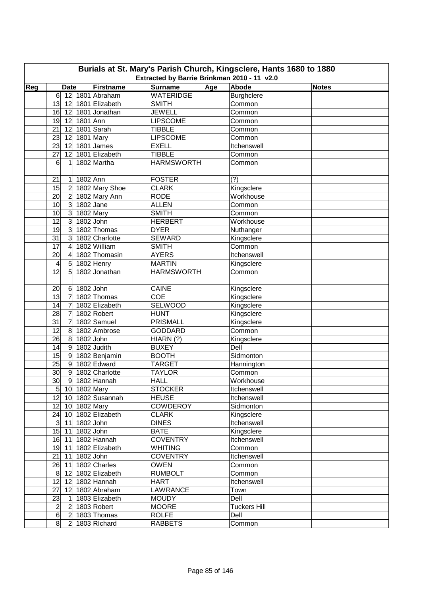| Burials at St. Mary's Parish Church, Kingsclere, Hants 1680 to 1880<br>Extracted by Barrie Brinkman 2010 - 11 v2.0 |                                   |             |                              |                                    |     |                     |              |  |  |  |  |
|--------------------------------------------------------------------------------------------------------------------|-----------------------------------|-------------|------------------------------|------------------------------------|-----|---------------------|--------------|--|--|--|--|
|                                                                                                                    |                                   |             |                              |                                    |     | <b>Abode</b>        |              |  |  |  |  |
| Reg                                                                                                                | <b>Date</b><br>$6 \overline{6}$   |             | Firstname<br>12 1801 Abraham | <b>Surname</b><br><b>WATERIDGE</b> | Age | <b>Burghclere</b>   | <b>Notes</b> |  |  |  |  |
|                                                                                                                    |                                   |             | 13 12 1801 Elizabeth         | <b>SMITH</b>                       |     | Common              |              |  |  |  |  |
|                                                                                                                    | 16                                |             | 12 1801 Jonathan             | <b>JEWELL</b>                      |     | Common              |              |  |  |  |  |
|                                                                                                                    | 19                                | 12 1801 Ann |                              | <b>LIPSCOME</b>                    |     | Common              |              |  |  |  |  |
|                                                                                                                    | 21<br>12                          |             | 1801 Sarah                   | <b>TIBBLE</b>                      |     | Common              |              |  |  |  |  |
|                                                                                                                    | 23<br>12                          |             | 1801 Mary                    | <b>LIPSCOME</b>                    |     | Common              |              |  |  |  |  |
|                                                                                                                    | 23<br>12                          |             | 1801 James                   | <b>EXELL</b>                       |     | Itchenswell         |              |  |  |  |  |
|                                                                                                                    | 27<br>12                          |             | 1801 Elizabeth               | <b>TIBBLE</b>                      |     | Common              |              |  |  |  |  |
|                                                                                                                    | 6<br>1                            |             | 1802 Martha                  | <b>HARMSWORTH</b>                  |     | Common              |              |  |  |  |  |
|                                                                                                                    |                                   |             |                              |                                    |     |                     |              |  |  |  |  |
|                                                                                                                    | 21<br>1                           | 1802 Ann    |                              | <b>FOSTER</b>                      |     | (?)                 |              |  |  |  |  |
|                                                                                                                    | 15<br>$\overline{2}$              |             | 1802 Mary Shoe               | <b>CLARK</b>                       |     | Kingsclere          |              |  |  |  |  |
|                                                                                                                    | 20<br>$\overline{2}$              |             | 1802 Mary Ann                | <b>RODE</b>                        |     | Workhouse           |              |  |  |  |  |
|                                                                                                                    | 10<br>$\mathbf{3}$                |             | $1802$ Jane                  | <b>ALLEN</b>                       |     | Common              |              |  |  |  |  |
|                                                                                                                    | $\mathbf{3}$<br>10                |             | 1802 Mary                    | <b>SMITH</b>                       |     | Common              |              |  |  |  |  |
|                                                                                                                    | 12<br>$\mathbf{3}$                |             | $1802$ John                  | <b>HERBERT</b>                     |     | Workhouse           |              |  |  |  |  |
|                                                                                                                    | 19<br>3                           |             | 1802 Thomas                  | <b>DYER</b>                        |     | Nuthanger           |              |  |  |  |  |
|                                                                                                                    | $\overline{31}$<br>3              |             | 1802 Charlotte               | <b>SEWARD</b>                      |     | Kingsclere          |              |  |  |  |  |
|                                                                                                                    | $\overline{17}$<br>4              |             | 1802 William                 | <b>SMITH</b>                       |     | Common              |              |  |  |  |  |
|                                                                                                                    | 20<br>4                           |             | 1802 Thomasin                | <b>AYERS</b>                       |     | Itchenswell         |              |  |  |  |  |
|                                                                                                                    | 5<br>4                            |             | 1802 Henry                   | <b>MARTIN</b>                      |     | Kingsclere          |              |  |  |  |  |
|                                                                                                                    | 12<br>5                           |             | 1802 Jonathan                | <b>HARMSWORTH</b>                  |     | Common              |              |  |  |  |  |
|                                                                                                                    |                                   |             |                              |                                    |     |                     |              |  |  |  |  |
|                                                                                                                    | 20<br>6                           | $1802$ John |                              | <b>CAINE</b>                       |     | Kingsclere          |              |  |  |  |  |
|                                                                                                                    | $\overline{7}$<br>13              |             | 1802 Thomas                  | <b>COE</b>                         |     | Kingsclere          |              |  |  |  |  |
|                                                                                                                    | 14<br>$\overline{7}$              |             | 1802 Elizabeth               | SELWOOD                            |     | Kingsclere          |              |  |  |  |  |
|                                                                                                                    | 28<br>$\overline{7}$              |             | 1802 Robert                  | <b>HUNT</b>                        |     | Kingsclere          |              |  |  |  |  |
|                                                                                                                    | 31<br>7                           |             | 1802 Samuel                  | <b>PRISMALL</b>                    |     | Kingsclere          |              |  |  |  |  |
|                                                                                                                    | 12<br>8                           |             | 1802 Ambrose                 | <b>GODDARD</b>                     |     | Common              |              |  |  |  |  |
|                                                                                                                    | 26<br>8                           |             | $1802$ John                  | HIARN(?)                           |     | Kingsclere          |              |  |  |  |  |
|                                                                                                                    | $9\,$<br>14                       |             | 1802 Judith                  | <b>BUXEY</b>                       |     | Dell                |              |  |  |  |  |
|                                                                                                                    | 15<br>$\overline{9}$              |             | 1802 Benjamin                | <b>BOOTH</b>                       |     | Sidmonton           |              |  |  |  |  |
|                                                                                                                    | 25<br>9                           |             | 1802 Edward                  | <b>TARGET</b>                      |     | Hannington          |              |  |  |  |  |
|                                                                                                                    | 30<br>9                           |             | 1802 Charlotte               | <b>TAYLOR</b>                      |     | Common              |              |  |  |  |  |
|                                                                                                                    | 30                                |             | 9 1802 Hannah                | <b>HALL</b>                        |     | Workhouse           |              |  |  |  |  |
|                                                                                                                    | $\overline{5}$ 10 1802 Mary       |             |                              | <b>STOCKER</b>                     |     | Itchenswell         |              |  |  |  |  |
|                                                                                                                    |                                   |             | 12 10 1802 Susannah          | <b>HEUSE</b>                       |     | Itchenswell         |              |  |  |  |  |
|                                                                                                                    | 12 10 1802 Mary                   |             |                              | COWDEROY                           |     | Sidmonton           |              |  |  |  |  |
|                                                                                                                    |                                   |             | 24 10 1802 Elizabeth         | <b>CLARK</b>                       |     | Kingsclere          |              |  |  |  |  |
|                                                                                                                    | 3 <sup>1</sup><br>11              | 1802 John   |                              | <b>DINES</b>                       |     | Itchenswell         |              |  |  |  |  |
|                                                                                                                    | $15$ 11                           | 1802 John   |                              | <b>BATE</b>                        |     | Kingsclere          |              |  |  |  |  |
|                                                                                                                    | 16 11                             |             | 1802 Hannah                  | <b>COVENTRY</b>                    |     | Itchenswell         |              |  |  |  |  |
|                                                                                                                    | 19 11                             |             | 1802 Elizabeth               | <b>WHITING</b>                     |     | Common              |              |  |  |  |  |
|                                                                                                                    | 21<br>11                          | 1802 John   |                              | <b>COVENTRY</b>                    |     | Itchenswell         |              |  |  |  |  |
|                                                                                                                    | 26<br>11                          |             | 1802 Charles                 | <b>OWEN</b>                        |     | Common              |              |  |  |  |  |
|                                                                                                                    | 8                                 |             | 12 1802 Elizabeth            | <b>RUMBOLT</b>                     |     | Common              |              |  |  |  |  |
|                                                                                                                    | 12                                |             | 12 1802 Hannah               | <b>HART</b>                        |     | Itchenswell         |              |  |  |  |  |
|                                                                                                                    | 27                                |             | 12 1802 Abraham              | <b>LAWRANCE</b>                    |     | Town                |              |  |  |  |  |
|                                                                                                                    | 23<br>$\overline{1}$              |             | 1803 Elizabeth               | <b>MOUDY</b>                       |     | Dell                |              |  |  |  |  |
|                                                                                                                    | $\overline{c}$<br>$\overline{2}$  |             | 1803 Robert                  | <b>MOORE</b>                       |     | <b>Tuckers Hill</b> |              |  |  |  |  |
|                                                                                                                    | $6 \overline{}$<br>$\overline{2}$ |             | 1803 Thomas                  | <b>ROLFE</b>                       |     | Dell                |              |  |  |  |  |
|                                                                                                                    | $\overline{8}$                    |             | 2 1803 Richard               | <b>RABBETS</b>                     |     | Common              |              |  |  |  |  |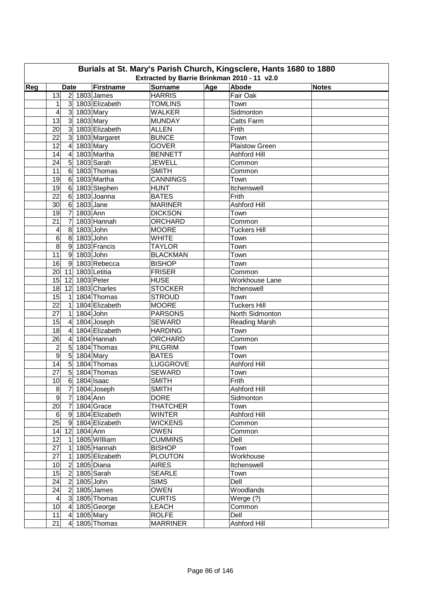| Burials at St. Mary's Parish Church, Kingsclere, Hants 1680 to 1880 |                                                                                                                                                    |                           |                                 |  |                       |  |  |  |  |  |  |  |  |  |
|---------------------------------------------------------------------|----------------------------------------------------------------------------------------------------------------------------------------------------|---------------------------|---------------------------------|--|-----------------------|--|--|--|--|--|--|--|--|--|
|                                                                     | Extracted by Barrie Brinkman 2010 - 11 v2.0<br>Age<br>Abode<br>Firstname<br><b>Surname</b><br>Reg<br><b>Notes</b><br><b>Date</b><br>$2$ 1803 James |                           |                                 |  |                       |  |  |  |  |  |  |  |  |  |
|                                                                     | 13                                                                                                                                                 |                           | <b>HARRIS</b>                   |  | Fair Oak              |  |  |  |  |  |  |  |  |  |
|                                                                     |                                                                                                                                                    | 3 1803 Elizabeth          | <b>TOMLINS</b>                  |  | Town                  |  |  |  |  |  |  |  |  |  |
|                                                                     | 1<br>4<br>3 1803 Mary                                                                                                                              |                           | <b>WALKER</b>                   |  | Sidmonton             |  |  |  |  |  |  |  |  |  |
|                                                                     | 3 1803 Mary<br>13                                                                                                                                  |                           | <b>MUNDAY</b>                   |  |                       |  |  |  |  |  |  |  |  |  |
|                                                                     |                                                                                                                                                    |                           |                                 |  | Catts Farm            |  |  |  |  |  |  |  |  |  |
|                                                                     | 20                                                                                                                                                 | 3 1803 Elizabeth          | <b>ALLEN</b>                    |  | Frith                 |  |  |  |  |  |  |  |  |  |
|                                                                     | 22                                                                                                                                                 | 3 1803 Margaret           | <b>BUNCE</b>                    |  | Town                  |  |  |  |  |  |  |  |  |  |
|                                                                     | 12<br>$\overline{4}$                                                                                                                               | 1803 Mary                 | <b>GOVER</b>                    |  | <b>Plaistow Green</b> |  |  |  |  |  |  |  |  |  |
|                                                                     | 14<br>$\overline{\mathbf{4}}$<br>$5\overline{)}$                                                                                                   | 1803 Martha<br>1803 Sarah | <b>BENNETT</b><br><b>JEWELL</b> |  | Ashford Hill          |  |  |  |  |  |  |  |  |  |
|                                                                     | 24<br>6                                                                                                                                            | 1803 Thomas               | <b>SMITH</b>                    |  | Common                |  |  |  |  |  |  |  |  |  |
|                                                                     | 11                                                                                                                                                 |                           |                                 |  | Common                |  |  |  |  |  |  |  |  |  |
|                                                                     | 19<br>6                                                                                                                                            | 1803 Martha               | <b>CANNINGS</b>                 |  | Town<br>Itchenswell   |  |  |  |  |  |  |  |  |  |
|                                                                     | 19<br>$6\phantom{1}$                                                                                                                               | 1803 Stephen              | <b>HUNT</b>                     |  |                       |  |  |  |  |  |  |  |  |  |
|                                                                     | 22<br>$\,6$                                                                                                                                        | 1803 Joanna               | <b>BATES</b>                    |  | Frith                 |  |  |  |  |  |  |  |  |  |
|                                                                     | 30<br>$\,6$                                                                                                                                        | 1803 Jane<br>1803 Ann     | <b>MARINER</b>                  |  | <b>Ashford Hill</b>   |  |  |  |  |  |  |  |  |  |
|                                                                     | 19<br>$\overline{7}$                                                                                                                               |                           | <b>DICKSON</b>                  |  | Town                  |  |  |  |  |  |  |  |  |  |
|                                                                     | 21<br>7                                                                                                                                            | 1803 Hannah               | <b>ORCHARD</b>                  |  | Common                |  |  |  |  |  |  |  |  |  |
|                                                                     | 8<br>4                                                                                                                                             | $1803$ John               | <b>MOORE</b>                    |  | <b>Tuckers Hill</b>   |  |  |  |  |  |  |  |  |  |
|                                                                     | 6<br>8                                                                                                                                             | 1803 John                 | <b>WHITE</b>                    |  | Town                  |  |  |  |  |  |  |  |  |  |
|                                                                     | $\overline{8}$<br>$9\,$                                                                                                                            | 1803 Francis              | <b>TAYLOR</b>                   |  | Town                  |  |  |  |  |  |  |  |  |  |
|                                                                     | $\overline{11}$<br>9                                                                                                                               | 1803 John                 | <b>BLACKMAN</b>                 |  | Town                  |  |  |  |  |  |  |  |  |  |
|                                                                     | 16<br>9                                                                                                                                            | 1803 Rebecca              | <b>BISHOP</b>                   |  | Town                  |  |  |  |  |  |  |  |  |  |
|                                                                     | 20<br>11                                                                                                                                           | 1803 Letitia              | <b>FRISER</b>                   |  | Common                |  |  |  |  |  |  |  |  |  |
|                                                                     | 15<br>12                                                                                                                                           | 1803 Peter                | <b>HUSE</b>                     |  | Workhouse Lane        |  |  |  |  |  |  |  |  |  |
|                                                                     | 18<br>12                                                                                                                                           | 1803 Charles              | <b>STOCKER</b>                  |  | Itchenswell           |  |  |  |  |  |  |  |  |  |
|                                                                     | 15<br>$\mathbf{1}$                                                                                                                                 | 1804 Thomas               | <b>STROUD</b>                   |  | Town                  |  |  |  |  |  |  |  |  |  |
|                                                                     | $\overline{22}$<br>$\mathbf{1}$                                                                                                                    | 1804 Elizabeth            | <b>MOORE</b>                    |  | <b>Tuckers Hill</b>   |  |  |  |  |  |  |  |  |  |
|                                                                     | $\overline{27}$<br>$\mathbf{1}$                                                                                                                    | 1804 John                 | <b>PARSONS</b>                  |  | North Sidmonton       |  |  |  |  |  |  |  |  |  |
|                                                                     | 15<br>$\overline{\mathbf{4}}$                                                                                                                      | 1804 Joseph               | <b>SEWARD</b>                   |  | Reading Marsh         |  |  |  |  |  |  |  |  |  |
|                                                                     | 18<br>$\overline{\mathbf{4}}$                                                                                                                      | 1804 Elizabeth            | <b>HARDING</b>                  |  | Town                  |  |  |  |  |  |  |  |  |  |
|                                                                     | 26<br>$\overline{\mathbf{4}}$                                                                                                                      | 1804 Hannah               | ORCHARD                         |  | Common                |  |  |  |  |  |  |  |  |  |
|                                                                     | $\overline{c}$<br>$\overline{5}$                                                                                                                   | 1804 Thomas               | <b>PILGRIM</b>                  |  | Town                  |  |  |  |  |  |  |  |  |  |
|                                                                     | $\overline{9}$<br>5                                                                                                                                | 1804 Mary                 | <b>BATES</b>                    |  | Town                  |  |  |  |  |  |  |  |  |  |
|                                                                     | 5<br>14                                                                                                                                            | 1804 Thomas               | LUGGROVE                        |  | <b>Ashford Hill</b>   |  |  |  |  |  |  |  |  |  |
|                                                                     | 5<br>27                                                                                                                                            | 1804 Thomas               | <b>SEWARD</b>                   |  | Town                  |  |  |  |  |  |  |  |  |  |
|                                                                     | 6 1804 Isaac<br>10                                                                                                                                 |                           | <b>SMITH</b>                    |  | Frith                 |  |  |  |  |  |  |  |  |  |
|                                                                     | 8                                                                                                                                                  | 7 1804 Joseph             | <b>SMITH</b>                    |  | Ashford Hill          |  |  |  |  |  |  |  |  |  |
|                                                                     | $\boldsymbol{9}$<br>$\overline{7}$                                                                                                                 | 1804 Ann                  | <b>DORE</b>                     |  | Sidmonton             |  |  |  |  |  |  |  |  |  |
|                                                                     | 20<br>$\overline{7}$                                                                                                                               | 1804 Grace                | <b>THATCHER</b>                 |  | Town                  |  |  |  |  |  |  |  |  |  |
|                                                                     | $\,6$                                                                                                                                              | 9 1804 Elizabeth          | <b>WINTER</b>                   |  | Ashford Hill          |  |  |  |  |  |  |  |  |  |
|                                                                     | $\overline{25}$<br> 9                                                                                                                              | 1804 Elizabeth            | <b>WICKENS</b>                  |  | Common                |  |  |  |  |  |  |  |  |  |
|                                                                     | 12<br>14                                                                                                                                           | 1804 Ann                  | <b>OWEN</b>                     |  | Common                |  |  |  |  |  |  |  |  |  |
|                                                                     | 12<br>1                                                                                                                                            | 1805 William              | <b>CUMMINS</b>                  |  | Dell                  |  |  |  |  |  |  |  |  |  |
|                                                                     | 27<br>1                                                                                                                                            | 1805 Hannah               | <b>BISHOP</b>                   |  | Town                  |  |  |  |  |  |  |  |  |  |
|                                                                     | 27<br>$\mathbf{1}$                                                                                                                                 | 1805 Elizabeth            | <b>PLOUTON</b>                  |  | Workhouse             |  |  |  |  |  |  |  |  |  |
|                                                                     | $\overline{2}$<br>10                                                                                                                               | 1805 Diana                | <b>AIRES</b>                    |  | Itchenswell           |  |  |  |  |  |  |  |  |  |
|                                                                     | $\overline{2}$<br>15                                                                                                                               | 1805 Sarah                | <b>SEARLE</b>                   |  | Town                  |  |  |  |  |  |  |  |  |  |
|                                                                     | 24<br>$\overline{2}$                                                                                                                               | 1805 John                 | <b>SIMS</b>                     |  | Dell                  |  |  |  |  |  |  |  |  |  |
|                                                                     | 24<br>$\overline{2}$                                                                                                                               | 1805 James                | <b>OWEN</b>                     |  | Woodlands             |  |  |  |  |  |  |  |  |  |
|                                                                     | $\overline{\mathbf{4}}$                                                                                                                            | 3 1805 Thomas             | <b>CURTIS</b>                   |  | Werge $(?)$           |  |  |  |  |  |  |  |  |  |
|                                                                     | 10<br>$\overline{4}$                                                                                                                               | 1805 George               | <b>LEACH</b>                    |  | Common                |  |  |  |  |  |  |  |  |  |
|                                                                     | 11<br>$\overline{a}$                                                                                                                               | $1805$ Mary               | <b>ROLFE</b>                    |  | Dell                  |  |  |  |  |  |  |  |  |  |
|                                                                     | 21                                                                                                                                                 | 4 1805 Thomas             | <b>MARRINER</b>                 |  | Ashford Hill          |  |  |  |  |  |  |  |  |  |
|                                                                     |                                                                                                                                                    |                           |                                 |  |                       |  |  |  |  |  |  |  |  |  |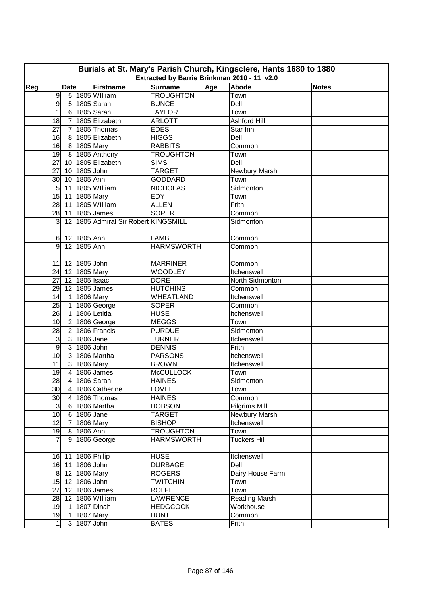| Burials at St. Mary's Parish Church, Kingsclere, Hants 1680 to 1880<br>Extracted by Barrie Brinkman 2010 - 11 v2.0 |                |                 |               |                                   |                   |     |                      |              |  |  |  |
|--------------------------------------------------------------------------------------------------------------------|----------------|-----------------|---------------|-----------------------------------|-------------------|-----|----------------------|--------------|--|--|--|
|                                                                                                                    |                |                 |               |                                   |                   |     |                      |              |  |  |  |
| Reg                                                                                                                |                | <b>Date</b>     |               | Firstname                         | Surname           | Age | Abode                | <b>Notes</b> |  |  |  |
|                                                                                                                    | 9              |                 |               | 5 1805 William                    | <b>TROUGHTON</b>  |     | Town                 |              |  |  |  |
|                                                                                                                    | 9              |                 |               | 5 1805 Sarah                      | <b>BUNCE</b>      |     | Dell                 |              |  |  |  |
|                                                                                                                    | 1              |                 |               | 6 1805 Sarah                      | <b>TAYLOR</b>     |     | Town                 |              |  |  |  |
|                                                                                                                    | 18             | $\overline{7}$  |               | 1805 Elizabeth                    | <b>ARLOTT</b>     |     | <b>Ashford Hill</b>  |              |  |  |  |
|                                                                                                                    | 27             | $\overline{7}$  |               | 1805 Thomas                       | <b>EDES</b>       |     | Star Inn             |              |  |  |  |
|                                                                                                                    | 16             | 8 <sup>1</sup>  |               | 1805 Elizabeth                    | <b>HIGGS</b>      |     | Dell                 |              |  |  |  |
|                                                                                                                    | 16             | 8 <sup>1</sup>  | 1805 Mary     |                                   | <b>RABBITS</b>    |     | Common               |              |  |  |  |
|                                                                                                                    | 19             | 8 <sup>°</sup>  |               | 1805 Anthony                      | <b>TROUGHTON</b>  |     | Town                 |              |  |  |  |
|                                                                                                                    | 27             | 10              |               | 1805 Elizabeth                    | <b>SIMS</b>       |     | Dell                 |              |  |  |  |
|                                                                                                                    | 27             | 10 <sup>1</sup> | 1805 John     |                                   | <b>TARGET</b>     |     | Newbury Marsh        |              |  |  |  |
|                                                                                                                    | 30             | 10 <sup>1</sup> | 1805 Ann      |                                   | <b>GODDARD</b>    |     | Town                 |              |  |  |  |
|                                                                                                                    | 5              | 11              |               | 1805 William                      | <b>NICHOLAS</b>   |     | Sidmonton            |              |  |  |  |
|                                                                                                                    | 15             | 11              | 1805 Mary     |                                   | EDY               |     | Town                 |              |  |  |  |
|                                                                                                                    | 28             | 11              |               | 1805 William                      | <b>ALLEN</b>      |     | Frith                |              |  |  |  |
|                                                                                                                    | 28             | 11              |               | 1805 James                        | <b>SOPER</b>      |     | Common               |              |  |  |  |
|                                                                                                                    | 3              | 12              |               | 1805 Admiral Sir Robert KINGSMILL |                   |     | Sidmonton            |              |  |  |  |
|                                                                                                                    |                |                 |               |                                   |                   |     |                      |              |  |  |  |
|                                                                                                                    | 6              |                 | 12 1805 Ann   |                                   | <b>LAMB</b>       |     | Common               |              |  |  |  |
|                                                                                                                    | 9              |                 | 12 1805 Ann   |                                   | <b>HARMSWORTH</b> |     | Common               |              |  |  |  |
|                                                                                                                    | 11             |                 | 12 1805 John  |                                   | <b>MARRINER</b>   |     | Common               |              |  |  |  |
|                                                                                                                    | 24             |                 | 12 1805 Mary  |                                   | <b>WOODLEY</b>    |     | Itchenswell          |              |  |  |  |
|                                                                                                                    | 27             |                 | 12 1805 Isaac |                                   | <b>DORE</b>       |     | North Sidmonton      |              |  |  |  |
|                                                                                                                    | 29             |                 |               | 12 1805 James                     | <b>HUTCHINS</b>   |     | Common               |              |  |  |  |
|                                                                                                                    | 14             | $\vert$         | 1806 Mary     |                                   | <b>WHEATLAND</b>  |     | Itchenswell          |              |  |  |  |
|                                                                                                                    | 25             | $\mathbf{1}$    |               | 1806 George                       | <b>SOPER</b>      |     | Common               |              |  |  |  |
|                                                                                                                    | 26             | $\mathbf{1}$    |               | 1806 Letitia                      | <b>HUSE</b>       |     | Itchenswell          |              |  |  |  |
|                                                                                                                    | 10             | $\overline{2}$  |               | 1806 George                       | <b>MEGGS</b>      |     | Town                 |              |  |  |  |
|                                                                                                                    | 28             | $\overline{2}$  |               | 1806 Francis                      | <b>PURDUE</b>     |     | Sidmonton            |              |  |  |  |
|                                                                                                                    | 3              | 3 <sup>1</sup>  | 1806 Jane     |                                   | <b>TURNER</b>     |     | Itchenswell          |              |  |  |  |
|                                                                                                                    | $\overline{9}$ | $\overline{3}$  | 1806 John     |                                   | <b>DENNIS</b>     |     | Frith                |              |  |  |  |
|                                                                                                                    | 10             | 3               |               | 1806 Martha                       | <b>PARSONS</b>    |     | Itchenswell          |              |  |  |  |
|                                                                                                                    | 11             | $\overline{3}$  | 1806 Mary     |                                   | <b>BROWN</b>      |     | Itchenswell          |              |  |  |  |
|                                                                                                                    | 19             | $\overline{4}$  |               | 1806 James                        | <b>McCULLOCK</b>  |     | Town                 |              |  |  |  |
|                                                                                                                    | 28             | $\overline{4}$  |               | 1806 Sarah                        | <b>HAINES</b>     |     | Sidmonton            |              |  |  |  |
|                                                                                                                    | 30             | 4 <sup>1</sup>  |               | 1806 Catherine                    | LOVEL             |     | Town                 |              |  |  |  |
|                                                                                                                    | 30             | $\overline{4}$  |               | 1806 Thomas                       | <b>HAINES</b>     |     | Common               |              |  |  |  |
|                                                                                                                    | $\mathsf 3$    | 6               |               | 1806 Martha                       | <b>HOBSON</b>     |     | Pilgrims Mill        |              |  |  |  |
|                                                                                                                    | 10             | 6               | 1806 Jane     |                                   | <b>TARGET</b>     |     | Newbury Marsh        |              |  |  |  |
|                                                                                                                    | 12             | $\overline{7}$  | 1806 Mary     |                                   | <b>BISHOP</b>     |     | Itchenswell          |              |  |  |  |
|                                                                                                                    | 19             |                 | 8 1806 Ann    |                                   | <b>TROUGHTON</b>  |     | Town                 |              |  |  |  |
|                                                                                                                    | $\overline{7}$ |                 |               | 9 1806 George                     | <b>HARMSWORTH</b> |     | <b>Tuckers Hill</b>  |              |  |  |  |
|                                                                                                                    |                |                 |               |                                   |                   |     |                      |              |  |  |  |
|                                                                                                                    |                |                 |               | 16 11 1806 Philip                 | <b>HUSE</b>       |     | Itchenswell          |              |  |  |  |
|                                                                                                                    | 16             |                 | 11 1806 John  |                                   | <b>DURBAGE</b>    |     | Dell                 |              |  |  |  |
|                                                                                                                    | 8 <sup>1</sup> |                 | 12 1806 Mary  |                                   | <b>ROGERS</b>     |     | Dairy House Farm     |              |  |  |  |
|                                                                                                                    | 15             |                 | 12 1806 John  |                                   | <b>TWITCHIN</b>   |     | Town                 |              |  |  |  |
|                                                                                                                    | 27             | 12              |               | 1806 James                        | <b>ROLFE</b>      |     | Town                 |              |  |  |  |
|                                                                                                                    | 28             | 12              |               | 1806 William                      | <b>LAWRENCE</b>   |     | <b>Reading Marsh</b> |              |  |  |  |
|                                                                                                                    | 19             | $\vert$ 1       |               | 1807 Dinah                        | <b>HEDGCOCK</b>   |     | Workhouse            |              |  |  |  |
|                                                                                                                    | 19             | 1               | 1807 Mary     |                                   | <b>HUNT</b>       |     | Common               |              |  |  |  |
|                                                                                                                    | $\mathbf{1}$   |                 | 3 1807 John   |                                   | <b>BATES</b>      |     | Frith                |              |  |  |  |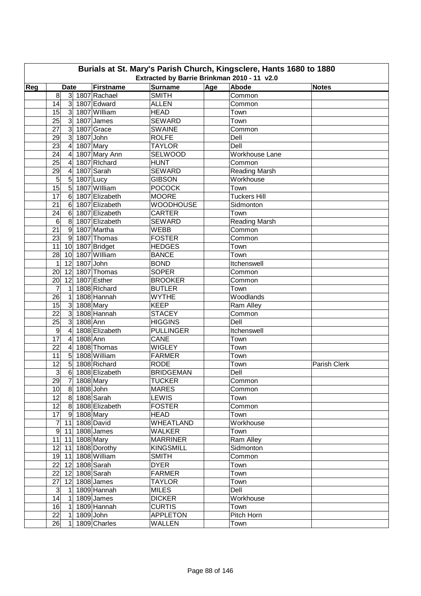| Burials at St. Mary's Parish Church, Kingsclere, Hants 1680 to 1880 |                                                                                                                                                    |                               |                               |  |                         |              |  |  |  |  |  |  |  |  |
|---------------------------------------------------------------------|----------------------------------------------------------------------------------------------------------------------------------------------------|-------------------------------|-------------------------------|--|-------------------------|--------------|--|--|--|--|--|--|--|--|
|                                                                     | Extracted by Barrie Brinkman 2010 - 11 v2.0<br>Age<br>Abode<br>Firstname<br><b>Surname</b><br>Reg<br><b>Notes</b><br><b>Date</b><br>3 1807 Rachael |                               |                               |  |                         |              |  |  |  |  |  |  |  |  |
|                                                                     | 8                                                                                                                                                  |                               | <b>SMITH</b>                  |  | Common                  |              |  |  |  |  |  |  |  |  |
|                                                                     | 14<br>3 <sup>2</sup>                                                                                                                               | 1807 Edward                   | <b>ALLEN</b>                  |  | Common                  |              |  |  |  |  |  |  |  |  |
|                                                                     | 15                                                                                                                                                 | 3 1807 William                | <b>HEAD</b>                   |  | Town                    |              |  |  |  |  |  |  |  |  |
|                                                                     | 25<br>$\mathbf{3}$                                                                                                                                 | 1807 James                    | <b>SEWARD</b>                 |  | Town                    |              |  |  |  |  |  |  |  |  |
|                                                                     | $\overline{3}$<br>27                                                                                                                               | 1807 Grace                    | <b>SWAINE</b>                 |  | Common                  |              |  |  |  |  |  |  |  |  |
|                                                                     | $\overline{3}$                                                                                                                                     | $1807$ John                   |                               |  | Dell                    |              |  |  |  |  |  |  |  |  |
|                                                                     | 29<br>23<br>$\overline{4}$                                                                                                                         | 1807 Mary                     | <b>ROLFE</b><br><b>TAYLOR</b> |  | Dell                    |              |  |  |  |  |  |  |  |  |
|                                                                     |                                                                                                                                                    |                               | SELWOOD                       |  | Workhouse Lane          |              |  |  |  |  |  |  |  |  |
|                                                                     | 24<br>4<br>25<br>$\overline{4}$                                                                                                                    | 1807 Mary Ann<br>1807 Richard | <b>HUNT</b>                   |  | Common                  |              |  |  |  |  |  |  |  |  |
|                                                                     | 29<br>$\overline{\mathbf{4}}$                                                                                                                      | 1807 Sarah                    | <b>SEWARD</b>                 |  | Reading Marsh           |              |  |  |  |  |  |  |  |  |
|                                                                     | $\sqrt{5}$<br>$\overline{5}$                                                                                                                       | $1807$ Lucy                   | <b>GIBSON</b>                 |  | Workhouse               |              |  |  |  |  |  |  |  |  |
|                                                                     | 15<br>5                                                                                                                                            | 1807 William                  | <b>POCOCK</b>                 |  | Town                    |              |  |  |  |  |  |  |  |  |
|                                                                     | 17<br>$\,6$                                                                                                                                        | 1807 Elizabeth                | <b>MOORE</b>                  |  | <b>Tuckers Hill</b>     |              |  |  |  |  |  |  |  |  |
|                                                                     |                                                                                                                                                    | 1807 Elizabeth                | <b>WOODHOUSE</b>              |  |                         |              |  |  |  |  |  |  |  |  |
|                                                                     | 21<br>6                                                                                                                                            | 1807 Elizabeth                |                               |  | Sidmonton               |              |  |  |  |  |  |  |  |  |
|                                                                     | 24<br>$6\phantom{1}6$                                                                                                                              |                               | <b>CARTER</b>                 |  | Town                    |              |  |  |  |  |  |  |  |  |
|                                                                     | 6<br>8<br>$\overline{21}$<br>$\boldsymbol{9}$                                                                                                      | 1807 Elizabeth<br>1807 Martha | <b>SEWARD</b><br><b>WEBB</b>  |  | Reading Marsh<br>Common |              |  |  |  |  |  |  |  |  |
|                                                                     |                                                                                                                                                    |                               |                               |  |                         |              |  |  |  |  |  |  |  |  |
|                                                                     | $\overline{23}$<br>9                                                                                                                               | 1807 Thomas                   | <b>FOSTER</b>                 |  | Common                  |              |  |  |  |  |  |  |  |  |
|                                                                     | 11<br>10                                                                                                                                           | 1807 Bridget                  | <b>HEDGES</b>                 |  | Town                    |              |  |  |  |  |  |  |  |  |
|                                                                     | 28<br>10                                                                                                                                           | 1807 William                  | <b>BANCE</b>                  |  | Town                    |              |  |  |  |  |  |  |  |  |
|                                                                     | 12<br>1                                                                                                                                            | 1807 John                     | <b>BOND</b>                   |  | Itchenswell             |              |  |  |  |  |  |  |  |  |
|                                                                     | 20<br>12                                                                                                                                           | 1807 Thomas                   | <b>SOPER</b>                  |  | Common                  |              |  |  |  |  |  |  |  |  |
|                                                                     | 20<br>12                                                                                                                                           | 1807 Esther                   | <b>BROOKER</b>                |  | Common                  |              |  |  |  |  |  |  |  |  |
|                                                                     | 7<br>1                                                                                                                                             | 1808 Richard                  | <b>BUTLER</b>                 |  | Town                    |              |  |  |  |  |  |  |  |  |
|                                                                     | 26<br>$\mathbf{1}$                                                                                                                                 | 1808 Hannah                   | <b>WYTHE</b>                  |  | Woodlands               |              |  |  |  |  |  |  |  |  |
|                                                                     | $\overline{3}$<br>15                                                                                                                               | 1808 Mary                     | <b>KEEP</b>                   |  | Ram Alley               |              |  |  |  |  |  |  |  |  |
|                                                                     | $\overline{3}$<br>22                                                                                                                               | 1808 Hannah                   | <b>STACEY</b>                 |  | Common                  |              |  |  |  |  |  |  |  |  |
|                                                                     | $\overline{3}$<br>1808 Ann<br>25                                                                                                                   |                               | <b>HIGGINS</b>                |  | Dell                    |              |  |  |  |  |  |  |  |  |
|                                                                     | $\overline{4}$<br>$\boldsymbol{9}$                                                                                                                 | 1808 Elizabeth                | <b>PULLINGER</b>              |  | Itchenswell             |              |  |  |  |  |  |  |  |  |
|                                                                     | 17<br>1808 Ann<br>$\overline{4}$                                                                                                                   |                               | CANE                          |  | Town                    |              |  |  |  |  |  |  |  |  |
|                                                                     | 22<br>$\overline{4}$                                                                                                                               | 1808 Thomas                   | <b>WIGLEY</b>                 |  | Town                    |              |  |  |  |  |  |  |  |  |
|                                                                     | 11<br>$5\overline{)}$                                                                                                                              | 1808 William                  | <b>FARMER</b>                 |  | Town                    |              |  |  |  |  |  |  |  |  |
|                                                                     | $\overline{5}$<br>12                                                                                                                               | 1808 Richard                  | <b>RODE</b>                   |  | Town                    | Parish Clerk |  |  |  |  |  |  |  |  |
|                                                                     | ω                                                                                                                                                  | 6 1808 Elizabeth              | <b>BRIDGEMAN</b>              |  | Dell                    |              |  |  |  |  |  |  |  |  |
|                                                                     | 29<br>7 1808 Mary                                                                                                                                  |                               | <b>TUCKER</b>                 |  | Common                  |              |  |  |  |  |  |  |  |  |
|                                                                     | 10 <sub>l</sub><br>8 1808 John                                                                                                                     |                               | <b>MARES</b>                  |  | Common                  |              |  |  |  |  |  |  |  |  |
|                                                                     | 8 1808 Sarah<br>12                                                                                                                                 |                               | <b>LEWIS</b>                  |  | Town                    |              |  |  |  |  |  |  |  |  |
|                                                                     | 12                                                                                                                                                 | 8 1808 Elizabeth              | <b>FOSTER</b>                 |  | Common                  |              |  |  |  |  |  |  |  |  |
|                                                                     | 17<br>9 1808 Mary                                                                                                                                  |                               | <b>HEAD</b>                   |  | Town                    |              |  |  |  |  |  |  |  |  |
|                                                                     | 11 1808 David<br>$\mathbf{7}$                                                                                                                      |                               | <b>WHEATLAND</b>              |  | Workhouse               |              |  |  |  |  |  |  |  |  |
|                                                                     | 9<br>11 1808 James                                                                                                                                 |                               | <b>WALKER</b>                 |  | Town                    |              |  |  |  |  |  |  |  |  |
|                                                                     | 11<br>11                                                                                                                                           | 1808 Mary                     | <b>MARRINER</b>               |  | Ram Alley               |              |  |  |  |  |  |  |  |  |
|                                                                     | $12$ 11                                                                                                                                            | 1808 Dorothy                  | <b>KINGSMILL</b>              |  | Sidmonton               |              |  |  |  |  |  |  |  |  |
|                                                                     | 19 11                                                                                                                                              | 1808 William                  | <b>SMITH</b>                  |  | Common                  |              |  |  |  |  |  |  |  |  |
|                                                                     | 22<br>12 1808 Sarah                                                                                                                                |                               | <b>DYER</b>                   |  | Town                    |              |  |  |  |  |  |  |  |  |
|                                                                     | 22<br>12 1808 Sarah                                                                                                                                |                               | <b>FARMER</b>                 |  | Town                    |              |  |  |  |  |  |  |  |  |
|                                                                     | 27<br>$\overline{12}$ 1808 James                                                                                                                   |                               | <b>TAYLOR</b>                 |  | Town                    |              |  |  |  |  |  |  |  |  |
|                                                                     | $\mathbf{3}$<br>$\mathbf{1}$                                                                                                                       | 1809 Hannah                   | <b>MILES</b>                  |  | Dell                    |              |  |  |  |  |  |  |  |  |
|                                                                     | 14<br>$\mathbf{1}$                                                                                                                                 | 1809 James                    | <b>DICKER</b>                 |  | Workhouse               |              |  |  |  |  |  |  |  |  |
|                                                                     | 16<br>1                                                                                                                                            | 1809 Hannah                   | <b>CURTIS</b>                 |  | Town                    |              |  |  |  |  |  |  |  |  |
|                                                                     | 22<br>1                                                                                                                                            | 1809 John                     | <b>APPLETON</b>               |  | Pitch Horn              |              |  |  |  |  |  |  |  |  |
|                                                                     | 26<br>1                                                                                                                                            | 1809 Charles                  | <b>WALLEN</b>                 |  | Town                    |              |  |  |  |  |  |  |  |  |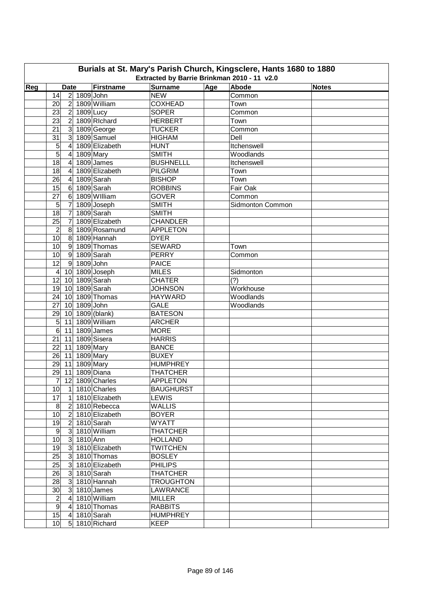| Burials at St. Mary's Parish Church, Kingsclere, Hants 1680 to 1880<br>Extracted by Barrie Brinkman 2010 - 11 v2.0 |                                            |                  |                               |     |                  |              |  |  |  |  |  |
|--------------------------------------------------------------------------------------------------------------------|--------------------------------------------|------------------|-------------------------------|-----|------------------|--------------|--|--|--|--|--|
| Reg                                                                                                                | <b>Date</b>                                | Firstname        | <b>Surname</b>                | Age | Abode            | <b>Notes</b> |  |  |  |  |  |
|                                                                                                                    | 2 1809 John<br>14                          |                  | <b>NEW</b>                    |     | Common           |              |  |  |  |  |  |
|                                                                                                                    | 2 <sup>1</sup><br>20                       | 1809 William     | <b>COXHEAD</b>                |     | Town             |              |  |  |  |  |  |
|                                                                                                                    | 23<br>2 1809 Lucy                          |                  | <b>SOPER</b>                  |     | Common           |              |  |  |  |  |  |
|                                                                                                                    | 2<br>23                                    | 1809 Richard     | <b>HERBERT</b>                |     | Town             |              |  |  |  |  |  |
|                                                                                                                    | 21<br>$\mathbf{3}$                         | 1809 George      | <b>TUCKER</b>                 |     | Common           |              |  |  |  |  |  |
|                                                                                                                    | $\overline{3}$<br>31                       | 1809 Samuel      | <b>HIGHAM</b>                 |     | Dell             |              |  |  |  |  |  |
|                                                                                                                    | 5<br>$\overline{4}$                        | 1809 Elizabeth   | <b>HUNT</b>                   |     | Itchenswell      |              |  |  |  |  |  |
|                                                                                                                    | 5<br>$\overline{\mathbf{4}}$               | 1809 Mary        | <b>SMITH</b>                  |     | Woodlands        |              |  |  |  |  |  |
|                                                                                                                    | $\overline{18}$<br>$\overline{\mathbf{4}}$ | 1809 James       | <b>BUSHNELLL</b>              |     | Itchenswell      |              |  |  |  |  |  |
|                                                                                                                    | 18<br>4                                    | 1809 Elizabeth   | <b>PILGRIM</b>                |     | Town             |              |  |  |  |  |  |
|                                                                                                                    | 26<br>$\overline{\mathbf{4}}$              | 1809 Sarah       | <b>BISHOP</b>                 |     | Town             |              |  |  |  |  |  |
|                                                                                                                    | 15<br>$\,6$                                | 1809 Sarah       | <b>ROBBINS</b>                |     | Fair Oak         |              |  |  |  |  |  |
|                                                                                                                    | $\overline{27}$<br>$6\phantom{1}$          | 1809 William     | <b>GOVER</b>                  |     | Common           |              |  |  |  |  |  |
|                                                                                                                    | $\overline{7}$<br>5                        | 1809 Joseph      | <b>SMITH</b>                  |     | Sidmonton Common |              |  |  |  |  |  |
|                                                                                                                    | $\overline{18}$<br>$\overline{7}$          | 1809 Sarah       | <b>SMITH</b>                  |     |                  |              |  |  |  |  |  |
|                                                                                                                    | 25<br>$\overline{7}$                       | 1809 Elizabeth   | <b>CHANDLER</b>               |     |                  |              |  |  |  |  |  |
|                                                                                                                    | 8                                          | 1809 Rosamund    | <b>APPLETON</b>               |     |                  |              |  |  |  |  |  |
|                                                                                                                    | $\overline{\mathbf{c}}$<br>$\overline{10}$ |                  |                               |     |                  |              |  |  |  |  |  |
|                                                                                                                    | 8                                          | 1809 Hannah      | <b>DYER</b>                   |     |                  |              |  |  |  |  |  |
|                                                                                                                    | 10<br>9                                    | 1809 Thomas      | <b>SEWARD</b><br><b>PERRY</b> |     | Town             |              |  |  |  |  |  |
|                                                                                                                    | 9 1809 Sarah<br>10                         |                  |                               |     | Common           |              |  |  |  |  |  |
|                                                                                                                    | 9 1809 John<br>12                          |                  | <b>PAICE</b>                  |     |                  |              |  |  |  |  |  |
|                                                                                                                    | 10 1809 Joseph<br>$\overline{\mathbf{4}}$  |                  | <b>MILES</b>                  |     | Sidmonton        |              |  |  |  |  |  |
|                                                                                                                    | 10 1809 Sarah<br>12                        |                  | <b>CHATER</b>                 |     | (?)              |              |  |  |  |  |  |
|                                                                                                                    | 10 1809 Sarah<br>19                        |                  | <b>JOHNSON</b>                |     | Workhouse        |              |  |  |  |  |  |
|                                                                                                                    | 10 1809 Thomas<br>24                       |                  | <b>HAYWARD</b>                |     | Woodlands        |              |  |  |  |  |  |
|                                                                                                                    | 10 1809 John<br>27                         |                  | <b>GALE</b>                   |     | Woodlands        |              |  |  |  |  |  |
|                                                                                                                    | 10 1809 (blank)<br>29                      |                  | <b>BATESON</b>                |     |                  |              |  |  |  |  |  |
|                                                                                                                    | $\overline{5}$<br>11                       | 1809 William     | <b>ARCHER</b>                 |     |                  |              |  |  |  |  |  |
|                                                                                                                    | $\,6$<br>11                                | 1809 James       | <b>MORE</b>                   |     |                  |              |  |  |  |  |  |
|                                                                                                                    | 11 1809 Sisera<br>21                       |                  | <b>HARRIS</b>                 |     |                  |              |  |  |  |  |  |
|                                                                                                                    | 22<br>11                                   | 1809 Mary        | <b>BANCE</b>                  |     |                  |              |  |  |  |  |  |
|                                                                                                                    | 26 11                                      | 1809 Mary        | <b>BUXEY</b>                  |     |                  |              |  |  |  |  |  |
|                                                                                                                    | 29 11                                      | $1809$ Mary      | <b>HUMPHREY</b>               |     |                  |              |  |  |  |  |  |
|                                                                                                                    | 29 11 1809 Diana                           |                  | <b>THATCHER</b>               |     |                  |              |  |  |  |  |  |
|                                                                                                                    | 7 12 1809 Charles                          |                  | <b>APPLETON</b>               |     |                  |              |  |  |  |  |  |
|                                                                                                                    | 10 <sup>1</sup><br>1 1810 Charles          |                  | <b>BAUGHURST</b>              |     |                  |              |  |  |  |  |  |
|                                                                                                                    | 17<br>$\mathbf{1}$                         | 1810 Elizabeth   | <b>LEWIS</b>                  |     |                  |              |  |  |  |  |  |
|                                                                                                                    | 8                                          | 2 1810 Rebecca   | <b>WALLIS</b>                 |     |                  |              |  |  |  |  |  |
|                                                                                                                    | 10 <sub>l</sub>                            | 2 1810 Elizabeth | <b>BOYER</b>                  |     |                  |              |  |  |  |  |  |
|                                                                                                                    | 19<br>2 1810 Sarah                         |                  | <b>WYATT</b>                  |     |                  |              |  |  |  |  |  |
|                                                                                                                    | 9<br>3 1810 William                        |                  | <b>THATCHER</b>               |     |                  |              |  |  |  |  |  |
|                                                                                                                    | 10 <sup>1</sup><br>3 1810 Ann              |                  | <b>HOLLAND</b>                |     |                  |              |  |  |  |  |  |
|                                                                                                                    | 19                                         | 3 1810 Elizabeth | <b>TWITCHEN</b>               |     |                  |              |  |  |  |  |  |
|                                                                                                                    | 25                                         | 3 1810 Thomas    | <b>BOSLEY</b>                 |     |                  |              |  |  |  |  |  |
|                                                                                                                    | 25                                         | 3 1810 Elizabeth | <b>PHILIPS</b>                |     |                  |              |  |  |  |  |  |
|                                                                                                                    | 26<br>3 1810 Sarah                         |                  | <b>THATCHER</b>               |     |                  |              |  |  |  |  |  |
|                                                                                                                    | 28                                         | 3 1810 Hannah    | <b>TROUGHTON</b>              |     |                  |              |  |  |  |  |  |
|                                                                                                                    | 3 1810 James<br>30                         |                  | <b>LAWRANCE</b>               |     |                  |              |  |  |  |  |  |
|                                                                                                                    | $\overline{c}$                             | 4 1810 William   | <b>MILLER</b>                 |     |                  |              |  |  |  |  |  |
|                                                                                                                    | 9                                          | $4$ 1810 Thomas  | <b>RABBITS</b>                |     |                  |              |  |  |  |  |  |
|                                                                                                                    | 15<br>4 1810 Sarah                         |                  | <b>HUMPHREY</b>               |     |                  |              |  |  |  |  |  |
|                                                                                                                    | 10                                         | 5 1810 Richard   | <b>KEEP</b>                   |     |                  |              |  |  |  |  |  |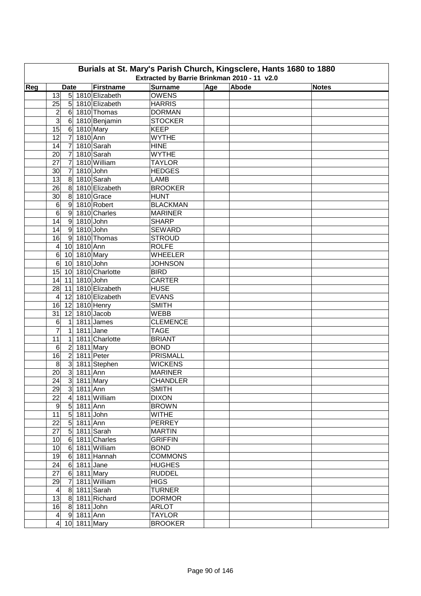| Burials at St. Mary's Parish Church, Kingsclere, Hants 1680 to 1880<br>Extracted by Barrie Brinkman 2010 - 11 v2.0 |                                         |                  |                                   |            |       |              |  |  |  |  |  |
|--------------------------------------------------------------------------------------------------------------------|-----------------------------------------|------------------|-----------------------------------|------------|-------|--------------|--|--|--|--|--|
|                                                                                                                    |                                         |                  |                                   |            |       |              |  |  |  |  |  |
| Reg                                                                                                                | <b>Date</b>                             | Firstname        | <b>Surname</b>                    | <b>Age</b> | Abode | <b>Notes</b> |  |  |  |  |  |
|                                                                                                                    | 13                                      | 5 1810 Elizabeth | <b>OWENS</b>                      |            |       |              |  |  |  |  |  |
|                                                                                                                    | 25                                      | 5 1810 Elizabeth | <b>HARRIS</b>                     |            |       |              |  |  |  |  |  |
|                                                                                                                    | 2                                       | $6$ 1810 Thomas  | <b>DORMAN</b>                     |            |       |              |  |  |  |  |  |
|                                                                                                                    | $\overline{3}$                          | 6 1810 Benjamin  | <b>STOCKER</b>                    |            |       |              |  |  |  |  |  |
|                                                                                                                    | $\overline{15}$<br>6 1810 Mary          |                  | <b>KEEP</b>                       |            |       |              |  |  |  |  |  |
|                                                                                                                    | 7 1810 Ann<br>12                        |                  | <b>WYTHE</b>                      |            |       |              |  |  |  |  |  |
|                                                                                                                    | 14<br>$\overline{7}$                    | 1810 Sarah       | <b>HINE</b>                       |            |       |              |  |  |  |  |  |
|                                                                                                                    | 20<br>$\overline{7}$                    | 1810 Sarah       | <b>WYTHE</b>                      |            |       |              |  |  |  |  |  |
|                                                                                                                    | 27<br>$\overline{7}$                    | 1810 William     | <b>TAYLOR</b>                     |            |       |              |  |  |  |  |  |
|                                                                                                                    | 1810 John<br>$\overline{7}$<br>30       |                  | <b>HEDGES</b>                     |            |       |              |  |  |  |  |  |
|                                                                                                                    | 8 1810 Sarah<br>13                      |                  | <b>LAMB</b>                       |            |       |              |  |  |  |  |  |
|                                                                                                                    | 26                                      | 8 1810 Elizabeth | <b>BROOKER</b>                    |            |       |              |  |  |  |  |  |
|                                                                                                                    | 30<br>8 1810 Grace                      |                  | <b>HUNT</b>                       |            |       |              |  |  |  |  |  |
|                                                                                                                    | 6<br>9 1810 Robert                      |                  | <b>BLACKMAN</b>                   |            |       |              |  |  |  |  |  |
|                                                                                                                    | $\overline{6}$<br>9 1810 Charles        |                  | <b>MARINER</b>                    |            |       |              |  |  |  |  |  |
|                                                                                                                    | 14<br>9 1810 John                       |                  | <b>SHARP</b>                      |            |       |              |  |  |  |  |  |
|                                                                                                                    | 14<br>9 1810 John                       |                  | <b>SEWARD</b>                     |            |       |              |  |  |  |  |  |
|                                                                                                                    | 16                                      | 9 1810 Thomas    | <b>STROUD</b>                     |            |       |              |  |  |  |  |  |
|                                                                                                                    | 10 1810 Ann<br>$\overline{4}$           |                  | <b>ROLFE</b>                      |            |       |              |  |  |  |  |  |
|                                                                                                                    | $\,6$<br>10 1810 Mary                   |                  | <b>WHEELER</b>                    |            |       |              |  |  |  |  |  |
|                                                                                                                    | 10 1810 John<br>$6\phantom{1}$          |                  | <b>JOHNSON</b>                    |            |       |              |  |  |  |  |  |
|                                                                                                                    | 10 1810 Charlotte<br>15                 |                  | <b>BIRD</b>                       |            |       |              |  |  |  |  |  |
|                                                                                                                    | 14 11 1810 John                         |                  | <b>CARTER</b>                     |            |       |              |  |  |  |  |  |
|                                                                                                                    | 11 1810 Elizabeth<br>28                 |                  | <b>HUSE</b>                       |            |       |              |  |  |  |  |  |
|                                                                                                                    | 4 12 1810 Elizabeth                     |                  | <b>EVANS</b>                      |            |       |              |  |  |  |  |  |
|                                                                                                                    | 16 12 1810 Henry                        |                  | <b>SMITH</b>                      |            |       |              |  |  |  |  |  |
|                                                                                                                    | 12 1810 Jacob<br>31                     |                  | <b>WEBB</b>                       |            |       |              |  |  |  |  |  |
|                                                                                                                    | 6<br>1<br>7                             | 1811 James       | <b>CLEMENCE</b>                   |            |       |              |  |  |  |  |  |
|                                                                                                                    | $1811$ Jane<br>$\vert$ 1                |                  | <b>TAGE</b>                       |            |       |              |  |  |  |  |  |
|                                                                                                                    | 11<br>$\mathbf{1}$                      | 1811 Charlotte   | <b>BRIANT</b>                     |            |       |              |  |  |  |  |  |
|                                                                                                                    | 2 1811 Mary<br>$\,6$                    |                  | <b>BOND</b>                       |            |       |              |  |  |  |  |  |
|                                                                                                                    | 2 1811 Peter<br>16<br>$\bf 8$           | 3 1811 Stephen   | <b>PRISMALL</b><br><b>WICKENS</b> |            |       |              |  |  |  |  |  |
|                                                                                                                    | 3 1811 Ann<br>20                        |                  | <b>MARINER</b>                    |            |       |              |  |  |  |  |  |
|                                                                                                                    |                                         |                  | <b>CHANDLER</b>                   |            |       |              |  |  |  |  |  |
|                                                                                                                    | 24<br>3 1811 Mary<br>29<br>$3$ 1811 Ann |                  | <b>SMITH</b>                      |            |       |              |  |  |  |  |  |
|                                                                                                                    | 22<br>4 1811 William                    |                  | <b>DIXON</b>                      |            |       |              |  |  |  |  |  |
|                                                                                                                    | 5 1811 Ann<br>9                         |                  | <b>BROWN</b>                      |            |       |              |  |  |  |  |  |
|                                                                                                                    | 11<br>5 1811 John                       |                  | <b>WITHE</b>                      |            |       |              |  |  |  |  |  |
|                                                                                                                    | 5 1811 Ann<br>22                        |                  | <b>PERREY</b>                     |            |       |              |  |  |  |  |  |
|                                                                                                                    | 27<br>5 1811 Sarah                      |                  | <b>MARTIN</b>                     |            |       |              |  |  |  |  |  |
|                                                                                                                    | 6 1811 Charles<br>10                    |                  | <b>GRIFFIN</b>                    |            |       |              |  |  |  |  |  |
|                                                                                                                    | 10<br>6 1811 William                    |                  | <b>BOND</b>                       |            |       |              |  |  |  |  |  |
|                                                                                                                    | 19<br>6 1811 Hannah                     |                  | <b>COMMONS</b>                    |            |       |              |  |  |  |  |  |
|                                                                                                                    | 24<br>6 1811 Jane                       |                  | <b>HUGHES</b>                     |            |       |              |  |  |  |  |  |
|                                                                                                                    | 6 1811 Mary<br>27                       |                  | <b>RUDDEL</b>                     |            |       |              |  |  |  |  |  |
|                                                                                                                    | 29<br>7 1811 William                    |                  | <b>HIGS</b>                       |            |       |              |  |  |  |  |  |
|                                                                                                                    | 8 1811 Sarah<br>$\overline{4}$          |                  | <b>TURNER</b>                     |            |       |              |  |  |  |  |  |
|                                                                                                                    | 13<br>8 1811 Richard                    |                  | <b>DORMOR</b>                     |            |       |              |  |  |  |  |  |
|                                                                                                                    | 8 1811 John<br>16                       |                  | <b>ARLOT</b>                      |            |       |              |  |  |  |  |  |
|                                                                                                                    | 9 1811 Ann<br>$\vert 4 \vert$           |                  | <b>TAYLOR</b>                     |            |       |              |  |  |  |  |  |
|                                                                                                                    | $\overline{4}$<br>10 1811 Mary          |                  | <b>BROOKER</b>                    |            |       |              |  |  |  |  |  |
|                                                                                                                    |                                         |                  |                                   |            |       |              |  |  |  |  |  |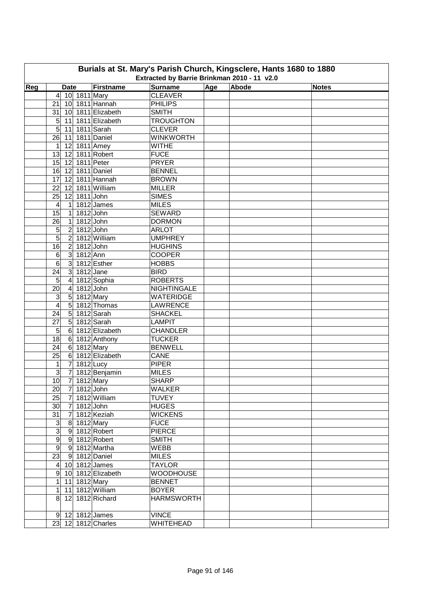|     |                                           |                   |                                             |     | Burials at St. Mary's Parish Church, Kingsclere, Hants 1680 to 1880 |              |
|-----|-------------------------------------------|-------------------|---------------------------------------------|-----|---------------------------------------------------------------------|--------------|
|     |                                           |                   | Extracted by Barrie Brinkman 2010 - 11 v2.0 |     |                                                                     |              |
| Reg | <b>Date</b>                               | <b>Firstname</b>  | <b>Surname</b>                              | Age | Abode                                                               | <b>Notes</b> |
|     | 10 1811 Mary<br>4                         |                   | <b>CLEAVER</b>                              |     |                                                                     |              |
|     | 10 1811 Hannah<br>21                      |                   | <b>PHILIPS</b>                              |     |                                                                     |              |
|     | 31                                        | 10 1811 Elizabeth | <b>SMITH</b>                                |     |                                                                     |              |
|     | 5<br>11                                   | 1811 Elizabeth    | <b>TROUGHTON</b>                            |     |                                                                     |              |
|     | 5<br>11                                   | 1811 Sarah        | <b>CLEVER</b>                               |     |                                                                     |              |
|     | 26<br>11                                  | 1811 Daniel       | <b>WINKWORTH</b>                            |     |                                                                     |              |
|     | $\mathbf{1}$<br>12                        | 1811 Amey         | <b>WITHE</b>                                |     |                                                                     |              |
|     | 13<br>12                                  | 1811 Robert       | <b>FUCE</b>                                 |     |                                                                     |              |
|     | 15<br>12                                  | 1811 Peter        | <b>PRYER</b>                                |     |                                                                     |              |
|     | 16<br>12                                  | 1811 Daniel       | <b>BENNEL</b>                               |     |                                                                     |              |
|     | 17<br>12                                  | 1811 Hannah       | <b>BROWN</b>                                |     |                                                                     |              |
|     | 22<br>12                                  | 1811 William      | <b>MILLER</b>                               |     |                                                                     |              |
|     | 1811 John<br>25<br>12                     |                   | <b>SIMES</b>                                |     |                                                                     |              |
|     | 4<br>$\mathbf{1}$                         | 1812 James        | <b>MILES</b>                                |     |                                                                     |              |
|     | 15<br>$\mathbf{1}$                        | $1812$ John       | <b>SEWARD</b>                               |     |                                                                     |              |
|     | $\overline{26}$<br>$\mathbf{1}$           | 1812 John         | <b>DORMON</b>                               |     |                                                                     |              |
|     | $\overline{2}$<br>5<br>$1812$ John        |                   | <b>ARLOT</b>                                |     |                                                                     |              |
|     | $\overline{5}$<br>$\overline{2}$          | 1812 William      | <b>UMPHREY</b>                              |     |                                                                     |              |
|     | $\overline{2}$<br>$1812$ John<br>16       |                   | <b>HUGHINS</b>                              |     |                                                                     |              |
|     | $\overline{3}$<br>1812 Ann<br>6           |                   | <b>COOPER</b>                               |     |                                                                     |              |
|     | $\overline{3}$<br>6                       | 1812 Esther       | <b>HOBBS</b>                                |     |                                                                     |              |
|     | $\mathbf{3}$<br>24<br>$1812$ Jane         |                   | <b>BIRD</b>                                 |     |                                                                     |              |
|     | 5<br>$\overline{4}$                       | 1812 Sophia       | <b>ROBERTS</b>                              |     |                                                                     |              |
|     | 20<br>$\overline{\mathbf{4}}$             | 1812 John         | <b>NIGHTINGALE</b>                          |     |                                                                     |              |
|     | $\overline{5}$<br>3                       | 1812 Mary         | <b>WATERIDGE</b>                            |     |                                                                     |              |
|     | $\overline{5}$<br>$\overline{\mathbf{4}}$ | 1812 Thomas       | <b>LAWRENCE</b>                             |     |                                                                     |              |
|     | $\overline{5}$<br>24                      | 1812 Sarah        | <b>SHACKEL</b>                              |     |                                                                     |              |
|     | 5<br>27                                   | 1812 Sarah        | <b>LAMPIT</b>                               |     |                                                                     |              |
|     | 5<br>$\,6$                                | 1812 Elizabeth    | <b>CHANDLER</b>                             |     |                                                                     |              |
|     | 18<br>$\,$ 6 $\,$                         | 1812 Anthony      | <b>TUCKER</b>                               |     |                                                                     |              |
|     | $\,6$<br>24                               | 1812 Mary         | <b>BENWELL</b>                              |     |                                                                     |              |
|     | $\,6$<br>25                               | 1812 Elizabeth    | CANE                                        |     |                                                                     |              |
|     | $\overline{7}$<br>$1812$ Lucy<br>1        |                   | <b>PIPER</b>                                |     |                                                                     |              |
|     | $\overline{7}$<br>3                       | 1812 Benjamin     | <b>MILES</b>                                |     |                                                                     |              |
|     | 10<br>7 1812 Mary                         |                   | <b>SHARP</b>                                |     |                                                                     |              |
|     | 20<br>$\overline{7}$<br>$1812$ John       |                   | <b>WALKER</b>                               |     |                                                                     |              |
|     | 25<br>$\overline{7}$                      | 1812 William      | <b>TUVEY</b>                                |     |                                                                     |              |
|     | $\overline{7}$<br>30<br>$1812$ John       |                   | <b>HUGES</b>                                |     |                                                                     |              |
|     | 31<br>$\overline{7}$                      | 1812 Keziah       | <b>WICKENS</b>                              |     |                                                                     |              |
|     | $\overline{3}$<br>8 1812 Mary             |                   | <b>FUCE</b>                                 |     |                                                                     |              |
|     | $\overline{3}$<br>9 1812 Robert           |                   | <b>PIERCE</b>                               |     |                                                                     |              |
|     | $\overline{9}$<br>9 1812 Robert           |                   | <b>SMITH</b>                                |     |                                                                     |              |
|     | $\overline{9}$<br>9 1812 Martha           |                   | WEBB                                        |     |                                                                     |              |
|     | 23<br>9 1812 Daniel                       |                   | <b>MILES</b>                                |     |                                                                     |              |
|     | 10 1812 James<br>$\vert 4 \vert$          |                   | <b>TAYLOR</b>                               |     |                                                                     |              |
|     | $\boldsymbol{9}$                          | 10 1812 Elizabeth | <b>WOODHOUSE</b>                            |     |                                                                     |              |
|     | $\mathbf{1}$<br>1812 Mary<br>11           |                   | <b>BENNET</b>                               |     |                                                                     |              |
|     | 11 1812 William<br>1                      |                   | <b>BOYER</b>                                |     |                                                                     |              |
|     | 8<br>12                                   | 1812 Richard      | <b>HARMSWORTH</b>                           |     |                                                                     |              |
|     |                                           |                   |                                             |     |                                                                     |              |
|     | $9$ 12 1812 James                         |                   | <b>VINCE</b>                                |     |                                                                     |              |
|     | 23 12 1812 Charles                        |                   | WHITEHEAD                                   |     |                                                                     |              |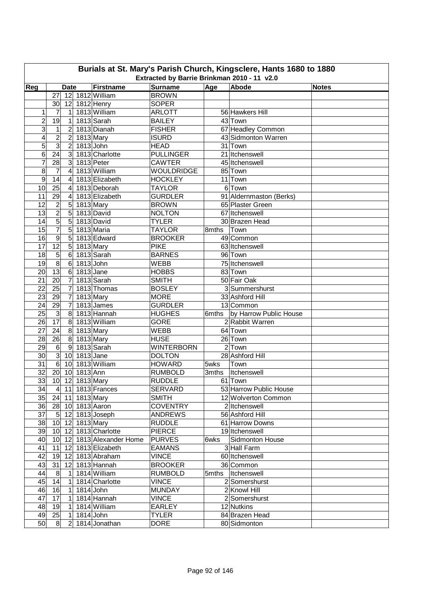|                  | Burials at St. Mary's Parish Church, Kingsclere, Hants 1680 to 1880<br>Extracted by Barrie Brinkman 2010 - 11 v2.0 |                  |                 |                      |                   |          |                         |              |  |  |  |  |  |
|------------------|--------------------------------------------------------------------------------------------------------------------|------------------|-----------------|----------------------|-------------------|----------|-------------------------|--------------|--|--|--|--|--|
| Reg              |                                                                                                                    | <b>Date</b>      |                 | <b>Firstname</b>     | <b>Surname</b>    | Age      | Abode                   | <b>Notes</b> |  |  |  |  |  |
|                  | 27                                                                                                                 |                  |                 | 12 1812 William      | <b>BROWN</b>      |          |                         |              |  |  |  |  |  |
|                  | 30                                                                                                                 | 12               |                 | $1812$ Henry         | <b>SOPER</b>      |          |                         |              |  |  |  |  |  |
| 1                | 7                                                                                                                  | 1                |                 | 1813 William         | <b>ARLOTT</b>     |          | 56 Hawkers Hill         |              |  |  |  |  |  |
| $\overline{c}$   | 19                                                                                                                 | 1                |                 | 1813 Sarah           | <b>BAILEY</b>     |          | 43 Town                 |              |  |  |  |  |  |
| 3                | 1                                                                                                                  | $\overline{2}$   |                 | 1813 Dianah          | <b>FISHER</b>     |          | 67 Headley Common       |              |  |  |  |  |  |
| 4                | $\overline{\mathbf{c}}$                                                                                            | $\overline{c}$   |                 | 1813 Mary            | <b>ISURD</b>      |          | 43 Sidmonton Warren     |              |  |  |  |  |  |
| 5                | $\overline{3}$                                                                                                     | $\overline{c}$   | $1813$ John     |                      | <b>HEAD</b>       |          | 31 Town                 |              |  |  |  |  |  |
| 6                | $\overline{24}$                                                                                                    | $\overline{3}$   |                 | 1813 Charlotte       | <b>PULLINGER</b>  |          | 21 Itchenswell          |              |  |  |  |  |  |
| 7                | 28                                                                                                                 | $\overline{3}$   |                 | 1813 Peter           | <b>CAWTER</b>     |          | 45 Itchenswell          |              |  |  |  |  |  |
| 8                | $\overline{7}$                                                                                                     | $\overline{4}$   |                 | 1813 William         | <b>WOULDRIDGE</b> |          | 85 Town                 |              |  |  |  |  |  |
| $\boldsymbol{9}$ | 14                                                                                                                 | $\overline{4}$   |                 | 1813 Elizabeth       | <b>HOCKLEY</b>    |          | $11$ Town               |              |  |  |  |  |  |
| 10               | 25                                                                                                                 | 4                |                 | 1813 Deborah         | <b>TAYLOR</b>     |          | 6 Town                  |              |  |  |  |  |  |
| 11               | 29                                                                                                                 | 4                |                 | 1813 Elizabeth       | <b>GURDLER</b>    |          | 91 Aldernmaston (Berks) |              |  |  |  |  |  |
| 12               | $\overline{c}$                                                                                                     | $5\overline{)}$  | 1813 Mary       |                      | <b>BROWN</b>      |          | 65 Plaster Green        |              |  |  |  |  |  |
| $\overline{13}$  | $\overline{2}$                                                                                                     | $\overline{5}$   |                 | 1813 David           | <b>NOLTON</b>     |          | 67 Itchenswell          |              |  |  |  |  |  |
| 14               | $\overline{5}$                                                                                                     | $\overline{5}$   |                 | 1813 David           | <b>TYLER</b>      |          | 30 Brazen Head          |              |  |  |  |  |  |
| $\overline{15}$  | $\overline{7}$                                                                                                     | $\overline{5}$   |                 | 1813 Maria           | <b>TAYLOR</b>     | 8mths    | Town                    |              |  |  |  |  |  |
| 16               | $\overline{9}$                                                                                                     | $5\overline{)}$  |                 | 1813 Edward          | <b>BROOKER</b>    |          | 49 Common               |              |  |  |  |  |  |
| 17               | $\overline{12}$                                                                                                    | $5\overline{)}$  | 1813 Mary       |                      | <b>PIKE</b>       |          | 63 Itchenswell          |              |  |  |  |  |  |
| 18               | $\overline{5}$                                                                                                     | 6                |                 | 1813 Sarah           | <b>BARNES</b>     |          | 96 Town                 |              |  |  |  |  |  |
| 19               | $\overline{8}$                                                                                                     | $\,6$            | 1813 John       |                      | <b>WEBB</b>       |          | 75 Itchenswell          |              |  |  |  |  |  |
| 20               | $\overline{13}$                                                                                                    | $6 \overline{6}$ | $1813$ Jane     |                      | <b>HOBBS</b>      |          | 83 Town                 |              |  |  |  |  |  |
| 21               | 20                                                                                                                 | $\overline{7}$   |                 | 1813 Sarah           | <b>SMITH</b>      |          | 50 Fair Oak             |              |  |  |  |  |  |
| 22               | 25                                                                                                                 | $\overline{7}$   |                 | 1813 Thomas          | <b>BOSLEY</b>     |          | 3 Summershurst          |              |  |  |  |  |  |
| 23               | 29                                                                                                                 | $\overline{7}$   | 1813 Mary       |                      | <b>MORE</b>       |          | 33 Ashford Hill         |              |  |  |  |  |  |
| 24               | 29                                                                                                                 | $\overline{7}$   |                 | 1813 James           | <b>GURDLER</b>    |          | 13 Common               |              |  |  |  |  |  |
| 25               | $\overline{3}$                                                                                                     | $\overline{8}$   |                 | 1813 Hannah          | <b>HUGHES</b>     | $6$ mths | by Harrow Public House  |              |  |  |  |  |  |
| 26               | $\overline{17}$                                                                                                    | 8                |                 | 1813 William         | <b>GORE</b>       |          | 2 Rabbit Warren         |              |  |  |  |  |  |
| 27               | 24                                                                                                                 | 8                | 1813 Mary       |                      | <b>WEBB</b>       |          | 64 Town                 |              |  |  |  |  |  |
| 28               | 26                                                                                                                 | 8                |                 | 1813 Mary            | <b>HUSE</b>       |          | 26 Town                 |              |  |  |  |  |  |
| 29               | $\,6$                                                                                                              | $\overline{9}$   |                 | 1813 Sarah           | <b>WINTERBORN</b> |          | $2$ Town                |              |  |  |  |  |  |
| 30               | $\overline{3}$                                                                                                     | 10 <sup>1</sup>  | $1813$ Jane     |                      | <b>DOLTON</b>     |          | 28 Ashford Hill         |              |  |  |  |  |  |
| 31               | 6                                                                                                                  |                  |                 | 10 1813 William      | <b>HOWARD</b>     | 5wks     | Town                    |              |  |  |  |  |  |
| 32               | 20 <sup>1</sup>                                                                                                    |                  | 10 1813 Ann     |                      | <b>RUMBOLD</b>    | 3mths    | Itchenswell             |              |  |  |  |  |  |
| 33               |                                                                                                                    |                  |                 | 10 12 1813 Mary      | <b>RUDDLE</b>     |          | 61 Town                 |              |  |  |  |  |  |
| 34               |                                                                                                                    |                  |                 | 4 11 1813 Frances    | <b>SERVARD</b>    |          | 53 Harrow Public House  |              |  |  |  |  |  |
| 35               |                                                                                                                    |                  |                 | 24 11 1813 Mary      | <b>SMITH</b>      |          | 12 Wolverton Common     |              |  |  |  |  |  |
| 36               |                                                                                                                    |                  |                 | 28 10 1813 Aaron     | <b>COVENTRY</b>   |          | 2 Itchenswell           |              |  |  |  |  |  |
| 37               |                                                                                                                    |                  |                 | 5 12 1813 Joseph     | <b>ANDREWS</b>    |          | 56 Ashford Hill         |              |  |  |  |  |  |
| 38               |                                                                                                                    |                  | 10 12 1813 Mary |                      | <b>RUDDLE</b>     |          | 61 Harrow Downs         |              |  |  |  |  |  |
| 39               |                                                                                                                    |                  |                 | 10 12 1813 Charlotte | <b>PIERCE</b>     |          | 19 Itchenswell          |              |  |  |  |  |  |
| 40               | $10$ 12                                                                                                            |                  |                 | 1813 Alexander Home  | <b>PURVES</b>     | 6wks     | Sidmonton House         |              |  |  |  |  |  |
| 41               |                                                                                                                    |                  |                 | 11 12 1813 Elizabeth | <b>EAMANS</b>     |          | 3 Hall Farm             |              |  |  |  |  |  |
| 42               |                                                                                                                    |                  |                 | 19 12 1813 Abraham   | <b>VINCE</b>      |          | 60 Itchenswell          |              |  |  |  |  |  |
| 43               |                                                                                                                    |                  |                 | 31 12 1813 Hannah    | <b>BROOKER</b>    |          | 36 Common               |              |  |  |  |  |  |
| 44               | 8                                                                                                                  | $\mathbf{1}$     |                 | 1814 William         | <b>RUMBOLD</b>    |          | 5mths   Itchenswell     |              |  |  |  |  |  |
| 45               | 14                                                                                                                 | $\mathbf 1$      |                 | 1814 Charlotte       | <b>VINCE</b>      |          | 2 Somershurst           |              |  |  |  |  |  |
| 46               | 16                                                                                                                 | 1                | 1814 John       |                      | <b>MUNDAY</b>     |          | 2 Knowl Hill            |              |  |  |  |  |  |
| 47               | 17                                                                                                                 | 1                |                 | 1814 Hannah          | <b>VINCE</b>      |          | 2 Somershurst           |              |  |  |  |  |  |
| 48               | 19                                                                                                                 | 1                |                 | 1814 William         | <b>EARLEY</b>     |          | 12 Nutkins              |              |  |  |  |  |  |
| 49               | 25                                                                                                                 | 1                |                 | 1814 John            | <b>TYLER</b>      |          | 84 Brazen Head          |              |  |  |  |  |  |
| 50               | $8^{\circ}$                                                                                                        | $\overline{2}$   |                 | 1814 Jonathan        | <b>DORE</b>       |          | 80 Sidmonton            |              |  |  |  |  |  |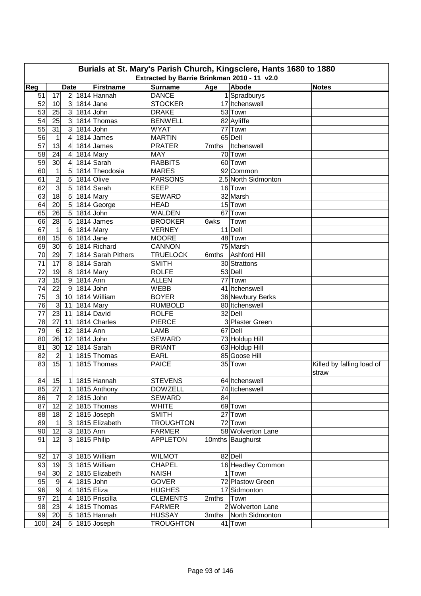|     | Burials at St. Mary's Parish Church, Kingsclere, Hants 1680 to 1880<br>Extracted by Barrie Brinkman 2010 - 11 v2.0 |                  |             |                    |                  |       |                     |                           |  |  |  |  |  |
|-----|--------------------------------------------------------------------------------------------------------------------|------------------|-------------|--------------------|------------------|-------|---------------------|---------------------------|--|--|--|--|--|
|     |                                                                                                                    |                  |             |                    |                  |       |                     |                           |  |  |  |  |  |
| Reg |                                                                                                                    | <b>Date</b>      |             | <b>Firstname</b>   | <b>Surname</b>   | Age   | Abode               | <b>Notes</b>              |  |  |  |  |  |
| 51  | 17                                                                                                                 | $\overline{2}$   |             | 1814 Hannah        | <b>DANCE</b>     |       | 1 Spradburys        |                           |  |  |  |  |  |
| 52  | 10                                                                                                                 | $\mathbf{3}$     | $1814$ Jane |                    | <b>STOCKER</b>   |       | 17 Itchenswell      |                           |  |  |  |  |  |
| 53  | 25                                                                                                                 | 3 <sup>1</sup>   | $1814$ John |                    | <b>DRAKE</b>     |       | 53 Town             |                           |  |  |  |  |  |
| 54  | 25                                                                                                                 | 3 <sup>1</sup>   |             | 1814 Thomas        | <b>BENWELL</b>   |       | 82 Ayliffe          |                           |  |  |  |  |  |
| 55  | 31                                                                                                                 | $\overline{3}$   | $1814$ John |                    | <b>WYAT</b>      |       | 77 Town             |                           |  |  |  |  |  |
| 56  | 1                                                                                                                  | 4                |             | $1814$ James       | <b>MARTIN</b>    |       | 65 Dell             |                           |  |  |  |  |  |
| 57  | 13                                                                                                                 | 4                |             | 1814 James         | <b>PRATER</b>    | 7mths | Itchenswell         |                           |  |  |  |  |  |
| 58  | 24                                                                                                                 | 4                |             | 1814 Mary          | <b>MAY</b>       |       | 70 Town             |                           |  |  |  |  |  |
| 59  | 30                                                                                                                 | 4                |             | 1814 Sarah         | <b>RABBITS</b>   |       | 60 Town             |                           |  |  |  |  |  |
| 60  | $\mathbf 1$                                                                                                        | 5                |             | 1814 Theodosia     | <b>MARES</b>     |       | 92 Common           |                           |  |  |  |  |  |
| 61  | $\overline{2}$                                                                                                     | 5                |             | 1814 Olive         | <b>PARSONS</b>   |       | 2.5 North Sidmonton |                           |  |  |  |  |  |
| 62  | $\overline{3}$                                                                                                     | 5                |             | 1814 Sarah         | <b>KEEP</b>      |       | 16 Town             |                           |  |  |  |  |  |
| 63  | 18                                                                                                                 | 5                | 1814 Mary   |                    | <b>SEWARD</b>    |       | 32 Marsh            |                           |  |  |  |  |  |
| 64  | 20                                                                                                                 | 5                |             | 1814 George        | <b>HEAD</b>      |       | 15 Town             |                           |  |  |  |  |  |
| 65  | 26                                                                                                                 | $\overline{5}$   | 1814 John   |                    | <b>WALDEN</b>    |       | 67 Town             |                           |  |  |  |  |  |
| 66  | 28                                                                                                                 | 5                |             | 1814 James         | <b>BROOKER</b>   | 6wks  | Town                |                           |  |  |  |  |  |
| 67  | $\mathbf{1}$                                                                                                       | 6                |             | 1814 Mary          | <b>VERNEY</b>    |       | $11$ Dell           |                           |  |  |  |  |  |
| 68  | 15                                                                                                                 | $6\phantom{1}6$  | $1814$ Jane |                    | <b>MOORE</b>     |       | 48 Town             |                           |  |  |  |  |  |
| 69  | 30                                                                                                                 | $6\phantom{1}6$  |             | 1814 Richard       | CANNON           |       | 75 Marsh            |                           |  |  |  |  |  |
| 70  | $\overline{29}$                                                                                                    | $\overline{7}$   |             | 1814 Sarah Pithers | <b>TRUELOCK</b>  | 6mths | Ashford Hill        |                           |  |  |  |  |  |
| 71  | $\overline{17}$                                                                                                    | 8                |             | 1814 Sarah         | <b>SMITH</b>     |       | 30 Strattons        |                           |  |  |  |  |  |
| 72  | 19                                                                                                                 | $\,8\,$          |             | 1814 Mary          | <b>ROLFE</b>     |       | 53 Dell             |                           |  |  |  |  |  |
| 73  | 15                                                                                                                 | $\overline{9}$   | 1814 Ann    |                    | <b>ALLEN</b>     |       | 77 Town             |                           |  |  |  |  |  |
| 74  | $\overline{22}$                                                                                                    | $\overline{9}$   | $1814$ John |                    | <b>WEBB</b>      |       | 41 Itchenswell      |                           |  |  |  |  |  |
| 75  | $\overline{3}$                                                                                                     | 10               |             | 1814 William       | <b>BOYER</b>     |       | 36 Newbury Berks    |                           |  |  |  |  |  |
| 76  | $\overline{3}$                                                                                                     | 11               | 1814 Mary   |                    | <b>RUMBOLD</b>   |       | 80 Itchenswell      |                           |  |  |  |  |  |
| 77  | $23$ 11                                                                                                            |                  |             | 1814 David         | <b>ROLFE</b>     |       | 32 Dell             |                           |  |  |  |  |  |
| 78  | $\overline{27}$                                                                                                    | 11               |             | 1814 Charles       | <b>PIERCE</b>    |       | 3 Plaster Green     |                           |  |  |  |  |  |
| 79  | $6 \,$                                                                                                             | 12               | 1814 Ann    |                    | <b>LAMB</b>      |       | 67 Dell             |                           |  |  |  |  |  |
| 80  | 26                                                                                                                 | 12               | $1814$ John |                    | <b>SEWARD</b>    |       | 73 Holdup Hill      |                           |  |  |  |  |  |
| 81  | 30 <sub>o</sub>                                                                                                    | 12               |             | 1814 Sarah         | <b>BRIANT</b>    |       | 63 Holdup Hill      |                           |  |  |  |  |  |
| 82  | $\overline{2}$                                                                                                     | $\mathbf 1$      |             | 1815 Thomas        | <b>EARL</b>      |       | 85 Goose Hill       |                           |  |  |  |  |  |
| 83  | 15                                                                                                                 | 1                |             | 1815 Thomas        | <b>PAICE</b>     |       | 35 Town             | Killed by falling load of |  |  |  |  |  |
|     |                                                                                                                    |                  |             |                    |                  |       |                     | straw                     |  |  |  |  |  |
| 84  | 15                                                                                                                 |                  |             | $1$ 1815 Hannah    | <b>STEVENS</b>   |       | 64 Itchenswell      |                           |  |  |  |  |  |
| 85  | 27                                                                                                                 | 1                |             | 1815 Anthony       | <b>DOWZELL</b>   |       | 74 Itchenswell      |                           |  |  |  |  |  |
| 86  | 7                                                                                                                  | $\boldsymbol{2}$ | 1815 John   |                    | <b>SEWARD</b>    | 84    |                     |                           |  |  |  |  |  |
| 87  | 12                                                                                                                 | $\overline{2}$   |             | 1815 Thomas        | <b>WHITE</b>     |       | 69 Town             |                           |  |  |  |  |  |
| 88  | 18                                                                                                                 | 2                |             | 1815 Joseph        | <b>SMITH</b>     |       | 27 Town             |                           |  |  |  |  |  |
| 89  | $\mathbf 1$                                                                                                        | $\overline{3}$   |             | 1815 Elizabeth     | <b>TROUGHTON</b> |       | 72 Town             |                           |  |  |  |  |  |
| 90  | 12                                                                                                                 | 3 <sup>2</sup>   | 1815 Ann    |                    | <b>FARMER</b>    |       | 58 Wolverton Lane   |                           |  |  |  |  |  |
| 91  | 12                                                                                                                 | 3                |             | 1815 Philip        | <b>APPLETON</b>  |       | 10mths Baughurst    |                           |  |  |  |  |  |
|     |                                                                                                                    |                  |             |                    |                  |       |                     |                           |  |  |  |  |  |
| 92  | 17                                                                                                                 |                  |             | 3 1815 William     | <b>WILMOT</b>    |       | 82 Dell             |                           |  |  |  |  |  |
| 93  | 19                                                                                                                 | 3 <sup>1</sup>   |             | 1815 William       | <b>CHAPEL</b>    |       | 16 Headley Common   |                           |  |  |  |  |  |
| 94  | 30                                                                                                                 | $\overline{2}$   |             | 1815 Elizabeth     | <b>NAISH</b>     |       | 1 Town              |                           |  |  |  |  |  |
| 95  | $\boldsymbol{9}$                                                                                                   | 4                |             | 1815 John          | <b>GOVER</b>     |       | 72 Plastow Green    |                           |  |  |  |  |  |
| 96  | $\boldsymbol{9}$                                                                                                   | 4                |             | 1815 Eliza         | <b>HUGHES</b>    |       | 17 Sidmonton        |                           |  |  |  |  |  |
| 97  | 21                                                                                                                 | 4                |             | 1815 Priscilla     | <b>CLEMENTS</b>  | 2mths | Town                |                           |  |  |  |  |  |
| 98  | 23                                                                                                                 | 4                |             | 1815 Thomas        | <b>FARMER</b>    |       | 2 Wolverton Lane    |                           |  |  |  |  |  |
| 99  | 20                                                                                                                 | $\overline{5}$   |             | 1815 Hannah        | <b>HUSSAY</b>    | 3mths | North Sidmonton     |                           |  |  |  |  |  |
| 100 | 24                                                                                                                 |                  |             | $5$ 1815 Joseph    | <b>TROUGHTON</b> |       | 41 Town             |                           |  |  |  |  |  |
|     |                                                                                                                    |                  |             |                    |                  |       |                     |                           |  |  |  |  |  |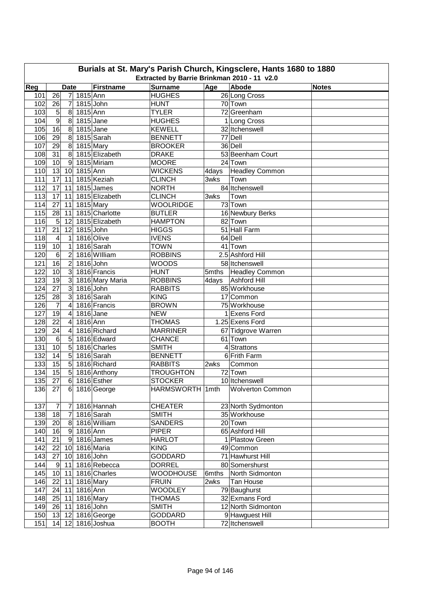| Burials at St. Mary's Parish Church, Kingsclere, Hants 1680 to 1880 |                 |                |                         |                  |                  |       |                         |              |  |  |  |  |
|---------------------------------------------------------------------|-----------------|----------------|-------------------------|------------------|------------------|-------|-------------------------|--------------|--|--|--|--|
| Extracted by Barrie Brinkman 2010 - 11 v2.0                         |                 |                |                         |                  |                  |       |                         |              |  |  |  |  |
| Reg                                                                 |                 | <b>Date</b>    |                         | <b>Firstname</b> | <b>Surname</b>   | Age   | Abode                   | <b>Notes</b> |  |  |  |  |
| 101                                                                 | 26              | $\overline{7}$ | 1815 Ann                |                  | <b>HUGHES</b>    |       | 26 Long Cross           |              |  |  |  |  |
| 102                                                                 | 26              | 7              | $1815$ John             |                  | <b>HUNT</b>      |       | 70 Town                 |              |  |  |  |  |
| 103                                                                 | 5               | 8              | 1815 Ann                |                  | <b>TYLER</b>     |       | 72 Greenham             |              |  |  |  |  |
| 104                                                                 | $\overline{9}$  | 8              | $1815$ Jane             |                  | <b>HUGHES</b>    |       | 1 Long Cross            |              |  |  |  |  |
| 105                                                                 | 16              | 8              | $1815$ Jane             |                  | <b>KEWELL</b>    |       | 32 Itchenswell          |              |  |  |  |  |
| 106                                                                 | 29              | 8              |                         | 1815 Sarah       | <b>BENNETT</b>   |       | 77 Dell                 |              |  |  |  |  |
| 107                                                                 | 29              | 8 <sup>1</sup> | 1815 Mary               |                  | <b>BROOKER</b>   |       | 36 Dell                 |              |  |  |  |  |
| 108                                                                 | 31              | 8              |                         | 1815 Elizabeth   | <b>DRAKE</b>     |       | 53 Beenham Court        |              |  |  |  |  |
| 109                                                                 | 10              | 9              |                         | 1815 Miriam      | <b>MOORE</b>     |       | 24 Town                 |              |  |  |  |  |
| 110                                                                 | 13              | 10             | 1815 Ann                |                  | <b>WICKENS</b>   | 4days | <b>Headley Common</b>   |              |  |  |  |  |
| 111                                                                 | 17              | 11             |                         | 1815 Keziah      | <b>CLINCH</b>    | 3wks  | Town                    |              |  |  |  |  |
| 112                                                                 | 17              | 11             |                         | 1815 James       | <b>NORTH</b>     |       | 84 Itchenswell          |              |  |  |  |  |
| 113                                                                 | 17              | 11             |                         | 1815 Elizabeth   | <b>CLINCH</b>    | 3wks  | Town                    |              |  |  |  |  |
| 114                                                                 | 27              | 11             | 1815 Mary               |                  | <b>WOOLRIDGE</b> |       | 73 Town                 |              |  |  |  |  |
| 115                                                                 | 28              | 11             |                         | 1815 Charlotte   | <b>BUTLER</b>    |       | 16 Newbury Berks        |              |  |  |  |  |
| 116                                                                 | 5               | 12             |                         | 1815 Elizabeth   | <b>HAMPTON</b>   |       | 82 Town                 |              |  |  |  |  |
| 117                                                                 | 21              | 12             | 1815 John               |                  | <b>HIGGS</b>     |       | 51 Hall Farm            |              |  |  |  |  |
| 118                                                                 | 4               | 1              |                         | 1816 Olive       | <b>IVENS</b>     |       | 64 Dell                 |              |  |  |  |  |
| 119                                                                 | 10              | 1              |                         | 1816 Sarah       | <b>TOWN</b>      |       | 41 Town                 |              |  |  |  |  |
| 120                                                                 | $6\phantom{1}6$ | $\overline{2}$ |                         | 1816 William     | <b>ROBBINS</b>   |       | 2.5 Ashford Hill        |              |  |  |  |  |
| 121                                                                 | 16              | $\overline{c}$ | 1816 John               |                  | <b>WOODS</b>     |       | 58 Itchenswell          |              |  |  |  |  |
| 122                                                                 | 10              | 3              |                         | 1816 Francis     | <b>HUNT</b>      |       | 5mths   Headley Common  |              |  |  |  |  |
| 123                                                                 | $\overline{19}$ | 3              |                         | 1816 Mary Maria  | <b>ROBBINS</b>   |       | 4days Ashford Hill      |              |  |  |  |  |
| 124                                                                 | $\overline{27}$ | 3              | 1816 John               |                  | <b>RABBITS</b>   |       | 85 Workhouse            |              |  |  |  |  |
| 125                                                                 | $\overline{28}$ | 3              |                         | 1816 Sarah       | <b>KING</b>      |       | 17 Common               |              |  |  |  |  |
| 126                                                                 | $\overline{7}$  | 4              |                         | 1816 Francis     | <b>BROWN</b>     |       | 75 Workhouse            |              |  |  |  |  |
| 127                                                                 | $\overline{19}$ | 4              | 1816 Jane               |                  | <b>NEW</b>       |       | 1 Exens Ford            |              |  |  |  |  |
| 128                                                                 | 22              | 4              | 1816 Ann                |                  | <b>THOMAS</b>    |       | 1.25 Exens Ford         |              |  |  |  |  |
| 129                                                                 | 24              | 4              |                         | 1816 Richard     | <b>MARRINER</b>  |       | 67 Tidgrove Warren      |              |  |  |  |  |
| 130                                                                 | 6               | 5              |                         | 1816 Edward      | <b>CHANCE</b>    |       | 61 Town                 |              |  |  |  |  |
| 131                                                                 | 10              | 5              |                         | 1816 Charles     | <b>SMITH</b>     |       | $4$ Strattons           |              |  |  |  |  |
| 132                                                                 | 14              | $\overline{5}$ |                         | 1816 Sarah       | <b>BENNETT</b>   |       | 6 Frith Farm            |              |  |  |  |  |
| 133                                                                 | 15              | 5              |                         | 1816 Richard     | <b>RABBITS</b>   | 2wks  | Common                  |              |  |  |  |  |
| 134                                                                 | $\overline{15}$ | 5 <sub>1</sub> |                         | 1816 Anthony     | <b>TROUGHTON</b> |       | 72 Town                 |              |  |  |  |  |
|                                                                     | 135 27          |                |                         | 6 1816 Esther    | <b>STOCKER</b>   |       | 10 Itchenswell          |              |  |  |  |  |
| 136                                                                 | 27              |                |                         | 6 1816 George    | HARMSWORTH 1mth  |       | <b>Wolverton Common</b> |              |  |  |  |  |
|                                                                     |                 |                |                         |                  |                  |       |                         |              |  |  |  |  |
| 137                                                                 | 7               | $\overline{7}$ |                         | 1816 Hannah      | <b>CHEATER</b>   |       | 23 North Sydmonton      |              |  |  |  |  |
| 138                                                                 | 18              | $\overline{7}$ |                         | 1816 Sarah       | <b>SMITH</b>     |       | 35 Workhouse            |              |  |  |  |  |
| 139                                                                 | 20              |                |                         | 8 1816 William   | <b>SANDERS</b>   |       | 20 Town                 |              |  |  |  |  |
| 140                                                                 | 16              |                | $\overline{9}$ 1816 Ann |                  | <b>PIPER</b>     |       | 65 Ashford Hill         |              |  |  |  |  |
| 141                                                                 | 21              |                |                         | 9 1816 James     | <b>HARLOT</b>    |       | 1 Plastow Green         |              |  |  |  |  |
| 142                                                                 | 22              |                |                         | 10 1816 Maria    | <b>KING</b>      |       | 49 Common               |              |  |  |  |  |
| 143                                                                 | 27              |                | 10 1816 John            |                  | <b>GODDARD</b>   |       | 71 Hawhurst Hill        |              |  |  |  |  |
| 144                                                                 | 9               |                |                         | 11 1816 Rebecca  | <b>DORREL</b>    |       | 80 Somershurst          |              |  |  |  |  |
| 145                                                                 | 10              |                |                         | 11 1816 Charles  | <b>WOODHOUSE</b> |       | 6mths North Sidmonton   |              |  |  |  |  |
| 146                                                                 | 22              | 11             | 1816 Mary               |                  | <b>FRUIN</b>     | 2wks  | Tan House               |              |  |  |  |  |
| 147                                                                 | 24              | 11             | 1816 Ann                |                  | <b>WOODLEY</b>   |       | 79 Baughurst            |              |  |  |  |  |
| 148                                                                 | 25              | 11             | 1816 Mary               |                  | <b>THOMAS</b>    |       | 32 Exmans Ford          |              |  |  |  |  |
| 149                                                                 | 26              | 11             | $1816$ John             |                  | <b>SMITH</b>     |       | 12 North Sidmonton      |              |  |  |  |  |
| 150                                                                 | $13$ 12         |                |                         | 1816 George      | <b>GODDARD</b>   |       | 9 Hawguest Hill         |              |  |  |  |  |
| 151                                                                 | 14              |                |                         | 12 1816 Joshua   | <b>BOOTH</b>     |       | 72 Itchenswell          |              |  |  |  |  |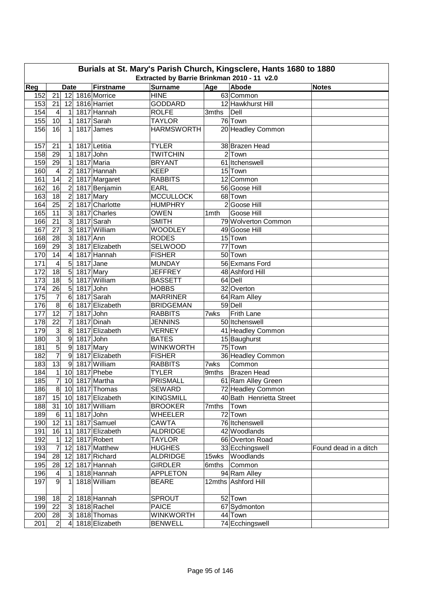|                                                                                                                                                                                          | Burials at St. Mary's Parish Church, Kingsclere, Hants 1680 to 1880<br>Extracted by Barrie Brinkman 2010 - 11 v2.0 |                 |              |                   |                   |       |                          |                       |  |  |  |  |  |
|------------------------------------------------------------------------------------------------------------------------------------------------------------------------------------------|--------------------------------------------------------------------------------------------------------------------|-----------------|--------------|-------------------|-------------------|-------|--------------------------|-----------------------|--|--|--|--|--|
| <b>Surname</b><br>Reg<br><b>Firstname</b><br><b>Abode</b><br>Age<br><b>Date</b><br><b>Notes</b><br>$\overline{21}$<br>1816 Morrice<br><b>HINE</b><br>152<br>63 Common<br>12 <sup>1</sup> |                                                                                                                    |                 |              |                   |                   |       |                          |                       |  |  |  |  |  |
|                                                                                                                                                                                          |                                                                                                                    |                 |              |                   |                   |       |                          |                       |  |  |  |  |  |
| 153                                                                                                                                                                                      | 21                                                                                                                 | 12              |              | 1816 Harriet      | <b>GODDARD</b>    |       | 12 Hawkhurst Hill        |                       |  |  |  |  |  |
| 154                                                                                                                                                                                      | 4                                                                                                                  | 1               |              | 1817 Hannah       | <b>ROLFE</b>      | 3mths | Dell                     |                       |  |  |  |  |  |
| 155                                                                                                                                                                                      | 10                                                                                                                 | 1               |              | 1817 Sarah        | <b>TAYLOR</b>     |       | 76 Town                  |                       |  |  |  |  |  |
| 156                                                                                                                                                                                      | 16                                                                                                                 | 1               |              | 1817 James        | <b>HARMSWORTH</b> |       | 20 Headley Common        |                       |  |  |  |  |  |
|                                                                                                                                                                                          |                                                                                                                    |                 |              |                   |                   |       |                          |                       |  |  |  |  |  |
| 157                                                                                                                                                                                      | 21                                                                                                                 | 1               |              | 1817 Letitia      | <b>TYLER</b>      |       | 38 Brazen Head           |                       |  |  |  |  |  |
| 158                                                                                                                                                                                      | 29                                                                                                                 | 1               |              | 1817 John         | <b>TWITCHIN</b>   |       | $2$ Town                 |                       |  |  |  |  |  |
| 159                                                                                                                                                                                      | 29                                                                                                                 | $\mathbf 1$     |              | 1817 Maria        | <b>BRYANT</b>     |       | 61 Itchenswell           |                       |  |  |  |  |  |
| 160                                                                                                                                                                                      | $\overline{4}$                                                                                                     | $\overline{2}$  |              | 1817 Hannah       | <b>KEEP</b>       |       | 15 Town                  |                       |  |  |  |  |  |
| 161                                                                                                                                                                                      | 14                                                                                                                 | $\overline{2}$  |              | 1817 Margaret     | <b>RABBITS</b>    |       | 12 Common                |                       |  |  |  |  |  |
| 162                                                                                                                                                                                      | 16                                                                                                                 | $\overline{2}$  |              | 1817 Benjamin     | <b>EARL</b>       |       | 56 Goose Hill            |                       |  |  |  |  |  |
| 163                                                                                                                                                                                      | $\overline{18}$                                                                                                    | $\overline{c}$  |              | 1817 Mary         | <b>MCCULLOCK</b>  |       | 68 Town                  |                       |  |  |  |  |  |
| 164                                                                                                                                                                                      | $\overline{25}$                                                                                                    | $\overline{2}$  |              | 1817 Charlotte    | <b>HUMPHRY</b>    |       | 2 Goose Hill             |                       |  |  |  |  |  |
| 165                                                                                                                                                                                      | $\overline{11}$                                                                                                    | 3               |              | 1817 Charles      | <b>OWEN</b>       | 1mth  | Goose Hill               |                       |  |  |  |  |  |
| 166                                                                                                                                                                                      | 21                                                                                                                 | 3               |              | 1817 Sarah        | <b>SMITH</b>      |       | 79 Wolverton Common      |                       |  |  |  |  |  |
| 167                                                                                                                                                                                      | 27                                                                                                                 | 3               |              | 1817 William      | <b>WOODLEY</b>    |       | 49 Goose Hill            |                       |  |  |  |  |  |
| 168                                                                                                                                                                                      | 28                                                                                                                 | دن              | 1817 Ann     |                   | <b>RODES</b>      |       | 15 Town                  |                       |  |  |  |  |  |
| 169                                                                                                                                                                                      | 29                                                                                                                 | دى              |              | 1817 Elizabeth    | <b>SELWOOD</b>    |       | 77 Town                  |                       |  |  |  |  |  |
| 170                                                                                                                                                                                      | 14                                                                                                                 | $\overline{4}$  |              | 1817 Hannah       | <b>FISHER</b>     |       | 50 Town                  |                       |  |  |  |  |  |
| 171                                                                                                                                                                                      | 4                                                                                                                  | 5               | 1817 Jane    |                   | <b>MUNDAY</b>     |       | 56 Exmans Ford           |                       |  |  |  |  |  |
| 172                                                                                                                                                                                      | 18                                                                                                                 | $5\overline{)}$ |              | 1817 Mary         | <b>JEFFREY</b>    |       | 48 Ashford Hill          |                       |  |  |  |  |  |
| $\frac{1}{173}$                                                                                                                                                                          | 18                                                                                                                 | 5               |              | 1817 William      | <b>BASSETT</b>    |       | 64 Dell                  |                       |  |  |  |  |  |
| 174                                                                                                                                                                                      | 26                                                                                                                 | 5               | 1817 John    |                   | <b>HOBBS</b>      |       | 32 Overton               |                       |  |  |  |  |  |
| 175                                                                                                                                                                                      | $\overline{7}$                                                                                                     | 6               |              | 1817 Sarah        | <b>MARRINER</b>   |       | 64 Ram Alley             |                       |  |  |  |  |  |
| 176                                                                                                                                                                                      | 8                                                                                                                  | 6               |              | 1817 Elizabeth    | <b>BRIDGEMAN</b>  |       | 59 Dell                  |                       |  |  |  |  |  |
| 177                                                                                                                                                                                      | $\overline{12}$                                                                                                    | $\overline{7}$  |              | 1817 John         | <b>RABBITS</b>    | 7wks  | Frith Lane               |                       |  |  |  |  |  |
| 178                                                                                                                                                                                      | 22                                                                                                                 | $\overline{7}$  |              | 1817 Dinah        | <b>JENNINS</b>    |       | 50 Itchenswell           |                       |  |  |  |  |  |
| 179                                                                                                                                                                                      | 3                                                                                                                  | 8               |              | 1817 Elizabeth    | <b>VERNEY</b>     |       | 41 Headley Common        |                       |  |  |  |  |  |
| 180                                                                                                                                                                                      | ω                                                                                                                  | $9\,$           |              | 1817 John         | <b>BATES</b>      |       | 15 Baughurst             |                       |  |  |  |  |  |
| 181                                                                                                                                                                                      | $\overline{5}$                                                                                                     | $\overline{9}$  |              | 1817 Mary         | <b>WINKWORTH</b>  |       | 75 Town                  |                       |  |  |  |  |  |
| 182                                                                                                                                                                                      | $\overline{7}$                                                                                                     | $\overline{9}$  |              | 1817 Elizabeth    | <b>FISHER</b>     |       | 36 Headley Common        |                       |  |  |  |  |  |
| 183                                                                                                                                                                                      | 13                                                                                                                 | $\vert 9 \vert$ |              | 1817 William      | <b>RABBITS</b>    | 7wks  | Common                   |                       |  |  |  |  |  |
| 184                                                                                                                                                                                      | $\mathbf{1}$                                                                                                       | 10              |              | 1817 Phebe        | <b>TYLER</b>      | 9mths | Brazen Head              |                       |  |  |  |  |  |
| 185                                                                                                                                                                                      | $\overline{7}$                                                                                                     |                 |              | 10 1817 Martha    | PRISMALL          |       | 61 Ram Alley Green       |                       |  |  |  |  |  |
| 186                                                                                                                                                                                      | 8 <sup>1</sup>                                                                                                     |                 |              | 10 1817 Thomas    | SEWARD            |       | 72 Headley Common        |                       |  |  |  |  |  |
| 187                                                                                                                                                                                      | 15                                                                                                                 |                 |              | 10 1817 Elizabeth | <b>KINGSMILL</b>  |       | 40 Bath Henrietta Street |                       |  |  |  |  |  |
| 188                                                                                                                                                                                      | 31                                                                                                                 |                 |              | 10 1817 William   | <b>BROOKER</b>    | 7mths | Town                     |                       |  |  |  |  |  |
| 189                                                                                                                                                                                      | $6 \,$                                                                                                             |                 | 11 1817 John |                   | <b>WHEELER</b>    |       | 72 Town                  |                       |  |  |  |  |  |
| 190                                                                                                                                                                                      | 12                                                                                                                 | 11              |              | 1817 Samuel       | <b>CAWTA</b>      |       | 76 Itchenswell           |                       |  |  |  |  |  |
| 191                                                                                                                                                                                      | 16                                                                                                                 | 11              |              | 1817 Elizabeth    | <b>ALDRIDGE</b>   |       | 42 Woodlands             |                       |  |  |  |  |  |
| 192                                                                                                                                                                                      | $\mathbf{1}$                                                                                                       | 12              |              | 1817 Robert       | <b>TAYLOR</b>     |       | 66 Overton Road          |                       |  |  |  |  |  |
| 193                                                                                                                                                                                      | $\overline{7}$                                                                                                     | 12              |              | 1817 Matthew      | <b>HUGHES</b>     |       | 33 Ecchingswell          | Found dead in a ditch |  |  |  |  |  |
| 194                                                                                                                                                                                      | 28                                                                                                                 | 12              |              | 1817 Richard      | <b>ALDRIDGE</b>   |       | 15wks Woodlands          |                       |  |  |  |  |  |
| 195                                                                                                                                                                                      | 28                                                                                                                 | 12              |              | 1817 Hannah       | <b>GIRDLER</b>    | 6mths | Common                   |                       |  |  |  |  |  |
| 196                                                                                                                                                                                      | 4                                                                                                                  | 1               |              | 1818 Hannah       | <b>APPLETON</b>   |       | 94 Ram Alley             |                       |  |  |  |  |  |
| 197                                                                                                                                                                                      | 9                                                                                                                  | 1               |              | 1818 William      | <b>BEARE</b>      |       | 12mths Ashford Hill      |                       |  |  |  |  |  |
| 198                                                                                                                                                                                      | 18                                                                                                                 | $\overline{c}$  |              | 1818 Hannah       | SPROUT            |       | 52 Town                  |                       |  |  |  |  |  |
| 199                                                                                                                                                                                      | $\overline{22}$                                                                                                    | 3               |              | 1818 Rachel       | <b>PAICE</b>      |       | 67 Sydmonton             |                       |  |  |  |  |  |
| 200                                                                                                                                                                                      | 28                                                                                                                 | $\mathbf{3}$    |              | 1818 Thomas       | <b>WINKWORTH</b>  |       | 44 Town                  |                       |  |  |  |  |  |
| 201                                                                                                                                                                                      | $\overline{c}$                                                                                                     | $\overline{4}$  |              | 1818 Elizabeth    | <b>BENWELL</b>    |       | 74 Ecchingswell          |                       |  |  |  |  |  |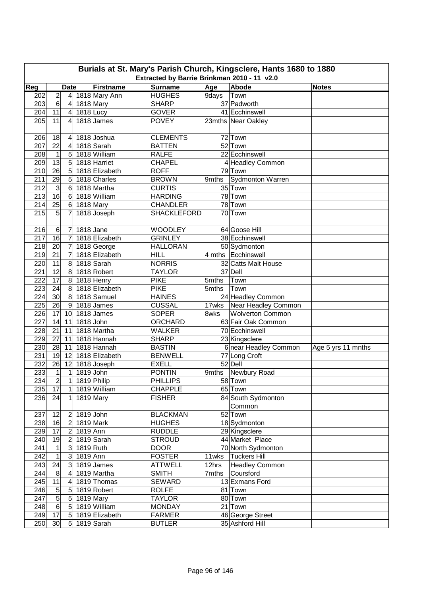|            | Burials at St. Mary's Parish Church, Kingsclere, Hants 1680 to 1880                                                                     |                          |             |                                 |                                  |       |                                               |                    |  |  |  |  |  |
|------------|-----------------------------------------------------------------------------------------------------------------------------------------|--------------------------|-------------|---------------------------------|----------------------------------|-------|-----------------------------------------------|--------------------|--|--|--|--|--|
|            | Extracted by Barrie Brinkman 2010 - 11 v2.0<br>Reg<br><b>Firstname</b><br><b>Surname</b><br>Age<br>Abode<br><b>Date</b><br><b>Notes</b> |                          |             |                                 |                                  |       |                                               |                    |  |  |  |  |  |
|            |                                                                                                                                         |                          |             |                                 |                                  |       |                                               |                    |  |  |  |  |  |
| 202        | $\overline{\mathbf{c}}$                                                                                                                 | $\vert 4 \vert$          |             | 1818 Mary Ann                   | <b>HUGHES</b>                    | 9days | Town                                          |                    |  |  |  |  |  |
| 203        | 6                                                                                                                                       | $\overline{a}$           |             | 1818 Mary                       | <b>SHARP</b>                     |       | 37 Padworth                                   |                    |  |  |  |  |  |
| 204        | 11                                                                                                                                      | $\vert 4 \vert$          | $1818$ Lucy |                                 | <b>GOVER</b>                     |       | 41 Ecchinswell                                |                    |  |  |  |  |  |
| 205        | 11                                                                                                                                      | 4                        |             | 1818 James                      | <b>POVEY</b>                     |       | 23mths Near Oakley                            |                    |  |  |  |  |  |
|            |                                                                                                                                         |                          |             |                                 |                                  |       |                                               |                    |  |  |  |  |  |
| 206        | 18                                                                                                                                      | 4                        |             | 1818 Joshua                     | <b>CLEMENTS</b>                  |       | 72 Town                                       |                    |  |  |  |  |  |
| 207        | 22                                                                                                                                      | 4                        |             | 1818 Sarah                      | <b>BATTEN</b>                    |       | 52 Town                                       |                    |  |  |  |  |  |
| 208        | $\mathbf 1$                                                                                                                             | 5                        |             | 1818 William                    | <b>RALFE</b>                     |       | 22 Ecchinswell                                |                    |  |  |  |  |  |
| 209        | 13                                                                                                                                      | 5                        |             | 1818 Harriet                    | <b>CHAPEL</b>                    |       | 4 Headley Common                              |                    |  |  |  |  |  |
| 210        | 26                                                                                                                                      | 5                        |             | 1818 Elizabeth                  | <b>ROFF</b>                      |       | 79 Town                                       |                    |  |  |  |  |  |
| 211        | $\overline{29}$                                                                                                                         | 5                        |             | 1818 Charles                    | <b>BROWN</b>                     | 9mths | Sydmonton Warren                              |                    |  |  |  |  |  |
| 212        | 3                                                                                                                                       | 6                        |             | 1818 Martha                     | <b>CURTIS</b>                    |       | 35 Town                                       |                    |  |  |  |  |  |
| 213        | 16                                                                                                                                      | $6\phantom{1}$           |             | 1818 William                    | <b>HARDING</b>                   |       | 78 Town                                       |                    |  |  |  |  |  |
| 214        | 25                                                                                                                                      | 6                        |             | 1818 Mary                       | <b>CHANDLER</b>                  |       | 78 Town                                       |                    |  |  |  |  |  |
| 215        | 5                                                                                                                                       | 7                        |             | 1818 Joseph                     | <b>SHACKLEFORD</b>               |       | 70 Town                                       |                    |  |  |  |  |  |
|            |                                                                                                                                         |                          |             |                                 |                                  |       |                                               |                    |  |  |  |  |  |
| 216        | 6                                                                                                                                       | 7                        | 1818 Jane   |                                 | <b>WOODLEY</b><br><b>GRINLEY</b> |       | 64 Goose Hill                                 |                    |  |  |  |  |  |
| 217        | 16                                                                                                                                      | $\overline{7}$           |             | 1818 Elizabeth                  |                                  |       | 38 Ecchinswell                                |                    |  |  |  |  |  |
| 218        | 20                                                                                                                                      | $\overline{7}$           |             | 1818 George                     | <b>HALLORAN</b>                  |       | 50 Sydmonton                                  |                    |  |  |  |  |  |
| 219        | $\overline{21}$                                                                                                                         | $\overline{7}$           |             | 1818 Elizabeth                  | <b>HILL</b><br><b>NORRIS</b>     |       | 4 mths Ecchinswell                            |                    |  |  |  |  |  |
| 220        | 11                                                                                                                                      | 8                        |             | 1818 Sarah                      |                                  |       | 32 Catts Malt House                           |                    |  |  |  |  |  |
| 221        | 12                                                                                                                                      | 8                        |             | 1818 Robert                     | <b>TAYLOR</b>                    |       | 37 Dell                                       |                    |  |  |  |  |  |
| 222        | 17                                                                                                                                      | $\bf{8}$                 |             | 1818 Henry                      | <b>PIKE</b>                      | 5mths | Town                                          |                    |  |  |  |  |  |
| 223        | 24                                                                                                                                      | $\infty$<br>$\bf{8}$     |             | 1818 Elizabeth                  | <b>PIKE</b><br><b>HAINES</b>     | 5mths | Town                                          |                    |  |  |  |  |  |
| 224<br>225 | 30 <sub>o</sub><br>$\overline{26}$                                                                                                      |                          |             | 1818 Samuel<br>1818 James       | <b>CUSSAL</b>                    |       | 24 Headley Common                             |                    |  |  |  |  |  |
|            |                                                                                                                                         | 9                        |             |                                 |                                  | 17wks | Near Headley Common                           |                    |  |  |  |  |  |
| 226<br>227 | 17<br>14                                                                                                                                | 10<br>11                 | 1818 John   | 1818 James                      | <b>SOPER</b>                     | 8wks  | <b>Wolverton Common</b><br>63 Fair Oak Common |                    |  |  |  |  |  |
|            | 21                                                                                                                                      |                          |             | 1818 Martha                     | ORCHARD                          |       | 70 Ecchinswell                                |                    |  |  |  |  |  |
| 228        |                                                                                                                                         | 11                       |             |                                 | <b>WALKER</b>                    |       |                                               |                    |  |  |  |  |  |
| 229<br>230 | 27<br>28                                                                                                                                | 11<br>11                 |             | 1818 Hannah<br>1818 Hannah      | <b>SHARP</b><br><b>BASTIN</b>    |       | 23 Kingsclere<br>6 near Headley Common        |                    |  |  |  |  |  |
| 231        | 19                                                                                                                                      | 12                       |             | 1818 Elizabeth                  | <b>BENWELL</b>                   |       |                                               | Age 5 yrs 11 mnths |  |  |  |  |  |
| 232        | 26                                                                                                                                      | 12                       |             | 1818 Joseph                     | <b>EXELL</b>                     |       | 77 Long Croft<br>52 Dell                      |                    |  |  |  |  |  |
| 233        | $\mathbf{1}$                                                                                                                            | $\mathbf{1}$             | $1819$ John |                                 | <b>PONTIN</b>                    |       | 9mths Newbury Road                            |                    |  |  |  |  |  |
| 234        | $\overline{2}$                                                                                                                          | $\overline{\phantom{a}}$ |             |                                 | <b>PHILLIPS</b>                  |       | 58 Town                                       |                    |  |  |  |  |  |
| 235        | 17                                                                                                                                      |                          |             | 1819 Philip<br>$1$ 1819 William | <b>CHAPPLE</b>                   |       | 65 Town                                       |                    |  |  |  |  |  |
| 236        | 24                                                                                                                                      | $\mathbf{1}$             |             | 1819 Mary                       | <b>FISHER</b>                    |       | 84 South Sydmonton                            |                    |  |  |  |  |  |
|            |                                                                                                                                         |                          |             |                                 |                                  |       | Common                                        |                    |  |  |  |  |  |
| 237        | 12                                                                                                                                      | $\overline{2}$           | 1819 John   |                                 | <b>BLACKMAN</b>                  |       | 52 Town                                       |                    |  |  |  |  |  |
| 238        | 16                                                                                                                                      | $\overline{2}$           | 1819 Mark   |                                 | <b>HUGHES</b>                    |       | 18 Sydmonton                                  |                    |  |  |  |  |  |
| 239        | 17                                                                                                                                      | $\overline{2}$           | 1819 Ann    |                                 | <b>RUDDLE</b>                    |       | 29 Kingsclere                                 |                    |  |  |  |  |  |
| 240        | 19                                                                                                                                      | $\overline{2}$           |             | 1819 Sarah                      | <b>STROUD</b>                    |       | 44 Market Place                               |                    |  |  |  |  |  |
| 241        | 1                                                                                                                                       | 3 <sup>1</sup>           | 1819 Ruth   |                                 | <b>DOOR</b>                      |       | 70 North Sydmonton                            |                    |  |  |  |  |  |
| 242        | 1                                                                                                                                       | $\mathbf{3}$             | 1819 Ann    |                                 | <b>FOSTER</b>                    |       | 11wks   Tuckers Hill                          |                    |  |  |  |  |  |
| 243        | 24                                                                                                                                      | $\mathbf{3}$             |             | 1819 James                      | <b>ATTWELL</b>                   | 12hrs | <b>Headley Common</b>                         |                    |  |  |  |  |  |
| 244        | $\bf 8$                                                                                                                                 | 4                        |             | 1819 Martha                     | <b>SMITH</b>                     | 7mths | Coursford                                     |                    |  |  |  |  |  |
| 245        | 11                                                                                                                                      | $\overline{4}$           |             | 1819 Thomas                     | SEWARD                           |       | 13 Exmans Ford                                |                    |  |  |  |  |  |
| 246        | $\sqrt{5}$                                                                                                                              | 5 <sub>5</sub>           |             | 1819 Robert                     | <b>ROLFE</b>                     |       | 81 Town                                       |                    |  |  |  |  |  |
| 247        | $\overline{5}$                                                                                                                          | 5 <sub>l</sub>           | 1819 Mary   |                                 | TAYLOR                           |       | 80 Town                                       |                    |  |  |  |  |  |
| 248        | $\,6$                                                                                                                                   | 5 <sub>5</sub>           |             | 1819 William                    | <b>MONDAY</b>                    |       | 21 Town                                       |                    |  |  |  |  |  |
| 249        | 17                                                                                                                                      | 5 <sub>l</sub>           |             | 1819 Elizabeth                  | <b>FARMER</b>                    |       | 46 George Street                              |                    |  |  |  |  |  |
| 250        | 30                                                                                                                                      |                          |             | 5 1819 Sarah                    | <b>BUTLER</b>                    |       | 35 Ashford Hill                               |                    |  |  |  |  |  |
|            |                                                                                                                                         |                          |             |                                 |                                  |       |                                               |                    |  |  |  |  |  |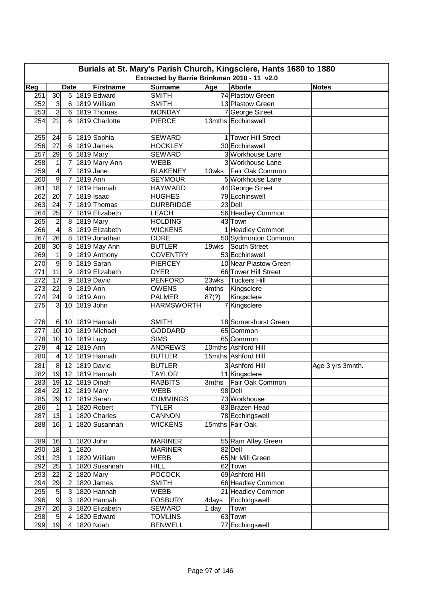| Extracted by Barrie Brinkman 2010 - 11 v2.0<br>Reg<br><b>Firstname</b><br><b>Surname</b><br>Age<br>Abode<br><b>Date</b><br><b>Notes</b><br>74 Plastow Green<br>30<br>5 1819 Edward<br><b>SMITH</b><br>251<br>252<br>$\mathbf{3}$<br>$6 \mid$<br>1819 William<br>13 Plastow Green<br><b>SMITH</b><br>ω<br>253<br>1819 Thomas<br><b>MONDAY</b><br>7 George Street<br>6 <sup>1</sup><br>254<br>21<br>1819 Charlotte<br><b>PIERCE</b><br>13mths Ecchinswell<br>6<br>255<br>24<br>1819 Sophia<br><b>SEWARD</b><br>1 Tower Hill Street<br>6<br>30 Ecchinswell<br>256<br>27<br>1819 James<br><b>HOCKLEY</b><br>$6 \overline{6}$<br>257<br>29<br>1819 Mary<br>3 Workhouse Lane<br>$6 \overline{6}$<br><b>SEWARD</b><br>258<br>1<br>7<br>1819 Mary Ann<br>3 Workhouse Lane<br><b>WEBB</b><br>4<br>259<br>$\overline{7}$<br>1819 Jane<br><b>BLAKENEY</b><br>Fair Oak Common<br>10wks<br>$\overline{9}$<br>260<br>$\overline{7}$<br>1819 Ann<br><b>SEYMOUR</b><br>5 Workhouse Lane<br>$\overline{18}$<br>1819 Hannah<br>261<br>7<br>44 George Street<br><b>HAYWARD</b><br>$\overline{20}$<br>262<br>1819 Isaac<br>79 Ecchinswell<br>7<br><b>HUGHES</b><br>263<br>24<br>$\overline{7}$<br>1819 Thomas<br>23 Dell<br><b>DURBRIDGE</b><br>264<br>25<br>7<br>1819 Elizabeth<br><b>LEACH</b><br>56 Headley Common<br>$\overline{2}$<br>265<br>8<br>43 Town<br>1819 Mary<br><b>HOLDING</b><br>$\overline{4}$<br>1 Headley Common<br>266<br>8<br>1819 Elizabeth<br><b>WICKENS</b><br>$\overline{26}$<br>267<br>8<br>1819 Jonathan<br><b>DORE</b><br>50 Sydmonton Common<br>$\overline{30}$<br>268<br>8<br>1819 May Ann<br><b>BUTLER</b><br>South Street<br>19wks<br>$\mathbf{1}$<br>269<br>$\boldsymbol{9}$<br><b>COVENTRY</b><br>53 Ecchinswell<br>1819 Anthony<br>1819 Sarah<br>9<br>$\boldsymbol{9}$<br>270<br><b>PIERCEY</b><br>10 Near Plastow Green<br>1819 Elizabeth<br>11<br>271<br>$\boldsymbol{9}$<br><b>DYER</b><br>66 Tower Hill Street<br>17<br>1819 David<br><b>PENFORD</b><br><b>Tuckers Hill</b><br>272<br>$\boldsymbol{9}$<br>23wks<br>273<br>22<br>$\boldsymbol{9}$<br>1819 Ann<br><b>OWENS</b><br>4mths Kingsclere<br>274<br>24<br>87(?)<br>$\overline{9}$<br>1819 Ann<br><b>PALMER</b><br>Kingsclere<br>275<br>3<br><b>HARMSWORTH</b><br>1819 John<br>7 Kingsclere<br>10<br>1819 Hannah<br><b>SMITH</b><br>18 Somershurst Green<br>276<br>6<br>10<br>277<br>10<br>1819 Michael<br><b>GODDARD</b><br>65 Common<br>10<br>1819 Lucy<br><b>SIMS</b><br>278<br>10 <sup>1</sup><br>65 Common<br>10<br>279<br>$\overline{\mathbf{4}}$<br>$1819$ Ann<br><b>ANDREWS</b><br>12<br>10mths Ashford Hill<br>$\overline{\mathbf{4}}$<br>12 1819 Hannah<br>280<br><b>BUTLER</b><br>15mths Ashford Hill<br>8<br>1819 David<br><b>BUTLER</b><br>3 Ashford Hill<br>281<br>12<br>Age 3 yrs 3mnth.<br>19<br>12<br>282<br>1819 Hannah<br><b>TAYLOR</b><br>11 Kingsclere<br> 19 <br>3mths Fair Oak Common<br>283<br>12 1819 Dinah<br><b>RABBITS</b><br>284<br>22<br><b>WEBB</b><br>12<br>1819 Mary<br>98 Dell<br>29 12<br>285<br>1819 Sarah<br><b>CUMMINGS</b><br>73 Workhouse<br>1820 Robert<br>83 Brazen Head<br>286<br><b>TYLER</b><br>1<br>1<br>13<br>287<br>1820 Charles<br>78 Ecchingswell<br>CANNON<br>1<br>16<br>288<br>1820 Susannah<br><b>WICKENS</b><br>15mths Fair Oak<br>1<br>289<br>16<br>1820 John<br><b>MARINER</b><br>55 Ram Alley Green<br>$\mathbf{1}$<br>290<br>18<br>1820<br>$\mathbf 1$<br><b>MARINER</b><br>82 Dell<br>23<br>$\mathbf{1}$<br>1820 William<br><b>WEBB</b><br>65 Nr Mill Green<br>291<br>292<br>25<br>1820 Susannah<br><b>HILL</b><br>62 Town<br>1<br><b>POCOCK</b><br>293<br>22<br>69 Ashford Hill<br>$\overline{2}$<br>1820 Mary<br>1820 James<br>66 Headley Common<br>294<br>29<br>$\overline{2}$<br><b>SMITH</b><br>295<br>5<br>$\overline{3}$<br>WEBB<br>1820 Hannah<br>21 Headley Common<br>9<br>$\overline{3}$<br>296<br>1820 Hannah<br><b>FOSBURY</b><br>Ecchingswell<br>4days<br>297<br>26<br>1820 Elizabeth<br>SEWARD<br>Town<br>$\mathbf{3}$<br>1 day<br>298<br>5<br>63 Town<br>1820 Edward<br><b>TOMLINS</b><br>4<br>299<br>19<br>1820 Noah<br><b>BENWELL</b><br>77 Ecchingswell<br>$\overline{4}$ | Burials at St. Mary's Parish Church, Kingsclere, Hants 1680 to 1880 |  |  |  |  |  |  |  |  |  |  |  |
|---------------------------------------------------------------------------------------------------------------------------------------------------------------------------------------------------------------------------------------------------------------------------------------------------------------------------------------------------------------------------------------------------------------------------------------------------------------------------------------------------------------------------------------------------------------------------------------------------------------------------------------------------------------------------------------------------------------------------------------------------------------------------------------------------------------------------------------------------------------------------------------------------------------------------------------------------------------------------------------------------------------------------------------------------------------------------------------------------------------------------------------------------------------------------------------------------------------------------------------------------------------------------------------------------------------------------------------------------------------------------------------------------------------------------------------------------------------------------------------------------------------------------------------------------------------------------------------------------------------------------------------------------------------------------------------------------------------------------------------------------------------------------------------------------------------------------------------------------------------------------------------------------------------------------------------------------------------------------------------------------------------------------------------------------------------------------------------------------------------------------------------------------------------------------------------------------------------------------------------------------------------------------------------------------------------------------------------------------------------------------------------------------------------------------------------------------------------------------------------------------------------------------------------------------------------------------------------------------------------------------------------------------------------------------------------------------------------------------------------------------------------------------------------------------------------------------------------------------------------------------------------------------------------------------------------------------------------------------------------------------------------------------------------------------------------------------------------------------------------------------------------------------------------------------------------------------------------------------------------------------------------------------------------------------------------------------------------------------------------------------------------------------------------------------------------------------------------------------------------------------------------------------------------------------------------------------------------------------------------------------------------------------------------------------------------------------------------------------------------------------------------------------------------------------------------------------------------------------------------------------------------------------------------------------------------------------------------------------------------------------------------------------------------------------------------------------------------------------------------------------------|---------------------------------------------------------------------|--|--|--|--|--|--|--|--|--|--|--|
|                                                                                                                                                                                                                                                                                                                                                                                                                                                                                                                                                                                                                                                                                                                                                                                                                                                                                                                                                                                                                                                                                                                                                                                                                                                                                                                                                                                                                                                                                                                                                                                                                                                                                                                                                                                                                                                                                                                                                                                                                                                                                                                                                                                                                                                                                                                                                                                                                                                                                                                                                                                                                                                                                                                                                                                                                                                                                                                                                                                                                                                                                                                                                                                                                                                                                                                                                                                                                                                                                                                                                                                                                                                                                                                                                                                                                                                                                                                                                                                                                                                                                                                                 |                                                                     |  |  |  |  |  |  |  |  |  |  |  |
|                                                                                                                                                                                                                                                                                                                                                                                                                                                                                                                                                                                                                                                                                                                                                                                                                                                                                                                                                                                                                                                                                                                                                                                                                                                                                                                                                                                                                                                                                                                                                                                                                                                                                                                                                                                                                                                                                                                                                                                                                                                                                                                                                                                                                                                                                                                                                                                                                                                                                                                                                                                                                                                                                                                                                                                                                                                                                                                                                                                                                                                                                                                                                                                                                                                                                                                                                                                                                                                                                                                                                                                                                                                                                                                                                                                                                                                                                                                                                                                                                                                                                                                                 |                                                                     |  |  |  |  |  |  |  |  |  |  |  |
|                                                                                                                                                                                                                                                                                                                                                                                                                                                                                                                                                                                                                                                                                                                                                                                                                                                                                                                                                                                                                                                                                                                                                                                                                                                                                                                                                                                                                                                                                                                                                                                                                                                                                                                                                                                                                                                                                                                                                                                                                                                                                                                                                                                                                                                                                                                                                                                                                                                                                                                                                                                                                                                                                                                                                                                                                                                                                                                                                                                                                                                                                                                                                                                                                                                                                                                                                                                                                                                                                                                                                                                                                                                                                                                                                                                                                                                                                                                                                                                                                                                                                                                                 |                                                                     |  |  |  |  |  |  |  |  |  |  |  |
|                                                                                                                                                                                                                                                                                                                                                                                                                                                                                                                                                                                                                                                                                                                                                                                                                                                                                                                                                                                                                                                                                                                                                                                                                                                                                                                                                                                                                                                                                                                                                                                                                                                                                                                                                                                                                                                                                                                                                                                                                                                                                                                                                                                                                                                                                                                                                                                                                                                                                                                                                                                                                                                                                                                                                                                                                                                                                                                                                                                                                                                                                                                                                                                                                                                                                                                                                                                                                                                                                                                                                                                                                                                                                                                                                                                                                                                                                                                                                                                                                                                                                                                                 |                                                                     |  |  |  |  |  |  |  |  |  |  |  |
|                                                                                                                                                                                                                                                                                                                                                                                                                                                                                                                                                                                                                                                                                                                                                                                                                                                                                                                                                                                                                                                                                                                                                                                                                                                                                                                                                                                                                                                                                                                                                                                                                                                                                                                                                                                                                                                                                                                                                                                                                                                                                                                                                                                                                                                                                                                                                                                                                                                                                                                                                                                                                                                                                                                                                                                                                                                                                                                                                                                                                                                                                                                                                                                                                                                                                                                                                                                                                                                                                                                                                                                                                                                                                                                                                                                                                                                                                                                                                                                                                                                                                                                                 |                                                                     |  |  |  |  |  |  |  |  |  |  |  |
|                                                                                                                                                                                                                                                                                                                                                                                                                                                                                                                                                                                                                                                                                                                                                                                                                                                                                                                                                                                                                                                                                                                                                                                                                                                                                                                                                                                                                                                                                                                                                                                                                                                                                                                                                                                                                                                                                                                                                                                                                                                                                                                                                                                                                                                                                                                                                                                                                                                                                                                                                                                                                                                                                                                                                                                                                                                                                                                                                                                                                                                                                                                                                                                                                                                                                                                                                                                                                                                                                                                                                                                                                                                                                                                                                                                                                                                                                                                                                                                                                                                                                                                                 |                                                                     |  |  |  |  |  |  |  |  |  |  |  |
|                                                                                                                                                                                                                                                                                                                                                                                                                                                                                                                                                                                                                                                                                                                                                                                                                                                                                                                                                                                                                                                                                                                                                                                                                                                                                                                                                                                                                                                                                                                                                                                                                                                                                                                                                                                                                                                                                                                                                                                                                                                                                                                                                                                                                                                                                                                                                                                                                                                                                                                                                                                                                                                                                                                                                                                                                                                                                                                                                                                                                                                                                                                                                                                                                                                                                                                                                                                                                                                                                                                                                                                                                                                                                                                                                                                                                                                                                                                                                                                                                                                                                                                                 |                                                                     |  |  |  |  |  |  |  |  |  |  |  |
|                                                                                                                                                                                                                                                                                                                                                                                                                                                                                                                                                                                                                                                                                                                                                                                                                                                                                                                                                                                                                                                                                                                                                                                                                                                                                                                                                                                                                                                                                                                                                                                                                                                                                                                                                                                                                                                                                                                                                                                                                                                                                                                                                                                                                                                                                                                                                                                                                                                                                                                                                                                                                                                                                                                                                                                                                                                                                                                                                                                                                                                                                                                                                                                                                                                                                                                                                                                                                                                                                                                                                                                                                                                                                                                                                                                                                                                                                                                                                                                                                                                                                                                                 |                                                                     |  |  |  |  |  |  |  |  |  |  |  |
|                                                                                                                                                                                                                                                                                                                                                                                                                                                                                                                                                                                                                                                                                                                                                                                                                                                                                                                                                                                                                                                                                                                                                                                                                                                                                                                                                                                                                                                                                                                                                                                                                                                                                                                                                                                                                                                                                                                                                                                                                                                                                                                                                                                                                                                                                                                                                                                                                                                                                                                                                                                                                                                                                                                                                                                                                                                                                                                                                                                                                                                                                                                                                                                                                                                                                                                                                                                                                                                                                                                                                                                                                                                                                                                                                                                                                                                                                                                                                                                                                                                                                                                                 |                                                                     |  |  |  |  |  |  |  |  |  |  |  |
|                                                                                                                                                                                                                                                                                                                                                                                                                                                                                                                                                                                                                                                                                                                                                                                                                                                                                                                                                                                                                                                                                                                                                                                                                                                                                                                                                                                                                                                                                                                                                                                                                                                                                                                                                                                                                                                                                                                                                                                                                                                                                                                                                                                                                                                                                                                                                                                                                                                                                                                                                                                                                                                                                                                                                                                                                                                                                                                                                                                                                                                                                                                                                                                                                                                                                                                                                                                                                                                                                                                                                                                                                                                                                                                                                                                                                                                                                                                                                                                                                                                                                                                                 |                                                                     |  |  |  |  |  |  |  |  |  |  |  |
|                                                                                                                                                                                                                                                                                                                                                                                                                                                                                                                                                                                                                                                                                                                                                                                                                                                                                                                                                                                                                                                                                                                                                                                                                                                                                                                                                                                                                                                                                                                                                                                                                                                                                                                                                                                                                                                                                                                                                                                                                                                                                                                                                                                                                                                                                                                                                                                                                                                                                                                                                                                                                                                                                                                                                                                                                                                                                                                                                                                                                                                                                                                                                                                                                                                                                                                                                                                                                                                                                                                                                                                                                                                                                                                                                                                                                                                                                                                                                                                                                                                                                                                                 |                                                                     |  |  |  |  |  |  |  |  |  |  |  |
|                                                                                                                                                                                                                                                                                                                                                                                                                                                                                                                                                                                                                                                                                                                                                                                                                                                                                                                                                                                                                                                                                                                                                                                                                                                                                                                                                                                                                                                                                                                                                                                                                                                                                                                                                                                                                                                                                                                                                                                                                                                                                                                                                                                                                                                                                                                                                                                                                                                                                                                                                                                                                                                                                                                                                                                                                                                                                                                                                                                                                                                                                                                                                                                                                                                                                                                                                                                                                                                                                                                                                                                                                                                                                                                                                                                                                                                                                                                                                                                                                                                                                                                                 |                                                                     |  |  |  |  |  |  |  |  |  |  |  |
|                                                                                                                                                                                                                                                                                                                                                                                                                                                                                                                                                                                                                                                                                                                                                                                                                                                                                                                                                                                                                                                                                                                                                                                                                                                                                                                                                                                                                                                                                                                                                                                                                                                                                                                                                                                                                                                                                                                                                                                                                                                                                                                                                                                                                                                                                                                                                                                                                                                                                                                                                                                                                                                                                                                                                                                                                                                                                                                                                                                                                                                                                                                                                                                                                                                                                                                                                                                                                                                                                                                                                                                                                                                                                                                                                                                                                                                                                                                                                                                                                                                                                                                                 |                                                                     |  |  |  |  |  |  |  |  |  |  |  |
|                                                                                                                                                                                                                                                                                                                                                                                                                                                                                                                                                                                                                                                                                                                                                                                                                                                                                                                                                                                                                                                                                                                                                                                                                                                                                                                                                                                                                                                                                                                                                                                                                                                                                                                                                                                                                                                                                                                                                                                                                                                                                                                                                                                                                                                                                                                                                                                                                                                                                                                                                                                                                                                                                                                                                                                                                                                                                                                                                                                                                                                                                                                                                                                                                                                                                                                                                                                                                                                                                                                                                                                                                                                                                                                                                                                                                                                                                                                                                                                                                                                                                                                                 |                                                                     |  |  |  |  |  |  |  |  |  |  |  |
|                                                                                                                                                                                                                                                                                                                                                                                                                                                                                                                                                                                                                                                                                                                                                                                                                                                                                                                                                                                                                                                                                                                                                                                                                                                                                                                                                                                                                                                                                                                                                                                                                                                                                                                                                                                                                                                                                                                                                                                                                                                                                                                                                                                                                                                                                                                                                                                                                                                                                                                                                                                                                                                                                                                                                                                                                                                                                                                                                                                                                                                                                                                                                                                                                                                                                                                                                                                                                                                                                                                                                                                                                                                                                                                                                                                                                                                                                                                                                                                                                                                                                                                                 |                                                                     |  |  |  |  |  |  |  |  |  |  |  |
|                                                                                                                                                                                                                                                                                                                                                                                                                                                                                                                                                                                                                                                                                                                                                                                                                                                                                                                                                                                                                                                                                                                                                                                                                                                                                                                                                                                                                                                                                                                                                                                                                                                                                                                                                                                                                                                                                                                                                                                                                                                                                                                                                                                                                                                                                                                                                                                                                                                                                                                                                                                                                                                                                                                                                                                                                                                                                                                                                                                                                                                                                                                                                                                                                                                                                                                                                                                                                                                                                                                                                                                                                                                                                                                                                                                                                                                                                                                                                                                                                                                                                                                                 |                                                                     |  |  |  |  |  |  |  |  |  |  |  |
|                                                                                                                                                                                                                                                                                                                                                                                                                                                                                                                                                                                                                                                                                                                                                                                                                                                                                                                                                                                                                                                                                                                                                                                                                                                                                                                                                                                                                                                                                                                                                                                                                                                                                                                                                                                                                                                                                                                                                                                                                                                                                                                                                                                                                                                                                                                                                                                                                                                                                                                                                                                                                                                                                                                                                                                                                                                                                                                                                                                                                                                                                                                                                                                                                                                                                                                                                                                                                                                                                                                                                                                                                                                                                                                                                                                                                                                                                                                                                                                                                                                                                                                                 |                                                                     |  |  |  |  |  |  |  |  |  |  |  |
|                                                                                                                                                                                                                                                                                                                                                                                                                                                                                                                                                                                                                                                                                                                                                                                                                                                                                                                                                                                                                                                                                                                                                                                                                                                                                                                                                                                                                                                                                                                                                                                                                                                                                                                                                                                                                                                                                                                                                                                                                                                                                                                                                                                                                                                                                                                                                                                                                                                                                                                                                                                                                                                                                                                                                                                                                                                                                                                                                                                                                                                                                                                                                                                                                                                                                                                                                                                                                                                                                                                                                                                                                                                                                                                                                                                                                                                                                                                                                                                                                                                                                                                                 |                                                                     |  |  |  |  |  |  |  |  |  |  |  |
|                                                                                                                                                                                                                                                                                                                                                                                                                                                                                                                                                                                                                                                                                                                                                                                                                                                                                                                                                                                                                                                                                                                                                                                                                                                                                                                                                                                                                                                                                                                                                                                                                                                                                                                                                                                                                                                                                                                                                                                                                                                                                                                                                                                                                                                                                                                                                                                                                                                                                                                                                                                                                                                                                                                                                                                                                                                                                                                                                                                                                                                                                                                                                                                                                                                                                                                                                                                                                                                                                                                                                                                                                                                                                                                                                                                                                                                                                                                                                                                                                                                                                                                                 |                                                                     |  |  |  |  |  |  |  |  |  |  |  |
|                                                                                                                                                                                                                                                                                                                                                                                                                                                                                                                                                                                                                                                                                                                                                                                                                                                                                                                                                                                                                                                                                                                                                                                                                                                                                                                                                                                                                                                                                                                                                                                                                                                                                                                                                                                                                                                                                                                                                                                                                                                                                                                                                                                                                                                                                                                                                                                                                                                                                                                                                                                                                                                                                                                                                                                                                                                                                                                                                                                                                                                                                                                                                                                                                                                                                                                                                                                                                                                                                                                                                                                                                                                                                                                                                                                                                                                                                                                                                                                                                                                                                                                                 |                                                                     |  |  |  |  |  |  |  |  |  |  |  |
|                                                                                                                                                                                                                                                                                                                                                                                                                                                                                                                                                                                                                                                                                                                                                                                                                                                                                                                                                                                                                                                                                                                                                                                                                                                                                                                                                                                                                                                                                                                                                                                                                                                                                                                                                                                                                                                                                                                                                                                                                                                                                                                                                                                                                                                                                                                                                                                                                                                                                                                                                                                                                                                                                                                                                                                                                                                                                                                                                                                                                                                                                                                                                                                                                                                                                                                                                                                                                                                                                                                                                                                                                                                                                                                                                                                                                                                                                                                                                                                                                                                                                                                                 |                                                                     |  |  |  |  |  |  |  |  |  |  |  |
|                                                                                                                                                                                                                                                                                                                                                                                                                                                                                                                                                                                                                                                                                                                                                                                                                                                                                                                                                                                                                                                                                                                                                                                                                                                                                                                                                                                                                                                                                                                                                                                                                                                                                                                                                                                                                                                                                                                                                                                                                                                                                                                                                                                                                                                                                                                                                                                                                                                                                                                                                                                                                                                                                                                                                                                                                                                                                                                                                                                                                                                                                                                                                                                                                                                                                                                                                                                                                                                                                                                                                                                                                                                                                                                                                                                                                                                                                                                                                                                                                                                                                                                                 |                                                                     |  |  |  |  |  |  |  |  |  |  |  |
|                                                                                                                                                                                                                                                                                                                                                                                                                                                                                                                                                                                                                                                                                                                                                                                                                                                                                                                                                                                                                                                                                                                                                                                                                                                                                                                                                                                                                                                                                                                                                                                                                                                                                                                                                                                                                                                                                                                                                                                                                                                                                                                                                                                                                                                                                                                                                                                                                                                                                                                                                                                                                                                                                                                                                                                                                                                                                                                                                                                                                                                                                                                                                                                                                                                                                                                                                                                                                                                                                                                                                                                                                                                                                                                                                                                                                                                                                                                                                                                                                                                                                                                                 |                                                                     |  |  |  |  |  |  |  |  |  |  |  |
|                                                                                                                                                                                                                                                                                                                                                                                                                                                                                                                                                                                                                                                                                                                                                                                                                                                                                                                                                                                                                                                                                                                                                                                                                                                                                                                                                                                                                                                                                                                                                                                                                                                                                                                                                                                                                                                                                                                                                                                                                                                                                                                                                                                                                                                                                                                                                                                                                                                                                                                                                                                                                                                                                                                                                                                                                                                                                                                                                                                                                                                                                                                                                                                                                                                                                                                                                                                                                                                                                                                                                                                                                                                                                                                                                                                                                                                                                                                                                                                                                                                                                                                                 |                                                                     |  |  |  |  |  |  |  |  |  |  |  |
|                                                                                                                                                                                                                                                                                                                                                                                                                                                                                                                                                                                                                                                                                                                                                                                                                                                                                                                                                                                                                                                                                                                                                                                                                                                                                                                                                                                                                                                                                                                                                                                                                                                                                                                                                                                                                                                                                                                                                                                                                                                                                                                                                                                                                                                                                                                                                                                                                                                                                                                                                                                                                                                                                                                                                                                                                                                                                                                                                                                                                                                                                                                                                                                                                                                                                                                                                                                                                                                                                                                                                                                                                                                                                                                                                                                                                                                                                                                                                                                                                                                                                                                                 |                                                                     |  |  |  |  |  |  |  |  |  |  |  |
|                                                                                                                                                                                                                                                                                                                                                                                                                                                                                                                                                                                                                                                                                                                                                                                                                                                                                                                                                                                                                                                                                                                                                                                                                                                                                                                                                                                                                                                                                                                                                                                                                                                                                                                                                                                                                                                                                                                                                                                                                                                                                                                                                                                                                                                                                                                                                                                                                                                                                                                                                                                                                                                                                                                                                                                                                                                                                                                                                                                                                                                                                                                                                                                                                                                                                                                                                                                                                                                                                                                                                                                                                                                                                                                                                                                                                                                                                                                                                                                                                                                                                                                                 |                                                                     |  |  |  |  |  |  |  |  |  |  |  |
|                                                                                                                                                                                                                                                                                                                                                                                                                                                                                                                                                                                                                                                                                                                                                                                                                                                                                                                                                                                                                                                                                                                                                                                                                                                                                                                                                                                                                                                                                                                                                                                                                                                                                                                                                                                                                                                                                                                                                                                                                                                                                                                                                                                                                                                                                                                                                                                                                                                                                                                                                                                                                                                                                                                                                                                                                                                                                                                                                                                                                                                                                                                                                                                                                                                                                                                                                                                                                                                                                                                                                                                                                                                                                                                                                                                                                                                                                                                                                                                                                                                                                                                                 |                                                                     |  |  |  |  |  |  |  |  |  |  |  |
|                                                                                                                                                                                                                                                                                                                                                                                                                                                                                                                                                                                                                                                                                                                                                                                                                                                                                                                                                                                                                                                                                                                                                                                                                                                                                                                                                                                                                                                                                                                                                                                                                                                                                                                                                                                                                                                                                                                                                                                                                                                                                                                                                                                                                                                                                                                                                                                                                                                                                                                                                                                                                                                                                                                                                                                                                                                                                                                                                                                                                                                                                                                                                                                                                                                                                                                                                                                                                                                                                                                                                                                                                                                                                                                                                                                                                                                                                                                                                                                                                                                                                                                                 |                                                                     |  |  |  |  |  |  |  |  |  |  |  |
|                                                                                                                                                                                                                                                                                                                                                                                                                                                                                                                                                                                                                                                                                                                                                                                                                                                                                                                                                                                                                                                                                                                                                                                                                                                                                                                                                                                                                                                                                                                                                                                                                                                                                                                                                                                                                                                                                                                                                                                                                                                                                                                                                                                                                                                                                                                                                                                                                                                                                                                                                                                                                                                                                                                                                                                                                                                                                                                                                                                                                                                                                                                                                                                                                                                                                                                                                                                                                                                                                                                                                                                                                                                                                                                                                                                                                                                                                                                                                                                                                                                                                                                                 |                                                                     |  |  |  |  |  |  |  |  |  |  |  |
|                                                                                                                                                                                                                                                                                                                                                                                                                                                                                                                                                                                                                                                                                                                                                                                                                                                                                                                                                                                                                                                                                                                                                                                                                                                                                                                                                                                                                                                                                                                                                                                                                                                                                                                                                                                                                                                                                                                                                                                                                                                                                                                                                                                                                                                                                                                                                                                                                                                                                                                                                                                                                                                                                                                                                                                                                                                                                                                                                                                                                                                                                                                                                                                                                                                                                                                                                                                                                                                                                                                                                                                                                                                                                                                                                                                                                                                                                                                                                                                                                                                                                                                                 |                                                                     |  |  |  |  |  |  |  |  |  |  |  |
|                                                                                                                                                                                                                                                                                                                                                                                                                                                                                                                                                                                                                                                                                                                                                                                                                                                                                                                                                                                                                                                                                                                                                                                                                                                                                                                                                                                                                                                                                                                                                                                                                                                                                                                                                                                                                                                                                                                                                                                                                                                                                                                                                                                                                                                                                                                                                                                                                                                                                                                                                                                                                                                                                                                                                                                                                                                                                                                                                                                                                                                                                                                                                                                                                                                                                                                                                                                                                                                                                                                                                                                                                                                                                                                                                                                                                                                                                                                                                                                                                                                                                                                                 |                                                                     |  |  |  |  |  |  |  |  |  |  |  |
|                                                                                                                                                                                                                                                                                                                                                                                                                                                                                                                                                                                                                                                                                                                                                                                                                                                                                                                                                                                                                                                                                                                                                                                                                                                                                                                                                                                                                                                                                                                                                                                                                                                                                                                                                                                                                                                                                                                                                                                                                                                                                                                                                                                                                                                                                                                                                                                                                                                                                                                                                                                                                                                                                                                                                                                                                                                                                                                                                                                                                                                                                                                                                                                                                                                                                                                                                                                                                                                                                                                                                                                                                                                                                                                                                                                                                                                                                                                                                                                                                                                                                                                                 |                                                                     |  |  |  |  |  |  |  |  |  |  |  |
|                                                                                                                                                                                                                                                                                                                                                                                                                                                                                                                                                                                                                                                                                                                                                                                                                                                                                                                                                                                                                                                                                                                                                                                                                                                                                                                                                                                                                                                                                                                                                                                                                                                                                                                                                                                                                                                                                                                                                                                                                                                                                                                                                                                                                                                                                                                                                                                                                                                                                                                                                                                                                                                                                                                                                                                                                                                                                                                                                                                                                                                                                                                                                                                                                                                                                                                                                                                                                                                                                                                                                                                                                                                                                                                                                                                                                                                                                                                                                                                                                                                                                                                                 |                                                                     |  |  |  |  |  |  |  |  |  |  |  |
|                                                                                                                                                                                                                                                                                                                                                                                                                                                                                                                                                                                                                                                                                                                                                                                                                                                                                                                                                                                                                                                                                                                                                                                                                                                                                                                                                                                                                                                                                                                                                                                                                                                                                                                                                                                                                                                                                                                                                                                                                                                                                                                                                                                                                                                                                                                                                                                                                                                                                                                                                                                                                                                                                                                                                                                                                                                                                                                                                                                                                                                                                                                                                                                                                                                                                                                                                                                                                                                                                                                                                                                                                                                                                                                                                                                                                                                                                                                                                                                                                                                                                                                                 |                                                                     |  |  |  |  |  |  |  |  |  |  |  |
|                                                                                                                                                                                                                                                                                                                                                                                                                                                                                                                                                                                                                                                                                                                                                                                                                                                                                                                                                                                                                                                                                                                                                                                                                                                                                                                                                                                                                                                                                                                                                                                                                                                                                                                                                                                                                                                                                                                                                                                                                                                                                                                                                                                                                                                                                                                                                                                                                                                                                                                                                                                                                                                                                                                                                                                                                                                                                                                                                                                                                                                                                                                                                                                                                                                                                                                                                                                                                                                                                                                                                                                                                                                                                                                                                                                                                                                                                                                                                                                                                                                                                                                                 |                                                                     |  |  |  |  |  |  |  |  |  |  |  |
|                                                                                                                                                                                                                                                                                                                                                                                                                                                                                                                                                                                                                                                                                                                                                                                                                                                                                                                                                                                                                                                                                                                                                                                                                                                                                                                                                                                                                                                                                                                                                                                                                                                                                                                                                                                                                                                                                                                                                                                                                                                                                                                                                                                                                                                                                                                                                                                                                                                                                                                                                                                                                                                                                                                                                                                                                                                                                                                                                                                                                                                                                                                                                                                                                                                                                                                                                                                                                                                                                                                                                                                                                                                                                                                                                                                                                                                                                                                                                                                                                                                                                                                                 |                                                                     |  |  |  |  |  |  |  |  |  |  |  |
|                                                                                                                                                                                                                                                                                                                                                                                                                                                                                                                                                                                                                                                                                                                                                                                                                                                                                                                                                                                                                                                                                                                                                                                                                                                                                                                                                                                                                                                                                                                                                                                                                                                                                                                                                                                                                                                                                                                                                                                                                                                                                                                                                                                                                                                                                                                                                                                                                                                                                                                                                                                                                                                                                                                                                                                                                                                                                                                                                                                                                                                                                                                                                                                                                                                                                                                                                                                                                                                                                                                                                                                                                                                                                                                                                                                                                                                                                                                                                                                                                                                                                                                                 |                                                                     |  |  |  |  |  |  |  |  |  |  |  |
|                                                                                                                                                                                                                                                                                                                                                                                                                                                                                                                                                                                                                                                                                                                                                                                                                                                                                                                                                                                                                                                                                                                                                                                                                                                                                                                                                                                                                                                                                                                                                                                                                                                                                                                                                                                                                                                                                                                                                                                                                                                                                                                                                                                                                                                                                                                                                                                                                                                                                                                                                                                                                                                                                                                                                                                                                                                                                                                                                                                                                                                                                                                                                                                                                                                                                                                                                                                                                                                                                                                                                                                                                                                                                                                                                                                                                                                                                                                                                                                                                                                                                                                                 |                                                                     |  |  |  |  |  |  |  |  |  |  |  |
|                                                                                                                                                                                                                                                                                                                                                                                                                                                                                                                                                                                                                                                                                                                                                                                                                                                                                                                                                                                                                                                                                                                                                                                                                                                                                                                                                                                                                                                                                                                                                                                                                                                                                                                                                                                                                                                                                                                                                                                                                                                                                                                                                                                                                                                                                                                                                                                                                                                                                                                                                                                                                                                                                                                                                                                                                                                                                                                                                                                                                                                                                                                                                                                                                                                                                                                                                                                                                                                                                                                                                                                                                                                                                                                                                                                                                                                                                                                                                                                                                                                                                                                                 |                                                                     |  |  |  |  |  |  |  |  |  |  |  |
|                                                                                                                                                                                                                                                                                                                                                                                                                                                                                                                                                                                                                                                                                                                                                                                                                                                                                                                                                                                                                                                                                                                                                                                                                                                                                                                                                                                                                                                                                                                                                                                                                                                                                                                                                                                                                                                                                                                                                                                                                                                                                                                                                                                                                                                                                                                                                                                                                                                                                                                                                                                                                                                                                                                                                                                                                                                                                                                                                                                                                                                                                                                                                                                                                                                                                                                                                                                                                                                                                                                                                                                                                                                                                                                                                                                                                                                                                                                                                                                                                                                                                                                                 |                                                                     |  |  |  |  |  |  |  |  |  |  |  |
|                                                                                                                                                                                                                                                                                                                                                                                                                                                                                                                                                                                                                                                                                                                                                                                                                                                                                                                                                                                                                                                                                                                                                                                                                                                                                                                                                                                                                                                                                                                                                                                                                                                                                                                                                                                                                                                                                                                                                                                                                                                                                                                                                                                                                                                                                                                                                                                                                                                                                                                                                                                                                                                                                                                                                                                                                                                                                                                                                                                                                                                                                                                                                                                                                                                                                                                                                                                                                                                                                                                                                                                                                                                                                                                                                                                                                                                                                                                                                                                                                                                                                                                                 |                                                                     |  |  |  |  |  |  |  |  |  |  |  |
|                                                                                                                                                                                                                                                                                                                                                                                                                                                                                                                                                                                                                                                                                                                                                                                                                                                                                                                                                                                                                                                                                                                                                                                                                                                                                                                                                                                                                                                                                                                                                                                                                                                                                                                                                                                                                                                                                                                                                                                                                                                                                                                                                                                                                                                                                                                                                                                                                                                                                                                                                                                                                                                                                                                                                                                                                                                                                                                                                                                                                                                                                                                                                                                                                                                                                                                                                                                                                                                                                                                                                                                                                                                                                                                                                                                                                                                                                                                                                                                                                                                                                                                                 |                                                                     |  |  |  |  |  |  |  |  |  |  |  |
|                                                                                                                                                                                                                                                                                                                                                                                                                                                                                                                                                                                                                                                                                                                                                                                                                                                                                                                                                                                                                                                                                                                                                                                                                                                                                                                                                                                                                                                                                                                                                                                                                                                                                                                                                                                                                                                                                                                                                                                                                                                                                                                                                                                                                                                                                                                                                                                                                                                                                                                                                                                                                                                                                                                                                                                                                                                                                                                                                                                                                                                                                                                                                                                                                                                                                                                                                                                                                                                                                                                                                                                                                                                                                                                                                                                                                                                                                                                                                                                                                                                                                                                                 |                                                                     |  |  |  |  |  |  |  |  |  |  |  |
|                                                                                                                                                                                                                                                                                                                                                                                                                                                                                                                                                                                                                                                                                                                                                                                                                                                                                                                                                                                                                                                                                                                                                                                                                                                                                                                                                                                                                                                                                                                                                                                                                                                                                                                                                                                                                                                                                                                                                                                                                                                                                                                                                                                                                                                                                                                                                                                                                                                                                                                                                                                                                                                                                                                                                                                                                                                                                                                                                                                                                                                                                                                                                                                                                                                                                                                                                                                                                                                                                                                                                                                                                                                                                                                                                                                                                                                                                                                                                                                                                                                                                                                                 |                                                                     |  |  |  |  |  |  |  |  |  |  |  |
|                                                                                                                                                                                                                                                                                                                                                                                                                                                                                                                                                                                                                                                                                                                                                                                                                                                                                                                                                                                                                                                                                                                                                                                                                                                                                                                                                                                                                                                                                                                                                                                                                                                                                                                                                                                                                                                                                                                                                                                                                                                                                                                                                                                                                                                                                                                                                                                                                                                                                                                                                                                                                                                                                                                                                                                                                                                                                                                                                                                                                                                                                                                                                                                                                                                                                                                                                                                                                                                                                                                                                                                                                                                                                                                                                                                                                                                                                                                                                                                                                                                                                                                                 |                                                                     |  |  |  |  |  |  |  |  |  |  |  |
|                                                                                                                                                                                                                                                                                                                                                                                                                                                                                                                                                                                                                                                                                                                                                                                                                                                                                                                                                                                                                                                                                                                                                                                                                                                                                                                                                                                                                                                                                                                                                                                                                                                                                                                                                                                                                                                                                                                                                                                                                                                                                                                                                                                                                                                                                                                                                                                                                                                                                                                                                                                                                                                                                                                                                                                                                                                                                                                                                                                                                                                                                                                                                                                                                                                                                                                                                                                                                                                                                                                                                                                                                                                                                                                                                                                                                                                                                                                                                                                                                                                                                                                                 |                                                                     |  |  |  |  |  |  |  |  |  |  |  |
|                                                                                                                                                                                                                                                                                                                                                                                                                                                                                                                                                                                                                                                                                                                                                                                                                                                                                                                                                                                                                                                                                                                                                                                                                                                                                                                                                                                                                                                                                                                                                                                                                                                                                                                                                                                                                                                                                                                                                                                                                                                                                                                                                                                                                                                                                                                                                                                                                                                                                                                                                                                                                                                                                                                                                                                                                                                                                                                                                                                                                                                                                                                                                                                                                                                                                                                                                                                                                                                                                                                                                                                                                                                                                                                                                                                                                                                                                                                                                                                                                                                                                                                                 |                                                                     |  |  |  |  |  |  |  |  |  |  |  |
|                                                                                                                                                                                                                                                                                                                                                                                                                                                                                                                                                                                                                                                                                                                                                                                                                                                                                                                                                                                                                                                                                                                                                                                                                                                                                                                                                                                                                                                                                                                                                                                                                                                                                                                                                                                                                                                                                                                                                                                                                                                                                                                                                                                                                                                                                                                                                                                                                                                                                                                                                                                                                                                                                                                                                                                                                                                                                                                                                                                                                                                                                                                                                                                                                                                                                                                                                                                                                                                                                                                                                                                                                                                                                                                                                                                                                                                                                                                                                                                                                                                                                                                                 |                                                                     |  |  |  |  |  |  |  |  |  |  |  |
|                                                                                                                                                                                                                                                                                                                                                                                                                                                                                                                                                                                                                                                                                                                                                                                                                                                                                                                                                                                                                                                                                                                                                                                                                                                                                                                                                                                                                                                                                                                                                                                                                                                                                                                                                                                                                                                                                                                                                                                                                                                                                                                                                                                                                                                                                                                                                                                                                                                                                                                                                                                                                                                                                                                                                                                                                                                                                                                                                                                                                                                                                                                                                                                                                                                                                                                                                                                                                                                                                                                                                                                                                                                                                                                                                                                                                                                                                                                                                                                                                                                                                                                                 |                                                                     |  |  |  |  |  |  |  |  |  |  |  |
|                                                                                                                                                                                                                                                                                                                                                                                                                                                                                                                                                                                                                                                                                                                                                                                                                                                                                                                                                                                                                                                                                                                                                                                                                                                                                                                                                                                                                                                                                                                                                                                                                                                                                                                                                                                                                                                                                                                                                                                                                                                                                                                                                                                                                                                                                                                                                                                                                                                                                                                                                                                                                                                                                                                                                                                                                                                                                                                                                                                                                                                                                                                                                                                                                                                                                                                                                                                                                                                                                                                                                                                                                                                                                                                                                                                                                                                                                                                                                                                                                                                                                                                                 |                                                                     |  |  |  |  |  |  |  |  |  |  |  |
|                                                                                                                                                                                                                                                                                                                                                                                                                                                                                                                                                                                                                                                                                                                                                                                                                                                                                                                                                                                                                                                                                                                                                                                                                                                                                                                                                                                                                                                                                                                                                                                                                                                                                                                                                                                                                                                                                                                                                                                                                                                                                                                                                                                                                                                                                                                                                                                                                                                                                                                                                                                                                                                                                                                                                                                                                                                                                                                                                                                                                                                                                                                                                                                                                                                                                                                                                                                                                                                                                                                                                                                                                                                                                                                                                                                                                                                                                                                                                                                                                                                                                                                                 |                                                                     |  |  |  |  |  |  |  |  |  |  |  |
|                                                                                                                                                                                                                                                                                                                                                                                                                                                                                                                                                                                                                                                                                                                                                                                                                                                                                                                                                                                                                                                                                                                                                                                                                                                                                                                                                                                                                                                                                                                                                                                                                                                                                                                                                                                                                                                                                                                                                                                                                                                                                                                                                                                                                                                                                                                                                                                                                                                                                                                                                                                                                                                                                                                                                                                                                                                                                                                                                                                                                                                                                                                                                                                                                                                                                                                                                                                                                                                                                                                                                                                                                                                                                                                                                                                                                                                                                                                                                                                                                                                                                                                                 |                                                                     |  |  |  |  |  |  |  |  |  |  |  |
|                                                                                                                                                                                                                                                                                                                                                                                                                                                                                                                                                                                                                                                                                                                                                                                                                                                                                                                                                                                                                                                                                                                                                                                                                                                                                                                                                                                                                                                                                                                                                                                                                                                                                                                                                                                                                                                                                                                                                                                                                                                                                                                                                                                                                                                                                                                                                                                                                                                                                                                                                                                                                                                                                                                                                                                                                                                                                                                                                                                                                                                                                                                                                                                                                                                                                                                                                                                                                                                                                                                                                                                                                                                                                                                                                                                                                                                                                                                                                                                                                                                                                                                                 |                                                                     |  |  |  |  |  |  |  |  |  |  |  |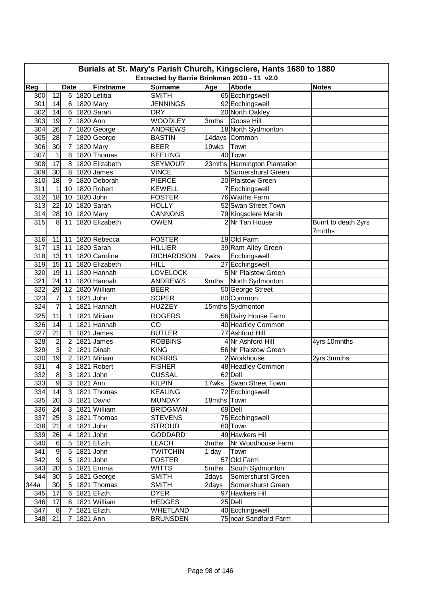| Burials at St. Mary's Parish Church, Kingsclere, Hants 1680 to 1880<br>Extracted by Barrie Brinkman 2010 - 11 v2.0 |                  |                           |           |                  |                                 |             |                              |                     |  |  |
|--------------------------------------------------------------------------------------------------------------------|------------------|---------------------------|-----------|------------------|---------------------------------|-------------|------------------------------|---------------------|--|--|
|                                                                                                                    |                  |                           |           |                  |                                 |             |                              |                     |  |  |
| Reg                                                                                                                |                  | <b>Date</b>               |           | <b>Firstname</b> | <b>Surname</b><br><b>SMITH</b>  | Age         | Abode                        | <b>Notes</b>        |  |  |
| 300                                                                                                                | $\overline{12}$  | $6 \mid$                  |           | 1820 Letitia     |                                 |             | 65 Ecchingswell              |                     |  |  |
| 301                                                                                                                | 14               | $\,6$<br>$6 \overline{6}$ |           | 1820 Mary        | <b>JENNINGS</b>                 |             | 92 Ecchingswell              |                     |  |  |
| 302                                                                                                                | 14               | $\overline{7}$            | 1820 Ann  | 1820 Sarah       | <b>DRY</b>                      |             | 20 North Oakley              |                     |  |  |
| 303<br>304                                                                                                         | 19               |                           |           |                  | <b>WOODLEY</b>                  | 3mths       | Goose Hill                   |                     |  |  |
|                                                                                                                    | 26<br>28         | $\overline{7}$            |           | 1820 George      | <b>ANDREWS</b><br><b>BASTIN</b> |             | 18 North Sydmonton           |                     |  |  |
| 305                                                                                                                |                  | 7                         |           | 1820 George      |                                 |             | 14days Common                |                     |  |  |
| 306                                                                                                                | 30               | $\overline{7}$            |           | 1820 Mary        | <b>BEER</b>                     | 19wks       | Town                         |                     |  |  |
| 307                                                                                                                | $\mathbf{1}$     | 8                         |           | 1820 Thomas      | <b>KEELING</b>                  |             | 40 Town                      |                     |  |  |
| 308                                                                                                                | 17               | 8                         |           | 1820 Elizabeth   | <b>SEYMOUR</b>                  |             | 23mths Hannington Plantation |                     |  |  |
| 309                                                                                                                | 30               | 8                         |           | 1820 James       | <b>VINCE</b>                    |             | 5 Somershurst Green          |                     |  |  |
| 310                                                                                                                | 18               | 9                         |           | 1820 Deborah     | <b>PIERCE</b>                   |             | 20 Plaistow Green            |                     |  |  |
| 311                                                                                                                | $\mathbf{1}$     | 10                        |           | 1820 Robert      | <b>KEWELL</b>                   |             | 7 Ecchingswell               |                     |  |  |
| 312                                                                                                                | 18               | 10                        | 1820 John |                  | <b>FOSTER</b>                   |             | 76 Waiths Farm               |                     |  |  |
| $\overline{313}$                                                                                                   | 22               | 10                        |           | 1820 Sarah       | <b>HOLLY</b>                    |             | 52 Swan Street Town          |                     |  |  |
| $\overline{314}$                                                                                                   | 28               | 10 <sup>1</sup>           |           | $1820$ Mary      | <b>CANNONS</b>                  |             | 79 Kingsclere Marsh          |                     |  |  |
| 315                                                                                                                | 8                | 11                        |           | 1820 Elizabeth   | <b>OWEN</b>                     |             | 2 Nr Tan House               | Burnt to death 2yrs |  |  |
|                                                                                                                    |                  |                           |           |                  |                                 |             |                              | 7mnths              |  |  |
| 316                                                                                                                | 11               | 11                        |           | 1820 Rebecca     | <b>FOSTER</b>                   |             | 19 Old Farm                  |                     |  |  |
| 317                                                                                                                | 13               | 11                        |           | 1820 Sarah       | <b>HILLIER</b>                  |             | 39 Ram Alley Green           |                     |  |  |
| 318                                                                                                                | 13               | 11                        |           | 1820 Caroline    | <b>RICHARDSON</b>               | 2wks        | Ecchingswell                 |                     |  |  |
| 319                                                                                                                | 15               | 11                        |           | 1820 Elizabeth   | HILL                            |             | 27 Ecchingswell              |                     |  |  |
| 320                                                                                                                | 19               | 11                        |           | 1820 Hannah      | <b>LOVELOCK</b>                 |             | 5 Nr Plaistow Green          |                     |  |  |
| 321                                                                                                                | 24               | 11                        |           | 1820 Hannah      | <b>ANDREWS</b>                  | 9mths       | North Sydmonton              |                     |  |  |
| 322                                                                                                                | 29               | 12                        |           | 1820 William     | <b>BEER</b>                     |             | 50 George Street             |                     |  |  |
| 323                                                                                                                | $\overline{7}$   | 1                         | 1821 John |                  | <b>SOPER</b>                    |             | 80 Common                    |                     |  |  |
| 324                                                                                                                | $\overline{7}$   | 1                         |           | 1821 Hannah      | <b>HUZZEY</b>                   |             | 15mths Sydmonton             |                     |  |  |
| 325                                                                                                                | 11               | $\mathbf{1}$              |           | 1821 Miriam      | <b>ROGERS</b>                   |             | 56 Dairy House Farm          |                     |  |  |
| 326                                                                                                                | 14               | 1                         |           | 1821 Hannah      | CO                              |             | 40 Headley Common            |                     |  |  |
| 327                                                                                                                | 21               | 1                         |           | 1821 James       | <b>BUTLER</b>                   |             | 77 Ashford Hill              |                     |  |  |
| 328                                                                                                                | $\overline{c}$   | $\overline{2}$            |           | $1821$ James     | <b>ROBBINS</b>                  |             | 4 Nr Ashford Hill            | 4yrs 10mnths        |  |  |
| 329                                                                                                                | $\overline{3}$   | $\overline{2}$            |           | 1821 Dinah       | <b>KING</b>                     |             | 56 Nr Plaistow Green         |                     |  |  |
| 330                                                                                                                | 19               | $\overline{2}$            |           | 1821 Miriam      | <b>NORRIS</b>                   |             | 2 Workhouse                  | 2yrs 3mnths         |  |  |
| 331                                                                                                                | 4                | 3                         |           | 1821 Robert      | <b>FISHER</b>                   |             | 48 Headley Common            |                     |  |  |
| 332                                                                                                                | $\overline{8}$   | 3                         | 1821 John |                  | <b>CUSSAL</b>                   |             | 62 Dell                      |                     |  |  |
| 333                                                                                                                | 9                | 3 <sup>2</sup>            | 1821 Ann  |                  | <b>KILPIN</b>                   |             | 17wks Swan Street Town       |                     |  |  |
| 334                                                                                                                | 14               | 3 <sup>1</sup>            |           | 1821 Thomas      | <b>KEALING</b>                  |             | 72 Ecchingswell              |                     |  |  |
| 335                                                                                                                | 20               | 3 <sup>1</sup>            |           | 1821 David       | <b>MUNDAY</b>                   | 18mths Town |                              |                     |  |  |
| 336                                                                                                                | 24               | $\mathbf{3}$              |           | 1821 William     | <b>BRIDGMAN</b>                 |             | 69 Dell                      |                     |  |  |
| 337                                                                                                                | 25               | 3                         |           | 1821 Thomas      | <b>STEVENS</b>                  |             | 75 Ecchingswell              |                     |  |  |
| 338                                                                                                                | 21               | 4                         | 1821 John |                  | <b>STROUD</b>                   |             | 60 Town                      |                     |  |  |
| 339                                                                                                                | 26               | 4                         |           | 1821 John        | <b>GODDARD</b>                  |             | 49 Hawkers Hil               |                     |  |  |
| 340                                                                                                                | 6                | 5                         |           | 1821 Elizth.     | <b>LEACH</b>                    | 3mths       | Nr Woodhouse Farm            |                     |  |  |
| 341                                                                                                                | $\boldsymbol{9}$ | 5                         |           | 1821 John        | <b>TWITCHIN</b>                 | 1 day       | Town                         |                     |  |  |
| 342                                                                                                                | $\boldsymbol{9}$ | 5                         | 1821 John |                  | <b>FOSTER</b>                   |             | 57 Old Farm                  |                     |  |  |
| 343                                                                                                                | 20               | 5                         |           | 1821 Emma        | <b>WITTS</b>                    | 5mths       | South Sydmonton              |                     |  |  |
| 344                                                                                                                | 30               | 5                         |           | 1821 George      | <b>SMITH</b>                    | 2days       | Somershurst Green            |                     |  |  |
| 344a                                                                                                               | 30               | 5                         |           | 1821 Thomas      | <b>SMITH</b>                    | 2days       | Somershurst Green            |                     |  |  |
| 345                                                                                                                | 17               | 6                         |           | 1821 Elizth.     | <b>DYER</b>                     |             | 97 Hawkers Hil               |                     |  |  |
| 346                                                                                                                | 17               | 6                         |           | 1821 William     | <b>HEDGES</b>                   |             | 25 Dell                      |                     |  |  |
| 347                                                                                                                | 8                | 7                         |           | 1821 Elizth.     | <b>WHETLAND</b>                 |             | 40 Ecchingswell              |                     |  |  |
| 348                                                                                                                | 21               | 7                         | 1821 Ann  |                  | <b>BRUNSDEN</b>                 |             | 75 near Sandford Farm        |                     |  |  |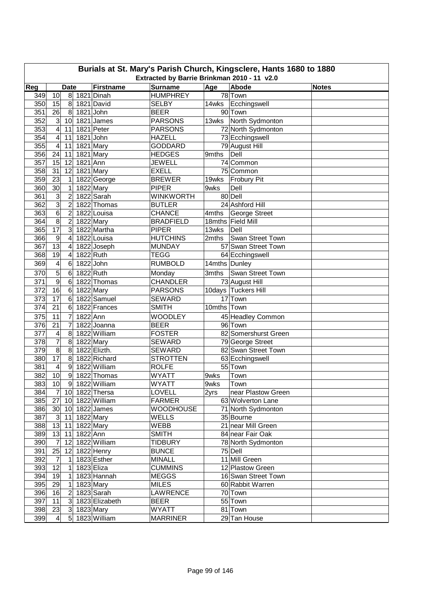|     | Burials at St. Mary's Parish Church, Kingsclere, Hants 1680 to 1880<br>Extracted by Barrie Brinkman 2010 - 11 v2.0 |                          |              |                        |                  |               |                      |              |  |  |  |
|-----|--------------------------------------------------------------------------------------------------------------------|--------------------------|--------------|------------------------|------------------|---------------|----------------------|--------------|--|--|--|
| Reg |                                                                                                                    | <b>Date</b>              |              | <b>Firstname</b>       | <b>Surname</b>   | Age           | Abode                | <b>Notes</b> |  |  |  |
| 349 | 10                                                                                                                 | 8 <sup>1</sup>           |              | 1821 Dinah             | <b>HUMPHREY</b>  |               | 78 Town              |              |  |  |  |
| 350 | 15                                                                                                                 | 8 <sup>1</sup>           |              | 1821 David             | <b>SELBY</b>     | 14wks         | Ecchingswell         |              |  |  |  |
| 351 | 26                                                                                                                 | 8                        |              | 1821 John              | <b>BEER</b>      |               | 90 Town              |              |  |  |  |
| 352 | $\mathbf{3}$                                                                                                       | 10                       |              | 1821 James             | <b>PARSONS</b>   | 13wks         | North Sydmonton      |              |  |  |  |
| 353 | $\overline{\mathbf{4}}$                                                                                            | 11                       |              | 1821 Peter             | <b>PARSONS</b>   |               | 72 North Sydmonton   |              |  |  |  |
| 354 | $\overline{\mathbf{4}}$                                                                                            | 11                       |              | 1821 John              | <b>HAZELL</b>    |               | 73 Ecchingswell      |              |  |  |  |
| 355 | 4                                                                                                                  | 11                       |              | 1821 Mary              | <b>GODDARD</b>   |               | 79 August Hill       |              |  |  |  |
| 356 | 24                                                                                                                 | 11                       |              | 1821 Mary              | <b>HEDGES</b>    | 9mths         | Dell                 |              |  |  |  |
| 357 | 15                                                                                                                 | 12                       | 1821 Ann     |                        | JEWELL           |               | 74 Common            |              |  |  |  |
| 358 | 31                                                                                                                 | 12                       |              | $\overline{18}21$ Mary | <b>EXELL</b>     |               | 75 Common            |              |  |  |  |
| 359 | $\overline{23}$                                                                                                    | $\mathbf 1$              |              | 1822 George            | <b>BREWER</b>    | 19wks         | <b>Frobury Pit</b>   |              |  |  |  |
| 360 | 30                                                                                                                 | $\mathbf 1$              |              | 1822 Mary              | <b>PIPER</b>     | 9wks          | Dell                 |              |  |  |  |
| 361 | 3                                                                                                                  | $\overline{c}$           |              | 1822 Sarah             | <b>WINKWORTH</b> |               | 80 Dell              |              |  |  |  |
|     | $\overline{3}$                                                                                                     |                          |              |                        |                  |               |                      |              |  |  |  |
| 362 |                                                                                                                    | $\overline{c}$           |              | 1822 Thomas            | <b>BUTLER</b>    |               | 24 Ashford Hill      |              |  |  |  |
| 363 | $\overline{6}$                                                                                                     | $\overline{c}$           |              | 1822 Louisa            | <b>CHANCE</b>    | 4mths         | George Street        |              |  |  |  |
| 364 | $\overline{8}$                                                                                                     | $\overline{c}$           |              | 1822 Mary              | <b>BRADFIELD</b> |               | 18mths Field Mill    |              |  |  |  |
| 365 | 17                                                                                                                 | 3                        |              | 1822 Martha            | <b>PIPER</b>     | 13wks         | Dell                 |              |  |  |  |
| 366 | $\overline{9}$                                                                                                     | $\overline{\mathcal{A}}$ |              | 1822 Louisa            | <b>HUTCHINS</b>  | 2mths         | Swan Street Town     |              |  |  |  |
| 367 | 13                                                                                                                 | 4                        |              | 1822 Joseph            | <b>MUNDAY</b>    |               | 57 Swan Street Town  |              |  |  |  |
| 368 | 19                                                                                                                 | 4                        | 1822 Ruth    |                        | <b>TEGG</b>      |               | 64 Ecchingswell      |              |  |  |  |
| 369 | 4                                                                                                                  | 6                        |              | 1822 John              | <b>RUMBOLD</b>   | 14mths Dunley |                      |              |  |  |  |
| 370 | 5                                                                                                                  | 6                        |              | 1822 Ruth              | Monday           | 3mths         | Swan Street Town     |              |  |  |  |
| 371 | 9                                                                                                                  | 6                        |              | 1822 Thomas            | <b>CHANDLER</b>  |               | 73 August Hill       |              |  |  |  |
| 372 | 16                                                                                                                 | 6                        |              | 1822 Mary              | <b>PARSONS</b>   |               | 10days Tuckers Hill  |              |  |  |  |
| 373 | 17                                                                                                                 | 6                        |              | 1822 Samuel            | <b>SEWARD</b>    |               | 17 Town              |              |  |  |  |
| 374 | 21                                                                                                                 | 6                        |              | 1822 Frances           | <b>SMITH</b>     | 10mths Town   |                      |              |  |  |  |
| 375 | 11                                                                                                                 | 7                        | 1822 Ann     |                        | <b>WOODLEY</b>   |               | 45 Headley Common    |              |  |  |  |
| 376 | 21                                                                                                                 | 7                        |              | 1822 Joanna            | <b>BEER</b>      |               | 96 Town              |              |  |  |  |
| 377 | 4                                                                                                                  | 8                        |              | 1822 William           | <b>FOSTER</b>    |               | 82 Somershurst Green |              |  |  |  |
| 378 | 7                                                                                                                  | 8                        |              | 1822 Mary              | <b>SEWARD</b>    |               | 79 George Street     |              |  |  |  |
| 379 | 8                                                                                                                  | 8                        |              | 1822 Elizth.           | <b>SEWARD</b>    |               | 82 Swan Street Town  |              |  |  |  |
| 380 | $\overline{17}$                                                                                                    | 8                        |              | 1822 Richard           | <b>STROTTEN</b>  |               | 63 Ecchingswell      |              |  |  |  |
| 381 | 4                                                                                                                  | 9                        |              | 1822 William           | <b>ROLFE</b>     |               | 55 Town              |              |  |  |  |
| 382 | 10                                                                                                                 | 9                        |              | 1822 Thomas            | <b>WYATT</b>     | 9wks          | Town                 |              |  |  |  |
| 383 | 10                                                                                                                 |                          |              | 9  1822 William        | WYATT            | 9wks          | Town                 |              |  |  |  |
| 384 |                                                                                                                    |                          |              | 7 10 1822 Thersa       | LOVELL           | 2yrs          | near Plastow Green   |              |  |  |  |
| 385 |                                                                                                                    |                          |              | 27 10 1822 William     | <b>FARMER</b>    |               | 63 Wolverton Lane    |              |  |  |  |
| 386 |                                                                                                                    |                          |              | 30 10 1822 James       | <b>WOODHOUSE</b> |               | 71 North Sydmonton   |              |  |  |  |
| 387 | 3                                                                                                                  |                          | 11 1822 Mary |                        | <b>WELLS</b>     |               | 35 Bourne            |              |  |  |  |
| 388 | 13                                                                                                                 | 11                       |              | 1822 Mary              | <b>WEBB</b>      |               | 21 near Mill Green   |              |  |  |  |
| 389 | 13                                                                                                                 | 11                       | 1822 Ann     |                        | <b>SMITH</b>     |               | 84 near Fair Oak     |              |  |  |  |
| 390 |                                                                                                                    |                          |              |                        |                  |               |                      |              |  |  |  |
|     | $\overline{7}$                                                                                                     | 12                       |              | 1822 William           | <b>TIDBURY</b>   |               | 78 North Sydmonton   |              |  |  |  |
| 391 | <b>25</b>                                                                                                          | 12                       |              | 1822 Henry             | <b>BUNCE</b>     |               | 75 Dell              |              |  |  |  |
| 392 | $\overline{7}$                                                                                                     | 1                        |              | 1823 Esther            | <b>MINALL</b>    |               | 11 Mill Green        |              |  |  |  |
| 393 | 12                                                                                                                 | 1                        |              | 1823 Eliza             | <b>CUMMINS</b>   |               | 12 Plastow Green     |              |  |  |  |
| 394 | 19                                                                                                                 | 1                        |              | 1823 Hannah            | <b>MEGGS</b>     |               | 16 Swan Street Town  |              |  |  |  |
| 395 | 29                                                                                                                 | 1                        |              | 1823 Mary              | <b>MILES</b>     |               | 60 Rabbit Warren     |              |  |  |  |
| 396 | 16                                                                                                                 | $\mathbf{2}$             |              | 1823 Sarah             | LAWRENCE         |               | 70 Town              |              |  |  |  |
| 397 | 11                                                                                                                 | 3 <sup>1</sup>           |              | 1823 Elizabeth         | <b>BEER</b>      |               | 55 Town              |              |  |  |  |
| 398 | 23                                                                                                                 | 3 <sup>2</sup>           |              | 1823 Mary              | <b>WYATT</b>     |               | 81 Town              |              |  |  |  |
| 399 | $\overline{4}$                                                                                                     |                          |              | 5 1823 William         | <b>MARRINER</b>  |               | 29 Tan House         |              |  |  |  |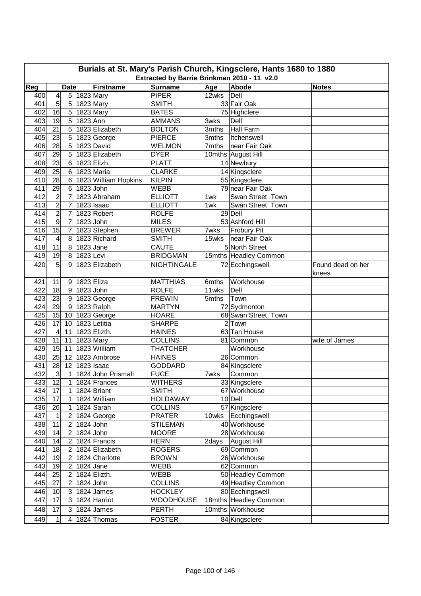| Burials at St. Mary's Parish Church, Kingsclere, Hants 1680 to 1880 |                                             |                         |             |                      |                    |       |                       |                            |  |  |  |  |
|---------------------------------------------------------------------|---------------------------------------------|-------------------------|-------------|----------------------|--------------------|-------|-----------------------|----------------------------|--|--|--|--|
|                                                                     | Extracted by Barrie Brinkman 2010 - 11 v2.0 |                         |             |                      |                    |       |                       |                            |  |  |  |  |
| Reg                                                                 |                                             | <b>Date</b>             |             | <b>Firstname</b>     | <b>Surname</b>     | Age   | Abode                 | <b>Notes</b>               |  |  |  |  |
| 400                                                                 | 4                                           | 5 <sup>1</sup>          | 1823 Mary   |                      | <b>PIPER</b>       | 12wks | Dell                  |                            |  |  |  |  |
| 401                                                                 | 5                                           | 5                       |             | 1823 Mary            | <b>SMITH</b>       |       | 33 Fair Oak           |                            |  |  |  |  |
| 402                                                                 | 16                                          | $5\overline{)}$         |             | 1823 Mary            | <b>BATES</b>       |       | 75 Highclere          |                            |  |  |  |  |
| 403                                                                 | 19                                          | 5                       | 1823 Ann    |                      | <b>AMMANS</b>      | 3wks  | Dell                  |                            |  |  |  |  |
| 404                                                                 | 21                                          | 5                       |             | 1823 Elizabeth       | <b>BOLTON</b>      | 3mths | Hall Farm             |                            |  |  |  |  |
| 405                                                                 | 23                                          | $5\overline{)}$         |             | 1823 George          | <b>PIERCE</b>      | 3mths | Itchenswell           |                            |  |  |  |  |
| 406                                                                 | 28                                          | $5\overline{)}$         |             | 1823 David           | <b>WELMON</b>      | 7mths | near Fair Oak         |                            |  |  |  |  |
| 407                                                                 | 29                                          | 5                       |             | 1823 Elizabeth       | <b>DYER</b>        |       | 10mths August Hill    |                            |  |  |  |  |
| 408                                                                 | 23                                          | $6 \,$                  |             | 1823 Elizh.          | <b>PLATT</b>       |       | 14 Newbury            |                            |  |  |  |  |
| 409                                                                 | 25                                          | $6 \,$                  |             | 1823 Maria           | <b>CLARKE</b>      |       | 14 Kingsclere         |                            |  |  |  |  |
| 410                                                                 | 28                                          | 6                       |             | 1823 William Hopkins | <b>KILPIN</b>      |       | 55 Kingsclere         |                            |  |  |  |  |
| 411                                                                 | 29                                          | 6                       | 1823 John   |                      | <b>WEBB</b>        |       | 79 near Fair Oak      |                            |  |  |  |  |
| 412                                                                 | $\overline{c}$                              | 7                       |             | 1823 Abraham         | <b>ELLIOTT</b>     | 1wk   | Swan Street Town      |                            |  |  |  |  |
| 413                                                                 | $\overline{2}$                              | 7                       |             | 1823 Isaac           | <b>ELLIOTT</b>     | 1wk.  | Swan Street Town      |                            |  |  |  |  |
| 414                                                                 | $\overline{2}$                              | 7                       |             | 1823 Robert          | <b>ROLFE</b>       |       | 29 Dell               |                            |  |  |  |  |
| 415                                                                 | 9                                           | $\overline{7}$          | 1823 John   |                      | <b>MILES</b>       |       | 53 Ashford Hill       |                            |  |  |  |  |
| 416                                                                 | 15                                          | $\overline{7}$          |             | 1823 Stephen         | <b>BREWER</b>      | 7wks  | Frobury Pit           |                            |  |  |  |  |
| 417                                                                 | 4                                           | 8                       |             | 1823 Richard         | <b>SMITH</b>       | 15wks | near Fair Oak         |                            |  |  |  |  |
| 418                                                                 | 11                                          | 8                       | 1823 Jane   |                      | <b>CAUTE</b>       |       | 5 North Street        |                            |  |  |  |  |
| 419                                                                 | 19                                          | 8                       | 1823 Levi   |                      | <b>BRIDGMAN</b>    |       | 15mths Headley Common |                            |  |  |  |  |
| 420                                                                 | 5                                           | 9                       |             | 1823 Elizabeth       | <b>NIGHTINGALE</b> |       | 72 Ecchingswell       | Found dead on her<br>knees |  |  |  |  |
| 421                                                                 | 11                                          | 9                       | 1823 Eliza  |                      | <b>MATTHIAS</b>    | 6mths | Workhouse             |                            |  |  |  |  |
| 422                                                                 | 18                                          | 9                       | $1823$ John |                      | <b>ROLFE</b>       | 11wks | Dell                  |                            |  |  |  |  |
| 423                                                                 | 23                                          | 9                       |             | 1823 George          | <b>FREWIN</b>      | 5mths | Town                  |                            |  |  |  |  |
| 424                                                                 | 29                                          | 9                       |             | 1823 Ralph           | <b>MARTYN</b>      |       | 72 Sydmonton          |                            |  |  |  |  |
| 425                                                                 | 15                                          | 10                      |             | 1823 George          | <b>HOARE</b>       |       | 68 Swan Street Town   |                            |  |  |  |  |
| 426                                                                 | 17                                          | 10                      |             | 1823 Letitia         | <b>SHARPE</b>      |       | 2 Town                |                            |  |  |  |  |
| 427                                                                 | 4                                           | 11                      |             | 1823 Elizth.         | <b>HAINES</b>      |       | 63 Tan House          |                            |  |  |  |  |
| 428                                                                 | 11                                          | 11                      |             | 1823 Mary            | <b>COLLINS</b>     |       | 81 Common             | wife of James              |  |  |  |  |
| 429                                                                 | 15                                          | 11                      |             | 1823 William         | <b>THATCHER</b>    |       | Workhouse             |                            |  |  |  |  |
| 430                                                                 | 25                                          | 12                      |             | 1823 Ambrose         | <b>HAINES</b>      |       | 26 Common             |                            |  |  |  |  |
| 431                                                                 | 28                                          | 12                      |             | 1823 Isaac           | <b>GODDARD</b>     |       | 84 Kingsclere         |                            |  |  |  |  |
| 432                                                                 | دن                                          | $\mathbf{1}$            |             | 1824 John Prismall   | <b>FUCE</b>        | 7wks  | Common                |                            |  |  |  |  |
| 433                                                                 | 12                                          | $\overline{4}$          |             | 1824 Frances         | <b>WITHERS</b>     |       | 33 Kingsclere         |                            |  |  |  |  |
| 434                                                                 | 17                                          | 1                       |             | 1824 Briant          | <b>SMITH</b>       |       | 67 Workhouse          |                            |  |  |  |  |
| 435                                                                 | $\overline{17}$                             | 1                       |             | 1824 William         | <b>HOLDAWAY</b>    |       | 10 Dell               |                            |  |  |  |  |
| 436                                                                 | 26                                          | 1                       |             | 1824 Sarah           | <b>COLLINS</b>     |       | 57 Kingsclere         |                            |  |  |  |  |
| 437                                                                 | 1                                           | $\overline{c}$          |             | 1824 George          | <b>PRATER</b>      |       | 10wks Ecchingswell    |                            |  |  |  |  |
| 438                                                                 | 11                                          | $\overline{c}$          |             | 1824 John            | <b>STILEMAN</b>    |       | 40 Workhouse          |                            |  |  |  |  |
| 439                                                                 | 14                                          | $\overline{c}$          | 1824 John   |                      | <b>MOORE</b>       |       | 28 Workhouse          |                            |  |  |  |  |
| 440                                                                 | 14                                          | $\overline{\mathbf{c}}$ |             | 1824 Francis         | <b>HERN</b>        | 2days | <b>August Hill</b>    |                            |  |  |  |  |
| 441                                                                 | 18                                          | $\overline{2}$          |             | 1824 Elizabeth       | <b>ROGERS</b>      |       | 69 Common             |                            |  |  |  |  |
| 442                                                                 | 19                                          | $\overline{c}$          |             | 1824 Charlotte       | <b>BROWN</b>       |       | 26 Workhouse          |                            |  |  |  |  |
| 443                                                                 | 19                                          | 2                       | $1824$ Jane |                      | <b>WEBB</b>        |       | 62 Common             |                            |  |  |  |  |
| 444                                                                 | 25                                          | $\overline{c}$          |             | 1824 Elizth.         | <b>WEBB</b>        |       | 50 Headley Common     |                            |  |  |  |  |
| 445                                                                 | 27                                          | $\overline{c}$          | 1824 John   |                      | <b>COLLINS</b>     |       | 49 Headley Common     |                            |  |  |  |  |
| 446                                                                 | 10                                          | $\mathbf{3}$            |             | 1824 James           | <b>HOCKLEY</b>     |       | 80 Ecchingswell       |                            |  |  |  |  |
| 447                                                                 | 17                                          | $\mathbf{3}$            |             | 1824 Harriot         | <b>WOODHOUSE</b>   |       | 18mths Headley Common |                            |  |  |  |  |
| 448                                                                 | 17                                          | 3                       |             | 1824 James           | <b>PERTH</b>       |       | 10mths Workhouse      |                            |  |  |  |  |
| 449                                                                 | 1                                           | $\overline{4}$          |             | 1824 Thomas          | <b>FOSTER</b>      |       | 84 Kingsclere         |                            |  |  |  |  |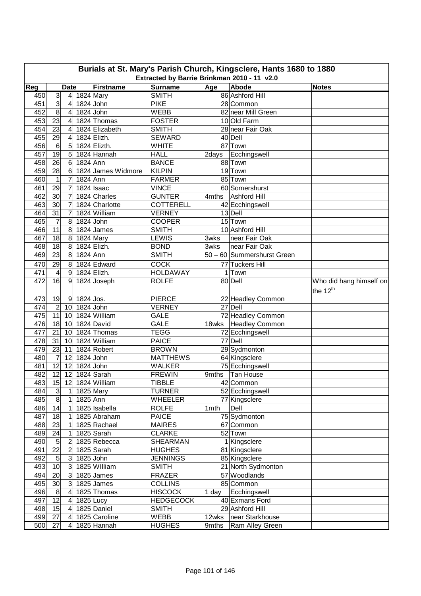| Burials at St. Mary's Parish Church, Kingsclere, Hants 1680 to 1880 |                                                                                                                                         |                |             |                    |                  |       |                            |                         |  |  |  |  |
|---------------------------------------------------------------------|-----------------------------------------------------------------------------------------------------------------------------------------|----------------|-------------|--------------------|------------------|-------|----------------------------|-------------------------|--|--|--|--|
|                                                                     | Extracted by Barrie Brinkman 2010 - 11 v2.0<br>Abode<br>Reg<br><b>Firstname</b><br><b>Surname</b><br>Age<br><b>Date</b><br><b>Notes</b> |                |             |                    |                  |       |                            |                         |  |  |  |  |
| 450                                                                 | 3                                                                                                                                       | $\overline{4}$ |             | $1824$ Mary        | <b>SMITH</b>     |       | 86 Ashford Hill            |                         |  |  |  |  |
| 451                                                                 | $\overline{3}$                                                                                                                          |                |             |                    | <b>PIKE</b>      |       |                            |                         |  |  |  |  |
|                                                                     |                                                                                                                                         | 4              |             | 1824 John          |                  |       | 28 Common                  |                         |  |  |  |  |
| 452                                                                 | 8                                                                                                                                       | 4              | $1824$ John |                    | <b>WEBB</b>      |       | 82 near Mill Green         |                         |  |  |  |  |
| 453                                                                 | $\overline{23}$                                                                                                                         | 4              |             | 1824 Thomas        | <b>FOSTER</b>    |       | 10 Old Farm                |                         |  |  |  |  |
| 454                                                                 | 23                                                                                                                                      | 4              |             | 1824 Elizabeth     | <b>SMITH</b>     |       | 28 near Fair Oak           |                         |  |  |  |  |
| 455                                                                 | 29                                                                                                                                      | 4              |             | 1824 Elizh.        | <b>SEWARD</b>    |       | 40 Dell                    |                         |  |  |  |  |
| 456                                                                 | $\,6$                                                                                                                                   | 5              |             | 1824 Elizth.       | <b>WHITE</b>     |       | 87 Town                    |                         |  |  |  |  |
| 457                                                                 | $\overline{19}$                                                                                                                         | 5              |             | 1824 Hannah        | <b>HALL</b>      | 2days | Ecchingswell               |                         |  |  |  |  |
| 458                                                                 | 26                                                                                                                                      | 6              | 1824 Ann    |                    | <b>BANCE</b>     |       | 88 Town                    |                         |  |  |  |  |
| 459                                                                 | 28                                                                                                                                      | 6              |             | 1824 James Widmore | <b>KILPIN</b>    |       | 19 Town                    |                         |  |  |  |  |
| 460                                                                 | $\mathbf{1}$                                                                                                                            | $\overline{7}$ | 1824 Ann    |                    | <b>FARMER</b>    |       | 85 Town                    |                         |  |  |  |  |
| 461                                                                 | 29                                                                                                                                      | $\overline{7}$ |             | 1824 Isaac         | <b>VINCE</b>     |       | 60 Somershurst             |                         |  |  |  |  |
| 462                                                                 | 30                                                                                                                                      | 7              |             | 1824 Charles       | <b>GUNTER</b>    | 4mths | <b>Ashford Hill</b>        |                         |  |  |  |  |
| 463                                                                 | 30                                                                                                                                      | 7              |             | 1824 Charlotte     | <b>COTTERELL</b> |       | 42 Ecchingswell            |                         |  |  |  |  |
| 464                                                                 | 31                                                                                                                                      | $\overline{7}$ |             | 1824 William       | <b>VERNEY</b>    |       | 13 Dell                    |                         |  |  |  |  |
| 465                                                                 | $\overline{7}$                                                                                                                          | 8              |             | 1824 John          | <b>COOPER</b>    |       | 15 Town                    |                         |  |  |  |  |
| 466                                                                 | 11                                                                                                                                      | 8              |             | 1824 James         | <b>SMITH</b>     |       | 10 Ashford Hill            |                         |  |  |  |  |
| 467                                                                 | 18                                                                                                                                      | 8              |             | 1824 Mary          | LEWIS            | 3wks  | near Fair Oak              |                         |  |  |  |  |
| 468                                                                 | 18                                                                                                                                      | 8              |             | 1824 Elizh.        | <b>BOND</b>      | 3wks  | near Fair Oak              |                         |  |  |  |  |
| 469                                                                 | 23                                                                                                                                      | 8              | 1824 Ann    |                    | <b>SMITH</b>     |       | 50 - 60 Summershurst Green |                         |  |  |  |  |
| 470                                                                 | 29                                                                                                                                      | 8              |             | 1824 Edward        | <b>COCK</b>      |       | 77 Tuckers Hill            |                         |  |  |  |  |
| 471                                                                 | 4                                                                                                                                       | 9              |             | 1824 Elizh.        | <b>HOLDAWAY</b>  |       | 1 Town                     |                         |  |  |  |  |
| 472                                                                 | 16                                                                                                                                      | 9              |             | 1824 Joseph        | <b>ROLFE</b>     |       | 80 Dell                    | Who did hang himself on |  |  |  |  |
|                                                                     |                                                                                                                                         |                |             |                    |                  |       |                            | the 12 <sup>th</sup>    |  |  |  |  |
| 473                                                                 | 19                                                                                                                                      | 9              | $1824$ Jos. |                    | <b>PIERCE</b>    |       | 22 Headley Common          |                         |  |  |  |  |
| 474                                                                 | $\boldsymbol{2}$                                                                                                                        | 10             | $1824$ John |                    | <b>VERNEY</b>    |       | 27 Dell                    |                         |  |  |  |  |
| 475                                                                 | 11                                                                                                                                      | 10             |             | 1824 William       | <b>GALE</b>      |       | 72 Headley Common          |                         |  |  |  |  |
| 476                                                                 | 18                                                                                                                                      | 10             |             | 1824 David         | <b>GALE</b>      | 18wks | Headley Common             |                         |  |  |  |  |
| 477                                                                 | 21                                                                                                                                      | 10             |             | 1824 Thomas        | <b>TEGG</b>      |       | 72 Ecchingswell            |                         |  |  |  |  |
| 478                                                                 | 31                                                                                                                                      | 10             |             | 1824 William       | <b>PAICE</b>     |       | 77 Dell                    |                         |  |  |  |  |
| 479                                                                 | 23                                                                                                                                      | 11             |             | 1824 Robert        | <b>BROWN</b>     |       | 29 Sydmonton               |                         |  |  |  |  |
| 480                                                                 | $\overline{7}$                                                                                                                          | 12             |             | 1824 John          | <b>MATTHEWS</b>  |       | 64 Kingsclere              |                         |  |  |  |  |
| 481                                                                 | 12                                                                                                                                      | 12             |             | 1824 John          | <b>WALKER</b>    |       | 75 Ecchingswell            |                         |  |  |  |  |
| 482                                                                 | 12                                                                                                                                      | 12             |             | 1824 Sarah         | <b>FREWIN</b>    | 9mths | Tan House                  |                         |  |  |  |  |
| 483                                                                 | 15                                                                                                                                      | 12             |             | 1824 William       | <b>TIBBLE</b>    |       | 42 Common                  |                         |  |  |  |  |
| 484                                                                 | $\mathsf 3$                                                                                                                             | 1              |             | 1825 Mary          | <b>TURNER</b>    |       | 52 Ecchingswell            |                         |  |  |  |  |
| 485                                                                 | $\bf 8$                                                                                                                                 | 1              | 1825 Ann    |                    | <b>WHEELER</b>   |       | 77 Kingsclere              |                         |  |  |  |  |
| 486                                                                 | 14                                                                                                                                      | 1              |             | 1825 Isabella      | <b>ROLFE</b>     | 1mth  | Dell                       |                         |  |  |  |  |
| 487                                                                 | $\overline{18}$                                                                                                                         | 1              |             | 1825 Abraham       | <b>PAICE</b>     |       | 75 Sydmonton               |                         |  |  |  |  |
| 488                                                                 | 23                                                                                                                                      | 1              |             | 1825 Rachael       | <b>MAIRES</b>    |       | 67 Common                  |                         |  |  |  |  |
| 489                                                                 | 24                                                                                                                                      | 1              |             | 1825 Sarah         | <b>CLARKE</b>    |       | 52 Town                    |                         |  |  |  |  |
| 490                                                                 | 5                                                                                                                                       | $\overline{c}$ |             | 1825 Rebecca       | <b>SHEARMAN</b>  |       | 1 Kingsclere               |                         |  |  |  |  |
| 491                                                                 | $\overline{22}$                                                                                                                         |                |             | 1825 Sarah         | <b>HUGHES</b>    |       |                            |                         |  |  |  |  |
|                                                                     |                                                                                                                                         | $\overline{c}$ |             |                    |                  |       | 81 Kingsclere              |                         |  |  |  |  |
| 492                                                                 | $\sqrt{5}$                                                                                                                              | $\mathsf 3$    |             | 1825 John          | <b>JENNINGS</b>  |       | 85 Kingsclere              |                         |  |  |  |  |
| 493                                                                 | 10                                                                                                                                      | $\mathsf 3$    |             | 1825 William       | <b>SMITH</b>     |       | 21 North Sydmonton         |                         |  |  |  |  |
| 494                                                                 | 20                                                                                                                                      | $\mathsf 3$    |             | 1825 James         | <b>FRAZER</b>    |       | 57 Woodlands               |                         |  |  |  |  |
| 495                                                                 | 30 <sup>°</sup>                                                                                                                         | 3              |             | 1825 James         | <b>COLLINS</b>   |       | 85 Common                  |                         |  |  |  |  |
| 496                                                                 | 8                                                                                                                                       | 4              |             | 1825 Thomas        | <b>HISCOCK</b>   | 1 day | Ecchingswell               |                         |  |  |  |  |
| 497                                                                 | 12                                                                                                                                      | 4              |             | 1825 Lucy          | <b>HEDGECOCK</b> |       | 40 Exmans Ford             |                         |  |  |  |  |
| 498                                                                 | 15                                                                                                                                      | $\overline{4}$ |             | 1825 Daniel        | <b>SMITH</b>     |       | 29 Ashford Hill            |                         |  |  |  |  |
| 499                                                                 | 27                                                                                                                                      | $\overline{4}$ |             | 1825 Caroline      | <b>WEBB</b>      | 12wks | near Starkhouse            |                         |  |  |  |  |
| 500                                                                 | 27                                                                                                                                      | $\vert$        |             | 1825 Hannah        | <b>HUGHES</b>    | 9mths | Ram Alley Green            |                         |  |  |  |  |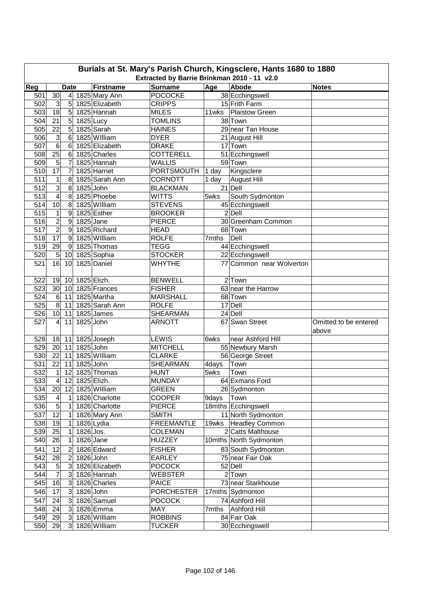| Burials at St. Mary's Parish Church, Kingsclere, Hants 1680 to 1880<br>Extracted by Barrie Brinkman 2010 - 11 v2.0 |                 |                                |             |                                   |                                  |       |                          |                       |  |  |
|--------------------------------------------------------------------------------------------------------------------|-----------------|--------------------------------|-------------|-----------------------------------|----------------------------------|-------|--------------------------|-----------------------|--|--|
| Reg                                                                                                                |                 |                                |             |                                   |                                  |       | Abode                    |                       |  |  |
| 501                                                                                                                | 30              | <b>Date</b><br>$\vert 4 \vert$ |             | <b>Firstname</b><br>1825 Mary Ann | <b>Surname</b><br><b>POCOCKE</b> | Age   | 38 Ecchingswell          | <b>Notes</b>          |  |  |
| 502                                                                                                                | 3               | 5                              |             | 1825 Elizabeth                    | <b>CRIPPS</b>                    |       | 15 Frith Farm            |                       |  |  |
| 503                                                                                                                | 18              | 5 <sup>1</sup>                 |             | 1825 Hannah                       | <b>MILES</b>                     | 11wks | <b>Plaistow Green</b>    |                       |  |  |
| 504                                                                                                                | 21              | $\overline{5}$                 | 1825 Lucy   |                                   | <b>TOMLINS</b>                   |       | 38 Town                  |                       |  |  |
| 505                                                                                                                | 22              | 5                              |             | 1825 Sarah                        | <b>HAINES</b>                    |       | 29 near Tan House        |                       |  |  |
| 506                                                                                                                | $\mathbf{3}$    | 6                              |             | 1825 William                      | <b>DYER</b>                      |       | 21 August Hill           |                       |  |  |
| 507                                                                                                                | $\overline{6}$  | 6                              |             | 1825 Elizabeth                    | <b>DRAKE</b>                     |       | 17 Town                  |                       |  |  |
| 508                                                                                                                | $\overline{25}$ | $6\phantom{1}$                 |             | 1825 Charles                      | <b>COTTERELL</b>                 |       | 51 Ecchingswell          |                       |  |  |
| 509                                                                                                                | $\sqrt{5}$      | 7                              |             | 1825 Hannah                       | <b>WALLIS</b>                    |       | 59 Town                  |                       |  |  |
| 510                                                                                                                | 17              | $\overline{7}$                 |             | 1825 Harriet                      | <b>PORTSMOUTH</b>                | 1 day | Kingsclere               |                       |  |  |
| 511                                                                                                                | 1               | 8                              |             | 1825 Sarah Ann                    | <b>CORNOTT</b>                   | 1 day | <b>August Hill</b>       |                       |  |  |
| 512                                                                                                                | 3               | 8                              | 1825 John   |                                   | <b>BLACKMAN</b>                  |       | 21 Dell                  |                       |  |  |
| 513                                                                                                                | $\overline{4}$  | 8                              |             | 1825 Phoebe                       | <b>WITTS</b>                     | 5wks  | South Sydmonton          |                       |  |  |
| 514                                                                                                                | 10              | 8                              |             | 1825 William                      | <b>STEVENS</b>                   |       | 45 Ecchingswell          |                       |  |  |
| 515                                                                                                                | 1               | 9                              |             | 1825 Esther                       | <b>BROOKER</b>                   |       | 2 Dell                   |                       |  |  |
| 516                                                                                                                | $\overline{2}$  | 9                              | $1825$ Jane |                                   | <b>PIERCE</b>                    |       | 30 Greenham Common       |                       |  |  |
| 517                                                                                                                | $\overline{2}$  | $\boldsymbol{9}$               |             | 1825 Richard                      | <b>HEAD</b>                      |       | 68 Town                  |                       |  |  |
| 518                                                                                                                | $\overline{17}$ | 9                              |             | 1825 William                      | <b>ROLFE</b>                     | 7mths | Dell                     |                       |  |  |
| 519                                                                                                                | 29              | 9                              |             | 1825 Thomas                       | <b>TEGG</b>                      |       | 44 Ecchingswell          |                       |  |  |
| 520                                                                                                                | $\overline{5}$  | 10                             |             | 1825 Sophia                       | <b>STOCKER</b>                   |       | 22 Ecchingswell          |                       |  |  |
| 521                                                                                                                | 16              | 10                             |             | 1825 Daniel                       | <b>WHYTHE</b>                    |       | 77 Common near Wolverton |                       |  |  |
|                                                                                                                    |                 |                                |             |                                   |                                  |       |                          |                       |  |  |
| 522                                                                                                                | 19              | 10 <sup>1</sup>                | 1825 Elizh. |                                   | <b>BENWELL</b>                   |       | $2$ Town                 |                       |  |  |
| 523                                                                                                                | 30              | 10 <sup>1</sup>                |             | 1825 Frances                      | <b>FISHER</b>                    |       | 63 near the Harrow       |                       |  |  |
| 524                                                                                                                | $6 \,$          | 11                             |             | 1825 Martha                       | <b>MARSHALL</b>                  |       | 68 Town                  |                       |  |  |
| 525                                                                                                                | $\overline{8}$  | 11                             |             | 1825 Sarah Ann                    | <b>ROLFE</b>                     |       | 17 Dell                  |                       |  |  |
| 526                                                                                                                | 10              | 11                             |             | 1825 James                        | <b>SHEARMAN</b>                  |       | 24 Dell                  |                       |  |  |
| 527                                                                                                                | $\overline{4}$  | 11                             | 1825 John   |                                   | <b>ARNOTT</b>                    |       | 67 Swan Street           | Omitted to be entered |  |  |
|                                                                                                                    |                 |                                |             |                                   |                                  |       |                          | above                 |  |  |
| 528                                                                                                                |                 | $18$ 11                        |             | 1825 Joseph                       | <b>LEWIS</b>                     | 6wks  | near Ashford Hill        |                       |  |  |
| 529                                                                                                                | 20              | 11                             | 1825 John   |                                   | <b>MITCHELL</b>                  |       | 55 Newbury Marsh         |                       |  |  |
| 530                                                                                                                | 22              | 11                             |             | 1825 William                      | <b>CLARKE</b>                    |       | 56 George Street         |                       |  |  |
| 531                                                                                                                | 22              | 11                             | 1825 John   |                                   | <b>SHEARMAN</b>                  | 4days | Town                     |                       |  |  |
| 532                                                                                                                | $\mathbf{1}$    | 12                             |             | 1825 Thomas                       | <b>HUNT</b>                      | 5wks  | Town                     |                       |  |  |
| 533                                                                                                                | $\overline{4}$  |                                |             | 12 1825 Elizh.                    | <b>MUNDAY</b>                    |       | 64 Exmans Ford           |                       |  |  |
| 534                                                                                                                | 20              | 12                             |             | 1825 William                      | <b>GREEN</b>                     |       | 26 Sydmonton             |                       |  |  |
| 535                                                                                                                | $\overline{4}$  | 1                              |             | 1826 Charlotte                    | <b>COOPER</b>                    | 9days | Town                     |                       |  |  |
| 536                                                                                                                | 5               | 1                              |             | 1826 Charlotte                    | <b>PIERCE</b>                    |       | 18mths Ecchingswell      |                       |  |  |
| 537                                                                                                                | 12              | 1                              |             | 1826 Mary Ann                     | <b>SMITH</b>                     |       | 11 North Sydmonton       |                       |  |  |
| 538                                                                                                                | 19              | 1                              |             | 1826 Lydia                        | <b>FREEMANTLE</b>                |       | 19wks   Headley Common   |                       |  |  |
| 539                                                                                                                | 25              | 1                              | 1826 Jos.   |                                   | COLEMAN                          |       | 2 Catts Malthouse        |                       |  |  |
| 540                                                                                                                | 26              | 1                              |             | 1826 Jane                         | <b>HUZZEY</b>                    |       | 10mths North Sydmonton   |                       |  |  |
| 541                                                                                                                | 12              | $\overline{c}$                 |             | 1826 Edward                       | <b>FISHER</b>                    |       | 83 South Sydmonton       |                       |  |  |
| 542                                                                                                                | 28              | $\overline{c}$                 | 1826 John   |                                   | <b>EARLEY</b>                    |       | 75 near Fair Oak         |                       |  |  |
| 543                                                                                                                | $\overline{5}$  | 3 <sup>1</sup>                 |             | 1826 Elizabeth                    | <b>POCOCK</b>                    |       | 52 Dell                  |                       |  |  |
| 544                                                                                                                | $\overline{7}$  | 3 <sup>1</sup>                 |             | 1826 Hannah                       | <b>WEBSTER</b>                   |       | $2$ Town                 |                       |  |  |
| 545                                                                                                                | 16              | $\mathbf{3}$                   |             | 1826 Charles                      | <b>PAICE</b>                     |       | 73 near Starkhouse       |                       |  |  |
| 546                                                                                                                | 17              | $\mathbf{3}$                   | 1826 John   |                                   | <b>PORCHESTER</b>                |       | 17mths Sydmonton         |                       |  |  |
| 547                                                                                                                | 24              | 3                              |             | 1826 Samuel                       | <b>POCOCK</b>                    |       | 74 Ashford Hill          |                       |  |  |
| 548                                                                                                                | 24              | $\mathbf{3}$                   |             | $1826$ Emma                       | MAY                              | 7mths | Ashford Hill             |                       |  |  |
| 549                                                                                                                | 29              | $\overline{3}$                 |             | 1826 William                      | <b>ROBBINS</b>                   |       | 84 Fair Oak              |                       |  |  |
| 550                                                                                                                | 29              | 3 <sup>1</sup>                 |             | 1826 William                      | <b>TUCKER</b>                    |       | 30 Ecchingswell          |                       |  |  |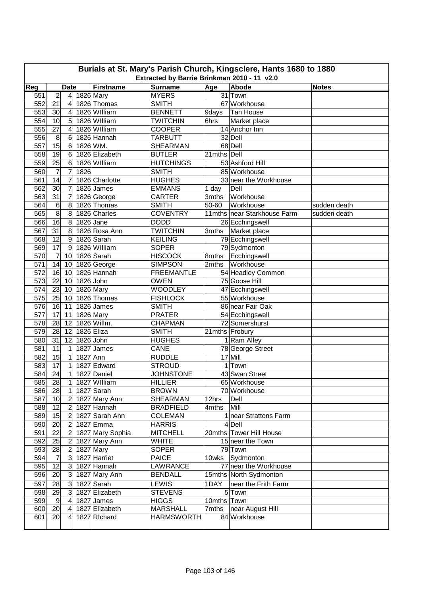| Burials at St. Mary's Parish Church, Kingsclere, Hants 1680 to 1880 |                                             |                         |            |                  |                                 |             |                                    |              |  |  |  |  |
|---------------------------------------------------------------------|---------------------------------------------|-------------------------|------------|------------------|---------------------------------|-------------|------------------------------------|--------------|--|--|--|--|
|                                                                     | Extracted by Barrie Brinkman 2010 - 11 v2.0 |                         |            |                  |                                 |             |                                    |              |  |  |  |  |
| Reg                                                                 |                                             | <b>Date</b>             |            | <b>Firstname</b> | <b>Surname</b>                  | Age         | Abode                              | <b>Notes</b> |  |  |  |  |
| 551                                                                 | $\overline{c}$                              | $\overline{4}$          | 1826 Mary  |                  | <b>MYERS</b>                    |             | 31 Town                            |              |  |  |  |  |
| 552                                                                 | 21                                          | 4                       |            | 1826 Thomas      | <b>SMITH</b>                    |             | 67 Workhouse                       |              |  |  |  |  |
| 553                                                                 | 30                                          | $\overline{4}$          |            | 1826 William     | <b>BENNETT</b>                  | 9days       | Tan House                          |              |  |  |  |  |
| 554                                                                 | 10                                          | 5                       |            | 1826 William     | <b>TWITCHIN</b>                 | 6hrs        | Market place                       |              |  |  |  |  |
| 555                                                                 | 27                                          | $\overline{4}$          |            | 1826 William     | <b>COOPER</b>                   |             | 14 Anchor Inn                      |              |  |  |  |  |
| 556                                                                 | 8                                           | 6                       |            | 1826 Hannah      | <b>TARBUTT</b>                  |             | 32 Dell                            |              |  |  |  |  |
| 557                                                                 | $\overline{15}$                             | 6                       | 1826 WM.   |                  | <b>SHEARMAN</b>                 |             | 68 Dell                            |              |  |  |  |  |
| 558                                                                 | 19                                          | 6                       |            | 1826 Elizabeth   | <b>BUTLER</b>                   | 21mths Dell |                                    |              |  |  |  |  |
| 559                                                                 | 25                                          | 6                       |            | 1826 William     | <b>HUTCHINGS</b>                |             | 53 Ashford Hill                    |              |  |  |  |  |
| 560                                                                 | $\overline{7}$                              | $\overline{7}$          | 1826       |                  | <b>SMITH</b>                    |             | 85 Workhouse                       |              |  |  |  |  |
| 561                                                                 | 14                                          | 7                       |            | 1826 Charlotte   | <b>HUGHES</b>                   |             | 33 near the Workhouse              |              |  |  |  |  |
| 562                                                                 | 30                                          | 7                       |            | 1826 James       | <b>EMMANS</b>                   | 1 day       | Dell                               |              |  |  |  |  |
| 563                                                                 | 31                                          | 7                       |            | 1826 George      | <b>CARTER</b>                   | 3mths       | Workhouse                          |              |  |  |  |  |
| 564                                                                 | 6                                           | 8                       |            | 1826 Thomas      | <b>SMITH</b>                    | 50-60       | Workhouse                          | sudden death |  |  |  |  |
| 565                                                                 | $\overline{8}$                              | 8                       |            | 1826 Charles     | <b>COVENTRY</b>                 |             | 11mths near Starkhouse Farm        | sudden death |  |  |  |  |
| 566                                                                 | 16                                          | 8                       | 1826 Jane  |                  | <b>DODD</b>                     |             | 26 Ecchingswell                    |              |  |  |  |  |
| 567                                                                 | 31                                          | 8                       |            | 1826 Rosa Ann    | <b>TWITCHIN</b>                 | 3mths       | Market place                       |              |  |  |  |  |
| 568                                                                 | 12                                          | 9                       |            | 1826 Sarah       | <b>KEILING</b>                  |             | 79 Ecchingswell                    |              |  |  |  |  |
| 569                                                                 | 17                                          | 9                       |            | 1826 William     | <b>SOPER</b>                    |             | 79 Sydmonton                       |              |  |  |  |  |
| 570                                                                 | 7                                           | 10                      |            | 1826 Sarah       | <b>HISCOCK</b>                  | 8mths       | Ecchingswell                       |              |  |  |  |  |
| 571                                                                 | 14                                          | 10                      |            | 1826 George      | <b>SIMPSON</b>                  | 2mths       | Workhouse                          |              |  |  |  |  |
| 572                                                                 | 16                                          | 10                      |            | 1826 Hannah      | <b>FREEMANTLE</b>               |             | 54 Headley Common                  |              |  |  |  |  |
| 573                                                                 | 22                                          | 10                      | 1826 John  |                  | <b>OWEN</b>                     |             | 75 Goose Hill                      |              |  |  |  |  |
| 574                                                                 | 23                                          | 10                      |            | 1826 Mary        | <b>WOODLEY</b>                  |             | 47 Ecchingswell                    |              |  |  |  |  |
| 575                                                                 | 25                                          | 10                      |            | 1826 Thomas      | <b>FISHLOCK</b>                 |             | 55 Workhouse                       |              |  |  |  |  |
| 576                                                                 | 16                                          | 11                      |            | 1826 James       | <b>SMITH</b>                    |             | 86 near Fair Oak                   |              |  |  |  |  |
| 577                                                                 | 17                                          | 11                      |            | 1826 Mary        | <b>PRATER</b>                   |             | 54 Ecchingswell                    |              |  |  |  |  |
| 578                                                                 | 28                                          | 12                      |            | 1826 Willm.      | <b>CHAPMAN</b>                  |             | 72 Somershurst                     |              |  |  |  |  |
| 579                                                                 | 28                                          | 12                      | 1826 Eliza |                  | <b>SMITH</b>                    |             | 21mths Frobury                     |              |  |  |  |  |
| 580                                                                 | $\overline{31}$                             | 12                      | 1826 John  |                  | <b>HUGHES</b>                   |             | 1 Ram Alley                        |              |  |  |  |  |
| 581                                                                 | 11                                          | 1                       |            | 1827 James       | CANE                            |             | 78 George Street                   |              |  |  |  |  |
| 582                                                                 | 15                                          | 1                       | 1827 Ann   |                  | <b>RUDDLE</b>                   |             | 17 Mill                            |              |  |  |  |  |
| 583                                                                 | $\overline{17}$                             | $\mathbf{1}$            |            | 1827 Edward      | <b>STROUD</b>                   | 1           | Town                               |              |  |  |  |  |
| 584                                                                 | 24                                          | 1                       |            | 1827 Daniel      | <b>JOHNSTONE</b>                |             | 43 Swan Street                     |              |  |  |  |  |
| 585                                                                 | $\overline{28}$                             | $\mathbf{1}$            |            | 1827 William     | <b>HILLIER</b>                  |             | 65 Workhouse                       |              |  |  |  |  |
| 586                                                                 | 28                                          | $\mathbf{1}$            |            | 1827 Sarah       | <b>BROWN</b>                    |             | 70 Workhouse                       |              |  |  |  |  |
| 587                                                                 | 10                                          | $\overline{2}$          |            | 1827 Mary Ann    | SHEARMAN                        | 12hrs       | Dell                               |              |  |  |  |  |
| 588                                                                 | 12                                          | $\overline{2}$          |            | 1827 Hannah      | <b>BRADFIELD</b>                | 4mths       | Mill                               |              |  |  |  |  |
| 589                                                                 | 15                                          | 2                       |            | 1827 Sarah Ann   | COLEMAN                         |             | 1 near Strattons Farm              |              |  |  |  |  |
| 590                                                                 | 20                                          | 2                       |            | 1827 Emma        | <b>HARRIS</b>                   |             | 4 Dell                             |              |  |  |  |  |
| 591                                                                 | 22                                          | $\overline{c}$          |            | 1827 Mary Sophia | <b>MITCHELL</b>                 |             | 20mths Tower Hill House            |              |  |  |  |  |
| 592                                                                 | 25                                          | $\overline{c}$          |            | 1827 Mary Ann    | <b>WHITE</b>                    |             | 15 near the Town                   |              |  |  |  |  |
| 593                                                                 | $\overline{28}$                             |                         |            |                  | <b>SOPER</b>                    |             | 79 Town                            |              |  |  |  |  |
|                                                                     |                                             | $\overline{\mathbf{c}}$ |            | 1827 Mary        |                                 |             |                                    |              |  |  |  |  |
| 594                                                                 | 7<br>12                                     | 3 <sup>1</sup>          |            | 1827 Harriet     | <b>PAICE</b><br><b>LAWRANCE</b> | 10wks       | Sydmonton<br>77 near the Workhouse |              |  |  |  |  |
| 595                                                                 |                                             | 3                       |            | 1827 Hannah      |                                 |             |                                    |              |  |  |  |  |
| 596                                                                 | 20                                          | $\overline{3}$          |            | 1827 Mary Ann    | <b>BENDALL</b>                  |             | 15mths North Sydmonton             |              |  |  |  |  |
| 597                                                                 | 28                                          | $\mathbf{3}$            |            | 1827 Sarah       | LEWIS                           | 1DAY        | near the Frith Farm                |              |  |  |  |  |
| 598                                                                 | 29                                          | $\mathbf{3}$            |            | 1827 Elizabeth   | <b>STEVENS</b>                  |             | 5 Town                             |              |  |  |  |  |
| 599                                                                 | 9                                           | 4                       |            | 1827 James       | <b>HIGGS</b>                    | 10mths      | Town                               |              |  |  |  |  |
| 600                                                                 | 20                                          | $\overline{4}$          |            | 1827 Elizabeth   | <b>MARSHALL</b>                 | 7mths       | near August Hill                   |              |  |  |  |  |
| 601                                                                 | 20                                          | 4                       |            | 1827 Richard     | <b>HARMSWORTH</b>               |             | 84 Workhouse                       |              |  |  |  |  |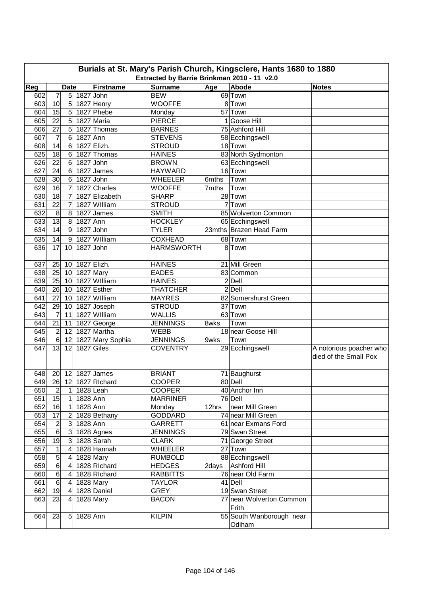|            | Burials at St. Mary's Parish Church, Kingsclere, Hants 1680 to 1880<br>Extracted by Barrie Brinkman 2010 - 11 v2.0 |                 |           |                          |                   |                |                          |                         |  |  |  |  |
|------------|--------------------------------------------------------------------------------------------------------------------|-----------------|-----------|--------------------------|-------------------|----------------|--------------------------|-------------------------|--|--|--|--|
| Reg        |                                                                                                                    | <b>Date</b>     |           | <b>Firstname</b>         | <b>Surname</b>    | Age            | Abode                    | <b>Notes</b>            |  |  |  |  |
| 602        | 7                                                                                                                  | 5               | 1827 John |                          | <b>BEW</b>        |                | 69 Town                  |                         |  |  |  |  |
| 603        | 10                                                                                                                 | $\sqrt{5}$      |           | 1827 Henry               | <b>WOOFFE</b>     |                | 8 Town                   |                         |  |  |  |  |
| 604        | 15                                                                                                                 | 5               |           | 1827 Phebe               | Monday            |                | 57 Town                  |                         |  |  |  |  |
| 605        | 22                                                                                                                 | $\overline{5}$  |           | 1827 Maria               | <b>PIERCE</b>     |                | 1 Goose Hill             |                         |  |  |  |  |
| 606        | 27                                                                                                                 | 5               |           | 1827 Thomas              | <b>BARNES</b>     |                | 75 Ashford Hill          |                         |  |  |  |  |
| 607        | 7                                                                                                                  | 6               | 1827 Ann  |                          | <b>STEVENS</b>    |                | 58 Ecchingswell          |                         |  |  |  |  |
| 608        | 14                                                                                                                 | $6\phantom{1}$  |           | 1827 Elizh.              | <b>STROUD</b>     |                | 18 Town                  |                         |  |  |  |  |
|            |                                                                                                                    | 6               |           |                          | <b>HAINES</b>     |                |                          |                         |  |  |  |  |
| 625<br>626 | 18<br>22                                                                                                           | 6               |           | 1827 Thomas<br>1827 John | <b>BROWN</b>      |                | 83 North Sydmonton       |                         |  |  |  |  |
|            |                                                                                                                    |                 |           |                          |                   |                | 63 Ecchingswell          |                         |  |  |  |  |
| 627        | 24                                                                                                                 | 6               |           | 1827 James               | <b>HAYWARD</b>    |                | 16 Town                  |                         |  |  |  |  |
| 628        | 30                                                                                                                 | 6               | 1827 John |                          | <b>WHEELER</b>    | 6mths          | Town                     |                         |  |  |  |  |
| 629        | 16                                                                                                                 | 7               |           | 1827 Charles             | <b>WOOFFE</b>     | 7mths          | Town                     |                         |  |  |  |  |
| 630        | 18                                                                                                                 | $\overline{7}$  |           | 1827 Elizabeth           | <b>SHARP</b>      |                | 28 Town                  |                         |  |  |  |  |
| 631        | 22                                                                                                                 | 7               |           | 1827 William             | <b>STROUD</b>     | $\overline{7}$ | Town                     |                         |  |  |  |  |
| 632        | 8                                                                                                                  | 8               |           | 1827 James               | <b>SMITH</b>      |                | 85 Wolverton Common      |                         |  |  |  |  |
| 633        | $\overline{13}$                                                                                                    | 8               | 1827 Ann  |                          | <b>HOCKLEY</b>    |                | 65 Ecchingswell          |                         |  |  |  |  |
| 634        | 14                                                                                                                 | 9               |           | 1827 John                | <b>TYLER</b>      |                | 23mths Brazen Head Farm  |                         |  |  |  |  |
| 635        | 14                                                                                                                 | 9               |           | 1827 William             | <b>COXHEAD</b>    |                | 68 Town                  |                         |  |  |  |  |
| 636        | 17                                                                                                                 | 10              | 1827 John |                          | <b>HARMSWORTH</b> |                | 8 Town                   |                         |  |  |  |  |
|            |                                                                                                                    |                 |           |                          |                   |                |                          |                         |  |  |  |  |
| 637        | 25                                                                                                                 | 10              |           | 1827 Elizh.              | <b>HAINES</b>     |                | 21 Mill Green            |                         |  |  |  |  |
| 638        | 25                                                                                                                 | 10              |           | 1827 Mary                | <b>EADES</b>      |                | 83 Common                |                         |  |  |  |  |
| 639        | 25                                                                                                                 | 10              |           | 1827 William             | <b>HAINES</b>     |                | $2$ $Deli$               |                         |  |  |  |  |
| 640        | 26                                                                                                                 | 10              |           | 1827 Esther              | <b>THATCHER</b>   |                | 2 Dell                   |                         |  |  |  |  |
| 641        | 27                                                                                                                 | 10              |           | 1827 William             | <b>MAYRES</b>     |                | 82 Somershurst Green     |                         |  |  |  |  |
| 642        | 29                                                                                                                 | 10              |           | 1827 Joseph              | <b>STROUD</b>     |                | 37 Town                  |                         |  |  |  |  |
| 643        | $\overline{7}$                                                                                                     | 11              |           | 1827 William             | <b>WALLIS</b>     |                | 63 Town                  |                         |  |  |  |  |
| 644        | 21                                                                                                                 | 11              |           | 1827 George              | <b>JENNINGS</b>   | 8wks           | Town                     |                         |  |  |  |  |
| 645        | $\boldsymbol{2}$                                                                                                   | 12              |           | 1827 Martha              | <b>WEBB</b>       |                | 18 near Goose Hill       |                         |  |  |  |  |
| 646        | 6                                                                                                                  | 12              |           | 1827 Mary Sophia         | <b>JENNINGS</b>   | 9wks           | Town                     |                         |  |  |  |  |
| 647        | 13                                                                                                                 | 12              |           | 1827 Giles               | <b>COVENTRY</b>   |                | 29 Ecchingswell          | A notorious poacher who |  |  |  |  |
|            |                                                                                                                    |                 |           |                          |                   |                |                          | died of the Small Pox   |  |  |  |  |
|            |                                                                                                                    |                 |           |                          |                   |                |                          |                         |  |  |  |  |
| 648        |                                                                                                                    |                 |           | 20 12 1827 James         | <b>BRIANT</b>     |                | 71 Baughurst             |                         |  |  |  |  |
| 649        |                                                                                                                    |                 |           | 26 12 1827 Richard       | <b>COOPER</b>     |                | 80 Dell                  |                         |  |  |  |  |
| 650        | $\overline{2}$                                                                                                     | $\mathbf{1}$    |           | 1828 Leah                | <b>COOPER</b>     |                | 40 Anchor Inn            |                         |  |  |  |  |
| 651        | 15                                                                                                                 | 1               | 1828 Ann  |                          | <b>MARRINER</b>   |                | 76 Dell                  |                         |  |  |  |  |
| 652        | 16                                                                                                                 | $\mathbf{1}$    | 1828 Ann  |                          | Monday            | 12hrs          | near Mill Green          |                         |  |  |  |  |
| 653        | $\overline{17}$                                                                                                    | 2               |           | 1828 Bethany             | <b>GODDARD</b>    |                | 74 near Mill Green       |                         |  |  |  |  |
| 654        | $\overline{c}$                                                                                                     | 3 <sup>1</sup>  | 1828 Ann  |                          | <b>GARRETT</b>    |                | 61 near Exmans Ford      |                         |  |  |  |  |
| 655        | 6                                                                                                                  | 3 <sup>1</sup>  |           | 1828 Agnes               | <b>JENNINGS</b>   |                | 79 Swan Street           |                         |  |  |  |  |
| 656        | $\overline{19}$                                                                                                    | 3               |           | 1828 Sarah               | <b>CLARK</b>      |                | 71 George Street         |                         |  |  |  |  |
| 657        | 1                                                                                                                  | 4               |           | 1828 Hannah              | <b>WHEELER</b>    |                | 27 Town                  |                         |  |  |  |  |
| 658        | 5                                                                                                                  | $\overline{a}$  |           | 1828 Mary                | <b>RUMBOLD</b>    |                | 88 Ecchingswell          |                         |  |  |  |  |
| 659        | $\,6$                                                                                                              | $\overline{4}$  |           | 1828 Richard             | <b>HEDGES</b>     | 2days          | Ashford Hill             |                         |  |  |  |  |
| 660        | $\sigma$                                                                                                           | 4               |           | 1828 Richard             | <b>RABBITTS</b>   |                | 76 near Old Farm         |                         |  |  |  |  |
| 661        | 6                                                                                                                  | $\overline{4}$  |           |                          | <b>TAYLOR</b>     |                | 41 Dell                  |                         |  |  |  |  |
| 662        | 19                                                                                                                 |                 |           | 1828 Mary<br>1828 Daniel | <b>GREY</b>       |                | 19 Swan Street           |                         |  |  |  |  |
|            |                                                                                                                    | $\vert 4 \vert$ |           |                          |                   |                |                          |                         |  |  |  |  |
| 663        | 23                                                                                                                 | $\overline{4}$  |           | 1828 Mary                | <b>BACON</b>      |                | 77 near Wolverton Common |                         |  |  |  |  |
|            |                                                                                                                    |                 |           |                          |                   |                | Frith                    |                         |  |  |  |  |
| 664        | 23                                                                                                                 | 5               | 1828 Ann  |                          | <b>KILPIN</b>     |                | 55 South Wanborough near |                         |  |  |  |  |
|            |                                                                                                                    |                 |           |                          |                   |                | Odiham                   |                         |  |  |  |  |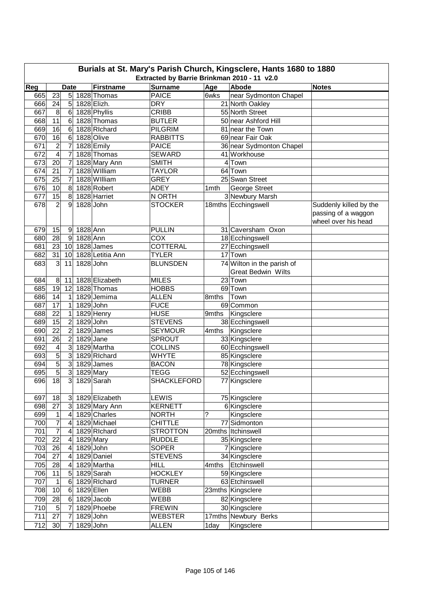| Burials at St. Mary's Parish Church, Kingsclere, Hants 1680 to 1880 |                                                                                     |                 |             |                             |                                 |       |                                    |                                            |  |  |  |  |
|---------------------------------------------------------------------|-------------------------------------------------------------------------------------|-----------------|-------------|-----------------------------|---------------------------------|-------|------------------------------------|--------------------------------------------|--|--|--|--|
|                                                                     | Extracted by Barrie Brinkman 2010 - 11 v2.0<br>Abode<br><b>Date</b><br><b>Notes</b> |                 |             |                             |                                 |       |                                    |                                            |  |  |  |  |
| Reg                                                                 |                                                                                     |                 |             | <b>Firstname</b>            | <b>Surname</b>                  | Age   |                                    |                                            |  |  |  |  |
| 665                                                                 | 23                                                                                  | $5\overline{)}$ |             | 1828 Thomas                 | <b>PAICE</b><br><b>DRY</b>      | 6wks  | near Sydmonton Chapel              |                                            |  |  |  |  |
| 666                                                                 | 24                                                                                  | 5               |             | 1828 Elizh.                 | <b>CRIBB</b>                    |       | 21 North Oakley<br>55 North Street |                                            |  |  |  |  |
| 667                                                                 | 8<br>11                                                                             | 6               |             | 1828 Phyllis<br>1828 Thomas |                                 |       | 50 near Ashford Hill               |                                            |  |  |  |  |
| 668<br>669                                                          |                                                                                     | 6               |             | 1828 Richard                | <b>BUTLER</b><br><b>PILGRIM</b> |       | 81 near the Town                   |                                            |  |  |  |  |
| 670                                                                 | 16<br>16                                                                            | 6<br>6          |             | 1828 Olive                  | <b>RABBITTS</b>                 |       | 69 near Fair Oak                   |                                            |  |  |  |  |
| 671                                                                 | $\overline{c}$                                                                      | 7               |             | 1828 Emily                  | <b>PAICE</b>                    |       | 36 near Sydmonton Chapel           |                                            |  |  |  |  |
| 672                                                                 | 4                                                                                   | 7               |             | 1828 Thomas                 | <b>SEWARD</b>                   |       | 41 Workhouse                       |                                            |  |  |  |  |
| 673                                                                 | 20                                                                                  | 7               |             | 1828 Mary Ann               | <b>SMITH</b>                    |       | 4 Town                             |                                            |  |  |  |  |
| 674                                                                 | 21                                                                                  | 7               |             | 1828 William                | <b>TAYLOR</b>                   |       | 64 Town                            |                                            |  |  |  |  |
| 675                                                                 | 25                                                                                  | $\overline{7}$  |             | 1828 William                | <b>GREY</b>                     |       | 25 Swan Street                     |                                            |  |  |  |  |
| 676                                                                 | 10                                                                                  | 8               |             | 1828 Robert                 | <b>ADEY</b>                     | 1mth  | George Street                      |                                            |  |  |  |  |
| 677                                                                 | 15                                                                                  | 8               |             | 1828 Harriet                | N ORTH                          |       | 3 Newbury Marsh                    |                                            |  |  |  |  |
| 678                                                                 | $\overline{2}$                                                                      | 9               | 1828 John   |                             | <b>STOCKER</b>                  |       | 18mths Ecchingswell                | Suddenly killed by the                     |  |  |  |  |
|                                                                     |                                                                                     |                 |             |                             |                                 |       |                                    | passing of a waggon<br>wheel over his head |  |  |  |  |
| 679                                                                 | 15                                                                                  | 9               | 1828 Ann    |                             | <b>PULLIN</b>                   |       | 31 Caversham Oxon                  |                                            |  |  |  |  |
| 680                                                                 | $\overline{28}$                                                                     | 9               | 1828 Ann    |                             | COX                             |       | 18 Ecchingswell                    |                                            |  |  |  |  |
| 681                                                                 | 23                                                                                  | 10              |             | 1828 James                  | COTTERAL                        |       | 27 Ecchingswell                    |                                            |  |  |  |  |
| 682                                                                 | 31                                                                                  | 10 <sup>1</sup> |             | 1828 Letitia Ann            | <b>TYLER</b>                    |       | 17 Town                            |                                            |  |  |  |  |
| 683                                                                 | دن                                                                                  | 11              | 1828 John   |                             | <b>BLUNSDEN</b>                 |       | 74 Wilton in the parish of         |                                            |  |  |  |  |
|                                                                     |                                                                                     |                 |             |                             |                                 |       | <b>Great Bedwin Wilts</b>          |                                            |  |  |  |  |
| 684                                                                 | 8                                                                                   | 11              |             | 1828 Elizabeth              | <b>MILES</b>                    |       | 23 Town                            |                                            |  |  |  |  |
| 685                                                                 | 19                                                                                  | 12              |             | 1828 Thomas                 | <b>HOBBS</b>                    |       | 69 Town                            |                                            |  |  |  |  |
| 686                                                                 | 14                                                                                  | 1               |             | 1829 Jemima                 | <b>ALLEN</b>                    | 8mths | Town                               |                                            |  |  |  |  |
| 687                                                                 | 17                                                                                  | 1               | 1829 John   |                             | <b>FUCE</b>                     |       | 69 Common                          |                                            |  |  |  |  |
| 688                                                                 | 22                                                                                  | 1               |             | 1829 Henry                  | <b>HUSE</b>                     | 9mths | Kingsclere                         |                                            |  |  |  |  |
| 689                                                                 | 15                                                                                  | $\overline{c}$  | 1829 John   |                             | <b>STEVENS</b>                  |       | 38 Ecchingswell                    |                                            |  |  |  |  |
| 690                                                                 | 22                                                                                  | $\overline{2}$  |             | 1829 James                  | <b>SEYMOUR</b>                  | 4mths | Kingsclere                         |                                            |  |  |  |  |
| 691                                                                 | 26                                                                                  | $\overline{c}$  | $1829$ Jane |                             | <b>SPROUT</b>                   |       | 33 Kingsclere                      |                                            |  |  |  |  |
| 692                                                                 | $\overline{\mathcal{A}}$                                                            | 3               |             | 1829 Martha                 | <b>COLLINS</b>                  |       | 60 Ecchingswell                    |                                            |  |  |  |  |
| 693                                                                 | $\overline{5}$                                                                      | $\mathbf{3}$    |             | 1829 Richard                | <b>WHYTE</b>                    |       | 85 Kingsclere                      |                                            |  |  |  |  |
| 694                                                                 | $\overline{5}$                                                                      | 3               |             | $1829$ James                | <b>BACON</b>                    |       | 78 Kingsclere                      |                                            |  |  |  |  |
| 695                                                                 | $\overline{5}$                                                                      | $\overline{3}$  |             | 1829 Mary                   | <b>TEGG</b>                     |       | 52 Ecchingswell                    |                                            |  |  |  |  |
| 696                                                                 | 18                                                                                  | 3               |             | 1829 Sarah                  | <b>SHACKLEFORD</b>              |       | 77 Kingsclere                      |                                            |  |  |  |  |
| 697                                                                 | 18                                                                                  | $\mathbf{3}$    |             | 1829 Elizabeth              | LEWIS                           |       | 75 Kingsclere                      |                                            |  |  |  |  |
| 698                                                                 | 27                                                                                  | 3               |             | 1829 Mary Ann               | <b>KERNETT</b>                  |       | 6 Kingsclere                       |                                            |  |  |  |  |
| 699                                                                 | $\mathbf{1}$                                                                        | 4               |             | 1829 Charles                | <b>NORTH</b>                    | ?     | Kingsclere                         |                                            |  |  |  |  |
| 700                                                                 | $\overline{7}$                                                                      | 4               |             | 1829 Michael                | <b>CHITTLE</b>                  |       | 77 Sidmonton                       |                                            |  |  |  |  |
| 701                                                                 | $\overline{7}$                                                                      | 4               |             | 1829 Richard                | <b>STROTTON</b>                 |       | 20mths Itchinswell                 |                                            |  |  |  |  |
| 702                                                                 | 22                                                                                  | $\overline{4}$  |             | 1829 Mary                   | <b>RUDDLE</b>                   |       | 35 Kingsclere                      |                                            |  |  |  |  |
| 703                                                                 | 26                                                                                  | $\overline{4}$  | 1829 John   |                             | <b>SOPER</b>                    |       | 7 Kingsclere                       |                                            |  |  |  |  |
| 704                                                                 | 27                                                                                  | 4               |             | 1829 Daniel                 | <b>STEVENS</b>                  |       | 34 Kingsclere                      |                                            |  |  |  |  |
| 705                                                                 | 28                                                                                  | 4               |             | 1829 Martha                 | <b>HILL</b>                     | 4mths | Etchinswell                        |                                            |  |  |  |  |
| 706                                                                 | 11                                                                                  | 5               |             | 1829 Sarah                  | <b>HOCKLEY</b>                  |       | 59 Kingsclere                      |                                            |  |  |  |  |
| 707                                                                 | 1                                                                                   | 6               |             | 1829 Richard                | <b>TURNER</b>                   |       | 63 Etchinswell                     |                                            |  |  |  |  |
| 708                                                                 | 10                                                                                  | 6               |             | 1829 Ellen                  | <b>WEBB</b>                     |       | 23mths Kingsclere                  |                                            |  |  |  |  |
| 709                                                                 | 28                                                                                  | $6\phantom{1}$  |             | 1829 Jacob                  | <b>WEBB</b>                     |       | 82 Kingsclere                      |                                            |  |  |  |  |
| 710                                                                 | 5                                                                                   | 7               |             | 1829 Phoebe                 | <b>FREWIN</b>                   |       | 30 Kingsclere                      |                                            |  |  |  |  |
| 711                                                                 | 27                                                                                  | 7               | 1829 John   |                             | <b>WEBSTER</b>                  |       | 17mths Newbury Berks               |                                            |  |  |  |  |
| 712                                                                 | 30                                                                                  | $\overline{7}$  | 1829 John   |                             | <b>ALLEN</b>                    | 1day  | Kingsclere                         |                                            |  |  |  |  |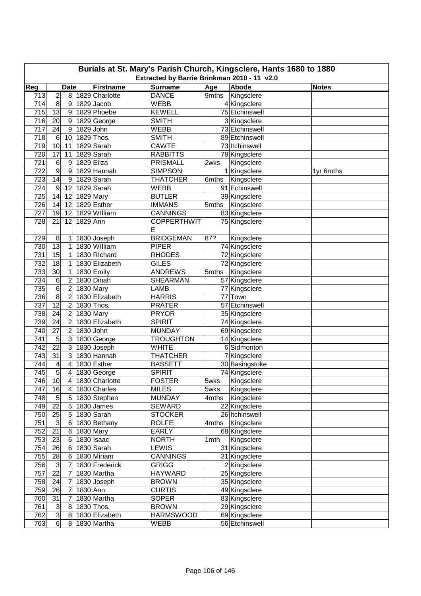| Burials at St. Mary's Parish Church, Kingsclere, Hants 1680 to 1880<br>Extracted by Barrie Brinkman 2010 - 11 v2.0 |                                                                                          |                  |            |                          |                    |       |                             |           |  |  |  |
|--------------------------------------------------------------------------------------------------------------------|------------------------------------------------------------------------------------------|------------------|------------|--------------------------|--------------------|-------|-----------------------------|-----------|--|--|--|
|                                                                                                                    | Reg<br>Age<br>Abode<br><b>Firstname</b><br><b>Surname</b><br><b>Date</b><br><b>Notes</b> |                  |            |                          |                    |       |                             |           |  |  |  |
|                                                                                                                    |                                                                                          |                  |            |                          |                    |       |                             |           |  |  |  |
| 713                                                                                                                | $\overline{c}$                                                                           | 8                |            | 1829 Charlotte           | <b>DANCE</b>       | 9mths | Kingsclere                  |           |  |  |  |
| 714                                                                                                                | 8                                                                                        | 9                |            | 1829 Jacob               | <b>WEBB</b>        |       | 4 Kingsclere                |           |  |  |  |
| 715                                                                                                                | 13                                                                                       | 9                |            | 1829 Phoebe              | <b>KEWELL</b>      |       | 75 Etchinswell              |           |  |  |  |
| 716                                                                                                                | 20                                                                                       | 9                |            | 1829 George              | <b>SMITH</b>       |       | 3 Kingsclere                |           |  |  |  |
| 717                                                                                                                | 24                                                                                       | 9                | 1829 John  |                          | <b>WEBB</b>        |       | 73 Etchinswell              |           |  |  |  |
| 718                                                                                                                | $\,6$                                                                                    | 10               |            | 1829 Thos.               | <b>SMITH</b>       |       | 89 Etchinswell              |           |  |  |  |
| 719                                                                                                                | 10                                                                                       | 11               |            | 1829 Sarah               | <b>CAWTE</b>       |       | 73 Itchinswell              |           |  |  |  |
| 720                                                                                                                | 17                                                                                       | 11               | 1829 Eliza | 1829 Sarah               | <b>RABBITTS</b>    |       | 78 Kingsclere               |           |  |  |  |
| 721                                                                                                                | 6                                                                                        | 9                |            |                          | <b>PRISMALL</b>    | 2wks  | Kingsclere                  |           |  |  |  |
| 722                                                                                                                | 9                                                                                        | 9                |            | 1829 Hannah              | <b>SIMPSON</b>     |       | 1 Kingsclere                | 1yr 6mths |  |  |  |
| 723<br>724                                                                                                         | 14<br>$\boldsymbol{9}$                                                                   | 9<br>12          |            | 1829 Sarah<br>1829 Sarah | <b>THATCHER</b>    | 6mths | Kingsclere<br>91 Echinswell |           |  |  |  |
|                                                                                                                    |                                                                                          |                  |            |                          | WEBB               |       |                             |           |  |  |  |
| 725                                                                                                                | 14                                                                                       | 12               | 1829 Mary  |                          | <b>BUTLER</b>      |       | 39 Kingsclere               |           |  |  |  |
| 726                                                                                                                | 14                                                                                       | 12               |            | 1829 Esther              | <b>IMMANS</b>      | 5mths | Kingsclere                  |           |  |  |  |
| 727                                                                                                                | 19                                                                                       | 12               |            | 1829 William             | <b>CANNINGS</b>    |       | 83 Kingsclere               |           |  |  |  |
| 728                                                                                                                | 21                                                                                       | 12               | 1829 Ann   |                          | <b>COPPERTHWIT</b> |       | 75 Kingsclere               |           |  |  |  |
|                                                                                                                    |                                                                                          |                  |            |                          | Ε                  |       |                             |           |  |  |  |
| 729                                                                                                                | 8                                                                                        | 1                |            | 1830 Joseph              | <b>BRIDGEMAN</b>   | 87?   | Kingsclere                  |           |  |  |  |
| 730                                                                                                                | $\overline{13}$                                                                          | 1                |            | 1830 William             | <b>PIPER</b>       |       | 74 Kingsclere               |           |  |  |  |
| 731                                                                                                                | 15                                                                                       | 1                |            | 1830 Richard             | <b>RHODES</b>      |       | 72 Kingsclere               |           |  |  |  |
| 732                                                                                                                | 18                                                                                       | 1                |            | 1830 Elizabeth           | <b>GILES</b>       |       | 72 Kingsclere               |           |  |  |  |
| 733                                                                                                                | 30                                                                                       | 1                |            | 1830 Emily               | <b>ANDREWS</b>     | 5mths | Kingsclere                  |           |  |  |  |
| 734                                                                                                                | 6                                                                                        | $\overline{c}$   |            | 1830 Dinah               | <b>SHEARMAN</b>    |       | 57 Kingsclere               |           |  |  |  |
| 735                                                                                                                | 6                                                                                        | $\overline{c}$   |            | 1830 Mary                | LAMB               |       | 77 Kingsclere               |           |  |  |  |
| 736                                                                                                                | $\overline{8}$                                                                           | $\overline{c}$   |            | 1830 Elizabeth           | <b>HARRIS</b>      |       | 77 Town                     |           |  |  |  |
| 737                                                                                                                | $\overline{12}$                                                                          | $\overline{c}$   |            | 1830 Thos.               | <b>PRATER</b>      |       | 57 Etchinswell              |           |  |  |  |
| 738                                                                                                                | 24                                                                                       | $\overline{c}$   |            | 1830 Mary                | <b>PRYOR</b>       |       | 35 Kingsclere               |           |  |  |  |
| 739                                                                                                                | 24                                                                                       | $\overline{2}$   |            | 1830 Elizabeth           | <b>SPIRIT</b>      |       | 74 Kingsclere               |           |  |  |  |
| 740                                                                                                                | $\overline{27}$                                                                          | $\overline{c}$   | 1830 John  |                          | <b>MUNDAY</b>      |       | 69 Kingsclere               |           |  |  |  |
| 741                                                                                                                | 5                                                                                        | 3                |            | 1830 George              | <b>TROUGHTON</b>   |       | 14 Kingsclere               |           |  |  |  |
| 742                                                                                                                | 22                                                                                       | 3                |            | 1830 Joseph              | <b>WHITE</b>       |       | 6 Sidmonton                 |           |  |  |  |
| 743                                                                                                                | 31                                                                                       | 3                |            | 1830 Hannah              | <b>THATCHER</b>    |       | 7 Kingsclere                |           |  |  |  |
| 744                                                                                                                | 4                                                                                        | 4                |            | 1830 Esther              | <b>BASSETT</b>     |       | 30 Basingstoke              |           |  |  |  |
| 745                                                                                                                | $\overline{5}$                                                                           | 4                |            | 1830 George              | <b>SPIRIT</b>      |       | 74 Kingsclere               |           |  |  |  |
| 746                                                                                                                | 10                                                                                       | $\overline{4}$   |            | 1830 Charlotte           | <b>FOSTER</b>      | 5wks  | Kingsclere                  |           |  |  |  |
| 747                                                                                                                | 16                                                                                       | $\boldsymbol{4}$ |            | 1830 Charles             | <b>MILES</b>       | 5wks  | Kingsclere                  |           |  |  |  |
| 748                                                                                                                | $\sqrt{5}$                                                                               | $5\overline{)}$  |            | 1830 Stephen             | <b>MUNDAY</b>      | 4mths | Kingsclere                  |           |  |  |  |
| 749                                                                                                                | 22                                                                                       | $5\overline{)}$  |            | 1830 James               | <b>SEWARD</b>      |       | 22 Kingsclere               |           |  |  |  |
| 750                                                                                                                | 25                                                                                       | $\mathbf 5$      |            | 1830 Sarah               | <b>STOCKER</b>     |       | 26 Itchinswell              |           |  |  |  |
| 751                                                                                                                | $\mathsf 3$                                                                              | 6                |            | 1830 Bethany             | <b>ROLFE</b>       | 4mths | Kingsclere                  |           |  |  |  |
| 752                                                                                                                | 21                                                                                       | 6                |            | 1830 Mary                | <b>EARLY</b>       |       | 68 Kingsclere               |           |  |  |  |
| 753                                                                                                                | 23                                                                                       | 6                |            | $1830$ Isaac             | <b>NORTH</b>       | 1mth  | Kingsclere                  |           |  |  |  |
| 754                                                                                                                | 26                                                                                       | 6                |            | 1830 Sarah               | LEWIS              |       | 31 Kingsclere               |           |  |  |  |
| 755                                                                                                                | 28                                                                                       | 6                |            | 1830 Miriam              | <b>CANNINGS</b>    |       | 31 Kingsclere               |           |  |  |  |
| 756                                                                                                                | $\mathsf 3$                                                                              | 7                |            | 1830 Frederick           | <b>GRIGG</b>       |       | 2 Kingsclere                |           |  |  |  |
| 757                                                                                                                | 22                                                                                       | 7                |            | 1830 Martha              | <b>HAYWARD</b>     |       | 25 Kingsclere               |           |  |  |  |
| 758                                                                                                                | 24                                                                                       | 7                |            | 1830 Joseph              | <b>BROWN</b>       |       | 35 Kingsclere               |           |  |  |  |
| 759                                                                                                                | 26                                                                                       | 7                | 1830 Ann   |                          | <b>CURTIS</b>      |       | 49 Kingsclere               |           |  |  |  |
| 760                                                                                                                | 31                                                                                       | 7                |            | 1830 Martha              | <b>SOPER</b>       |       | 83 Kingsclere               |           |  |  |  |
| 761                                                                                                                | $\mathsf 3$                                                                              | 8                |            | 1830 Thos.               | <b>BROWN</b>       |       | 29 Kingsclere               |           |  |  |  |
| 762                                                                                                                | $\overline{3}$                                                                           | 8                |            | 1830 Elizabeth           | <b>HARMSWOOD</b>   |       | 69 Kingsclere               |           |  |  |  |
| 763                                                                                                                | $6 \overline{}$                                                                          | 8                |            | 1830 Martha              | WEBB               |       | 56 Etchinswell              |           |  |  |  |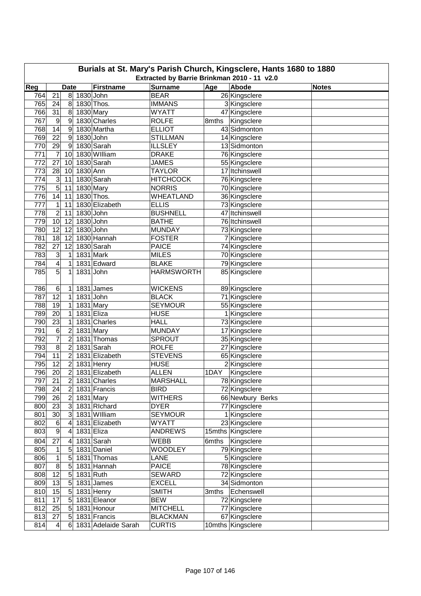| Burials at St. Mary's Parish Church, Kingsclere, Hants 1680 to 1880 |                                                            |                |          |                         |                                 |       |                                 |              |  |  |  |  |
|---------------------------------------------------------------------|------------------------------------------------------------|----------------|----------|-------------------------|---------------------------------|-------|---------------------------------|--------------|--|--|--|--|
|                                                                     | Extracted by Barrie Brinkman 2010 - 11 v2.0<br><b>Date</b> |                |          |                         |                                 |       |                                 |              |  |  |  |  |
| Reg                                                                 |                                                            |                |          | <b>Firstname</b>        | <b>Surname</b>                  | Age   | Abode                           | <b>Notes</b> |  |  |  |  |
| 764                                                                 | 21                                                         | $\bf 8$        |          | 1830 John               | <b>BEAR</b>                     |       | 26 Kingsclere                   |              |  |  |  |  |
| 765                                                                 | 24                                                         | 8              |          | 1830 Thos.              | <b>IMMANS</b>                   |       | 3 Kingsclere                    |              |  |  |  |  |
| 766                                                                 | 31                                                         | 8<br>9         |          | 1830 Mary               | <b>WYATT</b>                    |       | 47 Kingsclere                   |              |  |  |  |  |
| 767                                                                 | 9                                                          |                |          | 1830 Charles            | <b>ROLFE</b>                    | 8mths | Kingsclere                      |              |  |  |  |  |
| 768                                                                 | 14                                                         | 9              |          | 1830 Martha             | <b>ELLIOT</b>                   |       | 43 Sidmonton                    |              |  |  |  |  |
| 769                                                                 | 22                                                         | 9              |          | 1830 John<br>1830 Sarah | <b>STILLMAN</b>                 |       | 14 Kingsclere                   |              |  |  |  |  |
| 770                                                                 | 29                                                         | 9              |          | 1830 William            | <b>ILLSLEY</b>                  |       | 13 Sidmonton                    |              |  |  |  |  |
| 771<br>772                                                          | 7<br>27                                                    | 10<br>10       |          | 1830 Sarah              | <b>DRAKE</b><br><b>JAMES</b>    |       | 76 Kingsclere                   |              |  |  |  |  |
| 773                                                                 | 28                                                         |                | 1830 Ann |                         | <b>TAYLOR</b>                   |       | 55 Kingsclere<br>17 Itchinswell |              |  |  |  |  |
| 774                                                                 |                                                            | 10             |          | $\overline{1830}$ Sarah | <b>HITCHCOCK</b>                |       |                                 |              |  |  |  |  |
| 775                                                                 | $\mathsf 3$<br>$\overline{5}$                              | 11<br>11       |          |                         | <b>NORRIS</b>                   |       | 76 Kingsclere                   |              |  |  |  |  |
| 776                                                                 | 14                                                         |                |          | 1830 Mary<br>1830 Thos. | <b>WHEATLAND</b>                |       | 70 Kingsclere                   |              |  |  |  |  |
|                                                                     |                                                            | 11             |          |                         |                                 |       | 36 Kingsclere                   |              |  |  |  |  |
| 777                                                                 | 1                                                          | 11             |          | 1830 Elizabeth          | <b>ELLIS</b><br><b>BUSHNELL</b> |       | 73 Kingsclere                   |              |  |  |  |  |
| 778                                                                 | $\overline{2}$                                             | 11             |          | 1830 John               |                                 |       | 47 Itchinswell                  |              |  |  |  |  |
| 779                                                                 | 10                                                         | 12             |          | 1830 John               | <b>BATHE</b>                    |       | 76 Itchinswell                  |              |  |  |  |  |
| 780                                                                 | 12                                                         | 12             |          | 1830 John               | <b>MUNDAY</b>                   |       | 73 Kingsclere                   |              |  |  |  |  |
| 781                                                                 | 18                                                         | 12             |          | 1830 Hannah             | <b>FOSTER</b>                   |       | 7 Kingsclere                    |              |  |  |  |  |
| 782                                                                 | $\overline{27}$                                            | 12             |          | 1830 Sarah              | <b>PAICE</b>                    |       | 74 Kingsclere                   |              |  |  |  |  |
| 783                                                                 | 3                                                          | 1              |          | 1831 Mark               | <b>MILES</b>                    |       | 70 Kingsclere                   |              |  |  |  |  |
| 784                                                                 | $\overline{\mathbf{4}}$                                    | 1              |          | 1831 Edward             | <b>BLAKE</b>                    |       | 79 Kingsclere                   |              |  |  |  |  |
| 785                                                                 | 5                                                          | 1              |          | 1831 John               | <b>HARMSWORTH</b>               |       | 85 Kingsclere                   |              |  |  |  |  |
| 786                                                                 | 6                                                          | 1              |          | 1831 James              | <b>WICKENS</b>                  |       | 89 Kingsclere                   |              |  |  |  |  |
| 787                                                                 | $\overline{12}$                                            | $\mathbf 1$    |          | 1831 John               | <b>BLACK</b>                    |       | 71 Kingsclere                   |              |  |  |  |  |
| 788                                                                 | 19                                                         | 1              |          | 1831 Mary               | <b>SEYMOUR</b>                  |       | 55 Kingsclere                   |              |  |  |  |  |
| 789                                                                 | $\overline{20}$                                            | 1              |          | 1831 Eliza              | <b>HUSE</b>                     |       | 1 Kingsclere                    |              |  |  |  |  |
| 790                                                                 | $\overline{23}$                                            | 1              |          | 1831 Charles            | <b>HALL</b>                     |       | 73 Kingsclere                   |              |  |  |  |  |
| 791                                                                 | 6                                                          | $\overline{c}$ |          | 1831 Mary               | <b>MUNDAY</b>                   |       | 17 Kingsclere                   |              |  |  |  |  |
| 792                                                                 | $\overline{7}$                                             | $\overline{c}$ |          | 1831 Thomas             | SPROUT                          |       | 35 Kingsclere                   |              |  |  |  |  |
| 793                                                                 | $\overline{8}$                                             | $\overline{c}$ |          | 1831 Sarah              | <b>ROLFE</b>                    |       | 27 Kingsclere                   |              |  |  |  |  |
| 794                                                                 | $\overline{11}$                                            | $\overline{c}$ |          | 1831 Elizabeth          | <b>STEVENS</b>                  |       | 65 Kingsclere                   |              |  |  |  |  |
| 795                                                                 | 12                                                         | $\overline{2}$ |          | 1831 Henry              | <b>HUSE</b>                     |       | 2 Kingsclere                    |              |  |  |  |  |
| 796                                                                 | 20                                                         | $\overline{c}$ |          | 1831 Elizabeth          | <b>ALLEN</b>                    | 1DAY  | Kingsclere                      |              |  |  |  |  |
| 797                                                                 | 21                                                         | $\overline{2}$ |          | 1831 Charles            | <b>MARSHALL</b>                 |       | 78 Kingsclere                   |              |  |  |  |  |
| 798                                                                 | 24                                                         | $\overline{2}$ |          | 1831 Francis            | <b>BIRD</b>                     |       | 72 Kingsclere                   |              |  |  |  |  |
| 799                                                                 | 26                                                         | $\overline{c}$ |          | 1831 Mary               | <b>WITHERS</b>                  |       | 66 Newbury Berks                |              |  |  |  |  |
| 800                                                                 | 23                                                         | $\overline{3}$ |          | 1831 Richard            | <b>DYER</b>                     |       | 77 Kingsclere                   |              |  |  |  |  |
| 801                                                                 | 30                                                         | 3              |          | 1831 William            | <b>SEYMOUR</b>                  |       | 1 Kingsclere                    |              |  |  |  |  |
| 802                                                                 | 6                                                          | 4              |          | 1831 Elizabeth          | <b>WYATT</b>                    |       | 23 Kingsclere                   |              |  |  |  |  |
| 803                                                                 | 9                                                          | 4              |          | 1831 Eliza              | <b>ANDREWS</b>                  |       | 15mths Kingsclere               |              |  |  |  |  |
| 804                                                                 | 27                                                         | 4              |          | 1831 Sarah              | <b>WEBB</b>                     | 6mths | Kingsclere                      |              |  |  |  |  |
| 805                                                                 | 1                                                          | 5              |          | 1831 Daniel             | <b>WOODLEY</b>                  |       | 79 Kingsclere                   |              |  |  |  |  |
| 806                                                                 | 1                                                          | 5              |          | 1831 Thomas             | LANE                            |       | 5 Kingsclere                    |              |  |  |  |  |
| 807                                                                 | $\infty$                                                   | 5              |          | 1831 Hannah             | <b>PAICE</b>                    |       | 78 Kingsclere                   |              |  |  |  |  |
| 808                                                                 | 12                                                         | $\overline{5}$ |          | 1831 Ruth               | <b>SEWARD</b>                   |       | 72 Kingsclere                   |              |  |  |  |  |
| 809                                                                 | 13                                                         | $\overline{5}$ |          | 1831 James              | <b>EXCELL</b>                   |       | 34 Sidmonton                    |              |  |  |  |  |
| 810                                                                 | 15                                                         | $\overline{5}$ |          | 1831 Henry              | <b>SMITH</b>                    | 3mths | Echenswell                      |              |  |  |  |  |
| 811                                                                 | $\overline{17}$                                            | $\overline{5}$ |          | 1831 Eleanor            | <b>BEW</b>                      |       | 72 Kingsclere                   |              |  |  |  |  |
| 812                                                                 | 25                                                         | 5              |          | 1831 Honour             | <b>MITCHELL</b>                 |       | 77 Kingsclere                   |              |  |  |  |  |
| 813                                                                 | 27                                                         | 5              |          | 1831 Francis            | <b>BLACKMAN</b>                 |       | 67 Kingsclere                   |              |  |  |  |  |
| 814                                                                 | $\overline{\mathbf{4}}$                                    | 6              |          | 1831 Adelaide Sarah     | <b>CURTIS</b>                   |       | 10mths Kingsclere               |              |  |  |  |  |
|                                                                     |                                                            |                |          |                         |                                 |       |                                 |              |  |  |  |  |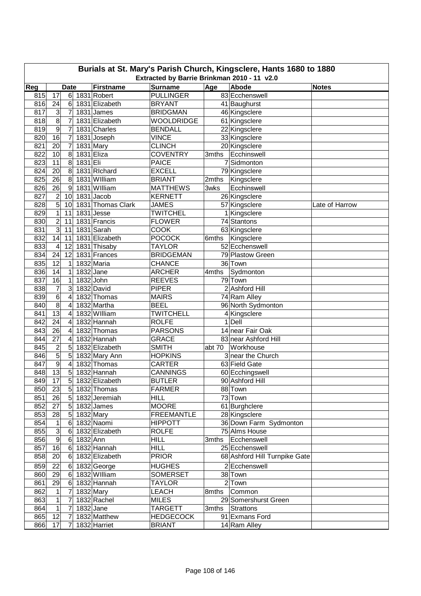| Burials at St. Mary's Parish Church, Kingsclere, Hants 1680 to 1880<br>Extracted by Barrie Brinkman 2010 - 11 v2.0 |                         |                               |          |                                 |                                    |        |                               |                |  |  |
|--------------------------------------------------------------------------------------------------------------------|-------------------------|-------------------------------|----------|---------------------------------|------------------------------------|--------|-------------------------------|----------------|--|--|
| Reg                                                                                                                |                         |                               |          |                                 |                                    |        | Abode                         |                |  |  |
| 815                                                                                                                | 17                      | <b>Date</b><br>6 <sup>1</sup> |          | <b>Firstname</b><br>1831 Robert | <b>Surname</b><br><b>PULLINGER</b> | Age    | 83 Ecchenswell                | <b>Notes</b>   |  |  |
| 816                                                                                                                | 24                      | 6                             |          | 1831 Elizabeth                  | <b>BRYANT</b>                      |        | 41 Baughurst                  |                |  |  |
| 817                                                                                                                | 3                       | 7                             |          | 1831 James                      | <b>BRIDGMAN</b>                    |        | 46 Kingsclere                 |                |  |  |
| 818                                                                                                                | $\overline{8}$          | 7                             |          | 1831 Elizabeth                  | <b>WOOLDRIDGE</b>                  |        | 61 Kingsclere                 |                |  |  |
| 819                                                                                                                | 9                       | 7                             |          | 1831 Charles                    | <b>BENDALL</b>                     |        | 22 Kingsclere                 |                |  |  |
| 820                                                                                                                | 16                      | $\overline{7}$                |          | 1831 Joseph                     | <b>VINCE</b>                       |        | 33 Kingsclere                 |                |  |  |
| 821                                                                                                                | 20                      | $\overline{7}$                |          | 1831 Mary                       | <b>CLINCH</b>                      |        | 20 Kingsclere                 |                |  |  |
| 822                                                                                                                | 10                      | 8                             |          | 1831 Eliza                      | <b>COVENTRY</b>                    | 3mths  | Ecchinswell                   |                |  |  |
| 823                                                                                                                | 11                      | 8                             | 1831 Eli |                                 | <b>PAICE</b>                       | 7      | Sidmonton                     |                |  |  |
| 824                                                                                                                | 20                      | 8                             |          | 1831 Richard                    | <b>EXCELL</b>                      |        | 79 Kingsclere                 |                |  |  |
| 825                                                                                                                | 26                      | 8                             |          | 1831 William                    | <b>BRIANT</b>                      | 2mths  | Kingsclere                    |                |  |  |
| 826                                                                                                                | 26                      | 9                             |          | 1831 William                    | <b>MATTHEWS</b>                    | 3wks   | Ecchinswell                   |                |  |  |
| 827                                                                                                                | $\overline{c}$          | 10                            |          | 1831 Jacob                      | <b>KERNETT</b>                     |        | 26 Kingsclere                 |                |  |  |
| 828                                                                                                                | 5                       | 10                            |          | 1831 Thomas Clark               | <b>JAMES</b>                       |        | 57 Kingsclere                 | Late of Harrow |  |  |
| 829                                                                                                                | $\mathbf 1$             | 11                            |          | 1831 Jesse                      | <b>TWITCHEL</b>                    |        | 1 Kingsclere                  |                |  |  |
| 830                                                                                                                | $\overline{\mathbf{c}}$ | 11                            |          | 1831 Francis                    | <b>FLOWER</b>                      |        | 74 Stantons                   |                |  |  |
| 831                                                                                                                | 3                       | 11                            |          | 1831 Sarah                      | <b>COOK</b>                        |        | 63 Kingsclere                 |                |  |  |
| 832                                                                                                                | 14                      | 11                            |          | 1831 Elizabeth                  | <b>POCOCK</b>                      | 6mths  | Kingsclere                    |                |  |  |
| 833                                                                                                                | 4                       | 12                            |          | 1831 Thisaby                    | <b>TAYLOR</b>                      |        | 52 Ecchenswell                |                |  |  |
| 834                                                                                                                | 24                      | 12                            |          | 1831 Frances                    | <b>BRIDGEMAN</b>                   |        | 79 Plastow Green              |                |  |  |
| 835                                                                                                                | 12                      | 1                             |          | 1832 Maria                      | <b>CHANCE</b>                      |        | 36 Town                       |                |  |  |
| 836                                                                                                                | 14                      | $\mathbf 1$                   |          | 1832 Jane                       | <b>ARCHER</b>                      | 4mths  | Sydmonton                     |                |  |  |
| 837                                                                                                                | 16                      | 1                             |          | 1832 John                       | <b>REEVES</b>                      |        | 79 Town                       |                |  |  |
| 838                                                                                                                | 7                       | 3                             |          | 1832 David                      | <b>PIPER</b>                       |        | 2 Ashford Hill                |                |  |  |
| 839                                                                                                                | $\overline{6}$          | 4                             |          | 1832 Thomas                     | <b>MAIRS</b>                       |        | 74 Ram Alley                  |                |  |  |
| 840                                                                                                                | 8                       | 4                             |          | 1832 Martha                     | <b>BEEL</b>                        |        | 96 North Sydmonton            |                |  |  |
| 841                                                                                                                | $\overline{13}$         | 4                             |          | 1832 William                    | <b>TWITCHELL</b>                   |        | 4 Kingsclere                  |                |  |  |
| 842                                                                                                                | 24                      | 4                             |          | 1832 Hannah                     | <b>ROLFE</b>                       |        | $1$ Dell                      |                |  |  |
| 843                                                                                                                | 26                      | 4                             |          | 1832 Thomas                     | <b>PARSONS</b>                     |        | 14 near Fair Oak              |                |  |  |
| 844                                                                                                                | 27                      | 4                             |          | 1832 Hannah                     | <b>GRACE</b>                       |        | 83 near Ashford Hill          |                |  |  |
| 845                                                                                                                | $\overline{c}$          | 5                             |          | 1832 Elizabeth                  | <b>SMITH</b>                       | abt 70 | Workhouse                     |                |  |  |
| 846                                                                                                                | $\overline{5}$          | 5                             |          | 1832 Mary Ann                   | <b>HOPKINS</b>                     |        | 3 near the Church             |                |  |  |
| 847                                                                                                                | $\overline{9}$          | 4                             |          | 1832 Thomas                     | <b>CARTER</b>                      |        | 63 Field Gate                 |                |  |  |
| 848                                                                                                                | 13                      | 5                             |          | 1832 Hannah                     | <b>CANNINGS</b>                    |        | 60 Ecchingswell               |                |  |  |
| 849                                                                                                                | 17                      | $\overline{5}$                |          | 1832 Elizabeth                  | <b>BUTLER</b>                      |        | 90 Ashford Hill               |                |  |  |
| 850                                                                                                                | 23                      | 5 <sup>2</sup>                |          | 1832 Thomas                     | <b>FARMER</b>                      |        | 88 Town                       |                |  |  |
| 851                                                                                                                | 26                      | $5\overline{)}$               |          | 1832 Jeremiah                   | <b>HILL</b>                        |        | 73 Town                       |                |  |  |
| 852                                                                                                                | 27                      | 5                             |          | 1832 James                      | <b>MOORE</b>                       |        | 61 Burghclere                 |                |  |  |
| 853                                                                                                                | 28                      | 5                             |          | 1832 Mary                       | <b>FREEMANTLE</b>                  |        | 28 Kingsclere                 |                |  |  |
| 854                                                                                                                | $\mathbf 1$             | 6                             |          | 1832 Naomi                      | <b>HIPPOTT</b>                     |        | 36 Down Farm Sydmonton        |                |  |  |
| 855                                                                                                                | $\overline{3}$          | 6                             |          | 1832 Elizabeth                  | <b>ROLFE</b>                       |        | 75 Alms House                 |                |  |  |
| 856                                                                                                                | $\overline{9}$          | 6                             | 1832 Ann |                                 | <b>HILL</b>                        |        | 3mths   Ecchenswell           |                |  |  |
| 857                                                                                                                | 16                      | $6 \mid$                      |          | 1832 Hannah                     | <b>HILL</b>                        |        | 25 Ecchenswell                |                |  |  |
| 858                                                                                                                | 20                      | 6                             |          | 1832 Elizabeth                  | <b>PRIOR</b>                       |        | 68 Ashford Hill Turnpike Gate |                |  |  |
| 859                                                                                                                | 22                      | 6                             |          | 1832 George                     | <b>HUGHES</b>                      |        | 2 Ecchenswell                 |                |  |  |
| 860                                                                                                                | 29                      | 6                             |          | 1832 William                    | <b>SOMERSET</b>                    |        | 38 Town                       |                |  |  |
| 861                                                                                                                | 29                      | 6                             |          | 1832 Hannah                     | <b>TAYLOR</b>                      |        | $\overline{2}$ Town           |                |  |  |
| 862                                                                                                                | 1                       | 7                             |          | 1832 Mary                       | <b>LEACH</b>                       | 8mths  | Common                        |                |  |  |
| 863                                                                                                                | 1                       | 7                             |          | 1832 Rachel                     | <b>MILES</b>                       |        | 29 Somershurst Green          |                |  |  |
| 864                                                                                                                | 1                       | 7                             |          | $1832$ Jane                     | <b>TARGETT</b>                     | 3mths  | <b>Strattons</b>              |                |  |  |
| 865                                                                                                                | 12                      | 7                             |          | 1832 Matthew                    | <b>HEDGECOCK</b>                   |        | 91 Exmans Ford                |                |  |  |
| 866                                                                                                                | 17                      | $\overline{7}$                |          | 1832 Harriet                    | <b>BRIANT</b>                      |        | 14 Ram Alley                  |                |  |  |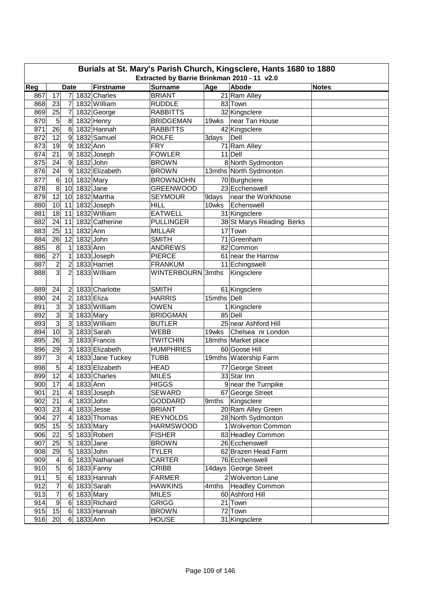| Reg<br><b>Firstname</b><br><b>Surname</b><br>Age<br>Abode<br><b>Date</b><br><b>Notes</b><br>17<br>1832 Charles<br><b>BRIANT</b><br>21 Ram Alley<br>867<br>7<br>868<br>1832 William<br>83 Town<br>23<br>7<br><b>RUDDLE</b><br>32 Kingsclere<br>869<br>25<br>7<br>1832 George<br><b>RABBITTS</b><br>5<br>$\boldsymbol{8}$<br>870<br>1832 Henry<br>19wks<br>near Tan House<br><b>BRIDGEMAN</b><br>$\overline{26}$<br>8<br>1832 Hannah<br>871<br>42 Kingsclere<br><b>RABBITTS</b><br>872<br>12<br>1832 Samuel<br>$\overline{9}$<br>Dell<br><b>ROLFE</b><br>3days<br>71 Ram Alley<br>873<br>19<br>1832 Ann<br>$\overline{9}$<br><b>FRY</b><br>874<br>21<br>1832 Joseph<br><b>FOWLER</b><br>11 Dell<br>$9\,$<br>1832 John<br>875<br>24<br>$\boldsymbol{9}$<br><b>BROWN</b><br>8 North Sydmonton<br>876<br>24<br>1832 Elizabeth<br>9<br>13mths North Sydmonton<br><b>BROWN</b><br>70 Burghclere<br>877<br>$\,6$<br>1832 Mary<br>10<br><b>BROWNJOHN</b><br>$\infty$<br>$1832$ Jane<br>23 Ecchenswell<br>878<br>10<br><b>GREENWOOD</b><br>12<br>1832 Martha<br>879<br>9days<br>10<br><b>SEYMOUR</b><br>near the Workhouse<br>880<br>10<br>1832 Joseph<br>Echenswell<br>11<br><b>HILL</b><br>10wks<br>1832 William<br><b>EATWELL</b><br>881<br>18<br>11<br>31 Kingsclere<br>882<br>24<br>11<br>1832 Catherine<br>38 St Marys Reading Berks<br><b>PULLINGER</b><br>17 Town<br>883<br>25<br>1832 Ann<br>11<br><b>MILLAR</b><br>12<br>1832 John<br>71 Greenham<br>884<br>26<br><b>SMITH</b><br>885<br>8<br>1833 Ann<br><b>ANDREWS</b><br>82 Common<br>1<br>886<br>27<br>$\mathbf 1$<br>1833 Joseph<br><b>PIERCE</b><br>61 near the Harrow<br>887<br>$\overline{\mathbf{c}}$<br>1833 Harriet<br>11 Echingswell<br>2<br><b>FRANKUM</b><br>$\overline{3}$<br>$\overline{2}$<br>888<br>1833 William<br>WINTERBOURN 3mths<br>Kingsclere<br>24<br>1833 Charlotte<br>61 Kingsclere<br>889<br><b>SMITH</b><br>2<br>$\overline{c}$<br>24<br>1833 Eliza<br>15mths Dell<br>890<br><b>HARRIS</b><br>3<br>3<br>1833 William<br>891<br>1 Kingsclere<br><b>OWEN</b><br>$\overline{3}$<br>3<br>892<br>1833 Mary<br><b>BRIDGMAN</b><br>85 Dell<br>$\overline{3}$<br>3<br>1833 William<br>893<br>25 near Ashford Hill<br><b>BUTLER</b><br>10<br>3<br>1833 Sarah<br>894<br>19wks<br>WEBB<br>Chelsea nr London<br>$\overline{26}$<br>895<br>3<br>1833 Francis<br><b>TWITCHIN</b><br>18mths Market place<br>29<br>896<br>3<br>1833 Elizabeth<br><b>HUMPHRIES</b><br>60 Goose Hill<br>3<br>897<br>4<br>1833 Jane Tuckey<br>19mths Watership Farm<br><b>TUBB</b><br>$\overline{5}$<br>1833 Elizabeth<br>77 George Street<br>898<br>4<br><b>HEAD</b><br>$\overline{12}$<br>899<br>33 Star Inn<br>1833 Charles<br><b>MILES</b><br>4<br>900<br>17<br>1833 Ann<br><b>HIGGS</b><br>9 near the Turnpike<br>$\boldsymbol{4}$<br>21<br>1833 Joseph<br>901<br><b>SEWARD</b><br>67 George Street<br>$\overline{4}$<br>902<br>21<br>1833 John<br>9mths Kingsclere<br><b>GODDARD</b><br>$\overline{4}$<br>23<br>1833 Jesse<br>20 Ram Alley Green<br>903<br><b>BRIANT</b><br>4<br>27<br>28 North Sydmonton<br>904<br>1833 Thomas<br><b>REYNOLDS</b><br>4<br>905<br>15<br>1833 Mary<br><b>HARMSWOOD</b><br>1 Wolverton Common<br>$5\phantom{.0}$<br>22<br>1833 Robert<br>83 Headley Common<br>906<br>$\sqrt{5}$<br><b>FISHER</b><br>907<br>25<br>26 Ecchenswell<br>$\sqrt{5}$<br>1833 Jane<br><b>BROWN</b><br>1833 John<br>62 Brazen Head Farm<br>908<br>29<br>TYLER<br>5<br>909<br>1833 Nathanael<br>76 Ecchenswell<br><b>CARTER</b><br>4<br>6<br>910<br>5<br>14days George Street<br>1833 Fanny<br><b>CRIBB</b><br>6<br>5<br>2 Wolverton Lane<br>911<br>1833 Hannah<br><b>FARMER</b><br>6<br>912<br>7<br>1833 Sarah<br><b>Headley Common</b><br><b>HAWKINS</b><br>4mths<br>6<br>913<br>60 Ashford Hill<br>7<br>1833 Mary<br><b>MILES</b><br>6<br>914<br>1833 Richard<br>21 Town<br>9<br><b>GRIGG</b><br>6<br>915<br>15<br>1833 Hannah<br><b>BROWN</b><br>72 Town<br>6<br>6 1833 Ann<br>31 Kingsclere | Burials at St. Mary's Parish Church, Kingsclere, Hants 1680 to 1880 |                                             |  |  |  |              |  |  |  |  |  |  |  |
|------------------------------------------------------------------------------------------------------------------------------------------------------------------------------------------------------------------------------------------------------------------------------------------------------------------------------------------------------------------------------------------------------------------------------------------------------------------------------------------------------------------------------------------------------------------------------------------------------------------------------------------------------------------------------------------------------------------------------------------------------------------------------------------------------------------------------------------------------------------------------------------------------------------------------------------------------------------------------------------------------------------------------------------------------------------------------------------------------------------------------------------------------------------------------------------------------------------------------------------------------------------------------------------------------------------------------------------------------------------------------------------------------------------------------------------------------------------------------------------------------------------------------------------------------------------------------------------------------------------------------------------------------------------------------------------------------------------------------------------------------------------------------------------------------------------------------------------------------------------------------------------------------------------------------------------------------------------------------------------------------------------------------------------------------------------------------------------------------------------------------------------------------------------------------------------------------------------------------------------------------------------------------------------------------------------------------------------------------------------------------------------------------------------------------------------------------------------------------------------------------------------------------------------------------------------------------------------------------------------------------------------------------------------------------------------------------------------------------------------------------------------------------------------------------------------------------------------------------------------------------------------------------------------------------------------------------------------------------------------------------------------------------------------------------------------------------------------------------------------------------------------------------------------------------------------------------------------------------------------------------------------------------------------------------------------------------------------------------------------------------------------------------------------------------------------------------------------------------------------------------------------------------------------------------------------------------------------------------------------------------------------------------------------------------------------------------------------------------------------------------------------------------------------------------------------------------------------------------------------------------------------------------------------------------------------------------|---------------------------------------------------------------------|---------------------------------------------|--|--|--|--------------|--|--|--|--|--|--|--|
|                                                                                                                                                                                                                                                                                                                                                                                                                                                                                                                                                                                                                                                                                                                                                                                                                                                                                                                                                                                                                                                                                                                                                                                                                                                                                                                                                                                                                                                                                                                                                                                                                                                                                                                                                                                                                                                                                                                                                                                                                                                                                                                                                                                                                                                                                                                                                                                                                                                                                                                                                                                                                                                                                                                                                                                                                                                                                                                                                                                                                                                                                                                                                                                                                                                                                                                                                                                                                                                                                                                                                                                                                                                                                                                                                                                                                                                                                                                                                      |                                                                     | Extracted by Barrie Brinkman 2010 - 11 v2.0 |  |  |  |              |  |  |  |  |  |  |  |
|                                                                                                                                                                                                                                                                                                                                                                                                                                                                                                                                                                                                                                                                                                                                                                                                                                                                                                                                                                                                                                                                                                                                                                                                                                                                                                                                                                                                                                                                                                                                                                                                                                                                                                                                                                                                                                                                                                                                                                                                                                                                                                                                                                                                                                                                                                                                                                                                                                                                                                                                                                                                                                                                                                                                                                                                                                                                                                                                                                                                                                                                                                                                                                                                                                                                                                                                                                                                                                                                                                                                                                                                                                                                                                                                                                                                                                                                                                                                                      |                                                                     |                                             |  |  |  |              |  |  |  |  |  |  |  |
|                                                                                                                                                                                                                                                                                                                                                                                                                                                                                                                                                                                                                                                                                                                                                                                                                                                                                                                                                                                                                                                                                                                                                                                                                                                                                                                                                                                                                                                                                                                                                                                                                                                                                                                                                                                                                                                                                                                                                                                                                                                                                                                                                                                                                                                                                                                                                                                                                                                                                                                                                                                                                                                                                                                                                                                                                                                                                                                                                                                                                                                                                                                                                                                                                                                                                                                                                                                                                                                                                                                                                                                                                                                                                                                                                                                                                                                                                                                                                      |                                                                     |                                             |  |  |  |              |  |  |  |  |  |  |  |
|                                                                                                                                                                                                                                                                                                                                                                                                                                                                                                                                                                                                                                                                                                                                                                                                                                                                                                                                                                                                                                                                                                                                                                                                                                                                                                                                                                                                                                                                                                                                                                                                                                                                                                                                                                                                                                                                                                                                                                                                                                                                                                                                                                                                                                                                                                                                                                                                                                                                                                                                                                                                                                                                                                                                                                                                                                                                                                                                                                                                                                                                                                                                                                                                                                                                                                                                                                                                                                                                                                                                                                                                                                                                                                                                                                                                                                                                                                                                                      |                                                                     |                                             |  |  |  |              |  |  |  |  |  |  |  |
|                                                                                                                                                                                                                                                                                                                                                                                                                                                                                                                                                                                                                                                                                                                                                                                                                                                                                                                                                                                                                                                                                                                                                                                                                                                                                                                                                                                                                                                                                                                                                                                                                                                                                                                                                                                                                                                                                                                                                                                                                                                                                                                                                                                                                                                                                                                                                                                                                                                                                                                                                                                                                                                                                                                                                                                                                                                                                                                                                                                                                                                                                                                                                                                                                                                                                                                                                                                                                                                                                                                                                                                                                                                                                                                                                                                                                                                                                                                                                      |                                                                     |                                             |  |  |  |              |  |  |  |  |  |  |  |
|                                                                                                                                                                                                                                                                                                                                                                                                                                                                                                                                                                                                                                                                                                                                                                                                                                                                                                                                                                                                                                                                                                                                                                                                                                                                                                                                                                                                                                                                                                                                                                                                                                                                                                                                                                                                                                                                                                                                                                                                                                                                                                                                                                                                                                                                                                                                                                                                                                                                                                                                                                                                                                                                                                                                                                                                                                                                                                                                                                                                                                                                                                                                                                                                                                                                                                                                                                                                                                                                                                                                                                                                                                                                                                                                                                                                                                                                                                                                                      |                                                                     |                                             |  |  |  |              |  |  |  |  |  |  |  |
|                                                                                                                                                                                                                                                                                                                                                                                                                                                                                                                                                                                                                                                                                                                                                                                                                                                                                                                                                                                                                                                                                                                                                                                                                                                                                                                                                                                                                                                                                                                                                                                                                                                                                                                                                                                                                                                                                                                                                                                                                                                                                                                                                                                                                                                                                                                                                                                                                                                                                                                                                                                                                                                                                                                                                                                                                                                                                                                                                                                                                                                                                                                                                                                                                                                                                                                                                                                                                                                                                                                                                                                                                                                                                                                                                                                                                                                                                                                                                      |                                                                     |                                             |  |  |  |              |  |  |  |  |  |  |  |
|                                                                                                                                                                                                                                                                                                                                                                                                                                                                                                                                                                                                                                                                                                                                                                                                                                                                                                                                                                                                                                                                                                                                                                                                                                                                                                                                                                                                                                                                                                                                                                                                                                                                                                                                                                                                                                                                                                                                                                                                                                                                                                                                                                                                                                                                                                                                                                                                                                                                                                                                                                                                                                                                                                                                                                                                                                                                                                                                                                                                                                                                                                                                                                                                                                                                                                                                                                                                                                                                                                                                                                                                                                                                                                                                                                                                                                                                                                                                                      |                                                                     |                                             |  |  |  |              |  |  |  |  |  |  |  |
|                                                                                                                                                                                                                                                                                                                                                                                                                                                                                                                                                                                                                                                                                                                                                                                                                                                                                                                                                                                                                                                                                                                                                                                                                                                                                                                                                                                                                                                                                                                                                                                                                                                                                                                                                                                                                                                                                                                                                                                                                                                                                                                                                                                                                                                                                                                                                                                                                                                                                                                                                                                                                                                                                                                                                                                                                                                                                                                                                                                                                                                                                                                                                                                                                                                                                                                                                                                                                                                                                                                                                                                                                                                                                                                                                                                                                                                                                                                                                      |                                                                     |                                             |  |  |  |              |  |  |  |  |  |  |  |
|                                                                                                                                                                                                                                                                                                                                                                                                                                                                                                                                                                                                                                                                                                                                                                                                                                                                                                                                                                                                                                                                                                                                                                                                                                                                                                                                                                                                                                                                                                                                                                                                                                                                                                                                                                                                                                                                                                                                                                                                                                                                                                                                                                                                                                                                                                                                                                                                                                                                                                                                                                                                                                                                                                                                                                                                                                                                                                                                                                                                                                                                                                                                                                                                                                                                                                                                                                                                                                                                                                                                                                                                                                                                                                                                                                                                                                                                                                                                                      |                                                                     |                                             |  |  |  |              |  |  |  |  |  |  |  |
|                                                                                                                                                                                                                                                                                                                                                                                                                                                                                                                                                                                                                                                                                                                                                                                                                                                                                                                                                                                                                                                                                                                                                                                                                                                                                                                                                                                                                                                                                                                                                                                                                                                                                                                                                                                                                                                                                                                                                                                                                                                                                                                                                                                                                                                                                                                                                                                                                                                                                                                                                                                                                                                                                                                                                                                                                                                                                                                                                                                                                                                                                                                                                                                                                                                                                                                                                                                                                                                                                                                                                                                                                                                                                                                                                                                                                                                                                                                                                      |                                                                     |                                             |  |  |  |              |  |  |  |  |  |  |  |
|                                                                                                                                                                                                                                                                                                                                                                                                                                                                                                                                                                                                                                                                                                                                                                                                                                                                                                                                                                                                                                                                                                                                                                                                                                                                                                                                                                                                                                                                                                                                                                                                                                                                                                                                                                                                                                                                                                                                                                                                                                                                                                                                                                                                                                                                                                                                                                                                                                                                                                                                                                                                                                                                                                                                                                                                                                                                                                                                                                                                                                                                                                                                                                                                                                                                                                                                                                                                                                                                                                                                                                                                                                                                                                                                                                                                                                                                                                                                                      |                                                                     |                                             |  |  |  |              |  |  |  |  |  |  |  |
|                                                                                                                                                                                                                                                                                                                                                                                                                                                                                                                                                                                                                                                                                                                                                                                                                                                                                                                                                                                                                                                                                                                                                                                                                                                                                                                                                                                                                                                                                                                                                                                                                                                                                                                                                                                                                                                                                                                                                                                                                                                                                                                                                                                                                                                                                                                                                                                                                                                                                                                                                                                                                                                                                                                                                                                                                                                                                                                                                                                                                                                                                                                                                                                                                                                                                                                                                                                                                                                                                                                                                                                                                                                                                                                                                                                                                                                                                                                                                      |                                                                     |                                             |  |  |  |              |  |  |  |  |  |  |  |
|                                                                                                                                                                                                                                                                                                                                                                                                                                                                                                                                                                                                                                                                                                                                                                                                                                                                                                                                                                                                                                                                                                                                                                                                                                                                                                                                                                                                                                                                                                                                                                                                                                                                                                                                                                                                                                                                                                                                                                                                                                                                                                                                                                                                                                                                                                                                                                                                                                                                                                                                                                                                                                                                                                                                                                                                                                                                                                                                                                                                                                                                                                                                                                                                                                                                                                                                                                                                                                                                                                                                                                                                                                                                                                                                                                                                                                                                                                                                                      |                                                                     |                                             |  |  |  |              |  |  |  |  |  |  |  |
|                                                                                                                                                                                                                                                                                                                                                                                                                                                                                                                                                                                                                                                                                                                                                                                                                                                                                                                                                                                                                                                                                                                                                                                                                                                                                                                                                                                                                                                                                                                                                                                                                                                                                                                                                                                                                                                                                                                                                                                                                                                                                                                                                                                                                                                                                                                                                                                                                                                                                                                                                                                                                                                                                                                                                                                                                                                                                                                                                                                                                                                                                                                                                                                                                                                                                                                                                                                                                                                                                                                                                                                                                                                                                                                                                                                                                                                                                                                                                      |                                                                     |                                             |  |  |  |              |  |  |  |  |  |  |  |
|                                                                                                                                                                                                                                                                                                                                                                                                                                                                                                                                                                                                                                                                                                                                                                                                                                                                                                                                                                                                                                                                                                                                                                                                                                                                                                                                                                                                                                                                                                                                                                                                                                                                                                                                                                                                                                                                                                                                                                                                                                                                                                                                                                                                                                                                                                                                                                                                                                                                                                                                                                                                                                                                                                                                                                                                                                                                                                                                                                                                                                                                                                                                                                                                                                                                                                                                                                                                                                                                                                                                                                                                                                                                                                                                                                                                                                                                                                                                                      |                                                                     |                                             |  |  |  |              |  |  |  |  |  |  |  |
|                                                                                                                                                                                                                                                                                                                                                                                                                                                                                                                                                                                                                                                                                                                                                                                                                                                                                                                                                                                                                                                                                                                                                                                                                                                                                                                                                                                                                                                                                                                                                                                                                                                                                                                                                                                                                                                                                                                                                                                                                                                                                                                                                                                                                                                                                                                                                                                                                                                                                                                                                                                                                                                                                                                                                                                                                                                                                                                                                                                                                                                                                                                                                                                                                                                                                                                                                                                                                                                                                                                                                                                                                                                                                                                                                                                                                                                                                                                                                      |                                                                     |                                             |  |  |  |              |  |  |  |  |  |  |  |
|                                                                                                                                                                                                                                                                                                                                                                                                                                                                                                                                                                                                                                                                                                                                                                                                                                                                                                                                                                                                                                                                                                                                                                                                                                                                                                                                                                                                                                                                                                                                                                                                                                                                                                                                                                                                                                                                                                                                                                                                                                                                                                                                                                                                                                                                                                                                                                                                                                                                                                                                                                                                                                                                                                                                                                                                                                                                                                                                                                                                                                                                                                                                                                                                                                                                                                                                                                                                                                                                                                                                                                                                                                                                                                                                                                                                                                                                                                                                                      |                                                                     |                                             |  |  |  |              |  |  |  |  |  |  |  |
|                                                                                                                                                                                                                                                                                                                                                                                                                                                                                                                                                                                                                                                                                                                                                                                                                                                                                                                                                                                                                                                                                                                                                                                                                                                                                                                                                                                                                                                                                                                                                                                                                                                                                                                                                                                                                                                                                                                                                                                                                                                                                                                                                                                                                                                                                                                                                                                                                                                                                                                                                                                                                                                                                                                                                                                                                                                                                                                                                                                                                                                                                                                                                                                                                                                                                                                                                                                                                                                                                                                                                                                                                                                                                                                                                                                                                                                                                                                                                      |                                                                     |                                             |  |  |  |              |  |  |  |  |  |  |  |
|                                                                                                                                                                                                                                                                                                                                                                                                                                                                                                                                                                                                                                                                                                                                                                                                                                                                                                                                                                                                                                                                                                                                                                                                                                                                                                                                                                                                                                                                                                                                                                                                                                                                                                                                                                                                                                                                                                                                                                                                                                                                                                                                                                                                                                                                                                                                                                                                                                                                                                                                                                                                                                                                                                                                                                                                                                                                                                                                                                                                                                                                                                                                                                                                                                                                                                                                                                                                                                                                                                                                                                                                                                                                                                                                                                                                                                                                                                                                                      |                                                                     |                                             |  |  |  |              |  |  |  |  |  |  |  |
|                                                                                                                                                                                                                                                                                                                                                                                                                                                                                                                                                                                                                                                                                                                                                                                                                                                                                                                                                                                                                                                                                                                                                                                                                                                                                                                                                                                                                                                                                                                                                                                                                                                                                                                                                                                                                                                                                                                                                                                                                                                                                                                                                                                                                                                                                                                                                                                                                                                                                                                                                                                                                                                                                                                                                                                                                                                                                                                                                                                                                                                                                                                                                                                                                                                                                                                                                                                                                                                                                                                                                                                                                                                                                                                                                                                                                                                                                                                                                      |                                                                     |                                             |  |  |  |              |  |  |  |  |  |  |  |
|                                                                                                                                                                                                                                                                                                                                                                                                                                                                                                                                                                                                                                                                                                                                                                                                                                                                                                                                                                                                                                                                                                                                                                                                                                                                                                                                                                                                                                                                                                                                                                                                                                                                                                                                                                                                                                                                                                                                                                                                                                                                                                                                                                                                                                                                                                                                                                                                                                                                                                                                                                                                                                                                                                                                                                                                                                                                                                                                                                                                                                                                                                                                                                                                                                                                                                                                                                                                                                                                                                                                                                                                                                                                                                                                                                                                                                                                                                                                                      |                                                                     |                                             |  |  |  |              |  |  |  |  |  |  |  |
|                                                                                                                                                                                                                                                                                                                                                                                                                                                                                                                                                                                                                                                                                                                                                                                                                                                                                                                                                                                                                                                                                                                                                                                                                                                                                                                                                                                                                                                                                                                                                                                                                                                                                                                                                                                                                                                                                                                                                                                                                                                                                                                                                                                                                                                                                                                                                                                                                                                                                                                                                                                                                                                                                                                                                                                                                                                                                                                                                                                                                                                                                                                                                                                                                                                                                                                                                                                                                                                                                                                                                                                                                                                                                                                                                                                                                                                                                                                                                      |                                                                     |                                             |  |  |  |              |  |  |  |  |  |  |  |
|                                                                                                                                                                                                                                                                                                                                                                                                                                                                                                                                                                                                                                                                                                                                                                                                                                                                                                                                                                                                                                                                                                                                                                                                                                                                                                                                                                                                                                                                                                                                                                                                                                                                                                                                                                                                                                                                                                                                                                                                                                                                                                                                                                                                                                                                                                                                                                                                                                                                                                                                                                                                                                                                                                                                                                                                                                                                                                                                                                                                                                                                                                                                                                                                                                                                                                                                                                                                                                                                                                                                                                                                                                                                                                                                                                                                                                                                                                                                                      |                                                                     |                                             |  |  |  |              |  |  |  |  |  |  |  |
|                                                                                                                                                                                                                                                                                                                                                                                                                                                                                                                                                                                                                                                                                                                                                                                                                                                                                                                                                                                                                                                                                                                                                                                                                                                                                                                                                                                                                                                                                                                                                                                                                                                                                                                                                                                                                                                                                                                                                                                                                                                                                                                                                                                                                                                                                                                                                                                                                                                                                                                                                                                                                                                                                                                                                                                                                                                                                                                                                                                                                                                                                                                                                                                                                                                                                                                                                                                                                                                                                                                                                                                                                                                                                                                                                                                                                                                                                                                                                      |                                                                     |                                             |  |  |  |              |  |  |  |  |  |  |  |
|                                                                                                                                                                                                                                                                                                                                                                                                                                                                                                                                                                                                                                                                                                                                                                                                                                                                                                                                                                                                                                                                                                                                                                                                                                                                                                                                                                                                                                                                                                                                                                                                                                                                                                                                                                                                                                                                                                                                                                                                                                                                                                                                                                                                                                                                                                                                                                                                                                                                                                                                                                                                                                                                                                                                                                                                                                                                                                                                                                                                                                                                                                                                                                                                                                                                                                                                                                                                                                                                                                                                                                                                                                                                                                                                                                                                                                                                                                                                                      |                                                                     |                                             |  |  |  |              |  |  |  |  |  |  |  |
|                                                                                                                                                                                                                                                                                                                                                                                                                                                                                                                                                                                                                                                                                                                                                                                                                                                                                                                                                                                                                                                                                                                                                                                                                                                                                                                                                                                                                                                                                                                                                                                                                                                                                                                                                                                                                                                                                                                                                                                                                                                                                                                                                                                                                                                                                                                                                                                                                                                                                                                                                                                                                                                                                                                                                                                                                                                                                                                                                                                                                                                                                                                                                                                                                                                                                                                                                                                                                                                                                                                                                                                                                                                                                                                                                                                                                                                                                                                                                      |                                                                     |                                             |  |  |  |              |  |  |  |  |  |  |  |
|                                                                                                                                                                                                                                                                                                                                                                                                                                                                                                                                                                                                                                                                                                                                                                                                                                                                                                                                                                                                                                                                                                                                                                                                                                                                                                                                                                                                                                                                                                                                                                                                                                                                                                                                                                                                                                                                                                                                                                                                                                                                                                                                                                                                                                                                                                                                                                                                                                                                                                                                                                                                                                                                                                                                                                                                                                                                                                                                                                                                                                                                                                                                                                                                                                                                                                                                                                                                                                                                                                                                                                                                                                                                                                                                                                                                                                                                                                                                                      |                                                                     |                                             |  |  |  |              |  |  |  |  |  |  |  |
|                                                                                                                                                                                                                                                                                                                                                                                                                                                                                                                                                                                                                                                                                                                                                                                                                                                                                                                                                                                                                                                                                                                                                                                                                                                                                                                                                                                                                                                                                                                                                                                                                                                                                                                                                                                                                                                                                                                                                                                                                                                                                                                                                                                                                                                                                                                                                                                                                                                                                                                                                                                                                                                                                                                                                                                                                                                                                                                                                                                                                                                                                                                                                                                                                                                                                                                                                                                                                                                                                                                                                                                                                                                                                                                                                                                                                                                                                                                                                      |                                                                     |                                             |  |  |  |              |  |  |  |  |  |  |  |
|                                                                                                                                                                                                                                                                                                                                                                                                                                                                                                                                                                                                                                                                                                                                                                                                                                                                                                                                                                                                                                                                                                                                                                                                                                                                                                                                                                                                                                                                                                                                                                                                                                                                                                                                                                                                                                                                                                                                                                                                                                                                                                                                                                                                                                                                                                                                                                                                                                                                                                                                                                                                                                                                                                                                                                                                                                                                                                                                                                                                                                                                                                                                                                                                                                                                                                                                                                                                                                                                                                                                                                                                                                                                                                                                                                                                                                                                                                                                                      |                                                                     |                                             |  |  |  |              |  |  |  |  |  |  |  |
|                                                                                                                                                                                                                                                                                                                                                                                                                                                                                                                                                                                                                                                                                                                                                                                                                                                                                                                                                                                                                                                                                                                                                                                                                                                                                                                                                                                                                                                                                                                                                                                                                                                                                                                                                                                                                                                                                                                                                                                                                                                                                                                                                                                                                                                                                                                                                                                                                                                                                                                                                                                                                                                                                                                                                                                                                                                                                                                                                                                                                                                                                                                                                                                                                                                                                                                                                                                                                                                                                                                                                                                                                                                                                                                                                                                                                                                                                                                                                      |                                                                     |                                             |  |  |  |              |  |  |  |  |  |  |  |
|                                                                                                                                                                                                                                                                                                                                                                                                                                                                                                                                                                                                                                                                                                                                                                                                                                                                                                                                                                                                                                                                                                                                                                                                                                                                                                                                                                                                                                                                                                                                                                                                                                                                                                                                                                                                                                                                                                                                                                                                                                                                                                                                                                                                                                                                                                                                                                                                                                                                                                                                                                                                                                                                                                                                                                                                                                                                                                                                                                                                                                                                                                                                                                                                                                                                                                                                                                                                                                                                                                                                                                                                                                                                                                                                                                                                                                                                                                                                                      |                                                                     |                                             |  |  |  |              |  |  |  |  |  |  |  |
|                                                                                                                                                                                                                                                                                                                                                                                                                                                                                                                                                                                                                                                                                                                                                                                                                                                                                                                                                                                                                                                                                                                                                                                                                                                                                                                                                                                                                                                                                                                                                                                                                                                                                                                                                                                                                                                                                                                                                                                                                                                                                                                                                                                                                                                                                                                                                                                                                                                                                                                                                                                                                                                                                                                                                                                                                                                                                                                                                                                                                                                                                                                                                                                                                                                                                                                                                                                                                                                                                                                                                                                                                                                                                                                                                                                                                                                                                                                                                      |                                                                     |                                             |  |  |  |              |  |  |  |  |  |  |  |
|                                                                                                                                                                                                                                                                                                                                                                                                                                                                                                                                                                                                                                                                                                                                                                                                                                                                                                                                                                                                                                                                                                                                                                                                                                                                                                                                                                                                                                                                                                                                                                                                                                                                                                                                                                                                                                                                                                                                                                                                                                                                                                                                                                                                                                                                                                                                                                                                                                                                                                                                                                                                                                                                                                                                                                                                                                                                                                                                                                                                                                                                                                                                                                                                                                                                                                                                                                                                                                                                                                                                                                                                                                                                                                                                                                                                                                                                                                                                                      |                                                                     |                                             |  |  |  |              |  |  |  |  |  |  |  |
|                                                                                                                                                                                                                                                                                                                                                                                                                                                                                                                                                                                                                                                                                                                                                                                                                                                                                                                                                                                                                                                                                                                                                                                                                                                                                                                                                                                                                                                                                                                                                                                                                                                                                                                                                                                                                                                                                                                                                                                                                                                                                                                                                                                                                                                                                                                                                                                                                                                                                                                                                                                                                                                                                                                                                                                                                                                                                                                                                                                                                                                                                                                                                                                                                                                                                                                                                                                                                                                                                                                                                                                                                                                                                                                                                                                                                                                                                                                                                      |                                                                     |                                             |  |  |  |              |  |  |  |  |  |  |  |
|                                                                                                                                                                                                                                                                                                                                                                                                                                                                                                                                                                                                                                                                                                                                                                                                                                                                                                                                                                                                                                                                                                                                                                                                                                                                                                                                                                                                                                                                                                                                                                                                                                                                                                                                                                                                                                                                                                                                                                                                                                                                                                                                                                                                                                                                                                                                                                                                                                                                                                                                                                                                                                                                                                                                                                                                                                                                                                                                                                                                                                                                                                                                                                                                                                                                                                                                                                                                                                                                                                                                                                                                                                                                                                                                                                                                                                                                                                                                                      |                                                                     |                                             |  |  |  |              |  |  |  |  |  |  |  |
|                                                                                                                                                                                                                                                                                                                                                                                                                                                                                                                                                                                                                                                                                                                                                                                                                                                                                                                                                                                                                                                                                                                                                                                                                                                                                                                                                                                                                                                                                                                                                                                                                                                                                                                                                                                                                                                                                                                                                                                                                                                                                                                                                                                                                                                                                                                                                                                                                                                                                                                                                                                                                                                                                                                                                                                                                                                                                                                                                                                                                                                                                                                                                                                                                                                                                                                                                                                                                                                                                                                                                                                                                                                                                                                                                                                                                                                                                                                                                      |                                                                     |                                             |  |  |  |              |  |  |  |  |  |  |  |
|                                                                                                                                                                                                                                                                                                                                                                                                                                                                                                                                                                                                                                                                                                                                                                                                                                                                                                                                                                                                                                                                                                                                                                                                                                                                                                                                                                                                                                                                                                                                                                                                                                                                                                                                                                                                                                                                                                                                                                                                                                                                                                                                                                                                                                                                                                                                                                                                                                                                                                                                                                                                                                                                                                                                                                                                                                                                                                                                                                                                                                                                                                                                                                                                                                                                                                                                                                                                                                                                                                                                                                                                                                                                                                                                                                                                                                                                                                                                                      |                                                                     |                                             |  |  |  |              |  |  |  |  |  |  |  |
|                                                                                                                                                                                                                                                                                                                                                                                                                                                                                                                                                                                                                                                                                                                                                                                                                                                                                                                                                                                                                                                                                                                                                                                                                                                                                                                                                                                                                                                                                                                                                                                                                                                                                                                                                                                                                                                                                                                                                                                                                                                                                                                                                                                                                                                                                                                                                                                                                                                                                                                                                                                                                                                                                                                                                                                                                                                                                                                                                                                                                                                                                                                                                                                                                                                                                                                                                                                                                                                                                                                                                                                                                                                                                                                                                                                                                                                                                                                                                      |                                                                     |                                             |  |  |  |              |  |  |  |  |  |  |  |
|                                                                                                                                                                                                                                                                                                                                                                                                                                                                                                                                                                                                                                                                                                                                                                                                                                                                                                                                                                                                                                                                                                                                                                                                                                                                                                                                                                                                                                                                                                                                                                                                                                                                                                                                                                                                                                                                                                                                                                                                                                                                                                                                                                                                                                                                                                                                                                                                                                                                                                                                                                                                                                                                                                                                                                                                                                                                                                                                                                                                                                                                                                                                                                                                                                                                                                                                                                                                                                                                                                                                                                                                                                                                                                                                                                                                                                                                                                                                                      |                                                                     |                                             |  |  |  |              |  |  |  |  |  |  |  |
|                                                                                                                                                                                                                                                                                                                                                                                                                                                                                                                                                                                                                                                                                                                                                                                                                                                                                                                                                                                                                                                                                                                                                                                                                                                                                                                                                                                                                                                                                                                                                                                                                                                                                                                                                                                                                                                                                                                                                                                                                                                                                                                                                                                                                                                                                                                                                                                                                                                                                                                                                                                                                                                                                                                                                                                                                                                                                                                                                                                                                                                                                                                                                                                                                                                                                                                                                                                                                                                                                                                                                                                                                                                                                                                                                                                                                                                                                                                                                      |                                                                     |                                             |  |  |  |              |  |  |  |  |  |  |  |
|                                                                                                                                                                                                                                                                                                                                                                                                                                                                                                                                                                                                                                                                                                                                                                                                                                                                                                                                                                                                                                                                                                                                                                                                                                                                                                                                                                                                                                                                                                                                                                                                                                                                                                                                                                                                                                                                                                                                                                                                                                                                                                                                                                                                                                                                                                                                                                                                                                                                                                                                                                                                                                                                                                                                                                                                                                                                                                                                                                                                                                                                                                                                                                                                                                                                                                                                                                                                                                                                                                                                                                                                                                                                                                                                                                                                                                                                                                                                                      |                                                                     |                                             |  |  |  |              |  |  |  |  |  |  |  |
|                                                                                                                                                                                                                                                                                                                                                                                                                                                                                                                                                                                                                                                                                                                                                                                                                                                                                                                                                                                                                                                                                                                                                                                                                                                                                                                                                                                                                                                                                                                                                                                                                                                                                                                                                                                                                                                                                                                                                                                                                                                                                                                                                                                                                                                                                                                                                                                                                                                                                                                                                                                                                                                                                                                                                                                                                                                                                                                                                                                                                                                                                                                                                                                                                                                                                                                                                                                                                                                                                                                                                                                                                                                                                                                                                                                                                                                                                                                                                      |                                                                     |                                             |  |  |  |              |  |  |  |  |  |  |  |
|                                                                                                                                                                                                                                                                                                                                                                                                                                                                                                                                                                                                                                                                                                                                                                                                                                                                                                                                                                                                                                                                                                                                                                                                                                                                                                                                                                                                                                                                                                                                                                                                                                                                                                                                                                                                                                                                                                                                                                                                                                                                                                                                                                                                                                                                                                                                                                                                                                                                                                                                                                                                                                                                                                                                                                                                                                                                                                                                                                                                                                                                                                                                                                                                                                                                                                                                                                                                                                                                                                                                                                                                                                                                                                                                                                                                                                                                                                                                                      |                                                                     |                                             |  |  |  |              |  |  |  |  |  |  |  |
|                                                                                                                                                                                                                                                                                                                                                                                                                                                                                                                                                                                                                                                                                                                                                                                                                                                                                                                                                                                                                                                                                                                                                                                                                                                                                                                                                                                                                                                                                                                                                                                                                                                                                                                                                                                                                                                                                                                                                                                                                                                                                                                                                                                                                                                                                                                                                                                                                                                                                                                                                                                                                                                                                                                                                                                                                                                                                                                                                                                                                                                                                                                                                                                                                                                                                                                                                                                                                                                                                                                                                                                                                                                                                                                                                                                                                                                                                                                                                      |                                                                     |                                             |  |  |  |              |  |  |  |  |  |  |  |
|                                                                                                                                                                                                                                                                                                                                                                                                                                                                                                                                                                                                                                                                                                                                                                                                                                                                                                                                                                                                                                                                                                                                                                                                                                                                                                                                                                                                                                                                                                                                                                                                                                                                                                                                                                                                                                                                                                                                                                                                                                                                                                                                                                                                                                                                                                                                                                                                                                                                                                                                                                                                                                                                                                                                                                                                                                                                                                                                                                                                                                                                                                                                                                                                                                                                                                                                                                                                                                                                                                                                                                                                                                                                                                                                                                                                                                                                                                                                                      |                                                                     |                                             |  |  |  |              |  |  |  |  |  |  |  |
|                                                                                                                                                                                                                                                                                                                                                                                                                                                                                                                                                                                                                                                                                                                                                                                                                                                                                                                                                                                                                                                                                                                                                                                                                                                                                                                                                                                                                                                                                                                                                                                                                                                                                                                                                                                                                                                                                                                                                                                                                                                                                                                                                                                                                                                                                                                                                                                                                                                                                                                                                                                                                                                                                                                                                                                                                                                                                                                                                                                                                                                                                                                                                                                                                                                                                                                                                                                                                                                                                                                                                                                                                                                                                                                                                                                                                                                                                                                                                      |                                                                     |                                             |  |  |  |              |  |  |  |  |  |  |  |
|                                                                                                                                                                                                                                                                                                                                                                                                                                                                                                                                                                                                                                                                                                                                                                                                                                                                                                                                                                                                                                                                                                                                                                                                                                                                                                                                                                                                                                                                                                                                                                                                                                                                                                                                                                                                                                                                                                                                                                                                                                                                                                                                                                                                                                                                                                                                                                                                                                                                                                                                                                                                                                                                                                                                                                                                                                                                                                                                                                                                                                                                                                                                                                                                                                                                                                                                                                                                                                                                                                                                                                                                                                                                                                                                                                                                                                                                                                                                                      |                                                                     |                                             |  |  |  |              |  |  |  |  |  |  |  |
|                                                                                                                                                                                                                                                                                                                                                                                                                                                                                                                                                                                                                                                                                                                                                                                                                                                                                                                                                                                                                                                                                                                                                                                                                                                                                                                                                                                                                                                                                                                                                                                                                                                                                                                                                                                                                                                                                                                                                                                                                                                                                                                                                                                                                                                                                                                                                                                                                                                                                                                                                                                                                                                                                                                                                                                                                                                                                                                                                                                                                                                                                                                                                                                                                                                                                                                                                                                                                                                                                                                                                                                                                                                                                                                                                                                                                                                                                                                                                      |                                                                     |                                             |  |  |  |              |  |  |  |  |  |  |  |
|                                                                                                                                                                                                                                                                                                                                                                                                                                                                                                                                                                                                                                                                                                                                                                                                                                                                                                                                                                                                                                                                                                                                                                                                                                                                                                                                                                                                                                                                                                                                                                                                                                                                                                                                                                                                                                                                                                                                                                                                                                                                                                                                                                                                                                                                                                                                                                                                                                                                                                                                                                                                                                                                                                                                                                                                                                                                                                                                                                                                                                                                                                                                                                                                                                                                                                                                                                                                                                                                                                                                                                                                                                                                                                                                                                                                                                                                                                                                                      |                                                                     |                                             |  |  |  |              |  |  |  |  |  |  |  |
|                                                                                                                                                                                                                                                                                                                                                                                                                                                                                                                                                                                                                                                                                                                                                                                                                                                                                                                                                                                                                                                                                                                                                                                                                                                                                                                                                                                                                                                                                                                                                                                                                                                                                                                                                                                                                                                                                                                                                                                                                                                                                                                                                                                                                                                                                                                                                                                                                                                                                                                                                                                                                                                                                                                                                                                                                                                                                                                                                                                                                                                                                                                                                                                                                                                                                                                                                                                                                                                                                                                                                                                                                                                                                                                                                                                                                                                                                                                                                      |                                                                     |                                             |  |  |  |              |  |  |  |  |  |  |  |
|                                                                                                                                                                                                                                                                                                                                                                                                                                                                                                                                                                                                                                                                                                                                                                                                                                                                                                                                                                                                                                                                                                                                                                                                                                                                                                                                                                                                                                                                                                                                                                                                                                                                                                                                                                                                                                                                                                                                                                                                                                                                                                                                                                                                                                                                                                                                                                                                                                                                                                                                                                                                                                                                                                                                                                                                                                                                                                                                                                                                                                                                                                                                                                                                                                                                                                                                                                                                                                                                                                                                                                                                                                                                                                                                                                                                                                                                                                                                                      |                                                                     |                                             |  |  |  |              |  |  |  |  |  |  |  |
|                                                                                                                                                                                                                                                                                                                                                                                                                                                                                                                                                                                                                                                                                                                                                                                                                                                                                                                                                                                                                                                                                                                                                                                                                                                                                                                                                                                                                                                                                                                                                                                                                                                                                                                                                                                                                                                                                                                                                                                                                                                                                                                                                                                                                                                                                                                                                                                                                                                                                                                                                                                                                                                                                                                                                                                                                                                                                                                                                                                                                                                                                                                                                                                                                                                                                                                                                                                                                                                                                                                                                                                                                                                                                                                                                                                                                                                                                                                                                      | 916                                                                 | 20                                          |  |  |  | <b>HOUSE</b> |  |  |  |  |  |  |  |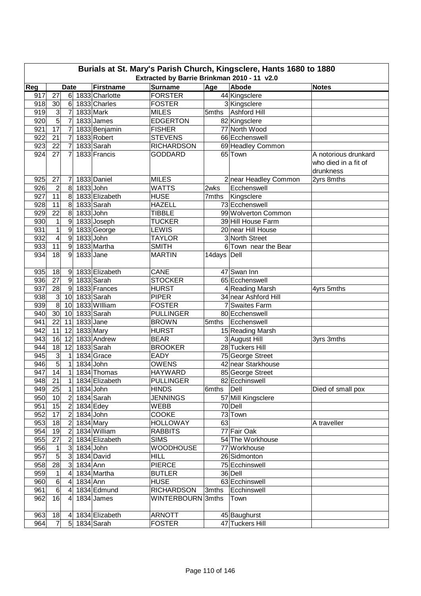| Burials at St. Mary's Parish Church, Kingsclere, Hants 1680 to 1880 |                                                                                                                                         |                  |           |                |                   |              |                       |                                   |  |  |  |  |
|---------------------------------------------------------------------|-----------------------------------------------------------------------------------------------------------------------------------------|------------------|-----------|----------------|-------------------|--------------|-----------------------|-----------------------------------|--|--|--|--|
|                                                                     | Extracted by Barrie Brinkman 2010 - 11 v2.0<br>Reg<br><b>Firstname</b><br><b>Surname</b><br>Age<br>Abode<br><b>Notes</b><br><b>Date</b> |                  |           |                |                   |              |                       |                                   |  |  |  |  |
| 917                                                                 | 27                                                                                                                                      | 6                |           | 1833 Charlotte | <b>FORSTER</b>    |              | 44 Kingsclere         |                                   |  |  |  |  |
| 918                                                                 | 30                                                                                                                                      | 6                |           | 1833 Charles   | <b>FOSTER</b>     |              | 3 Kingsclere          |                                   |  |  |  |  |
| 919                                                                 | $\mathbf{3}$                                                                                                                            | 7                |           | 1833 Mark      | <b>MILES</b>      | 5mths        | Ashford Hill          |                                   |  |  |  |  |
| 920                                                                 | $\overline{5}$                                                                                                                          | 7                |           | 1833 James     | <b>EDGERTON</b>   |              | 82 Kingsclere         |                                   |  |  |  |  |
| 921                                                                 | 17                                                                                                                                      | 7                |           | 1833 Benjamin  | <b>FISHER</b>     |              | 77 North Wood         |                                   |  |  |  |  |
| 922                                                                 | 21                                                                                                                                      | 7                |           | 1833 Robert    | <b>STEVENS</b>    |              | 66 Ecchenswell        |                                   |  |  |  |  |
| 923                                                                 | 22                                                                                                                                      | 7                |           | 1833 Sarah     | <b>RICHARDSON</b> |              | 69 Headley Common     |                                   |  |  |  |  |
| 924                                                                 | 27                                                                                                                                      | 7                |           | 1833 Francis   | <b>GODDARD</b>    |              | 65 Town               | A notorious drunkard              |  |  |  |  |
|                                                                     |                                                                                                                                         |                  |           |                |                   |              |                       | who died in a fit of<br>drunkness |  |  |  |  |
| 925                                                                 | 27                                                                                                                                      | 7                |           | 1833 Daniel    | <b>MILES</b>      |              | 2 near Headley Common | 2yrs 8mths                        |  |  |  |  |
| 926                                                                 | $\overline{2}$                                                                                                                          | 8                | 1833 John |                | <b>WATTS</b>      | 2wks         | Ecchenswell           |                                   |  |  |  |  |
| 927                                                                 | 11                                                                                                                                      | 8                |           | 1833 Elizabeth | <b>HUSE</b>       | 7mths        | Kingsclere            |                                   |  |  |  |  |
| 928                                                                 | 11                                                                                                                                      | 8                |           | 1833 Sarah     | <b>HAZELL</b>     |              | 73 Ecchenswell        |                                   |  |  |  |  |
| 929                                                                 | 22                                                                                                                                      | 8                | 1833 John |                | <b>TIBBLE</b>     |              | 99 Wolverton Common   |                                   |  |  |  |  |
| 930                                                                 | $\mathbf{1}$                                                                                                                            | 9                |           | 1833 Joseph    | <b>TUCKER</b>     |              | 39 Hill House Farm    |                                   |  |  |  |  |
| 931                                                                 | $\overline{1}$                                                                                                                          | 9                |           | 1833 George    | <b>LEWIS</b>      |              | 20 near Hill House    |                                   |  |  |  |  |
| 932                                                                 | 4                                                                                                                                       | $\boldsymbol{9}$ | 1833 John |                | <b>TAYLOR</b>     |              | 3 North Street        |                                   |  |  |  |  |
| 933                                                                 | 11                                                                                                                                      | $\boldsymbol{9}$ |           | 1833 Martha    | <b>SMITH</b>      |              | 6 Town near the Bear  |                                   |  |  |  |  |
| 934                                                                 | 18                                                                                                                                      | 9                | 1833 Jane |                | <b>MARTIN</b>     | 14days Dell  |                       |                                   |  |  |  |  |
| 935                                                                 | 18                                                                                                                                      | $\vert 9 \vert$  |           | 1833 Elizabeth | CANE              |              | 47 Swan Inn           |                                   |  |  |  |  |
| 936                                                                 | $\overline{27}$                                                                                                                         | $9\,$            |           | 1833 Sarah     | <b>STOCKER</b>    |              | 65 Ecchenswell        |                                   |  |  |  |  |
| 937                                                                 | 28                                                                                                                                      | 9                |           | 1833 Frances   | <b>HURST</b>      |              | 4 Reading Marsh       | 4yrs 5mths                        |  |  |  |  |
| 938                                                                 | $\overline{3}$                                                                                                                          | 10 <sup>1</sup>  |           | 1833 Sarah     | <b>PIPER</b>      |              | 34 near Ashford Hill  |                                   |  |  |  |  |
| 939                                                                 | $\overline{8}$                                                                                                                          | 10               |           | 1833 William   | <b>FOSTER</b>     |              | 7 Swaites Farm        |                                   |  |  |  |  |
| 940                                                                 | 30                                                                                                                                      | 10               |           | 1833 Sarah     | <b>PULLINGER</b>  |              | 80 Ecchenswell        |                                   |  |  |  |  |
| 941                                                                 | 22                                                                                                                                      | 11               | 1833 Jane |                | <b>BROWN</b>      | 5mths        | Ecchenswell           |                                   |  |  |  |  |
| 942                                                                 | 11                                                                                                                                      | 12               | 1833 Mary |                | <b>HURST</b>      |              | 15 Reading Marsh      |                                   |  |  |  |  |
| 943                                                                 | 16                                                                                                                                      | 12               |           | 1833 Andrew    | <b>BEAR</b>       |              | 3 August Hill         | 3yrs 3mths                        |  |  |  |  |
| 944                                                                 | 18                                                                                                                                      | 12               |           | 1833 Sarah     | <b>BROOKER</b>    |              | 28 Tuckers Hill       |                                   |  |  |  |  |
| 945                                                                 | س                                                                                                                                       | $\mathbf 1$      |           | 1834 Grace     | <b>EADY</b>       |              | 75 George Street      |                                   |  |  |  |  |
| 946                                                                 | 5                                                                                                                                       | $\mathbf{1}$     | 1834 John |                | <b>OWENS</b>      |              | 42 near Starkhouse    |                                   |  |  |  |  |
| 947                                                                 | 14                                                                                                                                      | $\mathbf{1}$     |           | 1834 Thomas    | <b>HAYWARD</b>    |              | 85 George Street      |                                   |  |  |  |  |
| 948                                                                 | $\overline{21}$                                                                                                                         | 1                |           | 1834 Elizabeth | <b>PULLINGER</b>  |              | 82 Ecchinswell        |                                   |  |  |  |  |
| 949                                                                 | 25                                                                                                                                      | $\mathbf{1}$     | 1834 John |                | <b>HINDS</b>      | 6mths   Dell |                       | Died of small pox                 |  |  |  |  |
| 950                                                                 | 10                                                                                                                                      | $\overline{2}$   |           | 1834 Sarah     | <b>JENNINGS</b>   |              | 57 Mill Kingsclere    |                                   |  |  |  |  |
| 951                                                                 | 15                                                                                                                                      | 2                |           | 1834 Edey      | <b>WEBB</b>       |              | 70 Dell               |                                   |  |  |  |  |
| 952                                                                 | 17                                                                                                                                      | $\overline{2}$   | 1834 John |                | COOKE             |              | 73 Town               |                                   |  |  |  |  |
| 953                                                                 | 18                                                                                                                                      | $\overline{2}$   |           | 1834 Mary      | <b>HOLLOWAY</b>   | 63           |                       | A traveller                       |  |  |  |  |
| 954                                                                 | 19                                                                                                                                      | $\overline{2}$   |           | 1834 William   | <b>RABBITS</b>    |              | 77 Fair Oak           |                                   |  |  |  |  |
| 955                                                                 | 27                                                                                                                                      | $\overline{2}$   |           | 1834 Elizabeth | <b>SIMS</b>       |              | 54 The Workhouse      |                                   |  |  |  |  |
| 956                                                                 | $\mathbf{1}$                                                                                                                            | 3                | 1834 John |                | <b>WOODHOUSE</b>  |              | 77 Workhouse          |                                   |  |  |  |  |
| 957                                                                 | $\overline{5}$                                                                                                                          | $\mathbf{3}$     |           | 1834 David     | <b>HILL</b>       |              | 26 Sidmonton          |                                   |  |  |  |  |
| 958                                                                 | 28                                                                                                                                      | 3                | 1834 Ann  |                | <b>PIERCE</b>     |              | 75 Ecchinswell        |                                   |  |  |  |  |
| 959                                                                 | 1                                                                                                                                       | 4                |           | 1834 Martha    | <b>BUTLER</b>     |              | 36 Dell               |                                   |  |  |  |  |
| 960                                                                 | $\,6$                                                                                                                                   | 4                | 1834 Ann  |                | <b>HUSE</b>       |              | 63 Ecchinswell        |                                   |  |  |  |  |
| 961                                                                 | $\,6$                                                                                                                                   | 4                |           | 1834 Edmund    | <b>RICHARDSON</b> | 3mths        | Ecchinswell           |                                   |  |  |  |  |
| 962                                                                 | 16                                                                                                                                      | 4                |           | 1834 James     | WINTERBOURN 3mths |              | Town                  |                                   |  |  |  |  |
| 963                                                                 | 18                                                                                                                                      | 4                |           | 1834 Elizabeth | <b>ARNOTT</b>     |              | 45 Baughurst          |                                   |  |  |  |  |
| 964                                                                 | $\overline{7}$                                                                                                                          |                  |           | 5 1834 Sarah   | <b>FOSTER</b>     |              | 47 Tuckers Hill       |                                   |  |  |  |  |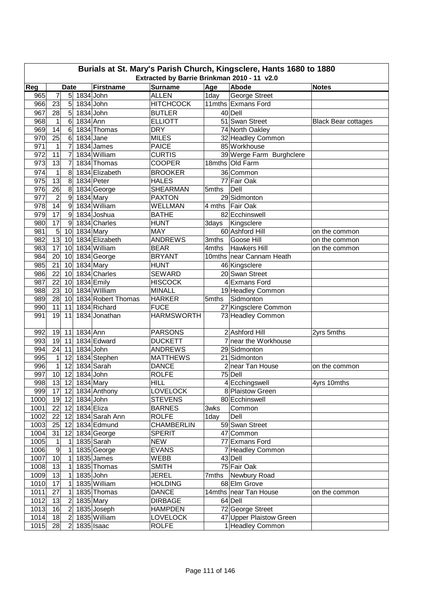|      | Burials at St. Mary's Parish Church, Kingsclere, Hants 1680 to 1880<br>Extracted by Barrie Brinkman 2010 - 11 v2.0 |                |                 |                    |                             |                  |                                             |                            |  |  |  |
|------|--------------------------------------------------------------------------------------------------------------------|----------------|-----------------|--------------------|-----------------------------|------------------|---------------------------------------------|----------------------------|--|--|--|
|      | Reg<br>Firstname<br>Age<br>Abode<br><b>Date</b><br><b>Surname</b><br><b>Notes</b>                                  |                |                 |                    |                             |                  |                                             |                            |  |  |  |
| 965  | 7                                                                                                                  | 5 <sup>1</sup> | 1834 John       |                    | <b>ALLEN</b>                | 1 <sub>day</sub> | <b>George Street</b>                        |                            |  |  |  |
| 966  | 23                                                                                                                 | 5              | 1834 John       |                    | <b>HITCHCOCK</b>            |                  | 11mths Exmans Ford                          |                            |  |  |  |
| 967  | 28                                                                                                                 | 5              |                 | 1834 John          | <b>BUTLER</b>               |                  | 40 Dell                                     |                            |  |  |  |
| 968  | $\mathbf{1}$                                                                                                       | 6              | 1834 Ann        |                    | <b>ELLIOTT</b>              |                  | 51 Swan Street                              |                            |  |  |  |
| 969  | 14                                                                                                                 | 6              |                 | 1834 Thomas        | <b>DRY</b>                  |                  | 74 North Oakley                             | <b>Black Bear cottages</b> |  |  |  |
| 970  | 25                                                                                                                 | 6              | 1834 Jane       |                    | <b>MILES</b>                |                  |                                             |                            |  |  |  |
| 971  | 1                                                                                                                  | $\overline{7}$ |                 | 1834 James         | <b>PAICE</b>                |                  | 32 Headley Common<br>85 Workhouse           |                            |  |  |  |
| 972  | 11                                                                                                                 | $\overline{7}$ |                 | 1834 William       | <b>CURTIS</b>               |                  |                                             |                            |  |  |  |
| 973  | 13                                                                                                                 |                |                 | 1834 Thomas        | <b>COOPER</b>               |                  | 39 Werge Farm Burghclere<br>18mths Old Farm |                            |  |  |  |
|      |                                                                                                                    | 7              |                 |                    |                             |                  |                                             |                            |  |  |  |
| 974  | $\mathbf{1}$                                                                                                       | 8              |                 | 1834 Elizabeth     | <b>BROOKER</b>              |                  | 36 Common                                   |                            |  |  |  |
| 975  | 13                                                                                                                 | 8              |                 | 1834 Peter         | <b>HALES</b>                |                  | 77 Fair Oak                                 |                            |  |  |  |
| 976  | 26                                                                                                                 | 8              |                 | 1834 George        | <b>SHEARMAN</b>             | 5mths            | Dell                                        |                            |  |  |  |
| 977  | $\overline{2}$                                                                                                     | 9              |                 | 1834 Mary          | <b>PAXTON</b>               |                  | 29 Sidmonton                                |                            |  |  |  |
| 978  | 14                                                                                                                 | 9              |                 | 1834 William       | <b>WELLMAN</b>              |                  | 4 mths Fair Oak                             |                            |  |  |  |
| 979  | 17                                                                                                                 | 9              |                 | 1834 Joshua        | <b>BATHE</b>                |                  | 82 Ecchinswell                              |                            |  |  |  |
| 980  | 17                                                                                                                 | 9              |                 | 1834 Charles       | <b>HUNT</b>                 |                  | 3days   Kingsclere                          |                            |  |  |  |
| 981  | $\overline{5}$                                                                                                     | 10             |                 | $1834$ Mary        | <b>MAY</b>                  |                  | 60 Ashford Hill                             | on the common              |  |  |  |
| 982  | 13                                                                                                                 | 10             |                 | 1834 Elizabeth     | <b>ANDREWS</b>              | 3mths            | Goose Hill                                  | on the common              |  |  |  |
| 983  | 17                                                                                                                 | 10             |                 | 1834 William       | <b>BEAR</b>                 | 4mths            | Hawkers Hill                                | on the common              |  |  |  |
| 984  | 20                                                                                                                 | 10             |                 | 1834 George        | <b>BRYANT</b>               |                  | 10mths near Cannam Heath                    |                            |  |  |  |
| 985  | 21                                                                                                                 | 10             |                 | 1834 Mary          | <b>HUNT</b>                 |                  | 46 Kingsclere                               |                            |  |  |  |
| 986  | 22                                                                                                                 | 10             |                 | 1834 Charles       | <b>SEWARD</b>               |                  | 20 Swan Street                              |                            |  |  |  |
| 987  | 22                                                                                                                 | 10             |                 | 1834 Emily         | <b>HISCOCK</b>              |                  | 4 Exmans Ford                               |                            |  |  |  |
| 988  | 23                                                                                                                 | 10             |                 | 1834 William       | <b>MINALL</b>               |                  | 19 Headley Common                           |                            |  |  |  |
| 989  | 28                                                                                                                 | 10             |                 | 1834 Robert Thomas | <b>HARKER</b>               | 5mths            | Sidmonton                                   |                            |  |  |  |
| 990  | 11                                                                                                                 | 11             |                 | 1834 Richard       | <b>FUCE</b>                 |                  | 27 Kingsclere Common                        |                            |  |  |  |
| 991  | 19                                                                                                                 | 11             |                 | 1834 Jonathan      | <b>HARMSWORTH</b>           |                  | 73 Headley Common                           |                            |  |  |  |
| 992  | 19                                                                                                                 | 11             | 1834 Ann        |                    | <b>PARSONS</b>              |                  | 2 Ashford Hill                              | 2yrs 5mths                 |  |  |  |
| 993  | 19                                                                                                                 | 11             |                 | 1834 Edward        | <b>DUCKETT</b>              |                  | 7 near the Workhouse                        |                            |  |  |  |
| 994  | 24                                                                                                                 | 11             | 1834 John       |                    | <b>ANDREWS</b>              |                  | 29 Sidmonton                                |                            |  |  |  |
| 995  | 1                                                                                                                  | 12             |                 | 1834 Stephen       | <b>MATTHEWS</b>             |                  | 21 Sidmonton                                |                            |  |  |  |
| 996  | 1                                                                                                                  | 12             |                 | 1834 Sarah         | <b>DANCE</b>                |                  | 2 near Tan House                            | on the common              |  |  |  |
| 997  | 10                                                                                                                 | 12             | 1834 John       |                    | <b>ROLFE</b>                |                  | 75 Dell                                     |                            |  |  |  |
| 998  | 13                                                                                                                 |                | 12 1834 Mary    |                    | HILL                        |                  | 4 Ecchingswell                              | 4yrs 10mths                |  |  |  |
| 999  |                                                                                                                    |                |                 | 17 12 1834 Anthony | <b>LOVELOCK</b>             |                  | 8 Plaistow Green                            |                            |  |  |  |
| 1000 |                                                                                                                    |                | 19 12 1834 John |                    | <b>STEVENS</b>              |                  | 80 Ecchinswell                              |                            |  |  |  |
| 1001 |                                                                                                                    | 22 12          | 1834 Eliza      |                    | <b>BARNES</b>               | 3wks             | Common                                      |                            |  |  |  |
| 1002 | 22                                                                                                                 | 12             |                 | 1834 Sarah Ann     | <b>ROLFE</b>                | 1day             | Dell                                        |                            |  |  |  |
| 1003 |                                                                                                                    | $25$ 12        |                 | 1834 Edmund        | <b>CHAMBERLIN</b>           |                  | 59 Swan Street                              |                            |  |  |  |
| 1004 | 31                                                                                                                 | 12             |                 | 1834 George        | <b>SPERIT</b>               |                  | 47 Common                                   |                            |  |  |  |
| 1005 | 1                                                                                                                  | 1              |                 | 1835 Sarah         | <b>NEW</b>                  |                  | 77 Exmans Ford                              |                            |  |  |  |
|      | 9                                                                                                                  |                |                 |                    |                             |                  | 7 Headley Common                            |                            |  |  |  |
| 1006 | 10                                                                                                                 | 1              |                 | 1835 George        | <b>EVANS</b><br><b>WEBB</b> |                  |                                             |                            |  |  |  |
| 1007 |                                                                                                                    | 1              |                 | 1835 James         |                             |                  | 43 Dell<br>75 Fair Oak                      |                            |  |  |  |
| 1008 | 13                                                                                                                 | 1              |                 | 1835 Thomas        | <b>SMITH</b>                |                  |                                             |                            |  |  |  |
| 1009 | 13                                                                                                                 | 1              |                 | 1835 John          | <b>JEREL</b>                | 7mths            | Newbury Road                                |                            |  |  |  |
| 1010 | 17                                                                                                                 | 1              |                 | 1835 William       | <b>HOLDING</b>              |                  | 68 Elm Grove                                |                            |  |  |  |
| 1011 | 27                                                                                                                 | 1              |                 | 1835 Thomas        | <b>DANCE</b>                |                  | 14mths near Tan House                       | on the common              |  |  |  |
| 1012 | 13                                                                                                                 | 2              |                 | 1835 Mary          | <b>DIRBAGE</b>              |                  | 64 Dell                                     |                            |  |  |  |
| 1013 | 16                                                                                                                 | 2              |                 | 1835 Joseph        | <b>HAMPDEN</b>              |                  | 72 George Street                            |                            |  |  |  |
| 1014 | 18                                                                                                                 | $\overline{2}$ |                 | 1835 William       | <b>LOVELOCK</b>             |                  | 47 Upper Plaistow Green                     |                            |  |  |  |
| 1015 | 28                                                                                                                 | $\overline{2}$ |                 | $1835$ Isaac       | <b>ROLFE</b>                |                  | 1 Headley Common                            |                            |  |  |  |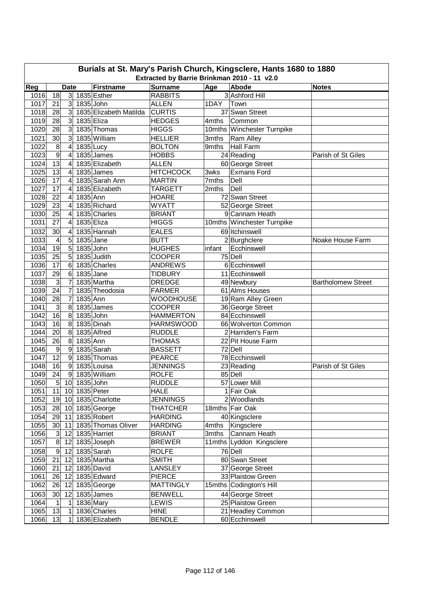|      | Burials at St. Mary's Parish Church, Kingsclere, Hants 1680 to 1880<br>Extracted by Barrie Brinkman 2010 - 11 v2.0 |                             |               |                                 |                                  |        |                            |                           |  |  |  |  |
|------|--------------------------------------------------------------------------------------------------------------------|-----------------------------|---------------|---------------------------------|----------------------------------|--------|----------------------------|---------------------------|--|--|--|--|
| Reg  |                                                                                                                    | <b>Notes</b>                |               |                                 |                                  |        |                            |                           |  |  |  |  |
| 1016 | 18                                                                                                                 | <b>Date</b><br>$\mathbf{3}$ |               | <b>Firstname</b><br>1835 Esther | <b>Surname</b><br><b>RABBITS</b> | Age    | Abode<br>3 Ashford Hill    |                           |  |  |  |  |
| 1017 | 21                                                                                                                 | $\overline{3}$              | 1835 John     |                                 | <b>ALLEN</b>                     | 1DAY   | Town                       |                           |  |  |  |  |
| 1018 | 28                                                                                                                 | $\overline{3}$              |               | 1835 Elizabeth Matilda          | <b>CURTIS</b>                    |        | 37 Swan Street             |                           |  |  |  |  |
| 1019 | 28                                                                                                                 | $\overline{3}$              | 1835 Eliza    |                                 | <b>HEDGES</b>                    | 4mths  | Common                     |                           |  |  |  |  |
| 1020 | 28                                                                                                                 | $\overline{3}$              |               | 1835 Thomas                     | <b>HIGGS</b>                     |        | 10mths Winchester Turnpike |                           |  |  |  |  |
| 1021 | 30                                                                                                                 | 3                           |               | 1835 William                    | <b>HELLIER</b>                   | 3mths  | <b>Ram Alley</b>           |                           |  |  |  |  |
| 1022 | 8                                                                                                                  | 4                           |               |                                 | <b>BOLTON</b>                    | 9mths  | <b>Hall Farm</b>           |                           |  |  |  |  |
| 1023 | $\overline{9}$                                                                                                     | 4                           | 1835 Lucy     | 1835 James                      | <b>HOBBS</b>                     |        | 24 Reading                 | Parish of St Giles        |  |  |  |  |
| 1024 | $\overline{13}$                                                                                                    | $\overline{4}$              |               | 1835 Elizabeth                  | <b>ALLEN</b>                     |        |                            |                           |  |  |  |  |
|      |                                                                                                                    |                             |               |                                 |                                  |        | 60 George Street           |                           |  |  |  |  |
| 1025 | 13                                                                                                                 | 4                           |               | 1835 James                      | <b>HITCHCOCK</b>                 | 3wks   | <b>Exmans Ford</b>         |                           |  |  |  |  |
| 1026 | 17                                                                                                                 | 4                           |               | 1835 Sarah Ann                  | <b>MARTIN</b>                    | 7mths  | Dell                       |                           |  |  |  |  |
| 1027 | 17                                                                                                                 | 4                           |               | 1835 Elizabeth                  | TARGETT                          | 2mths  | Dell                       |                           |  |  |  |  |
| 1028 | 22                                                                                                                 | 4                           | 1835 Ann      |                                 | <b>HOARE</b>                     |        | 72 Swan Street             |                           |  |  |  |  |
| 1029 | 23                                                                                                                 | 4                           |               | 1835 Richard                    | <b>WYATT</b>                     |        | 52 George Street           |                           |  |  |  |  |
| 1030 | 25                                                                                                                 | 4                           |               | 1835 Charles                    | <b>BRIANT</b>                    |        | 9 Cannam Heath             |                           |  |  |  |  |
| 1031 | 27                                                                                                                 | 4                           | 1835 Eliza    |                                 | <b>HIGGS</b>                     |        | 10mths Winchester Turnpike |                           |  |  |  |  |
| 1032 | 30                                                                                                                 | $\overline{4}$              |               | 1835 Hannah                     | <b>EALES</b>                     |        | 69 Itchinswell             |                           |  |  |  |  |
| 1033 | 4                                                                                                                  | 5                           | 1835 Jane     |                                 | <b>BUTT</b>                      |        | 2 Burghclere               | Noake House Farm          |  |  |  |  |
| 1034 | 19                                                                                                                 | 5                           | 1835 John     |                                 | <b>HUGHES</b>                    | infant | Ecchinswell                |                           |  |  |  |  |
| 1035 | 25                                                                                                                 | 5                           |               | 1835 Judith                     | <b>COOPER</b>                    |        | 75 Dell                    |                           |  |  |  |  |
| 1036 | 17                                                                                                                 | 6                           |               | 1835 Charles                    | <b>ANDREWS</b>                   |        | 6 Ecchinswell              |                           |  |  |  |  |
| 1037 | 29                                                                                                                 | 6                           | 1835 Jane     |                                 | <b>TIDBURY</b>                   |        | 11 Ecchinswell             |                           |  |  |  |  |
| 1038 | 3                                                                                                                  | 7                           |               | 1835 Martha                     | <b>DREDGE</b>                    |        | 49 Newbury                 | <b>Bartholomew Street</b> |  |  |  |  |
| 1039 | 24                                                                                                                 | $\overline{7}$              |               | 1835 Theodosia                  | <b>FARMER</b>                    |        | 61 Alms Houses             |                           |  |  |  |  |
| 1040 | 28                                                                                                                 | 7                           | 1835 Ann      |                                 | <b>WOODHOUSE</b>                 |        | 19 Ram Alley Green         |                           |  |  |  |  |
| 1041 | 3                                                                                                                  | 8                           |               | 1835 James                      | <b>COOPER</b>                    |        | 36 George Street           |                           |  |  |  |  |
| 1042 | 16                                                                                                                 | 8                           | 1835 John     |                                 | <b>HAMMERTON</b>                 |        | 84 Ecchinswell             |                           |  |  |  |  |
| 1043 | 16                                                                                                                 | 8                           |               | 1835 Dinah                      | <b>HARMSWOOD</b>                 |        | 66 Wolverton Common        |                           |  |  |  |  |
| 1044 | 20                                                                                                                 | 8                           |               | 1835 Alfred                     | <b>RUDDLE</b>                    |        | 2 Harriden's Farm          |                           |  |  |  |  |
| 1045 | $\overline{26}$                                                                                                    | 8                           | 1835 Ann      |                                 | <b>THOMAS</b>                    |        | 22 Pit House Farm          |                           |  |  |  |  |
| 1046 | $\boldsymbol{9}$                                                                                                   | 9                           |               | 1835 Sarah                      | <b>BASSETT</b>                   |        | 72 Dell                    |                           |  |  |  |  |
| 1047 | $\overline{12}$                                                                                                    | 9                           |               | 1835 Thomas                     | <b>PEARCE</b>                    |        | 78 Ecchinswell             |                           |  |  |  |  |
| 1048 | 16                                                                                                                 | 9                           |               | 1835 Louisa                     | <b>JENNINGS</b>                  |        | 23 Reading                 | Parish of St Giles        |  |  |  |  |
| 1049 | 24                                                                                                                 | 9                           |               | 1835 William                    | <b>ROLFE</b>                     |        | 85 Dell                    |                           |  |  |  |  |
| 1050 | $\overline{5}$                                                                                                     | 10                          | 1835 John     |                                 | <b>RUDDLE</b>                    |        | 57 Lower Mill              |                           |  |  |  |  |
| 1051 | 11                                                                                                                 |                             | 10 1835 Peter |                                 | <b>HALE</b>                      |        | 1 Fair Oak                 |                           |  |  |  |  |
| 1052 |                                                                                                                    |                             |               | 19 10 1835 Charlotte            | <b>JENNINGS</b>                  |        | 2 Woodlands                |                           |  |  |  |  |
| 1053 | 28                                                                                                                 |                             |               | 10 1835 George                  | <b>THATCHER</b>                  |        | 18mths Fair Oak            |                           |  |  |  |  |
| 1054 | 29                                                                                                                 | 11                          |               | 1835 Robert                     | <b>HARDING</b>                   |        | 40 Kingsclere              |                           |  |  |  |  |
| 1055 | 30                                                                                                                 | 11                          |               | 1835 Thomas Oliver              | <b>HARDING</b>                   |        | 4mths Kingsclere           |                           |  |  |  |  |
| 1056 | $\mathbf{3}$                                                                                                       | 12                          |               | 1835 Harriet                    | <b>BRIANT</b>                    | 3mths  | Cannam Heath               |                           |  |  |  |  |
| 1057 | œ                                                                                                                  | 12                          |               | 1835 Joseph                     | <b>BREWER</b>                    |        | 11mths Lyddon Kingsclere   |                           |  |  |  |  |
| 1058 | $\overline{9}$                                                                                                     | 12                          |               | 1835 Sarah                      | <b>ROLFE</b>                     |        | 76 Dell                    |                           |  |  |  |  |
| 1059 | 21                                                                                                                 | 12                          |               | 1835 Martha                     | <b>SMITH</b>                     |        | 80 Swan Street             |                           |  |  |  |  |
|      |                                                                                                                    |                             |               | 1835 David                      |                                  |        |                            |                           |  |  |  |  |
| 1060 | 21                                                                                                                 | 12                          |               |                                 | <b>LANSLEY</b>                   |        | 37 George Street           |                           |  |  |  |  |
| 1061 | 26                                                                                                                 | 12                          |               | 1835 Edward                     | <b>PIERCE</b>                    |        | 33 Plaistow Green          |                           |  |  |  |  |
| 1062 | 26                                                                                                                 | 12                          |               | 1835 George                     | <b>MATTINGLY</b>                 |        | 15mths Codington's Hill    |                           |  |  |  |  |
| 1063 | 30 <sub>l</sub>                                                                                                    | 12                          |               | 1835 James                      | <b>BENWELL</b>                   |        | 44 George Street           |                           |  |  |  |  |
| 1064 | 1                                                                                                                  | 1                           |               | 1836 Mary                       | LEWIS                            |        | 25 Plaistow Green          |                           |  |  |  |  |
| 1065 | 13                                                                                                                 | 1                           |               | 1836 Charles                    | <b>HINE</b>                      |        | 21 Headley Common          |                           |  |  |  |  |
| 1066 | 13                                                                                                                 | 1                           |               | 1836 Elizabeth                  | <b>BENDLE</b>                    |        | 60 Ecchinswell             |                           |  |  |  |  |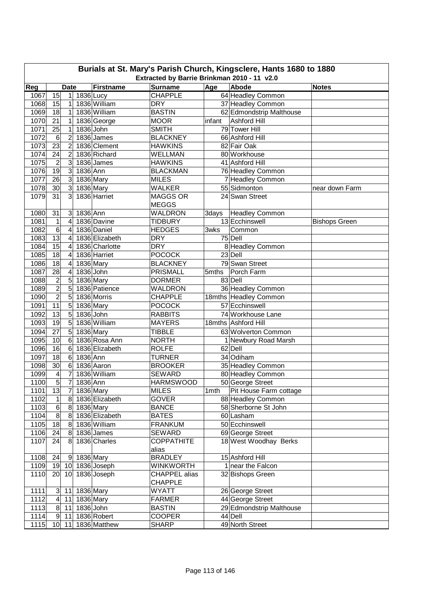|      | Burials at St. Mary's Parish Church, Kingsclere, Hants 1680 to 1880<br>Extracted by Barrie Brinkman 2010 - 11 v2.0 |                             |             |                                |                                  |        |                             |                      |  |  |  |
|------|--------------------------------------------------------------------------------------------------------------------|-----------------------------|-------------|--------------------------------|----------------------------------|--------|-----------------------------|----------------------|--|--|--|
| Reg  |                                                                                                                    | <b>Notes</b>                |             |                                |                                  |        |                             |                      |  |  |  |
| 1067 | 15                                                                                                                 | <b>Date</b><br>$\mathbf{1}$ | $1836$ Lucy | <b>Firstname</b>               | <b>Surname</b><br><b>CHAPPLE</b> | Age    | Abode<br>64 Headley Common  |                      |  |  |  |
| 1068 | 15                                                                                                                 | 1                           |             | 1836 William                   | <b>DRY</b>                       |        | 37 Headley Common           |                      |  |  |  |
| 1069 | 18                                                                                                                 | $\mathbf{1}$                |             | 1836 William                   | <b>BASTIN</b>                    |        | 62 Edmondstrip Malthouse    |                      |  |  |  |
| 1070 | 21                                                                                                                 | 1                           |             | 1836 George                    | <b>MOOR</b>                      | infant | Ashford Hill                |                      |  |  |  |
| 1071 | 25                                                                                                                 | 1                           | 1836 John   |                                | <b>SMITH</b>                     |        | 79 Tower Hill               |                      |  |  |  |
| 1072 | 6                                                                                                                  | $\overline{2}$              |             | 1836 James                     | <b>BLACKNEY</b>                  |        | 66 Ashford Hill             |                      |  |  |  |
| 1073 | 23                                                                                                                 | 2                           |             | 1836 Clement                   | <b>HAWKINS</b>                   |        | 82 Fair Oak                 |                      |  |  |  |
| 1074 | 24                                                                                                                 | 2                           |             | 1836 Richard                   | <b>WELLMAN</b>                   |        | 80 Workhouse                |                      |  |  |  |
| 1075 | $\overline{c}$                                                                                                     | 3                           |             | 1836 James                     | <b>HAWKINS</b>                   |        | 41 Ashford Hill             |                      |  |  |  |
| 1076 | $\overline{19}$                                                                                                    | $\mathbf{3}$                | $1836$ Ann  |                                | <b>BLACKMAN</b>                  |        | 76 Headley Common           |                      |  |  |  |
| 1077 | 26                                                                                                                 | $\mathbf{3}$                |             | 1836 Mary                      | <b>MILES</b>                     |        | 7 Headley Common            |                      |  |  |  |
| 1078 | 30                                                                                                                 | 3                           |             | 1836 Mary                      | <b>WALKER</b>                    |        | 55 Sidmonton                | near down Farm       |  |  |  |
| 1079 | $\overline{31}$                                                                                                    | 3                           |             | 1836 Harriet                   | <b>MAGGS OR</b>                  |        | 24 Swan Street              |                      |  |  |  |
|      |                                                                                                                    |                             |             |                                | <b>MEGGS</b>                     |        |                             |                      |  |  |  |
| 1080 | 31                                                                                                                 | 3                           | 1836 Ann    |                                | WALDRON                          | 3days  | <b>Headley Common</b>       |                      |  |  |  |
| 1081 | 1                                                                                                                  | 4                           |             | 1836 Davine                    | <b>TIDBURY</b>                   |        | 13 Ecchinswell              | <b>Bishops Green</b> |  |  |  |
| 1082 | $\overline{6}$                                                                                                     | $\overline{4}$              |             | 1836 Daniel                    | <b>HEDGES</b>                    | 3wks   | Common                      |                      |  |  |  |
| 1083 | $\overline{13}$                                                                                                    | $\overline{4}$              |             | 1836 Elizabeth                 | <b>DRY</b>                       |        | 75 Dell                     |                      |  |  |  |
| 1084 | $\overline{15}$                                                                                                    |                             |             |                                | <b>DRY</b>                       |        |                             |                      |  |  |  |
| 1085 | $\overline{18}$                                                                                                    | 4                           |             | 1836 Charlotte<br>1836 Harriet | <b>POCOCK</b>                    |        | 8 Headley Common<br>23 Dell |                      |  |  |  |
|      | 18                                                                                                                 | 4                           |             |                                |                                  |        | 79 Swan Street              |                      |  |  |  |
| 1086 |                                                                                                                    | 4                           |             | 1836 Mary                      | <b>BLACKNEY</b>                  |        |                             |                      |  |  |  |
| 1087 | 28                                                                                                                 | 4                           | 1836 John   |                                | <b>PRISMALL</b>                  | 5mths  | Porch Farm                  |                      |  |  |  |
| 1088 | $\overline{2}$                                                                                                     | 5                           |             | 1836 Mary                      | <b>DORMER</b>                    |        | 83 Dell                     |                      |  |  |  |
| 1089 | $\overline{2}$                                                                                                     | 5                           |             | 1836 Patience                  | WALDRON                          |        | 36 Headley Common           |                      |  |  |  |
| 1090 | $\overline{2}$                                                                                                     | 5                           |             | 1836 Morris                    | <b>CHAPPLE</b>                   |        | 18mths Headley Common       |                      |  |  |  |
| 1091 | 11                                                                                                                 | 5                           |             | 1836 Mary                      | <b>POCOCK</b>                    |        | 57 Ecchinswell              |                      |  |  |  |
| 1092 | 13                                                                                                                 | 5                           | 1836 John   |                                | <b>RABBITS</b>                   |        | 74 Workhouse Lane           |                      |  |  |  |
| 1093 | $\overline{19}$                                                                                                    | $\overline{5}$              |             | 1836 William                   | <b>MAYERS</b>                    |        | 18mths Ashford Hill         |                      |  |  |  |
| 1094 | $\overline{27}$                                                                                                    | 5                           |             | 1836 Mary                      | <b>TIBBLE</b>                    |        | 63 Wolverton Common         |                      |  |  |  |
| 1095 | 10                                                                                                                 | 6                           |             | 1836 Rosa Ann                  | <b>NORTH</b>                     |        | 1 Newbury Road Marsh        |                      |  |  |  |
| 1096 | 16                                                                                                                 | 6                           |             | 1836 Elizabeth                 | <b>ROLFE</b>                     |        | 62 Dell                     |                      |  |  |  |
| 1097 | 18                                                                                                                 | $\,6$                       | 1836 Ann    |                                | <b>TURNER</b>                    |        | 34 Odiham                   |                      |  |  |  |
| 1098 | $\overline{30}$                                                                                                    | $6\phantom{1}$              |             | 1836 Aaron                     | <b>BROOKER</b>                   |        | 35 Headley Common           |                      |  |  |  |
| 1099 | $\overline{4}$                                                                                                     | $\overline{7}$              |             | 1836 William                   | <b>SEWARD</b>                    |        | 80 Headley Common           |                      |  |  |  |
| 1100 | 5                                                                                                                  | $\overline{7}$              | 1836 Ann    |                                | <b>HARMSWOOD</b>                 |        | 50 George Street            |                      |  |  |  |
| 1101 | 13                                                                                                                 | $\overline{7}$              |             | 1836 Mary                      | <b>MILES</b>                     | 1mth   | Pit House Farm cottage      |                      |  |  |  |
| 1102 | 1                                                                                                                  | 8                           |             | 1836 Elizabeth                 | <b>GOVER</b>                     |        | 88 Headley Common           |                      |  |  |  |
| 1103 | 6                                                                                                                  | 8                           |             | 1836 Mary                      | <b>BANCE</b>                     |        | 58 Sherborne St John        |                      |  |  |  |
| 1104 | 8                                                                                                                  | 8                           |             | 1836 Elizabeth                 | <b>BATES</b>                     |        | 60 Lasham                   |                      |  |  |  |
| 1105 | 18                                                                                                                 | 8                           |             | 1836 William                   | <b>FRANKUM</b>                   |        | 50 Ecchinswell              |                      |  |  |  |
| 1106 | 24                                                                                                                 | 8                           |             | 1836 James                     | <b>SEWARD</b>                    |        | 69 George Street            |                      |  |  |  |
| 1107 | 24                                                                                                                 | 8                           |             | 1836 Charles                   | <b>COPPATHITE</b>                |        | 18 West Woodhay Berks       |                      |  |  |  |
|      |                                                                                                                    |                             |             |                                | alias                            |        |                             |                      |  |  |  |
| 1108 | 24                                                                                                                 | 9                           |             | 1836 Mary                      | <b>BRADLEY</b>                   |        | 15 Ashford Hill             |                      |  |  |  |
| 1109 | 19                                                                                                                 | 10                          |             | 1836 Joseph                    | <b>WINKWORTH</b>                 |        | 1 near the Falcon           |                      |  |  |  |
| 1110 | 20                                                                                                                 | 10                          |             | 1836 Joseph                    | <b>CHAPPEL alias</b>             |        | 32 Bishops Green            |                      |  |  |  |
|      |                                                                                                                    |                             |             |                                | <b>CHAPPLE</b>                   |        |                             |                      |  |  |  |
| 1111 | $\mathbf{3}$                                                                                                       | 11                          |             | 1836 Mary                      | <b>WYATT</b>                     |        | 26 George Street            |                      |  |  |  |
| 1112 | $\vert 4 \vert$                                                                                                    | 11                          |             | 1836 Mary                      | <b>FARMER</b>                    |        | 44 George Street            |                      |  |  |  |
| 1113 | 8 <sup>1</sup>                                                                                                     | 11                          | 1836 John   |                                | <b>BASTIN</b>                    |        | 29 Edmondstrip Malthouse    |                      |  |  |  |
| 1114 | 9 <sup>1</sup>                                                                                                     | 11                          |             | 1836 Robert                    | <b>COOPER</b>                    |        | 44 Dell                     |                      |  |  |  |
| 1115 | 10 <sub>1</sub>                                                                                                    | 11                          |             | 1836 Matthew                   | <b>SHARP</b>                     |        | 49 North Street             |                      |  |  |  |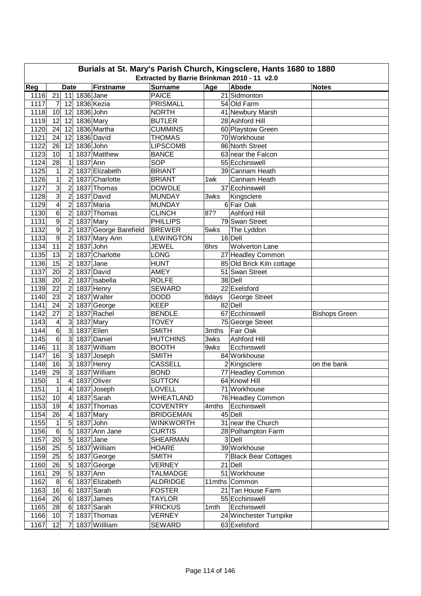| Burials at St. Mary's Parish Church, Kingsclere, Hants 1680 to 1880 |                                                            |                |           |                       |                                 |       |                                     |                      |  |  |  |  |  |
|---------------------------------------------------------------------|------------------------------------------------------------|----------------|-----------|-----------------------|---------------------------------|-------|-------------------------------------|----------------------|--|--|--|--|--|
|                                                                     | Extracted by Barrie Brinkman 2010 - 11 v2.0<br><b>Date</b> |                |           |                       |                                 |       |                                     |                      |  |  |  |  |  |
| Reg                                                                 |                                                            |                |           | <b>Firstname</b>      | <b>Surname</b>                  | Age   | Abode<br>21 Sidmonton               | <b>Notes</b>         |  |  |  |  |  |
| 1116                                                                | $\overline{21}$                                            | 11             | 1836 Jane | 1836 Kezia            | <b>PAICE</b>                    |       |                                     |                      |  |  |  |  |  |
| 1117                                                                | 7                                                          | 12             | 1836 John |                       | <b>PRISMALL</b>                 |       | 54 Old Farm                         |                      |  |  |  |  |  |
| 1118<br>1119                                                        | 10<br>12                                                   | 12<br>12       |           | 1836 Mary             | <b>NORTH</b><br><b>BUTLER</b>   |       | 41 Newbury Marsh<br>28 Ashford Hill |                      |  |  |  |  |  |
| 1120                                                                | 24                                                         | 12             |           | 1836 Martha           |                                 |       |                                     |                      |  |  |  |  |  |
| 1121                                                                | 24                                                         | 12             |           | 1836 David            | <b>CUMMINS</b><br><b>THOMAS</b> |       | 60 Playstow Green<br>70 Workhouse   |                      |  |  |  |  |  |
| 1122                                                                | 26                                                         | 12             | 1836 John |                       | <b>LIPSCOMB</b>                 |       | 86 North Street                     |                      |  |  |  |  |  |
| 1123                                                                | 10                                                         | 1              |           | 1837 Matthew          | <b>BANCE</b>                    |       | 63 near the Falcon                  |                      |  |  |  |  |  |
| 1124                                                                | 28                                                         | 1              | 1837 Ann  |                       | <b>SOP</b>                      |       | 55 Ecchinswell                      |                      |  |  |  |  |  |
| 1125                                                                | 1                                                          | 2              |           | 1837 Elizabeth        | <b>BRIANT</b>                   |       | 39 Cannam Heath                     |                      |  |  |  |  |  |
| 1126                                                                | $\mathbf 1$                                                | $\overline{2}$ |           | 1837 Charlotte        | <b>BRIANT</b>                   | 1wk   | Cannam Heath                        |                      |  |  |  |  |  |
| 1127                                                                | 3                                                          | $\overline{c}$ |           | 1837 Thomas           | <b>DOWDLE</b>                   |       | 37 Ecchinswell                      |                      |  |  |  |  |  |
| 1128                                                                | 3                                                          | $\overline{2}$ |           | 1837 David            | <b>MUNDAY</b>                   | 3wks  | Kingsclere                          |                      |  |  |  |  |  |
| 1129                                                                | 4                                                          | $\overline{2}$ |           | 1837 Maria            | <b>MUNDAY</b>                   |       | 6 Fair Oak                          |                      |  |  |  |  |  |
| 1130                                                                | 6                                                          | $\overline{c}$ |           | 1837 Thomas           | <b>CLINCH</b>                   | 87?   | Ashford Hill                        |                      |  |  |  |  |  |
| 1131                                                                | 9                                                          | $\overline{c}$ |           | 1837 Mary             | <b>PHILLIPS</b>                 |       | 79 Swan Street                      |                      |  |  |  |  |  |
| 1132                                                                | 9                                                          | $\overline{c}$ |           | 1837 George Barefield | <b>BREWER</b>                   | 5wks  | The Lyddon                          |                      |  |  |  |  |  |
| 1133                                                                | 9                                                          | $\overline{c}$ |           | 1837 Mary Ann         | <b>LEWINGTON</b>                |       | $\overline{16}$ Dell                |                      |  |  |  |  |  |
| 1134                                                                | 11                                                         | $\overline{c}$ |           | 1837 John             | <b>JEWEL</b>                    | 6hrs  | <b>Wolverton Lane</b>               |                      |  |  |  |  |  |
| 1135                                                                | $\overline{13}$                                            | $\overline{2}$ |           | 1837 Charlotte        | LONG                            |       | 27 Headley Common                   |                      |  |  |  |  |  |
| 1136                                                                | $\overline{15}$                                            | $\overline{2}$ |           | $1837$ Jane           | <b>HUNT</b>                     |       | 85 Old Brick Kiln cottage           |                      |  |  |  |  |  |
| 1137                                                                | 20                                                         | $\overline{2}$ |           | 1837 David            | <b>AMEY</b>                     |       | 51 Swan Street                      |                      |  |  |  |  |  |
| 1138                                                                | 20                                                         | $\overline{2}$ |           | 1837 Isabella         | <b>ROLFE</b>                    |       | 38 Dell                             |                      |  |  |  |  |  |
| 1139                                                                | $\overline{22}$                                            | $\overline{2}$ |           | 1837 Henry            | <b>SEWARD</b>                   |       | 22 Exelsford                        |                      |  |  |  |  |  |
| 1140                                                                | 23                                                         | $\overline{2}$ |           | 1837 Walter           | <b>DODD</b>                     | 6days | <b>George Street</b>                |                      |  |  |  |  |  |
| 1141                                                                | 24                                                         | $\overline{2}$ |           | 1837 George           | <b>KEEP</b>                     |       | 82 Dell                             |                      |  |  |  |  |  |
| 1142                                                                | 27                                                         | $\overline{c}$ |           | 1837 Rachel           | <b>BENDLE</b>                   |       | 67 Ecchinswell                      | <b>Bishops Green</b> |  |  |  |  |  |
| 1143                                                                | 4                                                          | $\mathbf{3}$   |           | 1837 Mary             | <b>TOVEY</b>                    |       | 75 George Street                    |                      |  |  |  |  |  |
| 1144                                                                | $\overline{6}$                                             | $\mathbf{3}$   |           | 1837 Ellen            | <b>SMITH</b>                    | 3mths | Fair Oak                            |                      |  |  |  |  |  |
| 1145                                                                | 6                                                          | $\mathbf{3}$   |           | 1837 Daniel           | <b>HUTCHINS</b>                 | 3wks  | Ashford Hill                        |                      |  |  |  |  |  |
| 1146                                                                | 11                                                         | 3              |           | 1837 William          | <b>BOOTH</b>                    | 9wks  | Ecchinswell                         |                      |  |  |  |  |  |
| 1147                                                                | 16                                                         | $\mathbf{3}$   |           | 1837 Joseph           | <b>SMITH</b>                    |       | 84 Workhouse                        |                      |  |  |  |  |  |
| 1148                                                                | 16                                                         | $\mathbf{3}$   |           | 1837 Henry            | <b>CASSELL</b>                  |       | 2Kingsclere                         | on the bank          |  |  |  |  |  |
| 1149                                                                | 29                                                         | دن             |           | 1837 William          | <b>BOND</b>                     |       | 77 Headley Common                   |                      |  |  |  |  |  |
| 1150                                                                | $\overline{1}$                                             | 4              |           | 1837 Oliver           | <b>SUTTON</b>                   |       | 64 Knowl Hill                       |                      |  |  |  |  |  |
| 1151                                                                | 1                                                          | 4              |           | 1837 Joseph           | <b>LOVELL</b>                   |       | 71 Workhouse                        |                      |  |  |  |  |  |
| 1152                                                                | 10                                                         | $\overline{a}$ |           | 1837 Sarah            | WHEATLAND                       |       | 76 Headley Common                   |                      |  |  |  |  |  |
| 1153                                                                | 19                                                         | 4              |           | 1837 Thomas           | <b>COVENTRY</b>                 | 4mths | Ecchinswell                         |                      |  |  |  |  |  |
| 1154                                                                | 26                                                         | 4              |           | 1837 Mary             | <b>BRIDGEMAN</b>                |       | 45 Dell                             |                      |  |  |  |  |  |
| 1155                                                                | 1                                                          | 5              | 1837 John |                       | <b>WINKWORTH</b>                |       | 31 near the Church                  |                      |  |  |  |  |  |
| 1156                                                                | 6                                                          | 5              |           | 1837 Ann Jane         | <b>CURTIS</b>                   |       | 28 Polhampton Farm                  |                      |  |  |  |  |  |
| 1157                                                                | 20                                                         | 5              |           | 1837 Jane             | SHEARMAN                        |       | 3 Dell                              |                      |  |  |  |  |  |
| 1158                                                                | 25                                                         | 5              |           | 1837 William          | <b>HOARE</b>                    |       | 39 Workhouse                        |                      |  |  |  |  |  |
| 1159                                                                | 25                                                         | 5              |           | 1837 George           | <b>SMITH</b>                    |       | 7 Black Bear Cottages               |                      |  |  |  |  |  |
| 1160                                                                | 26                                                         | 5              |           | 1837 George           | VERNEY                          |       | 21 Dell                             |                      |  |  |  |  |  |
| 1161                                                                | 29                                                         | 5              | 1837 Ann  |                       | TALMADGE                        |       | 51 Workhouse                        |                      |  |  |  |  |  |
| 1162                                                                | 8                                                          | 6              |           | 1837 Elizabeth        | <b>ALDRIDGE</b>                 |       | 11mths Common                       |                      |  |  |  |  |  |
| 1163                                                                | 16                                                         | 6              |           | 1837 Sarah            | <b>FOSTER</b>                   |       | 21 Tan House Farm                   |                      |  |  |  |  |  |
| 1164                                                                | 26                                                         | 6              |           | 1837 James            | TAYLOR                          |       | 55 Ecchinswell                      |                      |  |  |  |  |  |
| 1165                                                                | 28                                                         | 6              |           | 1837 Sarah            | <b>FRICKUS</b>                  | 1mth  | Ecchinswell                         |                      |  |  |  |  |  |
| 1166                                                                | 10                                                         | 7              |           | 1837 Thomas           | <b>VERNEY</b>                   |       | 24 Winchester Turnpike              |                      |  |  |  |  |  |
| 1167                                                                | 12                                                         | $\overline{7}$ |           | 1837 Willliam         | <b>SEWARD</b>                   |       | 63 Exelsford                        |                      |  |  |  |  |  |
|                                                                     |                                                            |                |           |                       |                                 |       |                                     |                      |  |  |  |  |  |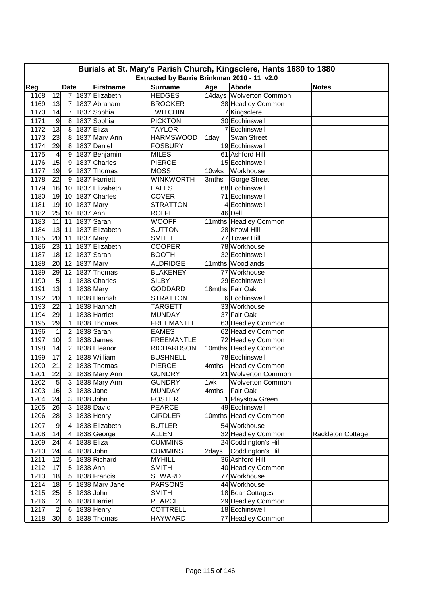| Burials at St. Mary's Parish Church, Kingsclere, Hants 1680 to 1880<br>Extracted by Barrie Brinkman 2010 - 11 v2.0 |                         |                |           |                               |                               |       |                                        |                   |  |  |  |
|--------------------------------------------------------------------------------------------------------------------|-------------------------|----------------|-----------|-------------------------------|-------------------------------|-------|----------------------------------------|-------------------|--|--|--|
|                                                                                                                    |                         |                |           |                               |                               |       |                                        |                   |  |  |  |
| Reg                                                                                                                |                         | <b>Date</b>    |           | <b>Firstname</b>              | <b>Surname</b>                | Age   | Abode                                  | <b>Notes</b>      |  |  |  |
| 1168                                                                                                               | 12                      | 7              |           | 1837 Elizabeth                | <b>HEDGES</b>                 |       | 14days Wolverton Common                |                   |  |  |  |
| 1169                                                                                                               | 13                      | $\overline{7}$ |           | 1837 Abraham<br>1837 Sophia   | <b>BROOKER</b>                |       | 38 Headley Common                      |                   |  |  |  |
| 1170                                                                                                               | 14                      | $\overline{7}$ |           |                               | <b>TWITCHIN</b>               |       | 7 Kingsclere                           |                   |  |  |  |
| 1171                                                                                                               | 9<br>$\overline{13}$    | 8              |           | 1837 Sophia                   | <b>PICKTON</b>                |       | 30 Ecchinswell                         |                   |  |  |  |
| 1172                                                                                                               |                         | 8              |           | 1837 Eliza                    | TAYLOR<br><b>HARMSWOOD</b>    |       | 7 Ecchinswell                          |                   |  |  |  |
| 1173<br>1174                                                                                                       | 23<br>29                | 8<br>8         |           | 1837 Mary Ann<br>1837 Daniel  | <b>FOSBURY</b>                | 1day  | Swan Street<br>19 Ecchinswell          |                   |  |  |  |
| 1175                                                                                                               |                         | 9              |           |                               |                               |       | 61 Ashford Hill                        |                   |  |  |  |
| 1176                                                                                                               | 4<br>15                 | 9              |           | 1837 Benjamin<br>1837 Charles | <b>MILES</b><br><b>PIERCE</b> |       | 15 Ecchinswell                         |                   |  |  |  |
| 1177                                                                                                               | 19                      | 9              |           | 1837 Thomas                   | <b>MOSS</b>                   | 10wks | Workhouse                              |                   |  |  |  |
| 1178                                                                                                               | 22                      | 9              |           | 1837 Harriett                 | <b>WINKWORTH</b>              |       |                                        |                   |  |  |  |
| 1179                                                                                                               | 16                      | 10             |           | 1837 Elizabeth                | <b>EALES</b>                  | 3mths | Gorge Street<br>68 Ecchinswell         |                   |  |  |  |
| 1180                                                                                                               | 19                      | 10             |           | 1837 Charles                  | <b>COVER</b>                  |       | 71 Ecchinswell                         |                   |  |  |  |
|                                                                                                                    |                         |                |           |                               | <b>STRATTON</b>               |       | 4 Ecchinswell                          |                   |  |  |  |
| 1181<br>1182                                                                                                       | 19<br>25                | 10<br>10       | 1837 Ann  | 1837 Mary                     | <b>ROLFE</b>                  |       | 46 Dell                                |                   |  |  |  |
| 1183                                                                                                               | 11                      | 11             |           | 1837 Sarah                    | <b>WOOFF</b>                  |       |                                        |                   |  |  |  |
| 1184                                                                                                               | 13                      | 11             |           |                               |                               |       | 11mths Headley Common<br>28 Knowl Hill |                   |  |  |  |
|                                                                                                                    |                         |                |           | 1837 Elizabeth                | <b>SUTTON</b><br><b>SMITH</b> |       |                                        |                   |  |  |  |
| 1185                                                                                                               | 20                      | 11             |           | $1837$ Mary                   |                               |       | 77 Tower Hill                          |                   |  |  |  |
| 1186                                                                                                               | 23                      | 11             |           | 1837 Elizabeth                | <b>COOPER</b>                 |       | 78 Workhouse                           |                   |  |  |  |
| 1187                                                                                                               | 18                      | 12             |           | 1837 Sarah                    | <b>BOOTH</b>                  |       | 32 Ecchinswell                         |                   |  |  |  |
| 1188                                                                                                               | 20                      | 12             |           | 1837 Mary                     | <b>ALDRIDGE</b>               |       | 11mths Woodlands                       |                   |  |  |  |
| 1189                                                                                                               | $\overline{29}$         | 12             |           | 1837 Thomas                   | <b>BLAKENEY</b>               |       | 77 Workhouse                           |                   |  |  |  |
| 1190                                                                                                               | 5                       | 1              |           | 1838 Charles                  | <b>SILBY</b>                  |       | 29 Ecchinswell                         |                   |  |  |  |
| 1191                                                                                                               | 13                      | 1              |           | 1838 Mary                     | <b>GODDARD</b>                |       | 18mths Fair Oak                        |                   |  |  |  |
| 1192                                                                                                               | $\overline{20}$         | 1              |           | 1838 Hannah                   | <b>STRATTON</b>               |       | 6 Ecchinswell                          |                   |  |  |  |
| 1193                                                                                                               | $\overline{22}$         | 1              |           | 1838 Hannah                   | <b>TARGETT</b>                |       | 33 Workhouse                           |                   |  |  |  |
| 1194                                                                                                               | 29                      | 1              |           | 1838 Harriet                  | <b>MUNDAY</b>                 |       | 37 Fair Oak                            |                   |  |  |  |
| 1195                                                                                                               | 29                      | 1              |           | 1838 Thomas                   | <b>FREEMANTLE</b>             |       | 63 Headley Common                      |                   |  |  |  |
| 1196                                                                                                               | 1                       | $\overline{c}$ |           | 1838 Sarah                    | <b>EAMES</b>                  |       | 62 Headley Common                      |                   |  |  |  |
| 1197                                                                                                               | 10                      | $\overline{c}$ |           | 1838 James                    | <b>FREEMANTLE</b>             |       | 72 Headley Common                      |                   |  |  |  |
| 1198                                                                                                               | 14                      | $\overline{2}$ |           | 1838 Eleanor                  | <b>RICHARDSON</b>             |       | 10mths Headley Common                  |                   |  |  |  |
| 1199                                                                                                               | $\overline{17}$         | $\overline{2}$ |           | 1838 William                  | <b>BUSHNELL</b>               |       | 78 Ecchinswell                         |                   |  |  |  |
| 1200                                                                                                               | 21                      | $\overline{2}$ |           | 1838 Thomas                   | <b>PIERCE</b>                 | 4mths | <b>Headley Common</b>                  |                   |  |  |  |
| 1201                                                                                                               | 22                      | $\overline{c}$ |           | 1838 Mary Ann                 | <b>GUNDRY</b>                 |       | 21 Wolverton Common                    |                   |  |  |  |
| 1202                                                                                                               | $\overline{5}$          | $\overline{3}$ |           | 1838 Mary Ann                 | <b>GUNDRY</b>                 | 1wk   | Wolverton Common                       |                   |  |  |  |
| 1203                                                                                                               | 16                      | $\mathbf{3}$   | 1838 Jane |                               | <b>MUNDAY</b>                 | 4mths | Fair Oak                               |                   |  |  |  |
| 1204                                                                                                               | 24                      | 3 <sup>1</sup> | 1838 John |                               | <b>FOSTER</b>                 |       | 1 Playstow Green                       |                   |  |  |  |
| 1205                                                                                                               | 26                      | 3              |           | 1838 David                    | <b>PEARCE</b>                 |       | 49 Ecchinswell                         |                   |  |  |  |
| 1206                                                                                                               | 28                      | $\mathbf{3}$   |           | 1838 Henry                    | <b>GIRDLER</b>                |       | 10mths Headley Common                  |                   |  |  |  |
| 1207                                                                                                               | 9                       | 4              |           | 1838 Elizabeth                | <b>BUTLER</b>                 |       | 54 Workhouse                           |                   |  |  |  |
| 1208                                                                                                               | 14                      | 4              |           | 1838 George                   | <b>ALLEN</b>                  |       | 32 Headley Common                      | Rackleton Cottage |  |  |  |
| 1209                                                                                                               | 24                      | 4              |           | 1838 Eliza                    | <b>CUMMINS</b>                |       | 24 Coddington's Hill                   |                   |  |  |  |
| 1210                                                                                                               | 24                      | 4              | 1838 John |                               | <b>CUMMINS</b>                | 2days | Coddington's Hill                      |                   |  |  |  |
| 1211                                                                                                               | 12                      | 5              |           | 1838 Richard                  | <b>MYHILL</b>                 |       | 36 Ashford Hill                        |                   |  |  |  |
| 1212                                                                                                               | 17                      | 5              | 1838 Ann  |                               | <b>SMITH</b>                  |       | 40 Headley Common                      |                   |  |  |  |
| 1213                                                                                                               | 18                      | 5              |           | 1838 Francis                  | <b>SEWARD</b>                 |       | 77 Workhouse                           |                   |  |  |  |
| 1214                                                                                                               | 18                      | 5              |           | 1838 Mary Jane                | <b>PARSONS</b>                |       | 44 Workhouse                           |                   |  |  |  |
| 1215                                                                                                               | 25                      | 5              | 1838 John |                               | <b>SMITH</b>                  |       | 18 Bear Cottages                       |                   |  |  |  |
| 1216                                                                                                               | $\overline{\mathbf{c}}$ | 6              |           | 1838 Harriet                  | <b>PEARCE</b>                 |       | 29 Headley Common                      |                   |  |  |  |
| 1217                                                                                                               | $\overline{\mathbf{c}}$ | 6              |           | 1838 Henry                    | <b>COTTRELL</b>               |       | 18 Ecchinswell                         |                   |  |  |  |
| 1218                                                                                                               | 30                      | 5              |           | 1838 Thomas                   | <b>HAYWARD</b>                |       | 77 Headley Common                      |                   |  |  |  |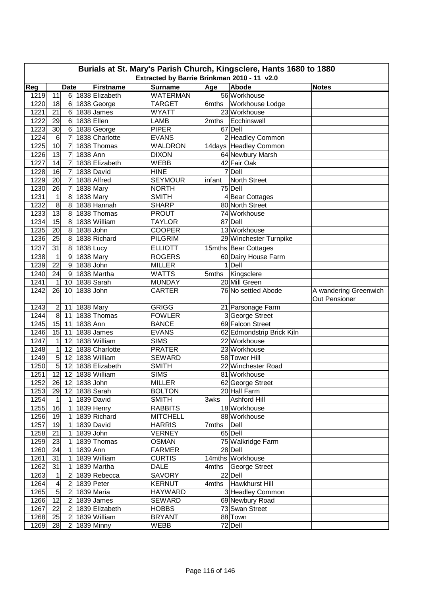| Burials at St. Mary's Parish Church, Kingsclere, Hants 1680 to 1880 |                                             |                         |             |                        |                 |        |                           |                                               |  |  |  |  |
|---------------------------------------------------------------------|---------------------------------------------|-------------------------|-------------|------------------------|-----------------|--------|---------------------------|-----------------------------------------------|--|--|--|--|
|                                                                     | Extracted by Barrie Brinkman 2010 - 11 v2.0 |                         |             |                        |                 |        |                           |                                               |  |  |  |  |
| Reg                                                                 |                                             | <b>Date</b>             |             | <b>Firstname</b>       | <b>Surname</b>  | Age    | Abode                     | <b>Notes</b>                                  |  |  |  |  |
| 1219                                                                | 11                                          | 6 <sup>1</sup>          |             | 1838 Elizabeth         | <b>WATERMAN</b> |        | 56 Workhouse              |                                               |  |  |  |  |
| 1220                                                                | 18                                          | 6                       |             | 1838 George            | <b>TARGET</b>   | 6mths  | Workhouse Lodge           |                                               |  |  |  |  |
| 1221                                                                | 21                                          | 6                       |             | 1838 James             | <b>WYATT</b>    |        | 23 Workhouse              |                                               |  |  |  |  |
| 1222                                                                | 29                                          | $\,6$                   | 1838 Ellen  |                        | <b>LAMB</b>     | 2mths  | Ecchinswell               |                                               |  |  |  |  |
| 1223                                                                | 30                                          | 6                       |             | 1838 George            | <b>PIPER</b>    |        | 67 Dell                   |                                               |  |  |  |  |
| 1224                                                                | $\,6$                                       | $\overline{7}$          |             | 1838 Charlotte         | <b>EVANS</b>    |        | 2 Headley Common          |                                               |  |  |  |  |
| 1225                                                                | 10                                          | $\overline{7}$          |             | 1838 Thomas            | <b>WALDRON</b>  |        | 14days Headley Common     |                                               |  |  |  |  |
| 1226                                                                | 13                                          | $\overline{7}$          | 1838 Ann    |                        | <b>DIXON</b>    |        | 64 Newbury Marsh          |                                               |  |  |  |  |
| 1227                                                                | 14                                          | 7                       |             | 1838 Elizabeth         | <b>WEBB</b>     |        | 42 Fair Oak               |                                               |  |  |  |  |
| 1228                                                                | 16                                          | $\overline{7}$          |             | 1838 David             | <b>HINE</b>     |        | 7 Dell                    |                                               |  |  |  |  |
| 1229                                                                | 20                                          | $\overline{7}$          |             | 1838 Alfred            | <b>SEYMOUR</b>  | infant | North Street              |                                               |  |  |  |  |
| 1230                                                                | 26                                          | $\overline{7}$          |             | $\overline{18}38$ Mary | <b>NORTH</b>    |        | 75 Dell                   |                                               |  |  |  |  |
| 1231                                                                | 1                                           | 8                       | $1838$ Mary |                        | <b>SMITH</b>    |        | 4 Bear Cottages           |                                               |  |  |  |  |
| 1232                                                                | $\overline{8}$                              | 8                       |             | 1838 Hannah            | <b>SHARP</b>    |        | 80 North Street           |                                               |  |  |  |  |
| 1233                                                                | 13                                          | 8                       |             | 1838 Thomas            | <b>PROUT</b>    |        | 74 Workhouse              |                                               |  |  |  |  |
| 1234                                                                | 15                                          | 8                       |             | 1838 William           | <b>TAYLOR</b>   |        | 87 Dell                   |                                               |  |  |  |  |
| 1235                                                                | 20                                          | 8                       | 1838 John   |                        | <b>COOPER</b>   |        | 13 Workhouse              |                                               |  |  |  |  |
| 1236                                                                | 25                                          | 8                       |             | 1838 Richard           | <b>PILGRIM</b>  |        | 29 Winchester Turnpike    |                                               |  |  |  |  |
| 1237                                                                | 31                                          | 8                       | 1838 Lucy   |                        | <b>ELLIOTT</b>  |        | 15mths Bear Cottages      |                                               |  |  |  |  |
| 1238                                                                | $\mathbf 1$                                 | 9                       |             | 1838 Mary              | <b>ROGERS</b>   |        | 60 Dairy House Farm       |                                               |  |  |  |  |
| 1239                                                                | 22                                          | 9                       | 1838 John   |                        | <b>MILLER</b>   |        | $\overline{1}$ Dell       |                                               |  |  |  |  |
| 1240                                                                | 24                                          | 9                       |             | 1838 Martha            | <b>WATTS</b>    | 5mths  | Kingsclere                |                                               |  |  |  |  |
| 1241                                                                | 1                                           | 10                      |             | 1838 Sarah             | <b>MUNDAY</b>   |        | 20 Mill Green             |                                               |  |  |  |  |
| 1242                                                                | 26                                          | 10                      | 1838 John   |                        | <b>CARTER</b>   |        | 76 No settled Abode       | A wandering Greenwich<br><b>Out Pensioner</b> |  |  |  |  |
| 1243                                                                | $\overline{2}$                              | 11                      | 1838 Mary   |                        | <b>GRIGG</b>    |        | 21 Parsonage Farm         |                                               |  |  |  |  |
| 1244                                                                | $\overline{8}$                              | 11                      |             | 1838 Thomas            | <b>FOWLER</b>   |        | 3 George Street           |                                               |  |  |  |  |
| 1245                                                                | 15                                          | 11                      | 1838 Ann    |                        | <b>BANCE</b>    |        | 69 Falcon Street          |                                               |  |  |  |  |
| 1246                                                                | 15                                          | 11                      |             | 1838 James             | <b>EVANS</b>    |        | 62 Edmondstrip Brick Kiln |                                               |  |  |  |  |
| 1247                                                                | 1                                           | 12                      |             | 1838 William           | <b>SIMS</b>     |        | 22 Workhouse              |                                               |  |  |  |  |
| 1248                                                                | $\mathbf 1$                                 | 12                      |             | 1838 Charlotte         | <b>PRATER</b>   |        | 23 Workhouse              |                                               |  |  |  |  |
| 1249                                                                | $\sqrt{5}$                                  | 12                      |             | 1838 William           | <b>SEWARD</b>   |        | 58 Tower Hill             |                                               |  |  |  |  |
| 1250                                                                | $\overline{5}$                              | 12                      |             | 1838 Elizabeth         | <b>SMITH</b>    |        | 22 Winchester Road        |                                               |  |  |  |  |
| 1251                                                                | 12                                          | 12                      |             | 1838 William           | <b>SIMS</b>     |        | 81 Workhouse              |                                               |  |  |  |  |
| 1252                                                                | $26$ 12                                     |                         | 1838 John   |                        | <b>MILLER</b>   |        | 62 George Street          |                                               |  |  |  |  |
| 1253                                                                | 29                                          | 12                      |             | 1838 Sarah             | <b>BOLTON</b>   |        | 20 Hall Farm              |                                               |  |  |  |  |
| 1254                                                                | 1                                           | 1                       |             | 1839 David             | <b>SMITH</b>    | 3wks   | Ashford Hill              |                                               |  |  |  |  |
| 1255                                                                | 16                                          | 1                       |             | 1839 Henry             | <b>RABBITS</b>  |        | 18 Workhouse              |                                               |  |  |  |  |
| 1256                                                                | 19                                          | 1                       |             | 1839 Richard           | <b>MITCHELL</b> |        | 88 Workhouse              |                                               |  |  |  |  |
| 1257                                                                | 19                                          | 1                       |             | 1839 David             | <b>HARRIS</b>   | 7mths  | Dell                      |                                               |  |  |  |  |
| 1258                                                                | $\overline{21}$                             | 1                       | 1839 John   |                        | <b>VERNEY</b>   |        | 65 Dell                   |                                               |  |  |  |  |
| 1259                                                                | 23                                          | 1                       |             | 1839 Thomas            | <b>OSMAN</b>    |        | 75 Walkridge Farm         |                                               |  |  |  |  |
| 1260                                                                | 24                                          | 1                       | 1839 Ann    |                        | <b>FARMER</b>   |        | 28 Dell                   |                                               |  |  |  |  |
| 1261                                                                | 31                                          | 1                       |             | 1839 William           | <b>CURTIS</b>   |        | 14mths Workhouse          |                                               |  |  |  |  |
| 1262                                                                | 31                                          | 1                       |             | 1839 Martha            | DALE            | 4mths  | George Street             |                                               |  |  |  |  |
| 1263                                                                | 1                                           | 2                       |             | 1839 Rebecca           | <b>SAVORY</b>   |        | 22 Dell                   |                                               |  |  |  |  |
| 1264                                                                | 4                                           | $\boldsymbol{2}$        |             | 1839 Peter             | <b>KERNUT</b>   | 4mths  | Hawkhurst Hill            |                                               |  |  |  |  |
| 1265                                                                | $\overline{5}$                              | $\overline{\mathbf{c}}$ |             | 1839 Maria             | <b>HAYWARD</b>  |        | 3 Headley Common          |                                               |  |  |  |  |
| 1266                                                                | $\overline{12}$                             | $\boldsymbol{2}$        |             | 1839 James             | <b>SEWARD</b>   |        | 69 Newbury Road           |                                               |  |  |  |  |
| 1267                                                                | 22                                          | $\overline{2}$          |             | 1839 Elizabeth         | <b>HOBBS</b>    |        | 73 Swan Street            |                                               |  |  |  |  |
| 1268                                                                | 25                                          | $\overline{2}$          |             | 1839 William           | <b>BRYANT</b>   |        | 88 Town                   |                                               |  |  |  |  |
| 1269                                                                | 28                                          |                         |             | 2 1839 Minny           | <b>WEBB</b>     |        | 72 Dell                   |                                               |  |  |  |  |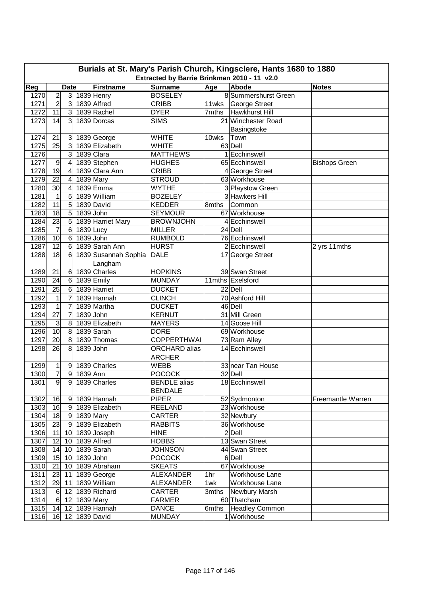|      | Burials at St. Mary's Parish Church, Kingsclere, Hants 1680 to 1880<br>Extracted by Barrie Brinkman 2010 - 11 v2.0 |                         |             |                      |                     |       |                       |                      |  |  |  |  |
|------|--------------------------------------------------------------------------------------------------------------------|-------------------------|-------------|----------------------|---------------------|-------|-----------------------|----------------------|--|--|--|--|
| Reg  |                                                                                                                    | <b>Date</b>             |             | <b>Firstname</b>     | <b>Surname</b>      | Age   | Abode                 | <b>Notes</b>         |  |  |  |  |
| 1270 | $\overline{c}$                                                                                                     | 3 <sup>1</sup>          |             | 1839 Henry           | <b>BOSELEY</b>      |       | 8 Summershurst Green  |                      |  |  |  |  |
| 1271 | $\overline{2}$                                                                                                     | 3 <sup>l</sup>          |             | 1839 Alfred          | <b>CRIBB</b>        | 11wks | George Street         |                      |  |  |  |  |
| 1272 | 11                                                                                                                 | 3 <sup>l</sup>          |             | 1839 Rachel          | <b>DYER</b>         | 7mths | <b>Hawkhurst Hill</b> |                      |  |  |  |  |
| 1273 | 14                                                                                                                 | 3                       |             | 1839 Dorcas          | <b>SIMS</b>         |       | 21 Winchester Road    |                      |  |  |  |  |
|      |                                                                                                                    |                         |             |                      |                     |       | Basingstoke           |                      |  |  |  |  |
| 1274 | 21                                                                                                                 | 3                       |             | 1839 George          | <b>WHITE</b>        | 10wks | Town                  |                      |  |  |  |  |
| 1275 | 25                                                                                                                 | 3                       |             | 1839 Elizabeth       | <b>WHITE</b>        |       | 63 Dell               |                      |  |  |  |  |
| 1276 |                                                                                                                    | 3                       |             | 1839 Clara           | <b>MATTHEWS</b>     |       | 1 Ecchinswell         |                      |  |  |  |  |
| 1277 | 9                                                                                                                  | 4                       |             | 1839 Stephen         | <b>HUGHES</b>       |       | 65 Ecchinswell        | <b>Bishops Green</b> |  |  |  |  |
| 1278 | 19                                                                                                                 | 4                       |             | 1839 Clara Ann       | <b>CRIBB</b>        |       | 4 George Street       |                      |  |  |  |  |
| 1279 | $\overline{22}$                                                                                                    | $\overline{4}$          |             | 1839 Mary            | <b>STROUD</b>       |       | 63 Workhouse          |                      |  |  |  |  |
| 1280 | 30                                                                                                                 | $\overline{\mathbf{4}}$ |             | 1839 Emma            | <b>WYTHE</b>        |       | 3 Playstow Green      |                      |  |  |  |  |
| 1281 | $\mathbf{1}$                                                                                                       | 5                       |             | 1839 William         | <b>BOZELEY</b>      |       | 3 Hawkers Hill        |                      |  |  |  |  |
| 1282 | 11                                                                                                                 | 5                       |             | 1839 David           | <b>KEDDER</b>       | 8mths | Common                |                      |  |  |  |  |
| 1283 | 18                                                                                                                 | 5                       |             | 1839 John            | <b>SEYMOUR</b>      |       | 67 Workhouse          |                      |  |  |  |  |
| 1284 | $\overline{23}$                                                                                                    | $\overline{5}$          |             | 1839 Harriet Mary    | <b>BROWNJOHN</b>    |       | 4 Ecchinswell         |                      |  |  |  |  |
| 1285 | $\overline{7}$                                                                                                     | $\,6$                   | 1839 Lucy   |                      | <b>MILLER</b>       |       | 24 Dell               |                      |  |  |  |  |
| 1286 | 10                                                                                                                 | $\,6$                   |             | 1839 John            | <b>RUMBOLD</b>      |       | 76 Ecchinswell        |                      |  |  |  |  |
| 1287 | $\overline{12}$                                                                                                    | 6                       |             | 1839 Sarah Ann       | <b>HURST</b>        |       | 2 Ecchinswell         | 2 yrs 11mths         |  |  |  |  |
| 1288 | 18                                                                                                                 | 6                       |             | 1839 Susannah Sophia | <b>DALE</b>         |       | 17 George Street      |                      |  |  |  |  |
|      |                                                                                                                    |                         |             | Langham              |                     |       |                       |                      |  |  |  |  |
| 1289 | 21                                                                                                                 | $6 \overline{6}$        |             | 1839 Charles         | <b>HOPKINS</b>      |       | 39 Swan Street        |                      |  |  |  |  |
| 1290 | 24                                                                                                                 | 6                       |             | 1839 Emily           | <b>MUNDAY</b>       |       | 11mths Exelsford      |                      |  |  |  |  |
|      |                                                                                                                    |                         |             |                      |                     |       |                       |                      |  |  |  |  |
| 1291 | 25                                                                                                                 | 6                       |             | 1839 Harriet         | <b>DUCKET</b>       |       | 22 Dell               |                      |  |  |  |  |
| 1292 | $\mathbf{1}$                                                                                                       | $\overline{7}$          |             | 1839 Hannah          | <b>CLINCH</b>       |       | 70 Ashford Hill       |                      |  |  |  |  |
| 1293 | $\mathbf{1}$                                                                                                       | $\overline{7}$          |             | 1839 Martha          | <b>DUCKET</b>       |       | 46 Dell               |                      |  |  |  |  |
| 1294 | 27                                                                                                                 | $\overline{7}$          | 1839 John   |                      | <b>KERNUT</b>       |       | 31 Mill Green         |                      |  |  |  |  |
| 1295 | 3                                                                                                                  | 8                       |             | 1839 Elizabeth       | <b>MAYERS</b>       |       | 14 Goose Hill         |                      |  |  |  |  |
| 1296 | 10                                                                                                                 | 8                       |             | 1839 Sarah           | <b>DORE</b>         |       | 69 Workhouse          |                      |  |  |  |  |
| 1297 | 20                                                                                                                 | 8                       |             | 1839 Thomas          | <b>COPPERTHWAI</b>  |       | 73 Ram Alley          |                      |  |  |  |  |
| 1298 | 26                                                                                                                 | 8                       | 1839 John   |                      | ORCHARD alias       |       | 14 Ecchinswell        |                      |  |  |  |  |
|      |                                                                                                                    |                         |             |                      | <b>ARCHER</b>       |       |                       |                      |  |  |  |  |
| 1299 | 1                                                                                                                  | 9                       |             | 1839 Charles         | <b>WEBB</b>         |       | 33 near Tan House     |                      |  |  |  |  |
| 1300 | $\overline{7}$                                                                                                     | 9                       | 1839 Ann    |                      | <b>POCOCK</b>       |       | 32 Dell               |                      |  |  |  |  |
| 1301 | $\overline{9}$                                                                                                     | 9                       |             | 1839 Charles         | <b>BENDLE</b> alias |       | 18 Ecchinswell        |                      |  |  |  |  |
|      |                                                                                                                    |                         |             |                      | <b>BENDALE</b>      |       |                       |                      |  |  |  |  |
| 1302 | 16                                                                                                                 | 9                       |             | 1839 Hannah          | <b>PIPER</b>        |       | 52 Sydmonton          | Freemantle Warren    |  |  |  |  |
| 1303 | 16                                                                                                                 | 9                       |             | 1839 Elizabeth       | <b>REELAND</b>      |       | 23 Workhouse          |                      |  |  |  |  |
| 1304 | 18                                                                                                                 |                         | 9 1839 Mary |                      | <b>CARTER</b>       |       | 32 Newbury            |                      |  |  |  |  |
| 1305 | 23                                                                                                                 | 9                       |             | 1839 Elizabeth       | <b>RABBITS</b>      |       | 36 Workhouse          |                      |  |  |  |  |
| 1306 | 11                                                                                                                 | 10                      |             | 1839 Joseph          | <b>HINE</b>         |       | $2$ Dell              |                      |  |  |  |  |
| 1307 | 12                                                                                                                 | 10                      |             | 1839 Alfred          | <b>HOBBS</b>        |       | 13 Swan Street        |                      |  |  |  |  |
| 1308 | 14                                                                                                                 | 10                      |             | 1839 Sarah           | <b>JOHNSON</b>      |       | 44 Swan Street        |                      |  |  |  |  |
| 1309 | 15                                                                                                                 | 10                      | 1839 John   |                      | <b>POCOCK</b>       |       | $6$ Dell              |                      |  |  |  |  |
| 1310 | 21                                                                                                                 | 10                      |             | 1839 Abraham         | <b>SKEATS</b>       |       | 67 Workhouse          |                      |  |  |  |  |
| 1311 | 23                                                                                                                 | 11                      |             | 1839 George          | <b>ALEXANDER</b>    | 1hr   | Workhouse Lane        |                      |  |  |  |  |
| 1312 | 29                                                                                                                 | 11                      |             | 1839 William         | <b>ALEXANDER</b>    | 1wk   | Workhouse Lane        |                      |  |  |  |  |
| 1313 | $6 \mid$                                                                                                           | 12                      |             | 1839 Richard         | CARTER              | 3mths | Newbury Marsh         |                      |  |  |  |  |
| 1314 | $6 \mid$                                                                                                           | 12                      | 1839 Mary   |                      | <b>FARMER</b>       |       | 60 Thatcham           |                      |  |  |  |  |
| 1315 | 14                                                                                                                 | 12                      |             | 1839 Hannah          | <b>DANCE</b>        | 6mths | <b>Headley Common</b> |                      |  |  |  |  |
| 1316 | 16                                                                                                                 | 12                      |             | 1839 David           | <b>MUNDAY</b>       |       | 1 Workhouse           |                      |  |  |  |  |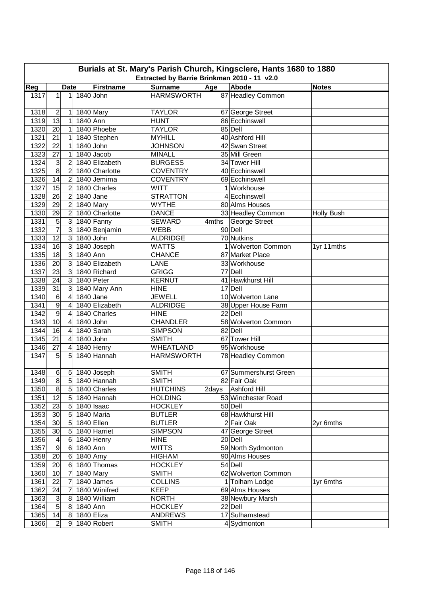|      | Burials at St. Mary's Parish Church, Kingsclere, Hants 1680 to 1880<br>Extracted by Barrie Brinkman 2010 - 11 v2.0 |                |             |                            |                   |          |                       |                   |  |  |  |  |
|------|--------------------------------------------------------------------------------------------------------------------|----------------|-------------|----------------------------|-------------------|----------|-----------------------|-------------------|--|--|--|--|
| Reg  |                                                                                                                    | <b>Date</b>    |             | <b>Firstname</b>           | <b>Surname</b>    | Age      | <b>Abode</b>          | <b>Notes</b>      |  |  |  |  |
| 1317 | 1                                                                                                                  | $\mathbf{1}$   | 1840 John   |                            | <b>HARMSWORTH</b> |          | 87 Headley Common     |                   |  |  |  |  |
| 1318 | 2                                                                                                                  | 1              |             | 1840 Mary                  | <b>TAYLOR</b>     |          | 67 George Street      |                   |  |  |  |  |
| 1319 | 13                                                                                                                 | 1              | 1840 Ann    |                            | <b>HUNT</b>       |          | 86 Ecchinswell        |                   |  |  |  |  |
| 1320 | 20                                                                                                                 | 1              |             | 1840 Phoebe                | <b>TAYLOR</b>     |          | 85 Dell               |                   |  |  |  |  |
| 1321 | 21                                                                                                                 | 1              |             | 1840 Stephen               | <b>MYHILL</b>     |          | 40 Ashford Hill       |                   |  |  |  |  |
| 1322 | $\overline{22}$                                                                                                    | 1              | 1840 John   |                            | <b>JOHNSON</b>    |          | 42 Swan Street        |                   |  |  |  |  |
| 1323 | $\overline{27}$                                                                                                    | 1              |             | 1840 Jacob                 | <b>MINALL</b>     |          | 35 Mill Green         |                   |  |  |  |  |
| 1324 | 3                                                                                                                  | $\overline{2}$ |             | 1840 Elizabeth             | <b>BURGESS</b>    |          | 34 Tower Hill         |                   |  |  |  |  |
| 1325 | 8                                                                                                                  | $\overline{2}$ |             | 1840 Charlotte             | <b>COVENTRY</b>   |          | 40 Ecchinswell        |                   |  |  |  |  |
| 1326 | 14                                                                                                                 | $\overline{c}$ |             | 1840 Jemima                | <b>COVENTRY</b>   |          | 69 Ecchinswell        |                   |  |  |  |  |
| 1327 | $\overline{15}$                                                                                                    | $\overline{2}$ |             | 1840 Charles               | <b>WITT</b>       |          | 1 Workhouse           |                   |  |  |  |  |
| 1328 | 26                                                                                                                 | $\overline{c}$ | 1840 Jane   |                            | <b>STRATTON</b>   |          | 4 Ecchinswell         |                   |  |  |  |  |
| 1329 | 29                                                                                                                 | $\overline{2}$ |             | 1840 Mary                  | <b>WYTHE</b>      |          | 80 Alms Houses        |                   |  |  |  |  |
| 1330 | 29                                                                                                                 | $\overline{2}$ |             | 1840 Charlotte             | <b>DANCE</b>      |          | 33 Headley Common     | <b>Holly Bush</b> |  |  |  |  |
| 1331 | $\overline{5}$                                                                                                     | 3              |             | 1840 Fanny                 | <b>SEWARD</b>     | $4$ mths | <b>George Street</b>  |                   |  |  |  |  |
| 1332 | $\overline{7}$                                                                                                     | 3              |             | 1840 Benjamin              | <b>WEBB</b>       |          | 90 Dell               |                   |  |  |  |  |
| 1333 | $\overline{12}$                                                                                                    | 3              | 1840 John   |                            | <b>ALDRIDGE</b>   |          | 70 Nutkins            |                   |  |  |  |  |
| 1334 | 16                                                                                                                 | ω              |             | 1840 Joseph                | <b>WATTS</b>      |          | 1 Wolverton Common    | 1yr 11mths        |  |  |  |  |
| 1335 | 18                                                                                                                 | 3              | 1840 Ann    |                            | <b>CHANCE</b>     |          | 87 Market Place       |                   |  |  |  |  |
| 1336 | 20                                                                                                                 | $\overline{3}$ |             | 1840 Elizabeth             | LANE              |          | 33 Workhouse          |                   |  |  |  |  |
| 1337 | 23                                                                                                                 | $\overline{3}$ |             | 1840 Richard               | <b>GRIGG</b>      |          | 77 Dell               |                   |  |  |  |  |
| 1338 | 24                                                                                                                 | $\overline{3}$ |             | 1840 Peter                 | <b>KERNUT</b>     |          | 41 Hawkhurst Hill     |                   |  |  |  |  |
| 1339 | 31                                                                                                                 | 3              |             | 1840 Mary Ann              | <b>HINE</b>       |          | 17 Dell               |                   |  |  |  |  |
| 1340 | 6                                                                                                                  | 4              | $1840$ Jane |                            | <b>JEWELL</b>     |          | 10 Wolverton Lane     |                   |  |  |  |  |
| 1341 | $\overline{9}$                                                                                                     | 4              |             | 1840 Elizabeth             | <b>ALDRIDGE</b>   |          | 38 Upper House Farm   |                   |  |  |  |  |
| 1342 | 9                                                                                                                  | 4              |             | 1840 Charles               | <b>HINE</b>       |          | 22 Dell               |                   |  |  |  |  |
| 1343 | 10                                                                                                                 | 4              | 1840 John   |                            | <b>CHANDLER</b>   |          | 58 Wolverton Common   |                   |  |  |  |  |
| 1344 | 16                                                                                                                 | 4              |             | 1840 Sarah                 | <b>SIMPSON</b>    |          | 82 Dell               |                   |  |  |  |  |
| 1345 | 21                                                                                                                 | 4              | 1840 John   |                            | <b>SMITH</b>      |          | 67 Tower Hill         |                   |  |  |  |  |
| 1346 | 27                                                                                                                 | 4              |             | 1840 Henry                 | <b>WHEATLAND</b>  |          | 95 Workhouse          |                   |  |  |  |  |
| 1347 | 5                                                                                                                  | 5              |             | 1840 Hannah                | <b>HARMSWORTH</b> |          | 78 Headley Common     |                   |  |  |  |  |
| 1348 | 6                                                                                                                  |                |             | $\overline{5}$ 1840 Joseph | <b>SMITH</b>      |          | 67 Summershurst Green |                   |  |  |  |  |
| 1349 | $\overline{8}$                                                                                                     | 5              |             | 1840 Hannah                | <b>SMITH</b>      |          | 82 Fair Oak           |                   |  |  |  |  |
| 1350 | 8                                                                                                                  |                |             | 5 1840 Charles             | <b>HUTCHINS</b>   |          | 2days Ashford Hill    |                   |  |  |  |  |
| 1351 | 12                                                                                                                 |                |             | 5 1840 Hannah              | <b>HOLDING</b>    |          | 53 Winchester Road    |                   |  |  |  |  |
| 1352 | 23                                                                                                                 |                |             | 5 1840 Isaac               | <b>HOCKLEY</b>    |          | 50 Dell               |                   |  |  |  |  |
| 1353 | 30                                                                                                                 |                |             | 5 1840 Maria               | <b>BUTLER</b>     |          | 68 Hawkhurst Hill     |                   |  |  |  |  |
| 1354 | 30 <sub>o</sub>                                                                                                    | 5 <sup>1</sup> |             | 1840 Ellen                 | <b>BUTLER</b>     |          | 2 Fair Oak            | 2yr 6mths         |  |  |  |  |
| 1355 | 30                                                                                                                 | 5              |             | 1840 Harriet               | <b>SIMPSON</b>    |          | 47 George Street      |                   |  |  |  |  |
| 1356 | $\overline{4}$                                                                                                     |                |             | 6 1840 Henry               | <b>HINE</b>       |          | 20 Dell               |                   |  |  |  |  |
| 1357 | $\boldsymbol{9}$                                                                                                   | 6 <sup>1</sup> | 1840 Ann    |                            | WITTS             |          | 59 North Sydmonton    |                   |  |  |  |  |
| 1358 | 20                                                                                                                 |                | 6 1840 Amy  |                            | <b>HIGHAM</b>     |          | 90 Alms Houses        |                   |  |  |  |  |
| 1359 | 20                                                                                                                 |                |             | 6 1840 Thomas              | <b>HOCKLEY</b>    |          | 54 Dell               |                   |  |  |  |  |
| 1360 | 10                                                                                                                 | 7              |             | 1840 Mary                  | SMITH             |          | 62 Wolverton Common   |                   |  |  |  |  |
| 1361 | 22                                                                                                                 | 7              |             | 1840 James                 | <b>COLLINS</b>    |          | 1 Tolham Lodge        | 1yr 6mths         |  |  |  |  |
| 1362 | 24                                                                                                                 | 7              |             | 1840 Winifred              | <b>KEEP</b>       |          | 69 Alms Houses        |                   |  |  |  |  |
| 1363 | 3                                                                                                                  | 8              |             | 1840 William               | <b>NORTH</b>      |          | 38 Newbury Marsh      |                   |  |  |  |  |
| 1364 | 5                                                                                                                  | 8              | 1840 Ann    |                            | <b>HOCKLEY</b>    |          | 22 Dell               |                   |  |  |  |  |
| 1365 | 14                                                                                                                 | 8              |             | 1840 Eliza                 | <b>ANDREWS</b>    |          | 17 Sulhamstead        |                   |  |  |  |  |
| 1366 | $\overline{2}$                                                                                                     | 9              |             | 1840 Robert                | <b>SMITH</b>      |          | 4 Sydmonton           |                   |  |  |  |  |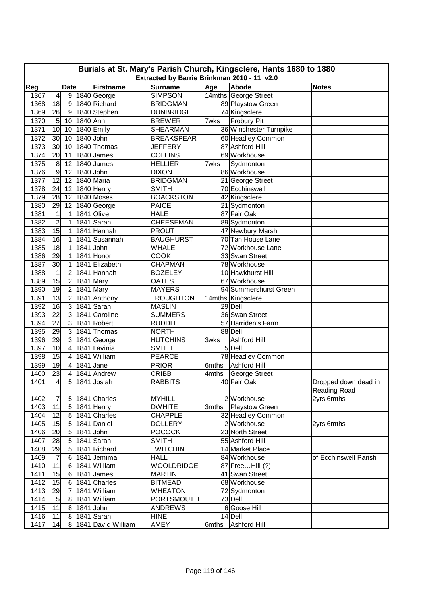| Burials at St. Mary's Parish Church, Kingsclere, Hants 1680 to 1880 |                                             |                  |             |                    |                   |       |                                    |                       |  |  |  |  |  |
|---------------------------------------------------------------------|---------------------------------------------|------------------|-------------|--------------------|-------------------|-------|------------------------------------|-----------------------|--|--|--|--|--|
|                                                                     | Extracted by Barrie Brinkman 2010 - 11 v2.0 |                  |             |                    |                   |       |                                    |                       |  |  |  |  |  |
| Reg                                                                 |                                             | <b>Date</b>      |             | <b>Firstname</b>   | <b>Surname</b>    | Age   | <b>Abode</b>                       | <b>Notes</b>          |  |  |  |  |  |
| 1367                                                                | $\overline{\mathbf{4}}$                     | 9                |             | 1840 George        | <b>SIMPSON</b>    |       | 14mths George Street               |                       |  |  |  |  |  |
| 1368                                                                | 18                                          | $9\,$            |             | 1840 Richard       | <b>BRIDGMAN</b>   |       | 89 Playstow Green                  |                       |  |  |  |  |  |
| 1369                                                                | 26                                          | 9                |             | 1840 Stephen       | <b>DUNBRIDGE</b>  |       | 74 Kingsclere                      |                       |  |  |  |  |  |
| 1370                                                                | $\overline{5}$                              | 10 <sup>1</sup>  | $1840$ Ann  |                    | <b>BREWER</b>     | 7wks  | <b>Frobury Pit</b>                 |                       |  |  |  |  |  |
| 1371                                                                | 10                                          | 10               |             | 1840 Emily         | <b>SHEARMAN</b>   |       | 36 Winchester Turnpike             |                       |  |  |  |  |  |
| 1372                                                                | 30                                          | 10               | 1840 John   |                    | <b>BREAKSPEAR</b> |       | 60 Headley Common                  |                       |  |  |  |  |  |
| 1373                                                                | 30                                          | 10               |             | 1840 Thomas        | <b>JEFFERY</b>    |       | 87 Ashford Hill                    |                       |  |  |  |  |  |
| 1374                                                                | 20                                          | 11               |             | 1840 James         | <b>COLLINS</b>    |       | 69 Workhouse                       |                       |  |  |  |  |  |
| 1375                                                                | 8                                           | 12               |             | 1840 James         | <b>HELLIER</b>    | 7wks  | Sydmonton                          |                       |  |  |  |  |  |
| 1376                                                                | 9                                           | 12               | 1840 John   |                    | <b>DIXON</b>      |       | 86 Workhouse                       |                       |  |  |  |  |  |
| 1377                                                                | 12                                          | 12               |             | 1840 Maria         | <b>BRIDGMAN</b>   |       | 21 George Street                   |                       |  |  |  |  |  |
| 1378                                                                | 24                                          | 12               |             | 1840 Henry         | <b>SMITH</b>      |       | 70 Ecchinswell                     |                       |  |  |  |  |  |
| 1379                                                                | 28                                          | 12               |             | 1840 Moses         | <b>BOACKSTON</b>  |       | 42 Kingsclere                      |                       |  |  |  |  |  |
| 1380                                                                | 29                                          | 12               |             | 1840 George        | <b>PAICE</b>      |       | 21 Sydmonton                       |                       |  |  |  |  |  |
| 1381                                                                | $\mathbf 1$                                 | 1                |             | 1841 Olive         | <b>HALE</b>       |       | 87 Fair Oak                        |                       |  |  |  |  |  |
| 1382                                                                | $\overline{2}$                              | 1                |             | 1841 Sarah         | <b>CHEESEMAN</b>  |       | 89 Sydmonton                       |                       |  |  |  |  |  |
| 1383                                                                | 15                                          | $\mathbf 1$      |             | $1841$ Hannah      | <b>PROUT</b>      |       | 47 Newbury Marsh                   |                       |  |  |  |  |  |
| 1384                                                                | 16                                          | 1                |             | 1841 Susannah      | <b>BAUGHURST</b>  |       | 70 Tan House Lane                  |                       |  |  |  |  |  |
| 1385                                                                | 18                                          | 1                | 1841 John   |                    | <b>WHALE</b>      |       | 72 Workhouse Lane                  |                       |  |  |  |  |  |
| 1386                                                                | 29                                          | 1                |             | 1841 Honor         | <b>COOK</b>       |       | 33 Swan Street                     |                       |  |  |  |  |  |
| 1387                                                                | 30                                          | 1                |             | 1841 Elizabeth     | <b>CHAPMAN</b>    |       | 78 Workhouse                       |                       |  |  |  |  |  |
| 1388                                                                | 1                                           | 2                |             | 1841 Hannah        | <b>BOZELEY</b>    |       | 10 Hawkhurst Hill                  |                       |  |  |  |  |  |
| 1389                                                                | 15                                          | 2                |             | 1841 Mary          | <b>OATES</b>      |       | 67 Workhouse                       |                       |  |  |  |  |  |
| 1390                                                                | 19                                          | 2                |             | 1841 Mary          | <b>MAYERS</b>     |       | 94 Summershurst Green              |                       |  |  |  |  |  |
| 1391                                                                | 13                                          | $\overline{2}$   |             | 1841 Anthony       | <b>TROUGHTON</b>  |       | 14mths Kingsclere                  |                       |  |  |  |  |  |
| 1392                                                                | 16                                          | 3                |             | 1841 Sarah         | <b>MASLIN</b>     |       | 29 Dell                            |                       |  |  |  |  |  |
| 1393                                                                | 22                                          | 3                |             | 1841 Caroline      | <b>SUMMERS</b>    |       | 36 Swan Street                     |                       |  |  |  |  |  |
| 1394                                                                | 27                                          | 3                |             | 1841 Robert        | <b>RUDDLE</b>     |       | 57 Harriden's Farm                 |                       |  |  |  |  |  |
| 1395                                                                | 29                                          | 3                |             | 1841 Thomas        | <b>NORTH</b>      |       | 88 Dell                            |                       |  |  |  |  |  |
| 1396                                                                | 29                                          | 3                |             | 1841 George        | <b>HUTCHINS</b>   | 3wks  | <b>Ashford Hill</b>                |                       |  |  |  |  |  |
| 1397                                                                | 10                                          | 4                |             | 1841 Lavinia       | <b>SMITH</b>      |       | 5 Dell                             |                       |  |  |  |  |  |
| 1398                                                                | 15                                          | 4                |             | 1841 William       | <b>PEARCE</b>     |       | 78 Headley Common                  |                       |  |  |  |  |  |
| 1399                                                                | 19                                          | $\overline{4}$   | $1841$ Jane |                    | <b>PRIOR</b>      | 6mths | Ashford Hill                       |                       |  |  |  |  |  |
| 1400                                                                | 23                                          | $\overline{4}$   |             | 1841 Andrew        | <b>CRIBB</b>      | 4mths | George Street                      |                       |  |  |  |  |  |
| 1401                                                                | $\overline{4}$                              | $\overline{5}$   |             | 1841 Josiah        | <b>RABBITS</b>    |       | 40 Fair Oak                        | Dropped down dead in  |  |  |  |  |  |
|                                                                     |                                             |                  |             |                    |                   |       |                                    | Reading Road          |  |  |  |  |  |
| 1402                                                                | 7                                           | 5 <sub>l</sub>   |             | 1841 Charles       | <b>MYHILL</b>     |       | 2 Workhouse                        | 2yrs 6mths            |  |  |  |  |  |
| 1403                                                                | 11                                          | 5 <sup>1</sup>   |             | 1841 Henry         | <b>DWHITE</b>     | 3mths | Playstow Green                     |                       |  |  |  |  |  |
| 1404                                                                | $\overline{12}$                             | $\overline{5}$   |             | 1841 Charles       | <b>CHAPPLE</b>    |       | 32 Headley Common                  |                       |  |  |  |  |  |
| 1405                                                                | 15                                          | 5                |             | 1841 Daniel        | <b>DOLLERY</b>    |       | 2 Workhouse                        | 2yrs 6mths            |  |  |  |  |  |
|                                                                     | 20                                          | $\overline{5}$   |             | 1841 John          | <b>POCOCK</b>     |       | 23 North Street                    |                       |  |  |  |  |  |
| 1406                                                                |                                             | $\overline{5}$   |             | 1841 Sarah         |                   |       |                                    |                       |  |  |  |  |  |
| 1407                                                                | 28<br>29                                    | 5                |             |                    | <b>SMITH</b>      |       | 55 Ashford Hill<br>14 Market Place |                       |  |  |  |  |  |
| 1408                                                                |                                             |                  |             | 1841 Richard       | <b>TWITCHIN</b>   |       |                                    |                       |  |  |  |  |  |
| 1409                                                                | $\overline{7}$                              | 6                |             | 1841 Jemima        | <b>HALL</b>       |       | 84 Workhouse                       | of Ecchinswell Parish |  |  |  |  |  |
| 1410                                                                | 11                                          | $6 \overline{6}$ |             | 1841 William       | <b>WOOLDRIDGE</b> |       | 87 Free Hill (?)                   |                       |  |  |  |  |  |
| 1411                                                                | 15                                          | 6                |             | 1841 James         | <b>MARTIN</b>     |       | 41 Swan Street                     |                       |  |  |  |  |  |
| 1412                                                                | 15                                          | $\,6$            |             | 1841 Charles       | <b>BITMEAD</b>    |       | 68 Workhouse                       |                       |  |  |  |  |  |
| 1413                                                                | 29                                          | 7                |             | 1841 William       | <b>WHEATON</b>    |       | 72 Sydmonton                       |                       |  |  |  |  |  |
| 1414                                                                | 5                                           | $\bf 8$          |             | 1841 William       | <b>PORTSMOUTH</b> |       | 73 Dell                            |                       |  |  |  |  |  |
| 1415                                                                | 11                                          | $\bf 8$          | 1841 John   |                    | <b>ANDREWS</b>    |       | 6 Goose Hill                       |                       |  |  |  |  |  |
| 1416                                                                | 11                                          | $\boldsymbol{8}$ |             | $1841$ Sarah       | <b>HINE</b>       |       | 14 Dell                            |                       |  |  |  |  |  |
| 1417                                                                | 14                                          | 8 <sup>1</sup>   |             | 1841 David William | AMEY              | 6mths | Ashford Hill                       |                       |  |  |  |  |  |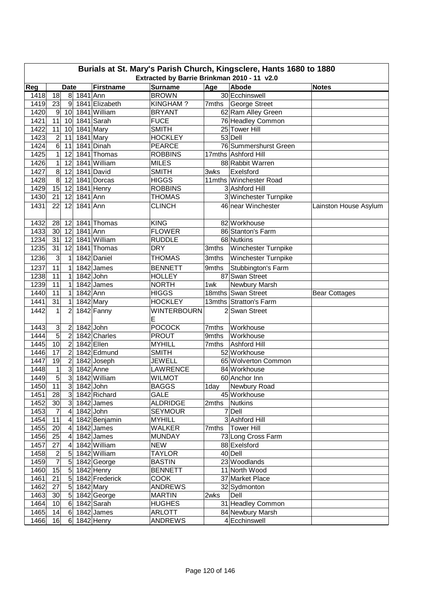|      | Burials at St. Mary's Parish Church, Kingsclere, Hants 1680 to 1880 |                         |             |                         |                    |            |                        |                       |  |  |  |  |
|------|---------------------------------------------------------------------|-------------------------|-------------|-------------------------|--------------------|------------|------------------------|-----------------------|--|--|--|--|
|      | Extracted by Barrie Brinkman 2010 - 11 v2.0<br><b>Date</b>          |                         |             |                         |                    |            |                        |                       |  |  |  |  |
| Reg  |                                                                     |                         |             | <b>Firstname</b>        | <b>Surname</b>     | <b>Age</b> | Abode                  | <b>Notes</b>          |  |  |  |  |
| 1418 | 18                                                                  | 8                       | 1841 Ann    |                         | <b>BROWN</b>       |            | 30 Ecchinswell         |                       |  |  |  |  |
| 1419 | 23                                                                  | 9                       |             | 1841 Elizabeth          | KINGHAM?           |            | 7mths George Street    |                       |  |  |  |  |
| 1420 | $9\,$                                                               | 10                      |             | 1841 William            | <b>BRYANT</b>      |            | 62 Ram Alley Green     |                       |  |  |  |  |
| 1421 | 11                                                                  | 10                      |             | 1841 Sarah              | <b>FUCE</b>        |            | 76 Headley Common      |                       |  |  |  |  |
| 1422 | 11                                                                  | 10                      |             | 1841 Mary               | <b>SMITH</b>       |            | 25 Tower Hill          |                       |  |  |  |  |
| 1423 | $\overline{c}$                                                      | 11                      |             | 1841 Mary<br>1841 Dinah | <b>HOCKLEY</b>     |            | 53 Dell                |                       |  |  |  |  |
| 1424 | $\,$ 6 $\,$                                                         | 11                      |             |                         | <b>PEARCE</b>      |            | 76 Summershurst Green  |                       |  |  |  |  |
| 1425 | $\mathbf{1}$                                                        | 12                      |             | 1841 Thomas             | <b>ROBBINS</b>     |            | 17mths Ashford Hill    |                       |  |  |  |  |
| 1426 | $\mathbf{1}$                                                        | 12                      |             | 1841 William            | <b>MILES</b>       |            | 88 Rabbit Warren       |                       |  |  |  |  |
| 1427 | $\overline{8}$                                                      | 12                      |             | 1841 David              | <b>SMITH</b>       | 3wks       | Exelsford              |                       |  |  |  |  |
| 1428 | $\infty$                                                            | 12                      |             | 1841 Dorcas             | <b>HIGGS</b>       |            | 11mths Winchester Road |                       |  |  |  |  |
| 1429 | 15                                                                  | 12                      |             | 1841 Henry              | <b>ROBBINS</b>     |            | 3 Ashford Hill         |                       |  |  |  |  |
| 1430 | 21                                                                  | 12                      | 1841 Ann    |                         | <b>THOMAS</b>      |            | 3 Winchester Turnpike  |                       |  |  |  |  |
| 1431 | 22                                                                  | 12                      | 1841 Ann    |                         | <b>CLINCH</b>      |            | 46 near Winchester     | Lainston House Asylum |  |  |  |  |
| 1432 | 28                                                                  | 12                      |             | 1841 Thomas             | <b>KING</b>        |            | 82 Workhouse           |                       |  |  |  |  |
| 1433 | 30                                                                  | 12                      | 1841 Ann    |                         | <b>FLOWER</b>      |            | 86 Stanton's Farm      |                       |  |  |  |  |
| 1234 | 31                                                                  | 12                      |             | 1841 William            | <b>RUDDLE</b>      |            | 68 Nutkins             |                       |  |  |  |  |
| 1235 | 31                                                                  | 12                      |             | 1841 Thomas             | <b>DRY</b>         | 3mths      | Winchester Turnpike    |                       |  |  |  |  |
| 1236 | 3                                                                   | $\mathbf{1}$            |             | 1842 Daniel             | <b>THOMAS</b>      | 3mths      | Winchester Turnpike    |                       |  |  |  |  |
| 1237 | 11                                                                  | 1                       |             | 1842 James              | <b>BENNETT</b>     | 9mths      | Stubbington's Farm     |                       |  |  |  |  |
| 1238 | $\overline{11}$                                                     | 1                       | $1842$ John |                         | <b>HOLLEY</b>      |            | 87 Swan Street         |                       |  |  |  |  |
| 1239 | 11                                                                  | 1                       |             | 1842 James              | <b>NORTH</b>       | 1wk        | Newbury Marsh          |                       |  |  |  |  |
| 1440 | $\overline{11}$                                                     | $\mathbf{1}$            | 1842 Ann    |                         | <b>HIGGS</b>       |            | 18mths Swan Street     | <b>Bear Cottages</b>  |  |  |  |  |
| 1441 | 31                                                                  | 1                       |             | 1842 Mary               | <b>HOCKLEY</b>     |            | 13mths Stratton's Farm |                       |  |  |  |  |
| 1442 |                                                                     |                         |             |                         | <b>WINTERBOURN</b> |            |                        |                       |  |  |  |  |
|      | 1                                                                   | $\overline{2}$          |             | 1842 Fanny              | E                  |            | 2 Swan Street          |                       |  |  |  |  |
| 1443 | 3                                                                   | $\overline{2}$          | $1842$ John |                         | <b>POCOCK</b>      | 7mths      | Workhouse              |                       |  |  |  |  |
| 1444 | $\overline{5}$                                                      | $\overline{c}$          |             | 1842 Charles            | <b>PROUT</b>       | 9mths      | Workhouse              |                       |  |  |  |  |
| 1445 | 10                                                                  | $\overline{c}$          |             | 1842 Ellen              | <b>MYHILL</b>      | 7mths      | <b>Ashford Hill</b>    |                       |  |  |  |  |
| 1446 | $\overline{17}$                                                     | $\overline{2}$          |             | 1842 Edmund             | <b>SMITH</b>       |            | 52 Workhouse           |                       |  |  |  |  |
| 1447 | 19                                                                  | $\overline{2}$          |             | 1842 Joseph             | <b>JEWELL</b>      |            | 65 Wolverton Common    |                       |  |  |  |  |
| 1448 | 1                                                                   | $\mathbf{3}$            |             | 1842 Anne               | <b>LAWRENCE</b>    |            | 84 Workhouse           |                       |  |  |  |  |
| 1449 | 5                                                                   | 3                       |             | 1842 William            | <b>WILMOT</b>      |            | 60 Anchor Inn          |                       |  |  |  |  |
| 1450 | 11                                                                  | $\mathbf{3}$            | 1842 John   |                         | <b>BAGGS</b>       | 1day       | Newbury Road           |                       |  |  |  |  |
| 1451 | 28                                                                  | $\mathbf{3}$            |             | 1842 Richard            | <b>GALE</b>        |            | 45 Workhouse           |                       |  |  |  |  |
| 1452 | 30                                                                  | 3 <sup>1</sup>          |             | 1842 James              | <b>ALDRIDGE</b>    | 2mths      | Nutkins                |                       |  |  |  |  |
| 1453 | $\overline{7}$                                                      | 4                       | 1842 John   |                         | <b>SEYMOUR</b>     |            | 7 Dell                 |                       |  |  |  |  |
| 1454 | $\overline{11}$                                                     | $\overline{\mathbf{4}}$ |             | 1842 Benjamin           | <b>MYHILL</b>      |            | 3 Ashford Hill         |                       |  |  |  |  |
| 1455 | 20                                                                  | 4                       |             | $1842$ James            | <b>WALKER</b>      | 7mths      | <b>Tower Hill</b>      |                       |  |  |  |  |
| 1456 | 25                                                                  | $\overline{\mathbf{4}}$ |             | 1842 James              | <b>MUNDAY</b>      |            | 73 Long Cross Farm     |                       |  |  |  |  |
| 1457 | 27                                                                  | $\overline{\mathbf{4}}$ |             | 1842 William            | <b>NEW</b>         |            | 88 Exelsford           |                       |  |  |  |  |
| 1458 | $\overline{\mathbf{c}}$                                             | $\sqrt{5}$              |             | 1842 William            | <b>TAYLOR</b>      |            | 40 Dell                |                       |  |  |  |  |
| 1459 | $\overline{7}$                                                      | $\sqrt{5}$              |             | 1842 George             | <b>BASTIN</b>      |            | 23 Woodlands           |                       |  |  |  |  |
| 1460 | 15                                                                  | $\sqrt{5}$              |             | 1842 Henry              | <b>BENNETT</b>     |            | 11 North Wood          |                       |  |  |  |  |
| 1461 | 21                                                                  | $\sqrt{5}$              |             | 1842 Frederick          | <b>COOK</b>        |            | 37 Market Place        |                       |  |  |  |  |
| 1462 | 27                                                                  | $\overline{5}$          |             | 1842 Mary               | <b>ANDREWS</b>     |            | 32 Sydmonton           |                       |  |  |  |  |
| 1463 | 30                                                                  | $\overline{5}$          |             | 1842 George             | <b>MARTIN</b>      | 2wks       | Dell                   |                       |  |  |  |  |
| 1464 | 10                                                                  | 6                       |             | 1842 Sarah              | <b>HUGHES</b>      |            | 31 Headley Common      |                       |  |  |  |  |
| 1465 | 14                                                                  | 6                       |             | 1842 James              | <b>ARLOTT</b>      |            | 84 Newbury Marsh       |                       |  |  |  |  |
| 1466 | 16                                                                  | 6                       |             | 1842 Henry              | <b>ANDREWS</b>     |            | 4 Ecchinswell          |                       |  |  |  |  |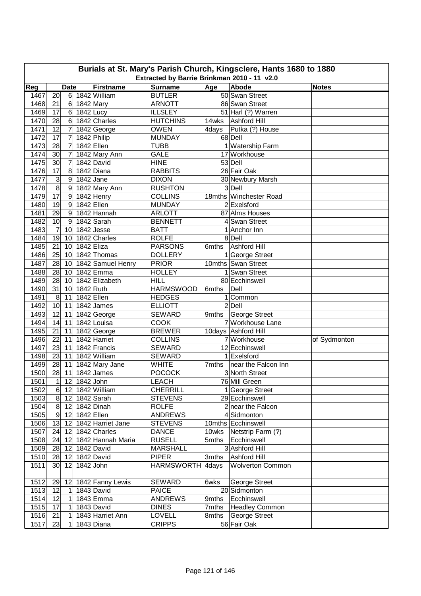| Burials at St. Mary's Parish Church, Kingsclere, Hants 1680 to 1880 |                                                            |                     |               |                            |                              |       |                                           |              |  |  |  |  |
|---------------------------------------------------------------------|------------------------------------------------------------|---------------------|---------------|----------------------------|------------------------------|-------|-------------------------------------------|--------------|--|--|--|--|
|                                                                     | Extracted by Barrie Brinkman 2010 - 11 v2.0<br><b>Date</b> |                     |               |                            |                              |       |                                           |              |  |  |  |  |
| Reg                                                                 |                                                            |                     |               | <b>Firstname</b>           | <b>Surname</b>               | Age   | Abode                                     | <b>Notes</b> |  |  |  |  |
| 1467                                                                | 20                                                         | 6                   |               | 1842 William               | <b>BUTLER</b>                |       | 50 Swan Street                            |              |  |  |  |  |
| 1468                                                                | 21                                                         | 6                   |               | 1842 Mary                  | <b>ARNOTT</b>                |       | 86 Swan Street                            |              |  |  |  |  |
| 1469<br>1470                                                        | 17                                                         | 6<br>$6\phantom{1}$ | $1842$ Lucy   |                            | <b>ILLSLEY</b>               |       | 51 Harl (?) Warren<br><b>Ashford Hill</b> |              |  |  |  |  |
| 1471                                                                | 28<br>12                                                   |                     |               | 1842 Charles               | <b>HUTCHINS</b>              | 14wks |                                           |              |  |  |  |  |
| 1472                                                                | 17                                                         | 7<br>7              |               | 1842 George<br>1842 Philip | <b>OWEN</b><br><b>MUNDAY</b> | 4days | Putka (?) House<br>68 Dell                |              |  |  |  |  |
| 1473                                                                | 28                                                         | 7                   |               | 1842 Ellen                 | TUBB                         |       | 1 Watership Farm                          |              |  |  |  |  |
| 1474                                                                | 30                                                         | 7                   |               | 1842 Mary Ann              | <b>GALE</b>                  |       | 17 Workhouse                              |              |  |  |  |  |
| 1475                                                                | 30                                                         | 7                   |               | 1842 David                 | <b>HINE</b>                  |       | 53 Dell                                   |              |  |  |  |  |
| 1476                                                                | 17                                                         | 8                   |               | 1842 Diana                 | <b>RABBITS</b>               |       | 26 Fair Oak                               |              |  |  |  |  |
| 1477                                                                | 3                                                          | $\boldsymbol{9}$    | $1842$ Jane   |                            | <b>DIXON</b>                 |       | 30 Newbury Marsh                          |              |  |  |  |  |
| 1478                                                                | 8                                                          | $\overline{9}$      |               | 1842 Mary Ann              | <b>RUSHTON</b>               |       | 3 Dell                                    |              |  |  |  |  |
| 1479                                                                | 17                                                         | $\boldsymbol{9}$    |               | 1842 Henry                 | <b>COLLINS</b>               |       | 18mths Winchester Road                    |              |  |  |  |  |
| 1480                                                                | 19                                                         | $\boldsymbol{9}$    |               | 1842 Ellen                 | <b>MUNDAY</b>                |       | $2$ <i>Exelsford</i>                      |              |  |  |  |  |
| 1481                                                                | 29                                                         | 9                   |               | 1842 Hannah                | <b>ARLOTT</b>                |       | 87 Alms Houses                            |              |  |  |  |  |
| 1482                                                                | 10                                                         | 9                   |               | 1842 Sarah                 | <b>BENNETT</b>               |       | 4 Swan Street                             |              |  |  |  |  |
| 1483                                                                | $\overline{7}$                                             | 10                  |               | $1842$ Jesse               | <b>BATT</b>                  |       | 1 Anchor Inn                              |              |  |  |  |  |
| 1484                                                                | 19                                                         | 10                  |               | 1842 Charles               | <b>ROLFE</b>                 |       | 8 Dell                                    |              |  |  |  |  |
| 1485                                                                | 21                                                         | 10                  | 1842 Eliza    |                            | <b>PARSONS</b>               | 6mths | <b>Ashford Hill</b>                       |              |  |  |  |  |
| 1486                                                                | 25                                                         | 10                  |               | 1842 Thomas                | <b>DOLLERY</b>               |       | 1 George Street                           |              |  |  |  |  |
| 1487                                                                | 28                                                         | 10 <sup>1</sup>     |               | 1842 Samuel Henry          | <b>PRIOR</b>                 |       | 10mths Swan Street                        |              |  |  |  |  |
| 1488                                                                | 28                                                         | 10 <sup>1</sup>     |               | 1842 Emma                  | <b>HOLLEY</b>                | 1     | <b>Swan Street</b>                        |              |  |  |  |  |
| 1489                                                                | 28                                                         | 10                  |               | 1842 Elizabeth             | <b>HILL</b>                  |       | 80 Ecchinswell                            |              |  |  |  |  |
| 1490                                                                | 31                                                         | 10                  | 1842 Ruth     |                            | <b>HARMSWOOD</b>             | 6mths | Dell                                      |              |  |  |  |  |
| 1491                                                                | 8                                                          | 11                  | 1842 Ellen    |                            | <b>HEDGES</b>                |       | 1 Common                                  |              |  |  |  |  |
| 1492                                                                | 10                                                         | 11                  |               | $1842$ James               | <b>ELLIOTT</b>               |       | 2 Dell                                    |              |  |  |  |  |
| 1493                                                                | 12                                                         | 11                  |               | 1842 George                | <b>SEWARD</b>                | 9mths | <b>George Street</b>                      |              |  |  |  |  |
| 1494                                                                | 14                                                         | 11                  |               | 1842 Louisa                | <b>COOK</b>                  |       | 7 Workhouse Lane                          |              |  |  |  |  |
| 1495                                                                | $\overline{21}$                                            | 11                  |               | 1842 George                | <b>BREWER</b>                |       | 10days Ashford Hill                       |              |  |  |  |  |
| 1496                                                                | 22                                                         | 11                  |               | 1842 Harriet               | <b>COLLINS</b>               |       | 7Workhouse                                | of Sydmonton |  |  |  |  |
| 1497                                                                | 23                                                         | 11                  |               | 1842 Francis               | <b>SEWARD</b>                |       | 12 Ecchinswell                            |              |  |  |  |  |
| 1498                                                                | 23                                                         | 11                  |               | 1842 William               | <b>SEWARD</b>                |       | 1 Exelsford                               |              |  |  |  |  |
| 1499                                                                | $28$ 11                                                    |                     |               | 1842 Mary Jane             | <b>WHITE</b>                 | 7mths | near the Falcon Inn                       |              |  |  |  |  |
| 1500                                                                | $\overline{28}$                                            | 11                  |               | 1842 James                 | <b>POCOCK</b>                |       | 3 North Street                            |              |  |  |  |  |
| 1501                                                                | $\overline{1}$                                             |                     | 12 1842 John  |                            | <b>LEACH</b>                 |       | 76 Mill Green                             |              |  |  |  |  |
| 1502                                                                | $6 \mid$                                                   |                     |               | 12 1842 William            | <b>CHERRILL</b>              |       | 1 George Street                           |              |  |  |  |  |
| 1503                                                                | 8 <sup>1</sup>                                             |                     |               | 12 1842 Sarah              | <b>STEVENS</b>               |       | 29 Ecchinswell                            |              |  |  |  |  |
| 1504                                                                | $\bf{8}$                                                   |                     |               | 12 1842 Dinah              | <b>ROLFE</b>                 |       | 2 near the Falcon                         |              |  |  |  |  |
| 1505                                                                | $\overline{9}$                                             |                     | 12 1842 Ellen |                            | <b>ANDREWS</b>               |       | 4 Sidmonton                               |              |  |  |  |  |
| 1506                                                                | 13                                                         |                     |               | 12 1842 Harriet Jane       | <b>STEVENS</b>               |       | 10mths Ecchinswell                        |              |  |  |  |  |
| 1507                                                                | 24                                                         |                     |               | 12 1842 Charles            | <b>DANCE</b>                 |       | 10wks Netstrip Farm (?)                   |              |  |  |  |  |
| 1508                                                                | 24                                                         | 12                  |               | 1842 Hannah Maria          | <b>RUSELL</b>                | 5mths | Ecchinswell                               |              |  |  |  |  |
| 1509                                                                | 28                                                         | 12                  |               | 1842 David                 | <b>MARSHALL</b>              |       | 3 Ashford Hill                            |              |  |  |  |  |
| 1510                                                                | 28                                                         | 12                  |               | 1842 David                 | <b>PIPER</b>                 | 3mths | Ashford Hill                              |              |  |  |  |  |
| 1511                                                                | 30                                                         | 12                  | $1842$ John   |                            | HARMSWORTH 4days             |       | <b>Wolverton Common</b>                   |              |  |  |  |  |
| 1512                                                                | 29                                                         | 12                  |               | 1842 Fanny Lewis           | SEWARD                       | 6wks  | George Street                             |              |  |  |  |  |
| 1513                                                                | 12                                                         | $\overline{1}$      |               | 1843 David                 | <b>PAICE</b>                 |       | 20 Sidmonton                              |              |  |  |  |  |
| 1514                                                                | 12                                                         | 1                   |               | 1843 Emma                  | <b>ANDREWS</b>               | 9mths | Ecchinswell                               |              |  |  |  |  |
| 1515                                                                | 17                                                         | $\mathbf{1}$        |               | 1843 David                 | <b>DINES</b>                 |       | 7mths   Headley Common                    |              |  |  |  |  |
| 1516                                                                | 21                                                         | $\mathbf{1}$        |               | 1843 Harriet Ann           | LOVELL                       | 8mths | George Street                             |              |  |  |  |  |
| 1517                                                                | 23                                                         | $\vert$             |               | 1843 Diana                 | <b>CRIPPS</b>                |       | 56 Fair Oak                               |              |  |  |  |  |
|                                                                     |                                                            |                     |               |                            |                              |       |                                           |              |  |  |  |  |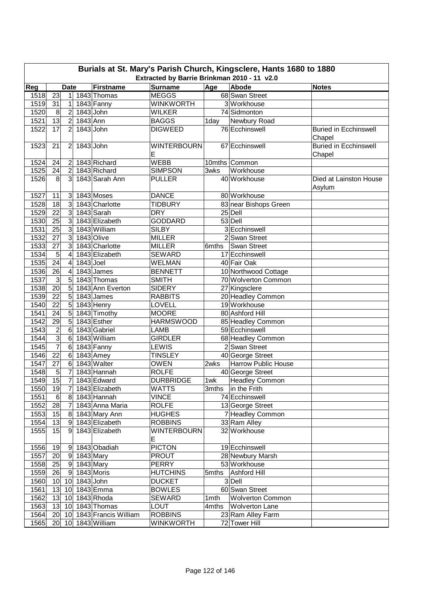|             | Burials at St. Mary's Parish Church, Kingsclere, Hants 1680 to 1880<br>Extracted by Barrie Brinkman 2010 - 11 v2.0 |                         |                 |                            |                         |       |                         |                                        |  |  |  |  |
|-------------|--------------------------------------------------------------------------------------------------------------------|-------------------------|-----------------|----------------------------|-------------------------|-------|-------------------------|----------------------------------------|--|--|--|--|
| Reg         |                                                                                                                    | <b>Date</b>             |                 | <b>Firstname</b>           | <b>Surname</b>          | Age   | Abode                   | <b>Notes</b>                           |  |  |  |  |
| 1518        | 23                                                                                                                 | 1 <sup>1</sup>          |                 | 1843 Thomas                | <b>MEGGS</b>            |       | 68 Swan Street          |                                        |  |  |  |  |
| 1519        | 31                                                                                                                 | $\mathbf{1}$            |                 | 1843 Fanny                 | <b>WINKWORTH</b>        |       | 3 Workhouse             |                                        |  |  |  |  |
| 1520        | 8                                                                                                                  | $\overline{2}$          | $1843$ John     |                            | <b>WILKER</b>           |       | 74 Sidmonton            |                                        |  |  |  |  |
| 1521        | $\overline{13}$                                                                                                    | $\overline{2}$          | 1843 Ann        |                            | <b>BAGGS</b>            | 1day  | Newbury Road            |                                        |  |  |  |  |
| 1522        | 17                                                                                                                 | $\overline{2}$          | 1843 John       |                            | <b>DIGWEED</b>          |       | 76 Ecchinswell          | <b>Buried in Ecchinswell</b>           |  |  |  |  |
|             |                                                                                                                    |                         |                 |                            |                         |       |                         | Chapel                                 |  |  |  |  |
| 1523        | 21                                                                                                                 | $\overline{2}$          | 1843 John       |                            | <b>WINTERBOURN</b><br>Е |       | 67 Ecchinswell          | <b>Buried in Ecchinswell</b><br>Chapel |  |  |  |  |
| 1524        | 24                                                                                                                 | $\overline{2}$          |                 | 1843 Richard               | <b>WEBB</b>             |       | 10mths Common           |                                        |  |  |  |  |
| 1525        | 24                                                                                                                 | $\overline{2}$          |                 | 1843 Richard               | <b>SIMPSON</b>          | 3wks  | Workhouse               |                                        |  |  |  |  |
| 1526        | 8                                                                                                                  | 3                       |                 | 1843 Sarah Ann             | <b>PULLER</b>           |       | 40 Workhouse            | Died at Lainston House<br>Asylum       |  |  |  |  |
| 1527        | 11                                                                                                                 | 3 <sup>2</sup>          |                 | 1843 Moses                 | <b>DANCE</b>            |       | 80 Workhouse            |                                        |  |  |  |  |
| 1528        | 18                                                                                                                 | 3 <sup>1</sup>          |                 | 1843 Charlotte             | <b>TIDBURY</b>          |       | 83 near Bishops Green   |                                        |  |  |  |  |
| 1529        | $\overline{22}$                                                                                                    | 3 <sup>1</sup>          |                 | 1843 Sarah                 | <b>DRY</b>              |       | 25 Dell                 |                                        |  |  |  |  |
| 1530        | $\overline{25}$                                                                                                    | $\overline{3}$          |                 | 1843 Elizabeth             | <b>GODDARD</b>          |       | 53 Dell                 |                                        |  |  |  |  |
| 1531        | 25                                                                                                                 | $\overline{3}$          |                 | 1843 William               | <b>SILBY</b>            |       | 3 Ecchinswell           |                                        |  |  |  |  |
| 1532        | $\overline{27}$                                                                                                    | 3 <sup>1</sup>          |                 | 1843 Olive                 | <b>MILLER</b>           |       | 2 Swan Street           |                                        |  |  |  |  |
| 1533        | $\overline{27}$                                                                                                    | $\overline{3}$          |                 | 1843 Charlotte             | <b>MILLER</b>           | 6mths | Swan Street             |                                        |  |  |  |  |
| 1534        | 5                                                                                                                  | $\overline{4}$          |                 | 1843 Elizabeth             | <b>SEWARD</b>           |       | 17 Ecchinswell          |                                        |  |  |  |  |
| 1535        | 24                                                                                                                 | $\overline{4}$          | $1843$ Joel     |                            | <b>WELMAN</b>           |       | 40 Fair Oak             |                                        |  |  |  |  |
| 1536        | 26                                                                                                                 | $\overline{\mathbf{4}}$ |                 | 1843 James                 | <b>BENNETT</b>          |       | 10 Northwood Cottage    |                                        |  |  |  |  |
| 1537        | $\overline{3}$                                                                                                     | 5                       |                 | 1843 Thomas                | <b>SMITH</b>            |       | 70 Wolverton Common     |                                        |  |  |  |  |
| 1538        | 20                                                                                                                 | 5 <sup>1</sup>          |                 | 1843 Ann Everton           | <b>SIDERY</b>           |       | 27 Kingsclere           |                                        |  |  |  |  |
| 1539        | 22                                                                                                                 | $\overline{5}$          |                 | 1843 James                 | <b>RABBITS</b>          |       | 20 Headley Common       |                                        |  |  |  |  |
| 1540        | $\overline{22}$                                                                                                    | $\overline{5}$          |                 | 1843 Henry                 | LOVELL                  |       | 19 Workhouse            |                                        |  |  |  |  |
| 1541        | 24                                                                                                                 | $\overline{5}$          |                 | 1843 Timothy               | <b>MOORE</b>            |       | 80 Ashford Hill         |                                        |  |  |  |  |
| 1542        | 29                                                                                                                 | $\overline{5}$          |                 | 1843 Esther                | <b>HARMSWOOD</b>        |       | 85 Headley Common       |                                        |  |  |  |  |
| 1543        | $\overline{c}$                                                                                                     | $\,6$                   |                 | 1843 Gabriel               | <b>LAMB</b>             |       | 59 Ecchinswell          |                                        |  |  |  |  |
| 1544        | $\overline{3}$                                                                                                     | $\,6$                   |                 | 1843 William               | <b>GIRDLER</b>          |       | 68 Headley Common       |                                        |  |  |  |  |
| 1545        | $\overline{7}$                                                                                                     | $6\phantom{1}6$         |                 | 1843 Fanny                 | <b>LEWIS</b>            |       | 2Swan Street            |                                        |  |  |  |  |
| 1546        | 22                                                                                                                 | $6\phantom{1}6$         |                 | 1843 Amey                  | <b>TINSLEY</b>          |       | 40 George Street        |                                        |  |  |  |  |
| 1547        | 27                                                                                                                 | $6\phantom{1}$          |                 | 1843 Walter                | <b>OWEN</b>             | 2wks  | Harrow Public House     |                                        |  |  |  |  |
| 1548        | 5                                                                                                                  | $\overline{7}$          |                 | 1843 Hannah                | <b>ROLFE</b>            |       | 40 George Street        |                                        |  |  |  |  |
| <u>1549</u> | 15                                                                                                                 | $\overline{7}$          |                 | 1843 Edward                | <b>DURBRIDGE</b>        |       | 1wk Headley Common      |                                        |  |  |  |  |
| 1550        | 19                                                                                                                 | 7                       |                 | 1843 Elizabeth             | WATTS                   |       | 3mths   in the Frith    |                                        |  |  |  |  |
| 1551        | $6 \mid$                                                                                                           |                         |                 | 8 1843 Hannah              | <b>VINCE</b>            |       | 74 Ecchinswell          |                                        |  |  |  |  |
| 1552        | 28                                                                                                                 |                         |                 | 7 1843 Anna Maria          | <b>ROLFE</b>            |       | 13 George Street        |                                        |  |  |  |  |
| 1553        | 15                                                                                                                 |                         |                 | 8 1843 Mary Ann            | <b>HUGHES</b>           |       | 7 Headley Common        |                                        |  |  |  |  |
| 1554        | 13                                                                                                                 |                         |                 | 9 1843 Elizabeth           | <b>ROBBINS</b>          |       | 33 Ram Alley            |                                        |  |  |  |  |
| 1555        | 15                                                                                                                 | 91                      |                 | 1843 Elizabeth             | <b>WINTERBOURN</b><br>Е |       | 32 Workhouse            |                                        |  |  |  |  |
| 1556        | 19                                                                                                                 |                         |                 | 9 1843 Obadiah             | <b>PICTON</b>           |       | 19 Ecchinswell          |                                        |  |  |  |  |
| 1557        | 20                                                                                                                 |                         | 9 1843 Mary     |                            | <b>PROUT</b>            |       | 28 Newbury Marsh        |                                        |  |  |  |  |
| 1558        | 25                                                                                                                 |                         | 9 1843 Mary     |                            | PERRY                   |       | 53 Workhouse            |                                        |  |  |  |  |
| 1559        | 26                                                                                                                 |                         |                 | 9 1843 Moris               | <b>HUTCHINS</b>         |       | 5mths Ashford Hill      |                                        |  |  |  |  |
| 1560        |                                                                                                                    |                         | 10 10 1843 John |                            | <b>DUCKET</b>           |       | 3 Dell                  |                                        |  |  |  |  |
| 1561        |                                                                                                                    |                         |                 | 13 10 1843 Emma            | <b>BOWLES</b>           |       | 60 Swan Street          |                                        |  |  |  |  |
| 1562        |                                                                                                                    |                         |                 | 13 10 1843 Rhoda           | <b>SEWARD</b>           | 1mth  | <b>Wolverton Common</b> |                                        |  |  |  |  |
| 1563        |                                                                                                                    |                         |                 | 13 10 1843 Thomas          | LOUT                    | 4mths | <b>Wolverton Lane</b>   |                                        |  |  |  |  |
| 1564        |                                                                                                                    |                         |                 | 20 10 1843 Francis William | <b>ROBBINS</b>          |       | 23 Ram Alley Farm       |                                        |  |  |  |  |
| 1565        |                                                                                                                    |                         |                 | 20 10 1843 William         | WINKWORTH               |       | 72 Tower Hill           |                                        |  |  |  |  |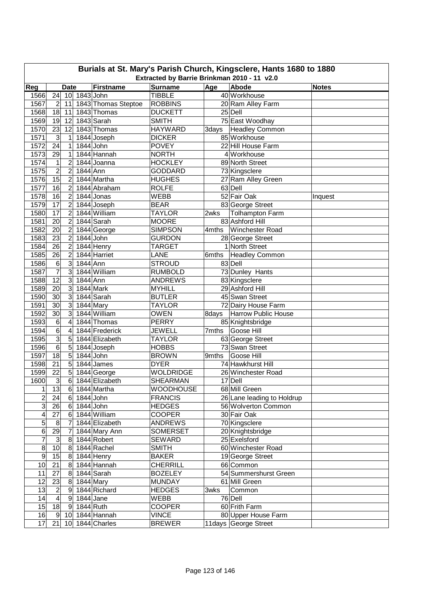|                | Burials at St. Mary's Parish Church, Kingsclere, Hants 1680 to 1880<br>Extracted by Barrie Brinkman 2010 - 11 v2.0 |                 |             |                     |                  |       |                             |         |  |  |  |
|----------------|--------------------------------------------------------------------------------------------------------------------|-----------------|-------------|---------------------|------------------|-------|-----------------------------|---------|--|--|--|
|                | <b>Surname</b><br>Reg<br><b>Firstname</b><br><b>Abode</b><br>Age<br><b>Date</b><br><b>Notes</b>                    |                 |             |                     |                  |       |                             |         |  |  |  |
| 1566           | 24                                                                                                                 | 10 <sup>1</sup> | 1843 John   |                     | <b>TIBBLE</b>    |       | 40 Workhouse                |         |  |  |  |
| 1567           | $\overline{2}$                                                                                                     | 11              |             | 1843 Thomas Steptoe | <b>ROBBINS</b>   |       | 20 Ram Alley Farm           |         |  |  |  |
| 1568           | 18                                                                                                                 | 11              |             | 1843 Thomas         | <b>DUCKETT</b>   |       | 25 Dell                     |         |  |  |  |
| 1569           | 19                                                                                                                 | 12              |             | 1843 Sarah          | <b>SMITH</b>     |       | 75 East Woodhay             |         |  |  |  |
| 1570           | 23                                                                                                                 | 12              |             | 1843 Thomas         | <b>HAYWARD</b>   | 3days | <b>Headley Common</b>       |         |  |  |  |
| 1571           | 3                                                                                                                  | 1               |             | 1844 Joseph         | <b>DICKER</b>    |       | 85 Workhouse                |         |  |  |  |
| 1572           | 24                                                                                                                 | 1               |             | 1844 John           | <b>POVEY</b>     |       | 22 Hill House Farm          |         |  |  |  |
| 1573           | 29                                                                                                                 | 1               |             | 1844 Hannah         | <b>NORTH</b>     |       | 4 Workhouse                 |         |  |  |  |
| 1574           | 1                                                                                                                  | $\overline{2}$  |             | 1844 Joanna         | <b>HOCKLEY</b>   |       | 89 North Street             |         |  |  |  |
| 1575           | $\overline{c}$                                                                                                     | $\overline{2}$  | 1844 Ann    |                     | <b>GODDARD</b>   |       | 73 Kingsclere               |         |  |  |  |
| 1576           | $\overline{15}$                                                                                                    | $\overline{2}$  |             | 1844 Martha         | <b>HUGHES</b>    |       | 27 Ram Alley Green          |         |  |  |  |
| 1577           | 16                                                                                                                 | $\overline{2}$  |             | 1844 Abraham        | <b>ROLFE</b>     |       | 63 Dell                     |         |  |  |  |
| 1578           | 16                                                                                                                 | $\overline{2}$  |             | 1844 Jonas          | <b>WEBB</b>      |       | 52 Fair Oak                 | Inquest |  |  |  |
| 1579           | 17                                                                                                                 | $\overline{2}$  |             | 1844 Joseph         | <b>BEAR</b>      |       | 83 George Street            |         |  |  |  |
| 1580           | $\overline{17}$                                                                                                    | $\overline{2}$  |             | 1844 William        | <b>TAYLOR</b>    | 2wks  | <b>Tolhampton Farm</b>      |         |  |  |  |
| 1581           | 20                                                                                                                 | $\overline{2}$  |             | 1844 Sarah          | <b>MOORE</b>     |       | 83 Ashford Hill             |         |  |  |  |
| 1582           | 20                                                                                                                 | $\overline{2}$  |             | 1844 George         | <b>SIMPSON</b>   | 4mths | <b>Winchester Road</b>      |         |  |  |  |
| 1583           | 23                                                                                                                 | $\overline{c}$  |             | $1844$ John         | <b>GURDON</b>    |       | 28 George Street            |         |  |  |  |
| 1584           | 26                                                                                                                 | $\overline{c}$  |             | 1844 Henry          | <b>TARGET</b>    |       | 1 North Street              |         |  |  |  |
| 1585           | 26                                                                                                                 | $\overline{2}$  |             | 1844 Harriet        | LANE             | 6mths | <b>Headley Common</b>       |         |  |  |  |
| 1586           | 6                                                                                                                  | 3               | 1844 Ann    |                     | <b>STROUD</b>    |       | 83 Dell                     |         |  |  |  |
| 1587           | $\overline{7}$                                                                                                     | 3               |             | 1844 William        | <b>RUMBOLD</b>   |       | 73 Dunley Hants             |         |  |  |  |
| 1588           | $\overline{12}$                                                                                                    | 3               | 1844 Ann    |                     | <b>ANDREWS</b>   |       | 83 Kingsclere               |         |  |  |  |
| 1589           | 20                                                                                                                 | 3               |             | 1844 Mark           | <b>MYHILL</b>    |       | 29 Ashford Hill             |         |  |  |  |
| 1590           | 30                                                                                                                 | 3               |             | 1844 Sarah          | <b>BUTLER</b>    |       | 45 Swan Street              |         |  |  |  |
| 1591           | 30                                                                                                                 | 3               |             | 1844 Mary           | <b>TAYLOR</b>    |       | 72 Dairy House Farm         |         |  |  |  |
| 1592           | 30                                                                                                                 | 3               |             | 1844 William        | <b>OWEN</b>      |       | 8days   Harrow Public House |         |  |  |  |
| 1593           | 6                                                                                                                  | 4               |             | 1844 Thomas         | <b>PERRY</b>     |       | 85 Knightsbridge            |         |  |  |  |
| 1594           | 6                                                                                                                  | 4               |             | 1844 Frederick      | JEWELL           | 7mths | Goose Hill                  |         |  |  |  |
| 1595           | 3                                                                                                                  | 5               |             | 1844 Elizabeth      | <b>TAYLOR</b>    |       | 63 George Street            |         |  |  |  |
| 1596           | 6                                                                                                                  | 5               |             | 1844 Joseph         | <b>HOBBS</b>     |       | 73 Swan Street              |         |  |  |  |
| 1597           | 18                                                                                                                 | 5               |             | 1844 John           | <b>BROWN</b>     | 9mths | Goose Hill                  |         |  |  |  |
| 1598           | 21                                                                                                                 | 5               |             | $1844$ James        | <b>DYER</b>      |       | 74 Hawkhurst Hill           |         |  |  |  |
| 1599           | 22                                                                                                                 | $\overline{5}$  |             | 1844 George         | <b>WOLDRIDGE</b> |       | 26 Winchester Road          |         |  |  |  |
| 1600           | $\overline{3}$                                                                                                     | 6               |             | 1844 Elizabeth      | SHEARMAN         |       | 17 Dell                     |         |  |  |  |
| 1              | 13                                                                                                                 |                 |             | 6 1844 Martha       | <b>WOODHOUSE</b> |       | 68 Mill Green               |         |  |  |  |
| $\overline{c}$ | 24                                                                                                                 |                 | 6 1844 John |                     | <b>FRANCIS</b>   |       | 26 Lane leading to Holdrup  |         |  |  |  |
| 3              | 26                                                                                                                 |                 | 6 1844 John |                     | <b>HEDGES</b>    |       | 56 Wolverton Common         |         |  |  |  |
| 4              | 27                                                                                                                 |                 |             | 6 1844 William      | <b>COOPER</b>    |       | 30 Fair Oak                 |         |  |  |  |
| 5              | $\bf 8$                                                                                                            | 7               |             | 1844 Elizabeth      | <b>ANDREWS</b>   |       | 70 Kingsclere               |         |  |  |  |
| 6              | 29                                                                                                                 | 7               |             | 1844 Mary Ann       | <b>SOMERSET</b>  |       | 20 Knightsbridge            |         |  |  |  |
| $\overline{7}$ | $\mathbf{3}$                                                                                                       | 8 <sup>1</sup>  |             | 1844 Robert         | SEWARD           |       | 25 Exelsford                |         |  |  |  |
| $\overline{8}$ | 10                                                                                                                 | 8 <sup>1</sup>  |             | 1844 Rachel         | <b>SMITH</b>     |       | 60 Winchester Road          |         |  |  |  |
| $\overline{9}$ | 15                                                                                                                 |                 |             | 8 1844 Henry        | <b>BAKER</b>     |       | 19 George Street            |         |  |  |  |
| 10             | 21                                                                                                                 |                 |             | 8 1844 Hannah       | CHERRILL         |       | 66 Common                   |         |  |  |  |
| 11             | 27                                                                                                                 |                 |             | 8 1844 Sarah        | <b>BOZELEY</b>   |       | 54 Summershurst Green       |         |  |  |  |
| 12             | 23                                                                                                                 |                 | 8 1844 Mary |                     | <b>MUNDAY</b>    |       | 61 Mill Green               |         |  |  |  |
| 13             | $\overline{c}$                                                                                                     |                 |             | 9 1844 Richard      | <b>HEDGES</b>    | 3wks  | Common                      |         |  |  |  |
| 14             | $\overline{\mathbf{4}}$                                                                                            |                 | 9 1844 Jane |                     | WEBB             |       | 76 Dell                     |         |  |  |  |
| 15             | 18                                                                                                                 |                 | 9 1844 Ruth |                     | <b>COOPER</b>    |       | 60 Frith Farm               |         |  |  |  |
| 16             | 9                                                                                                                  |                 |             | 10 1844 Hannah      | <b>VINCE</b>     |       | 80 Upper House Farm         |         |  |  |  |
| 17             | 21                                                                                                                 |                 |             | 10 1844 Charles     | <b>BREWER</b>    |       | 11 days George Street       |         |  |  |  |
|                |                                                                                                                    |                 |             |                     |                  |       |                             |         |  |  |  |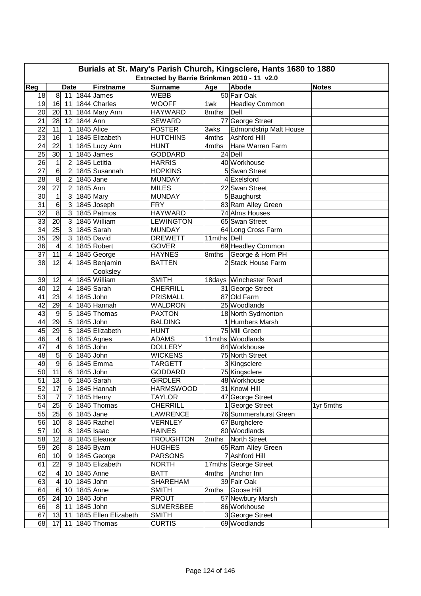| Burials at St. Mary's Parish Church, Kingsclere, Hants 1680 to 1880 |                         |                  |              |                      |                  |             |                                          |              |  |  |  |
|---------------------------------------------------------------------|-------------------------|------------------|--------------|----------------------|------------------|-------------|------------------------------------------|--------------|--|--|--|
| Extracted by Barrie Brinkman 2010 - 11 v2.0                         |                         |                  |              |                      |                  |             |                                          |              |  |  |  |
| Reg                                                                 |                         | <b>Date</b>      |              | <b>Firstname</b>     | <b>Surname</b>   | Age         | Abode                                    | <b>Notes</b> |  |  |  |
| 18                                                                  | $\overline{8}$          | 11               |              | 1844 James           | <b>WEBB</b>      |             | 50 Fair Oak                              |              |  |  |  |
| 19                                                                  | 16                      | 11               |              | 1844 Charles         | <b>WOOFF</b>     | 1wk         | <b>Headley Common</b>                    |              |  |  |  |
| 20                                                                  | 20                      | 11               |              | 1844 Mary Ann        | <b>HAYWARD</b>   | 8mths       | Dell                                     |              |  |  |  |
| 21                                                                  | 28                      | 12               | 1844 Ann     |                      | <b>SEWARD</b>    |             | 77 George Street                         |              |  |  |  |
| 22                                                                  | 11                      | $\mathbf 1$      |              | 1845 Alice           | <b>FOSTER</b>    | 3wks        | <b>Edmondstrip Malt House</b>            |              |  |  |  |
| 23                                                                  | 16                      | 1                |              | 1845 Elizabeth       | <b>HUTCHINS</b>  | 4mths       | <b>Ashford Hill</b>                      |              |  |  |  |
| 24                                                                  | 22                      | 1                |              | 1845 Lucy Ann        | <b>HUNT</b>      | 4mths       | Hare Warren Farm                         |              |  |  |  |
| 25                                                                  | 30                      | 1                |              | 1845 James           | <b>GODDARD</b>   |             | 24 Dell                                  |              |  |  |  |
| 26                                                                  | 1                       | $\overline{2}$   |              | 1845 Letitia         | <b>HARRIS</b>    |             | 40 Workhouse                             |              |  |  |  |
| $\overline{27}$                                                     | 6                       | $\overline{2}$   |              | 1845 Susannah        | <b>HOPKINS</b>   |             | 5 Swan Street                            |              |  |  |  |
| $\overline{28}$                                                     | 8                       | $\overline{2}$   | $1845$ Jane  |                      | <b>MUNDAY</b>    |             | 4 Exelsford                              |              |  |  |  |
| 29                                                                  | $\overline{27}$         | $\overline{c}$   | 1845 Ann     |                      | <b>MILES</b>     |             | 22 Swan Street                           |              |  |  |  |
| 30                                                                  | 1                       | 3                |              | 1845 Mary            | <b>MUNDAY</b>    |             | 5 Baughurst                              |              |  |  |  |
| 31                                                                  | 6                       | 3                |              | 1845 Joseph          | <b>FRY</b>       |             | 83 Ram Alley Green                       |              |  |  |  |
| 32                                                                  | $\overline{8}$          | 3                |              | 1845 Patmos          | <b>HAYWARD</b>   |             | 74 Alms Houses                           |              |  |  |  |
| 33                                                                  | $\overline{20}$         | 3                |              | 1845 William         | <b>LEWINGTON</b> |             | 65 Swan Street                           |              |  |  |  |
| $\overline{34}$                                                     | $\overline{25}$         | 3                |              | 1845 Sarah           | <b>MUNDAY</b>    |             | 64 Long Cross Farm                       |              |  |  |  |
| $\overline{35}$                                                     | $\overline{29}$         | دن               |              | 1845 David           | <b>DREWETT</b>   | 11mths Dell |                                          |              |  |  |  |
| 36                                                                  | $\overline{4}$          | 4                |              | 1845 Robert          | <b>GOVER</b>     |             | 69 Headley Common                        |              |  |  |  |
| $\overline{37}$                                                     | $\overline{11}$         | 4                |              | 1845 George          | <b>HAYNES</b>    | 8mths       | George & Horn PH                         |              |  |  |  |
| 38                                                                  | 12                      | 4                |              | 1845 Benjamin        | <b>BATTEN</b>    |             | 2 Stack House Farm                       |              |  |  |  |
|                                                                     |                         |                  |              | Cooksley             |                  |             |                                          |              |  |  |  |
| 39                                                                  | 12                      | 4                |              | 1845 William         | <b>SMITH</b>     |             | 18days Winchester Road                   |              |  |  |  |
| 40                                                                  | $\overline{12}$         | 4                |              | 1845 Sarah           | <b>CHERRILL</b>  |             | 31 George Street                         |              |  |  |  |
| 41                                                                  | 23                      | 4                | 1845 John    |                      | <b>PRISMALL</b>  |             | 87 Old Farm                              |              |  |  |  |
| 42                                                                  | 29                      | 4                |              | 1845 Hannah          | <b>WALDRON</b>   |             | 25 Woodlands                             |              |  |  |  |
| 43                                                                  | 9                       | 5                |              | 1845 Thomas          | <b>PAXTON</b>    |             | 18 North Sydmonton                       |              |  |  |  |
| 44                                                                  | 29                      | 5                | 1845 John    |                      | <b>BALDING</b>   |             | 1 Humbers Marsh                          |              |  |  |  |
| 45                                                                  | 29                      | 5                |              | 1845 Elizabeth       | <b>HUNT</b>      |             | 75 Mill Green                            |              |  |  |  |
| 46                                                                  | $\overline{4}$          | $6 \,$           |              | 1845 Agnes           | <b>ADAMS</b>     |             | 11mths Woodlands                         |              |  |  |  |
| 47                                                                  | $\overline{4}$          | 6                | 1845 John    |                      | <b>DOLLERY</b>   |             | 84 Workhouse                             |              |  |  |  |
| 48                                                                  | 5                       | $\,6$            | $1845$ John  |                      | <b>WICKENS</b>   |             | 75 North Street                          |              |  |  |  |
| 49                                                                  | 9                       | $6 \overline{6}$ |              | 1845 Emma            | <b>TARGETT</b>   |             | 3 Kingsclere                             |              |  |  |  |
| 50                                                                  | 11                      | $\,6$            | 1845 John    |                      | GODDARD          |             | 75 Kingsclere                            |              |  |  |  |
| $\overline{51}$                                                     | $\overline{13}$         | 6                |              | 1845 Sarah           | <b>GIRDLER</b>   |             | 48 Workhouse                             |              |  |  |  |
| 52                                                                  | 17                      |                  |              | 6 1845 Hannah        | <b>HARMSWOOD</b> |             | 31 Knowl Hill                            |              |  |  |  |
| 53                                                                  | 7                       | 7                |              | 1845 Henry           | <b>TAYLOR</b>    |             | 47 George Street                         |              |  |  |  |
|                                                                     |                         |                  |              |                      | <b>CHERRILL</b>  |             |                                          |              |  |  |  |
| 54<br>55                                                            | 25<br>25                |                  | 6 1845 Jane  | $6$ 1845 Thomas      | LAWRENCE         |             | 1 George Street<br>76 Summershurst Green | 1yr 5mths    |  |  |  |
|                                                                     |                         |                  |              |                      |                  |             |                                          |              |  |  |  |
| 56                                                                  | 10                      |                  |              | 8 1845 Rachel        | VERNLEY          |             | 67 Burghclere                            |              |  |  |  |
| 57                                                                  | 10                      | 8 <sup>1</sup>   |              | 1845 Isaac           | <b>HAINES</b>    |             | 80 Woodlands                             |              |  |  |  |
| 58                                                                  | 12                      | 8 <sup>1</sup>   |              | 1845 Eleanor         | <b>TROUGHTON</b> |             | 2mths   North Street                     |              |  |  |  |
| 59                                                                  | 26                      |                  |              | 8 1845 Byam          | <b>HUGHES</b>    |             | 65 Ram Alley Green                       |              |  |  |  |
| 60                                                                  | 10                      |                  |              | 9 1845 George        | <b>PARSONS</b>   |             | 7 Ashford Hill                           |              |  |  |  |
| 61                                                                  | 22                      | 9                |              | 1845 Elizabeth       | <b>NORTH</b>     |             | 17mths George Street                     |              |  |  |  |
| 62                                                                  | $\overline{\mathbf{4}}$ |                  | 10 1845 Anne |                      | <b>BATT</b>      |             | 4mths Anchor Inn                         |              |  |  |  |
| 63                                                                  | $\overline{4}$          | 10               | 1845 John    |                      | <b>SHAREHAM</b>  |             | 39 Fair Oak                              |              |  |  |  |
| 64                                                                  | $6 \,$                  | 10               |              | 1845 Anne            | <b>SMITH</b>     | 2mths       | Goose Hill                               |              |  |  |  |
| 65                                                                  | 24                      | 10               | 1845 John    |                      | <b>PROUT</b>     |             | 57 Newbury Marsh                         |              |  |  |  |
| 66                                                                  | $8^{\circ}$             | 11               | 1845 John    |                      | <b>SUMERSBEE</b> |             | 86 Workhouse                             |              |  |  |  |
| 67                                                                  | 13                      | 11               |              | 1845 Ellen Elizabeth | <b>SMITH</b>     |             | 3 George Street                          |              |  |  |  |
| 68                                                                  | 17                      | 11               |              | 1845 Thomas          | <b>CURTIS</b>    |             | 69 Woodlands                             |              |  |  |  |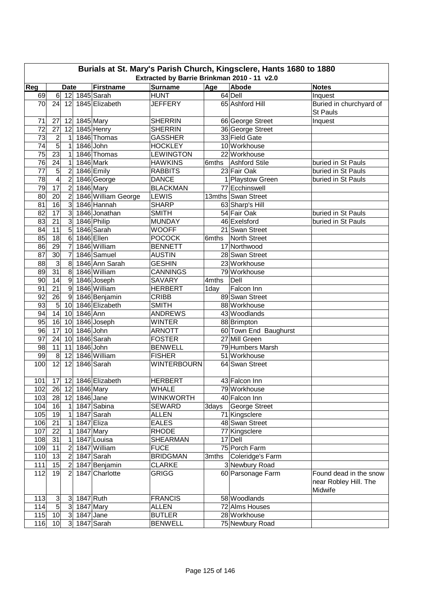|                 | Burials at St. Mary's Parish Church, Kingsclere, Hants 1680 to 1880<br>Extracted by Barrie Brinkman 2010 - 11 v2.0 |                  |             |                      |                                |       |                       |                                                            |  |  |  |  |
|-----------------|--------------------------------------------------------------------------------------------------------------------|------------------|-------------|----------------------|--------------------------------|-------|-----------------------|------------------------------------------------------------|--|--|--|--|
| Reg             |                                                                                                                    | <b>Date</b>      |             | <b>Firstname</b>     | <b>Surname</b>                 | Age   | Abode                 | <b>Notes</b>                                               |  |  |  |  |
| 69              | $6 \overline{}$                                                                                                    | 12               |             | 1845 Sarah           | <b>HUNT</b>                    |       | 64 Dell               | Inquest                                                    |  |  |  |  |
| 70              | 24                                                                                                                 | 12               |             | 1845 Elizabeth       | <b>JEFFERY</b>                 |       | 65 Ashford Hill       | Buried in churchyard of                                    |  |  |  |  |
|                 |                                                                                                                    |                  |             |                      |                                |       |                       | St Pauls                                                   |  |  |  |  |
| 71              | 27                                                                                                                 | 12               |             | 1845 Mary            | <b>SHERRIN</b>                 |       | 66 George Street      | Inquest                                                    |  |  |  |  |
| 72              | 27                                                                                                                 | 12               |             | 1845 Henry           | <b>SHERRIN</b>                 |       | 36 George Street      |                                                            |  |  |  |  |
| 73              | $\overline{2}$                                                                                                     | 1                |             | 1846 Thomas          | <b>GASSHER</b>                 |       | 33 Field Gate         |                                                            |  |  |  |  |
| 74              | 5                                                                                                                  | 1                | 1846 John   |                      | <b>HOCKLEY</b>                 |       | 10 Workhouse          |                                                            |  |  |  |  |
| 75              | 23                                                                                                                 | 1                |             | 1846 Thomas          | <b>LEWINGTON</b>               |       | 22 Workhouse          |                                                            |  |  |  |  |
| $\overline{76}$ | 24                                                                                                                 | 1                |             | 1846 Mark            | <b>HAWKINS</b>                 | 6mths | <b>Ashford Stile</b>  | buried in St Pauls                                         |  |  |  |  |
| 77              | 5                                                                                                                  | $\overline{2}$   |             | 1846 Emily           | <b>RABBITS</b>                 |       | 23 Fair Oak           | buried in St Pauls                                         |  |  |  |  |
| 78              | $\overline{\mathbf{4}}$                                                                                            | $\overline{2}$   |             | 1846 George          | <b>DANCE</b>                   |       | 1 Playstow Green      | buried in St Pauls                                         |  |  |  |  |
| 79              | 17                                                                                                                 | $\overline{c}$   |             | $1846$ Mary          | <b>BLACKMAN</b>                |       | 77 Ecchinswell        |                                                            |  |  |  |  |
| 80              | $\overline{20}$                                                                                                    | $\overline{2}$   |             | 1846 William George  | <b>LEWIS</b>                   |       | 13mths Swan Street    |                                                            |  |  |  |  |
| 81              | 16                                                                                                                 | 3                |             | 1846 Hannah          | <b>SHARP</b>                   |       | 63 Sharp's Hill       |                                                            |  |  |  |  |
| 82              | $\overline{17}$                                                                                                    | 3                |             | 1846 Jonathan        | <b>SMITH</b>                   |       | 54 Fair Oak           | buried in St Pauls                                         |  |  |  |  |
| 83              | $\overline{21}$                                                                                                    | 3                |             | 1846 Philip          | <b>MUNDAY</b>                  |       | 46 Exelsford          | buried in St Pauls                                         |  |  |  |  |
| 84              | 11                                                                                                                 | 5                |             | 1846 Sarah           | <b>WOOFF</b>                   |       | 21 Swan Street        |                                                            |  |  |  |  |
| 85              | $\overline{18}$                                                                                                    | 6                |             | 1846 Ellen           | <b>POCOCK</b>                  | 6mths | <b>North Street</b>   |                                                            |  |  |  |  |
| 86              | 29                                                                                                                 | $\overline{7}$   |             | 1846 William         | <b>BENNETT</b>                 |       | 17 Northwood          |                                                            |  |  |  |  |
| 87              | $\overline{30}$                                                                                                    | $\overline{7}$   |             | 1846 Samuel          |                                |       | 28 Swan Street        |                                                            |  |  |  |  |
|                 | $\overline{3}$                                                                                                     |                  |             |                      | <b>AUSTIN</b><br><b>GESHIN</b> |       |                       |                                                            |  |  |  |  |
| 88              |                                                                                                                    | 8                |             | 1846 Ann Sarah       |                                |       | 23 Workhouse          |                                                            |  |  |  |  |
| 89              | 31                                                                                                                 | 8                |             | 1846 William         | <b>CANNINGS</b>                |       | 79 Workhouse          |                                                            |  |  |  |  |
| 90              | 14                                                                                                                 | $\boldsymbol{9}$ |             | 1846 Joseph          | <b>SAVARY</b>                  | 4mths | Dell                  |                                                            |  |  |  |  |
| 91              | $\overline{21}$                                                                                                    | $\overline{9}$   |             | 1846 William         | <b>HERBERT</b>                 | 1day  | Falcon Inn            |                                                            |  |  |  |  |
| 92              | 26                                                                                                                 | $\boldsymbol{9}$ |             | 1846 Benjamin        | <b>CRIBB</b>                   |       | 89 Swan Street        |                                                            |  |  |  |  |
| 93              | $\overline{5}$                                                                                                     | 10               |             | 1846 Elizabeth       | <b>SMITH</b>                   |       | 88 Workhouse          |                                                            |  |  |  |  |
| 94              | 14                                                                                                                 | 10               | 1846 Ann    |                      | <b>ANDREWS</b>                 |       | $43$ Woodlands        |                                                            |  |  |  |  |
| 95              | 16                                                                                                                 | 10               |             | 1846 Joseph          | <b>WINTER</b>                  |       | 88 Brimpton           |                                                            |  |  |  |  |
| 96              | 17                                                                                                                 | 10               | 1846 John   |                      | <b>ARNOTT</b>                  |       | 60 Town End Baughurst |                                                            |  |  |  |  |
| 97              | 24                                                                                                                 | 10               |             | 1846 Sarah           | <b>FOSTER</b>                  |       | 27 Mill Green         |                                                            |  |  |  |  |
| 98              | 11                                                                                                                 | 11               | 1846 John   |                      | <b>BENWELL</b>                 |       | 79 Humbers Marsh      |                                                            |  |  |  |  |
| 99              | $\bf 8$                                                                                                            | 12               |             | 1846 William         | <b>FISHER</b>                  |       | 51 Workhouse          |                                                            |  |  |  |  |
| 100             | 12                                                                                                                 | 12               |             | 1846 Sarah           | <b>WINTERBOURN</b>             |       | 64 Swan Street        |                                                            |  |  |  |  |
|                 |                                                                                                                    |                  |             |                      |                                |       |                       |                                                            |  |  |  |  |
| 101             |                                                                                                                    |                  |             | 17 12 1846 Elizabeth | <b>HERBERT</b>                 |       | 43 Falcon Inn         |                                                            |  |  |  |  |
| 102             | 26                                                                                                                 | 12               |             | 1846 Mary            | <b>WHALE</b>                   |       | 79 Workhouse          |                                                            |  |  |  |  |
| 103             | 28                                                                                                                 | 12               | 1846 Jane   |                      | <b>WINKWORTH</b>               |       | 40 Falcon Inn         |                                                            |  |  |  |  |
| 104             | 16                                                                                                                 | $\mathbf{1}$     |             | 1847 Sabina          | <b>SEWARD</b>                  | 3days | George Street         |                                                            |  |  |  |  |
| 105             | 19                                                                                                                 | 1                |             | 1847 Sarah           | <b>ALLEN</b>                   |       | 71 Kingsclere         |                                                            |  |  |  |  |
| 106             | 21                                                                                                                 | 1                |             | 1847 Eliza           | <b>EALES</b>                   |       | 48 Swan Street        |                                                            |  |  |  |  |
| 107             | 22                                                                                                                 | 1                |             | 1847 Mary            | <b>RHODE</b>                   |       | 77 Kingsclere         |                                                            |  |  |  |  |
| 108             | 31                                                                                                                 | 1                |             | 1847 Louisa          | SHEARMAN                       |       | 17 Dell               |                                                            |  |  |  |  |
| 109             | 11                                                                                                                 | 2                |             | 1847 William         | <b>FUCE</b>                    |       | 75 Porch Farm         |                                                            |  |  |  |  |
| 110             | 13                                                                                                                 | 2                |             | 1847 Sarah           | <b>BRIDGMAN</b>                | 3mths | Coleridge's Farm      |                                                            |  |  |  |  |
| 111             | 15                                                                                                                 | 2                |             | 1847 Benjamin        | <b>CLARKE</b>                  |       | 3 Newbury Road        |                                                            |  |  |  |  |
| 112             | 19                                                                                                                 | 2                |             | 1847 Charlotte       | <b>GRIGG</b>                   |       | 60 Parsonage Farm     | Found dead in the snow<br>near Robley Hill. The<br>Midwife |  |  |  |  |
| 113             | 3                                                                                                                  |                  | 3 1847 Ruth |                      | <b>FRANCIS</b>                 |       | 58 Woodlands          |                                                            |  |  |  |  |
| 114             | 5                                                                                                                  |                  | 3 1847 Mary |                      | <b>ALLEN</b>                   |       | 72 Alms Houses        |                                                            |  |  |  |  |
| 115             | 10                                                                                                                 |                  | 3 1847 Jane |                      | <b>BUTLER</b>                  |       | 28 Workhouse          |                                                            |  |  |  |  |
| 116             | 10                                                                                                                 | 3 <sup>l</sup>   |             | 1847 Sarah           | <b>BENWELL</b>                 |       | 75 Newbury Road       |                                                            |  |  |  |  |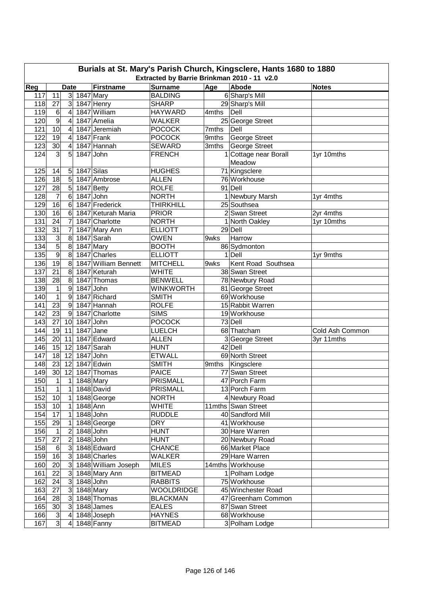| Burials at St. Mary's Parish Church, Kingsclere, Hants 1680 to 1880<br>Extracted by Barrie Brinkman 2010 - 11 v2.0 |                 |                         |             |                      |                   |       |                       |                 |  |  |
|--------------------------------------------------------------------------------------------------------------------|-----------------|-------------------------|-------------|----------------------|-------------------|-------|-----------------------|-----------------|--|--|
| Reg                                                                                                                |                 | <b>Date</b>             |             | <b>Firstname</b>     | <b>Surname</b>    | Age   | Abode                 | <b>Notes</b>    |  |  |
| 117                                                                                                                | 11              | 3 <sup>1</sup>          | $1847$ Mary |                      | <b>BALDING</b>    |       | 6 Sharp's Mill        |                 |  |  |
| 118                                                                                                                | 27              | $\mathbf{3}$            |             | 1847 Henry           | <b>SHARP</b>      |       | 29 Sharp's Mill       |                 |  |  |
| 119                                                                                                                | 6               | 4                       |             | 1847 William         | <b>HAYWARD</b>    | 4mths | Dell                  |                 |  |  |
| 120                                                                                                                | 9               | 4                       |             | 1847 Amelia          | <b>WALKER</b>     |       | 25 George Street      |                 |  |  |
| 121                                                                                                                | 10              | 4                       |             | 1847 Jeremiah        | <b>POCOCK</b>     | 7mths | Dell                  |                 |  |  |
| 122                                                                                                                | 19              | 4                       |             | 1847 Frank           | <b>POCOCK</b>     | 9mths | George Street         |                 |  |  |
| 123                                                                                                                | 30              | 4                       |             | 1847 Hannah          | <b>SEWARD</b>     |       | 3mths George Street   |                 |  |  |
| 124                                                                                                                | 3               | 5                       | 1847 John   |                      | <b>FRENCH</b>     |       | 1 Cottage near Borall | 1yr 10mths      |  |  |
|                                                                                                                    |                 |                         |             |                      |                   |       | Meadow                |                 |  |  |
| 125                                                                                                                | 14              | 5                       |             | 1847 Silas           | <b>HUGHES</b>     |       | 71 Kingsclere         |                 |  |  |
| 126                                                                                                                | 18              | 5                       |             | 1847 Ambrose         | <b>ALLEN</b>      |       | 76 Workhouse          |                 |  |  |
| 127                                                                                                                | 28              | 5                       |             | 1847 Betty           | <b>ROLFE</b>      |       | 91 Dell               |                 |  |  |
| 128                                                                                                                | $\overline{7}$  | 6                       | 1847 John   |                      | <b>NORTH</b>      |       | 1 Newbury Marsh       | 1yr 4mths       |  |  |
| 129                                                                                                                | 16              | 6                       |             | 1847 Frederick       | <b>THIRKHILL</b>  |       | 25 Southsea           |                 |  |  |
| 130                                                                                                                | 16              | 6                       |             | 1847 Keturah Maria   | <b>PRIOR</b>      |       | 2 Swan Street         | 2yr 4mths       |  |  |
| 131                                                                                                                | 24              | $\overline{7}$          |             | 1847 Charlotte       | <b>NORTH</b>      |       | 1 North Oakley        | 1yr 10mths      |  |  |
| 132                                                                                                                | $\overline{31}$ | $\overline{7}$          |             | 1847 Mary Ann        | <b>ELLIOTT</b>    |       | 29 Dell               |                 |  |  |
| 133                                                                                                                | 3               | 8                       |             | 1847 Sarah           | <b>OWEN</b>       | 9wks  | Harrow                |                 |  |  |
| 134                                                                                                                | $\overline{5}$  | 8                       |             | 1847 Mary            | <b>BOOTH</b>      |       | 86 Sydmonton          |                 |  |  |
| 135                                                                                                                | $\overline{9}$  | 8                       |             | 1847 Charles         | <b>ELLIOTT</b>    |       | 1 Dell                | 1yr 9mths       |  |  |
| 136                                                                                                                | $\overline{19}$ | 8                       |             | 1847 William Bennett | <b>MITCHELL</b>   | 9wks  | Kent Road Southsea    |                 |  |  |
| 137                                                                                                                | 21              | 8                       |             | 1847 Keturah         | <b>WHITE</b>      |       | 38 Swan Street        |                 |  |  |
| 138                                                                                                                | 28              | $\bf 8$                 |             | 1847 Thomas          | <b>BENWELL</b>    |       | 78 Newbury Road       |                 |  |  |
| 139                                                                                                                | $\mathbf 1$     | $\boldsymbol{9}$        | 1847 John   |                      | <b>WINKWORTH</b>  |       | 81 George Street      |                 |  |  |
| 140                                                                                                                | $\overline{1}$  | $\boldsymbol{9}$        |             | 1847 Richard         | <b>SMITH</b>      |       | 69 Workhouse          |                 |  |  |
| 141                                                                                                                | 23              | $\overline{9}$          |             | 1847 Hannah          | <b>ROLFE</b>      |       | 15 Rabbit Warren      |                 |  |  |
| 142                                                                                                                | 23              | $\overline{9}$          |             | 1847 Charlotte       | <b>SIMS</b>       |       | 19 Workhouse          |                 |  |  |
| 143                                                                                                                | 27              | 10                      | 1847 John   |                      | <b>POCOCK</b>     |       | 73 Dell               |                 |  |  |
| 144                                                                                                                | 19              | 11                      | 1847 Jane   |                      | <b>LUELCH</b>     |       | 68 Thatcham           | Cold Ash Common |  |  |
| 145                                                                                                                | 20              | 11                      |             | 1847 Edward          | <b>ALLEN</b>      |       | 3 George Street       | 3yr 11mths      |  |  |
| 146                                                                                                                | 15              | 12                      |             | 1847 Sarah           | <b>HUNT</b>       |       | 42 Dell               |                 |  |  |
| 147                                                                                                                | 18              | 12                      | 1847 John   |                      | <b>ETWALL</b>     |       | 69 North Street       |                 |  |  |
| 148                                                                                                                | 23              | 12                      |             | 1847 Edwin           | <b>SMITH</b>      | 9mths | Kingsclere            |                 |  |  |
| 149                                                                                                                | 30 <sub>l</sub> | 12                      |             | 1847 Thomas          | <b>PAICE</b>      |       | 77 Swan Street        |                 |  |  |
| 150                                                                                                                | $\overline{1}$  | $\overline{1}$          |             | 1848 Mary            | PRISMALL          |       | 47 Porch Farm         |                 |  |  |
| 151                                                                                                                | $\mathbf{1}$    | $\mathbf{1}$            |             | 1848 David           | <b>PRISMALL</b>   |       | 13 Porch Farm         |                 |  |  |
| 152                                                                                                                | 10              | $\mathbf{1}$            |             | 1848 George          | <b>NORTH</b>      |       | 4 Newbury Road        |                 |  |  |
| 153                                                                                                                | 10              | $\vert$                 | 1848 Ann    |                      | <b>WHITE</b>      |       | 11mths Swan Street    |                 |  |  |
| 154                                                                                                                | 17              | $\mathbf{1}$            |             | 1848 John            | <b>RUDDLE</b>     |       | 40 Sandford Mill      |                 |  |  |
| 155                                                                                                                | 29              | $\mathbf{1}$            |             | 1848 George          | <b>DRY</b>        |       | 41 Workhouse          |                 |  |  |
| 156                                                                                                                | 1               | $\overline{2}$          |             | 1848 John            | <b>HUNT</b>       |       | 30 Hare Warren        |                 |  |  |
| 157                                                                                                                | 27              | $\overline{2}$          |             | 1848 John            | <b>HUNT</b>       |       | 20 Newbury Road       |                 |  |  |
| 158                                                                                                                | 6               | 3                       |             | 1848 Edward          | <b>CHANCE</b>     |       | 66 Market Place       |                 |  |  |
| 159                                                                                                                | 16              | 3                       |             | 1848 Charles         | <b>WALKER</b>     |       | 29 Hare Warren        |                 |  |  |
| 160                                                                                                                | 20              | 3                       |             | 1848 William Joseph  | <b>MILES</b>      |       | 14mths Workhouse      |                 |  |  |
| 161                                                                                                                | 22              | 3 <sup>1</sup>          |             | 1848 Mary Ann        | <b>BITMEAD</b>    |       | 1 Polham Lodge        |                 |  |  |
| 162                                                                                                                | 24              | 3 <sup>1</sup>          |             | 1848 John            | <b>RABBITS</b>    |       | 75 Workhouse          |                 |  |  |
| 163                                                                                                                | 27              | $\mathbf{3}$            |             | 1848 Mary            | <b>WOOLDRIDGE</b> |       | 45 Winchester Road    |                 |  |  |
| 164                                                                                                                | 28              | 3                       |             | 1848 Thomas          | <b>BLACKMAN</b>   |       | 47 Greenham Common    |                 |  |  |
| 165                                                                                                                | 30              | $\mathbf{3}$            |             | 1848 James           | <b>EALES</b>      |       | 87 Swan Street        |                 |  |  |
| 166                                                                                                                | $\mathbf{3}$    | $\overline{\mathbf{4}}$ |             | 1848 Joseph          | <b>HAYNES</b>     |       | 68 Workhouse          |                 |  |  |
| 167                                                                                                                | $\overline{3}$  | 4                       |             | 1848 Fanny           | <b>BITMEAD</b>    |       | 3 Polham Lodge        |                 |  |  |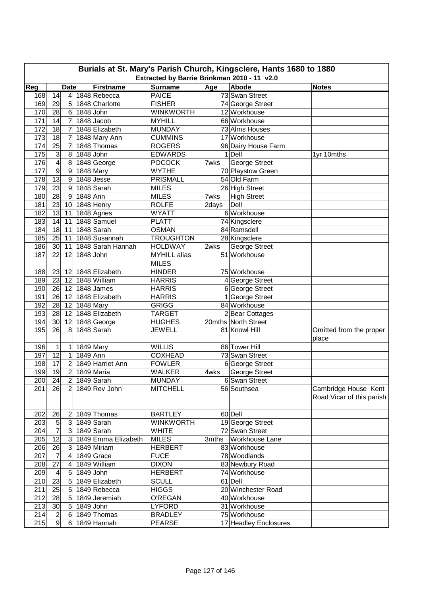| Burials at St. Mary's Parish Church, Kingsclere, Hants 1680 to 1880<br>Extracted by Barrie Brinkman 2010 - 11 v2.0 |                                                                                          |                  |           |                       |                     |       |                               |                           |  |  |  |  |
|--------------------------------------------------------------------------------------------------------------------|------------------------------------------------------------------------------------------|------------------|-----------|-----------------------|---------------------|-------|-------------------------------|---------------------------|--|--|--|--|
|                                                                                                                    | Age<br>Abode<br>Reg<br><b>Firstname</b><br><b>Surname</b><br><b>Date</b><br><b>Notes</b> |                  |           |                       |                     |       |                               |                           |  |  |  |  |
| 168                                                                                                                | 14                                                                                       | $\overline{4}$   |           | 1848 Rebecca          | <b>PAICE</b>        |       | 73 Swan Street                |                           |  |  |  |  |
| 169                                                                                                                | 29                                                                                       | 5                |           | 1848 Charlotte        | <b>FISHER</b>       |       | 74 George Street              |                           |  |  |  |  |
| 170                                                                                                                | 28                                                                                       | $6\phantom{1}$   | 1848 John |                       | <b>WINKWORTH</b>    |       | 12 Workhouse                  |                           |  |  |  |  |
| 171                                                                                                                | 14                                                                                       | $\overline{7}$   |           | 1848 Jacob            | <b>MYHILL</b>       |       | 66 Workhouse                  |                           |  |  |  |  |
| 172                                                                                                                | 18                                                                                       | 7                |           | 1848 Elizabeth        | <b>MUNDAY</b>       |       | 73 Alms Houses                |                           |  |  |  |  |
| 173                                                                                                                | 18                                                                                       | 7                |           | 1848 Mary Ann         | <b>CUMMINS</b>      |       | 17 Workhouse                  |                           |  |  |  |  |
| 174                                                                                                                | 25                                                                                       | 7                |           | 1848 Thomas           | <b>ROGERS</b>       |       | 96 Dairy House Farm           |                           |  |  |  |  |
| 175                                                                                                                | 3                                                                                        | 8                | 1848 John |                       | <b>EDWARDS</b>      |       | 1 Dell                        | 1yr 10mths                |  |  |  |  |
| 176                                                                                                                | $\overline{\mathbf{4}}$                                                                  | 8                |           | 1848 George           | <b>POCOCK</b>       | 7wks  | <b>George Street</b>          |                           |  |  |  |  |
| 177                                                                                                                | 9                                                                                        | $\boldsymbol{9}$ |           | 1848 Mary             | <b>WYTHE</b>        |       | 70 Playstow Green             |                           |  |  |  |  |
| 178                                                                                                                | $\overline{13}$                                                                          | $\boldsymbol{9}$ |           | 1848 Jesse            | <b>PRISMALL</b>     |       | 54 Old Farm                   |                           |  |  |  |  |
| 179                                                                                                                | 23                                                                                       | 9                |           | 1848 Sarah            | <b>MILES</b>        |       | 26 High Street                |                           |  |  |  |  |
| 180                                                                                                                | 28                                                                                       | 9                | 1848 Ann  |                       | <b>MILES</b>        | 7wks  | <b>High Street</b>            |                           |  |  |  |  |
| 181                                                                                                                | 23                                                                                       | 10               |           | 1848 Henry            | <b>ROLFE</b>        | 2days | Dell                          |                           |  |  |  |  |
| 182                                                                                                                | 13                                                                                       | 11               |           | 1848 Agnes            | <b>WYATT</b>        |       | 6 Workhouse                   |                           |  |  |  |  |
| 183                                                                                                                | 14                                                                                       | 11               |           | 1848 Samuel           | <b>PLATT</b>        |       |                               |                           |  |  |  |  |
| 184                                                                                                                | 18                                                                                       | 11               |           | 1848 Sarah            | <b>OSMAN</b>        |       | 74 Kingsclere<br>84 Ramsdell  |                           |  |  |  |  |
| 185                                                                                                                |                                                                                          | 11               |           | 1848 Susannah         |                     |       |                               |                           |  |  |  |  |
|                                                                                                                    | 25                                                                                       |                  |           |                       | <b>TROUGHTON</b>    |       | 28 Kingsclere                 |                           |  |  |  |  |
| 186                                                                                                                | 30                                                                                       | 11               |           | 1848 Sarah Hannah     | <b>HOLDWAY</b>      | 2wks  | George Street<br>51 Workhouse |                           |  |  |  |  |
| 187                                                                                                                | 22                                                                                       | 12               | 1848 John |                       | <b>MYHILL</b> alias |       |                               |                           |  |  |  |  |
|                                                                                                                    |                                                                                          |                  |           |                       | <b>MILES</b>        |       |                               |                           |  |  |  |  |
| 188                                                                                                                | 23                                                                                       | 12               |           | 1848 Elizabeth        | <b>HINDER</b>       |       | 75 Workhouse                  |                           |  |  |  |  |
| 189                                                                                                                | 23                                                                                       | 12               |           | 1848 William          | <b>HARRIS</b>       |       | 4 George Street               |                           |  |  |  |  |
| 190                                                                                                                | 26                                                                                       | 12               |           | 1848 James            | <b>HARRIS</b>       |       | 6 George Street               |                           |  |  |  |  |
| 191                                                                                                                | 26                                                                                       | 12               |           | 1848 Elizabeth        | <b>HARRIS</b>       |       | 1 George Street               |                           |  |  |  |  |
| 192                                                                                                                | 28                                                                                       | 12               |           | 1848 Mary             | <b>GRIGG</b>        |       | 84 Workhouse                  |                           |  |  |  |  |
| 193                                                                                                                | 28                                                                                       | 12               |           | 1848 Elizabeth        | <b>TARGET</b>       |       | 2 Bear Cottages               |                           |  |  |  |  |
| 194<br>195                                                                                                         | 30                                                                                       | 12               |           | 1848 George           | <b>HUGHES</b>       |       | 20mths North Street           |                           |  |  |  |  |
|                                                                                                                    | 26                                                                                       | 8                |           | 1848 Sarah            | <b>JEWELL</b>       |       | 81 Knowl Hill                 | Omitted from the proper   |  |  |  |  |
|                                                                                                                    |                                                                                          |                  |           |                       |                     |       |                               | place                     |  |  |  |  |
| 196                                                                                                                | 1                                                                                        | $\mathbf{1}$     |           | 1849 Mary             | <b>WILLIS</b>       |       | 86 Tower Hill                 |                           |  |  |  |  |
| 197                                                                                                                | $\overline{12}$                                                                          | $\mathbf{1}$     | 1849 Ann  |                       | <b>COXHEAD</b>      |       | 73 Swan Street                |                           |  |  |  |  |
| 198                                                                                                                | 17                                                                                       | $\overline{c}$   |           | 1849 Harriet Ann      | <b>FOWLER</b>       |       | 6 George Street               |                           |  |  |  |  |
| 199                                                                                                                | 19                                                                                       | $\overline{2}$   |           | 1849 Maria            | <b>WALKER</b>       | 4wks  | George Street                 |                           |  |  |  |  |
| 200                                                                                                                | 24                                                                                       | $\overline{2}$   |           | 1849 Sarah            | <b>MUNDAY</b>       |       | 6 Swan Street                 |                           |  |  |  |  |
| 201                                                                                                                | 26                                                                                       | $\overline{2}$   |           | 1849 Rev John         | <b>MITCHELL</b>     |       | 56 Southsea                   | Cambridge House Kent      |  |  |  |  |
|                                                                                                                    |                                                                                          |                  |           |                       |                     |       |                               | Road Vicar of this parish |  |  |  |  |
|                                                                                                                    |                                                                                          |                  |           |                       |                     |       |                               |                           |  |  |  |  |
| 202                                                                                                                | 26                                                                                       | $\mathbf{2}$     |           | 1849 Thomas           | <b>BARTLEY</b>      |       | 60 Dell                       |                           |  |  |  |  |
| 203                                                                                                                | 5                                                                                        |                  |           | 3 1849 Sarah          | <b>WINKWORTH</b>    |       | 19 George Street              |                           |  |  |  |  |
| 204                                                                                                                | $\overline{7}$                                                                           |                  |           | 3 1849 Sarah          | <b>WHITE</b>        |       | 72 Swan Street                |                           |  |  |  |  |
| 205                                                                                                                | 12                                                                                       |                  |           | 3 1849 Emma Elizabeth | <b>MILES</b>        |       | 3mths Workhouse Lane          |                           |  |  |  |  |
| 206                                                                                                                | 26                                                                                       |                  |           | 1849 Miriam           | <b>HERBERT</b>      |       | 83 Workhouse                  |                           |  |  |  |  |
| 207                                                                                                                | 7                                                                                        | $\overline{4}$   |           | 1849 Grace            | <b>FUCE</b>         |       | 78 Woodlands                  |                           |  |  |  |  |
| 208                                                                                                                | 27                                                                                       | 4                |           | 1849 William          | <b>DIXON</b>        |       | 83 Newbury Road               |                           |  |  |  |  |
| 209                                                                                                                | $\overline{4}$                                                                           | 5                | 1849 John |                       | <b>HERBERT</b>      |       | 74 Workhouse                  |                           |  |  |  |  |
| 210                                                                                                                | 23                                                                                       | $5\overline{)}$  |           | 1849 Elizabeth        | <b>SCULL</b>        |       | 61 Dell                       |                           |  |  |  |  |
| 211                                                                                                                | 25                                                                                       | 5 <sup>5</sup>   |           | 1849 Rebecca          | <b>HIGGS</b>        |       | 20 Winchester Road            |                           |  |  |  |  |
| 212                                                                                                                | 28                                                                                       | 5 <sup>1</sup>   |           | 1849 Jeremiah         | O'REGAN             |       | 40 Workhouse                  |                           |  |  |  |  |
| 213                                                                                                                | 30                                                                                       | 5 <sub>l</sub>   | 1849 John |                       | LYFORD              |       | 31 Workhouse                  |                           |  |  |  |  |
| 214                                                                                                                | $\overline{c}$                                                                           | $6 \mid$         |           | 1849 Thomas           | <b>BRADLEY</b>      |       | 75 Workhouse                  |                           |  |  |  |  |
| 215                                                                                                                | 9                                                                                        |                  |           | 6 1849 Hannah         | <b>PEARSE</b>       |       | 17 Headley Enclosures         |                           |  |  |  |  |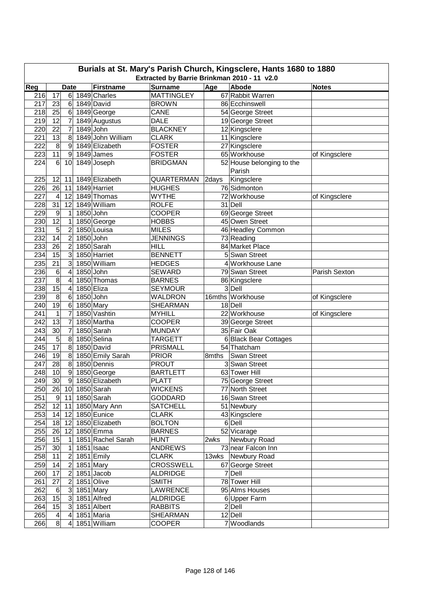| Burials at St. Mary's Parish Church, Kingsclere, Hants 1680 to 1880<br>Extracted by Barrie Brinkman 2010 - 11 v2.0 |                 |                  |             |                           |                   |       |                                           |               |  |  |  |
|--------------------------------------------------------------------------------------------------------------------|-----------------|------------------|-------------|---------------------------|-------------------|-------|-------------------------------------------|---------------|--|--|--|
| Reg                                                                                                                |                 | <b>Date</b>      |             | <b>Firstname</b>          | <b>Surname</b>    | Age   | <b>Abode</b>                              | <b>Notes</b>  |  |  |  |
| 216                                                                                                                | 17              | 6 <sup>1</sup>   |             | 1849 Charles              | <b>MATTINGLEY</b> |       | 67 Rabbit Warren                          |               |  |  |  |
| 217                                                                                                                | 23              | 6                |             | 1849 David                | <b>BROWN</b>      |       | 86 Ecchinswell                            |               |  |  |  |
| 218                                                                                                                | 25              | 6                |             | 1849 George               | <b>CANE</b>       |       | 54 George Street                          |               |  |  |  |
| 219                                                                                                                | 12              | $\overline{7}$   |             | 1849 Augustus             | <b>DALE</b>       |       | 19 George Street                          |               |  |  |  |
| 220                                                                                                                | 22              | $\overline{7}$   | 1849 John   |                           | <b>BLACKNEY</b>   |       | 12 Kingsclere                             |               |  |  |  |
| 221                                                                                                                | 13              | 8                |             | 1849 John William         | <b>CLARK</b>      |       |                                           |               |  |  |  |
| 222                                                                                                                | 8               | 9                |             | 1849 Elizabeth            | <b>FOSTER</b>     |       | 11 Kingsclere                             |               |  |  |  |
|                                                                                                                    | 11              |                  |             |                           | <b>FOSTER</b>     |       | 27 Kingsclere                             |               |  |  |  |
| 223<br>224                                                                                                         | $6 \,$          | 9                |             | 1849 James<br>1849 Joseph |                   |       | 65 Workhouse<br>52 House belonging to the | of Kingsclere |  |  |  |
|                                                                                                                    |                 | 10               |             |                           | <b>BRIDGMAN</b>   |       | Parish                                    |               |  |  |  |
| 225                                                                                                                |                 |                  |             | 1849 Elizabeth            | <b>QUARTERMAN</b> |       |                                           |               |  |  |  |
|                                                                                                                    | 12              | 11               |             | 1849 Harriet              |                   | 2days | Kingsclere<br>76 Sidmonton                |               |  |  |  |
| 226                                                                                                                | 26              | 11               |             |                           | <b>HUGHES</b>     |       |                                           |               |  |  |  |
| 227                                                                                                                | 4               | 12               |             | 1849 Thomas               | <b>WYTHE</b>      |       | 72 Workhouse                              | of Kingsclere |  |  |  |
| 228                                                                                                                | 31              | 12               |             | 1849 William              | <b>ROLFE</b>      |       | 31 Dell                                   |               |  |  |  |
| 229                                                                                                                | 9               | 1                | 1850 John   |                           | <b>COOPER</b>     |       | 69 George Street                          |               |  |  |  |
| 230                                                                                                                | 12              | 1                |             | 1850 George               | <b>HOBBS</b>      |       | 45 Owen Street                            |               |  |  |  |
| 231                                                                                                                | 5               | $\overline{c}$   |             | 1850 Louisa               | <b>MILES</b>      |       | 46 Headley Common                         |               |  |  |  |
| 232                                                                                                                | $\overline{14}$ | $\overline{c}$   | 1850 John   |                           | <b>JENNINGS</b>   |       | 73 Reading                                |               |  |  |  |
| 233                                                                                                                | 26              | $\overline{c}$   |             | 1850 Sarah                | <b>HILL</b>       |       | 84 Market Place                           |               |  |  |  |
| 234                                                                                                                | 15              | 3                |             | 1850 Harriet              | <b>BENNETT</b>    |       | 5 Swan Street                             |               |  |  |  |
| 235                                                                                                                | 21              | 3                |             | 1850 William              | <b>HEDGES</b>     |       | 4 Workhouse Lane                          |               |  |  |  |
| 236                                                                                                                | 6               | 4                | 1850 John   |                           | <b>SEWARD</b>     |       | 79 Swan Street                            | Parish Sexton |  |  |  |
| 237                                                                                                                | 8               | 4                |             | 1850 Thomas               | <b>BARNES</b>     |       | 86 Kingsclere                             |               |  |  |  |
| 238                                                                                                                | 15              | 4                | 1850 Eliza  |                           | <b>SEYMOUR</b>    |       | 3 Dell                                    |               |  |  |  |
| 239                                                                                                                | 8               | 6                | $1850$ John |                           | WALDRON           |       | 16mths Workhouse                          | of Kingsclere |  |  |  |
| 240                                                                                                                | $\overline{19}$ | 6                | 1850 Mary   |                           | <b>SHEARMAN</b>   |       | 18 Dell                                   |               |  |  |  |
| 241                                                                                                                | 1               | 7                |             | 1850 Vashtin              | <b>MYHILL</b>     |       | 22 Workhouse                              | of Kingsclere |  |  |  |
| 242                                                                                                                | 13              | 7                |             | 1850 Martha               | <b>COOPER</b>     |       | 39 George Street                          |               |  |  |  |
| 243                                                                                                                | 30              | 7                |             | 1850 Sarah                | <b>MUNDAY</b>     |       | 35 Fair Oak                               |               |  |  |  |
| 244                                                                                                                | $\sqrt{5}$      | 8                |             | 1850 Selina               | <b>TARGETT</b>    |       | 6 Black Bear Cottages                     |               |  |  |  |
| 245                                                                                                                | $\overline{17}$ | 8                |             | 1850 David                | <b>PRISMALL</b>   |       | 54 Thatcham                               |               |  |  |  |
| 246                                                                                                                | 19              | 8                |             | 1850 Emily Sarah          | <b>PRIOR</b>      | 8mths | Swan Street                               |               |  |  |  |
| 247                                                                                                                | 28              | 8                |             | 1850 Dennis               | <b>PROUT</b>      |       | 3 Swan Street                             |               |  |  |  |
| 248                                                                                                                | 10              | $\boldsymbol{9}$ |             | 1850 George               | <b>BARTLETT</b>   |       | 63 Tower Hill                             |               |  |  |  |
| 249                                                                                                                | 30              |                  |             | 9 1850 Elizabeth          | <b>PLATT</b>      |       | 75 George Street                          |               |  |  |  |
| 250                                                                                                                |                 |                  |             | 26 10 1850 Sarah          | <b>WICKENS</b>    |       | 77 North Street                           |               |  |  |  |
| 251                                                                                                                | 9 <sup>1</sup>  | 11               |             | 1850 Sarah                | <b>GODDARD</b>    |       | 16 Swan Street                            |               |  |  |  |
| 252                                                                                                                | 12              | 11               |             | 1850 Mary Ann             | <b>SATCHELL</b>   |       | 51 Newbury                                |               |  |  |  |
| 253                                                                                                                | $14$ 12         |                  |             | 1850 Eunice               | <b>CLARK</b>      |       | 43 Kingsclere                             |               |  |  |  |
| 254                                                                                                                | 18              | 12               |             | 1850 Elizabeth            | <b>BOLTON</b>     |       | $6$ Dell                                  |               |  |  |  |
| 255                                                                                                                | 26              | 12               |             | 1850 Emma                 | <b>BARNES</b>     |       | 52 Vicarage                               |               |  |  |  |
| 256                                                                                                                | 15              | 1                |             | 1851 Rachel Sarah         | <b>HUNT</b>       | 2wks  | Newbury Road                              |               |  |  |  |
| 257                                                                                                                | 30              | 1                |             | 1851 Isaac                | <b>ANDREWS</b>    |       | 73 near Falcon Inn                        |               |  |  |  |
| 258                                                                                                                | 11              | 2                |             | 1851 Emily                | <b>CLARK</b>      |       | 13wks Newbury Road                        |               |  |  |  |
| 259                                                                                                                | 14              | $\overline{2}$   |             | 1851 Mary                 | <b>CROSSWELL</b>  |       | 67 George Street                          |               |  |  |  |
| 260                                                                                                                | 17              | 2                |             | 1851 Jacob                | <b>ALDRIDGE</b>   |       | 7 Dell                                    |               |  |  |  |
| 261                                                                                                                | 27              | 2                |             | 1851 Olive                | <b>SMITH</b>      |       | 78 Tower Hill                             |               |  |  |  |
| 262                                                                                                                | $\,6$           | $\overline{3}$   |             | $1851$ Mary               | <b>LAWRENCE</b>   |       | 95 Alms Houses                            |               |  |  |  |
| 263                                                                                                                | 15              | $\mathbf{3}$     |             | 1851 Alfred               | <b>ALDRIDGE</b>   |       | 6 Upper Farm                              |               |  |  |  |
| 264                                                                                                                | 15              | $\overline{3}$   |             | 1851 Albert               | <b>RABBITS</b>    |       | $2$ Dell                                  |               |  |  |  |
| 265                                                                                                                | 4               | 4                |             | 1851 Maria                | <b>SHEARMAN</b>   |       | 12 Dell                                   |               |  |  |  |
| 266                                                                                                                | 8 <sup>1</sup>  | 4                |             | 1851 William              | COOPER            |       | 7 Woodlands                               |               |  |  |  |
|                                                                                                                    |                 |                  |             |                           |                   |       |                                           |               |  |  |  |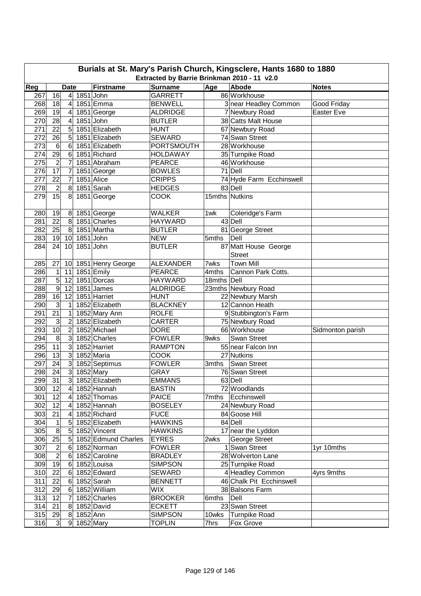|            | Burials at St. Mary's Parish Church, Kingsclere, Hants 1680 to 1880<br>Extracted by Barrie Brinkman 2010 - 11 v2.0 |                                  |           |                            |                                 |                      |                                         |                  |  |  |  |  |
|------------|--------------------------------------------------------------------------------------------------------------------|----------------------------------|-----------|----------------------------|---------------------------------|----------------------|-----------------------------------------|------------------|--|--|--|--|
|            | <b>Surname</b><br>Age<br>Abode<br><b>Date</b><br><b>Firstname</b><br><b>Notes</b>                                  |                                  |           |                            |                                 |                      |                                         |                  |  |  |  |  |
| Reg        |                                                                                                                    |                                  |           |                            |                                 |                      |                                         |                  |  |  |  |  |
| 267        | 16                                                                                                                 | $\vert 4 \vert$                  | 1851 John |                            | <b>GARRETT</b>                  |                      | 86 Workhouse                            |                  |  |  |  |  |
| 268        | 18                                                                                                                 | 4                                |           | 1851 Emma                  | <b>BENWELL</b>                  |                      | 3 near Headley Common                   | Good Friday      |  |  |  |  |
| 269        | 19                                                                                                                 | 4                                |           | 1851 George                | <b>ALDRIDGE</b>                 |                      | 7 Newbury Road                          | Easter Eve       |  |  |  |  |
| 270        | 28                                                                                                                 | 4                                |           | 1851 John                  | <b>BUTLER</b>                   |                      | 38 Catts Malt House                     |                  |  |  |  |  |
| 271        | 22                                                                                                                 | 5                                |           | 1851 Elizabeth             | <b>HUNT</b>                     |                      | 67 Newbury Road                         |                  |  |  |  |  |
| 272        | 26                                                                                                                 | 5                                |           | 1851 Elizabeth             | <b>SEWARD</b>                   |                      | 74 Swan Street                          |                  |  |  |  |  |
| 273        | 6                                                                                                                  | 6                                |           | 1851 Elizabeth             | <b>PORTSMOUTH</b>               |                      | 28 Workhouse                            |                  |  |  |  |  |
| 274        | 29                                                                                                                 | 6                                |           | 1851 Richard               | <b>HOLDAWAY</b>                 |                      | 35 Turnpike Road                        |                  |  |  |  |  |
| 275        | $\overline{c}$                                                                                                     | 7                                |           | 1851 Abraham               | <b>PEARCE</b>                   |                      | 46 Workhouse                            |                  |  |  |  |  |
| 276        | 17                                                                                                                 | $\overline{7}$                   |           | 1851 George                | <b>BOWLES</b>                   |                      | 71 Dell                                 |                  |  |  |  |  |
| 277        | 22                                                                                                                 | $\overline{7}$                   |           | 1851 Alice                 | <b>CRIPPS</b>                   |                      | 74 Hyde Farm Ecchinswell                |                  |  |  |  |  |
| 278        | $\overline{\mathbf{c}}$                                                                                            | 8                                |           | 1851 Sarah                 | <b>HEDGES</b>                   |                      | 83 Dell                                 |                  |  |  |  |  |
| 279        | $\overline{15}$                                                                                                    | 8                                |           | 1851 George                | COOK                            |                      | 15mths Nutkins                          |                  |  |  |  |  |
| 280        | 19                                                                                                                 | 8                                |           | 1851 George                | <b>WALKER</b>                   | 1wk                  | Coleridge's Farm                        |                  |  |  |  |  |
| 281        | $\overline{22}$                                                                                                    | 8                                |           | 1851 Charles               | <b>HAYWARD</b>                  |                      | 43 Dell                                 |                  |  |  |  |  |
| 282        | 25                                                                                                                 | 8                                |           | 1851 Martha                | <b>BUTLER</b>                   |                      | 81 George Street                        |                  |  |  |  |  |
| 283        | 19                                                                                                                 | 10                               | 1851 John |                            | <b>NEW</b>                      | 5mths                | Dell                                    |                  |  |  |  |  |
| 284        | 24                                                                                                                 | 10                               |           | 1851 John                  | <b>BUTLER</b>                   |                      | 87 Matt House George                    |                  |  |  |  |  |
|            |                                                                                                                    |                                  |           |                            |                                 |                      | <b>Street</b>                           |                  |  |  |  |  |
|            |                                                                                                                    |                                  |           |                            | <b>ALEXANDER</b>                | 7wks                 | <b>Town Mill</b>                        |                  |  |  |  |  |
| 285<br>286 | 27<br>1                                                                                                            | 10                               |           | 1851 Henry George          |                                 |                      |                                         |                  |  |  |  |  |
| 287        | $\overline{5}$                                                                                                     | 11<br>12                         |           | 1851 Emily<br>1851 Dorcas  | <b>PEARCE</b><br><b>HAYWARD</b> | 4mths<br>18mths Dell | Cannon Park Cotts.                      |                  |  |  |  |  |
|            | $\overline{9}$                                                                                                     |                                  |           |                            |                                 |                      |                                         |                  |  |  |  |  |
| 288        | 16                                                                                                                 | 12<br>12                         |           | 1851 James<br>1851 Harriet | <b>ALDRIDGE</b><br><b>HUNT</b>  |                      | 23mths Newbury Road                     |                  |  |  |  |  |
| 289<br>290 | 3                                                                                                                  | $\mathbf 1$                      |           | 1852 Elizabeth             | <b>BLACKNEY</b>                 |                      | 22 Newbury Marsh<br>12 Cannon Heath     |                  |  |  |  |  |
| 291        | 21                                                                                                                 | $\mathbf{1}$                     |           | 1852 Mary Ann              | <b>ROLFE</b>                    |                      |                                         |                  |  |  |  |  |
| 292        | 3                                                                                                                  | $\overline{2}$                   |           | 1852 Elizabeth             | <b>CARTER</b>                   |                      | 9 Stubbington's Farm<br>75 Newbury Road |                  |  |  |  |  |
| 293        | 10                                                                                                                 | $\overline{c}$                   |           | 1852 Michael               | <b>DORE</b>                     |                      | 66 Workhouse                            |                  |  |  |  |  |
| 294        | 8                                                                                                                  | 3                                |           | 1852 Charles               | <b>FOWLER</b>                   | 9wks                 | <b>Swan Street</b>                      | Sidmonton parish |  |  |  |  |
| 295        | 11                                                                                                                 | 3                                |           | 1852 Harriet               |                                 |                      |                                         |                  |  |  |  |  |
|            |                                                                                                                    | $\overline{3}$                   |           | 1852 Maria                 | <b>RAMPTON</b>                  |                      | 55 near Falcon Inn<br>27 Nutkins        |                  |  |  |  |  |
| 296        | 13                                                                                                                 |                                  |           |                            | <b>COOK</b>                     |                      |                                         |                  |  |  |  |  |
| 297        | 24                                                                                                                 | $\overline{3}$<br>$\overline{3}$ |           | 1852 Septimus              | <b>FOWLER</b>                   | 3mths                | Swan Street                             |                  |  |  |  |  |
| 298        | 24                                                                                                                 |                                  |           | 1852 Mary                  | <b>GRAY</b>                     |                      | 76 Swan Street                          |                  |  |  |  |  |
| 299        | $\overline{31}$                                                                                                    | ω                                |           | 1852 Elizabeth             | <b>EMMANS</b>                   |                      | 63 Dell                                 |                  |  |  |  |  |
| 300        | 12                                                                                                                 | $\vert 4 \vert$                  |           | 1852 Hannah                | <b>BASTIN</b>                   |                      | 72 Woodlands                            |                  |  |  |  |  |
| 301        | 12                                                                                                                 | $\frac{4}{ }$                    |           | 1852 Thomas                | <b>PAICE</b>                    |                      | 7mths Ecchinswell                       |                  |  |  |  |  |
| 302        | 12                                                                                                                 | $\overline{4}$                   |           | 1852 Hannah                | <b>BOSELEY</b>                  |                      | 24 Newbury Road                         |                  |  |  |  |  |
| 303        | 21                                                                                                                 | $\overline{4}$                   |           | 1852 Richard               | <b>FUCE</b>                     |                      | 84 Goose Hill                           |                  |  |  |  |  |
| 304        | 1                                                                                                                  | 5                                |           | 1852 Elizabeth             | <b>HAWKINS</b>                  |                      | 84 Dell                                 |                  |  |  |  |  |
| 305        | 8                                                                                                                  | 5                                |           | 1852 Vincent               | <b>HAWKINS</b>                  |                      | 17 near the Lyddon                      |                  |  |  |  |  |
| 306        | 25                                                                                                                 | 5                                |           | 1852 Edmund Charles        | <b>EYRES</b>                    | 2wks                 | George Street                           |                  |  |  |  |  |
| 307        | $\overline{c}$                                                                                                     | 6                                |           | 1852 Norman                | <b>FOWLER</b>                   |                      | 1 Swan Street                           | 1yr 10mths       |  |  |  |  |
| 308        | $\overline{c}$                                                                                                     | 6                                |           | 1852 Caroline              | <b>BRADLEY</b>                  |                      | 28 Wolverton Lane                       |                  |  |  |  |  |
| 309        | 19                                                                                                                 | 6                                |           | 1852 Louisa                | <b>SIMPSON</b>                  |                      | 25 Turnpike Road                        |                  |  |  |  |  |
| 310        | 22                                                                                                                 | 6                                |           | 1852 Edward                | SEWARD                          |                      | 4 Headley Common                        | 4yrs 9mths       |  |  |  |  |
| 311        | 22                                                                                                                 | 6                                |           | 1852 Sarah                 | <b>BENNETT</b>                  |                      | 46 Chalk Pit Ecchinswell                |                  |  |  |  |  |
| 312        | 29                                                                                                                 | 6                                |           | 1852 William               | <b>WIX</b>                      |                      | 38 Balsons Farm                         |                  |  |  |  |  |
| 313        | 12                                                                                                                 | 7                                |           | 1852 Charles               | <b>BROOKER</b>                  | 6mths                | Dell                                    |                  |  |  |  |  |
| 314        | 21                                                                                                                 | 8                                |           | 1852 David                 | <b>ECKETT</b>                   |                      | 23 Swan Street                          |                  |  |  |  |  |
| 315        | 29                                                                                                                 | 8                                | 1852 Ann  |                            | <b>SIMPSON</b>                  | 10wks                | <b>Turnpike Road</b>                    |                  |  |  |  |  |
| 316        | $\mathbf{3}$                                                                                                       | $\vert$ 9                        |           | 1852 Mary                  | TOPLIN                          | 7hrs                 | Fox Grove                               |                  |  |  |  |  |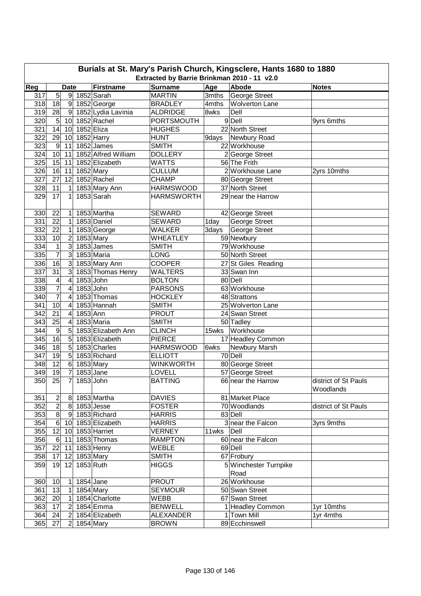|     | Burials at St. Mary's Parish Church, Kingsclere, Hants 1680 to 1880 |                          |             |                     |                   |       |                       |                                   |  |  |  |  |
|-----|---------------------------------------------------------------------|--------------------------|-------------|---------------------|-------------------|-------|-----------------------|-----------------------------------|--|--|--|--|
|     | Extracted by Barrie Brinkman 2010 - 11 v2.0                         |                          |             |                     |                   |       |                       |                                   |  |  |  |  |
| Reg |                                                                     | <b>Date</b>              |             | <b>Firstname</b>    | <b>Surname</b>    | Age   | Abode                 | <b>Notes</b>                      |  |  |  |  |
| 317 | 5                                                                   |                          |             | 9 1852 Sarah        | <b>MARTIN</b>     | 3mths | George Street         |                                   |  |  |  |  |
| 318 | 18                                                                  | 9                        |             | 1852 George         | <b>BRADLEY</b>    | 4mths | <b>Wolverton Lane</b> |                                   |  |  |  |  |
| 319 | 28                                                                  | 9                        |             | 1852 Lydia Lavinia  | <b>ALDRIDGE</b>   | 8wks  | Dell                  |                                   |  |  |  |  |
| 320 | 5                                                                   | 10                       |             | 1852 Rachel         | <b>PORTSMOUTH</b> |       | 9Dell                 | 9yrs 6mths                        |  |  |  |  |
| 321 | 14                                                                  | 10                       | 1852 Eliza  |                     | <b>HUGHES</b>     |       | 22 North Street       |                                   |  |  |  |  |
| 322 | 29                                                                  | 10                       |             | 1852 Harry          | <b>HUNT</b>       | 9days | Newbury Road          |                                   |  |  |  |  |
| 323 | $\boldsymbol{9}$                                                    | 11                       |             | 1852 James          | <b>SMITH</b>      |       | 22 Workhouse          |                                   |  |  |  |  |
| 324 | 10                                                                  | 11                       |             | 1852 Alfred William | <b>DOLLERY</b>    |       | 2 George Street       |                                   |  |  |  |  |
| 325 | 15                                                                  | 11                       |             | 1852 Elizabeth      | <b>WATTS</b>      |       | 56 The Frith          |                                   |  |  |  |  |
| 326 | 16                                                                  | 11                       | 1852 Mary   |                     | <b>CULLUM</b>     |       | 2 Workhouse Lane      | 2yrs 10mths                       |  |  |  |  |
| 327 | 27                                                                  | 12                       |             | 1852 Rachel         | <b>CHAMP</b>      |       | 80 George Street      |                                   |  |  |  |  |
| 328 | 11                                                                  | 1                        |             | 1853 Mary Ann       | <b>HARMSWOOD</b>  |       | 37 North Street       |                                   |  |  |  |  |
| 329 | 17                                                                  | 1                        |             | 1853 Sarah          | <b>HARMSWORTH</b> |       | 29 near the Harrow    |                                   |  |  |  |  |
| 330 | 22                                                                  | 1                        |             | 1853 Martha         | <b>SEWARD</b>     |       | 42 George Street      |                                   |  |  |  |  |
| 331 | 22                                                                  | 1                        |             | 1853 Daniel         | <b>SEWARD</b>     | 1day  | George Street         |                                   |  |  |  |  |
| 332 | 22                                                                  | 1                        |             | 1853 George         | <b>WALKER</b>     | 3days | <b>George Street</b>  |                                   |  |  |  |  |
| 333 | 10                                                                  | $\overline{c}$           |             | 1853 Mary           | <b>WHEATLEY</b>   |       | 59 Newbury            |                                   |  |  |  |  |
| 334 | $\mathbf 1$                                                         | 3                        |             | 1853 James          | <b>SMITH</b>      |       | 79 Workhouse          |                                   |  |  |  |  |
| 335 | $\overline{7}$                                                      | 3                        |             | 1853 Maria          | <b>LONG</b>       |       | 50 North Street       |                                   |  |  |  |  |
| 336 | 16                                                                  | 3                        |             | 1853 Mary Ann       | <b>COOPER</b>     |       | 27 St Giles Reading   |                                   |  |  |  |  |
| 337 | 31                                                                  | 3                        |             | 1853 Thomas Henry   | <b>WALTERS</b>    |       | 33 Swan Inn           |                                   |  |  |  |  |
| 338 | $\overline{\mathbf{4}}$                                             | $\overline{\mathcal{A}}$ | 1853 John   |                     | <b>BOLTON</b>     |       | 80 Dell               |                                   |  |  |  |  |
| 339 | $\overline{7}$                                                      | 4                        | 1853 John   |                     | <b>PARSONS</b>    |       | 63 Workhouse          |                                   |  |  |  |  |
| 340 | $\overline{7}$                                                      | 4                        |             | 1853 Thomas         | <b>HOCKLEY</b>    |       | 48 Strattons          |                                   |  |  |  |  |
| 341 | 10                                                                  | 4                        |             | 1853 Hannah         | <b>SMITH</b>      |       | 25 Wolverton Lane     |                                   |  |  |  |  |
| 342 | 21                                                                  | 4                        | 1853 Ann    |                     | <b>PROUT</b>      |       | 24 Swan Street        |                                   |  |  |  |  |
| 343 | 25                                                                  | 4                        |             | 1853 Maria          | <b>SMITH</b>      |       | 50 Tadley             |                                   |  |  |  |  |
| 344 | $\overline{9}$                                                      | 5                        |             | 1853 Elizabeth Ann  | <b>CLINCH</b>     | 15wks | Workhouse             |                                   |  |  |  |  |
| 345 | 16                                                                  | 5                        |             | 1853 Elizabeth      | <b>PIERCE</b>     |       | 17 Headley Common     |                                   |  |  |  |  |
| 346 | 18                                                                  | 5                        |             | 1853 Charles        | <b>HARMSWOOD</b>  | 6wks  | Newbury Marsh         |                                   |  |  |  |  |
| 347 | 19                                                                  | $5\overline{)}$          |             | 1853 Richard        | <b>ELLIOTT</b>    |       | 70 Dell               |                                   |  |  |  |  |
| 348 | 12                                                                  | $6 \,$                   | 1853 Mary   |                     | <b>WINKWORTH</b>  |       | 80 George Street      |                                   |  |  |  |  |
| 349 | $\overline{19}$                                                     | $\overline{7}$           | $1853$ Jane |                     | LOVELL            |       | 57 George Street      |                                   |  |  |  |  |
| 350 | 25                                                                  | $\overline{7}$           | 1853 John   |                     | <b>BATTING</b>    |       | 66 near the Harrow    | district of St Pauls<br>Woodlands |  |  |  |  |
| 351 | $\overline{c}$                                                      | 8                        |             | 1853 Martha         | <b>DAVIES</b>     |       | 81 Market Place       |                                   |  |  |  |  |
| 352 | $\overline{c}$                                                      | 8                        |             | $1853$ Jesse        | <b>FOSTER</b>     |       | 70 Woodlands          | district of St Pauls              |  |  |  |  |
| 353 | $\overline{8}$                                                      | $\overline{9}$           |             | 1853 Richard        | <b>HARRIS</b>     |       | 83 Dell               |                                   |  |  |  |  |
| 354 | $6 \mid$                                                            | 10                       |             | 1853 Elizabeth      | <b>HARRIS</b>     |       | 3 near the Falcon     | 3yrs 9mths                        |  |  |  |  |
| 355 | 12                                                                  | 10 <sup>1</sup>          |             | 1853 Harriet        | <b>VERNEY</b>     | 11wks | Dell                  |                                   |  |  |  |  |
| 356 | $6 \overline{6}$                                                    | 11                       |             | 1853 Thomas         | <b>RAMPTON</b>    |       | 60 near the Falcon    |                                   |  |  |  |  |
| 357 | 22                                                                  | 11                       |             | 1853 Henry          | WEBLE             |       | 69 Dell               |                                   |  |  |  |  |
| 358 | 17                                                                  | 12                       |             | 1853 Mary           | <b>SMITH</b>      |       | 67 Frobury            |                                   |  |  |  |  |
| 359 | 19                                                                  | 12                       | 1853 Ruth   |                     | <b>HIGGS</b>      |       | 5 Winchester Turnpike |                                   |  |  |  |  |
|     |                                                                     |                          |             |                     |                   |       | Road                  |                                   |  |  |  |  |
| 360 | 10                                                                  | 1                        | 1854 Jane   |                     | <b>PROUT</b>      |       | 26 Workhouse          |                                   |  |  |  |  |
| 361 | 13                                                                  | $\mathbf{1}$             |             | $1854$ Mary         | <b>SEYMOUR</b>    |       | 50 Swan Street        |                                   |  |  |  |  |
| 362 | 20                                                                  | 1                        |             | 1854 Charlotte      | WEBB              |       | 67 Swan Street        |                                   |  |  |  |  |
| 363 | 17                                                                  | $\overline{2}$           |             | 1854 Emma           | <b>BENWELL</b>    |       | 1 Headley Common      | 1yr 10mths                        |  |  |  |  |
| 364 | 24                                                                  |                          |             | 1854 Elizabeth      | <b>ALEXANDER</b>  |       | 1 Town Mill           | 1yr 4mths                         |  |  |  |  |
|     | 27                                                                  | 2                        |             |                     |                   |       | 89 Ecchinswell        |                                   |  |  |  |  |
| 365 |                                                                     | $\overline{2}$           |             | 1854 Mary           | <b>BROWN</b>      |       |                       |                                   |  |  |  |  |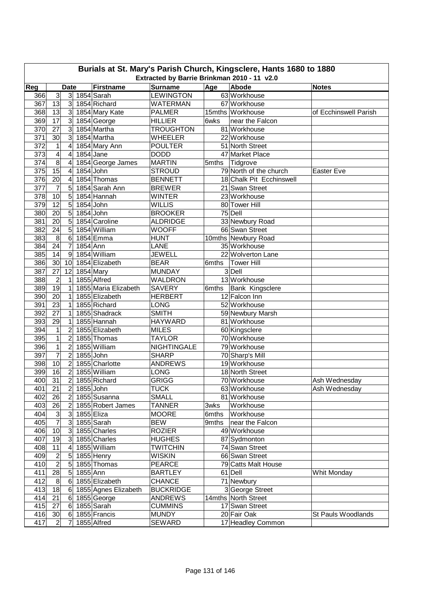| Burials at St. Mary's Parish Church, Kingsclere, Hants 1680 to 1880 |                          |                |           |                      |                    |       |                          |                       |  |  |  |
|---------------------------------------------------------------------|--------------------------|----------------|-----------|----------------------|--------------------|-------|--------------------------|-----------------------|--|--|--|
| Extracted by Barrie Brinkman 2010 - 11 v2.0                         |                          |                |           |                      |                    |       |                          |                       |  |  |  |
| Reg                                                                 |                          | <b>Date</b>    |           | <b>Firstname</b>     | <b>Surname</b>     | Age   | <b>Abode</b>             | <b>Notes</b>          |  |  |  |
| 366                                                                 | دن                       | 3 <sup>l</sup> |           | 1854 Sarah           | <b>LEWINGTON</b>   |       | 63 Workhouse             |                       |  |  |  |
| 367                                                                 | 13                       | 3              |           | 1854 Richard         | <b>WATERMAN</b>    |       | 67 Workhouse             |                       |  |  |  |
| 368                                                                 | 13                       | 3 <sup>1</sup> |           | 1854 Mary Kate       | <b>PALMER</b>      |       | 15mths Workhouse         | of Ecchinswell Parish |  |  |  |
| 369                                                                 | 17                       | $\overline{3}$ |           | 1854 George          | <b>HILLIER</b>     | 6wks  | near the Falcon          |                       |  |  |  |
| 370                                                                 | 27                       | 3              |           | 1854 Martha          | <b>TROUGHTON</b>   |       | 81 Workhouse             |                       |  |  |  |
| 371                                                                 | 30                       | 3              |           | 1854 Martha          | WHEELER            |       | 22 Workhouse             |                       |  |  |  |
| 372                                                                 | 1                        | 4              |           | 1854 Mary Ann        | <b>POULTER</b>     |       | 51 North Street          |                       |  |  |  |
| 373                                                                 | $\overline{\mathcal{A}}$ | 4              |           | 1854 Jane            | <b>DODD</b>        |       | 47 Market Place          |                       |  |  |  |
| 374                                                                 | 8                        | 4              |           | 1854 George James    | <b>MARTIN</b>      | 5mths | Tidgrove                 |                       |  |  |  |
| 375                                                                 | 15                       | 4              |           | 1854 John            | <b>STROUD</b>      |       | 79 North of the church   | Easter Eve            |  |  |  |
| 376                                                                 | 20                       | 4              |           | 1854 Thomas          | <b>BENNETT</b>     |       | 18 Chalk Pit Ecchinswell |                       |  |  |  |
| 377                                                                 | $\overline{7}$           | 5              |           | 1854 Sarah Ann       | <b>BREWER</b>      |       | 21 Swan Street           |                       |  |  |  |
| 378                                                                 | 10                       | 5              |           | 1854 Hannah          | <b>WINTER</b>      |       | 23 Workhouse             |                       |  |  |  |
| 379                                                                 | 12                       | 5              | 1854 John |                      | <b>WILLIS</b>      |       | 80 Tower Hill            |                       |  |  |  |
| 380                                                                 | 20                       | 5              | 1854 John |                      | <b>BROOKER</b>     |       | 75 Dell                  |                       |  |  |  |
| 381                                                                 | 20                       | 5              |           | 1854 Caroline        | <b>ALDRIDGE</b>    |       | 33 Newbury Road          |                       |  |  |  |
| 382                                                                 | 24                       | 5              |           | 1854 William         | <b>WOOFF</b>       |       | 66 Swan Street           |                       |  |  |  |
| 383                                                                 | 8                        | 6              |           | 1854 Emma            | <b>HUNT</b>        |       | 10mths Newbury Road      |                       |  |  |  |
| 384                                                                 | 24                       | $\overline{7}$ | 1854 Ann  |                      | LANE               |       | 35 Workhouse             |                       |  |  |  |
| 385                                                                 | 14                       | 9              |           | 1854 William         | <b>JEWELL</b>      |       | 22 Wolverton Lane        |                       |  |  |  |
| 386                                                                 | 30                       | 10             |           | 1854 Elizabeth       | <b>BEAR</b>        | 6mths | <b>Tower Hill</b>        |                       |  |  |  |
| 387                                                                 | $\overline{27}$          | 12             |           | 1854 Mary            | <b>MUNDAY</b>      |       | 3 Dell                   |                       |  |  |  |
| 388                                                                 | $\overline{2}$           | 1              |           | 1855 Alfred          | WALDRON            |       | 13 Workhouse             |                       |  |  |  |
| 389                                                                 | $\overline{19}$          | 1              |           | 1855 Maria Elizabeth | <b>SAVERY</b>      | 6mths | Bank Kingsclere          |                       |  |  |  |
| 390                                                                 | 20                       | 1              |           | 1855 Elizabeth       | <b>HERBERT</b>     |       | 12 Falcon Inn            |                       |  |  |  |
| 391                                                                 | 23                       | $\mathbf{1}$   |           | 1855 Richard         | <b>LONG</b>        |       | 52 Workhouse             |                       |  |  |  |
| 392                                                                 | 27                       | $\mathbf{1}$   |           | 1855 Shadrack        | <b>SMITH</b>       |       | 59 Newbury Marsh         |                       |  |  |  |
| 393                                                                 | 29                       | 1              |           | 1855 Hannah          | <b>HAYWARD</b>     |       | 81 Workhouse             |                       |  |  |  |
| 394                                                                 | $\overline{1}$           | $\overline{2}$ |           | 1855 Elizabeth       | <b>MILES</b>       |       | 60 Kingsclere            |                       |  |  |  |
| 395                                                                 | $\overline{1}$           | $\overline{2}$ |           | 1855 Thomas          | <b>TAYLOR</b>      |       | 70 Workhouse             |                       |  |  |  |
| 396                                                                 | $\mathbf{1}$             | $\overline{2}$ |           | 1855 William         | <b>NIGHTINGALE</b> |       | 79 Workhouse             |                       |  |  |  |
| 397                                                                 | $\overline{7}$           | $\overline{2}$ | 1855 John |                      | <b>SHARP</b>       |       | 70 Sharp's Mill          |                       |  |  |  |
| 398                                                                 | 10                       | $\overline{2}$ |           | 1855 Charlotte       | <b>ANDREWS</b>     |       | 19 Workhouse             |                       |  |  |  |
| 399                                                                 | 16                       | $\overline{c}$ |           | 1855 William         | <b>LONG</b>        |       | 18 North Street          |                       |  |  |  |
| 400                                                                 | 31                       | $\overline{2}$ |           | 1855 Richard         | <b>GRIGG</b>       |       | 70 Workhouse             | Ash Wednesday         |  |  |  |
| 401                                                                 | 21                       | $\overline{c}$ | 1855 John |                      | <b>TUCK</b>        |       | 63 Workhouse             | Ash Wednesday         |  |  |  |
|                                                                     |                          | $\overline{2}$ |           | 1855 Susanna         | <b>SMALL</b>       |       |                          |                       |  |  |  |
| 402                                                                 | 26                       |                |           |                      |                    |       | 81 Workhouse             |                       |  |  |  |
| 403                                                                 | 26<br>$\mathbf{3}$       | $\overline{2}$ |           | 1855 Robert James    | <b>TANNER</b>      | 3wks  | Workhouse                |                       |  |  |  |
| 404                                                                 |                          | 3 <sup>l</sup> |           | 1855 Eliza           | <b>MOORE</b>       | 6mths | Workhouse                |                       |  |  |  |
| 405                                                                 | $\overline{7}$           | $\mathbf{3}$   |           | 1855 Sarah           | <b>BEW</b>         | 9mths | near the Falcon          |                       |  |  |  |
| 406                                                                 | 10                       | $\mathbf{3}$   |           | 1855 Charles         | <b>ROZIER</b>      |       | 49 Workhouse             |                       |  |  |  |
| 407                                                                 | 19                       | 3 <sup>1</sup> |           | 1855 Charles         | <b>HUGHES</b>      |       | 87 Sydmonton             |                       |  |  |  |
| 408                                                                 | 11                       | 4              |           | 1855 William         | <b>TWITCHIN</b>    |       | 74 Swan Street           |                       |  |  |  |
| 409                                                                 | $\overline{c}$           | 5              |           | 1855 Henry           | <b>WISKIN</b>      |       | 66 Swan Street           |                       |  |  |  |
| 410                                                                 | $\overline{2}$           | 5              |           | 1855 Thomas          | <b>PEARCE</b>      |       | 79 Catts Malt House      |                       |  |  |  |
| 411                                                                 | 28                       | 5              | 1855 Ann  |                      | <b>BARTLEY</b>     |       | 61 Dell                  | Whit Monday           |  |  |  |
| 412                                                                 | 8                        | 6              |           | 1855 Elizabeth       | <b>CHANCE</b>      |       | 71 Newbury               |                       |  |  |  |
| 413                                                                 | 18                       | 6              |           | 1855 Agnes Elizabeth | <b>BUCKRIDGE</b>   |       | 3 George Street          |                       |  |  |  |
| 414                                                                 | 21                       | 6              |           | 1855 George          | <b>ANDREWS</b>     |       | 14mths North Street      |                       |  |  |  |
| 415                                                                 | 27                       | 6              |           | 1855 Sarah           | <b>CUMMINS</b>     |       | 17 Swan Street           |                       |  |  |  |
| 416                                                                 | 30                       | 6              |           | 1855 Francis         | <b>MUNDY</b>       |       | 20 Fair Oak              | St Pauls Woodlands    |  |  |  |
| 417                                                                 | $\overline{c}$           | 7              |           | 1855 Alfred          | <b>SEWARD</b>      |       | 17 Headley Common        |                       |  |  |  |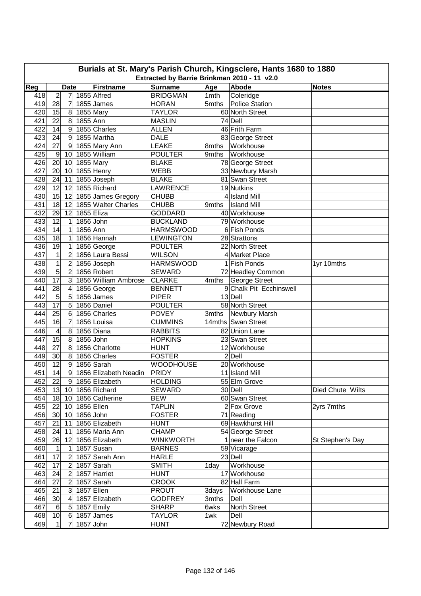|            | Burials at St. Mary's Parish Church, Kingsclere, Hants 1680 to 1880                                                                     |                  |                       |                                   |                                |                |                                    |                  |  |  |  |  |
|------------|-----------------------------------------------------------------------------------------------------------------------------------------|------------------|-----------------------|-----------------------------------|--------------------------------|----------------|------------------------------------|------------------|--|--|--|--|
|            | Extracted by Barrie Brinkman 2010 - 11 v2.0<br>Reg<br><b>Surname</b><br>Age<br>Abode<br><b>Firstname</b><br><b>Date</b><br><b>Notes</b> |                  |                       |                                   |                                |                |                                    |                  |  |  |  |  |
|            |                                                                                                                                         |                  |                       |                                   |                                |                |                                    |                  |  |  |  |  |
| 418        | $\overline{2}$                                                                                                                          | 7                |                       | 1855 Alfred<br>1855 James         | <b>BRIDGMAN</b>                | 1mth<br>5mths  | Coleridge                          |                  |  |  |  |  |
| 419        | 28                                                                                                                                      | 7                |                       |                                   | <b>HORAN</b>                   |                | Police Station                     |                  |  |  |  |  |
| 420<br>421 | 15<br>22                                                                                                                                | 8<br>8           | 1855 Mary<br>1855 Ann |                                   | <b>TAYLOR</b><br><b>MASLIN</b> |                | 60 North Street<br>74 Dell         |                  |  |  |  |  |
| 422        | 14                                                                                                                                      | $\overline{9}$   |                       | 1855 Charles                      |                                |                | 46 Frith Farm                      |                  |  |  |  |  |
|            |                                                                                                                                         |                  |                       |                                   | <b>ALLEN</b>                   |                |                                    |                  |  |  |  |  |
| 423<br>424 | 24<br>27                                                                                                                                | 9                |                       | 1855 Martha                       | <b>DALE</b>                    |                | 83 George Street                   |                  |  |  |  |  |
|            |                                                                                                                                         | 9                |                       | 1855 Mary Ann<br>1855 William     | <b>LEAKE</b>                   | 8mths<br>9mths | Workhouse<br>Workhouse             |                  |  |  |  |  |
| 425        | $9\,$                                                                                                                                   | 10               |                       |                                   | <b>POULTER</b><br><b>BLAKE</b> |                |                                    |                  |  |  |  |  |
| 426<br>427 | 20                                                                                                                                      | 10               |                       | 1855 Mary                         | <b>WEBB</b>                    |                | 78 George Street                   |                  |  |  |  |  |
|            | 20                                                                                                                                      | 10               |                       | 1855 Henry<br>1855 Joseph         | <b>BLAKE</b>                   |                | 33 Newbury Marsh<br>81 Swan Street |                  |  |  |  |  |
| 428<br>429 | 24<br>12                                                                                                                                | 11<br>12         |                       | 1855 Richard                      | <b>LAWRENCE</b>                |                | 19 Nutkins                         |                  |  |  |  |  |
|            |                                                                                                                                         | 12               |                       |                                   | <b>CHUBB</b>                   |                | 4 Island Mill                      |                  |  |  |  |  |
| 430        | 15                                                                                                                                      |                  |                       | 1855 James Gregory                | <b>CHUBB</b>                   |                |                                    |                  |  |  |  |  |
| 431<br>432 | 18<br>29                                                                                                                                | 12<br>12         |                       | 1855 Walter Charles<br>1855 Eliza | <b>GODDARD</b>                 | 9mths          | <b>Island Mill</b><br>40 Workhouse |                  |  |  |  |  |
|            |                                                                                                                                         |                  |                       |                                   |                                |                | 79 Workhouse                       |                  |  |  |  |  |
| 433        | 12                                                                                                                                      | 1                | 1856 John             |                                   | <b>BUCKLAND</b>                |                |                                    |                  |  |  |  |  |
| 434        | 14                                                                                                                                      | 1                | 1856 Ann              |                                   | <b>HARMSWOOD</b>               |                | 6 Fish Ponds                       |                  |  |  |  |  |
| 435        | $\overline{18}$                                                                                                                         | 1                |                       | 1856 Hannah                       | <b>LEWINGTON</b>               |                | 28 Strattons                       |                  |  |  |  |  |
| 436        | 19                                                                                                                                      | 1                |                       | 1856 George                       | <b>POULTER</b>                 |                | 22 North Street                    |                  |  |  |  |  |
| 437        | $\mathbf 1$                                                                                                                             | $\overline{2}$   |                       | 1856 Laura Bessi                  | <b>WILSON</b>                  |                | 4 Market Place                     |                  |  |  |  |  |
| 438        | $\mathbf{1}$                                                                                                                            | $\overline{c}$   |                       | 1856 Joseph                       | <b>HARMSWOOD</b>               |                | 1 Fish Ponds                       | 1yr 10mths       |  |  |  |  |
| 439        | $\overline{5}$                                                                                                                          | $\overline{2}$   |                       | 1856 Robert                       | <b>SEWARD</b>                  |                | 72 Headley Common                  |                  |  |  |  |  |
| 440        | 17                                                                                                                                      | 3                |                       | 1856 William Ambrose              | <b>CLARKE</b>                  | 4mths          | George Street                      |                  |  |  |  |  |
| 441        | $\overline{28}$                                                                                                                         | 4                |                       | 1856 George                       | <b>BENNETT</b>                 |                | 9 Chalk Pit Ecchinswell            |                  |  |  |  |  |
| 442        | 5                                                                                                                                       | 5                |                       | 1856 James                        | <b>PIPER</b>                   |                | 13 Dell                            |                  |  |  |  |  |
| 443        | 17                                                                                                                                      | 5                |                       | 1856 Daniel                       | <b>POULTER</b>                 |                | 58 North Street                    |                  |  |  |  |  |
| 444        | 25                                                                                                                                      | 6                |                       | 1856 Charles                      | <b>POVEY</b>                   | 3mths          | Newbury Marsh                      |                  |  |  |  |  |
| 445        | 16                                                                                                                                      | $\overline{7}$   |                       | 1856 Louisa                       | <b>CUMMINS</b>                 |                | 14mths Swan Street                 |                  |  |  |  |  |
| 446        | 4                                                                                                                                       | 8                |                       | 1856 Diana                        | <b>RABBITS</b>                 |                | 82 Union Lane                      |                  |  |  |  |  |
| 447        | 15                                                                                                                                      | 8                | 1856 John             |                                   | <b>HOPKINS</b>                 |                | 23 Swan Street                     |                  |  |  |  |  |
| 448        | 27                                                                                                                                      | 8                |                       | 1856 Charlotte                    | <b>HUNT</b>                    |                | 12 Workhouse                       |                  |  |  |  |  |
| 449        | 30                                                                                                                                      | 8                |                       | 1856 Charles                      | <b>FOSTER</b>                  |                | $2$ Dell                           |                  |  |  |  |  |
| 450        | $\overline{12}$                                                                                                                         | 9                |                       | 1856 Sarah                        | <b>WOODHOUSE</b>               |                | 20 Workhouse                       |                  |  |  |  |  |
| 451        | 14                                                                                                                                      | $\boldsymbol{9}$ |                       | 1856 Elizabeth Neadin             | <b>PRIDY</b>                   |                | 11 Island Mill                     |                  |  |  |  |  |
| 452        | 22                                                                                                                                      | 9                |                       | 1856 Elizabeth                    | <b>HOLDING</b>                 |                | 55 Elm Grove                       |                  |  |  |  |  |
| 453        |                                                                                                                                         |                  |                       | 13 10 1856 Richard                | SEWARD                         |                | 30 Dell                            | Died Chute Wilts |  |  |  |  |
| 454        |                                                                                                                                         |                  |                       | 18 10 1856 Catherine              | <b>BEW</b>                     |                | 60 Swan Street                     |                  |  |  |  |  |
| 455        |                                                                                                                                         |                  | 22 10 1856 Ellen      |                                   | <b>TAPLIN</b>                  |                | 2 Fox Grove                        | 2yrs 7mths       |  |  |  |  |
| 456        |                                                                                                                                         |                  | 30 10 1856 John       |                                   | <b>FOSTER</b>                  |                | 71 Reading                         |                  |  |  |  |  |
| 457        | 21                                                                                                                                      | 11               |                       | 1856 Elizabeth                    | <b>HUNT</b>                    |                | 69 Hawkhurst Hill                  |                  |  |  |  |  |
| 458        | 24                                                                                                                                      | 11               |                       | 1856 Maria Ann                    | <b>CHAMP</b>                   |                | 54 George Street                   |                  |  |  |  |  |
| 459        | 26                                                                                                                                      | 12               |                       | 1856 Elizabeth                    | <b>WINKWORTH</b>               |                | 1 near the Falcon                  | St Stephen's Day |  |  |  |  |
| 460        | 1                                                                                                                                       | 1                |                       | 1857 Susan                        | <b>BARNES</b>                  |                | 59 Vicarage                        |                  |  |  |  |  |
| 461        | 17                                                                                                                                      | $\boldsymbol{2}$ |                       | 1857 Sarah Ann                    | <b>HARLE</b>                   |                | 23 Dell                            |                  |  |  |  |  |
| 462        | 17                                                                                                                                      | $\overline{2}$   |                       | 1857 Sarah                        | <b>SMITH</b>                   | 1day           | Workhouse                          |                  |  |  |  |  |
| 463        | 24                                                                                                                                      | $\overline{2}$   |                       | 1857 Harriet                      | <b>HUNT</b>                    |                | 17 Workhouse                       |                  |  |  |  |  |
| 464        | 27                                                                                                                                      | $\overline{2}$   |                       | 1857 Sarah                        | <b>CROOK</b>                   |                | 82 Hall Farm                       |                  |  |  |  |  |
| 465        | 21                                                                                                                                      | 3                |                       | 1857 Ellen                        | <b>PROUT</b>                   | 3days          | Workhouse Lane                     |                  |  |  |  |  |
| 466        | 30                                                                                                                                      | $\overline{4}$   |                       | 1857 Elizabeth                    | <b>GODFREY</b>                 | 3mths          | Dell                               |                  |  |  |  |  |
| 467        | $\,6$                                                                                                                                   | 5                |                       | 1857 Emily                        | <b>SHARP</b>                   | 6wks           | North Street                       |                  |  |  |  |  |
| 468        | 10                                                                                                                                      | 6                |                       | 1857 James                        | <b>TAYLOR</b>                  | 1wk            | Dell                               |                  |  |  |  |  |
| 469        | $\vert$                                                                                                                                 | 7                |                       | 1857 John                         | <b>HUNT</b>                    |                | 72 Newbury Road                    |                  |  |  |  |  |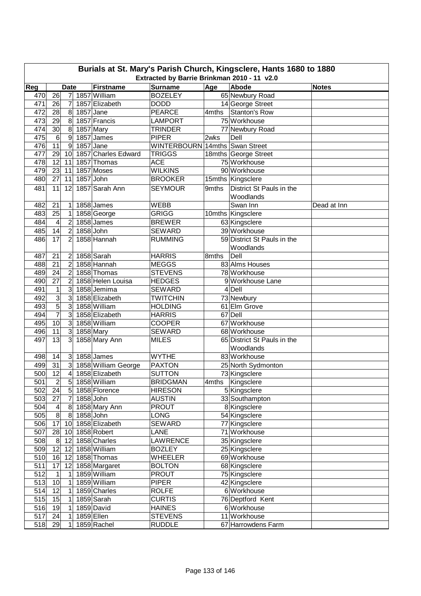|     | Burials at St. Mary's Parish Church, Kingsclere, Hants 1680 to 1880<br>Extracted by Barrie Brinkman 2010 - 11 v2.0 |                         |             |                     |                                |       |                             |              |  |  |  |
|-----|--------------------------------------------------------------------------------------------------------------------|-------------------------|-------------|---------------------|--------------------------------|-------|-----------------------------|--------------|--|--|--|
|     |                                                                                                                    |                         |             |                     |                                |       |                             |              |  |  |  |
| Reg |                                                                                                                    | <b>Date</b>             |             | <b>Firstname</b>    | <b>Surname</b>                 | Age   | Abode                       | <b>Notes</b> |  |  |  |
| 470 | 26                                                                                                                 | 7                       |             | 1857 William        | <b>BOZELEY</b>                 |       | 65 Newbury Road             |              |  |  |  |
| 471 | 26                                                                                                                 | 7                       |             | 1857 Elizabeth      | <b>DODD</b>                    |       | 14 George Street            |              |  |  |  |
| 472 | 28                                                                                                                 | 8                       | $1857$ Jane |                     | <b>PEARCE</b>                  | 4mths | <b>Stanton's Row</b>        |              |  |  |  |
| 473 | 29                                                                                                                 | $8^{\circ}$             |             | 1857 Francis        | <b>LAMPORT</b>                 |       | 75 Workhouse                |              |  |  |  |
| 474 | 30                                                                                                                 | $\boldsymbol{8}$        |             | 1857 Mary           | <b>TRINDER</b>                 |       | 77 Newbury Road             |              |  |  |  |
| 475 | 6                                                                                                                  | 9                       |             | 1857 James          | <b>PIPER</b>                   | 2wks  | Dell                        |              |  |  |  |
| 476 | 11                                                                                                                 | 9                       |             | 1857 Jane           | WINTERBOURN 14mths Swan Street |       |                             |              |  |  |  |
| 477 | 29                                                                                                                 | 10                      |             | 1857 Charles Edward | <b>TRIGGS</b>                  |       | 18mths George Street        |              |  |  |  |
| 478 | 12                                                                                                                 | 11                      |             | 1857 Thomas         | <b>ACE</b>                     |       | 75 Workhouse                |              |  |  |  |
| 479 | 23                                                                                                                 | 11                      |             | 1857 Moses          | <b>WILKINS</b>                 |       | 90 Workhouse                |              |  |  |  |
| 480 | 27                                                                                                                 | 11                      | 1857 John   |                     | <b>BROOKER</b>                 |       | 15mths Kingsclere           |              |  |  |  |
| 481 | 11                                                                                                                 | 12                      |             | 1857 Sarah Ann      | <b>SEYMOUR</b>                 | 9mths | District St Pauls in the    |              |  |  |  |
|     |                                                                                                                    |                         |             |                     |                                |       | Woodlands                   |              |  |  |  |
| 482 | 21                                                                                                                 | 1                       |             | 1858 James          | <b>WEBB</b>                    |       | Swan Inn                    | Dead at Inn  |  |  |  |
| 483 | 25                                                                                                                 | 1                       |             | 1858 George         | <b>GRIGG</b>                   |       | 10mths Kingsclere           |              |  |  |  |
| 484 | 4                                                                                                                  | $\overline{2}$          |             | 1858 James          | <b>BREWER</b>                  |       | 63 Kingsclere               |              |  |  |  |
| 485 | 14                                                                                                                 | $\overline{2}$          | 1858 John   |                     | <b>SEWARD</b>                  |       | 39 Workhouse                |              |  |  |  |
| 486 | 17                                                                                                                 | 2                       |             | 1858 Hannah         | <b>RUMMING</b>                 |       | 59 District St Pauls in the |              |  |  |  |
|     |                                                                                                                    |                         |             |                     |                                |       | Woodlands                   |              |  |  |  |
| 487 | 21                                                                                                                 | 2                       |             | 1858 Sarah          | <b>HARRIS</b>                  | 8mths | Dell                        |              |  |  |  |
| 488 | 21                                                                                                                 | $\overline{2}$          |             | 1858 Hannah         | <b>MEGGS</b>                   |       | 83 Alms Houses              |              |  |  |  |
| 489 | 24                                                                                                                 | $\overline{2}$          |             | 1858 Thomas         | <b>STEVENS</b>                 |       | 78 Workhouse                |              |  |  |  |
| 490 | $\overline{27}$                                                                                                    | $\overline{2}$          |             | 1858 Helen Louisa   | <b>HEDGES</b>                  |       | 9 Workhouse Lane            |              |  |  |  |
| 491 | 1                                                                                                                  | 3                       |             | 1858 Jemima         | <b>SEWARD</b>                  |       | $4$ Dell                    |              |  |  |  |
| 492 | $\overline{3}$                                                                                                     | 3                       |             | 1858 Elizabeth      | <b>TWITCHIN</b>                |       | 73 Newbury                  |              |  |  |  |
| 493 | 5                                                                                                                  | 3                       |             | 1858 William        | <b>HOLDING</b>                 |       | 61 Elm Grove                |              |  |  |  |
| 494 | $\overline{7}$                                                                                                     | 3                       |             | 1858 Elizabeth      | <b>HARRIS</b>                  |       | 67 Dell                     |              |  |  |  |
| 495 | $\overline{10}$                                                                                                    | $\overline{3}$          |             | 1858 William        | <b>COOPER</b>                  |       | 67 Workhouse                |              |  |  |  |
| 496 | 11                                                                                                                 | $\overline{3}$          |             | 1858 Mary           | <b>SEWARD</b>                  |       | 68 Workhouse                |              |  |  |  |
| 497 | 13                                                                                                                 | 3                       |             | 1858 Mary Ann       | <b>MILES</b>                   |       | 65 District St Pauls in the |              |  |  |  |
|     |                                                                                                                    |                         |             |                     |                                |       | Woodlands                   |              |  |  |  |
| 498 | 14                                                                                                                 | 3                       |             | 1858 James          | <b>WYTHE</b>                   |       | 83 Workhouse                |              |  |  |  |
| 499 | 31                                                                                                                 | $\overline{3}$          |             | 1858 William George | <b>PAXTON</b>                  |       | 25 North Sydmonton          |              |  |  |  |
| 500 | 12                                                                                                                 | $\overline{\mathbf{4}}$ |             | 1858 Elizabeth      | <b>SUTTON</b>                  |       | 73 Kingsclere               |              |  |  |  |
| 501 | $\overline{2}$                                                                                                     | $\overline{5}$          |             | 1858 William        | <b>BRIDGMAN</b>                |       | 4mths Kingsclere            |              |  |  |  |
| 502 | 24                                                                                                                 | 5 <sup>2</sup>          |             | 1858 Florence       | <b>HIRESON</b>                 |       | 5 Kingsclere                |              |  |  |  |
| 503 | 27                                                                                                                 | $\overline{7}$          | 1858 John   |                     | <b>AUSTIN</b>                  |       | 33 Southampton              |              |  |  |  |
| 504 | 4                                                                                                                  |                         |             | 8 1858 Mary Ann     | <b>PROUT</b>                   |       | 8 Kingsclere                |              |  |  |  |
| 505 | $\overline{8}$                                                                                                     | 8                       | $1858$ John |                     | LONG                           |       | 54 Kingsclere               |              |  |  |  |
| 506 | 17                                                                                                                 | 10                      |             | 1858 Elizabeth      | <b>SEWARD</b>                  |       | 77 Kingsclere               |              |  |  |  |
| 507 | 28                                                                                                                 | 10 <sup>1</sup>         |             | 1858 Robert         | LANE                           |       | 71 Workhouse                |              |  |  |  |
| 508 | $\bf 8$                                                                                                            | 12                      |             | 1858 Charles        | LAWRENCE                       |       | 35 Kingsclere               |              |  |  |  |
| 509 | 12                                                                                                                 | 12                      |             | 1858 William        | <b>BOZLEY</b>                  |       | 25 Kingsclere               |              |  |  |  |
| 510 | 16                                                                                                                 | 12                      |             | 1858 Thomas         | <b>WHEELER</b>                 |       | 69 Workhouse                |              |  |  |  |
| 511 | 17                                                                                                                 | 12                      |             | 1858 Margaret       | <b>BOLTON</b>                  |       | 68 Kingsclere               |              |  |  |  |
| 512 | $\mathbf{1}$                                                                                                       | $\mathbf{1}$            |             | 1859 William        | <b>PROUT</b>                   |       | 75 Kingsclere               |              |  |  |  |
| 513 | 10                                                                                                                 | 1                       |             | 1859 William        | <b>PIPER</b>                   |       | 42 Kingsclere               |              |  |  |  |
| 514 | 12                                                                                                                 | 1                       |             | 1859 Charles        | <b>ROLFE</b>                   |       | 6 Workhouse                 |              |  |  |  |
| 515 | 15                                                                                                                 | 1                       |             | 1859 Sarah          | <b>CURTIS</b>                  |       | 76 Deptford Kent            |              |  |  |  |
| 516 | 19                                                                                                                 | 1                       |             | 1859 David          | <b>HAINES</b>                  |       | 6 Workhouse                 |              |  |  |  |
| 517 | 24                                                                                                                 | 1                       |             | 1859 Ellen          | <b>STEVENS</b>                 |       | 11 Workhouse                |              |  |  |  |
|     |                                                                                                                    |                         |             |                     |                                |       |                             |              |  |  |  |
| 518 | 29                                                                                                                 | 1                       |             | 1859 Rachel         | <b>RUDDLE</b>                  |       | 67 Harrowdens Farm          |              |  |  |  |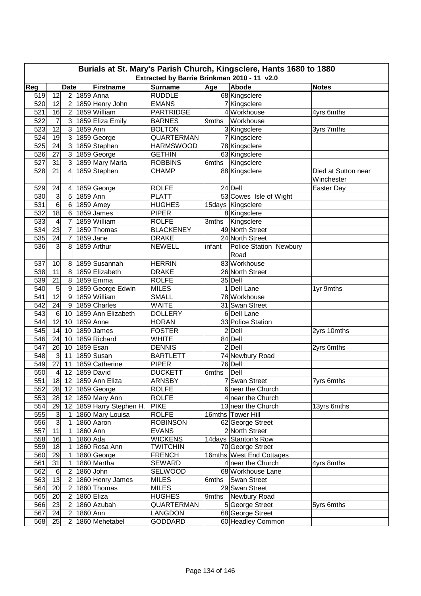| Extracted by Barrie Brinkman 2010 - 11 v2.0<br>Reg<br><b>Surname</b><br>Age<br>Abode<br><b>Firstname</b><br><b>Notes</b><br><b>Date</b><br>1859 Anna<br>12<br>2 <br><b>RUDDLE</b><br>68 Kingsclere<br>519<br>520<br>12<br>$\overline{2}$<br>1859 Henry John<br><b>EMANS</b><br>7 Kingsclere<br>1859 William<br><b>PARTRIDGE</b><br>4 Workhouse<br>521<br>$\overline{2}$<br>16<br>4yrs 6mths<br>1859 Eliza Emily<br>522<br>7<br>$\overline{3}$<br>Workhouse<br><b>BARNES</b><br>9mths<br>12<br>3<br>1859 Ann<br>523<br><b>BOLTON</b><br>3 Kingsclere<br>3yrs 7mths<br>524<br>3<br>1859 George<br>19<br><b>QUARTERMAN</b><br>7 Kingsclere<br>525<br>3<br>24<br>1859 Stephen<br><b>HARMSWOOD</b><br>78 Kingsclere<br>$\overline{3}$<br>526<br>27<br>1859 George<br><b>GETHIN</b><br>63 Kingsclere<br>527<br>1859 Mary Maria<br>6mths Kingsclere<br>31<br>3<br><b>ROBBINS</b><br>528<br>21<br>1859 Stephen<br><b>CHAMP</b><br>88 Kingsclere<br>4<br>Died at Sutton near<br>Winchester<br>24 Dell<br>529<br>24<br>1859 George<br><b>ROLFE</b><br>Easter Day<br>4<br>3<br>1859 Ann<br>53 Cowes Isle of Wight<br>530<br>5<br><b>PLATT</b><br>6<br>531<br>1859 Amey<br>6<br><b>HUGHES</b><br>15days Kingsclere<br>$\overline{18}$<br>532<br>6<br>1859 James<br><b>PIPER</b><br>8 Kingsclere<br>$\overline{7}$<br>533<br>4<br>1859 William<br><b>ROLFE</b><br>Kingsclere<br>3mths<br>534<br>23<br>$\overline{7}$<br>1859 Thomas<br><b>BLACKENEY</b><br>49 North Street<br>535<br>24<br>1859 Jane<br>7<br><b>DRAKE</b><br>24 North Street<br>536<br>3<br>1859 Arthur<br>8<br><b>NEWELL</b><br>infant<br>Police Station Newbury<br>Road<br>83 Workhouse<br>1859 Susannah<br><b>HERRIN</b><br>537<br>10<br>8 <sup>°</sup><br>11<br>8<br>1859 Elizabeth<br>538<br><b>DRAKE</b><br>26 North Street<br>21<br>8<br>1859 Emma<br>$35$ Dell<br>539<br><b>ROLFE</b><br>$\boldsymbol{9}$<br>1859 George Edwin<br>1 Dell Lane<br>540<br>5<br><b>MILES</b><br>1yr 9mths<br>$\overline{12}$<br>1859 William<br><b>SMALL</b><br>78 Workhouse<br>541<br>9<br>1859 Charles<br>542<br>24<br>9<br><b>WAITE</b><br>31 Swan Street<br>$6\overline{6}$<br>1859 Ann Elizabeth<br>6 Dell Lane<br>543<br><b>DOLLERY</b><br>10<br>12<br>544<br>1859 Anne<br><b>HORAN</b><br>33 Police Station<br>10<br>545<br>1859 James<br><b>FOSTER</b><br>$2$ Dell<br>14<br>2yrs 10mths<br>10<br>1859 Richard<br>546<br>24<br><b>WHITE</b><br>84 Dell<br>10<br>1859 Esan<br>547<br>$2$ Dell<br>26<br>10<br><b>DENNIS</b><br>2yrs 6mths<br>548<br>$\overline{3}$<br>1859 Susan<br><b>BARTLETT</b><br>74 Newbury Road<br>11<br>27<br>76 Dell<br>549<br>11<br>1859 Catherine<br><b>PIPER</b><br>1859 David<br>550<br>$\overline{4}$<br>12<br><b>DUCKETT</b><br>Dell<br>6mths<br>551<br>18 12 1859 Ann Eliza<br>7 Swan Street<br><b>ARNSBY</b><br>7yrs 6mths<br>552<br>1859 George<br>28 12<br><b>ROLFE</b><br>6 near the Church<br>28<br>1859 Mary Ann<br><b>ROLFE</b><br>553<br>12<br>4 near the Church<br>554<br>29<br>12<br>1859 Harry Stephen H.<br><b>PIKE</b><br>13yrs 6mths<br>13 near the Church<br>$\mathbf{3}$<br>555<br>1860 Mary Louisa<br><b>ROLFE</b><br>16mths Tower Hill<br>1<br>$\overline{3}$<br>1860 Aaron<br><b>ROBINSON</b><br>556<br>62 George Street<br>1<br>557<br>1860 Ann<br><b>EVANS</b><br>11<br>2 North Street<br>1<br>558<br>$1860$ Ada<br><b>WICKENS</b><br>14days Stanton's Row<br>16<br>1<br>1860 Rosa Ann<br>559<br>18<br><b>TWITCHIN</b><br>70 George Street<br>1<br>560<br>29<br>1860 George<br><b>FRENCH</b><br>16mths West End Cottages<br>1<br>561<br>31<br>1860 Martha<br><b>SEWARD</b><br>4 near the Church<br>1<br>4yrs 8mths<br>562<br>$\boldsymbol{2}$<br>1860 John<br>$\,6$<br>SELWOOD<br>68 Workhouse Lane<br>563<br>13<br>1860 Henry James<br><b>MILES</b><br>$\overline{c}$<br>Swan Street<br>6mths<br>564<br>20<br>1860 Thomas<br><b>MILES</b><br>$\boldsymbol{2}$<br>29 Swan Street<br>1860 Eliza<br>565<br>20<br>$\boldsymbol{2}$<br>9mths Newbury Road<br><b>HUGHES</b><br>566<br>23<br>1860 Azubah<br>QUARTERMAN<br>5 George Street<br>5yrs 6mths<br>$\boldsymbol{2}$<br>567<br>24<br>$\overline{2}$<br>1860 Ann<br>68 George Street<br>LANGDON<br>1860 Mehetabel |     | Burials at St. Mary's Parish Church, Kingsclere, Hants 1680 to 1880 |                |  |  |                |  |                   |  |  |  |  |
|---------------------------------------------------------------------------------------------------------------------------------------------------------------------------------------------------------------------------------------------------------------------------------------------------------------------------------------------------------------------------------------------------------------------------------------------------------------------------------------------------------------------------------------------------------------------------------------------------------------------------------------------------------------------------------------------------------------------------------------------------------------------------------------------------------------------------------------------------------------------------------------------------------------------------------------------------------------------------------------------------------------------------------------------------------------------------------------------------------------------------------------------------------------------------------------------------------------------------------------------------------------------------------------------------------------------------------------------------------------------------------------------------------------------------------------------------------------------------------------------------------------------------------------------------------------------------------------------------------------------------------------------------------------------------------------------------------------------------------------------------------------------------------------------------------------------------------------------------------------------------------------------------------------------------------------------------------------------------------------------------------------------------------------------------------------------------------------------------------------------------------------------------------------------------------------------------------------------------------------------------------------------------------------------------------------------------------------------------------------------------------------------------------------------------------------------------------------------------------------------------------------------------------------------------------------------------------------------------------------------------------------------------------------------------------------------------------------------------------------------------------------------------------------------------------------------------------------------------------------------------------------------------------------------------------------------------------------------------------------------------------------------------------------------------------------------------------------------------------------------------------------------------------------------------------------------------------------------------------------------------------------------------------------------------------------------------------------------------------------------------------------------------------------------------------------------------------------------------------------------------------------------------------------------------------------------------------------------------------------------------------------------------------------------------------------------------------------------------------------------------------------------------------------------------------------------------------------------------------------------------------------------------------------------------------------------------------------------------------------------------------------------------------------------------------------------------------------------------------------------------------------------------------------------|-----|---------------------------------------------------------------------|----------------|--|--|----------------|--|-------------------|--|--|--|--|
|                                                                                                                                                                                                                                                                                                                                                                                                                                                                                                                                                                                                                                                                                                                                                                                                                                                                                                                                                                                                                                                                                                                                                                                                                                                                                                                                                                                                                                                                                                                                                                                                                                                                                                                                                                                                                                                                                                                                                                                                                                                                                                                                                                                                                                                                                                                                                                                                                                                                                                                                                                                                                                                                                                                                                                                                                                                                                                                                                                                                                                                                                                                                                                                                                                                                                                                                                                                                                                                                                                                                                                                                                                                                                                                                                                                                                                                                                                                                                                                                                                                                                                                                                                     |     |                                                                     |                |  |  |                |  |                   |  |  |  |  |
|                                                                                                                                                                                                                                                                                                                                                                                                                                                                                                                                                                                                                                                                                                                                                                                                                                                                                                                                                                                                                                                                                                                                                                                                                                                                                                                                                                                                                                                                                                                                                                                                                                                                                                                                                                                                                                                                                                                                                                                                                                                                                                                                                                                                                                                                                                                                                                                                                                                                                                                                                                                                                                                                                                                                                                                                                                                                                                                                                                                                                                                                                                                                                                                                                                                                                                                                                                                                                                                                                                                                                                                                                                                                                                                                                                                                                                                                                                                                                                                                                                                                                                                                                                     |     |                                                                     |                |  |  |                |  |                   |  |  |  |  |
|                                                                                                                                                                                                                                                                                                                                                                                                                                                                                                                                                                                                                                                                                                                                                                                                                                                                                                                                                                                                                                                                                                                                                                                                                                                                                                                                                                                                                                                                                                                                                                                                                                                                                                                                                                                                                                                                                                                                                                                                                                                                                                                                                                                                                                                                                                                                                                                                                                                                                                                                                                                                                                                                                                                                                                                                                                                                                                                                                                                                                                                                                                                                                                                                                                                                                                                                                                                                                                                                                                                                                                                                                                                                                                                                                                                                                                                                                                                                                                                                                                                                                                                                                                     |     |                                                                     |                |  |  |                |  |                   |  |  |  |  |
|                                                                                                                                                                                                                                                                                                                                                                                                                                                                                                                                                                                                                                                                                                                                                                                                                                                                                                                                                                                                                                                                                                                                                                                                                                                                                                                                                                                                                                                                                                                                                                                                                                                                                                                                                                                                                                                                                                                                                                                                                                                                                                                                                                                                                                                                                                                                                                                                                                                                                                                                                                                                                                                                                                                                                                                                                                                                                                                                                                                                                                                                                                                                                                                                                                                                                                                                                                                                                                                                                                                                                                                                                                                                                                                                                                                                                                                                                                                                                                                                                                                                                                                                                                     |     |                                                                     |                |  |  |                |  |                   |  |  |  |  |
|                                                                                                                                                                                                                                                                                                                                                                                                                                                                                                                                                                                                                                                                                                                                                                                                                                                                                                                                                                                                                                                                                                                                                                                                                                                                                                                                                                                                                                                                                                                                                                                                                                                                                                                                                                                                                                                                                                                                                                                                                                                                                                                                                                                                                                                                                                                                                                                                                                                                                                                                                                                                                                                                                                                                                                                                                                                                                                                                                                                                                                                                                                                                                                                                                                                                                                                                                                                                                                                                                                                                                                                                                                                                                                                                                                                                                                                                                                                                                                                                                                                                                                                                                                     |     |                                                                     |                |  |  |                |  |                   |  |  |  |  |
|                                                                                                                                                                                                                                                                                                                                                                                                                                                                                                                                                                                                                                                                                                                                                                                                                                                                                                                                                                                                                                                                                                                                                                                                                                                                                                                                                                                                                                                                                                                                                                                                                                                                                                                                                                                                                                                                                                                                                                                                                                                                                                                                                                                                                                                                                                                                                                                                                                                                                                                                                                                                                                                                                                                                                                                                                                                                                                                                                                                                                                                                                                                                                                                                                                                                                                                                                                                                                                                                                                                                                                                                                                                                                                                                                                                                                                                                                                                                                                                                                                                                                                                                                                     |     |                                                                     |                |  |  |                |  |                   |  |  |  |  |
|                                                                                                                                                                                                                                                                                                                                                                                                                                                                                                                                                                                                                                                                                                                                                                                                                                                                                                                                                                                                                                                                                                                                                                                                                                                                                                                                                                                                                                                                                                                                                                                                                                                                                                                                                                                                                                                                                                                                                                                                                                                                                                                                                                                                                                                                                                                                                                                                                                                                                                                                                                                                                                                                                                                                                                                                                                                                                                                                                                                                                                                                                                                                                                                                                                                                                                                                                                                                                                                                                                                                                                                                                                                                                                                                                                                                                                                                                                                                                                                                                                                                                                                                                                     |     |                                                                     |                |  |  |                |  |                   |  |  |  |  |
|                                                                                                                                                                                                                                                                                                                                                                                                                                                                                                                                                                                                                                                                                                                                                                                                                                                                                                                                                                                                                                                                                                                                                                                                                                                                                                                                                                                                                                                                                                                                                                                                                                                                                                                                                                                                                                                                                                                                                                                                                                                                                                                                                                                                                                                                                                                                                                                                                                                                                                                                                                                                                                                                                                                                                                                                                                                                                                                                                                                                                                                                                                                                                                                                                                                                                                                                                                                                                                                                                                                                                                                                                                                                                                                                                                                                                                                                                                                                                                                                                                                                                                                                                                     |     |                                                                     |                |  |  |                |  |                   |  |  |  |  |
|                                                                                                                                                                                                                                                                                                                                                                                                                                                                                                                                                                                                                                                                                                                                                                                                                                                                                                                                                                                                                                                                                                                                                                                                                                                                                                                                                                                                                                                                                                                                                                                                                                                                                                                                                                                                                                                                                                                                                                                                                                                                                                                                                                                                                                                                                                                                                                                                                                                                                                                                                                                                                                                                                                                                                                                                                                                                                                                                                                                                                                                                                                                                                                                                                                                                                                                                                                                                                                                                                                                                                                                                                                                                                                                                                                                                                                                                                                                                                                                                                                                                                                                                                                     |     |                                                                     |                |  |  |                |  |                   |  |  |  |  |
|                                                                                                                                                                                                                                                                                                                                                                                                                                                                                                                                                                                                                                                                                                                                                                                                                                                                                                                                                                                                                                                                                                                                                                                                                                                                                                                                                                                                                                                                                                                                                                                                                                                                                                                                                                                                                                                                                                                                                                                                                                                                                                                                                                                                                                                                                                                                                                                                                                                                                                                                                                                                                                                                                                                                                                                                                                                                                                                                                                                                                                                                                                                                                                                                                                                                                                                                                                                                                                                                                                                                                                                                                                                                                                                                                                                                                                                                                                                                                                                                                                                                                                                                                                     |     |                                                                     |                |  |  |                |  |                   |  |  |  |  |
|                                                                                                                                                                                                                                                                                                                                                                                                                                                                                                                                                                                                                                                                                                                                                                                                                                                                                                                                                                                                                                                                                                                                                                                                                                                                                                                                                                                                                                                                                                                                                                                                                                                                                                                                                                                                                                                                                                                                                                                                                                                                                                                                                                                                                                                                                                                                                                                                                                                                                                                                                                                                                                                                                                                                                                                                                                                                                                                                                                                                                                                                                                                                                                                                                                                                                                                                                                                                                                                                                                                                                                                                                                                                                                                                                                                                                                                                                                                                                                                                                                                                                                                                                                     |     |                                                                     |                |  |  |                |  |                   |  |  |  |  |
|                                                                                                                                                                                                                                                                                                                                                                                                                                                                                                                                                                                                                                                                                                                                                                                                                                                                                                                                                                                                                                                                                                                                                                                                                                                                                                                                                                                                                                                                                                                                                                                                                                                                                                                                                                                                                                                                                                                                                                                                                                                                                                                                                                                                                                                                                                                                                                                                                                                                                                                                                                                                                                                                                                                                                                                                                                                                                                                                                                                                                                                                                                                                                                                                                                                                                                                                                                                                                                                                                                                                                                                                                                                                                                                                                                                                                                                                                                                                                                                                                                                                                                                                                                     |     |                                                                     |                |  |  |                |  |                   |  |  |  |  |
|                                                                                                                                                                                                                                                                                                                                                                                                                                                                                                                                                                                                                                                                                                                                                                                                                                                                                                                                                                                                                                                                                                                                                                                                                                                                                                                                                                                                                                                                                                                                                                                                                                                                                                                                                                                                                                                                                                                                                                                                                                                                                                                                                                                                                                                                                                                                                                                                                                                                                                                                                                                                                                                                                                                                                                                                                                                                                                                                                                                                                                                                                                                                                                                                                                                                                                                                                                                                                                                                                                                                                                                                                                                                                                                                                                                                                                                                                                                                                                                                                                                                                                                                                                     |     |                                                                     |                |  |  |                |  |                   |  |  |  |  |
|                                                                                                                                                                                                                                                                                                                                                                                                                                                                                                                                                                                                                                                                                                                                                                                                                                                                                                                                                                                                                                                                                                                                                                                                                                                                                                                                                                                                                                                                                                                                                                                                                                                                                                                                                                                                                                                                                                                                                                                                                                                                                                                                                                                                                                                                                                                                                                                                                                                                                                                                                                                                                                                                                                                                                                                                                                                                                                                                                                                                                                                                                                                                                                                                                                                                                                                                                                                                                                                                                                                                                                                                                                                                                                                                                                                                                                                                                                                                                                                                                                                                                                                                                                     |     |                                                                     |                |  |  |                |  |                   |  |  |  |  |
|                                                                                                                                                                                                                                                                                                                                                                                                                                                                                                                                                                                                                                                                                                                                                                                                                                                                                                                                                                                                                                                                                                                                                                                                                                                                                                                                                                                                                                                                                                                                                                                                                                                                                                                                                                                                                                                                                                                                                                                                                                                                                                                                                                                                                                                                                                                                                                                                                                                                                                                                                                                                                                                                                                                                                                                                                                                                                                                                                                                                                                                                                                                                                                                                                                                                                                                                                                                                                                                                                                                                                                                                                                                                                                                                                                                                                                                                                                                                                                                                                                                                                                                                                                     |     |                                                                     |                |  |  |                |  |                   |  |  |  |  |
|                                                                                                                                                                                                                                                                                                                                                                                                                                                                                                                                                                                                                                                                                                                                                                                                                                                                                                                                                                                                                                                                                                                                                                                                                                                                                                                                                                                                                                                                                                                                                                                                                                                                                                                                                                                                                                                                                                                                                                                                                                                                                                                                                                                                                                                                                                                                                                                                                                                                                                                                                                                                                                                                                                                                                                                                                                                                                                                                                                                                                                                                                                                                                                                                                                                                                                                                                                                                                                                                                                                                                                                                                                                                                                                                                                                                                                                                                                                                                                                                                                                                                                                                                                     |     |                                                                     |                |  |  |                |  |                   |  |  |  |  |
|                                                                                                                                                                                                                                                                                                                                                                                                                                                                                                                                                                                                                                                                                                                                                                                                                                                                                                                                                                                                                                                                                                                                                                                                                                                                                                                                                                                                                                                                                                                                                                                                                                                                                                                                                                                                                                                                                                                                                                                                                                                                                                                                                                                                                                                                                                                                                                                                                                                                                                                                                                                                                                                                                                                                                                                                                                                                                                                                                                                                                                                                                                                                                                                                                                                                                                                                                                                                                                                                                                                                                                                                                                                                                                                                                                                                                                                                                                                                                                                                                                                                                                                                                                     |     |                                                                     |                |  |  |                |  |                   |  |  |  |  |
|                                                                                                                                                                                                                                                                                                                                                                                                                                                                                                                                                                                                                                                                                                                                                                                                                                                                                                                                                                                                                                                                                                                                                                                                                                                                                                                                                                                                                                                                                                                                                                                                                                                                                                                                                                                                                                                                                                                                                                                                                                                                                                                                                                                                                                                                                                                                                                                                                                                                                                                                                                                                                                                                                                                                                                                                                                                                                                                                                                                                                                                                                                                                                                                                                                                                                                                                                                                                                                                                                                                                                                                                                                                                                                                                                                                                                                                                                                                                                                                                                                                                                                                                                                     |     |                                                                     |                |  |  |                |  |                   |  |  |  |  |
|                                                                                                                                                                                                                                                                                                                                                                                                                                                                                                                                                                                                                                                                                                                                                                                                                                                                                                                                                                                                                                                                                                                                                                                                                                                                                                                                                                                                                                                                                                                                                                                                                                                                                                                                                                                                                                                                                                                                                                                                                                                                                                                                                                                                                                                                                                                                                                                                                                                                                                                                                                                                                                                                                                                                                                                                                                                                                                                                                                                                                                                                                                                                                                                                                                                                                                                                                                                                                                                                                                                                                                                                                                                                                                                                                                                                                                                                                                                                                                                                                                                                                                                                                                     |     |                                                                     |                |  |  |                |  |                   |  |  |  |  |
|                                                                                                                                                                                                                                                                                                                                                                                                                                                                                                                                                                                                                                                                                                                                                                                                                                                                                                                                                                                                                                                                                                                                                                                                                                                                                                                                                                                                                                                                                                                                                                                                                                                                                                                                                                                                                                                                                                                                                                                                                                                                                                                                                                                                                                                                                                                                                                                                                                                                                                                                                                                                                                                                                                                                                                                                                                                                                                                                                                                                                                                                                                                                                                                                                                                                                                                                                                                                                                                                                                                                                                                                                                                                                                                                                                                                                                                                                                                                                                                                                                                                                                                                                                     |     |                                                                     |                |  |  |                |  |                   |  |  |  |  |
|                                                                                                                                                                                                                                                                                                                                                                                                                                                                                                                                                                                                                                                                                                                                                                                                                                                                                                                                                                                                                                                                                                                                                                                                                                                                                                                                                                                                                                                                                                                                                                                                                                                                                                                                                                                                                                                                                                                                                                                                                                                                                                                                                                                                                                                                                                                                                                                                                                                                                                                                                                                                                                                                                                                                                                                                                                                                                                                                                                                                                                                                                                                                                                                                                                                                                                                                                                                                                                                                                                                                                                                                                                                                                                                                                                                                                                                                                                                                                                                                                                                                                                                                                                     |     |                                                                     |                |  |  |                |  |                   |  |  |  |  |
|                                                                                                                                                                                                                                                                                                                                                                                                                                                                                                                                                                                                                                                                                                                                                                                                                                                                                                                                                                                                                                                                                                                                                                                                                                                                                                                                                                                                                                                                                                                                                                                                                                                                                                                                                                                                                                                                                                                                                                                                                                                                                                                                                                                                                                                                                                                                                                                                                                                                                                                                                                                                                                                                                                                                                                                                                                                                                                                                                                                                                                                                                                                                                                                                                                                                                                                                                                                                                                                                                                                                                                                                                                                                                                                                                                                                                                                                                                                                                                                                                                                                                                                                                                     |     |                                                                     |                |  |  |                |  |                   |  |  |  |  |
|                                                                                                                                                                                                                                                                                                                                                                                                                                                                                                                                                                                                                                                                                                                                                                                                                                                                                                                                                                                                                                                                                                                                                                                                                                                                                                                                                                                                                                                                                                                                                                                                                                                                                                                                                                                                                                                                                                                                                                                                                                                                                                                                                                                                                                                                                                                                                                                                                                                                                                                                                                                                                                                                                                                                                                                                                                                                                                                                                                                                                                                                                                                                                                                                                                                                                                                                                                                                                                                                                                                                                                                                                                                                                                                                                                                                                                                                                                                                                                                                                                                                                                                                                                     |     |                                                                     |                |  |  |                |  |                   |  |  |  |  |
|                                                                                                                                                                                                                                                                                                                                                                                                                                                                                                                                                                                                                                                                                                                                                                                                                                                                                                                                                                                                                                                                                                                                                                                                                                                                                                                                                                                                                                                                                                                                                                                                                                                                                                                                                                                                                                                                                                                                                                                                                                                                                                                                                                                                                                                                                                                                                                                                                                                                                                                                                                                                                                                                                                                                                                                                                                                                                                                                                                                                                                                                                                                                                                                                                                                                                                                                                                                                                                                                                                                                                                                                                                                                                                                                                                                                                                                                                                                                                                                                                                                                                                                                                                     |     |                                                                     |                |  |  |                |  |                   |  |  |  |  |
|                                                                                                                                                                                                                                                                                                                                                                                                                                                                                                                                                                                                                                                                                                                                                                                                                                                                                                                                                                                                                                                                                                                                                                                                                                                                                                                                                                                                                                                                                                                                                                                                                                                                                                                                                                                                                                                                                                                                                                                                                                                                                                                                                                                                                                                                                                                                                                                                                                                                                                                                                                                                                                                                                                                                                                                                                                                                                                                                                                                                                                                                                                                                                                                                                                                                                                                                                                                                                                                                                                                                                                                                                                                                                                                                                                                                                                                                                                                                                                                                                                                                                                                                                                     |     |                                                                     |                |  |  |                |  |                   |  |  |  |  |
|                                                                                                                                                                                                                                                                                                                                                                                                                                                                                                                                                                                                                                                                                                                                                                                                                                                                                                                                                                                                                                                                                                                                                                                                                                                                                                                                                                                                                                                                                                                                                                                                                                                                                                                                                                                                                                                                                                                                                                                                                                                                                                                                                                                                                                                                                                                                                                                                                                                                                                                                                                                                                                                                                                                                                                                                                                                                                                                                                                                                                                                                                                                                                                                                                                                                                                                                                                                                                                                                                                                                                                                                                                                                                                                                                                                                                                                                                                                                                                                                                                                                                                                                                                     |     |                                                                     |                |  |  |                |  |                   |  |  |  |  |
|                                                                                                                                                                                                                                                                                                                                                                                                                                                                                                                                                                                                                                                                                                                                                                                                                                                                                                                                                                                                                                                                                                                                                                                                                                                                                                                                                                                                                                                                                                                                                                                                                                                                                                                                                                                                                                                                                                                                                                                                                                                                                                                                                                                                                                                                                                                                                                                                                                                                                                                                                                                                                                                                                                                                                                                                                                                                                                                                                                                                                                                                                                                                                                                                                                                                                                                                                                                                                                                                                                                                                                                                                                                                                                                                                                                                                                                                                                                                                                                                                                                                                                                                                                     |     |                                                                     |                |  |  |                |  |                   |  |  |  |  |
|                                                                                                                                                                                                                                                                                                                                                                                                                                                                                                                                                                                                                                                                                                                                                                                                                                                                                                                                                                                                                                                                                                                                                                                                                                                                                                                                                                                                                                                                                                                                                                                                                                                                                                                                                                                                                                                                                                                                                                                                                                                                                                                                                                                                                                                                                                                                                                                                                                                                                                                                                                                                                                                                                                                                                                                                                                                                                                                                                                                                                                                                                                                                                                                                                                                                                                                                                                                                                                                                                                                                                                                                                                                                                                                                                                                                                                                                                                                                                                                                                                                                                                                                                                     |     |                                                                     |                |  |  |                |  |                   |  |  |  |  |
|                                                                                                                                                                                                                                                                                                                                                                                                                                                                                                                                                                                                                                                                                                                                                                                                                                                                                                                                                                                                                                                                                                                                                                                                                                                                                                                                                                                                                                                                                                                                                                                                                                                                                                                                                                                                                                                                                                                                                                                                                                                                                                                                                                                                                                                                                                                                                                                                                                                                                                                                                                                                                                                                                                                                                                                                                                                                                                                                                                                                                                                                                                                                                                                                                                                                                                                                                                                                                                                                                                                                                                                                                                                                                                                                                                                                                                                                                                                                                                                                                                                                                                                                                                     |     |                                                                     |                |  |  |                |  |                   |  |  |  |  |
|                                                                                                                                                                                                                                                                                                                                                                                                                                                                                                                                                                                                                                                                                                                                                                                                                                                                                                                                                                                                                                                                                                                                                                                                                                                                                                                                                                                                                                                                                                                                                                                                                                                                                                                                                                                                                                                                                                                                                                                                                                                                                                                                                                                                                                                                                                                                                                                                                                                                                                                                                                                                                                                                                                                                                                                                                                                                                                                                                                                                                                                                                                                                                                                                                                                                                                                                                                                                                                                                                                                                                                                                                                                                                                                                                                                                                                                                                                                                                                                                                                                                                                                                                                     |     |                                                                     |                |  |  |                |  |                   |  |  |  |  |
|                                                                                                                                                                                                                                                                                                                                                                                                                                                                                                                                                                                                                                                                                                                                                                                                                                                                                                                                                                                                                                                                                                                                                                                                                                                                                                                                                                                                                                                                                                                                                                                                                                                                                                                                                                                                                                                                                                                                                                                                                                                                                                                                                                                                                                                                                                                                                                                                                                                                                                                                                                                                                                                                                                                                                                                                                                                                                                                                                                                                                                                                                                                                                                                                                                                                                                                                                                                                                                                                                                                                                                                                                                                                                                                                                                                                                                                                                                                                                                                                                                                                                                                                                                     |     |                                                                     |                |  |  |                |  |                   |  |  |  |  |
|                                                                                                                                                                                                                                                                                                                                                                                                                                                                                                                                                                                                                                                                                                                                                                                                                                                                                                                                                                                                                                                                                                                                                                                                                                                                                                                                                                                                                                                                                                                                                                                                                                                                                                                                                                                                                                                                                                                                                                                                                                                                                                                                                                                                                                                                                                                                                                                                                                                                                                                                                                                                                                                                                                                                                                                                                                                                                                                                                                                                                                                                                                                                                                                                                                                                                                                                                                                                                                                                                                                                                                                                                                                                                                                                                                                                                                                                                                                                                                                                                                                                                                                                                                     |     |                                                                     |                |  |  |                |  |                   |  |  |  |  |
|                                                                                                                                                                                                                                                                                                                                                                                                                                                                                                                                                                                                                                                                                                                                                                                                                                                                                                                                                                                                                                                                                                                                                                                                                                                                                                                                                                                                                                                                                                                                                                                                                                                                                                                                                                                                                                                                                                                                                                                                                                                                                                                                                                                                                                                                                                                                                                                                                                                                                                                                                                                                                                                                                                                                                                                                                                                                                                                                                                                                                                                                                                                                                                                                                                                                                                                                                                                                                                                                                                                                                                                                                                                                                                                                                                                                                                                                                                                                                                                                                                                                                                                                                                     |     |                                                                     |                |  |  |                |  |                   |  |  |  |  |
|                                                                                                                                                                                                                                                                                                                                                                                                                                                                                                                                                                                                                                                                                                                                                                                                                                                                                                                                                                                                                                                                                                                                                                                                                                                                                                                                                                                                                                                                                                                                                                                                                                                                                                                                                                                                                                                                                                                                                                                                                                                                                                                                                                                                                                                                                                                                                                                                                                                                                                                                                                                                                                                                                                                                                                                                                                                                                                                                                                                                                                                                                                                                                                                                                                                                                                                                                                                                                                                                                                                                                                                                                                                                                                                                                                                                                                                                                                                                                                                                                                                                                                                                                                     |     |                                                                     |                |  |  |                |  |                   |  |  |  |  |
|                                                                                                                                                                                                                                                                                                                                                                                                                                                                                                                                                                                                                                                                                                                                                                                                                                                                                                                                                                                                                                                                                                                                                                                                                                                                                                                                                                                                                                                                                                                                                                                                                                                                                                                                                                                                                                                                                                                                                                                                                                                                                                                                                                                                                                                                                                                                                                                                                                                                                                                                                                                                                                                                                                                                                                                                                                                                                                                                                                                                                                                                                                                                                                                                                                                                                                                                                                                                                                                                                                                                                                                                                                                                                                                                                                                                                                                                                                                                                                                                                                                                                                                                                                     |     |                                                                     |                |  |  |                |  |                   |  |  |  |  |
|                                                                                                                                                                                                                                                                                                                                                                                                                                                                                                                                                                                                                                                                                                                                                                                                                                                                                                                                                                                                                                                                                                                                                                                                                                                                                                                                                                                                                                                                                                                                                                                                                                                                                                                                                                                                                                                                                                                                                                                                                                                                                                                                                                                                                                                                                                                                                                                                                                                                                                                                                                                                                                                                                                                                                                                                                                                                                                                                                                                                                                                                                                                                                                                                                                                                                                                                                                                                                                                                                                                                                                                                                                                                                                                                                                                                                                                                                                                                                                                                                                                                                                                                                                     |     |                                                                     |                |  |  |                |  |                   |  |  |  |  |
|                                                                                                                                                                                                                                                                                                                                                                                                                                                                                                                                                                                                                                                                                                                                                                                                                                                                                                                                                                                                                                                                                                                                                                                                                                                                                                                                                                                                                                                                                                                                                                                                                                                                                                                                                                                                                                                                                                                                                                                                                                                                                                                                                                                                                                                                                                                                                                                                                                                                                                                                                                                                                                                                                                                                                                                                                                                                                                                                                                                                                                                                                                                                                                                                                                                                                                                                                                                                                                                                                                                                                                                                                                                                                                                                                                                                                                                                                                                                                                                                                                                                                                                                                                     |     |                                                                     |                |  |  |                |  |                   |  |  |  |  |
|                                                                                                                                                                                                                                                                                                                                                                                                                                                                                                                                                                                                                                                                                                                                                                                                                                                                                                                                                                                                                                                                                                                                                                                                                                                                                                                                                                                                                                                                                                                                                                                                                                                                                                                                                                                                                                                                                                                                                                                                                                                                                                                                                                                                                                                                                                                                                                                                                                                                                                                                                                                                                                                                                                                                                                                                                                                                                                                                                                                                                                                                                                                                                                                                                                                                                                                                                                                                                                                                                                                                                                                                                                                                                                                                                                                                                                                                                                                                                                                                                                                                                                                                                                     |     |                                                                     |                |  |  |                |  |                   |  |  |  |  |
|                                                                                                                                                                                                                                                                                                                                                                                                                                                                                                                                                                                                                                                                                                                                                                                                                                                                                                                                                                                                                                                                                                                                                                                                                                                                                                                                                                                                                                                                                                                                                                                                                                                                                                                                                                                                                                                                                                                                                                                                                                                                                                                                                                                                                                                                                                                                                                                                                                                                                                                                                                                                                                                                                                                                                                                                                                                                                                                                                                                                                                                                                                                                                                                                                                                                                                                                                                                                                                                                                                                                                                                                                                                                                                                                                                                                                                                                                                                                                                                                                                                                                                                                                                     |     |                                                                     |                |  |  |                |  |                   |  |  |  |  |
|                                                                                                                                                                                                                                                                                                                                                                                                                                                                                                                                                                                                                                                                                                                                                                                                                                                                                                                                                                                                                                                                                                                                                                                                                                                                                                                                                                                                                                                                                                                                                                                                                                                                                                                                                                                                                                                                                                                                                                                                                                                                                                                                                                                                                                                                                                                                                                                                                                                                                                                                                                                                                                                                                                                                                                                                                                                                                                                                                                                                                                                                                                                                                                                                                                                                                                                                                                                                                                                                                                                                                                                                                                                                                                                                                                                                                                                                                                                                                                                                                                                                                                                                                                     |     |                                                                     |                |  |  |                |  |                   |  |  |  |  |
|                                                                                                                                                                                                                                                                                                                                                                                                                                                                                                                                                                                                                                                                                                                                                                                                                                                                                                                                                                                                                                                                                                                                                                                                                                                                                                                                                                                                                                                                                                                                                                                                                                                                                                                                                                                                                                                                                                                                                                                                                                                                                                                                                                                                                                                                                                                                                                                                                                                                                                                                                                                                                                                                                                                                                                                                                                                                                                                                                                                                                                                                                                                                                                                                                                                                                                                                                                                                                                                                                                                                                                                                                                                                                                                                                                                                                                                                                                                                                                                                                                                                                                                                                                     |     |                                                                     |                |  |  |                |  |                   |  |  |  |  |
|                                                                                                                                                                                                                                                                                                                                                                                                                                                                                                                                                                                                                                                                                                                                                                                                                                                                                                                                                                                                                                                                                                                                                                                                                                                                                                                                                                                                                                                                                                                                                                                                                                                                                                                                                                                                                                                                                                                                                                                                                                                                                                                                                                                                                                                                                                                                                                                                                                                                                                                                                                                                                                                                                                                                                                                                                                                                                                                                                                                                                                                                                                                                                                                                                                                                                                                                                                                                                                                                                                                                                                                                                                                                                                                                                                                                                                                                                                                                                                                                                                                                                                                                                                     |     |                                                                     |                |  |  |                |  |                   |  |  |  |  |
|                                                                                                                                                                                                                                                                                                                                                                                                                                                                                                                                                                                                                                                                                                                                                                                                                                                                                                                                                                                                                                                                                                                                                                                                                                                                                                                                                                                                                                                                                                                                                                                                                                                                                                                                                                                                                                                                                                                                                                                                                                                                                                                                                                                                                                                                                                                                                                                                                                                                                                                                                                                                                                                                                                                                                                                                                                                                                                                                                                                                                                                                                                                                                                                                                                                                                                                                                                                                                                                                                                                                                                                                                                                                                                                                                                                                                                                                                                                                                                                                                                                                                                                                                                     |     |                                                                     |                |  |  |                |  |                   |  |  |  |  |
|                                                                                                                                                                                                                                                                                                                                                                                                                                                                                                                                                                                                                                                                                                                                                                                                                                                                                                                                                                                                                                                                                                                                                                                                                                                                                                                                                                                                                                                                                                                                                                                                                                                                                                                                                                                                                                                                                                                                                                                                                                                                                                                                                                                                                                                                                                                                                                                                                                                                                                                                                                                                                                                                                                                                                                                                                                                                                                                                                                                                                                                                                                                                                                                                                                                                                                                                                                                                                                                                                                                                                                                                                                                                                                                                                                                                                                                                                                                                                                                                                                                                                                                                                                     |     |                                                                     |                |  |  |                |  |                   |  |  |  |  |
|                                                                                                                                                                                                                                                                                                                                                                                                                                                                                                                                                                                                                                                                                                                                                                                                                                                                                                                                                                                                                                                                                                                                                                                                                                                                                                                                                                                                                                                                                                                                                                                                                                                                                                                                                                                                                                                                                                                                                                                                                                                                                                                                                                                                                                                                                                                                                                                                                                                                                                                                                                                                                                                                                                                                                                                                                                                                                                                                                                                                                                                                                                                                                                                                                                                                                                                                                                                                                                                                                                                                                                                                                                                                                                                                                                                                                                                                                                                                                                                                                                                                                                                                                                     |     |                                                                     |                |  |  |                |  |                   |  |  |  |  |
|                                                                                                                                                                                                                                                                                                                                                                                                                                                                                                                                                                                                                                                                                                                                                                                                                                                                                                                                                                                                                                                                                                                                                                                                                                                                                                                                                                                                                                                                                                                                                                                                                                                                                                                                                                                                                                                                                                                                                                                                                                                                                                                                                                                                                                                                                                                                                                                                                                                                                                                                                                                                                                                                                                                                                                                                                                                                                                                                                                                                                                                                                                                                                                                                                                                                                                                                                                                                                                                                                                                                                                                                                                                                                                                                                                                                                                                                                                                                                                                                                                                                                                                                                                     |     |                                                                     |                |  |  |                |  |                   |  |  |  |  |
|                                                                                                                                                                                                                                                                                                                                                                                                                                                                                                                                                                                                                                                                                                                                                                                                                                                                                                                                                                                                                                                                                                                                                                                                                                                                                                                                                                                                                                                                                                                                                                                                                                                                                                                                                                                                                                                                                                                                                                                                                                                                                                                                                                                                                                                                                                                                                                                                                                                                                                                                                                                                                                                                                                                                                                                                                                                                                                                                                                                                                                                                                                                                                                                                                                                                                                                                                                                                                                                                                                                                                                                                                                                                                                                                                                                                                                                                                                                                                                                                                                                                                                                                                                     |     |                                                                     |                |  |  |                |  |                   |  |  |  |  |
|                                                                                                                                                                                                                                                                                                                                                                                                                                                                                                                                                                                                                                                                                                                                                                                                                                                                                                                                                                                                                                                                                                                                                                                                                                                                                                                                                                                                                                                                                                                                                                                                                                                                                                                                                                                                                                                                                                                                                                                                                                                                                                                                                                                                                                                                                                                                                                                                                                                                                                                                                                                                                                                                                                                                                                                                                                                                                                                                                                                                                                                                                                                                                                                                                                                                                                                                                                                                                                                                                                                                                                                                                                                                                                                                                                                                                                                                                                                                                                                                                                                                                                                                                                     |     |                                                                     |                |  |  |                |  |                   |  |  |  |  |
|                                                                                                                                                                                                                                                                                                                                                                                                                                                                                                                                                                                                                                                                                                                                                                                                                                                                                                                                                                                                                                                                                                                                                                                                                                                                                                                                                                                                                                                                                                                                                                                                                                                                                                                                                                                                                                                                                                                                                                                                                                                                                                                                                                                                                                                                                                                                                                                                                                                                                                                                                                                                                                                                                                                                                                                                                                                                                                                                                                                                                                                                                                                                                                                                                                                                                                                                                                                                                                                                                                                                                                                                                                                                                                                                                                                                                                                                                                                                                                                                                                                                                                                                                                     |     |                                                                     |                |  |  |                |  |                   |  |  |  |  |
|                                                                                                                                                                                                                                                                                                                                                                                                                                                                                                                                                                                                                                                                                                                                                                                                                                                                                                                                                                                                                                                                                                                                                                                                                                                                                                                                                                                                                                                                                                                                                                                                                                                                                                                                                                                                                                                                                                                                                                                                                                                                                                                                                                                                                                                                                                                                                                                                                                                                                                                                                                                                                                                                                                                                                                                                                                                                                                                                                                                                                                                                                                                                                                                                                                                                                                                                                                                                                                                                                                                                                                                                                                                                                                                                                                                                                                                                                                                                                                                                                                                                                                                                                                     |     |                                                                     |                |  |  |                |  |                   |  |  |  |  |
|                                                                                                                                                                                                                                                                                                                                                                                                                                                                                                                                                                                                                                                                                                                                                                                                                                                                                                                                                                                                                                                                                                                                                                                                                                                                                                                                                                                                                                                                                                                                                                                                                                                                                                                                                                                                                                                                                                                                                                                                                                                                                                                                                                                                                                                                                                                                                                                                                                                                                                                                                                                                                                                                                                                                                                                                                                                                                                                                                                                                                                                                                                                                                                                                                                                                                                                                                                                                                                                                                                                                                                                                                                                                                                                                                                                                                                                                                                                                                                                                                                                                                                                                                                     |     |                                                                     |                |  |  |                |  |                   |  |  |  |  |
|                                                                                                                                                                                                                                                                                                                                                                                                                                                                                                                                                                                                                                                                                                                                                                                                                                                                                                                                                                                                                                                                                                                                                                                                                                                                                                                                                                                                                                                                                                                                                                                                                                                                                                                                                                                                                                                                                                                                                                                                                                                                                                                                                                                                                                                                                                                                                                                                                                                                                                                                                                                                                                                                                                                                                                                                                                                                                                                                                                                                                                                                                                                                                                                                                                                                                                                                                                                                                                                                                                                                                                                                                                                                                                                                                                                                                                                                                                                                                                                                                                                                                                                                                                     |     |                                                                     |                |  |  |                |  |                   |  |  |  |  |
|                                                                                                                                                                                                                                                                                                                                                                                                                                                                                                                                                                                                                                                                                                                                                                                                                                                                                                                                                                                                                                                                                                                                                                                                                                                                                                                                                                                                                                                                                                                                                                                                                                                                                                                                                                                                                                                                                                                                                                                                                                                                                                                                                                                                                                                                                                                                                                                                                                                                                                                                                                                                                                                                                                                                                                                                                                                                                                                                                                                                                                                                                                                                                                                                                                                                                                                                                                                                                                                                                                                                                                                                                                                                                                                                                                                                                                                                                                                                                                                                                                                                                                                                                                     | 568 | 25                                                                  | $\overline{2}$ |  |  | <b>GODDARD</b> |  | 60 Headley Common |  |  |  |  |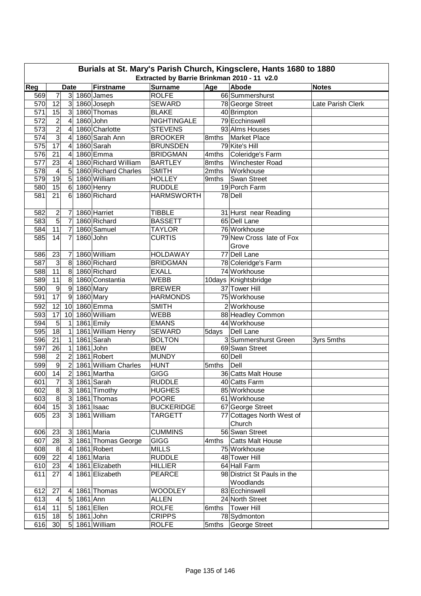| Burials at St. Mary's Parish Church, Kingsclere, Hants 1680 to 1880<br>Extracted by Barrie Brinkman 2010 - 11 v2.0 |                         |                  |          |                      |                    |       |                                     |                   |  |  |
|--------------------------------------------------------------------------------------------------------------------|-------------------------|------------------|----------|----------------------|--------------------|-------|-------------------------------------|-------------------|--|--|
|                                                                                                                    |                         |                  |          |                      |                    |       |                                     |                   |  |  |
| Reg                                                                                                                |                         | <b>Date</b>      |          | <b>Firstname</b>     | <b>Surname</b>     | Age   | Abode                               | <b>Notes</b>      |  |  |
| 569                                                                                                                | 7                       | 3 <sup>l</sup>   |          | 1860 James           | <b>ROLFE</b>       |       | 66 Summershurst                     |                   |  |  |
| 570                                                                                                                | 12                      | $\mathbf{3}$     |          | 1860 Joseph          | <b>SEWARD</b>      |       | 78 George Street                    | Late Parish Clerk |  |  |
| 571                                                                                                                | 15                      | 3 <sup>1</sup>   |          | 1860 Thomas          | <b>BLAKE</b>       |       | 40 Brimpton                         |                   |  |  |
| 572                                                                                                                | $\overline{2}$          | $\overline{4}$   |          | 1860 John            | <b>NIGHTINGALE</b> |       | 79 Ecchinswell                      |                   |  |  |
| 573                                                                                                                | $\overline{2}$          | 4                |          | 1860 Charlotte       | <b>STEVENS</b>     |       | 93 Alms Houses                      |                   |  |  |
| 574                                                                                                                | 3                       | 4                |          | 1860 Sarah Ann       | <b>BROOKER</b>     |       | 8mths   Market Place                |                   |  |  |
| 575                                                                                                                | 17                      | 4                |          | 1860 Sarah           | <b>BRUNSDEN</b>    |       | 79 Kite's Hill                      |                   |  |  |
| 576                                                                                                                | 21                      | 4                |          | 1860 Emma            | <b>BRIDGMAN</b>    | 4mths | Coleridge's Farm                    |                   |  |  |
| 577                                                                                                                | 23                      | 4                |          | 1860 Richard William | <b>BARTLEY</b>     | 8mths | <b>Winchester Road</b>              |                   |  |  |
| 578                                                                                                                | 4                       | 5                |          | 1860 Richard Charles | <b>SMITH</b>       | 2mths | Workhouse                           |                   |  |  |
| 579                                                                                                                | 19                      | 5                |          | 1860 William         | <b>HOLLEY</b>      | 9mths | Swan Street                         |                   |  |  |
| 580                                                                                                                | 15                      | $6\phantom{1}$   |          | 1860 Henry           | <b>RUDDLE</b>      |       | 19 Porch Farm                       |                   |  |  |
| 581                                                                                                                | 21                      | 6                |          | 1860 Richard         | <b>HARMSWORTH</b>  |       | 78 Dell                             |                   |  |  |
| 582                                                                                                                | $\overline{\mathbf{c}}$ | 7                |          | 1860 Harriet         | <b>TIBBLE</b>      |       | 31 Hurst near Reading               |                   |  |  |
| 583                                                                                                                | $\overline{5}$          | $\overline{7}$   |          | 1860 Richard         | <b>BASSETT</b>     |       | 65 Dell Lane                        |                   |  |  |
| 584                                                                                                                | 11                      | $\overline{7}$   |          | 1860 Samuel          | <b>TAYLOR</b>      |       | 76 Workhouse                        |                   |  |  |
| 585                                                                                                                | 14                      | 7                |          | 1860 John            | <b>CURTIS</b>      |       | 79 New Cross late of Fox            |                   |  |  |
|                                                                                                                    |                         |                  |          |                      |                    |       | Grove                               |                   |  |  |
| 586                                                                                                                | 23                      | 7                |          | 1860 William         | <b>HOLDAWAY</b>    |       | 77 Dell Lane                        |                   |  |  |
| 587                                                                                                                | 3                       | 8                |          | 1860 Richard         | <b>BRIDGMAN</b>    |       | 78 Coleridge's Farm                 |                   |  |  |
| 588                                                                                                                | 11                      | 8                |          | 1860 Richard         | <b>EXALL</b>       |       | 74 Workhouse                        |                   |  |  |
| 589                                                                                                                | 11                      | $\bf 8$          |          | 1860 Constantia      | <b>WEBB</b>        |       | 10days Knightsbridge                |                   |  |  |
| 590                                                                                                                | $\boldsymbol{9}$        | $\boldsymbol{9}$ |          | 1860 Mary            | <b>BREWER</b>      |       | 37 Tower Hill                       |                   |  |  |
| 591                                                                                                                | 17                      | $\boldsymbol{9}$ |          | 1860 Mary            | <b>HARMONDS</b>    |       | 75 Workhouse                        |                   |  |  |
| 592                                                                                                                | $\overline{12}$         | 10               |          | 1860 Emma            | <b>SMITH</b>       |       | 2 Workhouse                         |                   |  |  |
| 593                                                                                                                | 17                      | 10               |          | 1860 William         | <b>WEBB</b>        |       | 88 Headley Common                   |                   |  |  |
| 594                                                                                                                | $\overline{5}$          | 1                |          | 1861 Emily           | <b>EMANS</b>       |       | 44 Workhouse                        |                   |  |  |
| 595                                                                                                                | 18                      | 1                |          | 1861 William Henry   | <b>SEWARD</b>      |       | Dell Lane                           |                   |  |  |
| 596                                                                                                                | 21                      | 1                |          | 1861 Sarah           | <b>BOLTON</b>      | 5days | 3 Summershurst Green                |                   |  |  |
|                                                                                                                    | $\overline{26}$         |                  |          |                      | <b>BEW</b>         |       |                                     | 3yrs 5mths        |  |  |
| 597                                                                                                                | $\overline{2}$          | $\mathbf{1}$     |          | 1861 John            |                    |       | 69 Swan Street                      |                   |  |  |
| 598                                                                                                                | $\overline{9}$          | $\overline{c}$   |          | 1861 Robert          | <b>MUNDY</b>       |       | 60 Dell                             |                   |  |  |
| 599                                                                                                                |                         | $\overline{2}$   |          | 1861 William Charles | <b>HUNT</b>        | 5mths | Dell                                |                   |  |  |
| 600                                                                                                                | 14                      | $\overline{c}$   |          | 1861 Martha          | <b>GIGG</b>        |       | 36 Catts Malt House                 |                   |  |  |
| 601                                                                                                                | $\overline{7}$          | $\overline{3}$   |          | 1861 Sarah           | <b>RUDDLE</b>      |       | 40 Catts Farm                       |                   |  |  |
| 602                                                                                                                | œ                       | 3 <sup>1</sup>   |          | 1861 Timothy         | <b>HUGHES</b>      |       | 85 Workhouse                        |                   |  |  |
| 603                                                                                                                | 8                       |                  |          | 3 1861 Thomas        | <b>POORE</b>       |       | 61 Workhouse                        |                   |  |  |
| 604                                                                                                                | 15                      | 3 <sup>l</sup>   |          | 1861 Isaac           | <b>BUCKERIDGE</b>  |       | 67 George Street                    |                   |  |  |
| 605                                                                                                                | 23                      | $\overline{3}$   |          | 1861 William         | TARGETT            |       | 77 Cottages North West of<br>Church |                   |  |  |
| 606                                                                                                                | 23                      | $\mathbf{3}$     |          | 1861 Maria           | <b>CUMMINS</b>     |       | 56 Swan Street                      |                   |  |  |
| 607                                                                                                                | 28                      | 3 <sup>1</sup>   |          | 1861 Thomas George   | <b>GIGG</b>        | 4mths | <b>Catts Malt House</b>             |                   |  |  |
| 608                                                                                                                | 8                       | 4                |          | 1861 Robert          | <b>MILLS</b>       |       | 75 Workhouse                        |                   |  |  |
| 609                                                                                                                | 22                      |                  |          | 1861 Maria           | <b>RUDDLE</b>      |       | 48 Tower Hill                       |                   |  |  |
| 610                                                                                                                | 23                      |                  |          | 1861 Elizabeth       | <b>HILLIER</b>     |       | 64 Hall Farm                        |                   |  |  |
| 611                                                                                                                | 27                      | 4                |          | 1861 Elizabeth       | <b>PEARCE</b>      |       | 98 District St Pauls in the         |                   |  |  |
|                                                                                                                    |                         |                  |          |                      |                    |       | Woodlands                           |                   |  |  |
| 612                                                                                                                | 27                      | 4                |          | 1861 Thomas          | <b>WOODLEY</b>     |       | 83 Ecchinswell                      |                   |  |  |
| 613                                                                                                                | $\overline{a}$          | $\overline{5}$   | 1861 Ann |                      | <b>ALLEN</b>       |       | 24 North Street                     |                   |  |  |
| 614                                                                                                                | 11                      | $\overline{5}$   |          | 1861 Ellen           | <b>ROLFE</b>       | 6mths | <b>Tower Hill</b>                   |                   |  |  |
| 615                                                                                                                | 18                      | 5                |          | 1861 John            | <b>CRIPPS</b>      |       | 78 Sydmonton                        |                   |  |  |
| 616                                                                                                                | 30                      | 5                |          | 1861 William         | <b>ROLFE</b>       | 5mths | George Street                       |                   |  |  |
|                                                                                                                    |                         |                  |          |                      |                    |       |                                     |                   |  |  |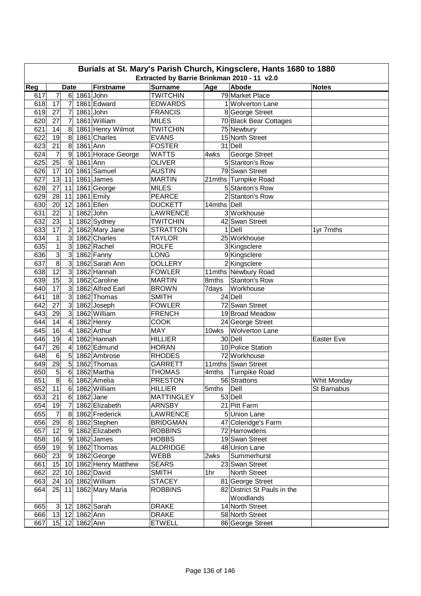|     | Burials at St. Mary's Parish Church, Kingsclere, Hants 1680 to 1880<br>Extracted by Barrie Brinkman 2010 - 11 v2.0 |                 |                |                       |                   |             |                             |              |  |  |  |  |
|-----|--------------------------------------------------------------------------------------------------------------------|-----------------|----------------|-----------------------|-------------------|-------------|-----------------------------|--------------|--|--|--|--|
| Reg |                                                                                                                    | <b>Date</b>     |                | <b>Firstname</b>      | <b>Surname</b>    | Age         | Abode                       | <b>Notes</b> |  |  |  |  |
| 617 | 7                                                                                                                  | 6               |                | 1861 John             | <b>TWITCHIN</b>   |             | 79 Market Place             |              |  |  |  |  |
| 618 | 17                                                                                                                 | 7               |                | 1861 Edward           | <b>EDWARDS</b>    |             | 1 Wolverton Lane            |              |  |  |  |  |
| 619 | 27                                                                                                                 | 7               |                | 1861 John             | <b>FRANCIS</b>    |             | 8 George Street             |              |  |  |  |  |
| 620 | 27                                                                                                                 | 7               |                | 1861 William          | <b>MILES</b>      |             | 70 Black Bear Cottages      |              |  |  |  |  |
| 621 | 14                                                                                                                 | 8               |                | 1861 Henry Wilmot     | <b>TWITCHIN</b>   |             | 75 Newbury                  |              |  |  |  |  |
| 622 | 19                                                                                                                 | 8               |                | 1861 Charles          | <b>EVANS</b>      |             | 15 North Street             |              |  |  |  |  |
| 623 | 21                                                                                                                 | 8               | 1861 Ann       |                       | <b>FOSTER</b>     |             | 31 Dell                     |              |  |  |  |  |
| 624 | 7                                                                                                                  | 9               |                | 1861 Horace George    | <b>WATTS</b>      | 4wks        | George Street               |              |  |  |  |  |
| 625 | 25                                                                                                                 | 9               | 1861 Ann       |                       | <b>OLIVER</b>     |             | 5 Stanton's Row             |              |  |  |  |  |
| 626 | 17                                                                                                                 | 10              |                | 1861 Samuel           | <b>AUSTIN</b>     |             | 79 Swan Street              |              |  |  |  |  |
| 627 | 13                                                                                                                 | 11              |                | 1861 James            | <b>MARTIN</b>     |             | 21mths Turnpike Road        |              |  |  |  |  |
| 628 | 27                                                                                                                 | 11              |                | 1861 George           | <b>MILES</b>      |             | 5 Stanton's Row             |              |  |  |  |  |
| 629 | 28                                                                                                                 | 11              |                | 1861 Emily            | <b>PEARCE</b>     |             | 2 Stanton's Row             |              |  |  |  |  |
| 630 | 20                                                                                                                 | 12              |                | 1861 Ellen            | <b>DUCKETT</b>    | 14mths Dell |                             |              |  |  |  |  |
| 631 | 22                                                                                                                 | 1               |                | 1862 John             | LAWRENCE          |             | 3 Workhouse                 |              |  |  |  |  |
| 632 | $\overline{23}$                                                                                                    | 1               |                | 1862 Sydney           | <b>TWITCHIN</b>   |             | 42 Swan Street              |              |  |  |  |  |
| 633 | $\overline{17}$                                                                                                    | $\overline{2}$  |                | 1862 Mary Jane        | <b>STRATTON</b>   |             | $1$ Dell                    | 1yr 7mths    |  |  |  |  |
| 634 | $\mathbf 1$                                                                                                        | 3               |                | 1862 Charles          | <b>TAYLOR</b>     |             | 25 Workhouse                |              |  |  |  |  |
| 635 | $\mathbf 1$                                                                                                        | 3               |                | 1862 Rachel           | <b>ROLFE</b>      |             | 3 Kingsclere                |              |  |  |  |  |
| 636 | $\overline{3}$                                                                                                     | 3               |                | 1862 Fanny            | LONG              |             |                             |              |  |  |  |  |
| 637 | $\overline{8}$                                                                                                     | 3               |                | 1862 Sarah Ann        | <b>DOLLERY</b>    |             | 9 Kingsclere                |              |  |  |  |  |
|     | 12                                                                                                                 |                 |                | 1862 Hannah           |                   |             | 2Kingsclere                 |              |  |  |  |  |
| 638 | $\overline{15}$                                                                                                    | 3               |                |                       | <b>FOWLER</b>     |             | 11mths Newbury Road         |              |  |  |  |  |
| 639 |                                                                                                                    | 3               |                | 1862 Caroline         | <b>MARTIN</b>     | 8mths       | Stanton's Row               |              |  |  |  |  |
| 640 | $\overline{17}$                                                                                                    | 3               |                | 1862 Alfred Earl      | <b>BROWN</b>      | 7days       | Workhouse                   |              |  |  |  |  |
| 641 | 18                                                                                                                 | 3               |                | 1862 Thomas           | <b>SMITH</b>      |             | 24 Dell                     |              |  |  |  |  |
| 642 | 27                                                                                                                 | 3               |                | 1862 Joseph           | <b>FOWLER</b>     |             | 72 Swan Street              |              |  |  |  |  |
| 643 | 29                                                                                                                 | 3               |                | 1862 William          | <b>FRENCH</b>     |             | 19 Broad Meadow             |              |  |  |  |  |
| 644 | 14                                                                                                                 | 4               |                | 1862 Henry            | <b>COOK</b>       |             | 24 George Street            |              |  |  |  |  |
| 645 | 16                                                                                                                 | 4               |                | 1862 Arthur           | <b>MAY</b>        | 10wks       | <b>Wolverton Lane</b>       |              |  |  |  |  |
| 646 | 19                                                                                                                 | 4               |                | 1862 Hannah           | <b>HILLIER</b>    |             | 30 Dell                     | Easter Eve   |  |  |  |  |
| 647 | 26                                                                                                                 | 4               |                | 1862 Edmund           | <b>HORAN</b>      |             | 10 Police Station           |              |  |  |  |  |
| 648 | 6                                                                                                                  | $\overline{5}$  |                | 1862 Ambrose          | <b>RHODES</b>     |             | 72 Workhouse                |              |  |  |  |  |
| 649 | 29                                                                                                                 | 5               |                | 1862 Thomas           | <b>GARRETT</b>    |             | 11mths Swan Street          |              |  |  |  |  |
| 650 | 5<br>$\overline{8}$                                                                                                | 6               |                | 1862 Martha           | <b>THOMAS</b>     | 4mths       | <b>Turnpike Road</b>        |              |  |  |  |  |
| 651 |                                                                                                                    | 6               |                | 1862 Amelia           | <b>PRESTON</b>    |             | 56 Strattons                | Whit Monday  |  |  |  |  |
| 652 | 11                                                                                                                 |                 |                | 6 1862 William        | <b>HILLIER</b>    | 5mths Dell  |                             | St Barnabus  |  |  |  |  |
| 653 | 21                                                                                                                 |                 | 6 1862 Jane    |                       | <b>MATTINGLEY</b> |             | 53 Dell                     |              |  |  |  |  |
| 654 | 19                                                                                                                 | $\overline{7}$  |                | 1862 Elizabeth        | <b>ARNSBY</b>     |             | 21 Pitt Farm                |              |  |  |  |  |
| 655 | 7                                                                                                                  |                 |                | 8 1862 Frederick      | <b>LAWRENCE</b>   |             | 5 Union Lane                |              |  |  |  |  |
| 656 | 29                                                                                                                 |                 |                | 8 1862 Stephen        | <b>BRIDGMAN</b>   |             | 47 Coleridge's Farm         |              |  |  |  |  |
| 657 | 12                                                                                                                 |                 |                | 9 1862 Elizabeth      | <b>ROBBINS</b>    |             | 72 Harrowdens               |              |  |  |  |  |
| 658 | 16                                                                                                                 |                 |                | $9$ 1862 James        | <b>HOBBS</b>      |             | 19 Swan Street              |              |  |  |  |  |
| 659 | 19                                                                                                                 |                 |                | $9$ 1862 Thomas       | <b>ALDRIDGE</b>   |             | 48 Union Lane               |              |  |  |  |  |
| 660 | 23                                                                                                                 |                 |                | 9 1862 George         | WEBB              | 2wks        | Summerhurst                 |              |  |  |  |  |
| 661 | 15                                                                                                                 |                 |                | 10 1862 Henry Matthew | <b>SEARS</b>      |             | 23 Swan Street              |              |  |  |  |  |
| 662 | 22                                                                                                                 | 10 <sup>1</sup> |                | 1862 David            | SMITH             | 1hr         | North Street                |              |  |  |  |  |
| 663 | 24                                                                                                                 | 10              |                | 1862 William          | <b>STACEY</b>     |             | 81 George Street            |              |  |  |  |  |
| 664 | 25                                                                                                                 | 11              |                | 1862 Mary Maria       | <b>ROBBINS</b>    |             | 82 District St Pauls in the |              |  |  |  |  |
|     |                                                                                                                    |                 |                |                       |                   |             | Woodlands                   |              |  |  |  |  |
| 665 | 3 <sup>1</sup>                                                                                                     |                 |                | 12 1862 Sarah         | <b>DRAKE</b>      |             | 14 North Street             |              |  |  |  |  |
| 666 |                                                                                                                    |                 | 13 12 1862 Ann |                       | <b>DRAKE</b>      |             | 58 North Street             |              |  |  |  |  |
| 667 |                                                                                                                    |                 | 15 12 1862 Ann |                       | <b>ETWELL</b>     |             | 86 George Street            |              |  |  |  |  |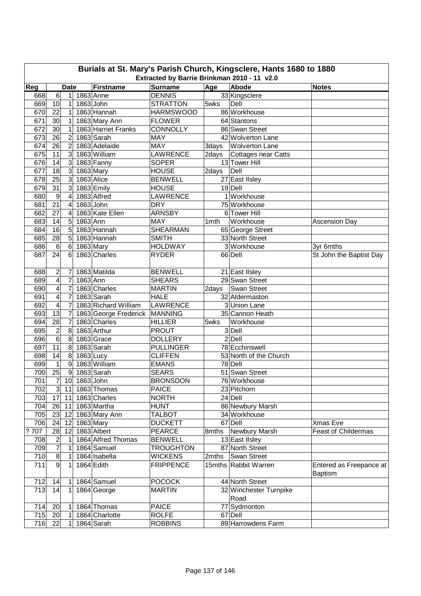|            | Burials at St. Mary's Parish Church, Kingsclere, Hants 1680 to 1880<br>Extracted by Barrie Brinkman 2010 - 11 v2.0 |                     |           |                               |                                     |                  |                                     |                                           |  |  |  |  |
|------------|--------------------------------------------------------------------------------------------------------------------|---------------------|-----------|-------------------------------|-------------------------------------|------------------|-------------------------------------|-------------------------------------------|--|--|--|--|
|            |                                                                                                                    |                     |           |                               |                                     |                  |                                     |                                           |  |  |  |  |
| Reg<br>668 | 6                                                                                                                  | <b>Date</b>         |           | <b>Firstname</b><br>1863 Anne | <b>Surname</b><br><b>DENNIS</b>     | Age              | Abode<br>33 Kingsclere              | <b>Notes</b>                              |  |  |  |  |
| 669        |                                                                                                                    | 1                   |           | 1863 John                     |                                     | 5wks             | Dell                                |                                           |  |  |  |  |
| 670        | 10<br>22                                                                                                           | 1<br>1              |           | 1863 Hannah                   | <b>STRATTON</b><br><b>HARMSWOOD</b> |                  | 86 Workhouse                        |                                           |  |  |  |  |
| 671        | 30                                                                                                                 | 1                   |           | 1863 Mary Ann                 | <b>FLOWER</b>                       |                  | 64 Stantons                         |                                           |  |  |  |  |
| 672        | 30                                                                                                                 | 1                   |           | 1863 Harriet Franks           | <b>CONNOLLY</b>                     |                  | 86 Swan Street                      |                                           |  |  |  |  |
| 673        | 26                                                                                                                 | $\overline{2}$      |           | 1863 Sarah                    | MAY                                 |                  | 42 Wolverton Lane                   |                                           |  |  |  |  |
| 674        | 26                                                                                                                 | 2                   |           | 1863 Adelaide                 | MAY                                 | 3days            | <b>Wolverton Lane</b>               |                                           |  |  |  |  |
| 675        | 11                                                                                                                 | 3                   |           | 1863 William                  | <b>LAWRENCE</b>                     | 2days            | <b>Cottages near Catts</b>          |                                           |  |  |  |  |
| 676        | 14                                                                                                                 | $\overline{3}$      |           | 1863 Fanny                    | <b>SOPER</b>                        |                  | 13 Tower Hill                       |                                           |  |  |  |  |
| 677        | 18                                                                                                                 | $\overline{3}$      |           | 1863 Mary                     | <b>HOUSE</b>                        | 2days            | Dell                                |                                           |  |  |  |  |
| 678        | 25                                                                                                                 | 3                   |           | 1863 Alice                    | <b>BENWELL</b>                      |                  | 27 East IIsley                      |                                           |  |  |  |  |
| 679        | 31                                                                                                                 | 3                   |           | 1863 Emily                    | <b>HOUSE</b>                        |                  | $19$ Dell                           |                                           |  |  |  |  |
| 680        | $\boldsymbol{9}$                                                                                                   | $\overline{4}$      |           | 1863 Alfred                   | <b>LAWRENCE</b>                     |                  | 1 Workhouse                         |                                           |  |  |  |  |
| 681        | 21                                                                                                                 | 4                   |           | 1863 John                     | <b>DRY</b>                          |                  | 75 Workhouse                        |                                           |  |  |  |  |
| 682        | $\overline{27}$                                                                                                    | 4                   |           | 1863 Kate Ellen               | <b>ARNSBY</b>                       |                  | 6 Tower Hill                        |                                           |  |  |  |  |
| 683        | 14                                                                                                                 | 5                   | 1863 Ann  |                               | <b>MAY</b>                          |                  | Workhouse                           |                                           |  |  |  |  |
| 684        | 16                                                                                                                 | 5                   |           | 1863 Hannah                   | <b>SHEARMAN</b>                     | 1 <sub>mth</sub> |                                     | Ascension Day                             |  |  |  |  |
| 685        | $\overline{28}$                                                                                                    |                     |           | 1863 Hannah                   | <b>SMITH</b>                        |                  | 65 George Street<br>33 North Street |                                           |  |  |  |  |
| 686        |                                                                                                                    | 5<br>$6\phantom{1}$ |           |                               |                                     |                  | 3 Workhouse                         |                                           |  |  |  |  |
| 687        | $\,6$<br>24                                                                                                        | 6                   |           | 1863 Mary<br>1863 Charles     | <b>HOLDWAY</b><br><b>RYDER</b>      |                  | 66 Dell                             | 3yr 6mths<br>St John the Baptist Day      |  |  |  |  |
|            |                                                                                                                    |                     |           |                               |                                     |                  |                                     |                                           |  |  |  |  |
| 688        | $\overline{\mathbf{c}}$                                                                                            | 7                   |           | 1863 Matilda                  | <b>BENWELL</b>                      |                  | 21 East IIsley                      |                                           |  |  |  |  |
| 689        | $\overline{\mathbf{4}}$                                                                                            | $\overline{7}$      | 1863 Ann  |                               | <b>SHEARS</b>                       |                  | 29 Swan Street                      |                                           |  |  |  |  |
| 690        | $\overline{\mathbf{4}}$                                                                                            | $\overline{7}$      |           | 1863 Charles                  | <b>MARTIN</b>                       | 2days            | Swan Street                         |                                           |  |  |  |  |
| 691        | 4                                                                                                                  | $\overline{7}$      |           | 1863 Sarah                    | <b>HALE</b>                         |                  | 32 Aldermaston                      |                                           |  |  |  |  |
| 692        | 4                                                                                                                  | $\overline{7}$      |           | 1863 Richard William          | LAWRENCE                            |                  | 3 Union Lane                        |                                           |  |  |  |  |
| 693        | $\overline{13}$                                                                                                    | $\overline{7}$      |           | 1863 George Frederick MANNING |                                     |                  | 35 Cannon Heath                     |                                           |  |  |  |  |
| 694        | 28                                                                                                                 | $\overline{7}$      |           | 1863 Charles                  | <b>HILLIER</b>                      | 5wks             | Workhouse                           |                                           |  |  |  |  |
| 695        | $\overline{2}$                                                                                                     | $\overline{8}$      |           | 1863 Arthur                   | <b>PROUT</b>                        |                  | 3 Dell                              |                                           |  |  |  |  |
| 696        | 6                                                                                                                  | 8                   |           | 1863 Grace                    | <b>DOLLERY</b>                      |                  | $2$ Dell                            |                                           |  |  |  |  |
| 697        | $\overline{11}$                                                                                                    | $\bf 8$             |           | 1863 Sarah                    | <b>PULLINGER</b>                    |                  | 78 Ecchinswell                      |                                           |  |  |  |  |
| 698        | 14                                                                                                                 | $\boldsymbol{8}$    | 1863 Lucy |                               | <b>CLIFFEN</b>                      |                  | 53 North of the Church              |                                           |  |  |  |  |
| 699        | $\mathbf{1}$                                                                                                       | $\overline{9}$      |           | 1863 William                  | <b>EMANS</b>                        |                  | 78 Dell                             |                                           |  |  |  |  |
| 700        | 25                                                                                                                 | $\overline{9}$      |           | 1863 Sarah                    | <b>SEARS</b>                        |                  | 51 Swan Street                      |                                           |  |  |  |  |
| 701        | $\overline{7}$                                                                                                     | 10                  |           | $1863$ John                   | <b>BRONSDON</b>                     |                  | 76 Workhouse                        |                                           |  |  |  |  |
| 702        | 3 <sup>1</sup>                                                                                                     | 11                  |           | 1863 Thomas                   | <b>PAICE</b>                        |                  | 23 Pitchorn                         |                                           |  |  |  |  |
| 703        | 17                                                                                                                 | 11                  |           | 1863 Charles                  | <b>NORTH</b>                        |                  | 24 Dell                             |                                           |  |  |  |  |
| 704        | 26                                                                                                                 | 11                  |           | 1863 Martha                   | <b>HUNT</b>                         |                  | 86 Newbury Marsh                    |                                           |  |  |  |  |
| 705        | 23                                                                                                                 | 12                  |           | 1863 Mary Ann                 | <b>TALBOT</b>                       |                  | 34 Workhouse                        |                                           |  |  |  |  |
| 706        | 24                                                                                                                 | 12                  |           | 1863 Mary                     | <b>DUCKETT</b>                      |                  | 67 Dell                             | Xmas Eve                                  |  |  |  |  |
| 707<br>?   | 28                                                                                                                 | 12                  |           | 1863 Albert                   | <b>PEARCE</b>                       |                  | 8mths Newbury Marsh                 | <b>Feast of Childermas</b>                |  |  |  |  |
| 708        | $\overline{2}$                                                                                                     | $\mathbf 1$         |           | 1864 Alfred Thomas            | <b>BENWELL</b>                      |                  | 13 East IIsley                      |                                           |  |  |  |  |
| 709        | $\overline{7}$                                                                                                     | 1                   |           | 1864 Samuel                   | <b>TROUGHTON</b>                    |                  | 87 North Street                     |                                           |  |  |  |  |
| 710        | 8                                                                                                                  | 1                   |           | 1864 Isabella                 | <b>WICKENS</b>                      | 2mths            | Swan Street                         |                                           |  |  |  |  |
| 711        | 9                                                                                                                  | 1                   |           | 1864 Edith                    | <b>FRIPPENCE</b>                    |                  | 15mths Rabbit Warren                | Entered as Freepance at<br><b>Baptism</b> |  |  |  |  |
| 712        | 14                                                                                                                 | 1                   |           | 1864 Samuel                   | <b>POCOCK</b>                       |                  | 44 North Street                     |                                           |  |  |  |  |
| 713        | 14                                                                                                                 | 1                   |           | 1864 George                   | <b>MARTIN</b>                       |                  | 32 Winchester Turnpike<br>Road      |                                           |  |  |  |  |
| 714        | 20                                                                                                                 | 1                   |           | 1864 Thomas                   | <b>PAICE</b>                        |                  | 77 Sydmonton                        |                                           |  |  |  |  |
| 715        | 20                                                                                                                 | 1                   |           | 1864 Charlotte                | <b>ROLFE</b>                        |                  | 67 Dell                             |                                           |  |  |  |  |
| 716        | 22                                                                                                                 | $\mathbf{1}$        |           | 1864 Sarah                    | <b>ROBBINS</b>                      |                  | 89 Harrowdens Farm                  |                                           |  |  |  |  |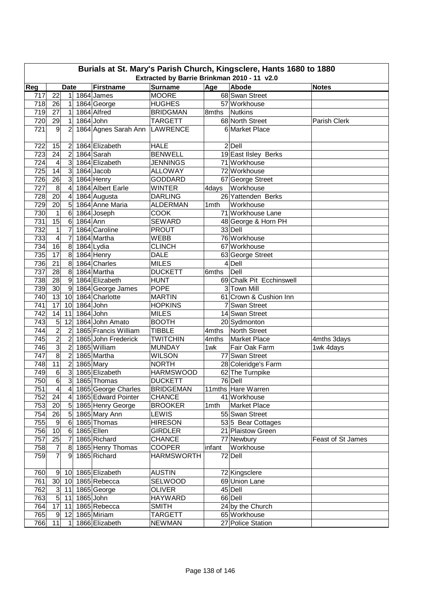| Burials at St. Mary's Parish Church, Kingsclere, Hants 1680 to 1880<br>Extracted by Barrie Brinkman 2010 - 11 v2.0 |                 |                  |           |                               |                   |        |                          |                   |  |  |
|--------------------------------------------------------------------------------------------------------------------|-----------------|------------------|-----------|-------------------------------|-------------------|--------|--------------------------|-------------------|--|--|
|                                                                                                                    |                 |                  |           |                               | <b>Surname</b>    |        |                          |                   |  |  |
| Reg                                                                                                                |                 | <b>Date</b>      |           | <b>Firstname</b>              |                   | Age    | Abode                    | <b>Notes</b>      |  |  |
| 717                                                                                                                | 22              | 1                |           | 1864 James                    | <b>MOORE</b>      |        | 68 Swan Street           |                   |  |  |
| 718                                                                                                                | 26              | 1                |           | 1864 George                   | <b>HUGHES</b>     |        | 57 Workhouse             |                   |  |  |
| 719                                                                                                                | 27              | 1                |           | 1864 Alfred                   | <b>BRIDGMAN</b>   | 8mths  | <b>Nutkins</b>           |                   |  |  |
| 720                                                                                                                | 29              | 1                |           | 1864 John                     | <b>TARGETT</b>    |        | 68 North Street          | Parish Clerk      |  |  |
| 721                                                                                                                | 9               | 2                |           | 1864 Agnes Sarah Ann LAWRENCE |                   |        | 6 Market Place           |                   |  |  |
| 722                                                                                                                | 15              | 2                |           | 1864 Elizabeth                | <b>HALE</b>       |        | $2$ Dell                 |                   |  |  |
| 723                                                                                                                | 24              | $\overline{2}$   |           | 1864 Sarah                    | <b>BENWELL</b>    |        | 19 East IIsley Berks     |                   |  |  |
| 724                                                                                                                | 4               | 3                |           | 1864 Elizabeth                | <b>JENNINGS</b>   |        | 71 Workhouse             |                   |  |  |
| 725                                                                                                                | 14              | 3                |           | 1864 Jacob                    | <b>ALLOWAY</b>    |        | 72 Workhouse             |                   |  |  |
| 726                                                                                                                | 26              | 3                |           | 1864 Henry                    | <b>GODDARD</b>    |        | 67 George Street         |                   |  |  |
| 727                                                                                                                | 8               | 4                |           | 1864 Albert Earle             | <b>WINTER</b>     | 4days  | Workhouse                |                   |  |  |
| 728                                                                                                                | $\overline{20}$ | 4                |           | 1864 Augusta                  | <b>DARLING</b>    |        | 26 Yattenden Berks       |                   |  |  |
| 729                                                                                                                | 20              | 5                |           | 1864 Anne Maria               | <b>ALDERMAN</b>   | 1mth   | Workhouse                |                   |  |  |
| 730                                                                                                                | 1               | 6                |           | 1864 Joseph                   | <b>COOK</b>       |        | 71 Workhouse Lane        |                   |  |  |
| 731                                                                                                                | 15              | 6                | 1864 Ann  |                               | <b>SEWARD</b>     |        | 48 George & Horn PH      |                   |  |  |
| 732                                                                                                                | $\mathbf{1}$    | 7                |           | 1864 Caroline                 | <b>PROUT</b>      |        | 33 Dell                  |                   |  |  |
| 733                                                                                                                | 4               | $\overline{7}$   |           | 1864 Martha                   | <b>WEBB</b>       |        | 76 Workhouse             |                   |  |  |
| 734                                                                                                                | 16              | $\,8\,$          |           | 1864 Lydia                    | <b>CLINCH</b>     |        | 67 Workhouse             |                   |  |  |
| 735                                                                                                                | $\overline{17}$ | 8                |           | 1864 Henry                    | <b>DALE</b>       |        | 63 George Street         |                   |  |  |
| 736                                                                                                                | 21              | 8                |           | 1864 Charles                  | <b>MILES</b>      |        | 4 Dell                   |                   |  |  |
| 737                                                                                                                | 28              | 8                |           | 1864 Martha                   | <b>DUCKETT</b>    | 6mths  | Dell                     |                   |  |  |
| 738                                                                                                                | 28              | $9\,$            |           | 1864 Elizabeth                | <b>HUNT</b>       |        | 69 Chalk Pit Ecchinswell |                   |  |  |
| 739                                                                                                                | 30              | $\boldsymbol{9}$ |           | 1864 George James             | <b>POPE</b>       |        | 3 Town Mill              |                   |  |  |
| 740                                                                                                                | 13              | 10               |           | 1864 Charlotte                | <b>MARTIN</b>     |        | 61 Crown & Cushion Inn   |                   |  |  |
| 741                                                                                                                | $\overline{17}$ | 10               | 1864 John |                               | <b>HOPKINS</b>    |        | 7 Swan Street            |                   |  |  |
| 742                                                                                                                | 14              | 11               |           | 1864 John                     | <b>MILES</b>      |        | 14 Swan Street           |                   |  |  |
| 743                                                                                                                | $\overline{5}$  | 12               |           | 1864 John Amato               | <b>BOOTH</b>      |        | 20 Sydmonton             |                   |  |  |
| 744                                                                                                                | $\overline{2}$  | $\overline{2}$   |           | 1865 Francis William          | <b>TIBBLE</b>     |        | 4mths   North Street     |                   |  |  |
| 745                                                                                                                | $\overline{2}$  | $\overline{c}$   |           | 1865 John Frederick           | <b>TWITCHIN</b>   | 4mths  | <b>Market Place</b>      | 4mths 3days       |  |  |
| 746                                                                                                                | $\overline{3}$  | $\overline{c}$   |           | 1865 William                  | <b>MUNDAY</b>     | 1wk    | Fair Oak Farm            | 1wk 4days         |  |  |
| 747                                                                                                                | $\overline{8}$  | $\overline{c}$   |           | 1865 Martha                   | <b>WILSON</b>     |        | 77 Swan Street           |                   |  |  |
| 748                                                                                                                | 11              | $\overline{2}$   |           | $1865$ Mary                   | <b>NORTH</b>      |        | 28 Coleridge's Farm      |                   |  |  |
| 749                                                                                                                | $\,6$           | $\overline{3}$   |           | 1865 Elizabeth                | <b>HARMSWOOD</b>  |        | 62 The Turnpike          |                   |  |  |
| 750                                                                                                                | $\overline{6}$  | $\overline{3}$   |           | 1865 Thomas                   | <b>DUCKETT</b>    |        | 76 Dell                  |                   |  |  |
| 751                                                                                                                | $\overline{4}$  |                  |           | 4 1865 George Charles         | <b>BRIDGEMAN</b>  |        | 11mths Hare Warren       |                   |  |  |
| 752                                                                                                                | 24              |                  |           | 4 1865 Edward Pointer         | <b>CHANCE</b>     |        | 41 Workhouse             |                   |  |  |
| 753                                                                                                                | 20              |                  |           | 5 1865 Henry George           | <b>BROOKER</b>    | 1mth   | Market Place             |                   |  |  |
| 754                                                                                                                | 26              |                  |           | 5 1865 Mary Ann               | LEWIS             |        | 55 Swan Street           |                   |  |  |
| 755                                                                                                                | $\overline{9}$  |                  |           | 6 1865 Thomas                 | <b>HIRESON</b>    |        | 535 Bear Cottages        |                   |  |  |
| 756                                                                                                                | 10              | 6                |           | 1865 Ellen                    | <b>GIRDLER</b>    |        | 21 Plaistow Green        |                   |  |  |
| 757                                                                                                                | 25              | 7                |           | 1865 Richard                  | <b>CHANCE</b>     |        | 77 Newbury               | Feast of St James |  |  |
| 758                                                                                                                | 7               | 8                |           | 1865 Henry Thomas             | <b>COOPER</b>     | infant | Workhouse                |                   |  |  |
| 759                                                                                                                | 7               | 9                |           | 1865 Richard                  | <b>HARMSWORTH</b> |        | 72 Dell                  |                   |  |  |
|                                                                                                                    |                 |                  |           |                               |                   |        |                          |                   |  |  |
| 760                                                                                                                | 9               |                  |           | 10 1865 Elizabeth             | <b>AUSTIN</b>     |        | 72 Kingsclere            |                   |  |  |
| 761                                                                                                                |                 |                  |           | 30 10 1865 Rebecca            | <b>SELWOOD</b>    |        | 69 Union Lane            |                   |  |  |
| 762                                                                                                                | $\mathbf{3}$    | 11               |           | 1865 George                   | <b>OLIVER</b>     |        | 45 Dell                  |                   |  |  |
| 763                                                                                                                | 5 <sup>1</sup>  | 11               | 1865 John |                               | <b>HAYWARD</b>    |        | 66 Dell                  |                   |  |  |
| 764                                                                                                                | 17              | 11               |           | 1865 Rebecca                  | <b>SMITH</b>      |        | 24 by the Church         |                   |  |  |
| 765                                                                                                                | $\overline{9}$  | 12               |           | 1865 Miriam                   | <b>TARGETT</b>    |        | 65 Workhouse             |                   |  |  |
| 766                                                                                                                | 11              | $\overline{1}$   |           | 1866 Elizabeth                | <b>NEWMAN</b>     |        | 27 Police Station        |                   |  |  |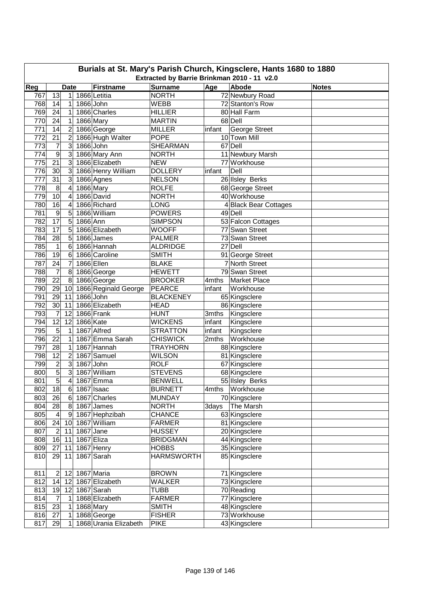| Burials at St. Mary's Parish Church, Kingsclere, Hants 1680 to 1880<br>Extracted by Barrie Brinkman 2010 - 11 v2.0 |                                                                                          |                                  |           |                               |                              |        |                                  |  |  |  |  |  |
|--------------------------------------------------------------------------------------------------------------------|------------------------------------------------------------------------------------------|----------------------------------|-----------|-------------------------------|------------------------------|--------|----------------------------------|--|--|--|--|--|
|                                                                                                                    | Reg<br><b>Surname</b><br>Age<br>Abode<br><b>Firstname</b><br><b>Date</b><br><b>Notes</b> |                                  |           |                               |                              |        |                                  |  |  |  |  |  |
|                                                                                                                    |                                                                                          |                                  |           |                               |                              |        |                                  |  |  |  |  |  |
| 767                                                                                                                | 13                                                                                       | 1                                |           | 1866 Letitia                  | <b>NORTH</b>                 |        | 72 Newbury Road                  |  |  |  |  |  |
| 768                                                                                                                | 14                                                                                       | 1                                |           | 1866 John                     | <b>WEBB</b>                  |        | 72 Stanton's Row                 |  |  |  |  |  |
| 769                                                                                                                | 24                                                                                       | 1                                |           | 1866 Charles                  | <b>HILLIER</b>               |        | 80 Hall Farm                     |  |  |  |  |  |
| 770                                                                                                                | 24                                                                                       | 1                                |           | 1866 Mary                     | <b>MARTIN</b>                |        | 68 Dell                          |  |  |  |  |  |
| 771<br>772                                                                                                         | 14<br>21                                                                                 | $\overline{2}$<br>$\overline{2}$ |           | 1866 George                   | <b>MILLER</b><br><b>POPE</b> | infant | George Street<br>10 Town Mill    |  |  |  |  |  |
| 773                                                                                                                | 7                                                                                        | 3                                |           | 1866 Hugh Walter<br>1866 John | <b>SHEARMAN</b>              |        | 67 Dell                          |  |  |  |  |  |
| 774                                                                                                                | 9                                                                                        | 3                                |           | 1866 Mary Ann                 | <b>NORTH</b>                 |        |                                  |  |  |  |  |  |
| 775                                                                                                                | 21                                                                                       | 3                                |           | 1866 Elizabeth                | <b>NEW</b>                   |        | 11 Newbury Marsh<br>77 Workhouse |  |  |  |  |  |
| 776                                                                                                                | 30                                                                                       | 3                                |           | 1866 Henry William            | <b>DOLLERY</b>               | infant | Dell                             |  |  |  |  |  |
| 777                                                                                                                | 31                                                                                       | 3                                |           | 1866 Agnes                    | <b>NELSON</b>                |        | 26 IIsley Berks                  |  |  |  |  |  |
| 778                                                                                                                | 8                                                                                        | 4                                |           | 1866 Mary                     | <b>ROLFE</b>                 |        | 68 George Street                 |  |  |  |  |  |
| 779                                                                                                                | 10                                                                                       | 4                                |           | 1866 David                    | <b>NORTH</b>                 |        | 40 Workhouse                     |  |  |  |  |  |
| 780                                                                                                                | 16                                                                                       | 4                                |           | 1866 Richard                  | <b>LONG</b>                  |        | 4 Black Bear Cottages            |  |  |  |  |  |
| 781                                                                                                                | 9                                                                                        | 5                                |           | 1866 William                  | <b>POWERS</b>                |        | 49 Dell                          |  |  |  |  |  |
| 782                                                                                                                | $\overline{17}$                                                                          | 5                                | 1866 Ann  |                               | <b>SIMPSON</b>               |        | 53 Falcon Cottages               |  |  |  |  |  |
| 783                                                                                                                | 17                                                                                       | 5                                |           | 1866 Elizabeth                | <b>WOOFF</b>                 |        | 77 Swan Street                   |  |  |  |  |  |
| 784                                                                                                                | 28                                                                                       | 5                                |           | 1866 James                    | <b>PALMER</b>                |        | 73 Swan Street                   |  |  |  |  |  |
| 785                                                                                                                | $\mathbf{1}$                                                                             | 6                                |           | 1866 Hannah                   | <b>ALDRIDGE</b>              |        | 27 Dell                          |  |  |  |  |  |
| 786                                                                                                                | 19                                                                                       | 6                                |           | 1866 Caroline                 | <b>SMITH</b>                 |        | 91 George Street                 |  |  |  |  |  |
| 787                                                                                                                | 24                                                                                       | $\overline{7}$                   |           | 1866 Ellen                    | <b>BLAKE</b>                 |        | 7 North Street                   |  |  |  |  |  |
| 788                                                                                                                | $\overline{7}$                                                                           | 8                                |           | 1866 George                   | <b>HEWETT</b>                |        | 79 Swan Street                   |  |  |  |  |  |
| 789                                                                                                                | $\overline{22}$                                                                          | 8                                |           | 1866 George                   | <b>BROOKER</b>               | 4mths  | Market Place                     |  |  |  |  |  |
| 790                                                                                                                | 29                                                                                       | 10                               |           | 1866 Reginald George          | <b>PEARCE</b>                |        | Workhouse                        |  |  |  |  |  |
| 791                                                                                                                | 29                                                                                       | 11                               |           | 1866 John                     | <b>BLACKENEY</b>             | infant | 65 Kingsclere                    |  |  |  |  |  |
| 792                                                                                                                | 30                                                                                       | 11                               |           | 1866 Elizabeth                | <b>HEAD</b>                  |        | 86 Kingsclere                    |  |  |  |  |  |
| 793                                                                                                                | $\overline{7}$                                                                           | 12                               |           | 1866 Frank                    | <b>HUNT</b>                  | 3mths  | Kingsclere                       |  |  |  |  |  |
| 794                                                                                                                | $\overline{12}$                                                                          | 12                               | 1866 Kate |                               | <b>WICKENS</b>               | infant | Kingsclere                       |  |  |  |  |  |
| 795                                                                                                                | $\overline{5}$                                                                           | $\mathbf{1}$                     |           | 1867 Alfred                   | <b>STRATTON</b>              | infant | Kingsclere                       |  |  |  |  |  |
| 796                                                                                                                | 22                                                                                       | $\mathbf 1$                      |           | 1867 Emma Sarah               | <b>CHISWICK</b>              | 2mths  | Workhouse                        |  |  |  |  |  |
| 797                                                                                                                | 28                                                                                       | $\mathbf 1$                      |           | 1867 Hannah                   | <b>TRAYHORN</b>              |        | 88 Kingsclere                    |  |  |  |  |  |
| 798                                                                                                                | 12                                                                                       | $\overline{c}$                   |           | 1867 Samuel                   | <b>WILSON</b>                |        | 81 Kingsclere                    |  |  |  |  |  |
| 799                                                                                                                | $\overline{\mathbf{c}}$                                                                  | 3                                | 1867 John |                               | <b>ROLF</b>                  |        | 67 Kingsclere                    |  |  |  |  |  |
| 800                                                                                                                | $\overline{5}$                                                                           | 3                                |           | 1867 William                  | <b>STEVENS</b>               |        | 68 Kingsclere                    |  |  |  |  |  |
| 801                                                                                                                | 5                                                                                        | $\vert 4 \vert$                  |           | 1867 Emma                     | <b>BENWELL</b>               |        | 55 Ilsley Berks                  |  |  |  |  |  |
| 802                                                                                                                | 18                                                                                       | 6                                |           | 1867 Isaac                    | <b>BURNETT</b>               | 4mths  | Workhouse                        |  |  |  |  |  |
| 803                                                                                                                | 26                                                                                       | $\,6$                            |           | 1867 Charles                  | <b>MUNDAY</b>                |        | 70 Kingsclere                    |  |  |  |  |  |
| 804                                                                                                                | 28                                                                                       | 8                                |           | 1867 James                    | <b>NORTH</b>                 | 3days  | The Marsh                        |  |  |  |  |  |
| 805                                                                                                                | $\overline{\mathbf{4}}$                                                                  | 9                                |           | 1867 Hephzibah                | <b>CHANCE</b>                |        | 63 Kingsclere                    |  |  |  |  |  |
| 806                                                                                                                | 24                                                                                       | 10                               |           | 1867 William                  | <b>FARMER</b>                |        | 81 Kingsclere                    |  |  |  |  |  |
| 807                                                                                                                | $\overline{2}$                                                                           | 11                               |           | 1867 Jane                     | <b>HUSSEY</b>                |        | 20 Kingsclere                    |  |  |  |  |  |
| 808                                                                                                                | 16                                                                                       | 11                               |           | 1867 Eliza                    | <b>BRIDGMAN</b>              |        | 44 Kingsclere                    |  |  |  |  |  |
| 809                                                                                                                | 27                                                                                       | 11                               |           | 1867 Henry                    | <b>HOBBS</b>                 |        | 35 Kingsclere                    |  |  |  |  |  |
| 810                                                                                                                | 29                                                                                       | 11                               |           | 1867 Sarah                    | <b>HARMSWORTH</b>            |        | 85 Kingsclere                    |  |  |  |  |  |
|                                                                                                                    |                                                                                          |                                  |           |                               |                              |        |                                  |  |  |  |  |  |
| 811                                                                                                                |                                                                                          | 12                               |           | 1867 Maria                    | <b>BROWN</b>                 |        | 71 Kingsclere                    |  |  |  |  |  |
| 812                                                                                                                | 14                                                                                       | 12                               |           | 1867 Elizabeth                | WALKER                       |        | 73 Kingsclere                    |  |  |  |  |  |
| 813                                                                                                                | 19                                                                                       | 12                               |           | 1867 Sarah                    | TUBB                         |        | 70 Reading                       |  |  |  |  |  |
| 814                                                                                                                | 7                                                                                        | 1                                |           | 1868 Elizabeth                | <b>FARMER</b>                |        | 77 Kingsclere                    |  |  |  |  |  |
| 815                                                                                                                | 23                                                                                       | 1                                |           | 1868 Mary                     | <b>SMITH</b>                 |        | 48 Kingsclere                    |  |  |  |  |  |
| 816                                                                                                                | 27                                                                                       | 1                                |           | 1868 George                   | <b>FISHER</b>                |        | 73 Workhouse                     |  |  |  |  |  |
| 817                                                                                                                | 29                                                                                       | 1                                |           | 1868 Urania Elizabeth         | <b>PIKE</b>                  |        | 43 Kingsclere                    |  |  |  |  |  |
|                                                                                                                    |                                                                                          |                                  |           |                               |                              |        |                                  |  |  |  |  |  |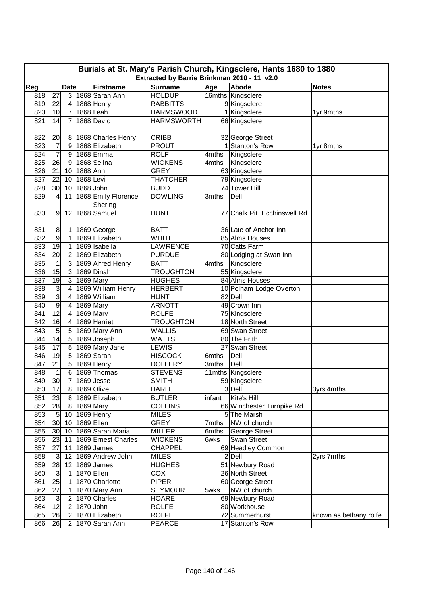|     | Burials at St. Mary's Parish Church, Kingsclere, Hants 1680 to 1880<br>Extracted by Barrie Brinkman 2010 - 11 v2.0 |                         |             |                     |                   |                     |                             |                        |  |  |  |  |
|-----|--------------------------------------------------------------------------------------------------------------------|-------------------------|-------------|---------------------|-------------------|---------------------|-----------------------------|------------------------|--|--|--|--|
| Reg |                                                                                                                    | <b>Date</b>             |             | <b>Firstname</b>    | <b>Surname</b>    | Age                 | Abode                       | <b>Notes</b>           |  |  |  |  |
| 818 | 27                                                                                                                 | 3 <sup>1</sup>          |             | 1868 Sarah Ann      | <b>HOLDUP</b>     |                     | 16mths Kingsclere           |                        |  |  |  |  |
| 819 | 22                                                                                                                 | $\overline{4}$          |             | 1868 Henry          | <b>RABBITTS</b>   |                     | 9 Kingsclere                |                        |  |  |  |  |
| 820 | 10                                                                                                                 | 7                       |             | 1868 Leah           | <b>HARMSWOOD</b>  |                     | 1 Kingsclere                | 1yr 9mths              |  |  |  |  |
| 821 | 14                                                                                                                 | 7                       |             | 1868 David          | <b>HARMSWORTH</b> |                     | 66 Kingsclere               |                        |  |  |  |  |
|     |                                                                                                                    |                         |             |                     |                   |                     |                             |                        |  |  |  |  |
| 822 | 20                                                                                                                 | 8                       |             | 1868 Charles Henry  | <b>CRIBB</b>      |                     | 32 George Street            |                        |  |  |  |  |
| 823 | $\overline{7}$                                                                                                     | 9                       |             | 1868 Elizabeth      | <b>PROUT</b>      |                     | 1 Stanton's Row             | 1yr 8mths              |  |  |  |  |
| 824 | $\overline{7}$                                                                                                     | 9                       |             | 1868 Emma           | <b>ROLF</b>       | 4mths               | Kingsclere                  |                        |  |  |  |  |
| 825 | 26                                                                                                                 | 9                       |             | 1868 Selina         | <b>WICKENS</b>    | 4mths               | Kingsclere                  |                        |  |  |  |  |
| 826 | 21                                                                                                                 | 10                      | 1868 Ann    |                     | <b>GREY</b>       |                     | 63 Kingsclere               |                        |  |  |  |  |
| 827 | 22                                                                                                                 | 10                      | 1868 Levi   |                     | <b>THATCHER</b>   |                     | 79 Kingsclere               |                        |  |  |  |  |
| 828 | 30 <sub>o</sub>                                                                                                    | 10 <sup>1</sup>         | 1868 John   |                     | <b>BUDD</b>       |                     | 74 Tower Hill               |                        |  |  |  |  |
| 829 | $\overline{\mathbf{4}}$                                                                                            | 11                      |             | 1868 Emily Florence | <b>DOWLING</b>    | 3mths               | Dell                        |                        |  |  |  |  |
|     |                                                                                                                    |                         |             | Shering             |                   |                     |                             |                        |  |  |  |  |
| 830 | 9                                                                                                                  | 12                      |             | 1868 Samuel         | <b>HUNT</b>       |                     | 77 Chalk Pit Ecchinswell Rd |                        |  |  |  |  |
|     |                                                                                                                    |                         |             |                     |                   |                     |                             |                        |  |  |  |  |
| 831 | 8                                                                                                                  | 1                       |             | 1869 George         | <b>BATT</b>       |                     | 36 Late of Anchor Inn       |                        |  |  |  |  |
| 832 | 9                                                                                                                  | 1                       |             | 1869 Elizabeth      | <b>WHITE</b>      |                     | 85 Alms Houses              |                        |  |  |  |  |
| 833 | 19                                                                                                                 | 1                       |             | 1869 Isabella       | LAWRENCE          |                     | 70 Catts Farm               |                        |  |  |  |  |
| 834 | 20                                                                                                                 | $\overline{c}$          |             | 1869 Elizabeth      | <b>PURDUE</b>     |                     | 80 Lodging at Swan Inn      |                        |  |  |  |  |
| 835 | $\mathbf{1}$                                                                                                       | دن                      |             | 1869 Alfred Henry   | <b>BATT</b>       | $\overline{4}$ mths | Kingsclere                  |                        |  |  |  |  |
| 836 | 15                                                                                                                 | 3                       |             | 1869 Dinah          | <b>TROUGHTON</b>  |                     | 55 Kingsclere               |                        |  |  |  |  |
| 837 | 19                                                                                                                 | $\overline{3}$          |             | 1869 Mary           | <b>HUGHES</b>     |                     | 84 Alms Houses              |                        |  |  |  |  |
| 838 | $\overline{3}$                                                                                                     | $\overline{\mathbf{4}}$ |             | 1869 William Henry  | <b>HERBERT</b>    |                     | 10 Polham Lodge Overton     |                        |  |  |  |  |
| 839 | $\overline{3}$                                                                                                     | 4                       |             | 1869 William        | <b>HUNT</b>       |                     | 82 Dell                     |                        |  |  |  |  |
| 840 | $\overline{9}$                                                                                                     | 4                       |             | 1869 Mary           | <b>ARNOTT</b>     |                     | 49 Crown Inn                |                        |  |  |  |  |
| 841 | $\overline{12}$                                                                                                    | $\overline{\mathbf{4}}$ |             | 1869 Mary           | <b>ROLFE</b>      |                     | 75 Kingsclere               |                        |  |  |  |  |
| 842 | 16                                                                                                                 | 4                       |             | 1869 Harriet        | <b>TROUGHTON</b>  |                     | 18 North Street             |                        |  |  |  |  |
| 843 | 5                                                                                                                  | 5                       |             | 1869 Mary Ann       | <b>WALLIS</b>     |                     | 69 Swan Street              |                        |  |  |  |  |
| 844 | 14                                                                                                                 | 5                       |             | 1869 Joseph         | <b>WATTS</b>      |                     | 80 The Frith                |                        |  |  |  |  |
| 845 | 17                                                                                                                 | 5                       |             | 1869 Mary Jane      | <b>LEWIS</b>      |                     | 27 Swan Street              |                        |  |  |  |  |
| 846 | 19                                                                                                                 | $\overline{5}$          |             | 1869 Sarah          | <b>HISCOCK</b>    | 6mths               | Dell                        |                        |  |  |  |  |
| 847 | 21                                                                                                                 | 5                       |             | 1869 Henry          | <b>DOLLERY</b>    | 3mths               | Dell                        |                        |  |  |  |  |
| 848 | $\mathbf{1}$                                                                                                       | 6                       |             | 1869 Thomas         | <b>STEVENS</b>    |                     | 11mths Kingsclere           |                        |  |  |  |  |
| 849 | 30                                                                                                                 | $\overline{7}$          |             | 1869 Jesse          | <b>SMITH</b>      |                     | 59 Kingsclere               |                        |  |  |  |  |
| 850 | 17                                                                                                                 |                         |             | 8 1869 Olive        | <b>HARLE</b>      |                     | 3 Dell                      | 3yrs 4mths             |  |  |  |  |
| 851 | 23                                                                                                                 |                         |             | 8 1869 Elizabeth    | <b>BUTLER</b>     | infant              | Kite's Hill                 |                        |  |  |  |  |
| 852 | 28                                                                                                                 |                         | 8 1869 Mary |                     | <b>COLLINS</b>    |                     | 66 Winchester Turnpike Rd   |                        |  |  |  |  |
| 853 | 5 <sup>1</sup>                                                                                                     |                         |             | 10 1869 Henry       | <b>MILES</b>      |                     | 5 The Marsh                 |                        |  |  |  |  |
| 854 | 30 <sup>°</sup>                                                                                                    | 10                      |             | 1869 Ellen          | <b>GREY</b>       | 7mths               | NW of church                |                        |  |  |  |  |
| 855 | 30 <sub>1</sub>                                                                                                    | 10 <sup>1</sup>         |             | 1869 Sarah Maria    | <b>MILLER</b>     | 6mths               | George Street               |                        |  |  |  |  |
| 856 | 23                                                                                                                 | 11                      |             | 1869 Ernest Charles | <b>WICKENS</b>    | 6wks                | Swan Street                 |                        |  |  |  |  |
| 857 | 27                                                                                                                 | 11                      |             | 1869 James          | <b>CHAPPEL</b>    |                     | 69 Headley Common           |                        |  |  |  |  |
| 858 | $\mathbf{3}$                                                                                                       | 12                      |             | 1869 Andrew John    | <b>MILES</b>      |                     | 2 Dell                      | 2yrs 7mths             |  |  |  |  |
| 859 | 28                                                                                                                 | 12                      |             | 1869 James          | <b>HUGHES</b>     |                     | 51 Newbury Road             |                        |  |  |  |  |
| 860 | $\mathsf 3$                                                                                                        | 1                       |             | 1870 Ellen          | COX               |                     | 26 North Street             |                        |  |  |  |  |
| 861 | 25                                                                                                                 | 1                       |             | 1870 Charlotte      | <b>PIPER</b>      |                     | 60 George Street            |                        |  |  |  |  |
| 862 | 27                                                                                                                 | 1                       |             | 1870 Mary Ann       | <b>SEYMOUR</b>    | 5wks                | NW of church                |                        |  |  |  |  |
| 863 | $\ensuremath{\mathsf{3}}$                                                                                          | $\overline{\mathbf{c}}$ |             | 1870 Charles        | <b>HOARE</b>      |                     | 69 Newbury Road             |                        |  |  |  |  |
| 864 | 12                                                                                                                 | $\boldsymbol{2}$        |             | 1870 John           | <b>ROLFE</b>      |                     | 80 Workhouse                |                        |  |  |  |  |
| 865 | 26                                                                                                                 | $\boldsymbol{2}$        |             | 1870 Elizabeth      | <b>ROLFE</b>      |                     | 72 Summerhurst              | known as bethany rolfe |  |  |  |  |
| 866 | 26                                                                                                                 | $\overline{2}$          |             | 1870 Sarah Ann      | <b>PEARCE</b>     |                     | 17 Stanton's Row            |                        |  |  |  |  |
|     |                                                                                                                    |                         |             |                     |                   |                     |                             |                        |  |  |  |  |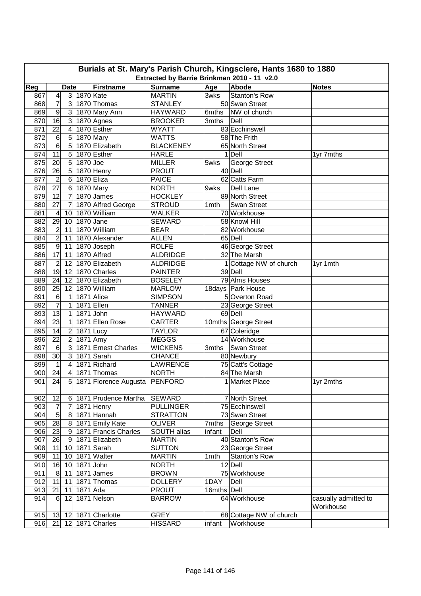| Burials at St. Mary's Parish Church, Kingsclere, Hants 1680 to 1880 |                                             |                 |             |                               |                  |                  |                         |                      |  |  |  |  |
|---------------------------------------------------------------------|---------------------------------------------|-----------------|-------------|-------------------------------|------------------|------------------|-------------------------|----------------------|--|--|--|--|
|                                                                     | Extracted by Barrie Brinkman 2010 - 11 v2.0 |                 |             |                               |                  |                  |                         |                      |  |  |  |  |
| Reg                                                                 |                                             | <b>Date</b>     |             | Firstname                     | <b>Surname</b>   | Age              | Abode                   | <b>Notes</b>         |  |  |  |  |
| 867                                                                 | 4                                           |                 | 3 1870 Kate |                               | <b>MARTIN</b>    | 3wks             | Stanton's Row           |                      |  |  |  |  |
| 868                                                                 | 7                                           |                 |             | 3 1870 Thomas                 | <b>STANLEY</b>   |                  | 50 Swan Street          |                      |  |  |  |  |
| 869                                                                 | $\boldsymbol{9}$                            |                 |             | 3 1870 Mary Ann               | <b>HAYWARD</b>   | 6mths            | NW of church            |                      |  |  |  |  |
| 870                                                                 | 16                                          | 3 <sup>l</sup>  |             | 1870 Agnes                    | <b>BROOKER</b>   | 3mths            | Dell                    |                      |  |  |  |  |
| 871                                                                 | 22                                          | 4               |             | 1870 Esther                   | <b>WYATT</b>     |                  | 83 Ecchinswell          |                      |  |  |  |  |
| 872                                                                 | 6                                           | 5               |             | 1870 Mary                     | <b>WATTS</b>     |                  | 58 The Frith            |                      |  |  |  |  |
| 873                                                                 | $\overline{6}$                              | 5               |             | 1870 Elizabeth                | <b>BLACKENEY</b> |                  | 65 North Street         |                      |  |  |  |  |
| 874                                                                 | 11                                          | 5               |             | 1870 Esther                   | <b>HARLE</b>     |                  | 1 Dell                  | 1yr 7mths            |  |  |  |  |
| 875                                                                 | 20                                          | 5               | $1870$ Joe  |                               | <b>MILLER</b>    | 5wks             | George Street           |                      |  |  |  |  |
| 876                                                                 | 26                                          | 5               |             | 1870 Henry                    | <b>PROUT</b>     |                  | 40 Dell                 |                      |  |  |  |  |
| 877                                                                 | $\overline{2}$                              | $\,6$           | 1870 Eliza  |                               | <b>PAICE</b>     |                  | 62 Catts Farm           |                      |  |  |  |  |
| 878                                                                 | 27                                          | $\,6$           | 1870 Mary   |                               | <b>NORTH</b>     | 9wks             | Dell Lane               |                      |  |  |  |  |
| 879                                                                 | 12                                          | $\overline{7}$  |             | 1870 James                    | <b>HOCKLEY</b>   |                  | 89 North Street         |                      |  |  |  |  |
| 880                                                                 | 27                                          | $\overline{7}$  |             | 1870 Alfred George            | <b>STROUD</b>    | 1 <sub>mth</sub> | Swan Street             |                      |  |  |  |  |
| 881                                                                 | 4                                           | 10              |             | 1870 William                  | <b>WALKER</b>    |                  | 70 Workhouse            |                      |  |  |  |  |
| 882                                                                 | $\overline{29}$                             | 10              | 1870 Jane   |                               | <b>SEWARD</b>    |                  | 58 Knowl Hill           |                      |  |  |  |  |
| 883                                                                 | $\overline{\mathbf{c}}$                     | 11              |             | 1870 William                  | <b>BEAR</b>      |                  | 82 Workhouse            |                      |  |  |  |  |
| 884                                                                 | $\overline{\mathbf{c}}$                     | 11              |             | 1870 Alexander                | <b>ALLEN</b>     |                  | 65 Dell                 |                      |  |  |  |  |
| 885                                                                 | $\overline{9}$                              | 11              |             | 1870 Joseph                   | <b>ROLFE</b>     |                  | 46 George Street        |                      |  |  |  |  |
| 886                                                                 | 17                                          | 11              |             | 1870 Alfred                   | <b>ALDRIDGE</b>  |                  | 32 The Marsh            |                      |  |  |  |  |
| 887                                                                 | $\overline{2}$                              | 12              |             | 1870 Elizabeth                | <b>ALDRIDGE</b>  |                  | 1 Cottage NW of church  | 1yr 1mth             |  |  |  |  |
| 888                                                                 | 19                                          | 12              |             | 1870 Charles                  | <b>PAINTER</b>   |                  | 39 Dell                 |                      |  |  |  |  |
| 889                                                                 | 24                                          | 12              |             | 1870 Elizabeth                | <b>BOSELEY</b>   |                  | 79 Alms Houses          |                      |  |  |  |  |
| 890                                                                 | 25                                          | 12              |             | 1870 William                  | <b>MARLOW</b>    |                  | 18days Park House       |                      |  |  |  |  |
| 891                                                                 | $\,6$                                       | $\mathbf 1$     | 1871 Alice  |                               | <b>SIMPSON</b>   |                  | 5 Overton Road          |                      |  |  |  |  |
| 892                                                                 | $\overline{7}$                              | 1               |             | 1871 Ellen                    | <b>TANNER</b>    |                  | 23 George Street        |                      |  |  |  |  |
| 893                                                                 | $\overline{13}$                             | $\mathbf 1$     | 1871 John   |                               | <b>HAYWARD</b>   |                  | 69 Dell                 |                      |  |  |  |  |
| 894                                                                 | 23                                          | $\mathbf 1$     |             | 1871 Ellen Rose               | <b>CARTER</b>    |                  | 10mths George Street    |                      |  |  |  |  |
| 895                                                                 | 14                                          | $\overline{c}$  | 1871 Lucy   |                               | <b>TAYLOR</b>    |                  | 67 Coleridge            |                      |  |  |  |  |
| 896                                                                 | 22                                          | $\overline{c}$  | $1871$ Amy  |                               | <b>MEGGS</b>     |                  | 14 Workhouse            |                      |  |  |  |  |
| 897                                                                 | $\,6$                                       | 3               |             | 1871 Ernest Charles           | <b>WICKENS</b>   | 3mths            | Swan Street             |                      |  |  |  |  |
| 898                                                                 | 30                                          | $\mathbf{3}$    |             | 1871 Sarah                    | <b>CHANCE</b>    |                  | 80 Newbury              |                      |  |  |  |  |
| 899                                                                 | $\mathbf{1}$                                | 4               |             | 1871 Richard                  | <b>LAWRENCE</b>  |                  | 75 Catt's Cottage       |                      |  |  |  |  |
| 900                                                                 | 24                                          | 4               |             | 1871 Thomas                   | NORTH            |                  | 84 The Marsh            |                      |  |  |  |  |
| 901                                                                 | $\overline{24}$                             | $\overline{5}$  |             | 1871 Florence Augusta PENFORD |                  |                  | 1 Market Place          | 1yr 2mths            |  |  |  |  |
|                                                                     |                                             |                 |             |                               |                  |                  |                         |                      |  |  |  |  |
| 902                                                                 | 12                                          |                 |             | 6 1871 Prudence Martha        | <b>SEWARD</b>    |                  | 7 North Street          |                      |  |  |  |  |
| 903                                                                 | $\overline{7}$                              | $\overline{7}$  |             | 1871 Henry                    | <b>PULLINGER</b> |                  | 75 Ecchinswell          |                      |  |  |  |  |
| 904                                                                 | $\overline{5}$                              |                 |             | 8 1871 Hannah                 | <b>STRATTON</b>  |                  | 73 Swan Street          |                      |  |  |  |  |
| 905                                                                 | 28                                          |                 |             | 8 1871 Emily Kate             | <b>OLIVER</b>    | 7mths            | George Street           |                      |  |  |  |  |
| 906                                                                 | 23                                          | 9               |             | 1871 Francis Charles          | SOUTH alias      | infant           | Dell                    |                      |  |  |  |  |
| 907                                                                 | 26                                          | $\vert 9 \vert$ |             | 1871 Elizabeth                | <b>MARTIN</b>    |                  | 40 Stanton's Row        |                      |  |  |  |  |
| 908                                                                 | 11                                          | 10              |             | 1871 Sarah                    | <b>SUTTON</b>    |                  | 23 George Street        |                      |  |  |  |  |
| 909                                                                 | 11                                          | 10              |             | 1871 Walter                   | <b>MARTIN</b>    | 1mth             | Stanton's Row           |                      |  |  |  |  |
| 910                                                                 | 16                                          | 10              | 1871 John   |                               | <b>NORTH</b>     |                  | 12 Dell                 |                      |  |  |  |  |
| 911                                                                 | 8                                           | 11              |             | $1871$ James                  | <b>BROWN</b>     |                  | 75 Workhouse            |                      |  |  |  |  |
| 912                                                                 | 11                                          | 11              |             | 1871 Thomas                   | <b>DOLLERY</b>   | 1DAY             | Dell                    |                      |  |  |  |  |
| 913                                                                 | 21                                          | 11              | 1871 Ada    |                               | <b>PROUT</b>     | 16mths Dell      |                         |                      |  |  |  |  |
| 914                                                                 | 6                                           | 12              |             | 1871 Nelson                   | <b>BARROW</b>    |                  | 64 Workhouse            | casually admitted to |  |  |  |  |
|                                                                     |                                             |                 |             |                               |                  |                  |                         | Workhouse            |  |  |  |  |
| 915                                                                 | 13                                          | 12 <sub>1</sub> |             | 1871 Charlotte                | <b>GREY</b>      |                  | 68 Cottage NW of church |                      |  |  |  |  |
| 916                                                                 | 21                                          |                 |             | 12 1871 Charles               | <b>HISSARD</b>   | infant           | Workhouse               |                      |  |  |  |  |
|                                                                     |                                             |                 |             |                               |                  |                  |                         |                      |  |  |  |  |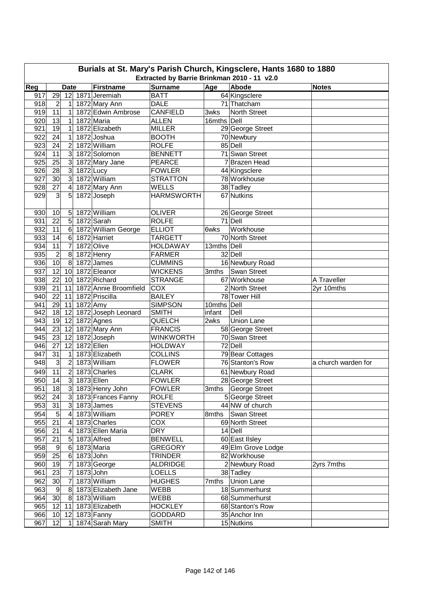| Burials at St. Mary's Parish Church, Kingsclere, Hants 1680 to 1880<br>Extracted by Barrie Brinkman 2010 - 11 v2.0 |                 |                  |             |                       |                   |             |                     |                     |  |  |
|--------------------------------------------------------------------------------------------------------------------|-----------------|------------------|-------------|-----------------------|-------------------|-------------|---------------------|---------------------|--|--|
| Reg                                                                                                                |                 | <b>Date</b>      |             | <b>Firstname</b>      | <b>Surname</b>    | Age         | Abode               | <b>Notes</b>        |  |  |
| 917                                                                                                                | 29              | 12               |             | 1871 Jeremiah         | <b>BATT</b>       |             | 64 Kingsclere       |                     |  |  |
| 918                                                                                                                | $\overline{2}$  | 1                |             | 1872 Mary Ann         | <b>DALE</b>       |             | 71 Thatcham         |                     |  |  |
| 919                                                                                                                | 11              | 1                |             | 1872 Edwin Ambrose    | <b>CANFIELD</b>   | 3wks        | North Street        |                     |  |  |
| 920                                                                                                                | 13              | 1                |             | 1872 Maria            | <b>ALLEN</b>      | 16mths Dell |                     |                     |  |  |
| 921                                                                                                                | 19              | 1                |             | 1872 Elizabeth        | <b>MILLER</b>     |             | 29 George Street    |                     |  |  |
| 922                                                                                                                | 24              | $\mathbf 1$      |             | 1872 Joshua           | <b>BOOTH</b>      |             | 70 Newbury          |                     |  |  |
| 923                                                                                                                | 24              | $\overline{2}$   |             | 1872 William          | <b>ROLFE</b>      |             | 85 Dell             |                     |  |  |
| 924                                                                                                                | $\overline{11}$ | 3                |             | 1872 Solomon          | <b>BENNETT</b>    |             | 71 Swan Street      |                     |  |  |
| 925                                                                                                                | 25              | $\mathbf{3}$     |             | 1872 Mary Jane        | <b>PEARCE</b>     |             | 7 Brazen Head       |                     |  |  |
| 926                                                                                                                | 28              | 3                | $1872$ Lucy |                       | <b>FOWLER</b>     |             | 44 Kingsclere       |                     |  |  |
| 927                                                                                                                | $\overline{30}$ | دى               |             | 1872 William          | <b>STRATTON</b>   |             | 78 Workhouse        |                     |  |  |
| 928                                                                                                                | 27              | 4                |             | 1872 Mary Ann         | WELLS             |             | 38 Tadley           |                     |  |  |
| 929                                                                                                                | 3               | 5                |             | 1872 Joseph           | <b>HARMSWORTH</b> |             | 67 Nutkins          |                     |  |  |
|                                                                                                                    |                 |                  |             |                       |                   |             |                     |                     |  |  |
| 930                                                                                                                | 10              | $5\phantom{.0}$  |             | 1872 William          | <b>OLIVER</b>     |             | 26 George Street    |                     |  |  |
| 931                                                                                                                | 22              | $\overline{5}$   |             | 1872 Sarah            | <b>ROLFE</b>      |             | 71 Dell             |                     |  |  |
| 932                                                                                                                | 11              | $6\phantom{1}$   |             | 1872 William George   | <b>ELLIOT</b>     | 6wks        | Workhouse           |                     |  |  |
| 933                                                                                                                | 14              | $6\phantom{1}6$  |             | 1872 Harriet          | <b>TARGETT</b>    |             | 70 North Street     |                     |  |  |
| 934                                                                                                                | $\overline{11}$ | $\overline{7}$   |             | 1872 Olive            | <b>HOLDAWAY</b>   | 13mths Dell |                     |                     |  |  |
| 935                                                                                                                | $\overline{c}$  | $\boldsymbol{8}$ |             | 1872 Henry            | <b>FARMER</b>     |             | 32 Dell             |                     |  |  |
| 936                                                                                                                | 10              | 8                |             | 1872 James            | <b>CUMMINS</b>    |             | 16 Newbury Road     |                     |  |  |
| 937                                                                                                                | 12              | 10               |             | 1872 Eleanor          | <b>WICKENS</b>    | 3mths       | <b>Swan Street</b>  |                     |  |  |
| 938                                                                                                                | $\overline{22}$ | 10               |             | 1872 Richard          | <b>STRANGE</b>    |             | 67 Workhouse        | A Traveller         |  |  |
| 939                                                                                                                | 21              | 11               |             | 1872 Annie Broomfield | COX               |             | 2 North Street      | 2yr 10mths          |  |  |
| 940                                                                                                                | 22              | 11               |             | 1872 Priscilla        | <b>BAILEY</b>     |             | 78 Tower Hill       |                     |  |  |
| 941                                                                                                                | 29              | 11               | $1872$ Amy  |                       | <b>SIMPSON</b>    | 10mths Dell |                     |                     |  |  |
| 942                                                                                                                | 18              | 12               |             | 1872 Joseph Leonard   | <b>SMITH</b>      | infant      | Dell                |                     |  |  |
| 943                                                                                                                | 19              | 12               |             | 1872 Agnes            | QUELCH            | 2wks        | <b>Union Lane</b>   |                     |  |  |
| 944                                                                                                                | 23              | 12               |             | 1872 Mary Ann         | <b>FRANCIS</b>    |             | 58 George Street    |                     |  |  |
| 945                                                                                                                | 23              | 12               |             | 1872 Joseph           | <b>WINKWORTH</b>  |             | 70 Swan Street      |                     |  |  |
| 946                                                                                                                | 27              | 12               |             | 1872 Ellen            | <b>HOLDWAY</b>    |             | 72 Dell             |                     |  |  |
| 947                                                                                                                | 31              | 1                |             | 1873 Elizabeth        | <b>COLLINS</b>    |             | 79 Bear Cottages    |                     |  |  |
| 948                                                                                                                | 3               | $\overline{2}$   |             | 1873 William          | <b>FLOWER</b>     |             | 76 Stanton's Row    | a church warden for |  |  |
| 949                                                                                                                | 11              | $\overline{2}$   |             | 1873 Charles          | <b>CLARK</b>      |             | 61 Newbury Road     |                     |  |  |
| 950                                                                                                                | 14              | $\mathsf 3$      |             | 1873 Ellen            | <b>FOWLER</b>     |             | 28 George Street    |                     |  |  |
| 951                                                                                                                | 18              |                  |             | 3 1873 Henry John     | <b>FOWLER</b>     |             | 3mths George Street |                     |  |  |
| 952                                                                                                                | 24              |                  |             | 3 1873 Frances Fanny  | <b>ROLFE</b>      |             | 5 George Street     |                     |  |  |
| 953                                                                                                                | 31              |                  |             | 3 1873 James          | <b>STEVENS</b>    |             | 44 NW of church     |                     |  |  |
| 954                                                                                                                | $\overline{5}$  | $\overline{a}$   |             | 1873 William          | <b>POREY</b>      |             | 8mths Swan Street   |                     |  |  |
| 955                                                                                                                | 21              | 4                |             | 1873 Charles          | COX               |             | 69 North Street     |                     |  |  |
| 956                                                                                                                | 21              | 4                |             | 1873 Ellen Maria      | <b>DRY</b>        |             | 14 Dell             |                     |  |  |
| 957                                                                                                                | 21              | 5 <sub>l</sub>   |             | 1873 Alfred           | <b>BENWELL</b>    |             | 60 East IIsley      |                     |  |  |
| 958                                                                                                                | 9               | $6 \mid$         |             | 1873 Maria            | <b>GREGORY</b>    |             | 49 Elm Grove Lodge  |                     |  |  |
| 959                                                                                                                | 25              | 6                | $1873$ John |                       | <b>TRINDER</b>    |             | 82 Workhouse        |                     |  |  |
| 960                                                                                                                | 19              | $\overline{7}$   |             | 1873 George           | <b>ALDRIDGE</b>   |             | 2 Newbury Road      | 2yrs 7mths          |  |  |
| 961                                                                                                                | 23              | $\overline{7}$   |             | 1873 John             | <b>LOELLS</b>     |             | 38 Tadley           |                     |  |  |
| 962                                                                                                                | 30              | $\overline{7}$   |             | 1873 William          | <b>HUGHES</b>     |             | 7mths   Union Lane  |                     |  |  |
| 963                                                                                                                | 9               | 8                |             | 1873 Elizabeth Jane   | WEBB              |             | 18 Summerhurst      |                     |  |  |
| 964                                                                                                                | 30              | 8                |             | 1873 William          | WEBB              |             | 68 Summerhurst      |                     |  |  |
| 965                                                                                                                | $12$ 11         |                  |             | 1873 Elizabeth        | <b>HOCKLEY</b>    |             | 68 Stanton's Row    |                     |  |  |
| 966                                                                                                                | $10$ 12         |                  |             | 1873 Fanny            | <b>GODDARD</b>    |             | 35 Anchor Inn       |                     |  |  |
| 967                                                                                                                | 12              | $\vert$ 1        |             | 1874 Sarah Mary       | <b>SMITH</b>      |             | 15 Nutkins          |                     |  |  |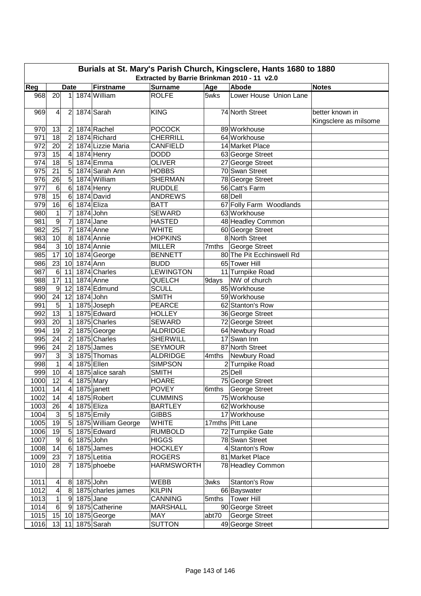| Burials at St. Mary's Parish Church, Kingsclere, Hants 1680 to 1880<br>Extracted by Barrie Brinkman 2010 - 11 v2.0 |                  |                 |             |                     |                   |       |                           |                       |  |  |
|--------------------------------------------------------------------------------------------------------------------|------------------|-----------------|-------------|---------------------|-------------------|-------|---------------------------|-----------------------|--|--|
| Reg                                                                                                                |                  | <b>Date</b>     |             | <b>Firstname</b>    | <b>Surname</b>    | Age   | Abode                     | <b>Notes</b>          |  |  |
| 968                                                                                                                | 20               | 1               |             | 1874 William        | <b>ROLFE</b>      | 5wks  | Lower House Union Lane    |                       |  |  |
| 969                                                                                                                | 4                | $\overline{2}$  |             | 1874 Sarah          | <b>KING</b>       |       | 74 North Street           | better known in       |  |  |
|                                                                                                                    |                  |                 |             |                     |                   |       |                           | Kingsclere as milsome |  |  |
| 970                                                                                                                | 13               | $\overline{2}$  |             | 1874 Rachel         | <b>POCOCK</b>     |       | 89 Workhouse              |                       |  |  |
| 971                                                                                                                | 18               | $\overline{c}$  |             | 1874 Richard        | <b>CHERRILL</b>   |       | 64 Workhouse              |                       |  |  |
| 972                                                                                                                | 20               | $\overline{2}$  |             | 1874 Lizzie Maria   | <b>CANFIELD</b>   |       | 14 Market Place           |                       |  |  |
| 973                                                                                                                | $\overline{15}$  | 4               |             | 1874 Henry          | <b>DODD</b>       |       | 63 George Street          |                       |  |  |
| 974                                                                                                                | 18               | 5               |             | 1874 Emma           | <b>OLIVER</b>     |       | 27 George Street          |                       |  |  |
| 975                                                                                                                | 21               | 5               |             | 1874 Sarah Ann      | <b>HOBBS</b>      |       | 70 Swan Street            |                       |  |  |
| 976                                                                                                                | 26               | 5               |             | 1874 William        | <b>SHERMAN</b>    |       | 78 George Street          |                       |  |  |
| 977                                                                                                                | $\,6$            | 6               |             | 1874 Henry          | <b>RUDDLE</b>     |       | 56 Catt's Farm            |                       |  |  |
| 978                                                                                                                | 15               | 6               |             | 1874 David          | <b>ANDREWS</b>    |       | 68 Dell                   |                       |  |  |
| 979                                                                                                                | 16               | 6               |             | 1874 Eliza          | <b>BATT</b>       |       | 67 Folly Farm Woodlands   |                       |  |  |
| 980                                                                                                                | $\mathbf{1}$     | $\overline{7}$  |             | 1874 John           | <b>SEWARD</b>     |       | 63 Workhouse              |                       |  |  |
| 981                                                                                                                | 9                | $\overline{7}$  | 1874 Jane   |                     | <b>HASTED</b>     |       | 48 Headley Common         |                       |  |  |
| 982                                                                                                                | 25               | $\overline{7}$  |             | 1874 Anne           | <b>WHITE</b>      |       | 60 George Street          |                       |  |  |
| 983                                                                                                                | 10               | 8               |             | 1874 Annie          | <b>HOPKINS</b>    |       | 8 North Street            |                       |  |  |
| 984                                                                                                                | $\mathbf{3}$     | 10              |             | 1874 Annie          | <b>MILLER</b>     | 7mths | <b>George Street</b>      |                       |  |  |
| 985                                                                                                                | 17               | 10              |             | 1874 George         | <b>BENNETT</b>    |       | 80 The Pit Ecchinswell Rd |                       |  |  |
| 986                                                                                                                | 23               | 10              | 1874 Ann    |                     | <b>BUDD</b>       |       | 65 Tower Hill             |                       |  |  |
| 987                                                                                                                | $\,6$            | 11              |             | 1874 Charles        | <b>LEWINGTON</b>  |       | 11 Turnpike Road          |                       |  |  |
| 988                                                                                                                | 17               | 11              |             | 1874 Anne           | QUELCH            | 9days | NW of church              |                       |  |  |
| 989                                                                                                                | 9                | 12              |             | 1874 Edmund         | <b>SCULL</b>      |       | 85 Workhouse              |                       |  |  |
| 990                                                                                                                | 24               | 12              | 1874 John   |                     | <b>SMITH</b>      |       | 59 Workhouse              |                       |  |  |
| 991                                                                                                                | 5                | 1               |             | 1875 Joseph         | <b>PEARCE</b>     |       | 62 Stanton's Row          |                       |  |  |
| 992                                                                                                                | 13               | 1               |             | 1875 Edward         | <b>HOLLEY</b>     |       | 36 George Street          |                       |  |  |
| 993                                                                                                                | 20               | 1               |             | 1875 Charles        | <b>SEWARD</b>     |       | 72 George Street          |                       |  |  |
| 994                                                                                                                | 19               | 2               |             | 1875 George         | <b>ALDRIDGE</b>   |       | 64 Newbury Road           |                       |  |  |
| 995                                                                                                                | 24               | $\overline{2}$  |             | 1875 Charles        | <b>SHERWILL</b>   |       | 17 Swan Inn               |                       |  |  |
| 996                                                                                                                | 24               | $\overline{2}$  |             | 1875 James          | <b>SEYMOUR</b>    |       | 87 North Street           |                       |  |  |
| 997                                                                                                                | 3                | 3               |             | 1875 Thomas         | <b>ALDRIDGE</b>   | 4mths | Newbury Road              |                       |  |  |
| 998                                                                                                                | $\mathbf{1}$     | 4               |             | 1875 Ellen          | <b>SIMPSON</b>    |       | 2 Turnpike Road           |                       |  |  |
| 999                                                                                                                | 10               | 4               |             | 1875 alice sarah    | <b>SMITH</b>      |       | 25 Dell                   |                       |  |  |
| 1000                                                                                                               | 12               | $\overline{4}$  |             | 1875 Mary           | <b>HOARE</b>      |       | 75 George Street          |                       |  |  |
| 1001                                                                                                               | 14               | 4               |             | 1875 janett         | <b>POVEY</b>      |       | 6mths George Street       |                       |  |  |
| 1002                                                                                                               | 14               | 4               |             | 1875 Robert         | <b>CUMMINS</b>    |       | 75 Workhouse              |                       |  |  |
| 1003                                                                                                               | 26               | 4               |             | 1875 Eliza          | <b>BARTLEY</b>    |       | 62 Workhouse              |                       |  |  |
| 1004                                                                                                               | $\mathsf 3$      | $\mathbf 5$     |             | 1875 Emily          | <b>GIBBS</b>      |       | 17 Workhouse              |                       |  |  |
| 1005                                                                                                               | 19               | $\mathbf 5$     |             | 1875 William George | <b>WHITE</b>      |       | 17mths Pitt Lane          |                       |  |  |
| 1006                                                                                                               | 19               | 5               |             | 1875 Edward         | <b>RUMBOLD</b>    |       | 72 Turnpike Gate          |                       |  |  |
| 1007                                                                                                               | $\boldsymbol{9}$ | $\,6$           | 1875 John   |                     | <b>HIGGS</b>      |       | 78 Swan Street            |                       |  |  |
| 1008                                                                                                               | 14               | 6               |             | 1875 James          | <b>HOCKLEY</b>    |       | 4 Stanton's Row           |                       |  |  |
| 1009                                                                                                               | $\overline{23}$  | 7               |             | 1875 Letitia        | <b>ROGERS</b>     |       | 81 Market Place           |                       |  |  |
| 1010                                                                                                               | 28               | 7               |             | 1875 phoebe         | <b>HARMSWORTH</b> |       | 78 Headley Common         |                       |  |  |
| 1011                                                                                                               | 4                | 8               | $1875$ John |                     | WEBB              | 3wks  | Stanton's Row             |                       |  |  |
| 1012                                                                                                               | 4                | 8               |             | 1875 charles james  | <b>KILPIN</b>     |       | 66 Bayswater              |                       |  |  |
| 1013                                                                                                               | $\mathbf{1}$     | $\overline{9}$  | 1875 Jane   |                     | <b>CANNING</b>    | 5mths | <b>Tower Hill</b>         |                       |  |  |
| 1014                                                                                                               | 6                | $\vert 9 \vert$ |             | 1875 Catherine      | <b>MARSHALL</b>   |       | 90 George Street          |                       |  |  |
| 1015                                                                                                               | 15               |                 |             | 10 1875 George      | <b>MAY</b>        | abt70 | George Street             |                       |  |  |
| 1016                                                                                                               | 13               | 11              |             | 1875 Sarah          | <b>SUTTON</b>     |       | 49 George Street          |                       |  |  |
|                                                                                                                    |                  |                 |             |                     |                   |       |                           |                       |  |  |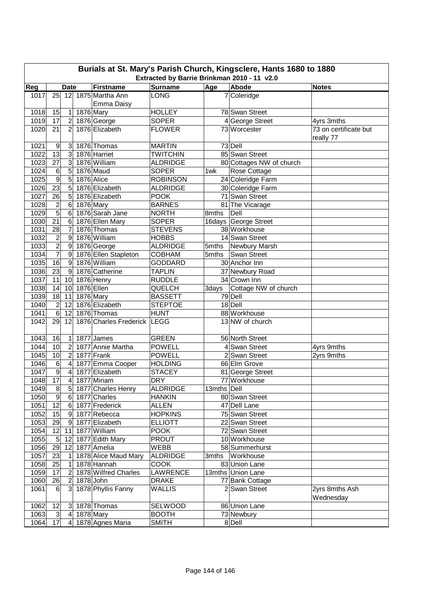|              | Burials at St. Mary's Parish Church, Kingsclere, Hants 1680 to 1880<br>Extracted by Barrie Brinkman 2010 - 11 v2.0 |                   |  |                                 |                               |             |                                  |                                    |  |  |  |  |
|--------------|--------------------------------------------------------------------------------------------------------------------|-------------------|--|---------------------------------|-------------------------------|-------------|----------------------------------|------------------------------------|--|--|--|--|
| Reg          |                                                                                                                    | <b>Date</b>       |  | <b>Firstname</b>                | <b>Surname</b>                | Age         | Abode                            | <b>Notes</b>                       |  |  |  |  |
| 1017         | 25                                                                                                                 | 12                |  | 1875 Martha Ann<br>Emma Daisy   | <b>LONG</b>                   |             | 7 Coleridge                      |                                    |  |  |  |  |
| 1018         | 15                                                                                                                 | $\vert$           |  | 1876 Mary                       | <b>HOLLEY</b>                 |             | 78 Swan Street                   |                                    |  |  |  |  |
| 1019         | 17                                                                                                                 | $\overline{2}$    |  | 1876 George                     | <b>SOPER</b>                  |             | 4 George Street                  | 4yrs 3mths                         |  |  |  |  |
| 1020         | 21                                                                                                                 | $\overline{2}$    |  | 1876 Elizabeth                  | <b>FLOWER</b>                 |             | 73 Worcester                     | 73 on certificate but<br>really 77 |  |  |  |  |
| 1021         | 9                                                                                                                  | 3                 |  | 1876 Thomas                     | <b>MARTIN</b>                 |             | 73 Dell                          |                                    |  |  |  |  |
| 1022         | 13                                                                                                                 | 3                 |  | 1876 Harriet                    | <b>TWITCHIN</b>               |             | 85 Swan Street                   |                                    |  |  |  |  |
| 1023         | 27                                                                                                                 | 3                 |  | 1876 William                    | <b>ALDRIDGE</b>               |             | 80 Cottages NW of church         |                                    |  |  |  |  |
| 1024         | 6                                                                                                                  | 5                 |  | 1876 Maud                       | <b>SOPER</b>                  | 1wk         | Rose Cottage                     |                                    |  |  |  |  |
| 1025         | 9                                                                                                                  | 5                 |  | 1876 Alice                      | <b>ROBINSON</b>               |             | 24 Coleridge Farm                |                                    |  |  |  |  |
| 1026         | $\overline{23}$                                                                                                    | 5                 |  | 1876 Elizabeth                  | <b>ALDRIDGE</b>               |             | 30 Coleridge Farm                |                                    |  |  |  |  |
| 1027         | $\overline{26}$                                                                                                    | 5                 |  | 1876 Elizabeth                  | <b>POOK</b>                   |             | 71 Swan Street                   |                                    |  |  |  |  |
| 1028         | $\overline{c}$                                                                                                     | $\,6$             |  | 1876 Mary                       | <b>BARNES</b>                 |             | 81 The Vicarage                  |                                    |  |  |  |  |
| 1029         | $\overline{5}$                                                                                                     | 6                 |  | 1876 Sarah Jane                 | <b>NORTH</b>                  | 8mths       | Dell                             |                                    |  |  |  |  |
| 1030         | $\overline{21}$                                                                                                    | $\,6$             |  | 1876 Ellen Mary                 | <b>SOPER</b>                  |             | 16days George Street             |                                    |  |  |  |  |
| 1031         | 28                                                                                                                 | $\overline{7}$    |  | 1876 Thomas                     | <b>STEVENS</b>                |             | 38 Workhouse                     |                                    |  |  |  |  |
| 1032         | $\overline{c}$                                                                                                     | $\boldsymbol{9}$  |  | 1876 William                    | <b>HOBBS</b>                  |             | 14 Swan Street                   |                                    |  |  |  |  |
| 1033         | $\overline{2}$                                                                                                     | $\overline{9}$    |  | 1876 George                     | <b>ALDRIDGE</b>               | 5mths       | Newbury Marsh                    |                                    |  |  |  |  |
| 1034         | $\overline{7}$                                                                                                     | $\overline{9}$    |  | 1876 Ellen Stapleton            | COBHAM                        | 5mths       | Swan Street                      |                                    |  |  |  |  |
| $1035$       | 16                                                                                                                 | $\overline{9}$    |  | 1876 William                    | <b>GODDARD</b>                |             | 30 Anchor Inn                    |                                    |  |  |  |  |
| 1036         | 23                                                                                                                 | $\overline{9}$    |  | 1876 Catherine                  | <b>TAPLIN</b>                 |             | 37 Newbury Road                  |                                    |  |  |  |  |
| 1037         | 11                                                                                                                 | 10 <sup>1</sup>   |  | 1876 Henry                      | <b>RUDDLE</b>                 |             | 34 Crown Inn                     |                                    |  |  |  |  |
| 1038         | 14                                                                                                                 | 10                |  | 1876 Ellen                      | QUELCH                        |             | 3days Cottage NW of church       |                                    |  |  |  |  |
| 1039         | 18                                                                                                                 | 11                |  | 1876 Mary                       | <b>BASSETT</b>                |             | 79 Dell                          |                                    |  |  |  |  |
| 1040         | $\overline{2}$                                                                                                     | 12                |  | 1876 Elizabeth                  | <b>STEPTOE</b>                |             | 18 Dell                          |                                    |  |  |  |  |
| 1041         | 6                                                                                                                  | 12                |  | 1876 Thomas                     | <b>HUNT</b>                   |             | 88 Workhouse                     |                                    |  |  |  |  |
| 1042         | 29                                                                                                                 | 12                |  | 1876 Charles Frederick LEGG     |                               |             | 13 NW of church                  |                                    |  |  |  |  |
| 1043         | 16                                                                                                                 | 1                 |  | 1877 James                      | <b>GREEN</b>                  |             | 56 North Street                  |                                    |  |  |  |  |
| 1044         | 10                                                                                                                 | $\overline{2}$    |  | 1877 Annie Martha               | <b>POWELL</b>                 |             | 4 Swan Street                    | 4yrs 9mths                         |  |  |  |  |
| 1045         | 10                                                                                                                 | $\overline{2}$    |  | 1877 Frank                      | <b>POWELL</b>                 |             | 2 Swan Street                    | 2yrs 9mths                         |  |  |  |  |
| 1046         | 6                                                                                                                  | 4                 |  | 1877 Emma Cooper                | <b>HOLDING</b>                |             | 66 Elm Grove                     |                                    |  |  |  |  |
| 1047         | $\overline{9}$                                                                                                     | 4                 |  | 1877 Elizabeth                  | <b>STACEY</b>                 |             | 81 George Street                 |                                    |  |  |  |  |
| 1048         | $\overline{17}$                                                                                                    | 4                 |  | 1877 Miriam                     | <b>DRY</b>                    |             | 77 Workhouse                     |                                    |  |  |  |  |
| 1049         | 8                                                                                                                  | 5 <sup>1</sup>    |  | 1877 Charles Henry              | <b>ALDRIDGE</b>               | 13mths Dell |                                  |                                    |  |  |  |  |
| 1050         | $9\,$                                                                                                              | 61                |  | 1877 Charles                    | <b>HANKIN</b>                 |             | 80 Swan Street                   |                                    |  |  |  |  |
| 1051         | 12                                                                                                                 | 6 <sup>1</sup>    |  | 1877 Frederick                  | <b>ALLEN</b>                  |             | 47 Dell Lane                     |                                    |  |  |  |  |
| 1052         | 15                                                                                                                 | 9                 |  | 1877 Rebecca                    | <b>HOPKINS</b>                |             | 75 Swan Street                   |                                    |  |  |  |  |
| 1053         | 29                                                                                                                 | 9                 |  | 1877 Elizabeth                  | <b>ELLIOTT</b>                |             | 22 Swan Street                   |                                    |  |  |  |  |
| 1054         | 12                                                                                                                 | 11                |  | 1877 William                    | <b>POOK</b>                   |             | 72 Swan Street                   |                                    |  |  |  |  |
| 1055         | $\overline{5}$                                                                                                     | 12                |  | 1877 Edith Mary                 | <b>PROUT</b>                  |             | 10 Workhouse                     |                                    |  |  |  |  |
| 1056         | 29                                                                                                                 | 12                |  | 1877 Amelia                     | <b>WEBB</b>                   |             | 58 Summerhurst                   |                                    |  |  |  |  |
| 1057         | 23                                                                                                                 | $\mathbf{1}$      |  | 1878 Alice Maud Mary            | <b>ALDRIDGE</b>               |             | 3mths Workhouse                  |                                    |  |  |  |  |
| 1058         | 25                                                                                                                 | 1                 |  | 1878 Hannah                     | <b>COOK</b>                   |             | 83 Union Lane                    |                                    |  |  |  |  |
| 1059         | 17                                                                                                                 | $\overline{2}$    |  | 1878 Wilfred Charles            | LAWRENCE                      |             | 13mths Union Lane                |                                    |  |  |  |  |
| 1060<br>1061 | 26<br>6                                                                                                            | $\mathbf{2}$<br>3 |  | 1878 John<br>1878 Phyllis Fanny | <b>DRAKE</b><br><b>WALLIS</b> |             | 77 Bank Cottage<br>2 Swan Street | 2yrs 8mths Ash<br>Wednesday        |  |  |  |  |
| 1062         | 12                                                                                                                 | 3 <sup>2</sup>    |  | 1878 Thomas                     | SELWOOD                       |             | 86 Union Lane                    |                                    |  |  |  |  |
| 1063         | $\mathbf{3}$                                                                                                       | $\overline{a}$    |  | 1878 Mary                       | <b>BOOTH</b>                  |             | 73 Newbury                       |                                    |  |  |  |  |
| 1064         | 17                                                                                                                 | $\vert$           |  | 1878 Agnes Maria                | <b>SMITH</b>                  |             | 8 Dell                           |                                    |  |  |  |  |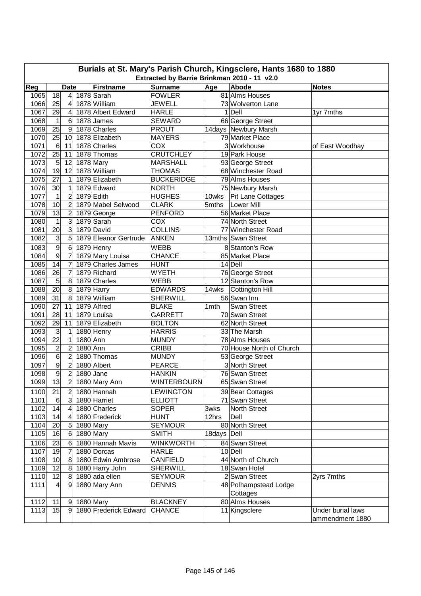| Burials at St. Mary's Parish Church, Kingsclere, Hants 1680 to 1880                        |                 |                               |           |                       |                    |                     |                          |                   |  |  |  |  |  |
|--------------------------------------------------------------------------------------------|-----------------|-------------------------------|-----------|-----------------------|--------------------|---------------------|--------------------------|-------------------|--|--|--|--|--|
| Extracted by Barrie Brinkman 2010 - 11 v2.0<br><b>Surname</b><br>Abode<br><b>Firstname</b> |                 |                               |           |                       |                    |                     |                          |                   |  |  |  |  |  |
| Reg<br>1065                                                                                | 18              | <b>Date</b><br>4 <sup>1</sup> |           | 1878 Sarah            | <b>FOWLER</b>      | Age                 | 81 Alms Houses           | <b>Notes</b>      |  |  |  |  |  |
| 1066                                                                                       | 25              | 4                             |           | 1878 William          | <b>JEWELL</b>      |                     | 73 Wolverton Lane        |                   |  |  |  |  |  |
| 1067                                                                                       | 29              | $\overline{4}$                |           | 1878 Albert Edward    | <b>HARLE</b>       |                     | $1$ Dell                 | 1yr 7mths         |  |  |  |  |  |
| 1068                                                                                       | 1               | 6                             |           | 1878 James            | <b>SEWARD</b>      |                     | 66 George Street         |                   |  |  |  |  |  |
| 1069                                                                                       | 25              | 9                             |           | 1878 Charles          | <b>PROUT</b>       |                     | 14days Newbury Marsh     |                   |  |  |  |  |  |
| 1070                                                                                       | 25              | 10                            |           | 1878 Elizabeth        | <b>MAYERS</b>      |                     | 79 Market Place          |                   |  |  |  |  |  |
| 1071                                                                                       | 6               | 11                            |           | 1878 Charles          | COX                |                     | 3 Workhouse              | of East Woodhay   |  |  |  |  |  |
| 1072                                                                                       | 25              | 11                            |           | 1878 Thomas           | <b>CRUTCHLEY</b>   |                     | 19 Park House            |                   |  |  |  |  |  |
| 1073                                                                                       | 5               | 12                            |           | 1878 Mary             | <b>MARSHALL</b>    |                     | 93 George Street         |                   |  |  |  |  |  |
| 1074                                                                                       | 19              | 12                            |           | 1878 William          | <b>THOMAS</b>      |                     | 68 Winchester Road       |                   |  |  |  |  |  |
| 1075                                                                                       | $\overline{27}$ | $\mathbf 1$                   |           | 1879 Elizabeth        | <b>BUCKERIDGE</b>  |                     | 79 Alms Houses           |                   |  |  |  |  |  |
| 1076                                                                                       | 30              | $\mathbf 1$                   |           | 1879 Edward           | <b>NORTH</b>       |                     | 75 Newbury Marsh         |                   |  |  |  |  |  |
| 1077                                                                                       | 1               | $\overline{2}$                |           | 1879 Edith            | <b>HUGHES</b>      | 10wks               | Pit Lane Cottages        |                   |  |  |  |  |  |
| 1078                                                                                       | 10              | $\overline{2}$                |           | 1879 Mabel Selwood    | <b>CLARK</b>       | 5mths               | <b>Lower Mill</b>        |                   |  |  |  |  |  |
| 1079                                                                                       | $\overline{13}$ | $\overline{c}$                |           | 1879 George           | <b>PENFORD</b>     |                     | 56 Market Place          |                   |  |  |  |  |  |
| 1080                                                                                       | $\mathbf{1}$    | 3                             |           | 1879 Sarah            | COX                |                     | 74 North Street          |                   |  |  |  |  |  |
| 1081                                                                                       | 20              | 3                             |           | 1879 David            | <b>COLLINS</b>     |                     | 77 Winchester Road       |                   |  |  |  |  |  |
| 1082                                                                                       | 3               | 5                             |           | 1879 Eleanor Gertrude | <b>ANKEN</b>       |                     | 13mths Swan Street       |                   |  |  |  |  |  |
| 1083                                                                                       | 9               | 6                             |           | 1879 Henry            | <b>WEBB</b>        |                     | 8 Stanton's Row          |                   |  |  |  |  |  |
| 1084                                                                                       | 9               | $\overline{7}$                |           | 1879 Mary Louisa      | <b>CHANCE</b>      |                     | 85 Market Place          |                   |  |  |  |  |  |
| 1085                                                                                       | 14              | $\overline{7}$                |           | 1879 Charles James    | <b>HUNT</b>        |                     | 14 Dell                  |                   |  |  |  |  |  |
| 1086                                                                                       | $\overline{26}$ | $\overline{7}$                |           | 1879 Richard          | <b>WYETH</b>       |                     | 76 George Street         |                   |  |  |  |  |  |
| 1087                                                                                       | 5               | 8                             |           | 1879 Charles          | <b>WEBB</b>        |                     | 12 Stanton's Row         |                   |  |  |  |  |  |
| 1088                                                                                       | 20              | 8                             |           | 1879 Harry            | <b>EDWARDS</b>     | $\overline{14}$ wks | <b>Cottington Hill</b>   |                   |  |  |  |  |  |
| 1089                                                                                       | $\overline{31}$ | 8                             |           | 1879 William          | <b>SHERWILL</b>    |                     | 56 Swan Inn              |                   |  |  |  |  |  |
| 1090                                                                                       | 27              | 11                            |           | 1879 Alfred           | <b>BLAKE</b>       | 1mth                | Swan Street              |                   |  |  |  |  |  |
| 1091                                                                                       | 28              | 11                            |           | 1879 Louisa           | <b>GARRETT</b>     |                     | 70 Swan Street           |                   |  |  |  |  |  |
| 1092                                                                                       | 29              | 11                            |           | 1879 Elizabeth        | <b>BOLTON</b>      |                     | 62 North Street          |                   |  |  |  |  |  |
| 1093                                                                                       | 3               | 1                             |           | 1880 Henry            | <b>HARRIS</b>      |                     | 33 The Marsh             |                   |  |  |  |  |  |
| 1094                                                                                       | $\overline{22}$ | 1                             | 1880 Ann  |                       | <b>MUNDY</b>       |                     | 78 Alms Houses           |                   |  |  |  |  |  |
| 1095                                                                                       | $\overline{c}$  | $\overline{c}$                | 1880 Ann  |                       | <b>CRIBB</b>       |                     | 70 House North of Church |                   |  |  |  |  |  |
| 1096                                                                                       | 6               | $\overline{c}$                |           | 1880 Thomas           | <b>MUNDY</b>       |                     | 53 George Street         |                   |  |  |  |  |  |
| 1097                                                                                       | $\overline{9}$  | $\overline{2}$                |           | 1880 Albert           | <b>PEARCE</b>      |                     | 3 North Street           |                   |  |  |  |  |  |
| 1098                                                                                       | $\overline{9}$  | $\overline{2}$                | 1880 Jane |                       | <b>HANKIN</b>      |                     | 76 Swan Street           |                   |  |  |  |  |  |
| 1099                                                                                       | 13              | $\overline{2}$                |           | 1880 Mary Ann         | <b>WINTERBOURN</b> |                     | 65 Swan Street           |                   |  |  |  |  |  |
| 1100                                                                                       | 21              | $\overline{2}$                |           | 1880 Hannah           | <b>LEWINGTON</b>   |                     | 39 Bear Cottages         |                   |  |  |  |  |  |
| 1101                                                                                       | 6               | $\mathbf{3}$                  |           | 1880 Harriet          | <b>ELLIOTT</b>     |                     | 71 Swan Street           |                   |  |  |  |  |  |
| 1102                                                                                       | 14              | $\overline{4}$                |           | 1880 Charles          | <b>SOPER</b>       | 3wks                | North Street             |                   |  |  |  |  |  |
| 1103                                                                                       | 14              | $\overline{4}$                |           | 1880 Frederick        | <b>HUNT</b>        | 12hrs               | Dell                     |                   |  |  |  |  |  |
| 1104                                                                                       | 20              | 5                             |           | 1880 Mary             | <b>SEYMOUR</b>     |                     | 80 North Street          |                   |  |  |  |  |  |
| 1105                                                                                       | 16              | 6                             |           | 1880 Mary             | <b>SMITH</b>       | 18days Dell         |                          |                   |  |  |  |  |  |
| 1106                                                                                       | $\overline{23}$ | 6                             |           | 1880 Hannah Mavis     | <b>WINKWORTH</b>   |                     | 84 Swan Street           |                   |  |  |  |  |  |
| 1107                                                                                       | 19              | 7                             |           | 1880 Dorcas           | <b>HARLE</b>       |                     | 10 Dell                  |                   |  |  |  |  |  |
| 1108                                                                                       | 10              | 8                             |           | 1880 Edwin Ambrose    | CANFIELD           |                     | 44 North of Church       |                   |  |  |  |  |  |
| 1109                                                                                       | 12              | 8                             |           | 1880 Harry John       | <b>SHERWILL</b>    |                     | 18 Swan Hotel            |                   |  |  |  |  |  |
| 1110                                                                                       | 12              | 8                             |           | 1880 ada ellen        | <b>SEYMOUR</b>     |                     | 2 Swan Street            | 2yrs 7mths        |  |  |  |  |  |
| 1111                                                                                       | 4               | 9                             |           | 1880 Mary Ann         | <b>DENNIS</b>      |                     | 48 Polhampstead Lodge    |                   |  |  |  |  |  |
|                                                                                            |                 |                               |           |                       |                    |                     | Cottages                 |                   |  |  |  |  |  |
| 1112                                                                                       | 11              | 9                             |           | 1880 Mary             | <b>BLACKNEY</b>    |                     | 80 Alms Houses           |                   |  |  |  |  |  |
| 1113                                                                                       | 15              | 9                             |           | 1880 Frederick Edward | <b>CHANCE</b>      |                     | 11 Kingsclere            | Under burial laws |  |  |  |  |  |
|                                                                                            |                 |                               |           |                       |                    |                     |                          | ammendment 1880   |  |  |  |  |  |